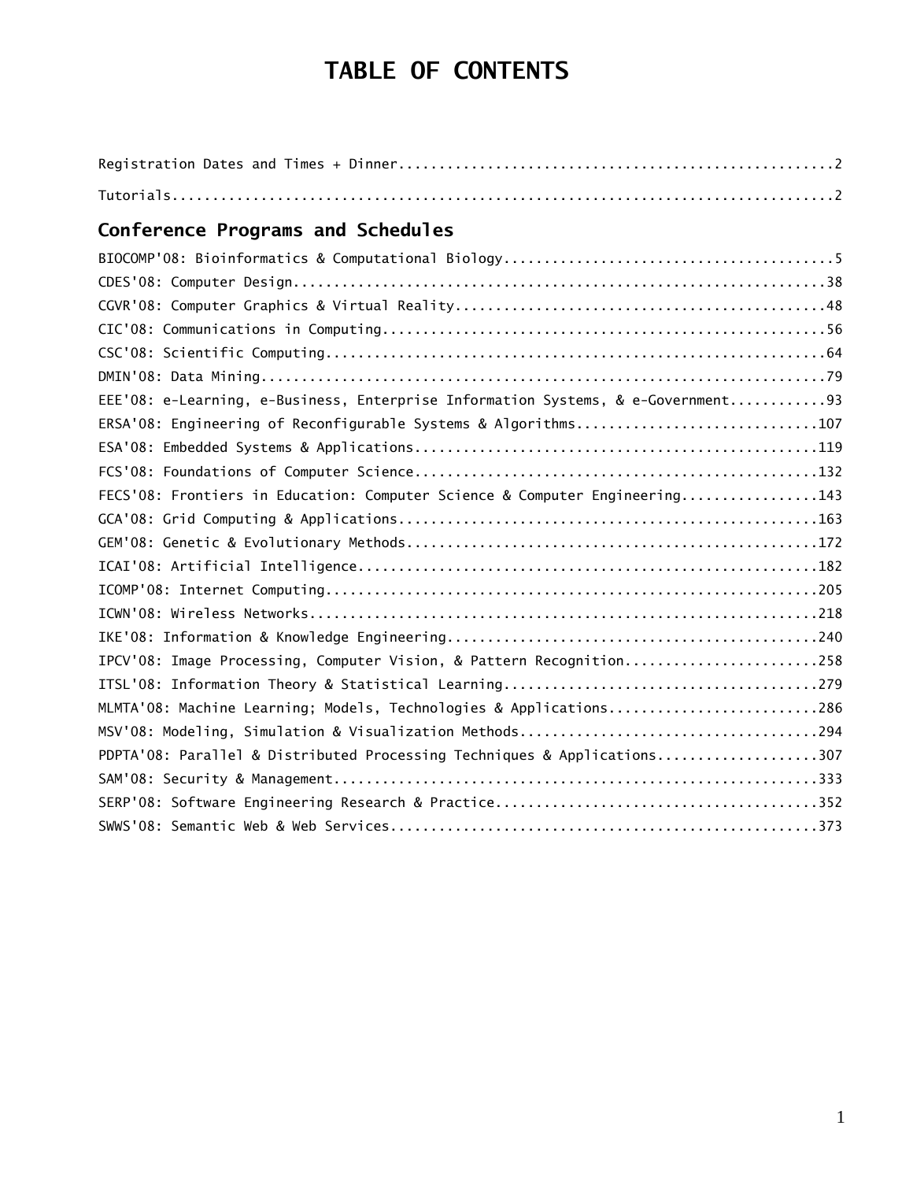# **TABLE OF CONTENTS**

## **Conference Programs and Schedules**

| EEE'08: e-Learning, e-Business, Enterprise Information Systems, & e-Government93 |  |
|----------------------------------------------------------------------------------|--|
| ERSA'08: Engineering of Reconfigurable Systems & Algorithms107                   |  |
|                                                                                  |  |
|                                                                                  |  |
| FECS'08: Frontiers in Education: Computer Science & Computer Engineering143      |  |
|                                                                                  |  |
|                                                                                  |  |
|                                                                                  |  |
|                                                                                  |  |
|                                                                                  |  |
|                                                                                  |  |
| IPCV'08: Image Processing, Computer Vision, & Pattern Recognition258             |  |
|                                                                                  |  |
| MLMTA'08: Machine Learning; Models, Technologies & Applications286               |  |
|                                                                                  |  |
| PDPTA'08: Parallel & Distributed Processing Techniques & Applications307         |  |
|                                                                                  |  |
|                                                                                  |  |
|                                                                                  |  |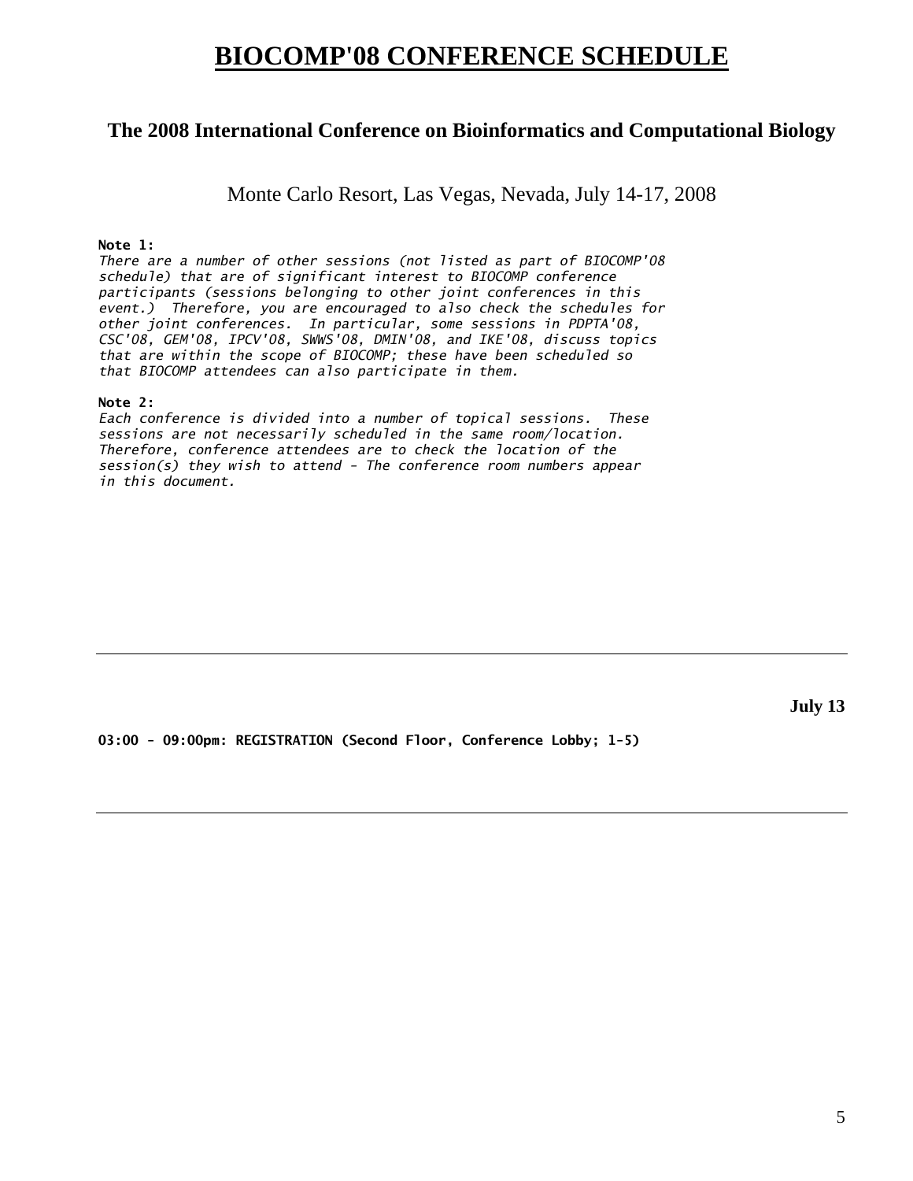## **BIOCOMP'08 CONFERENCE SCHEDULE**

### **The 2008 International Conference on Bioinformatics and Computational Biology**

Monte Carlo Resort, Las Vegas, Nevada, July 14-17, 2008

#### **Note 1:**

*There are a number of other sessions (not listed as part of BIOCOMP'08 schedule) that are of significant interest to BIOCOMP conference participants (sessions belonging to other joint conferences in this event.) Therefore, you are encouraged to also check the schedules for other joint conferences. In particular, some sessions in PDPTA'08, CSC'08, GEM'08, IPCV'08, SWWS'08, DMIN'08, and IKE'08, discuss topics that are within the scope of BIOCOMP; these have been scheduled so that BIOCOMP attendees can also participate in them.* 

#### **Note 2:**

*Each conference is divided into a number of topical sessions. These sessions are not necessarily scheduled in the same room/location. Therefore, conference attendees are to check the location of the session(s) they wish to attend - The conference room numbers appear in this document.* 

**July 13** 

**03:00 - 09:00pm: REGISTRATION (Second Floor, Conference Lobby; 1-5)**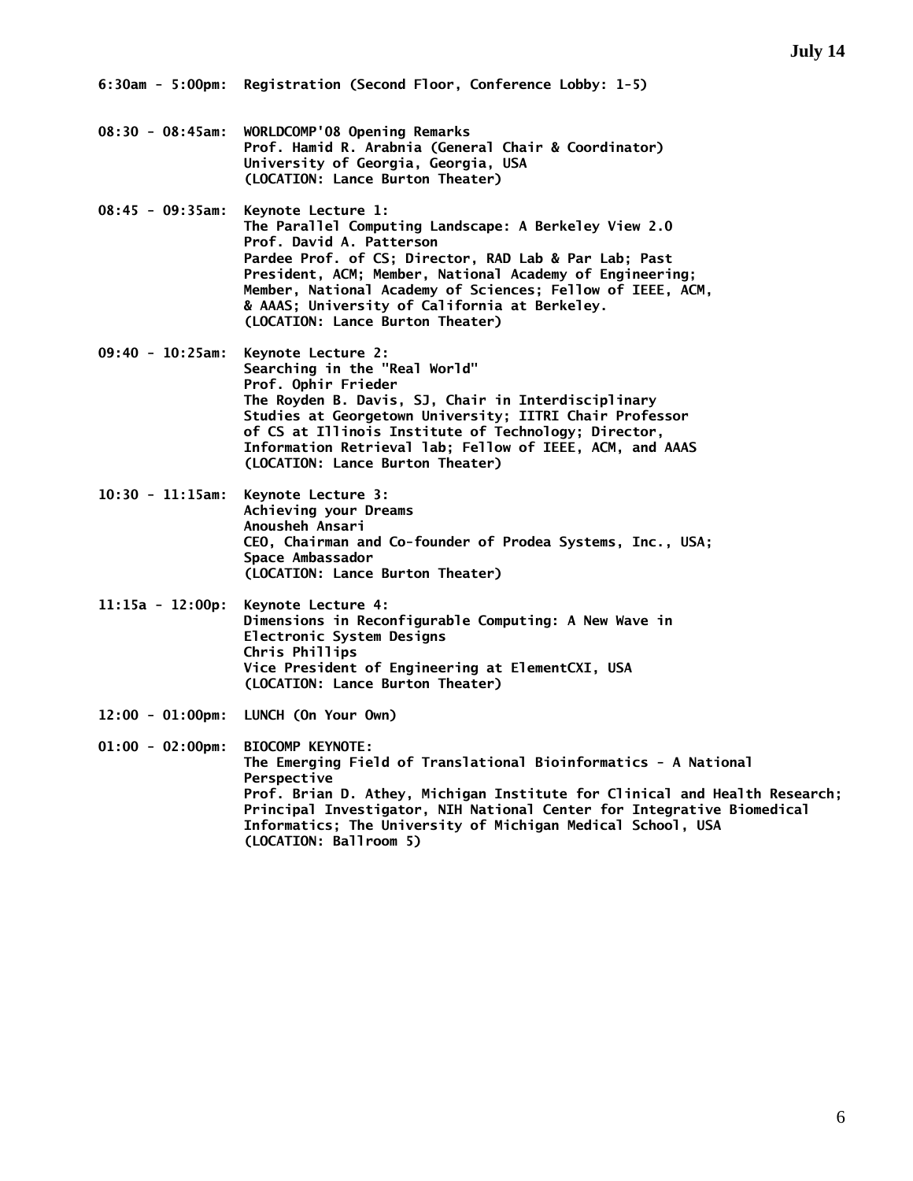**6:30am - 5:00pm: Registration (Second Floor, Conference Lobby: 1-5)** 

- **08:30 08:45am: WORLDCOMP'08 Opening Remarks Prof. Hamid R. Arabnia (General Chair & Coordinator) University of Georgia, Georgia, USA (LOCATION: Lance Burton Theater)**
- **08:45 09:35am: Keynote Lecture 1: The Parallel Computing Landscape: A Berkeley View 2.0 Prof. David A. Patterson Pardee Prof. of CS; Director, RAD Lab & Par Lab; Past President, ACM; Member, National Academy of Engineering; Member, National Academy of Sciences; Fellow of IEEE, ACM, & AAAS; University of California at Berkeley. (LOCATION: Lance Burton Theater)**
- **09:40 10:25am: Keynote Lecture 2: Searching in the "Real World" Prof. Ophir Frieder The Royden B. Davis, SJ, Chair in Interdisciplinary Studies at Georgetown University; IITRI Chair Professor of CS at Illinois Institute of Technology; Director, Information Retrieval lab; Fellow of IEEE, ACM, and AAAS (LOCATION: Lance Burton Theater)**
- **10:30 11:15am: Keynote Lecture 3: Achieving your Dreams Anousheh Ansari CEO, Chairman and Co-founder of Prodea Systems, Inc., USA; Space Ambassador (LOCATION: Lance Burton Theater)**
- **11:15a 12:00p: Keynote Lecture 4: Dimensions in Reconfigurable Computing: A New Wave in Electronic System Designs Chris Phillips Vice President of Engineering at ElementCXI, USA (LOCATION: Lance Burton Theater)**
- **12:00 01:00pm: LUNCH (On Your Own)**

**01:00 - 02:00pm: BIOCOMP KEYNOTE: The Emerging Field of Translational Bioinformatics - A National Perspective Prof. Brian D. Athey, Michigan Institute for Clinical and Health Research; Principal Investigator, NIH National Center for Integrative Biomedical Informatics; The University of Michigan Medical School, USA (LOCATION: Ballroom 5)**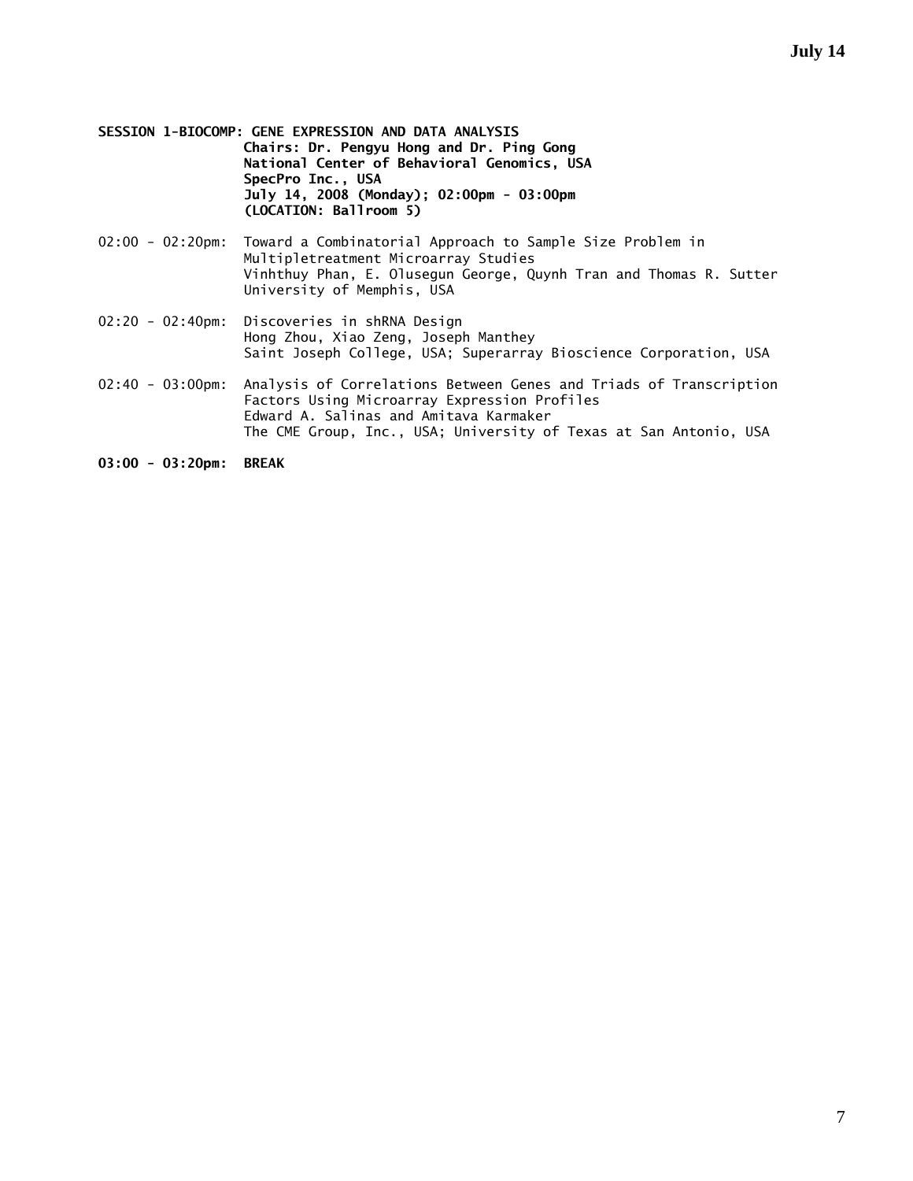- **SESSION 1-BIOCOMP: GENE EXPRESSION AND DATA ANALYSIS Chairs: Dr. Pengyu Hong and Dr. Ping Gong National Center of Behavioral Genomics, USA SpecPro Inc., USA July 14, 2008 (Monday); 02:00pm - 03:00pm (LOCATION: Ballroom 5)**
- 02:00 02:20pm: Toward a Combinatorial Approach to Sample Size Problem in Multipletreatment Microarray Studies Vinhthuy Phan, E. Olusegun George, Quynh Tran and Thomas R. Sutter University of Memphis, USA
- 02:20 02:40pm: Discoveries in shRNA Design Hong Zhou, Xiao Zeng, Joseph Manthey Saint Joseph College, USA; Superarray Bioscience Corporation, USA
- 02:40 03:00pm: Analysis of Correlations Between Genes and Triads of Transcription Factors Using Microarray Expression Profiles Edward A. Salinas and Amitava Karmaker The CME Group, Inc., USA; University of Texas at San Antonio, USA

**03:00 - 03:20pm: BREAK**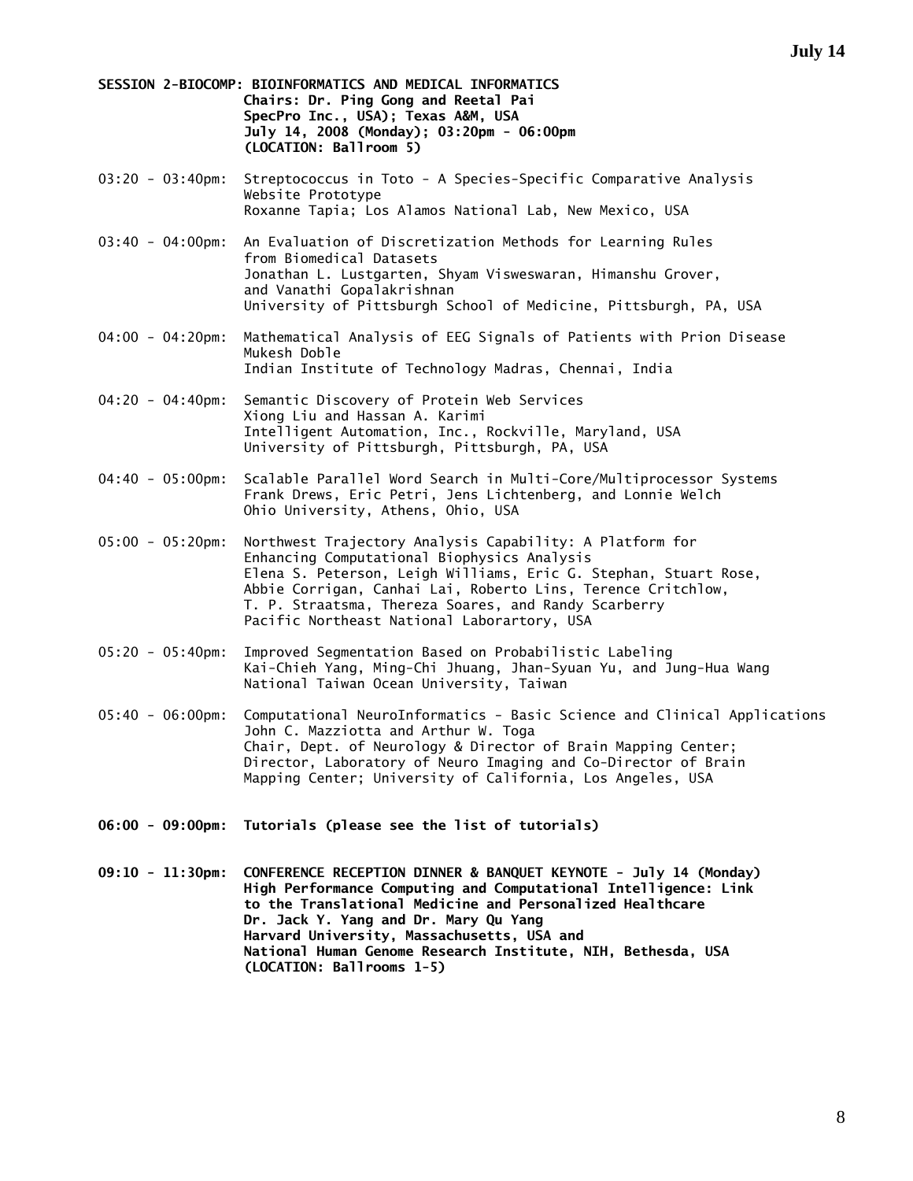**SESSION 2-BIOCOMP: BIOINFORMATICS AND MEDICAL INFORMATICS Chairs: Dr. Ping Gong and Reetal Pai SpecPro Inc., USA); Texas A&M, USA July 14, 2008 (Monday); 03:20pm - 06:00pm (LOCATION: Ballroom 5)** 

- 03:20 03:40pm: Streptococcus in Toto A Species-Specific Comparative Analysis Website Prototype Roxanne Tapia; Los Alamos National Lab, New Mexico, USA
- 03:40 04:00pm: An Evaluation of Discretization Methods for Learning Rules from Biomedical Datasets Jonathan L. Lustgarten, Shyam Visweswaran, Himanshu Grover, and Vanathi Gopalakrishnan University of Pittsburgh School of Medicine, Pittsburgh, PA, USA
- 04:00 04:20pm: Mathematical Analysis of EEG Signals of Patients with Prion Disease Mukesh Doble Indian Institute of Technology Madras, Chennai, India
- 04:20 04:40pm: Semantic Discovery of Protein Web Services Xiong Liu and Hassan A. Karimi Intelligent Automation, Inc., Rockville, Maryland, USA University of Pittsburgh, Pittsburgh, PA, USA
- 04:40 05:00pm: Scalable Parallel Word Search in Multi-Core/Multiprocessor Systems Frank Drews, Eric Petri, Jens Lichtenberg, and Lonnie Welch Ohio University, Athens, Ohio, USA
- 05:00 05:20pm: Northwest Trajectory Analysis Capability: A Platform for Enhancing Computational Biophysics Analysis Elena S. Peterson, Leigh Williams, Eric G. Stephan, Stuart Rose, Abbie Corrigan, Canhai Lai, Roberto Lins, Terence Critchlow, T. P. Straatsma, Thereza Soares, and Randy Scarberry Pacific Northeast National Laborartory, USA
- 05:20 05:40pm: Improved Segmentation Based on Probabilistic Labeling Kai-Chieh Yang, Ming-Chi Jhuang, Jhan-Syuan Yu, and Jung-Hua Wang National Taiwan Ocean University, Taiwan
- 05:40 06:00pm: Computational NeuroInformatics Basic Science and Clinical Applications John C. Mazziotta and Arthur W. Toga Chair, Dept. of Neurology & Director of Brain Mapping Center; Director, Laboratory of Neuro Imaging and Co-Director of Brain Mapping Center; University of California, Los Angeles, USA
- **06:00 09:00pm: Tutorials (please see the list of tutorials)**

**09:10 - 11:30pm: CONFERENCE RECEPTION DINNER & BANQUET KEYNOTE - July 14 (Monday) High Performance Computing and Computational Intelligence: Link to the Translational Medicine and Personalized Healthcare Dr. Jack Y. Yang and Dr. Mary Qu Yang Harvard University, Massachusetts, USA and National Human Genome Research Institute, NIH, Bethesda, USA (LOCATION: Ballrooms 1-5)**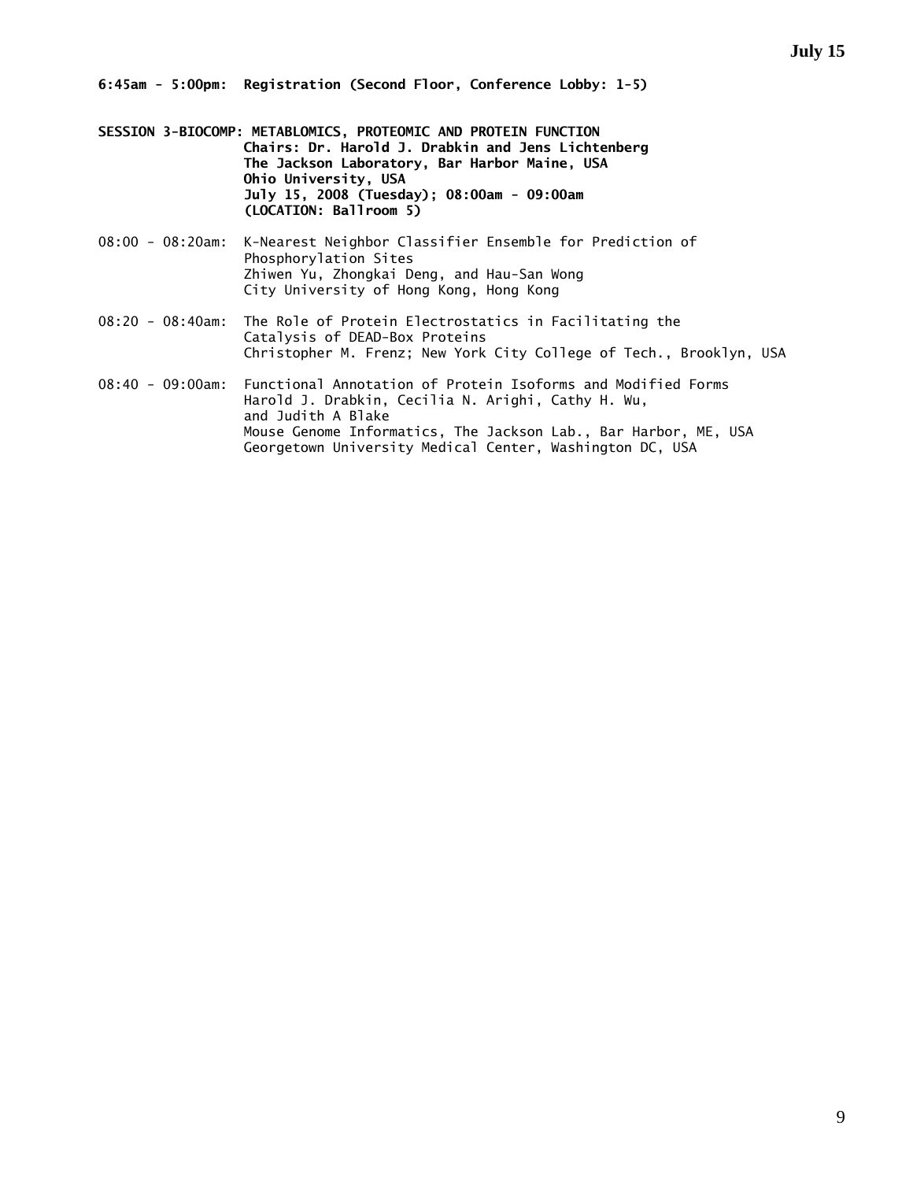**6:45am - 5:00pm: Registration (Second Floor, Conference Lobby: 1-5)** 

- **SESSION 3-BIOCOMP: METABLOMICS, PROTEOMIC AND PROTEIN FUNCTION Chairs: Dr. Harold J. Drabkin and Jens Lichtenberg The Jackson Laboratory, Bar Harbor Maine, USA Ohio University, USA July 15, 2008 (Tuesday); 08:00am - 09:00am (LOCATION: Ballroom 5)**
- 08:00 08:20am: K-Nearest Neighbor Classifier Ensemble for Prediction of Phosphorylation Sites Zhiwen Yu, Zhongkai Deng, and Hau-San Wong City University of Hong Kong, Hong Kong
- 08:20 08:40am: The Role of Protein Electrostatics in Facilitating the Catalysis of DEAD-Box Proteins Christopher M. Frenz; New York City College of Tech., Brooklyn, USA
- 08:40 09:00am: Functional Annotation of Protein Isoforms and Modified Forms Harold J. Drabkin, Cecilia N. Arighi, Cathy H. Wu, and Judith A Blake Mouse Genome Informatics, The Jackson Lab., Bar Harbor, ME, USA Georgetown University Medical Center, Washington DC, USA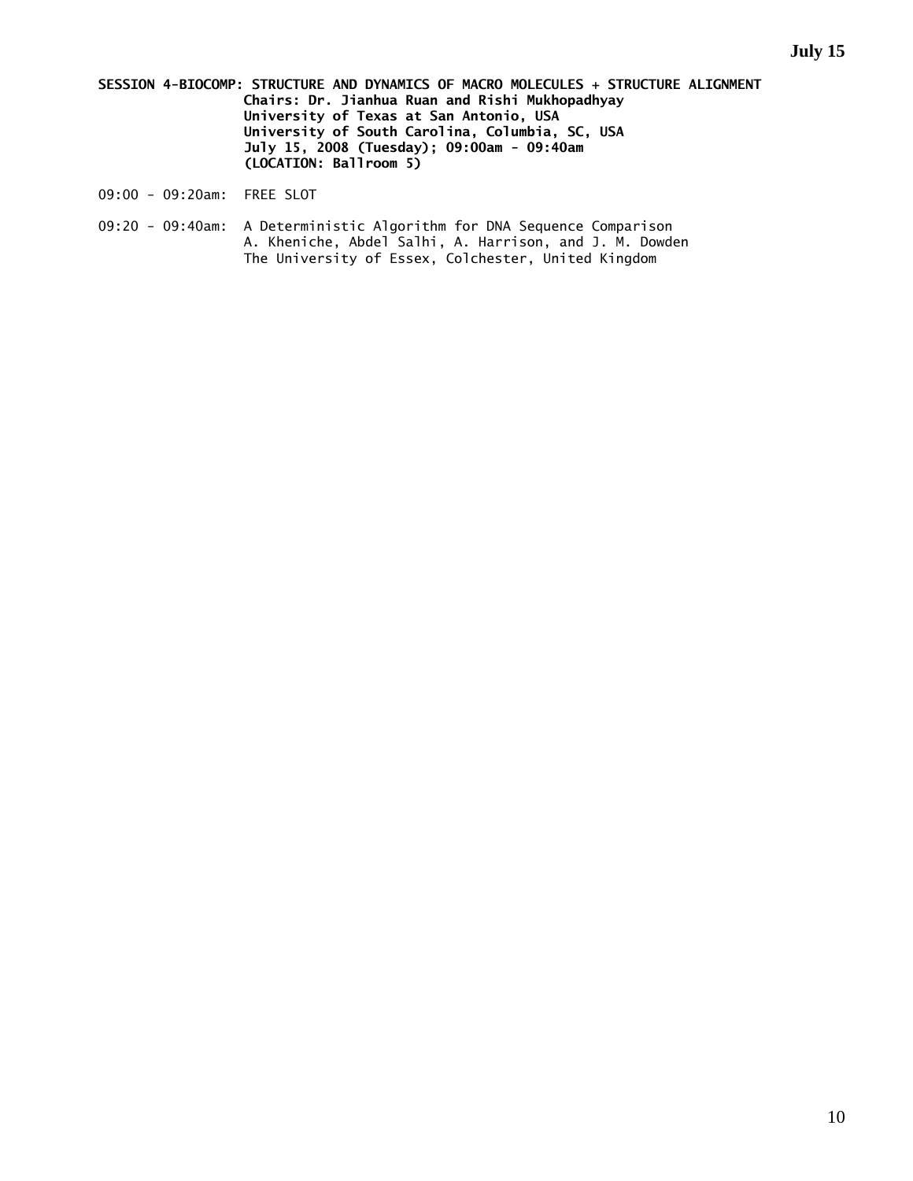- **SESSION 4-BIOCOMP: STRUCTURE AND DYNAMICS OF MACRO MOLECULES + STRUCTURE ALIGNMENT Chairs: Dr. Jianhua Ruan and Rishi Mukhopadhyay University of Texas at San Antonio, USA University of South Carolina, Columbia, SC, USA July 15, 2008 (Tuesday); 09:00am - 09:40am (LOCATION: Ballroom 5)**
- 09:00 09:20am: FREE SLOT
- 09:20 09:40am: A Deterministic Algorithm for DNA Sequence Comparison A. Kheniche, Abdel Salhi, A. Harrison, and J. M. Dowden The University of Essex, Colchester, United Kingdom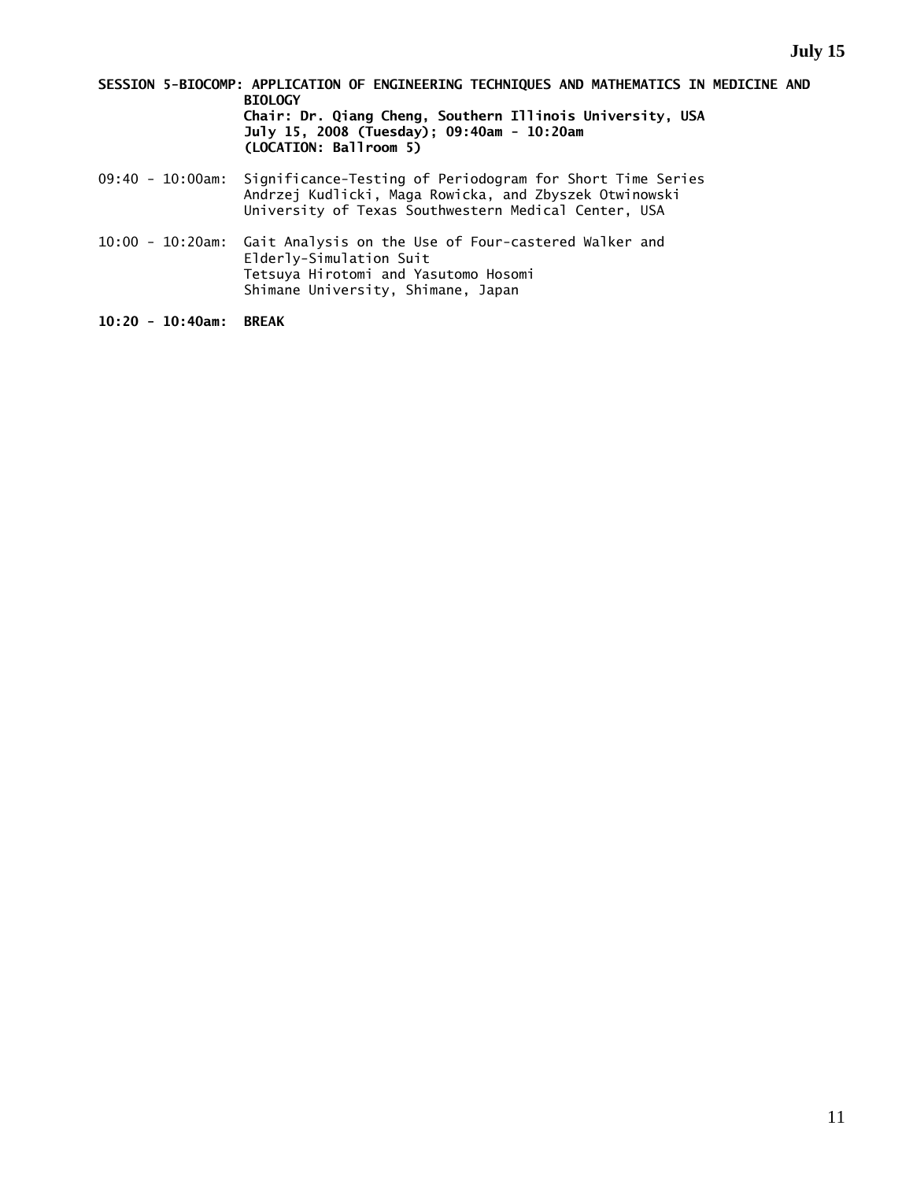- **SESSION 5-BIOCOMP: APPLICATION OF ENGINEERING TECHNIQUES AND MATHEMATICS IN MEDICINE AND BIOLOGY Chair: Dr. Qiang Cheng, Southern Illinois University, USA July 15, 2008 (Tuesday); 09:40am - 10:20am (LOCATION: Ballroom 5)**
- 09:40 10:00am: Significance-Testing of Periodogram for Short Time Series Andrzej Kudlicki, Maga Rowicka, and Zbyszek Otwinowski University of Texas Southwestern Medical Center, USA
- 10:00 10:20am: Gait Analysis on the Use of Four-castered Walker and Elderly-Simulation Suit Tetsuya Hirotomi and Yasutomo Hosomi Shimane University, Shimane, Japan
- **10:20 10:40am: BREAK**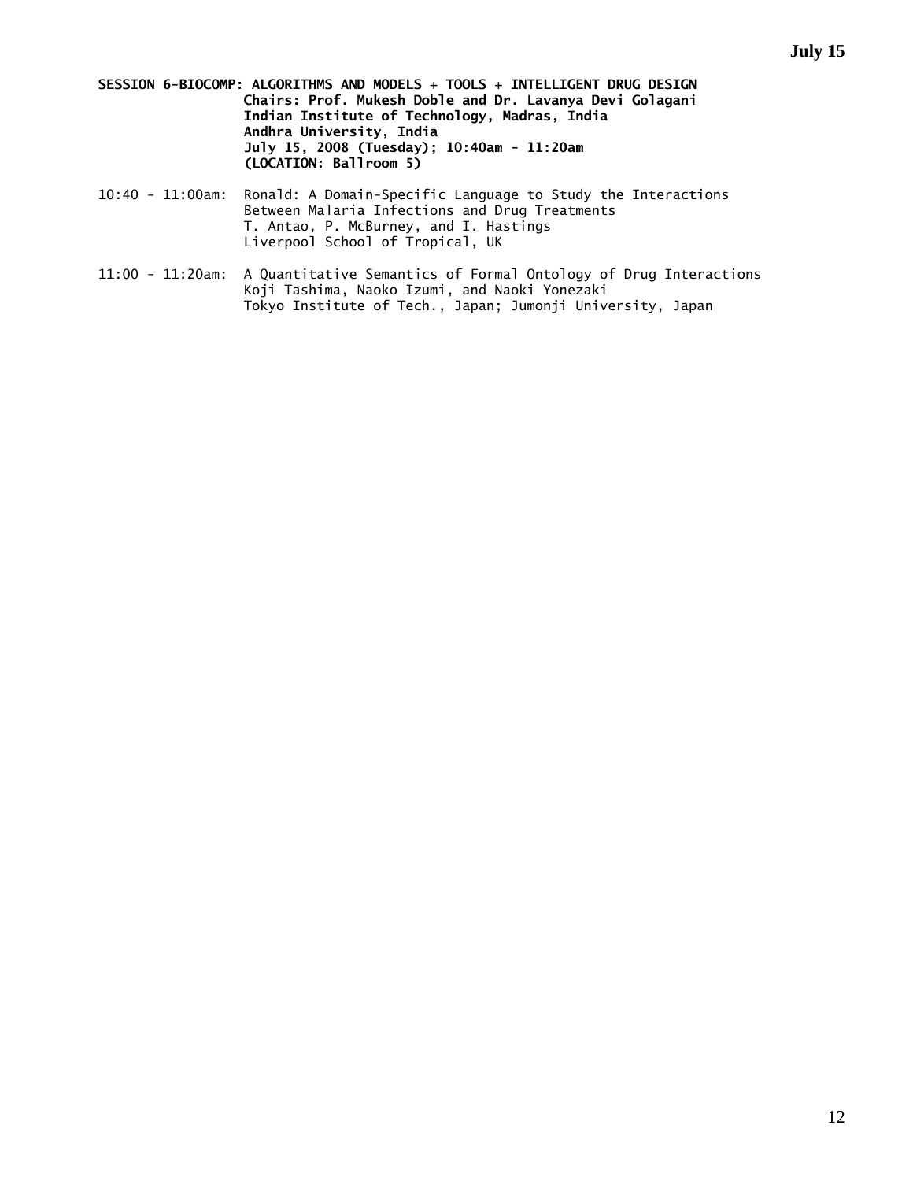- **SESSION 6-BIOCOMP: ALGORITHMS AND MODELS + TOOLS + INTELLIGENT DRUG DESIGN Chairs: Prof. Mukesh Doble and Dr. Lavanya Devi Golagani Indian Institute of Technology, Madras, India Andhra University, India July 15, 2008 (Tuesday); 10:40am - 11:20am (LOCATION: Ballroom 5)**
- 10:40 11:00am: Ronald: A Domain-Specific Language to Study the Interactions Between Malaria Infections and Drug Treatments T. Antao, P. McBurney, and I. Hastings Liverpool School of Tropical, UK
- 11:00 11:20am: A Quantitative Semantics of Formal Ontology of Drug Interactions Koji Tashima, Naoko Izumi, and Naoki Yonezaki Tokyo Institute of Tech., Japan; Jumonji University, Japan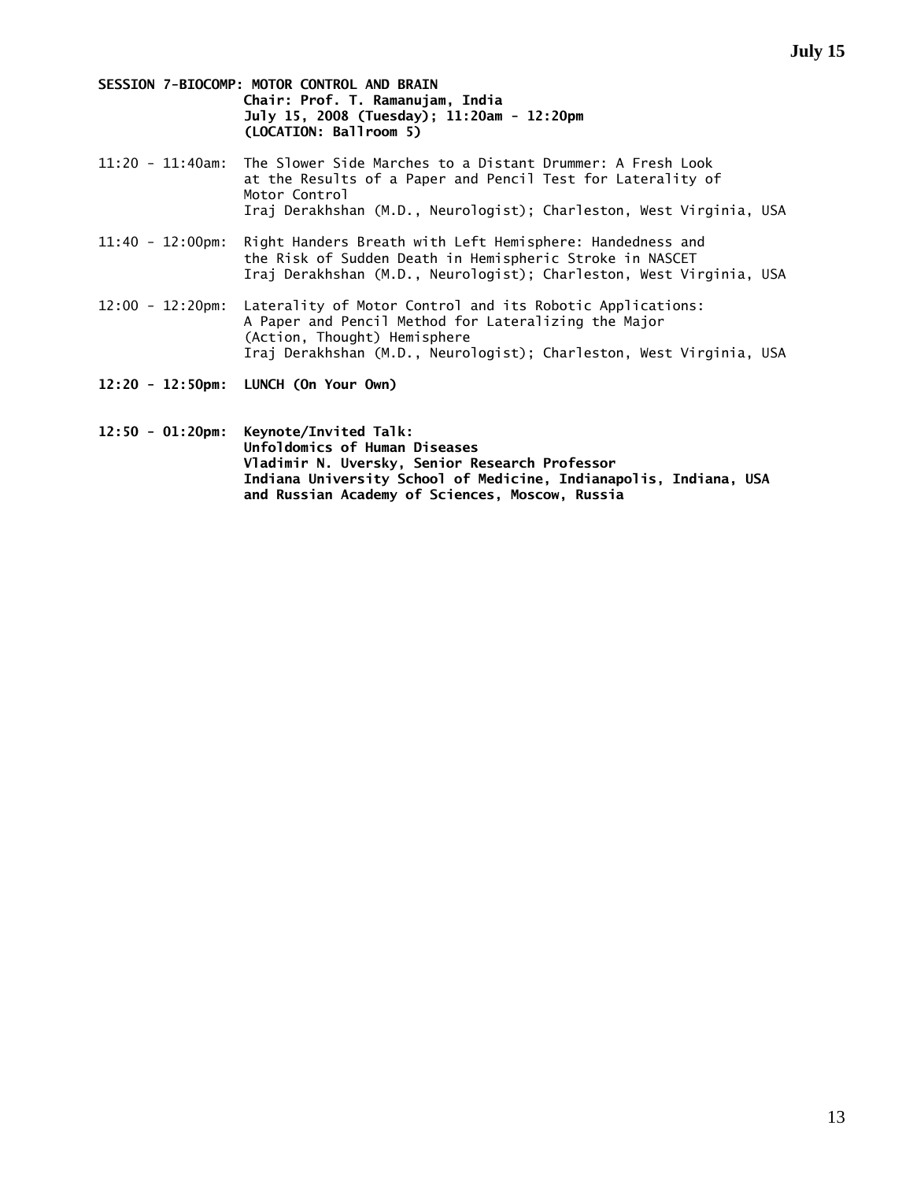- **SESSION 7-BIOCOMP: MOTOR CONTROL AND BRAIN Chair: Prof. T. Ramanujam, India July 15, 2008 (Tuesday); 11:20am - 12:20pm (LOCATION: Ballroom 5)**
- 11:20 11:40am: The Slower Side Marches to a Distant Drummer: A Fresh Look at the Results of a Paper and Pencil Test for Laterality of Motor Control Iraj Derakhshan (M.D., Neurologist); Charleston, West Virginia, USA
- 11:40 12:00pm: Right Handers Breath with Left Hemisphere: Handedness and the Risk of Sudden Death in Hemispheric Stroke in NASCET Iraj Derakhshan (M.D., Neurologist); Charleston, West Virginia, USA
- 12:00 12:20pm: Laterality of Motor Control and its Robotic Applications: A Paper and Pencil Method for Lateralizing the Major (Action, Thought) Hemisphere Iraj Derakhshan (M.D., Neurologist); Charleston, West Virginia, USA
- **12:20 12:50pm: LUNCH (On Your Own)**
- **12:50 01:20pm: Keynote/Invited Talk: Unfoldomics of Human Diseases Vladimir N. Uversky, Senior Research Professor Indiana University School of Medicine, Indianapolis, Indiana, USA and Russian Academy of Sciences, Moscow, Russia**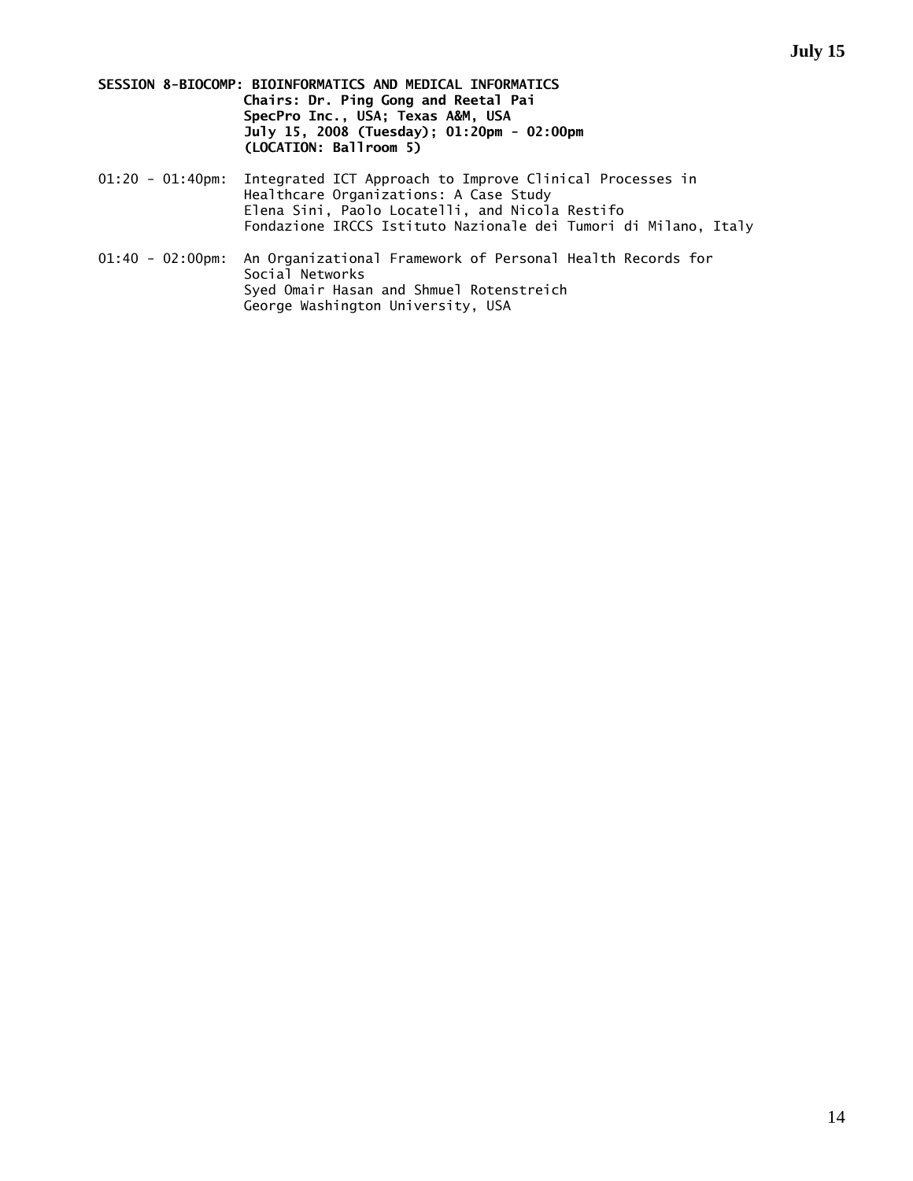**SESSION 8-BIOCOMP: BIOINFORMATICS AND MEDICAL INFORMATICS Chairs: Dr. Ping Gong and Reetal Pai SpecPro Inc., USA; Texas A&M, USA July 15, 2008 (Tuesday); 01:20pm - 02:00pm (LOCATION: Ballroom 5)** 

- 01:20 01:40pm: Integrated ICT Approach to Improve Clinical Processes in Healthcare Organizations: A Case Study Elena Sini, Paolo Locatelli, and Nicola Restifo Fondazione IRCCS Istituto Nazionale dei Tumori di Milano, Italy
- 01:40 02:00pm: An Organizational Framework of Personal Health Records for Social Networks Syed Omair Hasan and Shmuel Rotenstreich George Washington University, USA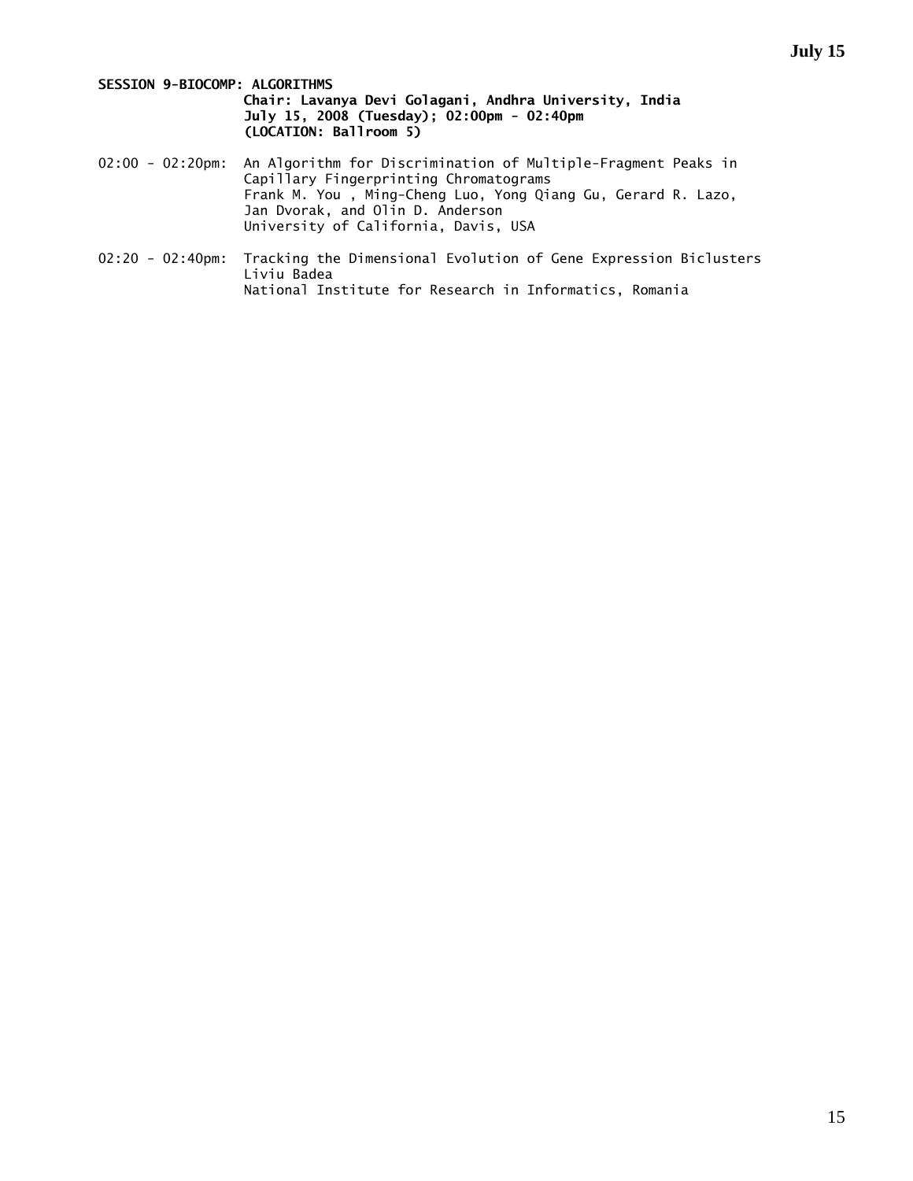#### **SESSION 9-BIOCOMP: ALGORITHMS**

#### **Chair: Lavanya Devi Golagani, Andhra University, India July 15, 2008 (Tuesday); 02:00pm - 02:40pm (LOCATION: Ballroom 5)**

- 02:00 02:20pm: An Algorithm for Discrimination of Multiple-Fragment Peaks in Capillary Fingerprinting Chromatograms Frank M. You , Ming-Cheng Luo, Yong Qiang Gu, Gerard R. Lazo, Jan Dvorak, and Olin D. Anderson University of California, Davis, USA
- 02:20 02:40pm: Tracking the Dimensional Evolution of Gene Expression Biclusters Liviu Badea National Institute for Research in Informatics, Romania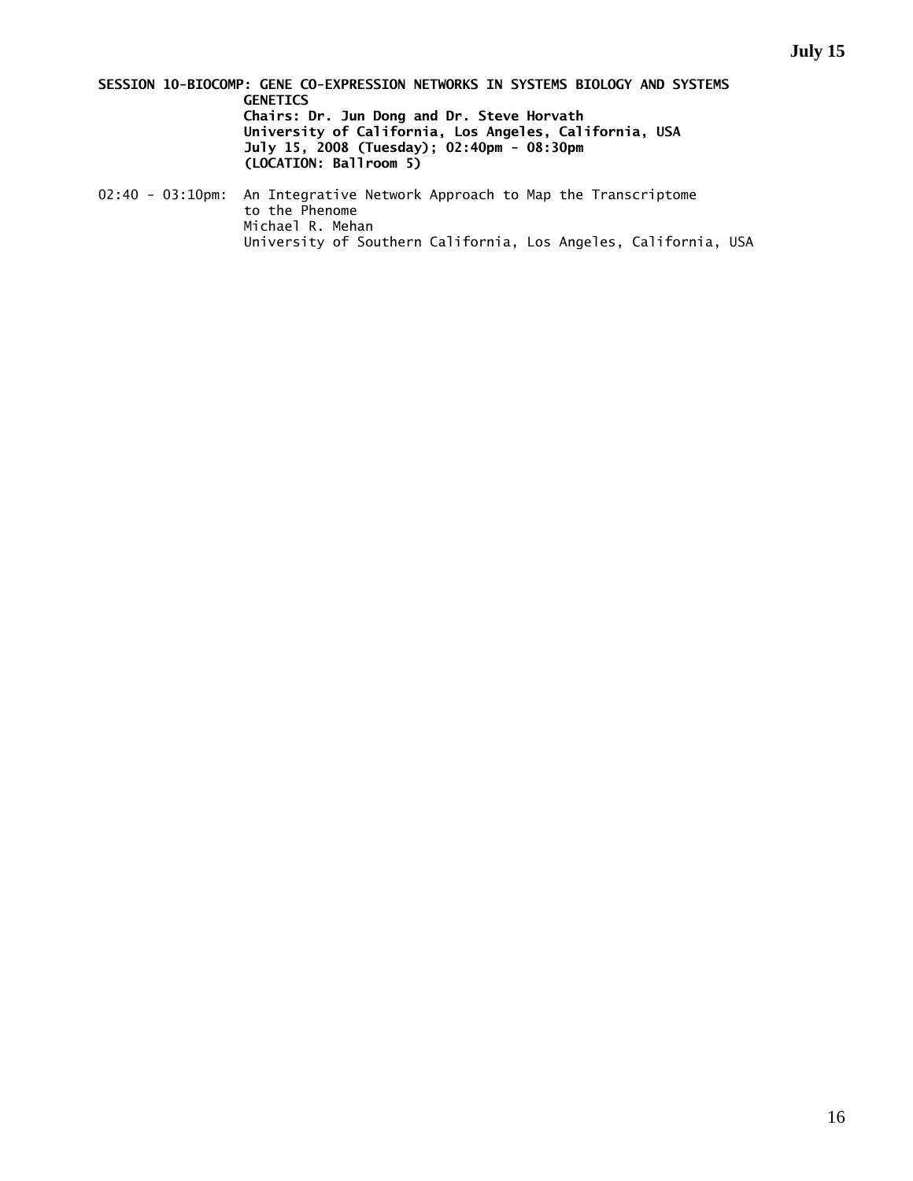**SESSION 10-BIOCOMP: GENE CO-EXPRESSION NETWORKS IN SYSTEMS BIOLOGY AND SYSTEMS GENETICS Chairs: Dr. Jun Dong and Dr. Steve Horvath University of California, Los Angeles, California, USA July 15, 2008 (Tuesday); 02:40pm - 08:30pm (LOCATION: Ballroom 5)** 

02:40 - 03:10pm: An Integrative Network Approach to Map the Transcriptome to the Phenome Michael R. Mehan University of Southern California, Los Angeles, California, USA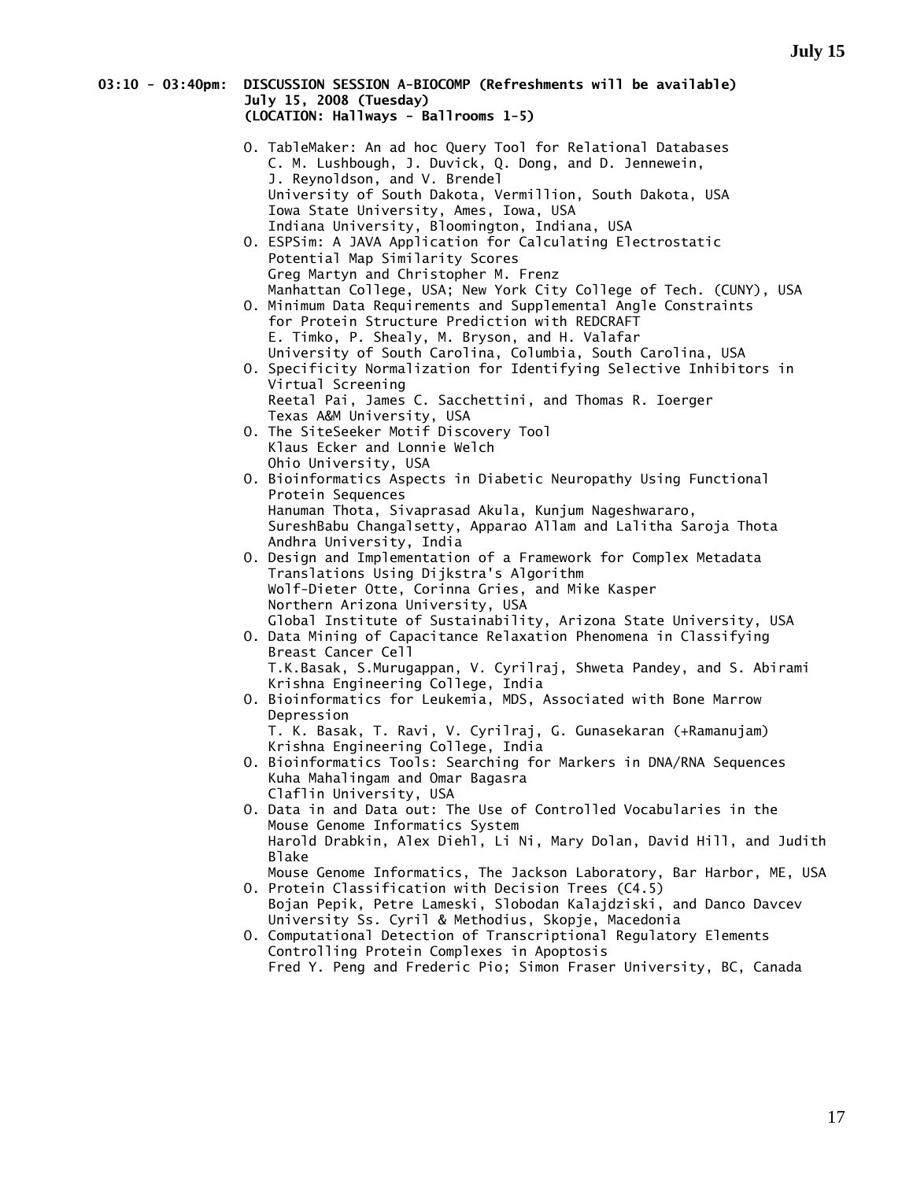#### **03:10 - 03:40pm: DISCUSSION SESSION A-BIOCOMP (Refreshments will be available) July 15, 2008 (Tuesday) (LOCATION: Hallways - Ballrooms 1-5)**

| O. TableMaker: An ad hoc Query Tool for Relational Databases<br>C. M. Lushbough, J. Duvick, Q. Dong, and D. Jennewein,<br>J. Reynoldson, and V. Brendel                                                                                                    |
|------------------------------------------------------------------------------------------------------------------------------------------------------------------------------------------------------------------------------------------------------------|
| University of South Dakota, Vermillion, South Dakota, USA<br>Iowa State University, Ames, Iowa, USA                                                                                                                                                        |
| Indiana University, Bloomington, Indiana, USA<br>O. ESPSim: A JAVA Application for Calculating Electrostatic<br>Potential Map Similarity Scores                                                                                                            |
| Greg Martyn and Christopher M. Frenz<br>Manhattan College, USA; New York City College of Tech. (CUNY), USA                                                                                                                                                 |
| O. Minimum Data Requirements and Supplemental Angle Constraints<br>for Protein Structure Prediction with REDCRAFT                                                                                                                                          |
| E. Timko, P. Shealy, M. Bryson, and H. Valafar<br>University of South Carolina, Columbia, South Carolina, USA                                                                                                                                              |
| O. Specificity Normalization for Identifying Selective Inhibitors in<br>Virtual Screening<br>Reetal Pai, James C. Sacchettini, and Thomas R. Ioerger                                                                                                       |
| Texas A&M University, USA<br>O. The SiteSeeker Motif Discovery Tool                                                                                                                                                                                        |
| Klaus Ecker and Lonnie Welch<br>Ohio University, USA                                                                                                                                                                                                       |
| O. Bioinformatics Aspects in Diabetic Neuropathy Using Functional<br>Protein Sequences<br>Hanuman Thota, Sivaprasad Akula, Kunjum Nageshwararo,                                                                                                            |
| SureshBabu Changalsetty, Apparao Allam and Lalitha Saroja Thota<br>Andhra University, India                                                                                                                                                                |
| O. Design and Implementation of a Framework for Complex Metadata<br>Translations Using Dijkstra's Algorithm                                                                                                                                                |
| Wolf-Dieter Otte, Corinna Gries, and Mike Kasper<br>Northern Arizona University, USA<br>Global Institute of Sustainability, Arizona State University, USA                                                                                                  |
| O. Data Mining of Capacitance Relaxation Phenomena in Classifying<br>Breast Cancer Cell                                                                                                                                                                    |
| T.K.Basak, S.Murugappan, V. Cyrilraj, Shweta Pandey, and S. Abirami<br>Krishna Engineering College, India                                                                                                                                                  |
| O. Bioinformatics for Leukemia, MDS, Associated with Bone Marrow<br>Depression<br>T. K. Basak, T. Ravi, V. Cyrilraj, G. Gunasekaran (+Ramanujam)                                                                                                           |
| Krishna Engineering College, India<br>O. Bioinformatics Tools: Searching for Markers in DNA/RNA Sequences                                                                                                                                                  |
| Kuha Mahalingam and Omar Bagasra<br>Claflin University, USA                                                                                                                                                                                                |
| O. Data in and Data out: The Use of Controlled Vocabularies in the<br>Mouse Genome Informatics System<br>Harold Drabkin, Alex Diehl, Li Ni, Mary Dolan, David Hill, and Judith<br><b>Blake</b>                                                             |
| Mouse Genome Informatics, The Jackson Laboratory, Bar Harbor, ME, USA<br>0. Protein Classification with Decision Trees (C4.5)<br>Bojan Pepik, Petre Lameski, Slobodan Kalajdziski, and Danco Davcev<br>University Ss. Cyril & Methodius, Skopje, Macedonia |
| O. Computational Detection of Transcriptional Regulatory Elements<br>Controlling Protein Complexes in Apoptosis                                                                                                                                            |
| Fred Y. Peng and Frederic Pio; Simon Fraser University, BC, Canada                                                                                                                                                                                         |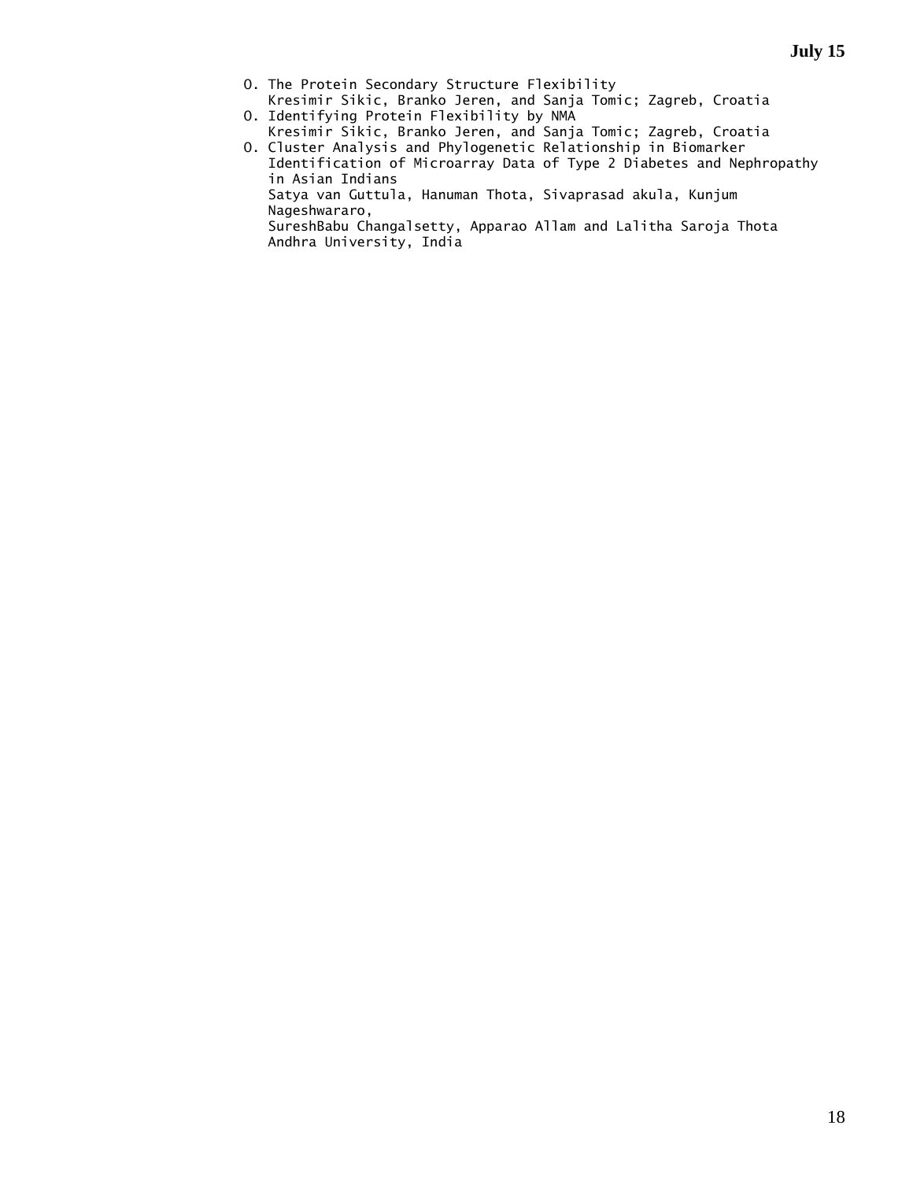- O. The Protein Secondary Structure Flexibility
- Kresimir Sikic, Branko Jeren, and Sanja Tomic; Zagreb, Croatia O. Identifying Protein Flexibility by NMA
- Kresimir Sikic, Branko Jeren, and Sanja Tomic; Zagreb, Croatia O. Cluster Analysis and Phylogenetic Relationship in Biomarker
	- Identification of Microarray Data of Type 2 Diabetes and Nephropathy in Asian Indians

 Satya van Guttula, Hanuman Thota, Sivaprasad akula, Kunjum Nageshwararo,

 SureshBabu Changalsetty, Apparao Allam and Lalitha Saroja Thota Andhra University, India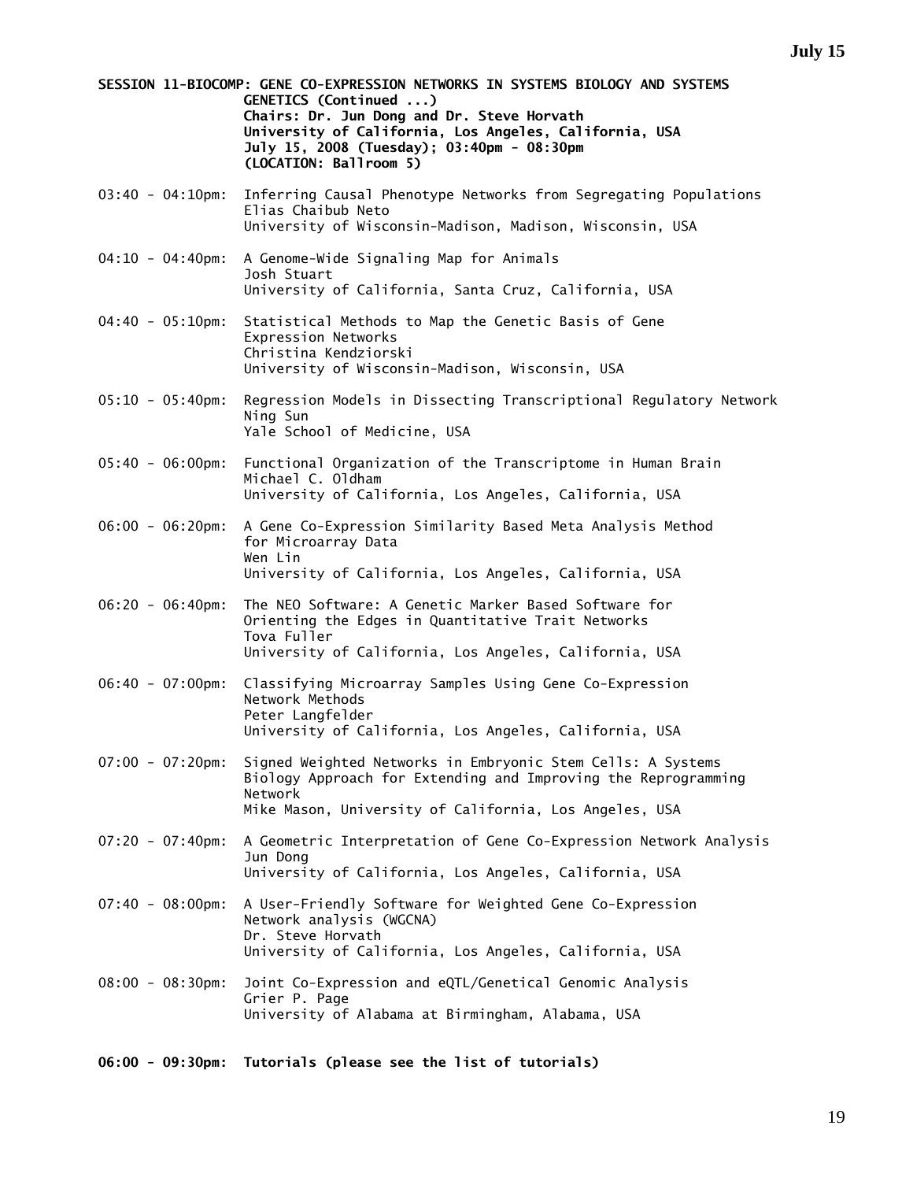**SESSION 11-BIOCOMP: GENE CO-EXPRESSION NETWORKS IN SYSTEMS BIOLOGY AND SYSTEMS GENETICS (Continued ...) Chairs: Dr. Jun Dong and Dr. Steve Horvath University of California, Los Angeles, California, USA July 15, 2008 (Tuesday); 03:40pm - 08:30pm (LOCATION: Ballroom 5)** 

- 03:40 04:10pm: Inferring Causal Phenotype Networks from Segregating Populations Elias Chaibub Neto University of Wisconsin-Madison, Madison, Wisconsin, USA
- 04:10 04:40pm: A Genome-Wide Signaling Map for Animals Josh Stuart University of California, Santa Cruz, California, USA
- 04:40 05:10pm: Statistical Methods to Map the Genetic Basis of Gene Expression Networks Christina Kendziorski University of Wisconsin-Madison, Wisconsin, USA
- 05:10 05:40pm: Regression Models in Dissecting Transcriptional Regulatory Network Ning Sun Yale School of Medicine, USA
- 05:40 06:00pm: Functional Organization of the Transcriptome in Human Brain Michael C. Oldham University of California, Los Angeles, California, USA
- 06:00 06:20pm: A Gene Co-Expression Similarity Based Meta Analysis Method for Microarray Data Wen Lin University of California, Los Angeles, California, USA
- 06:20 06:40pm: The NEO Software: A Genetic Marker Based Software for Orienting the Edges in Quantitative Trait Networks Tova Fuller University of California, Los Angeles, California, USA
- 06:40 07:00pm: Classifying Microarray Samples Using Gene Co-Expression Network Methods Peter Langfelder University of California, Los Angeles, California, USA
- 07:00 07:20pm: Signed Weighted Networks in Embryonic Stem Cells: A Systems Biology Approach for Extending and Improving the Reprogramming Network Mike Mason, University of California, Los Angeles, USA
- 07:20 07:40pm: A Geometric Interpretation of Gene Co-Expression Network Analysis Jun Dong University of California, Los Angeles, California, USA
- 07:40 08:00pm: A User-Friendly Software for Weighted Gene Co-Expression Network analysis (WGCNA) Dr. Steve Horvath University of California, Los Angeles, California, USA
- 08:00 08:30pm: Joint Co-Expression and eQTL/Genetical Genomic Analysis Grier P. Page University of Alabama at Birmingham, Alabama, USA
- **06:00 09:30pm: Tutorials (please see the list of tutorials)**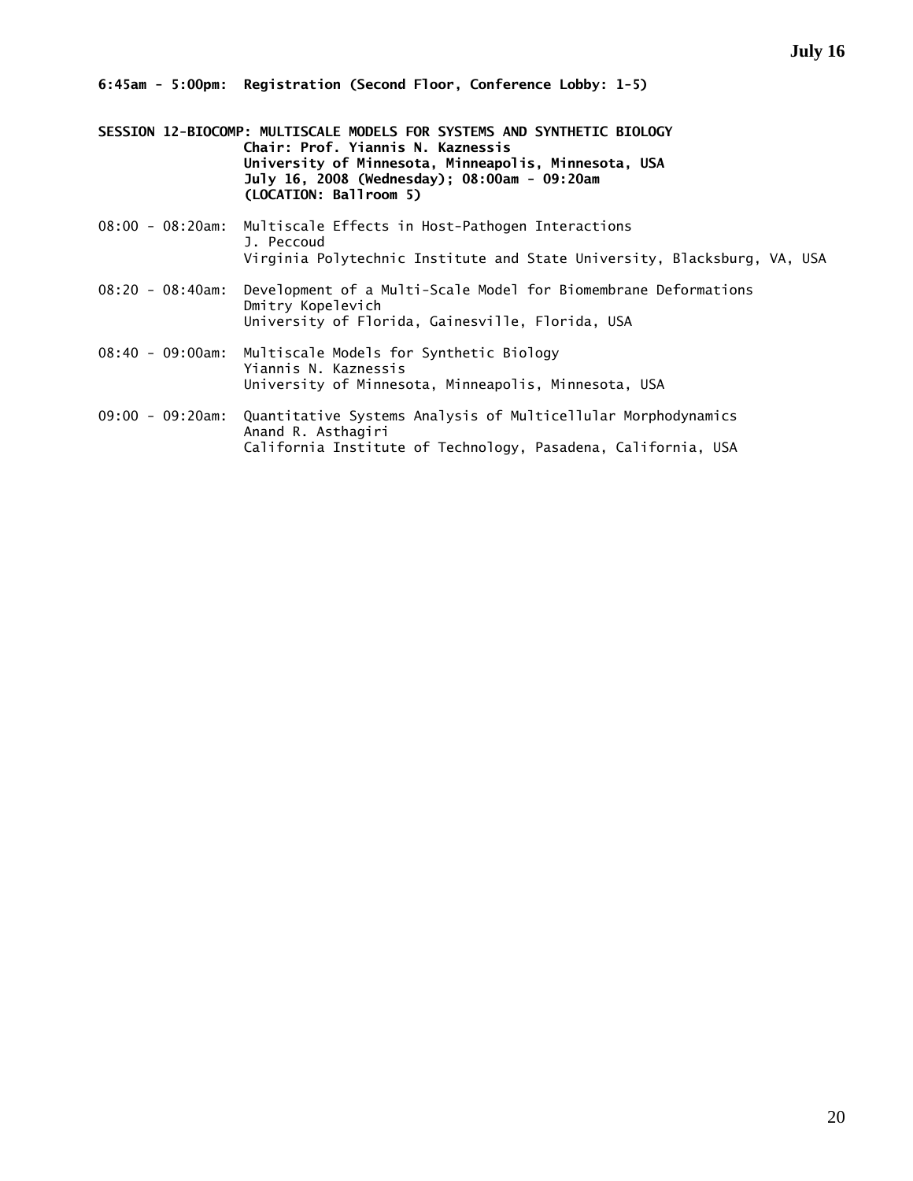**6:45am - 5:00pm: Registration (Second Floor, Conference Lobby: 1-5)** 

- **SESSION 12-BIOCOMP: MULTISCALE MODELS FOR SYSTEMS AND SYNTHETIC BIOLOGY Chair: Prof. Yiannis N. Kaznessis University of Minnesota, Minneapolis, Minnesota, USA July 16, 2008 (Wednesday); 08:00am - 09:20am (LOCATION: Ballroom 5)**
- 08:00 08:20am: Multiscale Effects in Host-Pathogen Interactions J. Peccoud Virginia Polytechnic Institute and State University, Blacksburg, VA, USA
- 08:20 08:40am: Development of a Multi-Scale Model for Biomembrane Deformations Dmitry Kopelevich University of Florida, Gainesville, Florida, USA
- 08:40 09:00am: Multiscale Models for Synthetic Biology Yiannis N. Kaznessis University of Minnesota, Minneapolis, Minnesota, USA
- 09:00 09:20am: Quantitative Systems Analysis of Multicellular Morphodynamics Anand R. Asthagiri California Institute of Technology, Pasadena, California, USA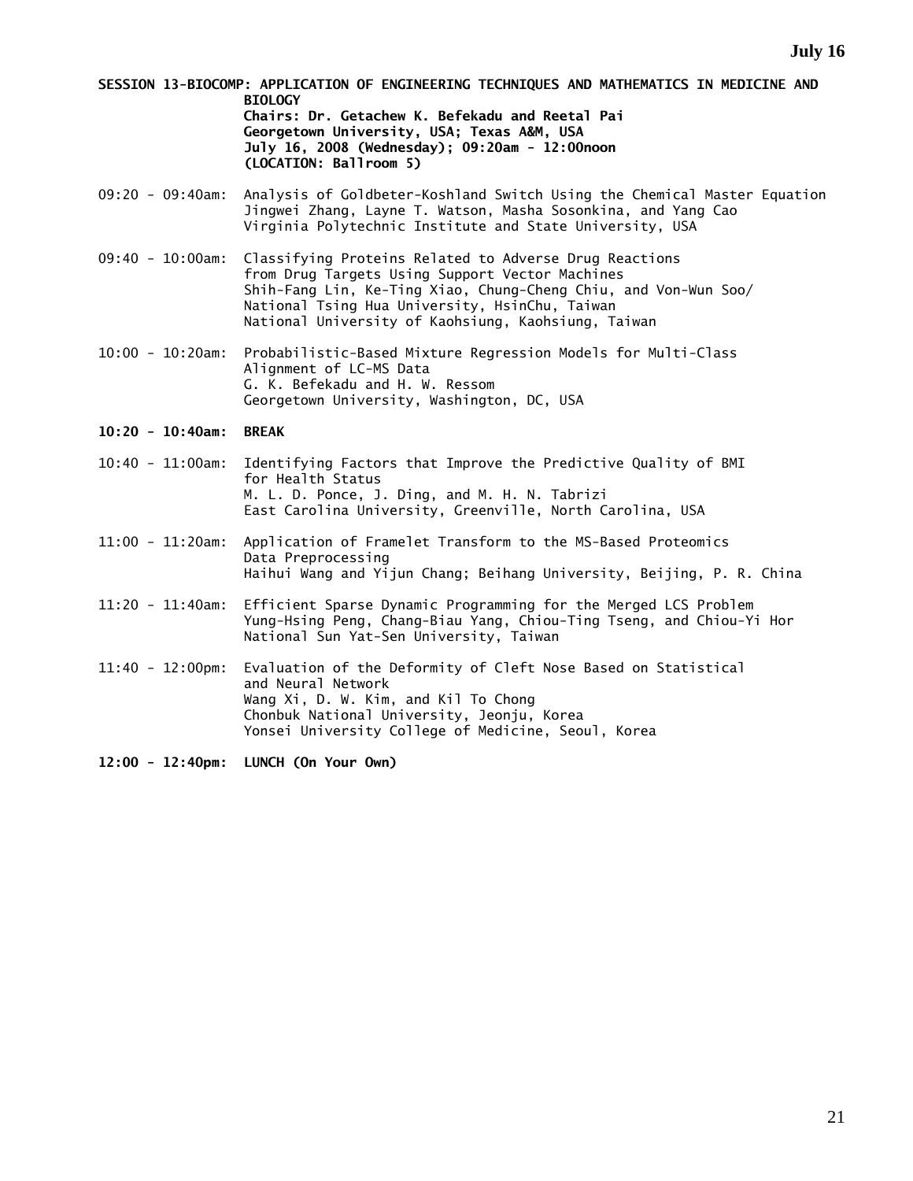**SESSION 13-BIOCOMP: APPLICATION OF ENGINEERING TECHNIQUES AND MATHEMATICS IN MEDICINE AND BIOLOGY Chairs: Dr. Getachew K. Befekadu and Reetal Pai Georgetown University, USA; Texas A&M, USA July 16, 2008 (Wednesday); 09:20am - 12:00noon (LOCATION: Ballroom 5)** 

- 09:20 09:40am: Analysis of Goldbeter-Koshland Switch Using the Chemical Master Equation Jingwei Zhang, Layne T. Watson, Masha Sosonkina, and Yang Cao Virginia Polytechnic Institute and State University, USA
- 09:40 10:00am: Classifying Proteins Related to Adverse Drug Reactions from Drug Targets Using Support Vector Machines Shih-Fang Lin, Ke-Ting Xiao, Chung-Cheng Chiu, and Von-Wun Soo/ National Tsing Hua University, HsinChu, Taiwan National University of Kaohsiung, Kaohsiung, Taiwan
- 10:00 10:20am: Probabilistic-Based Mixture Regression Models for Multi-Class Alignment of LC-MS Data G. K. Befekadu and H. W. Ressom Georgetown University, Washington, DC, USA
- **10:20 10:40am: BREAK**
- 10:40 11:00am: Identifying Factors that Improve the Predictive Quality of BMI for Health Status M. L. D. Ponce, J. Ding, and M. H. N. Tabrizi East Carolina University, Greenville, North Carolina, USA
- 11:00 11:20am: Application of Framelet Transform to the MS-Based Proteomics Data Preprocessing Haihui Wang and Yijun Chang; Beihang University, Beijing, P. R. China
- 11:20 11:40am: Efficient Sparse Dynamic Programming for the Merged LCS Problem Yung-Hsing Peng, Chang-Biau Yang, Chiou-Ting Tseng, and Chiou-Yi Hor National Sun Yat-Sen University, Taiwan
- 11:40 12:00pm: Evaluation of the Deformity of Cleft Nose Based on Statistical and Neural Network Wang Xi, D. W. Kim, and Kil To Chong Chonbuk National University, Jeonju, Korea Yonsei University College of Medicine, Seoul, Korea

**12:00 - 12:40pm: LUNCH (On Your Own)**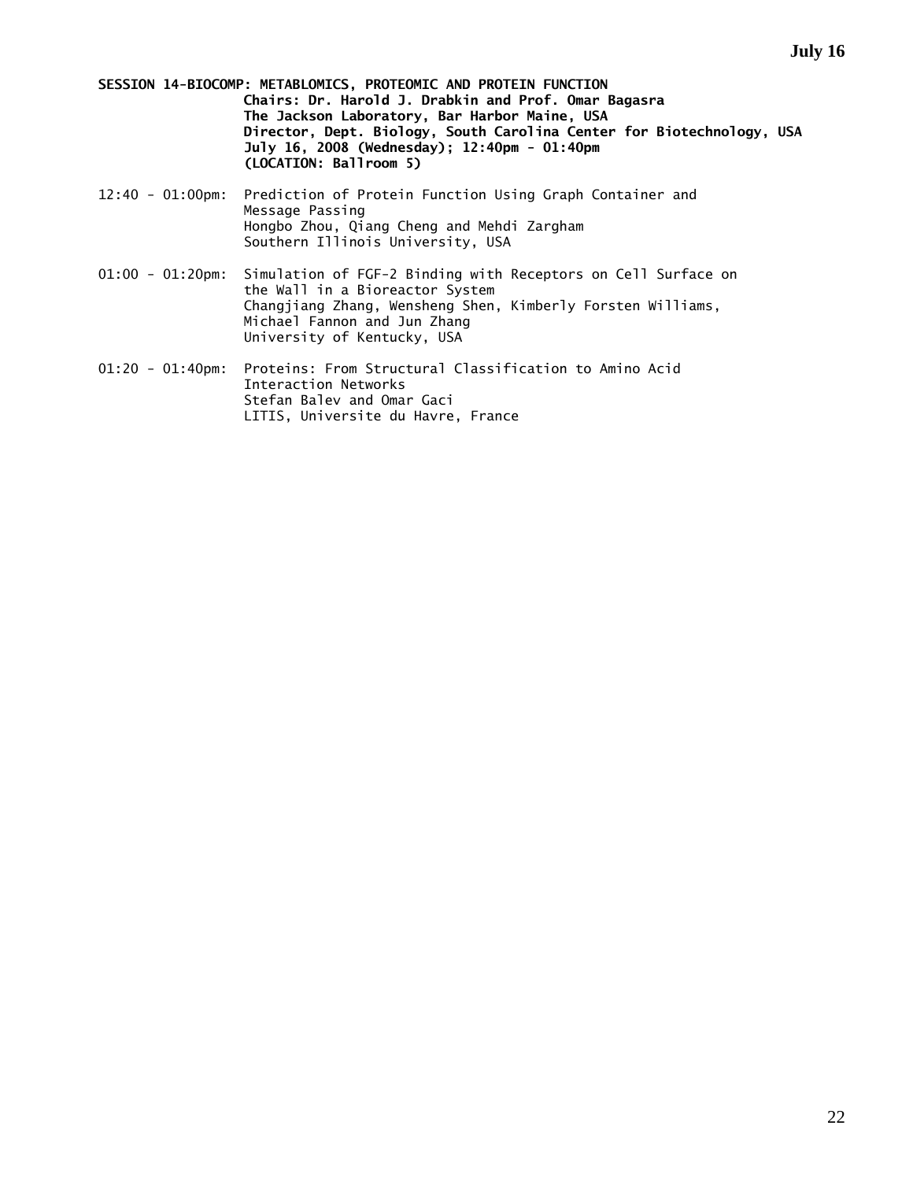**SESSION 14-BIOCOMP: METABLOMICS, PROTEOMIC AND PROTEIN FUNCTION Chairs: Dr. Harold J. Drabkin and Prof. Omar Bagasra The Jackson Laboratory, Bar Harbor Maine, USA Director, Dept. Biology, South Carolina Center for Biotechnology, USA July 16, 2008 (Wednesday); 12:40pm - 01:40pm (LOCATION: Ballroom 5)** 

- 12:40 01:00pm: Prediction of Protein Function Using Graph Container and Message Passing Hongbo Zhou, Qiang Cheng and Mehdi Zargham Southern Illinois University, USA
- 01:00 01:20pm: Simulation of FGF-2 Binding with Receptors on Cell Surface on the Wall in a Bioreactor System Changjiang Zhang, Wensheng Shen, Kimberly Forsten Williams, Michael Fannon and Jun Zhang University of Kentucky, USA
- 01:20 01:40pm: Proteins: From Structural Classification to Amino Acid Interaction Networks Stefan Balev and Omar Gaci LITIS, Universite du Havre, France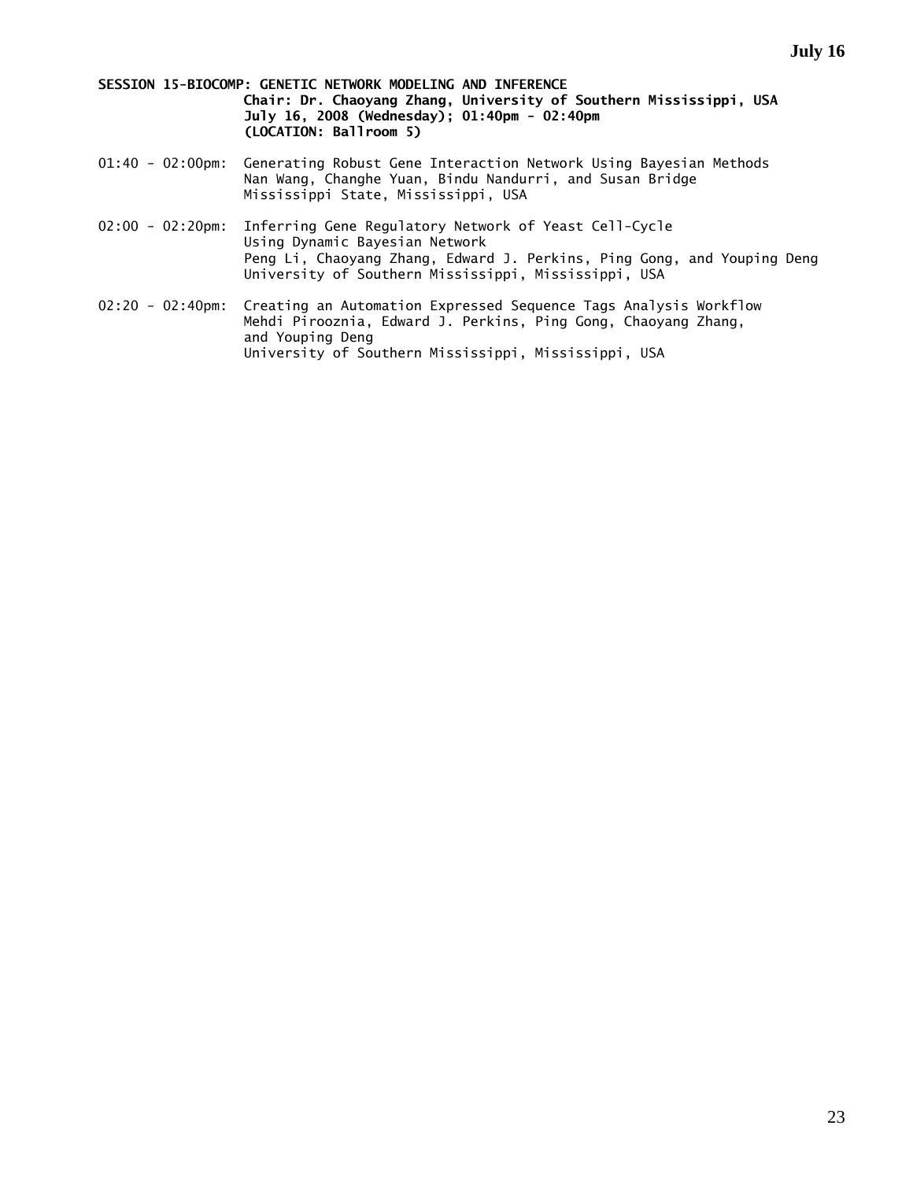**SESSION 15-BIOCOMP: GENETIC NETWORK MODELING AND INFERENCE Chair: Dr. Chaoyang Zhang, University of Southern Mississippi, USA July 16, 2008 (Wednesday); 01:40pm - 02:40pm (LOCATION: Ballroom 5)** 

- 01:40 02:00pm: Generating Robust Gene Interaction Network Using Bayesian Methods Nan Wang, Changhe Yuan, Bindu Nandurri, and Susan Bridge Mississippi State, Mississippi, USA
- 02:00 02:20pm: Inferring Gene Regulatory Network of Yeast Cell-Cycle Using Dynamic Bayesian Network Peng Li, Chaoyang Zhang, Edward J. Perkins, Ping Gong, and Youping Deng University of Southern Mississippi, Mississippi, USA
- 02:20 02:40pm: Creating an Automation Expressed Sequence Tags Analysis Workflow Mehdi Pirooznia, Edward J. Perkins, Ping Gong, Chaoyang Zhang, and Youping Deng University of Southern Mississippi, Mississippi, USA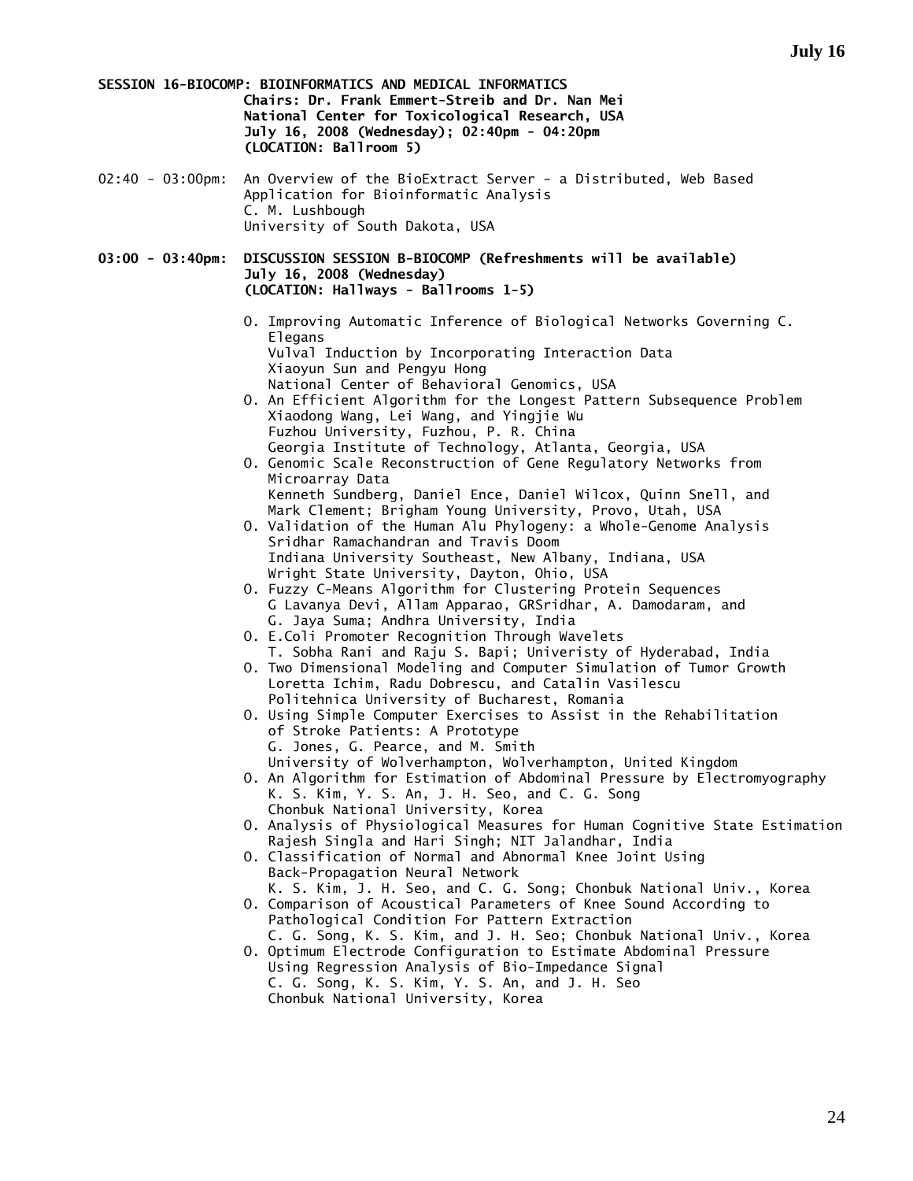**SESSION 16-BIOCOMP: BIOINFORMATICS AND MEDICAL INFORMATICS Chairs: Dr. Frank Emmert-Streib and Dr. Nan Mei National Center for Toxicological Research, USA July 16, 2008 (Wednesday); 02:40pm - 04:20pm (LOCATION: Ballroom 5)** 

02:40 - 03:00pm: An Overview of the BioExtract Server - a Distributed, Web Based Application for Bioinformatic Analysis C. M. Lushbough University of South Dakota, USA

**03:00 - 03:40pm: DISCUSSION SESSION B-BIOCOMP (Refreshments will be available) July 16, 2008 (Wednesday) (LOCATION: Hallways - Ballrooms 1-5)** 

- O. Improving Automatic Inference of Biological Networks Governing C. Elegans Vulval Induction by Incorporating Interaction Data Xiaoyun Sun and Pengyu Hong National Center of Behavioral Genomics, USA
- O. An Efficient Algorithm for the Longest Pattern Subsequence Problem Xiaodong Wang, Lei Wang, and Yingjie Wu Fuzhou University, Fuzhou, P. R. China Georgia Institute of Technology, Atlanta, Georgia, USA
- O. Genomic Scale Reconstruction of Gene Regulatory Networks from Microarray Data Kenneth Sundberg, Daniel Ence, Daniel Wilcox, Quinn Snell, and
- Mark Clement; Brigham Young University, Provo, Utah, USA O. Validation of the Human Alu Phylogeny: a Whole-Genome Analysis Sridhar Ramachandran and Travis Doom Indiana University Southeast, New Albany, Indiana, USA
- Wright State University, Dayton, Ohio, USA O. Fuzzy C-Means Algorithm for Clustering Protein Sequences
- G Lavanya Devi, Allam Apparao, GRSridhar, A. Damodaram, and G. Jaya Suma; Andhra University, India
- O. E.Coli Promoter Recognition Through Wavelets
- T. Sobha Rani and Raju S. Bapi; Univeristy of Hyderabad, India O. Two Dimensional Modeling and Computer Simulation of Tumor Growth Loretta Ichim, Radu Dobrescu, and Catalin Vasilescu Politehnica University of Bucharest, Romania
- O. Using Simple Computer Exercises to Assist in the Rehabilitation of Stroke Patients: A Prototype G. Jones, G. Pearce, and M. Smith
- University of Wolverhampton, Wolverhampton, United Kingdom O. An Algorithm for Estimation of Abdominal Pressure by Electromyography
- K. S. Kim, Y. S. An, J. H. Seo, and C. G. Song Chonbuk National University, Korea
- O. Analysis of Physiological Measures for Human Cognitive State Estimation Rajesh Singla and Hari Singh; NIT Jalandhar, India
- O. Classification of Normal and Abnormal Knee Joint Using Back-Propagation Neural Network K. S. Kim, J. H. Seo, and C. G. Song; Chonbuk National Univ., Korea
- O. Comparison of Acoustical Parameters of Knee Sound According to Pathological Condition For Pattern Extraction
- C. G. Song, K. S. Kim, and J. H. Seo; Chonbuk National Univ., Korea O. Optimum Electrode Configuration to Estimate Abdominal Pressure
	- Using Regression Analysis of Bio-Impedance Signal C. G. Song, K. S. Kim, Y. S. An, and J. H. Seo Chonbuk National University, Korea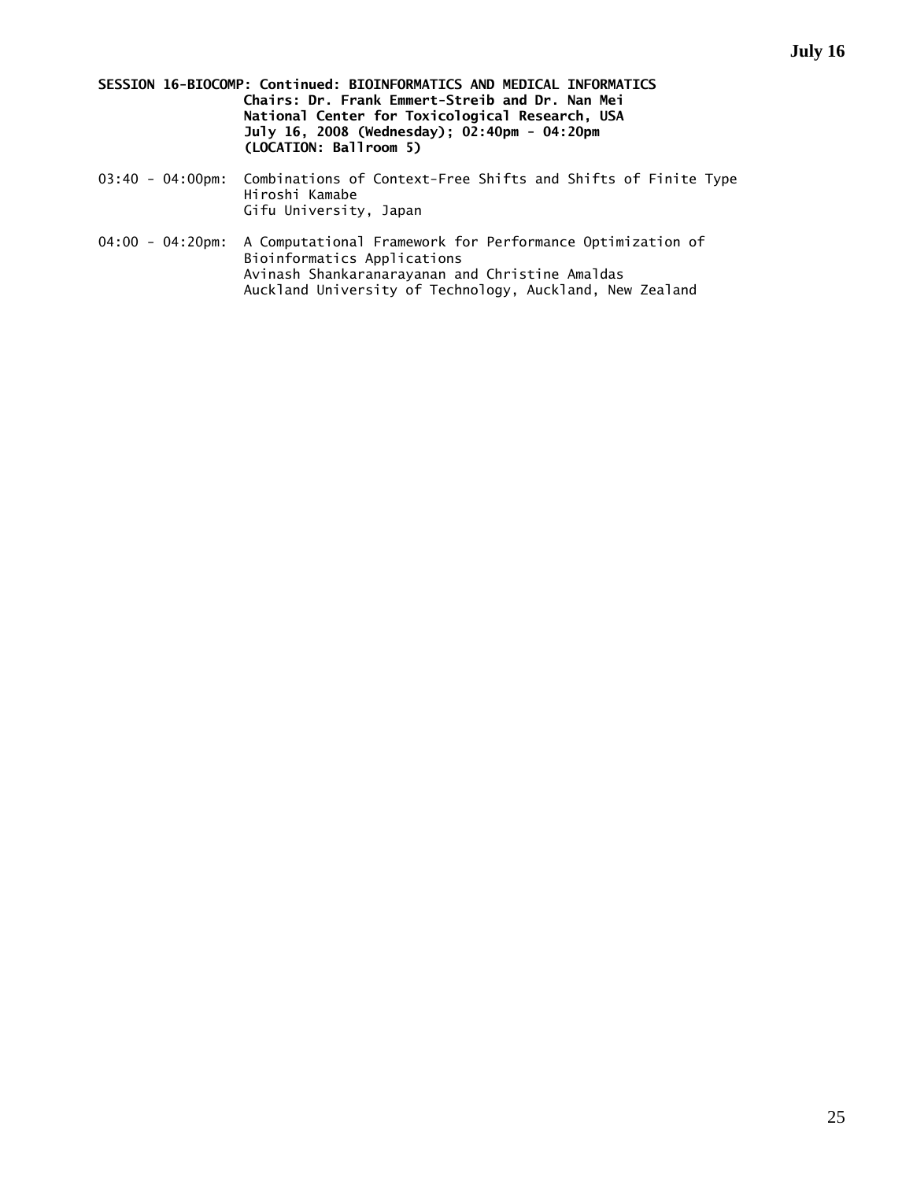- **SESSION 16-BIOCOMP: Continued: BIOINFORMATICS AND MEDICAL INFORMATICS Chairs: Dr. Frank Emmert-Streib and Dr. Nan Mei National Center for Toxicological Research, USA July 16, 2008 (Wednesday); 02:40pm - 04:20pm (LOCATION: Ballroom 5)**
- 03:40 04:00pm: Combinations of Context-Free Shifts and Shifts of Finite Type Hiroshi Kamabe Gifu University, Japan
- 04:00 04:20pm: A Computational Framework for Performance Optimization of Bioinformatics Applications Avinash Shankaranarayanan and Christine Amaldas Auckland University of Technology, Auckland, New Zealand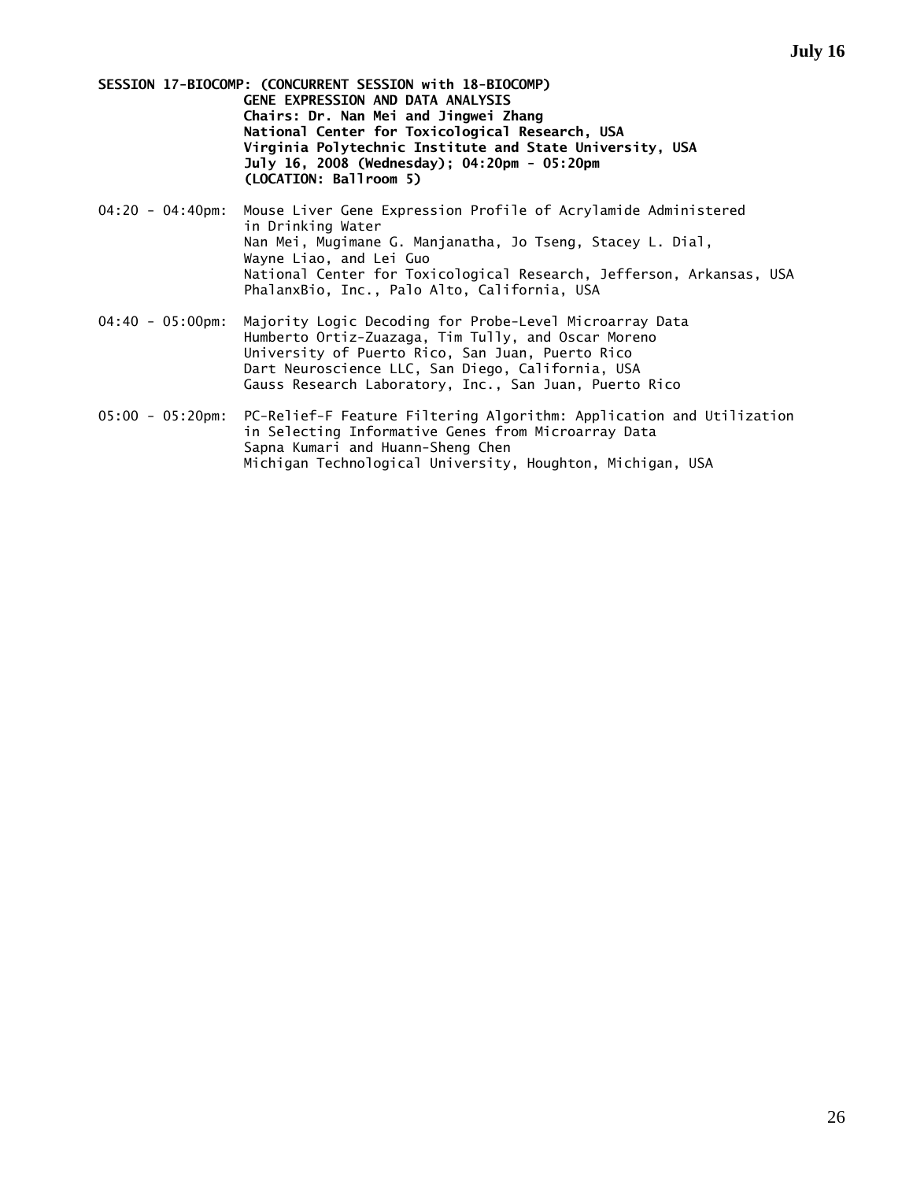**SESSION 17-BIOCOMP: (CONCURRENT SESSION with 18-BIOCOMP) GENE EXPRESSION AND DATA ANALYSIS Chairs: Dr. Nan Mei and Jingwei Zhang National Center for Toxicological Research, USA Virginia Polytechnic Institute and State University, USA July 16, 2008 (Wednesday); 04:20pm - 05:20pm (LOCATION: Ballroom 5)** 

- 04:20 04:40pm: Mouse Liver Gene Expression Profile of Acrylamide Administered in Drinking Water Nan Mei, Mugimane G. Manjanatha, Jo Tseng, Stacey L. Dial, Wayne Liao, and Lei Guo National Center for Toxicological Research, Jefferson, Arkansas, USA PhalanxBio, Inc., Palo Alto, California, USA
- 04:40 05:00pm: Majority Logic Decoding for Probe-Level Microarray Data Humberto Ortiz-Zuazaga, Tim Tully, and Oscar Moreno University of Puerto Rico, San Juan, Puerto Rico Dart Neuroscience LLC, San Diego, California, USA Gauss Research Laboratory, Inc., San Juan, Puerto Rico
- 05:00 05:20pm: PC-Relief-F Feature Filtering Algorithm: Application and Utilization in Selecting Informative Genes from Microarray Data Sapna Kumari and Huann-Sheng Chen Michigan Technological University, Houghton, Michigan, USA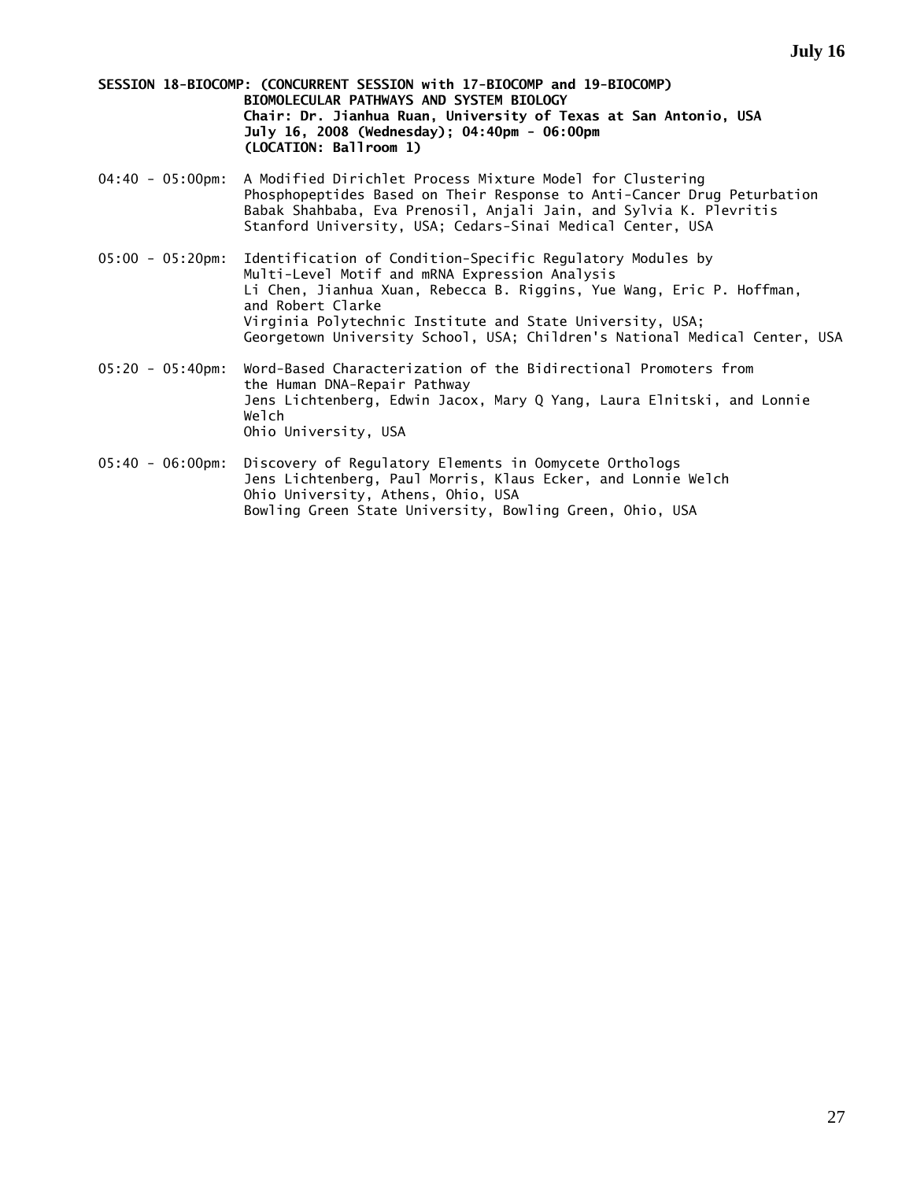**SESSION 18-BIOCOMP: (CONCURRENT SESSION with 17-BIOCOMP and 19-BIOCOMP) BIOMOLECULAR PATHWAYS AND SYSTEM BIOLOGY Chair: Dr. Jianhua Ruan, University of Texas at San Antonio, USA July 16, 2008 (Wednesday); 04:40pm - 06:00pm (LOCATION: Ballroom 1)** 

- 04:40 05:00pm: A Modified Dirichlet Process Mixture Model for Clustering Phosphopeptides Based on Their Response to Anti-Cancer Drug Peturbation Babak Shahbaba, Eva Prenosil, Anjali Jain, and Sylvia K. Plevritis Stanford University, USA; Cedars-Sinai Medical Center, USA
- 05:00 05:20pm: Identification of Condition-Specific Regulatory Modules by Multi-Level Motif and mRNA Expression Analysis Li Chen, Jianhua Xuan, Rebecca B. Riggins, Yue Wang, Eric P. Hoffman, and Robert Clarke Virginia Polytechnic Institute and State University, USA; Georgetown University School, USA; Children's National Medical Center, USA
- 05:20 05:40pm: Word-Based Characterization of the Bidirectional Promoters from the Human DNA-Repair Pathway Jens Lichtenberg, Edwin Jacox, Mary Q Yang, Laura Elnitski, and Lonnie Welch Ohio University, USA
- 05:40 06:00pm: Discovery of Regulatory Elements in Oomycete Orthologs Jens Lichtenberg, Paul Morris, Klaus Ecker, and Lonnie Welch Ohio University, Athens, Ohio, USA Bowling Green State University, Bowling Green, Ohio, USA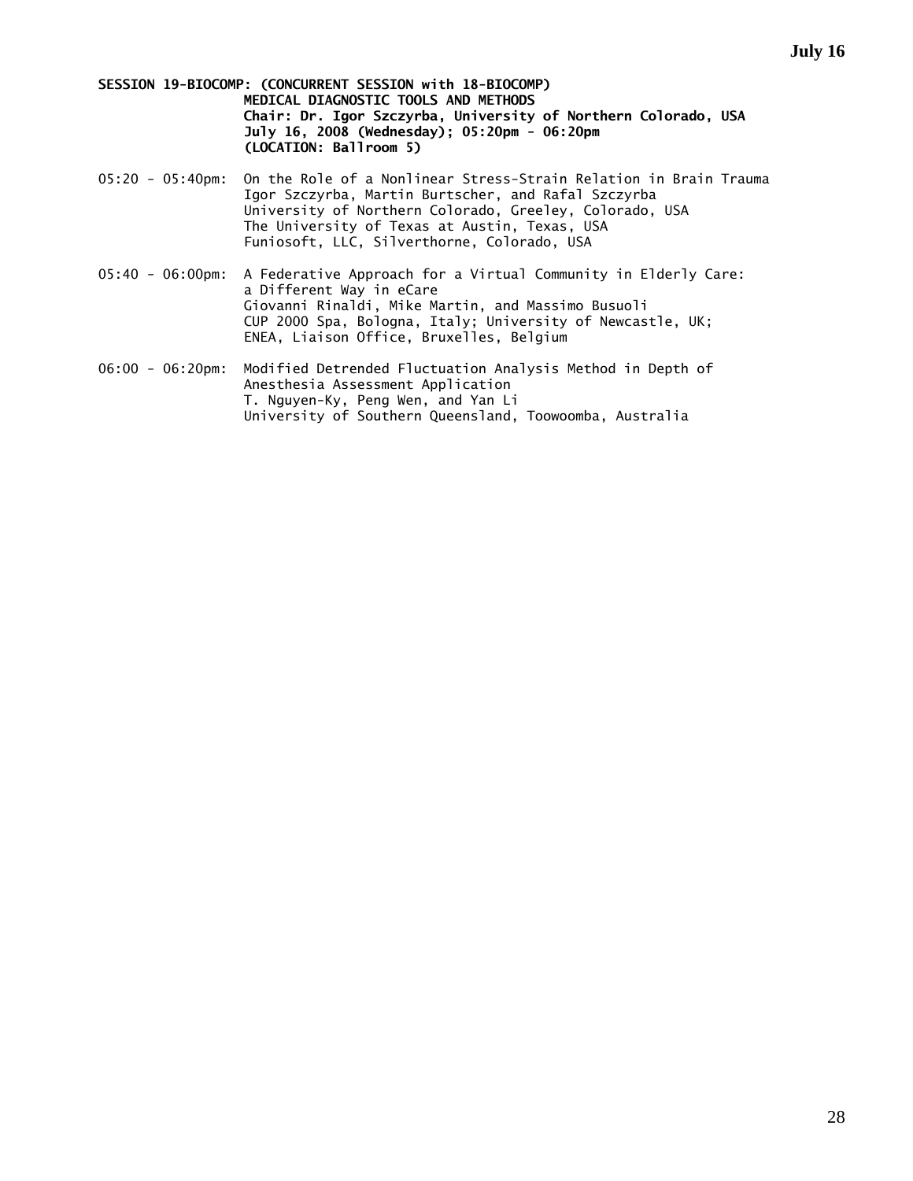**SESSION 19-BIOCOMP: (CONCURRENT SESSION with 18-BIOCOMP) MEDICAL DIAGNOSTIC TOOLS AND METHODS Chair: Dr. Igor Szczyrba, University of Northern Colorado, USA July 16, 2008 (Wednesday); 05:20pm - 06:20pm (LOCATION: Ballroom 5)** 

- 05:20 05:40pm: On the Role of a Nonlinear Stress-Strain Relation in Brain Trauma Igor Szczyrba, Martin Burtscher, and Rafal Szczyrba University of Northern Colorado, Greeley, Colorado, USA The University of Texas at Austin, Texas, USA Funiosoft, LLC, Silverthorne, Colorado, USA
- 05:40 06:00pm: A Federative Approach for a Virtual Community in Elderly Care: a Different Way in eCare Giovanni Rinaldi, Mike Martin, and Massimo Busuoli CUP 2000 Spa, Bologna, Italy; University of Newcastle, UK; ENEA, Liaison Office, Bruxelles, Belgium
- 06:00 06:20pm: Modified Detrended Fluctuation Analysis Method in Depth of Anesthesia Assessment Application T. Nguyen-Ky, Peng Wen, and Yan Li University of Southern Queensland, Toowoomba, Australia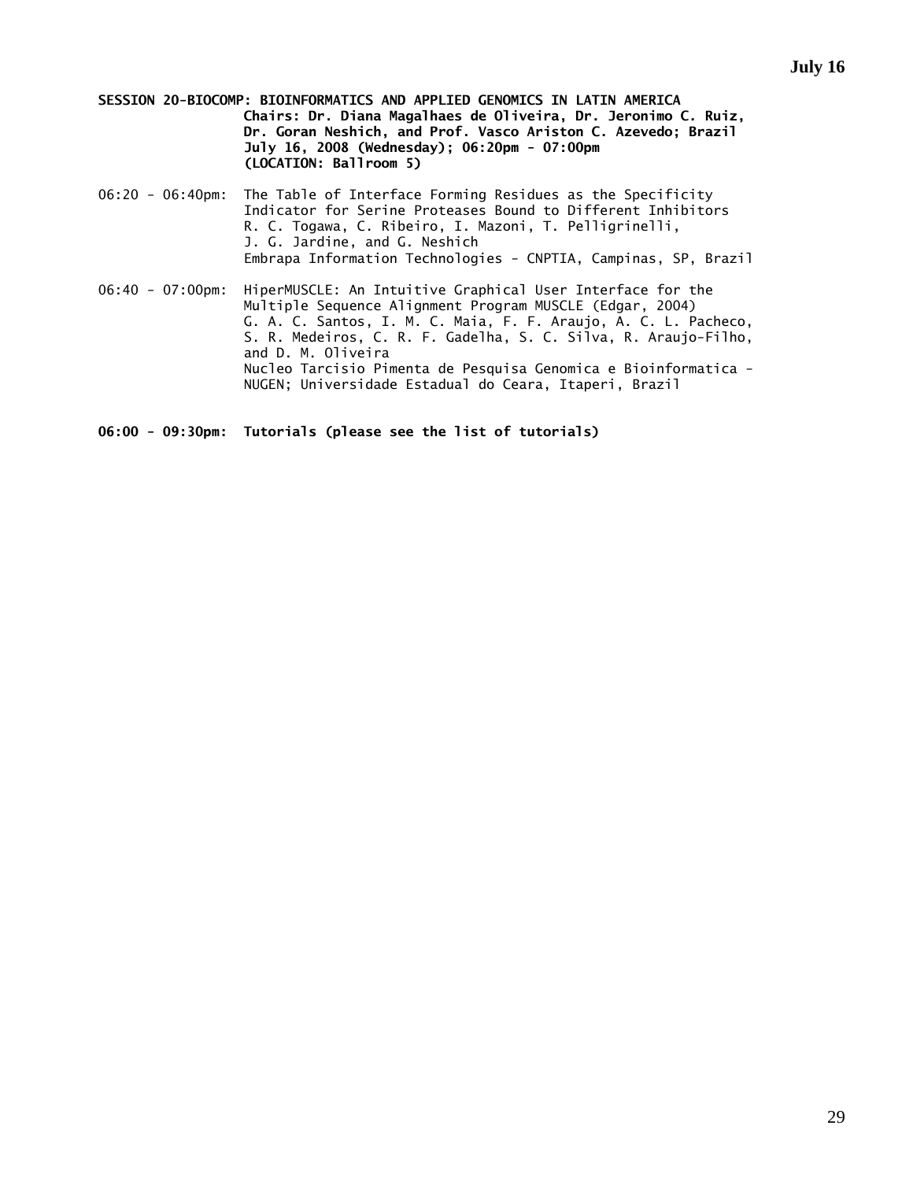**SESSION 20-BIOCOMP: BIOINFORMATICS AND APPLIED GENOMICS IN LATIN AMERICA Chairs: Dr. Diana Magalhaes de Oliveira, Dr. Jeronimo C. Ruiz, Dr. Goran Neshich, and Prof. Vasco Ariston C. Azevedo; Brazil July 16, 2008 (Wednesday); 06:20pm - 07:00pm (LOCATION: Ballroom 5)** 

- 06:20 06:40pm: The Table of Interface Forming Residues as the Specificity Indicator for Serine Proteases Bound to Different Inhibitors R. C. Togawa, C. Ribeiro, I. Mazoni, T. Pelligrinelli, J. G. Jardine, and G. Neshich Embrapa Information Technologies - CNPTIA, Campinas, SP, Brazil
- 06:40 07:00pm: HiperMUSCLE: An Intuitive Graphical User Interface for the Multiple Sequence Alignment Program MUSCLE (Edgar, 2004) G. A. C. Santos, I. M. C. Maia, F. F. Araujo, A. C. L. Pacheco, S. R. Medeiros, C. R. F. Gadelha, S. C. Silva, R. Araujo-Filho, and D. M. Oliveira Nucleo Tarcisio Pimenta de Pesquisa Genomica e Bioinformatica - NUGEN; Universidade Estadual do Ceara, Itaperi, Brazil

**06:00 - 09:30pm: Tutorials (please see the list of tutorials)**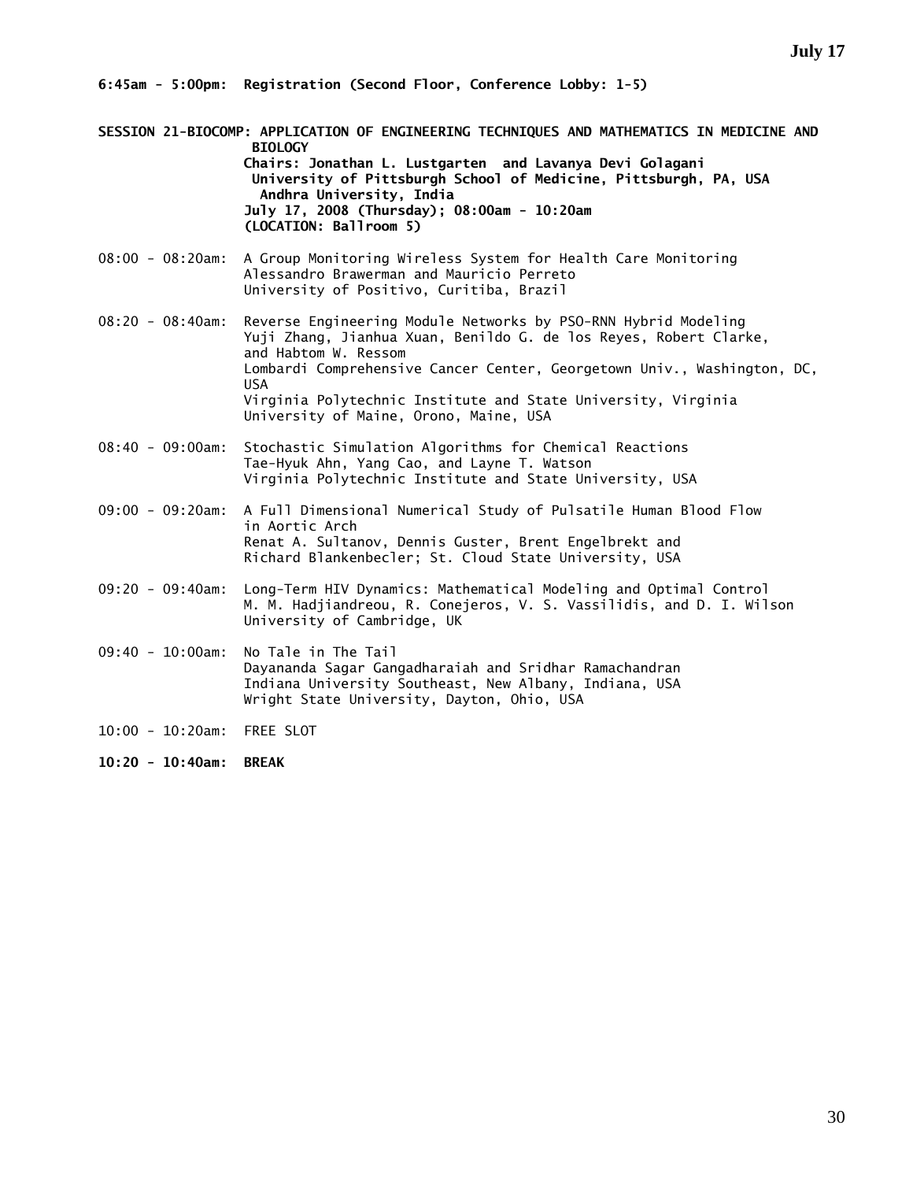**6:45am - 5:00pm: Registration (Second Floor, Conference Lobby: 1-5)** 

- **SESSION 21-BIOCOMP: APPLICATION OF ENGINEERING TECHNIQUES AND MATHEMATICS IN MEDICINE AND BIOLOGY Chairs: Jonathan L. Lustgarten and Lavanya Devi Golagani University of Pittsburgh School of Medicine, Pittsburgh, PA, USA Andhra University, India July 17, 2008 (Thursday); 08:00am - 10:20am (LOCATION: Ballroom 5)**
- 08:00 08:20am: A Group Monitoring Wireless System for Health Care Monitoring Alessandro Brawerman and Mauricio Perreto University of Positivo, Curitiba, Brazil
- 08:20 08:40am: Reverse Engineering Module Networks by PSO-RNN Hybrid Modeling Yuji Zhang, Jianhua Xuan, Benildo G. de los Reyes, Robert Clarke, and Habtom W. Ressom Lombardi Comprehensive Cancer Center, Georgetown Univ., Washington, DC, USA Virginia Polytechnic Institute and State University, Virginia University of Maine, Orono, Maine, USA
- 08:40 09:00am: Stochastic Simulation Algorithms for Chemical Reactions Tae-Hyuk Ahn, Yang Cao, and Layne T. Watson Virginia Polytechnic Institute and State University, USA
- 09:00 09:20am: A Full Dimensional Numerical Study of Pulsatile Human Blood Flow in Aortic Arch Renat A. Sultanov, Dennis Guster, Brent Engelbrekt and Richard Blankenbecler; St. Cloud State University, USA
- 09:20 09:40am: Long-Term HIV Dynamics: Mathematical Modeling and Optimal Control M. M. Hadjiandreou, R. Conejeros, V. S. Vassilidis, and D. I. Wilson University of Cambridge, UK
- 09:40 10:00am: No Tale in The Tail Dayananda Sagar Gangadharaiah and Sridhar Ramachandran Indiana University Southeast, New Albany, Indiana, USA Wright State University, Dayton, Ohio, USA
- 10:00 10:20am: FREE SLOT
- **10:20 10:40am: BREAK**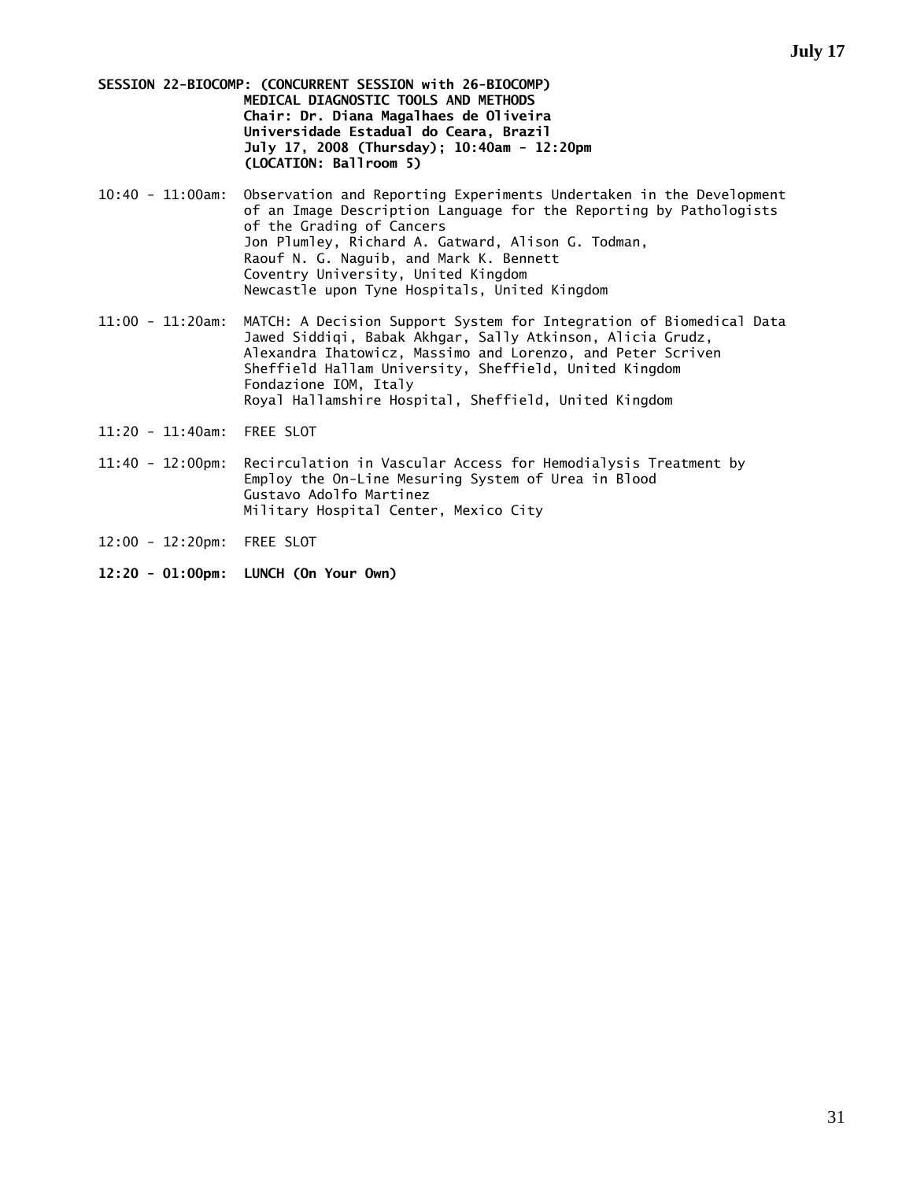**SESSION 22-BIOCOMP: (CONCURRENT SESSION with 26-BIOCOMP) MEDICAL DIAGNOSTIC TOOLS AND METHODS Chair: Dr. Diana Magalhaes de Oliveira Universidade Estadual do Ceara, Brazil July 17, 2008 (Thursday); 10:40am - 12:20pm (LOCATION: Ballroom 5)** 

- 10:40 11:00am: Observation and Reporting Experiments Undertaken in the Development of an Image Description Language for the Reporting by Pathologists of the Grading of Cancers Jon Plumley, Richard A. Gatward, Alison G. Todman, Raouf N. G. Naguib, and Mark K. Bennett Coventry University, United Kingdom Newcastle upon Tyne Hospitals, United Kingdom
- 11:00 11:20am: MATCH: A Decision Support System for Integration of Biomedical Data Jawed Siddiqi, Babak Akhgar, Sally Atkinson, Alicia Grudz, Alexandra Ihatowicz, Massimo and Lorenzo, and Peter Scriven Sheffield Hallam University, Sheffield, United Kingdom Fondazione IOM, Italy Royal Hallamshire Hospital, Sheffield, United Kingdom
- 11:20 11:40am: FREE SLOT
- 11:40 12:00pm: Recirculation in Vascular Access for Hemodialysis Treatment by Employ the On-Line Mesuring System of Urea in Blood Gustavo Adolfo Martinez Military Hospital Center, Mexico City
- 12:00 12:20pm: FREE SLOT
- **12:20 01:00pm: LUNCH (On Your Own)**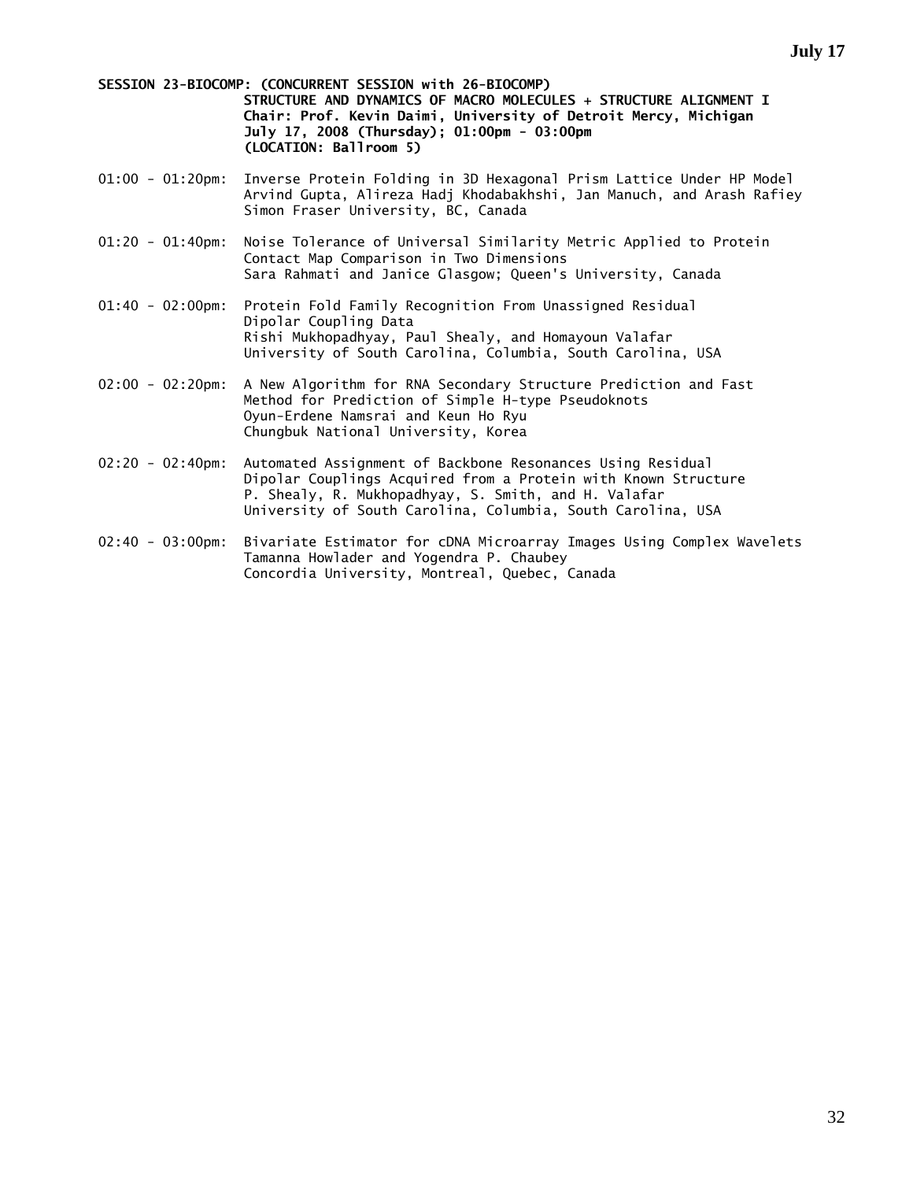**SESSION 23-BIOCOMP: (CONCURRENT SESSION with 26-BIOCOMP) STRUCTURE AND DYNAMICS OF MACRO MOLECULES + STRUCTURE ALIGNMENT I Chair: Prof. Kevin Daimi, University of Detroit Mercy, Michigan July 17, 2008 (Thursday); 01:00pm - 03:00pm (LOCATION: Ballroom 5)** 

- 01:00 01:20pm: Inverse Protein Folding in 3D Hexagonal Prism Lattice Under HP Model Arvind Gupta, Alireza Hadj Khodabakhshi, Jan Manuch, and Arash Rafiey Simon Fraser University, BC, Canada
- 01:20 01:40pm: Noise Tolerance of Universal Similarity Metric Applied to Protein Contact Map Comparison in Two Dimensions Sara Rahmati and Janice Glasgow; Queen's University, Canada
- 01:40 02:00pm: Protein Fold Family Recognition From Unassigned Residual Dipolar Coupling Data Rishi Mukhopadhyay, Paul Shealy, and Homayoun Valafar University of South Carolina, Columbia, South Carolina, USA
- 02:00 02:20pm: A New Algorithm for RNA Secondary Structure Prediction and Fast Method for Prediction of Simple H-type Pseudoknots Oyun-Erdene Namsrai and Keun Ho Ryu Chungbuk National University, Korea
- 02:20 02:40pm: Automated Assignment of Backbone Resonances Using Residual Dipolar Couplings Acquired from a Protein with Known Structure P. Shealy, R. Mukhopadhyay, S. Smith, and H. Valafar University of South Carolina, Columbia, South Carolina, USA
- 02:40 03:00pm: Bivariate Estimator for cDNA Microarray Images Using Complex Wavelets Tamanna Howlader and Yogendra P. Chaubey Concordia University, Montreal, Quebec, Canada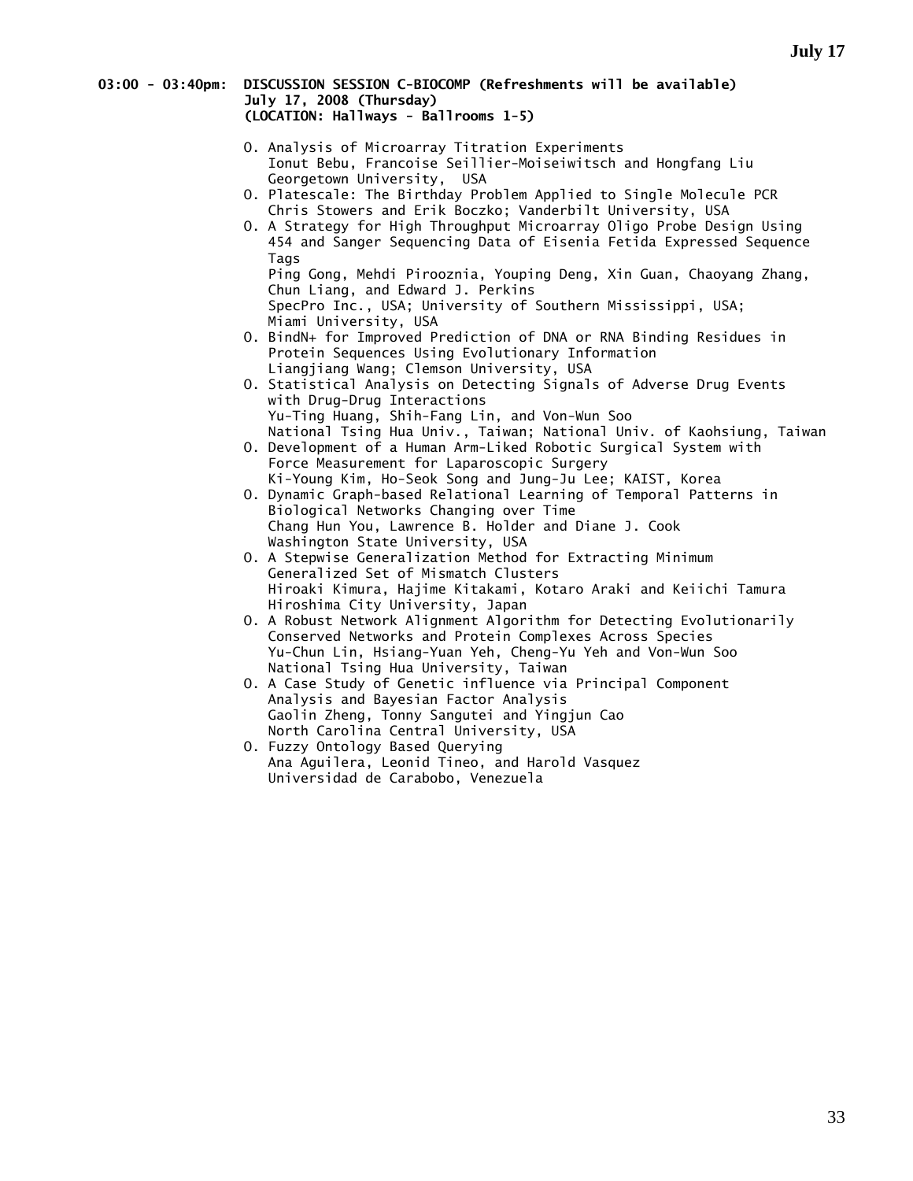#### **03:00 - 03:40pm: DISCUSSION SESSION C-BIOCOMP (Refreshments will be available) July 17, 2008 (Thursday) (LOCATION: Hallways - Ballrooms 1-5)**

- O. Analysis of Microarray Titration Experiments Ionut Bebu, Francoise Seillier-Moiseiwitsch and Hongfang Liu Georgetown University, USA
- O. Platescale: The Birthday Problem Applied to Single Molecule PCR Chris Stowers and Erik Boczko; Vanderbilt University, USA
- O. A Strategy for High Throughput Microarray Oligo Probe Design Using 454 and Sanger Sequencing Data of Eisenia Fetida Expressed Sequence Tags Ping Gong, Mehdi Pirooznia, Youping Deng, Xin Guan, Chaoyang Zhang, Chun Liang, and Edward J. Perkins SpecPro Inc., USA; University of Southern Mississippi, USA; Miami University, USA
- O. BindN+ for Improved Prediction of DNA or RNA Binding Residues in Protein Sequences Using Evolutionary Information Liangjiang Wang; Clemson University, USA
- O. Statistical Analysis on Detecting Signals of Adverse Drug Events with Drug-Drug Interactions Yu-Ting Huang, Shih-Fang Lin, and Von-Wun Soo National Tsing Hua Univ., Taiwan; National Univ. of Kaohsiung, Taiwan
- O. Development of a Human Arm-Liked Robotic Surgical System with Force Measurement for Laparoscopic Surgery Ki-Young Kim, Ho-Seok Song and Jung-Ju Lee; KAIST, Korea
- O. Dynamic Graph-based Relational Learning of Temporal Patterns in Biological Networks Changing over Time Chang Hun You, Lawrence B. Holder and Diane J. Cook Washington State University, USA
- O. A Stepwise Generalization Method for Extracting Minimum Generalized Set of Mismatch Clusters Hiroaki Kimura, Hajime Kitakami, Kotaro Araki and Keiichi Tamura Hiroshima City University, Japan
- O. A Robust Network Alignment Algorithm for Detecting Evolutionarily Conserved Networks and Protein Complexes Across Species Yu-Chun Lin, Hsiang-Yuan Yeh, Cheng-Yu Yeh and Von-Wun Soo National Tsing Hua University, Taiwan
- O. A Case Study of Genetic influence via Principal Component Analysis and Bayesian Factor Analysis Gaolin Zheng, Tonny Sangutei and Yingjun Cao North Carolina Central University, USA
- O. Fuzzy Ontology Based Querying Ana Aguilera, Leonid Tineo, and Harold Vasquez Universidad de Carabobo, Venezuela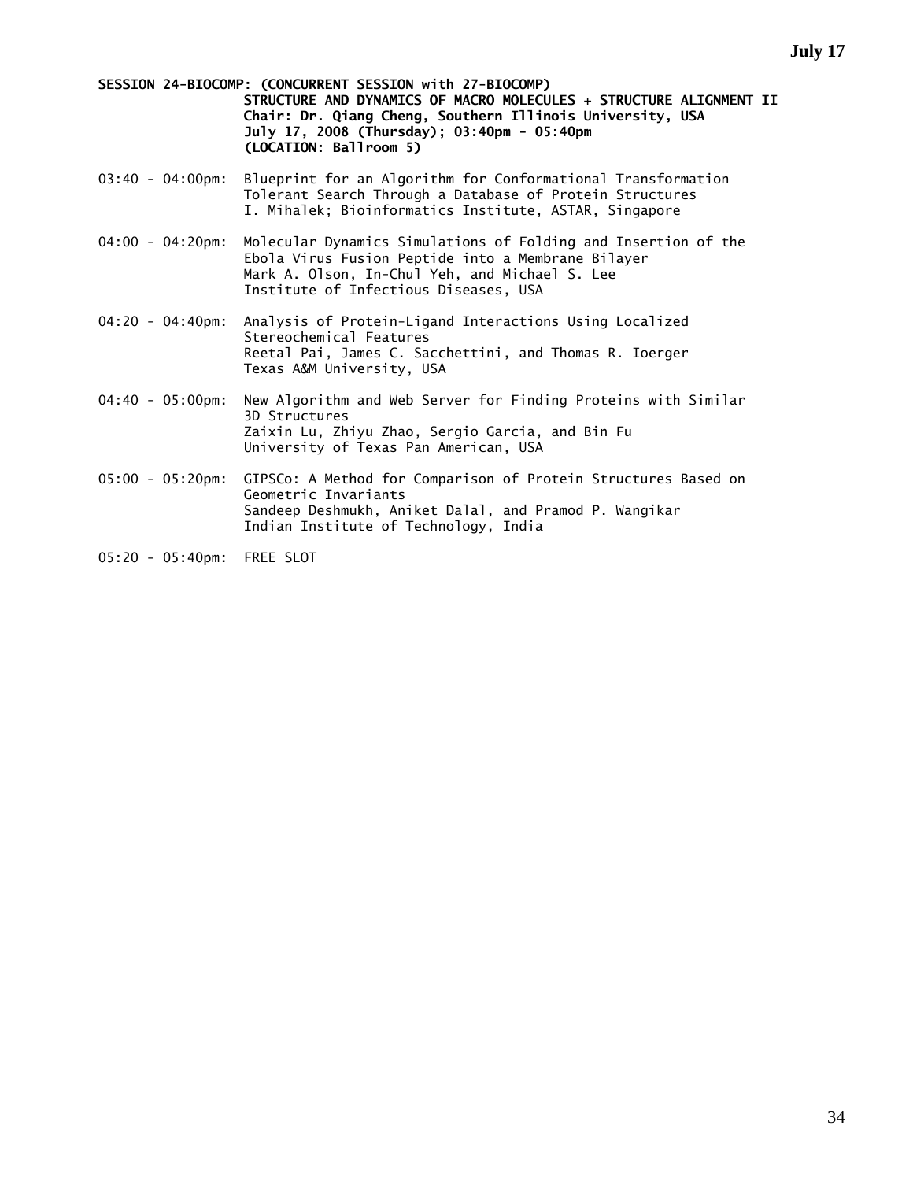**SESSION 24-BIOCOMP: (CONCURRENT SESSION with 27-BIOCOMP) STRUCTURE AND DYNAMICS OF MACRO MOLECULES + STRUCTURE ALIGNMENT II Chair: Dr. Qiang Cheng, Southern Illinois University, USA July 17, 2008 (Thursday); 03:40pm - 05:40pm (LOCATION: Ballroom 5)** 

- 03:40 04:00pm: Blueprint for an Algorithm for Conformational Transformation Tolerant Search Through a Database of Protein Structures I. Mihalek; Bioinformatics Institute, ASTAR, Singapore
- 04:00 04:20pm: Molecular Dynamics Simulations of Folding and Insertion of the Ebola Virus Fusion Peptide into a Membrane Bilayer Mark A. Olson, In-Chul Yeh, and Michael S. Lee Institute of Infectious Diseases, USA
- 04:20 04:40pm: Analysis of Protein-Ligand Interactions Using Localized Stereochemical Features Reetal Pai, James C. Sacchettini, and Thomas R. Ioerger Texas A&M University, USA
- 04:40 05:00pm: New Algorithm and Web Server for Finding Proteins with Similar 3D Structures Zaixin Lu, Zhiyu Zhao, Sergio Garcia, and Bin Fu University of Texas Pan American, USA
- 05:00 05:20pm: GIPSCo: A Method for Comparison of Protein Structures Based on Geometric Invariants Sandeep Deshmukh, Aniket Dalal, and Pramod P. Wangikar Indian Institute of Technology, India
- 05:20 05:40pm: FREE SLOT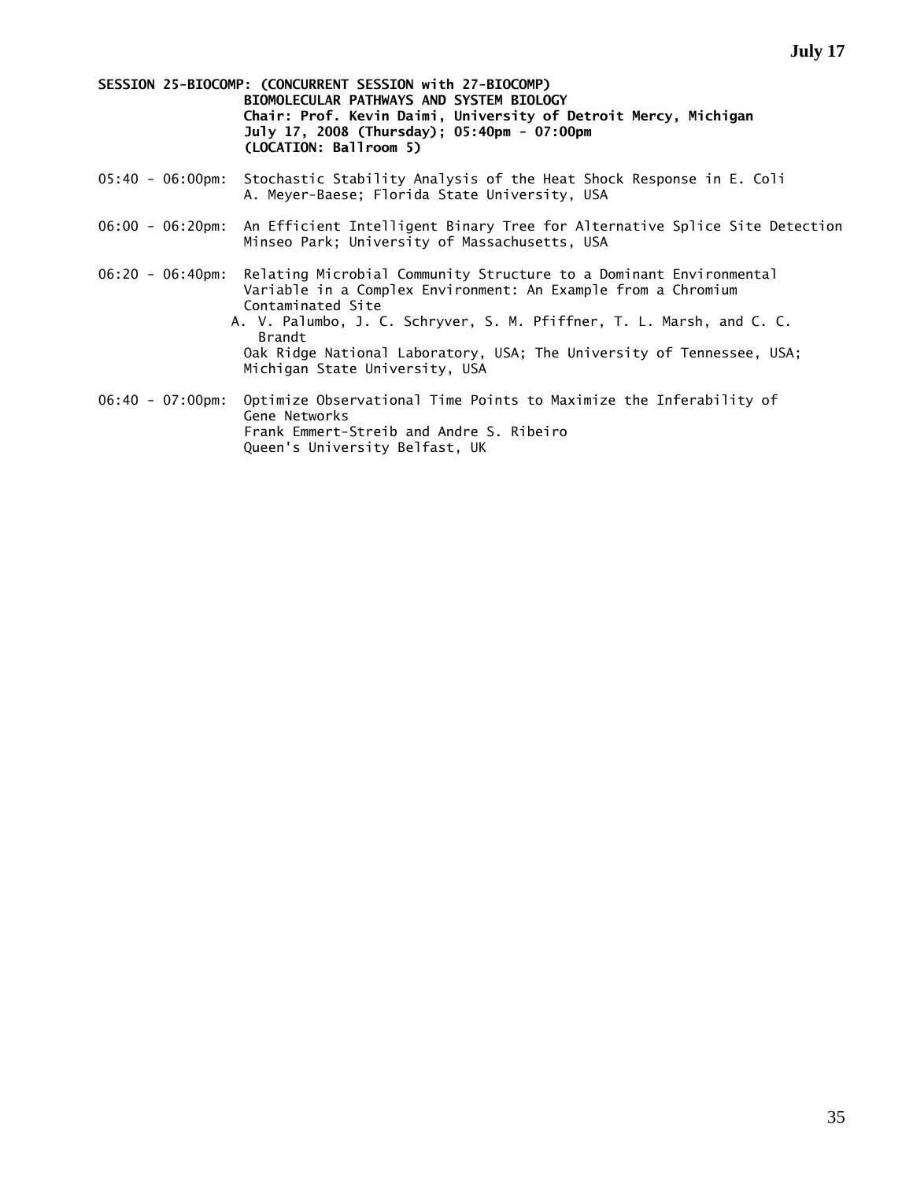**SESSION 25-BIOCOMP: (CONCURRENT SESSION with 27-BIOCOMP) BIOMOLECULAR PATHWAYS AND SYSTEM BIOLOGY Chair: Prof. Kevin Daimi, University of Detroit Mercy, Michigan July 17, 2008 (Thursday); 05:40pm - 07:00pm (LOCATION: Ballroom 5)** 

- 05:40 06:00pm: Stochastic Stability Analysis of the Heat Shock Response in E. Coli A. Meyer-Baese; Florida State University, USA
- 06:00 06:20pm: An Efficient Intelligent Binary Tree for Alternative Splice Site Detection Minseo Park; University of Massachusetts, USA
- 06:20 06:40pm: Relating Microbial Community Structure to a Dominant Environmental Variable in a Complex Environment: An Example from a Chromium Contaminated Site
	- A. V. Palumbo, J. C. Schryver, S. M. Pfiffner, T. L. Marsh, and C. C. Brandt Oak Ridge National Laboratory, USA; The University of Tennessee, USA; Michigan State University, USA
- 06:40 07:00pm: Optimize Observational Time Points to Maximize the Inferability of Gene Networks Frank Emmert-Streib and Andre S. Ribeiro Queen's University Belfast, UK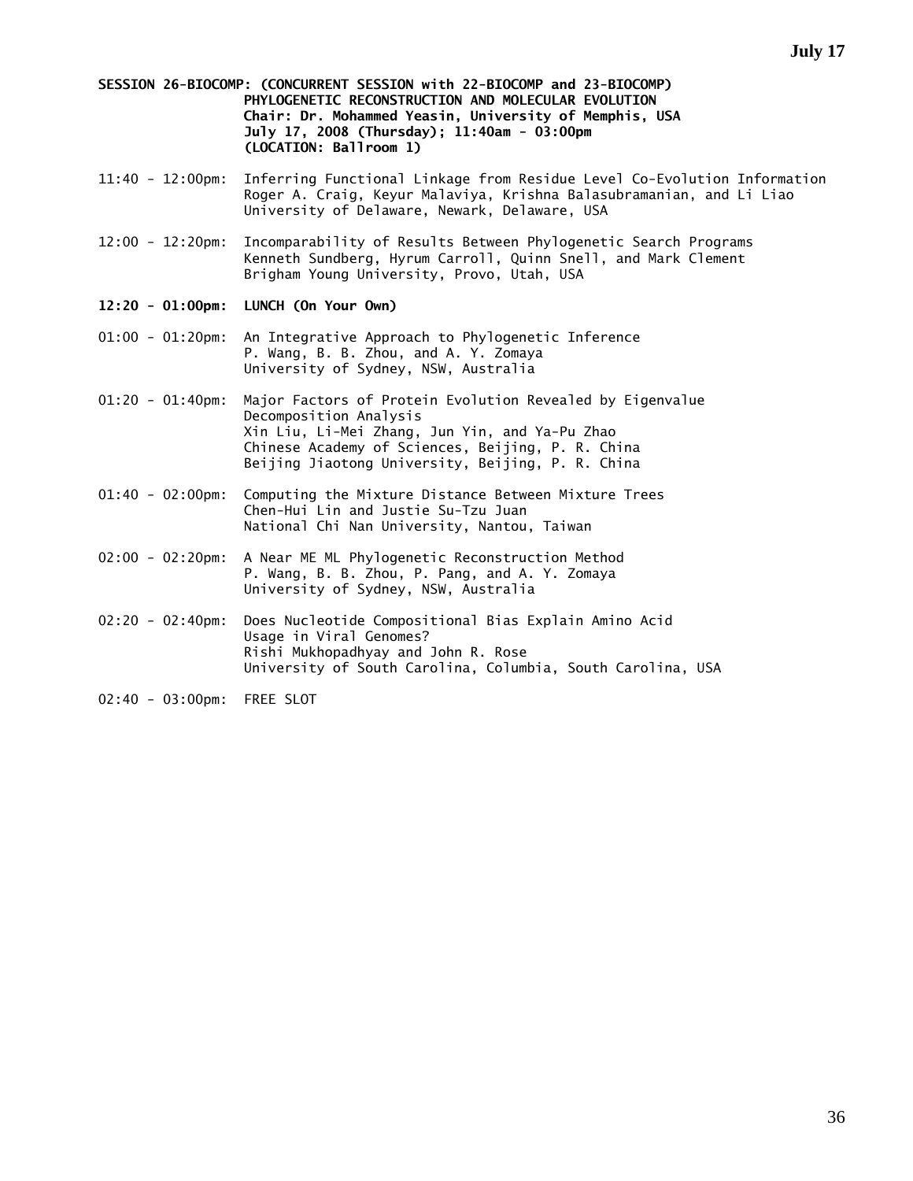**SESSION 26-BIOCOMP: (CONCURRENT SESSION with 22-BIOCOMP and 23-BIOCOMP) PHYLOGENETIC RECONSTRUCTION AND MOLECULAR EVOLUTION Chair: Dr. Mohammed Yeasin, University of Memphis, USA July 17, 2008 (Thursday); 11:40am - 03:00pm (LOCATION: Ballroom 1)** 

- 11:40 12:00pm: Inferring Functional Linkage from Residue Level Co-Evolution Information Roger A. Craig, Keyur Malaviya, Krishna Balasubramanian, and Li Liao University of Delaware, Newark, Delaware, USA
- 12:00 12:20pm: Incomparability of Results Between Phylogenetic Search Programs Kenneth Sundberg, Hyrum Carroll, Quinn Snell, and Mark Clement Brigham Young University, Provo, Utah, USA
- **12:20 01:00pm: LUNCH (On Your Own)**
- 01:00 01:20pm: An Integrative Approach to Phylogenetic Inference P. Wang, B. B. Zhou, and A. Y. Zomaya University of Sydney, NSW, Australia
- 01:20 01:40pm: Major Factors of Protein Evolution Revealed by Eigenvalue Decomposition Analysis Xin Liu, Li-Mei Zhang, Jun Yin, and Ya-Pu Zhao Chinese Academy of Sciences, Beijing, P. R. China Beijing Jiaotong University, Beijing, P. R. China
- 01:40 02:00pm: Computing the Mixture Distance Between Mixture Trees Chen-Hui Lin and Justie Su-Tzu Juan National Chi Nan University, Nantou, Taiwan
- 02:00 02:20pm: A Near ME ML Phylogenetic Reconstruction Method P. Wang, B. B. Zhou, P. Pang, and A. Y. Zomaya University of Sydney, NSW, Australia
- 02:20 02:40pm: Does Nucleotide Compositional Bias Explain Amino Acid Usage in Viral Genomes? Rishi Mukhopadhyay and John R. Rose University of South Carolina, Columbia, South Carolina, USA
- 02:40 03:00pm: FREE SLOT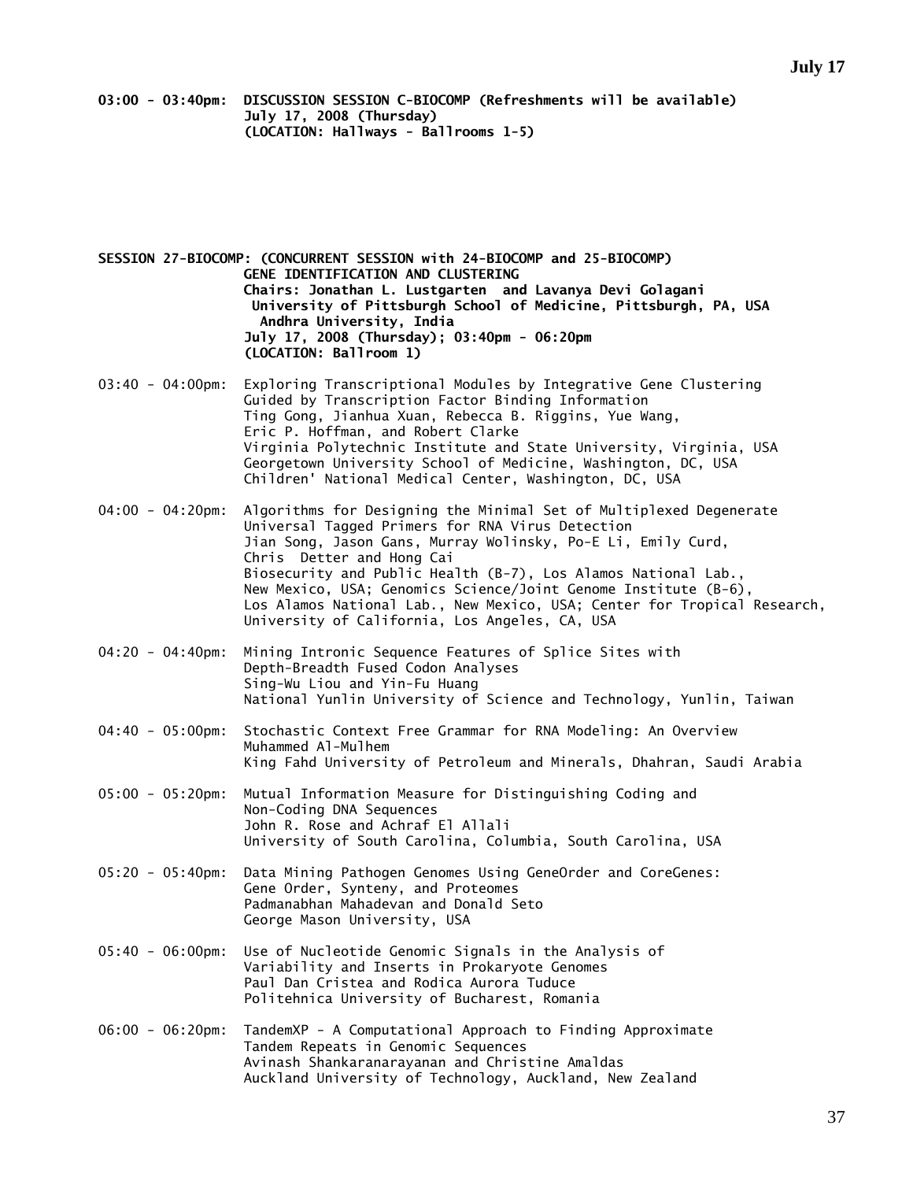**03:00 - 03:40pm: DISCUSSION SESSION C-BIOCOMP (Refreshments will be available) July 17, 2008 (Thursday) (LOCATION: Hallways - Ballrooms 1-5)** 

**SESSION 27-BIOCOMP: (CONCURRENT SESSION with 24-BIOCOMP and 25-BIOCOMP) GENE IDENTIFICATION AND CLUSTERING Chairs: Jonathan L. Lustgarten and Lavanya Devi Golagani University of Pittsburgh School of Medicine, Pittsburgh, PA, USA Andhra University, India July 17, 2008 (Thursday); 03:40pm - 06:20pm (LOCATION: Ballroom 1)** 

- 03:40 04:00pm: Exploring Transcriptional Modules by Integrative Gene Clustering Guided by Transcription Factor Binding Information Ting Gong, Jianhua Xuan, Rebecca B. Riggins, Yue Wang, Eric P. Hoffman, and Robert Clarke Virginia Polytechnic Institute and State University, Virginia, USA Georgetown University School of Medicine, Washington, DC, USA Children' National Medical Center, Washington, DC, USA
- 04:00 04:20pm: Algorithms for Designing the Minimal Set of Multiplexed Degenerate Universal Tagged Primers for RNA Virus Detection Jian Song, Jason Gans, Murray Wolinsky, Po-E Li, Emily Curd, Chris Detter and Hong Cai Biosecurity and Public Health (B-7), Los Alamos National Lab., New Mexico, USA; Genomics Science/Joint Genome Institute (B-6), Los Alamos National Lab., New Mexico, USA; Center for Tropical Research, University of California, Los Angeles, CA, USA
- 04:20 04:40pm: Mining Intronic Sequence Features of Splice Sites with Depth-Breadth Fused Codon Analyses Sing-Wu Liou and Yin-Fu Huang National Yunlin University of Science and Technology, Yunlin, Taiwan
- 04:40 05:00pm: Stochastic Context Free Grammar for RNA Modeling: An Overview Muhammed Al-Mulhem King Fahd University of Petroleum and Minerals, Dhahran, Saudi Arabia
- 05:00 05:20pm: Mutual Information Measure for Distinguishing Coding and Non-Coding DNA Sequences John R. Rose and Achraf El Allali University of South Carolina, Columbia, South Carolina, USA
- 05:20 05:40pm: Data Mining Pathogen Genomes Using GeneOrder and CoreGenes: Gene Order, Synteny, and Proteomes Padmanabhan Mahadevan and Donald Seto George Mason University, USA
- 05:40 06:00pm: Use of Nucleotide Genomic Signals in the Analysis of Variability and Inserts in Prokaryote Genomes Paul Dan Cristea and Rodica Aurora Tuduce Politehnica University of Bucharest, Romania
- 06:00 06:20pm: TandemXP A Computational Approach to Finding Approximate Tandem Repeats in Genomic Sequences Avinash Shankaranarayanan and Christine Amaldas Auckland University of Technology, Auckland, New Zealand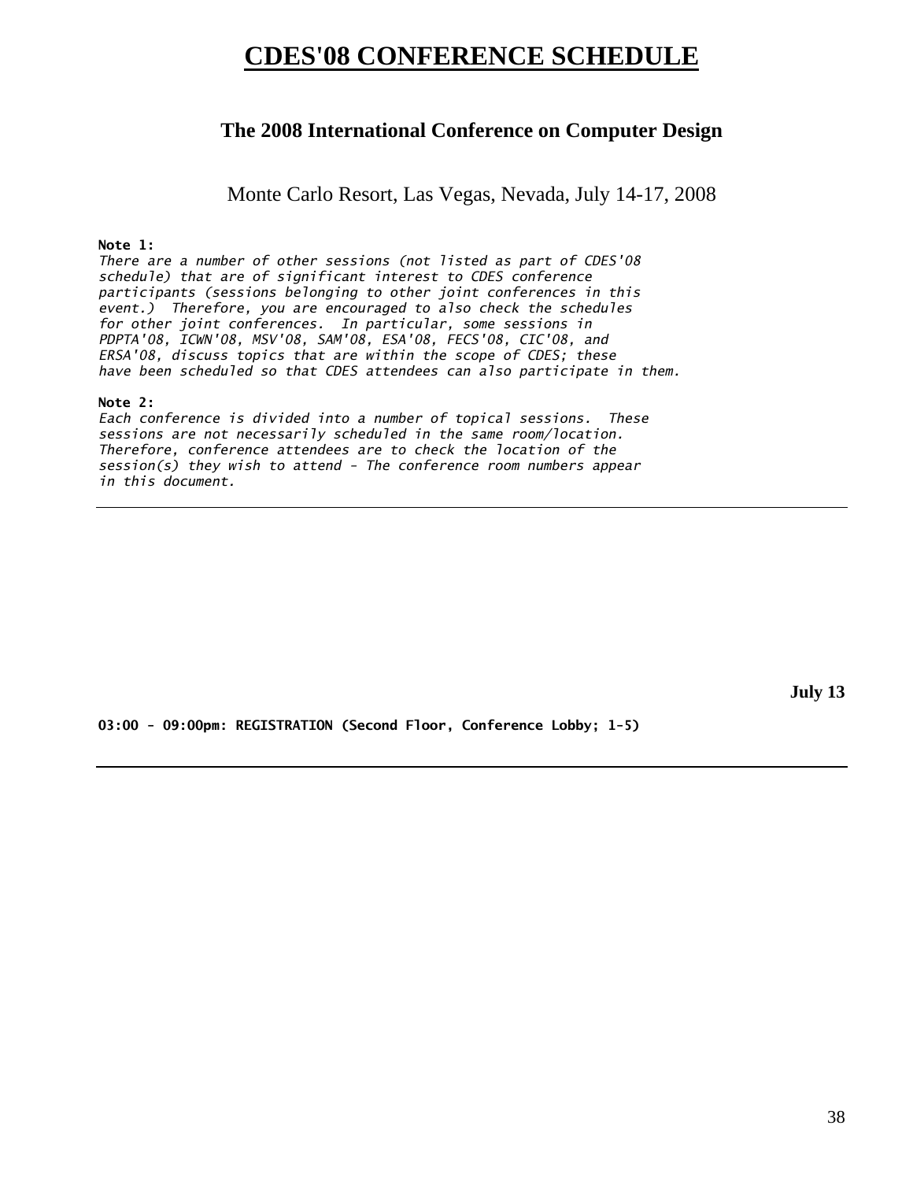## **CDES'08 CONFERENCE SCHEDULE**

### **The 2008 International Conference on Computer Design**

Monte Carlo Resort, Las Vegas, Nevada, July 14-17, 2008

#### **Note 1:**

*There are a number of other sessions (not listed as part of CDES'08 schedule) that are of significant interest to CDES conference participants (sessions belonging to other joint conferences in this event.) Therefore, you are encouraged to also check the schedules for other joint conferences. In particular, some sessions in PDPTA'08, ICWN'08, MSV'08, SAM'08, ESA'08, FECS'08, CIC'08, and ERSA'08, discuss topics that are within the scope of CDES; these have been scheduled so that CDES attendees can also participate in them.* 

#### **Note 2:**

*Each conference is divided into a number of topical sessions. These sessions are not necessarily scheduled in the same room/location. Therefore, conference attendees are to check the location of the session(s) they wish to attend - The conference room numbers appear in this document.* 

**July 13** 

**03:00 - 09:00pm: REGISTRATION (Second Floor, Conference Lobby; 1-5)**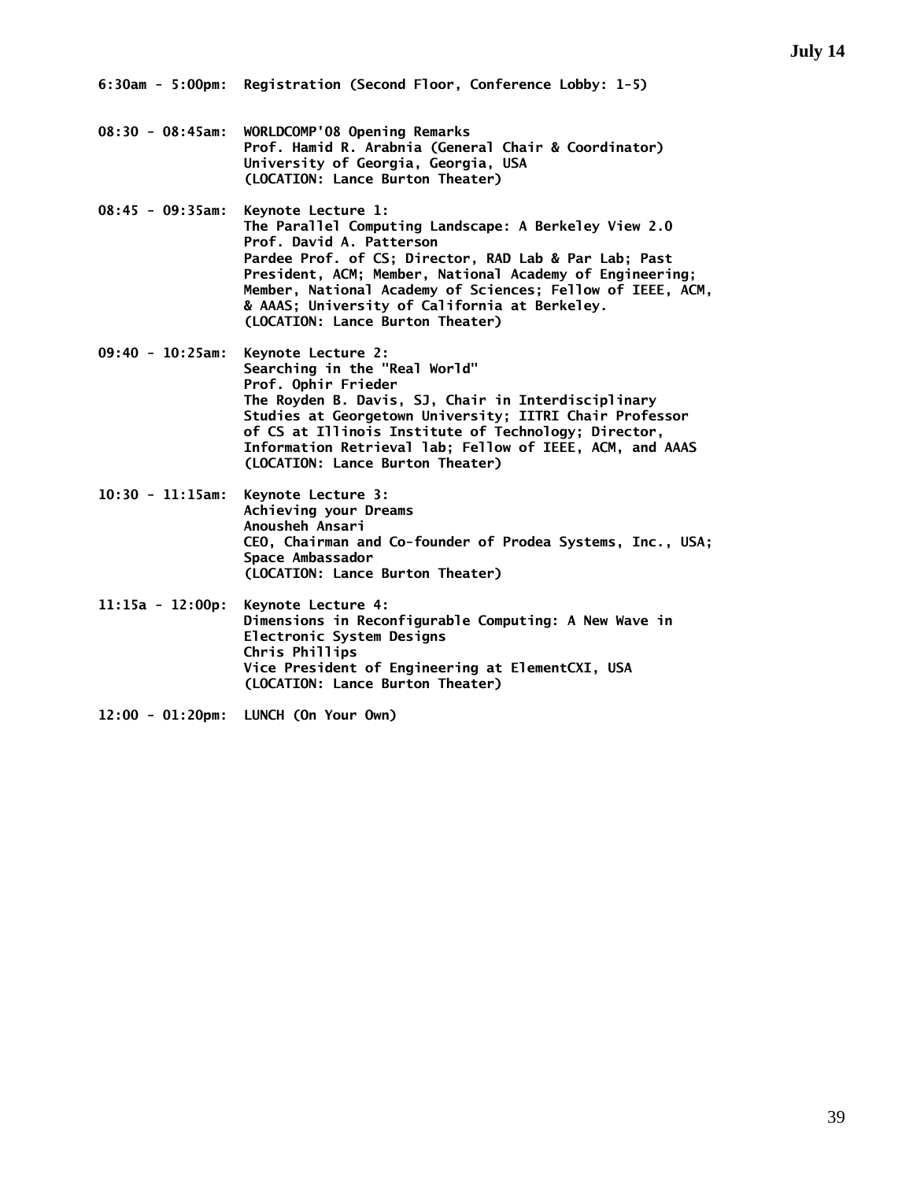**6:30am - 5:00pm: Registration (Second Floor, Conference Lobby: 1-5)** 

- **08:30 08:45am: WORLDCOMP'08 Opening Remarks Prof. Hamid R. Arabnia (General Chair & Coordinator) University of Georgia, Georgia, USA (LOCATION: Lance Burton Theater)**
- **08:45 09:35am: Keynote Lecture 1: The Parallel Computing Landscape: A Berkeley View 2.0 Prof. David A. Patterson Pardee Prof. of CS; Director, RAD Lab & Par Lab; Past President, ACM; Member, National Academy of Engineering; Member, National Academy of Sciences; Fellow of IEEE, ACM, & AAAS; University of California at Berkeley. (LOCATION: Lance Burton Theater)**
- **09:40 10:25am: Keynote Lecture 2: Searching in the "Real World" Prof. Ophir Frieder The Royden B. Davis, SJ, Chair in Interdisciplinary Studies at Georgetown University; IITRI Chair Professor of CS at Illinois Institute of Technology; Director, Information Retrieval lab; Fellow of IEEE, ACM, and AAAS (LOCATION: Lance Burton Theater)**
- **10:30 11:15am: Keynote Lecture 3: Achieving your Dreams Anousheh Ansari CEO, Chairman and Co-founder of Prodea Systems, Inc., USA; Space Ambassador (LOCATION: Lance Burton Theater)**
- **11:15a 12:00p: Keynote Lecture 4: Dimensions in Reconfigurable Computing: A New Wave in Electronic System Designs Chris Phillips Vice President of Engineering at ElementCXI, USA (LOCATION: Lance Burton Theater)**
- **12:00 01:20pm: LUNCH (On Your Own)**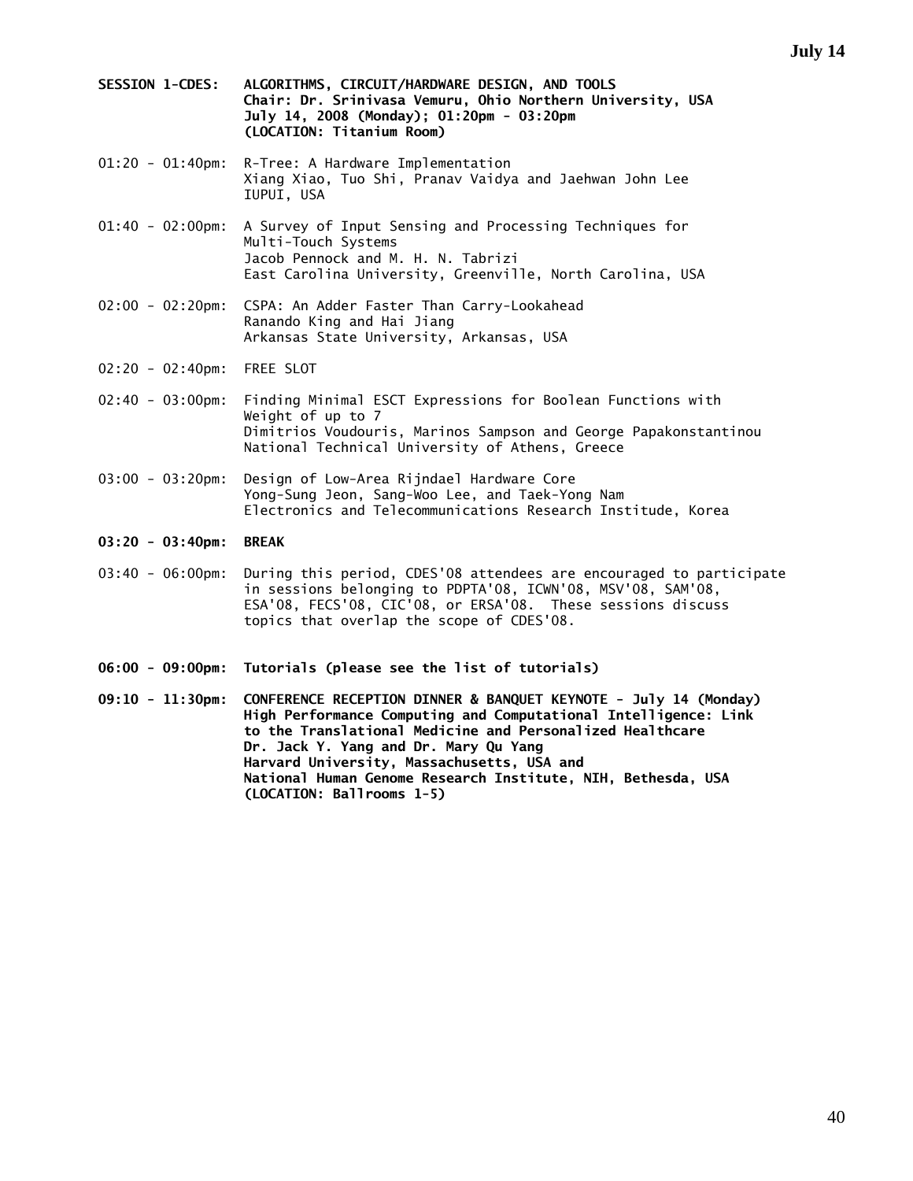- **SESSION 1-CDES: ALGORITHMS, CIRCUIT/HARDWARE DESIGN, AND TOOLS Chair: Dr. Srinivasa Vemuru, Ohio Northern University, USA July 14, 2008 (Monday); 01:20pm - 03:20pm (LOCATION: Titanium Room)**
- 01:20 01:40pm: R-Tree: A Hardware Implementation Xiang Xiao, Tuo Shi, Pranav Vaidya and Jaehwan John Lee IUPUI, USA
- 01:40 02:00pm: A Survey of Input Sensing and Processing Techniques for Multi-Touch Systems Jacob Pennock and M. H. N. Tabrizi East Carolina University, Greenville, North Carolina, USA
- 02:00 02:20pm: CSPA: An Adder Faster Than Carry-Lookahead Ranando King and Hai Jiang Arkansas State University, Arkansas, USA
- 02:20 02:40pm: FREE SLOT
- 02:40 03:00pm: Finding Minimal ESCT Expressions for Boolean Functions with Weight of up to 7 Dimitrios Voudouris, Marinos Sampson and George Papakonstantinou National Technical University of Athens, Greece
- 03:00 03:20pm: Design of Low-Area Rijndael Hardware Core Yong-Sung Jeon, Sang-Woo Lee, and Taek-Yong Nam Electronics and Telecommunications Research Institude, Korea
- **03:20 03:40pm: BREAK**
- 03:40 06:00pm: During this period, CDES'08 attendees are encouraged to participate in sessions belonging to PDPTA'08, ICWN'08, MSV'08, SAM'08, ESA'08, FECS'08, CIC'08, or ERSA'08. These sessions discuss topics that overlap the scope of CDES'08.
- **06:00 09:00pm: Tutorials (please see the list of tutorials)**
- **09:10 11:30pm: CONFERENCE RECEPTION DINNER & BANQUET KEYNOTE July 14 (Monday) High Performance Computing and Computational Intelligence: Link to the Translational Medicine and Personalized Healthcare Dr. Jack Y. Yang and Dr. Mary Qu Yang Harvard University, Massachusetts, USA and National Human Genome Research Institute, NIH, Bethesda, USA (LOCATION: Ballrooms 1-5)**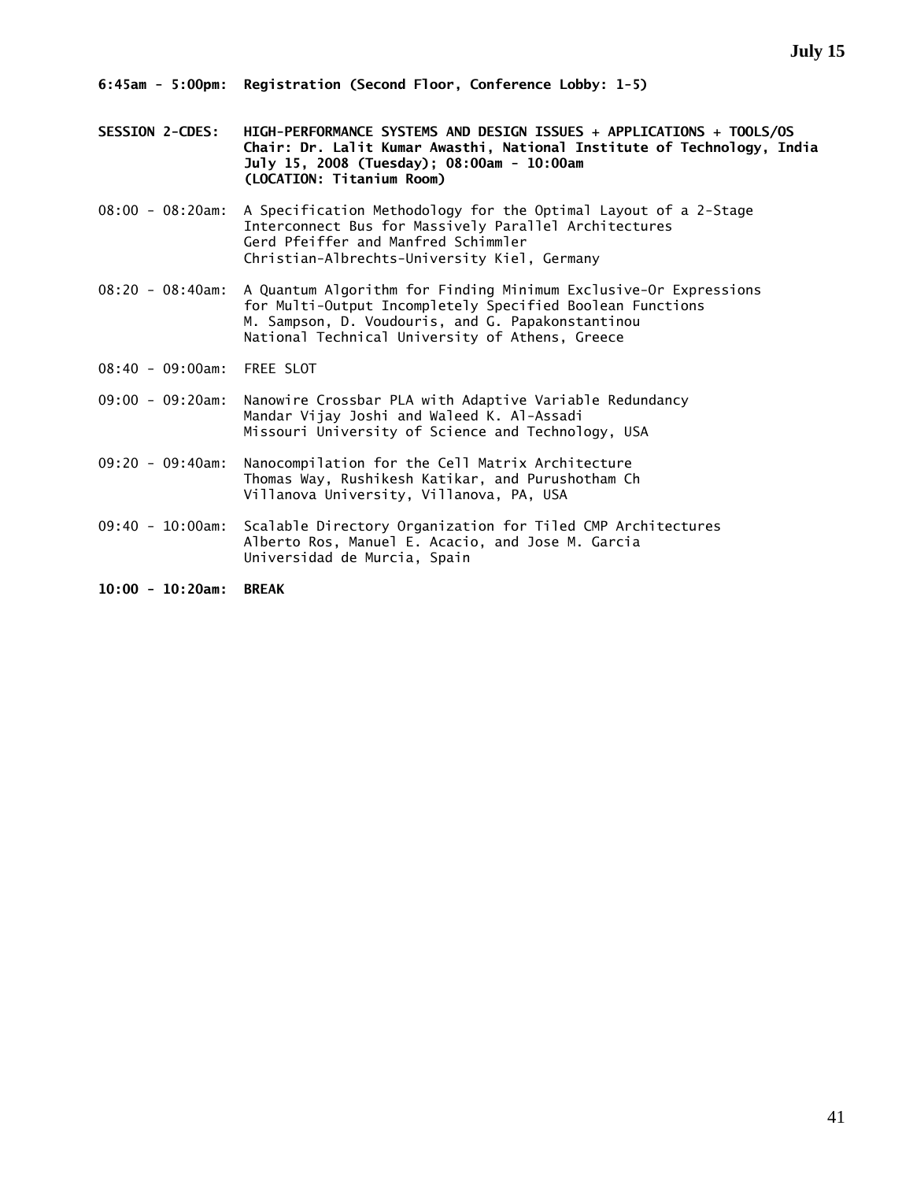- **SESSION 2-CDES: HIGH-PERFORMANCE SYSTEMS AND DESIGN ISSUES + APPLICATIONS + TOOLS/OS Chair: Dr. Lalit Kumar Awasthi, National Institute of Technology, India July 15, 2008 (Tuesday); 08:00am - 10:00am (LOCATION: Titanium Room)**
- 08:00 08:20am: A Specification Methodology for the Optimal Layout of a 2-Stage Interconnect Bus for Massively Parallel Architectures Gerd Pfeiffer and Manfred Schimmler Christian-Albrechts-University Kiel, Germany
- 08:20 08:40am: A Quantum Algorithm for Finding Minimum Exclusive-Or Expressions for Multi-Output Incompletely Specified Boolean Functions M. Sampson, D. Voudouris, and G. Papakonstantinou National Technical University of Athens, Greece
- 08:40 09:00am: FREE SLOT
- 09:00 09:20am: Nanowire Crossbar PLA with Adaptive Variable Redundancy Mandar Vijay Joshi and Waleed K. Al-Assadi Missouri University of Science and Technology, USA
- 09:20 09:40am: Nanocompilation for the Cell Matrix Architecture Thomas Way, Rushikesh Katikar, and Purushotham Ch Villanova University, Villanova, PA, USA
- 09:40 10:00am: Scalable Directory Organization for Tiled CMP Architectures Alberto Ros, Manuel E. Acacio, and Jose M. Garcia Universidad de Murcia, Spain
- **10:00 10:20am: BREAK**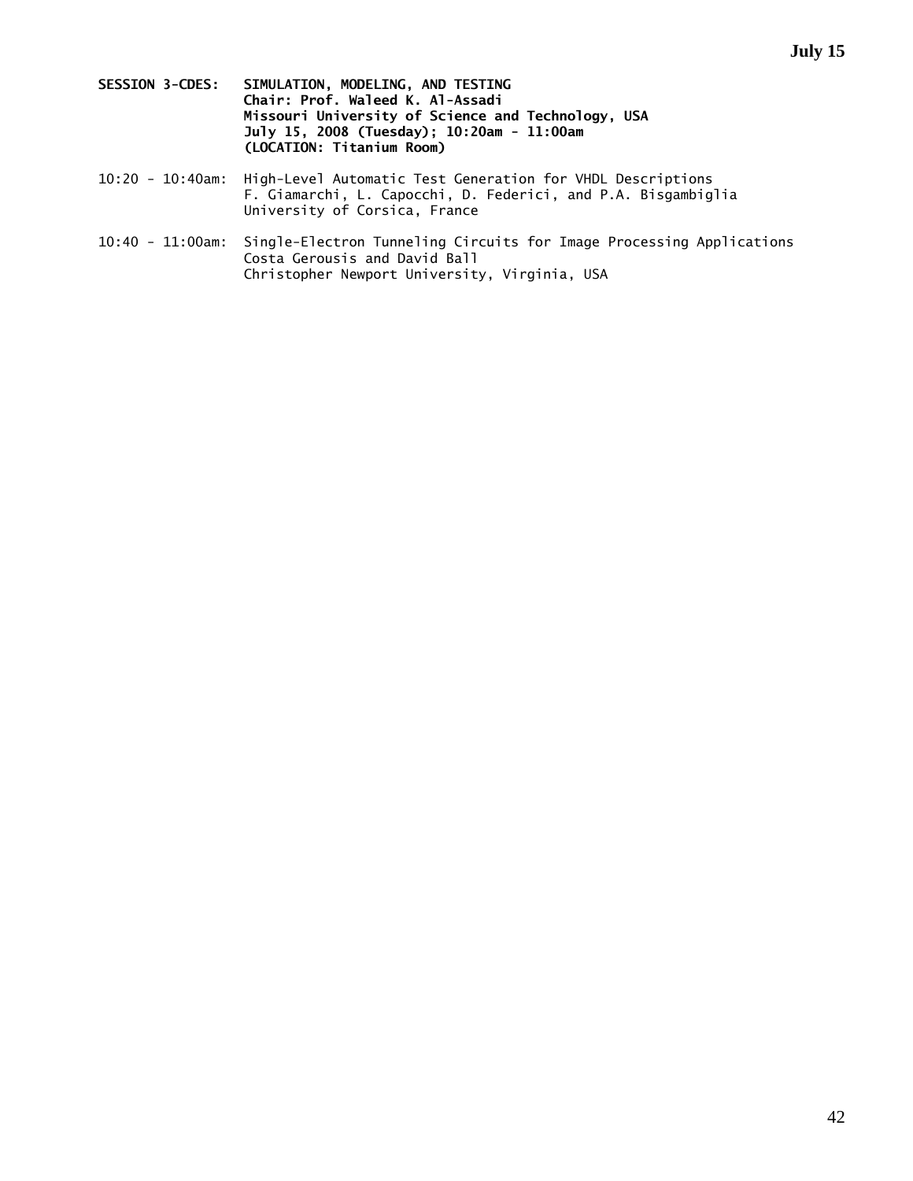- **SESSION 3-CDES: SIMULATION, MODELING, AND TESTING Chair: Prof. Waleed K. Al-Assadi Missouri University of Science and Technology, USA July 15, 2008 (Tuesday); 10:20am - 11:00am (LOCATION: Titanium Room)**
- 10:20 10:40am: High-Level Automatic Test Generation for VHDL Descriptions F. Giamarchi, L. Capocchi, D. Federici, and P.A. Bisgambiglia University of Corsica, France
- 10:40 11:00am: Single-Electron Tunneling Circuits for Image Processing Applications Costa Gerousis and David Ball Christopher Newport University, Virginia, USA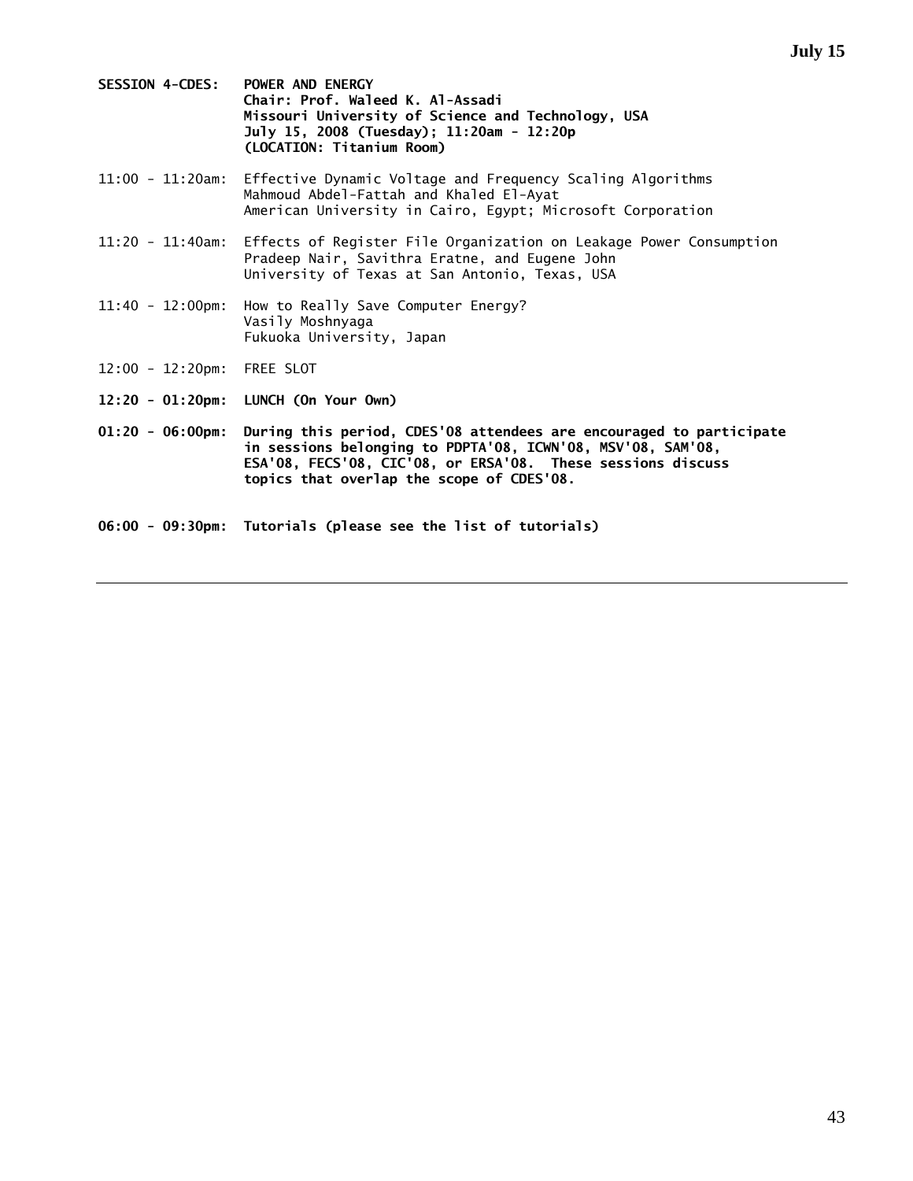- **SESSION 4-CDES: POWER AND ENERGY Chair: Prof. Waleed K. Al-Assadi Missouri University of Science and Technology, USA July 15, 2008 (Tuesday); 11:20am - 12:20p (LOCATION: Titanium Room)**
- 11:00 11:20am: Effective Dynamic Voltage and Frequency Scaling Algorithms Mahmoud Abdel-Fattah and Khaled El-Ayat American University in Cairo, Egypt; Microsoft Corporation
- 11:20 11:40am: Effects of Register File Organization on Leakage Power Consumption Pradeep Nair, Savithra Eratne, and Eugene John University of Texas at San Antonio, Texas, USA
- 11:40 12:00pm: How to Really Save Computer Energy? Vasily Moshnyaga Fukuoka University, Japan
- 12:00 12:20pm: FREE SLOT
- **12:20 01:20pm: LUNCH (On Your Own)**
- **01:20 06:00pm: During this period, CDES'08 attendees are encouraged to participate in sessions belonging to PDPTA'08, ICWN'08, MSV'08, SAM'08, ESA'08, FECS'08, CIC'08, or ERSA'08. These sessions discuss topics that overlap the scope of CDES'08.**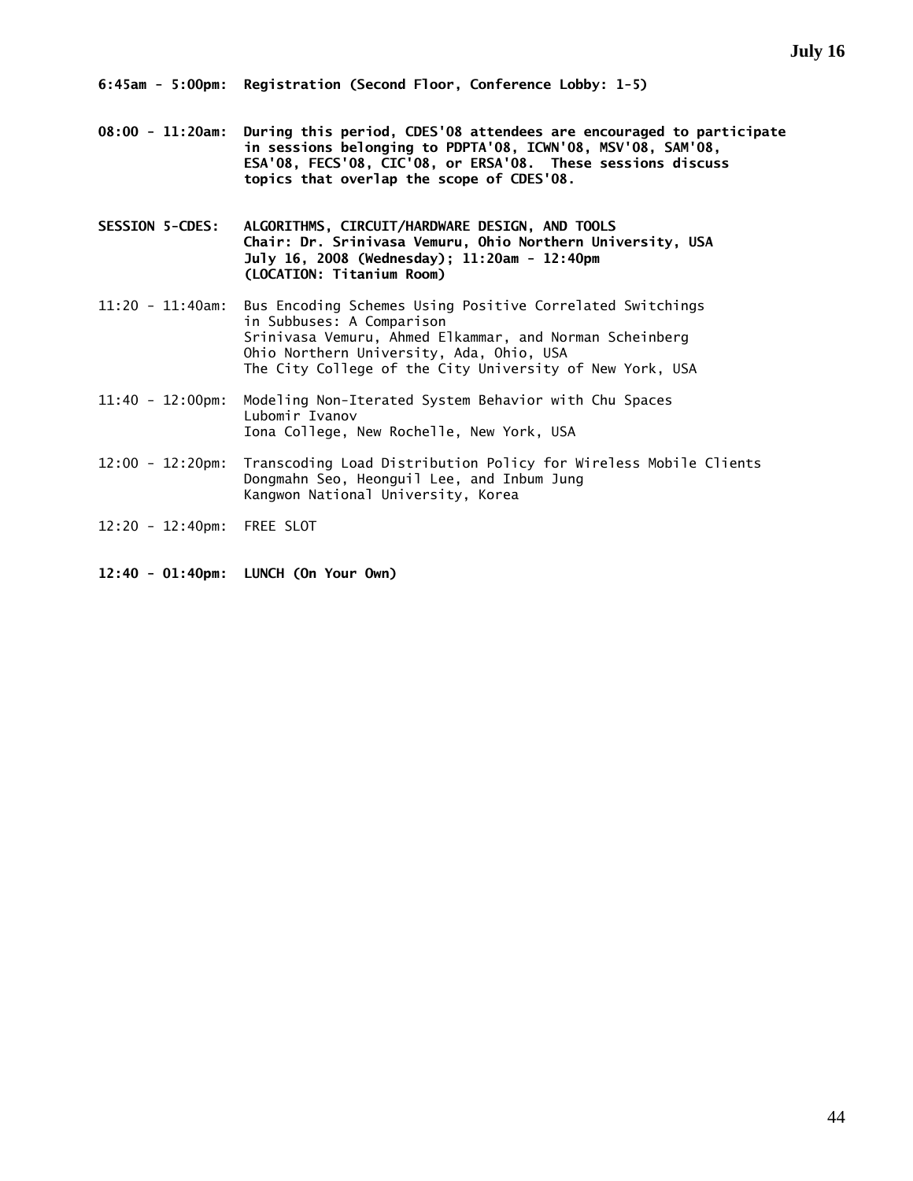**08:00 - 11:20am: During this period, CDES'08 attendees are encouraged to participate in sessions belonging to PDPTA'08, ICWN'08, MSV'08, SAM'08, ESA'08, FECS'08, CIC'08, or ERSA'08. These sessions discuss topics that overlap the scope of CDES'08.** 

**SESSION 5-CDES: ALGORITHMS, CIRCUIT/HARDWARE DESIGN, AND TOOLS Chair: Dr. Srinivasa Vemuru, Ohio Northern University, USA July 16, 2008 (Wednesday); 11:20am - 12:40pm (LOCATION: Titanium Room)** 

11:20 - 11:40am: Bus Encoding Schemes Using Positive Correlated Switchings in Subbuses: A Comparison Srinivasa Vemuru, Ahmed Elkammar, and Norman Scheinberg Ohio Northern University, Ada, Ohio, USA The City College of the City University of New York, USA

11:40 - 12:00pm: Modeling Non-Iterated System Behavior with Chu Spaces Lubomir Ivanov Iona College, New Rochelle, New York, USA

- 12:00 12:20pm: Transcoding Load Distribution Policy for Wireless Mobile Clients Dongmahn Seo, Heonguil Lee, and Inbum Jung Kangwon National University, Korea
- 12:20 12:40pm: FREE SLOT

**12:40 - 01:40pm: LUNCH (On Your Own)**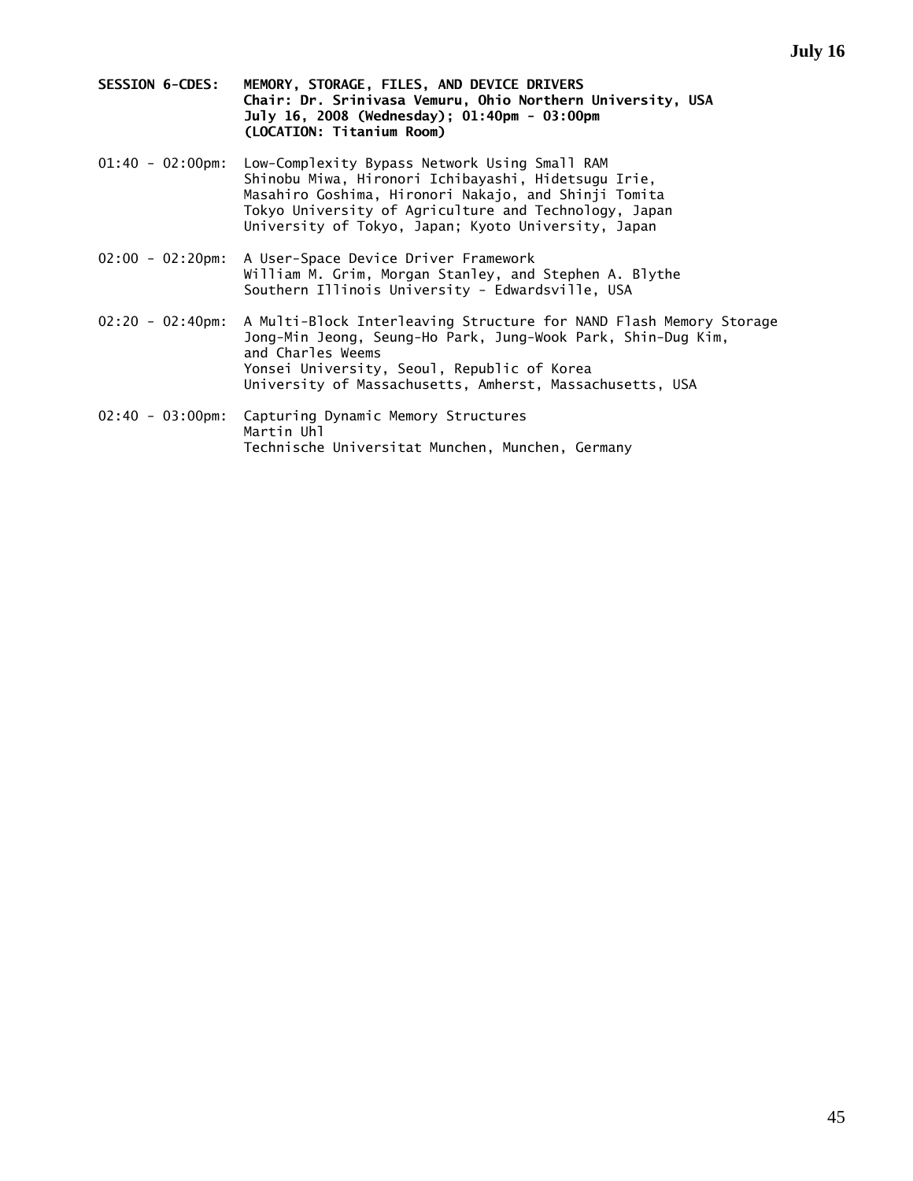- **SESSION 6-CDES: MEMORY, STORAGE, FILES, AND DEVICE DRIVERS Chair: Dr. Srinivasa Vemuru, Ohio Northern University, USA July 16, 2008 (Wednesday); 01:40pm - 03:00pm (LOCATION: Titanium Room)**
- 01:40 02:00pm: Low-Complexity Bypass Network Using Small RAM Shinobu Miwa, Hironori Ichibayashi, Hidetsugu Irie, Masahiro Goshima, Hironori Nakajo, and Shinji Tomita Tokyo University of Agriculture and Technology, Japan University of Tokyo, Japan; Kyoto University, Japan
- 02:00 02:20pm: A User-Space Device Driver Framework William M. Grim, Morgan Stanley, and Stephen A. Blythe Southern Illinois University - Edwardsville, USA
- 02:20 02:40pm: A Multi-Block Interleaving Structure for NAND Flash Memory Storage Jong-Min Jeong, Seung-Ho Park, Jung-Wook Park, Shin-Dug Kim, and Charles Weems Yonsei University, Seoul, Republic of Korea University of Massachusetts, Amherst, Massachusetts, USA
- 02:40 03:00pm: Capturing Dynamic Memory Structures Martin Uhl Technische Universitat Munchen, Munchen, Germany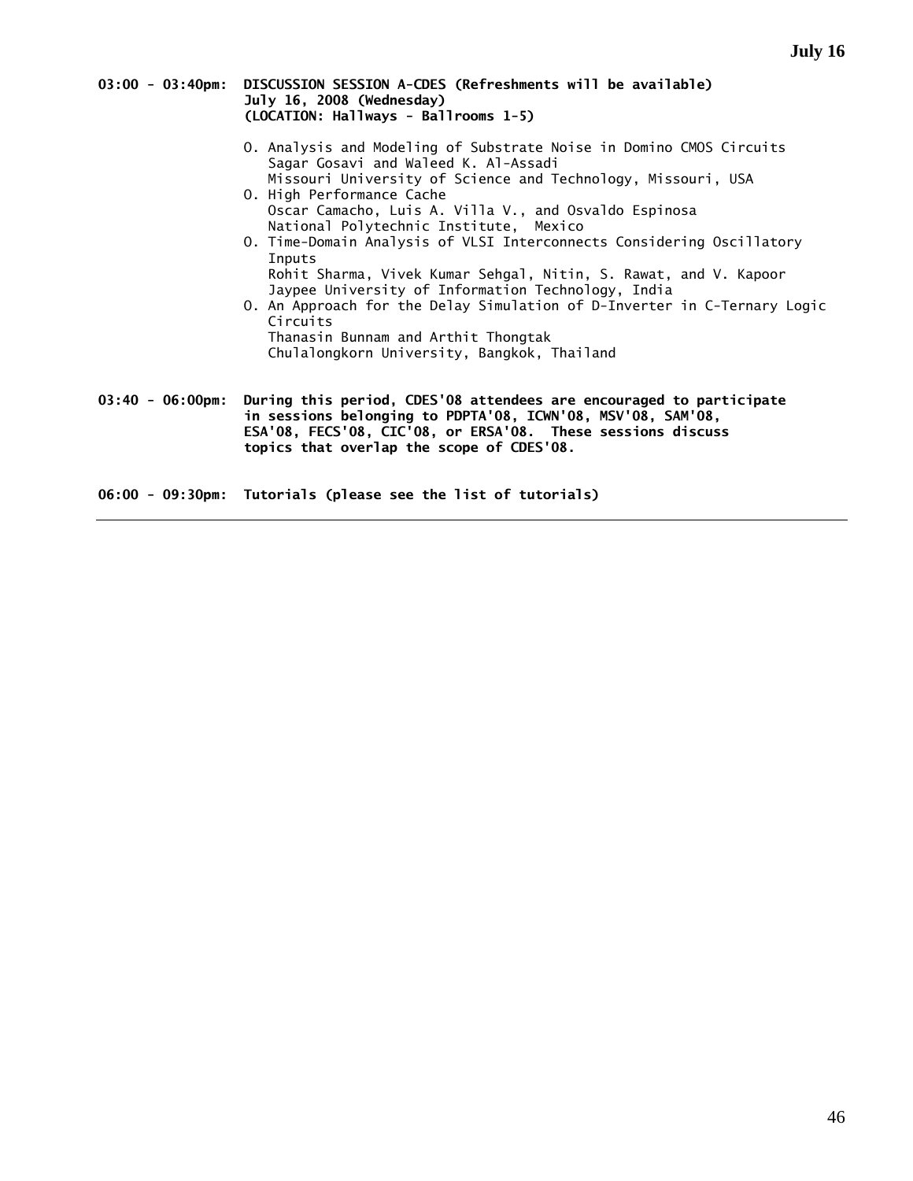| 03:00 - 03:40pm: DISCUSSION SESSION A-CDES (Refreshments will be available) |
|-----------------------------------------------------------------------------|
| July 16, 2008 (Wednesday)                                                   |
| (LOCATION: Hallways - Ballrooms 1-5)                                        |
|                                                                             |

- O. Analysis and Modeling of Substrate Noise in Domino CMOS Circuits Sagar Gosavi and Waleed K. Al-Assadi Missouri University of Science and Technology, Missouri, USA
- O. High Performance Cache Oscar Camacho, Luis A. Villa V., and Osvaldo Espinosa National Polytechnic Institute, Mexico
- O. Time-Domain Analysis of VLSI Interconnects Considering Oscillatory Inputs Rohit Sharma, Vivek Kumar Sehgal, Nitin, S. Rawat, and V. Kapoor Jaypee University of Information Technology, India
- O. An Approach for the Delay Simulation of D-Inverter in C-Ternary Logic Circuits Thanasin Bunnam and Arthit Thongtak Chulalongkorn University, Bangkok, Thailand
- **03:40 06:00pm: During this period, CDES'08 attendees are encouraged to participate in sessions belonging to PDPTA'08, ICWN'08, MSV'08, SAM'08, ESA'08, FECS'08, CIC'08, or ERSA'08. These sessions discuss topics that overlap the scope of CDES'08.**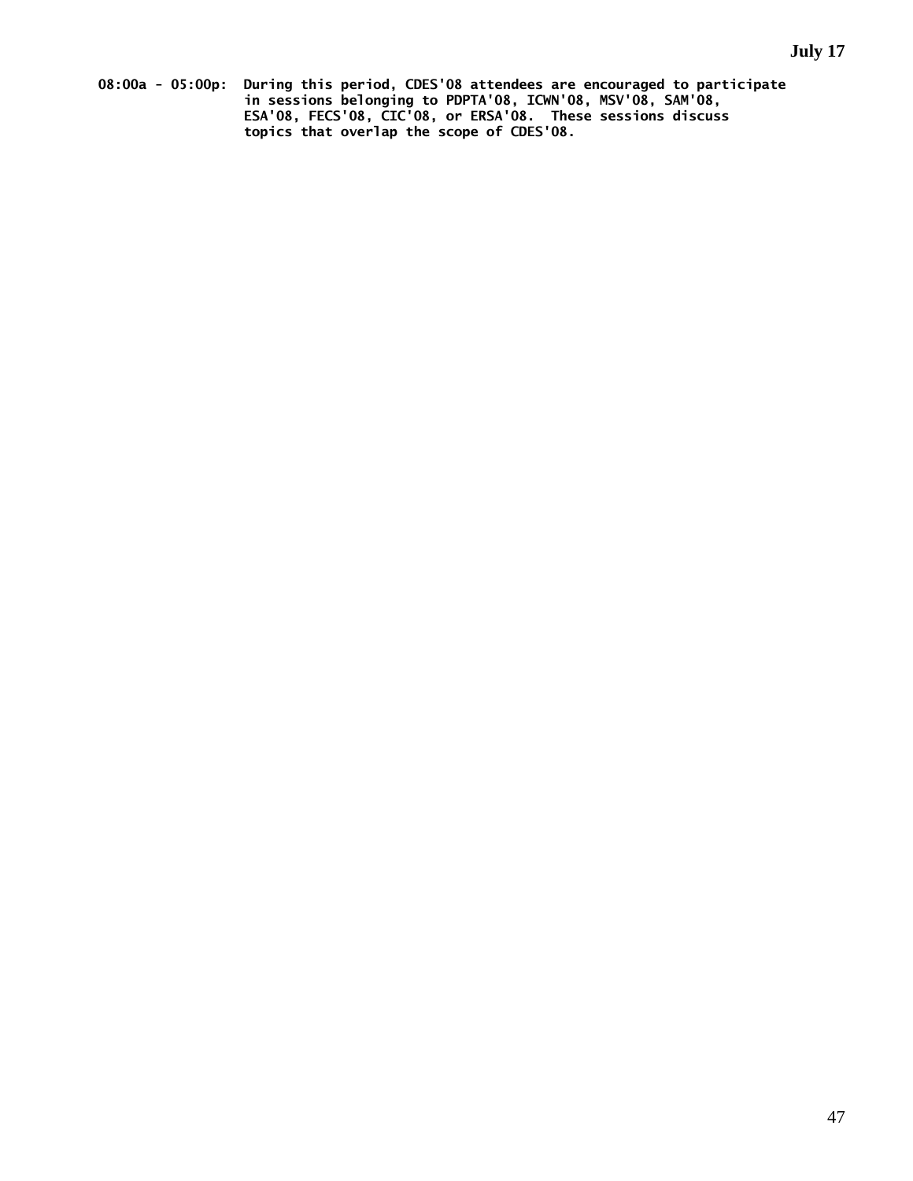**08:00a - 05:00p: During this period, CDES'08 attendees are encouraged to participate in sessions belonging to PDPTA'08, ICWN'08, MSV'08, SAM'08, ESA'08, FECS'08, CIC'08, or ERSA'08. These sessions discuss topics that overlap the scope of CDES'08.**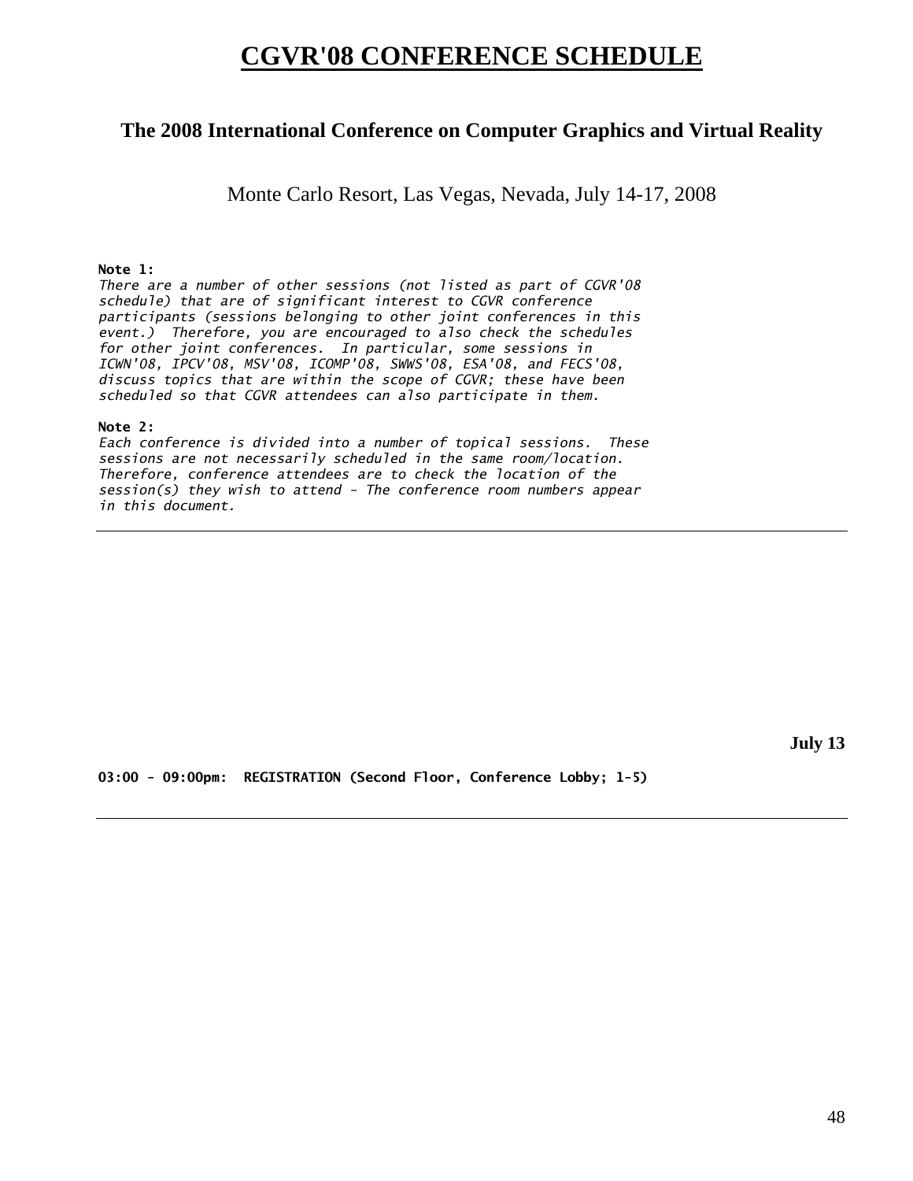# **CGVR'08 CONFERENCE SCHEDULE**

# **The 2008 International Conference on Computer Graphics and Virtual Reality**

Monte Carlo Resort, Las Vegas, Nevada, July 14-17, 2008

### **Note 1:**

*There are a number of other sessions (not listed as part of CGVR'08 schedule) that are of significant interest to CGVR conference participants (sessions belonging to other joint conferences in this event.) Therefore, you are encouraged to also check the schedules for other joint conferences. In particular, some sessions in ICWN'08, IPCV'08, MSV'08, ICOMP'08, SWWS'08, ESA'08, and FECS'08, discuss topics that are within the scope of CGVR; these have been scheduled so that CGVR attendees can also participate in them.* 

#### **Note 2:**

*Each conference is divided into a number of topical sessions. These sessions are not necessarily scheduled in the same room/location. Therefore, conference attendees are to check the location of the session(s) they wish to attend - The conference room numbers appear in this document.* 

**July 13** 

**03:00 - 09:00pm: REGISTRATION (Second Floor, Conference Lobby; 1-5)**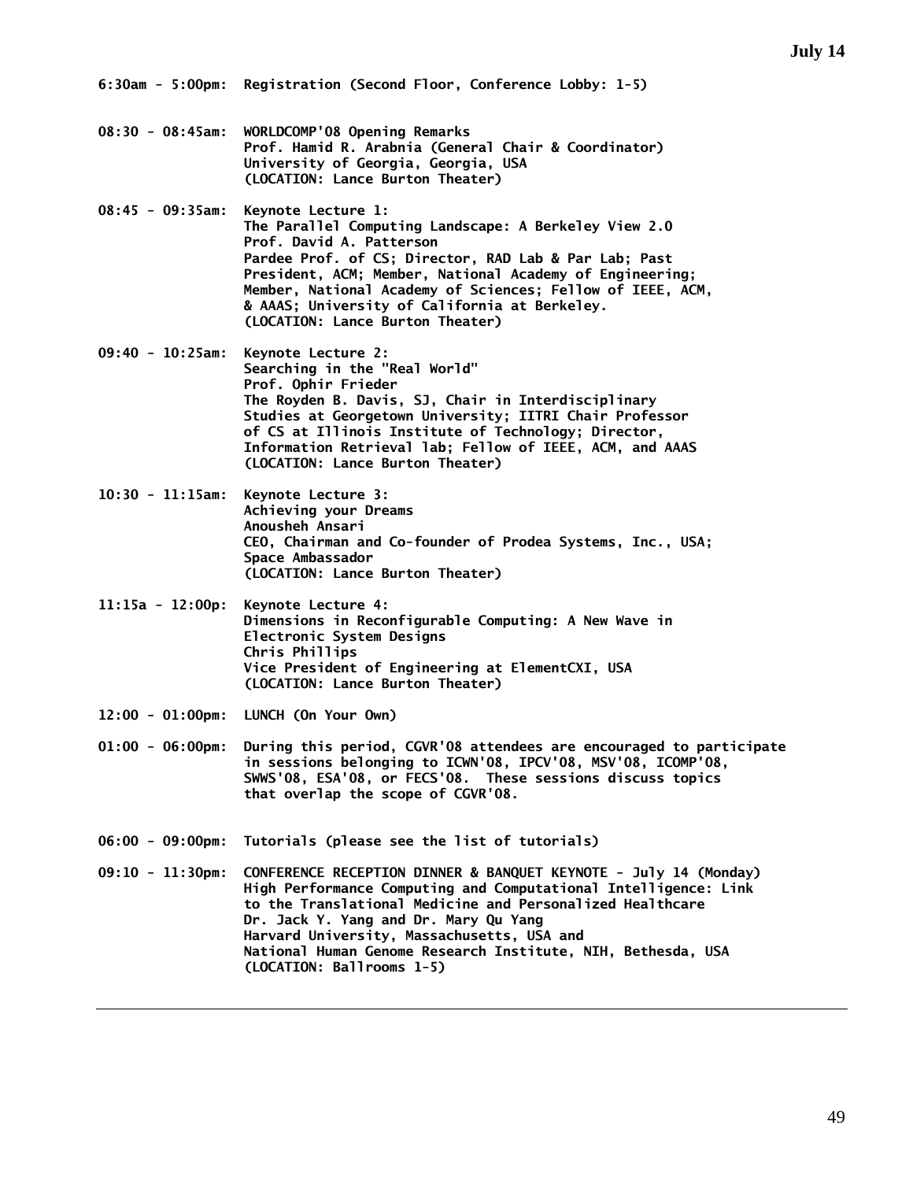- **08:30 08:45am: WORLDCOMP'08 Opening Remarks Prof. Hamid R. Arabnia (General Chair & Coordinator) University of Georgia, Georgia, USA (LOCATION: Lance Burton Theater)**
- **08:45 09:35am: Keynote Lecture 1: The Parallel Computing Landscape: A Berkeley View 2.0 Prof. David A. Patterson Pardee Prof. of CS; Director, RAD Lab & Par Lab; Past President, ACM; Member, National Academy of Engineering; Member, National Academy of Sciences; Fellow of IEEE, ACM, & AAAS; University of California at Berkeley. (LOCATION: Lance Burton Theater)**
- **09:40 10:25am: Keynote Lecture 2: Searching in the "Real World" Prof. Ophir Frieder The Royden B. Davis, SJ, Chair in Interdisciplinary Studies at Georgetown University; IITRI Chair Professor of CS at Illinois Institute of Technology; Director, Information Retrieval lab; Fellow of IEEE, ACM, and AAAS (LOCATION: Lance Burton Theater)**
- **10:30 11:15am: Keynote Lecture 3: Achieving your Dreams Anousheh Ansari CEO, Chairman and Co-founder of Prodea Systems, Inc., USA; Space Ambassador (LOCATION: Lance Burton Theater)**
- **11:15a 12:00p: Keynote Lecture 4: Dimensions in Reconfigurable Computing: A New Wave in Electronic System Designs Chris Phillips Vice President of Engineering at ElementCXI, USA (LOCATION: Lance Burton Theater)**
- **12:00 01:00pm: LUNCH (On Your Own)**
- **01:00 06:00pm: During this period, CGVR'08 attendees are encouraged to participate in sessions belonging to ICWN'08, IPCV'08, MSV'08, ICOMP'08, SWWS'08, ESA'08, or FECS'08. These sessions discuss topics that overlap the scope of CGVR'08.**
- **06:00 09:00pm: Tutorials (please see the list of tutorials)**
- **09:10 11:30pm: CONFERENCE RECEPTION DINNER & BANQUET KEYNOTE July 14 (Monday) High Performance Computing and Computational Intelligence: Link to the Translational Medicine and Personalized Healthcare Dr. Jack Y. Yang and Dr. Mary Qu Yang Harvard University, Massachusetts, USA and National Human Genome Research Institute, NIH, Bethesda, USA (LOCATION: Ballrooms 1-5)**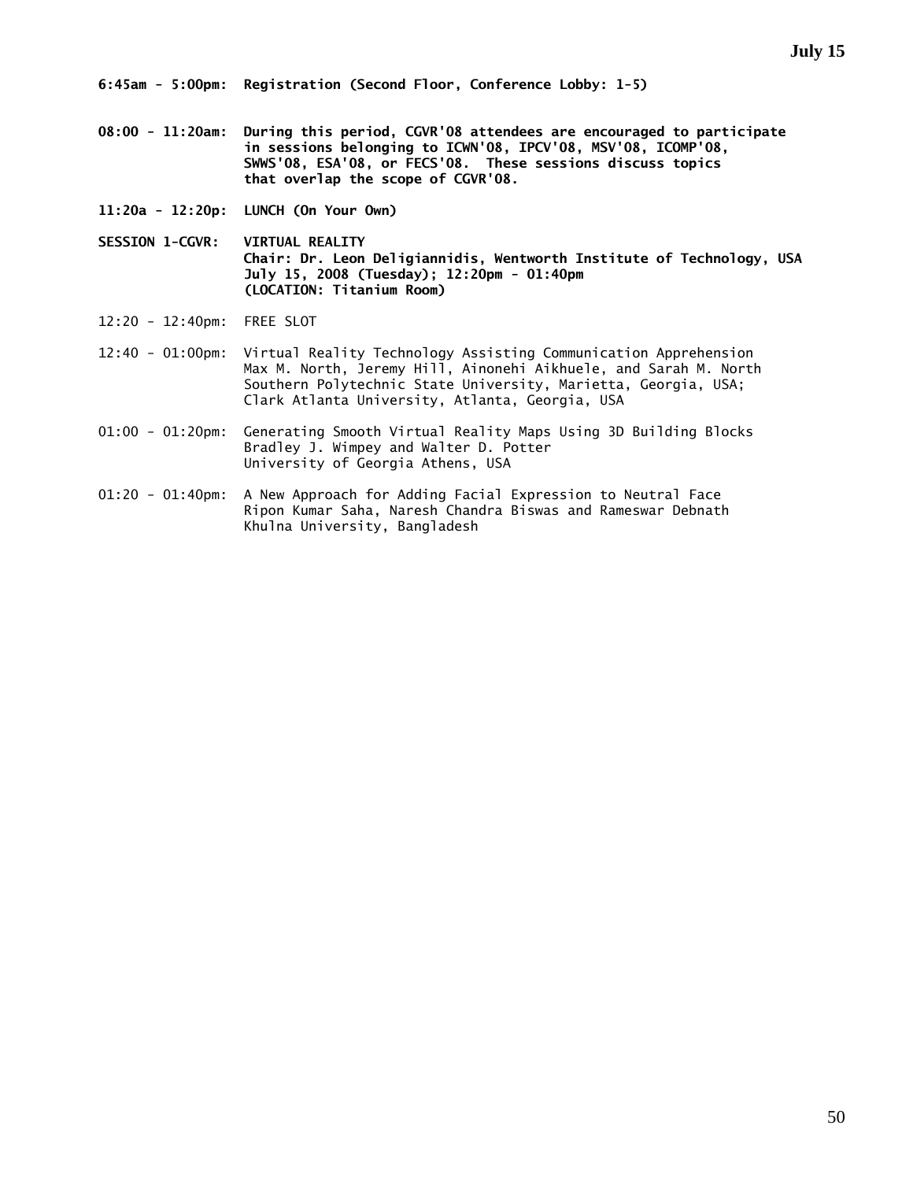- **08:00 11:20am: During this period, CGVR'08 attendees are encouraged to participate in sessions belonging to ICWN'08, IPCV'08, MSV'08, ICOMP'08, SWWS'08, ESA'08, or FECS'08. These sessions discuss topics that overlap the scope of CGVR'08.**
- **11:20a 12:20p: LUNCH (On Your Own)**
- **SESSION 1-CGVR: VIRTUAL REALITY Chair: Dr. Leon Deligiannidis, Wentworth Institute of Technology, USA July 15, 2008 (Tuesday); 12:20pm - 01:40pm (LOCATION: Titanium Room)**
- 12:20 12:40pm: FREE SLOT
- 12:40 01:00pm: Virtual Reality Technology Assisting Communication Apprehension Max M. North, Jeremy Hill, Ainonehi Aikhuele, and Sarah M. North Southern Polytechnic State University, Marietta, Georgia, USA; Clark Atlanta University, Atlanta, Georgia, USA
- 01:00 01:20pm: Generating Smooth Virtual Reality Maps Using 3D Building Blocks Bradley J. Wimpey and Walter D. Potter University of Georgia Athens, USA
- 01:20 01:40pm: A New Approach for Adding Facial Expression to Neutral Face Ripon Kumar Saha, Naresh Chandra Biswas and Rameswar Debnath Khulna University, Bangladesh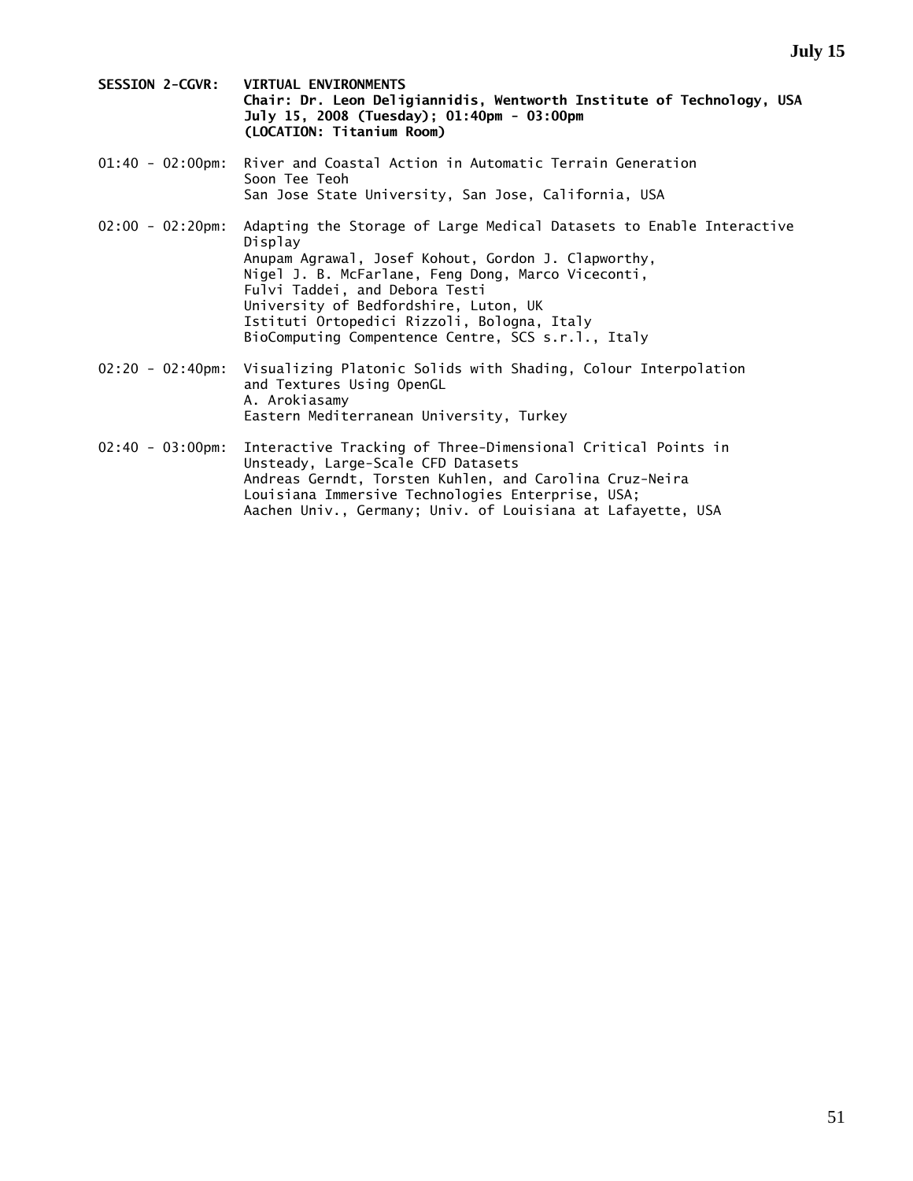- **SESSION 2-CGVR: VIRTUAL ENVIRONMENTS Chair: Dr. Leon Deligiannidis, Wentworth Institute of Technology, USA July 15, 2008 (Tuesday); 01:40pm - 03:00pm (LOCATION: Titanium Room)**
- 01:40 02:00pm: River and Coastal Action in Automatic Terrain Generation Soon Tee Teoh San Jose State University, San Jose, California, USA
- 02:00 02:20pm: Adapting the Storage of Large Medical Datasets to Enable Interactive Display Anupam Agrawal, Josef Kohout, Gordon J. Clapworthy, Nigel J. B. McFarlane, Feng Dong, Marco Viceconti, Fulvi Taddei, and Debora Testi University of Bedfordshire, Luton, UK Istituti Ortopedici Rizzoli, Bologna, Italy BioComputing Compentence Centre, SCS s.r.l., Italy
- 02:20 02:40pm: Visualizing Platonic Solids with Shading, Colour Interpolation and Textures Using OpenGL A. Arokiasamy Eastern Mediterranean University, Turkey
- 02:40 03:00pm: Interactive Tracking of Three-Dimensional Critical Points in Unsteady, Large-Scale CFD Datasets Andreas Gerndt, Torsten Kuhlen, and Carolina Cruz-Neira Louisiana Immersive Technologies Enterprise, USA; Aachen Univ., Germany; Univ. of Louisiana at Lafayette, USA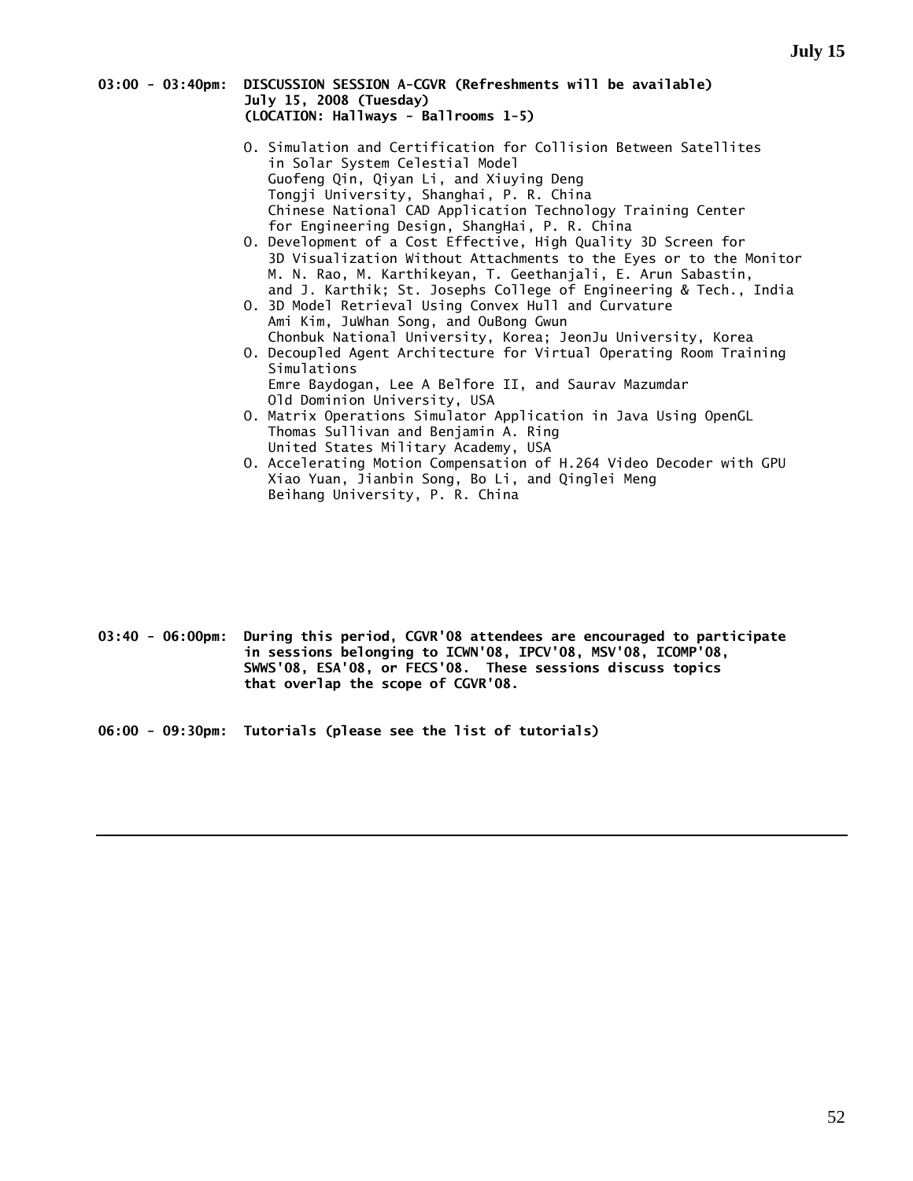#### **03:00 - 03:40pm: DISCUSSION SESSION A-CGVR (Refreshments will be available) July 15, 2008 (Tuesday) (LOCATION: Hallways - Ballrooms 1-5)**

- O. Simulation and Certification for Collision Between Satellites in Solar System Celestial Model Guofeng Qin, Qiyan Li, and Xiuying Deng Tongji University, Shanghai, P. R. China Chinese National CAD Application Technology Training Center for Engineering Design, ShangHai, P. R. China
- O. Development of a Cost Effective, High Quality 3D Screen for 3D Visualization Without Attachments to the Eyes or to the Monitor M. N. Rao, M. Karthikeyan, T. Geethanjali, E. Arun Sabastin, and J. Karthik; St. Josephs College of Engineering & Tech., India
- O. 3D Model Retrieval Using Convex Hull and Curvature Ami Kim, JuWhan Song, and OuBong Gwun Chonbuk National University, Korea; JeonJu University, Korea
- O. Decoupled Agent Architecture for Virtual Operating Room Training Simulations Emre Baydogan, Lee A Belfore II, and Saurav Mazumdar
- Old Dominion University, USA O. Matrix Operations Simulator Application in Java Using OpenGL Thomas Sullivan and Benjamin A. Ring
	- United States Military Academy, USA
- O. Accelerating Motion Compensation of H.264 Video Decoder with GPU Xiao Yuan, Jianbin Song, Bo Li, and Qinglei Meng Beihang University, P. R. China

- **03:40 06:00pm: During this period, CGVR'08 attendees are encouraged to participate in sessions belonging to ICWN'08, IPCV'08, MSV'08, ICOMP'08, SWWS'08, ESA'08, or FECS'08. These sessions discuss topics that overlap the scope of CGVR'08.**
- **06:00 09:30pm: Tutorials (please see the list of tutorials)**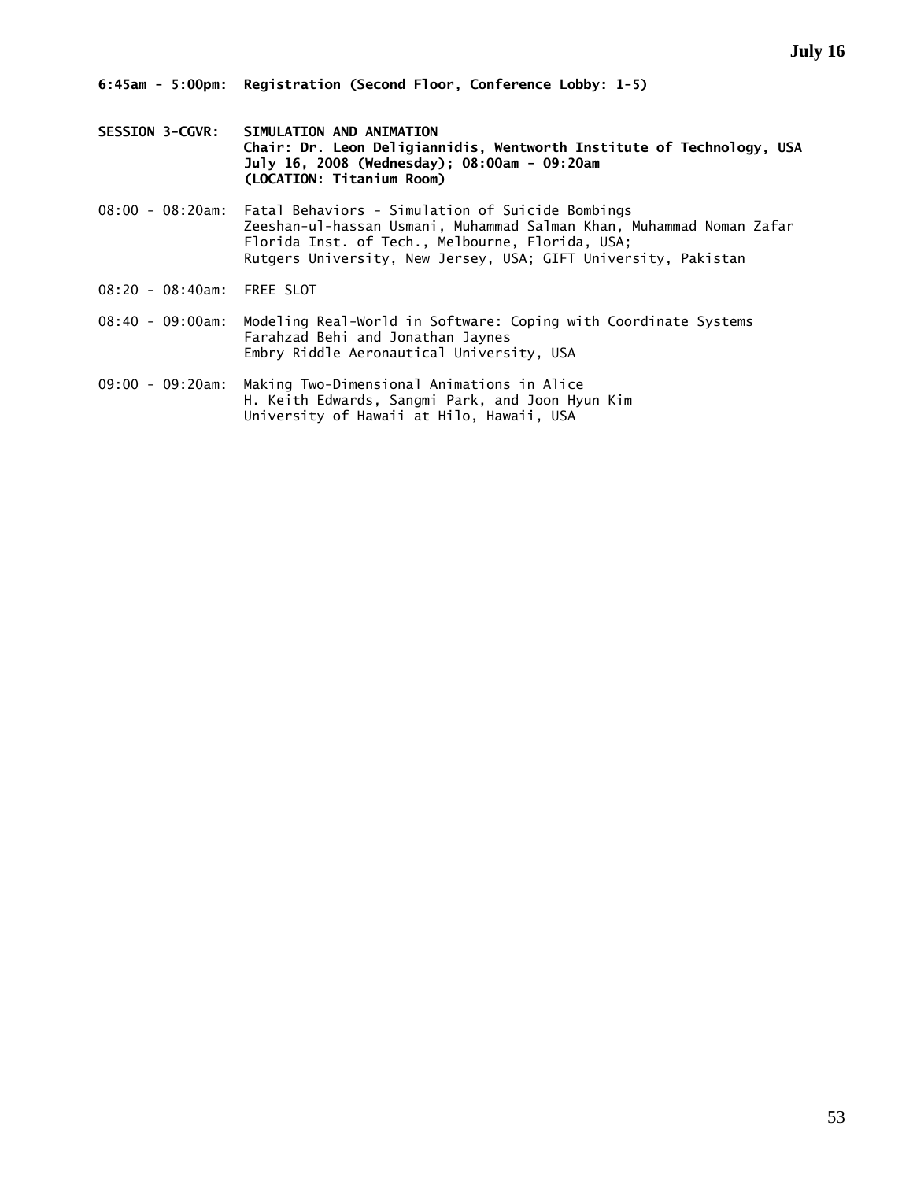- **SESSION 3-CGVR: SIMULATION AND ANIMATION Chair: Dr. Leon Deligiannidis, Wentworth Institute of Technology, USA July 16, 2008 (Wednesday); 08:00am - 09:20am (LOCATION: Titanium Room)**
- 08:00 08:20am: Fatal Behaviors Simulation of Suicide Bombings Zeeshan-ul-hassan Usmani, Muhammad Salman Khan, Muhammad Noman Zafar Florida Inst. of Tech., Melbourne, Florida, USA; Rutgers University, New Jersey, USA; GIFT University, Pakistan
- 08:20 08:40am: FREE SLOT
- 08:40 09:00am: Modeling Real-World in Software: Coping with Coordinate Systems Farahzad Behi and Jonathan Jaynes Embry Riddle Aeronautical University, USA
- 09:00 09:20am: Making Two-Dimensional Animations in Alice H. Keith Edwards, Sangmi Park, and Joon Hyun Kim University of Hawaii at Hilo, Hawaii, USA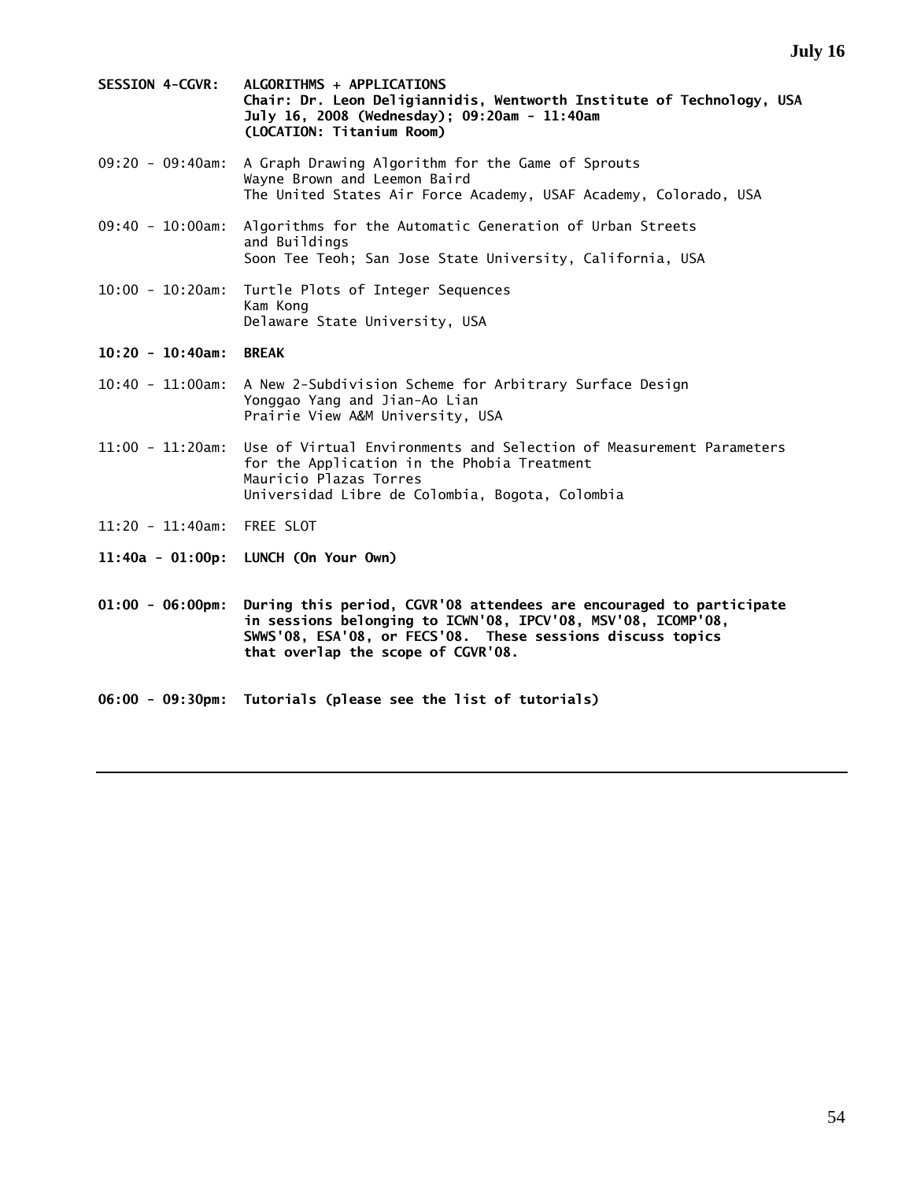- **SESSION 4-CGVR: ALGORITHMS + APPLICATIONS Chair: Dr. Leon Deligiannidis, Wentworth Institute of Technology, USA July 16, 2008 (Wednesday); 09:20am - 11:40am (LOCATION: Titanium Room)**
- 09:20 09:40am: A Graph Drawing Algorithm for the Game of Sprouts Wayne Brown and Leemon Baird The United States Air Force Academy, USAF Academy, Colorado, USA
- 09:40 10:00am: Algorithms for the Automatic Generation of Urban Streets and Buildings Soon Tee Teoh; San Jose State University, California, USA
- 10:00 10:20am: Turtle Plots of Integer Sequences Kam Kong Delaware State University, USA

### **10:20 - 10:40am: BREAK**

- 10:40 11:00am: A New 2-Subdivision Scheme for Arbitrary Surface Design Yonggao Yang and Jian-Ao Lian Prairie View A&M University, USA
- 11:00 11:20am: Use of Virtual Environments and Selection of Measurement Parameters for the Application in the Phobia Treatment Mauricio Plazas Torres Universidad Libre de Colombia, Bogota, Colombia
- 11:20 11:40am: FREE SLOT
- **11:40a 01:00p: LUNCH (On Your Own)**
- **01:00 06:00pm: During this period, CGVR'08 attendees are encouraged to participate in sessions belonging to ICWN'08, IPCV'08, MSV'08, ICOMP'08, SWWS'08, ESA'08, or FECS'08. These sessions discuss topics that overlap the scope of CGVR'08.**
- **06:00 09:30pm: Tutorials (please see the list of tutorials)**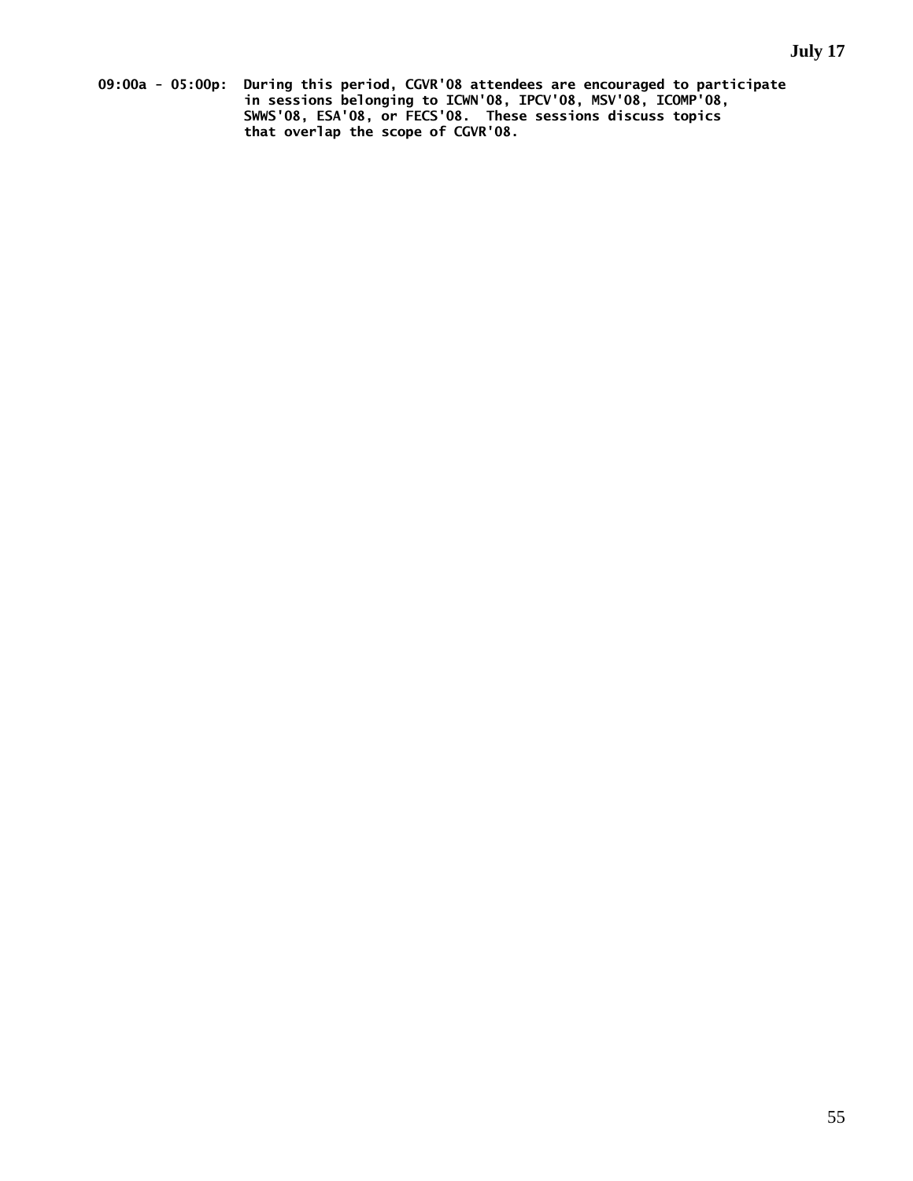**09:00a - 05:00p: During this period, CGVR'08 attendees are encouraged to participate in sessions belonging to ICWN'08, IPCV'08, MSV'08, ICOMP'08, SWWS'08, ESA'08, or FECS'08. These sessions discuss topics that overlap the scope of CGVR'08.**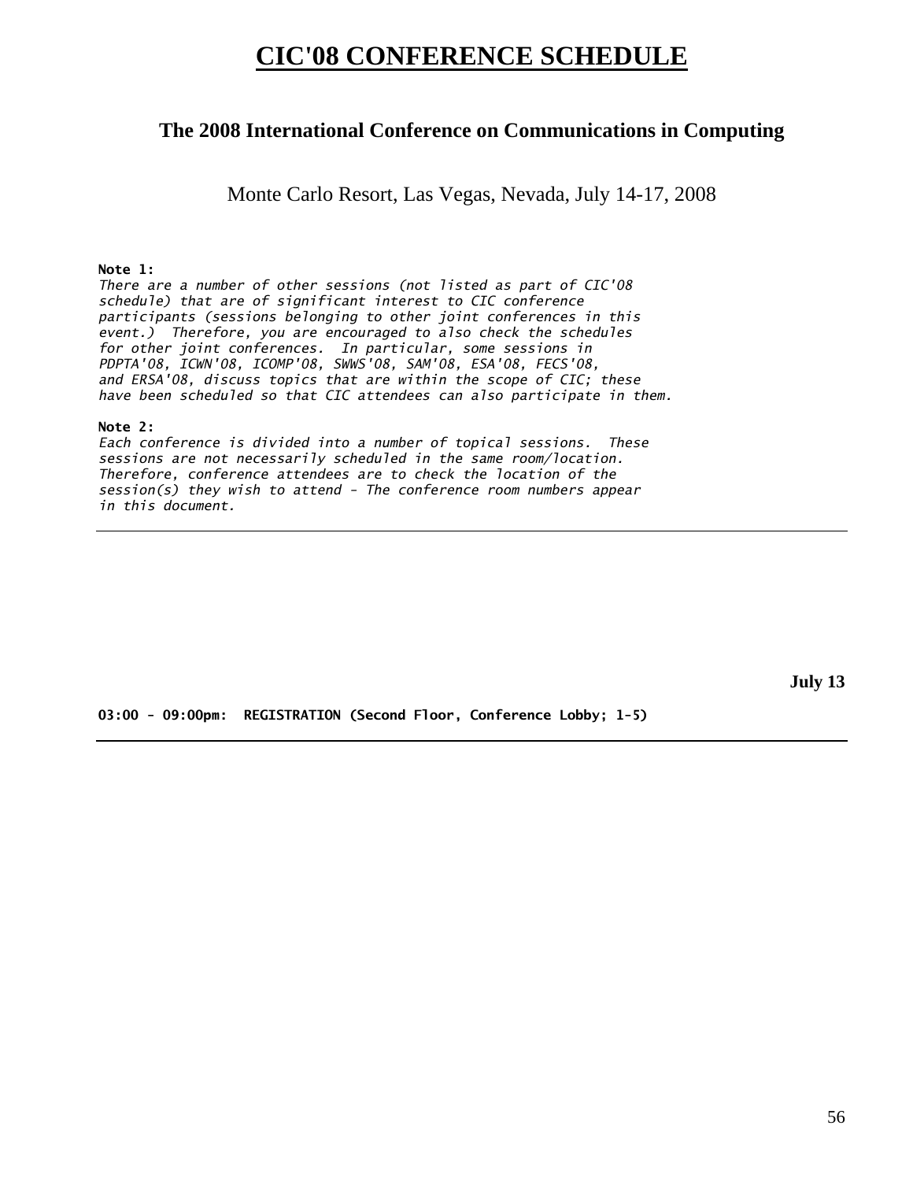# **CIC'08 CONFERENCE SCHEDULE**

# **The 2008 International Conference on Communications in Computing**

Monte Carlo Resort, Las Vegas, Nevada, July 14-17, 2008

## **Note 1:**

*There are a number of other sessions (not listed as part of CIC'08 schedule) that are of significant interest to CIC conference participants (sessions belonging to other joint conferences in this event.) Therefore, you are encouraged to also check the schedules for other joint conferences. In particular, some sessions in PDPTA'08, ICWN'08, ICOMP'08, SWWS'08, SAM'08, ESA'08, FECS'08, and ERSA'08, discuss topics that are within the scope of CIC; these have been scheduled so that CIC attendees can also participate in them.* 

#### **Note 2:**

*Each conference is divided into a number of topical sessions. These sessions are not necessarily scheduled in the same room/location. Therefore, conference attendees are to check the location of the session(s) they wish to attend - The conference room numbers appear in this document.* 

**July 13** 

**03:00 - 09:00pm: REGISTRATION (Second Floor, Conference Lobby; 1-5)**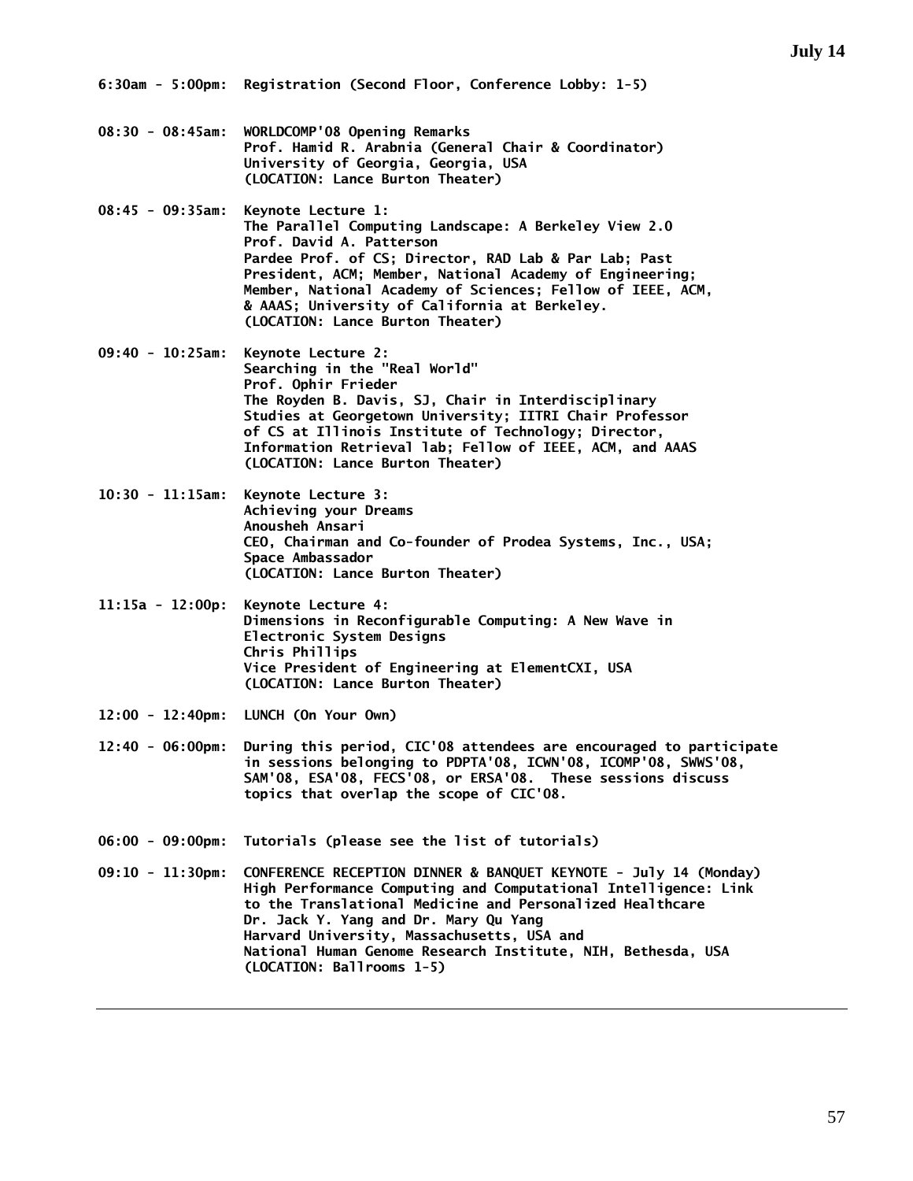- **08:30 08:45am: WORLDCOMP'08 Opening Remarks Prof. Hamid R. Arabnia (General Chair & Coordinator) University of Georgia, Georgia, USA (LOCATION: Lance Burton Theater)**
- **08:45 09:35am: Keynote Lecture 1: The Parallel Computing Landscape: A Berkeley View 2.0 Prof. David A. Patterson Pardee Prof. of CS; Director, RAD Lab & Par Lab; Past President, ACM; Member, National Academy of Engineering; Member, National Academy of Sciences; Fellow of IEEE, ACM, & AAAS; University of California at Berkeley. (LOCATION: Lance Burton Theater)**
- **09:40 10:25am: Keynote Lecture 2: Searching in the "Real World" Prof. Ophir Frieder The Royden B. Davis, SJ, Chair in Interdisciplinary Studies at Georgetown University; IITRI Chair Professor of CS at Illinois Institute of Technology; Director, Information Retrieval lab; Fellow of IEEE, ACM, and AAAS (LOCATION: Lance Burton Theater)**
- **10:30 11:15am: Keynote Lecture 3: Achieving your Dreams Anousheh Ansari CEO, Chairman and Co-founder of Prodea Systems, Inc., USA; Space Ambassador (LOCATION: Lance Burton Theater)**
- **11:15a 12:00p: Keynote Lecture 4: Dimensions in Reconfigurable Computing: A New Wave in Electronic System Designs Chris Phillips Vice President of Engineering at ElementCXI, USA (LOCATION: Lance Burton Theater)**
- **12:00 12:40pm: LUNCH (On Your Own)**
- **12:40 06:00pm: During this period, CIC'08 attendees are encouraged to participate in sessions belonging to PDPTA'08, ICWN'08, ICOMP'08, SWWS'08, SAM'08, ESA'08, FECS'08, or ERSA'08. These sessions discuss topics that overlap the scope of CIC'08.**
- **06:00 09:00pm: Tutorials (please see the list of tutorials)**
- **09:10 11:30pm: CONFERENCE RECEPTION DINNER & BANQUET KEYNOTE July 14 (Monday) High Performance Computing and Computational Intelligence: Link to the Translational Medicine and Personalized Healthcare Dr. Jack Y. Yang and Dr. Mary Qu Yang Harvard University, Massachusetts, USA and National Human Genome Research Institute, NIH, Bethesda, USA (LOCATION: Ballrooms 1-5)**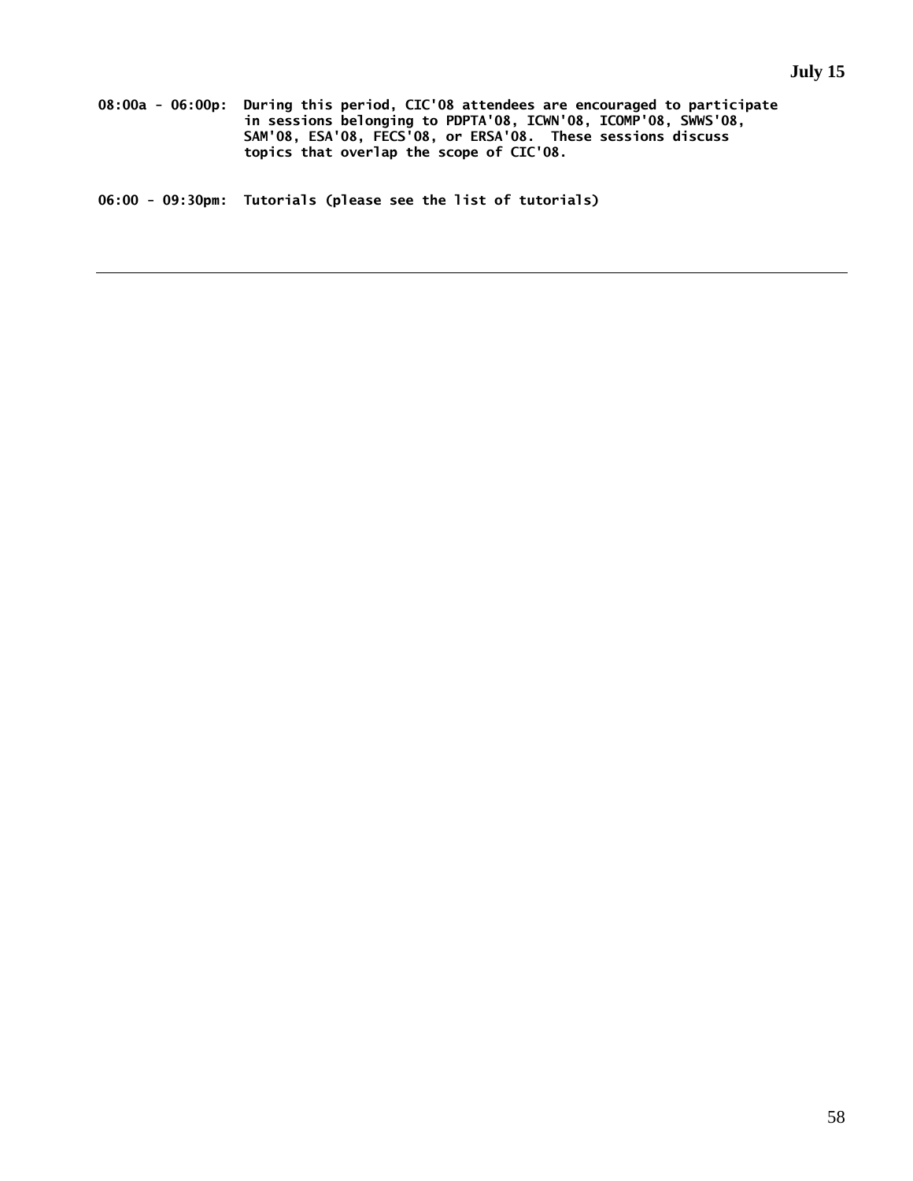**08:00a - 06:00p: During this period, CIC'08 attendees are encouraged to participate in sessions belonging to PDPTA'08, ICWN'08, ICOMP'08, SWWS'08, SAM'08, ESA'08, FECS'08, or ERSA'08. These sessions discuss topics that overlap the scope of CIC'08.**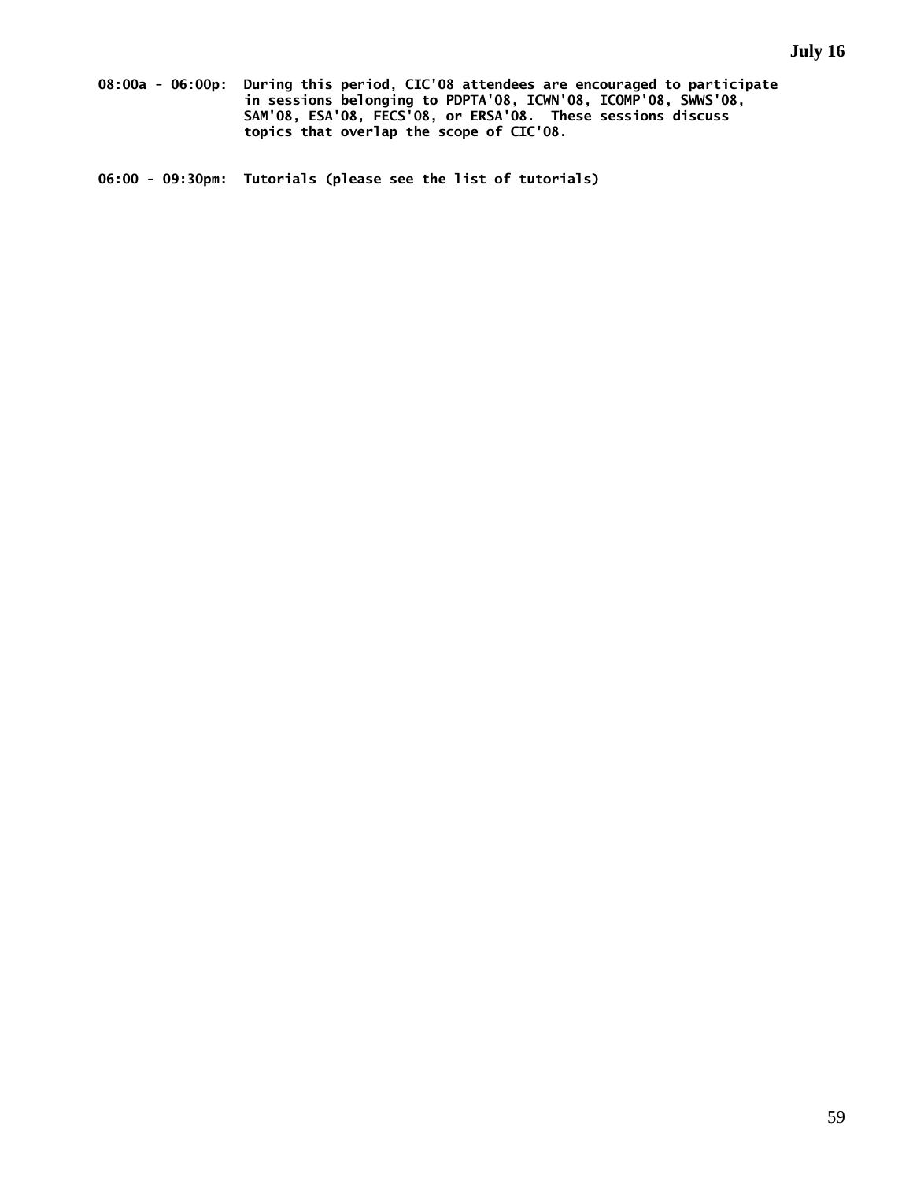**08:00a - 06:00p: During this period, CIC'08 attendees are encouraged to participate in sessions belonging to PDPTA'08, ICWN'08, ICOMP'08, SWWS'08, SAM'08, ESA'08, FECS'08, or ERSA'08. These sessions discuss topics that overlap the scope of CIC'08.**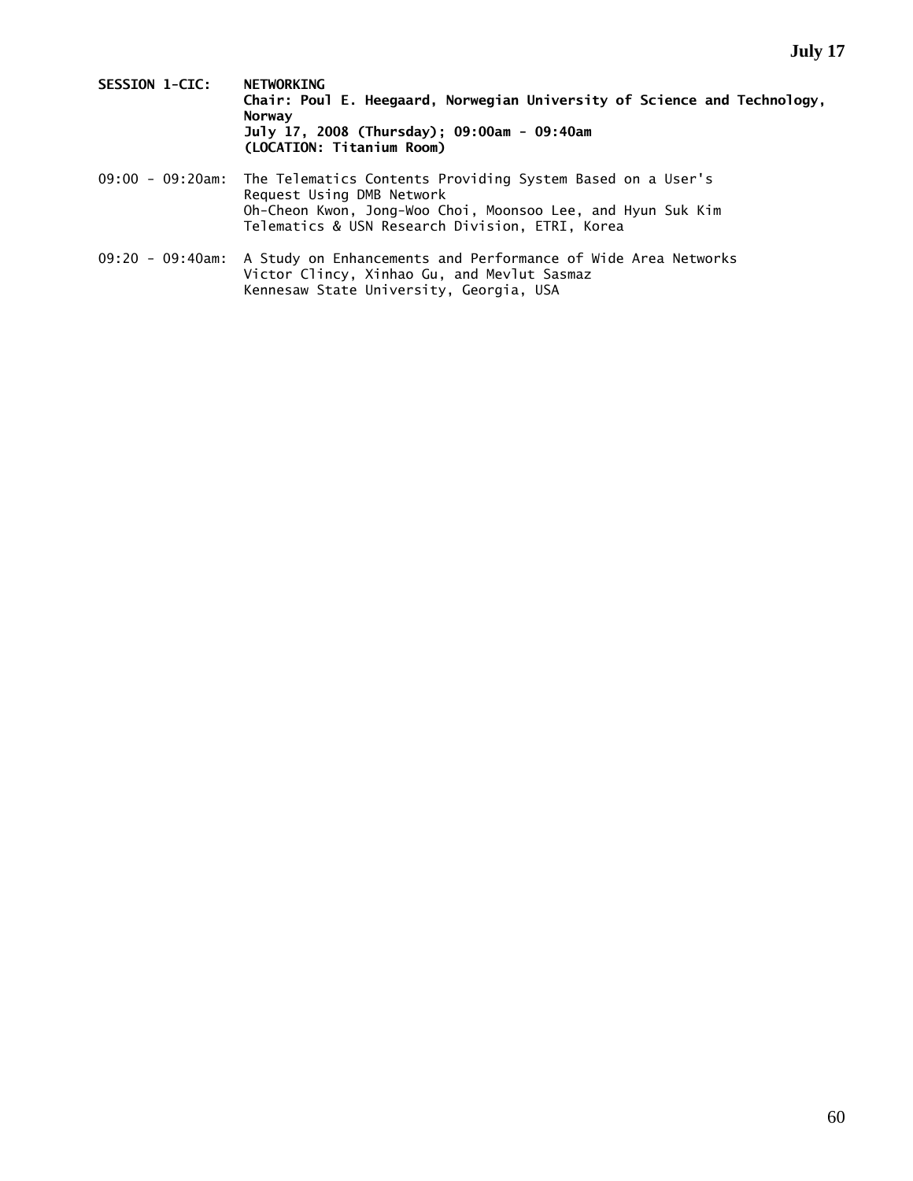- **SESSION 1-CIC: NETWORKING Chair: Poul E. Heegaard, Norwegian University of Science and Technology, Norway July 17, 2008 (Thursday); 09:00am - 09:40am (LOCATION: Titanium Room)**
- 09:00 09:20am: The Telematics Contents Providing System Based on a User's Request Using DMB Network Oh-Cheon Kwon, Jong-Woo Choi, Moonsoo Lee, and Hyun Suk Kim Telematics & USN Research Division, ETRI, Korea
- 09:20 09:40am: A Study on Enhancements and Performance of Wide Area Networks Victor Clincy, Xinhao Gu, and Mevlut Sasmaz Kennesaw State University, Georgia, USA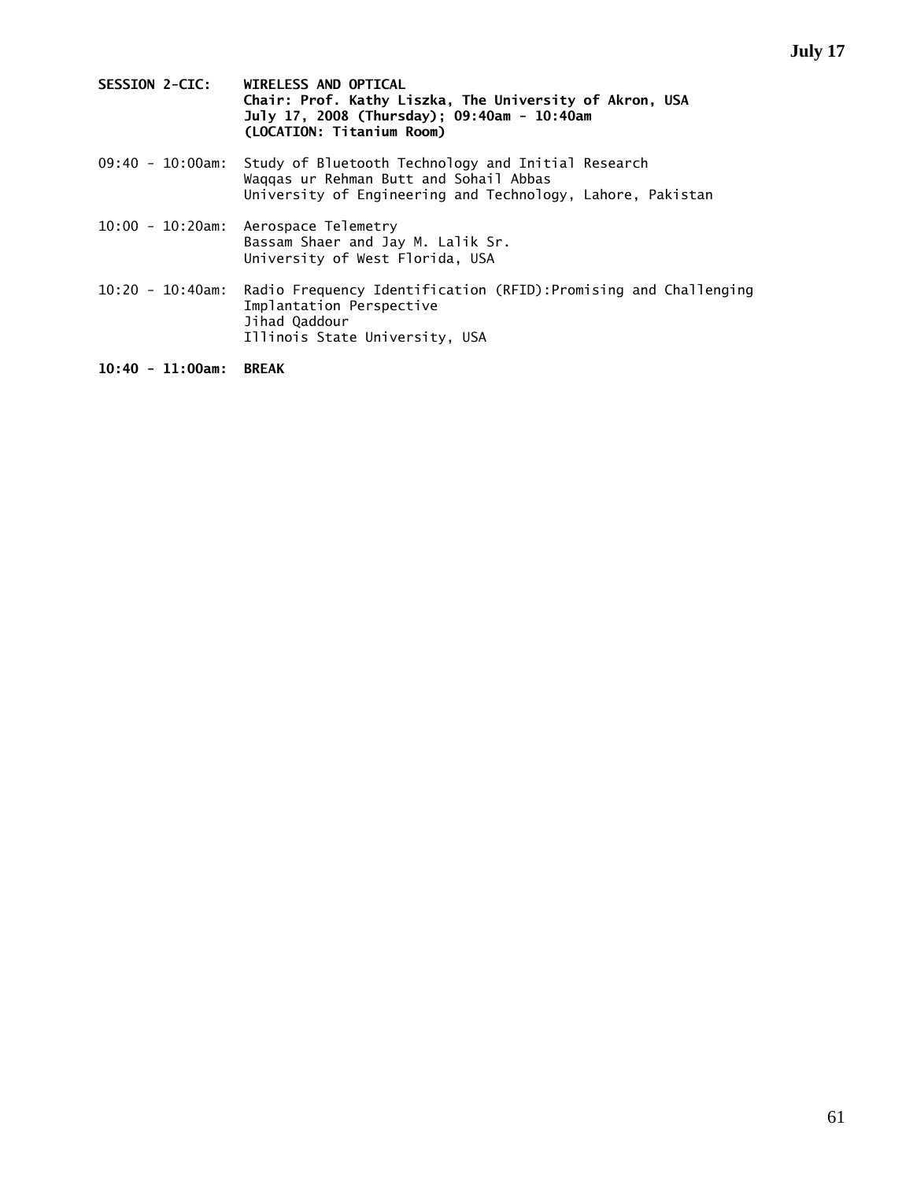- **SESSION 2-CIC: WIRELESS AND OPTICAL Chair: Prof. Kathy Liszka, The University of Akron, USA July 17, 2008 (Thursday); 09:40am - 10:40am (LOCATION: Titanium Room)**
- 09:40 10:00am: Study of Bluetooth Technology and Initial Research Waqqas ur Rehman Butt and Sohail Abbas University of Engineering and Technology, Lahore, Pakistan
- 10:00 10:20am: Aerospace Telemetry Bassam Shaer and Jay M. Lalik Sr. University of West Florida, USA
- 10:20 10:40am: Radio Frequency Identification (RFID):Promising and Challenging Implantation Perspective Jihad Qaddour Illinois State University, USA

**10:40 - 11:00am: BREAK**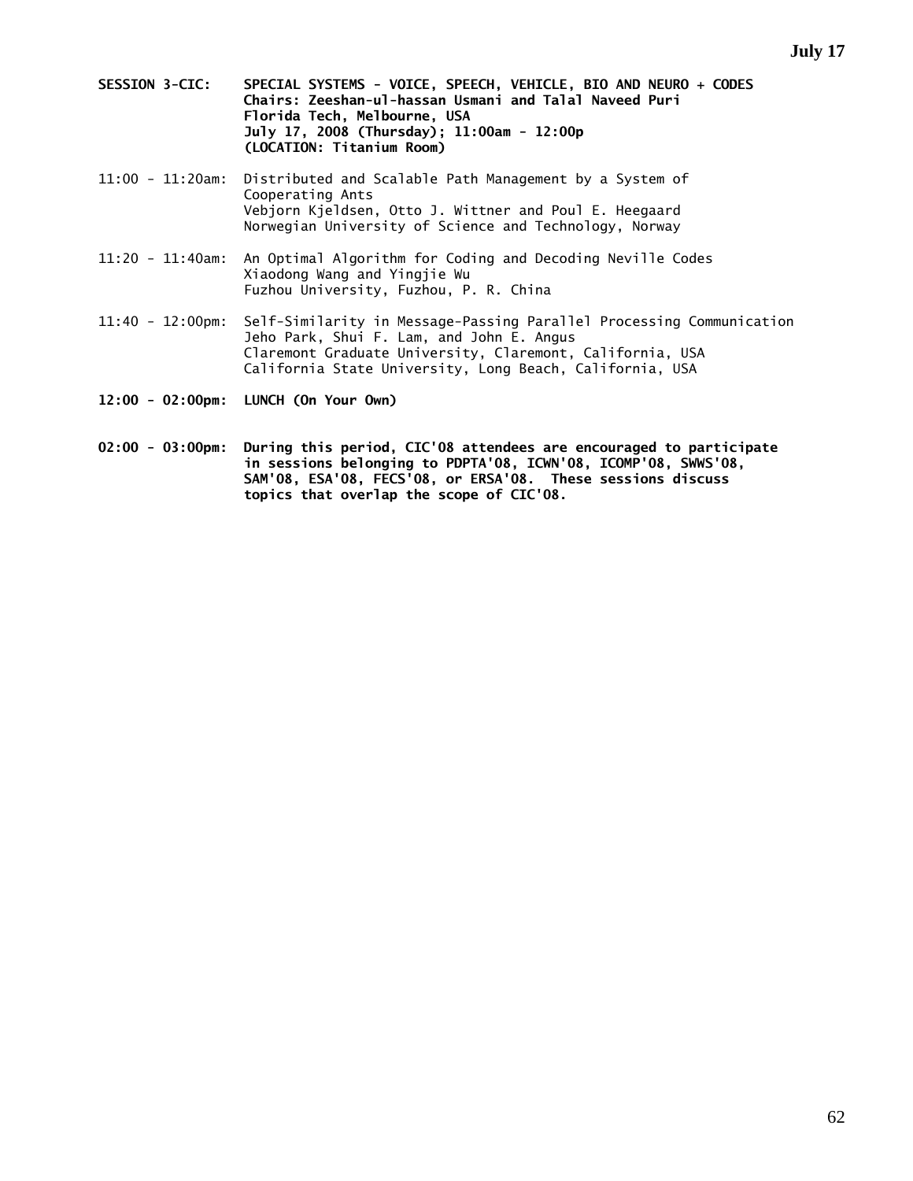- **SESSION 3-CIC: SPECIAL SYSTEMS VOICE, SPEECH, VEHICLE, BIO AND NEURO + CODES Chairs: Zeeshan-ul-hassan Usmani and Talal Naveed Puri Florida Tech, Melbourne, USA July 17, 2008 (Thursday); 11:00am - 12:00p (LOCATION: Titanium Room)**
- 11:00 11:20am: Distributed and Scalable Path Management by a System of Cooperating Ants Vebjorn Kjeldsen, Otto J. Wittner and Poul E. Heegaard Norwegian University of Science and Technology, Norway
- 11:20 11:40am: An Optimal Algorithm for Coding and Decoding Neville Codes Xiaodong Wang and Yingjie Wu Fuzhou University, Fuzhou, P. R. China
- 11:40 12:00pm: Self-Similarity in Message-Passing Parallel Processing Communication Jeho Park, Shui F. Lam, and John E. Angus Claremont Graduate University, Claremont, California, USA California State University, Long Beach, California, USA
- **12:00 02:00pm: LUNCH (On Your Own)**
- **02:00 03:00pm: During this period, CIC'08 attendees are encouraged to participate in sessions belonging to PDPTA'08, ICWN'08, ICOMP'08, SWWS'08, SAM'08, ESA'08, FECS'08, or ERSA'08. These sessions discuss topics that overlap the scope of CIC'08.**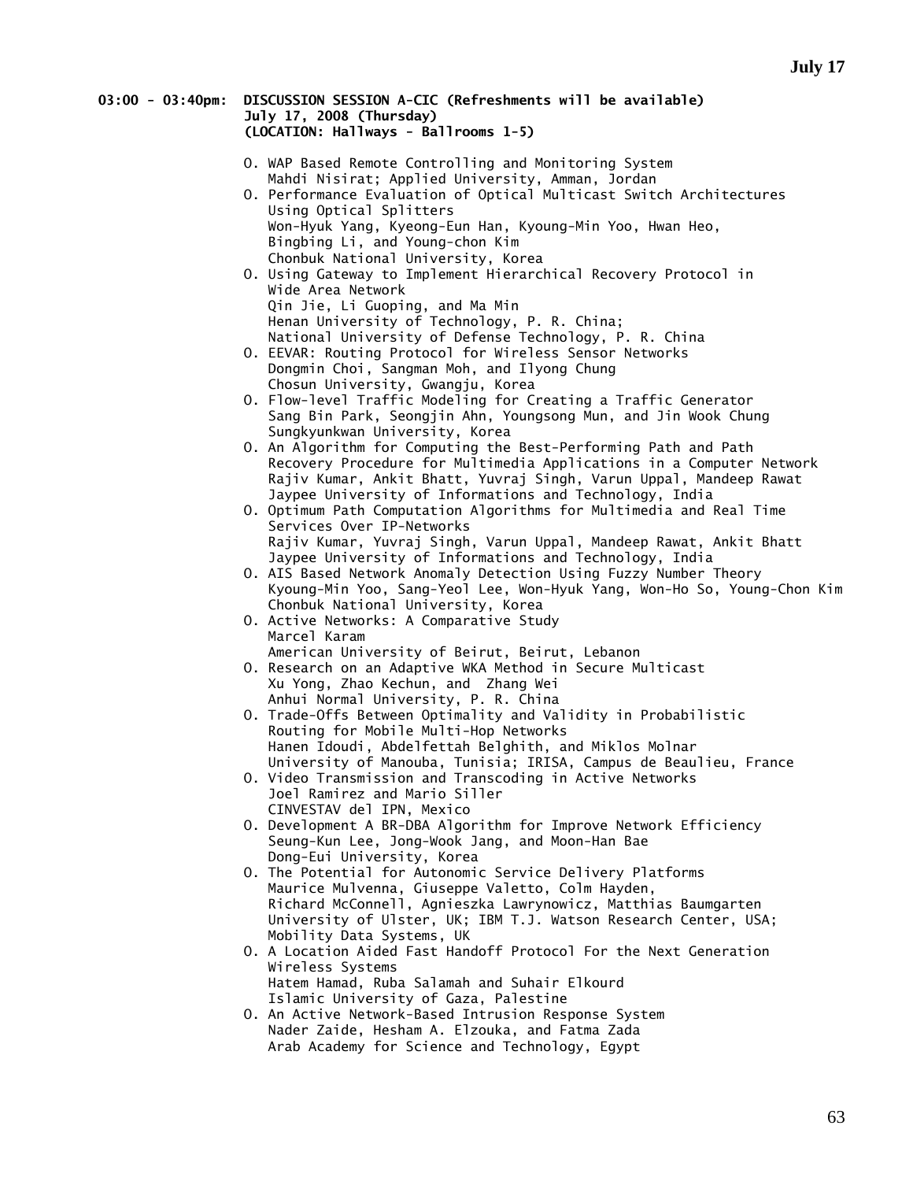## **03:00 - 03:40pm: DISCUSSION SESSION A-CIC (Refreshments will be available) July 17, 2008 (Thursday) (LOCATION: Hallways - Ballrooms 1-5)**

- O. WAP Based Remote Controlling and Monitoring System Mahdi Nisirat; Applied University, Amman, Jordan
- O. Performance Evaluation of Optical Multicast Switch Architectures Using Optical Splitters Won-Hyuk Yang, Kyeong-Eun Han, Kyoung-Min Yoo, Hwan Heo, Bingbing Li, and Young-chon Kim Chonbuk National University, Korea
- O. Using Gateway to Implement Hierarchical Recovery Protocol in Wide Area Network Qin Jie, Li Guoping, and Ma Min Henan University of Technology, P. R. China; National University of Defense Technology, P. R. China
- O. EEVAR: Routing Protocol for Wireless Sensor Networks Dongmin Choi, Sangman Moh, and Ilyong Chung Chosun University, Gwangju, Korea
- O. Flow-level Traffic Modeling for Creating a Traffic Generator Sang Bin Park, Seongjin Ahn, Youngsong Mun, and Jin Wook Chung Sungkyunkwan University, Korea
- O. An Algorithm for Computing the Best-Performing Path and Path Recovery Procedure for Multimedia Applications in a Computer Network Rajiv Kumar, Ankit Bhatt, Yuvraj Singh, Varun Uppal, Mandeep Rawat Jaypee University of Informations and Technology, India
- O. Optimum Path Computation Algorithms for Multimedia and Real Time Services Over IP-Networks Rajiv Kumar, Yuvraj Singh, Varun Uppal, Mandeep Rawat, Ankit Bhatt Jaypee University of Informations and Technology, India
- O. AIS Based Network Anomaly Detection Using Fuzzy Number Theory Kyoung-Min Yoo, Sang-Yeol Lee, Won-Hyuk Yang, Won-Ho So, Young-Chon Kim Chonbuk National University, Korea
- O. Active Networks: A Comparative Study Marcel Karam
- American University of Beirut, Beirut, Lebanon O. Research on an Adaptive WKA Method in Secure Multicast Xu Yong, Zhao Kechun, and Zhang Wei Anhui Normal University, P. R. China
- O. Trade-Offs Between Optimality and Validity in Probabilistic Routing for Mobile Multi-Hop Networks Hanen Idoudi, Abdelfettah Belghith, and Miklos Molnar University of Manouba, Tunisia; IRISA, Campus de Beaulieu, France
- O. Video Transmission and Transcoding in Active Networks Joel Ramirez and Mario Siller CINVESTAV del IPN, Mexico
	- O. Development A BR-DBA Algorithm for Improve Network Efficiency Seung-Kun Lee, Jong-Wook Jang, and Moon-Han Bae Dong-Eui University, Korea
	- O. The Potential for Autonomic Service Delivery Platforms Maurice Mulvenna, Giuseppe Valetto, Colm Hayden, Richard McConnell, Agnieszka Lawrynowicz, Matthias Baumgarten University of Ulster, UK; IBM T.J. Watson Research Center, USA; Mobility Data Systems, UK
	- O. A Location Aided Fast Handoff Protocol For the Next Generation Wireless Systems Hatem Hamad, Ruba Salamah and Suhair Elkourd Islamic University of Gaza, Palestine
	- O. An Active Network-Based Intrusion Response System Nader Zaide, Hesham A. Elzouka, and Fatma Zada Arab Academy for Science and Technology, Egypt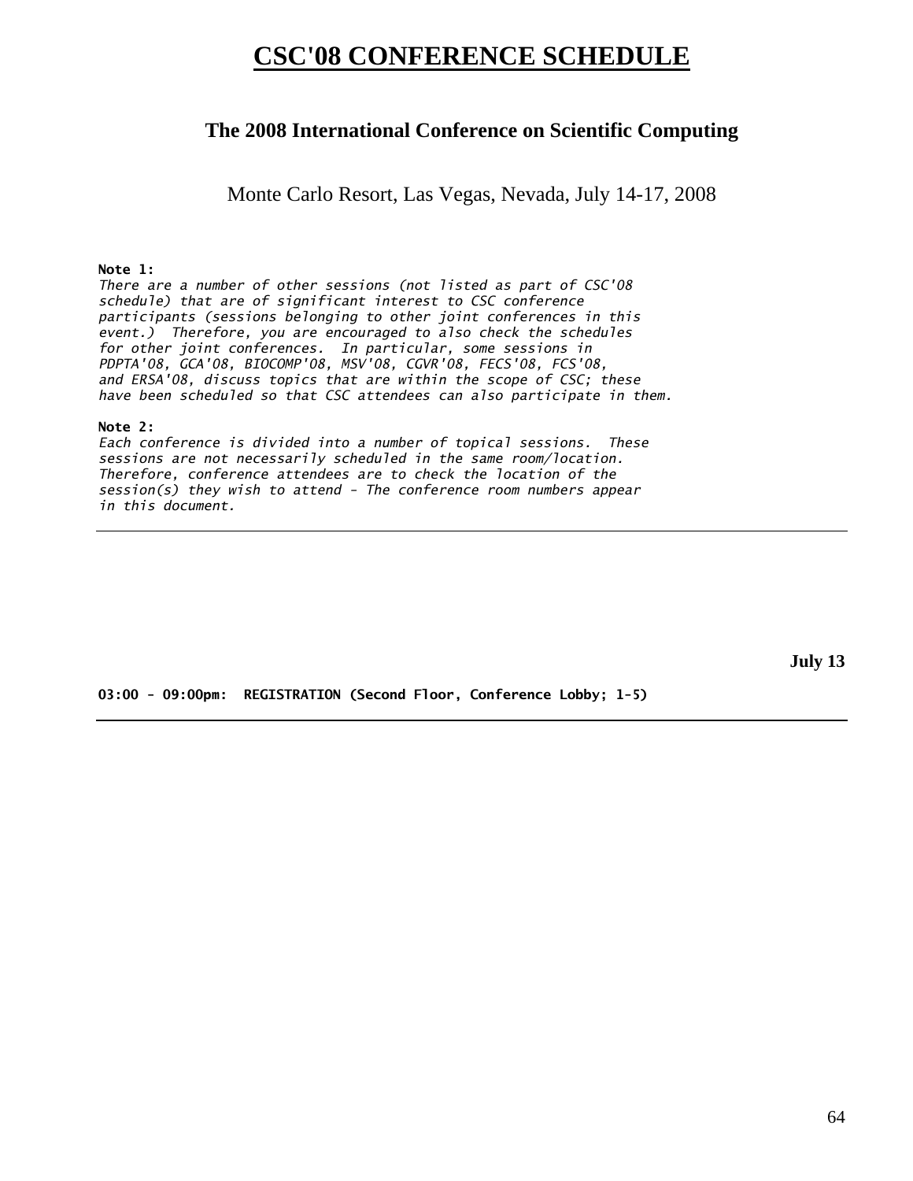# **CSC'08 CONFERENCE SCHEDULE**

# **The 2008 International Conference on Scientific Computing**

Monte Carlo Resort, Las Vegas, Nevada, July 14-17, 2008

## **Note 1:**

*There are a number of other sessions (not listed as part of CSC'08 schedule) that are of significant interest to CSC conference participants (sessions belonging to other joint conferences in this event.) Therefore, you are encouraged to also check the schedules for other joint conferences. In particular, some sessions in PDPTA'08, GCA'08, BIOCOMP'08, MSV'08, CGVR'08, FECS'08, FCS'08, and ERSA'08, discuss topics that are within the scope of CSC; these have been scheduled so that CSC attendees can also participate in them.* 

#### **Note 2:**

*Each conference is divided into a number of topical sessions. These sessions are not necessarily scheduled in the same room/location. Therefore, conference attendees are to check the location of the session(s) they wish to attend - The conference room numbers appear in this document.* 

**July 13** 

**03:00 - 09:00pm: REGISTRATION (Second Floor, Conference Lobby; 1-5)**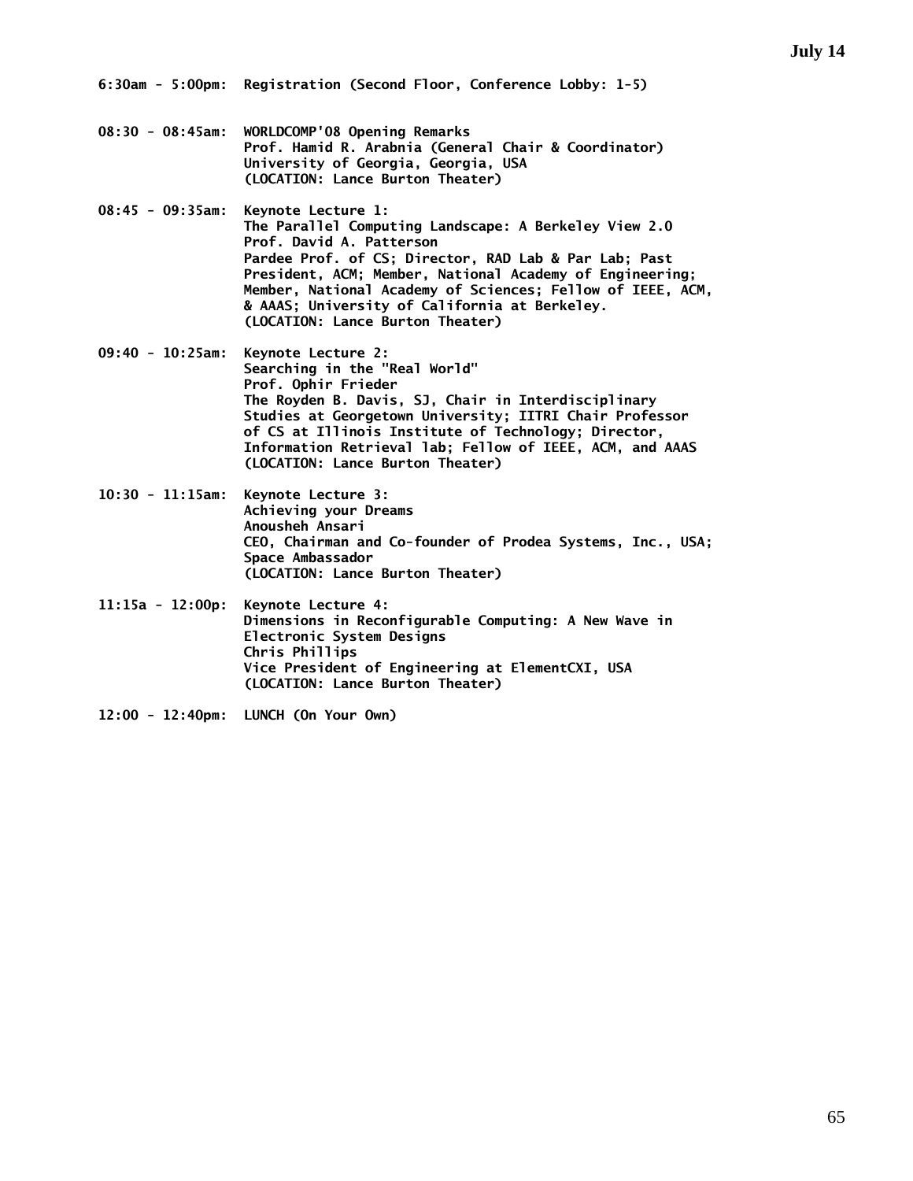- **08:30 08:45am: WORLDCOMP'08 Opening Remarks Prof. Hamid R. Arabnia (General Chair & Coordinator) University of Georgia, Georgia, USA (LOCATION: Lance Burton Theater)**
- **08:45 09:35am: Keynote Lecture 1: The Parallel Computing Landscape: A Berkeley View 2.0 Prof. David A. Patterson Pardee Prof. of CS; Director, RAD Lab & Par Lab; Past President, ACM; Member, National Academy of Engineering; Member, National Academy of Sciences; Fellow of IEEE, ACM, & AAAS; University of California at Berkeley. (LOCATION: Lance Burton Theater)**
- **09:40 10:25am: Keynote Lecture 2: Searching in the "Real World" Prof. Ophir Frieder The Royden B. Davis, SJ, Chair in Interdisciplinary Studies at Georgetown University; IITRI Chair Professor of CS at Illinois Institute of Technology; Director, Information Retrieval lab; Fellow of IEEE, ACM, and AAAS (LOCATION: Lance Burton Theater)**
- **10:30 11:15am: Keynote Lecture 3: Achieving your Dreams Anousheh Ansari CEO, Chairman and Co-founder of Prodea Systems, Inc., USA; Space Ambassador (LOCATION: Lance Burton Theater)**
- **11:15a 12:00p: Keynote Lecture 4: Dimensions in Reconfigurable Computing: A New Wave in Electronic System Designs Chris Phillips Vice President of Engineering at ElementCXI, USA (LOCATION: Lance Burton Theater)**
- **12:00 12:40pm: LUNCH (On Your Own)**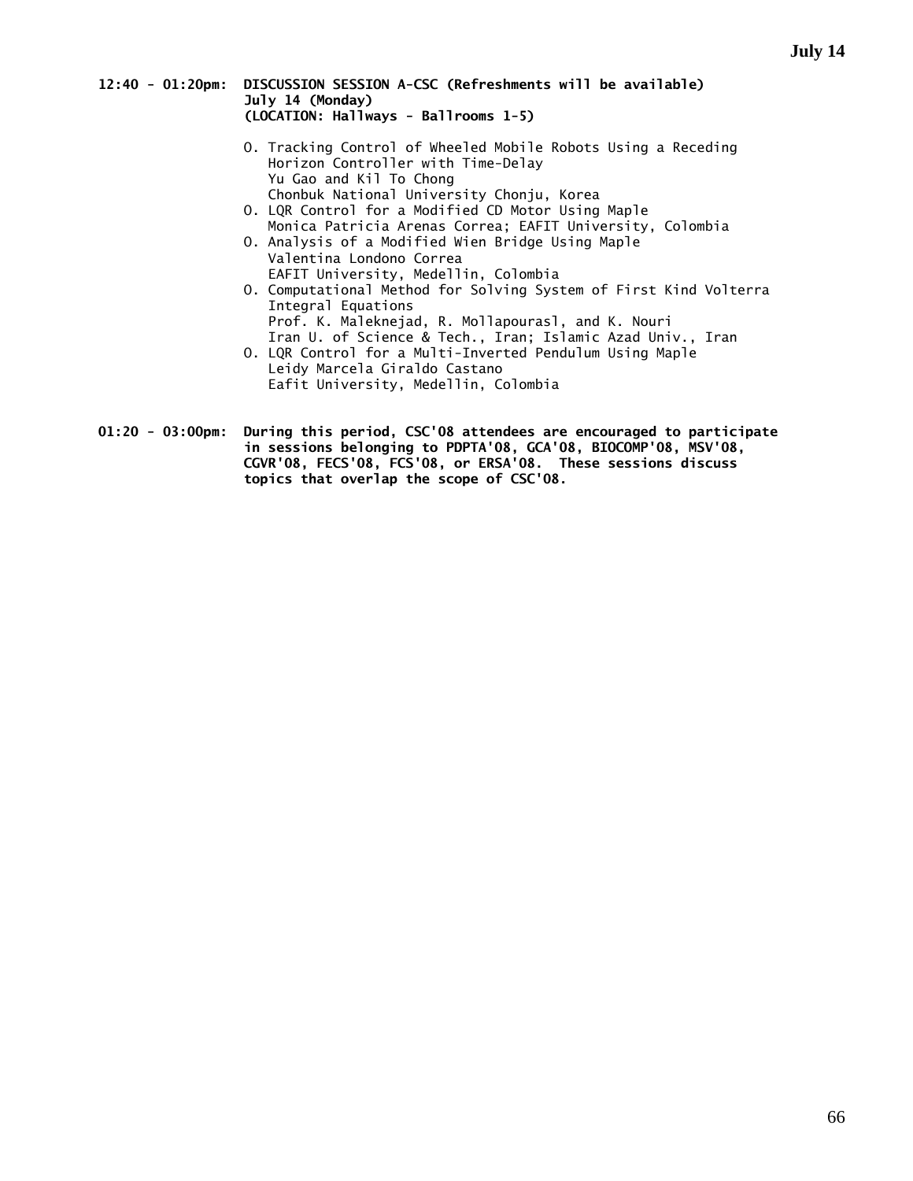#### **12:40 - 01:20pm: DISCUSSION SESSION A-CSC (Refreshments will be available) July 14 (Monday) (LOCATION: Hallways - Ballrooms 1-5)**

- O. Tracking Control of Wheeled Mobile Robots Using a Receding Horizon Controller with Time-Delay Yu Gao and Kil To Chong Chonbuk National University Chonju, Korea
- O. LQR Control for a Modified CD Motor Using Maple Monica Patricia Arenas Correa; EAFIT University, Colombia
- O. Analysis of a Modified Wien Bridge Using Maple Valentina Londono Correa EAFIT University, Medellin, Colombia
- O. Computational Method for Solving System of First Kind Volterra Integral Equations Prof. K. Maleknejad, R. Mollapourasl, and K. Nouri Iran U. of Science & Tech., Iran; Islamic Azad Univ., Iran O. LQR Control for a Multi-Inverted Pendulum Using Maple
- Leidy Marcela Giraldo Castano Eafit University, Medellin, Colombia
- **01:20 03:00pm: During this period, CSC'08 attendees are encouraged to participate in sessions belonging to PDPTA'08, GCA'08, BIOCOMP'08, MSV'08, CGVR'08, FECS'08, FCS'08, or ERSA'08. These sessions discuss topics that overlap the scope of CSC'08.**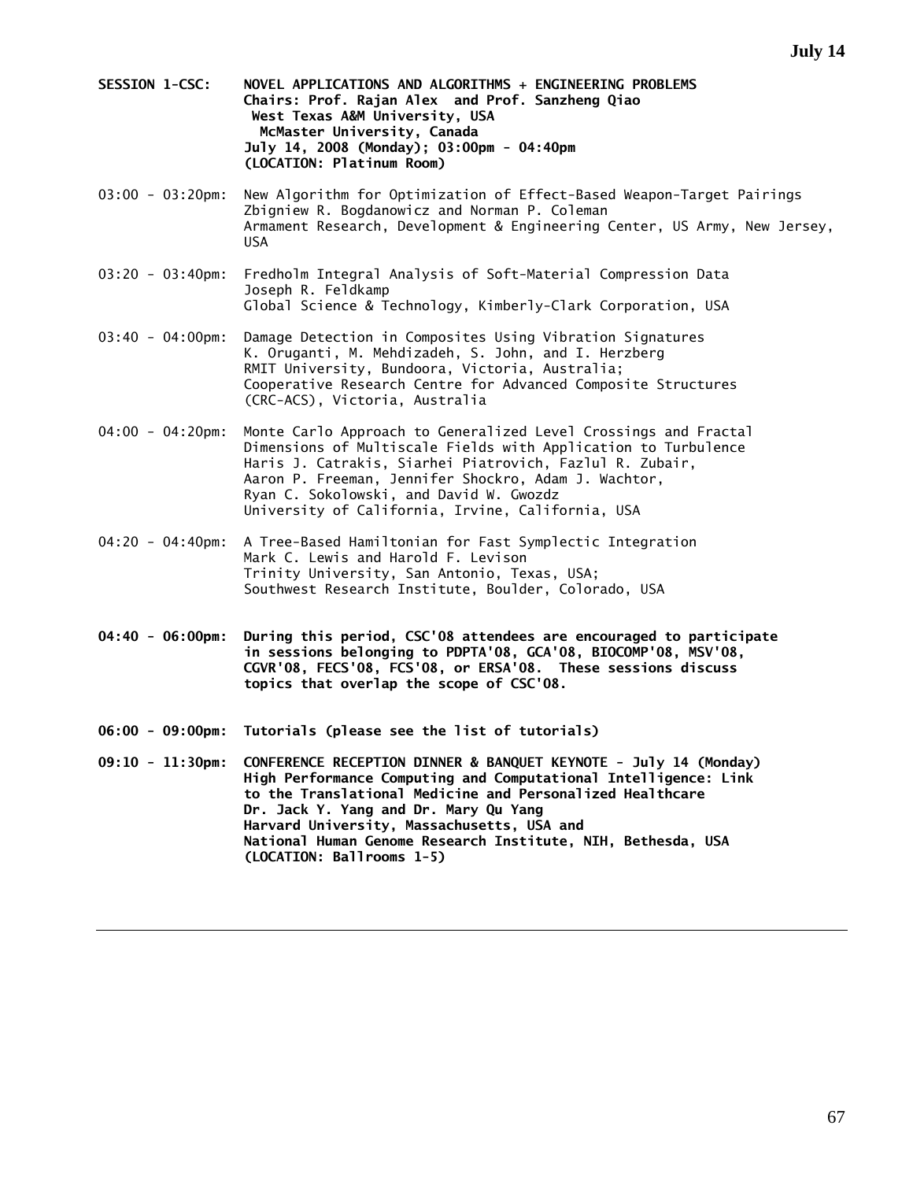- **SESSION 1-CSC: NOVEL APPLICATIONS AND ALGORITHMS + ENGINEERING PROBLEMS Chairs: Prof. Rajan Alex and Prof. Sanzheng Qiao West Texas A&M University, USA McMaster University, Canada July 14, 2008 (Monday); 03:00pm - 04:40pm (LOCATION: Platinum Room)**
- 03:00 03:20pm: New Algorithm for Optimization of Effect-Based Weapon-Target Pairings Zbigniew R. Bogdanowicz and Norman P. Coleman Armament Research, Development & Engineering Center, US Army, New Jersey, USA
- 03:20 03:40pm: Fredholm Integral Analysis of Soft-Material Compression Data Joseph R. Feldkamp Global Science & Technology, Kimberly-Clark Corporation, USA
- 03:40 04:00pm: Damage Detection in Composites Using Vibration Signatures K. Oruganti, M. Mehdizadeh, S. John, and I. Herzberg RMIT University, Bundoora, Victoria, Australia; Cooperative Research Centre for Advanced Composite Structures (CRC-ACS), Victoria, Australia
- 04:00 04:20pm: Monte Carlo Approach to Generalized Level Crossings and Fractal Dimensions of Multiscale Fields with Application to Turbulence Haris J. Catrakis, Siarhei Piatrovich, Fazlul R. Zubair, Aaron P. Freeman, Jennifer Shockro, Adam J. Wachtor, Ryan C. Sokolowski, and David W. Gwozdz University of California, Irvine, California, USA
- 04:20 04:40pm: A Tree-Based Hamiltonian for Fast Symplectic Integration Mark C. Lewis and Harold F. Levison Trinity University, San Antonio, Texas, USA; Southwest Research Institute, Boulder, Colorado, USA
- **04:40 06:00pm: During this period, CSC'08 attendees are encouraged to participate in sessions belonging to PDPTA'08, GCA'08, BIOCOMP'08, MSV'08, CGVR'08, FECS'08, FCS'08, or ERSA'08. These sessions discuss topics that overlap the scope of CSC'08.**
- **06:00 09:00pm: Tutorials (please see the list of tutorials)**
- **09:10 11:30pm: CONFERENCE RECEPTION DINNER & BANQUET KEYNOTE July 14 (Monday) High Performance Computing and Computational Intelligence: Link to the Translational Medicine and Personalized Healthcare Dr. Jack Y. Yang and Dr. Mary Qu Yang Harvard University, Massachusetts, USA and National Human Genome Research Institute, NIH, Bethesda, USA (LOCATION: Ballrooms 1-5)**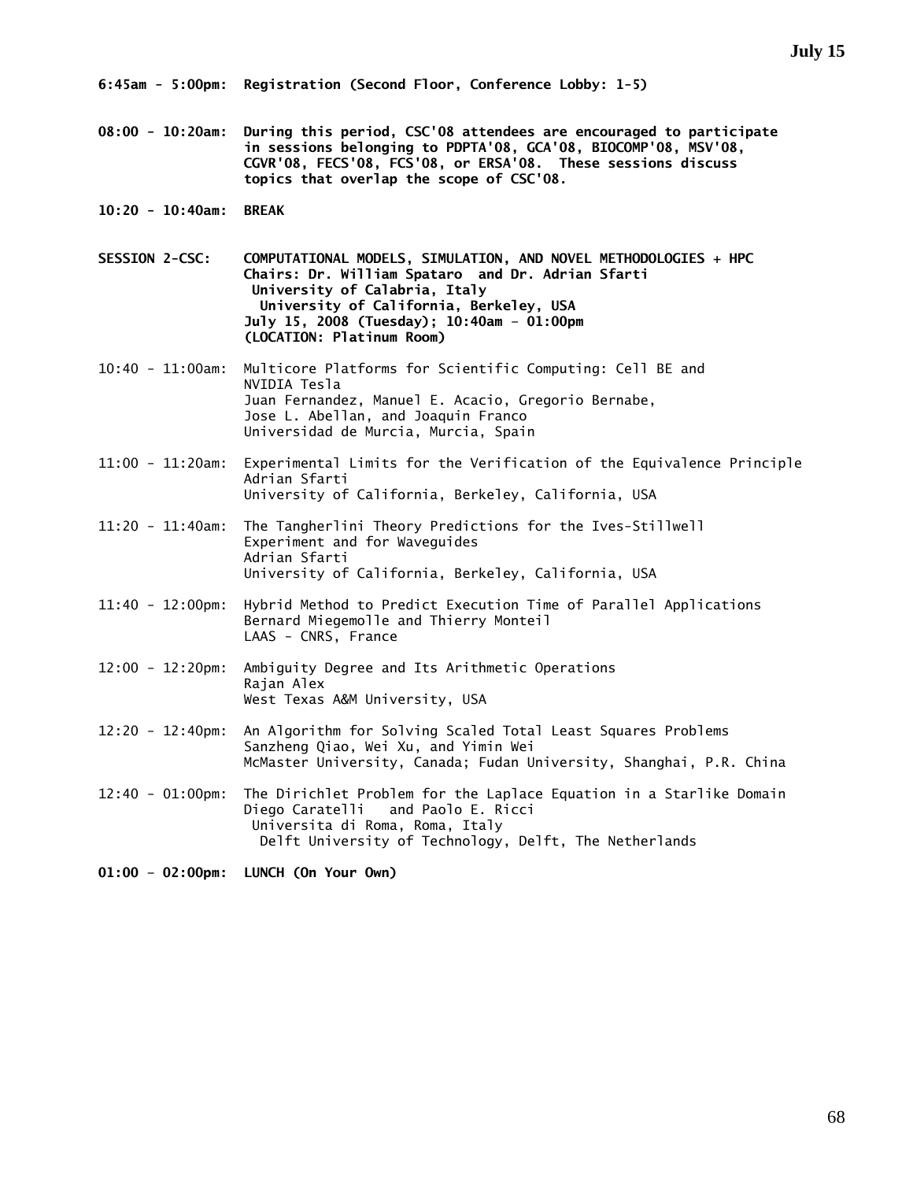**08:00 - 10:20am: During this period, CSC'08 attendees are encouraged to participate in sessions belonging to PDPTA'08, GCA'08, BIOCOMP'08, MSV'08, CGVR'08, FECS'08, FCS'08, or ERSA'08. These sessions discuss topics that overlap the scope of CSC'08.** 

**10:20 - 10:40am: BREAK** 

**SESSION 2-CSC: COMPUTATIONAL MODELS, SIMULATION, AND NOVEL METHODOLOGIES + HPC Chairs: Dr. William Spataro and Dr. Adrian Sfarti University of Calabria, Italy University of California, Berkeley, USA July 15, 2008 (Tuesday); 10:40am – 01:00pm (LOCATION: Platinum Room)** 

- 10:40 11:00am: Multicore Platforms for Scientific Computing: Cell BE and NVIDIA Tesla Juan Fernandez, Manuel E. Acacio, Gregorio Bernabe, Jose L. Abellan, and Joaquin Franco Universidad de Murcia, Murcia, Spain
- 11:00 11:20am: Experimental Limits for the Verification of the Equivalence Principle Adrian Sfarti University of California, Berkeley, California, USA
- 11:20 11:40am: The Tangherlini Theory Predictions for the Ives-Stillwell Experiment and for Waveguides Adrian Sfarti University of California, Berkeley, California, USA
- 11:40 12:00pm: Hybrid Method to Predict Execution Time of Parallel Applications Bernard Miegemolle and Thierry Monteil LAAS - CNRS, France
- 12:00 12:20pm: Ambiguity Degree and Its Arithmetic Operations Rajan Alex West Texas A&M University, USA
- 12:20 12:40pm: An Algorithm for Solving Scaled Total Least Squares Problems Sanzheng Qiao, Wei Xu, and Yimin Wei McMaster University, Canada; Fudan University, Shanghai, P.R. China
- 12:40 01:00pm: The Dirichlet Problem for the Laplace Equation in a Starlike Domain Diego Caratelli and Paolo E. Ricci Universita di Roma, Roma, Italy Delft University of Technology, Delft, The Netherlands

**01:00 – 02:00pm: LUNCH (On Your Own)**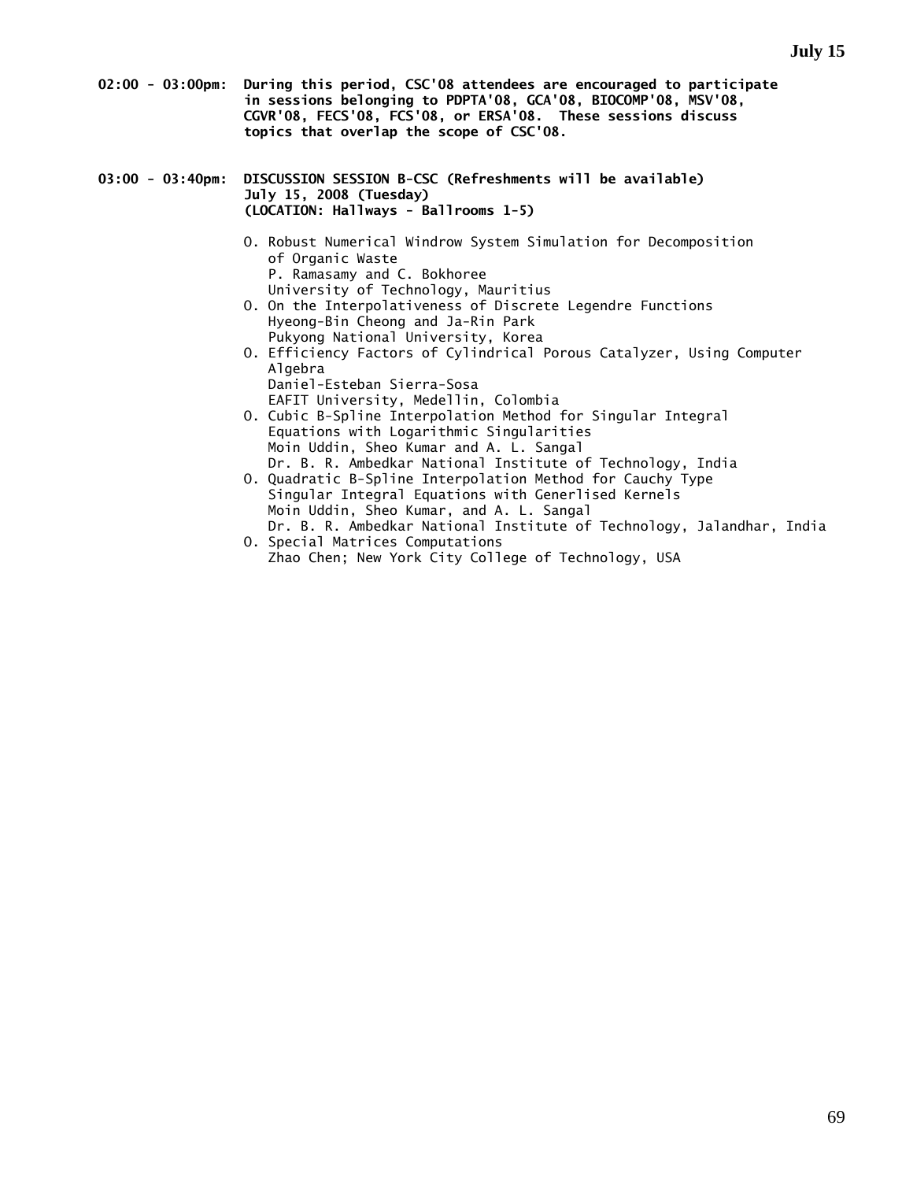- **02:00 03:00pm: During this period, CSC'08 attendees are encouraged to participate in sessions belonging to PDPTA'08, GCA'08, BIOCOMP'08, MSV'08, CGVR'08, FECS'08, FCS'08, or ERSA'08. These sessions discuss topics that overlap the scope of CSC'08.**
- **03:00 03:40pm: DISCUSSION SESSION B-CSC (Refreshments will be available) July 15, 2008 (Tuesday) (LOCATION: Hallways - Ballrooms 1-5)** 
	- O. Robust Numerical Windrow System Simulation for Decomposition of Organic Waste P. Ramasamy and C. Bokhoree University of Technology, Mauritius
	- O. On the Interpolativeness of Discrete Legendre Functions Hyeong-Bin Cheong and Ja-Rin Park Pukyong National University, Korea
	- O. Efficiency Factors of Cylindrical Porous Catalyzer, Using Computer Algebra Daniel-Esteban Sierra-Sosa
		- EAFIT University, Medellin, Colombia
	- O. Cubic B-Spline Interpolation Method for Singular Integral Equations with Logarithmic Singularities Moin Uddin, Sheo Kumar and A. L. Sangal Dr. B. R. Ambedkar National Institute of Technology, India
	- O. Quadratic B-Spline Interpolation Method for Cauchy Type Singular Integral Equations with Generlised Kernels Moin Uddin, Sheo Kumar, and A. L. Sangal Dr. B. R. Ambedkar National Institute of Technology, Jalandhar, India
	- O. Special Matrices Computations Zhao Chen; New York City College of Technology, USA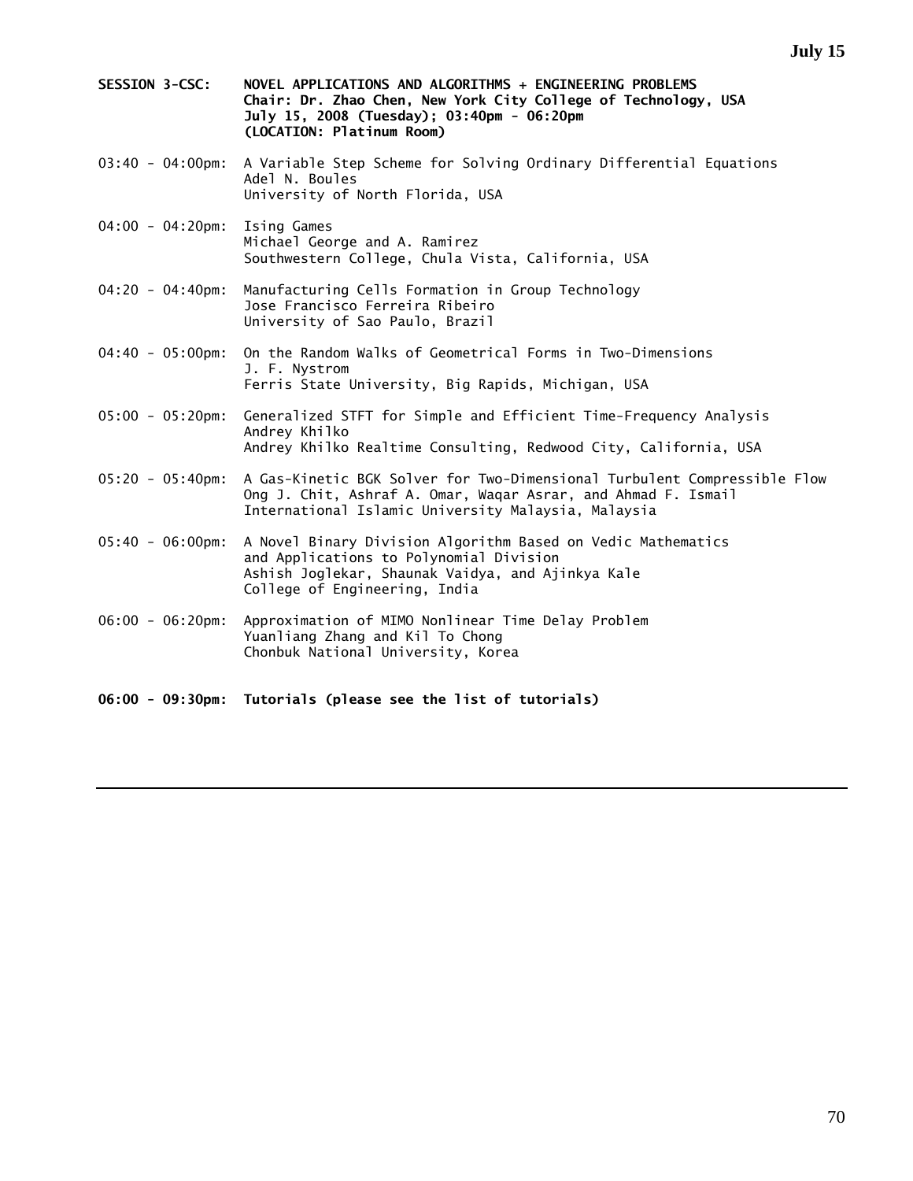- **SESSION 3-CSC: NOVEL APPLICATIONS AND ALGORITHMS + ENGINEERING PROBLEMS Chair: Dr. Zhao Chen, New York City College of Technology, USA July 15, 2008 (Tuesday); 03:40pm - 06:20pm (LOCATION: Platinum Room)**
- 03:40 04:00pm: A Variable Step Scheme for Solving Ordinary Differential Equations Adel N. Boules University of North Florida, USA
- 04:00 04:20pm: Ising Games Michael George and A. Ramirez Southwestern College, Chula Vista, California, USA
- 04:20 04:40pm: Manufacturing Cells Formation in Group Technology Jose Francisco Ferreira Ribeiro University of Sao Paulo, Brazil
- 04:40 05:00pm: On the Random Walks of Geometrical Forms in Two-Dimensions J. F. Nystrom Ferris State University, Big Rapids, Michigan, USA
- 05:00 05:20pm: Generalized STFT for Simple and Efficient Time-Frequency Analysis Andrey Khilko Andrey Khilko Realtime Consulting, Redwood City, California, USA
- 05:20 05:40pm: A Gas-Kinetic BGK Solver for Two-Dimensional Turbulent Compressible Flow Ong J. Chit, Ashraf A. Omar, Waqar Asrar, and Ahmad F. Ismail International Islamic University Malaysia, Malaysia
- 05:40 06:00pm: A Novel Binary Division Algorithm Based on Vedic Mathematics and Applications to Polynomial Division Ashish Joglekar, Shaunak Vaidya, and Ajinkya Kale College of Engineering, India
- 06:00 06:20pm: Approximation of MIMO Nonlinear Time Delay Problem Yuanliang Zhang and Kil To Chong Chonbuk National University, Korea
- **06:00 09:30pm: Tutorials (please see the list of tutorials)**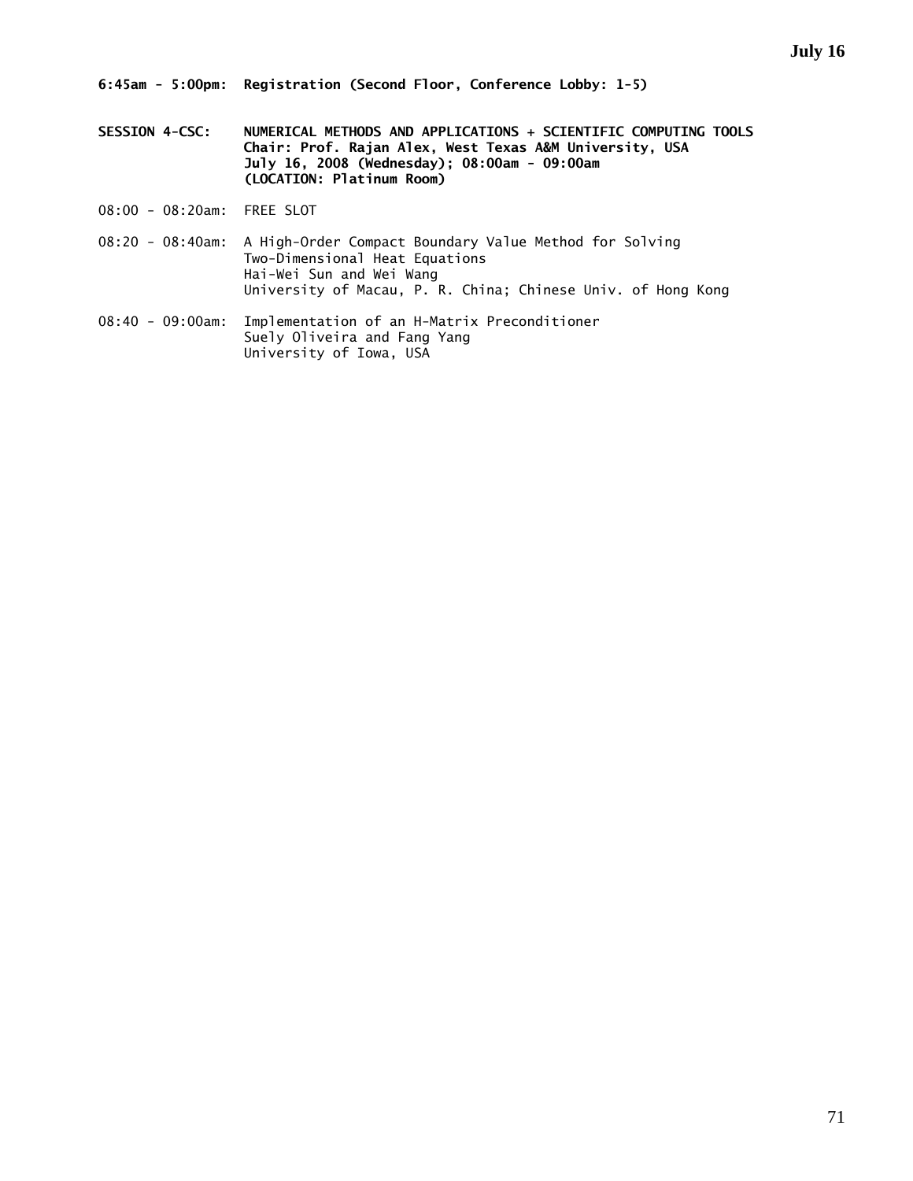- **SESSION 4-CSC: NUMERICAL METHODS AND APPLICATIONS + SCIENTIFIC COMPUTING TOOLS Chair: Prof. Rajan Alex, West Texas A&M University, USA July 16, 2008 (Wednesday); 08:00am - 09:00am (LOCATION: Platinum Room)**
- 08:00 08:20am: FREE SLOT
- 08:20 08:40am: A High-Order Compact Boundary Value Method for Solving Two-Dimensional Heat Equations Hai-Wei Sun and Wei Wang University of Macau, P. R. China; Chinese Univ. of Hong Kong
- 08:40 09:00am: Implementation of an H-Matrix Preconditioner Suely Oliveira and Fang Yang University of Iowa, USA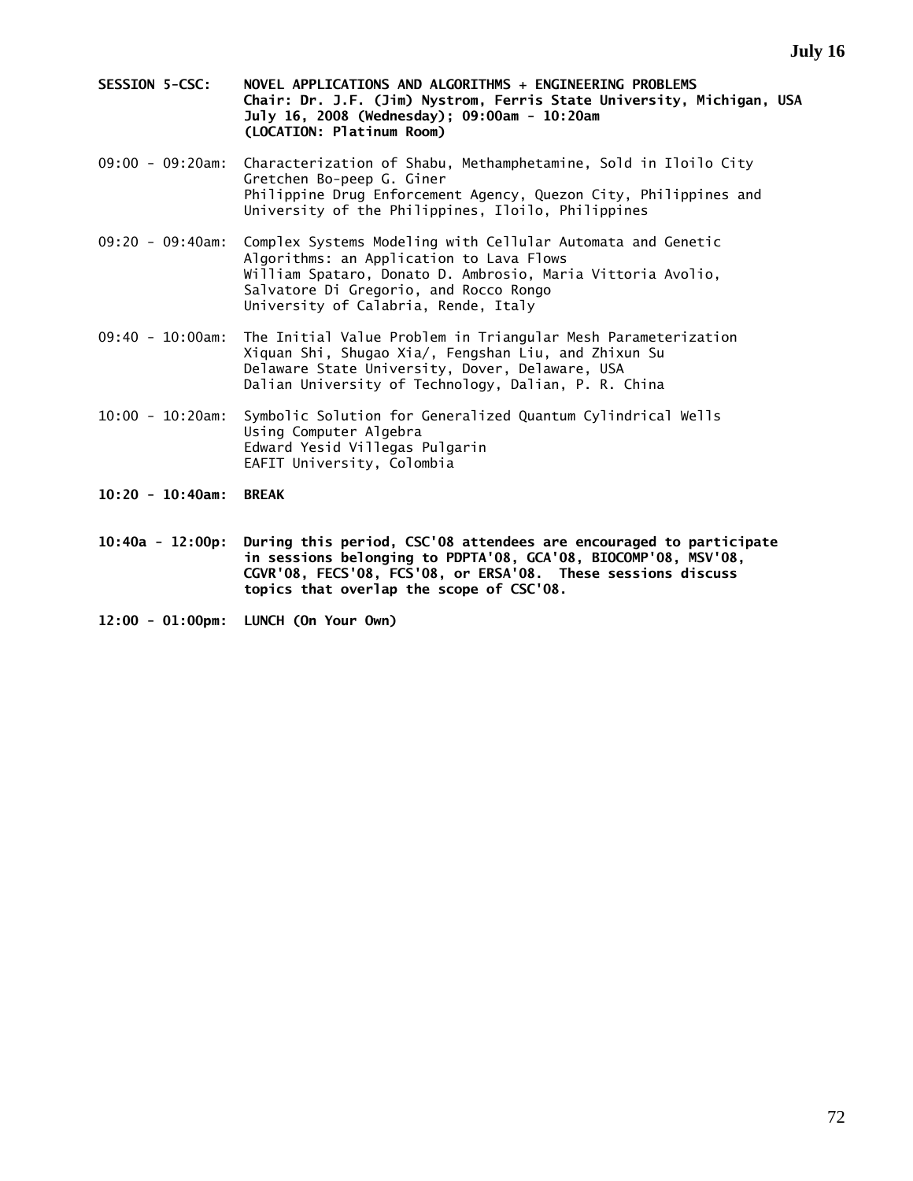- **SESSION 5-CSC: NOVEL APPLICATIONS AND ALGORITHMS + ENGINEERING PROBLEMS Chair: Dr. J.F. (Jim) Nystrom, Ferris State University, Michigan, USA July 16, 2008 (Wednesday); 09:00am - 10:20am (LOCATION: Platinum Room)**
- 09:00 09:20am: Characterization of Shabu, Methamphetamine, Sold in Iloilo City Gretchen Bo-peep G. Giner Philippine Drug Enforcement Agency, Quezon City, Philippines and University of the Philippines, Iloilo, Philippines
- 09:20 09:40am: Complex Systems Modeling with Cellular Automata and Genetic Algorithms: an Application to Lava Flows William Spataro, Donato D. Ambrosio, Maria Vittoria Avolio, Salvatore Di Gregorio, and Rocco Rongo University of Calabria, Rende, Italy
- 09:40 10:00am: The Initial Value Problem in Triangular Mesh Parameterization Xiquan Shi, Shugao Xia/, Fengshan Liu, and Zhixun Su Delaware State University, Dover, Delaware, USA Dalian University of Technology, Dalian, P. R. China
- 10:00 10:20am: Symbolic Solution for Generalized Quantum Cylindrical Wells Using Computer Algebra Edward Yesid Villegas Pulgarin EAFIT University, Colombia
- **10:20 10:40am: BREAK**
- **10:40a 12:00p: During this period, CSC'08 attendees are encouraged to participate in sessions belonging to PDPTA'08, GCA'08, BIOCOMP'08, MSV'08, CGVR'08, FECS'08, FCS'08, or ERSA'08. These sessions discuss topics that overlap the scope of CSC'08.**
- **12:00 01:00pm: LUNCH (On Your Own)**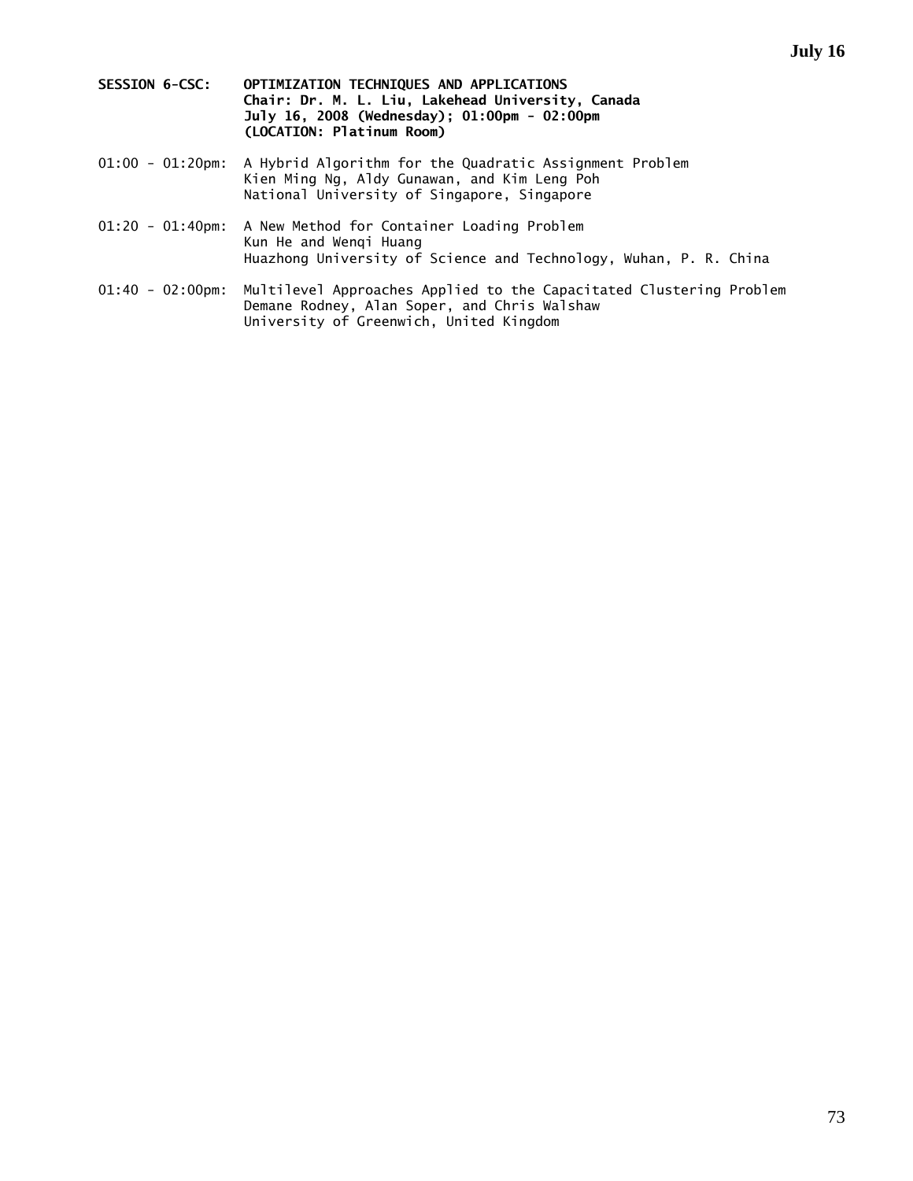- **SESSION 6-CSC: OPTIMIZATION TECHNIQUES AND APPLICATIONS Chair: Dr. M. L. Liu, Lakehead University, Canada July 16, 2008 (Wednesday); 01:00pm - 02:00pm (LOCATION: Platinum Room)**
- 01:00 01:20pm: A Hybrid Algorithm for the Quadratic Assignment Problem Kien Ming Ng, Aldy Gunawan, and Kim Leng Poh National University of Singapore, Singapore
- 01:20 01:40pm: A New Method for Container Loading Problem Kun He and Wenqi Huang Huazhong University of Science and Technology, Wuhan, P. R. China
- 01:40 02:00pm: Multilevel Approaches Applied to the Capacitated Clustering Problem Demane Rodney, Alan Soper, and Chris Walshaw University of Greenwich, United Kingdom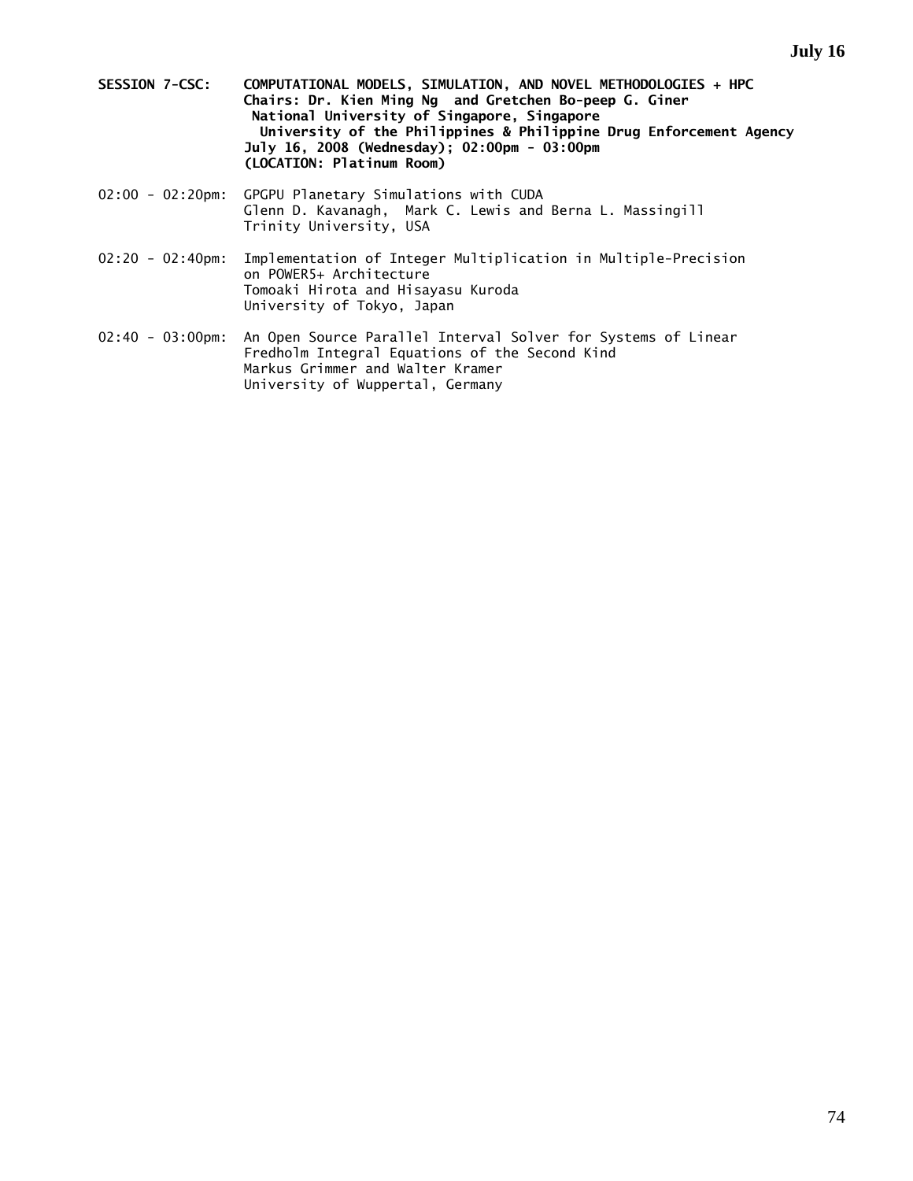- **SESSION 7-CSC: COMPUTATIONAL MODELS, SIMULATION, AND NOVEL METHODOLOGIES + HPC Chairs: Dr. Kien Ming Ng and Gretchen Bo-peep G. Giner National University of Singapore, Singapore University of the Philippines & Philippine Drug Enforcement Agency July 16, 2008 (Wednesday); 02:00pm - 03:00pm (LOCATION: Platinum Room)**
- 02:00 02:20pm: GPGPU Planetary Simulations with CUDA Glenn D. Kavanagh, Mark C. Lewis and Berna L. Massingill Trinity University, USA
- 02:20 02:40pm: Implementation of Integer Multiplication in Multiple-Precision on POWER5+ Architecture Tomoaki Hirota and Hisayasu Kuroda University of Tokyo, Japan
- 02:40 03:00pm: An Open Source Parallel Interval Solver for Systems of Linear Fredholm Integral Equations of the Second Kind Markus Grimmer and Walter Kramer University of Wuppertal, Germany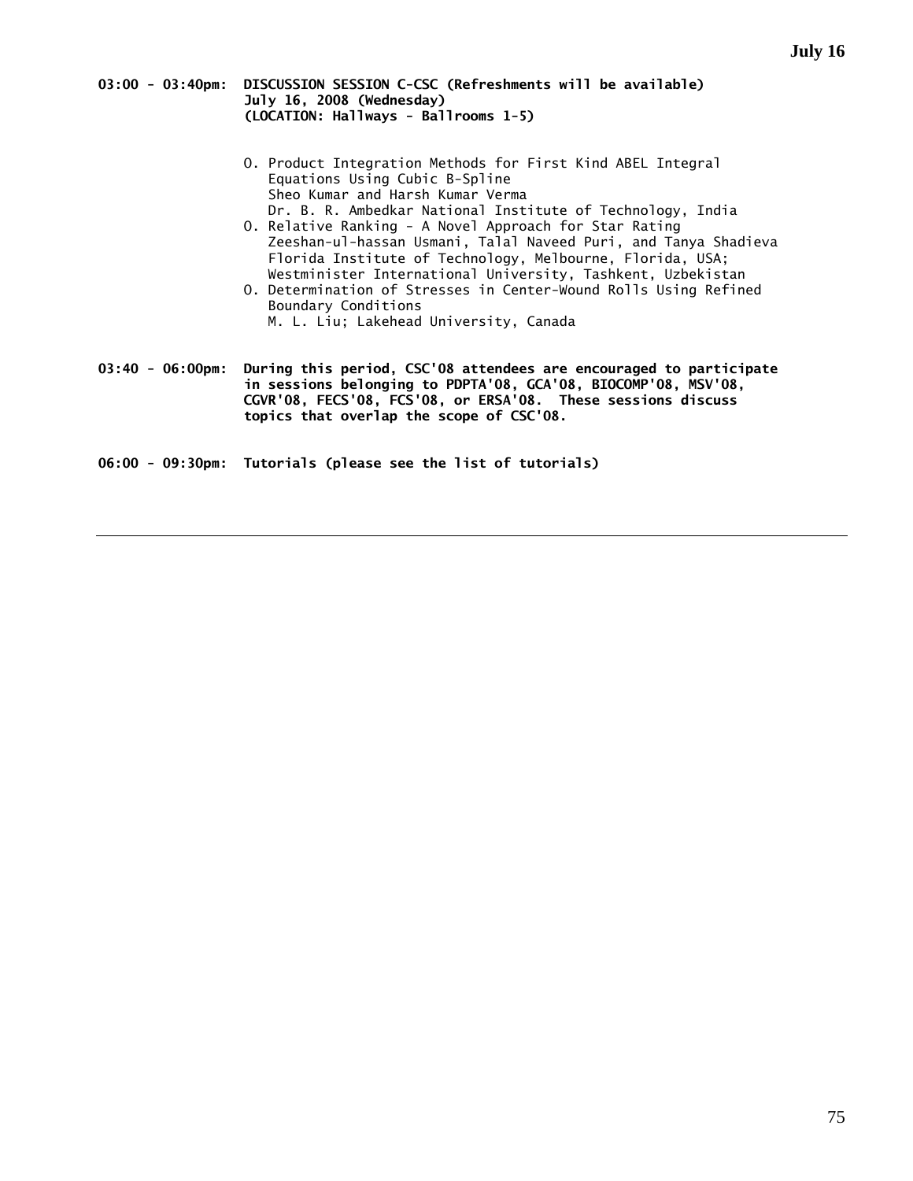#### **03:00 - 03:40pm: DISCUSSION SESSION C-CSC (Refreshments will be available) July 16, 2008 (Wednesday) (LOCATION: Hallways - Ballrooms 1-5)**

- O. Product Integration Methods for First Kind ABEL Integral Equations Using Cubic B-Spline Sheo Kumar and Harsh Kumar Verma Dr. B. R. Ambedkar National Institute of Technology, India
- O. Relative Ranking A Novel Approach for Star Rating Zeeshan-ul-hassan Usmani, Talal Naveed Puri, and Tanya Shadieva Florida Institute of Technology, Melbourne, Florida, USA; Westminister International University, Tashkent, Uzbekistan
- O. Determination of Stresses in Center-Wound Rolls Using Refined Boundary Conditions M. L. Liu; Lakehead University, Canada

**03:40 - 06:00pm: During this period, CSC'08 attendees are encouraged to participate in sessions belonging to PDPTA'08, GCA'08, BIOCOMP'08, MSV'08, CGVR'08, FECS'08, FCS'08, or ERSA'08. These sessions discuss topics that overlap the scope of CSC'08.**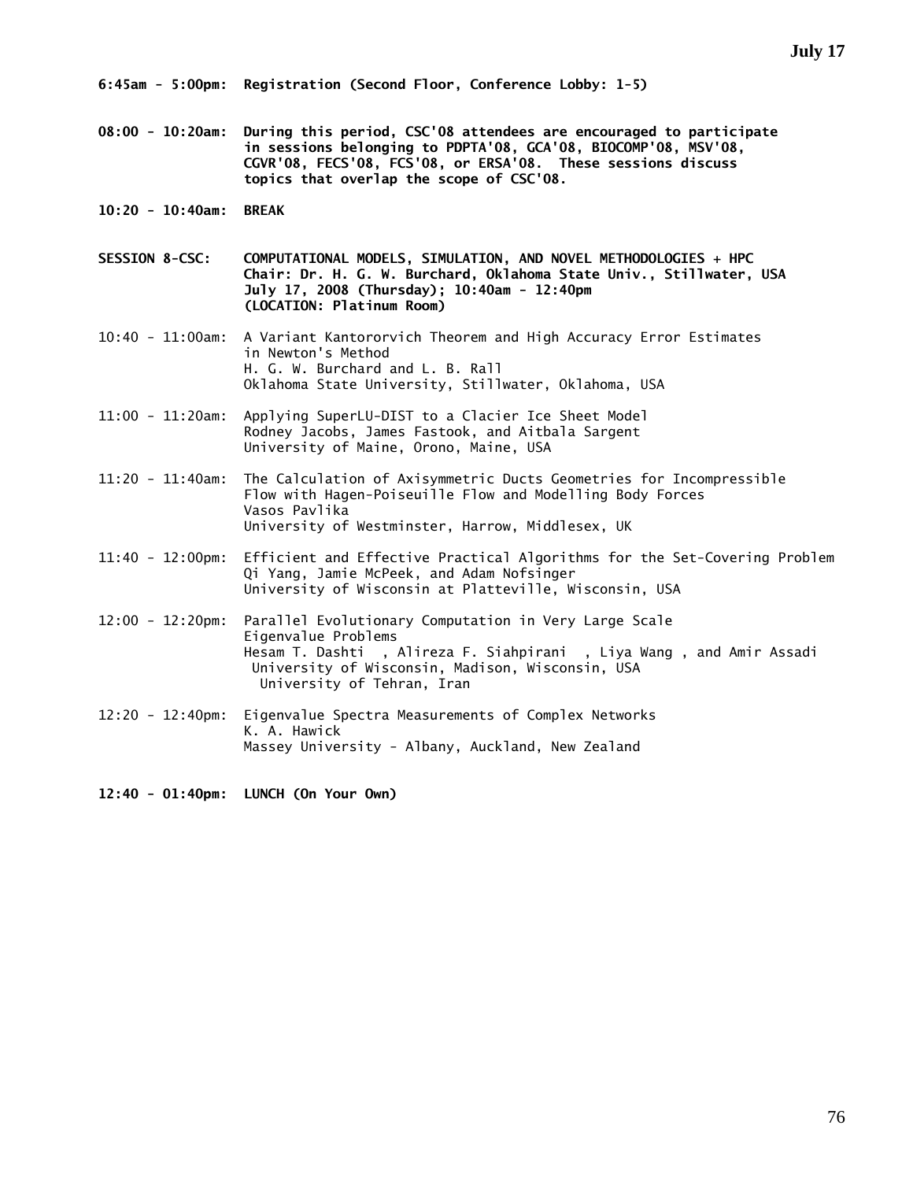**08:00 - 10:20am: During this period, CSC'08 attendees are encouraged to participate in sessions belonging to PDPTA'08, GCA'08, BIOCOMP'08, MSV'08, CGVR'08, FECS'08, FCS'08, or ERSA'08. These sessions discuss topics that overlap the scope of CSC'08.** 

**10:20 - 10:40am: BREAK** 

**SESSION 8-CSC: COMPUTATIONAL MODELS, SIMULATION, AND NOVEL METHODOLOGIES + HPC Chair: Dr. H. G. W. Burchard, Oklahoma State Univ., Stillwater, USA July 17, 2008 (Thursday); 10:40am - 12:40pm (LOCATION: Platinum Room)** 

10:40 - 11:00am: A Variant Kantororvich Theorem and High Accuracy Error Estimates in Newton's Method H. G. W. Burchard and L. B. Rall Oklahoma State University, Stillwater, Oklahoma, USA

11:00 - 11:20am: Applying SuperLU-DIST to a Clacier Ice Sheet Model Rodney Jacobs, James Fastook, and Aitbala Sargent University of Maine, Orono, Maine, USA

11:20 - 11:40am: The Calculation of Axisymmetric Ducts Geometries for Incompressible Flow with Hagen-Poiseuille Flow and Modelling Body Forces Vasos Pavlika University of Westminster, Harrow, Middlesex, UK

11:40 - 12:00pm: Efficient and Effective Practical Algorithms for the Set-Covering Problem Qi Yang, Jamie McPeek, and Adam Nofsinger University of Wisconsin at Platteville, Wisconsin, USA

12:00 - 12:20pm: Parallel Evolutionary Computation in Very Large Scale Eigenvalue Problems Hesam T. Dashti , Alireza F. Siahpirani , Liya Wang , and Amir Assadi University of Wisconsin, Madison, Wisconsin, USA University of Tehran, Iran

12:20 - 12:40pm: Eigenvalue Spectra Measurements of Complex Networks K. A. Hawick Massey University - Albany, Auckland, New Zealand

**12:40 - 01:40pm: LUNCH (On Your Own)**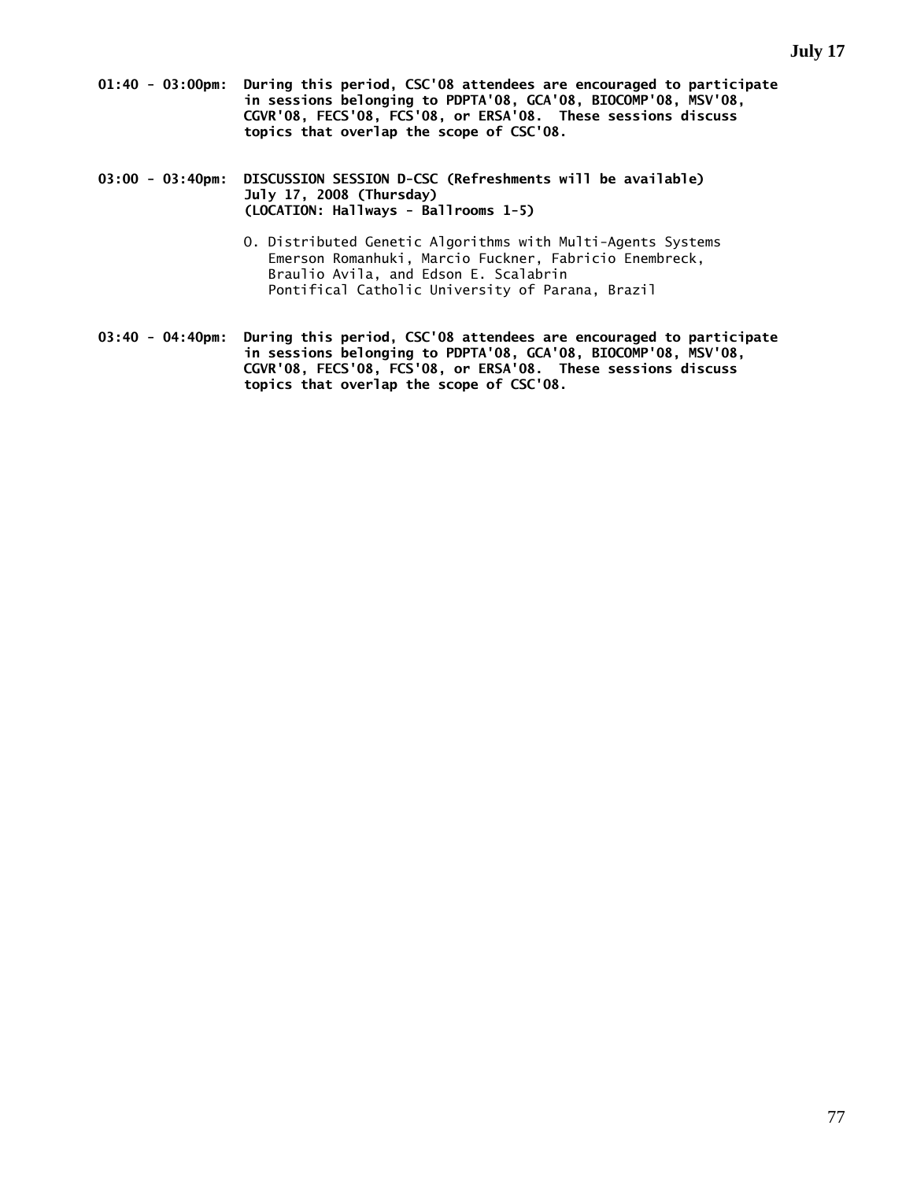- **01:40 03:00pm: During this period, CSC'08 attendees are encouraged to participate in sessions belonging to PDPTA'08, GCA'08, BIOCOMP'08, MSV'08, CGVR'08, FECS'08, FCS'08, or ERSA'08. These sessions discuss topics that overlap the scope of CSC'08.**
- **03:00 03:40pm: DISCUSSION SESSION D-CSC (Refreshments will be available) July 17, 2008 (Thursday) (LOCATION: Hallways - Ballrooms 1-5)** 
	- O. Distributed Genetic Algorithms with Multi-Agents Systems Emerson Romanhuki, Marcio Fuckner, Fabricio Enembreck, Braulio Avila, and Edson E. Scalabrin Pontifical Catholic University of Parana, Brazil
- **03:40 04:40pm: During this period, CSC'08 attendees are encouraged to participate in sessions belonging to PDPTA'08, GCA'08, BIOCOMP'08, MSV'08, CGVR'08, FECS'08, FCS'08, or ERSA'08. These sessions discuss topics that overlap the scope of CSC'08.**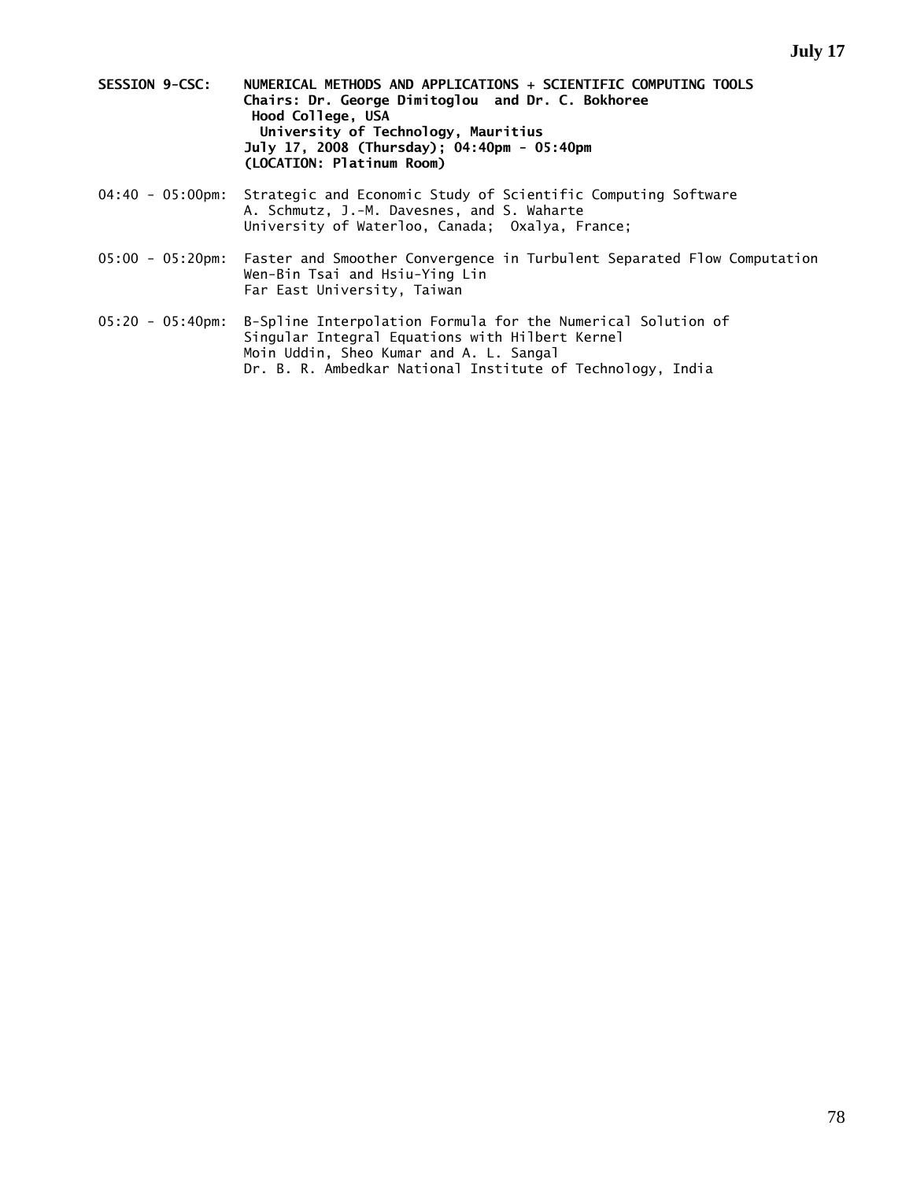- **SESSION 9-CSC: NUMERICAL METHODS AND APPLICATIONS + SCIENTIFIC COMPUTING TOOLS Chairs: Dr. George Dimitoglou and Dr. C. Bokhoree Hood College, USA University of Technology, Mauritius July 17, 2008 (Thursday); 04:40pm - 05:40pm (LOCATION: Platinum Room)**
- 04:40 05:00pm: Strategic and Economic Study of Scientific Computing Software A. Schmutz, J.-M. Davesnes, and S. Waharte University of Waterloo, Canada; Oxalya, France;
- 05:00 05:20pm: Faster and Smoother Convergence in Turbulent Separated Flow Computation Wen-Bin Tsai and Hsiu-Ying Lin Far East University, Taiwan
- 05:20 05:40pm: B-Spline Interpolation Formula for the Numerical Solution of Singular Integral Equations with Hilbert Kernel Moin Uddin, Sheo Kumar and A. L. Sangal Dr. B. R. Ambedkar National Institute of Technology, India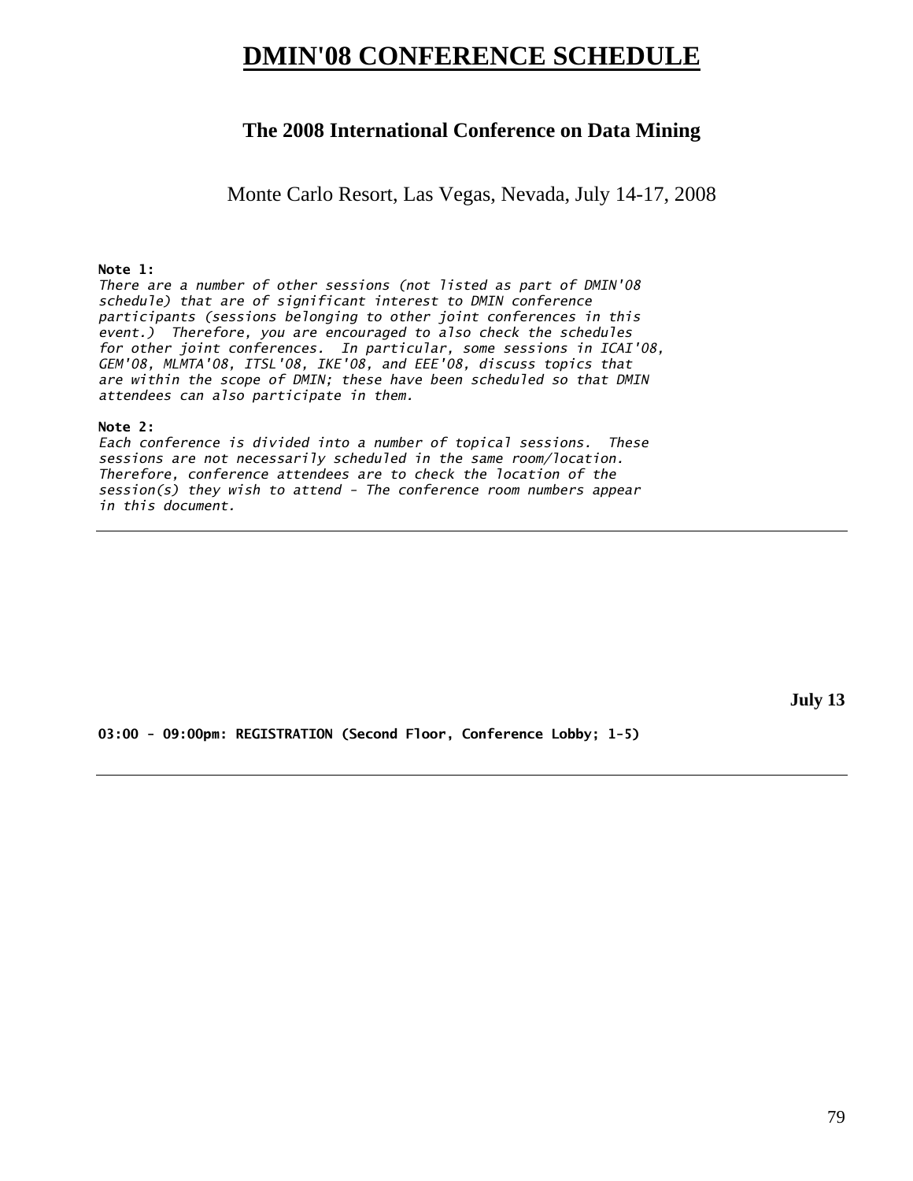# **DMIN'08 CONFERENCE SCHEDULE**

## **The 2008 International Conference on Data Mining**

Monte Carlo Resort, Las Vegas, Nevada, July 14-17, 2008

#### **Note 1:**

*There are a number of other sessions (not listed as part of DMIN'08 schedule) that are of significant interest to DMIN conference participants (sessions belonging to other joint conferences in this event.) Therefore, you are encouraged to also check the schedules for other joint conferences. In particular, some sessions in ICAI'08, GEM'08, MLMTA'08, ITSL'08, IKE'08, and EEE'08, discuss topics that are within the scope of DMIN; these have been scheduled so that DMIN attendees can also participate in them.* 

#### **Note 2:**

*Each conference is divided into a number of topical sessions. These sessions are not necessarily scheduled in the same room/location. Therefore, conference attendees are to check the location of the session(s) they wish to attend - The conference room numbers appear in this document.* 

**July 13** 

**03:00 - 09:00pm: REGISTRATION (Second Floor, Conference Lobby; 1-5)**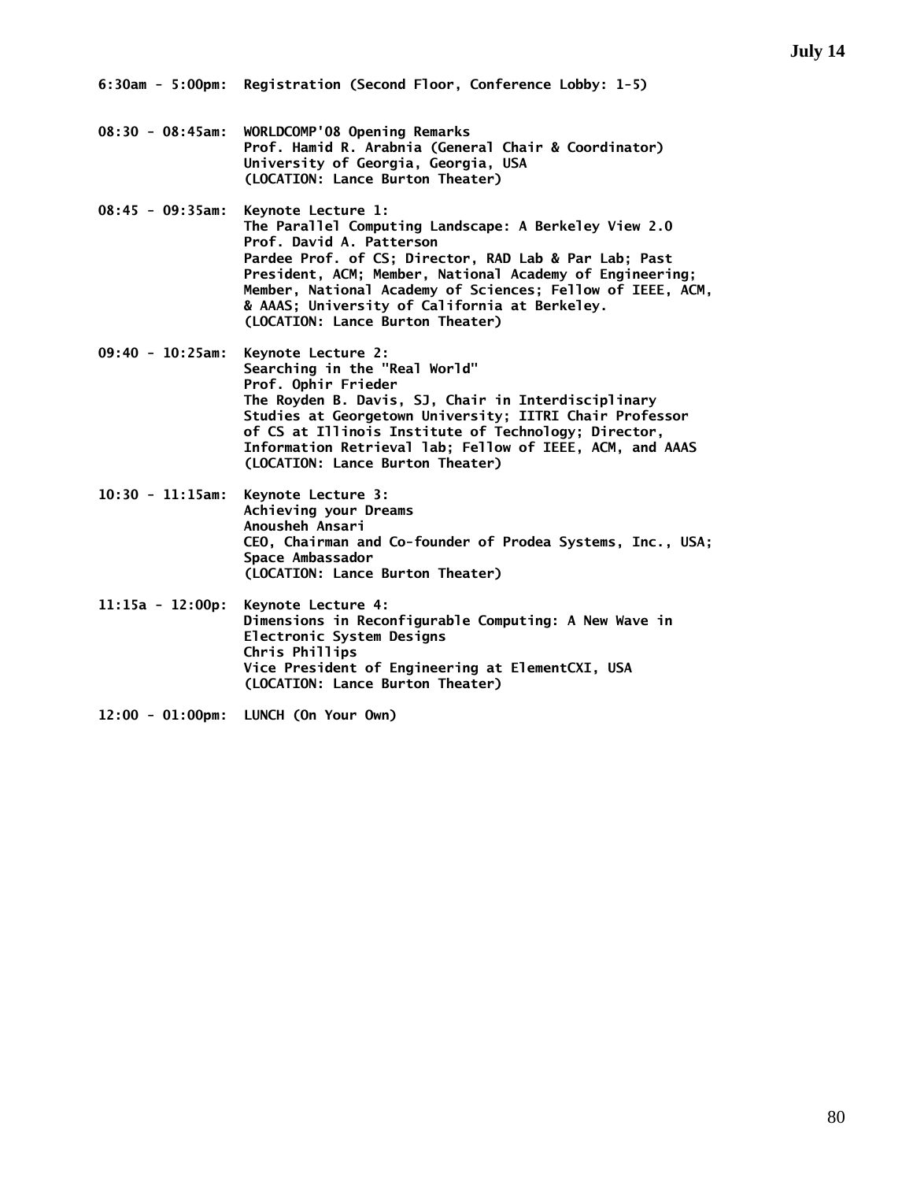- **08:30 08:45am: WORLDCOMP'08 Opening Remarks Prof. Hamid R. Arabnia (General Chair & Coordinator) University of Georgia, Georgia, USA (LOCATION: Lance Burton Theater)**
- **08:45 09:35am: Keynote Lecture 1: The Parallel Computing Landscape: A Berkeley View 2.0 Prof. David A. Patterson Pardee Prof. of CS; Director, RAD Lab & Par Lab; Past President, ACM; Member, National Academy of Engineering; Member, National Academy of Sciences; Fellow of IEEE, ACM, & AAAS; University of California at Berkeley. (LOCATION: Lance Burton Theater)**
- **09:40 10:25am: Keynote Lecture 2: Searching in the "Real World" Prof. Ophir Frieder The Royden B. Davis, SJ, Chair in Interdisciplinary Studies at Georgetown University; IITRI Chair Professor of CS at Illinois Institute of Technology; Director, Information Retrieval lab; Fellow of IEEE, ACM, and AAAS (LOCATION: Lance Burton Theater)**
- **10:30 11:15am: Keynote Lecture 3: Achieving your Dreams Anousheh Ansari CEO, Chairman and Co-founder of Prodea Systems, Inc., USA; Space Ambassador (LOCATION: Lance Burton Theater)**
- **11:15a 12:00p: Keynote Lecture 4: Dimensions in Reconfigurable Computing: A New Wave in Electronic System Designs Chris Phillips Vice President of Engineering at ElementCXI, USA (LOCATION: Lance Burton Theater)**
- **12:00 01:00pm: LUNCH (On Your Own)**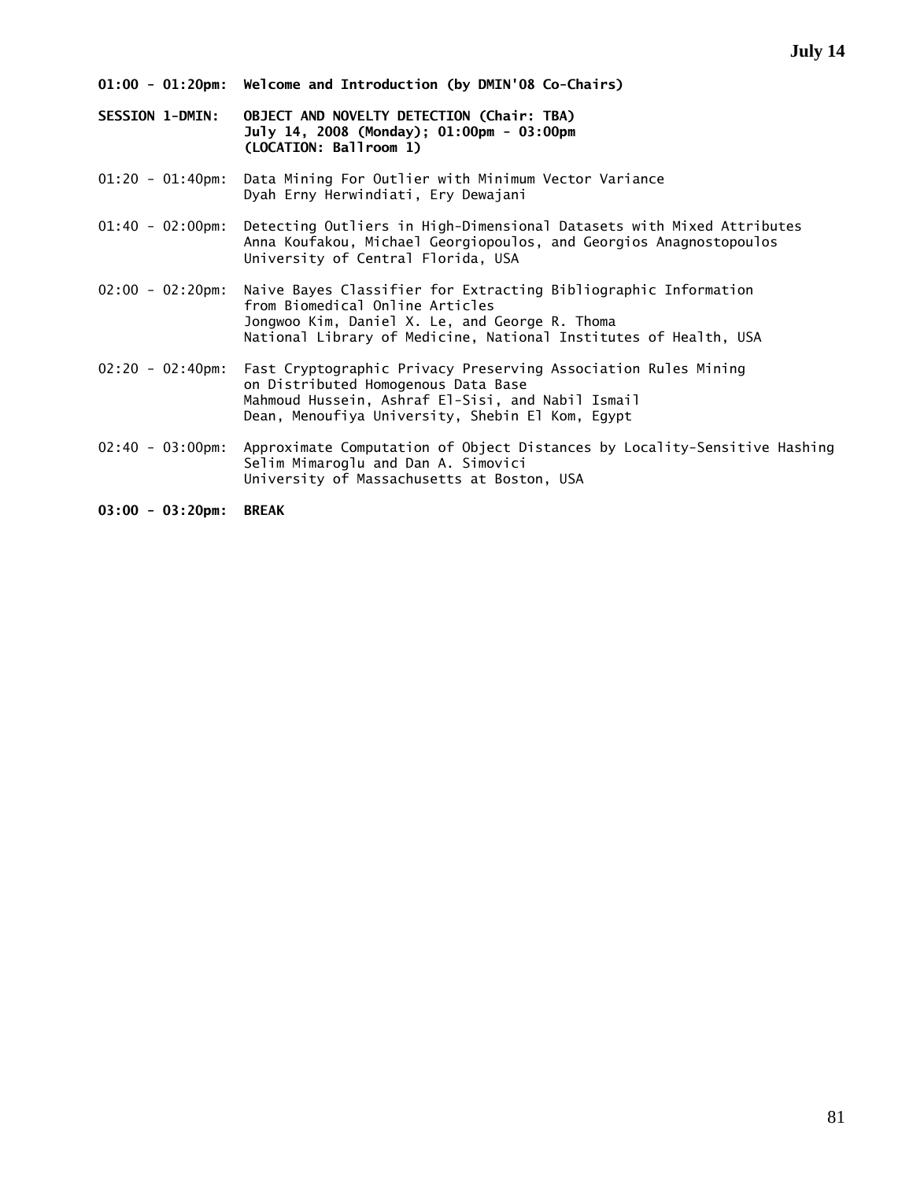**01:00 - 01:20pm: Welcome and Introduction (by DMIN'08 Co-Chairs)** 

**SESSION 1-DMIN: OBJECT AND NOVELTY DETECTION (Chair: TBA) July 14, 2008 (Monday); 01:00pm - 03:00pm (LOCATION: Ballroom 1)** 

01:20 - 01:40pm: Data Mining For Outlier with Minimum Vector Variance Dyah Erny Herwindiati, Ery Dewajani

01:40 - 02:00pm: Detecting Outliers in High-Dimensional Datasets with Mixed Attributes Anna Koufakou, Michael Georgiopoulos, and Georgios Anagnostopoulos University of Central Florida, USA

02:00 - 02:20pm: Naive Bayes Classifier for Extracting Bibliographic Information from Biomedical Online Articles Jongwoo Kim, Daniel X. Le, and George R. Thoma National Library of Medicine, National Institutes of Health, USA

02:20 - 02:40pm: Fast Cryptographic Privacy Preserving Association Rules Mining on Distributed Homogenous Data Base Mahmoud Hussein, Ashraf El-Sisi, and Nabil Ismail Dean, Menoufiya University, Shebin El Kom, Egypt

02:40 - 03:00pm: Approximate Computation of Object Distances by Locality-Sensitive Hashing Selim Mimaroglu and Dan A. Simovici University of Massachusetts at Boston, USA

**03:00 - 03:20pm: BREAK**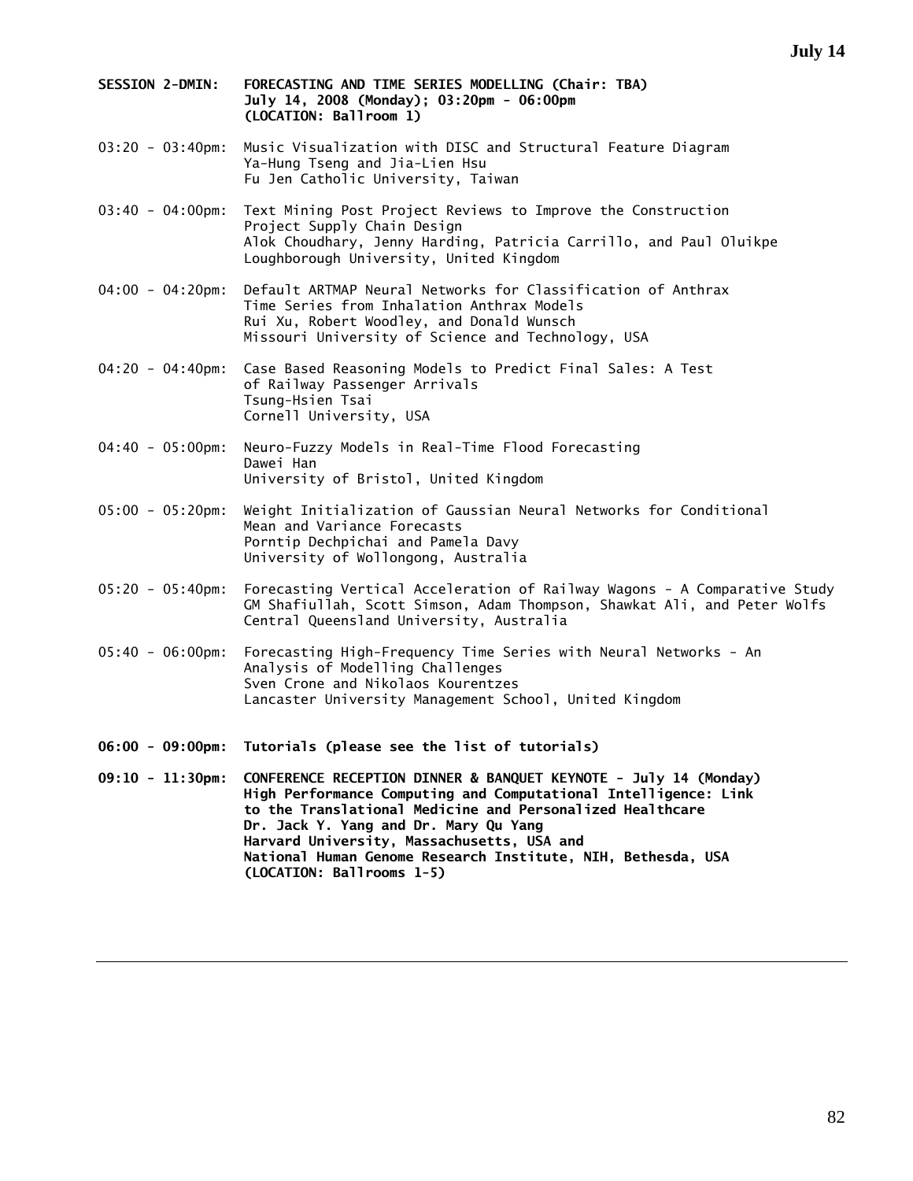- **SESSION 2-DMIN: FORECASTING AND TIME SERIES MODELLING (Chair: TBA) July 14, 2008 (Monday); 03:20pm - 06:00pm (LOCATION: Ballroom 1)**
- 03:20 03:40pm: Music Visualization with DISC and Structural Feature Diagram Ya-Hung Tseng and Jia-Lien Hsu Fu Jen Catholic University, Taiwan
- 03:40 04:00pm: Text Mining Post Project Reviews to Improve the Construction Project Supply Chain Design Alok Choudhary, Jenny Harding, Patricia Carrillo, and Paul Oluikpe Loughborough University, United Kingdom
- 04:00 04:20pm: Default ARTMAP Neural Networks for Classification of Anthrax Time Series from Inhalation Anthrax Models Rui Xu, Robert Woodley, and Donald Wunsch Missouri University of Science and Technology, USA
- 04:20 04:40pm: Case Based Reasoning Models to Predict Final Sales: A Test of Railway Passenger Arrivals Tsung-Hsien Tsai Cornell University, USA
- 04:40 05:00pm: Neuro-Fuzzy Models in Real-Time Flood Forecasting Dawei Han University of Bristol, United Kingdom
- 05:00 05:20pm: Weight Initialization of Gaussian Neural Networks for Conditional Mean and Variance Forecasts Porntip Dechpichai and Pamela Davy University of Wollongong, Australia
- 05:20 05:40pm: Forecasting Vertical Acceleration of Railway Wagons A Comparative Study GM Shafiullah, Scott Simson, Adam Thompson, Shawkat Ali, and Peter Wolfs Central Queensland University, Australia
- 05:40 06:00pm: Forecasting High-Frequency Time Series with Neural Networks An Analysis of Modelling Challenges Sven Crone and Nikolaos Kourentzes Lancaster University Management School, United Kingdom
- **06:00 09:00pm: Tutorials (please see the list of tutorials)**

**09:10 - 11:30pm: CONFERENCE RECEPTION DINNER & BANQUET KEYNOTE - July 14 (Monday) High Performance Computing and Computational Intelligence: Link to the Translational Medicine and Personalized Healthcare Dr. Jack Y. Yang and Dr. Mary Qu Yang Harvard University, Massachusetts, USA and National Human Genome Research Institute, NIH, Bethesda, USA (LOCATION: Ballrooms 1-5)**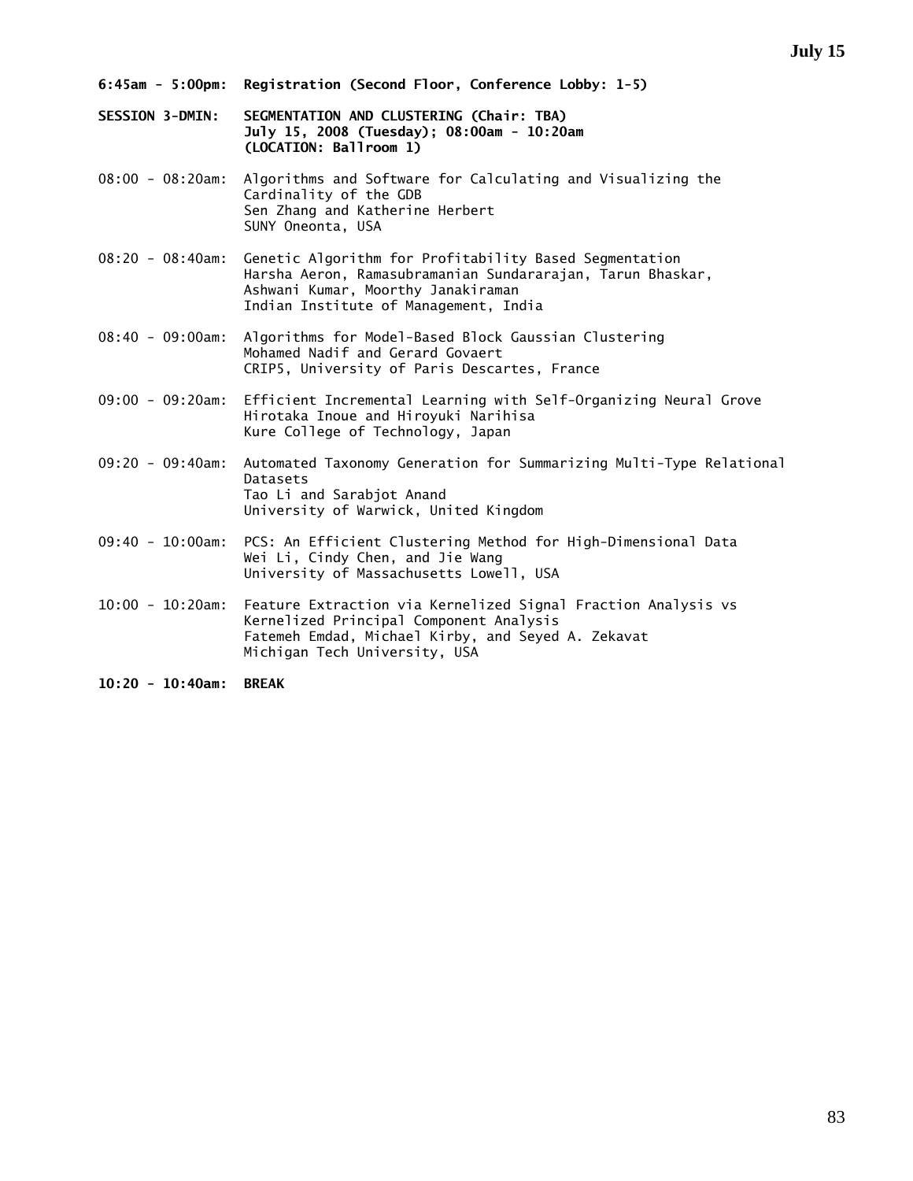- **6:45am 5:00pm: Registration (Second Floor, Conference Lobby: 1-5)**
- **SESSION 3-DMIN: SEGMENTATION AND CLUSTERING (Chair: TBA) July 15, 2008 (Tuesday); 08:00am - 10:20am (LOCATION: Ballroom 1)**
- 08:00 08:20am: Algorithms and Software for Calculating and Visualizing the Cardinality of the GDB Sen Zhang and Katherine Herbert SUNY Oneonta, USA
- 08:20 08:40am: Genetic Algorithm for Profitability Based Segmentation Harsha Aeron, Ramasubramanian Sundararajan, Tarun Bhaskar, Ashwani Kumar, Moorthy Janakiraman Indian Institute of Management, India
- 08:40 09:00am: Algorithms for Model-Based Block Gaussian Clustering Mohamed Nadif and Gerard Govaert CRIP5, University of Paris Descartes, France
- 09:00 09:20am: Efficient Incremental Learning with Self-Organizing Neural Grove Hirotaka Inoue and Hiroyuki Narihisa Kure College of Technology, Japan
- 09:20 09:40am: Automated Taxonomy Generation for Summarizing Multi-Type Relational Datasets Tao Li and Sarabjot Anand University of Warwick, United Kingdom
- 09:40 10:00am: PCS: An Efficient Clustering Method for High-Dimensional Data Wei Li, Cindy Chen, and Jie Wang University of Massachusetts Lowell, USA
- 10:00 10:20am: Feature Extraction via Kernelized Signal Fraction Analysis vs Kernelized Principal Component Analysis Fatemeh Emdad, Michael Kirby, and Seyed A. Zekavat Michigan Tech University, USA
- **10:20 10:40am: BREAK**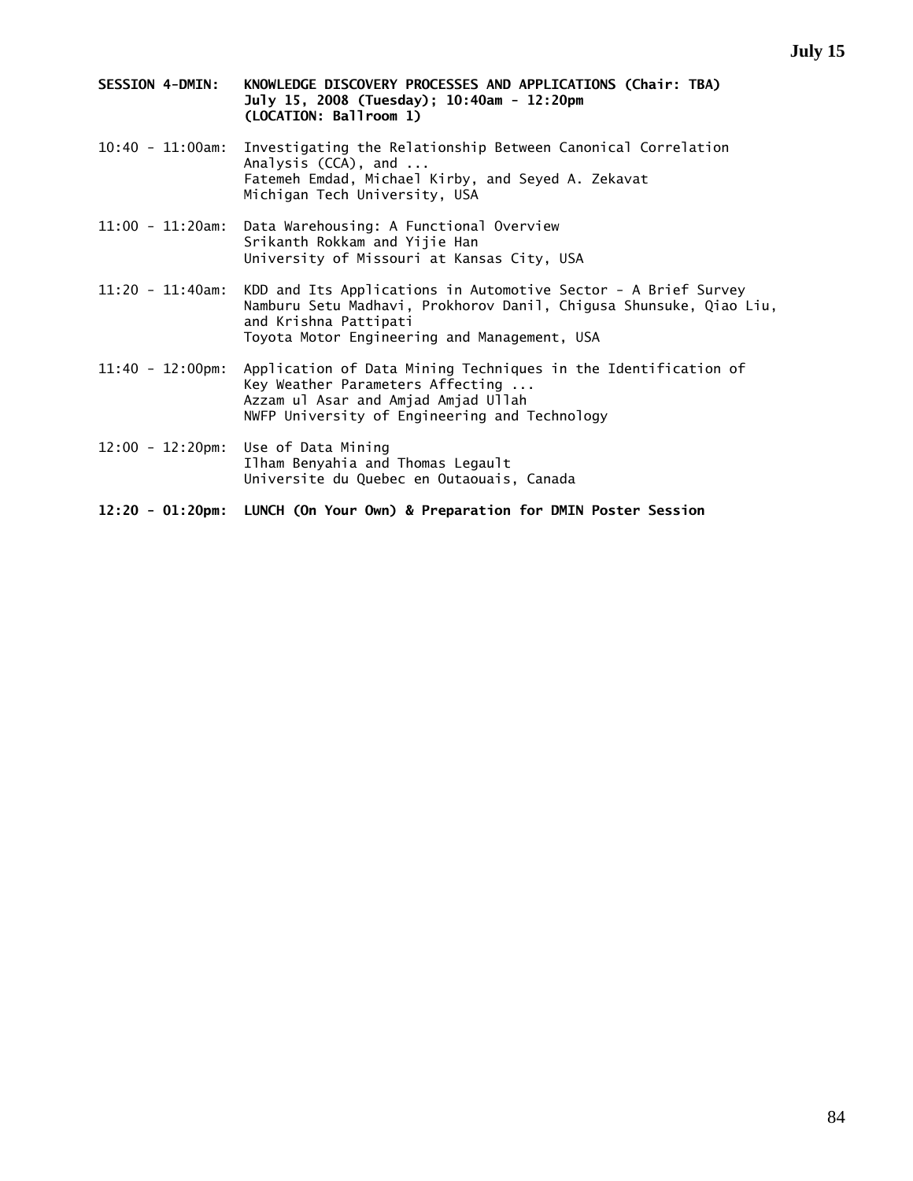- **SESSION 4-DMIN: KNOWLEDGE DISCOVERY PROCESSES AND APPLICATIONS (Chair: TBA) July 15, 2008 (Tuesday); 10:40am - 12:20pm (LOCATION: Ballroom 1)**
- 10:40 11:00am: Investigating the Relationship Between Canonical Correlation Analysis (CCA), and ... Fatemeh Emdad, Michael Kirby, and Seyed A. Zekavat Michigan Tech University, USA
- 11:00 11:20am: Data Warehousing: A Functional Overview Srikanth Rokkam and Yijie Han University of Missouri at Kansas City, USA
- 11:20 11:40am: KDD and Its Applications in Automotive Sector A Brief Survey Namburu Setu Madhavi, Prokhorov Danil, Chigusa Shunsuke, Qiao Liu, and Krishna Pattipati Toyota Motor Engineering and Management, USA
- 11:40 12:00pm: Application of Data Mining Techniques in the Identification of Key Weather Parameters Affecting ... Azzam ul Asar and Amjad Amjad Ullah NWFP University of Engineering and Technology
- 12:00 12:20pm: Use of Data Mining Ilham Benyahia and Thomas Legault Universite du Quebec en Outaouais, Canada

**12:20 - 01:20pm: LUNCH (On Your Own) & Preparation for DMIN Poster Session**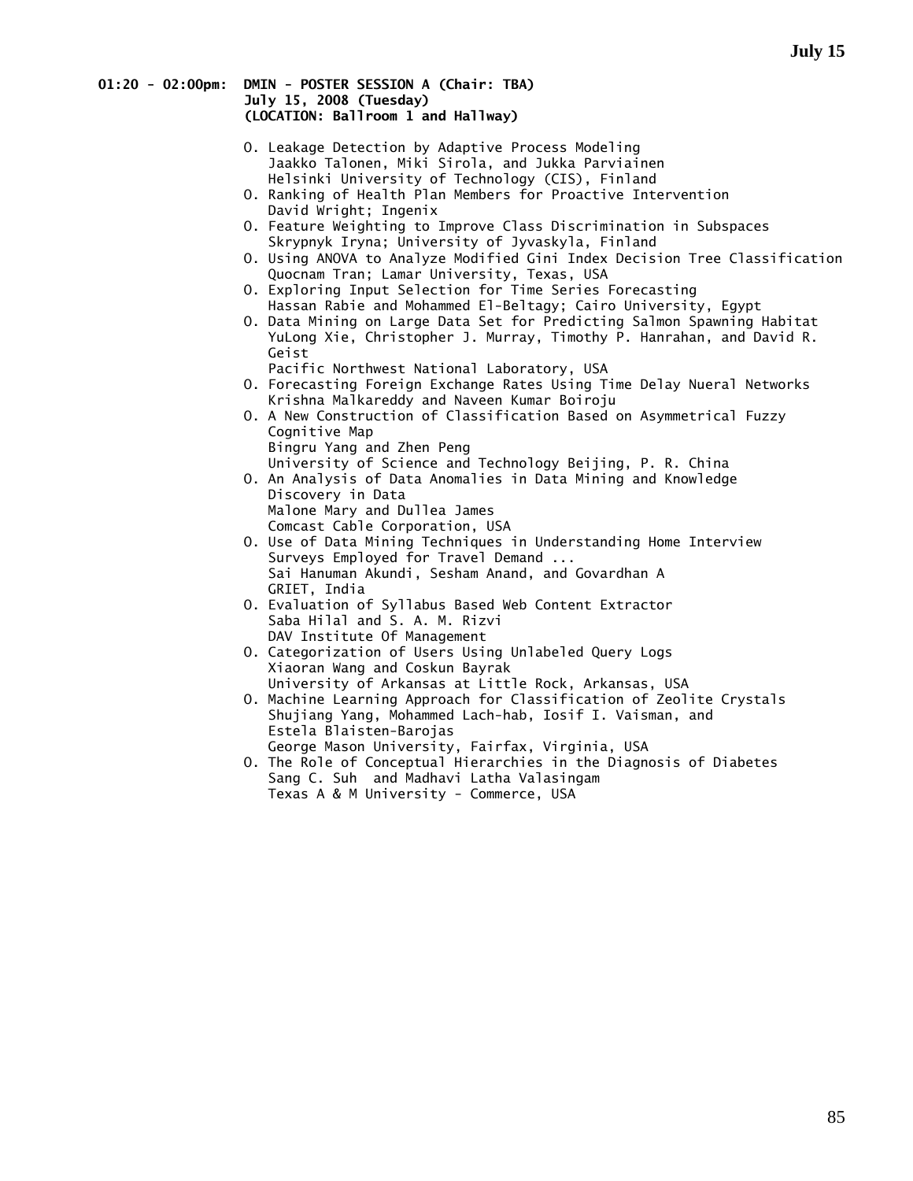#### **01:20 - 02:00pm: DMIN - POSTER SESSION A (Chair: TBA) July 15, 2008 (Tuesday) (LOCATION: Ballroom 1 and Hallway)**

- O. Leakage Detection by Adaptive Process Modeling Jaakko Talonen, Miki Sirola, and Jukka Parviainen Helsinki University of Technology (CIS), Finland
- O. Ranking of Health Plan Members for Proactive Intervention David Wright; Ingenix
- O. Feature Weighting to Improve Class Discrimination in Subspaces Skrypnyk Iryna; University of Jyvaskyla, Finland
- O. Using ANOVA to Analyze Modified Gini Index Decision Tree Classification Quocnam Tran; Lamar University, Texas, USA
- O. Exploring Input Selection for Time Series Forecasting Hassan Rabie and Mohammed El-Beltagy; Cairo University, Egypt
- O. Data Mining on Large Data Set for Predicting Salmon Spawning Habitat YuLong Xie, Christopher J. Murray, Timothy P. Hanrahan, and David R. Geist
	- Pacific Northwest National Laboratory, USA
- O. Forecasting Foreign Exchange Rates Using Time Delay Nueral Networks Krishna Malkareddy and Naveen Kumar Boiroju
- O. A New Construction of Classification Based on Asymmetrical Fuzzy Cognitive Map Bingru Yang and Zhen Peng University of Science and Technology Beijing, P. R. China
- O. An Analysis of Data Anomalies in Data Mining and Knowledge Discovery in Data Malone Mary and Dullea James Comcast Cable Corporation, USA
- O. Use of Data Mining Techniques in Understanding Home Interview Surveys Employed for Travel Demand ... Sai Hanuman Akundi, Sesham Anand, and Govardhan A GRIET, India
- O. Evaluation of Syllabus Based Web Content Extractor Saba Hilal and S. A. M. Rizvi DAV Institute Of Management
- O. Categorization of Users Using Unlabeled Query Logs Xiaoran Wang and Coskun Bayrak University of Arkansas at Little Rock, Arkansas, USA
- O. Machine Learning Approach for Classification of Zeolite Crystals Shujiang Yang, Mohammed Lach-hab, Iosif I. Vaisman, and Estela Blaisten-Barojas George Mason University, Fairfax, Virginia, USA
- O. The Role of Conceptual Hierarchies in the Diagnosis of Diabetes Sang C. Suh and Madhavi Latha Valasingam Texas A & M University - Commerce, USA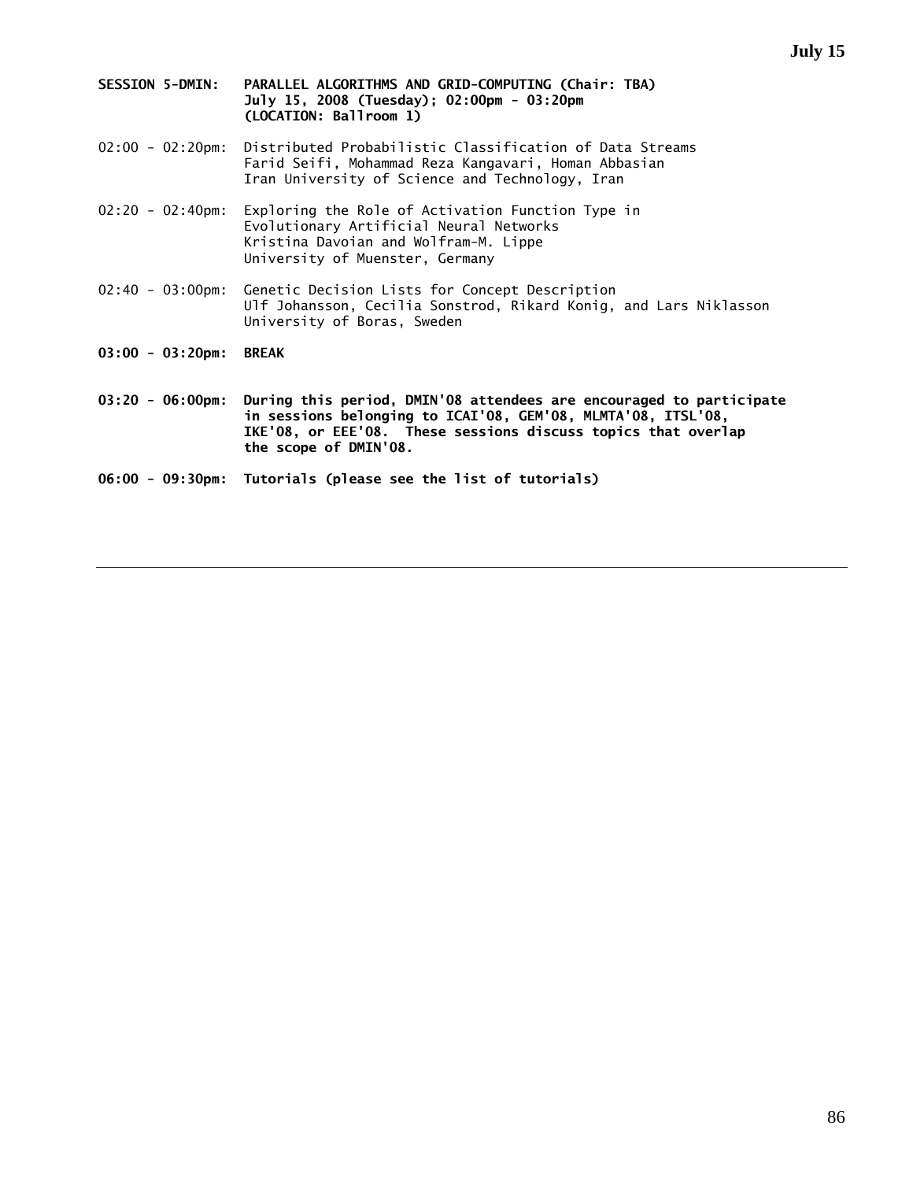- **SESSION 5-DMIN: PARALLEL ALGORITHMS AND GRID-COMPUTING (Chair: TBA) July 15, 2008 (Tuesday); 02:00pm - 03:20pm (LOCATION: Ballroom 1)**
- 02:00 02:20pm: Distributed Probabilistic Classification of Data Streams Farid Seifi, Mohammad Reza Kangavari, Homan Abbasian Iran University of Science and Technology, Iran
- 02:20 02:40pm: Exploring the Role of Activation Function Type in Evolutionary Artificial Neural Networks Kristina Davoian and Wolfram-M. Lippe University of Muenster, Germany
- 02:40 03:00pm: Genetic Decision Lists for Concept Description Ulf Johansson, Cecilia Sonstrod, Rikard Konig, and Lars Niklasson University of Boras, Sweden
- **03:00 03:20pm: BREAK**
- **03:20 06:00pm: During this period, DMIN'08 attendees are encouraged to participate in sessions belonging to ICAI'08, GEM'08, MLMTA'08, ITSL'08, IKE'08, or EEE'08. These sessions discuss topics that overlap the scope of DMIN'08.**
- **06:00 09:30pm: Tutorials (please see the list of tutorials)**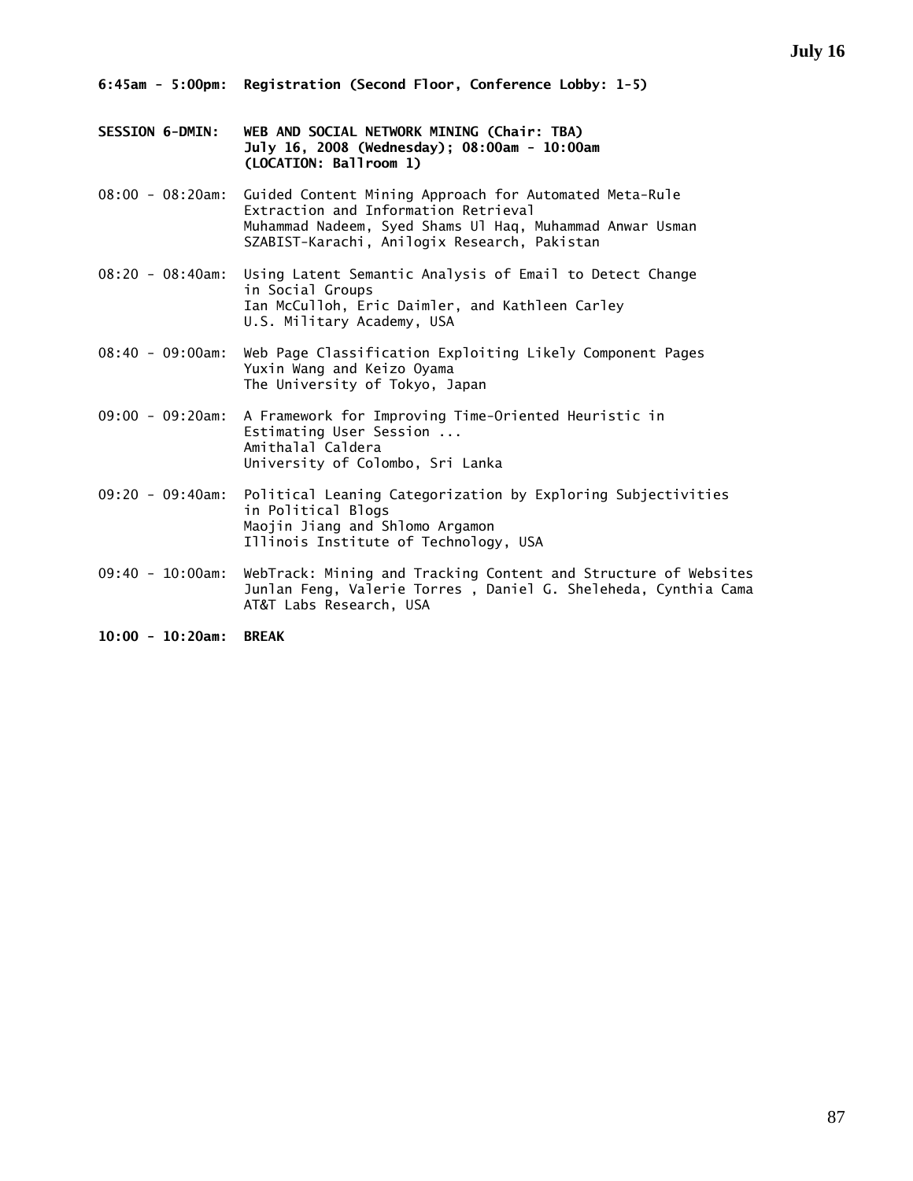- **SESSION 6-DMIN: WEB AND SOCIAL NETWORK MINING (Chair: TBA) July 16, 2008 (Wednesday); 08:00am - 10:00am (LOCATION: Ballroom 1)**
- 08:00 08:20am: Guided Content Mining Approach for Automated Meta-Rule Extraction and Information Retrieval Muhammad Nadeem, Syed Shams Ul Haq, Muhammad Anwar Usman SZABIST-Karachi, Anilogix Research, Pakistan
- 08:20 08:40am: Using Latent Semantic Analysis of Email to Detect Change in Social Groups Ian McCulloh, Eric Daimler, and Kathleen Carley U.S. Military Academy, USA
- 08:40 09:00am: Web Page Classification Exploiting Likely Component Pages Yuxin Wang and Keizo Oyama The University of Tokyo, Japan
- 09:00 09:20am: A Framework for Improving Time-Oriented Heuristic in Estimating User Session ... Amithalal Caldera University of Colombo, Sri Lanka
- 09:20 09:40am: Political Leaning Categorization by Exploring Subjectivities in Political Blogs Maojin Jiang and Shlomo Argamon Illinois Institute of Technology, USA
- 09:40 10:00am: WebTrack: Mining and Tracking Content and Structure of Websites Junlan Feng, Valerie Torres , Daniel G. Sheleheda, Cynthia Cama AT&T Labs Research, USA

**10:00 - 10:20am: BREAK**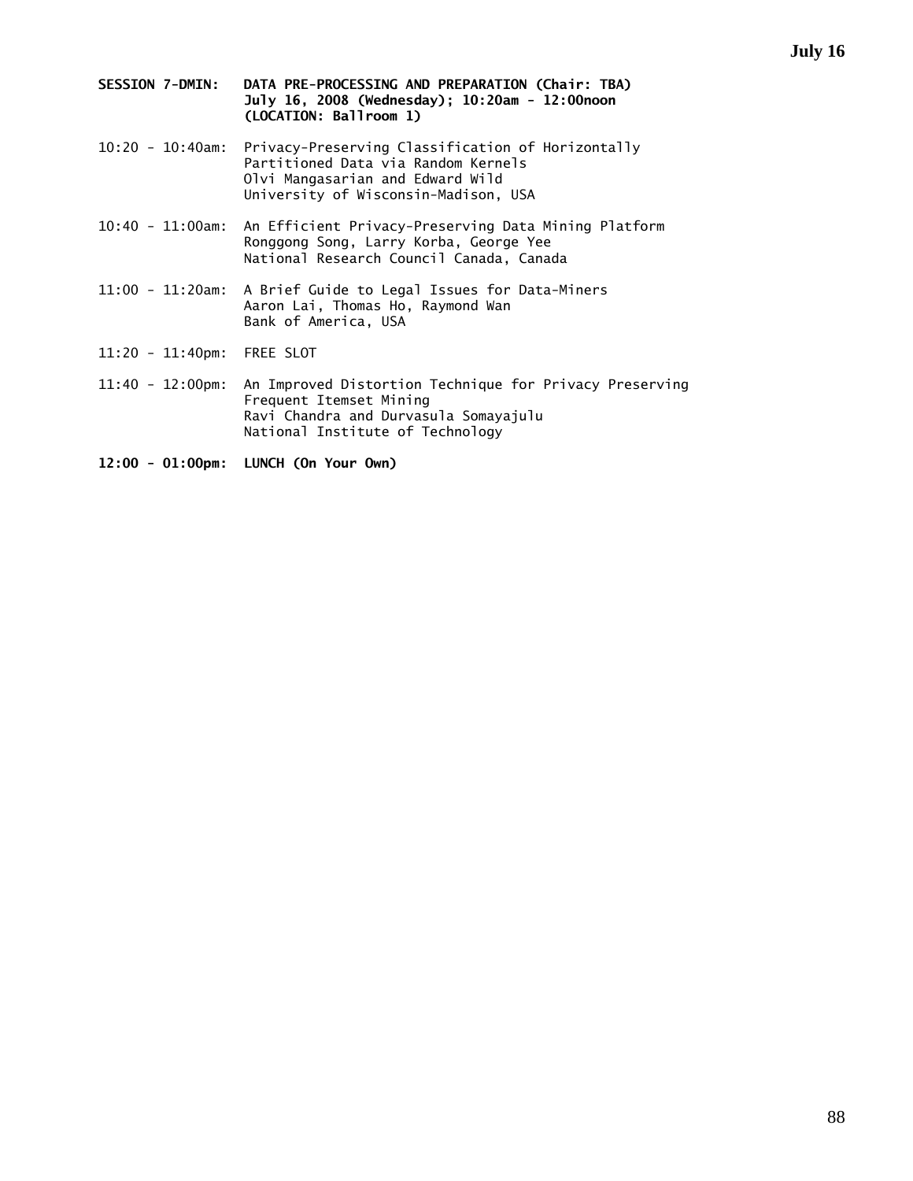- **SESSION 7-DMIN: DATA PRE-PROCESSING AND PREPARATION (Chair: TBA) July 16, 2008 (Wednesday); 10:20am - 12:00noon (LOCATION: Ballroom 1)**
- 10:20 10:40am: Privacy-Preserving Classification of Horizontally Partitioned Data via Random Kernels Olvi Mangasarian and Edward Wild University of Wisconsin-Madison, USA
- 10:40 11:00am: An Efficient Privacy-Preserving Data Mining Platform Ronggong Song, Larry Korba, George Yee National Research Council Canada, Canada
- 11:00 11:20am: A Brief Guide to Legal Issues for Data-Miners Aaron Lai, Thomas Ho, Raymond Wan Bank of America, USA
- 11:20 11:40pm: FREE SLOT
- 11:40 12:00pm: An Improved Distortion Technique for Privacy Preserving Frequent Itemset Mining Ravi Chandra and Durvasula Somayajulu National Institute of Technology
- **12:00 01:00pm: LUNCH (On Your Own)**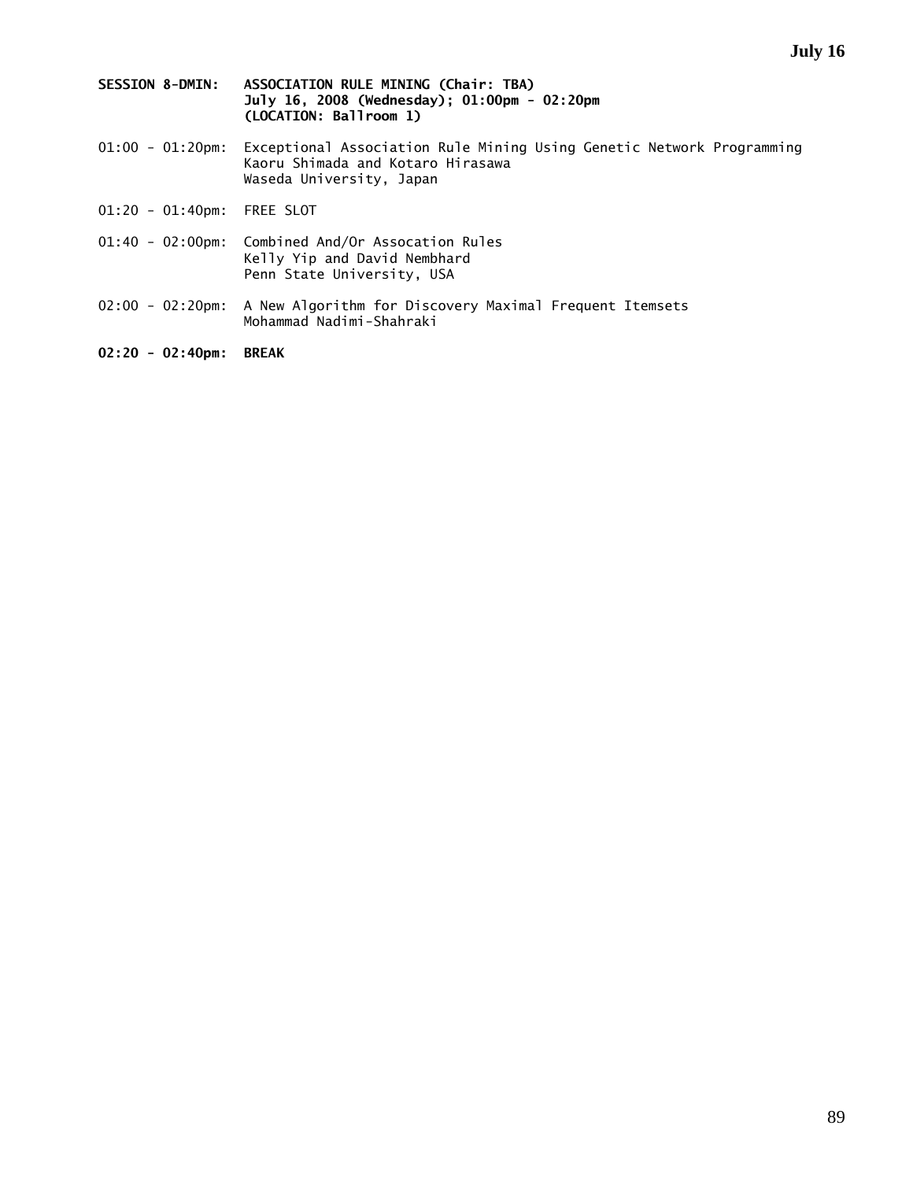- **SESSION 8-DMIN: ASSOCIATION RULE MINING (Chair: TBA) July 16, 2008 (Wednesday); 01:00pm - 02:20pm (LOCATION: Ballroom 1)**
- 01:00 01:20pm: Exceptional Association Rule Mining Using Genetic Network Programming Kaoru Shimada and Kotaro Hirasawa Waseda University, Japan
- 01:20 01:40pm: FREE SLOT
- 01:40 02:00pm: Combined And/Or Assocation Rules Kelly Yip and David Nembhard Penn State University, USA
- 02:00 02:20pm: A New Algorithm for Discovery Maximal Frequent Itemsets Mohammad Nadimi-Shahraki
- **02:20 02:40pm: BREAK**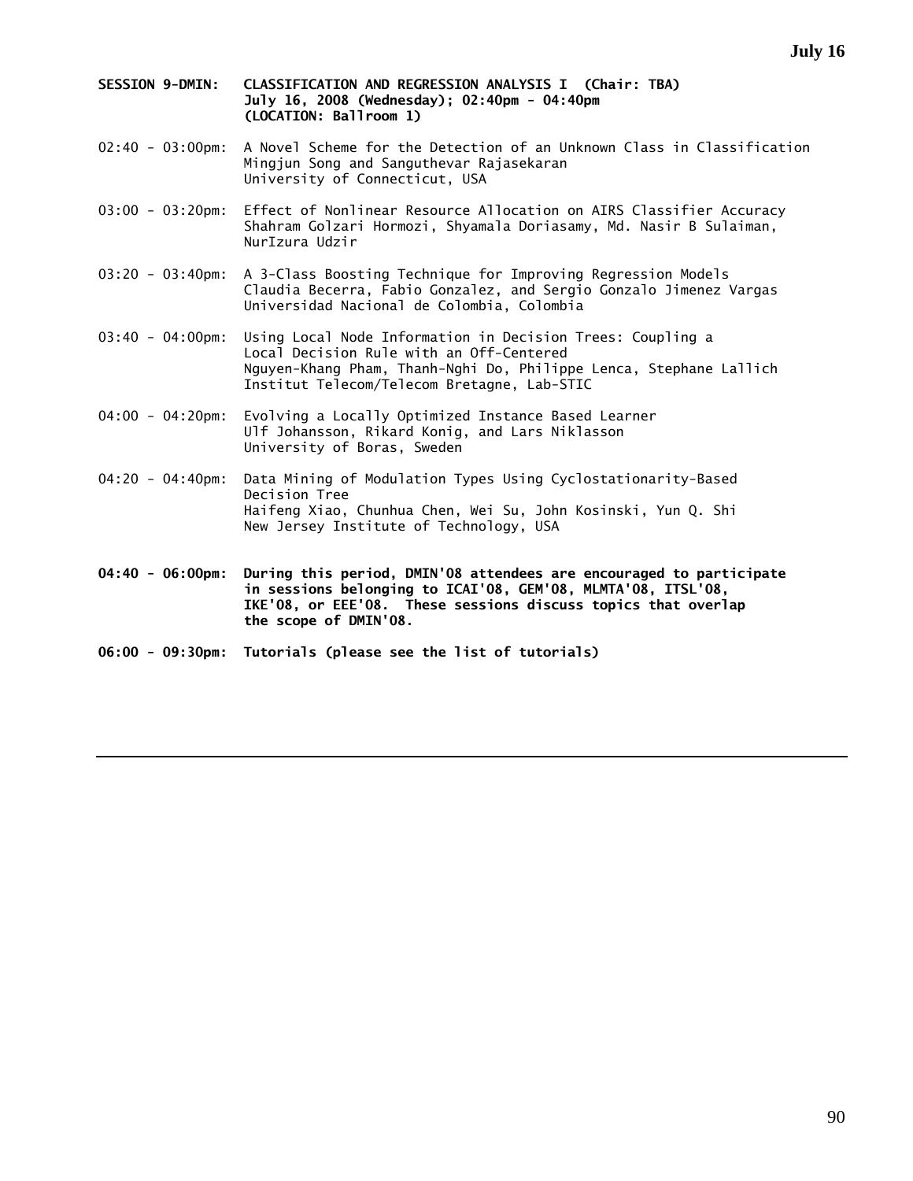- **SESSION 9-DMIN: CLASSIFICATION AND REGRESSION ANALYSIS I (Chair: TBA) July 16, 2008 (Wednesday); 02:40pm - 04:40pm (LOCATION: Ballroom 1)**
- 02:40 03:00pm: A Novel Scheme for the Detection of an Unknown Class in Classification Mingjun Song and Sanguthevar Rajasekaran University of Connecticut, USA
- 03:00 03:20pm: Effect of Nonlinear Resource Allocation on AIRS Classifier Accuracy Shahram Golzari Hormozi, Shyamala Doriasamy, Md. Nasir B Sulaiman, NurIzura Udzir
- 03:20 03:40pm: A 3-Class Boosting Technique for Improving Regression Models Claudia Becerra, Fabio Gonzalez, and Sergio Gonzalo Jimenez Vargas Universidad Nacional de Colombia, Colombia
- 03:40 04:00pm: Using Local Node Information in Decision Trees: Coupling a Local Decision Rule with an Off-Centered Nguyen-Khang Pham, Thanh-Nghi Do, Philippe Lenca, Stephane Lallich Institut Telecom/Telecom Bretagne, Lab-STIC
- 04:00 04:20pm: Evolving a Locally Optimized Instance Based Learner Ulf Johansson, Rikard Konig, and Lars Niklasson University of Boras, Sweden
- 04:20 04:40pm: Data Mining of Modulation Types Using Cyclostationarity-Based Decision Tree Haifeng Xiao, Chunhua Chen, Wei Su, John Kosinski, Yun Q. Shi New Jersey Institute of Technology, USA
- **04:40 06:00pm: During this period, DMIN'08 attendees are encouraged to participate in sessions belonging to ICAI'08, GEM'08, MLMTA'08, ITSL'08, IKE'08, or EEE'08. These sessions discuss topics that overlap the scope of DMIN'08.**
- **06:00 09:30pm: Tutorials (please see the list of tutorials)**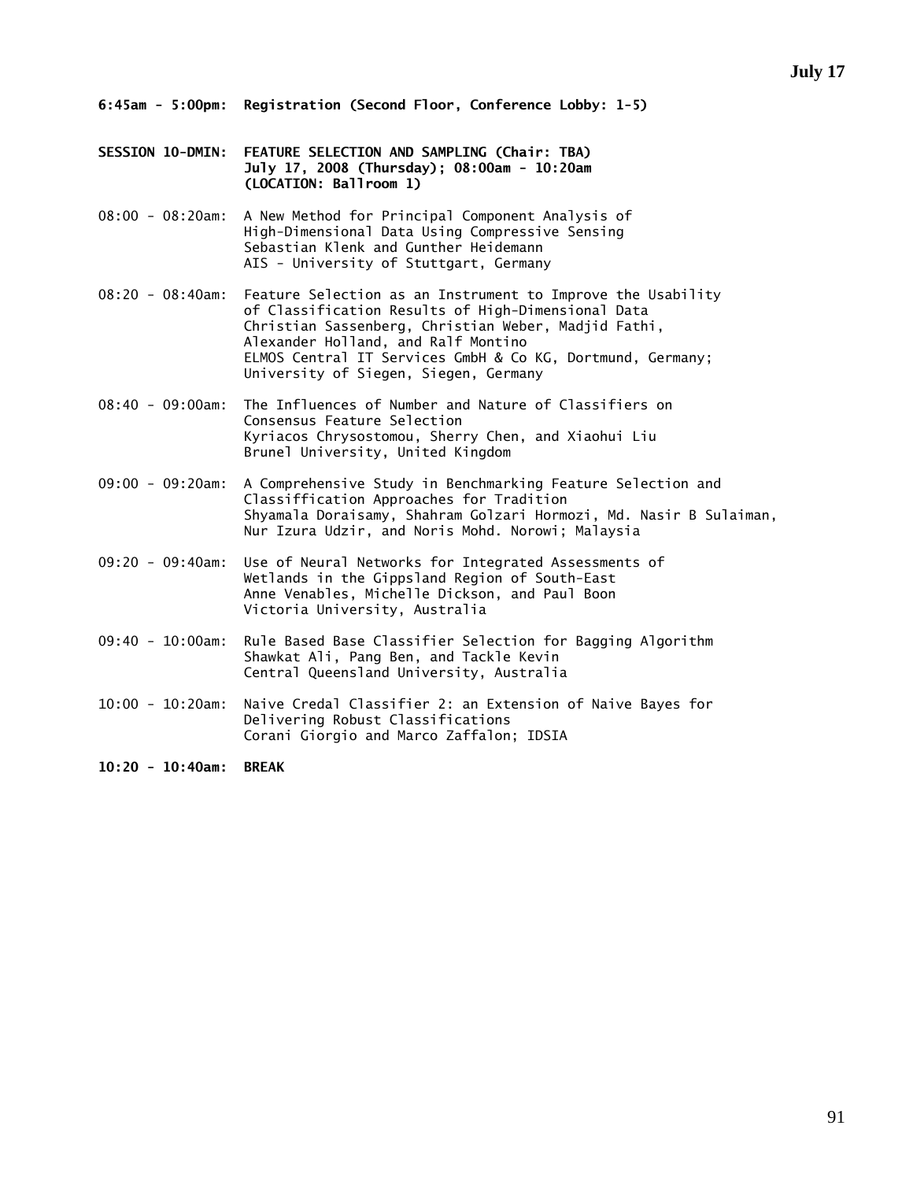- **6:45am 5:00pm: Registration (Second Floor, Conference Lobby: 1-5)**
- **SESSION 10-DMIN: FEATURE SELECTION AND SAMPLING (Chair: TBA) July 17, 2008 (Thursday); 08:00am - 10:20am (LOCATION: Ballroom 1)**
- 08:00 08:20am: A New Method for Principal Component Analysis of High-Dimensional Data Using Compressive Sensing Sebastian Klenk and Gunther Heidemann AIS - University of Stuttgart, Germany
- 08:20 08:40am: Feature Selection as an Instrument to Improve the Usability of Classification Results of High-Dimensional Data Christian Sassenberg, Christian Weber, Madjid Fathi, Alexander Holland, and Ralf Montino ELMOS Central IT Services GmbH & Co KG, Dortmund, Germany; University of Siegen, Siegen, Germany
- 08:40 09:00am: The Influences of Number and Nature of Classifiers on Consensus Feature Selection Kyriacos Chrysostomou, Sherry Chen, and Xiaohui Liu Brunel University, United Kingdom
- 09:00 09:20am: A Comprehensive Study in Benchmarking Feature Selection and Classiffication Approaches for Tradition Shyamala Doraisamy, Shahram Golzari Hormozi, Md. Nasir B Sulaiman, Nur Izura Udzir, and Noris Mohd. Norowi; Malaysia
- 09:20 09:40am: Use of Neural Networks for Integrated Assessments of Wetlands in the Gippsland Region of South-East Anne Venables, Michelle Dickson, and Paul Boon Victoria University, Australia
- 09:40 10:00am: Rule Based Base Classifier Selection for Bagging Algorithm Shawkat Ali, Pang Ben, and Tackle Kevin Central Queensland University, Australia
- 10:00 10:20am: Naive Credal Classifier 2: an Extension of Naive Bayes for Delivering Robust Classifications Corani Giorgio and Marco Zaffalon; IDSIA

**10:20 - 10:40am: BREAK**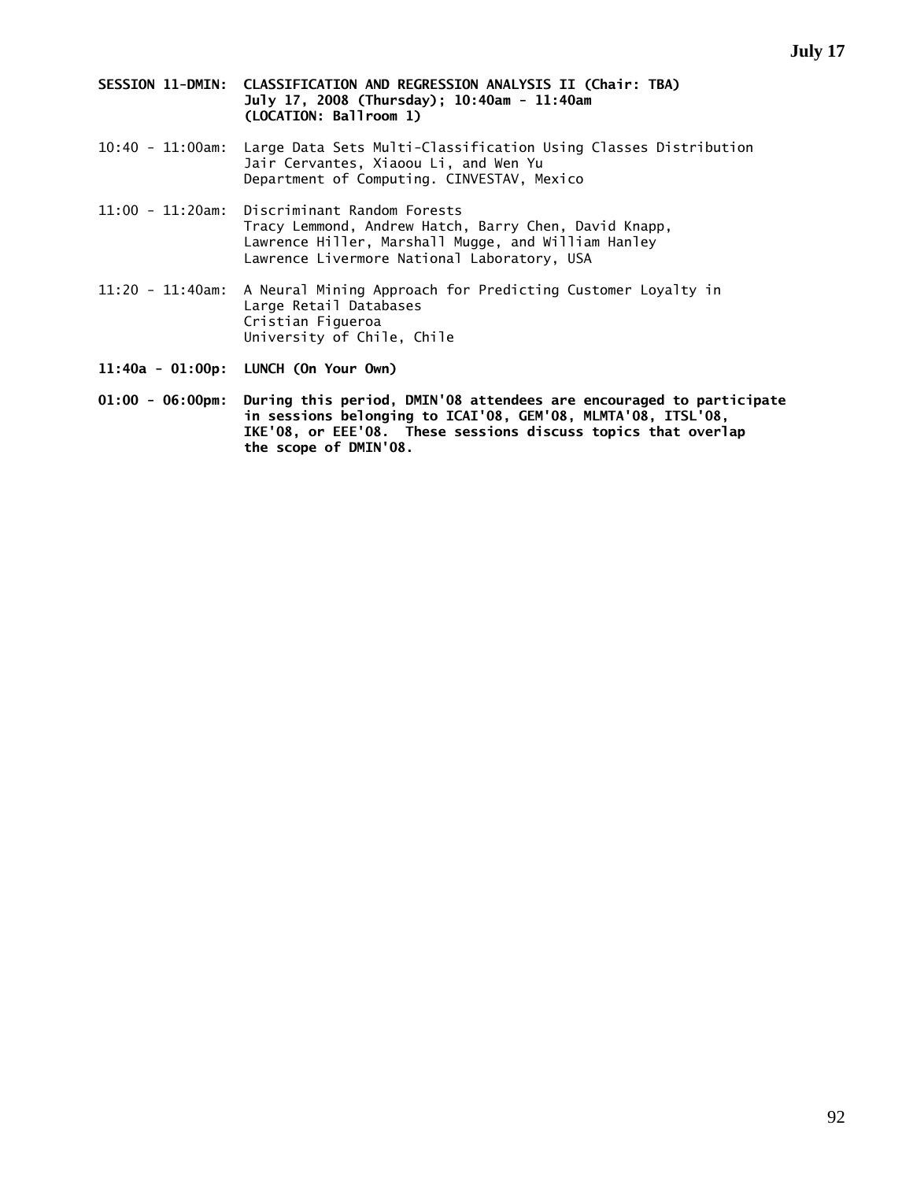- **SESSION 11-DMIN: CLASSIFICATION AND REGRESSION ANALYSIS II (Chair: TBA) July 17, 2008 (Thursday); 10:40am - 11:40am (LOCATION: Ballroom 1)**
- 10:40 11:00am: Large Data Sets Multi-Classification Using Classes Distribution Jair Cervantes, Xiaoou Li, and Wen Yu Department of Computing. CINVESTAV, Mexico
- 11:00 11:20am: Discriminant Random Forests Tracy Lemmond, Andrew Hatch, Barry Chen, David Knapp, Lawrence Hiller, Marshall Mugge, and William Hanley Lawrence Livermore National Laboratory, USA
- 11:20 11:40am: A Neural Mining Approach for Predicting Customer Loyalty in Large Retail Databases Cristian Figueroa University of Chile, Chile
- **11:40a 01:00p: LUNCH (On Your Own)**
- **01:00 06:00pm: During this period, DMIN'08 attendees are encouraged to participate in sessions belonging to ICAI'08, GEM'08, MLMTA'08, ITSL'08, IKE'08, or EEE'08. These sessions discuss topics that overlap the scope of DMIN'08.**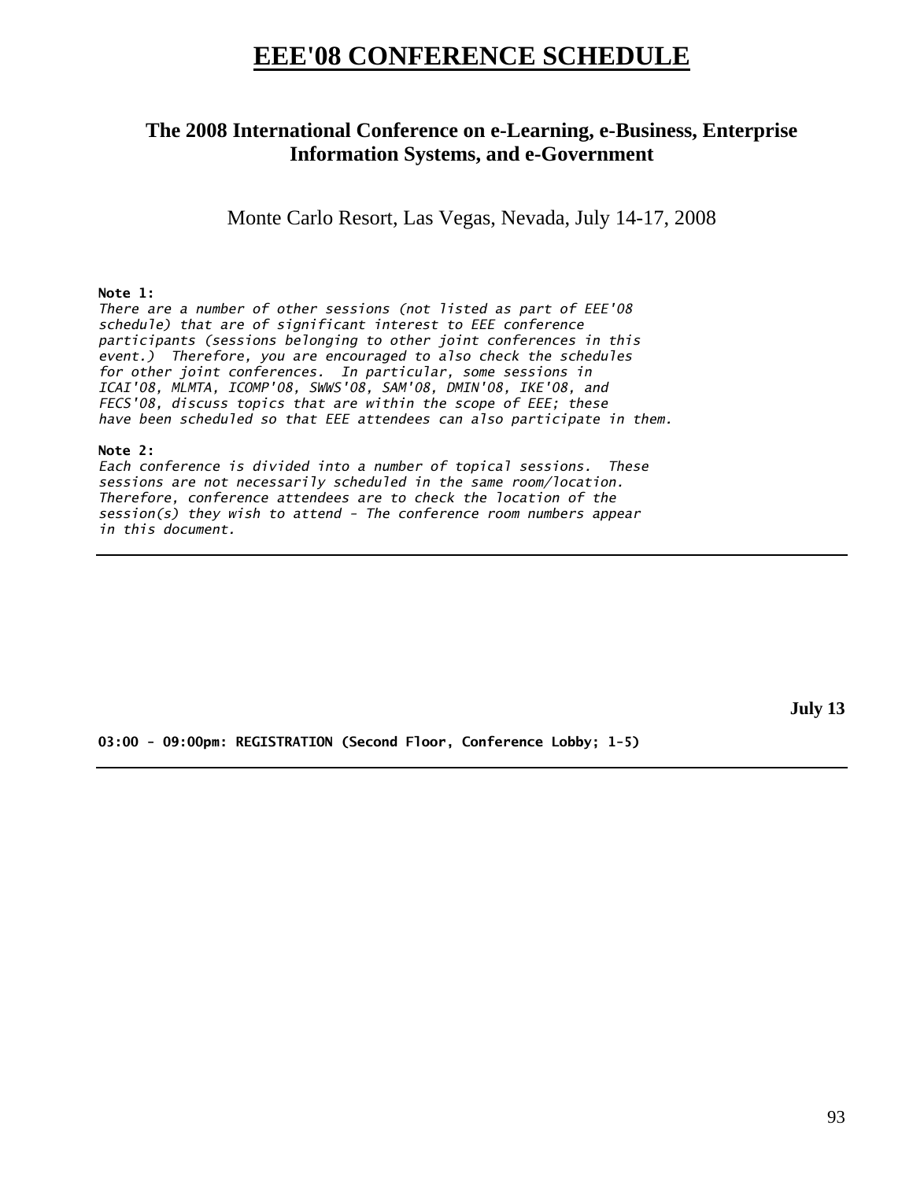## **EEE'08 CONFERENCE SCHEDULE**

## **The 2008 International Conference on e-Learning, e-Business, Enterprise Information Systems, and e-Government**

Monte Carlo Resort, Las Vegas, Nevada, July 14-17, 2008

#### **Note 1:**

*There are a number of other sessions (not listed as part of EEE'08 schedule) that are of significant interest to EEE conference participants (sessions belonging to other joint conferences in this event.) Therefore, you are encouraged to also check the schedules for other joint conferences. In particular, some sessions in ICAI'08, MLMTA, ICOMP'08, SWWS'08, SAM'08, DMIN'08, IKE'08, and FECS'08, discuss topics that are within the scope of EEE; these have been scheduled so that EEE attendees can also participate in them.* 

#### **Note 2:**

*Each conference is divided into a number of topical sessions. These sessions are not necessarily scheduled in the same room/location. Therefore, conference attendees are to check the location of the session(s) they wish to attend - The conference room numbers appear in this document.* 

**July 13** 

**03:00 - 09:00pm: REGISTRATION (Second Floor, Conference Lobby; 1-5)**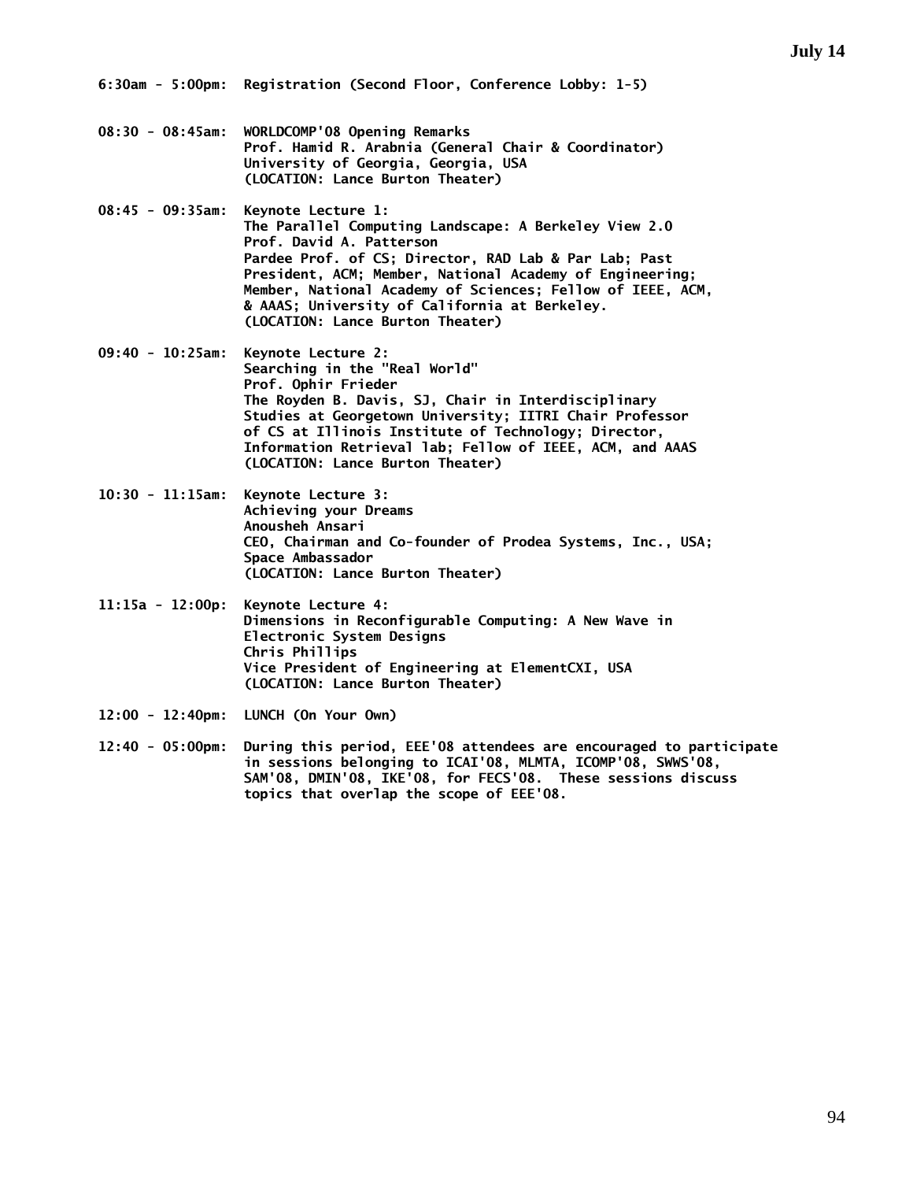- **08:30 08:45am: WORLDCOMP'08 Opening Remarks Prof. Hamid R. Arabnia (General Chair & Coordinator) University of Georgia, Georgia, USA (LOCATION: Lance Burton Theater)**
- **08:45 09:35am: Keynote Lecture 1: The Parallel Computing Landscape: A Berkeley View 2.0 Prof. David A. Patterson Pardee Prof. of CS; Director, RAD Lab & Par Lab; Past President, ACM; Member, National Academy of Engineering; Member, National Academy of Sciences; Fellow of IEEE, ACM, & AAAS; University of California at Berkeley. (LOCATION: Lance Burton Theater)**
- **09:40 10:25am: Keynote Lecture 2: Searching in the "Real World" Prof. Ophir Frieder The Royden B. Davis, SJ, Chair in Interdisciplinary Studies at Georgetown University; IITRI Chair Professor of CS at Illinois Institute of Technology; Director, Information Retrieval lab; Fellow of IEEE, ACM, and AAAS (LOCATION: Lance Burton Theater)**
- **10:30 11:15am: Keynote Lecture 3: Achieving your Dreams Anousheh Ansari CEO, Chairman and Co-founder of Prodea Systems, Inc., USA; Space Ambassador (LOCATION: Lance Burton Theater)**
- **11:15a 12:00p: Keynote Lecture 4: Dimensions in Reconfigurable Computing: A New Wave in Electronic System Designs Chris Phillips Vice President of Engineering at ElementCXI, USA (LOCATION: Lance Burton Theater)**
- **12:00 12:40pm: LUNCH (On Your Own)**
- **12:40 05:00pm: During this period, EEE'08 attendees are encouraged to participate in sessions belonging to ICAI'08, MLMTA, ICOMP'08, SWWS'08, SAM'08, DMIN'08, IKE'08, for FECS'08. These sessions discuss topics that overlap the scope of EEE'08.**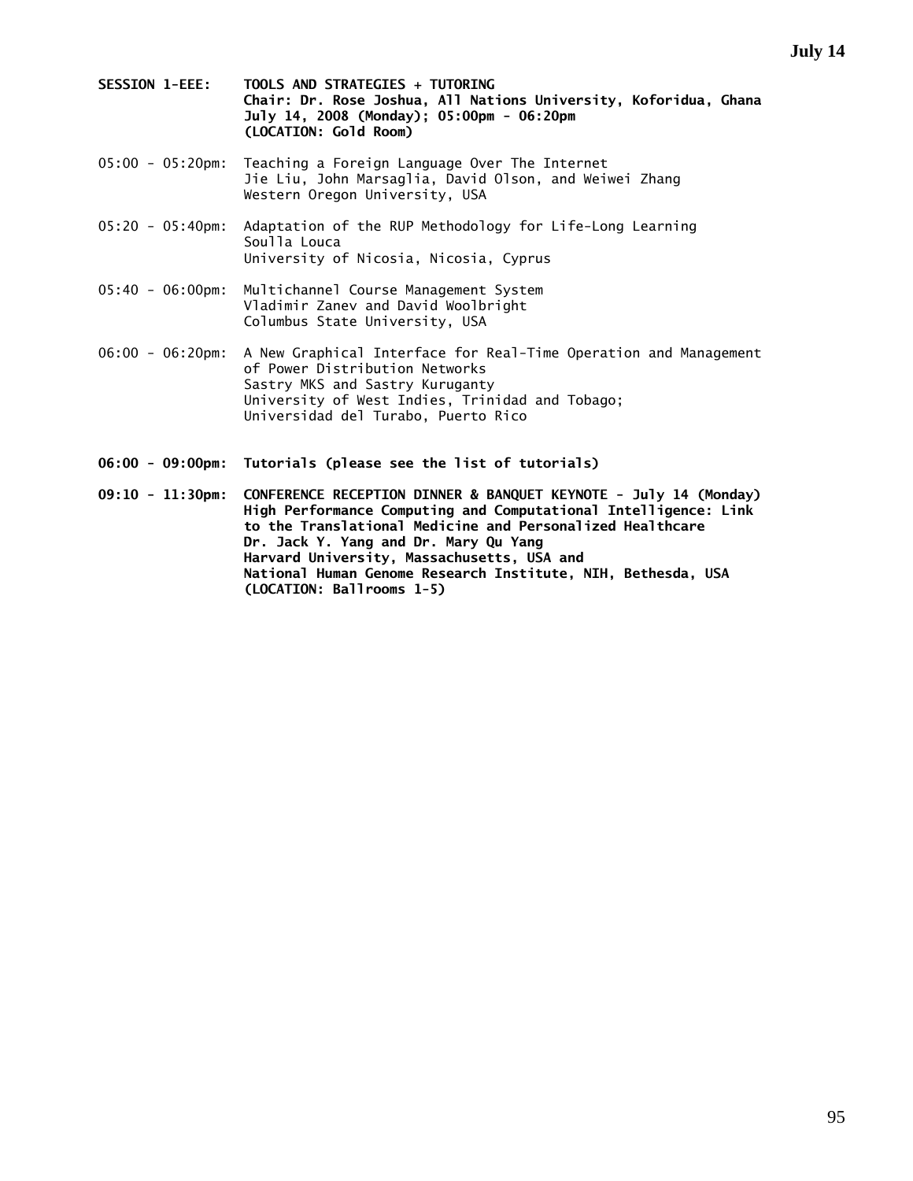- **SESSION 1-EEE: TOOLS AND STRATEGIES + TUTORING Chair: Dr. Rose Joshua, All Nations University, Koforidua, Ghana July 14, 2008 (Monday); 05:00pm - 06:20pm (LOCATION: Gold Room)**
- 05:00 05:20pm: Teaching a Foreign Language Over The Internet Jie Liu, John Marsaglia, David Olson, and Weiwei Zhang Western Oregon University, USA
- 05:20 05:40pm: Adaptation of the RUP Methodology for Life-Long Learning Soulla Louca University of Nicosia, Nicosia, Cyprus
- 05:40 06:00pm: Multichannel Course Management System Vladimir Zanev and David Woolbright Columbus State University, USA
- 06:00 06:20pm: A New Graphical Interface for Real-Time Operation and Management of Power Distribution Networks Sastry MKS and Sastry Kuruganty University of West Indies, Trinidad and Tobago; Universidad del Turabo, Puerto Rico
- **06:00 09:00pm: Tutorials (please see the list of tutorials)**
- **09:10 11:30pm: CONFERENCE RECEPTION DINNER & BANQUET KEYNOTE July 14 (Monday) High Performance Computing and Computational Intelligence: Link to the Translational Medicine and Personalized Healthcare Dr. Jack Y. Yang and Dr. Mary Qu Yang Harvard University, Massachusetts, USA and National Human Genome Research Institute, NIH, Bethesda, USA (LOCATION: Ballrooms 1-5)**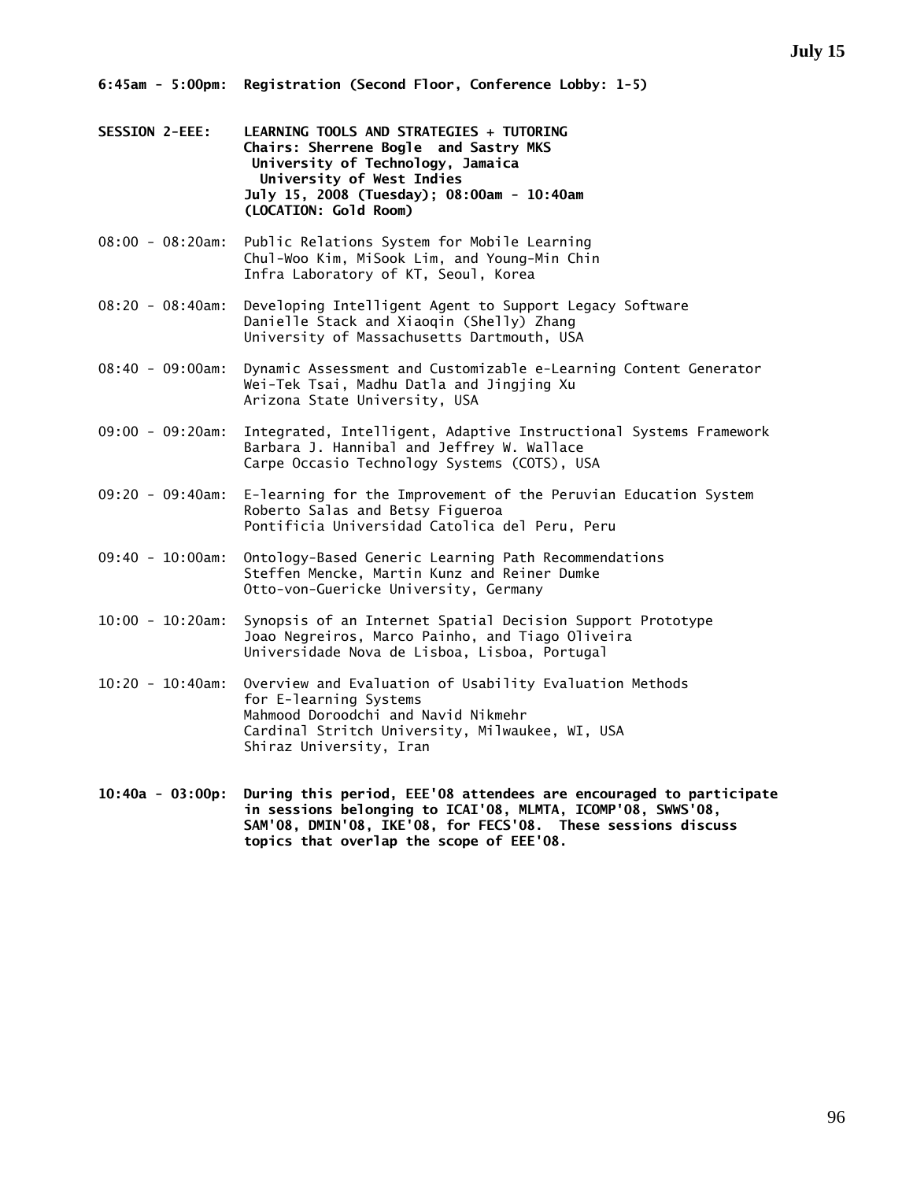- **SESSION 2-EEE: LEARNING TOOLS AND STRATEGIES + TUTORING Chairs: Sherrene Bogle and Sastry MKS University of Technology, Jamaica University of West Indies July 15, 2008 (Tuesday); 08:00am - 10:40am (LOCATION: Gold Room)**
- 08:00 08:20am: Public Relations System for Mobile Learning Chul-Woo Kim, MiSook Lim, and Young-Min Chin Infra Laboratory of KT, Seoul, Korea
- 08:20 08:40am: Developing Intelligent Agent to Support Legacy Software Danielle Stack and Xiaoqin (Shelly) Zhang University of Massachusetts Dartmouth, USA
- 08:40 09:00am: Dynamic Assessment and Customizable e-Learning Content Generator Wei-Tek Tsai, Madhu Datla and Jingjing Xu Arizona State University, USA
- 09:00 09:20am: Integrated, Intelligent, Adaptive Instructional Systems Framework Barbara J. Hannibal and Jeffrey W. Wallace Carpe Occasio Technology Systems (COTS), USA
- 09:20 09:40am: E-learning for the Improvement of the Peruvian Education System Roberto Salas and Betsy Figueroa Pontificia Universidad Catolica del Peru, Peru
- 09:40 10:00am: Ontology-Based Generic Learning Path Recommendations Steffen Mencke, Martin Kunz and Reiner Dumke Otto-von-Guericke University, Germany
- 10:00 10:20am: Synopsis of an Internet Spatial Decision Support Prototype Joao Negreiros, Marco Painho, and Tiago Oliveira Universidade Nova de Lisboa, Lisboa, Portugal
- 10:20 10:40am: Overview and Evaluation of Usability Evaluation Methods for E-learning Systems Mahmood Doroodchi and Navid Nikmehr Cardinal Stritch University, Milwaukee, WI, USA Shiraz University, Iran
- **10:40a 03:00p: During this period, EEE'08 attendees are encouraged to participate in sessions belonging to ICAI'08, MLMTA, ICOMP'08, SWWS'08, SAM'08, DMIN'08, IKE'08, for FECS'08. These sessions discuss topics that overlap the scope of EEE'08.**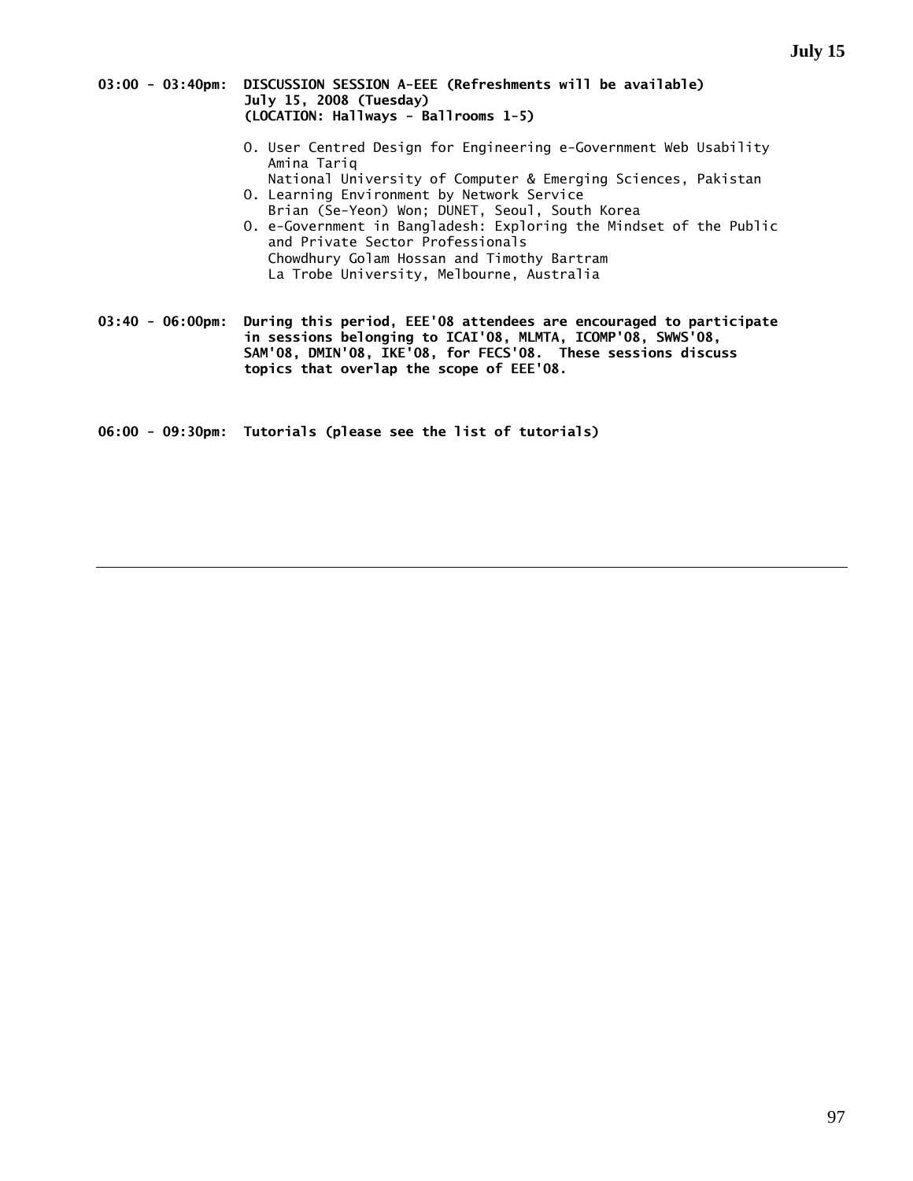#### **03:00 - 03:40pm: DISCUSSION SESSION A-EEE (Refreshments will be available) July 15, 2008 (Tuesday) (LOCATION: Hallways - Ballrooms 1-5)**

- O. User Centred Design for Engineering e-Government Web Usability Amina Tariq
- National University of Computer & Emerging Sciences, Pakistan O. Learning Environment by Network Service
- Brian (Se-Yeon) Won; DUNET, Seoul, South Korea O. e-Government in Bangladesh: Exploring the Mindset of the Public and Private Sector Professionals Chowdhury Golam Hossan and Timothy Bartram La Trobe University, Melbourne, Australia

**03:40 - 06:00pm: During this period, EEE'08 attendees are encouraged to participate in sessions belonging to ICAI'08, MLMTA, ICOMP'08, SWWS'08, SAM'08, DMIN'08, IKE'08, for FECS'08. These sessions discuss topics that overlap the scope of EEE'08.** 

**06:00 - 09:30pm: Tutorials (please see the list of tutorials)**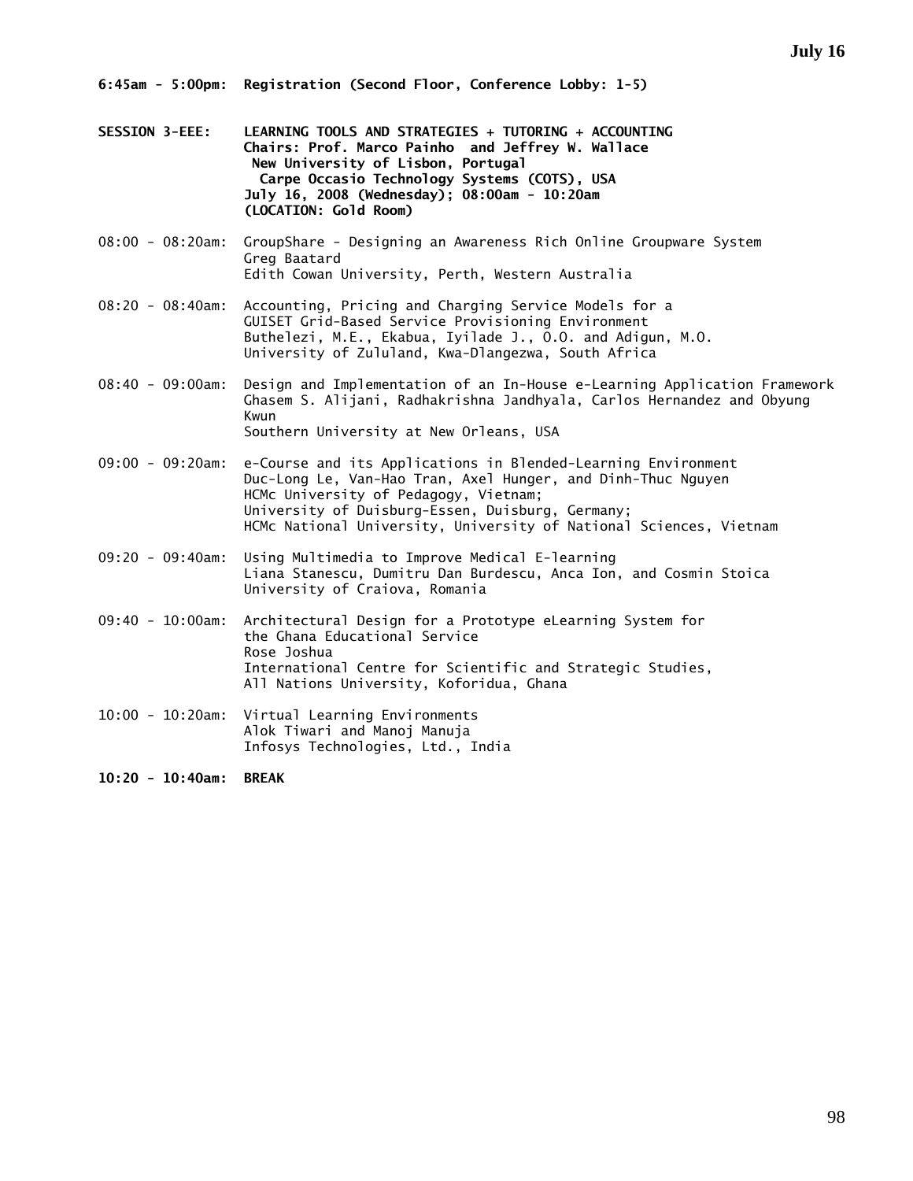- **SESSION 3-EEE: LEARNING TOOLS AND STRATEGIES + TUTORING + ACCOUNTING Chairs: Prof. Marco Painho and Jeffrey W. Wallace New University of Lisbon, Portugal Carpe Occasio Technology Systems (COTS), USA July 16, 2008 (Wednesday); 08:00am - 10:20am (LOCATION: Gold Room)**
- 08:00 08:20am: GroupShare Designing an Awareness Rich Online Groupware System Greg Baatard Edith Cowan University, Perth, Western Australia
- 08:20 08:40am: Accounting, Pricing and Charging Service Models for a GUISET Grid-Based Service Provisioning Environment Buthelezi, M.E., Ekabua, Iyilade J., O.O. and Adigun, M.O. University of Zululand, Kwa-Dlangezwa, South Africa
- 08:40 09:00am: Design and Implementation of an In-House e-Learning Application Framework Ghasem S. Alijani, Radhakrishna Jandhyala, Carlos Hernandez and Obyung Kwun Southern University at New Orleans, USA
- 09:00 09:20am: e-Course and its Applications in Blended-Learning Environment Duc-Long Le, Van-Hao Tran, Axel Hunger, and Dinh-Thuc Nguyen HCMc University of Pedagogy, Vietnam; University of Duisburg-Essen, Duisburg, Germany; HCMc National University, University of National Sciences, Vietnam
- 09:20 09:40am: Using Multimedia to Improve Medical E-learning Liana Stanescu, Dumitru Dan Burdescu, Anca Ion, and Cosmin Stoica University of Craiova, Romania
- 09:40 10:00am: Architectural Design for a Prototype eLearning System for the Ghana Educational Service Rose Joshua International Centre for Scientific and Strategic Studies, All Nations University, Koforidua, Ghana
- 10:00 10:20am: Virtual Learning Environments Alok Tiwari and Manoj Manuja Infosys Technologies, Ltd., India

**10:20 - 10:40am: BREAK**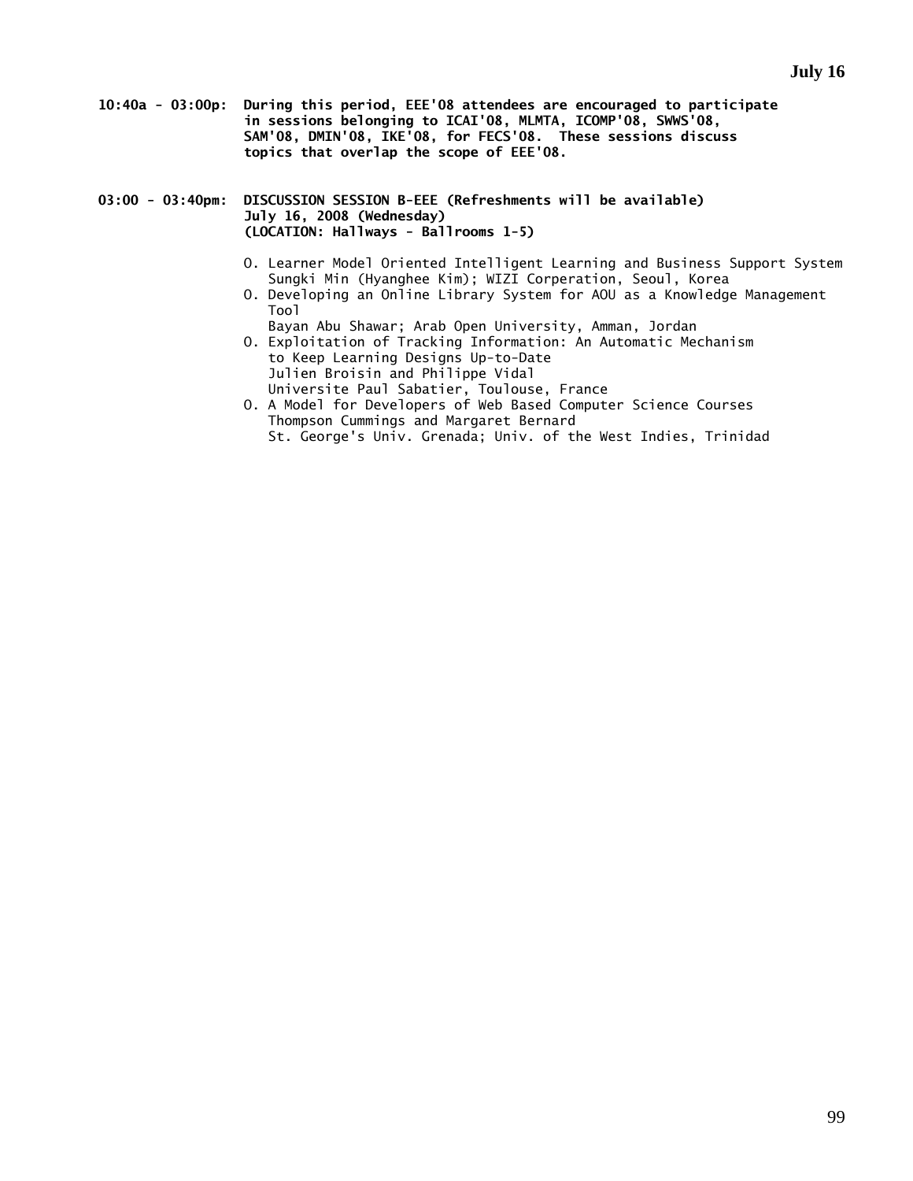- **10:40a 03:00p: During this period, EEE'08 attendees are encouraged to participate in sessions belonging to ICAI'08, MLMTA, ICOMP'08, SWWS'08, SAM'08, DMIN'08, IKE'08, for FECS'08. These sessions discuss topics that overlap the scope of EEE'08.**
- **03:00 03:40pm: DISCUSSION SESSION B-EEE (Refreshments will be available) July 16, 2008 (Wednesday) (LOCATION: Hallways - Ballrooms 1-5)** 
	- O. Learner Model Oriented Intelligent Learning and Business Support System Sungki Min (Hyanghee Kim); WIZI Corperation, Seoul, Korea
	- O. Developing an Online Library System for AOU as a Knowledge Management Tool
		- Bayan Abu Shawar; Arab Open University, Amman, Jordan
	- O. Exploitation of Tracking Information: An Automatic Mechanism to Keep Learning Designs Up-to-Date Julien Broisin and Philippe Vidal Universite Paul Sabatier, Toulouse, France
	- O. A Model for Developers of Web Based Computer Science Courses Thompson Cummings and Margaret Bernard St. George's Univ. Grenada; Univ. of the West Indies, Trinidad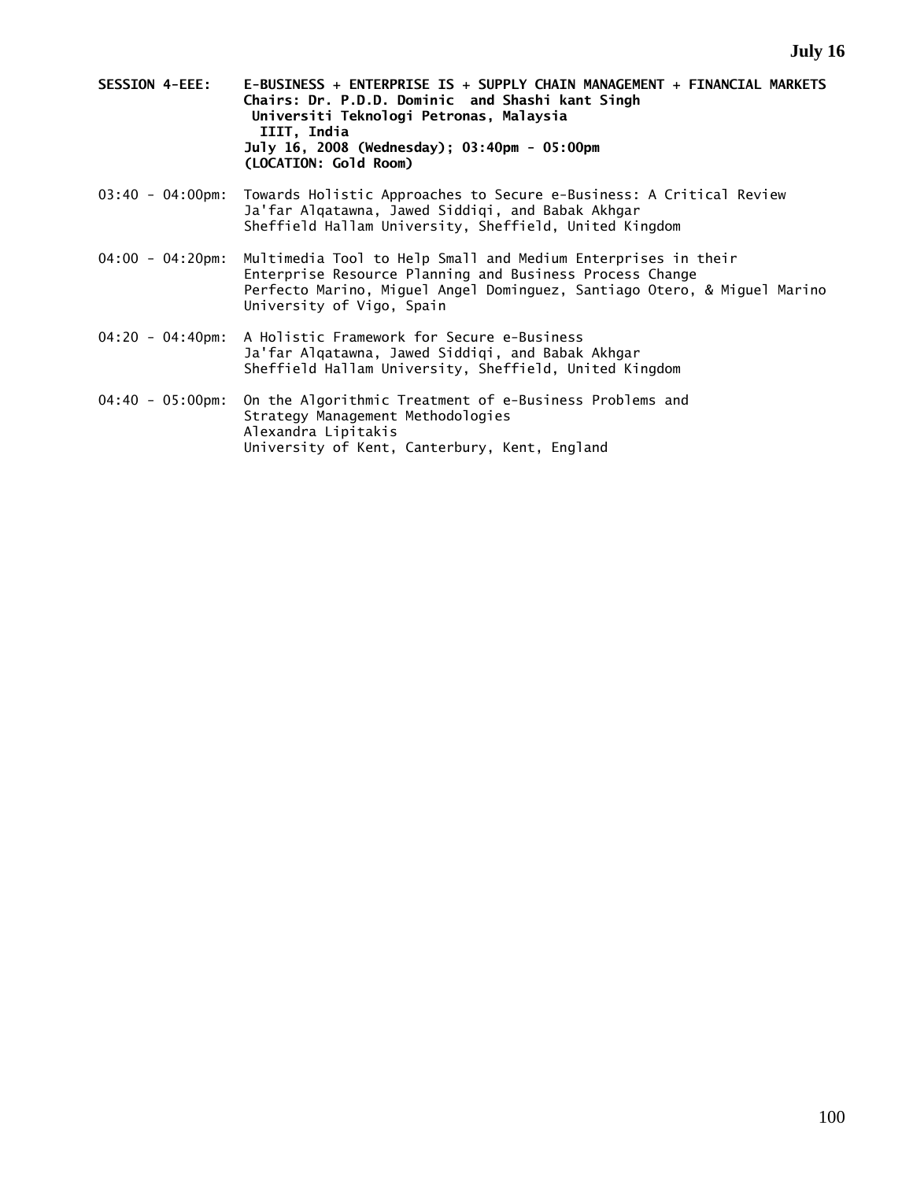- **SESSION 4-EEE: E-BUSINESS + ENTERPRISE IS + SUPPLY CHAIN MANAGEMENT + FINANCIAL MARKETS Chairs: Dr. P.D.D. Dominic and Shashi kant Singh Universiti Teknologi Petronas, Malaysia IIIT, India July 16, 2008 (Wednesday); 03:40pm - 05:00pm (LOCATION: Gold Room)**
- 03:40 04:00pm: Towards Holistic Approaches to Secure e-Business: A Critical Review Ja'far Alqatawna, Jawed Siddiqi, and Babak Akhgar Sheffield Hallam University, Sheffield, United Kingdom
- 04:00 04:20pm: Multimedia Tool to Help Small and Medium Enterprises in their Enterprise Resource Planning and Business Process Change Perfecto Marino, Miguel Angel Dominguez, Santiago Otero, & Miguel Marino University of Vigo, Spain
- 04:20 04:40pm: A Holistic Framework for Secure e-Business Ja'far Alqatawna, Jawed Siddiqi, and Babak Akhgar Sheffield Hallam University, Sheffield, United Kingdom
- 04:40 05:00pm: On the Algorithmic Treatment of e-Business Problems and Strategy Management Methodologies Alexandra Lipitakis University of Kent, Canterbury, Kent, England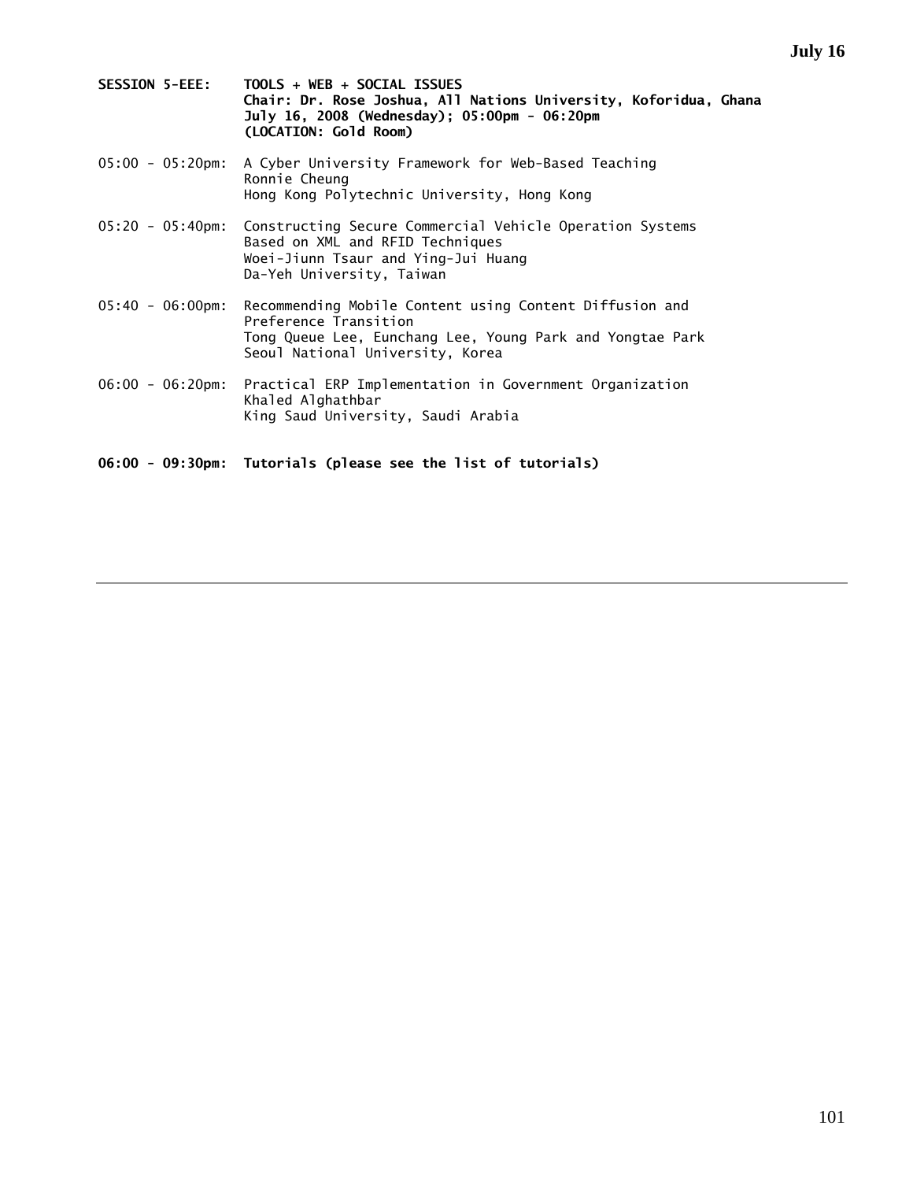| <b>SESSION 5-EEE:</b> | $TOOLS + WEB + SOCIAL ISSUES$                                    |
|-----------------------|------------------------------------------------------------------|
|                       | Chair: Dr. Rose Joshua, All Nations University, Koforidua, Ghana |
|                       | July 16, 2008 (Wednesday); 05:00pm - 06:20pm                     |
|                       | (LOCATION: Gold Room)                                            |

- 05:00 05:20pm: A Cyber University Framework for Web-Based Teaching Ronnie Cheung Hong Kong Polytechnic University, Hong Kong
- 05:20 05:40pm: Constructing Secure Commercial Vehicle Operation Systems Based on XML and RFID Techniques Woei-Jiunn Tsaur and Ying-Jui Huang Da-Yeh University, Taiwan
- 05:40 06:00pm: Recommending Mobile Content using Content Diffusion and Preference Transition Tong Queue Lee, Eunchang Lee, Young Park and Yongtae Park Seoul National University, Korea
- 06:00 06:20pm: Practical ERP Implementation in Government Organization Khaled Alghathbar King Saud University, Saudi Arabia
- **06:00 09:30pm: Tutorials (please see the list of tutorials)**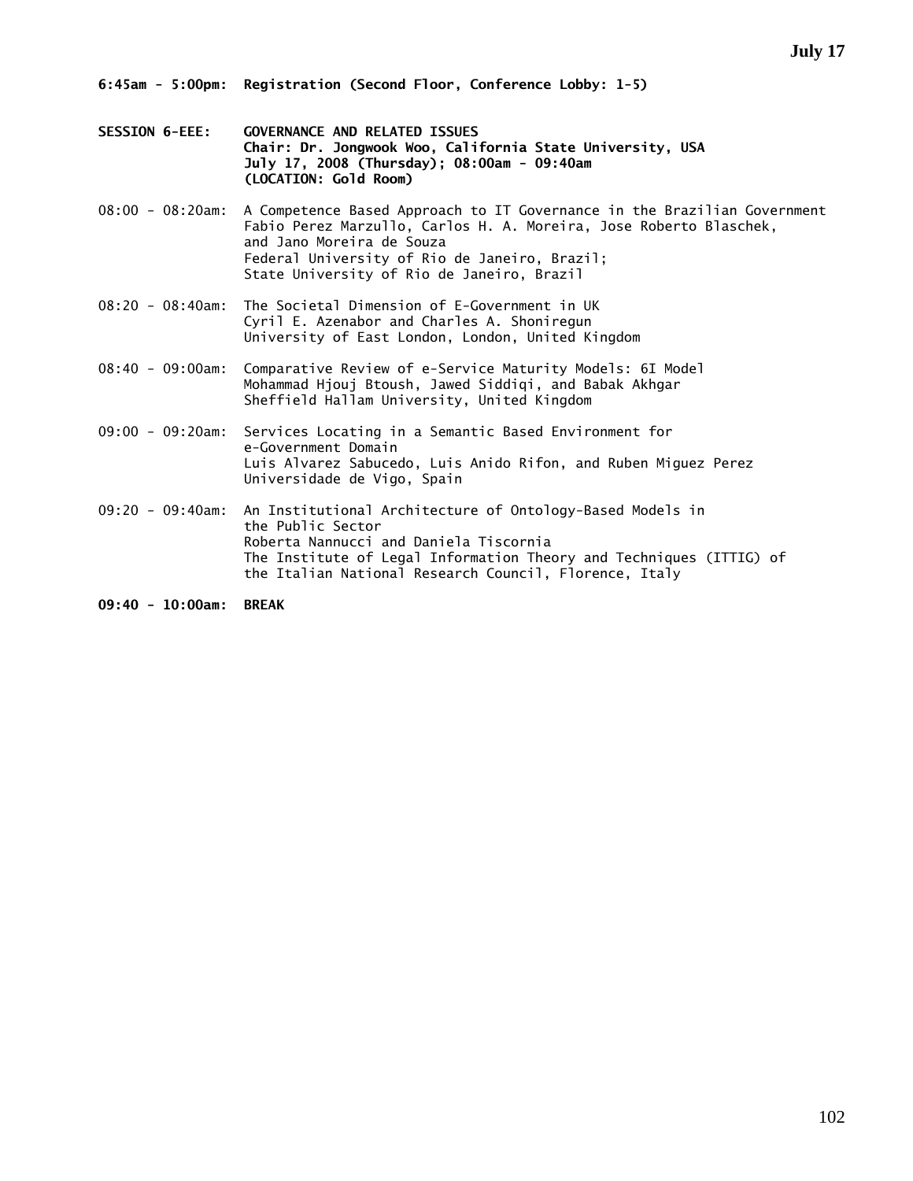- **SESSION 6-EEE: GOVERNANCE AND RELATED ISSUES Chair: Dr. Jongwook Woo, California State University, USA July 17, 2008 (Thursday); 08:00am - 09:40am (LOCATION: Gold Room)**
- 08:00 08:20am: A Competence Based Approach to IT Governance in the Brazilian Government Fabio Perez Marzullo, Carlos H. A. Moreira, Jose Roberto Blaschek, and Jano Moreira de Souza Federal University of Rio de Janeiro, Brazil; State University of Rio de Janeiro, Brazil
- 08:20 08:40am: The Societal Dimension of E-Government in UK Cyril E. Azenabor and Charles A. Shoniregun University of East London, London, United Kingdom
- 08:40 09:00am: Comparative Review of e-Service Maturity Models: 6I Model Mohammad Hjouj Btoush, Jawed Siddiqi, and Babak Akhgar Sheffield Hallam University, United Kingdom
- 09:00 09:20am: Services Locating in a Semantic Based Environment for e-Government Domain Luis Alvarez Sabucedo, Luis Anido Rifon, and Ruben Miguez Perez Universidade de Vigo, Spain
- 09:20 09:40am: An Institutional Architecture of Ontology-Based Models in the Public Sector Roberta Nannucci and Daniela Tiscornia The Institute of Legal Information Theory and Techniques (ITTIG) of the Italian National Research Council, Florence, Italy

**09:40 - 10:00am: BREAK**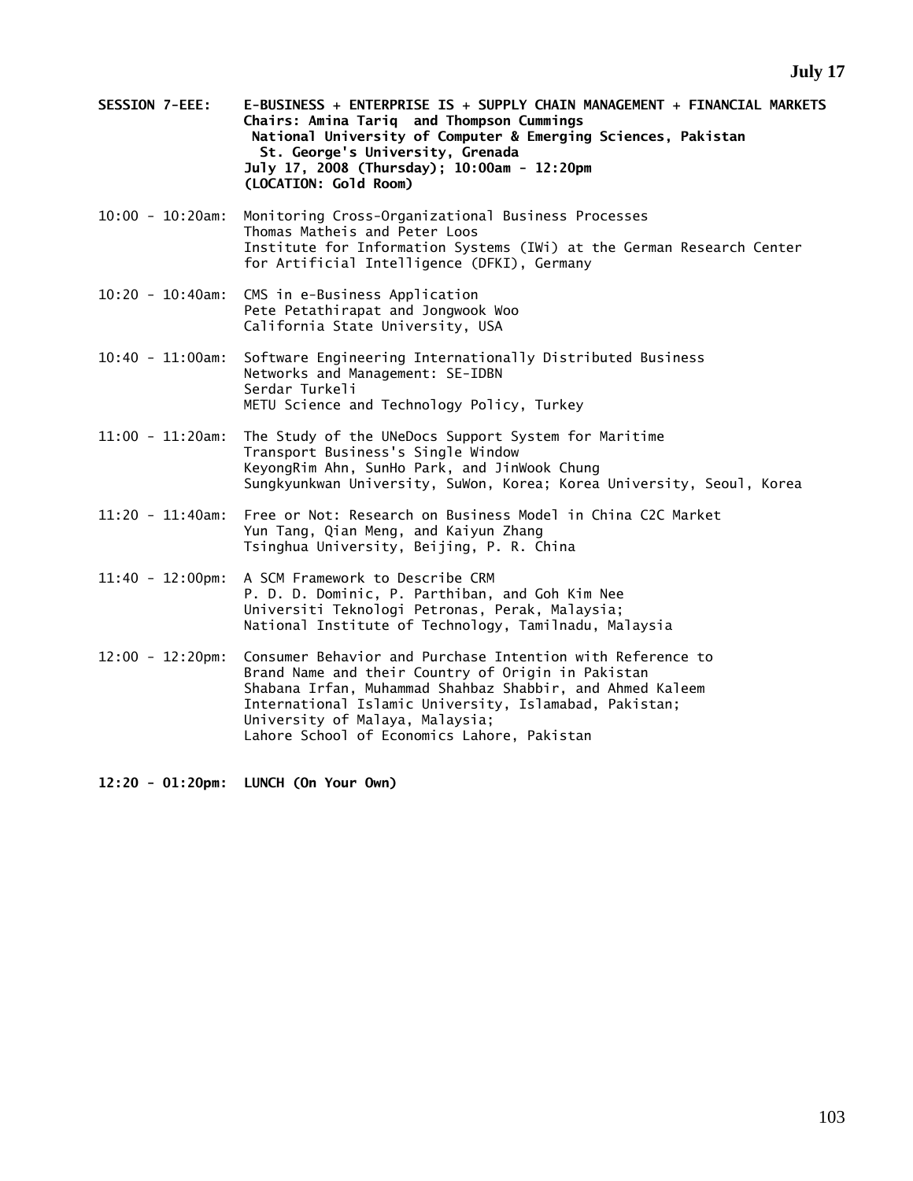- **SESSION 7-EEE: E-BUSINESS + ENTERPRISE IS + SUPPLY CHAIN MANAGEMENT + FINANCIAL MARKETS Chairs: Amina Tariq and Thompson Cummings National University of Computer & Emerging Sciences, Pakistan St. George's University, Grenada July 17, 2008 (Thursday); 10:00am - 12:20pm (LOCATION: Gold Room)**
- 10:00 10:20am: Monitoring Cross-Organizational Business Processes Thomas Matheis and Peter Loos Institute for Information Systems (IWi) at the German Research Center for Artificial Intelligence (DFKI), Germany
- 10:20 10:40am: CMS in e-Business Application Pete Petathirapat and Jongwook Woo California State University, USA
- 10:40 11:00am: Software Engineering Internationally Distributed Business Networks and Management: SE-IDBN Serdar Turkeli METU Science and Technology Policy, Turkey
- 11:00 11:20am: The Study of the UNeDocs Support System for Maritime Transport Business's Single Window KeyongRim Ahn, SunHo Park, and JinWook Chung Sungkyunkwan University, SuWon, Korea; Korea University, Seoul, Korea
- 11:20 11:40am: Free or Not: Research on Business Model in China C2C Market Yun Tang, Qian Meng, and Kaiyun Zhang Tsinghua University, Beijing, P. R. China
- 11:40 12:00pm: A SCM Framework to Describe CRM P. D. D. Dominic, P. Parthiban, and Goh Kim Nee Universiti Teknologi Petronas, Perak, Malaysia; National Institute of Technology, Tamilnadu, Malaysia
- 12:00 12:20pm: Consumer Behavior and Purchase Intention with Reference to Brand Name and their Country of Origin in Pakistan Shabana Irfan, Muhammad Shahbaz Shabbir, and Ahmed Kaleem International Islamic University, Islamabad, Pakistan; University of Malaya, Malaysia; Lahore School of Economics Lahore, Pakistan

**12:20 - 01:20pm: LUNCH (On Your Own)**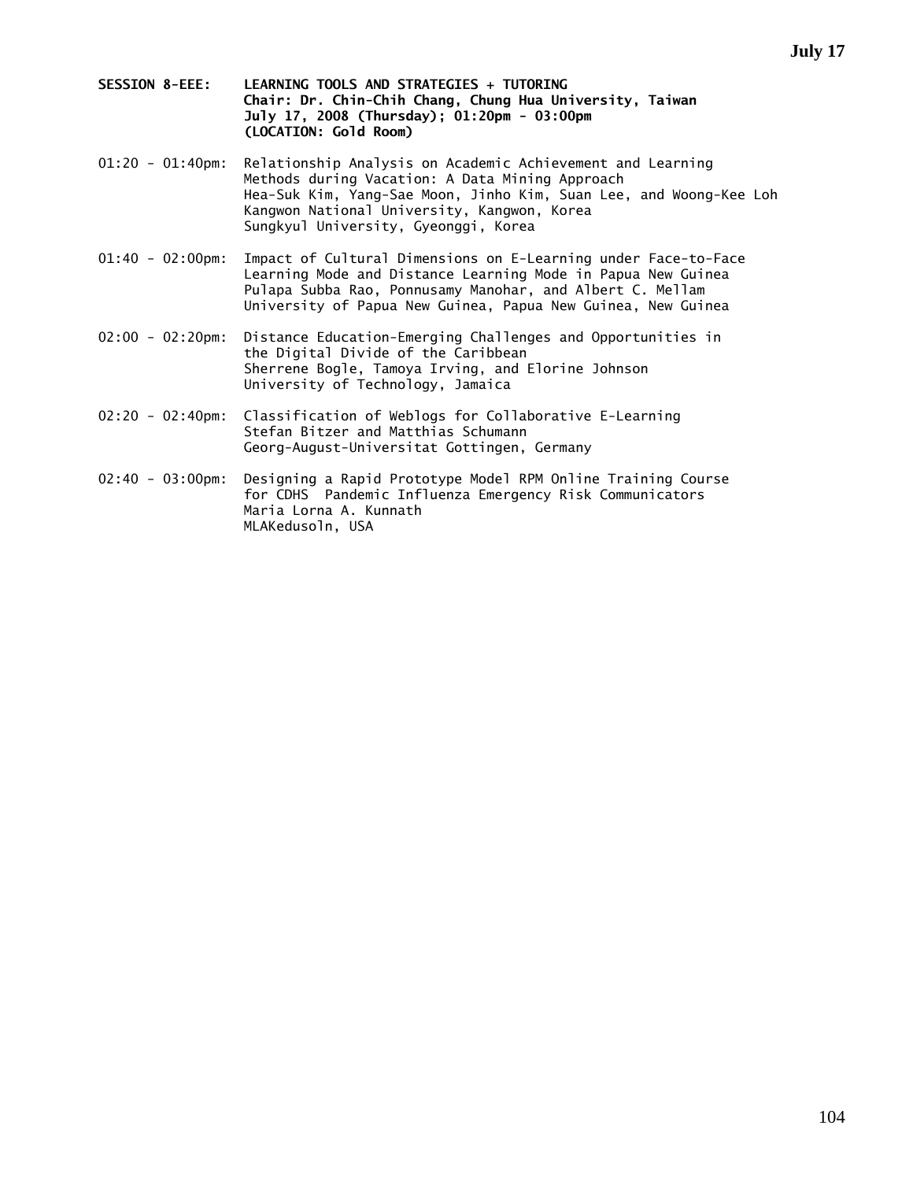- **SESSION 8-EEE: LEARNING TOOLS AND STRATEGIES + TUTORING Chair: Dr. Chin-Chih Chang, Chung Hua University, Taiwan July 17, 2008 (Thursday); 01:20pm - 03:00pm (LOCATION: Gold Room)**
- 01:20 01:40pm: Relationship Analysis on Academic Achievement and Learning Methods during Vacation: A Data Mining Approach Hea-Suk Kim, Yang-Sae Moon, Jinho Kim, Suan Lee, and Woong-Kee Loh Kangwon National University, Kangwon, Korea Sungkyul University, Gyeonggi, Korea
- 01:40 02:00pm: Impact of Cultural Dimensions on E-Learning under Face-to-Face Learning Mode and Distance Learning Mode in Papua New Guinea Pulapa Subba Rao, Ponnusamy Manohar, and Albert C. Mellam University of Papua New Guinea, Papua New Guinea, New Guinea
- 02:00 02:20pm: Distance Education-Emerging Challenges and Opportunities in the Digital Divide of the Caribbean Sherrene Bogle, Tamoya Irving, and Elorine Johnson University of Technology, Jamaica
- 02:20 02:40pm: Classification of Weblogs for Collaborative E-Learning Stefan Bitzer and Matthias Schumann Georg-August-Universitat Gottingen, Germany
- 02:40 03:00pm: Designing a Rapid Prototype Model RPM Online Training Course for CDHS Pandemic Influenza Emergency Risk Communicators Maria Lorna A. Kunnath MLAKedusoln, USA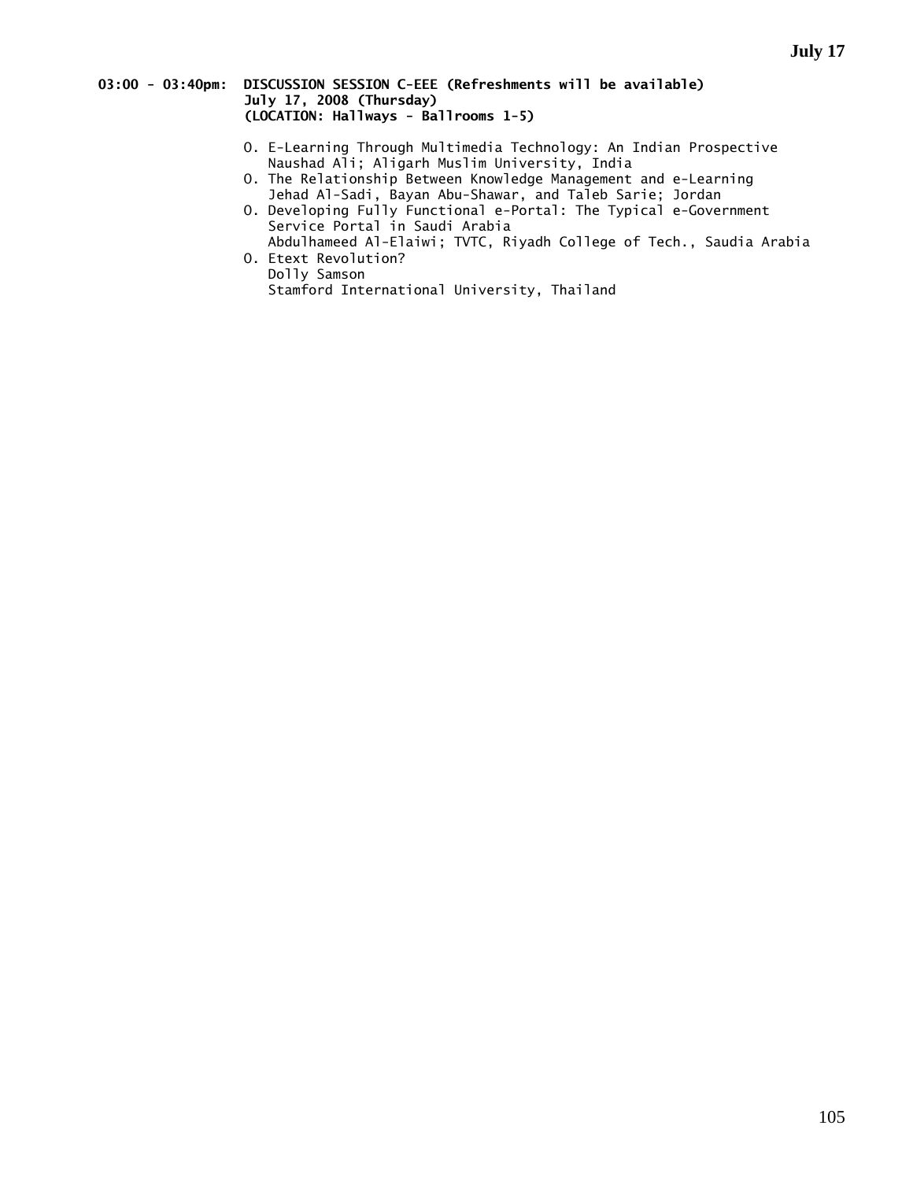#### **03:00 - 03:40pm: DISCUSSION SESSION C-EEE (Refreshments will be available) July 17, 2008 (Thursday) (LOCATION: Hallways - Ballrooms 1-5)**

- O. E-Learning Through Multimedia Technology: An Indian Prospective Naushad Ali; Aligarh Muslim University, India
- O. The Relationship Between Knowledge Management and e-Learning Jehad Al-Sadi, Bayan Abu-Shawar, and Taleb Sarie; Jordan
- O. Developing Fully Functional e-Portal: The Typical e-Government Service Portal in Saudi Arabia
	- Abdulhameed Al-Elaiwi; TVTC, Riyadh College of Tech., Saudia Arabia O. Etext Revolution?

 Dolly Samson Stamford International University, Thailand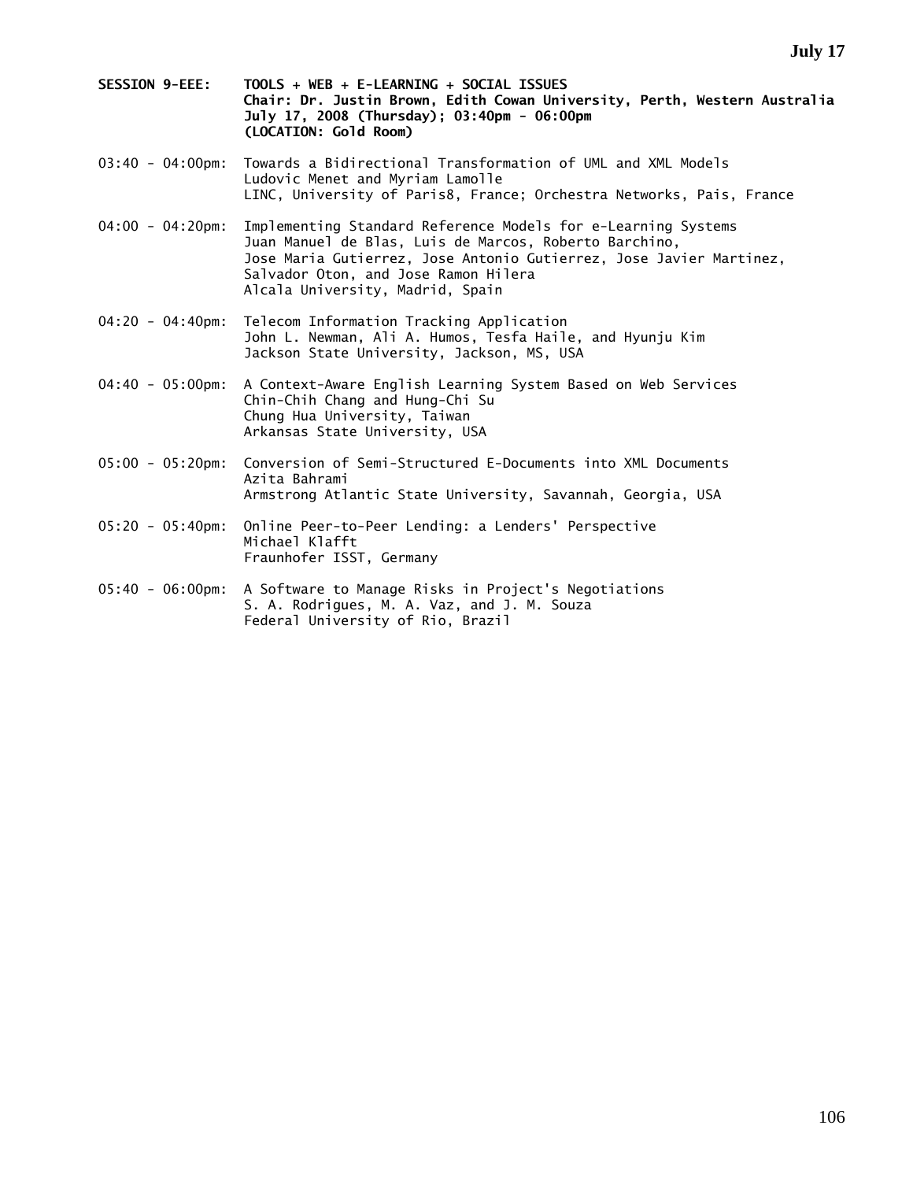- **SESSION 9-EEE: TOOLS + WEB + E-LEARNING + SOCIAL ISSUES Chair: Dr. Justin Brown, Edith Cowan University, Perth, Western Australia July 17, 2008 (Thursday); 03:40pm - 06:00pm (LOCATION: Gold Room)**
- 03:40 04:00pm: Towards a Bidirectional Transformation of UML and XML Models Ludovic Menet and Myriam Lamolle LINC, University of Paris8, France; Orchestra Networks, Pais, France
- 04:00 04:20pm: Implementing Standard Reference Models for e-Learning Systems Juan Manuel de Blas, Luis de Marcos, Roberto Barchino, Jose Maria Gutierrez, Jose Antonio Gutierrez, Jose Javier Martinez, Salvador Oton, and Jose Ramon Hilera Alcala University, Madrid, Spain
- 04:20 04:40pm: Telecom Information Tracking Application John L. Newman, Ali A. Humos, Tesfa Haile, and Hyunju Kim Jackson State University, Jackson, MS, USA
- 04:40 05:00pm: A Context-Aware English Learning System Based on Web Services Chin-Chih Chang and Hung-Chi Su Chung Hua University, Taiwan Arkansas State University, USA
- 05:00 05:20pm: Conversion of Semi-Structured E-Documents into XML Documents Azita Bahrami Armstrong Atlantic State University, Savannah, Georgia, USA
- 05:20 05:40pm: Online Peer-to-Peer Lending: a Lenders' Perspective Michael Klafft Fraunhofer ISST, Germany
- 05:40 06:00pm: A Software to Manage Risks in Project's Negotiations S. A. Rodrigues, M. A. Vaz, and J. M. Souza Federal University of Rio, Brazil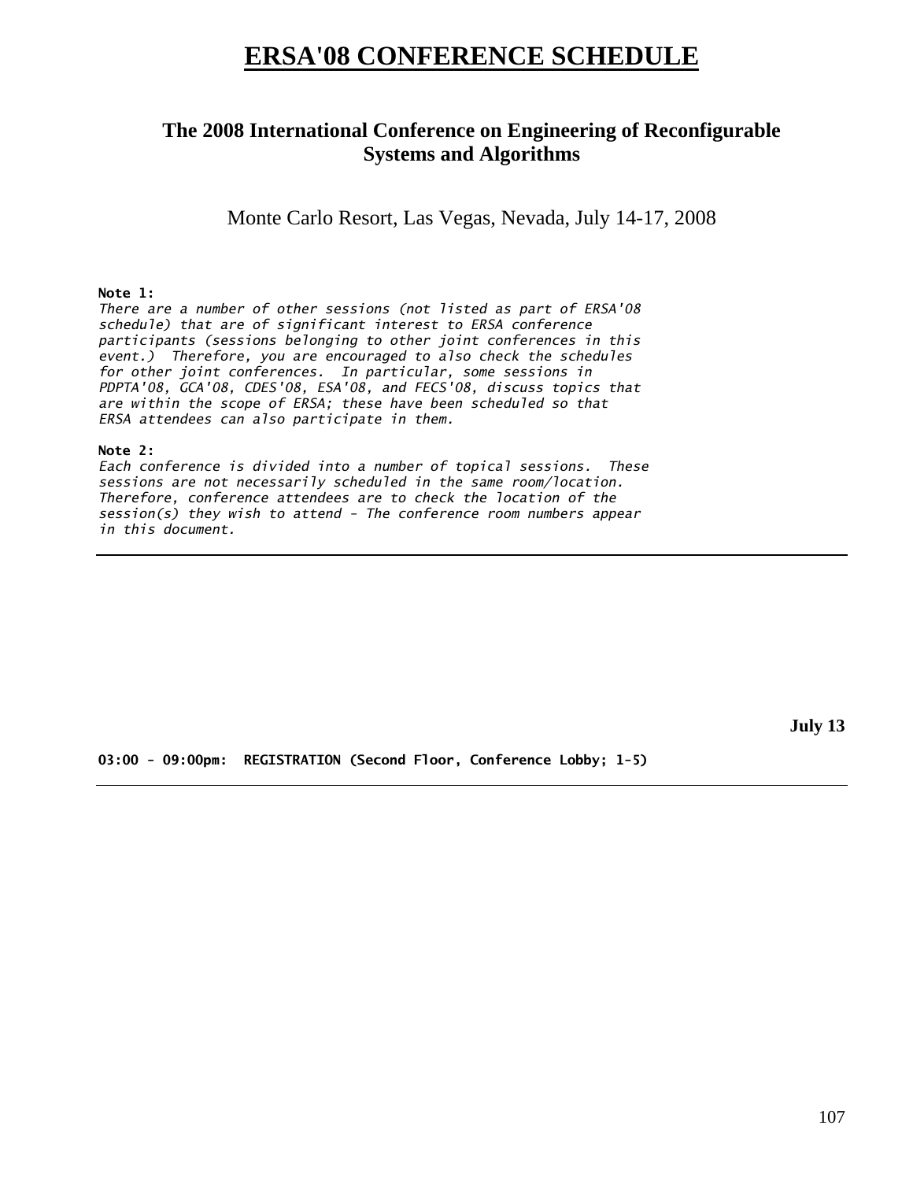## **ERSA'08 CONFERENCE SCHEDULE**

## **The 2008 International Conference on Engineering of Reconfigurable Systems and Algorithms**

Monte Carlo Resort, Las Vegas, Nevada, July 14-17, 2008

#### **Note 1:**

*There are a number of other sessions (not listed as part of ERSA'08 schedule) that are of significant interest to ERSA conference participants (sessions belonging to other joint conferences in this event.) Therefore, you are encouraged to also check the schedules for other joint conferences. In particular, some sessions in PDPTA'08, GCA'08, CDES'08, ESA'08, and FECS'08, discuss topics that are within the scope of ERSA; these have been scheduled so that ERSA attendees can also participate in them.* 

#### **Note 2:**

*Each conference is divided into a number of topical sessions. These sessions are not necessarily scheduled in the same room/location. Therefore, conference attendees are to check the location of the session(s) they wish to attend - The conference room numbers appear in this document.* 

**July 13** 

**03:00 - 09:00pm: REGISTRATION (Second Floor, Conference Lobby; 1-5)**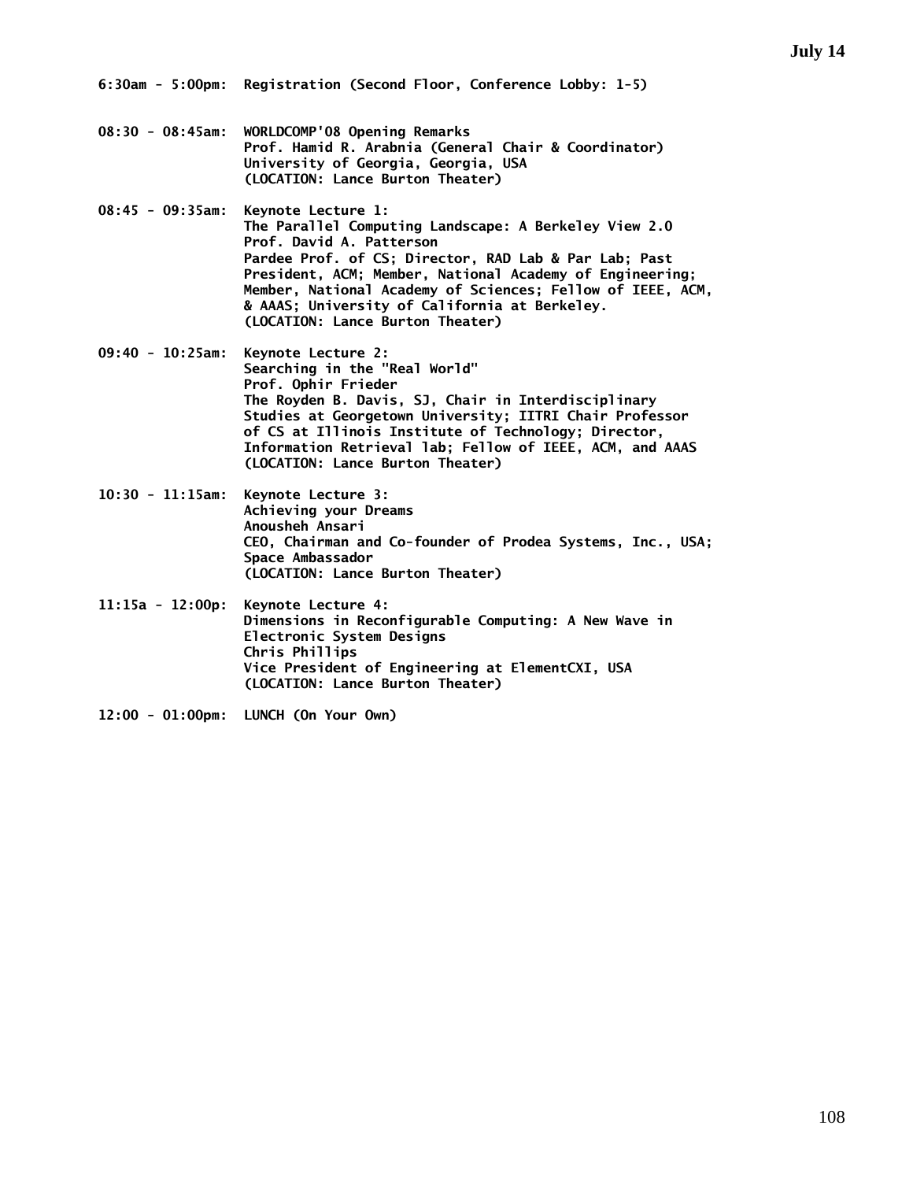- **08:30 08:45am: WORLDCOMP'08 Opening Remarks Prof. Hamid R. Arabnia (General Chair & Coordinator) University of Georgia, Georgia, USA (LOCATION: Lance Burton Theater)**
- **08:45 09:35am: Keynote Lecture 1: The Parallel Computing Landscape: A Berkeley View 2.0 Prof. David A. Patterson Pardee Prof. of CS; Director, RAD Lab & Par Lab; Past President, ACM; Member, National Academy of Engineering; Member, National Academy of Sciences; Fellow of IEEE, ACM, & AAAS; University of California at Berkeley. (LOCATION: Lance Burton Theater)**
- **09:40 10:25am: Keynote Lecture 2: Searching in the "Real World" Prof. Ophir Frieder The Royden B. Davis, SJ, Chair in Interdisciplinary Studies at Georgetown University; IITRI Chair Professor of CS at Illinois Institute of Technology; Director, Information Retrieval lab; Fellow of IEEE, ACM, and AAAS (LOCATION: Lance Burton Theater)**
- **10:30 11:15am: Keynote Lecture 3: Achieving your Dreams Anousheh Ansari CEO, Chairman and Co-founder of Prodea Systems, Inc., USA; Space Ambassador (LOCATION: Lance Burton Theater)**
- **11:15a 12:00p: Keynote Lecture 4: Dimensions in Reconfigurable Computing: A New Wave in Electronic System Designs Chris Phillips Vice President of Engineering at ElementCXI, USA (LOCATION: Lance Burton Theater)**
- **12:00 01:00pm: LUNCH (On Your Own)**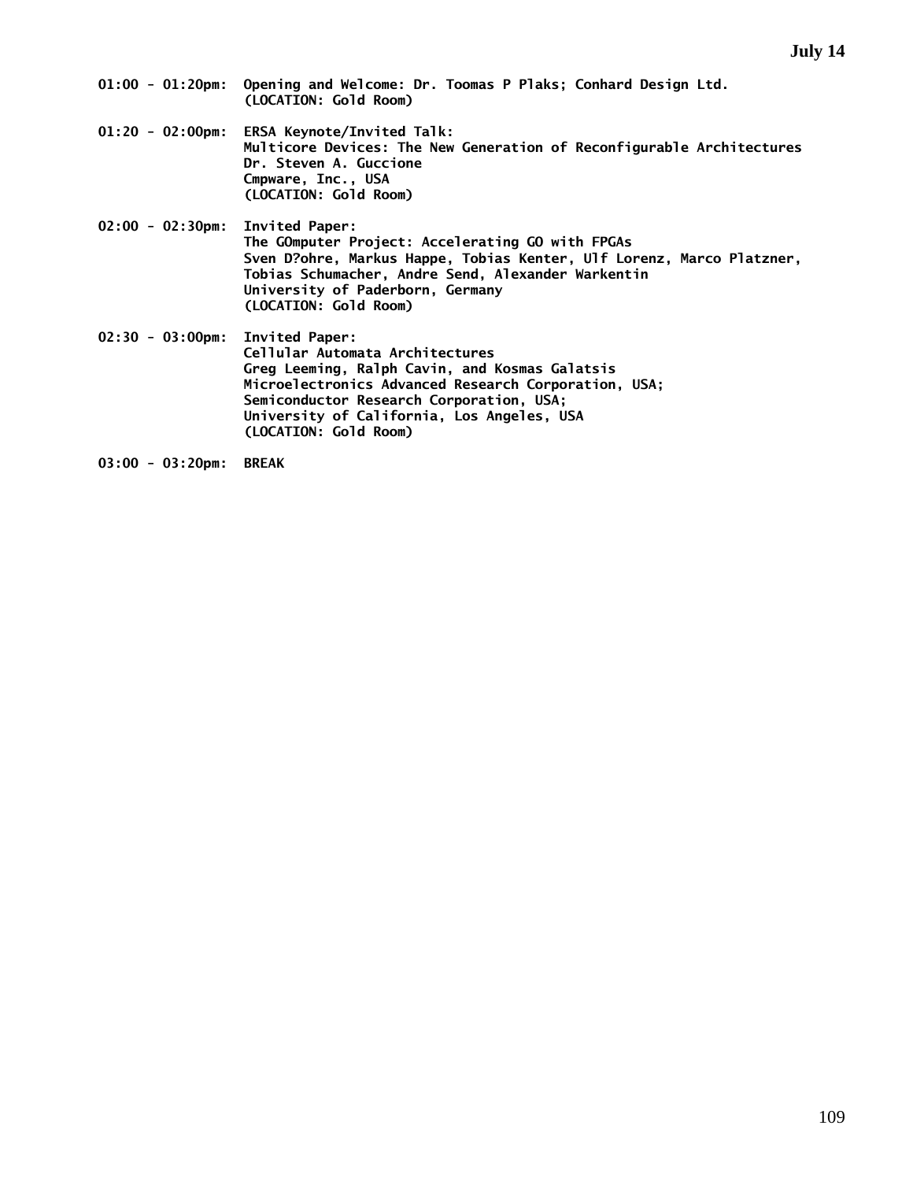- **01:00 01:20pm: Opening and Welcome: Dr. Toomas P Plaks; Conhard Design Ltd. (LOCATION: Gold Room)**
- **01:20 02:00pm: ERSA Keynote/Invited Talk: Multicore Devices: The New Generation of Reconfigurable Architectures Dr. Steven A. Guccione Cmpware, Inc., USA (LOCATION: Gold Room)**
- **02:00 02:30pm: Invited Paper: The GOmputer Project: Accelerating GO with FPGAs Sven D?ohre, Markus Happe, Tobias Kenter, Ulf Lorenz, Marco Platzner, Tobias Schumacher, Andre Send, Alexander Warkentin University of Paderborn, Germany (LOCATION: Gold Room)**

**02:30 - 03:00pm: Invited Paper: Cellular Automata Architectures Greg Leeming, Ralph Cavin, and Kosmas Galatsis Microelectronics Advanced Research Corporation, USA; Semiconductor Research Corporation, USA; University of California, Los Angeles, USA (LOCATION: Gold Room)** 

**03:00 - 03:20pm: BREAK**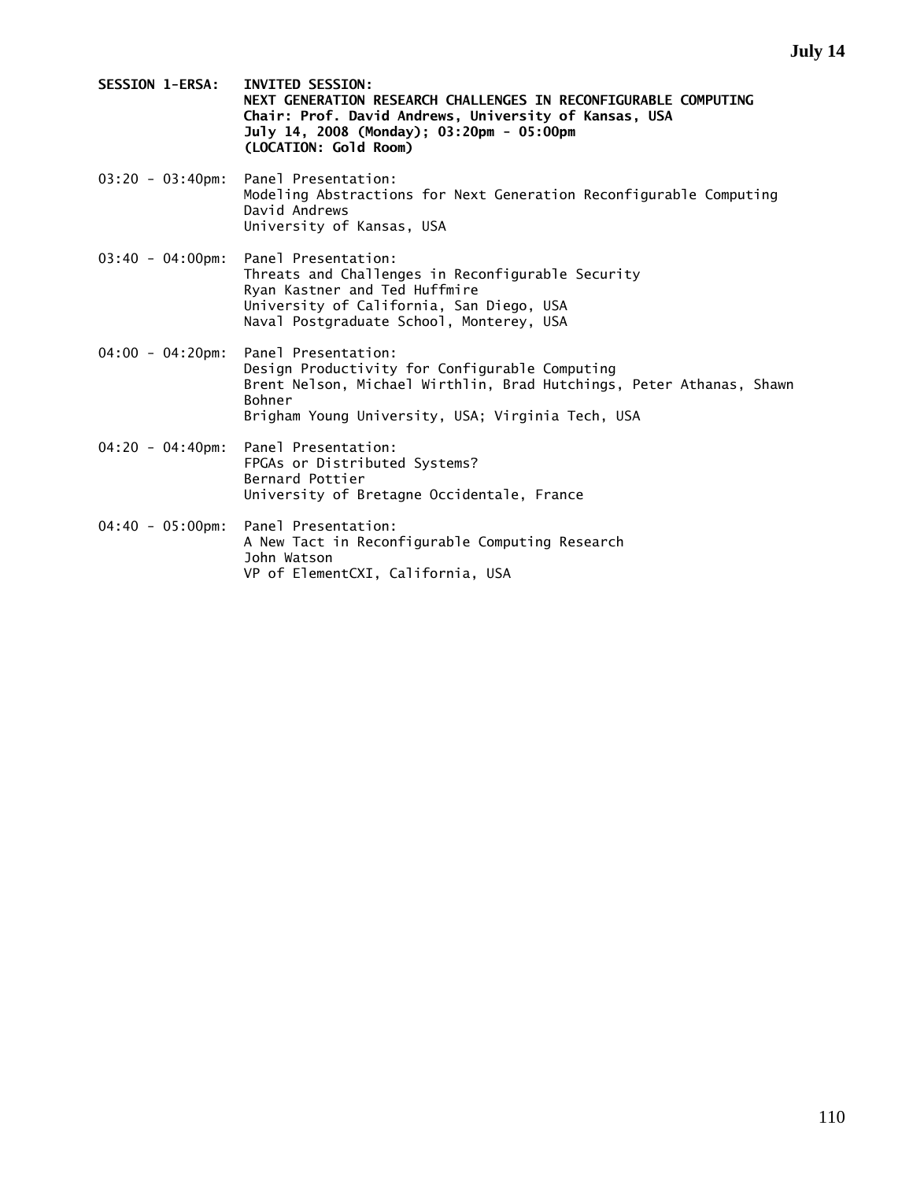- **SESSION 1-ERSA: INVITED SESSION: NEXT GENERATION RESEARCH CHALLENGES IN RECONFIGURABLE COMPUTING Chair: Prof. David Andrews, University of Kansas, USA July 14, 2008 (Monday); 03:20pm - 05:00pm (LOCATION: Gold Room)**
- 03:20 03:40pm: Panel Presentation: Modeling Abstractions for Next Generation Reconfigurable Computing David Andrews University of Kansas, USA
- 03:40 04:00pm: Panel Presentation: Threats and Challenges in Reconfigurable Security Ryan Kastner and Ted Huffmire University of California, San Diego, USA Naval Postgraduate School, Monterey, USA
- 04:00 04:20pm: Panel Presentation: Design Productivity for Configurable Computing Brent Nelson, Michael Wirthlin, Brad Hutchings, Peter Athanas, Shawn Bohner Brigham Young University, USA; Virginia Tech, USA
- 04:20 04:40pm: Panel Presentation: FPGAs or Distributed Systems? Bernard Pottier University of Bretagne Occidentale, France
- 04:40 05:00pm: Panel Presentation: A New Tact in Reconfigurable Computing Research John Watson VP of ElementCXI, California, USA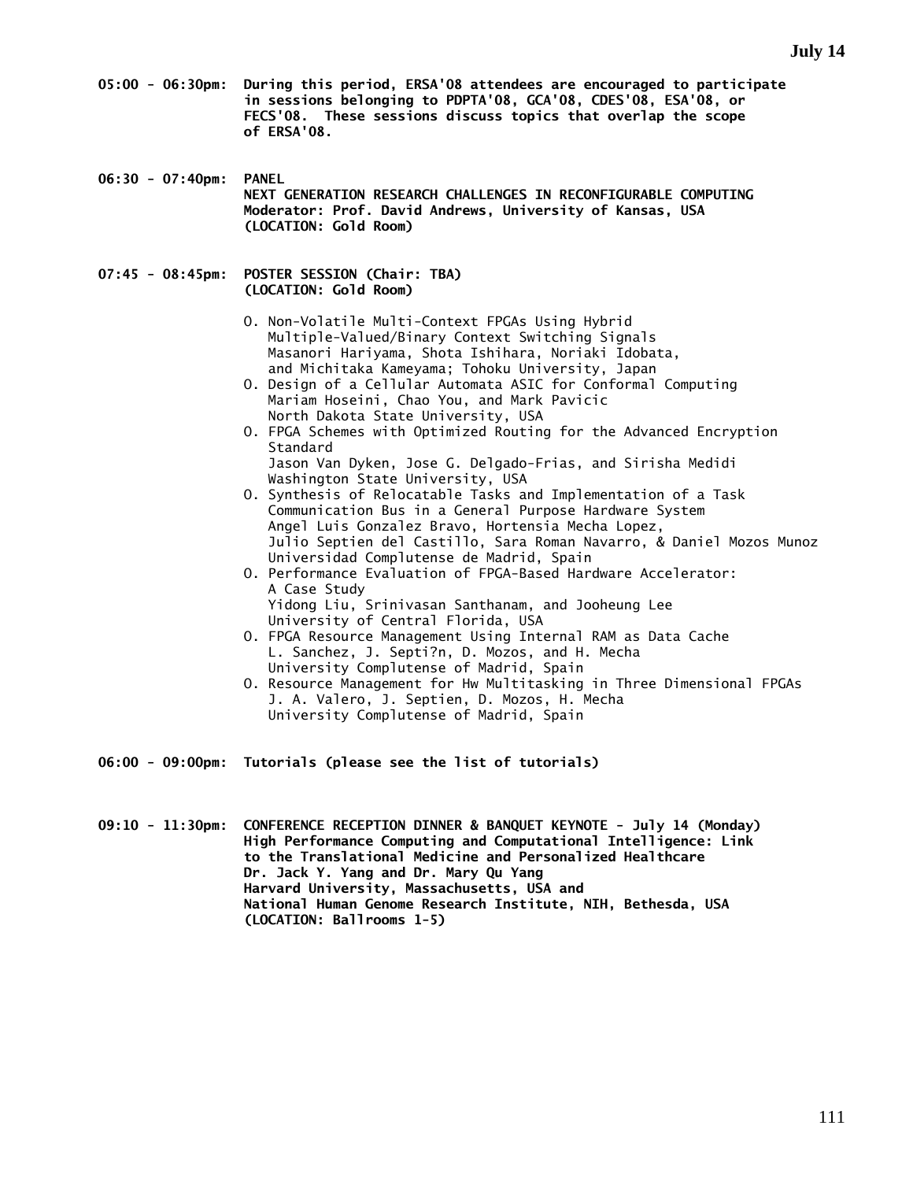- **05:00 06:30pm: During this period, ERSA'08 attendees are encouraged to participate in sessions belonging to PDPTA'08, GCA'08, CDES'08, ESA'08, or FECS'08. These sessions discuss topics that overlap the scope of ERSA'08.**
- **06:30 07:40pm: PANEL NEXT GENERATION RESEARCH CHALLENGES IN RECONFIGURABLE COMPUTING Moderator: Prof. David Andrews, University of Kansas, USA (LOCATION: Gold Room)**
- **07:45 08:45pm: POSTER SESSION (Chair: TBA) (LOCATION: Gold Room)** 
	- O. Non-Volatile Multi-Context FPGAs Using Hybrid Multiple-Valued/Binary Context Switching Signals Masanori Hariyama, Shota Ishihara, Noriaki Idobata, and Michitaka Kameyama; Tohoku University, Japan
	- O. Design of a Cellular Automata ASIC for Conformal Computing Mariam Hoseini, Chao You, and Mark Pavicic North Dakota State University, USA
	- O. FPGA Schemes with Optimized Routing for the Advanced Encryption Standard Jason Van Dyken, Jose G. Delgado-Frias, and Sirisha Medidi Washington State University, USA
	- O. Synthesis of Relocatable Tasks and Implementation of a Task Communication Bus in a General Purpose Hardware System Angel Luis Gonzalez Bravo, Hortensia Mecha Lopez, Julio Septien del Castillo, Sara Roman Navarro, & Daniel Mozos Munoz Universidad Complutense de Madrid, Spain
	- O. Performance Evaluation of FPGA-Based Hardware Accelerator: A Case Study Yidong Liu, Srinivasan Santhanam, and Jooheung Lee University of Central Florida, USA
	- O. FPGA Resource Management Using Internal RAM as Data Cache L. Sanchez, J. Septi?n, D. Mozos, and H. Mecha University Complutense of Madrid, Spain
	- O. Resource Management for Hw Multitasking in Three Dimensional FPGAs J. A. Valero, J. Septien, D. Mozos, H. Mecha University Complutense of Madrid, Spain
- **06:00 09:00pm: Tutorials (please see the list of tutorials)**
- **09:10 11:30pm: CONFERENCE RECEPTION DINNER & BANQUET KEYNOTE July 14 (Monday) High Performance Computing and Computational Intelligence: Link to the Translational Medicine and Personalized Healthcare Dr. Jack Y. Yang and Dr. Mary Qu Yang Harvard University, Massachusetts, USA and National Human Genome Research Institute, NIH, Bethesda, USA (LOCATION: Ballrooms 1-5)**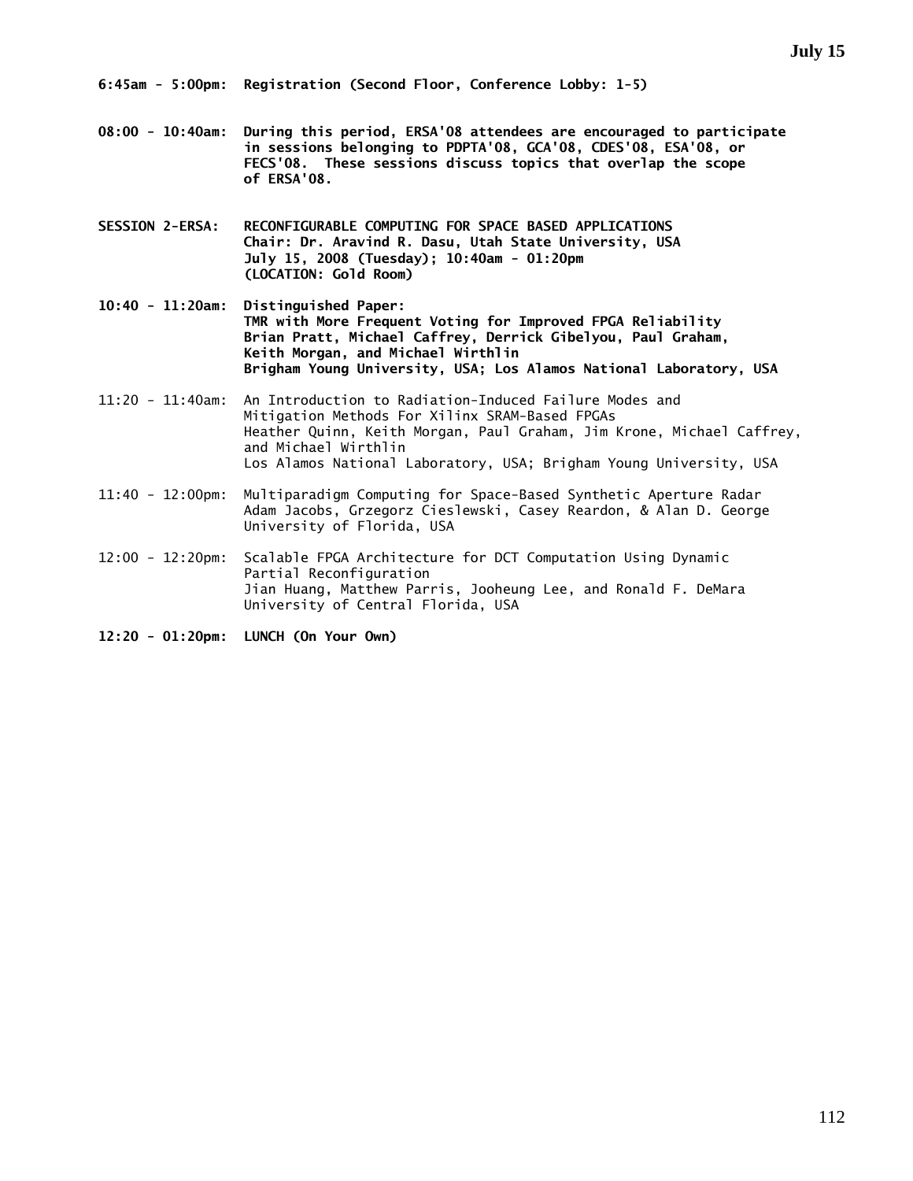**08:00 - 10:40am: During this period, ERSA'08 attendees are encouraged to participate in sessions belonging to PDPTA'08, GCA'08, CDES'08, ESA'08, or FECS'08. These sessions discuss topics that overlap the scope of ERSA'08.** 

**SESSION 2-ERSA: RECONFIGURABLE COMPUTING FOR SPACE BASED APPLICATIONS Chair: Dr. Aravind R. Dasu, Utah State University, USA July 15, 2008 (Tuesday); 10:40am - 01:20pm (LOCATION: Gold Room)** 

**10:40 - 11:20am: Distinguished Paper: TMR with More Frequent Voting for Improved FPGA Reliability Brian Pratt, Michael Caffrey, Derrick Gibelyou, Paul Graham, Keith Morgan, and Michael Wirthlin Brigham Young University, USA; Los Alamos National Laboratory, USA** 

- 11:20 11:40am: An Introduction to Radiation-Induced Failure Modes and Mitigation Methods For Xilinx SRAM-Based FPGAs Heather Quinn, Keith Morgan, Paul Graham, Jim Krone, Michael Caffrey, and Michael Wirthlin Los Alamos National Laboratory, USA; Brigham Young University, USA
- 11:40 12:00pm: Multiparadigm Computing for Space-Based Synthetic Aperture Radar Adam Jacobs, Grzegorz Cieslewski, Casey Reardon, & Alan D. George University of Florida, USA
- 12:00 12:20pm: Scalable FPGA Architecture for DCT Computation Using Dynamic Partial Reconfiguration Jian Huang, Matthew Parris, Jooheung Lee, and Ronald F. DeMara University of Central Florida, USA
- **12:20 01:20pm: LUNCH (On Your Own)**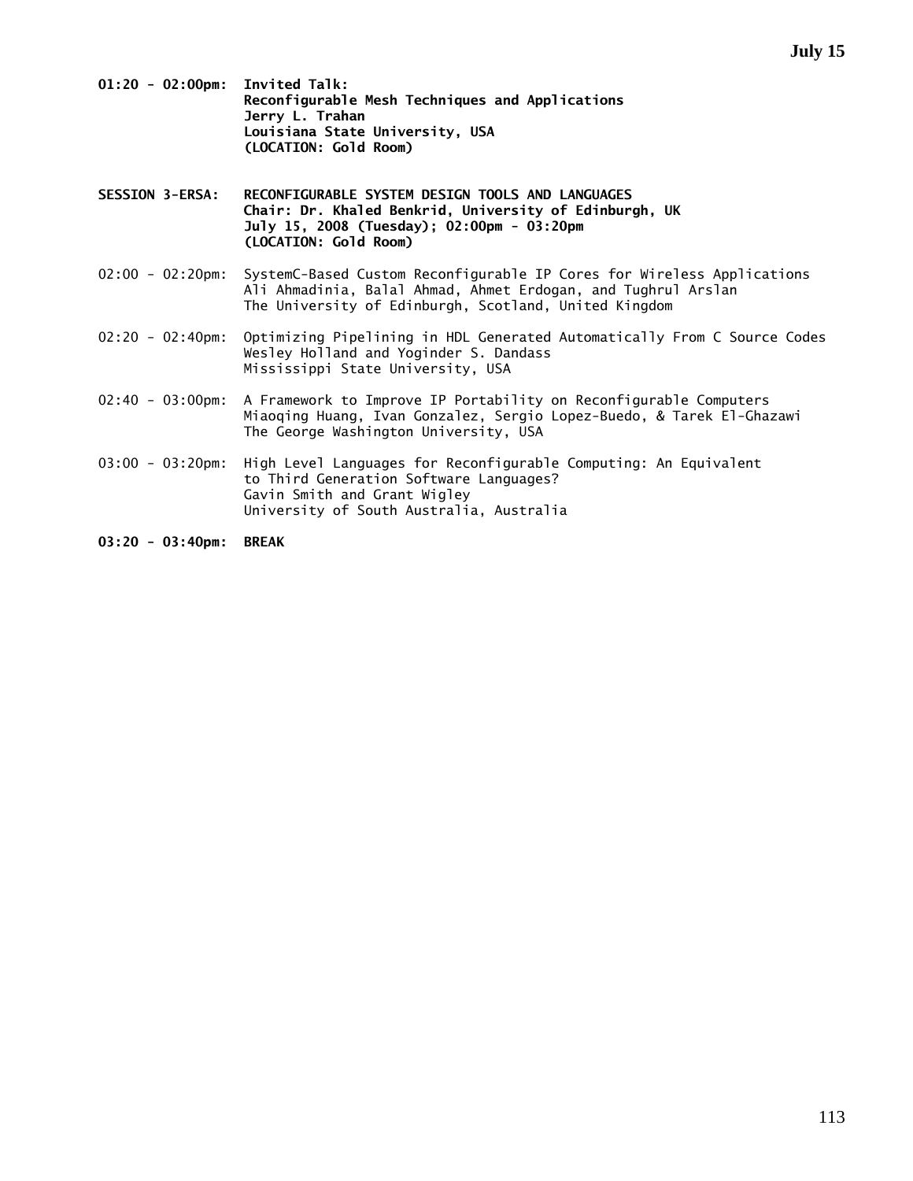- **01:20 02:00pm: Invited Talk: Reconfigurable Mesh Techniques and Applications Jerry L. Trahan Louisiana State University, USA (LOCATION: Gold Room)**
- **SESSION 3-ERSA: RECONFIGURABLE SYSTEM DESIGN TOOLS AND LANGUAGES Chair: Dr. Khaled Benkrid, University of Edinburgh, UK July 15, 2008 (Tuesday); 02:00pm - 03:20pm (LOCATION: Gold Room)**
- 02:00 02:20pm: SystemC-Based Custom Reconfigurable IP Cores for Wireless Applications Ali Ahmadinia, Balal Ahmad, Ahmet Erdogan, and Tughrul Arslan The University of Edinburgh, Scotland, United Kingdom
- 02:20 02:40pm: Optimizing Pipelining in HDL Generated Automatically From C Source Codes Wesley Holland and Yoginder S. Dandass Mississippi State University, USA
- 02:40 03:00pm: A Framework to Improve IP Portability on Reconfigurable Computers Miaoqing Huang, Ivan Gonzalez, Sergio Lopez-Buedo, & Tarek El-Ghazawi The George Washington University, USA
- 03:00 03:20pm: High Level Languages for Reconfigurable Computing: An Equivalent to Third Generation Software Languages? Gavin Smith and Grant Wigley University of South Australia, Australia

**03:20 - 03:40pm: BREAK**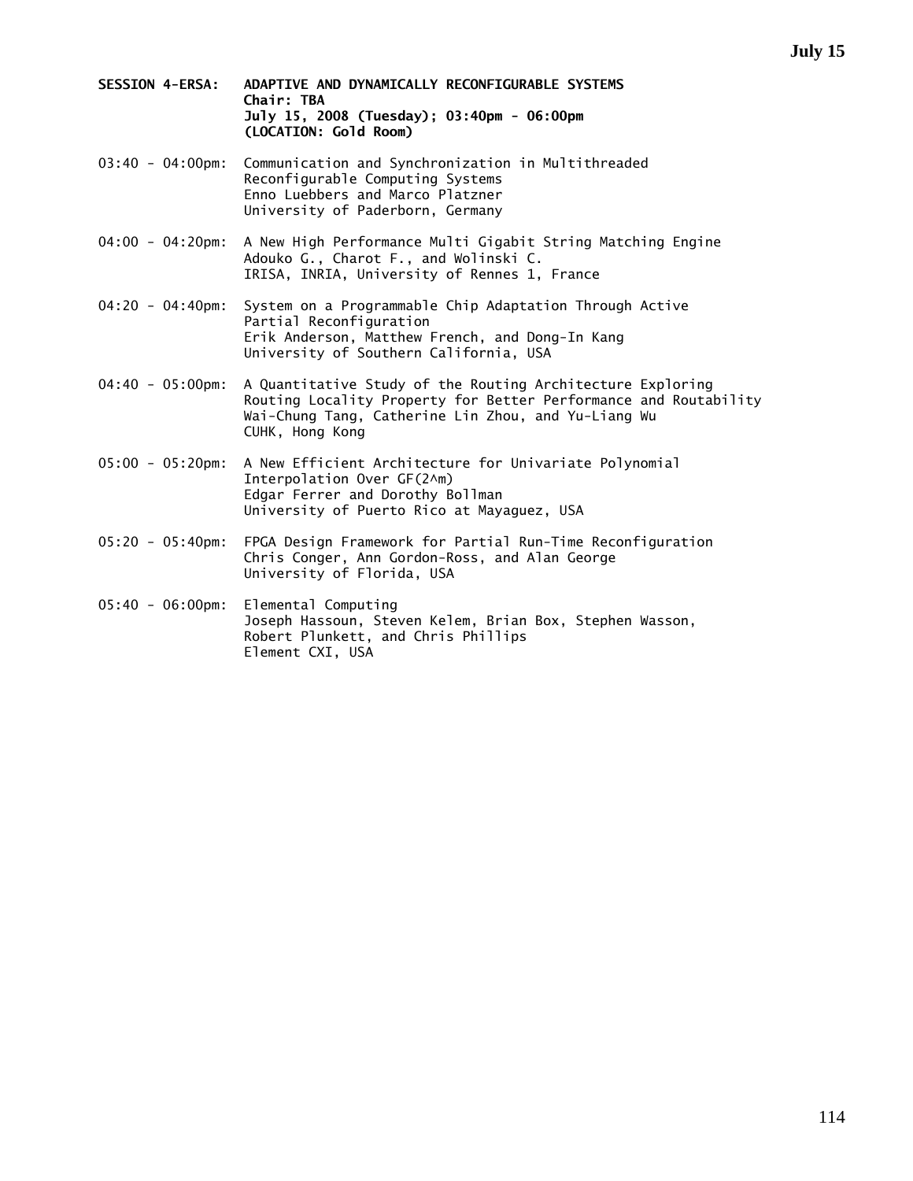- **SESSION 4-ERSA: ADAPTIVE AND DYNAMICALLY RECONFIGURABLE SYSTEMS Chair: TBA July 15, 2008 (Tuesday); 03:40pm - 06:00pm (LOCATION: Gold Room)**
- 03:40 04:00pm: Communication and Synchronization in Multithreaded Reconfigurable Computing Systems Enno Luebbers and Marco Platzner University of Paderborn, Germany
- 04:00 04:20pm: A New High Performance Multi Gigabit String Matching Engine Adouko G., Charot F., and Wolinski C. IRISA, INRIA, University of Rennes 1, France
- 04:20 04:40pm: System on a Programmable Chip Adaptation Through Active Partial Reconfiguration Erik Anderson, Matthew French, and Dong-In Kang University of Southern California, USA
- 04:40 05:00pm: A Quantitative Study of the Routing Architecture Exploring Routing Locality Property for Better Performance and Routability Wai-Chung Tang, Catherine Lin Zhou, and Yu-Liang Wu CUHK, Hong Kong
- 05:00 05:20pm: A New Efficient Architecture for Univariate Polynomial Interpolation Over GF(2^m) Edgar Ferrer and Dorothy Bollman University of Puerto Rico at Mayaguez, USA
- 05:20 05:40pm: FPGA Design Framework for Partial Run-Time Reconfiguration Chris Conger, Ann Gordon-Ross, and Alan George University of Florida, USA
- 05:40 06:00pm: Elemental Computing Joseph Hassoun, Steven Kelem, Brian Box, Stephen Wasson, Robert Plunkett, and Chris Phillips Element CXI, USA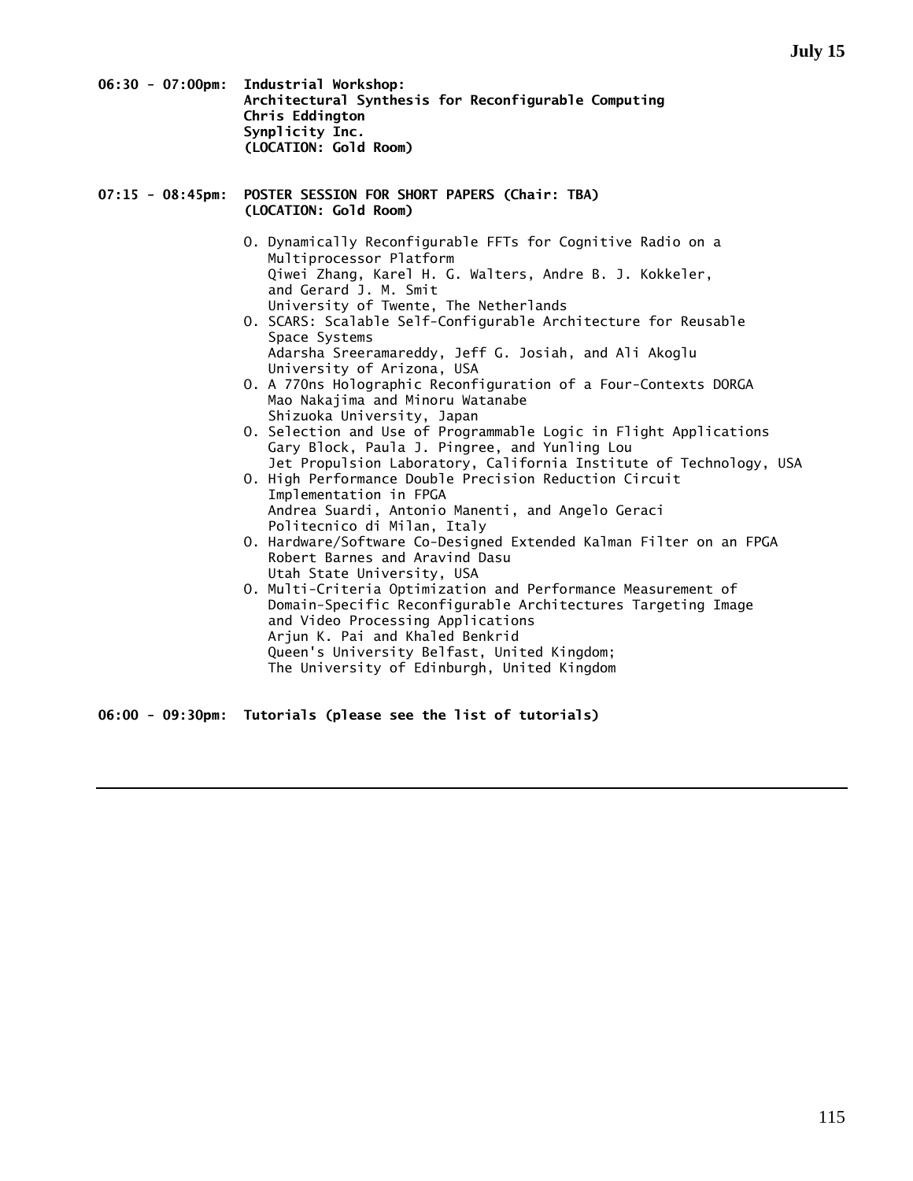**06:30 - 07:00pm: Industrial Workshop: Architectural Synthesis for Reconfigurable Computing Chris Eddington Synplicity Inc. (LOCATION: Gold Room)** 

# **07:15 - 08:45pm: POSTER SESSION FOR SHORT PAPERS (Chair: TBA) (LOCATION: Gold Room)**

- O. Dynamically Reconfigurable FFTs for Cognitive Radio on a Multiprocessor Platform Qiwei Zhang, Karel H. G. Walters, Andre B. J. Kokkeler, and Gerard J. M. Smit University of Twente, The Netherlands
- O. SCARS: Scalable Self-Configurable Architecture for Reusable Space Systems Adarsha Sreeramareddy, Jeff G. Josiah, and Ali Akoglu
- University of Arizona, USA O. A 770ns Holographic Reconfiguration of a Four-Contexts DORGA Mao Nakajima and Minoru Watanabe Shizuoka University, Japan
- O. Selection and Use of Programmable Logic in Flight Applications Gary Block, Paula J. Pingree, and Yunling Lou Jet Propulsion Laboratory, California Institute of Technology, USA
- O. High Performance Double Precision Reduction Circuit Implementation in FPGA Andrea Suardi, Antonio Manenti, and Angelo Geraci Politecnico di Milan, Italy
	- O. Hardware/Software Co-Designed Extended Kalman Filter on an FPGA Robert Barnes and Aravind Dasu Utah State University, USA
	- O. Multi-Criteria Optimization and Performance Measurement of Domain-Specific Reconfigurable Architectures Targeting Image and Video Processing Applications Arjun K. Pai and Khaled Benkrid Queen's University Belfast, United Kingdom; The University of Edinburgh, United Kingdom

**06:00 - 09:30pm: Tutorials (please see the list of tutorials)**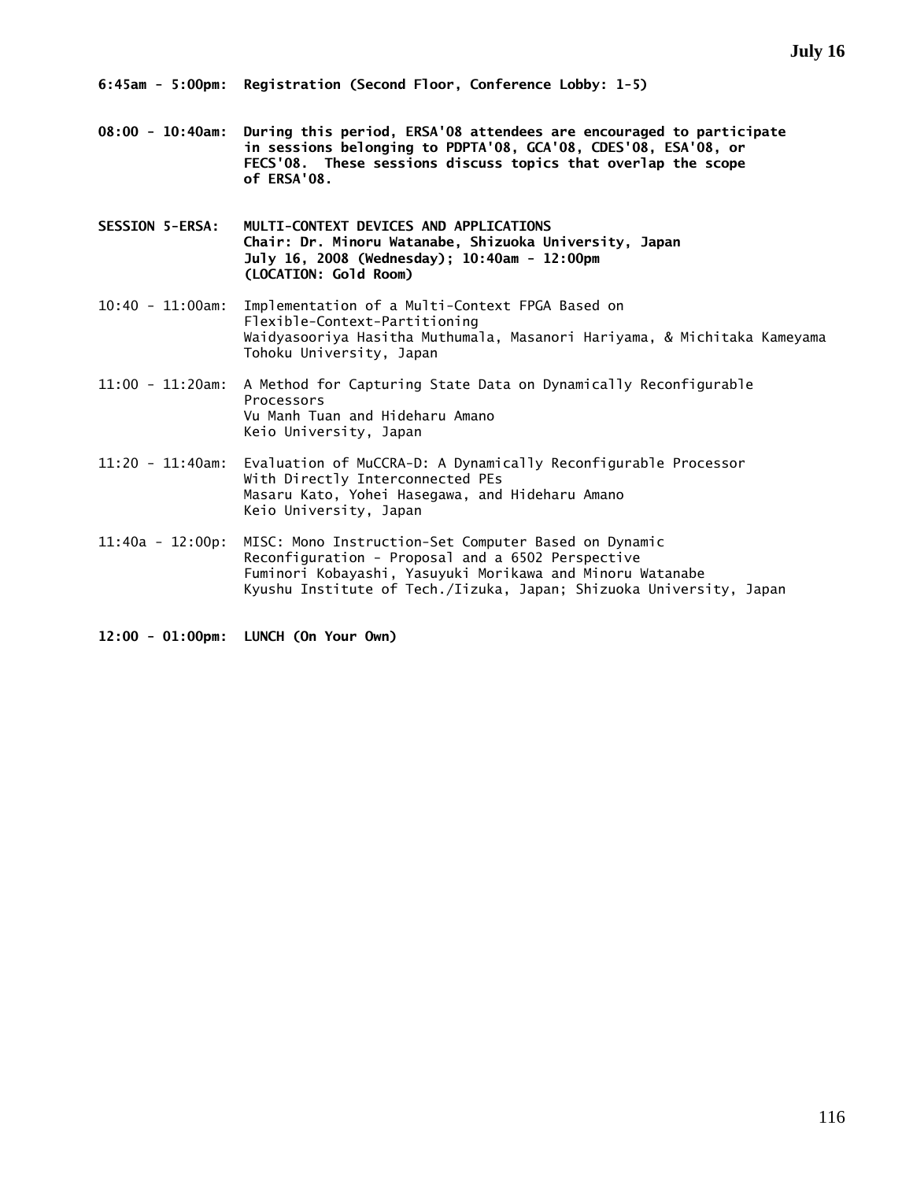**08:00 - 10:40am: During this period, ERSA'08 attendees are encouraged to participate in sessions belonging to PDPTA'08, GCA'08, CDES'08, ESA'08, or FECS'08. These sessions discuss topics that overlap the scope of ERSA'08.** 

**SESSION 5-ERSA: MULTI-CONTEXT DEVICES AND APPLICATIONS Chair: Dr. Minoru Watanabe, Shizuoka University, Japan July 16, 2008 (Wednesday); 10:40am - 12:00pm (LOCATION: Gold Room)** 

- 10:40 11:00am: Implementation of a Multi-Context FPGA Based on Flexible-Context-Partitioning Waidyasooriya Hasitha Muthumala, Masanori Hariyama, & Michitaka Kameyama Tohoku University, Japan
- 11:00 11:20am: A Method for Capturing State Data on Dynamically Reconfigurable Processors Vu Manh Tuan and Hideharu Amano Keio University, Japan
- 11:20 11:40am: Evaluation of MuCCRA-D: A Dynamically Reconfigurable Processor With Directly Interconnected PEs Masaru Kato, Yohei Hasegawa, and Hideharu Amano Keio University, Japan
- 11:40a 12:00p: MISC: Mono Instruction-Set Computer Based on Dynamic Reconfiguration - Proposal and a 6502 Perspective Fuminori Kobayashi, Yasuyuki Morikawa and Minoru Watanabe Kyushu Institute of Tech./Iizuka, Japan; Shizuoka University, Japan

**12:00 - 01:00pm: LUNCH (On Your Own)**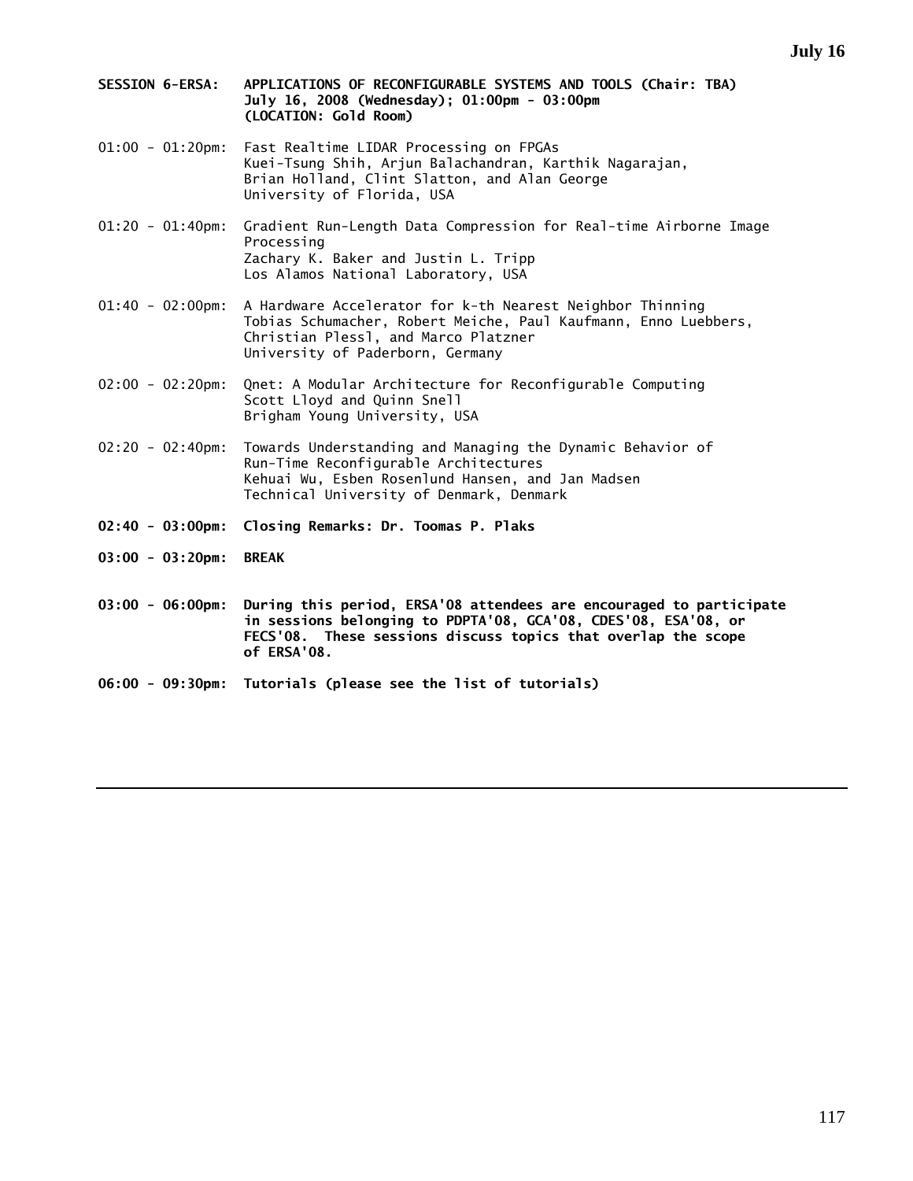- **SESSION 6-ERSA: APPLICATIONS OF RECONFIGURABLE SYSTEMS AND TOOLS (Chair: TBA) July 16, 2008 (Wednesday); 01:00pm - 03:00pm (LOCATION: Gold Room)**
- 01:00 01:20pm: Fast Realtime LIDAR Processing on FPGAs Kuei-Tsung Shih, Arjun Balachandran, Karthik Nagarajan, Brian Holland, Clint Slatton, and Alan George University of Florida, USA
- 01:20 01:40pm: Gradient Run-Length Data Compression for Real-time Airborne Image Processing Zachary K. Baker and Justin L. Tripp Los Alamos National Laboratory, USA
- 01:40 02:00pm: A Hardware Accelerator for k-th Nearest Neighbor Thinning Tobias Schumacher, Robert Meiche, Paul Kaufmann, Enno Luebbers, Christian Plessl, and Marco Platzner University of Paderborn, Germany
- 02:00 02:20pm: Qnet: A Modular Architecture for Reconfigurable Computing Scott Lloyd and Quinn Snell Brigham Young University, USA
- 02:20 02:40pm: Towards Understanding and Managing the Dynamic Behavior of Run-Time Reconfigurable Architectures Kehuai Wu, Esben Rosenlund Hansen, and Jan Madsen Technical University of Denmark, Denmark
- **02:40 03:00pm: Closing Remarks: Dr. Toomas P. Plaks**
- **03:00 03:20pm: BREAK**
- **03:00 06:00pm: During this period, ERSA'08 attendees are encouraged to participate in sessions belonging to PDPTA'08, GCA'08, CDES'08, ESA'08, or FECS'08. These sessions discuss topics that overlap the scope of ERSA'08.**
- **06:00 09:30pm: Tutorials (please see the list of tutorials)**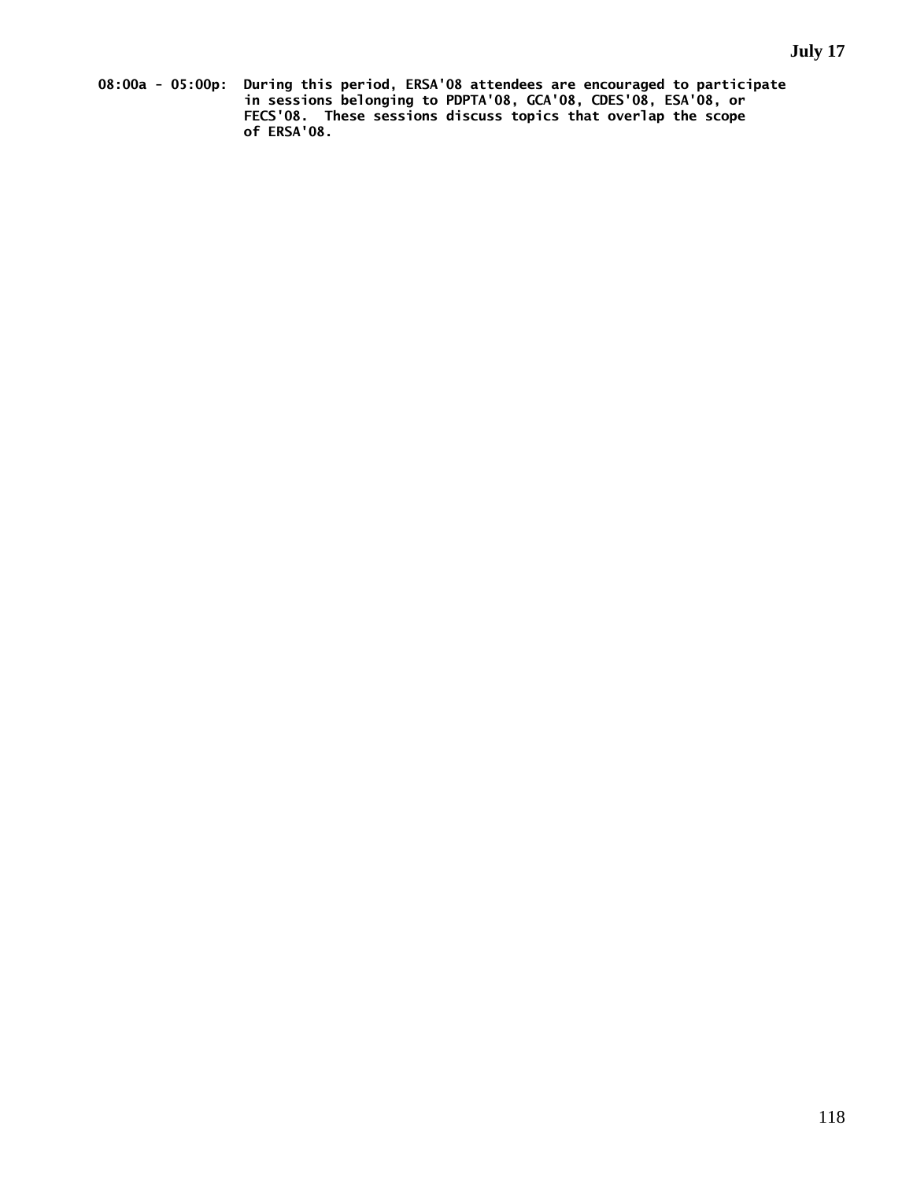**08:00a - 05:00p: During this period, ERSA'08 attendees are encouraged to participate in sessions belonging to PDPTA'08, GCA'08, CDES'08, ESA'08, or FECS'08. These sessions discuss topics that overlap the scope of ERSA'08.**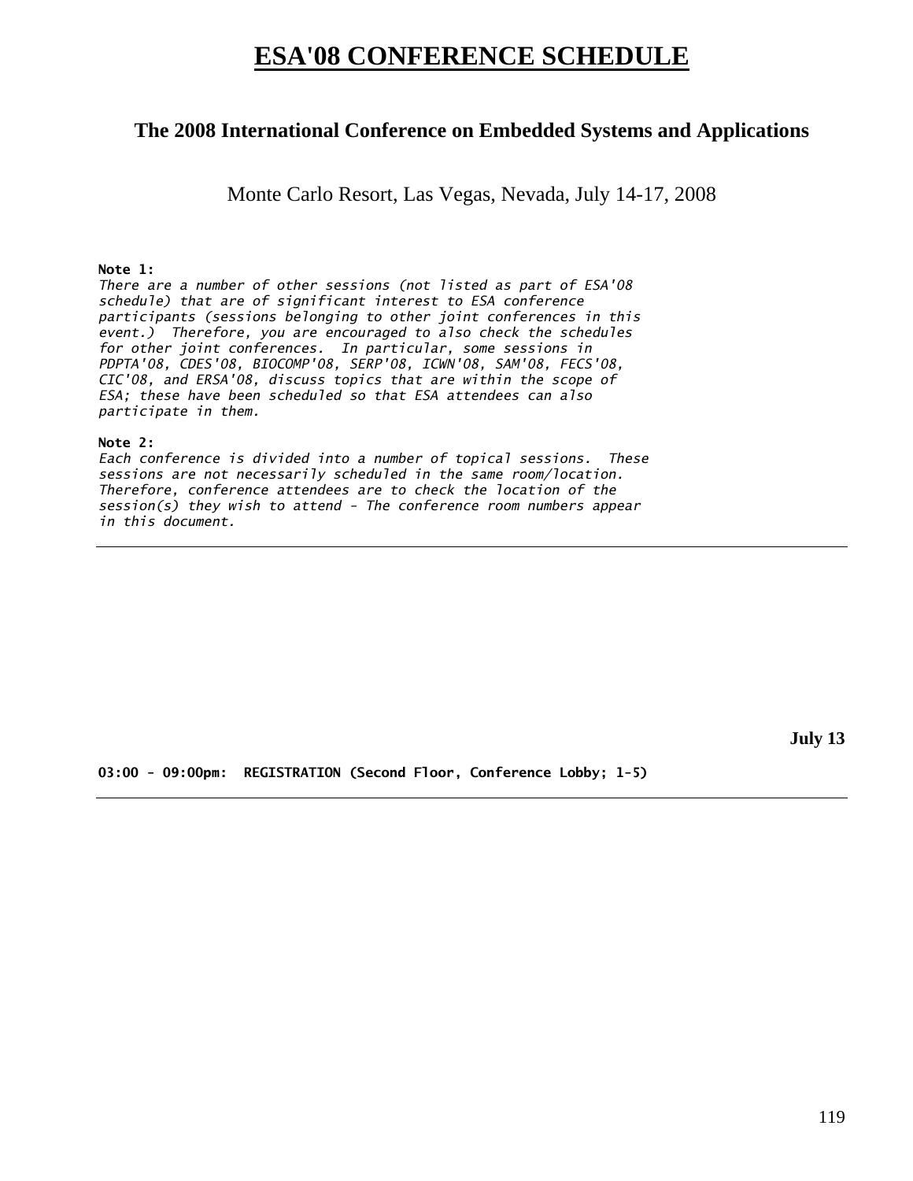# **ESA'08 CONFERENCE SCHEDULE**

# **The 2008 International Conference on Embedded Systems and Applications**

Monte Carlo Resort, Las Vegas, Nevada, July 14-17, 2008

# **Note 1:**

*There are a number of other sessions (not listed as part of ESA'08 schedule) that are of significant interest to ESA conference participants (sessions belonging to other joint conferences in this event.) Therefore, you are encouraged to also check the schedules for other joint conferences. In particular, some sessions in PDPTA'08, CDES'08, BIOCOMP'08, SERP'08, ICWN'08, SAM'08, FECS'08, CIC'08, and ERSA'08, discuss topics that are within the scope of ESA; these have been scheduled so that ESA attendees can also participate in them.* 

## **Note 2:**

*Each conference is divided into a number of topical sessions. These sessions are not necessarily scheduled in the same room/location. Therefore, conference attendees are to check the location of the session(s) they wish to attend - The conference room numbers appear in this document.* 

**July 13** 

**03:00 - 09:00pm: REGISTRATION (Second Floor, Conference Lobby; 1-5)**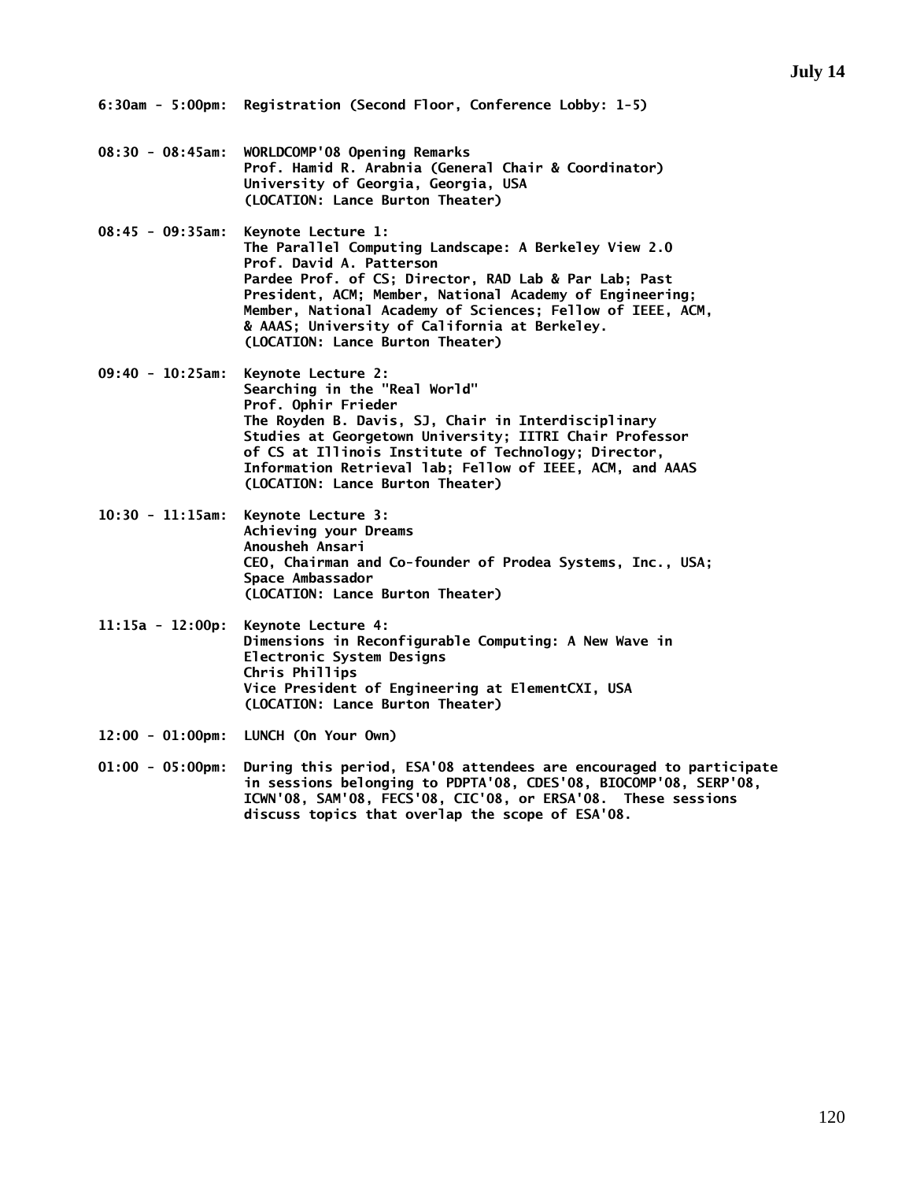- **08:30 08:45am: WORLDCOMP'08 Opening Remarks Prof. Hamid R. Arabnia (General Chair & Coordinator) University of Georgia, Georgia, USA (LOCATION: Lance Burton Theater)**
- **08:45 09:35am: Keynote Lecture 1: The Parallel Computing Landscape: A Berkeley View 2.0 Prof. David A. Patterson Pardee Prof. of CS; Director, RAD Lab & Par Lab; Past President, ACM; Member, National Academy of Engineering; Member, National Academy of Sciences; Fellow of IEEE, ACM, & AAAS; University of California at Berkeley. (LOCATION: Lance Burton Theater)**
- **09:40 10:25am: Keynote Lecture 2: Searching in the "Real World" Prof. Ophir Frieder The Royden B. Davis, SJ, Chair in Interdisciplinary Studies at Georgetown University; IITRI Chair Professor of CS at Illinois Institute of Technology; Director, Information Retrieval lab; Fellow of IEEE, ACM, and AAAS (LOCATION: Lance Burton Theater)**
- **10:30 11:15am: Keynote Lecture 3: Achieving your Dreams Anousheh Ansari CEO, Chairman and Co-founder of Prodea Systems, Inc., USA; Space Ambassador (LOCATION: Lance Burton Theater)**
- **11:15a 12:00p: Keynote Lecture 4: Dimensions in Reconfigurable Computing: A New Wave in Electronic System Designs Chris Phillips Vice President of Engineering at ElementCXI, USA (LOCATION: Lance Burton Theater)**
- **12:00 01:00pm: LUNCH (On Your Own)**
- **01:00 05:00pm: During this period, ESA'08 attendees are encouraged to participate in sessions belonging to PDPTA'08, CDES'08, BIOCOMP'08, SERP'08, ICWN'08, SAM'08, FECS'08, CIC'08, or ERSA'08. These sessions discuss topics that overlap the scope of ESA'08.**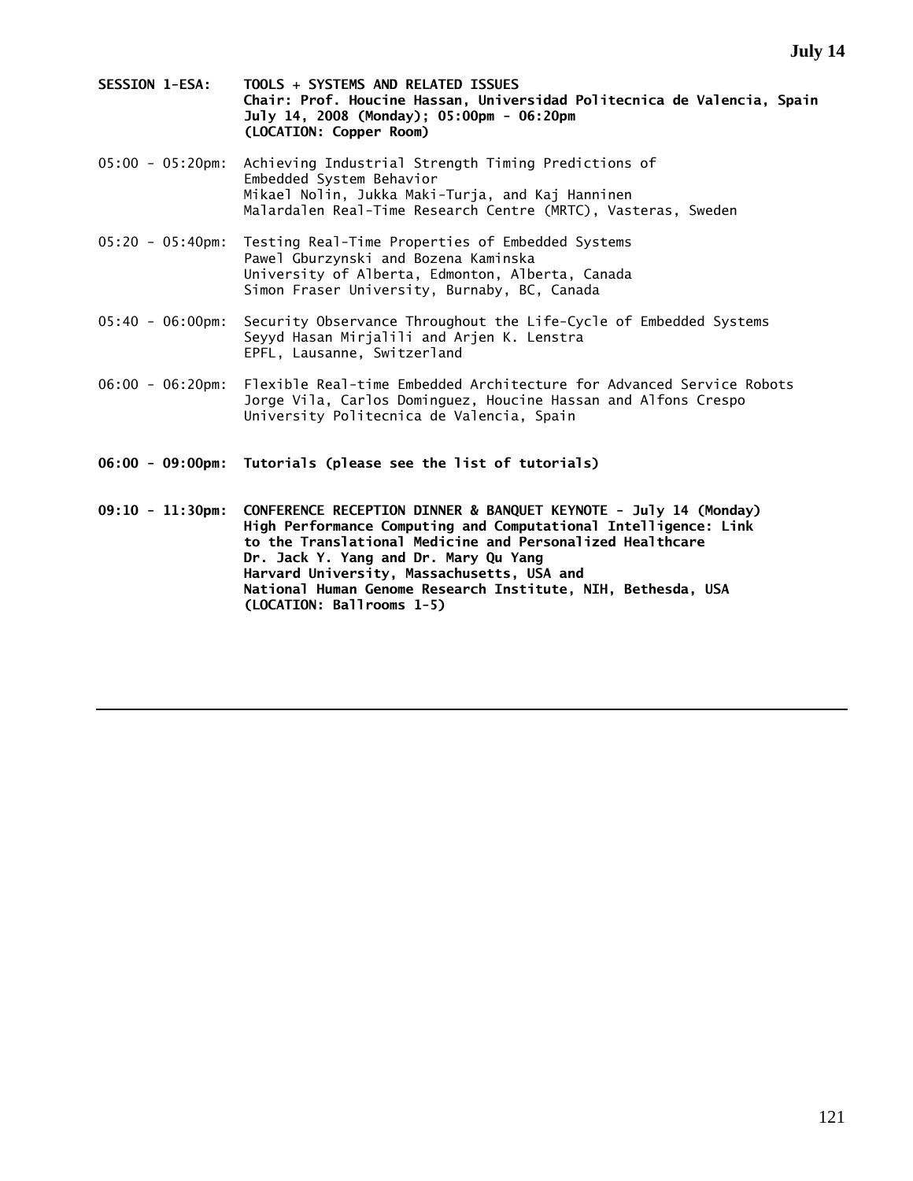- **SESSION 1-ESA: TOOLS + SYSTEMS AND RELATED ISSUES Chair: Prof. Houcine Hassan, Universidad Politecnica de Valencia, Spain July 14, 2008 (Monday); 05:00pm - 06:20pm (LOCATION: Copper Room)**
- 05:00 05:20pm: Achieving Industrial Strength Timing Predictions of Embedded System Behavior Mikael Nolin, Jukka Maki-Turja, and Kaj Hanninen Malardalen Real-Time Research Centre (MRTC), Vasteras, Sweden
- 05:20 05:40pm: Testing Real-Time Properties of Embedded Systems Pawel Gburzynski and Bozena Kaminska University of Alberta, Edmonton, Alberta, Canada Simon Fraser University, Burnaby, BC, Canada
- 05:40 06:00pm: Security Observance Throughout the Life-Cycle of Embedded Systems Seyyd Hasan Mirjalili and Arjen K. Lenstra EPFL, Lausanne, Switzerland
- 06:00 06:20pm: Flexible Real-time Embedded Architecture for Advanced Service Robots Jorge Vila, Carlos Dominguez, Houcine Hassan and Alfons Crespo University Politecnica de Valencia, Spain
- **06:00 09:00pm: Tutorials (please see the list of tutorials)**

**09:10 - 11:30pm: CONFERENCE RECEPTION DINNER & BANQUET KEYNOTE - July 14 (Monday) High Performance Computing and Computational Intelligence: Link to the Translational Medicine and Personalized Healthcare Dr. Jack Y. Yang and Dr. Mary Qu Yang Harvard University, Massachusetts, USA and National Human Genome Research Institute, NIH, Bethesda, USA (LOCATION: Ballrooms 1-5)**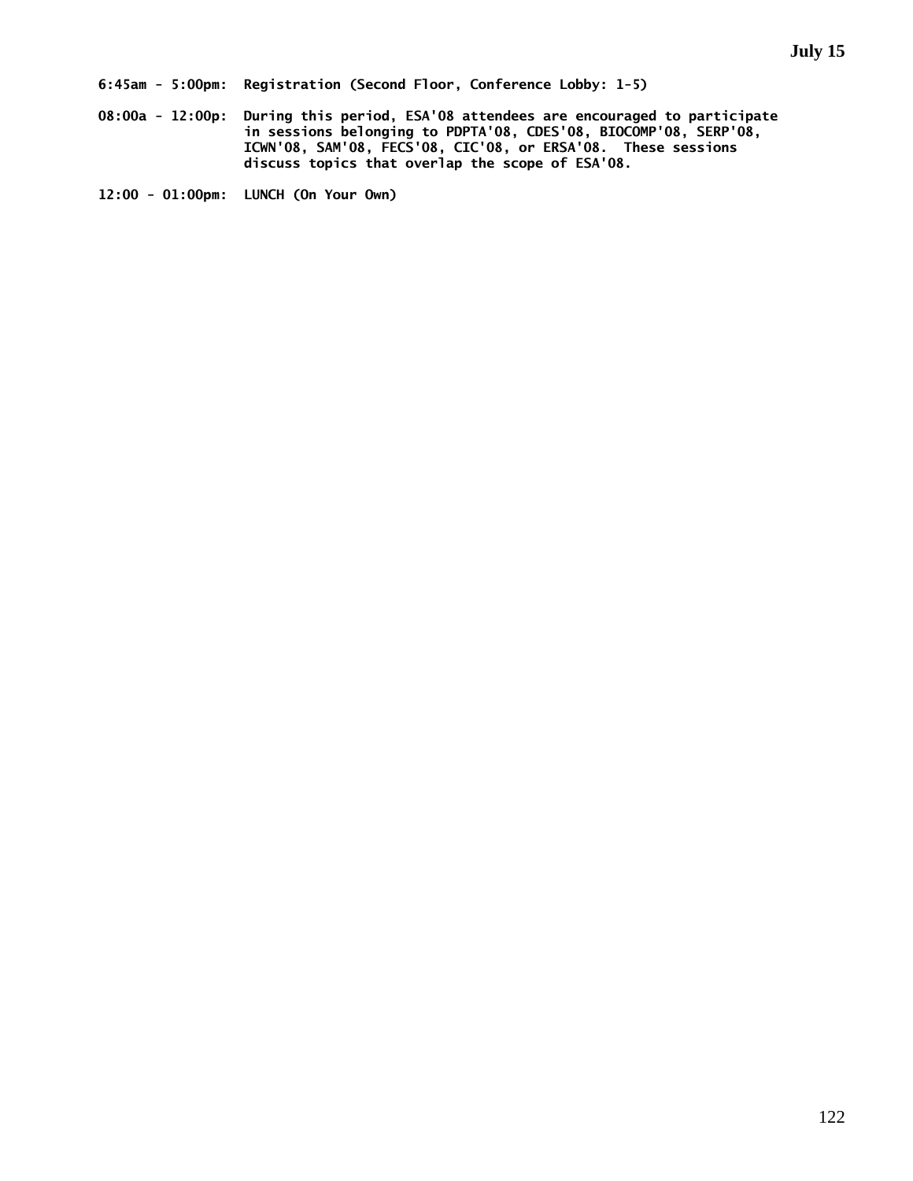**08:00a - 12:00p: During this period, ESA'08 attendees are encouraged to participate in sessions belonging to PDPTA'08, CDES'08, BIOCOMP'08, SERP'08, ICWN'08, SAM'08, FECS'08, CIC'08, or ERSA'08. These sessions discuss topics that overlap the scope of ESA'08.** 

**12:00 - 01:00pm: LUNCH (On Your Own)**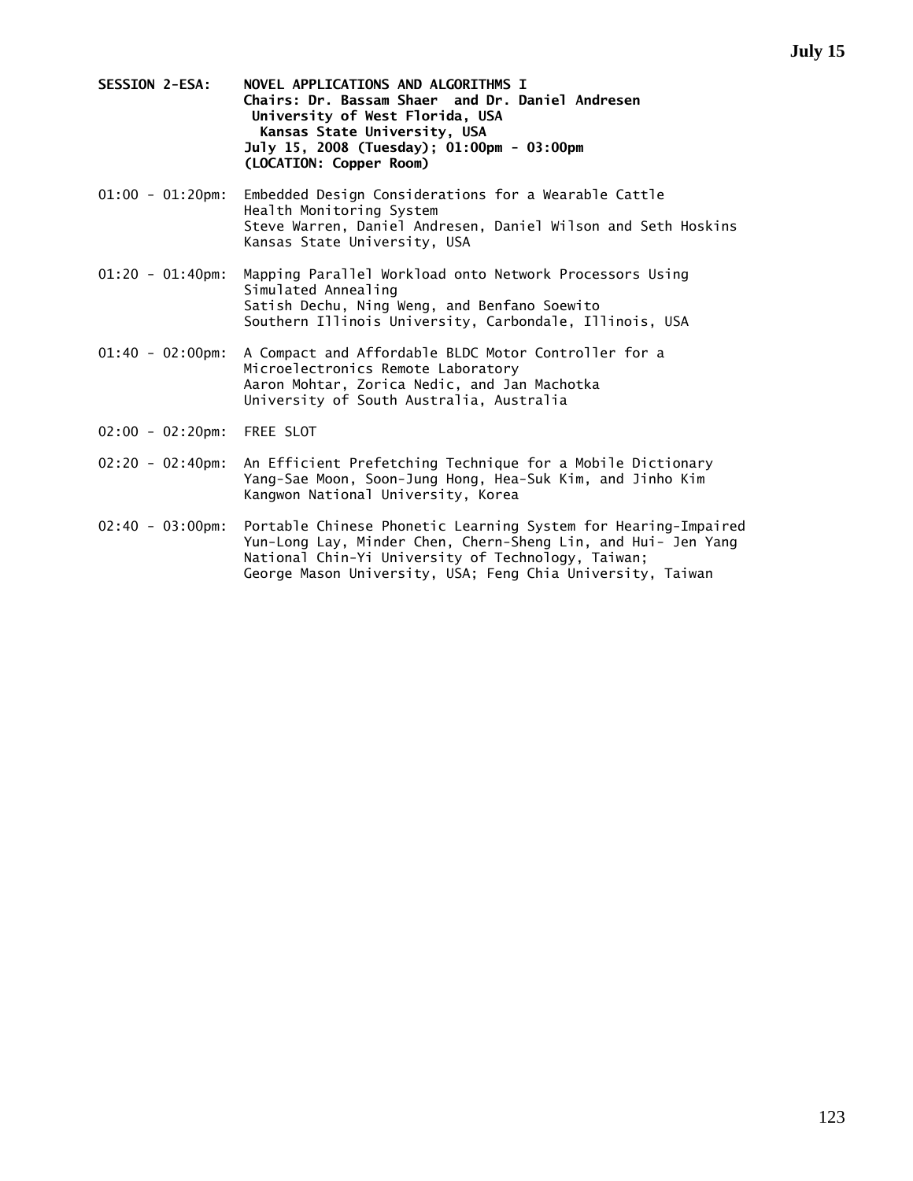- **SESSION 2-ESA: NOVEL APPLICATIONS AND ALGORITHMS I Chairs: Dr. Bassam Shaer and Dr. Daniel Andresen University of West Florida, USA Kansas State University, USA July 15, 2008 (Tuesday); 01:00pm - 03:00pm (LOCATION: Copper Room)**
- 01:00 01:20pm: Embedded Design Considerations for a Wearable Cattle Health Monitoring System Steve Warren, Daniel Andresen, Daniel Wilson and Seth Hoskins Kansas State University, USA
- 01:20 01:40pm: Mapping Parallel Workload onto Network Processors Using Simulated Annealing Satish Dechu, Ning Weng, and Benfano Soewito Southern Illinois University, Carbondale, Illinois, USA
- 01:40 02:00pm: A Compact and Affordable BLDC Motor Controller for a Microelectronics Remote Laboratory Aaron Mohtar, Zorica Nedic, and Jan Machotka University of South Australia, Australia
- 02:00 02:20pm: FREE SLOT
- 02:20 02:40pm: An Efficient Prefetching Technique for a Mobile Dictionary Yang-Sae Moon, Soon-Jung Hong, Hea-Suk Kim, and Jinho Kim Kangwon National University, Korea
- 02:40 03:00pm: Portable Chinese Phonetic Learning System for Hearing-Impaired Yun-Long Lay, Minder Chen, Chern-Sheng Lin, and Hui- Jen Yang National Chin-Yi University of Technology, Taiwan; George Mason University, USA; Feng Chia University, Taiwan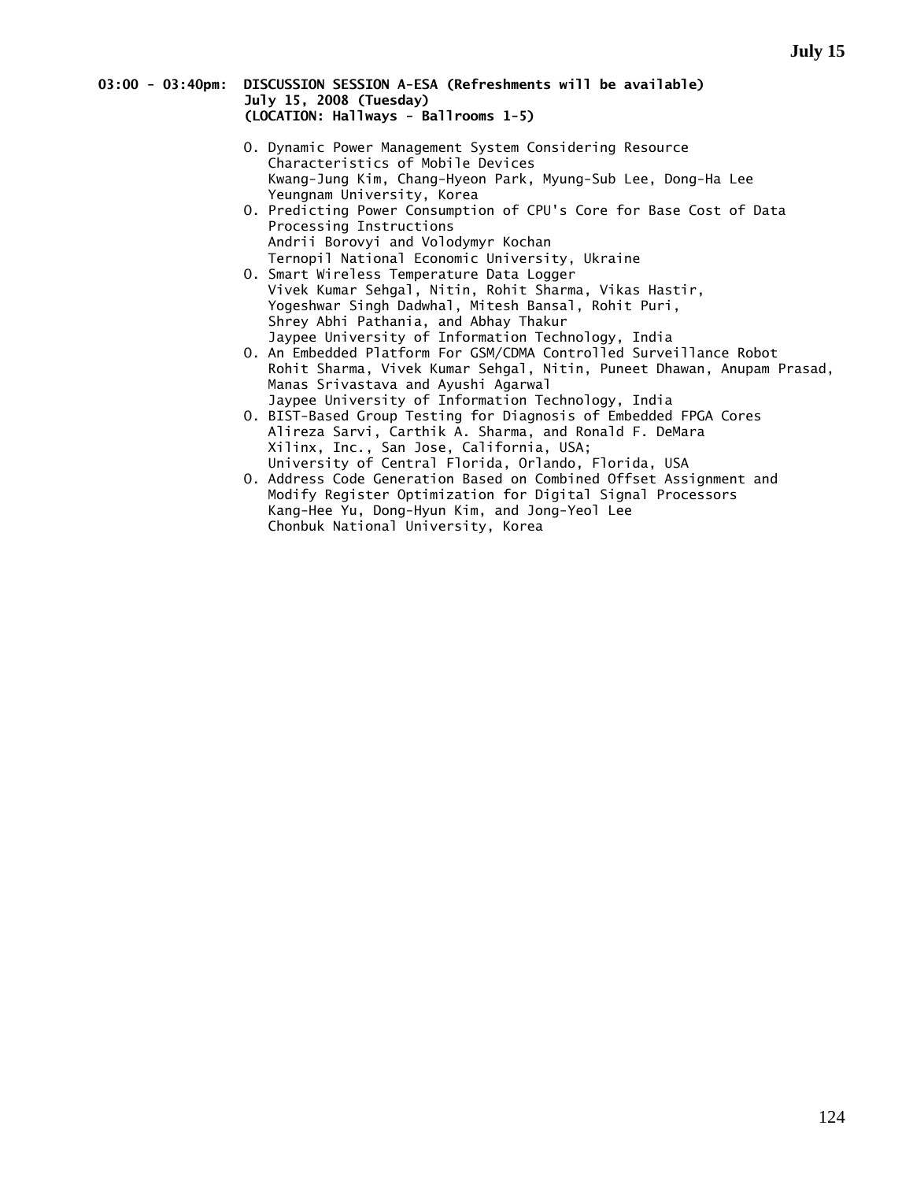### **03:00 - 03:40pm: DISCUSSION SESSION A-ESA (Refreshments will be available) July 15, 2008 (Tuesday) (LOCATION: Hallways - Ballrooms 1-5)**

- O. Dynamic Power Management System Considering Resource Characteristics of Mobile Devices Kwang-Jung Kim, Chang-Hyeon Park, Myung-Sub Lee, Dong-Ha Lee Yeungnam University, Korea
- O. Predicting Power Consumption of CPU's Core for Base Cost of Data Processing Instructions Andrii Borovyi and Volodymyr Kochan Ternopil National Economic University, Ukraine
- O. Smart Wireless Temperature Data Logger Vivek Kumar Sehgal, Nitin, Rohit Sharma, Vikas Hastir, Yogeshwar Singh Dadwhal, Mitesh Bansal, Rohit Puri, Shrey Abhi Pathania, and Abhay Thakur Jaypee University of Information Technology, India
	- O. An Embedded Platform For GSM/CDMA Controlled Surveillance Robot Rohit Sharma, Vivek Kumar Sehgal, Nitin, Puneet Dhawan, Anupam Prasad, Manas Srivastava and Ayushi Agarwal Jaypee University of Information Technology, India
- O. BIST-Based Group Testing for Diagnosis of Embedded FPGA Cores Alireza Sarvi, Carthik A. Sharma, and Ronald F. DeMara Xilinx, Inc., San Jose, California, USA; University of Central Florida, Orlando, Florida, USA
	- O. Address Code Generation Based on Combined Offset Assignment and Modify Register Optimization for Digital Signal Processors Kang-Hee Yu, Dong-Hyun Kim, and Jong-Yeol Lee Chonbuk National University, Korea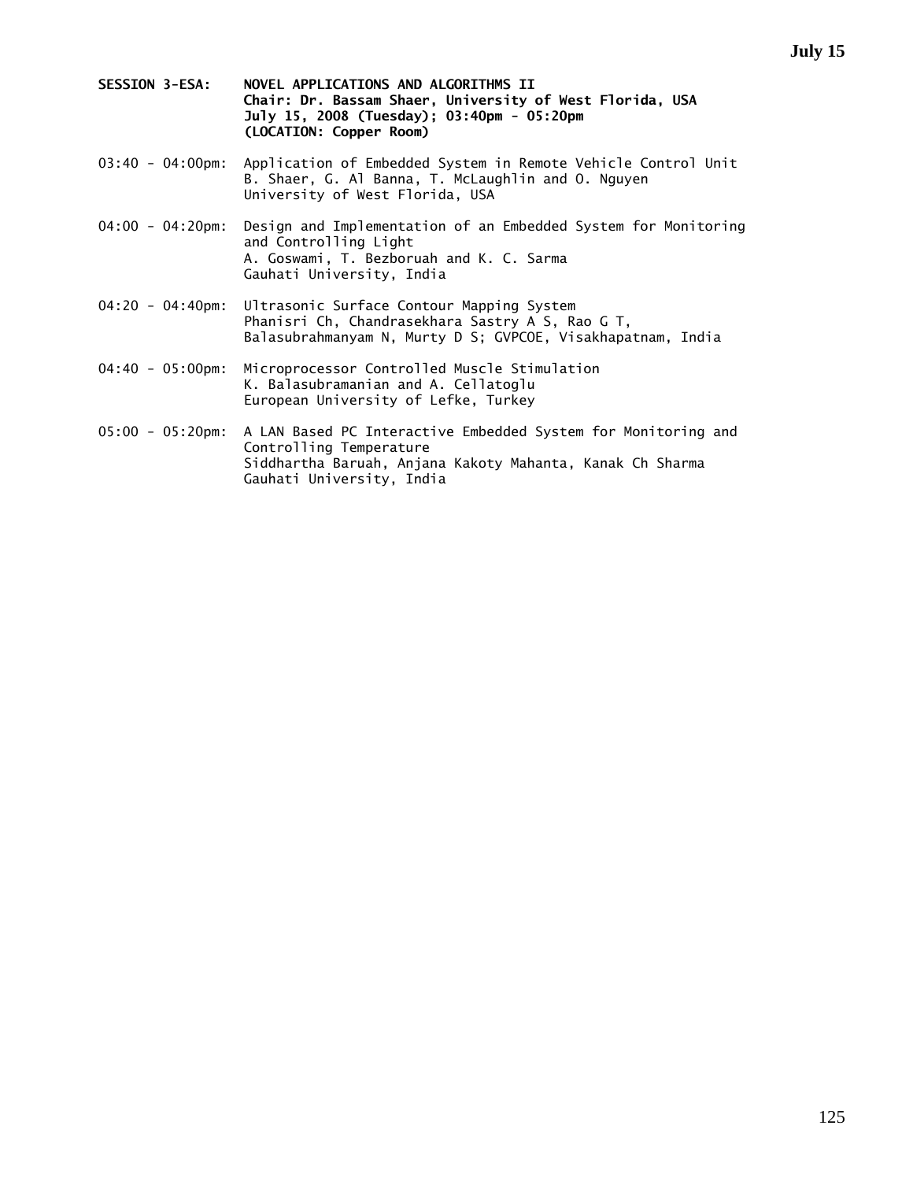- **SESSION 3-ESA: NOVEL APPLICATIONS AND ALGORITHMS II Chair: Dr. Bassam Shaer, University of West Florida, USA July 15, 2008 (Tuesday); 03:40pm - 05:20pm (LOCATION: Copper Room)**
- 03:40 04:00pm: Application of Embedded System in Remote Vehicle Control Unit B. Shaer, G. Al Banna, T. McLaughlin and O. Nguyen University of West Florida, USA
- 04:00 04:20pm: Design and Implementation of an Embedded System for Monitoring and Controlling Light A. Goswami, T. Bezboruah and K. C. Sarma Gauhati University, India
- 04:20 04:40pm: Ultrasonic Surface Contour Mapping System Phanisri Ch, Chandrasekhara Sastry A S, Rao G T, Balasubrahmanyam N, Murty D S; GVPCOE, Visakhapatnam, India
- 04:40 05:00pm: Microprocessor Controlled Muscle Stimulation K. Balasubramanian and A. Cellatoglu European University of Lefke, Turkey
- 05:00 05:20pm: A LAN Based PC Interactive Embedded System for Monitoring and Controlling Temperature Siddhartha Baruah, Anjana Kakoty Mahanta, Kanak Ch Sharma Gauhati University, India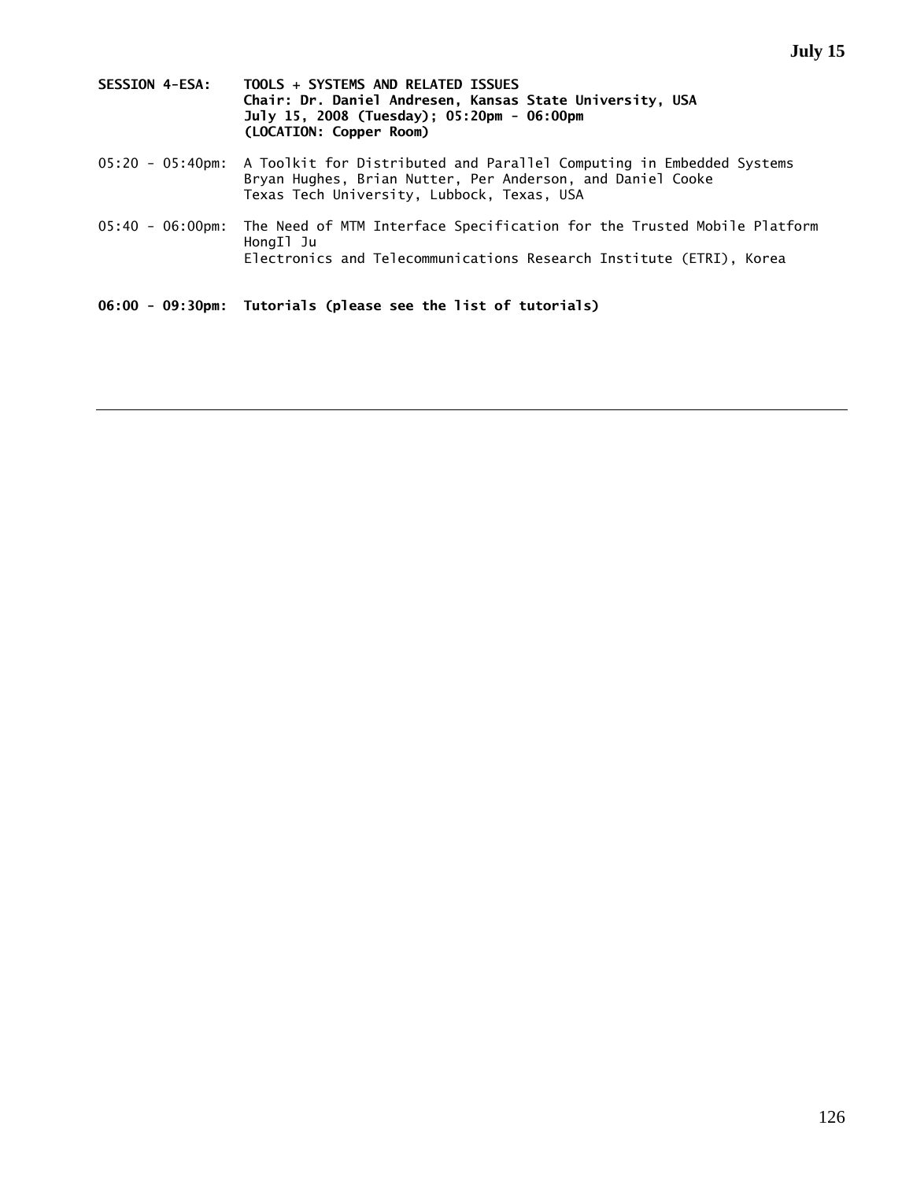| <b>SESSION 4-ESA:</b> | TOOLS + SYSTEMS AND RELATED ISSUES                       |
|-----------------------|----------------------------------------------------------|
|                       | Chair: Dr. Daniel Andresen, Kansas State University, USA |
|                       | July 15, 2008 (Tuesday): 05:20pm - 06:00pm               |
|                       | (LOCATION: Copper Room)                                  |

- 05:20 05:40pm: A Toolkit for Distributed and Parallel Computing in Embedded Systems Bryan Hughes, Brian Nutter, Per Anderson, and Daniel Cooke Texas Tech University, Lubbock, Texas, USA
- 05:40 06:00pm: The Need of MTM Interface Specification for the Trusted Mobile Platform HongIl Ju Electronics and Telecommunications Research Institute (ETRI), Korea

**06:00 - 09:30pm: Tutorials (please see the list of tutorials)**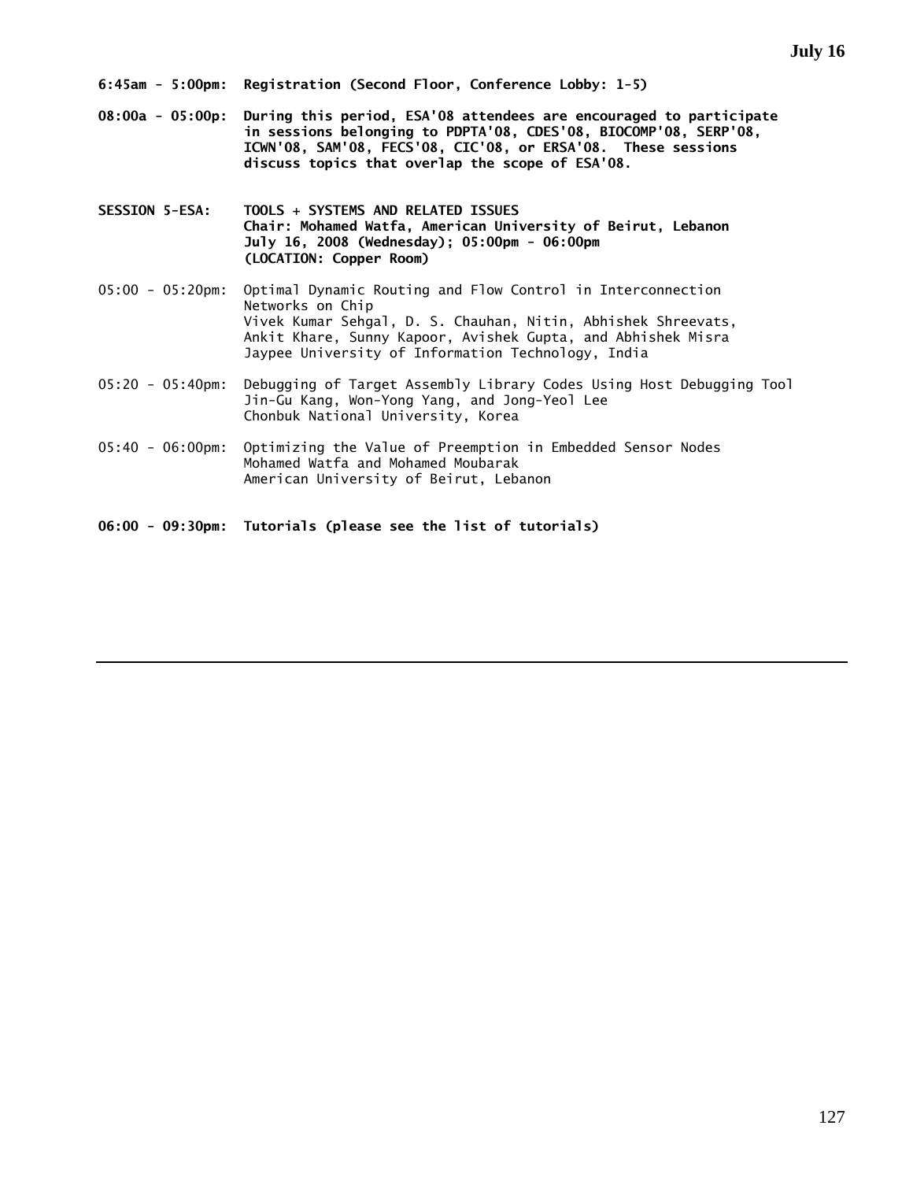- **08:00a 05:00p: During this period, ESA'08 attendees are encouraged to participate in sessions belonging to PDPTA'08, CDES'08, BIOCOMP'08, SERP'08, ICWN'08, SAM'08, FECS'08, CIC'08, or ERSA'08. These sessions discuss topics that overlap the scope of ESA'08.**
- **SESSION 5-ESA: TOOLS + SYSTEMS AND RELATED ISSUES Chair: Mohamed Watfa, American University of Beirut, Lebanon July 16, 2008 (Wednesday); 05:00pm - 06:00pm (LOCATION: Copper Room)**
- 05:00 05:20pm: Optimal Dynamic Routing and Flow Control in Interconnection Networks on Chip Vivek Kumar Sehgal, D. S. Chauhan, Nitin, Abhishek Shreevats, Ankit Khare, Sunny Kapoor, Avishek Gupta, and Abhishek Misra Jaypee University of Information Technology, India
- 05:20 05:40pm: Debugging of Target Assembly Library Codes Using Host Debugging Tool Jin-Gu Kang, Won-Yong Yang, and Jong-Yeol Lee Chonbuk National University, Korea
- 05:40 06:00pm: Optimizing the Value of Preemption in Embedded Sensor Nodes Mohamed Watfa and Mohamed Moubarak American University of Beirut, Lebanon

**06:00 - 09:30pm: Tutorials (please see the list of tutorials)**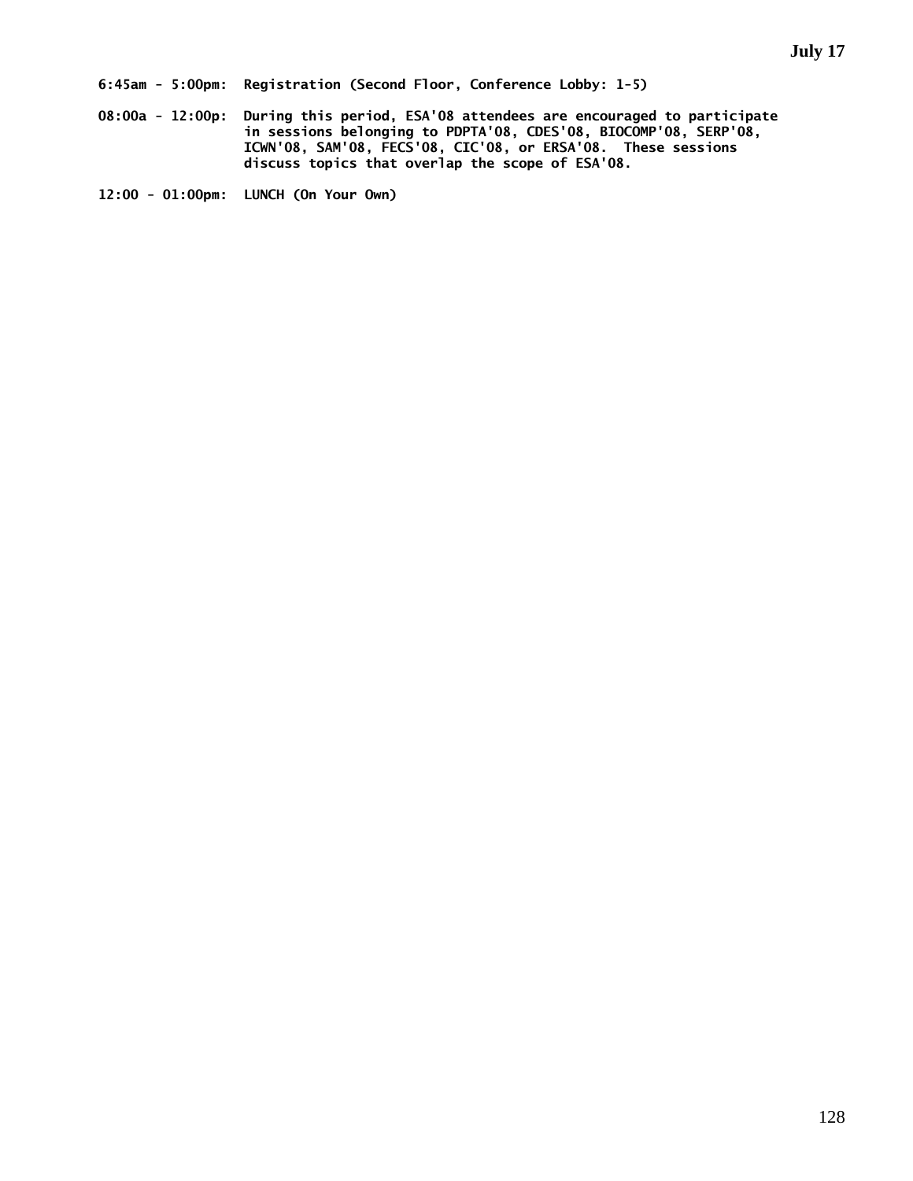**08:00a - 12:00p: During this period, ESA'08 attendees are encouraged to participate in sessions belonging to PDPTA'08, CDES'08, BIOCOMP'08, SERP'08, ICWN'08, SAM'08, FECS'08, CIC'08, or ERSA'08. These sessions discuss topics that overlap the scope of ESA'08.** 

**12:00 - 01:00pm: LUNCH (On Your Own)**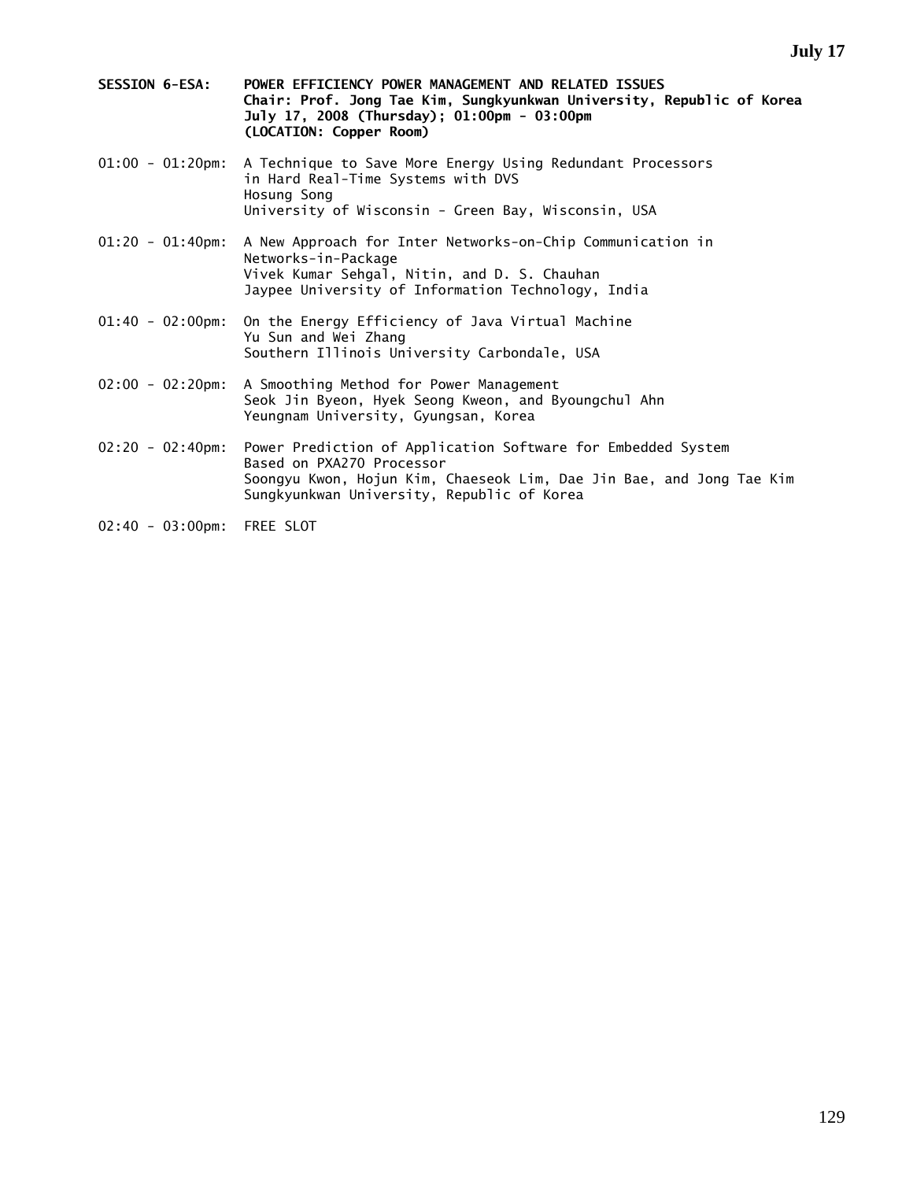- **SESSION 6-ESA: POWER EFFICIENCY POWER MANAGEMENT AND RELATED ISSUES Chair: Prof. Jong Tae Kim, Sungkyunkwan University, Republic of Korea July 17, 2008 (Thursday); 01:00pm - 03:00pm (LOCATION: Copper Room)**
- 01:00 01:20pm: A Technique to Save More Energy Using Redundant Processors in Hard Real-Time Systems with DVS Hosung Song University of Wisconsin - Green Bay, Wisconsin, USA
- 01:20 01:40pm: A New Approach for Inter Networks-on-Chip Communication in Networks-in-Package Vivek Kumar Sehgal, Nitin, and D. S. Chauhan Jaypee University of Information Technology, India
- 01:40 02:00pm: On the Energy Efficiency of Java Virtual Machine Yu Sun and Wei Zhang Southern Illinois University Carbondale, USA
- 02:00 02:20pm: A Smoothing Method for Power Management Seok Jin Byeon, Hyek Seong Kweon, and Byoungchul Ahn Yeungnam University, Gyungsan, Korea
- 02:20 02:40pm: Power Prediction of Application Software for Embedded System Based on PXA270 Processor Soongyu Kwon, Hojun Kim, Chaeseok Lim, Dae Jin Bae, and Jong Tae Kim Sungkyunkwan University, Republic of Korea
- 02:40 03:00pm: FREE SLOT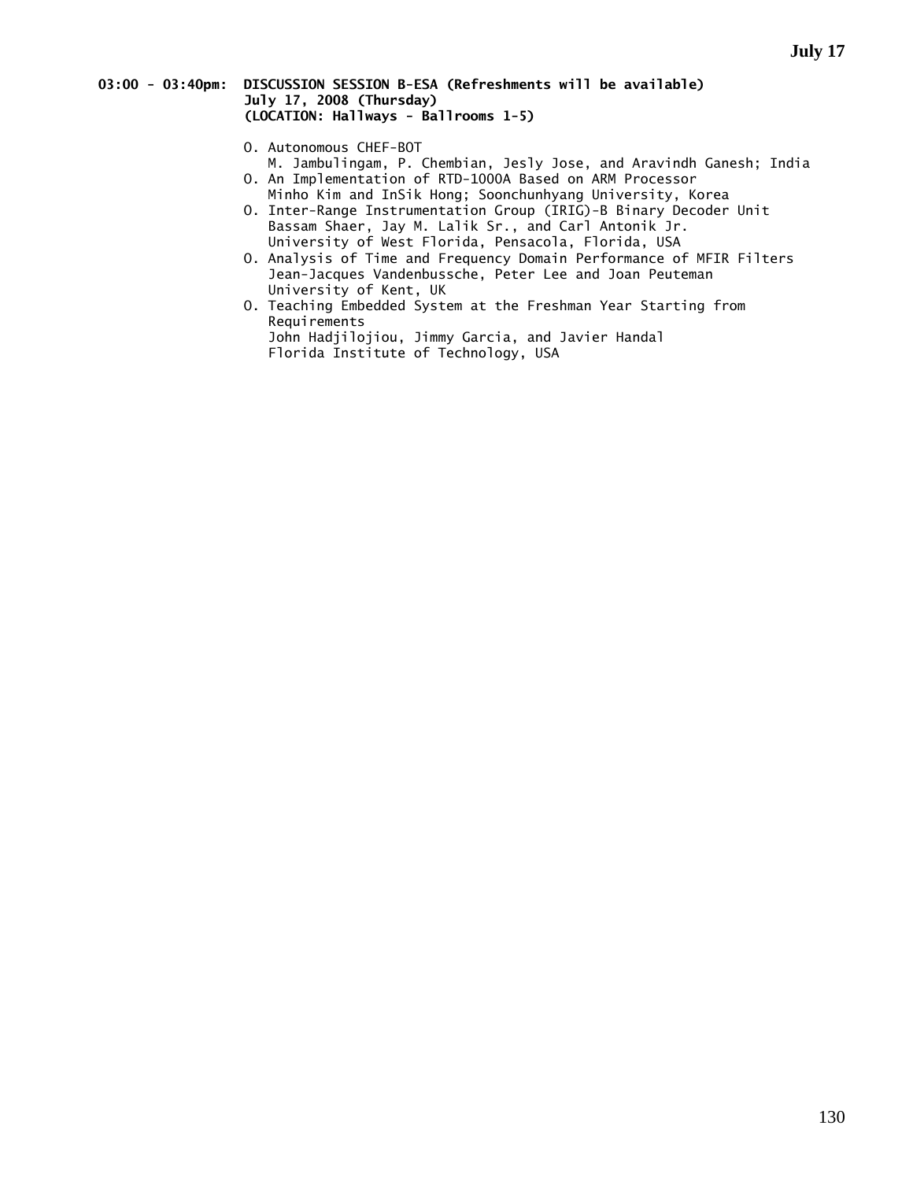## **03:00 - 03:40pm: DISCUSSION SESSION B-ESA (Refreshments will be available) July 17, 2008 (Thursday) (LOCATION: Hallways - Ballrooms 1-5)**

- O. Autonomous CHEF-BOT
- M. Jambulingam, P. Chembian, Jesly Jose, and Aravindh Ganesh; India O. An Implementation of RTD-1000A Based on ARM Processor
- Minho Kim and InSik Hong; Soonchunhyang University, Korea O. Inter-Range Instrumentation Group (IRIG)-B Binary Decoder Unit Bassam Shaer, Jay M. Lalik Sr., and Carl Antonik Jr.
- University of West Florida, Pensacola, Florida, USA O. Analysis of Time and Frequency Domain Performance of MFIR Filters Jean-Jacques Vandenbussche, Peter Lee and Joan Peuteman
	- University of Kent, UK O. Teaching Embedded System at the Freshman Year Starting from Requirements John Hadjilojiou, Jimmy Garcia, and Javier Handal Florida Institute of Technology, USA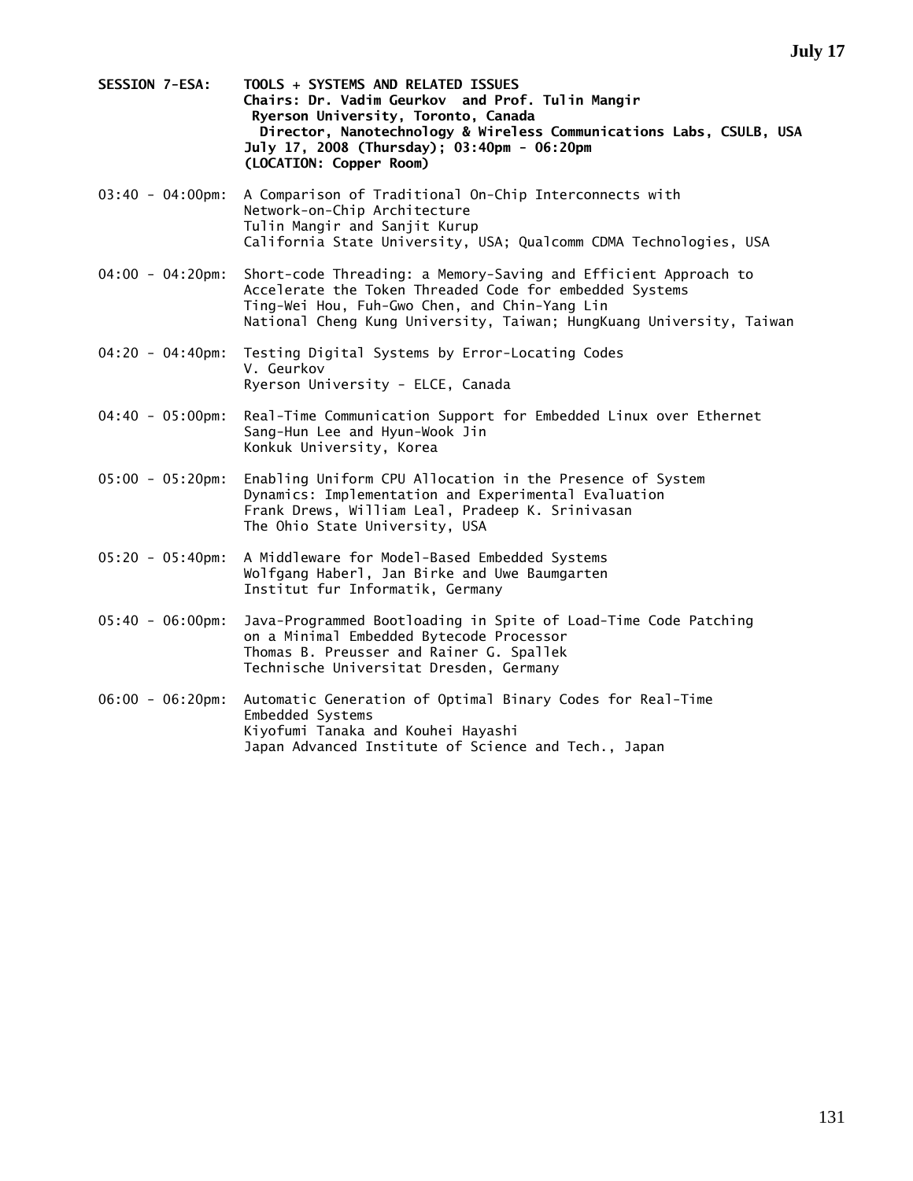- **SESSION 7-ESA: TOOLS + SYSTEMS AND RELATED ISSUES Chairs: Dr. Vadim Geurkov and Prof. Tulin Mangir Ryerson University, Toronto, Canada Director, Nanotechnology & Wireless Communications Labs, CSULB, USA July 17, 2008 (Thursday); 03:40pm - 06:20pm (LOCATION: Copper Room)**
- 03:40 04:00pm: A Comparison of Traditional On-Chip Interconnects with Network-on-Chip Architecture Tulin Mangir and Sanjit Kurup California State University, USA; Qualcomm CDMA Technologies, USA
- 04:00 04:20pm: Short-code Threading: a Memory-Saving and Efficient Approach to Accelerate the Token Threaded Code for embedded Systems Ting-Wei Hou, Fuh-Gwo Chen, and Chin-Yang Lin National Cheng Kung University, Taiwan; HungKuang University, Taiwan
- 04:20 04:40pm: Testing Digital Systems by Error-Locating Codes V. Geurkov Ryerson University - ELCE, Canada
- 04:40 05:00pm: Real-Time Communication Support for Embedded Linux over Ethernet Sang-Hun Lee and Hyun-Wook Jin Konkuk University, Korea
- 05:00 05:20pm: Enabling Uniform CPU Allocation in the Presence of System Dynamics: Implementation and Experimental Evaluation Frank Drews, William Leal, Pradeep K. Srinivasan The Ohio State University, USA
- 05:20 05:40pm: A Middleware for Model-Based Embedded Systems Wolfgang Haberl, Jan Birke and Uwe Baumgarten Institut fur Informatik, Germany
- 05:40 06:00pm: Java-Programmed Bootloading in Spite of Load-Time Code Patching on a Minimal Embedded Bytecode Processor Thomas B. Preusser and Rainer G. Spallek Technische Universitat Dresden, Germany
- 06:00 06:20pm: Automatic Generation of Optimal Binary Codes for Real-Time Embedded Systems Kiyofumi Tanaka and Kouhei Hayashi Japan Advanced Institute of Science and Tech., Japan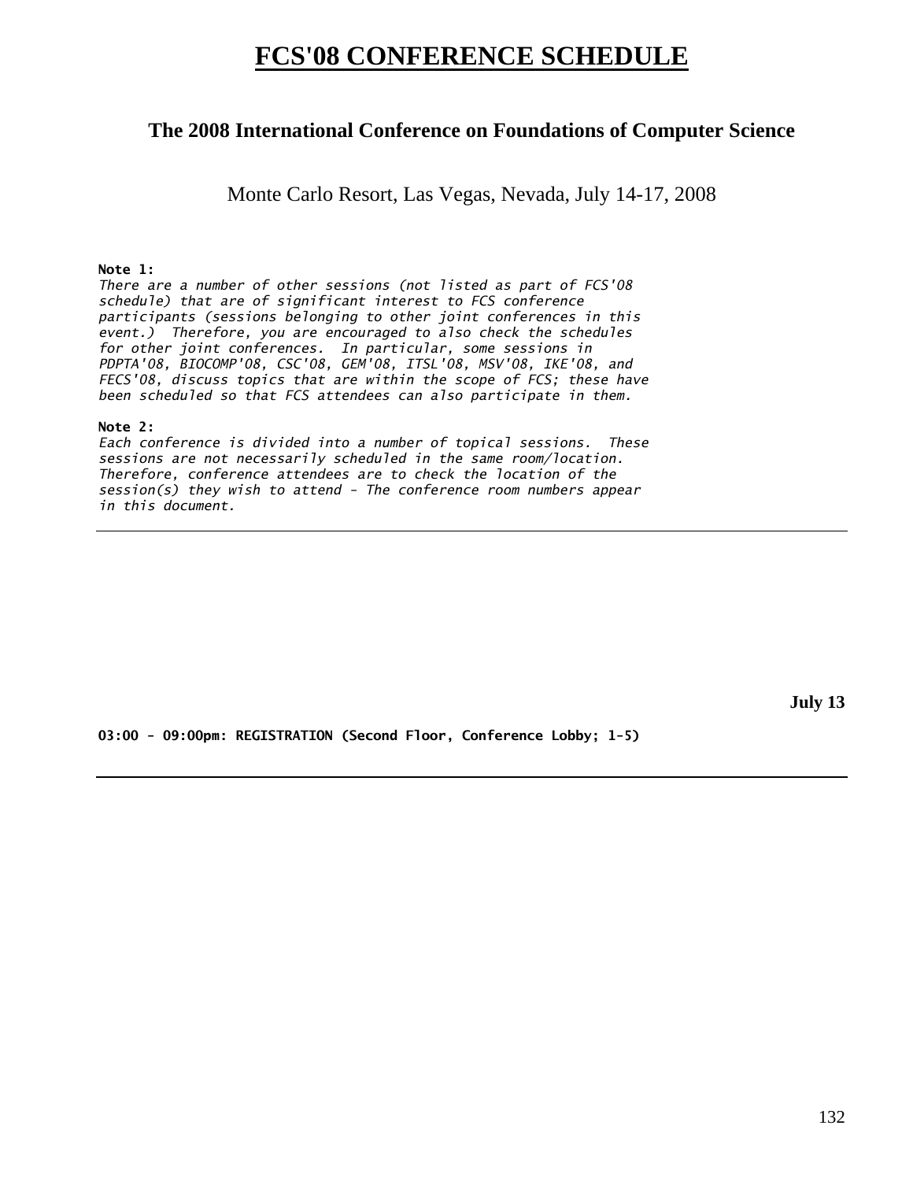# **FCS'08 CONFERENCE SCHEDULE**

# **The 2008 International Conference on Foundations of Computer Science**

Monte Carlo Resort, Las Vegas, Nevada, July 14-17, 2008

# **Note 1:**

*There are a number of other sessions (not listed as part of FCS'08 schedule) that are of significant interest to FCS conference participants (sessions belonging to other joint conferences in this event.) Therefore, you are encouraged to also check the schedules for other joint conferences. In particular, some sessions in PDPTA'08, BIOCOMP'08, CSC'08, GEM'08, ITSL'08, MSV'08, IKE'08, and FECS'08, discuss topics that are within the scope of FCS; these have been scheduled so that FCS attendees can also participate in them.* 

## **Note 2:**

*Each conference is divided into a number of topical sessions. These sessions are not necessarily scheduled in the same room/location. Therefore, conference attendees are to check the location of the session(s) they wish to attend - The conference room numbers appear in this document.* 

**July 13** 

**03:00 - 09:00pm: REGISTRATION (Second Floor, Conference Lobby; 1-5)**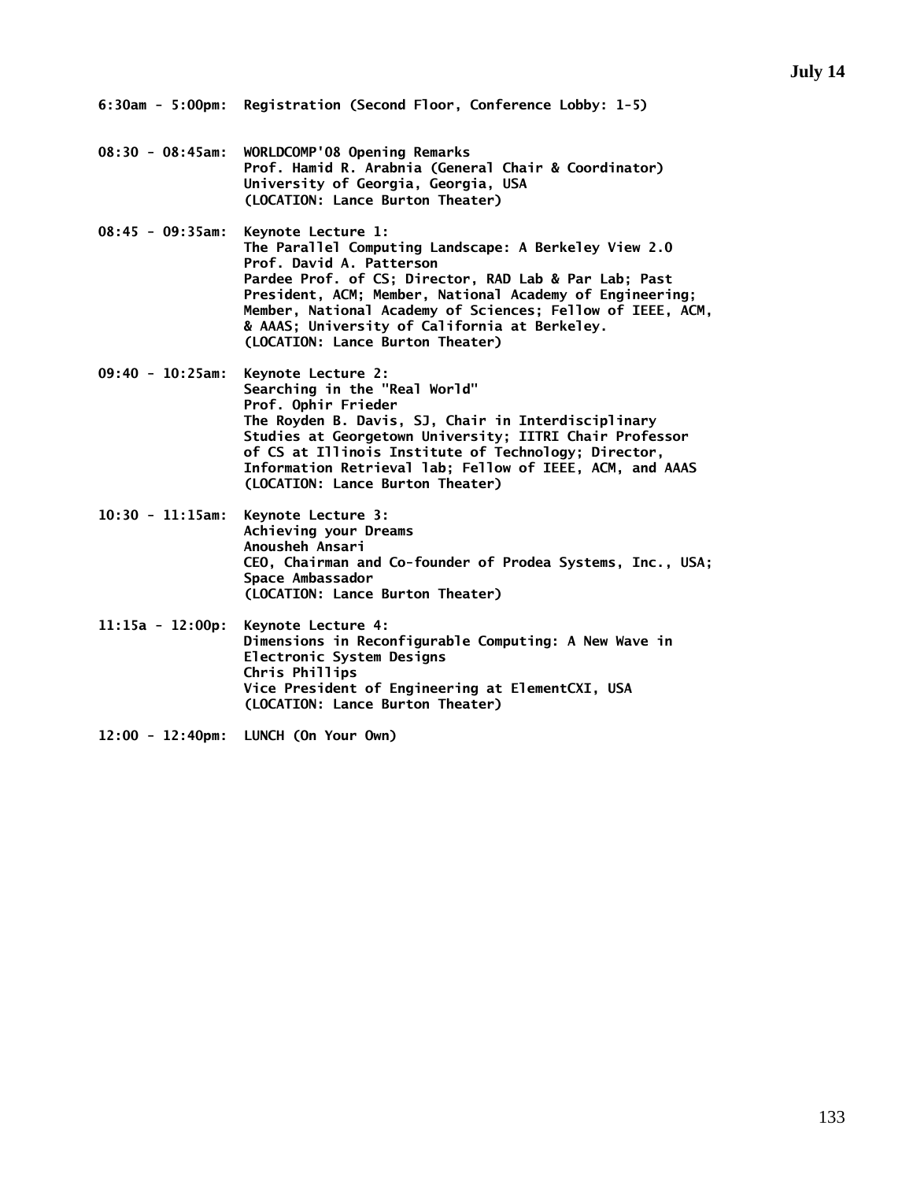- **08:30 08:45am: WORLDCOMP'08 Opening Remarks Prof. Hamid R. Arabnia (General Chair & Coordinator) University of Georgia, Georgia, USA (LOCATION: Lance Burton Theater)**
- **08:45 09:35am: Keynote Lecture 1: The Parallel Computing Landscape: A Berkeley View 2.0 Prof. David A. Patterson Pardee Prof. of CS; Director, RAD Lab & Par Lab; Past President, ACM; Member, National Academy of Engineering; Member, National Academy of Sciences; Fellow of IEEE, ACM, & AAAS; University of California at Berkeley. (LOCATION: Lance Burton Theater)**
- **09:40 10:25am: Keynote Lecture 2: Searching in the "Real World" Prof. Ophir Frieder The Royden B. Davis, SJ, Chair in Interdisciplinary Studies at Georgetown University; IITRI Chair Professor of CS at Illinois Institute of Technology; Director, Information Retrieval lab; Fellow of IEEE, ACM, and AAAS (LOCATION: Lance Burton Theater)**
- **10:30 11:15am: Keynote Lecture 3: Achieving your Dreams Anousheh Ansari CEO, Chairman and Co-founder of Prodea Systems, Inc., USA; Space Ambassador (LOCATION: Lance Burton Theater)**
- **11:15a 12:00p: Keynote Lecture 4: Dimensions in Reconfigurable Computing: A New Wave in Electronic System Designs Chris Phillips Vice President of Engineering at ElementCXI, USA (LOCATION: Lance Burton Theater)**
- **12:00 12:40pm: LUNCH (On Your Own)**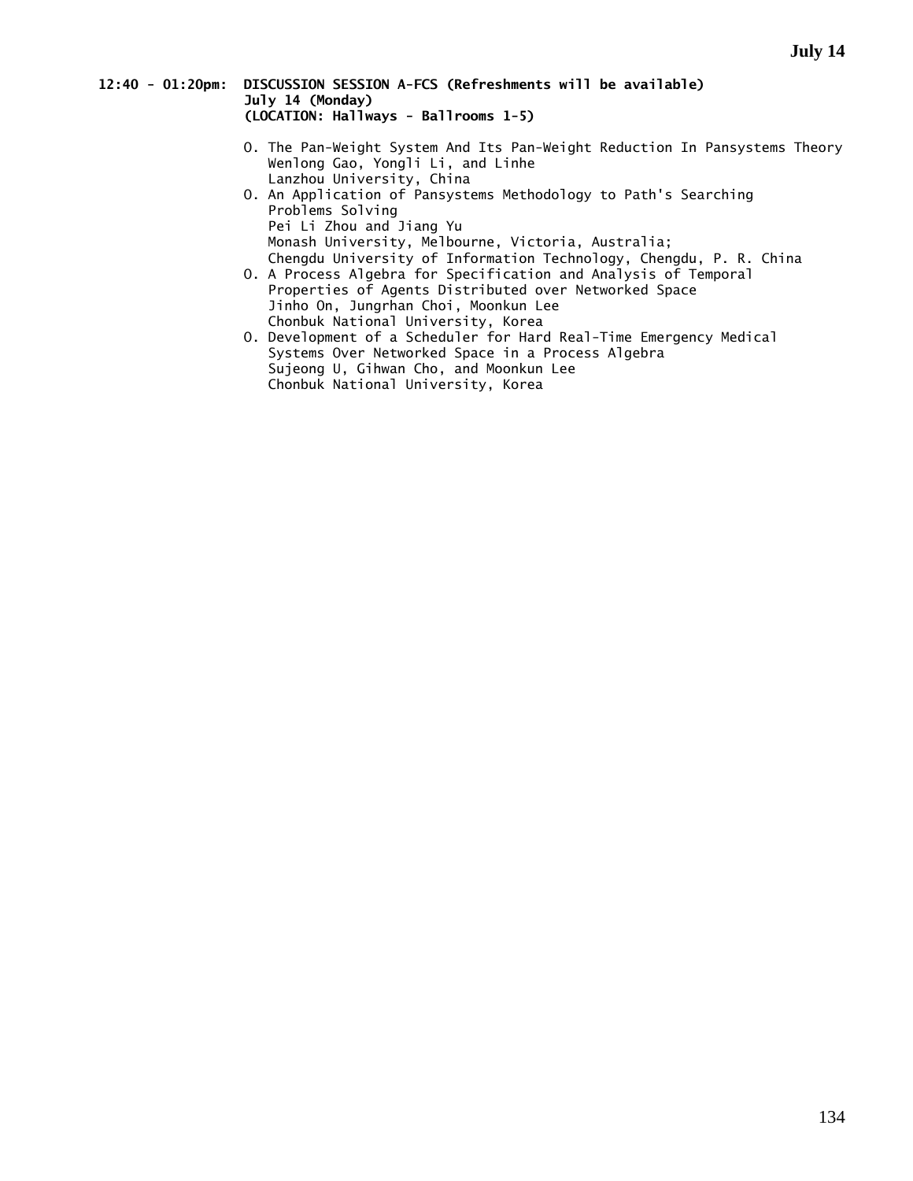### **12:40 - 01:20pm: DISCUSSION SESSION A-FCS (Refreshments will be available) July 14 (Monday) (LOCATION: Hallways - Ballrooms 1-5)**

- O. The Pan-Weight System And Its Pan-Weight Reduction In Pansystems Theory Wenlong Gao, Yongli Li, and Linhe Lanzhou University, China
- O. An Application of Pansystems Methodology to Path's Searching Problems Solving Pei Li Zhou and Jiang Yu Monash University, Melbourne, Victoria, Australia; Chengdu University of Information Technology, Chengdu, P. R. China
- O. A Process Algebra for Specification and Analysis of Temporal Properties of Agents Distributed over Networked Space Jinho On, Jungrhan Choi, Moonkun Lee Chonbuk National University, Korea
- O. Development of a Scheduler for Hard Real-Time Emergency Medical Systems Over Networked Space in a Process Algebra Sujeong U, Gihwan Cho, and Moonkun Lee Chonbuk National University, Korea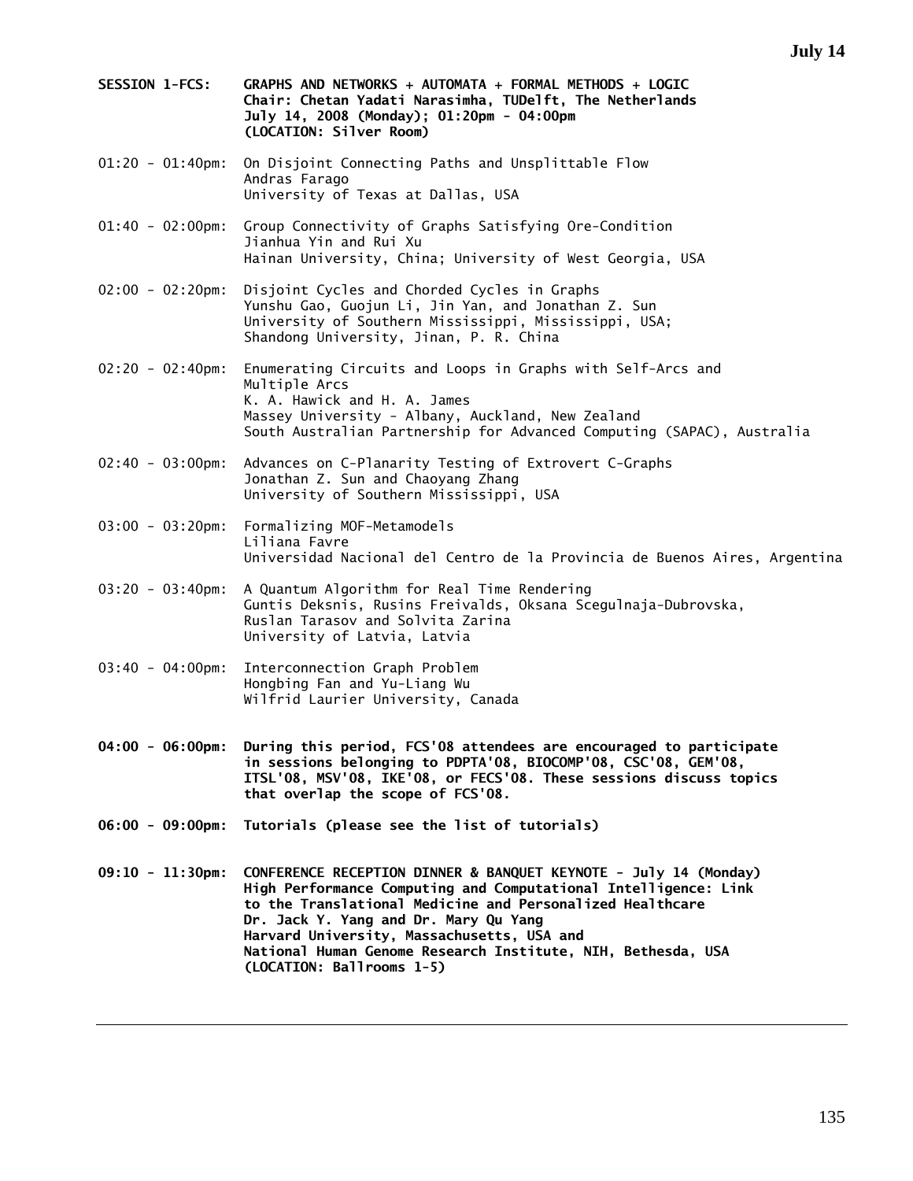**SESSION 1-FCS: GRAPHS AND NETWORKS + AUTOMATA + FORMAL METHODS + LOGIC Chair: Chetan Yadati Narasimha, TUDelft, The Netherlands July 14, 2008 (Monday); 01:20pm - 04:00pm (LOCATION: Silver Room)**  01:20 - 01:40pm: On Disjoint Connecting Paths and Unsplittable Flow Andras Farago University of Texas at Dallas, USA 01:40 - 02:00pm: Group Connectivity of Graphs Satisfying Ore-Condition Jianhua Yin and Rui Xu Hainan University, China; University of West Georgia, USA 02:00 - 02:20pm: Disjoint Cycles and Chorded Cycles in Graphs Yunshu Gao, Guojun Li, Jin Yan, and Jonathan Z. Sun University of Southern Mississippi, Mississippi, USA; Shandong University, Jinan, P. R. China 02:20 - 02:40pm: Enumerating Circuits and Loops in Graphs with Self-Arcs and Multiple Arcs K. A. Hawick and H. A. James Massey University - Albany, Auckland, New Zealand South Australian Partnership for Advanced Computing (SAPAC), Australia 02:40 - 03:00pm: Advances on C-Planarity Testing of Extrovert C-Graphs Jonathan Z. Sun and Chaoyang Zhang University of Southern Mississippi, USA 03:00 - 03:20pm: Formalizing MOF-Metamodels Liliana Favre Universidad Nacional del Centro de la Provincia de Buenos Aires, Argentina 03:20 - 03:40pm: A Quantum Algorithm for Real Time Rendering Guntis Deksnis, Rusins Freivalds, Oksana Scegulnaja-Dubrovska, Ruslan Tarasov and Solvita Zarina University of Latvia, Latvia 03:40 - 04:00pm: Interconnection Graph Problem Hongbing Fan and Yu-Liang Wu Wilfrid Laurier University, Canada **04:00 - 06:00pm: During this period, FCS'08 attendees are encouraged to participate in sessions belonging to PDPTA'08, BIOCOMP'08, CSC'08, GEM'08, ITSL'08, MSV'08, IKE'08, or FECS'08. These sessions discuss topics that overlap the scope of FCS'08. 06:00 - 09:00pm: Tutorials (please see the list of tutorials) 09:10 - 11:30pm: CONFERENCE RECEPTION DINNER & BANQUET KEYNOTE - July 14 (Monday) High Performance Computing and Computational Intelligence: Link to the Translational Medicine and Personalized Healthcare Dr. Jack Y. Yang and Dr. Mary Qu Yang Harvard University, Massachusetts, USA and National Human Genome Research Institute, NIH, Bethesda, USA (LOCATION: Ballrooms 1-5)**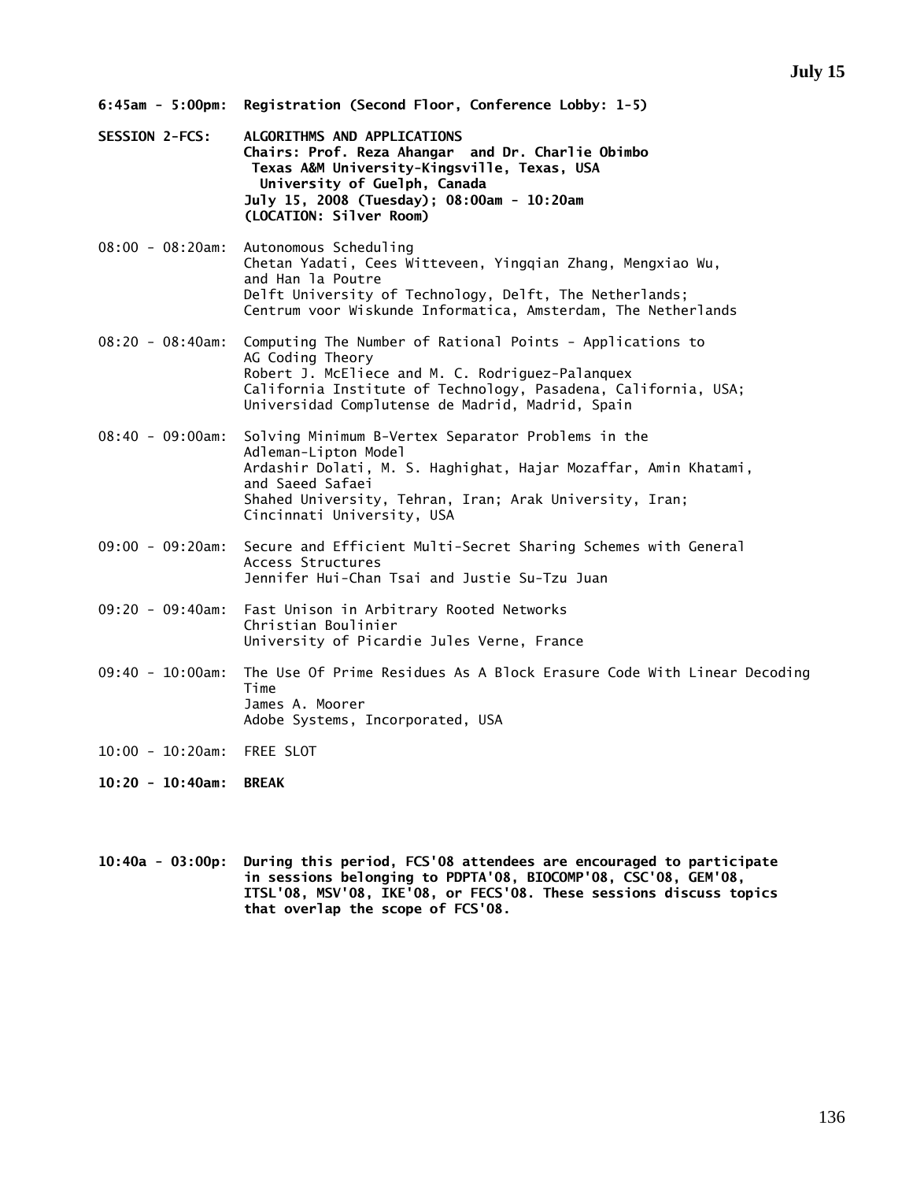- **6:45am 5:00pm: Registration (Second Floor, Conference Lobby: 1-5)**
- **SESSION 2-FCS: ALGORITHMS AND APPLICATIONS Chairs: Prof. Reza Ahangar and Dr. Charlie Obimbo Texas A&M University-Kingsville, Texas, USA University of Guelph, Canada July 15, 2008 (Tuesday); 08:00am - 10:20am (LOCATION: Silver Room)**
- 08:00 08:20am: Autonomous Scheduling Chetan Yadati, Cees Witteveen, Yingqian Zhang, Mengxiao Wu, and Han la Poutre Delft University of Technology, Delft, The Netherlands; Centrum voor Wiskunde Informatica, Amsterdam, The Netherlands
- 08:20 08:40am: Computing The Number of Rational Points Applications to AG Coding Theory Robert J. McEliece and M. C. Rodriguez-Palanquex California Institute of Technology, Pasadena, California, USA; Universidad Complutense de Madrid, Madrid, Spain
- 08:40 09:00am: Solving Minimum B-Vertex Separator Problems in the Adleman-Lipton Model Ardashir Dolati, M. S. Haghighat, Hajar Mozaffar, Amin Khatami, and Saeed Safaei Shahed University, Tehran, Iran; Arak University, Iran; Cincinnati University, USA
- 09:00 09:20am: Secure and Efficient Multi-Secret Sharing Schemes with General Access Structures Jennifer Hui-Chan Tsai and Justie Su-Tzu Juan
- 09:20 09:40am: Fast Unison in Arbitrary Rooted Networks Christian Boulinier University of Picardie Jules Verne, France
- 09:40 10:00am: The Use Of Prime Residues As A Block Erasure Code With Linear Decoding Time James A. Moorer Adobe Systems, Incorporated, USA
- 10:00 10:20am: FREE SLOT
- **10:20 10:40am: BREAK**
- **10:40a 03:00p: During this period, FCS'08 attendees are encouraged to participate in sessions belonging to PDPTA'08, BIOCOMP'08, CSC'08, GEM'08, ITSL'08, MSV'08, IKE'08, or FECS'08. These sessions discuss topics that overlap the scope of FCS'08.**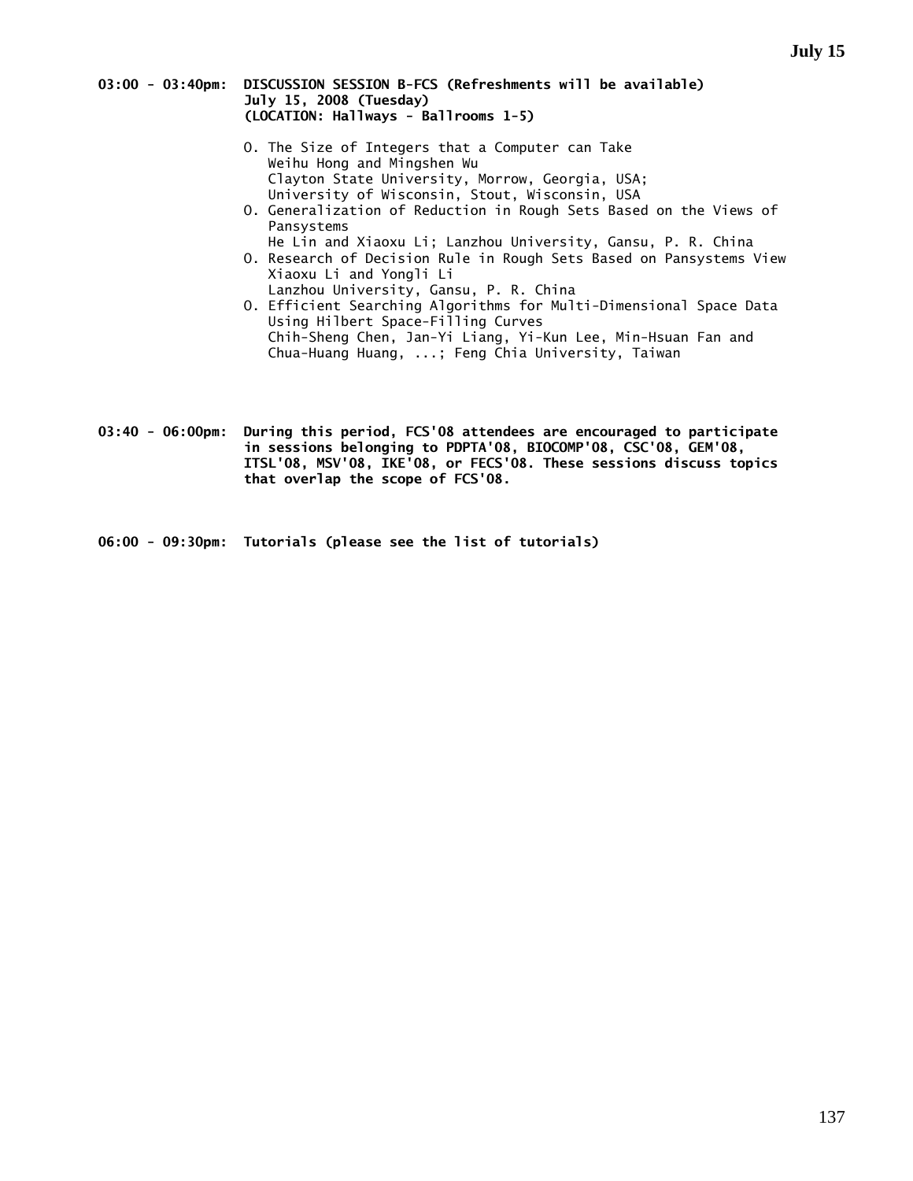#### **03:00 - 03:40pm: DISCUSSION SESSION B-FCS (Refreshments will be available) July 15, 2008 (Tuesday) (LOCATION: Hallways - Ballrooms 1-5)**

- O. The Size of Integers that a Computer can Take Weihu Hong and Mingshen Wu Clayton State University, Morrow, Georgia, USA; University of Wisconsin, Stout, Wisconsin, USA
	- O. Generalization of Reduction in Rough Sets Based on the Views of Pansystems
	- He Lin and Xiaoxu Li; Lanzhou University, Gansu, P. R. China O. Research of Decision Rule in Rough Sets Based on Pansystems View Xiaoxu Li and Yongli Li
	- Lanzhou University, Gansu, P. R. China O. Efficient Searching Algorithms for Multi-Dimensional Space Data Using Hilbert Space-Filling Curves Chih-Sheng Chen, Jan-Yi Liang, Yi-Kun Lee, Min-Hsuan Fan and Chua-Huang Huang, ...; Feng Chia University, Taiwan
- **03:40 06:00pm: During this period, FCS'08 attendees are encouraged to participate in sessions belonging to PDPTA'08, BIOCOMP'08, CSC'08, GEM'08, ITSL'08, MSV'08, IKE'08, or FECS'08. These sessions discuss topics that overlap the scope of FCS'08.**

**06:00 - 09:30pm: Tutorials (please see the list of tutorials)**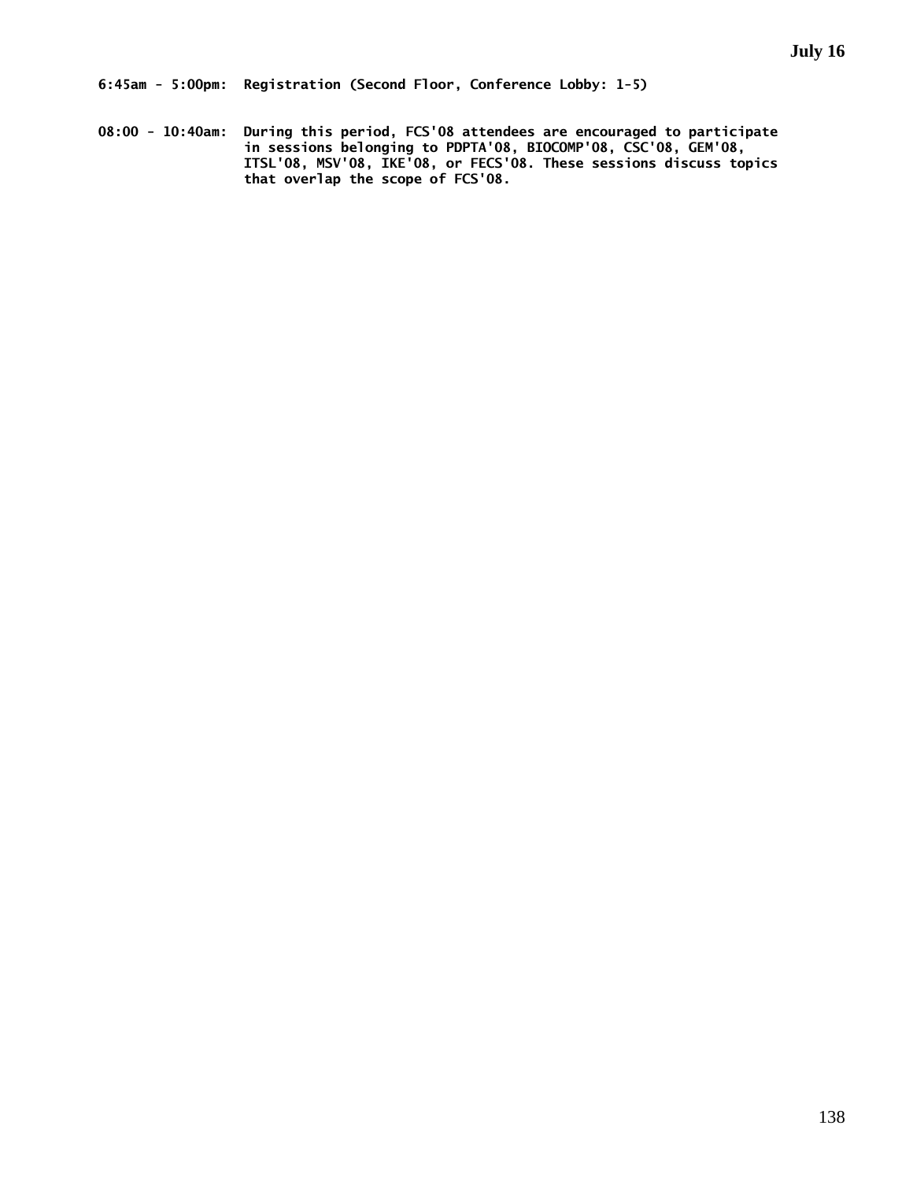**08:00 - 10:40am: During this period, FCS'08 attendees are encouraged to participate in sessions belonging to PDPTA'08, BIOCOMP'08, CSC'08, GEM'08, ITSL'08, MSV'08, IKE'08, or FECS'08. These sessions discuss topics that overlap the scope of FCS'08.**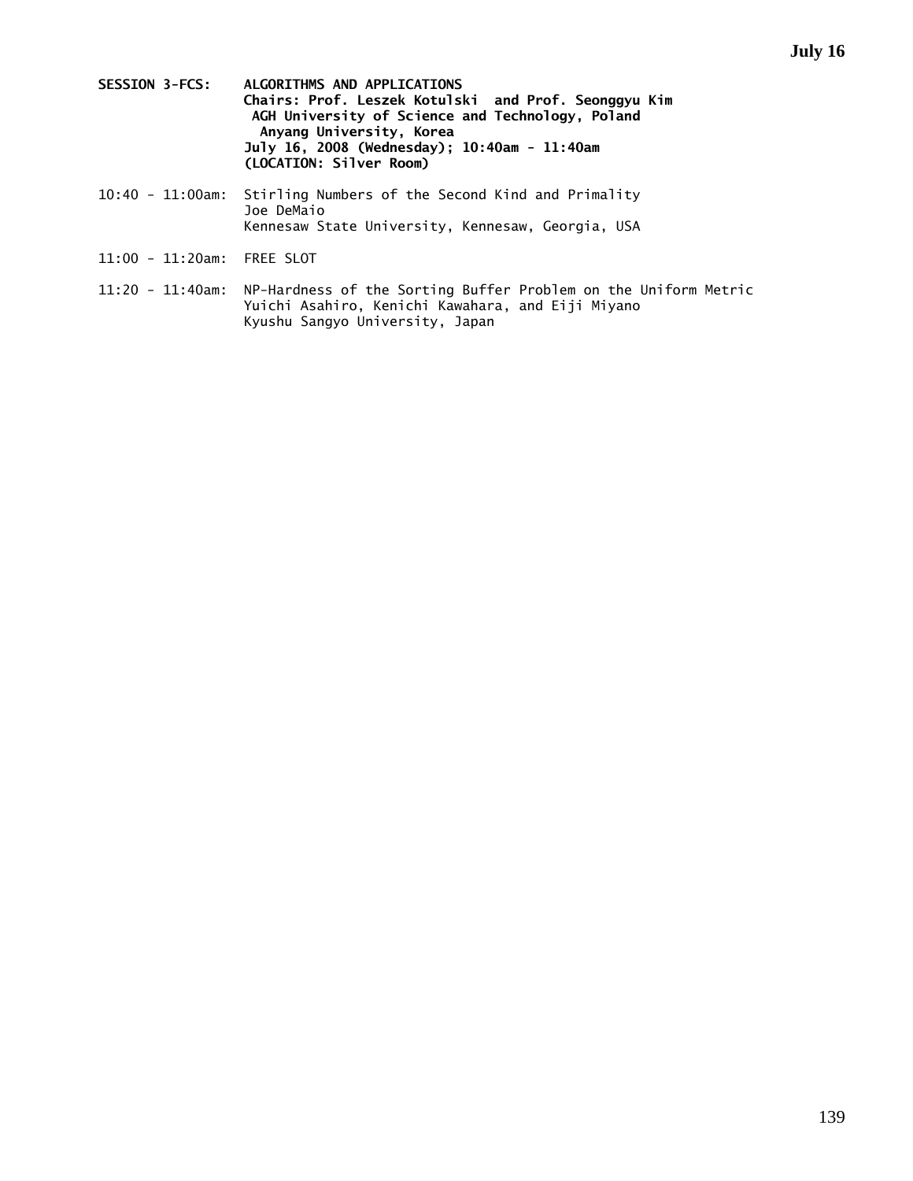- **SESSION 3-FCS: ALGORITHMS AND APPLICATIONS Chairs: Prof. Leszek Kotulski and Prof. Seonggyu Kim AGH University of Science and Technology, Poland Anyang University, Korea July 16, 2008 (Wednesday); 10:40am - 11:40am (LOCATION: Silver Room)**
- 10:40 11:00am: Stirling Numbers of the Second Kind and Primality Joe DeMaio Kennesaw State University, Kennesaw, Georgia, USA
- 11:00 11:20am: FREE SLOT
- 11:20 11:40am: NP-Hardness of the Sorting Buffer Problem on the Uniform Metric Yuichi Asahiro, Kenichi Kawahara, and Eiji Miyano Kyushu Sangyo University, Japan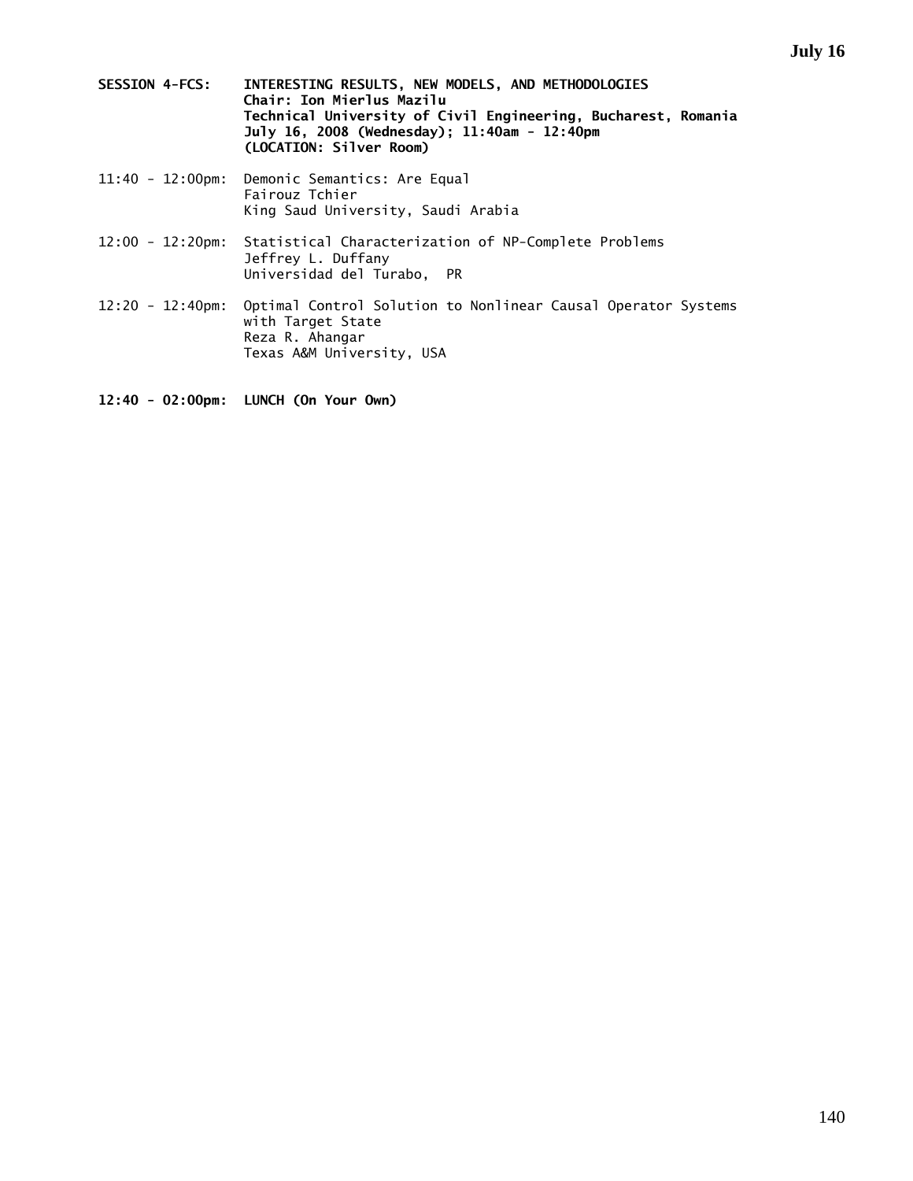- **SESSION 4-FCS: INTERESTING RESULTS, NEW MODELS, AND METHODOLOGIES Chair: Ion Mierlus Mazilu Technical University of Civil Engineering, Bucharest, Romania July 16, 2008 (Wednesday); 11:40am - 12:40pm (LOCATION: Silver Room)**
- 11:40 12:00pm: Demonic Semantics: Are Equal Fairouz Tchier King Saud University, Saudi Arabia
- 12:00 12:20pm: Statistical Characterization of NP-Complete Problems Jeffrey L. Duffany Universidad del Turabo, PR
- 12:20 12:40pm: Optimal Control Solution to Nonlinear Causal Operator Systems with Target State Reza R. Ahangar Texas A&M University, USA
- **12:40 02:00pm: LUNCH (On Your Own)**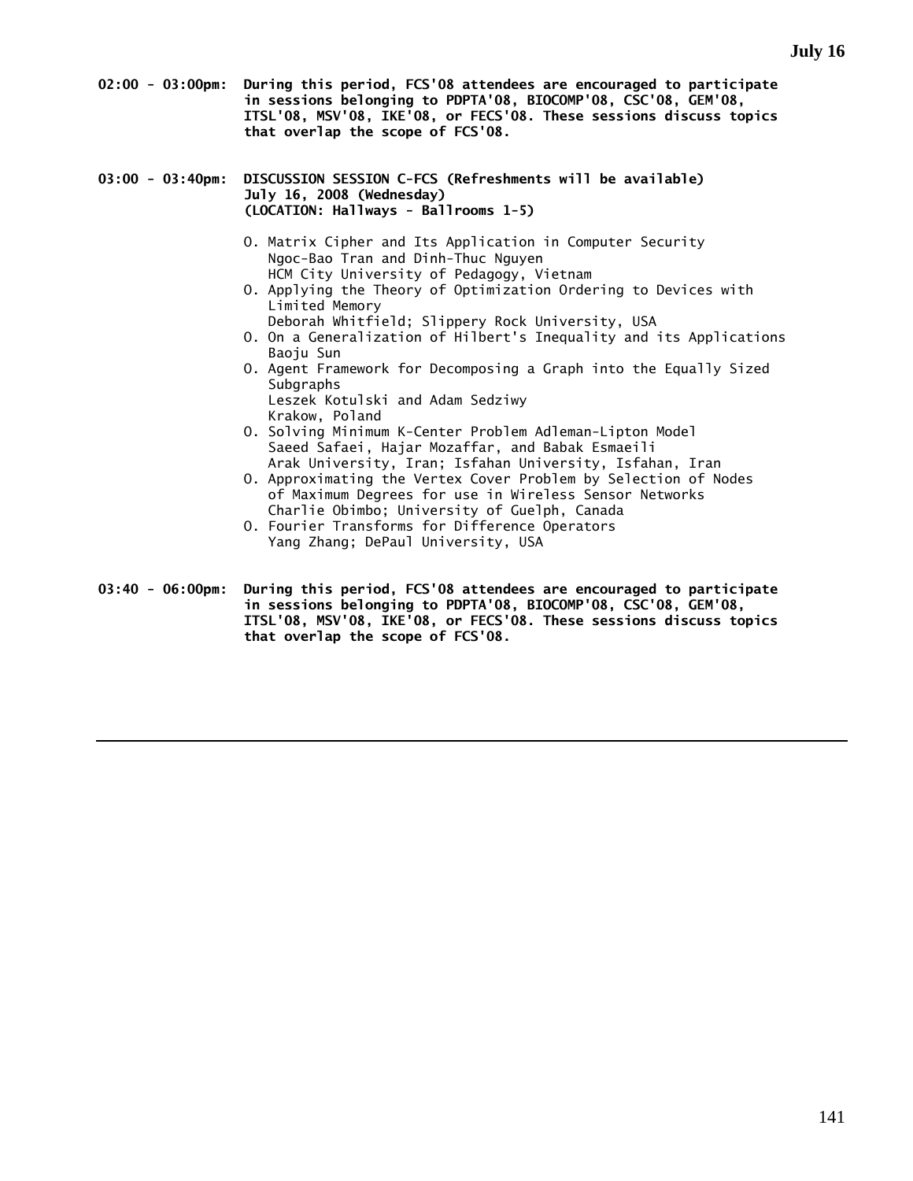- **02:00 03:00pm: During this period, FCS'08 attendees are encouraged to participate in sessions belonging to PDPTA'08, BIOCOMP'08, CSC'08, GEM'08, ITSL'08, MSV'08, IKE'08, or FECS'08. These sessions discuss topics that overlap the scope of FCS'08.**
- **03:00 03:40pm: DISCUSSION SESSION C-FCS (Refreshments will be available) July 16, 2008 (Wednesday) (LOCATION: Hallways - Ballrooms 1-5)** 
	- O. Matrix Cipher and Its Application in Computer Security Ngoc-Bao Tran and Dinh-Thuc Nguyen HCM City University of Pedagogy, Vietnam
	- O. Applying the Theory of Optimization Ordering to Devices with Limited Memory
		- Deborah Whitfield; Slippery Rock University, USA
	- O. On a Generalization of Hilbert's Inequality and its Applications Baoju Sun
	- O. Agent Framework for Decomposing a Graph into the Equally Sized Subgraphs Leszek Kotulski and Adam Sedziwy
	- Krakow, Poland O. Solving Minimum K-Center Problem Adleman-Lipton Model Saeed Safaei, Hajar Mozaffar, and Babak Esmaeili Arak University, Iran; Isfahan University, Isfahan, Iran
	- O. Approximating the Vertex Cover Problem by Selection of Nodes of Maximum Degrees for use in Wireless Sensor Networks Charlie Obimbo; University of Guelph, Canada
	- O. Fourier Transforms for Difference Operators Yang Zhang; DePaul University, USA
- **03:40 06:00pm: During this period, FCS'08 attendees are encouraged to participate in sessions belonging to PDPTA'08, BIOCOMP'08, CSC'08, GEM'08, ITSL'08, MSV'08, IKE'08, or FECS'08. These sessions discuss topics that overlap the scope of FCS'08.**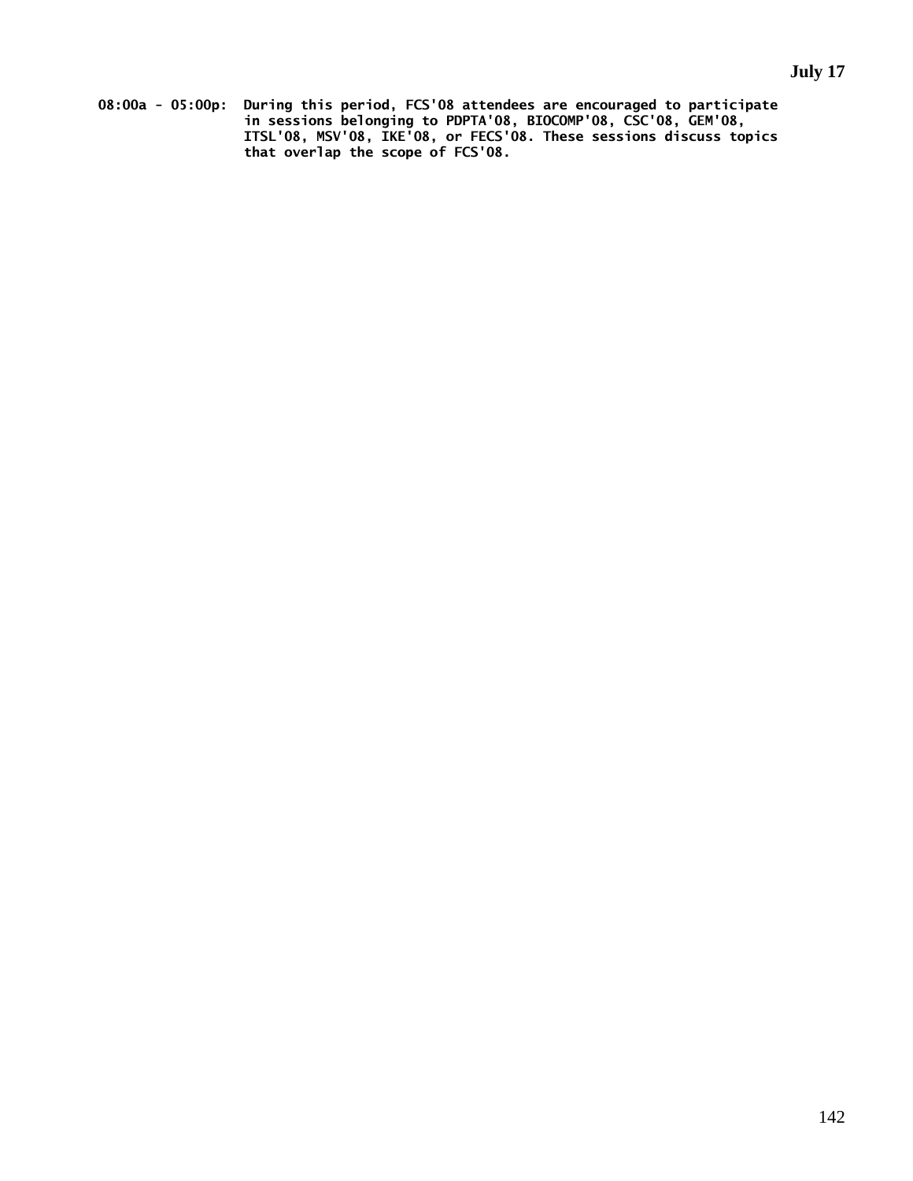**08:00a - 05:00p: During this period, FCS'08 attendees are encouraged to participate in sessions belonging to PDPTA'08, BIOCOMP'08, CSC'08, GEM'08, ITSL'08, MSV'08, IKE'08, or FECS'08. These sessions discuss topics that overlap the scope of FCS'08.**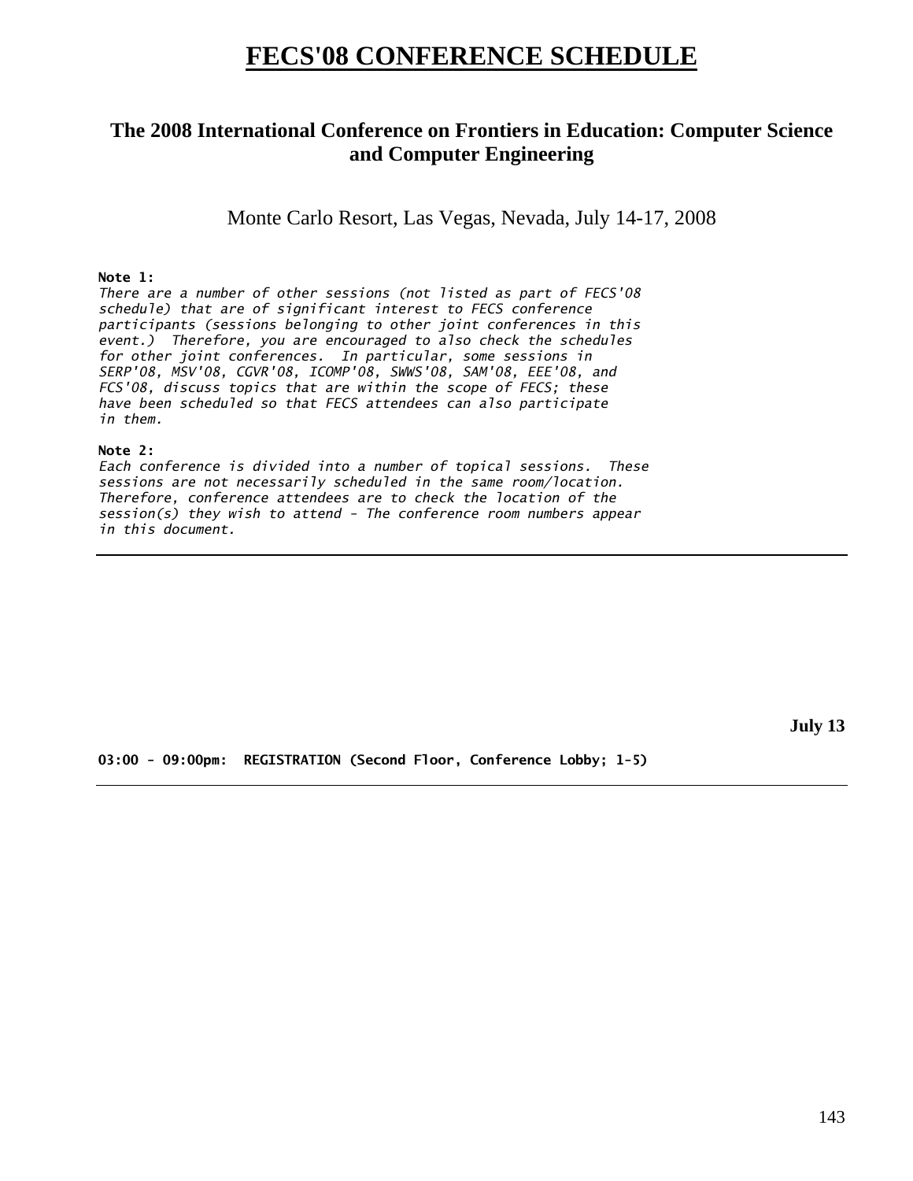# **FECS'08 CONFERENCE SCHEDULE**

# **The 2008 International Conference on Frontiers in Education: Computer Science and Computer Engineering**

Monte Carlo Resort, Las Vegas, Nevada, July 14-17, 2008

## **Note 1:**

*There are a number of other sessions (not listed as part of FECS'08 schedule) that are of significant interest to FECS conference participants (sessions belonging to other joint conferences in this event.) Therefore, you are encouraged to also check the schedules for other joint conferences. In particular, some sessions in SERP'08, MSV'08, CGVR'08, ICOMP'08, SWWS'08, SAM'08, EEE'08, and FCS'08, discuss topics that are within the scope of FECS; these have been scheduled so that FECS attendees can also participate in them.* 

### **Note 2:**

*Each conference is divided into a number of topical sessions. These sessions are not necessarily scheduled in the same room/location. Therefore, conference attendees are to check the location of the session(s) they wish to attend - The conference room numbers appear in this document.* 

**July 13** 

**03:00 - 09:00pm: REGISTRATION (Second Floor, Conference Lobby; 1-5)**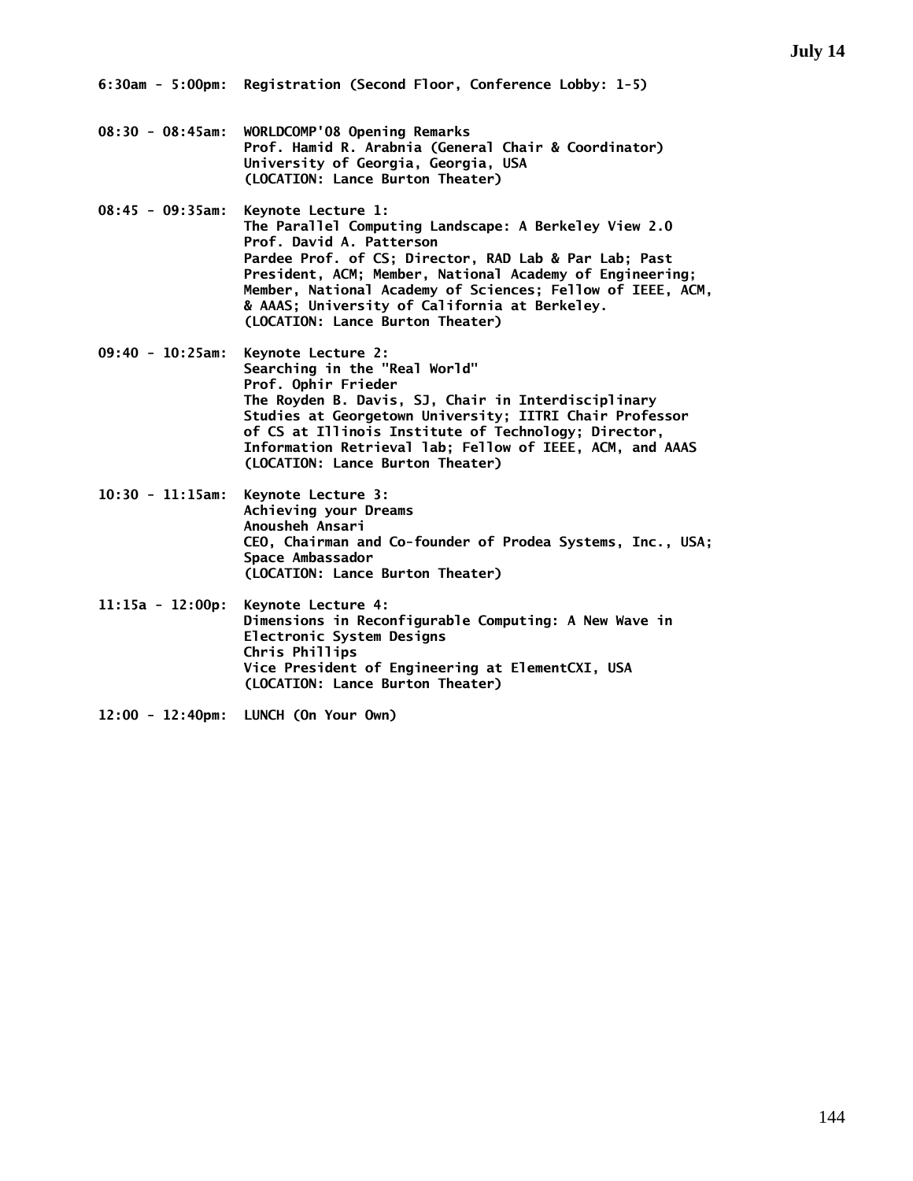- **08:30 08:45am: WORLDCOMP'08 Opening Remarks Prof. Hamid R. Arabnia (General Chair & Coordinator) University of Georgia, Georgia, USA (LOCATION: Lance Burton Theater)**
- **08:45 09:35am: Keynote Lecture 1: The Parallel Computing Landscape: A Berkeley View 2.0 Prof. David A. Patterson Pardee Prof. of CS; Director, RAD Lab & Par Lab; Past President, ACM; Member, National Academy of Engineering; Member, National Academy of Sciences; Fellow of IEEE, ACM, & AAAS; University of California at Berkeley. (LOCATION: Lance Burton Theater)**
- **09:40 10:25am: Keynote Lecture 2: Searching in the "Real World" Prof. Ophir Frieder The Royden B. Davis, SJ, Chair in Interdisciplinary Studies at Georgetown University; IITRI Chair Professor of CS at Illinois Institute of Technology; Director, Information Retrieval lab; Fellow of IEEE, ACM, and AAAS (LOCATION: Lance Burton Theater)**
- **10:30 11:15am: Keynote Lecture 3: Achieving your Dreams Anousheh Ansari CEO, Chairman and Co-founder of Prodea Systems, Inc., USA; Space Ambassador (LOCATION: Lance Burton Theater)**
- **11:15a 12:00p: Keynote Lecture 4: Dimensions in Reconfigurable Computing: A New Wave in Electronic System Designs Chris Phillips Vice President of Engineering at ElementCXI, USA (LOCATION: Lance Burton Theater)**
- **12:00 12:40pm: LUNCH (On Your Own)**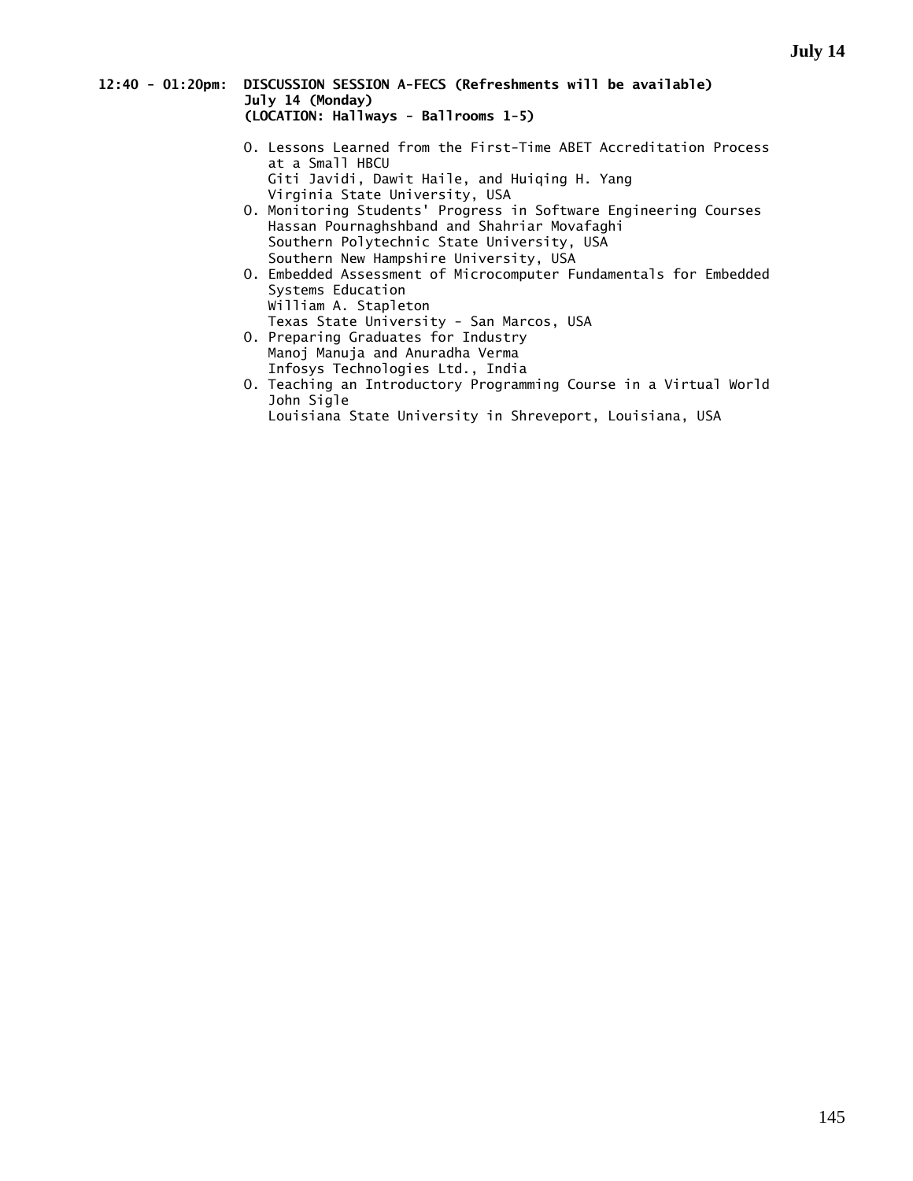### **12:40 - 01:20pm: DISCUSSION SESSION A-FECS (Refreshments will be available) July 14 (Monday) (LOCATION: Hallways - Ballrooms 1-5)**

- O. Lessons Learned from the First-Time ABET Accreditation Process at a Small HBCU Giti Javidi, Dawit Haile, and Huiqing H. Yang Virginia State University, USA
- O. Monitoring Students' Progress in Software Engineering Courses Hassan Pournaghshband and Shahriar Movafaghi Southern Polytechnic State University, USA Southern New Hampshire University, USA
- O. Embedded Assessment of Microcomputer Fundamentals for Embedded Systems Education William A. Stapleton
- Texas State University San Marcos, USA
- O. Preparing Graduates for Industry Manoj Manuja and Anuradha Verma Infosys Technologies Ltd., India
- O. Teaching an Introductory Programming Course in a Virtual World John Sigle
	- Louisiana State University in Shreveport, Louisiana, USA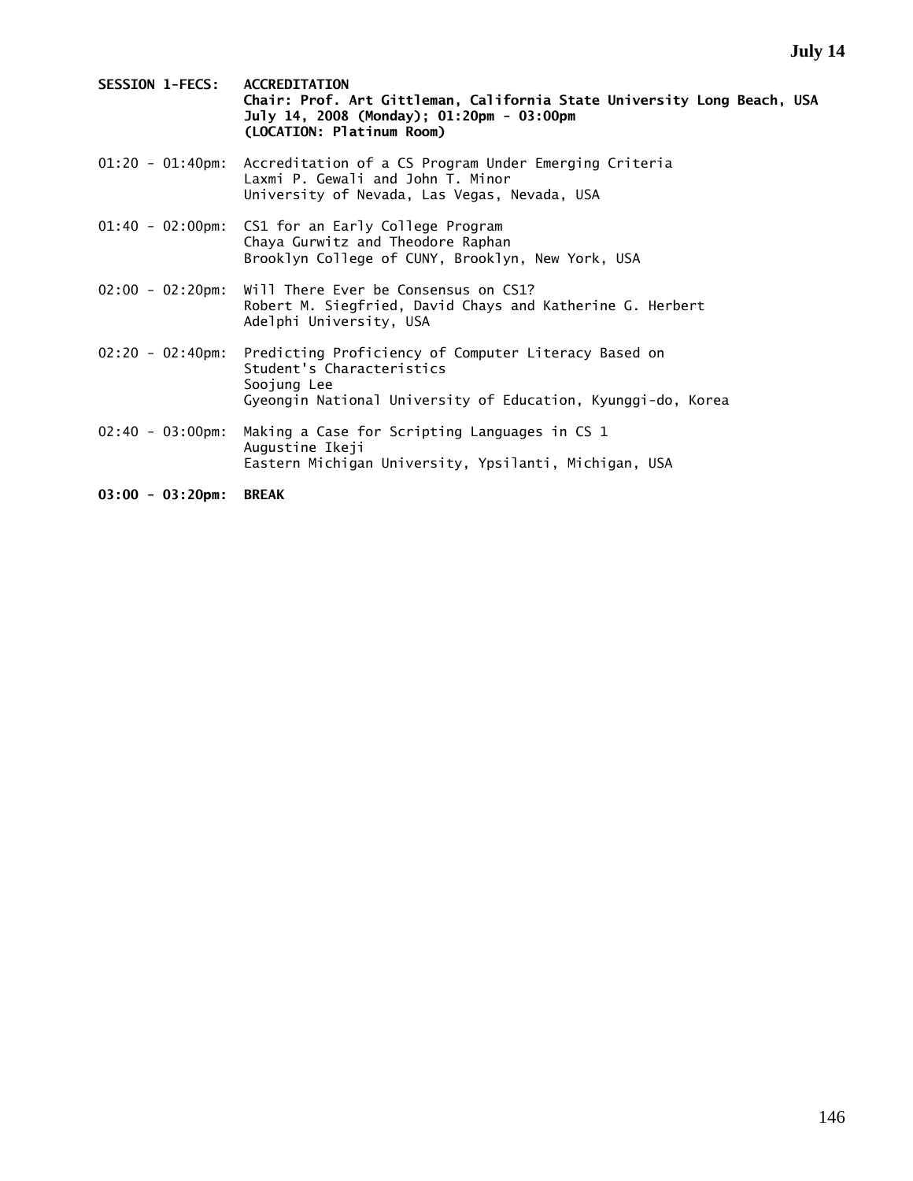| <b>SESSION 1-FECS:</b>      | <b>ACCREDITATION</b><br>Chair: Prof. Art Gittleman, California State University Long Beach, USA<br>July 14, 2008 (Monday); 01:20pm - 03:00pm<br>(LOCATION: Platinum Room) |
|-----------------------------|---------------------------------------------------------------------------------------------------------------------------------------------------------------------------|
| $01:20 - 01:40$ pm:         | Accreditation of a CS Program Under Emerging Criteria<br>Laxmi P. Gewali and John T. Minor<br>University of Nevada, Las Vegas, Nevada, USA                                |
|                             | 01:40 - 02:00pm: CS1 for an Early College Program<br>Chaya Gurwitz and Theodore Raphan<br>Brooklyn College of CUNY, Brooklyn, New York, USA                               |
| $02:00 - 02:20 \text{pm}$   | Will There Ever be Consensus on CS1?<br>Robert M. Siegfried, David Chays and Katherine G. Herbert<br>Adelphi University, USA                                              |
| $02:20 - 02:40 \text{pm}$   | Predicting Proficiency of Computer Literacy Based on<br>Student's Characteristics<br>Soojung Lee<br>Gyeongin National University of Education, Kyunggi-do, Korea          |
| $02:40 - 03:00 \text{pm}$ : | Making a Case for Scripting Languages in CS 1<br>Augustine Ikeji<br>Eastern Michigan University, Ypsilanti, Michigan, USA                                                 |

**03:00 - 03:20pm: BREAK**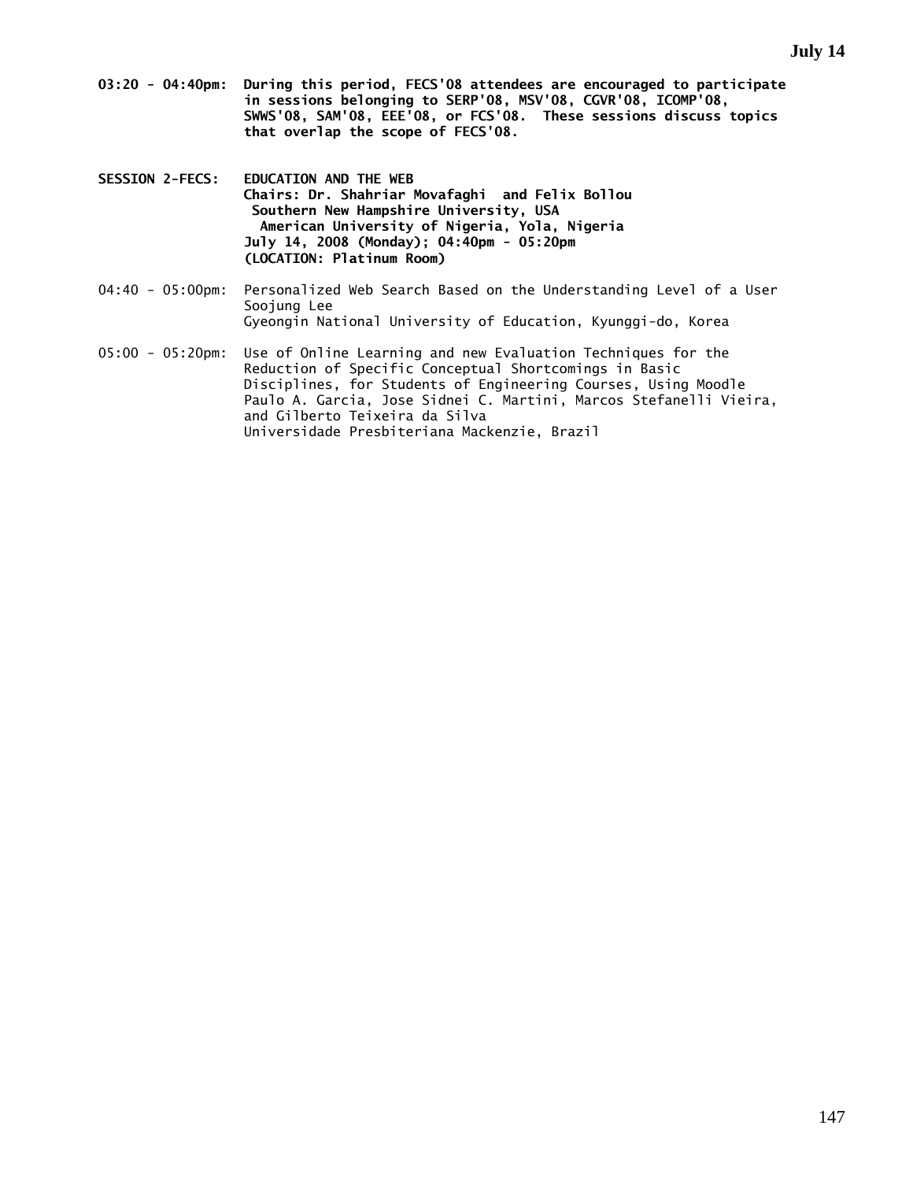- **03:20 04:40pm: During this period, FECS'08 attendees are encouraged to participate in sessions belonging to SERP'08, MSV'08, CGVR'08, ICOMP'08, SWWS'08, SAM'08, EEE'08, or FCS'08. These sessions discuss topics that overlap the scope of FECS'08.**
- **SESSION 2-FECS: EDUCATION AND THE WEB Chairs: Dr. Shahriar Movafaghi and Felix Bollou Southern New Hampshire University, USA American University of Nigeria, Yola, Nigeria July 14, 2008 (Monday); 04:40pm - 05:20pm (LOCATION: Platinum Room)**
- 04:40 05:00pm: Personalized Web Search Based on the Understanding Level of a User Soojung Lee Gyeongin National University of Education, Kyunggi-do, Korea
- 05:00 05:20pm: Use of Online Learning and new Evaluation Techniques for the Reduction of Specific Conceptual Shortcomings in Basic Disciplines, for Students of Engineering Courses, Using Moodle Paulo A. Garcia, Jose Sidnei C. Martini, Marcos Stefanelli Vieira, and Gilberto Teixeira da Silva Universidade Presbiteriana Mackenzie, Brazil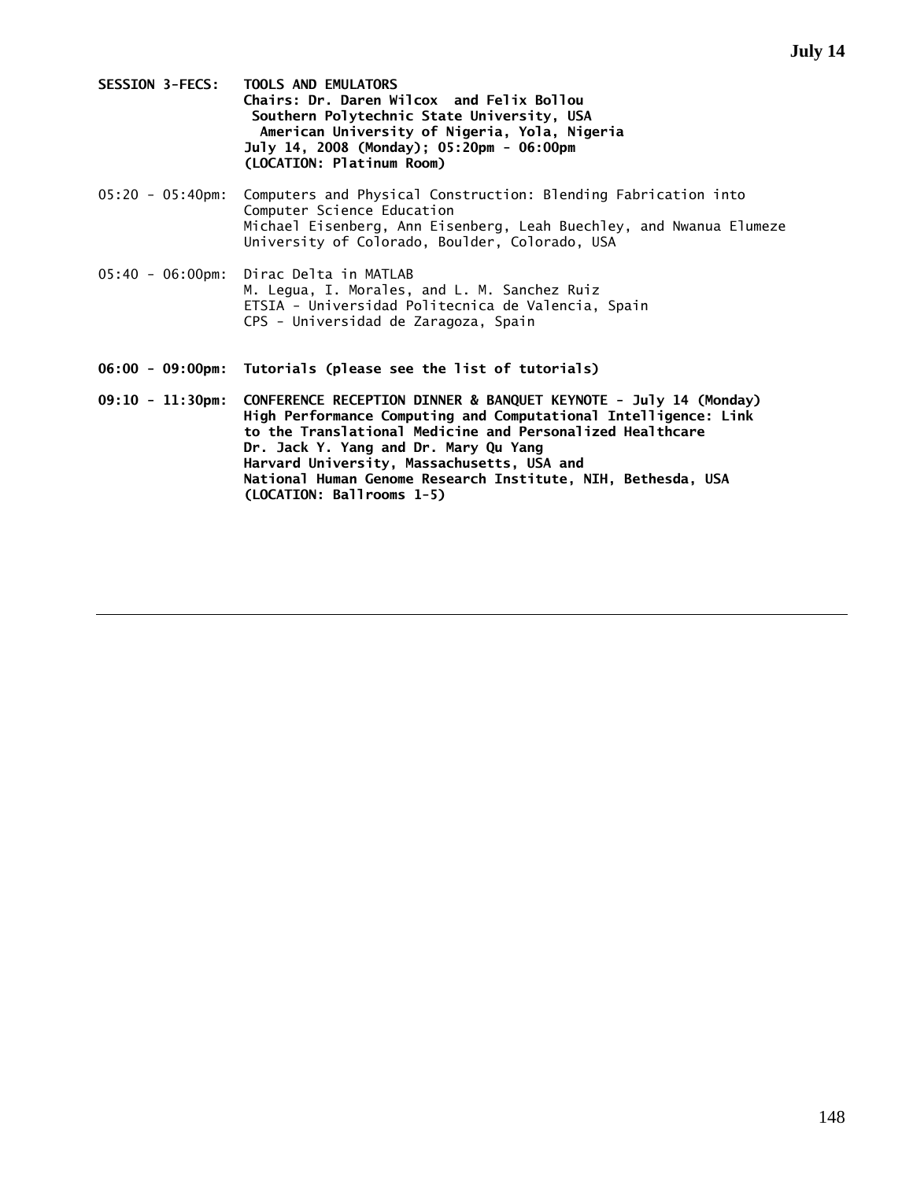- **SESSION 3-FECS: TOOLS AND EMULATORS Chairs: Dr. Daren Wilcox and Felix Bollou Southern Polytechnic State University, USA American University of Nigeria, Yola, Nigeria July 14, 2008 (Monday); 05:20pm - 06:00pm (LOCATION: Platinum Room)**
- 05:20 05:40pm: Computers and Physical Construction: Blending Fabrication into Computer Science Education Michael Eisenberg, Ann Eisenberg, Leah Buechley, and Nwanua Elumeze University of Colorado, Boulder, Colorado, USA
- 05:40 06:00pm: Dirac Delta in MATLAB M. Legua, I. Morales, and L. M. Sanchez Ruiz ETSIA - Universidad Politecnica de Valencia, Spain CPS - Universidad de Zaragoza, Spain
- **06:00 09:00pm: Tutorials (please see the list of tutorials)**
- **09:10 11:30pm: CONFERENCE RECEPTION DINNER & BANQUET KEYNOTE July 14 (Monday) High Performance Computing and Computational Intelligence: Link to the Translational Medicine and Personalized Healthcare Dr. Jack Y. Yang and Dr. Mary Qu Yang Harvard University, Massachusetts, USA and National Human Genome Research Institute, NIH, Bethesda, USA (LOCATION: Ballrooms 1-5)**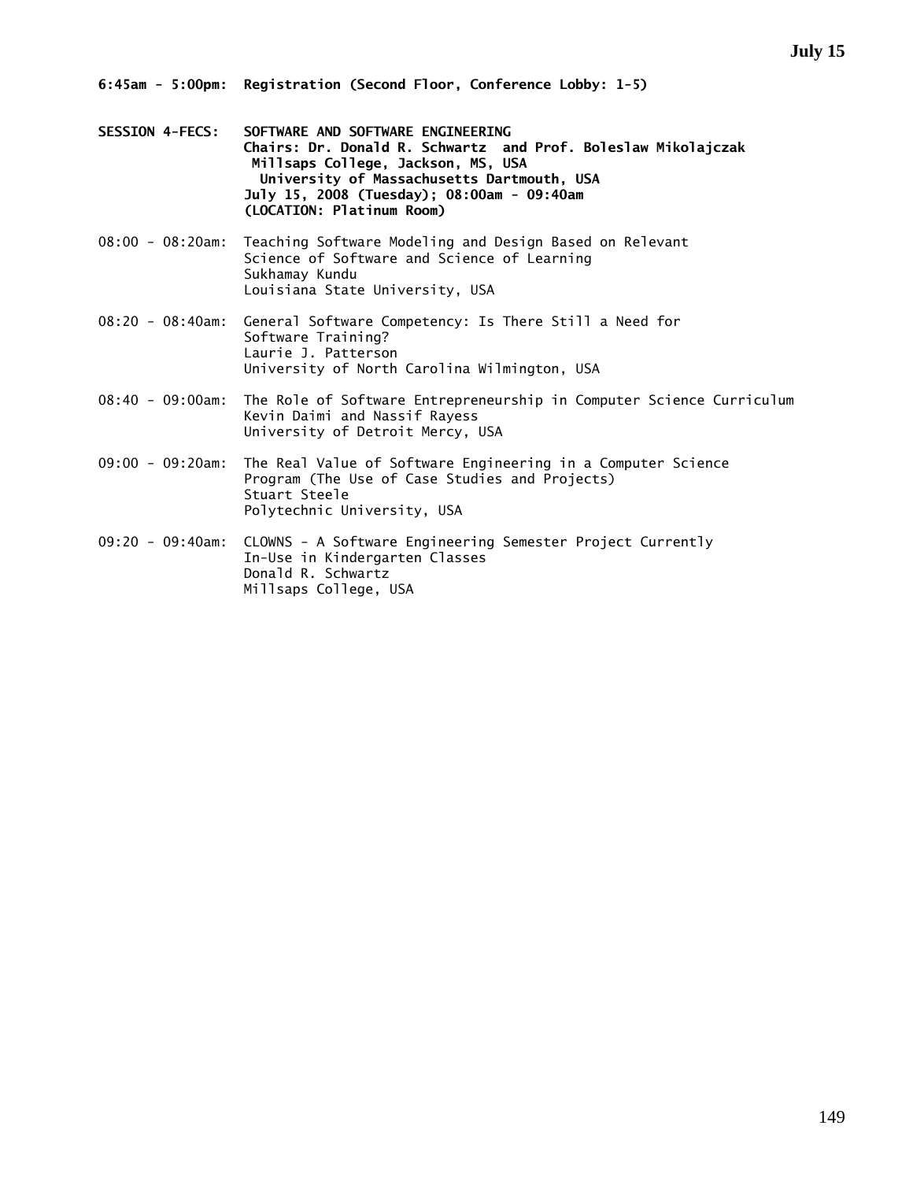- **SESSION 4-FECS: SOFTWARE AND SOFTWARE ENGINEERING Chairs: Dr. Donald R. Schwartz and Prof. Boleslaw Mikolajczak Millsaps College, Jackson, MS, USA University of Massachusetts Dartmouth, USA July 15, 2008 (Tuesday); 08:00am - 09:40am (LOCATION: Platinum Room)**
- 08:00 08:20am: Teaching Software Modeling and Design Based on Relevant Science of Software and Science of Learning Sukhamay Kundu Louisiana State University, USA
- 08:20 08:40am: General Software Competency: Is There Still a Need for Software Training? Laurie J. Patterson University of North Carolina Wilmington, USA
- 08:40 09:00am: The Role of Software Entrepreneurship in Computer Science Curriculum Kevin Daimi and Nassif Rayess University of Detroit Mercy, USA
- 09:00 09:20am: The Real Value of Software Engineering in a Computer Science Program (The Use of Case Studies and Projects) Stuart Steele Polytechnic University, USA
- 09:20 09:40am: CLOWNS A Software Engineering Semester Project Currently In-Use in Kindergarten Classes Donald R. Schwartz Millsaps College, USA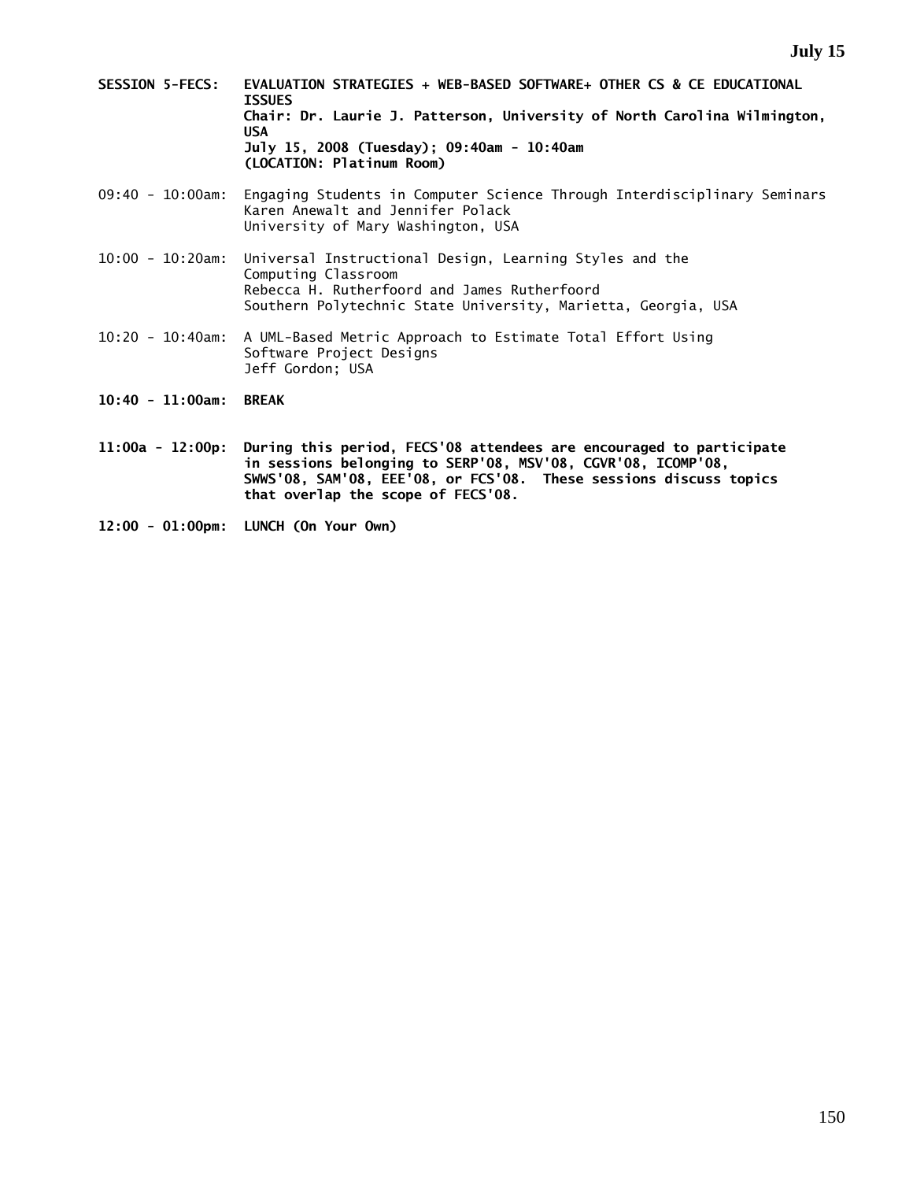- **SESSION 5-FECS: EVALUATION STRATEGIES + WEB-BASED SOFTWARE+ OTHER CS & CE EDUCATIONAL ISSUES Chair: Dr. Laurie J. Patterson, University of North Carolina Wilmington, USA July 15, 2008 (Tuesday); 09:40am - 10:40am (LOCATION: Platinum Room)**
- 09:40 10:00am: Engaging Students in Computer Science Through Interdisciplinary Seminars Karen Anewalt and Jennifer Polack University of Mary Washington, USA
- 10:00 10:20am: Universal Instructional Design, Learning Styles and the Computing Classroom Rebecca H. Rutherfoord and James Rutherfoord Southern Polytechnic State University, Marietta, Georgia, USA
- 10:20 10:40am: A UML-Based Metric Approach to Estimate Total Effort Using Software Project Designs Jeff Gordon; USA
- **10:40 11:00am: BREAK**
- **11:00a 12:00p: During this period, FECS'08 attendees are encouraged to participate in sessions belonging to SERP'08, MSV'08, CGVR'08, ICOMP'08, SWWS'08, SAM'08, EEE'08, or FCS'08. These sessions discuss topics that overlap the scope of FECS'08.**
- **12:00 01:00pm: LUNCH (On Your Own)**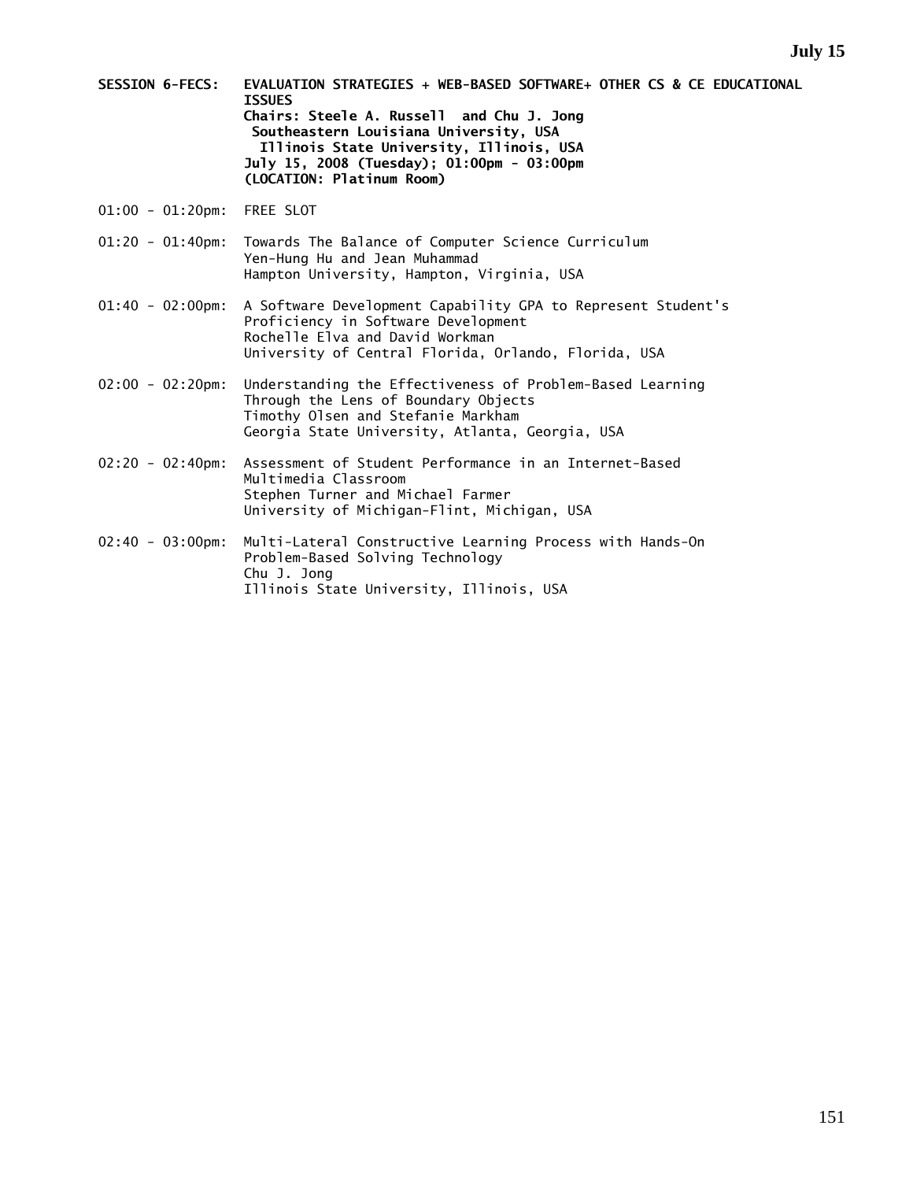- **SESSION 6-FECS: EVALUATION STRATEGIES + WEB-BASED SOFTWARE+ OTHER CS & CE EDUCATIONAL ISSUES Chairs: Steele A. Russell and Chu J. Jong Southeastern Louisiana University, USA Illinois State University, Illinois, USA July 15, 2008 (Tuesday); 01:00pm - 03:00pm (LOCATION: Platinum Room)**
- 01:00 01:20pm: FREE SLOT
- 01:20 01:40pm: Towards The Balance of Computer Science Curriculum Yen-Hung Hu and Jean Muhammad Hampton University, Hampton, Virginia, USA
- 01:40 02:00pm: A Software Development Capability GPA to Represent Student's Proficiency in Software Development Rochelle Elva and David Workman University of Central Florida, Orlando, Florida, USA
- 02:00 02:20pm: Understanding the Effectiveness of Problem-Based Learning Through the Lens of Boundary Objects Timothy Olsen and Stefanie Markham Georgia State University, Atlanta, Georgia, USA
- 02:20 02:40pm: Assessment of Student Performance in an Internet-Based Multimedia Classroom Stephen Turner and Michael Farmer University of Michigan-Flint, Michigan, USA
- 02:40 03:00pm: Multi-Lateral Constructive Learning Process with Hands-On Problem-Based Solving Technology Chu J. Jong Illinois State University, Illinois, USA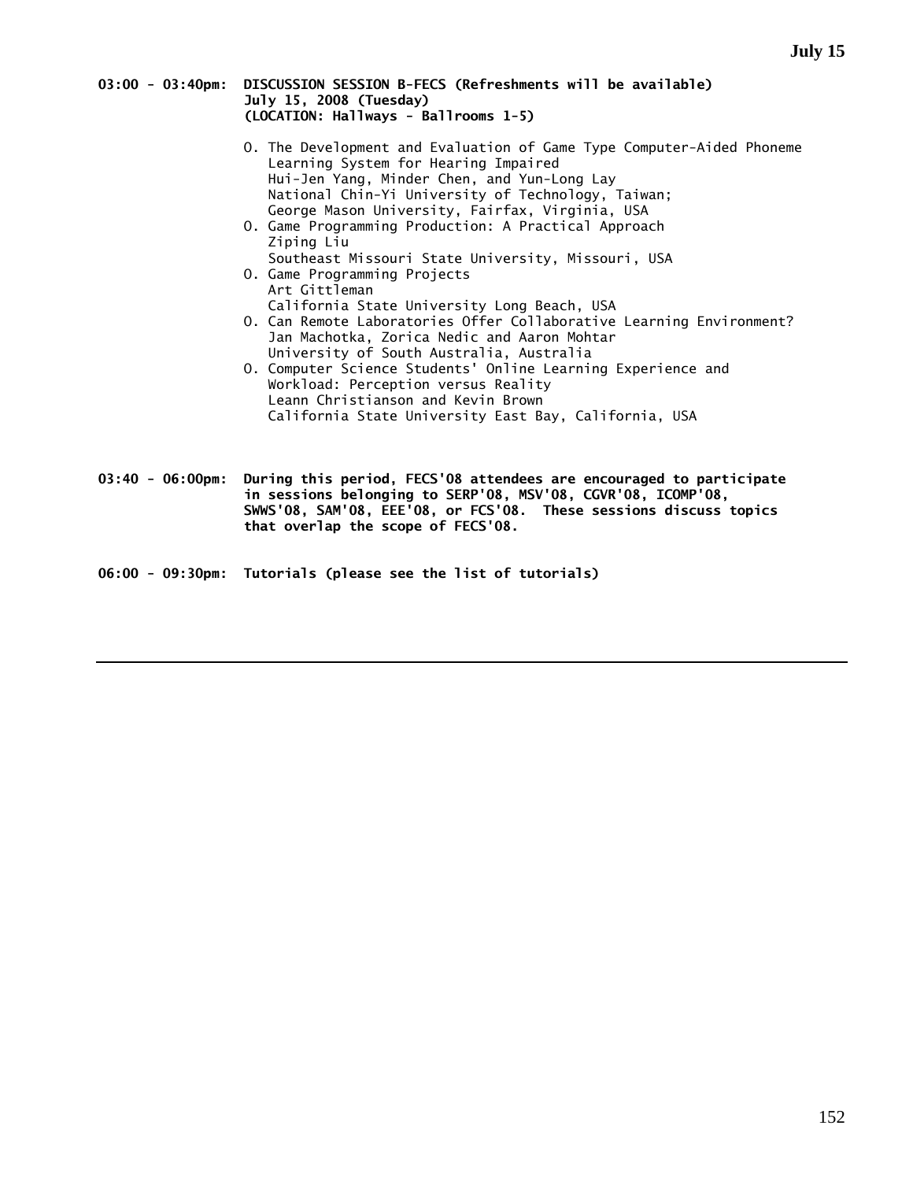### **03:00 - 03:40pm: DISCUSSION SESSION B-FECS (Refreshments will be available) July 15, 2008 (Tuesday) (LOCATION: Hallways - Ballrooms 1-5)**

- O. The Development and Evaluation of Game Type Computer-Aided Phoneme Learning System for Hearing Impaired Hui-Jen Yang, Minder Chen, and Yun-Long Lay National Chin-Yi University of Technology, Taiwan; George Mason University, Fairfax, Virginia, USA
- O. Game Programming Production: A Practical Approach Ziping Liu Southeast Missouri State University, Missouri, USA
- O. Game Programming Projects Art Gittleman California State University Long Beach, USA
- O. Can Remote Laboratories Offer Collaborative Learning Environment? Jan Machotka, Zorica Nedic and Aaron Mohtar University of South Australia, Australia
- O. Computer Science Students' Online Learning Experience and Workload: Perception versus Reality Leann Christianson and Kevin Brown California State University East Bay, California, USA

**03:40 - 06:00pm: During this period, FECS'08 attendees are encouraged to participate in sessions belonging to SERP'08, MSV'08, CGVR'08, ICOMP'08, SWWS'08, SAM'08, EEE'08, or FCS'08. These sessions discuss topics that overlap the scope of FECS'08.**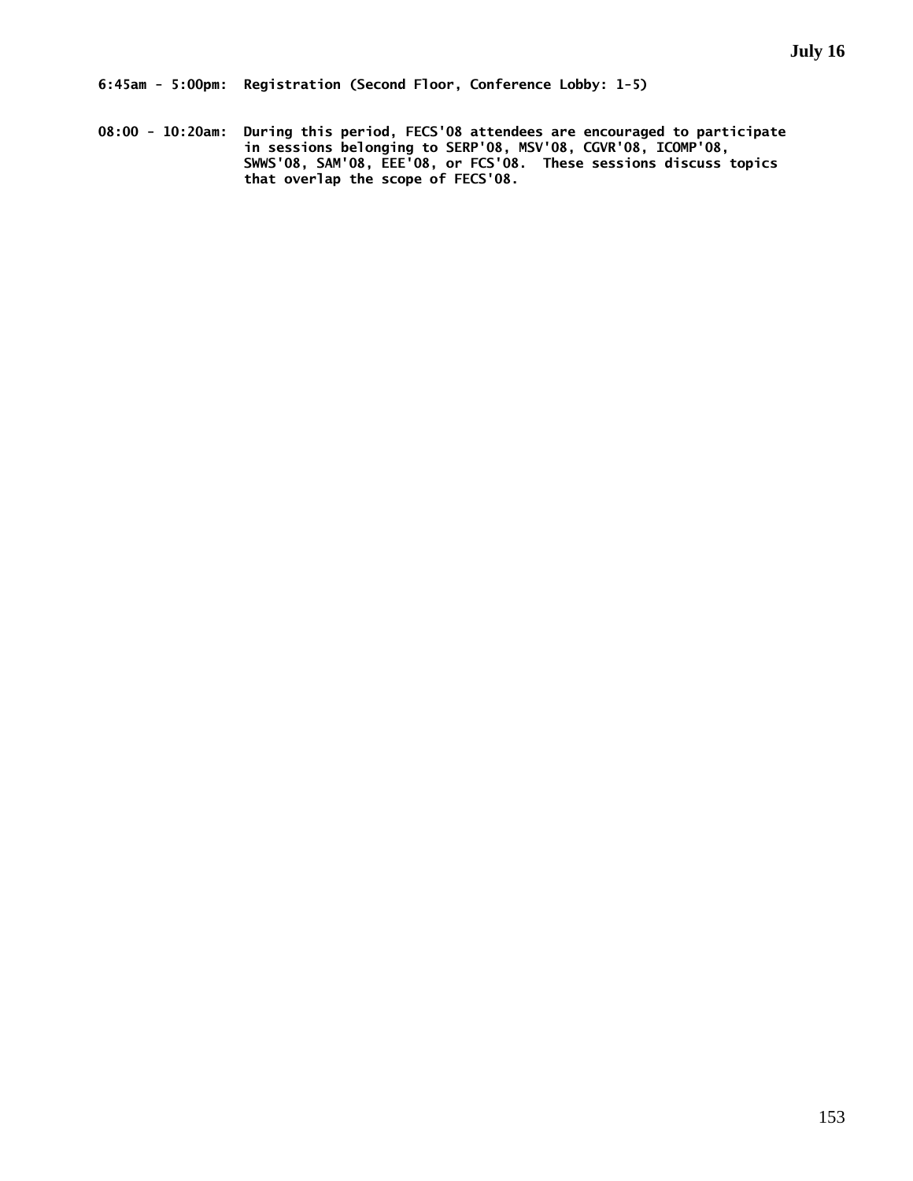**08:00 - 10:20am: During this period, FECS'08 attendees are encouraged to participate in sessions belonging to SERP'08, MSV'08, CGVR'08, ICOMP'08, SWWS'08, SAM'08, EEE'08, or FCS'08. These sessions discuss topics that overlap the scope of FECS'08.**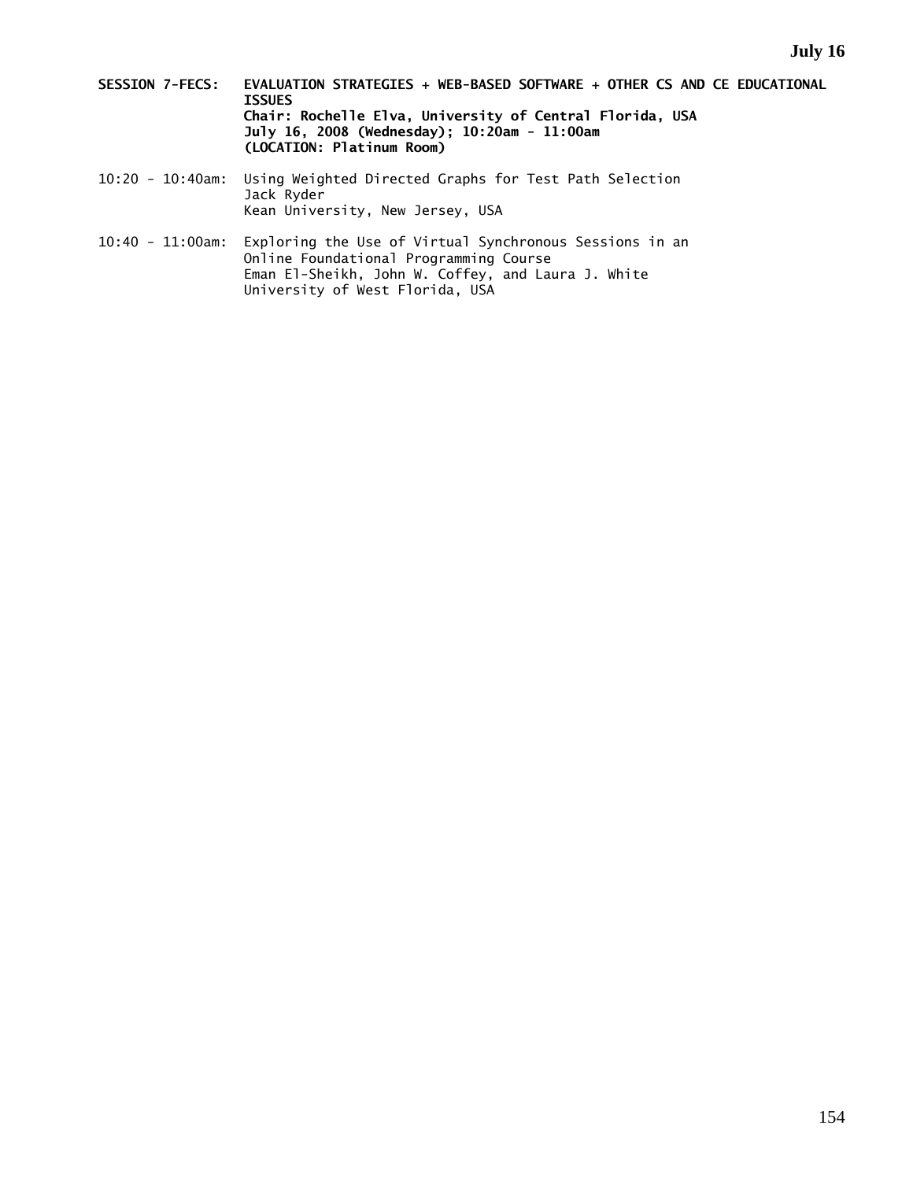- **SESSION 7-FECS: EVALUATION STRATEGIES + WEB-BASED SOFTWARE + OTHER CS AND CE EDUCATIONAL ISSUES Chair: Rochelle Elva, University of Central Florida, USA July 16, 2008 (Wednesday); 10:20am - 11:00am (LOCATION: Platinum Room)**
- 10:20 10:40am: Using Weighted Directed Graphs for Test Path Selection Jack Ryder Kean University, New Jersey, USA
- 10:40 11:00am: Exploring the Use of Virtual Synchronous Sessions in an Online Foundational Programming Course Eman El-Sheikh, John W. Coffey, and Laura J. White University of West Florida, USA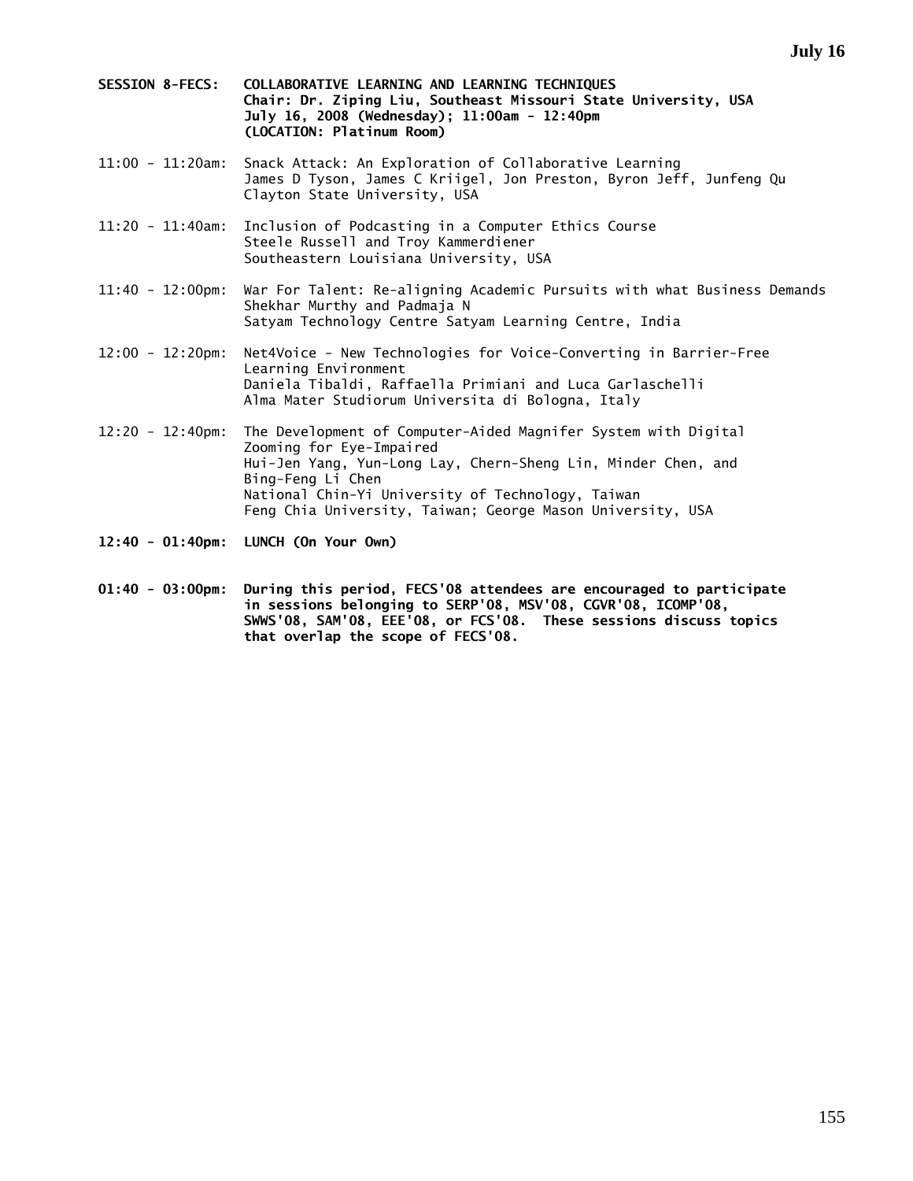- **SESSION 8-FECS: COLLABORATIVE LEARNING AND LEARNING TECHNIQUES Chair: Dr. Ziping Liu, Southeast Missouri State University, USA July 16, 2008 (Wednesday); 11:00am - 12:40pm (LOCATION: Platinum Room)**
- 11:00 11:20am: Snack Attack: An Exploration of Collaborative Learning James D Tyson, James C Kriigel, Jon Preston, Byron Jeff, Junfeng Qu Clayton State University, USA
- 11:20 11:40am: Inclusion of Podcasting in a Computer Ethics Course Steele Russell and Troy Kammerdiener Southeastern Louisiana University, USA
- 11:40 12:00pm: War For Talent: Re-aligning Academic Pursuits with what Business Demands Shekhar Murthy and Padmaja N Satyam Technology Centre Satyam Learning Centre, India
- 12:00 12:20pm: Net4Voice New Technologies for Voice-Converting in Barrier-Free Learning Environment Daniela Tibaldi, Raffaella Primiani and Luca Garlaschelli Alma Mater Studiorum Universita di Bologna, Italy
- 12:20 12:40pm: The Development of Computer-Aided Magnifer System with Digital Zooming for Eye-Impaired Hui-Jen Yang, Yun-Long Lay, Chern-Sheng Lin, Minder Chen, and Bing-Feng Li Chen National Chin-Yi University of Technology, Taiwan Feng Chia University, Taiwan; George Mason University, USA
- **12:40 01:40pm: LUNCH (On Your Own)**
- **01:40 03:00pm: During this period, FECS'08 attendees are encouraged to participate in sessions belonging to SERP'08, MSV'08, CGVR'08, ICOMP'08, SWWS'08, SAM'08, EEE'08, or FCS'08. These sessions discuss topics that overlap the scope of FECS'08.**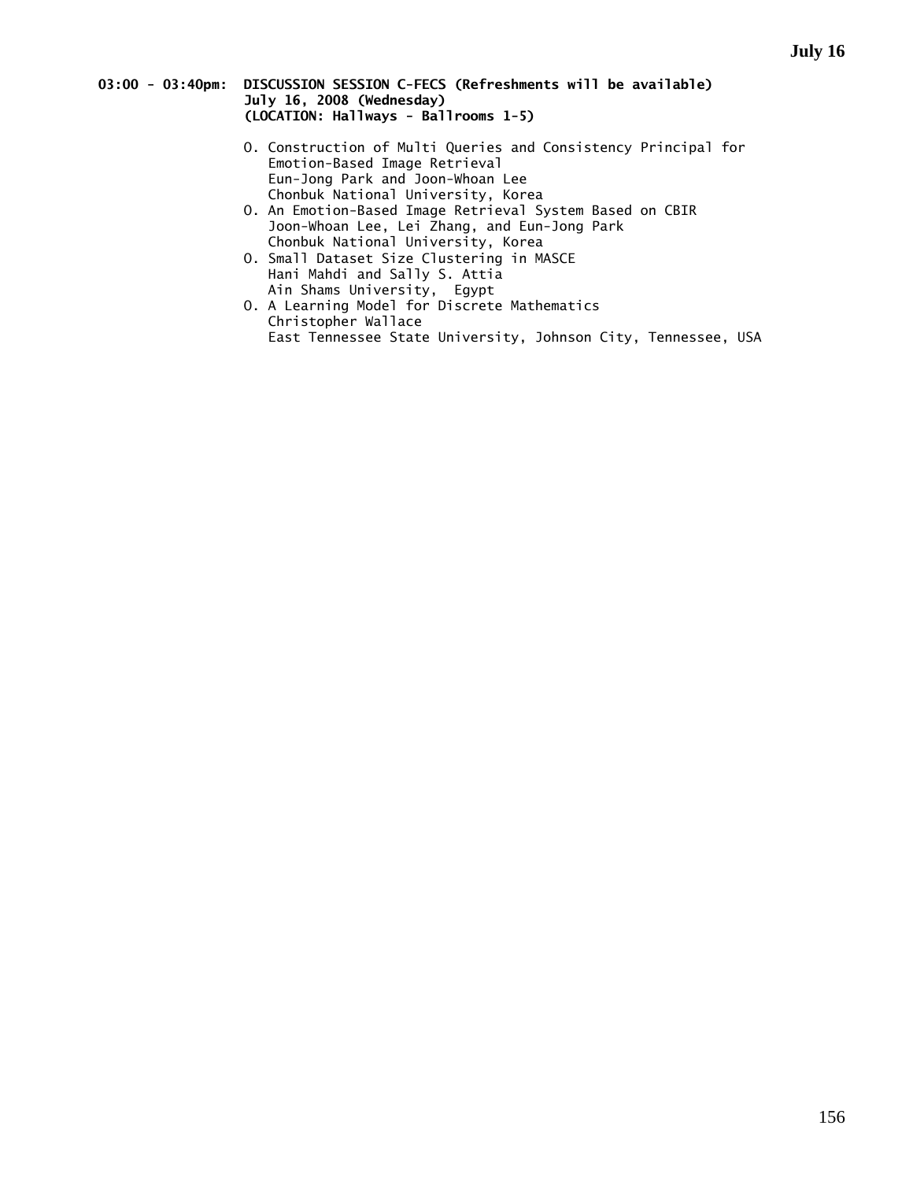### **03:00 - 03:40pm: DISCUSSION SESSION C-FECS (Refreshments will be available) July 16, 2008 (Wednesday) (LOCATION: Hallways - Ballrooms 1-5)**

- O. Construction of Multi Queries and Consistency Principal for Emotion-Based Image Retrieval Eun-Jong Park and Joon-Whoan Lee Chonbuk National University, Korea
- O. An Emotion-Based Image Retrieval System Based on CBIR Joon-Whoan Lee, Lei Zhang, and Eun-Jong Park Chonbuk National University, Korea
- O. Small Dataset Size Clustering in MASCE Hani Mahdi and Sally S. Attia Ain Shams University, Egypt
- O. A Learning Model for Discrete Mathematics Christopher Wallace East Tennessee State University, Johnson City, Tennessee, USA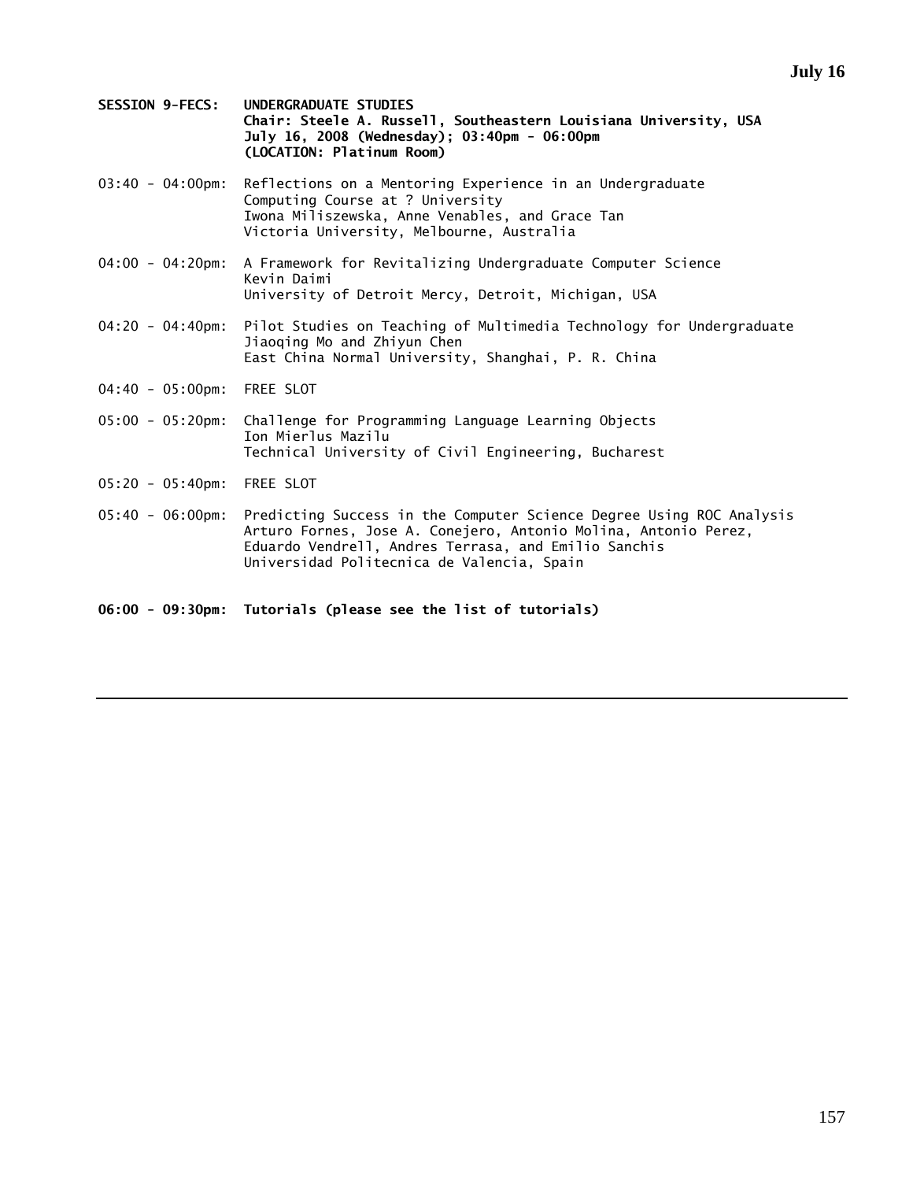- **SESSION 9-FECS: UNDERGRADUATE STUDIES Chair: Steele A. Russell, Southeastern Louisiana University, USA July 16, 2008 (Wednesday); 03:40pm - 06:00pm (LOCATION: Platinum Room)**
- 03:40 04:00pm: Reflections on a Mentoring Experience in an Undergraduate Computing Course at ? University Iwona Miliszewska, Anne Venables, and Grace Tan Victoria University, Melbourne, Australia
- 04:00 04:20pm: A Framework for Revitalizing Undergraduate Computer Science Kevin Daimi University of Detroit Mercy, Detroit, Michigan, USA
- 04:20 04:40pm: Pilot Studies on Teaching of Multimedia Technology for Undergraduate Jiaoqing Mo and Zhiyun Chen East China Normal University, Shanghai, P. R. China
- 04:40 05:00pm: FREE SLOT
- 05:00 05:20pm: Challenge for Programming Language Learning Objects Ion Mierlus Mazilu Technical University of Civil Engineering, Bucharest
- 05:20 05:40pm: FREE SLOT
- 05:40 06:00pm: Predicting Success in the Computer Science Degree Using ROC Analysis Arturo Fornes, Jose A. Conejero, Antonio Molina, Antonio Perez, Eduardo Vendrell, Andres Terrasa, and Emilio Sanchis Universidad Politecnica de Valencia, Spain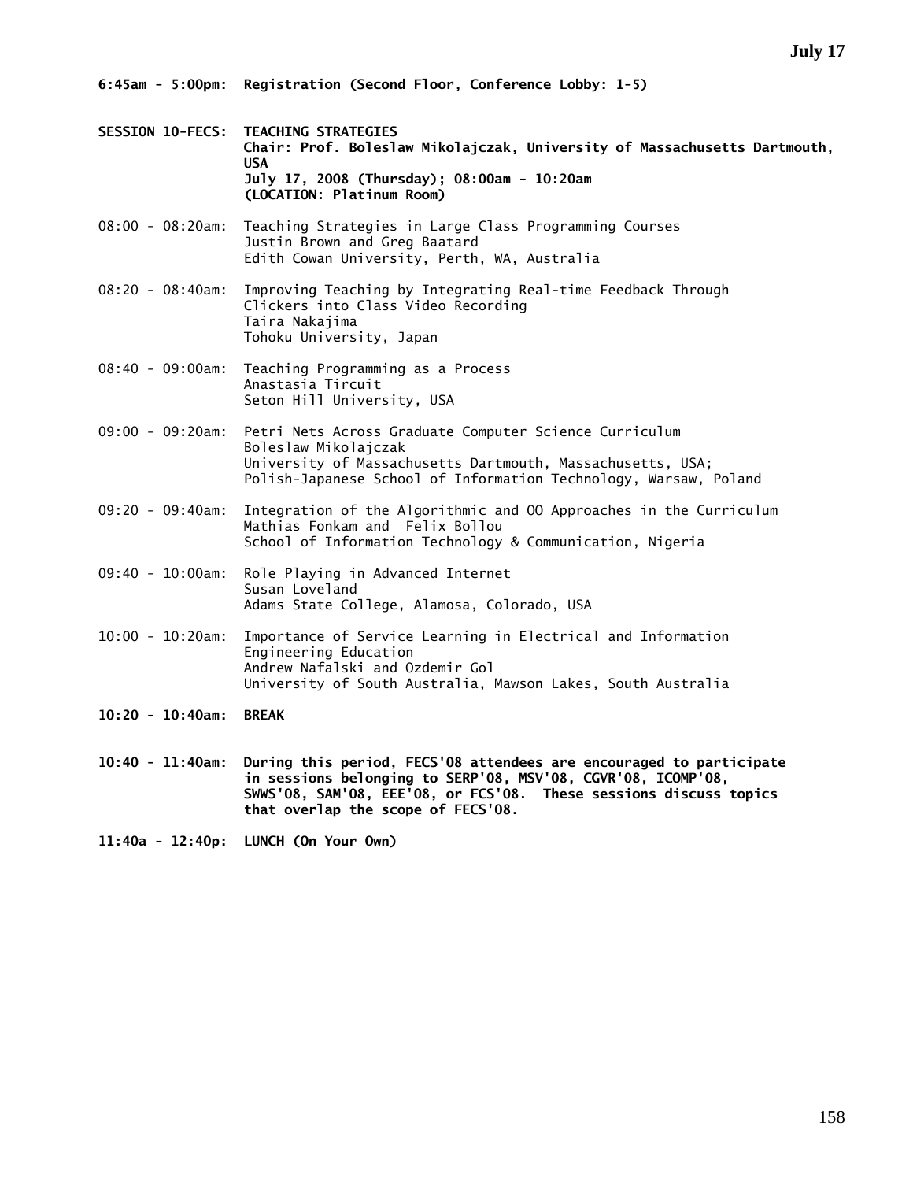- **SESSION 10-FECS: TEACHING STRATEGIES Chair: Prof. Boleslaw Mikolajczak, University of Massachusetts Dartmouth, USA July 17, 2008 (Thursday); 08:00am - 10:20am (LOCATION: Platinum Room)**
- 08:00 08:20am: Teaching Strategies in Large Class Programming Courses Justin Brown and Greg Baatard Edith Cowan University, Perth, WA, Australia
- 08:20 08:40am: Improving Teaching by Integrating Real-time Feedback Through Clickers into Class Video Recording Taira Nakajima Tohoku University, Japan
- 08:40 09:00am: Teaching Programming as a Process Anastasia Tircuit Seton Hill University, USA
- 09:00 09:20am: Petri Nets Across Graduate Computer Science Curriculum Boleslaw Mikolajczak University of Massachusetts Dartmouth, Massachusetts, USA; Polish-Japanese School of Information Technology, Warsaw, Poland
- 09:20 09:40am: Integration of the Algorithmic and OO Approaches in the Curriculum Mathias Fonkam and Felix Bollou School of Information Technology & Communication, Nigeria
- 09:40 10:00am: Role Playing in Advanced Internet Susan Loveland Adams State College, Alamosa, Colorado, USA
- 10:00 10:20am: Importance of Service Learning in Electrical and Information Engineering Education Andrew Nafalski and Ozdemir Gol University of South Australia, Mawson Lakes, South Australia
- **10:20 10:40am: BREAK**
- **10:40 11:40am: During this period, FECS'08 attendees are encouraged to participate in sessions belonging to SERP'08, MSV'08, CGVR'08, ICOMP'08, SWWS'08, SAM'08, EEE'08, or FCS'08. These sessions discuss topics that overlap the scope of FECS'08.**
- **11:40a 12:40p: LUNCH (On Your Own)**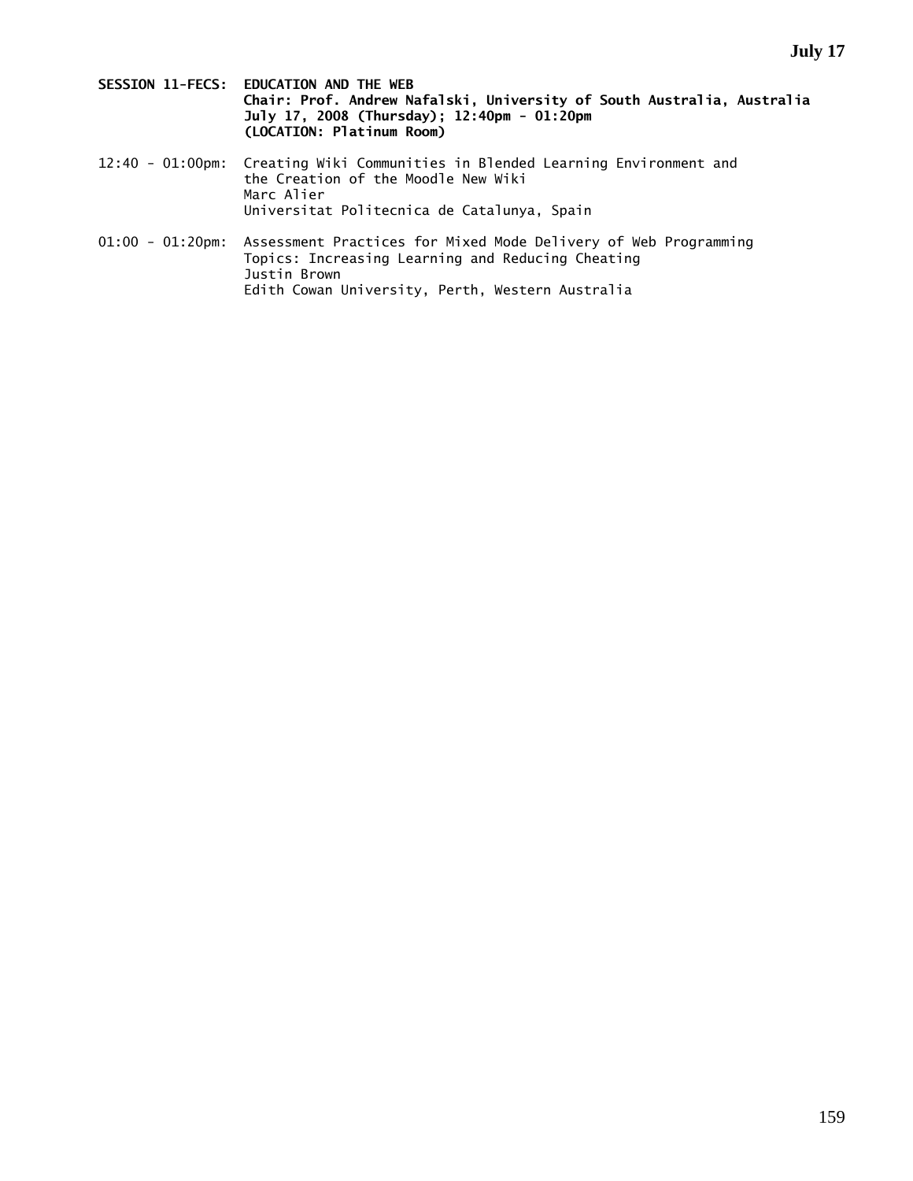- **SESSION 11-FECS: EDUCATION AND THE WEB Chair: Prof. Andrew Nafalski, University of South Australia, Australia July 17, 2008 (Thursday); 12:40pm - 01:20pm (LOCATION: Platinum Room)**
- 12:40 01:00pm: Creating Wiki Communities in Blended Learning Environment and the Creation of the Moodle New Wiki Marc Alier Universitat Politecnica de Catalunya, Spain
- 01:00 01:20pm: Assessment Practices for Mixed Mode Delivery of Web Programming Topics: Increasing Learning and Reducing Cheating Justin Brown Edith Cowan University, Perth, Western Australia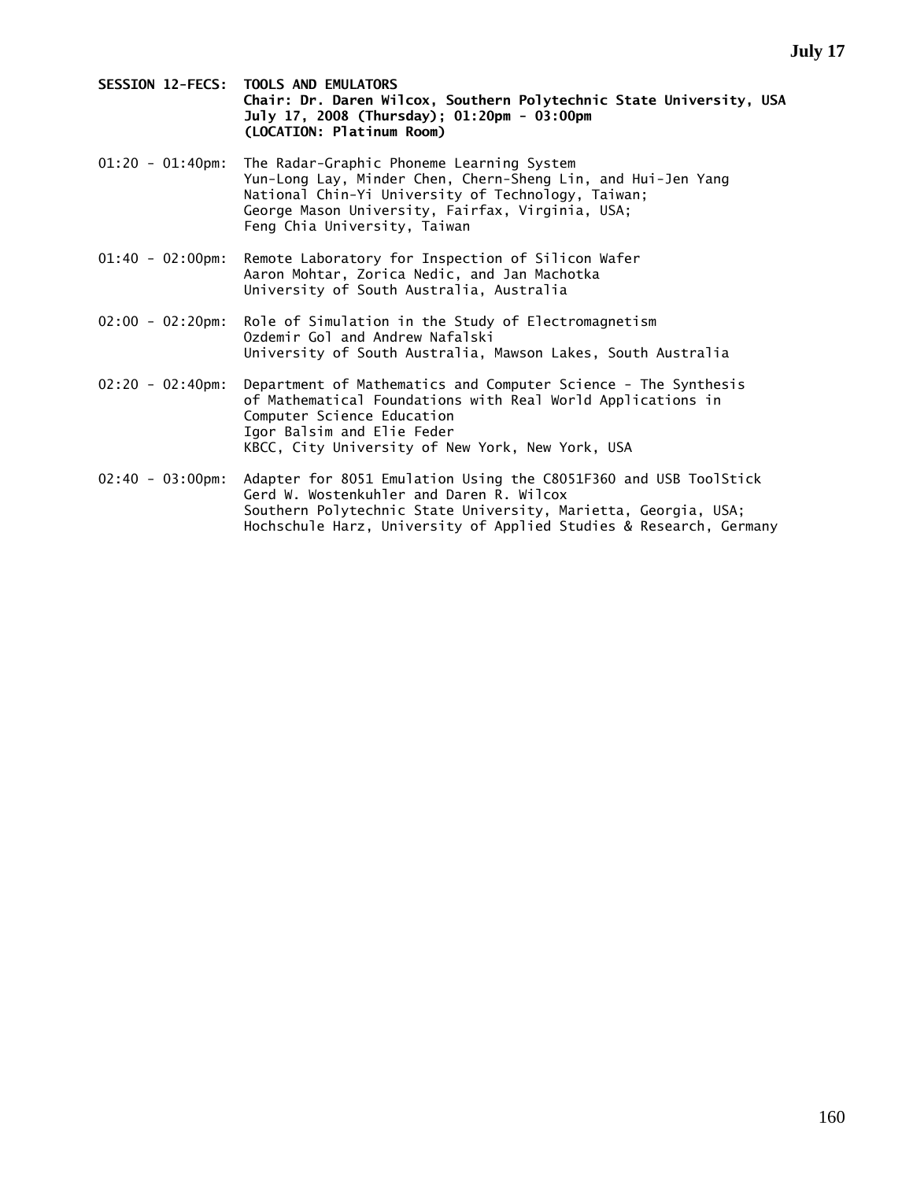**SESSION 12-FECS: TOOLS AND EMULATORS Chair: Dr. Daren Wilcox, Southern Polytechnic State University, USA July 17, 2008 (Thursday); 01:20pm - 03:00pm (LOCATION: Platinum Room)** 

01:20 - 01:40pm: The Radar-Graphic Phoneme Learning System Yun-Long Lay, Minder Chen, Chern-Sheng Lin, and Hui-Jen Yang National Chin-Yi University of Technology, Taiwan; George Mason University, Fairfax, Virginia, USA; Feng Chia University, Taiwan

- 01:40 02:00pm: Remote Laboratory for Inspection of Silicon Wafer Aaron Mohtar, Zorica Nedic, and Jan Machotka University of South Australia, Australia
- 02:00 02:20pm: Role of Simulation in the Study of Electromagnetism Ozdemir Gol and Andrew Nafalski University of South Australia, Mawson Lakes, South Australia
- 02:20 02:40pm: Department of Mathematics and Computer Science The Synthesis of Mathematical Foundations with Real World Applications in Computer Science Education Igor Balsim and Elie Feder KBCC, City University of New York, New York, USA
- 02:40 03:00pm: Adapter for 8051 Emulation Using the C8051F360 and USB ToolStick Gerd W. Wostenkuhler and Daren R. Wilcox Southern Polytechnic State University, Marietta, Georgia, USA; Hochschule Harz, University of Applied Studies & Research, Germany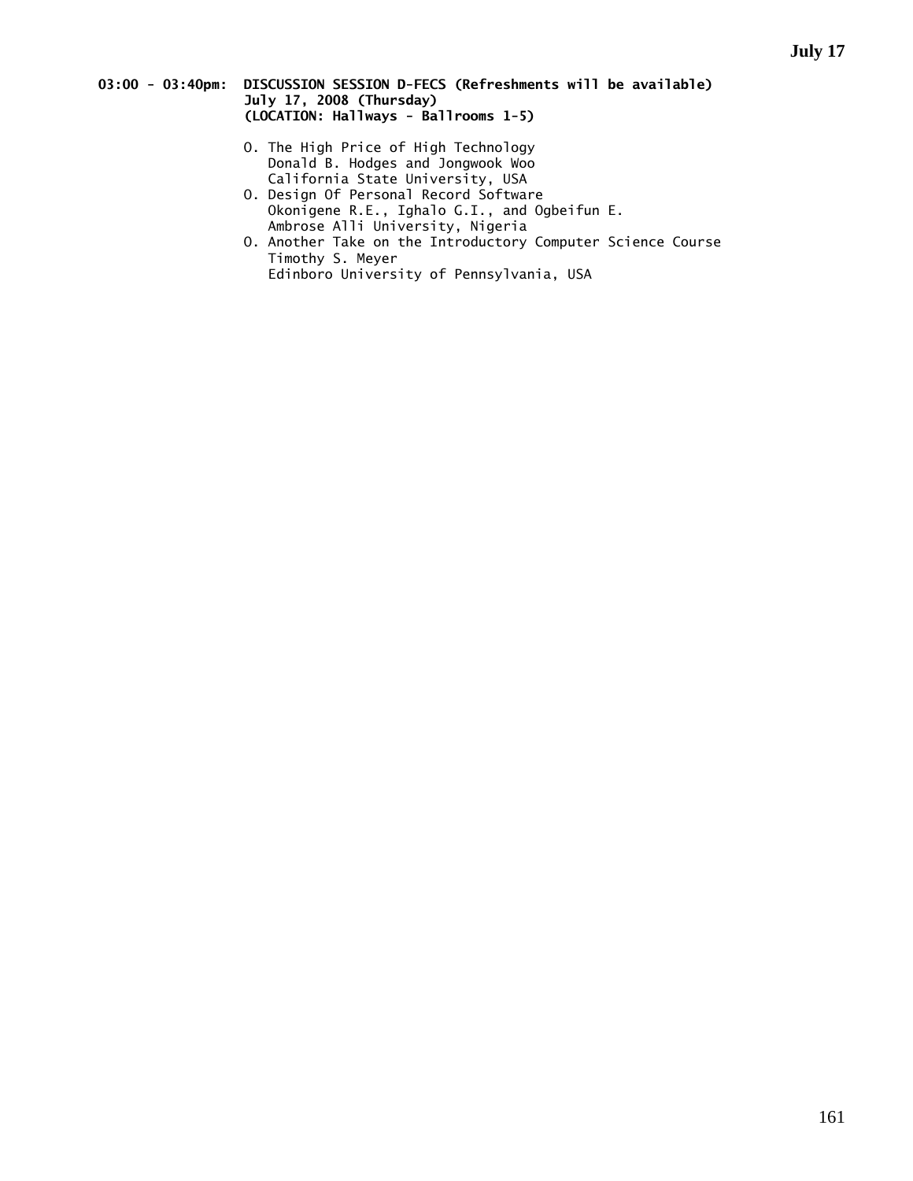## **03:00 - 03:40pm: DISCUSSION SESSION D-FECS (Refreshments will be available) July 17, 2008 (Thursday) (LOCATION: Hallways - Ballrooms 1-5)**

- O. The High Price of High Technology Donald B. Hodges and Jongwook Woo California State University, USA
- O. Design Of Personal Record Software Okonigene R.E., Ighalo G.I., and Ogbeifun E. Ambrose Alli University, Nigeria
- O. Another Take on the Introductory Computer Science Course Timothy S. Meyer Edinboro University of Pennsylvania, USA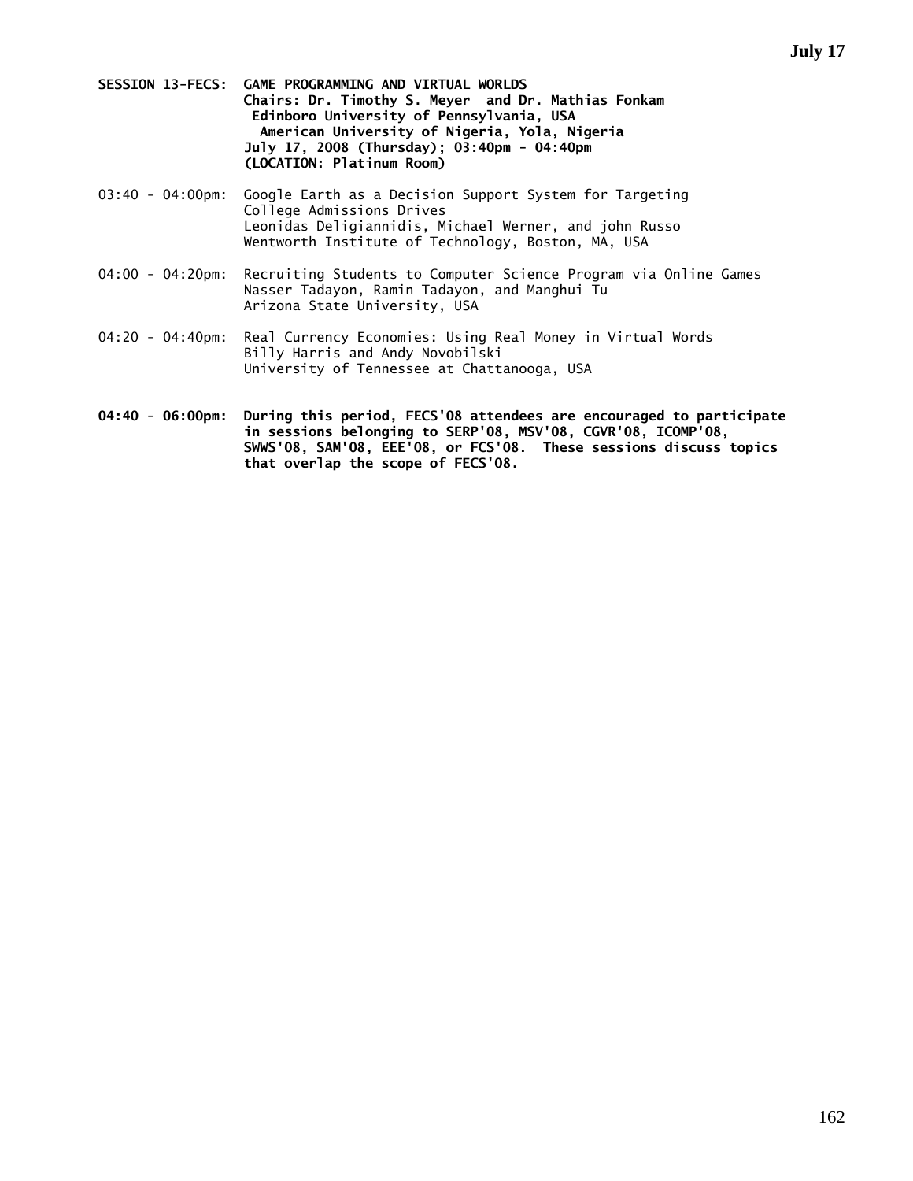- **SESSION 13-FECS: GAME PROGRAMMING AND VIRTUAL WORLDS Chairs: Dr. Timothy S. Meyer and Dr. Mathias Fonkam Edinboro University of Pennsylvania, USA American University of Nigeria, Yola, Nigeria July 17, 2008 (Thursday); 03:40pm - 04:40pm (LOCATION: Platinum Room)**
- 03:40 04:00pm: Google Earth as a Decision Support System for Targeting College Admissions Drives Leonidas Deligiannidis, Michael Werner, and john Russo Wentworth Institute of Technology, Boston, MA, USA
- 04:00 04:20pm: Recruiting Students to Computer Science Program via Online Games Nasser Tadayon, Ramin Tadayon, and Manghui Tu Arizona State University, USA
- 04:20 04:40pm: Real Currency Economies: Using Real Money in Virtual Words Billy Harris and Andy Novobilski University of Tennessee at Chattanooga, USA
- **04:40 06:00pm: During this period, FECS'08 attendees are encouraged to participate in sessions belonging to SERP'08, MSV'08, CGVR'08, ICOMP'08, SWWS'08, SAM'08, EEE'08, or FCS'08. These sessions discuss topics that overlap the scope of FECS'08.**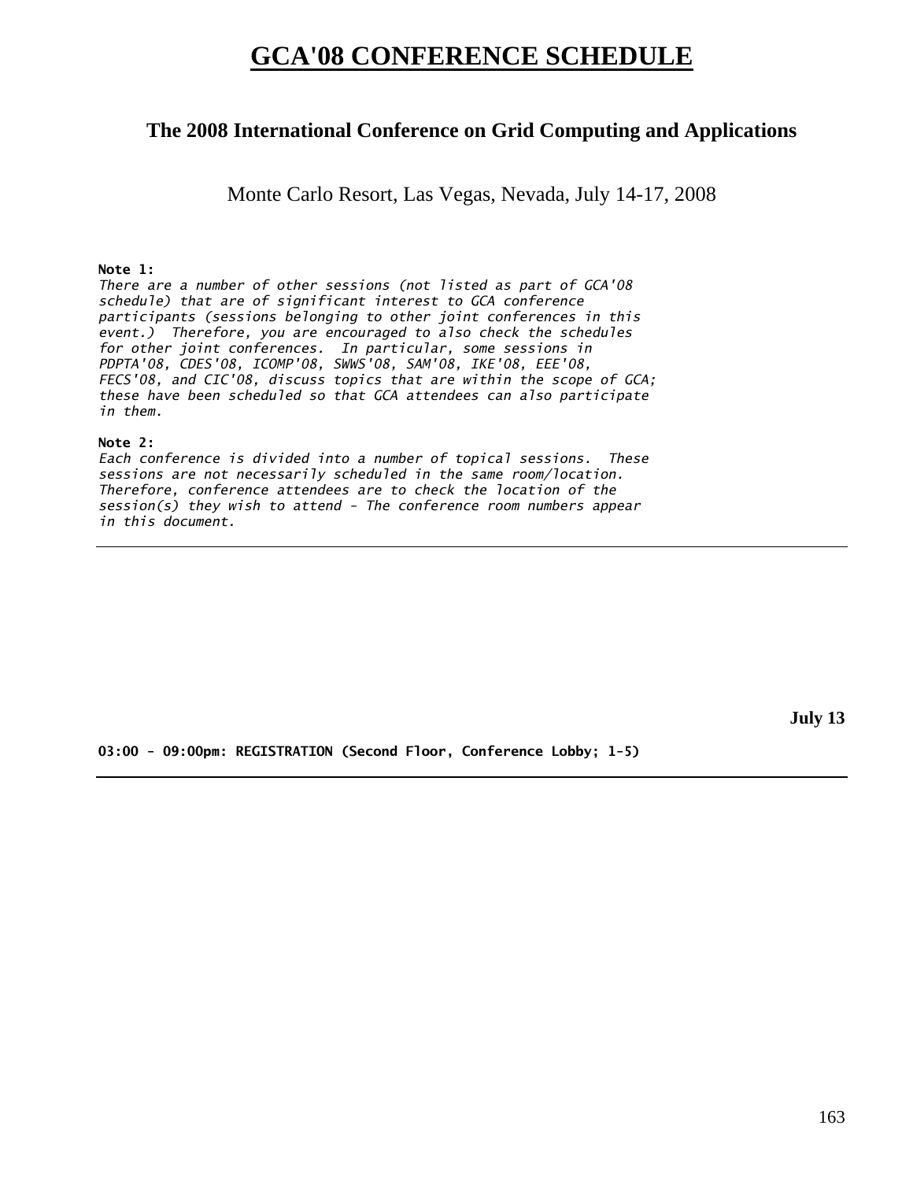# **GCA'08 CONFERENCE SCHEDULE**

# **The 2008 International Conference on Grid Computing and Applications**

Monte Carlo Resort, Las Vegas, Nevada, July 14-17, 2008

# **Note 1:**

*There are a number of other sessions (not listed as part of GCA'08 schedule) that are of significant interest to GCA conference participants (sessions belonging to other joint conferences in this event.) Therefore, you are encouraged to also check the schedules for other joint conferences. In particular, some sessions in PDPTA'08, CDES'08, ICOMP'08, SWWS'08, SAM'08, IKE'08, EEE'08, FECS'08, and CIC'08, discuss topics that are within the scope of GCA; these have been scheduled so that GCA attendees can also participate in them.* 

## **Note 2:**

*Each conference is divided into a number of topical sessions. These sessions are not necessarily scheduled in the same room/location. Therefore, conference attendees are to check the location of the session(s) they wish to attend - The conference room numbers appear in this document.* 

**July 13** 

**03:00 - 09:00pm: REGISTRATION (Second Floor, Conference Lobby; 1-5)**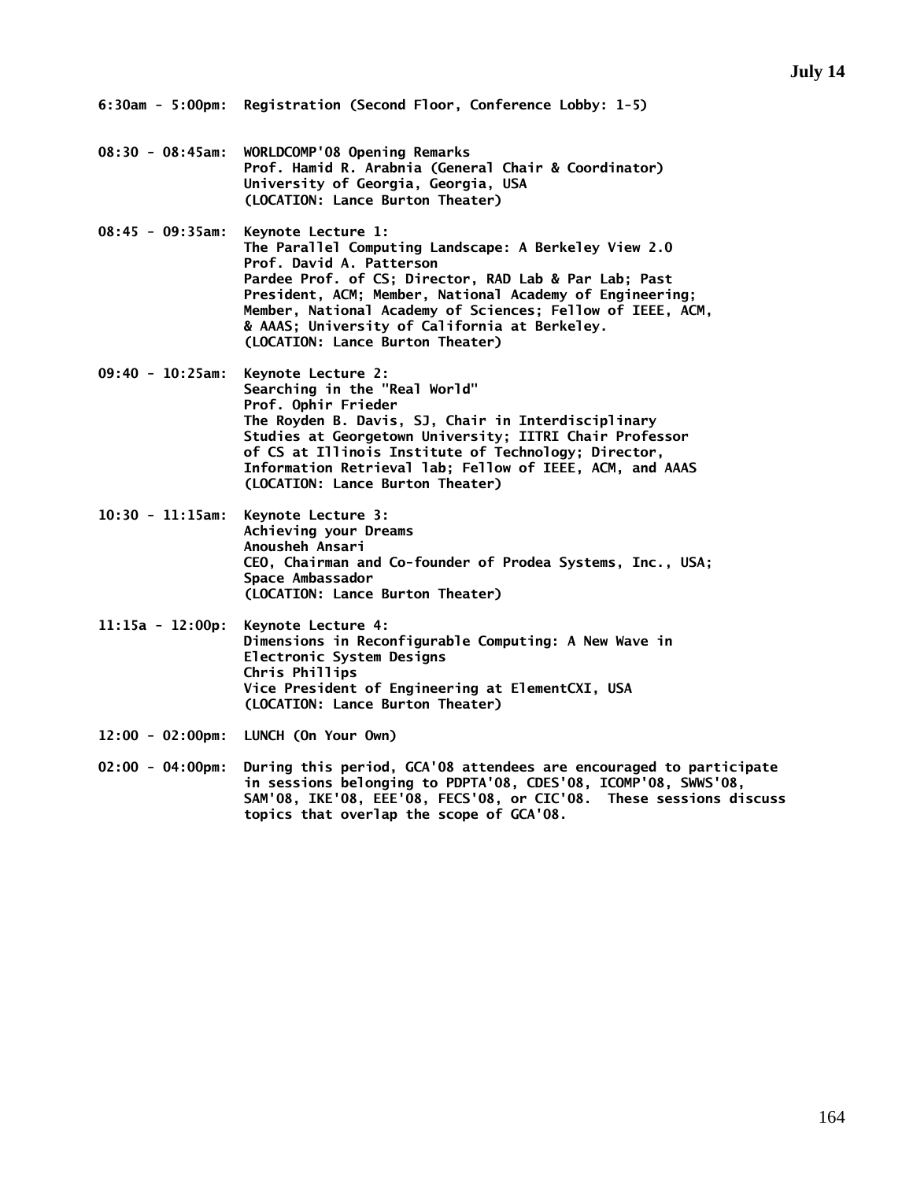- **08:30 08:45am: WORLDCOMP'08 Opening Remarks Prof. Hamid R. Arabnia (General Chair & Coordinator) University of Georgia, Georgia, USA (LOCATION: Lance Burton Theater)**
- **08:45 09:35am: Keynote Lecture 1: The Parallel Computing Landscape: A Berkeley View 2.0 Prof. David A. Patterson Pardee Prof. of CS; Director, RAD Lab & Par Lab; Past President, ACM; Member, National Academy of Engineering; Member, National Academy of Sciences; Fellow of IEEE, ACM, & AAAS; University of California at Berkeley. (LOCATION: Lance Burton Theater)**
- **09:40 10:25am: Keynote Lecture 2: Searching in the "Real World" Prof. Ophir Frieder The Royden B. Davis, SJ, Chair in Interdisciplinary Studies at Georgetown University; IITRI Chair Professor of CS at Illinois Institute of Technology; Director, Information Retrieval lab; Fellow of IEEE, ACM, and AAAS (LOCATION: Lance Burton Theater)**
- **10:30 11:15am: Keynote Lecture 3: Achieving your Dreams Anousheh Ansari CEO, Chairman and Co-founder of Prodea Systems, Inc., USA; Space Ambassador (LOCATION: Lance Burton Theater)**
- **11:15a 12:00p: Keynote Lecture 4: Dimensions in Reconfigurable Computing: A New Wave in Electronic System Designs Chris Phillips Vice President of Engineering at ElementCXI, USA (LOCATION: Lance Burton Theater)**
- **12:00 02:00pm: LUNCH (On Your Own)**
- **02:00 04:00pm: During this period, GCA'08 attendees are encouraged to participate in sessions belonging to PDPTA'08, CDES'08, ICOMP'08, SWWS'08, SAM'08, IKE'08, EEE'08, FECS'08, or CIC'08. These sessions discuss topics that overlap the scope of GCA'08.**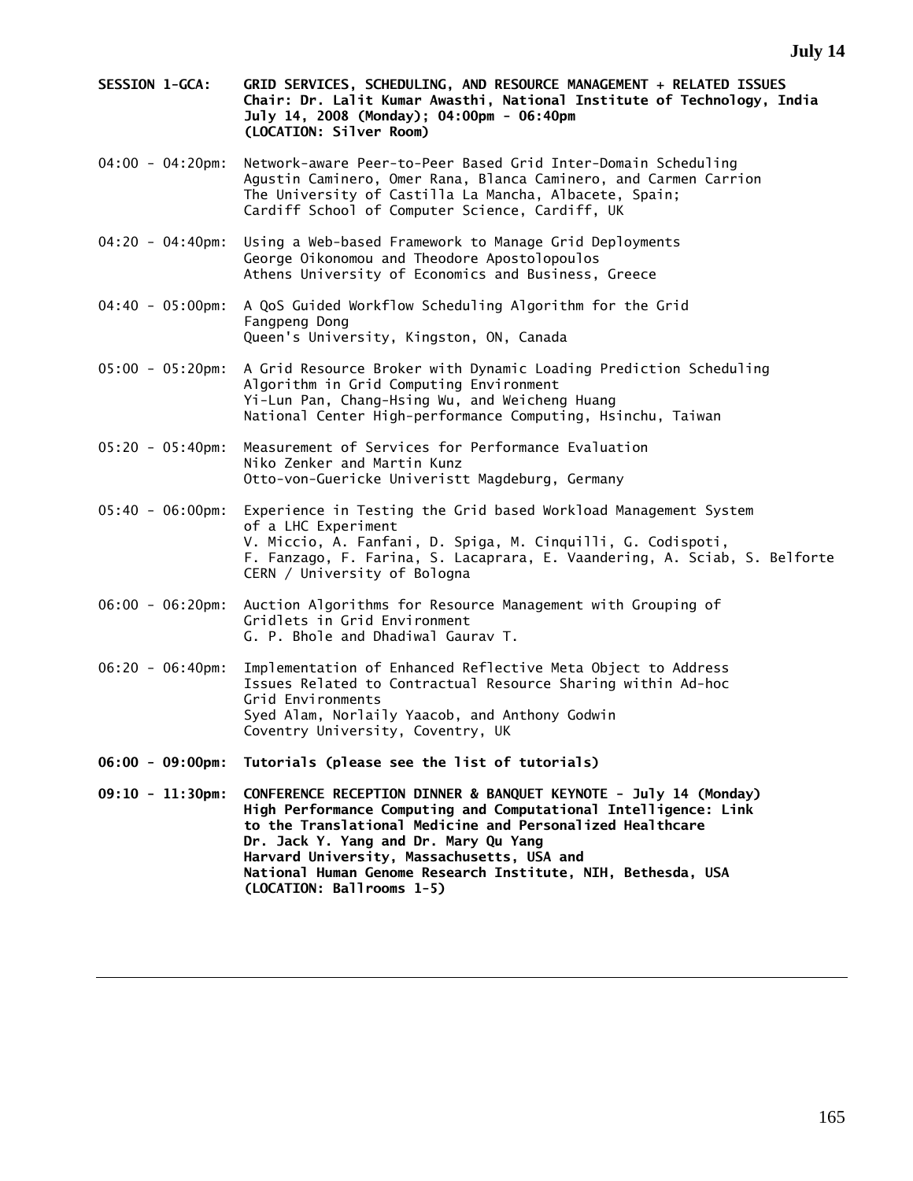- **SESSION 1-GCA: GRID SERVICES, SCHEDULING, AND RESOURCE MANAGEMENT + RELATED ISSUES Chair: Dr. Lalit Kumar Awasthi, National Institute of Technology, India July 14, 2008 (Monday); 04:00pm - 06:40pm (LOCATION: Silver Room)**
- 04:00 04:20pm: Network-aware Peer-to-Peer Based Grid Inter-Domain Scheduling Agustin Caminero, Omer Rana, Blanca Caminero, and Carmen Carrion The University of Castilla La Mancha, Albacete, Spain; Cardiff School of Computer Science, Cardiff, UK
- 04:20 04:40pm: Using a Web-based Framework to Manage Grid Deployments George Oikonomou and Theodore Apostolopoulos Athens University of Economics and Business, Greece
- 04:40 05:00pm: A QoS Guided Workflow Scheduling Algorithm for the Grid Fangpeng Dong Queen's University, Kingston, ON, Canada
- 05:00 05:20pm: A Grid Resource Broker with Dynamic Loading Prediction Scheduling Algorithm in Grid Computing Environment Yi-Lun Pan, Chang-Hsing Wu, and Weicheng Huang National Center High-performance Computing, Hsinchu, Taiwan
- 05:20 05:40pm: Measurement of Services for Performance Evaluation Niko Zenker and Martin Kunz Otto-von-Guericke Univeristt Magdeburg, Germany
- 05:40 06:00pm: Experience in Testing the Grid based Workload Management System of a LHC Experiment V. Miccio, A. Fanfani, D. Spiga, M. Cinquilli, G. Codispoti, F. Fanzago, F. Farina, S. Lacaprara, E. Vaandering, A. Sciab, S. Belforte CERN / University of Bologna
- 06:00 06:20pm: Auction Algorithms for Resource Management with Grouping of Gridlets in Grid Environment G. P. Bhole and Dhadiwal Gaurav T.
- 06:20 06:40pm: Implementation of Enhanced Reflective Meta Object to Address Issues Related to Contractual Resource Sharing within Ad-hoc Grid Environments Syed Alam, Norlaily Yaacob, and Anthony Godwin Coventry University, Coventry, UK
- **06:00 09:00pm: Tutorials (please see the list of tutorials)**
- **09:10 11:30pm: CONFERENCE RECEPTION DINNER & BANQUET KEYNOTE July 14 (Monday) High Performance Computing and Computational Intelligence: Link to the Translational Medicine and Personalized Healthcare Dr. Jack Y. Yang and Dr. Mary Qu Yang Harvard University, Massachusetts, USA and National Human Genome Research Institute, NIH, Bethesda, USA (LOCATION: Ballrooms 1-5)**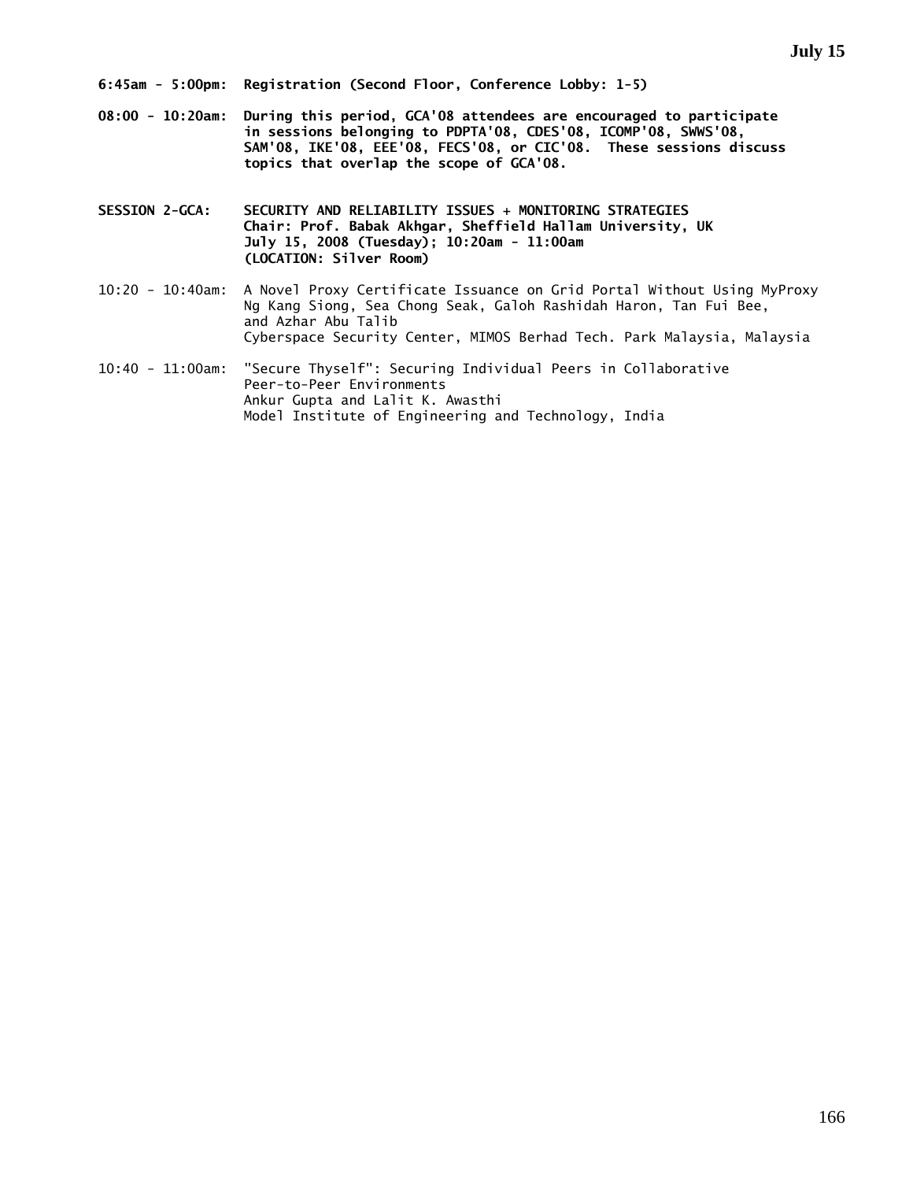- **08:00 10:20am: During this period, GCA'08 attendees are encouraged to participate in sessions belonging to PDPTA'08, CDES'08, ICOMP'08, SWWS'08, SAM'08, IKE'08, EEE'08, FECS'08, or CIC'08. These sessions discuss topics that overlap the scope of GCA'08.**
- **SESSION 2-GCA: SECURITY AND RELIABILITY ISSUES + MONITORING STRATEGIES Chair: Prof. Babak Akhgar, Sheffield Hallam University, UK July 15, 2008 (Tuesday); 10:20am - 11:00am (LOCATION: Silver Room)**
- 10:20 10:40am: A Novel Proxy Certificate Issuance on Grid Portal Without Using MyProxy Ng Kang Siong, Sea Chong Seak, Galoh Rashidah Haron, Tan Fui Bee, and Azhar Abu Talib Cyberspace Security Center, MIMOS Berhad Tech. Park Malaysia, Malaysia
- 10:40 11:00am: "Secure Thyself": Securing Individual Peers in Collaborative Peer-to-Peer Environments Ankur Gupta and Lalit K. Awasthi Model Institute of Engineering and Technology, India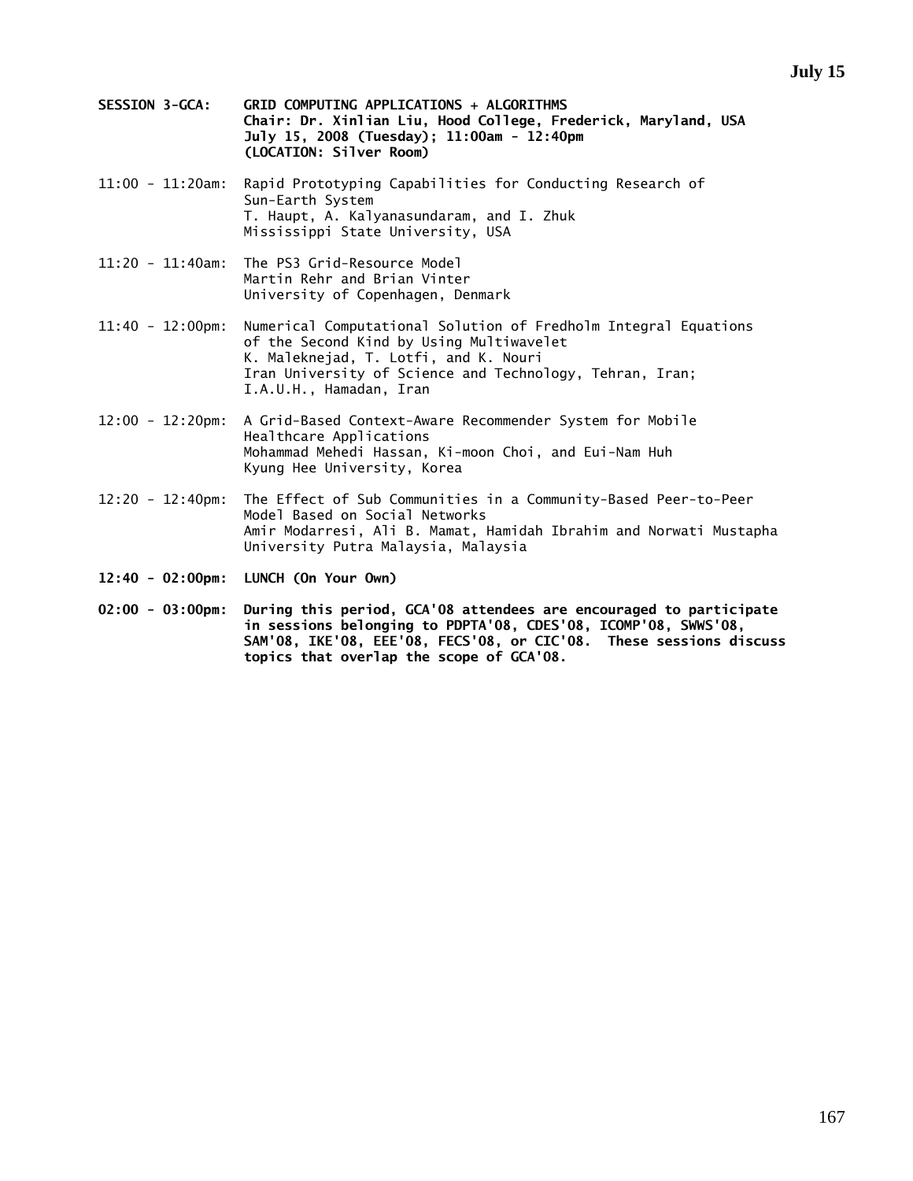- **SESSION 3-GCA: GRID COMPUTING APPLICATIONS + ALGORITHMS Chair: Dr. Xinlian Liu, Hood College, Frederick, Maryland, USA July 15, 2008 (Tuesday); 11:00am - 12:40pm (LOCATION: Silver Room)**
- 11:00 11:20am: Rapid Prototyping Capabilities for Conducting Research of Sun-Earth System T. Haupt, A. Kalyanasundaram, and I. Zhuk Mississippi State University, USA
- 11:20 11:40am: The PS3 Grid-Resource Model Martin Rehr and Brian Vinter University of Copenhagen, Denmark
- 11:40 12:00pm: Numerical Computational Solution of Fredholm Integral Equations of the Second Kind by Using Multiwavelet K. Maleknejad, T. Lotfi, and K. Nouri Iran University of Science and Technology, Tehran, Iran; I.A.U.H., Hamadan, Iran
- 12:00 12:20pm: A Grid-Based Context-Aware Recommender System for Mobile Healthcare Applications Mohammad Mehedi Hassan, Ki-moon Choi, and Eui-Nam Huh Kyung Hee University, Korea
- 12:20 12:40pm: The Effect of Sub Communities in a Community-Based Peer-to-Peer Model Based on Social Networks Amir Modarresi, Ali B. Mamat, Hamidah Ibrahim and Norwati Mustapha University Putra Malaysia, Malaysia
- **12:40 02:00pm: LUNCH (On Your Own)**
- **02:00 03:00pm: During this period, GCA'08 attendees are encouraged to participate in sessions belonging to PDPTA'08, CDES'08, ICOMP'08, SWWS'08, SAM'08, IKE'08, EEE'08, FECS'08, or CIC'08. These sessions discuss topics that overlap the scope of GCA'08.**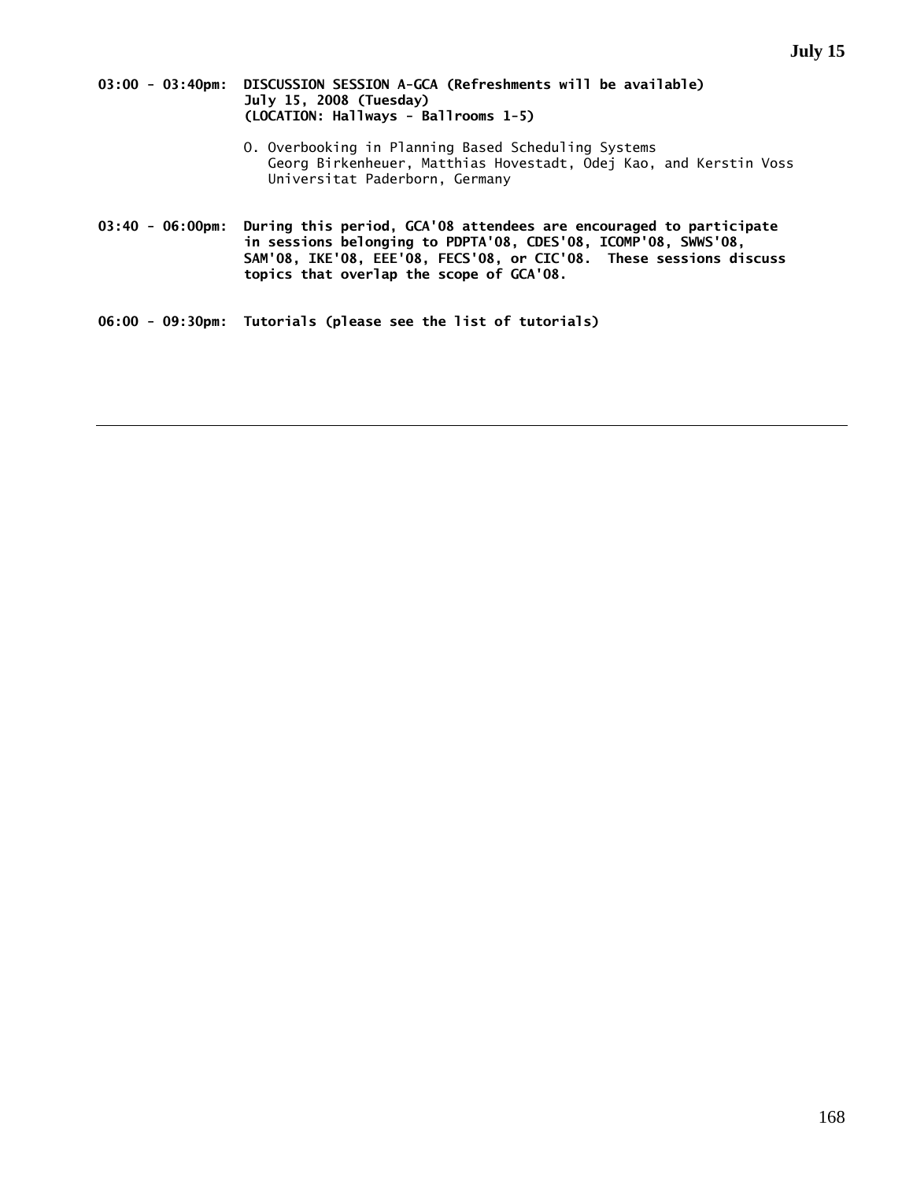### **03:00 - 03:40pm: DISCUSSION SESSION A-GCA (Refreshments will be available) July 15, 2008 (Tuesday) (LOCATION: Hallways - Ballrooms 1-5)**

- O. Overbooking in Planning Based Scheduling Systems Georg Birkenheuer, Matthias Hovestadt, Odej Kao, and Kerstin Voss Universitat Paderborn, Germany
- **03:40 06:00pm: During this period, GCA'08 attendees are encouraged to participate in sessions belonging to PDPTA'08, CDES'08, ICOMP'08, SWWS'08, SAM'08, IKE'08, EEE'08, FECS'08, or CIC'08. These sessions discuss topics that overlap the scope of GCA'08.**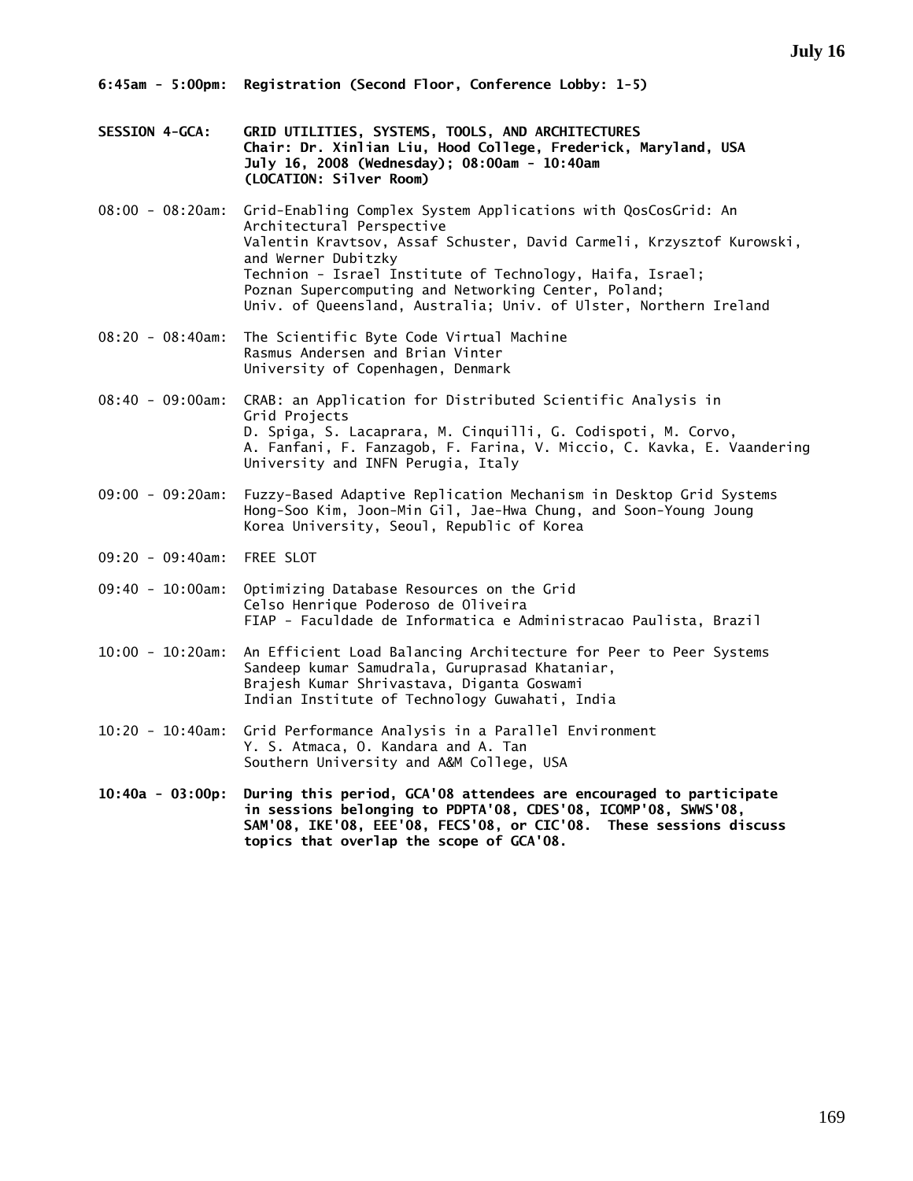- **SESSION 4-GCA: GRID UTILITIES, SYSTEMS, TOOLS, AND ARCHITECTURES Chair: Dr. Xinlian Liu, Hood College, Frederick, Maryland, USA July 16, 2008 (Wednesday); 08:00am - 10:40am (LOCATION: Silver Room)**
- 08:00 08:20am: Grid-Enabling Complex System Applications with QosCosGrid: An Architectural Perspective Valentin Kravtsov, Assaf Schuster, David Carmeli, Krzysztof Kurowski, and Werner Dubitzky Technion - Israel Institute of Technology, Haifa, Israel; Poznan Supercomputing and Networking Center, Poland; Univ. of Queensland, Australia; Univ. of Ulster, Northern Ireland
- 08:20 08:40am: The Scientific Byte Code Virtual Machine Rasmus Andersen and Brian Vinter University of Copenhagen, Denmark
- 08:40 09:00am: CRAB: an Application for Distributed Scientific Analysis in Grid Projects D. Spiga, S. Lacaprara, M. Cinquilli, G. Codispoti, M. Corvo, A. Fanfani, F. Fanzagob, F. Farina, V. Miccio, C. Kavka, E. Vaandering University and INFN Perugia, Italy
- 09:00 09:20am: Fuzzy-Based Adaptive Replication Mechanism in Desktop Grid Systems Hong-Soo Kim, Joon-Min Gil, Jae-Hwa Chung, and Soon-Young Joung Korea University, Seoul, Republic of Korea
- 09:20 09:40am: FREE SLOT
- 09:40 10:00am: Optimizing Database Resources on the Grid Celso Henrique Poderoso de Oliveira FIAP - Faculdade de Informatica e Administracao Paulista, Brazil
- 10:00 10:20am: An Efficient Load Balancing Architecture for Peer to Peer Systems Sandeep kumar Samudrala, Guruprasad Khataniar, Brajesh Kumar Shrivastava, Diganta Goswami Indian Institute of Technology Guwahati, India
- 10:20 10:40am: Grid Performance Analysis in a Parallel Environment Y. S. Atmaca, O. Kandara and A. Tan Southern University and A&M College, USA
- **10:40a 03:00p: During this period, GCA'08 attendees are encouraged to participate in sessions belonging to PDPTA'08, CDES'08, ICOMP'08, SWWS'08, SAM'08, IKE'08, EEE'08, FECS'08, or CIC'08. These sessions discuss topics that overlap the scope of GCA'08.**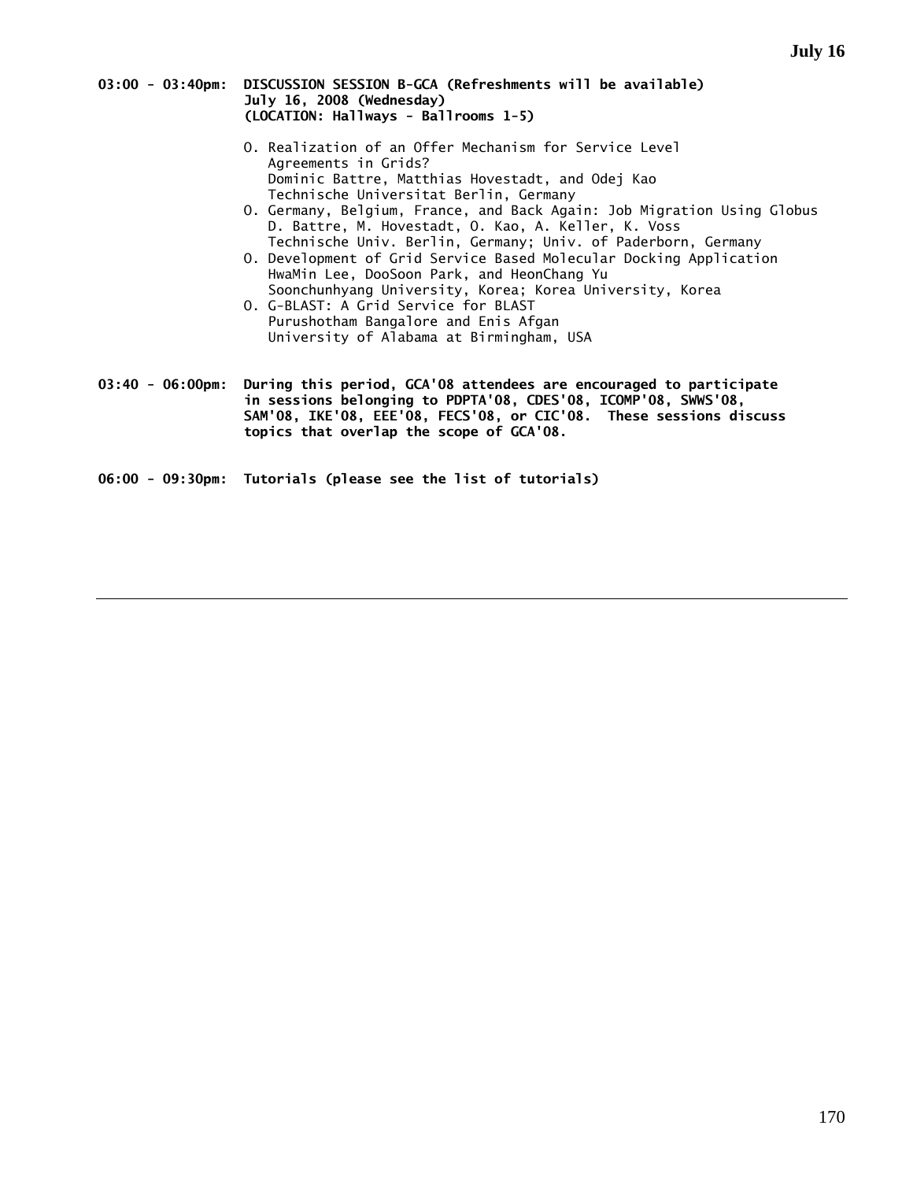### **03:00 - 03:40pm: DISCUSSION SESSION B-GCA (Refreshments will be available) July 16, 2008 (Wednesday) (LOCATION: Hallways - Ballrooms 1-5)**

- O. Realization of an Offer Mechanism for Service Level Agreements in Grids? Dominic Battre, Matthias Hovestadt, and Odej Kao Technische Universitat Berlin, Germany
- O. Germany, Belgium, France, and Back Again: Job Migration Using Globus D. Battre, M. Hovestadt, O. Kao, A. Keller, K. Voss Technische Univ. Berlin, Germany; Univ. of Paderborn, Germany
- O. Development of Grid Service Based Molecular Docking Application HwaMin Lee, DooSoon Park, and HeonChang Yu Soonchunhyang University, Korea; Korea University, Korea
- O. G-BLAST: A Grid Service for BLAST Purushotham Bangalore and Enis Afgan University of Alabama at Birmingham, USA
- **03:40 06:00pm: During this period, GCA'08 attendees are encouraged to participate in sessions belonging to PDPTA'08, CDES'08, ICOMP'08, SWWS'08, SAM'08, IKE'08, EEE'08, FECS'08, or CIC'08. These sessions discuss topics that overlap the scope of GCA'08.**
- **06:00 09:30pm: Tutorials (please see the list of tutorials)**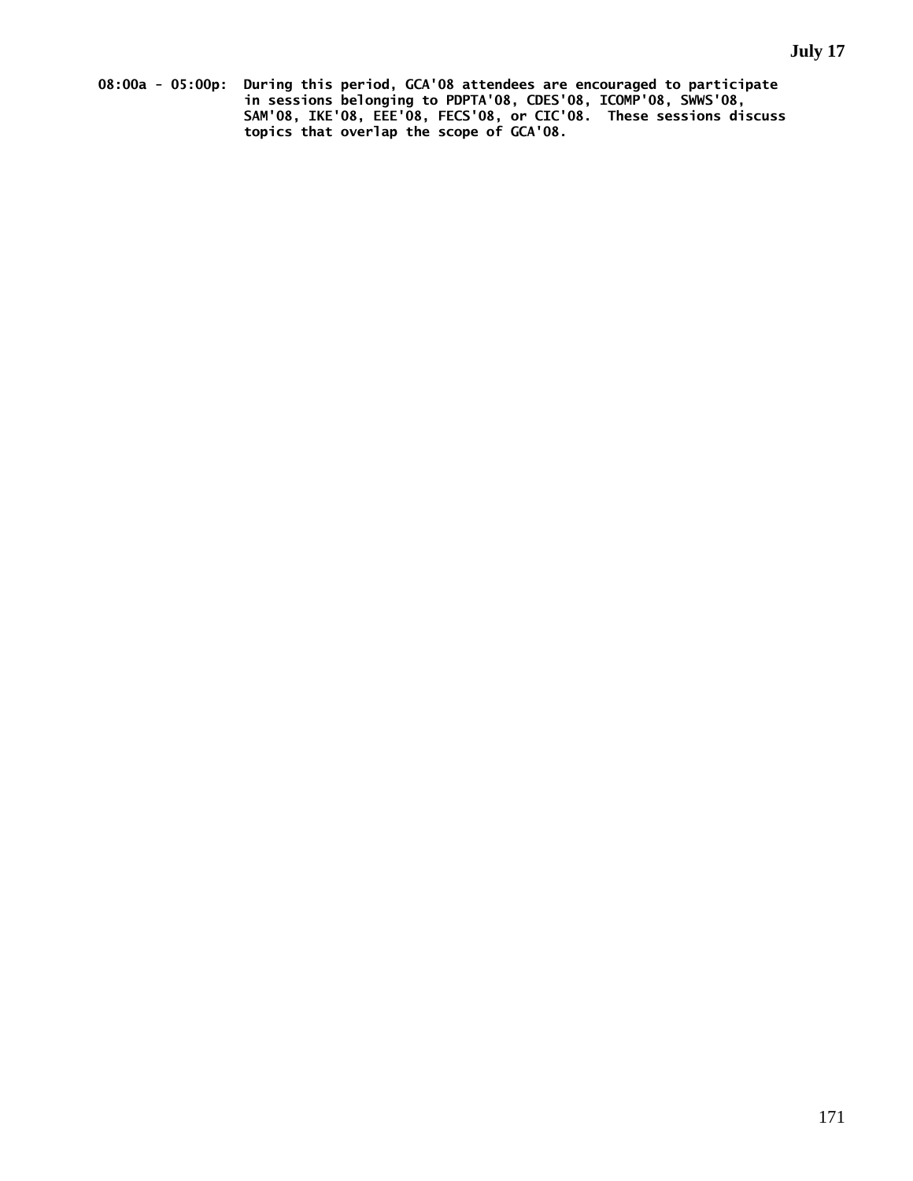**08:00a - 05:00p: During this period, GCA'08 attendees are encouraged to participate in sessions belonging to PDPTA'08, CDES'08, ICOMP'08, SWWS'08, SAM'08, IKE'08, EEE'08, FECS'08, or CIC'08. These sessions discuss topics that overlap the scope of GCA'08.**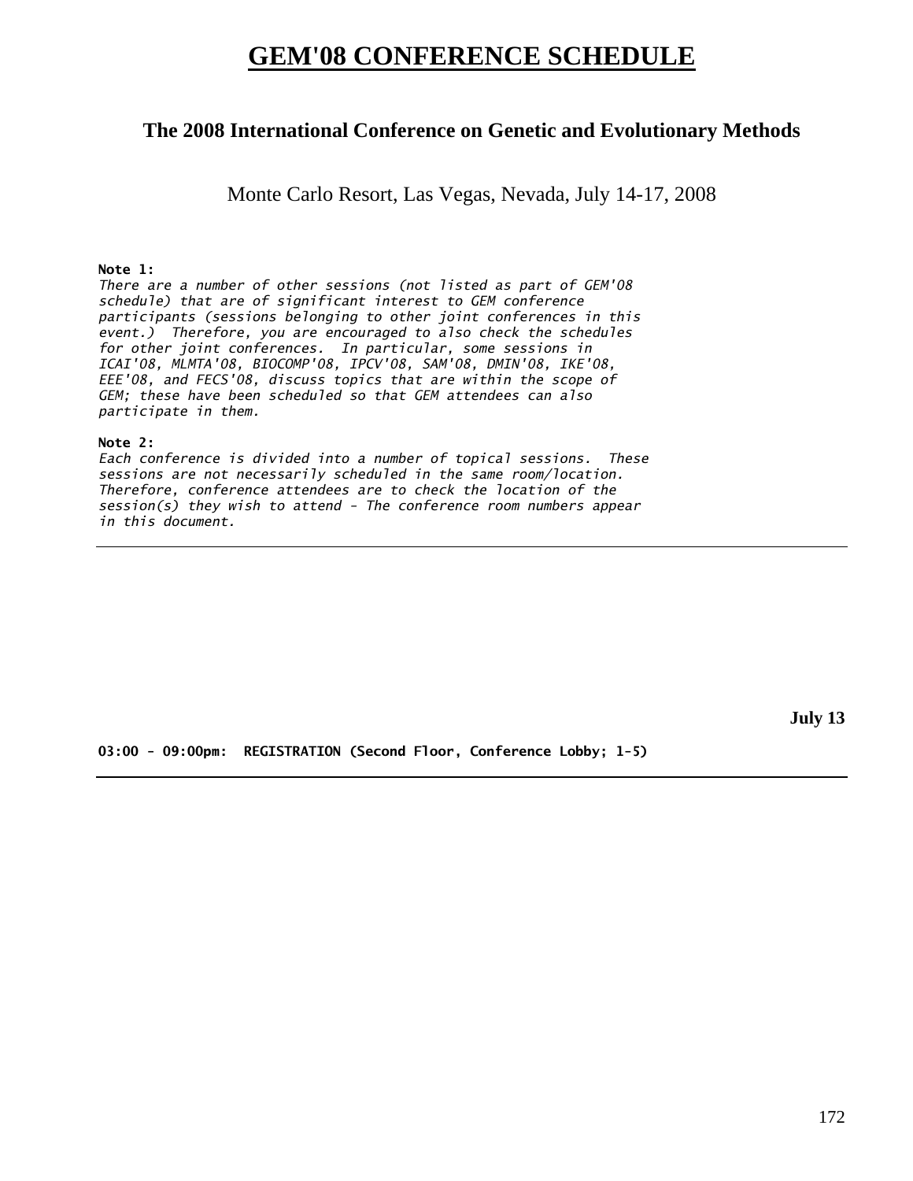# **GEM'08 CONFERENCE SCHEDULE**

# **The 2008 International Conference on Genetic and Evolutionary Methods**

Monte Carlo Resort, Las Vegas, Nevada, July 14-17, 2008

# **Note 1:**

*There are a number of other sessions (not listed as part of GEM'08 schedule) that are of significant interest to GEM conference participants (sessions belonging to other joint conferences in this event.) Therefore, you are encouraged to also check the schedules for other joint conferences. In particular, some sessions in ICAI'08, MLMTA'08, BIOCOMP'08, IPCV'08, SAM'08, DMIN'08, IKE'08, EEE'08, and FECS'08, discuss topics that are within the scope of GEM; these have been scheduled so that GEM attendees can also participate in them.* 

## **Note 2:**

*Each conference is divided into a number of topical sessions. These sessions are not necessarily scheduled in the same room/location. Therefore, conference attendees are to check the location of the session(s) they wish to attend - The conference room numbers appear in this document.* 

**July 13** 

**03:00 - 09:00pm: REGISTRATION (Second Floor, Conference Lobby; 1-5)**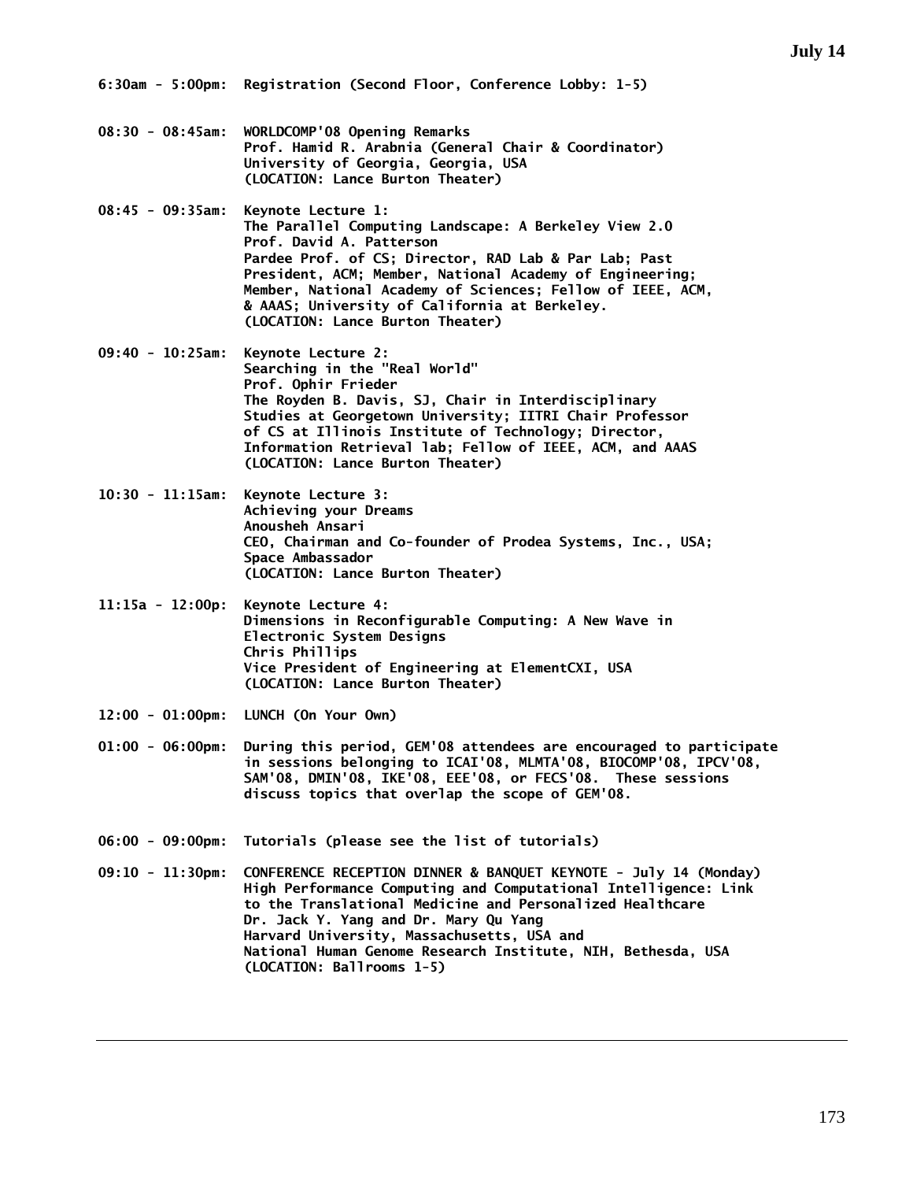- **08:30 08:45am: WORLDCOMP'08 Opening Remarks Prof. Hamid R. Arabnia (General Chair & Coordinator) University of Georgia, Georgia, USA (LOCATION: Lance Burton Theater)**
- **08:45 09:35am: Keynote Lecture 1: The Parallel Computing Landscape: A Berkeley View 2.0 Prof. David A. Patterson Pardee Prof. of CS; Director, RAD Lab & Par Lab; Past President, ACM; Member, National Academy of Engineering; Member, National Academy of Sciences; Fellow of IEEE, ACM, & AAAS; University of California at Berkeley. (LOCATION: Lance Burton Theater)**
- **09:40 10:25am: Keynote Lecture 2: Searching in the "Real World" Prof. Ophir Frieder The Royden B. Davis, SJ, Chair in Interdisciplinary Studies at Georgetown University; IITRI Chair Professor of CS at Illinois Institute of Technology; Director, Information Retrieval lab; Fellow of IEEE, ACM, and AAAS (LOCATION: Lance Burton Theater)**
- **10:30 11:15am: Keynote Lecture 3: Achieving your Dreams Anousheh Ansari CEO, Chairman and Co-founder of Prodea Systems, Inc., USA; Space Ambassador (LOCATION: Lance Burton Theater)**
- **11:15a 12:00p: Keynote Lecture 4: Dimensions in Reconfigurable Computing: A New Wave in Electronic System Designs Chris Phillips Vice President of Engineering at ElementCXI, USA (LOCATION: Lance Burton Theater)**
- **12:00 01:00pm: LUNCH (On Your Own)**
- **01:00 06:00pm: During this period, GEM'08 attendees are encouraged to participate in sessions belonging to ICAI'08, MLMTA'08, BIOCOMP'08, IPCV'08, SAM'08, DMIN'08, IKE'08, EEE'08, or FECS'08. These sessions discuss topics that overlap the scope of GEM'08.**
- **06:00 09:00pm: Tutorials (please see the list of tutorials)**
- **09:10 11:30pm: CONFERENCE RECEPTION DINNER & BANQUET KEYNOTE July 14 (Monday) High Performance Computing and Computational Intelligence: Link to the Translational Medicine and Personalized Healthcare Dr. Jack Y. Yang and Dr. Mary Qu Yang Harvard University, Massachusetts, USA and National Human Genome Research Institute, NIH, Bethesda, USA (LOCATION: Ballrooms 1-5)**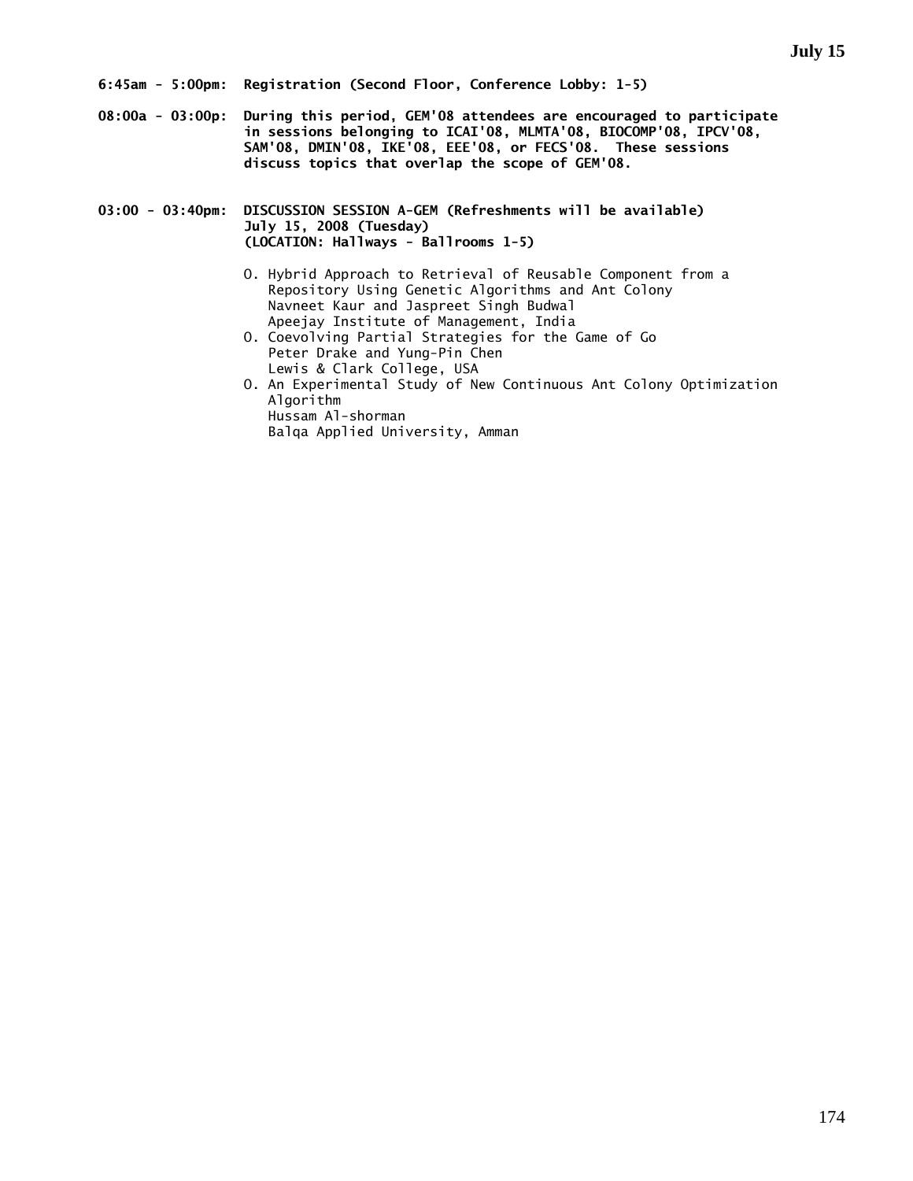**08:00a - 03:00p: During this period, GEM'08 attendees are encouraged to participate in sessions belonging to ICAI'08, MLMTA'08, BIOCOMP'08, IPCV'08, SAM'08, DMIN'08, IKE'08, EEE'08, or FECS'08. These sessions discuss topics that overlap the scope of GEM'08.** 

**03:00 - 03:40pm: DISCUSSION SESSION A-GEM (Refreshments will be available) July 15, 2008 (Tuesday) (LOCATION: Hallways - Ballrooms 1-5)** 

- O. Hybrid Approach to Retrieval of Reusable Component from a Repository Using Genetic Algorithms and Ant Colony Navneet Kaur and Jaspreet Singh Budwal Apeejay Institute of Management, India
- O. Coevolving Partial Strategies for the Game of Go Peter Drake and Yung-Pin Chen Lewis & Clark College, USA
- O. An Experimental Study of New Continuous Ant Colony Optimization Algorithm Hussam Al-shorman

Balqa Applied University, Amman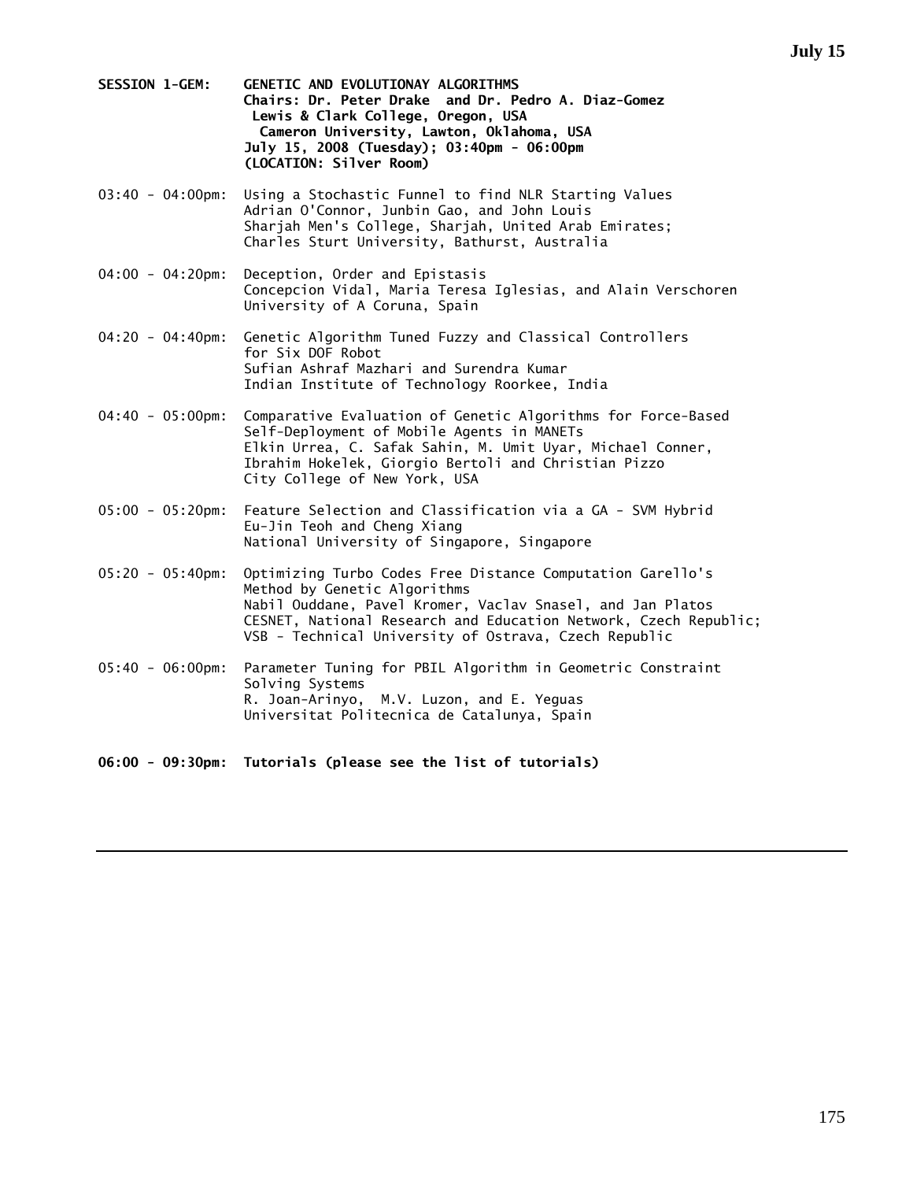- **SESSION 1-GEM: GENETIC AND EVOLUTIONAY ALGORITHMS Chairs: Dr. Peter Drake and Dr. Pedro A. Diaz-Gomez Lewis & Clark College, Oregon, USA Cameron University, Lawton, Oklahoma, USA July 15, 2008 (Tuesday); 03:40pm - 06:00pm (LOCATION: Silver Room)**
- 03:40 04:00pm: Using a Stochastic Funnel to find NLR Starting Values Adrian O'Connor, Junbin Gao, and John Louis Sharjah Men's College, Sharjah, United Arab Emirates; Charles Sturt University, Bathurst, Australia
- 04:00 04:20pm: Deception, Order and Epistasis Concepcion Vidal, Maria Teresa Iglesias, and Alain Verschoren University of A Coruna, Spain
- 04:20 04:40pm: Genetic Algorithm Tuned Fuzzy and Classical Controllers for Six DOF Robot Sufian Ashraf Mazhari and Surendra Kumar Indian Institute of Technology Roorkee, India
- 04:40 05:00pm: Comparative Evaluation of Genetic Algorithms for Force-Based Self-Deployment of Mobile Agents in MANETs Elkin Urrea, C. Safak Sahin, M. Umit Uyar, Michael Conner, Ibrahim Hokelek, Giorgio Bertoli and Christian Pizzo City College of New York, USA
- 05:00 05:20pm: Feature Selection and Classification via a GA SVM Hybrid Eu-Jin Teoh and Cheng Xiang National University of Singapore, Singapore
- 05:20 05:40pm: Optimizing Turbo Codes Free Distance Computation Garello's Method by Genetic Algorithms Nabil Ouddane, Pavel Kromer, Vaclav Snasel, and Jan Platos CESNET, National Research and Education Network, Czech Republic; VSB - Technical University of Ostrava, Czech Republic
- 05:40 06:00pm: Parameter Tuning for PBIL Algorithm in Geometric Constraint Solving Systems R. Joan-Arinyo, M.V. Luzon, and E. Yeguas Universitat Politecnica de Catalunya, Spain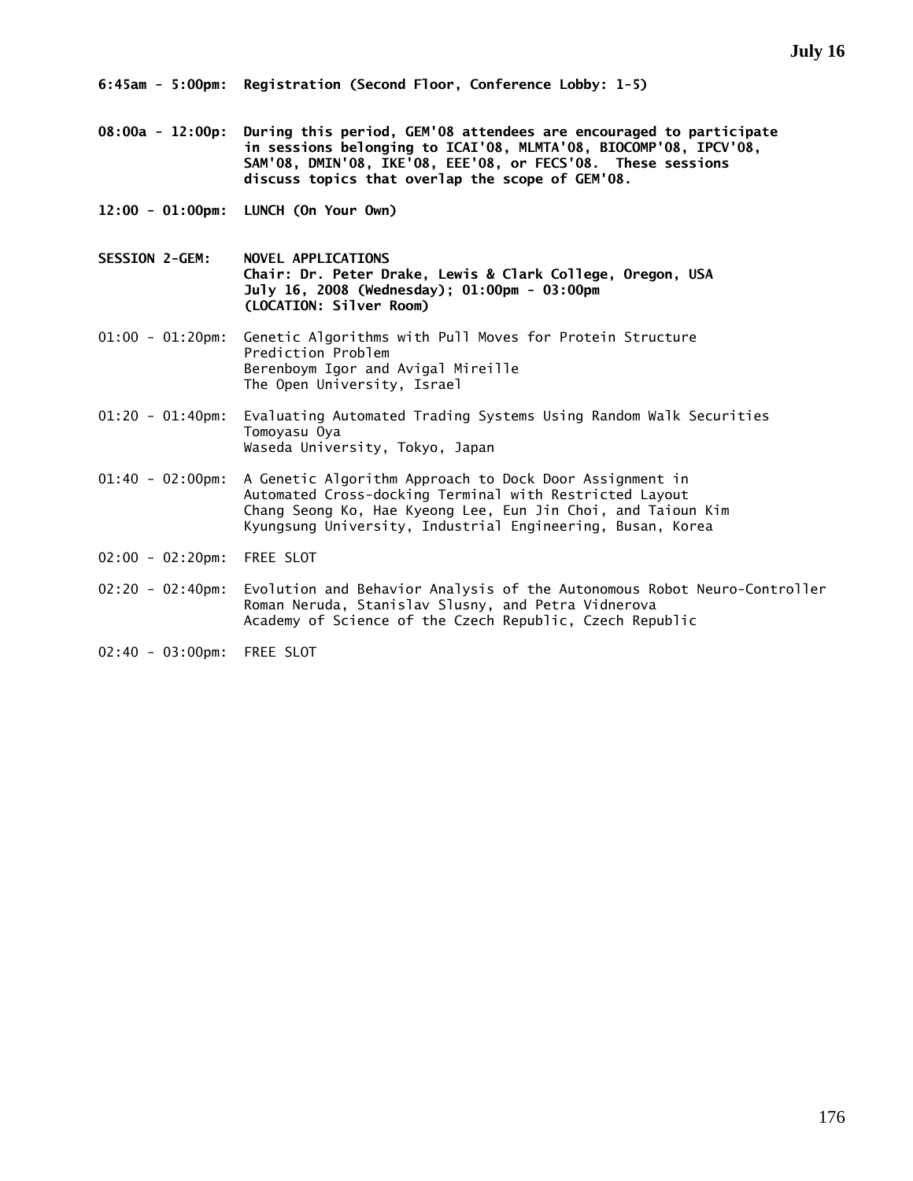- **08:00a 12:00p: During this period, GEM'08 attendees are encouraged to participate in sessions belonging to ICAI'08, MLMTA'08, BIOCOMP'08, IPCV'08, SAM'08, DMIN'08, IKE'08, EEE'08, or FECS'08. These sessions discuss topics that overlap the scope of GEM'08.**
- **12:00 01:00pm: LUNCH (On Your Own)**
- **SESSION 2-GEM: NOVEL APPLICATIONS Chair: Dr. Peter Drake, Lewis & Clark College, Oregon, USA July 16, 2008 (Wednesday); 01:00pm - 03:00pm (LOCATION: Silver Room)**
- 01:00 01:20pm: Genetic Algorithms with Pull Moves for Protein Structure Prediction Problem Berenboym Igor and Avigal Mireille The Open University, Israel
- 01:20 01:40pm: Evaluating Automated Trading Systems Using Random Walk Securities Tomoyasu Oya Waseda University, Tokyo, Japan
- 01:40 02:00pm: A Genetic Algorithm Approach to Dock Door Assignment in Automated Cross-docking Terminal with Restricted Layout Chang Seong Ko, Hae Kyeong Lee, Eun Jin Choi, and Taioun Kim Kyungsung University, Industrial Engineering, Busan, Korea
- 02:00 02:20pm: FREE SLOT
- 02:20 02:40pm: Evolution and Behavior Analysis of the Autonomous Robot Neuro-Controller Roman Neruda, Stanislav Slusny, and Petra Vidnerova Academy of Science of the Czech Republic, Czech Republic
- 02:40 03:00pm: FREE SLOT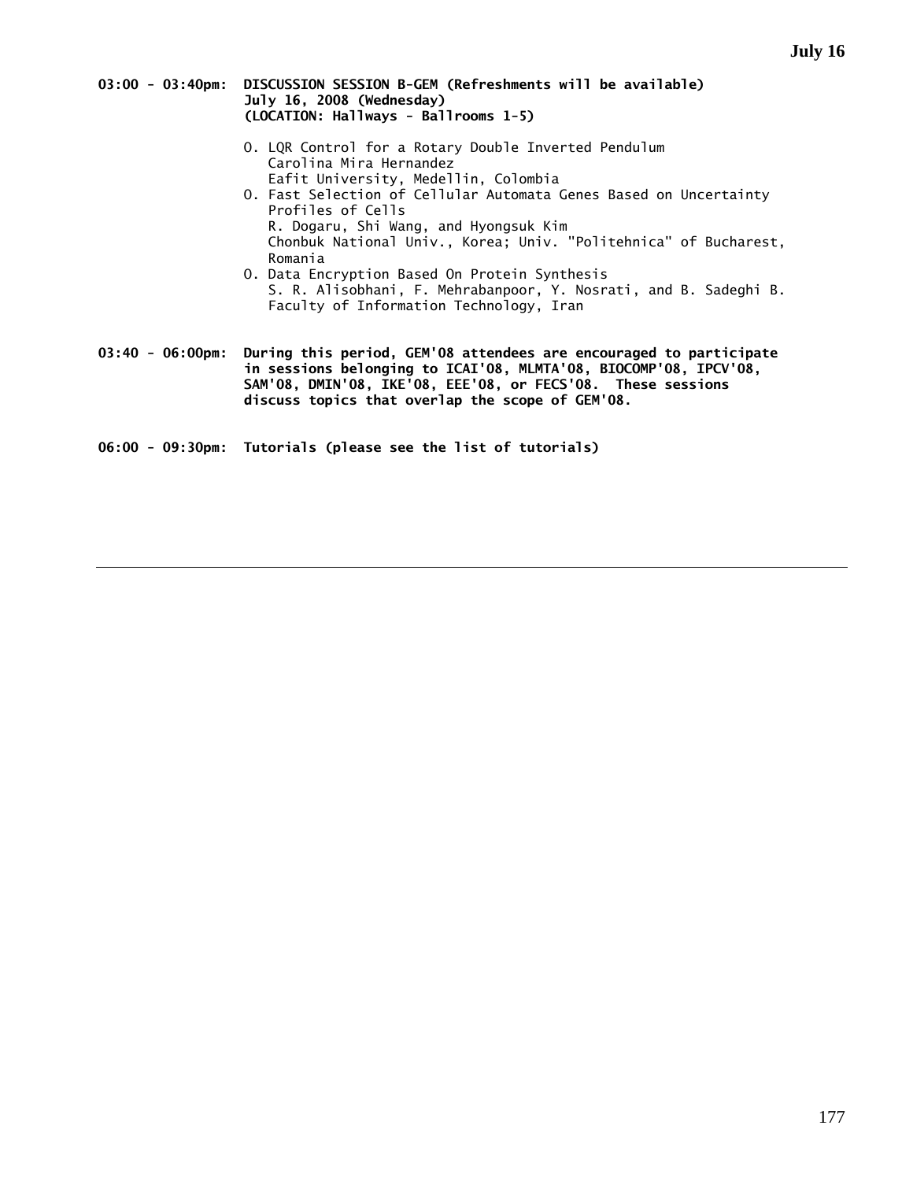| 03:00 - 03:40pm: DISCUSSION SESSION B-GEM (Refreshments will be available) |
|----------------------------------------------------------------------------|
| July 16, 2008 (Wednesday)                                                  |
| (LOCATION: Hallways - Ballrooms 1-5)                                       |

- O. LQR Control for a Rotary Double Inverted Pendulum Carolina Mira Hernandez Eafit University, Medellin, Colombia
- O. Fast Selection of Cellular Automata Genes Based on Uncertainty Profiles of Cells R. Dogaru, Shi Wang, and Hyongsuk Kim Chonbuk National Univ., Korea; Univ. "Politehnica" of Bucharest, Romania
- O. Data Encryption Based On Protein Synthesis S. R. Alisobhani, F. Mehrabanpoor, Y. Nosrati, and B. Sadeghi B. Faculty of Information Technology, Iran

**03:40 - 06:00pm: During this period, GEM'08 attendees are encouraged to participate in sessions belonging to ICAI'08, MLMTA'08, BIOCOMP'08, IPCV'08, SAM'08, DMIN'08, IKE'08, EEE'08, or FECS'08. These sessions discuss topics that overlap the scope of GEM'08.**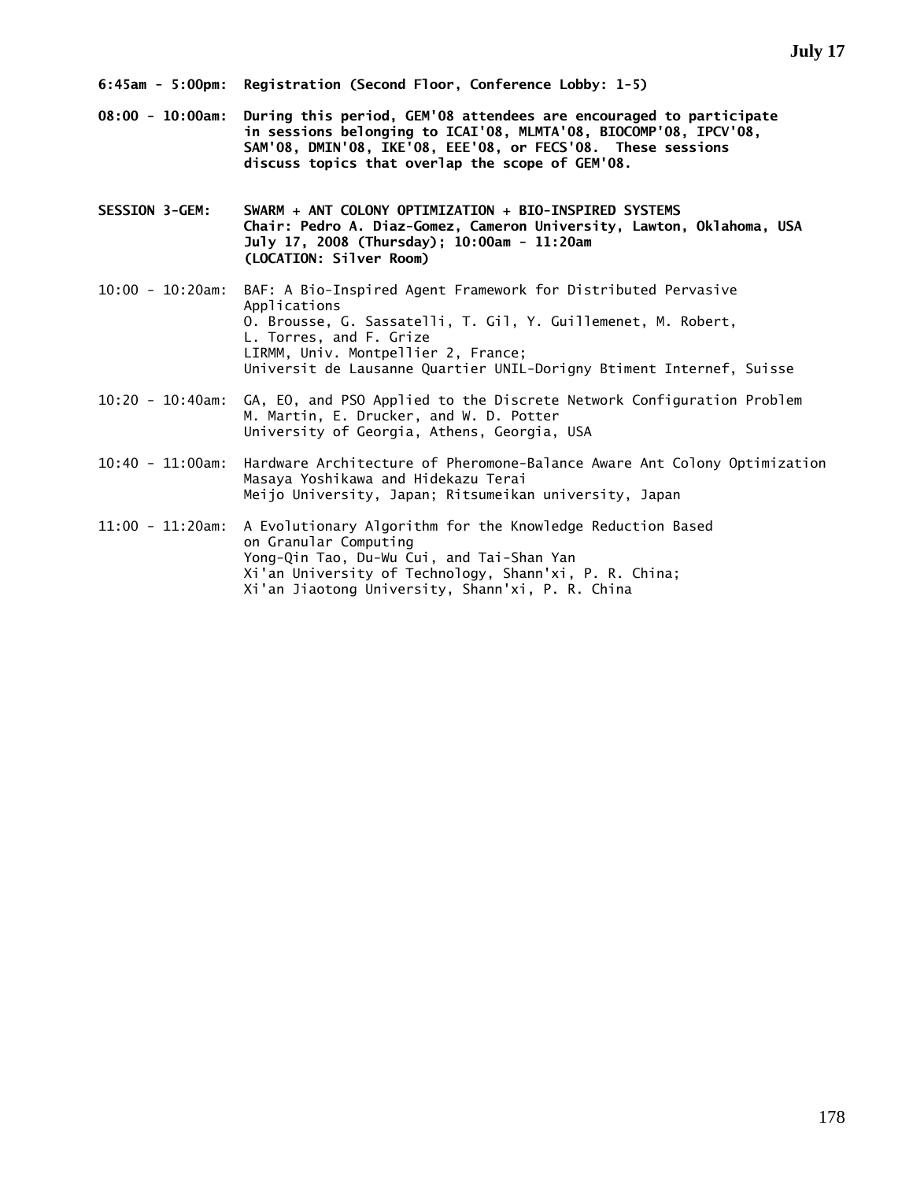- **08:00 10:00am: During this period, GEM'08 attendees are encouraged to participate in sessions belonging to ICAI'08, MLMTA'08, BIOCOMP'08, IPCV'08, SAM'08, DMIN'08, IKE'08, EEE'08, or FECS'08. These sessions discuss topics that overlap the scope of GEM'08.**
- **SESSION 3-GEM: SWARM + ANT COLONY OPTIMIZATION + BIO-INSPIRED SYSTEMS Chair: Pedro A. Diaz-Gomez, Cameron University, Lawton, Oklahoma, USA July 17, 2008 (Thursday); 10:00am - 11:20am (LOCATION: Silver Room)**
- 10:00 10:20am: BAF: A Bio-Inspired Agent Framework for Distributed Pervasive Applications O. Brousse, G. Sassatelli, T. Gil, Y. Guillemenet, M. Robert, L. Torres, and F. Grize LIRMM, Univ. Montpellier 2, France; Universit de Lausanne Quartier UNIL-Dorigny Btiment Internef, Suisse
- 10:20 10:40am: GA, EO, and PSO Applied to the Discrete Network Configuration Problem M. Martin, E. Drucker, and W. D. Potter University of Georgia, Athens, Georgia, USA
- 10:40 11:00am: Hardware Architecture of Pheromone-Balance Aware Ant Colony Optimization Masaya Yoshikawa and Hidekazu Terai Meijo University, Japan; Ritsumeikan university, Japan

11:00 - 11:20am: A Evolutionary Algorithm for the Knowledge Reduction Based on Granular Computing Yong-Qin Tao, Du-Wu Cui, and Tai-Shan Yan Xi'an University of Technology, Shann'xi, P. R. China; Xi'an Jiaotong University, Shann'xi, P. R. China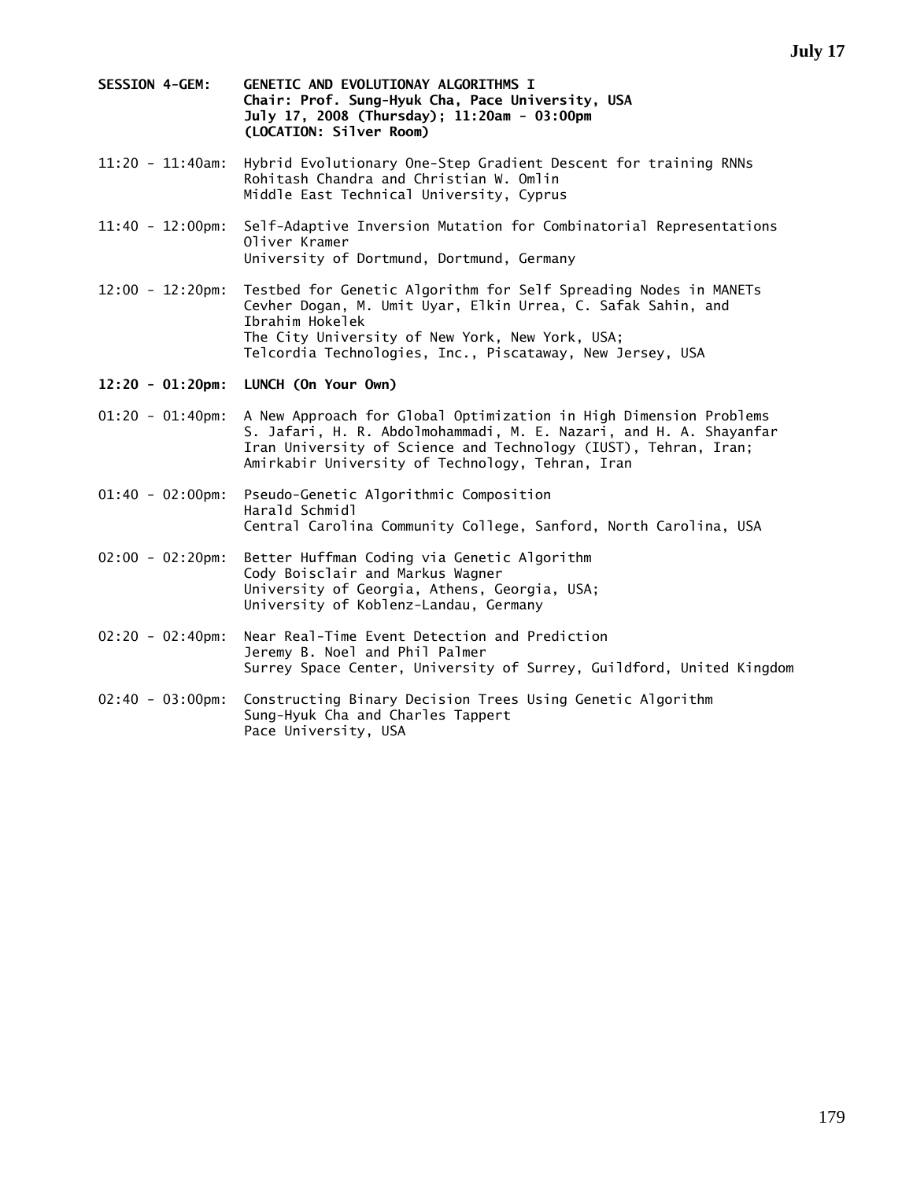- **SESSION 4-GEM: GENETIC AND EVOLUTIONAY ALGORITHMS I Chair: Prof. Sung-Hyuk Cha, Pace University, USA July 17, 2008 (Thursday); 11:20am - 03:00pm (LOCATION: Silver Room)**
- 11:20 11:40am: Hybrid Evolutionary One-Step Gradient Descent for training RNNs Rohitash Chandra and Christian W. Omlin Middle East Technical University, Cyprus
- 11:40 12:00pm: Self-Adaptive Inversion Mutation for Combinatorial Representations Oliver Kramer University of Dortmund, Dortmund, Germany
- 12:00 12:20pm: Testbed for Genetic Algorithm for Self Spreading Nodes in MANETs Cevher Dogan, M. Umit Uyar, Elkin Urrea, C. Safak Sahin, and Ibrahim Hokelek The City University of New York, New York, USA; Telcordia Technologies, Inc., Piscataway, New Jersey, USA
- **12:20 01:20pm: LUNCH (On Your Own)**
- 01:20 01:40pm: A New Approach for Global Optimization in High Dimension Problems S. Jafari, H. R. Abdolmohammadi, M. E. Nazari, and H. A. Shayanfar Iran University of Science and Technology (IUST), Tehran, Iran; Amirkabir University of Technology, Tehran, Iran
- 01:40 02:00pm: Pseudo-Genetic Algorithmic Composition Harald Schmidl Central Carolina Community College, Sanford, North Carolina, USA
- 02:00 02:20pm: Better Huffman Coding via Genetic Algorithm Cody Boisclair and Markus Wagner University of Georgia, Athens, Georgia, USA; University of Koblenz-Landau, Germany
- 02:20 02:40pm: Near Real-Time Event Detection and Prediction Jeremy B. Noel and Phil Palmer Surrey Space Center, University of Surrey, Guildford, United Kingdom
- 02:40 03:00pm: Constructing Binary Decision Trees Using Genetic Algorithm Sung-Hyuk Cha and Charles Tappert Pace University, USA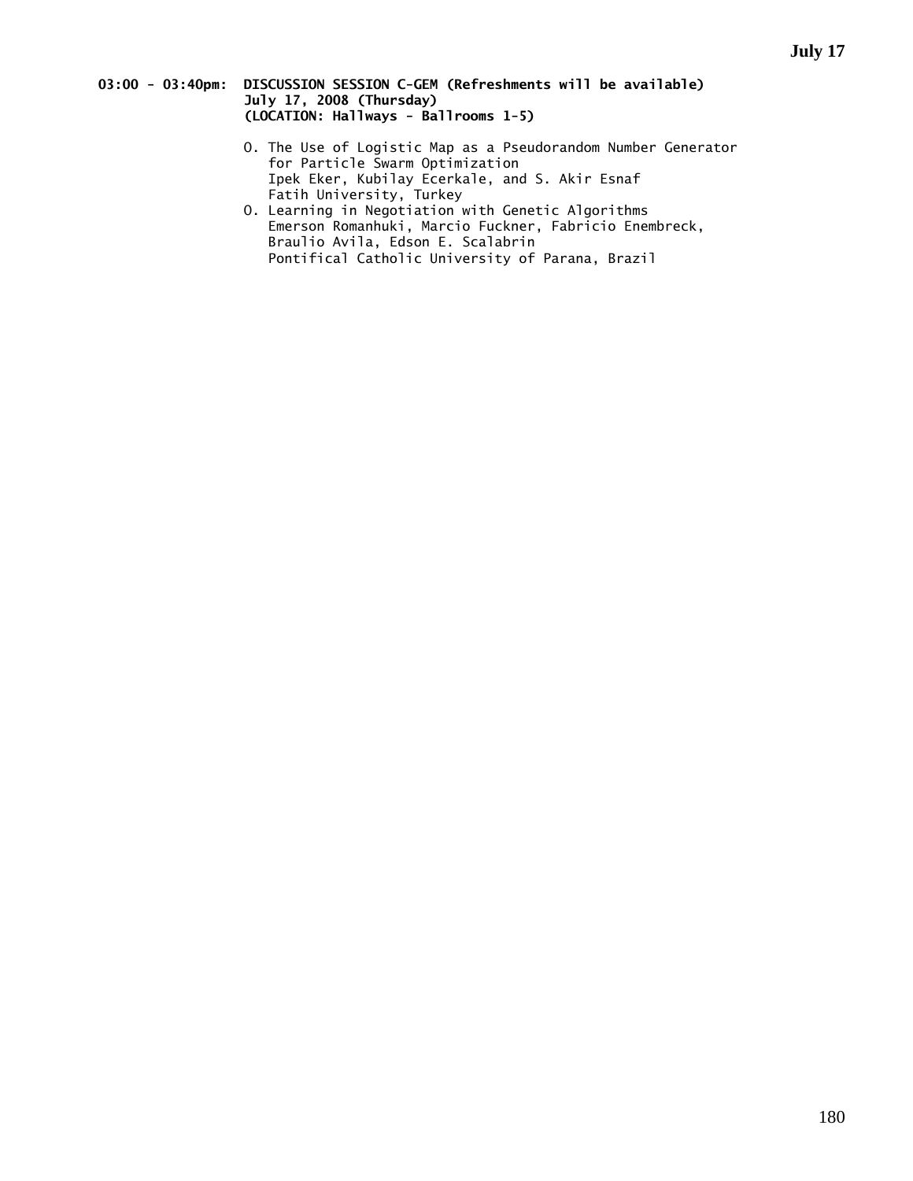## **03:00 - 03:40pm: DISCUSSION SESSION C-GEM (Refreshments will be available) July 17, 2008 (Thursday) (LOCATION: Hallways - Ballrooms 1-5)**

- O. The Use of Logistic Map as a Pseudorandom Number Generator for Particle Swarm Optimization Ipek Eker, Kubilay Ecerkale, and S. Akir Esnaf Fatih University, Turkey
- O. Learning in Negotiation with Genetic Algorithms Emerson Romanhuki, Marcio Fuckner, Fabricio Enembreck, Braulio Avila, Edson E. Scalabrin Pontifical Catholic University of Parana, Brazil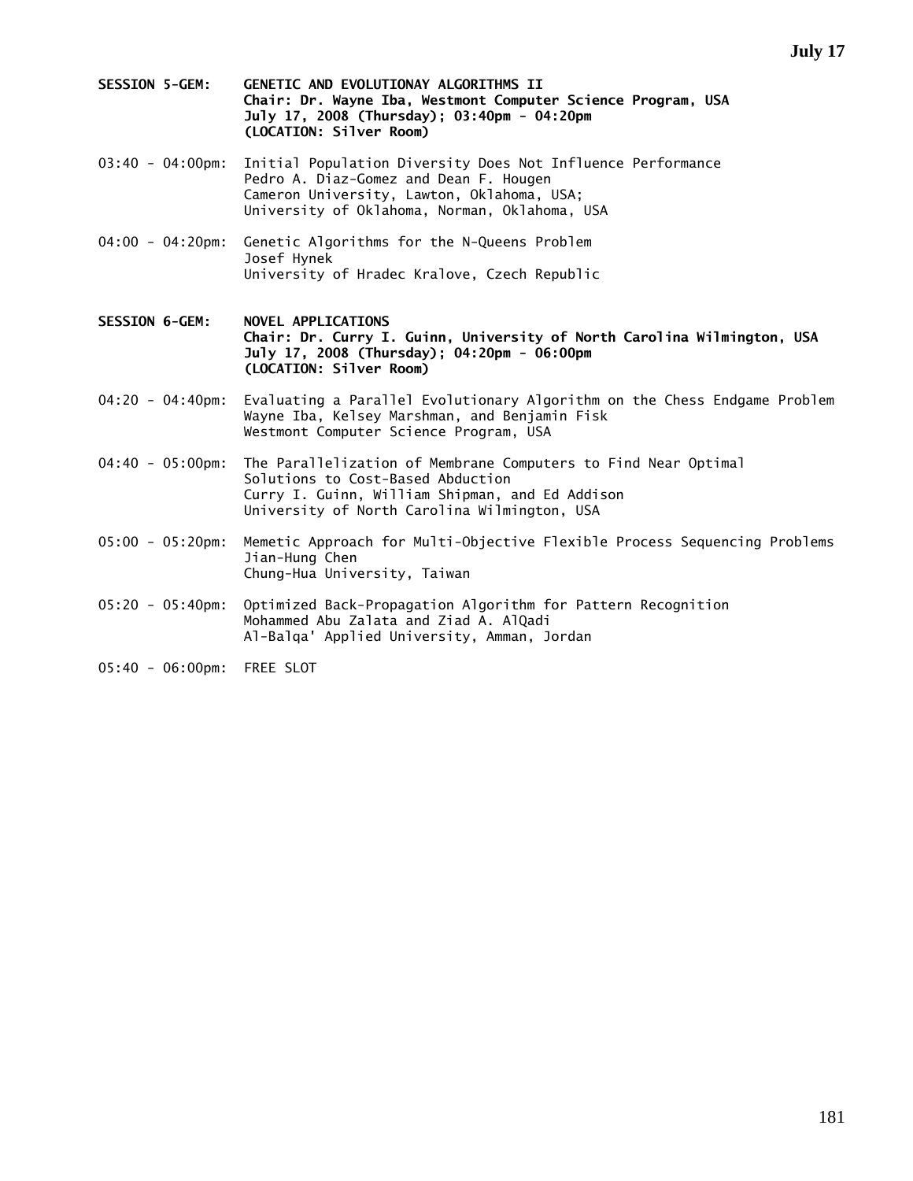- **SESSION 5-GEM: GENETIC AND EVOLUTIONAY ALGORITHMS II Chair: Dr. Wayne Iba, Westmont Computer Science Program, USA July 17, 2008 (Thursday); 03:40pm - 04:20pm (LOCATION: Silver Room)**
- 03:40 04:00pm: Initial Population Diversity Does Not Influence Performance Pedro A. Diaz-Gomez and Dean F. Hougen Cameron University, Lawton, Oklahoma, USA; University of Oklahoma, Norman, Oklahoma, USA
- 04:00 04:20pm: Genetic Algorithms for the N-Queens Problem Josef Hynek University of Hradec Kralove, Czech Republic
- **SESSION 6-GEM: NOVEL APPLICATIONS Chair: Dr. Curry I. Guinn, University of North Carolina Wilmington, USA July 17, 2008 (Thursday); 04:20pm - 06:00pm (LOCATION: Silver Room)**
- 04:20 04:40pm: Evaluating a Parallel Evolutionary Algorithm on the Chess Endgame Problem Wayne Iba, Kelsey Marshman, and Benjamin Fisk Westmont Computer Science Program, USA
- 04:40 05:00pm: The Parallelization of Membrane Computers to Find Near Optimal Solutions to Cost-Based Abduction Curry I. Guinn, William Shipman, and Ed Addison University of North Carolina Wilmington, USA
- 05:00 05:20pm: Memetic Approach for Multi-Objective Flexible Process Sequencing Problems Jian-Hung Chen Chung-Hua University, Taiwan
- 05:20 05:40pm: Optimized Back-Propagation Algorithm for Pattern Recognition Mohammed Abu Zalata and Ziad A. AlQadi Al-Balqa' Applied University, Amman, Jordan
- 05:40 06:00pm: FREE SLOT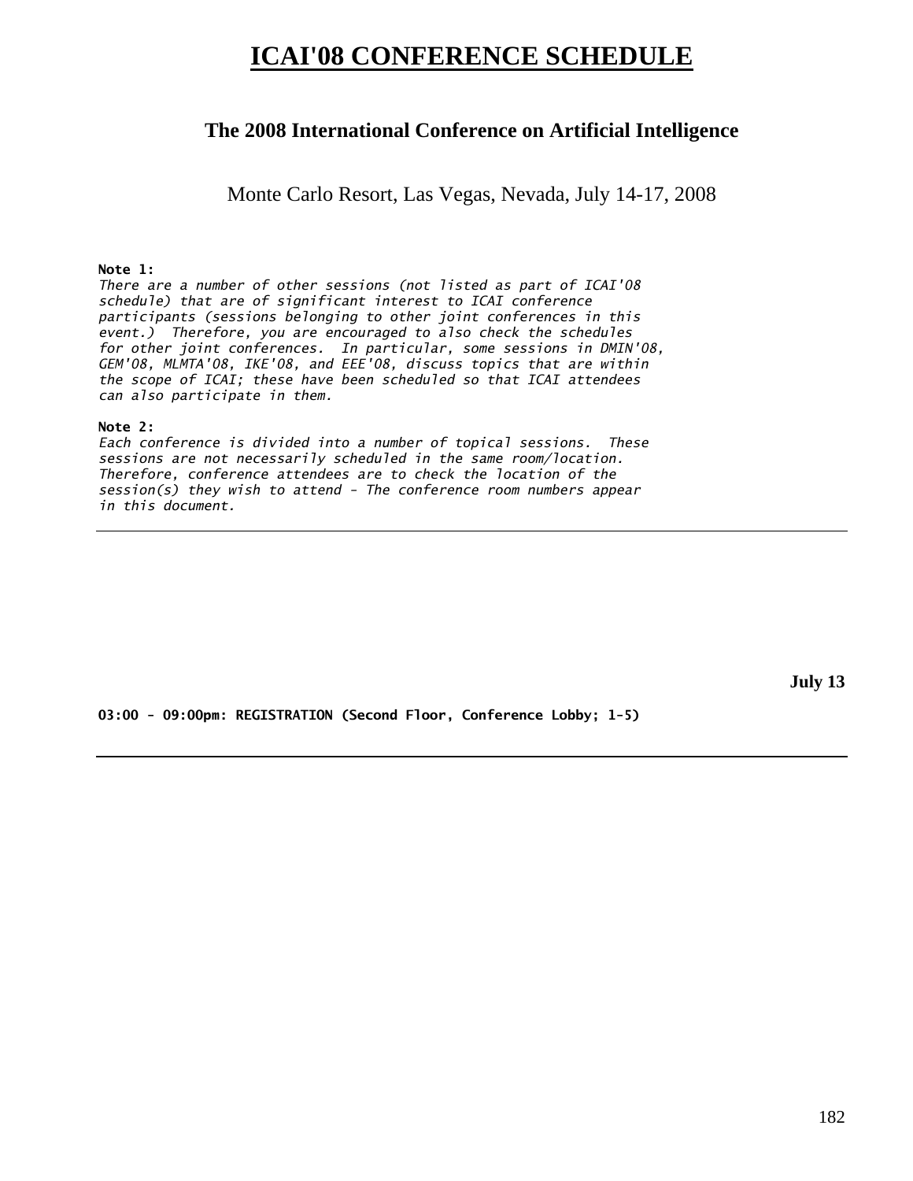# **ICAI'08 CONFERENCE SCHEDULE**

# **The 2008 International Conference on Artificial Intelligence**

Monte Carlo Resort, Las Vegas, Nevada, July 14-17, 2008

# **Note 1:**

*There are a number of other sessions (not listed as part of ICAI'08 schedule) that are of significant interest to ICAI conference participants (sessions belonging to other joint conferences in this event.) Therefore, you are encouraged to also check the schedules for other joint conferences. In particular, some sessions in DMIN'08, GEM'08, MLMTA'08, IKE'08, and EEE'08, discuss topics that are within the scope of ICAI; these have been scheduled so that ICAI attendees can also participate in them.* 

### **Note 2:**

*Each conference is divided into a number of topical sessions. These sessions are not necessarily scheduled in the same room/location. Therefore, conference attendees are to check the location of the session(s) they wish to attend - The conference room numbers appear in this document.* 

**July 13** 

**03:00 - 09:00pm: REGISTRATION (Second Floor, Conference Lobby; 1-5)**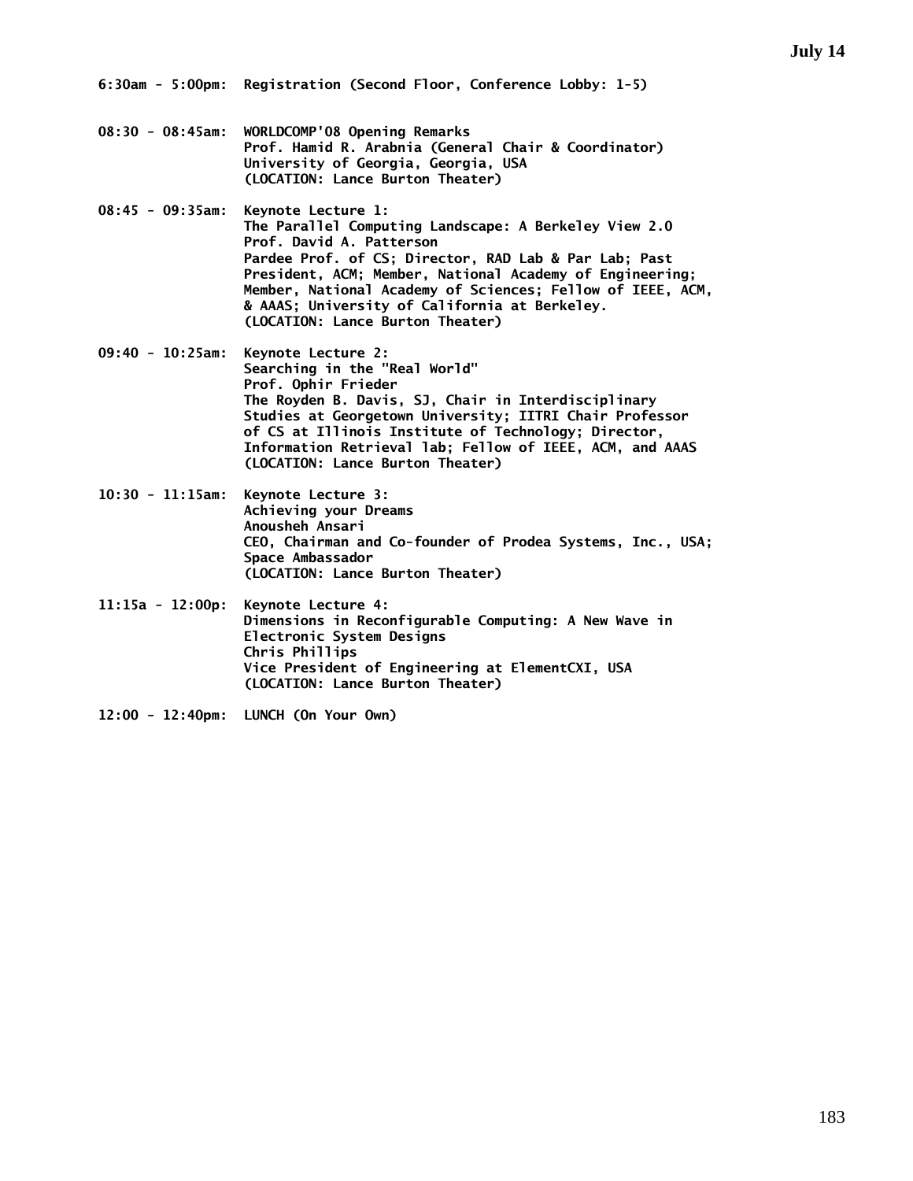- **08:30 08:45am: WORLDCOMP'08 Opening Remarks Prof. Hamid R. Arabnia (General Chair & Coordinator) University of Georgia, Georgia, USA (LOCATION: Lance Burton Theater)**
- **08:45 09:35am: Keynote Lecture 1: The Parallel Computing Landscape: A Berkeley View 2.0 Prof. David A. Patterson Pardee Prof. of CS; Director, RAD Lab & Par Lab; Past President, ACM; Member, National Academy of Engineering; Member, National Academy of Sciences; Fellow of IEEE, ACM, & AAAS; University of California at Berkeley. (LOCATION: Lance Burton Theater)**
- **09:40 10:25am: Keynote Lecture 2: Searching in the "Real World" Prof. Ophir Frieder The Royden B. Davis, SJ, Chair in Interdisciplinary Studies at Georgetown University; IITRI Chair Professor of CS at Illinois Institute of Technology; Director, Information Retrieval lab; Fellow of IEEE, ACM, and AAAS (LOCATION: Lance Burton Theater)**
- **10:30 11:15am: Keynote Lecture 3: Achieving your Dreams Anousheh Ansari CEO, Chairman and Co-founder of Prodea Systems, Inc., USA; Space Ambassador (LOCATION: Lance Burton Theater)**
- **11:15a 12:00p: Keynote Lecture 4: Dimensions in Reconfigurable Computing: A New Wave in Electronic System Designs Chris Phillips Vice President of Engineering at ElementCXI, USA (LOCATION: Lance Burton Theater)**
- **12:00 12:40pm: LUNCH (On Your Own)**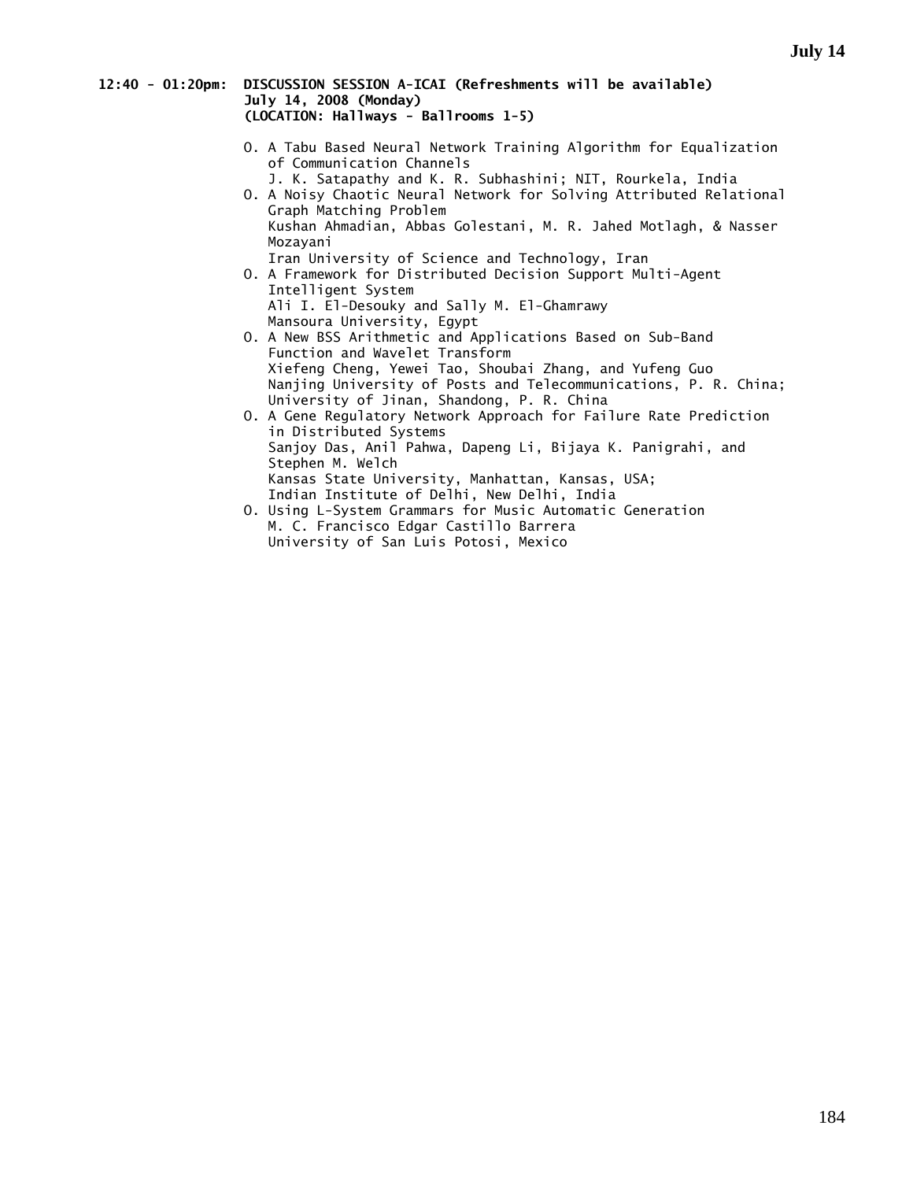#### **12:40 - 01:20pm: DISCUSSION SESSION A-ICAI (Refreshments will be available) July 14, 2008 (Monday) (LOCATION: Hallways - Ballrooms 1-5)**

- O. A Tabu Based Neural Network Training Algorithm for Equalization of Communication Channels
	- J. K. Satapathy and K. R. Subhashini; NIT, Rourkela, India
- O. A Noisy Chaotic Neural Network for Solving Attributed Relational Graph Matching Problem Kushan Ahmadian, Abbas Golestani, M. R. Jahed Motlagh, & Nasser Mozayani

Iran University of Science and Technology, Iran

- O. A Framework for Distributed Decision Support Multi-Agent Intelligent System Ali I. El-Desouky and Sally M. El-Ghamrawy
- Mansoura University, Egypt O. A New BSS Arithmetic and Applications Based on Sub-Band Function and Wavelet Transform Xiefeng Cheng, Yewei Tao, Shoubai Zhang, and Yufeng Guo Nanjing University of Posts and Telecommunications, P. R. China; University of Jinan, Shandong, P. R. China
- O. A Gene Regulatory Network Approach for Failure Rate Prediction in Distributed Systems Sanjoy Das, Anil Pahwa, Dapeng Li, Bijaya K. Panigrahi, and Stephen M. Welch Kansas State University, Manhattan, Kansas, USA; Indian Institute of Delhi, New Delhi, India
- O. Using L-System Grammars for Music Automatic Generation M. C. Francisco Edgar Castillo Barrera University of San Luis Potosi, Mexico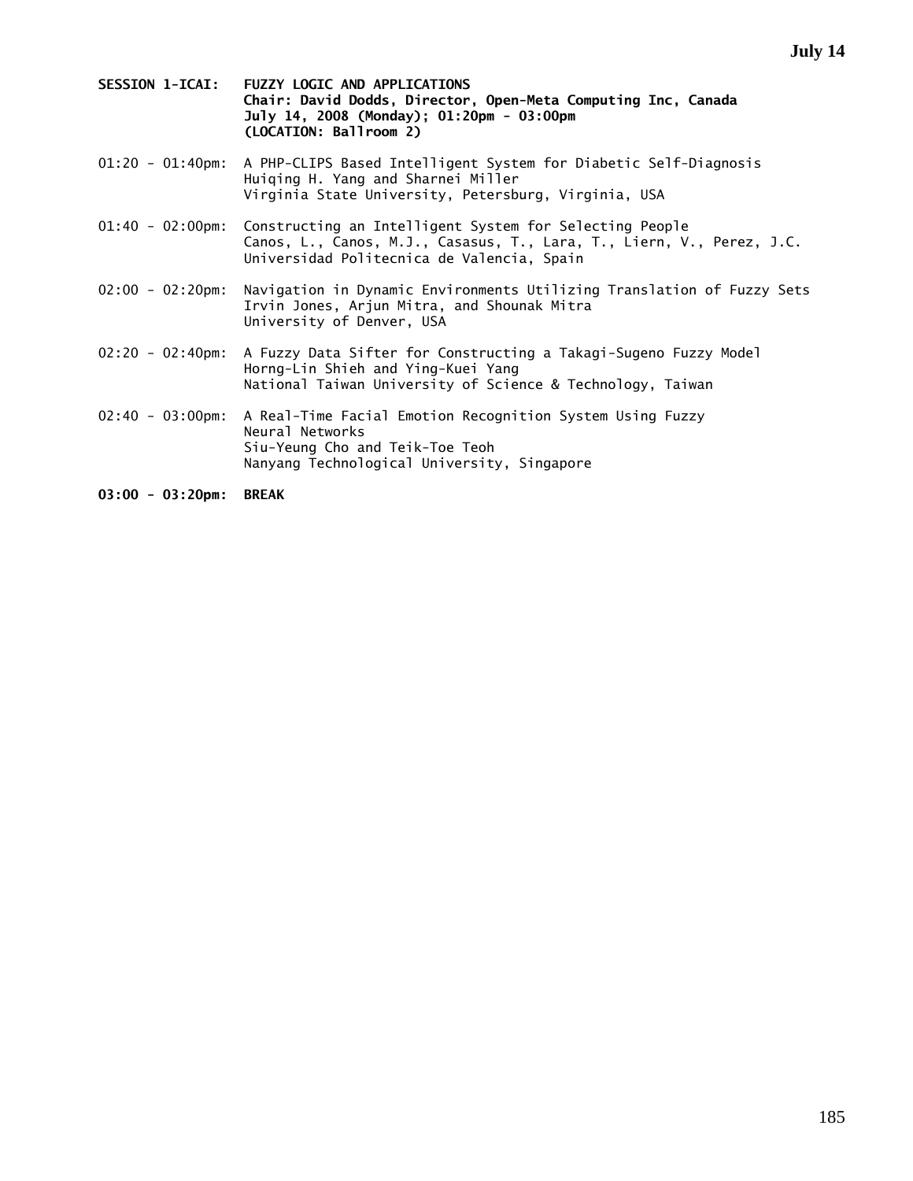- **SESSION 1-ICAI: FUZZY LOGIC AND APPLICATIONS Chair: David Dodds, Director, Open-Meta Computing Inc, Canada July 14, 2008 (Monday); 01:20pm - 03:00pm (LOCATION: Ballroom 2)**
- 01:20 01:40pm: A PHP-CLIPS Based Intelligent System for Diabetic Self-Diagnosis Huiqing H. Yang and Sharnei Miller Virginia State University, Petersburg, Virginia, USA
- 01:40 02:00pm: Constructing an Intelligent System for Selecting People Canos, L., Canos, M.J., Casasus, T., Lara, T., Liern, V., Perez, J.C. Universidad Politecnica de Valencia, Spain
- 02:00 02:20pm: Navigation in Dynamic Environments Utilizing Translation of Fuzzy Sets Irvin Jones, Arjun Mitra, and Shounak Mitra University of Denver, USA
- 02:20 02:40pm: A Fuzzy Data Sifter for Constructing a Takagi-Sugeno Fuzzy Model Horng-Lin Shieh and Ying-Kuei Yang National Taiwan University of Science & Technology, Taiwan
- 02:40 03:00pm: A Real-Time Facial Emotion Recognition System Using Fuzzy Neural Networks Siu-Yeung Cho and Teik-Toe Teoh Nanyang Technological University, Singapore
- **03:00 03:20pm: BREAK**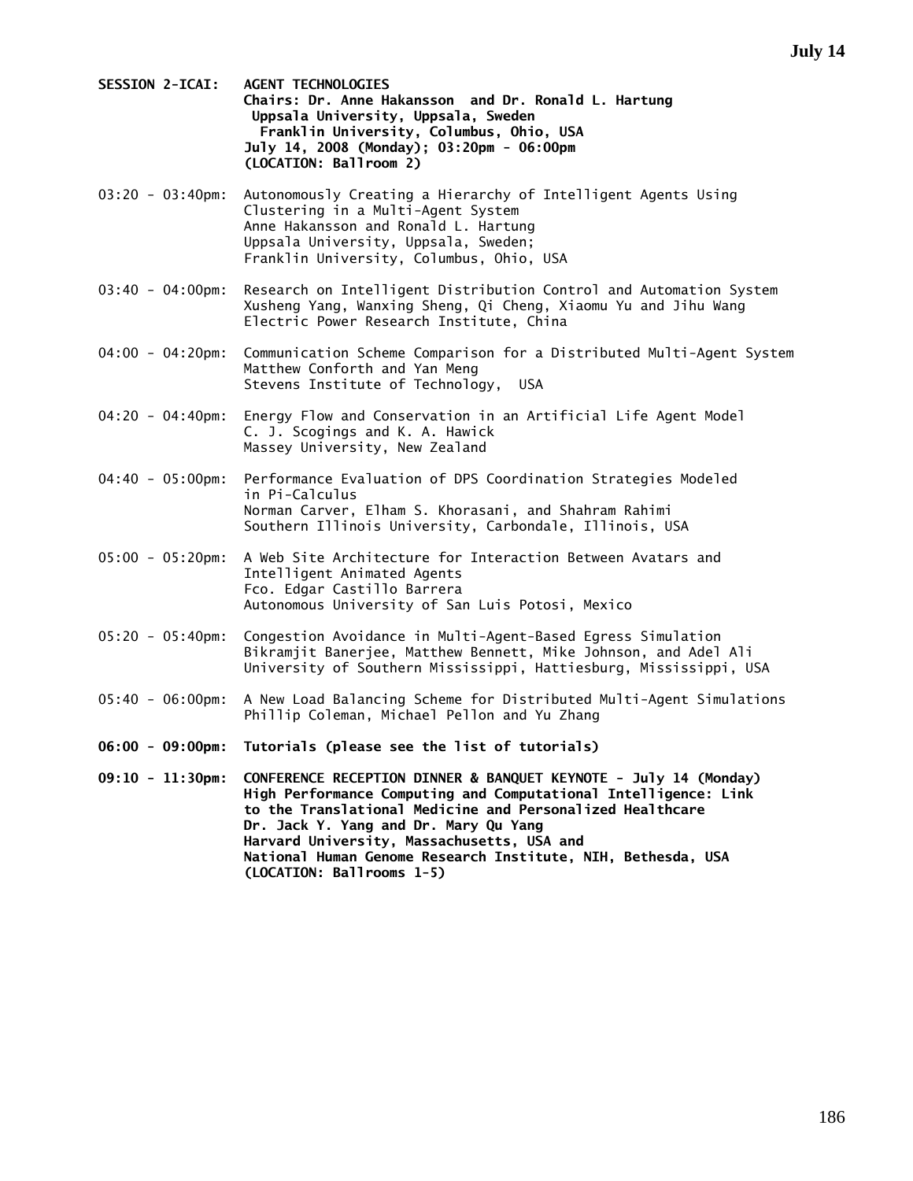- **SESSION 2-ICAI: AGENT TECHNOLOGIES Chairs: Dr. Anne Hakansson and Dr. Ronald L. Hartung Uppsala University, Uppsala, Sweden Franklin University, Columbus, Ohio, USA July 14, 2008 (Monday); 03:20pm - 06:00pm (LOCATION: Ballroom 2)**
- 03:20 03:40pm: Autonomously Creating a Hierarchy of Intelligent Agents Using Clustering in a Multi-Agent System Anne Hakansson and Ronald L. Hartung Uppsala University, Uppsala, Sweden; Franklin University, Columbus, Ohio, USA
- 03:40 04:00pm: Research on Intelligent Distribution Control and Automation System Xusheng Yang, Wanxing Sheng, Qi Cheng, Xiaomu Yu and Jihu Wang Electric Power Research Institute, China
- 04:00 04:20pm: Communication Scheme Comparison for a Distributed Multi-Agent System Matthew Conforth and Yan Meng Stevens Institute of Technology, USA
- 04:20 04:40pm: Energy Flow and Conservation in an Artificial Life Agent Model C. J. Scogings and K. A. Hawick Massey University, New Zealand
- 04:40 05:00pm: Performance Evaluation of DPS Coordination Strategies Modeled in Pi-Calculus Norman Carver, Elham S. Khorasani, and Shahram Rahimi Southern Illinois University, Carbondale, Illinois, USA
- 05:00 05:20pm: A Web Site Architecture for Interaction Between Avatars and Intelligent Animated Agents Fco. Edgar Castillo Barrera Autonomous University of San Luis Potosi, Mexico
- 05:20 05:40pm: Congestion Avoidance in Multi-Agent-Based Egress Simulation Bikramjit Banerjee, Matthew Bennett, Mike Johnson, and Adel Ali University of Southern Mississippi, Hattiesburg, Mississippi, USA
- 05:40 06:00pm: A New Load Balancing Scheme for Distributed Multi-Agent Simulations Phillip Coleman, Michael Pellon and Yu Zhang
- **06:00 09:00pm: Tutorials (please see the list of tutorials)**
- **09:10 11:30pm: CONFERENCE RECEPTION DINNER & BANQUET KEYNOTE July 14 (Monday) High Performance Computing and Computational Intelligence: Link to the Translational Medicine and Personalized Healthcare Dr. Jack Y. Yang and Dr. Mary Qu Yang Harvard University, Massachusetts, USA and National Human Genome Research Institute, NIH, Bethesda, USA (LOCATION: Ballrooms 1-5)**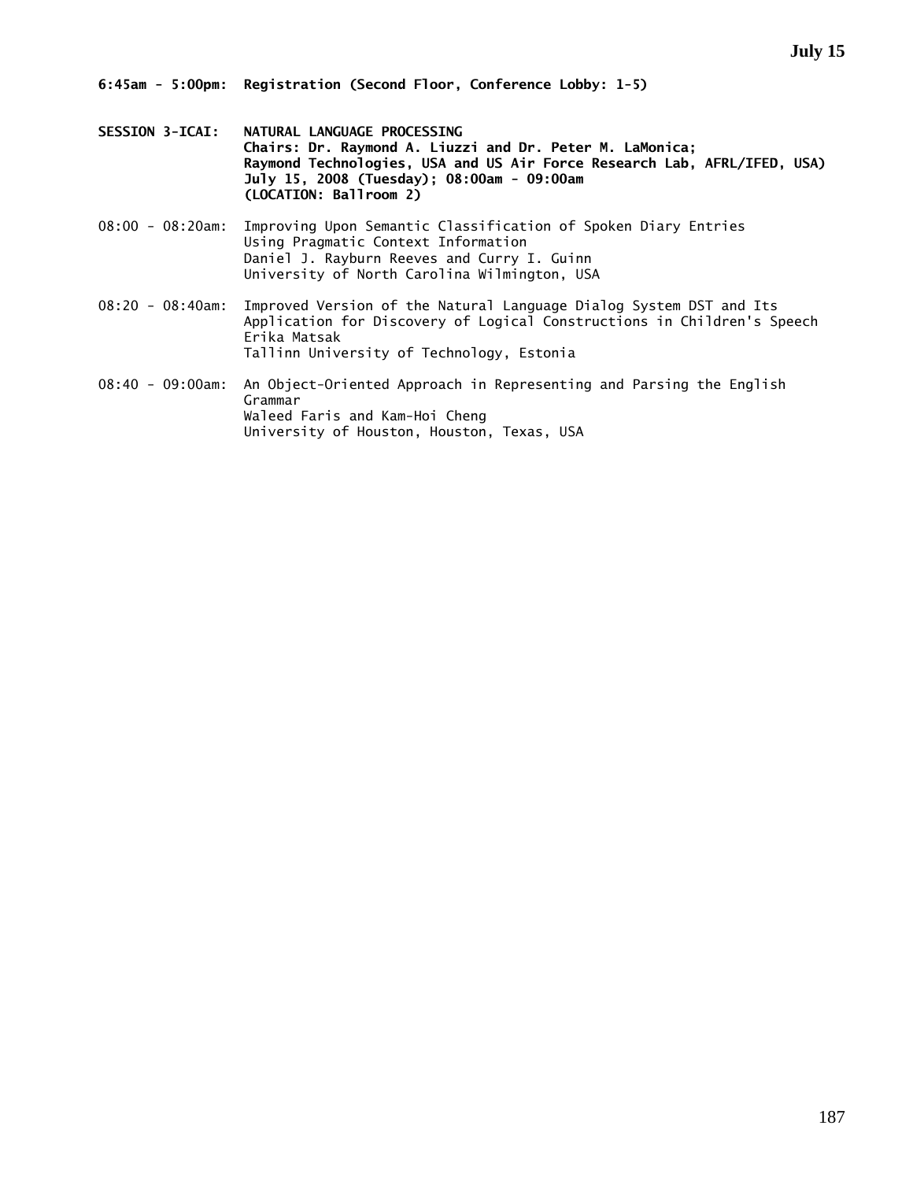- **SESSION 3-ICAI: NATURAL LANGUAGE PROCESSING Chairs: Dr. Raymond A. Liuzzi and Dr. Peter M. LaMonica; Raymond Technologies, USA and US Air Force Research Lab, AFRL/IFED, USA) July 15, 2008 (Tuesday); 08:00am - 09:00am (LOCATION: Ballroom 2)**
- 08:00 08:20am: Improving Upon Semantic Classification of Spoken Diary Entries Using Pragmatic Context Information Daniel J. Rayburn Reeves and Curry I. Guinn University of North Carolina Wilmington, USA
- 08:20 08:40am: Improved Version of the Natural Language Dialog System DST and Its Application for Discovery of Logical Constructions in Children's Speech Erika Matsak Tallinn University of Technology, Estonia
- 08:40 09:00am: An Object-Oriented Approach in Representing and Parsing the English Grammar Waleed Faris and Kam-Hoi Cheng University of Houston, Houston, Texas, USA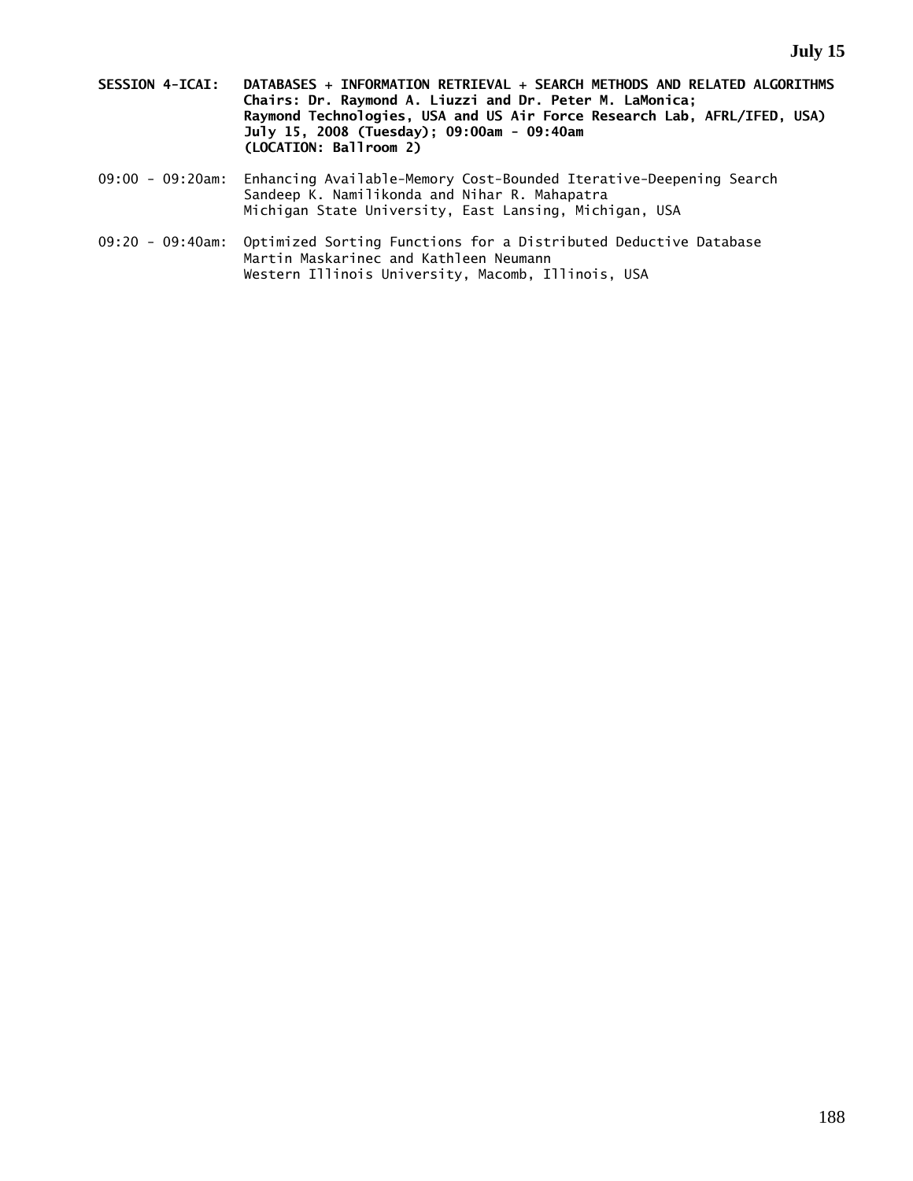- **SESSION 4-ICAI: DATABASES + INFORMATION RETRIEVAL + SEARCH METHODS AND RELATED ALGORITHMS Chairs: Dr. Raymond A. Liuzzi and Dr. Peter M. LaMonica; Raymond Technologies, USA and US Air Force Research Lab, AFRL/IFED, USA) July 15, 2008 (Tuesday); 09:00am - 09:40am (LOCATION: Ballroom 2)**
- 09:00 09:20am: Enhancing Available-Memory Cost-Bounded Iterative-Deepening Search Sandeep K. Namilikonda and Nihar R. Mahapatra Michigan State University, East Lansing, Michigan, USA
- 09:20 09:40am: Optimized Sorting Functions for a Distributed Deductive Database Martin Maskarinec and Kathleen Neumann Western Illinois University, Macomb, Illinois, USA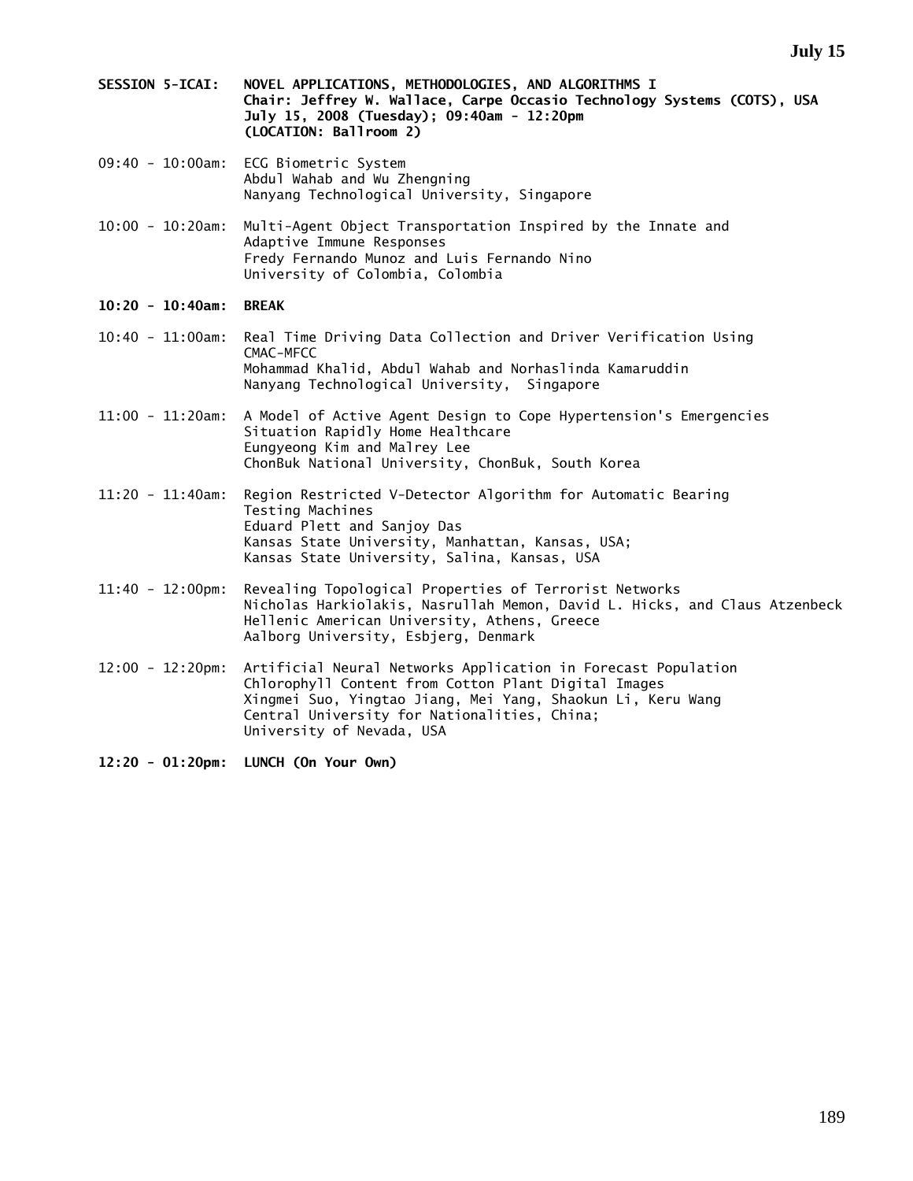- **SESSION 5-ICAI: NOVEL APPLICATIONS, METHODOLOGIES, AND ALGORITHMS I Chair: Jeffrey W. Wallace, Carpe Occasio Technology Systems (COTS), USA July 15, 2008 (Tuesday); 09:40am - 12:20pm (LOCATION: Ballroom 2)**
- 09:40 10:00am: ECG Biometric System Abdul Wahab and Wu Zhengning Nanyang Technological University, Singapore
- 10:00 10:20am: Multi-Agent Object Transportation Inspired by the Innate and Adaptive Immune Responses Fredy Fernando Munoz and Luis Fernando Nino University of Colombia, Colombia
- **10:20 10:40am: BREAK**
- 10:40 11:00am: Real Time Driving Data Collection and Driver Verification Using CMAC-MFCC Mohammad Khalid, Abdul Wahab and Norhaslinda Kamaruddin Nanyang Technological University, Singapore
- 11:00 11:20am: A Model of Active Agent Design to Cope Hypertension's Emergencies Situation Rapidly Home Healthcare Eungyeong Kim and Malrey Lee ChonBuk National University, ChonBuk, South Korea
- 11:20 11:40am: Region Restricted V-Detector Algorithm for Automatic Bearing Testing Machines Eduard Plett and Sanjoy Das Kansas State University, Manhattan, Kansas, USA; Kansas State University, Salina, Kansas, USA
- 11:40 12:00pm: Revealing Topological Properties of Terrorist Networks Nicholas Harkiolakis, Nasrullah Memon, David L. Hicks, and Claus Atzenbeck Hellenic American University, Athens, Greece Aalborg University, Esbjerg, Denmark
- 12:00 12:20pm: Artificial Neural Networks Application in Forecast Population Chlorophyll Content from Cotton Plant Digital Images Xingmei Suo, Yingtao Jiang, Mei Yang, Shaokun Li, Keru Wang Central University for Nationalities, China; University of Nevada, USA

**12:20 - 01:20pm: LUNCH (On Your Own)**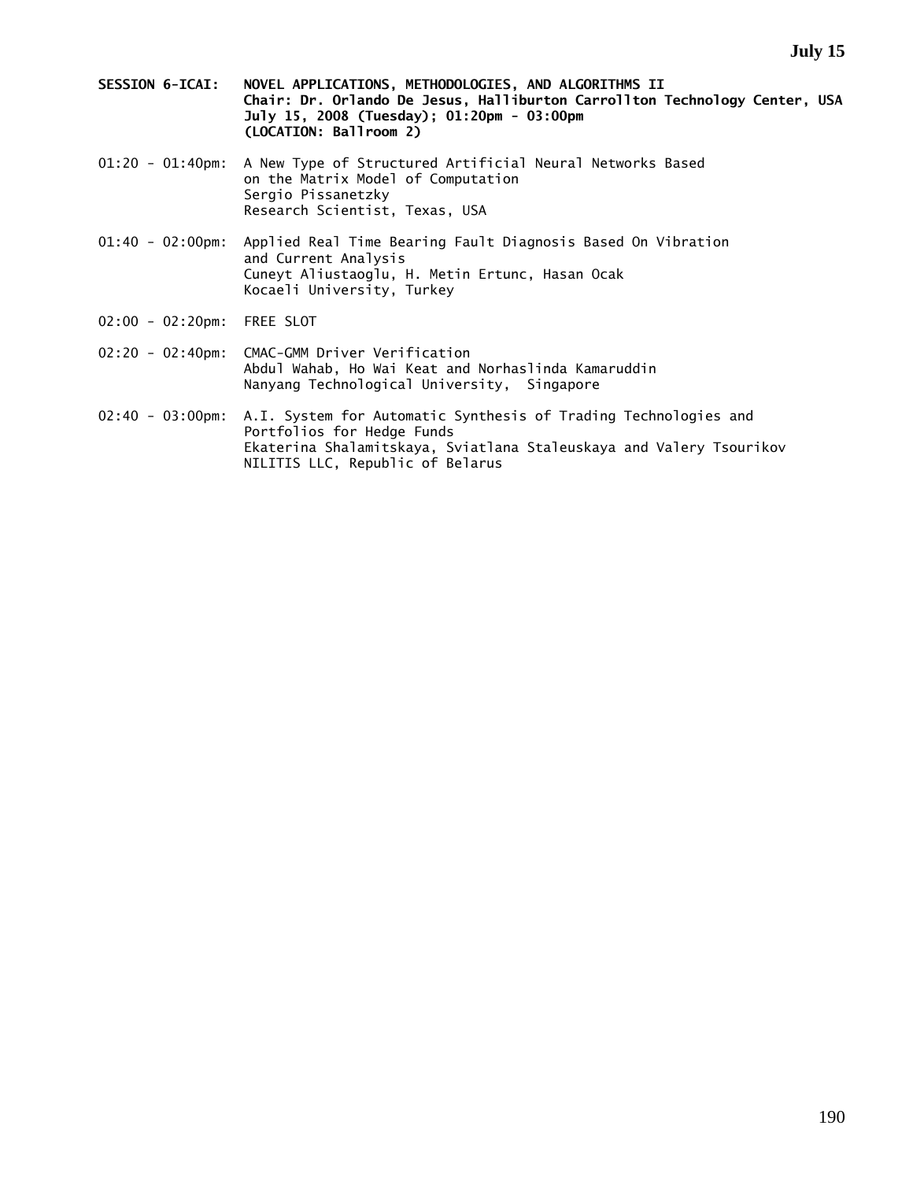- **SESSION 6-ICAI: NOVEL APPLICATIONS, METHODOLOGIES, AND ALGORITHMS II Chair: Dr. Orlando De Jesus, Halliburton Carrollton Technology Center, USA July 15, 2008 (Tuesday); 01:20pm - 03:00pm (LOCATION: Ballroom 2)**
- 01:20 01:40pm: A New Type of Structured Artificial Neural Networks Based on the Matrix Model of Computation Sergio Pissanetzky Research Scientist, Texas, USA
- 01:40 02:00pm: Applied Real Time Bearing Fault Diagnosis Based On Vibration and Current Analysis Cuneyt Aliustaoglu, H. Metin Ertunc, Hasan Ocak Kocaeli University, Turkey
- 02:00 02:20pm: FREE SLOT
- 02:20 02:40pm: CMAC-GMM Driver Verification Abdul Wahab, Ho Wai Keat and Norhaslinda Kamaruddin Nanyang Technological University, Singapore
- 02:40 03:00pm: A.I. System for Automatic Synthesis of Trading Technologies and Portfolios for Hedge Funds Ekaterina Shalamitskaya, Sviatlana Staleuskaya and Valery Tsourikov NILITIS LLC, Republic of Belarus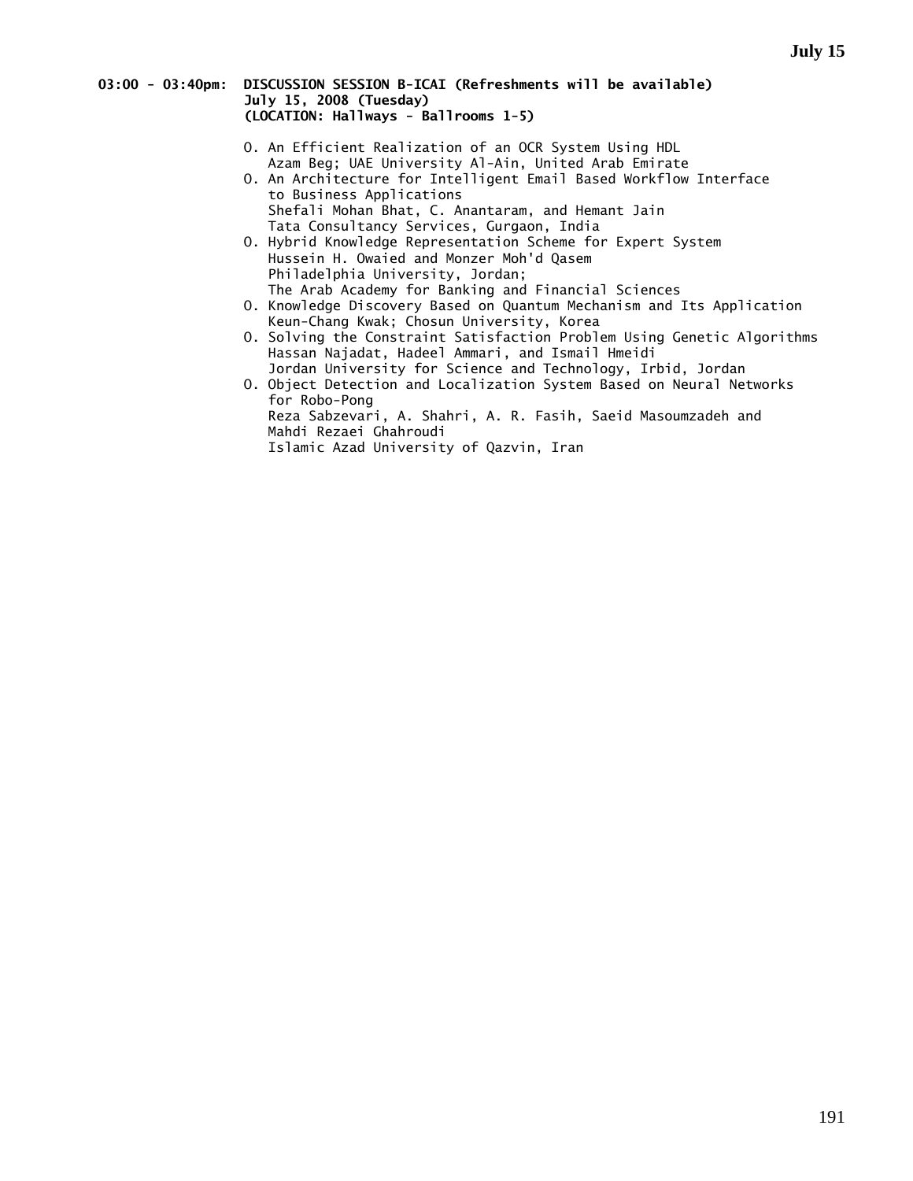#### **03:00 - 03:40pm: DISCUSSION SESSION B-ICAI (Refreshments will be available) July 15, 2008 (Tuesday) (LOCATION: Hallways - Ballrooms 1-5)**

- O. An Efficient Realization of an OCR System Using HDL Azam Beg; UAE University Al-Ain, United Arab Emirate
- O. An Architecture for Intelligent Email Based Workflow Interface to Business Applications Shefali Mohan Bhat, C. Anantaram, and Hemant Jain Tata Consultancy Services, Gurgaon, India
- O. Hybrid Knowledge Representation Scheme for Expert System Hussein H. Owaied and Monzer Moh'd Qasem Philadelphia University, Jordan; The Arab Academy for Banking and Financial Sciences
- O. Knowledge Discovery Based on Quantum Mechanism and Its Application Keun-Chang Kwak; Chosun University, Korea
- O. Solving the Constraint Satisfaction Problem Using Genetic Algorithms Hassan Najadat, Hadeel Ammari, and Ismail Hmeidi Jordan University for Science and Technology, Irbid, Jordan
- O. Object Detection and Localization System Based on Neural Networks for Robo-Pong Reza Sabzevari, A. Shahri, A. R. Fasih, Saeid Masoumzadeh and Mahdi Rezaei Ghahroudi Islamic Azad University of Qazvin, Iran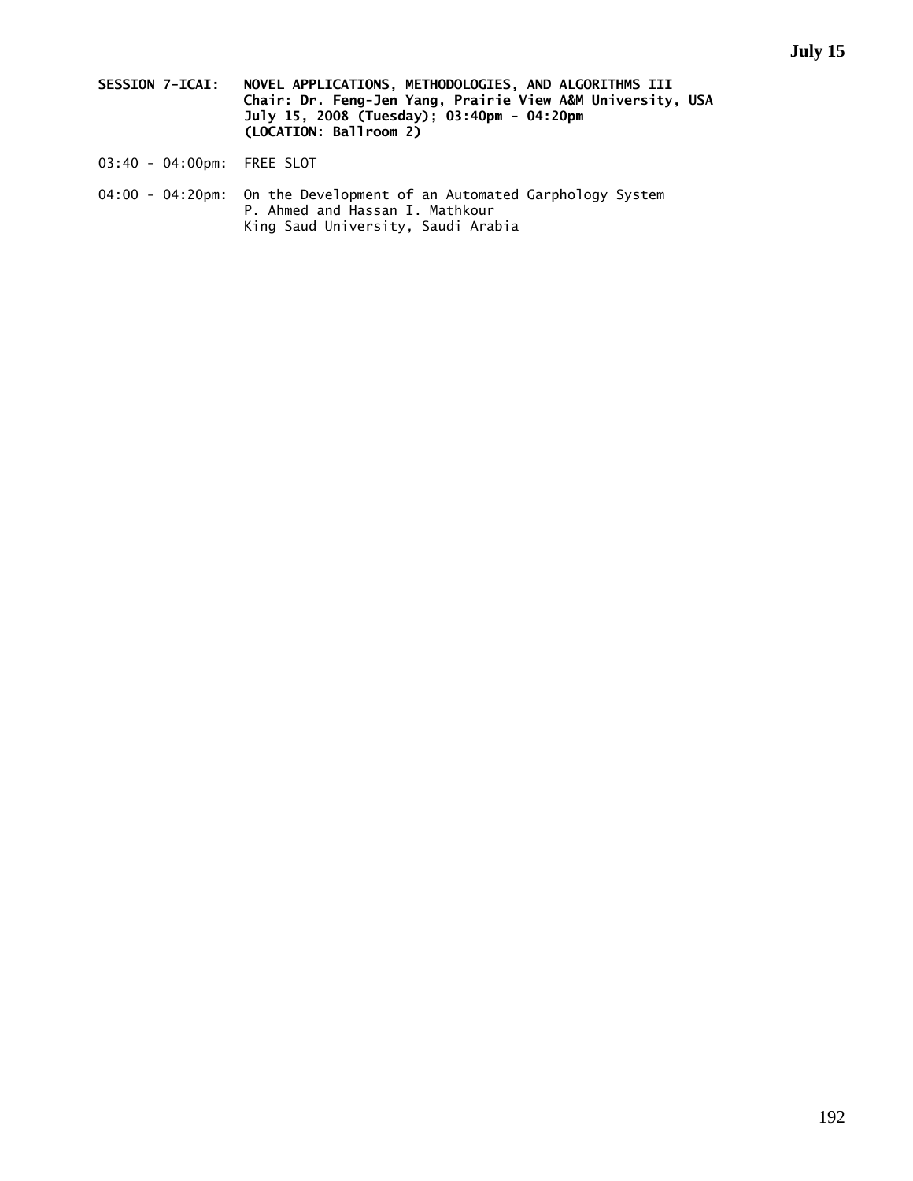- **SESSION 7-ICAI: NOVEL APPLICATIONS, METHODOLOGIES, AND ALGORITHMS III Chair: Dr. Feng-Jen Yang, Prairie View A&M University, USA July 15, 2008 (Tuesday); 03:40pm - 04:20pm (LOCATION: Ballroom 2)**
- 03:40 04:00pm: FREE SLOT
- 04:00 04:20pm: On the Development of an Automated Garphology System P. Ahmed and Hassan I. Mathkour King Saud University, Saudi Arabia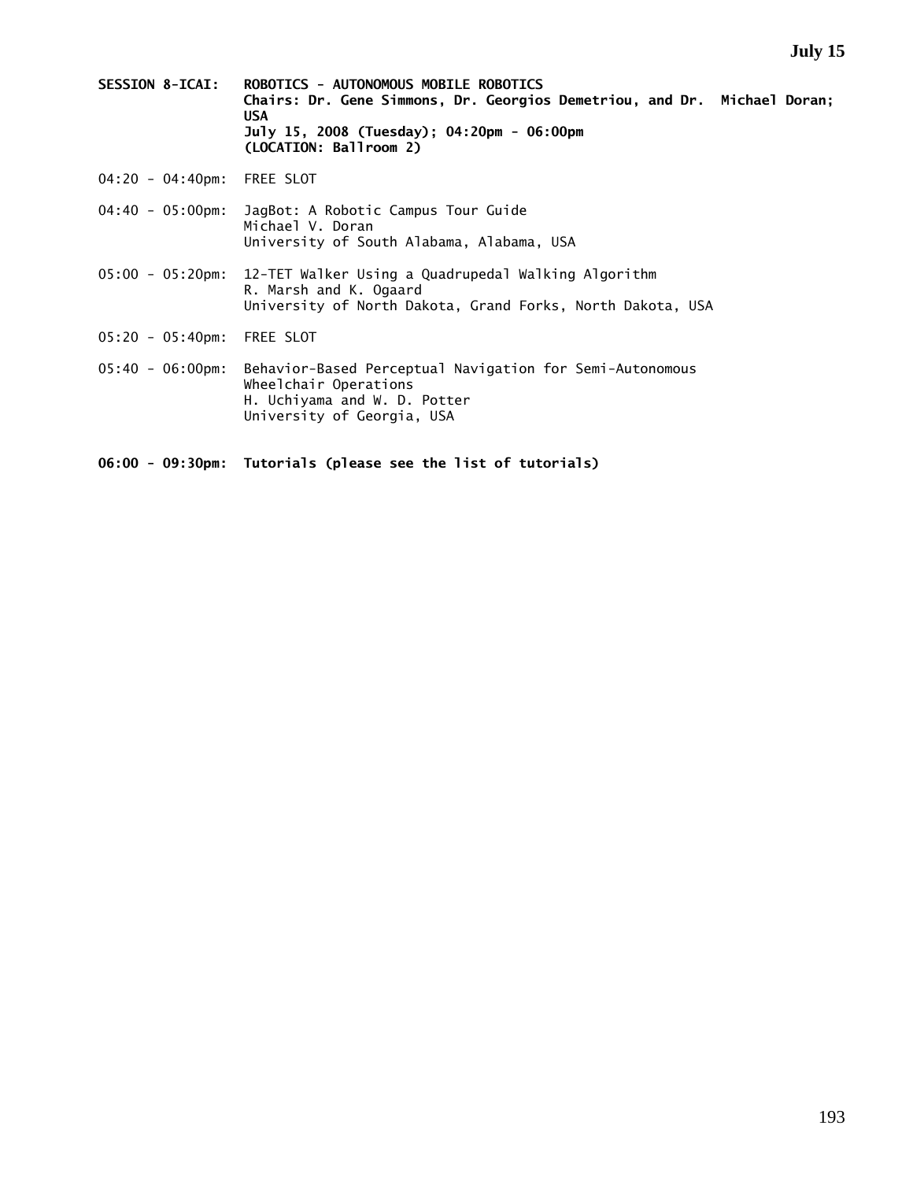- **SESSION 8-ICAI: ROBOTICS AUTONOMOUS MOBILE ROBOTICS Chairs: Dr. Gene Simmons, Dr. Georgios Demetriou, and Dr. Michael Doran; USA July 15, 2008 (Tuesday); 04:20pm - 06:00pm (LOCATION: Ballroom 2)**
- 04:20 04:40pm: FREE SLOT
- 04:40 05:00pm: JagBot: A Robotic Campus Tour Guide Michael V. Doran University of South Alabama, Alabama, USA
- 05:00 05:20pm: 12-TET Walker Using a Quadrupedal Walking Algorithm R. Marsh and K. Ogaard University of North Dakota, Grand Forks, North Dakota, USA
- 05:20 05:40pm: FREE SLOT
- 05:40 06:00pm: Behavior-Based Perceptual Navigation for Semi-Autonomous Wheelchair Operations H. Uchiyama and W. D. Potter University of Georgia, USA
- **06:00 09:30pm: Tutorials (please see the list of tutorials)**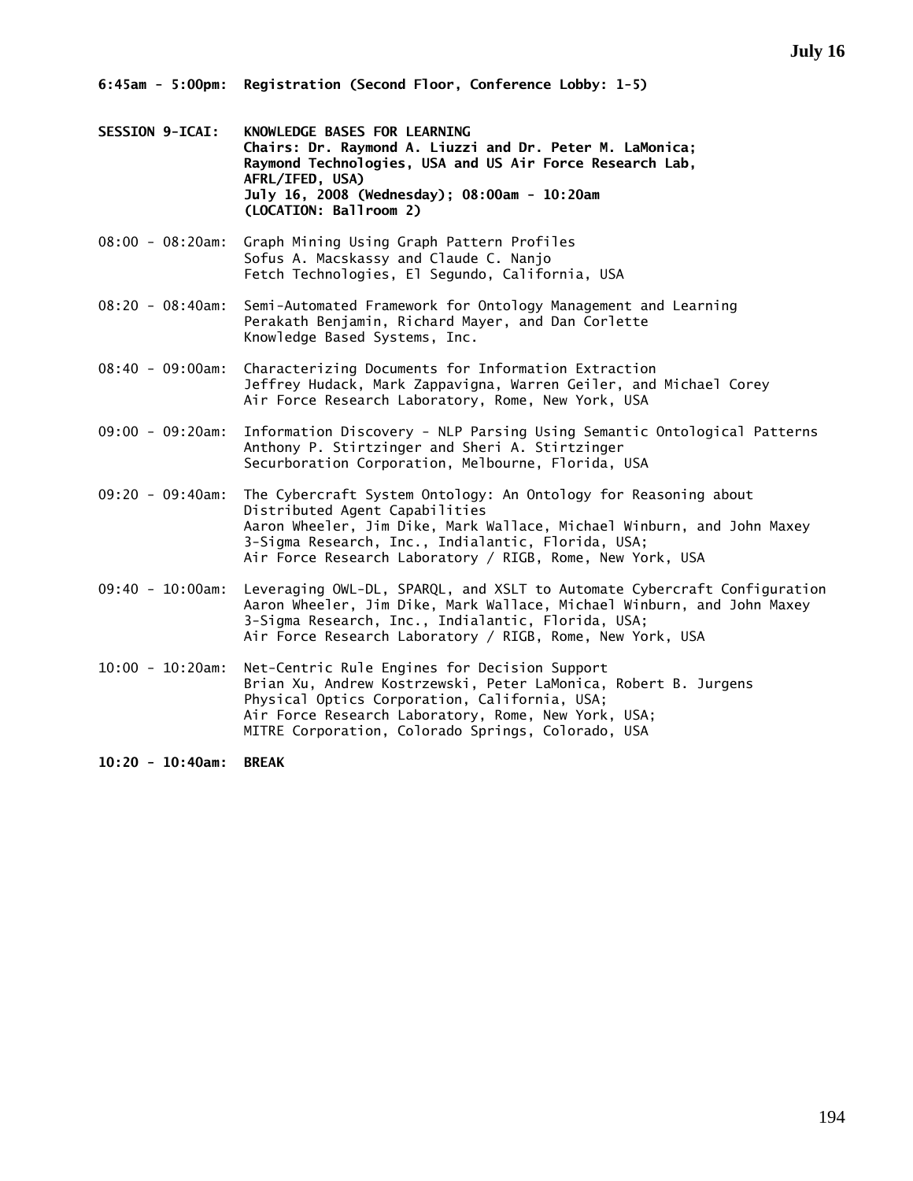- **SESSION 9-ICAI: KNOWLEDGE BASES FOR LEARNING Chairs: Dr. Raymond A. Liuzzi and Dr. Peter M. LaMonica; Raymond Technologies, USA and US Air Force Research Lab, AFRL/IFED, USA) July 16, 2008 (Wednesday); 08:00am - 10:20am (LOCATION: Ballroom 2)**
- 08:00 08:20am: Graph Mining Using Graph Pattern Profiles Sofus A. Macskassy and Claude C. Nanjo Fetch Technologies, El Segundo, California, USA
- 08:20 08:40am: Semi-Automated Framework for Ontology Management and Learning Perakath Benjamin, Richard Mayer, and Dan Corlette Knowledge Based Systems, Inc.
- 08:40 09:00am: Characterizing Documents for Information Extraction Jeffrey Hudack, Mark Zappavigna, Warren Geiler, and Michael Corey Air Force Research Laboratory, Rome, New York, USA
- 09:00 09:20am: Information Discovery NLP Parsing Using Semantic Ontological Patterns Anthony P. Stirtzinger and Sheri A. Stirtzinger Securboration Corporation, Melbourne, Florida, USA
- 09:20 09:40am: The Cybercraft System Ontology: An Ontology for Reasoning about Distributed Agent Capabilities Aaron Wheeler, Jim Dike, Mark Wallace, Michael Winburn, and John Maxey 3-Sigma Research, Inc., Indialantic, Florida, USA; Air Force Research Laboratory / RIGB, Rome, New York, USA
- 09:40 10:00am: Leveraging OWL-DL, SPARQL, and XSLT to Automate Cybercraft Configuration Aaron Wheeler, Jim Dike, Mark Wallace, Michael Winburn, and John Maxey 3-Sigma Research, Inc., Indialantic, Florida, USA; Air Force Research Laboratory / RIGB, Rome, New York, USA
- 10:00 10:20am: Net-Centric Rule Engines for Decision Support Brian Xu, Andrew Kostrzewski, Peter LaMonica, Robert B. Jurgens Physical Optics Corporation, California, USA; Air Force Research Laboratory, Rome, New York, USA; MITRE Corporation, Colorado Springs, Colorado, USA

**10:20 - 10:40am: BREAK**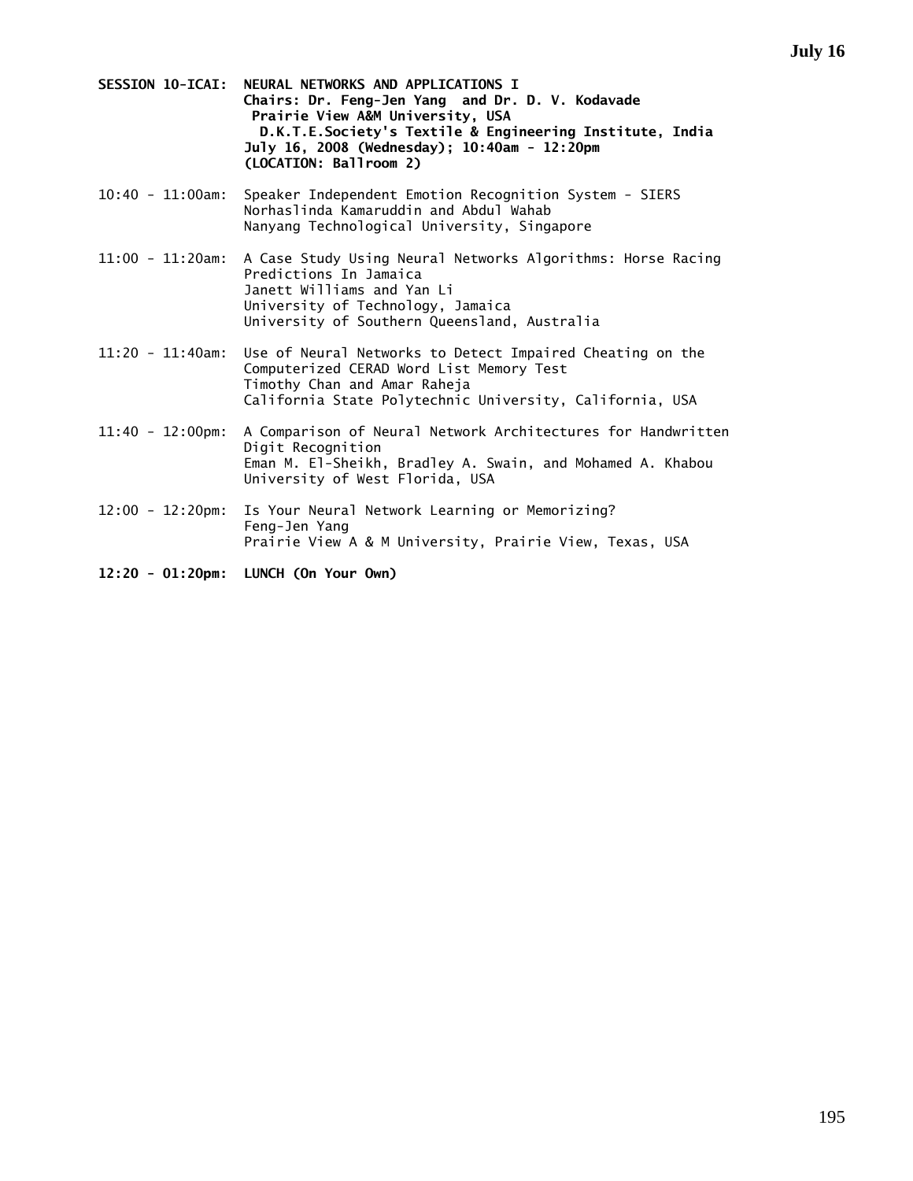- **SESSION 10-ICAI: NEURAL NETWORKS AND APPLICATIONS I Chairs: Dr. Feng-Jen Yang and Dr. D. V. Kodavade Prairie View A&M University, USA D.K.T.E.Society's Textile & Engineering Institute, India July 16, 2008 (Wednesday); 10:40am - 12:20pm (LOCATION: Ballroom 2)**
- 10:40 11:00am: Speaker Independent Emotion Recognition System SIERS Norhaslinda Kamaruddin and Abdul Wahab Nanyang Technological University, Singapore
- 11:00 11:20am: A Case Study Using Neural Networks Algorithms: Horse Racing Predictions In Jamaica Janett Williams and Yan Li University of Technology, Jamaica University of Southern Queensland, Australia
- 11:20 11:40am: Use of Neural Networks to Detect Impaired Cheating on the Computerized CERAD Word List Memory Test Timothy Chan and Amar Raheja California State Polytechnic University, California, USA
- 11:40 12:00pm: A Comparison of Neural Network Architectures for Handwritten Digit Recognition Eman M. El-Sheikh, Bradley A. Swain, and Mohamed A. Khabou University of West Florida, USA
- 12:00 12:20pm: Is Your Neural Network Learning or Memorizing? Feng-Jen Yang Prairie View A & M University, Prairie View, Texas, USA
- **12:20 01:20pm: LUNCH (On Your Own)**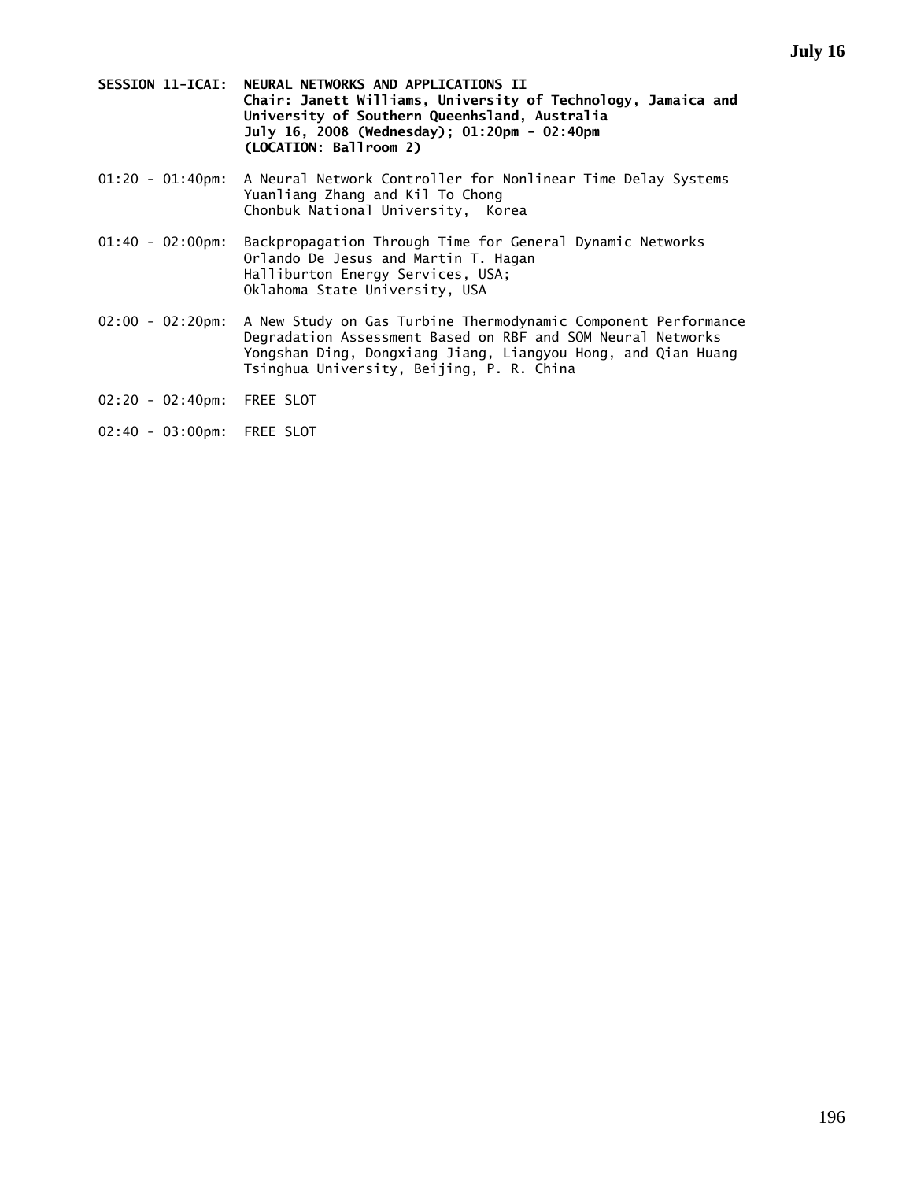- **SESSION 11-ICAI: NEURAL NETWORKS AND APPLICATIONS II Chair: Janett Williams, University of Technology, Jamaica and University of Southern Queenhsland, Australia July 16, 2008 (Wednesday); 01:20pm - 02:40pm (LOCATION: Ballroom 2)**
- 01:20 01:40pm: A Neural Network Controller for Nonlinear Time Delay Systems Yuanliang Zhang and Kil To Chong Chonbuk National University, Korea
- 01:40 02:00pm: Backpropagation Through Time for General Dynamic Networks Orlando De Jesus and Martin T. Hagan Halliburton Energy Services, USA; Oklahoma State University, USA
- 02:00 02:20pm: A New Study on Gas Turbine Thermodynamic Component Performance Degradation Assessment Based on RBF and SOM Neural Networks Yongshan Ding, Dongxiang Jiang, Liangyou Hong, and Qian Huang Tsinghua University, Beijing, P. R. China
- 02:20 02:40pm: FREE SLOT
- 02:40 03:00pm: FREE SLOT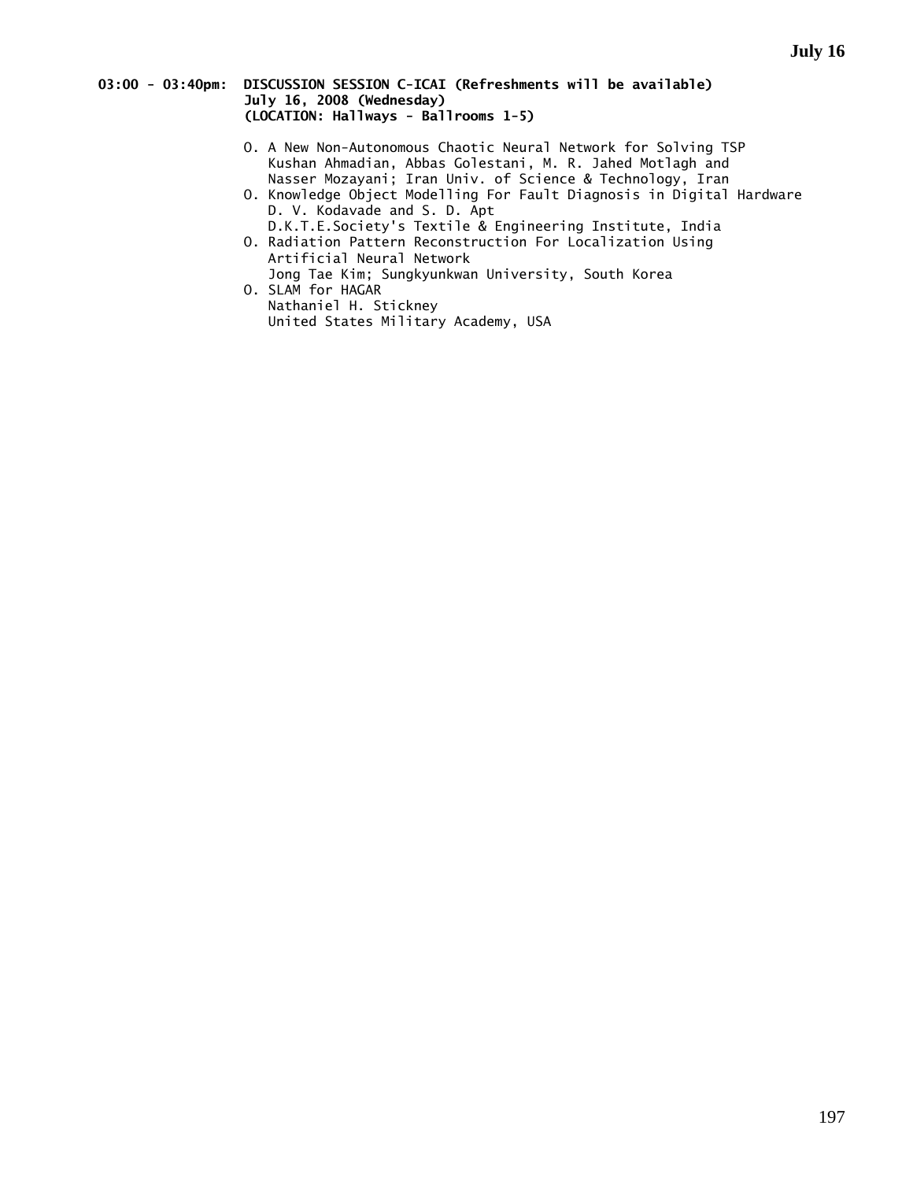#### **03:00 - 03:40pm: DISCUSSION SESSION C-ICAI (Refreshments will be available) July 16, 2008 (Wednesday) (LOCATION: Hallways - Ballrooms 1-5)**

- O. A New Non-Autonomous Chaotic Neural Network for Solving TSP Kushan Ahmadian, Abbas Golestani, M. R. Jahed Motlagh and Nasser Mozayani; Iran Univ. of Science & Technology, Iran
- O. Knowledge Object Modelling For Fault Diagnosis in Digital Hardware D. V. Kodavade and S. D. Apt
- D.K.T.E.Society's Textile & Engineering Institute, India O. Radiation Pattern Reconstruction For Localization Using
- Artificial Neural Network Jong Tae Kim; Sungkyunkwan University, South Korea O. SLAM for HAGAR
- Nathaniel H. Stickney United States Military Academy, USA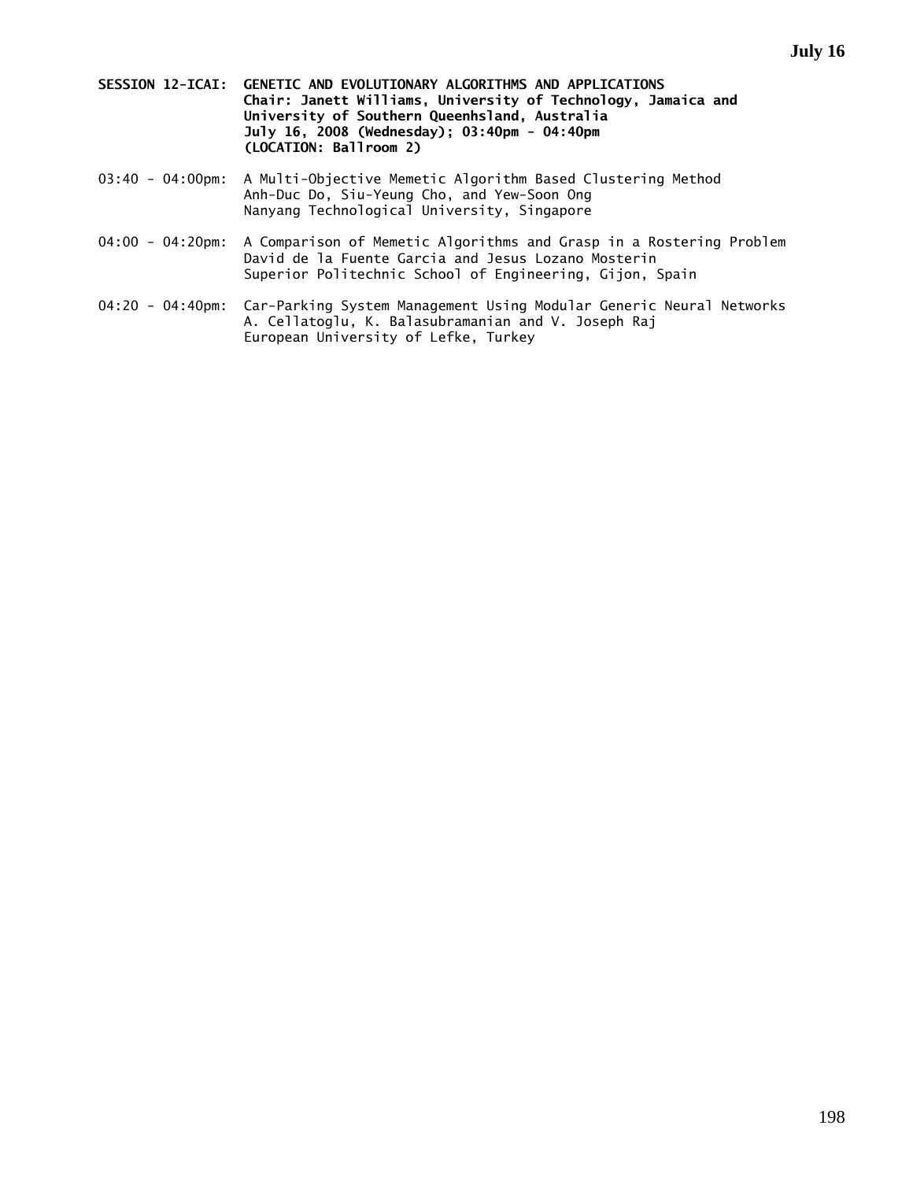- **SESSION 12-ICAI: GENETIC AND EVOLUTIONARY ALGORITHMS AND APPLICATIONS Chair: Janett Williams, University of Technology, Jamaica and University of Southern Queenhsland, Australia July 16, 2008 (Wednesday); 03:40pm - 04:40pm (LOCATION: Ballroom 2)**
- 03:40 04:00pm: A Multi-Objective Memetic Algorithm Based Clustering Method Anh-Duc Do, Siu-Yeung Cho, and Yew-Soon Ong Nanyang Technological University, Singapore
- 04:00 04:20pm: A Comparison of Memetic Algorithms and Grasp in a Rostering Problem David de la Fuente Garcia and Jesus Lozano Mosterin Superior Politechnic School of Engineering, Gijon, Spain
- 04:20 04:40pm: Car-Parking System Management Using Modular Generic Neural Networks A. Cellatoglu, K. Balasubramanian and V. Joseph Raj European University of Lefke, Turkey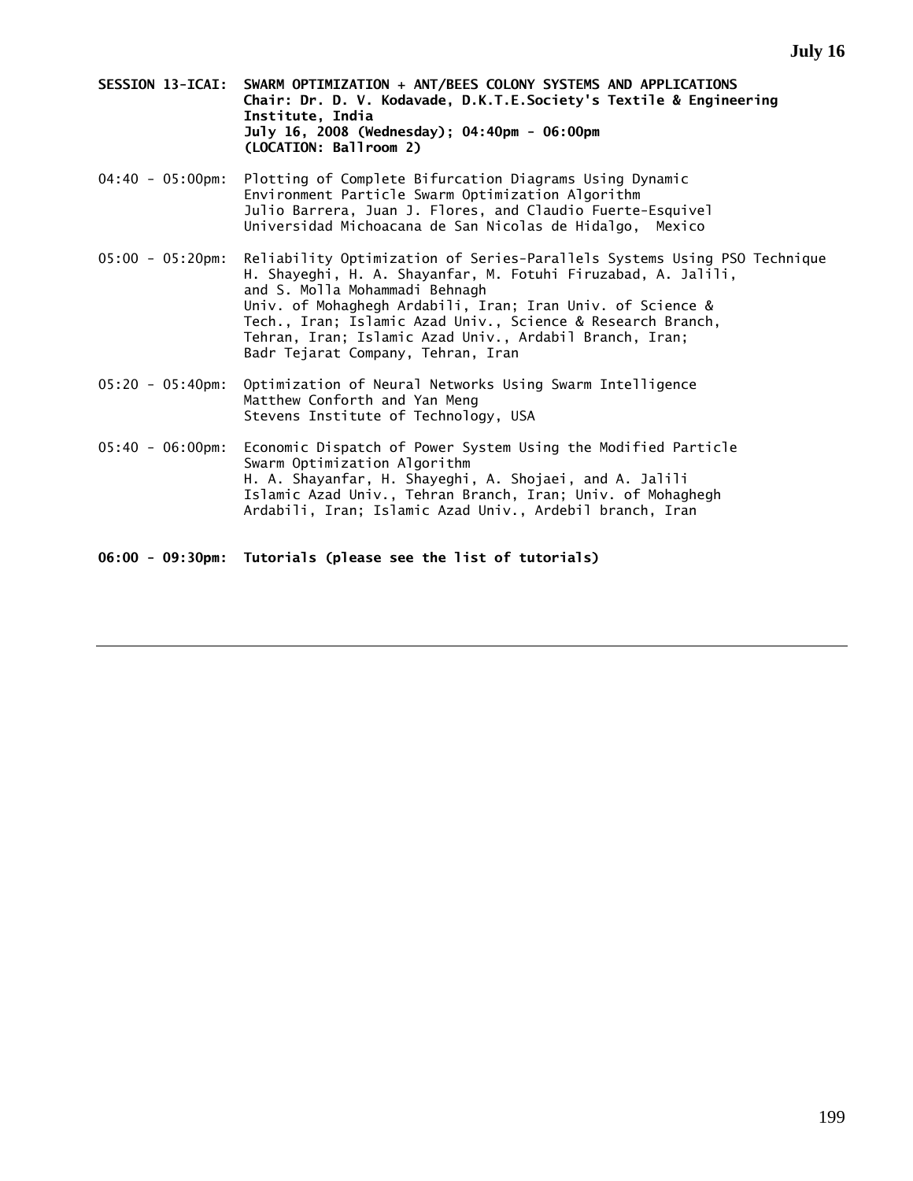- **SESSION 13-ICAI: SWARM OPTIMIZATION + ANT/BEES COLONY SYSTEMS AND APPLICATIONS Chair: Dr. D. V. Kodavade, D.K.T.E.Society's Textile & Engineering Institute, India July 16, 2008 (Wednesday); 04:40pm - 06:00pm (LOCATION: Ballroom 2)**
- 04:40 05:00pm: Plotting of Complete Bifurcation Diagrams Using Dynamic Environment Particle Swarm Optimization Algorithm Julio Barrera, Juan J. Flores, and Claudio Fuerte-Esquivel Universidad Michoacana de San Nicolas de Hidalgo, Mexico
- 05:00 05:20pm: Reliability Optimization of Series-Parallels Systems Using PSO Technique H. Shayeghi, H. A. Shayanfar, M. Fotuhi Firuzabad, A. Jalili, and S. Molla Mohammadi Behnagh Univ. of Mohaghegh Ardabili, Iran; Iran Univ. of Science & Tech., Iran; Islamic Azad Univ., Science & Research Branch, Tehran, Iran; Islamic Azad Univ., Ardabil Branch, Iran; Badr Tejarat Company, Tehran, Iran
- 05:20 05:40pm: Optimization of Neural Networks Using Swarm Intelligence Matthew Conforth and Yan Meng Stevens Institute of Technology, USA
- 05:40 06:00pm: Economic Dispatch of Power System Using the Modified Particle Swarm Optimization Algorithm H. A. Shayanfar, H. Shayeghi, A. Shojaei, and A. Jalili Islamic Azad Univ., Tehran Branch, Iran; Univ. of Mohaghegh Ardabili, Iran; Islamic Azad Univ., Ardebil branch, Iran

**06:00 - 09:30pm: Tutorials (please see the list of tutorials)**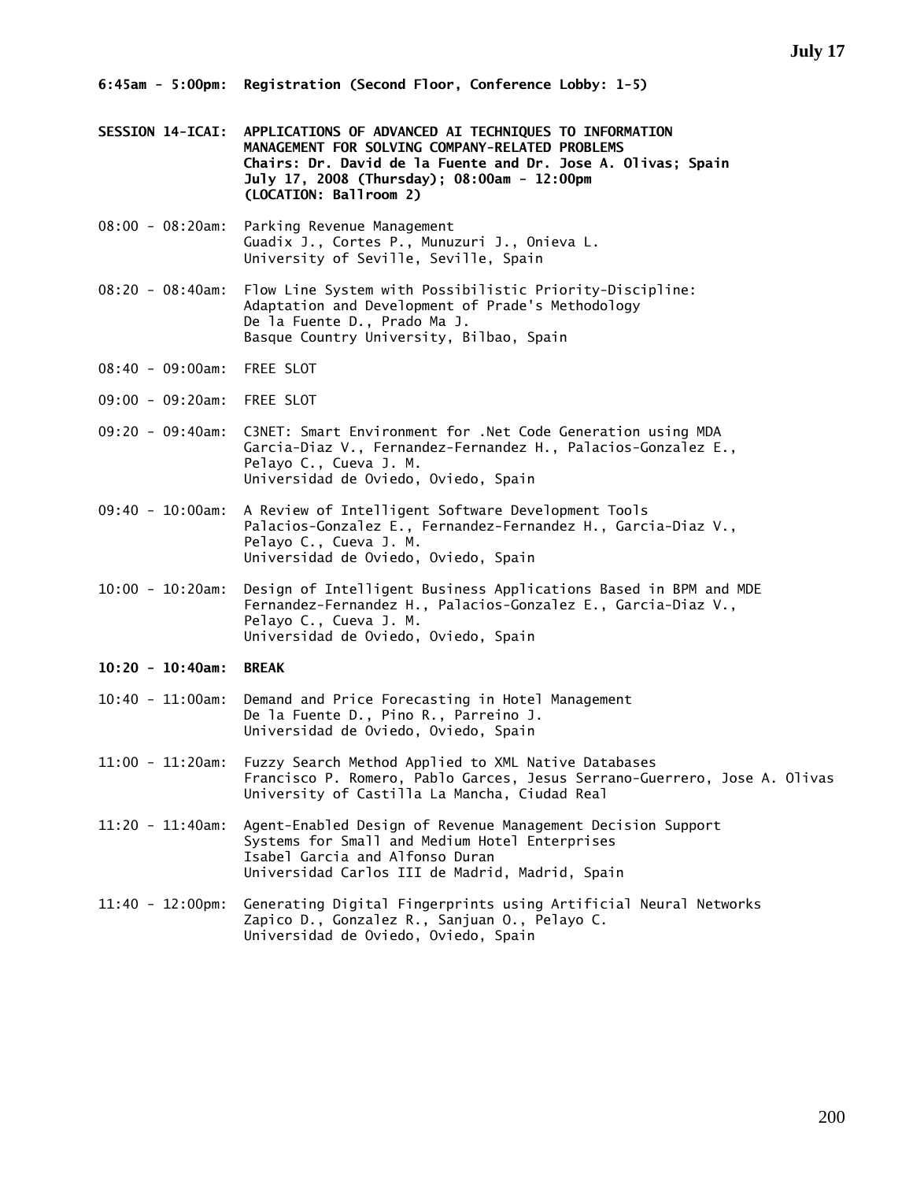- **SESSION 14-ICAI: APPLICATIONS OF ADVANCED AI TECHNIQUES TO INFORMATION MANAGEMENT FOR SOLVING COMPANY-RELATED PROBLEMS Chairs: Dr. David de la Fuente and Dr. Jose A. Olivas; Spain July 17, 2008 (Thursday); 08:00am - 12:00pm (LOCATION: Ballroom 2)**
- 08:00 08:20am: Parking Revenue Management Guadix J., Cortes P., Munuzuri J., Onieva L. University of Seville, Seville, Spain
- 08:20 08:40am: Flow Line System with Possibilistic Priority-Discipline: Adaptation and Development of Prade's Methodology De la Fuente D., Prado Ma J. Basque Country University, Bilbao, Spain
- 08:40 09:00am: FREE SLOT
- 09:00 09:20am: FREE SLOT
- 09:20 09:40am: C3NET: Smart Environment for .Net Code Generation using MDA Garcia-Diaz V., Fernandez-Fernandez H., Palacios-Gonzalez E., Pelayo C., Cueva J. M. Universidad de Oviedo, Oviedo, Spain
- 09:40 10:00am: A Review of Intelligent Software Development Tools Palacios-Gonzalez E., Fernandez-Fernandez H., Garcia-Diaz V., Pelayo C., Cueva J. M. Universidad de Oviedo, Oviedo, Spain
- 10:00 10:20am: Design of Intelligent Business Applications Based in BPM and MDE Fernandez-Fernandez H., Palacios-Gonzalez E., Garcia-Diaz V., Pelayo C., Cueva J. M. Universidad de Oviedo, Oviedo, Spain
- **10:20 10:40am: BREAK**
- 10:40 11:00am: Demand and Price Forecasting in Hotel Management De la Fuente D., Pino R., Parreino J. Universidad de Oviedo, Oviedo, Spain
- 11:00 11:20am: Fuzzy Search Method Applied to XML Native Databases Francisco P. Romero, Pablo Garces, Jesus Serrano-Guerrero, Jose A. Olivas University of Castilla La Mancha, Ciudad Real
- 11:20 11:40am: Agent-Enabled Design of Revenue Management Decision Support Systems for Small and Medium Hotel Enterprises Isabel Garcia and Alfonso Duran Universidad Carlos III de Madrid, Madrid, Spain
- 11:40 12:00pm: Generating Digital Fingerprints using Artificial Neural Networks Zapico D., Gonzalez R., Sanjuan O., Pelayo C. Universidad de Oviedo, Oviedo, Spain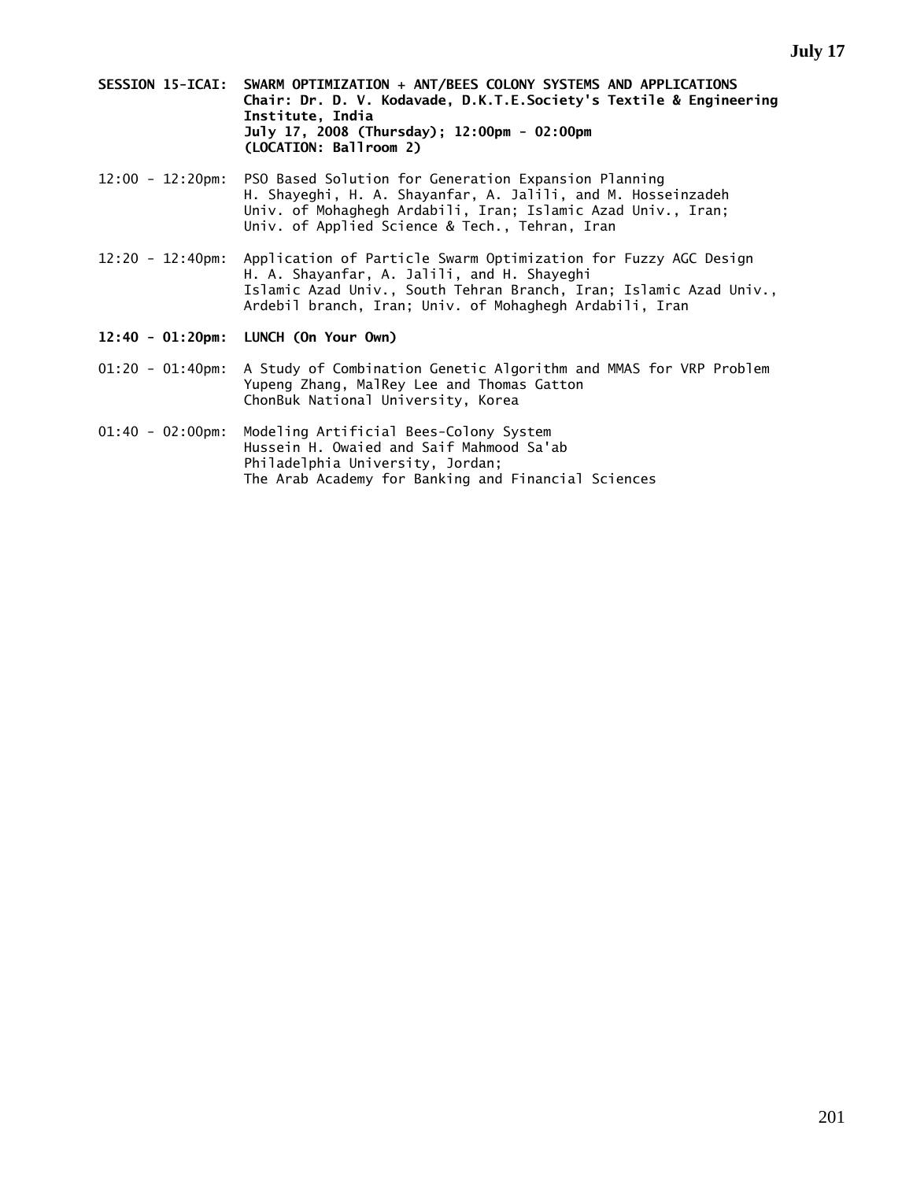- **SESSION 15-ICAI: SWARM OPTIMIZATION + ANT/BEES COLONY SYSTEMS AND APPLICATIONS Chair: Dr. D. V. Kodavade, D.K.T.E.Society's Textile & Engineering Institute, India July 17, 2008 (Thursday); 12:00pm - 02:00pm (LOCATION: Ballroom 2)**
- 12:00 12:20pm: PSO Based Solution for Generation Expansion Planning H. Shayeghi, H. A. Shayanfar, A. Jalili, and M. Hosseinzadeh Univ. of Mohaghegh Ardabili, Iran; Islamic Azad Univ., Iran; Univ. of Applied Science & Tech., Tehran, Iran
- 12:20 12:40pm: Application of Particle Swarm Optimization for Fuzzy AGC Design H. A. Shayanfar, A. Jalili, and H. Shayeghi Islamic Azad Univ., South Tehran Branch, Iran; Islamic Azad Univ., Ardebil branch, Iran; Univ. of Mohaghegh Ardabili, Iran
- **12:40 01:20pm: LUNCH (On Your Own)**
- 01:20 01:40pm: A Study of Combination Genetic Algorithm and MMAS for VRP Problem Yupeng Zhang, MalRey Lee and Thomas Gatton ChonBuk National University, Korea
- 01:40 02:00pm: Modeling Artificial Bees-Colony System Hussein H. Owaied and Saif Mahmood Sa'ab Philadelphia University, Jordan; The Arab Academy for Banking and Financial Sciences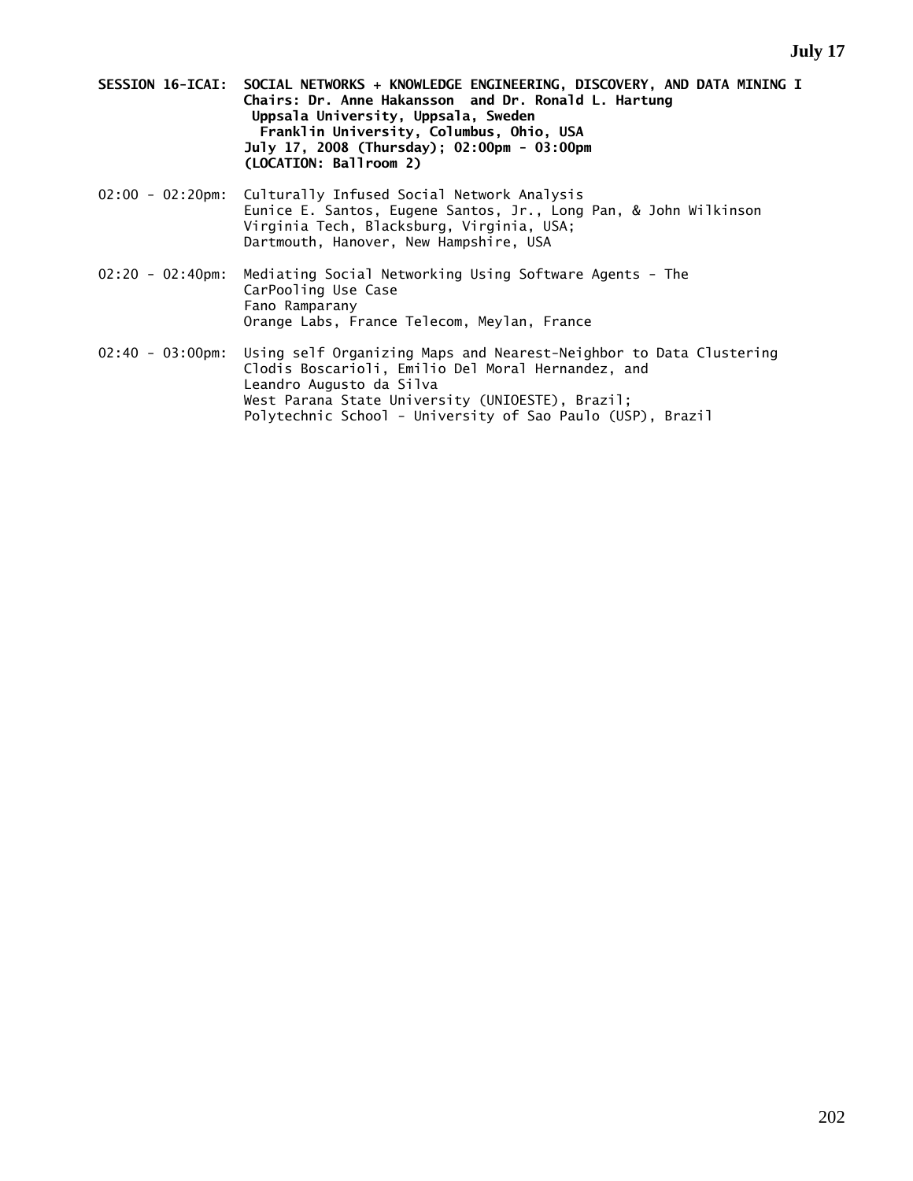- **SESSION 16-ICAI: SOCIAL NETWORKS + KNOWLEDGE ENGINEERING, DISCOVERY, AND DATA MINING I Chairs: Dr. Anne Hakansson and Dr. Ronald L. Hartung Uppsala University, Uppsala, Sweden Franklin University, Columbus, Ohio, USA July 17, 2008 (Thursday); 02:00pm - 03:00pm (LOCATION: Ballroom 2)**
- 02:00 02:20pm: Culturally Infused Social Network Analysis Eunice E. Santos, Eugene Santos, Jr., Long Pan, & John Wilkinson Virginia Tech, Blacksburg, Virginia, USA; Dartmouth, Hanover, New Hampshire, USA
- 02:20 02:40pm: Mediating Social Networking Using Software Agents The CarPooling Use Case Fano Ramparany Orange Labs, France Telecom, Meylan, France
- 02:40 03:00pm: Using self Organizing Maps and Nearest-Neighbor to Data Clustering Clodis Boscarioli, Emilio Del Moral Hernandez, and Leandro Augusto da Silva West Parana State University (UNIOESTE), Brazil; Polytechnic School - University of Sao Paulo (USP), Brazil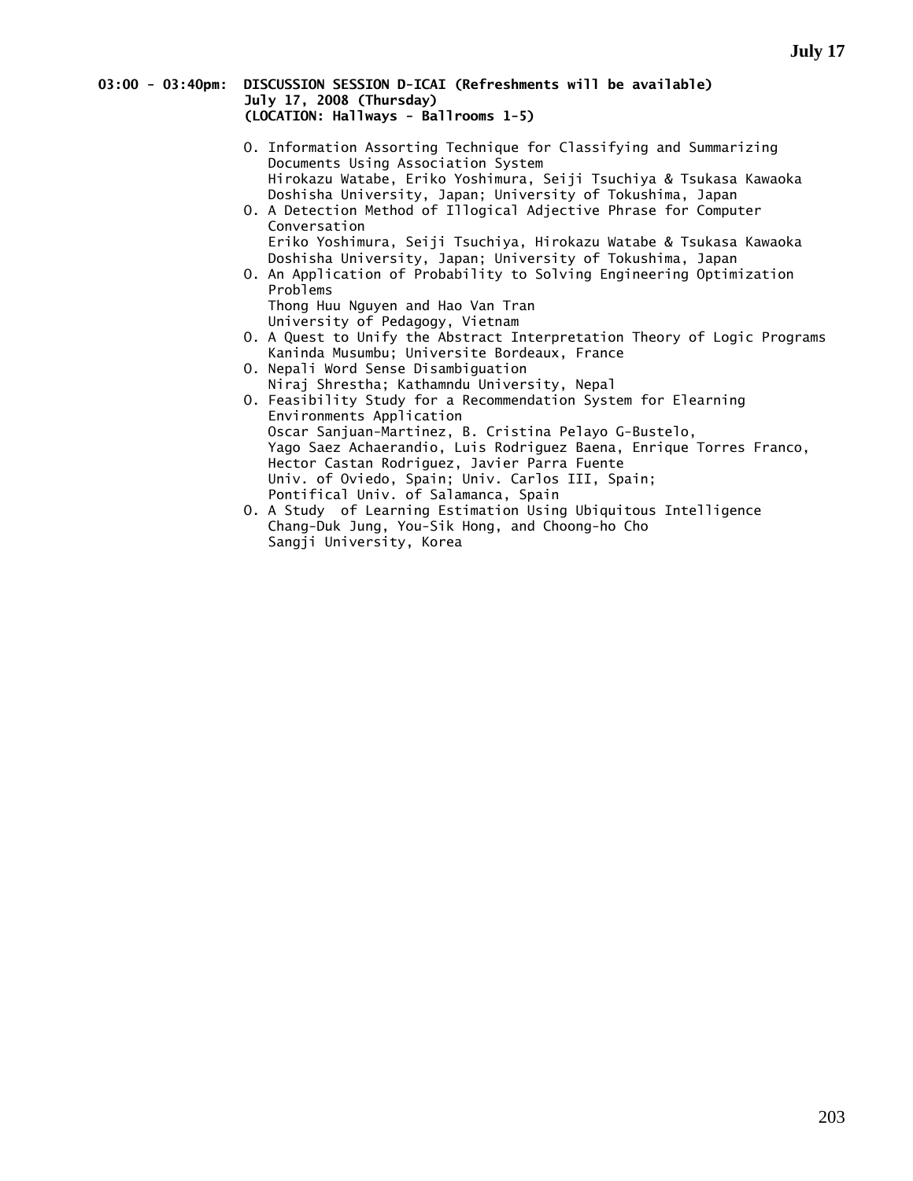#### **03:00 - 03:40pm: DISCUSSION SESSION D-ICAI (Refreshments will be available) July 17, 2008 (Thursday) (LOCATION: Hallways - Ballrooms 1-5)**

- O. Information Assorting Technique for Classifying and Summarizing Documents Using Association System Hirokazu Watabe, Eriko Yoshimura, Seiji Tsuchiya & Tsukasa Kawaoka Doshisha University, Japan; University of Tokushima, Japan
- O. A Detection Method of Illogical Adjective Phrase for Computer Conversation Eriko Yoshimura, Seiji Tsuchiya, Hirokazu Watabe & Tsukasa Kawaoka Doshisha University, Japan; University of Tokushima, Japan
- O. An Application of Probability to Solving Engineering Optimization Problems

 Thong Huu Nguyen and Hao Van Tran University of Pedagogy, Vietnam

- O. A Quest to Unify the Abstract Interpretation Theory of Logic Programs Kaninda Musumbu; Universite Bordeaux, France
- O. Nepali Word Sense Disambiguation Niraj Shrestha; Kathamndu University, Nepal O. Feasibility Study for a Recommendation System for Elearning Environments Application Oscar Sanjuan-Martinez, B. Cristina Pelayo G-Bustelo, Yago Saez Achaerandio, Luis Rodriguez Baena, Enrique Torres Franco, Hector Castan Rodriguez, Javier Parra Fuente Univ. of Oviedo, Spain; Univ. Carlos III, Spain; Pontifical Univ. of Salamanca, Spain
- O. A Study of Learning Estimation Using Ubiquitous Intelligence Chang-Duk Jung, You-Sik Hong, and Choong-ho Cho Sangji University, Korea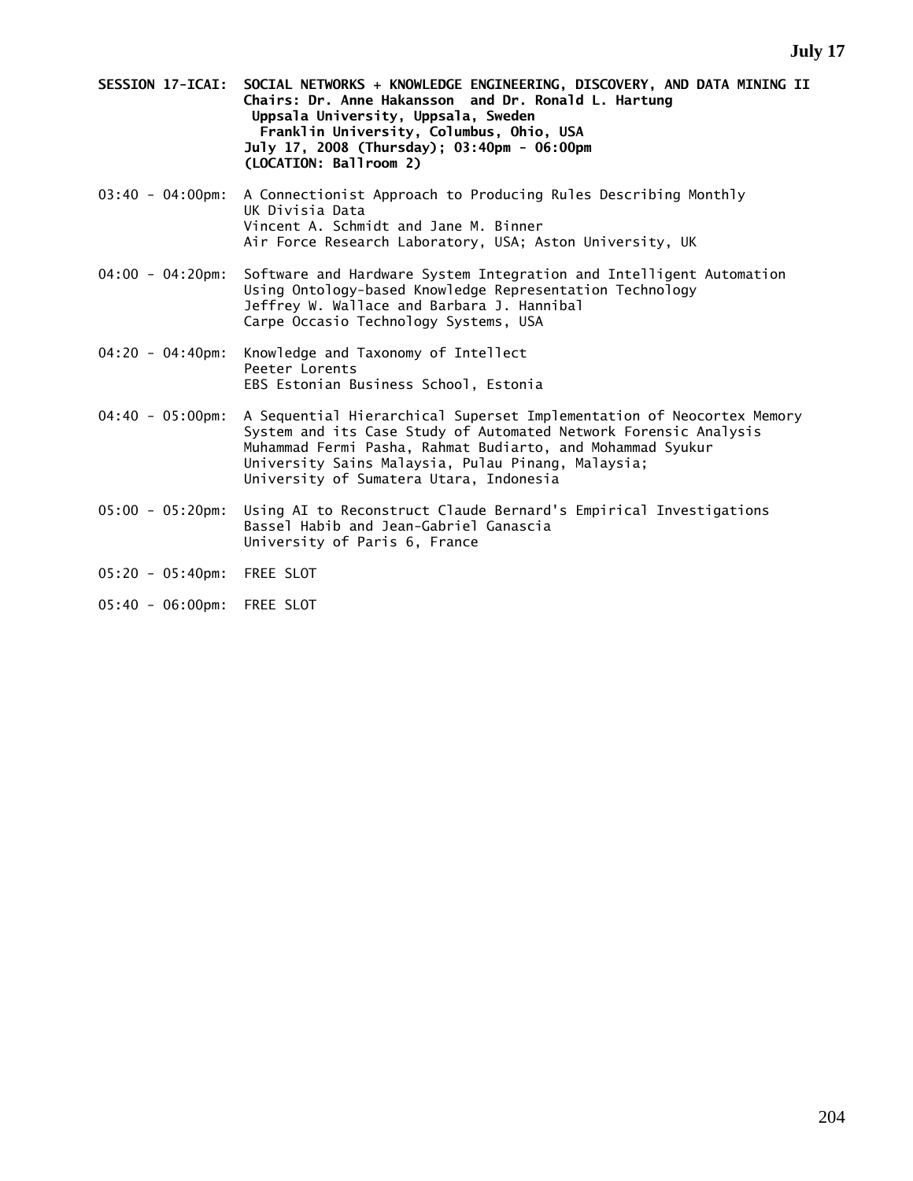- **SESSION 17-ICAI: SOCIAL NETWORKS + KNOWLEDGE ENGINEERING, DISCOVERY, AND DATA MINING II Chairs: Dr. Anne Hakansson and Dr. Ronald L. Hartung Uppsala University, Uppsala, Sweden Franklin University, Columbus, Ohio, USA July 17, 2008 (Thursday); 03:40pm - 06:00pm (LOCATION: Ballroom 2)**
- 03:40 04:00pm: A Connectionist Approach to Producing Rules Describing Monthly UK Divisia Data Vincent A. Schmidt and Jane M. Binner Air Force Research Laboratory, USA; Aston University, UK
- 04:00 04:20pm: Software and Hardware System Integration and Intelligent Automation Using Ontology-based Knowledge Representation Technology Jeffrey W. Wallace and Barbara J. Hannibal Carpe Occasio Technology Systems, USA
- 04:20 04:40pm: Knowledge and Taxonomy of Intellect Peeter Lorents EBS Estonian Business School, Estonia
- 04:40 05:00pm: A Sequential Hierarchical Superset Implementation of Neocortex Memory System and its Case Study of Automated Network Forensic Analysis Muhammad Fermi Pasha, Rahmat Budiarto, and Mohammad Syukur University Sains Malaysia, Pulau Pinang, Malaysia; University of Sumatera Utara, Indonesia
- 05:00 05:20pm: Using AI to Reconstruct Claude Bernard's Empirical Investigations Bassel Habib and Jean-Gabriel Ganascia University of Paris 6, France
- 05:20 05:40pm: FREE SLOT
- 05:40 06:00pm: FREE SLOT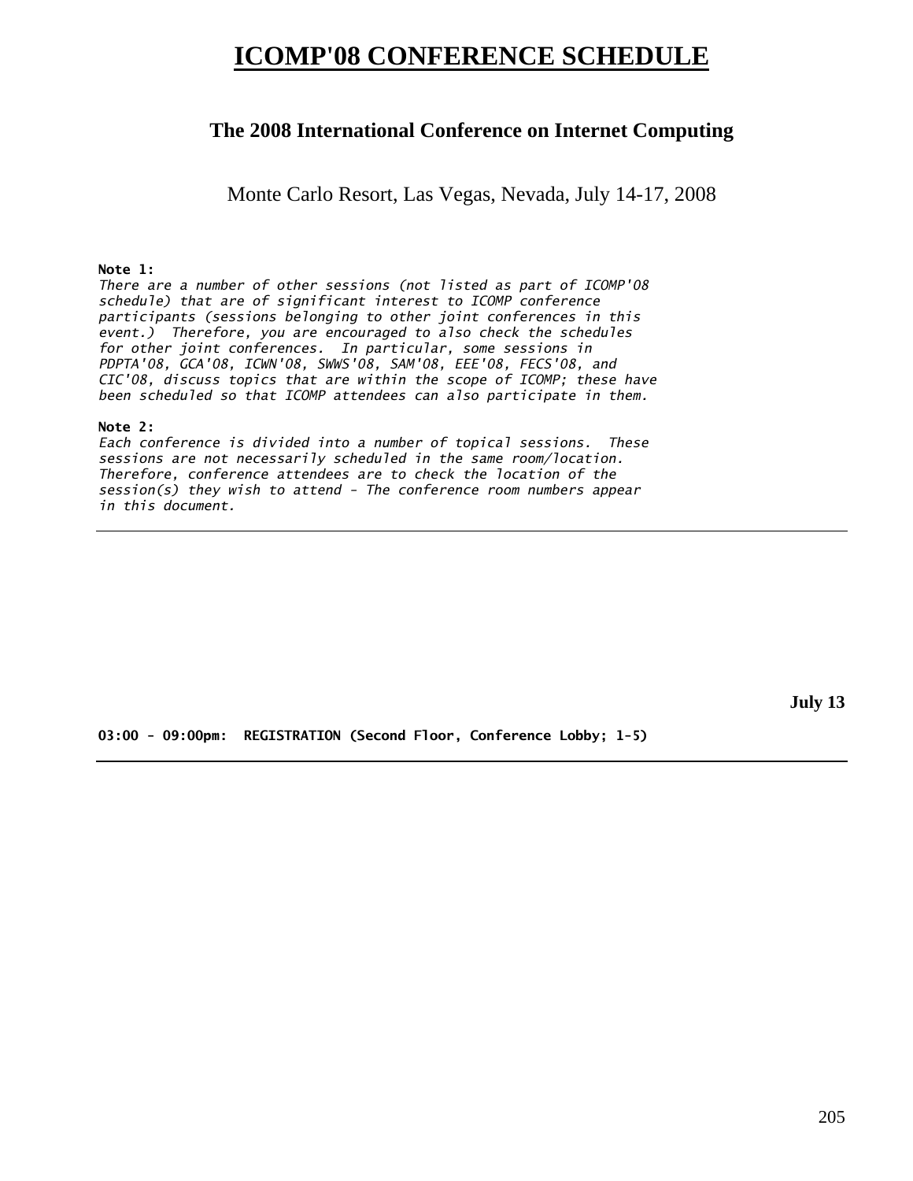## **ICOMP'08 CONFERENCE SCHEDULE**

## **The 2008 International Conference on Internet Computing**

Monte Carlo Resort, Las Vegas, Nevada, July 14-17, 2008

#### **Note 1:**

*There are a number of other sessions (not listed as part of ICOMP'08 schedule) that are of significant interest to ICOMP conference participants (sessions belonging to other joint conferences in this event.) Therefore, you are encouraged to also check the schedules for other joint conferences. In particular, some sessions in PDPTA'08, GCA'08, ICWN'08, SWWS'08, SAM'08, EEE'08, FECS'08, and CIC'08, discuss topics that are within the scope of ICOMP; these have been scheduled so that ICOMP attendees can also participate in them.* 

#### **Note 2:**

*Each conference is divided into a number of topical sessions. These sessions are not necessarily scheduled in the same room/location. Therefore, conference attendees are to check the location of the session(s) they wish to attend - The conference room numbers appear in this document.* 

**July 13** 

**03:00 - 09:00pm: REGISTRATION (Second Floor, Conference Lobby; 1-5)**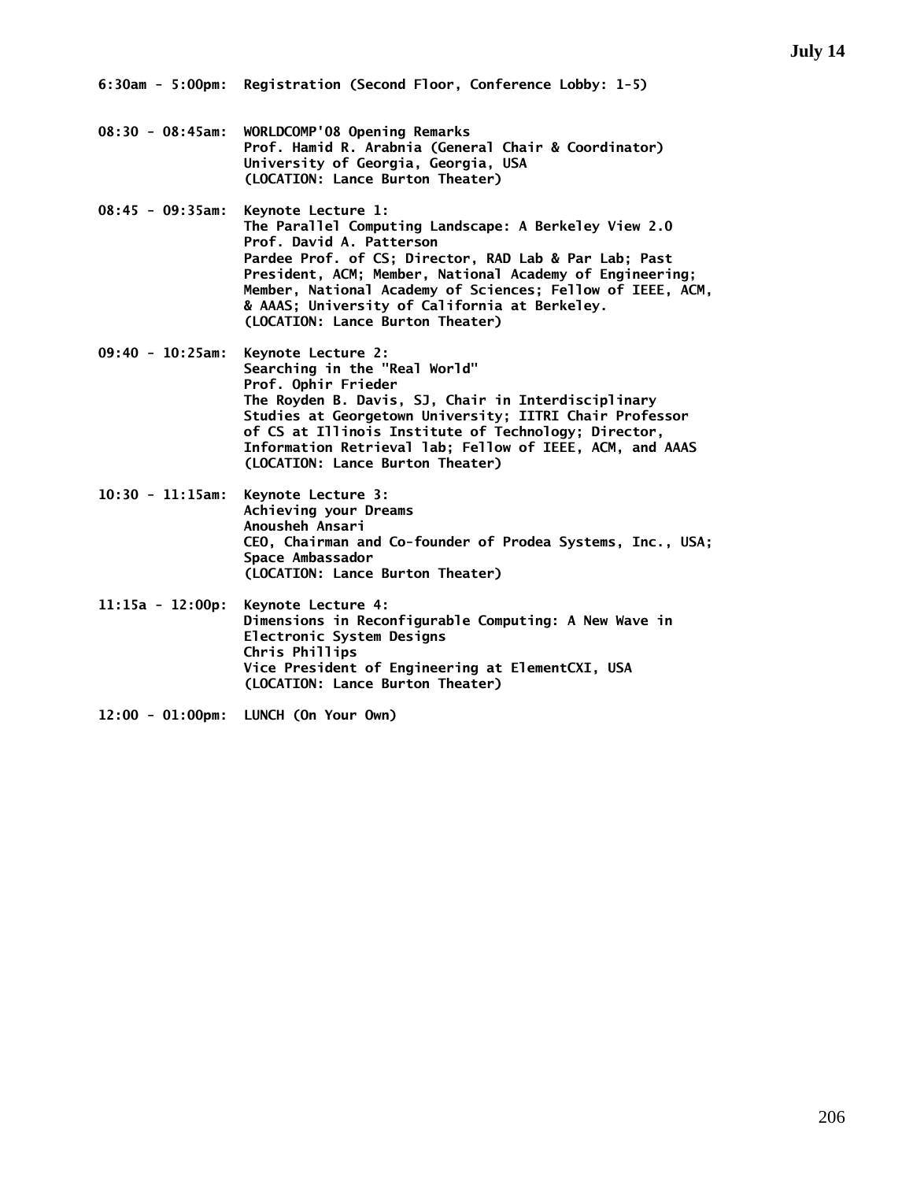- **08:30 08:45am: WORLDCOMP'08 Opening Remarks Prof. Hamid R. Arabnia (General Chair & Coordinator) University of Georgia, Georgia, USA (LOCATION: Lance Burton Theater)**
- **08:45 09:35am: Keynote Lecture 1: The Parallel Computing Landscape: A Berkeley View 2.0 Prof. David A. Patterson Pardee Prof. of CS; Director, RAD Lab & Par Lab; Past President, ACM; Member, National Academy of Engineering; Member, National Academy of Sciences; Fellow of IEEE, ACM, & AAAS; University of California at Berkeley. (LOCATION: Lance Burton Theater)**
- **09:40 10:25am: Keynote Lecture 2: Searching in the "Real World" Prof. Ophir Frieder The Royden B. Davis, SJ, Chair in Interdisciplinary Studies at Georgetown University; IITRI Chair Professor of CS at Illinois Institute of Technology; Director, Information Retrieval lab; Fellow of IEEE, ACM, and AAAS (LOCATION: Lance Burton Theater)**
- **10:30 11:15am: Keynote Lecture 3: Achieving your Dreams Anousheh Ansari CEO, Chairman and Co-founder of Prodea Systems, Inc., USA; Space Ambassador (LOCATION: Lance Burton Theater)**
- **11:15a 12:00p: Keynote Lecture 4: Dimensions in Reconfigurable Computing: A New Wave in Electronic System Designs Chris Phillips Vice President of Engineering at ElementCXI, USA (LOCATION: Lance Burton Theater)**
- **12:00 01:00pm: LUNCH (On Your Own)**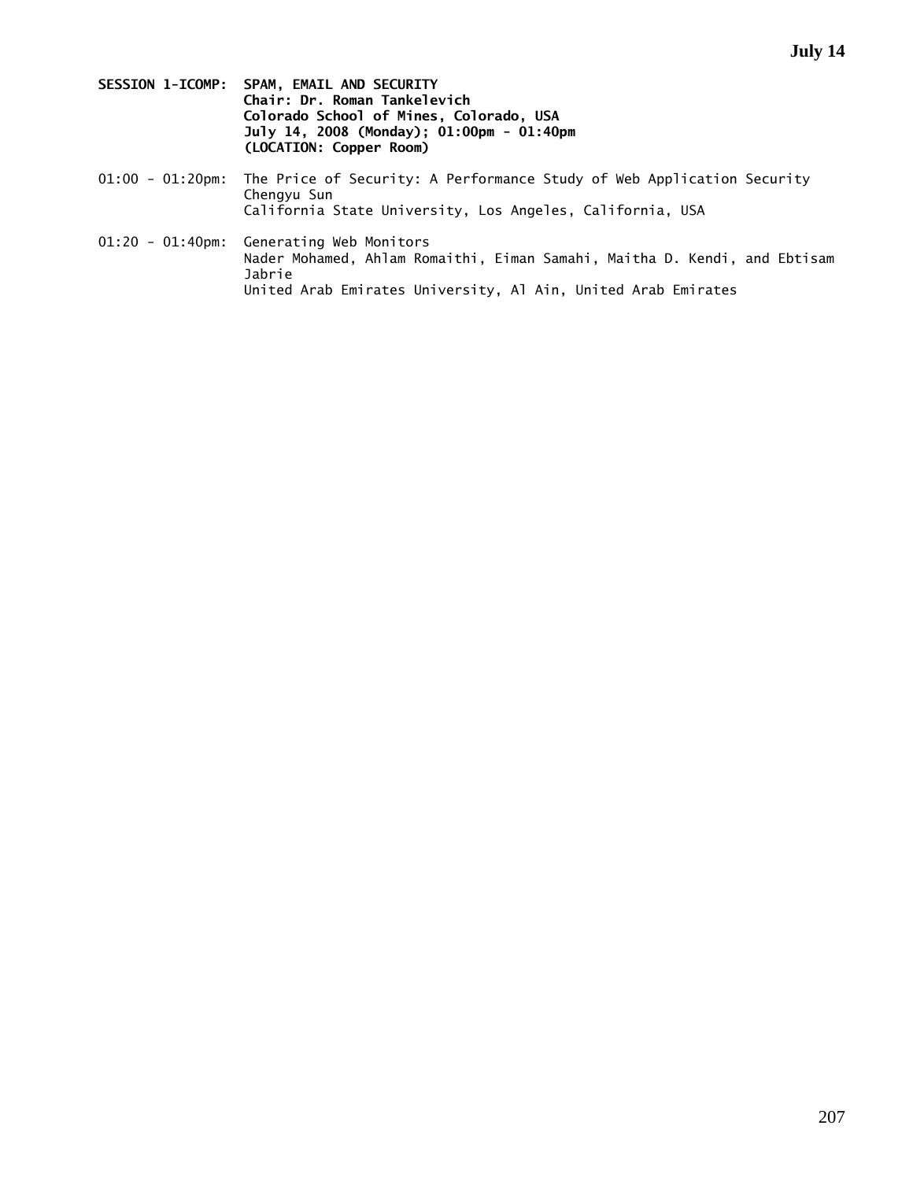- **SESSION 1-ICOMP: SPAM, EMAIL AND SECURITY Chair: Dr. Roman Tankelevich Colorado School of Mines, Colorado, USA July 14, 2008 (Monday); 01:00pm - 01:40pm (LOCATION: Copper Room)**
- 01:00 01:20pm: The Price of Security: A Performance Study of Web Application Security Chengyu Sun California State University, Los Angeles, California, USA
- 01:20 01:40pm: Generating Web Monitors Nader Mohamed, Ahlam Romaithi, Eiman Samahi, Maitha D. Kendi, and Ebtisam Jabrie United Arab Emirates University, Al Ain, United Arab Emirates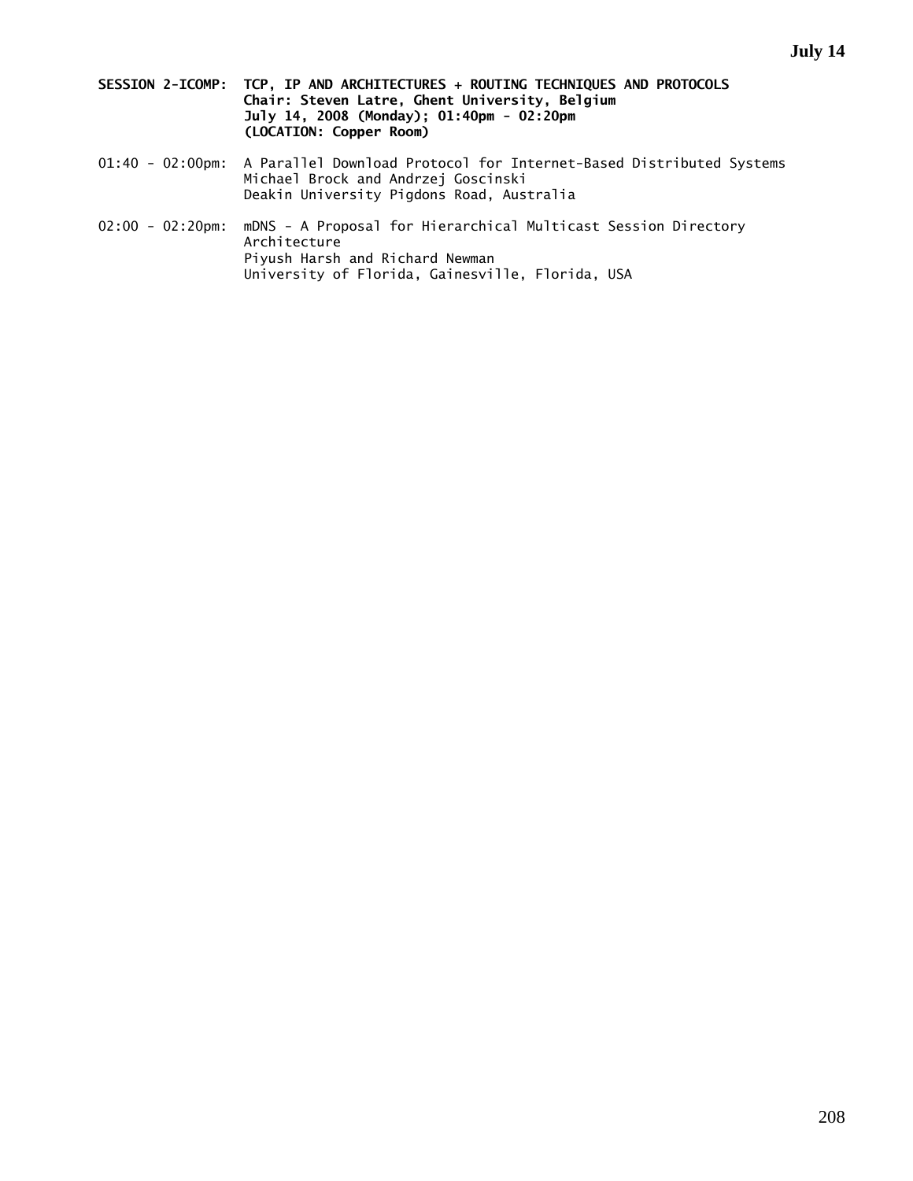- **SESSION 2-ICOMP: TCP, IP AND ARCHITECTURES + ROUTING TECHNIQUES AND PROTOCOLS Chair: Steven Latre, Ghent University, Belgium July 14, 2008 (Monday); 01:40pm - 02:20pm (LOCATION: Copper Room)**
- 01:40 02:00pm: A Parallel Download Protocol for Internet-Based Distributed Systems Michael Brock and Andrzej Goscinski Deakin University Pigdons Road, Australia
- 02:00 02:20pm: mDNS A Proposal for Hierarchical Multicast Session Directory Architecture Piyush Harsh and Richard Newman University of Florida, Gainesville, Florida, USA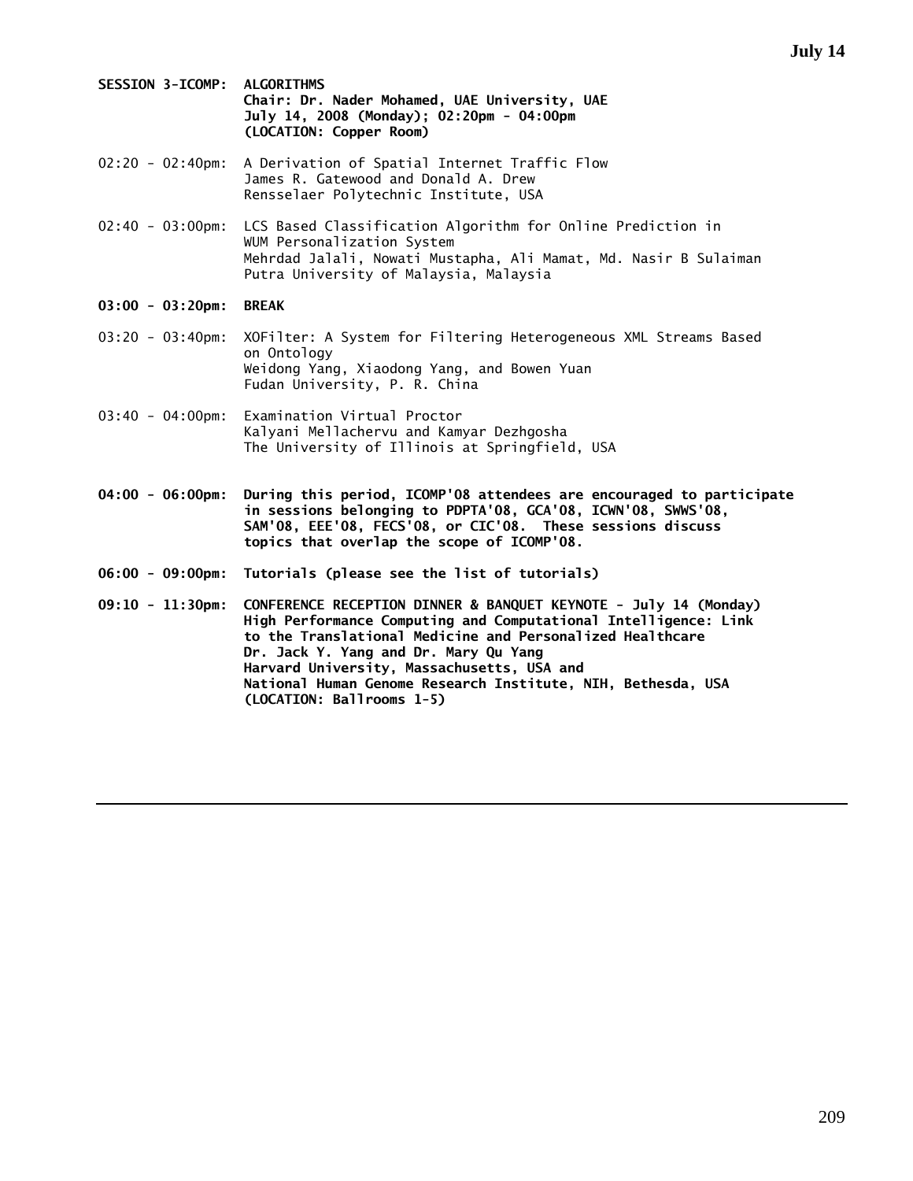**SESSION 3-ICOMP: ALGORITHMS Chair: Dr. Nader Mohamed, UAE University, UAE July 14, 2008 (Monday); 02:20pm - 04:00pm (LOCATION: Copper Room)** 

- 02:20 02:40pm: A Derivation of Spatial Internet Traffic Flow James R. Gatewood and Donald A. Drew Rensselaer Polytechnic Institute, USA
- 02:40 03:00pm: LCS Based Classification Algorithm for Online Prediction in WUM Personalization System Mehrdad Jalali, Nowati Mustapha, Ali Mamat, Md. Nasir B Sulaiman Putra University of Malaysia, Malaysia
- **03:00 03:20pm: BREAK**
- 03:20 03:40pm: XOFilter: A System for Filtering Heterogeneous XML Streams Based on Ontology Weidong Yang, Xiaodong Yang, and Bowen Yuan Fudan University, P. R. China
- 03:40 04:00pm: Examination Virtual Proctor Kalyani Mellachervu and Kamyar Dezhgosha The University of Illinois at Springfield, USA
- **04:00 06:00pm: During this period, ICOMP'08 attendees are encouraged to participate in sessions belonging to PDPTA'08, GCA'08, ICWN'08, SWWS'08, SAM'08, EEE'08, FECS'08, or CIC'08. These sessions discuss topics that overlap the scope of ICOMP'08.**
- **06:00 09:00pm: Tutorials (please see the list of tutorials)**
- **09:10 11:30pm: CONFERENCE RECEPTION DINNER & BANQUET KEYNOTE July 14 (Monday) High Performance Computing and Computational Intelligence: Link to the Translational Medicine and Personalized Healthcare Dr. Jack Y. Yang and Dr. Mary Qu Yang Harvard University, Massachusetts, USA and National Human Genome Research Institute, NIH, Bethesda, USA (LOCATION: Ballrooms 1-5)**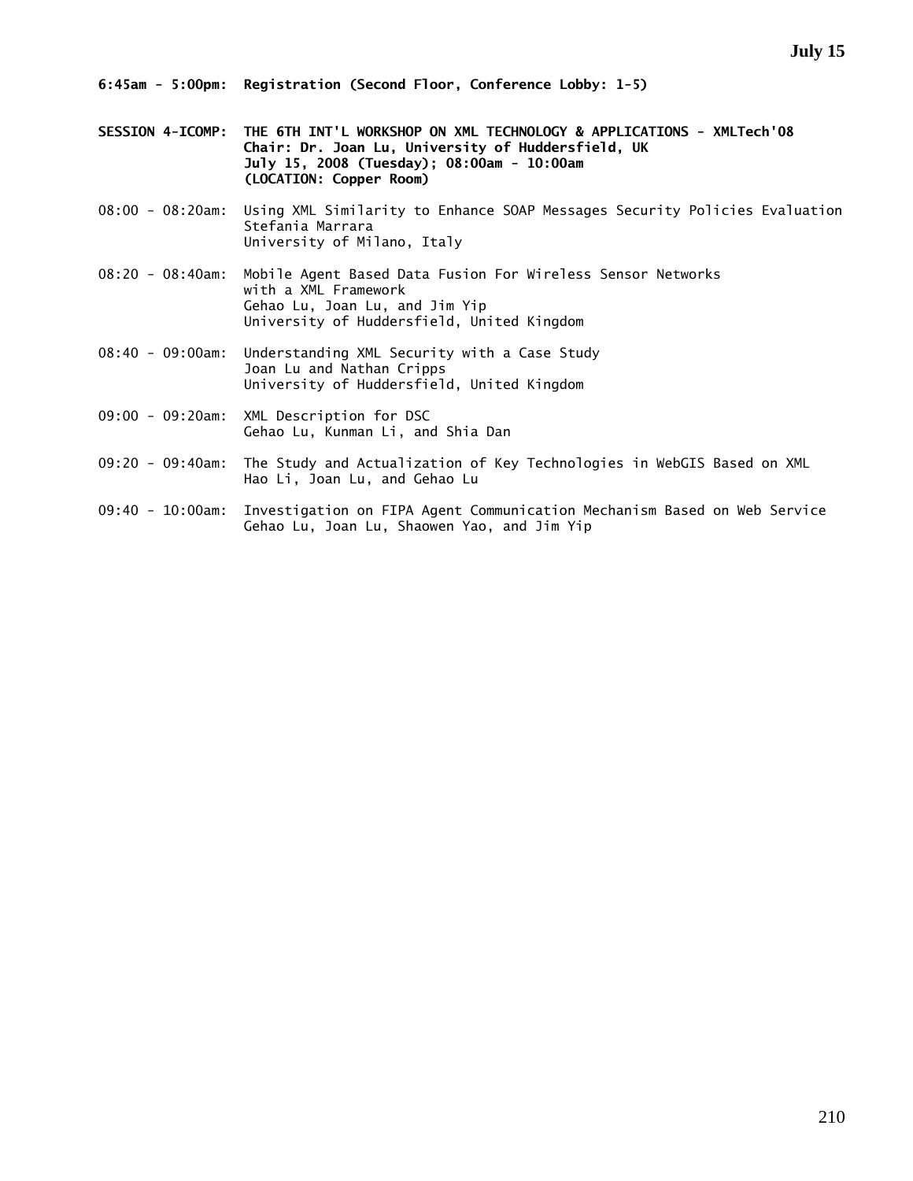- **SESSION 4-ICOMP: THE 6TH INT'L WORKSHOP ON XML TECHNOLOGY & APPLICATIONS XMLTech'08 Chair: Dr. Joan Lu, University of Huddersfield, UK July 15, 2008 (Tuesday); 08:00am - 10:00am (LOCATION: Copper Room)**
- 08:00 08:20am: Using XML Similarity to Enhance SOAP Messages Security Policies Evaluation Stefania Marrara University of Milano, Italy
- 08:20 08:40am: Mobile Agent Based Data Fusion For Wireless Sensor Networks with a XML Framework Gehao Lu, Joan Lu, and Jim Yip University of Huddersfield, United Kingdom
- 08:40 09:00am: Understanding XML Security with a Case Study Joan Lu and Nathan Cripps University of Huddersfield, United Kingdom
- 09:00 09:20am: XML Description for DSC Gehao Lu, Kunman Li, and Shia Dan
- 09:20 09:40am: The Study and Actualization of Key Technologies in WebGIS Based on XML Hao Li, Joan Lu, and Gehao Lu
- 09:40 10:00am: Investigation on FIPA Agent Communication Mechanism Based on Web Service Gehao Lu, Joan Lu, Shaowen Yao, and Jim Yip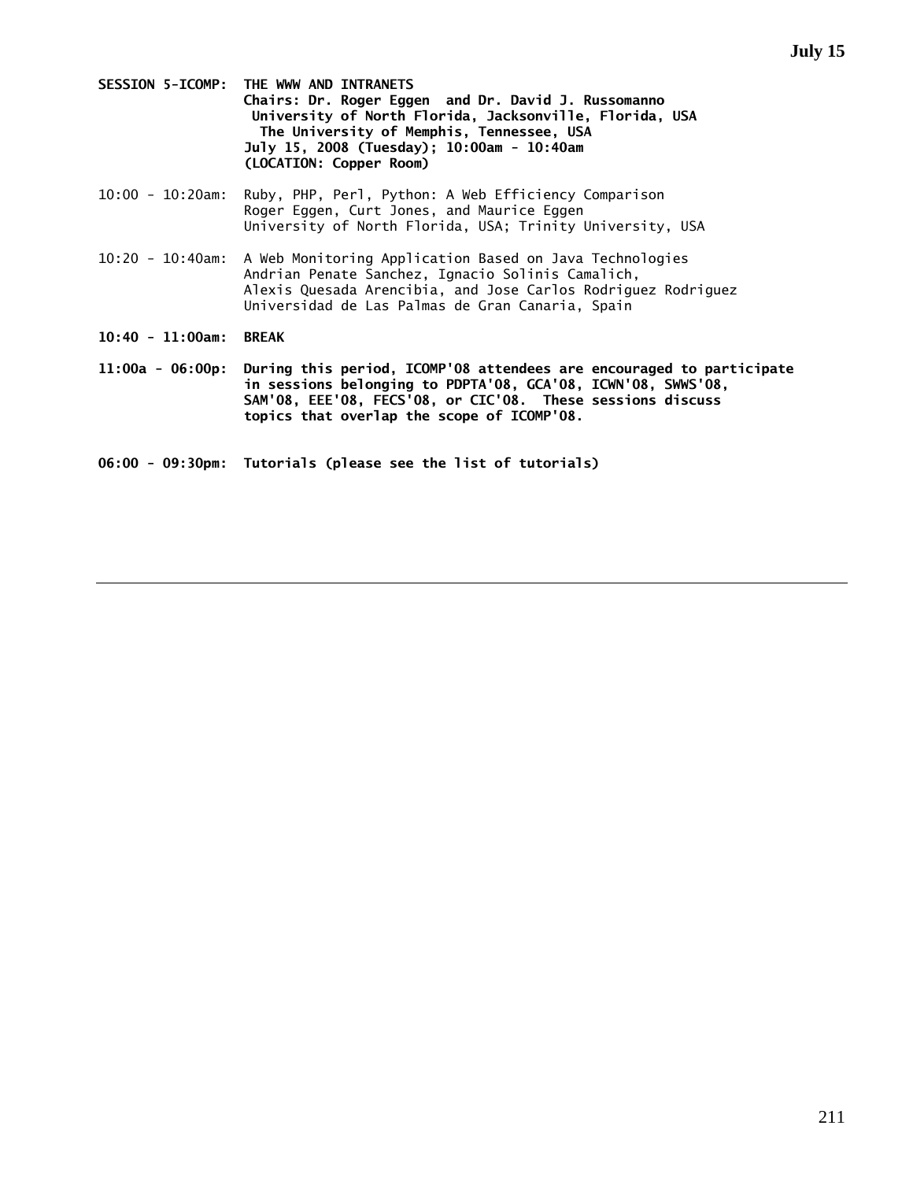- **SESSION 5-ICOMP: THE WWW AND INTRANETS Chairs: Dr. Roger Eggen and Dr. David J. Russomanno University of North Florida, Jacksonville, Florida, USA The University of Memphis, Tennessee, USA July 15, 2008 (Tuesday); 10:00am - 10:40am (LOCATION: Copper Room)**
- 10:00 10:20am: Ruby, PHP, Perl, Python: A Web Efficiency Comparison Roger Eggen, Curt Jones, and Maurice Eggen University of North Florida, USA; Trinity University, USA
- 10:20 10:40am: A Web Monitoring Application Based on Java Technologies Andrian Penate Sanchez, Ignacio Solinis Camalich, Alexis Quesada Arencibia, and Jose Carlos Rodriguez Rodriguez Universidad de Las Palmas de Gran Canaria, Spain
- **10:40 11:00am: BREAK**
- **11:00a 06:00p: During this period, ICOMP'08 attendees are encouraged to participate in sessions belonging to PDPTA'08, GCA'08, ICWN'08, SWWS'08, SAM'08, EEE'08, FECS'08, or CIC'08. These sessions discuss topics that overlap the scope of ICOMP'08.**
- **06:00 09:30pm: Tutorials (please see the list of tutorials)**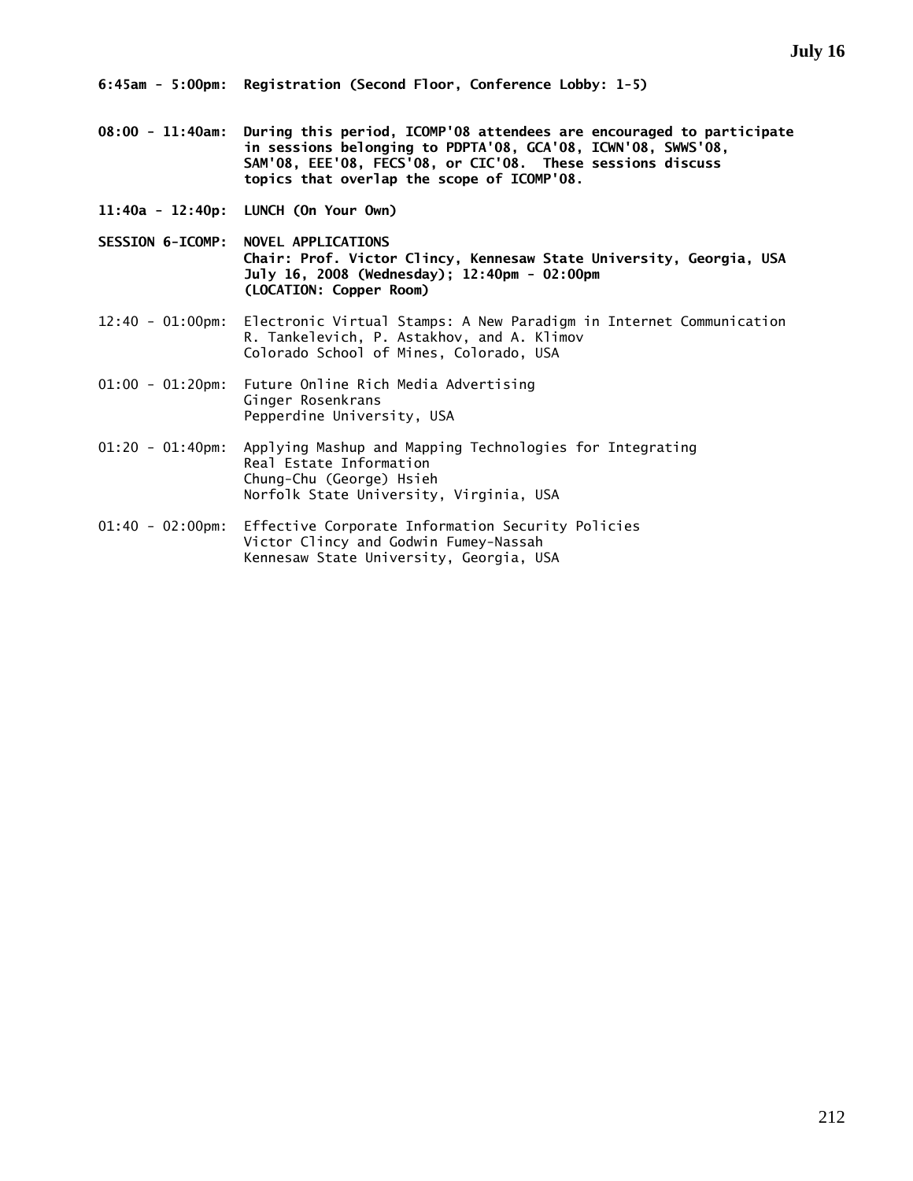- **08:00 11:40am: During this period, ICOMP'08 attendees are encouraged to participate in sessions belonging to PDPTA'08, GCA'08, ICWN'08, SWWS'08, SAM'08, EEE'08, FECS'08, or CIC'08. These sessions discuss topics that overlap the scope of ICOMP'08.**
- **11:40a 12:40p: LUNCH (On Your Own)**
- **SESSION 6-ICOMP: NOVEL APPLICATIONS Chair: Prof. Victor Clincy, Kennesaw State University, Georgia, USA July 16, 2008 (Wednesday); 12:40pm - 02:00pm (LOCATION: Copper Room)**
- 12:40 01:00pm: Electronic Virtual Stamps: A New Paradigm in Internet Communication R. Tankelevich, P. Astakhov, and A. Klimov Colorado School of Mines, Colorado, USA
- 01:00 01:20pm: Future Online Rich Media Advertising Ginger Rosenkrans Pepperdine University, USA
- 01:20 01:40pm: Applying Mashup and Mapping Technologies for Integrating Real Estate Information Chung-Chu (George) Hsieh Norfolk State University, Virginia, USA
- 01:40 02:00pm: Effective Corporate Information Security Policies Victor Clincy and Godwin Fumey-Nassah Kennesaw State University, Georgia, USA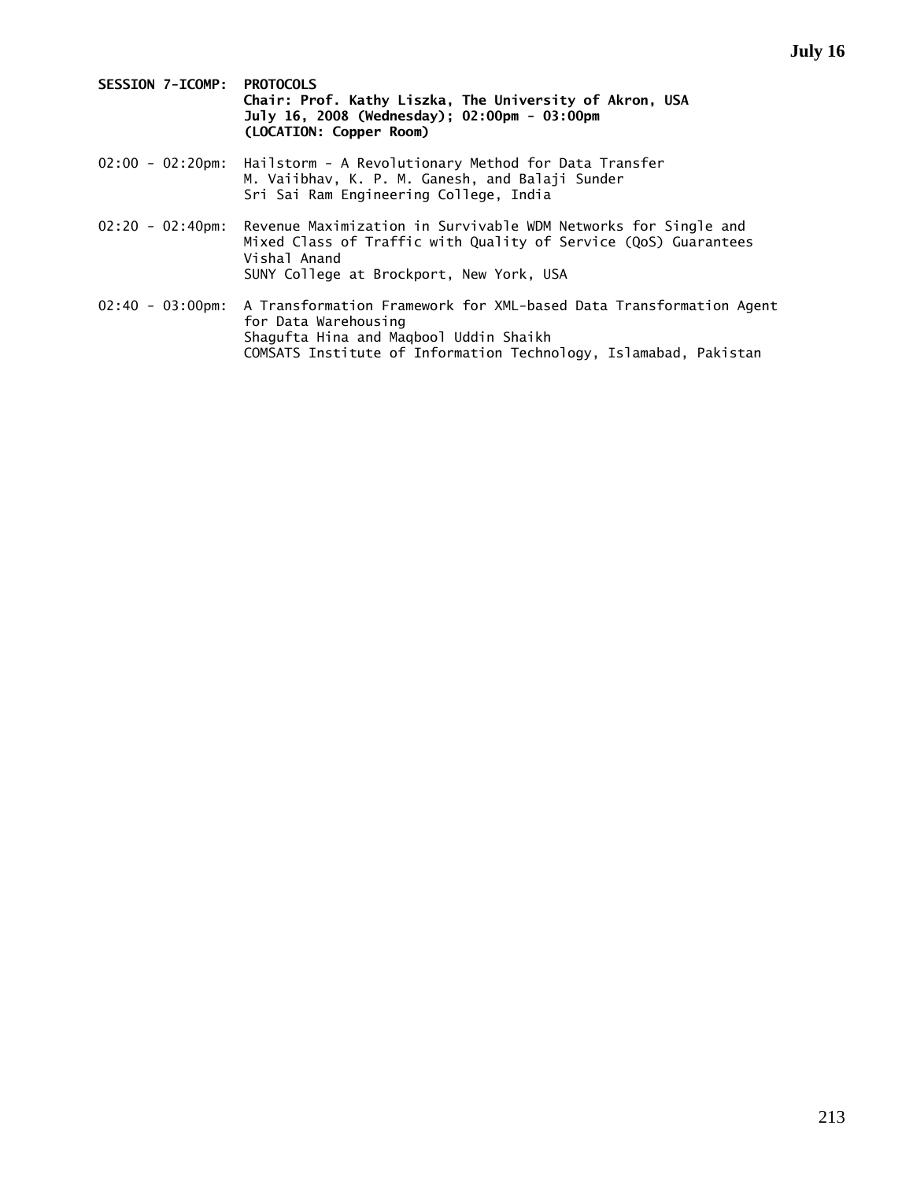| <b>SESSION 7-ICOMP: PROTOCOLS</b> |                                                         |  |
|-----------------------------------|---------------------------------------------------------|--|
|                                   | Chair: Prof. Kathy Liszka, The University of Akron, USA |  |
|                                   | July 16, 2008 (Wednesday): 02:00pm - 03:00pm            |  |
|                                   | (LOCATION: Copper Room)                                 |  |

- 02:00 02:20pm: Hailstorm A Revolutionary Method for Data Transfer M. Vaiibhav, K. P. M. Ganesh, and Balaji Sunder Sri Sai Ram Engineering College, India
- 02:20 02:40pm: Revenue Maximization in Survivable WDM Networks for Single and Mixed Class of Traffic with Quality of Service (QoS) Guarantees Vishal Anand SUNY College at Brockport, New York, USA
- 02:40 03:00pm: A Transformation Framework for XML-based Data Transformation Agent for Data Warehousing Shagufta Hina and Maqbool Uddin Shaikh COMSATS Institute of Information Technology, Islamabad, Pakistan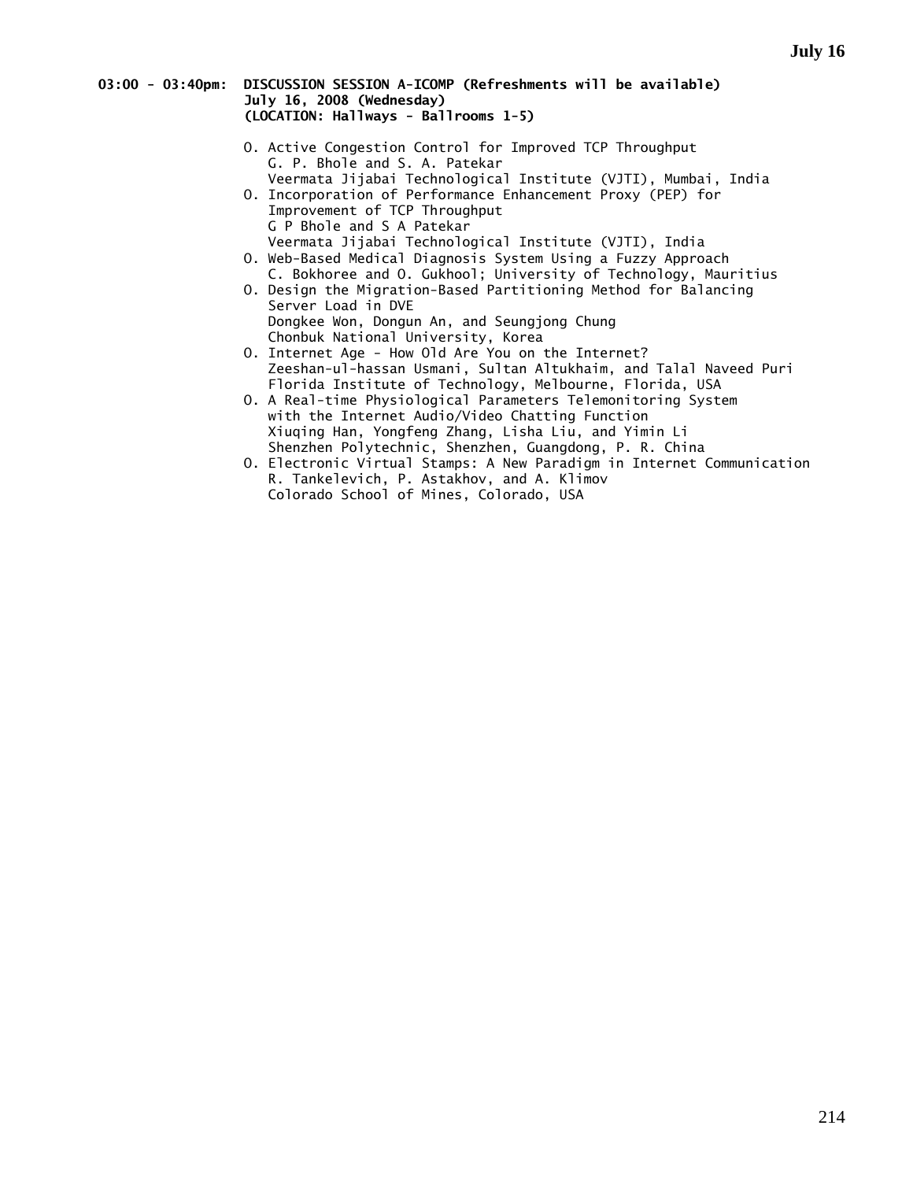#### **03:00 - 03:40pm: DISCUSSION SESSION A-ICOMP (Refreshments will be available) July 16, 2008 (Wednesday) (LOCATION: Hallways - Ballrooms 1-5)**

- O. Active Congestion Control for Improved TCP Throughput G. P. Bhole and S. A. Patekar Veermata Jijabai Technological Institute (VJTI), Mumbai, India
- O. Incorporation of Performance Enhancement Proxy (PEP) for Improvement of TCP Throughput G P Bhole and S A Patekar Veermata Jijabai Technological Institute (VJTI), India
- O. Web-Based Medical Diagnosis System Using a Fuzzy Approach C. Bokhoree and O. Gukhool; University of Technology, Mauritius
- O. Design the Migration-Based Partitioning Method for Balancing Server Load in DVE Dongkee Won, Dongun An, and Seungjong Chung Chonbuk National University, Korea
- O. Internet Age How Old Are You on the Internet? Zeeshan-ul-hassan Usmani, Sultan Altukhaim, and Talal Naveed Puri Florida Institute of Technology, Melbourne, Florida, USA
- O. A Real-time Physiological Parameters Telemonitoring System with the Internet Audio/Video Chatting Function Xiuqing Han, Yongfeng Zhang, Lisha Liu, and Yimin Li Shenzhen Polytechnic, Shenzhen, Guangdong, P. R. China
- O. Electronic Virtual Stamps: A New Paradigm in Internet Communication R. Tankelevich, P. Astakhov, and A. Klimov Colorado School of Mines, Colorado, USA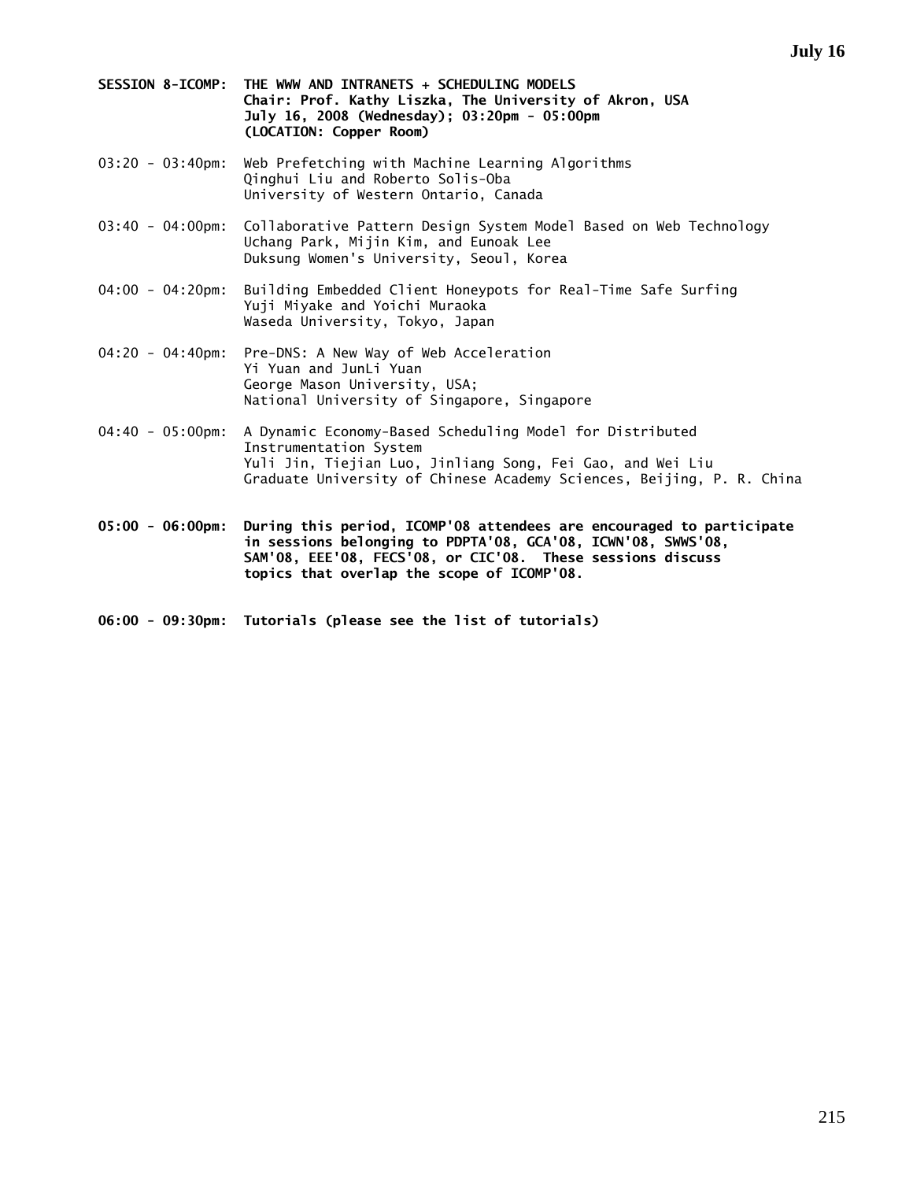- **SESSION 8-ICOMP: THE WWW AND INTRANETS + SCHEDULING MODELS Chair: Prof. Kathy Liszka, The University of Akron, USA July 16, 2008 (Wednesday); 03:20pm - 05:00pm (LOCATION: Copper Room)**
- 03:20 03:40pm: Web Prefetching with Machine Learning Algorithms Qinghui Liu and Roberto Solis-Oba University of Western Ontario, Canada
- 03:40 04:00pm: Collaborative Pattern Design System Model Based on Web Technology Uchang Park, Mijin Kim, and Eunoak Lee Duksung Women's University, Seoul, Korea
- 04:00 04:20pm: Building Embedded Client Honeypots for Real-Time Safe Surfing Yuji Miyake and Yoichi Muraoka Waseda University, Tokyo, Japan
- 04:20 04:40pm: Pre-DNS: A New Way of Web Acceleration Yi Yuan and JunLi Yuan George Mason University, USA; National University of Singapore, Singapore
- 04:40 05:00pm: A Dynamic Economy-Based Scheduling Model for Distributed Instrumentation System Yuli Jin, Tiejian Luo, Jinliang Song, Fei Gao, and Wei Liu Graduate University of Chinese Academy Sciences, Beijing, P. R. China

**05:00 - 06:00pm: During this period, ICOMP'08 attendees are encouraged to participate in sessions belonging to PDPTA'08, GCA'08, ICWN'08, SWWS'08, SAM'08, EEE'08, FECS'08, or CIC'08. These sessions discuss topics that overlap the scope of ICOMP'08.** 

**06:00 - 09:30pm: Tutorials (please see the list of tutorials)**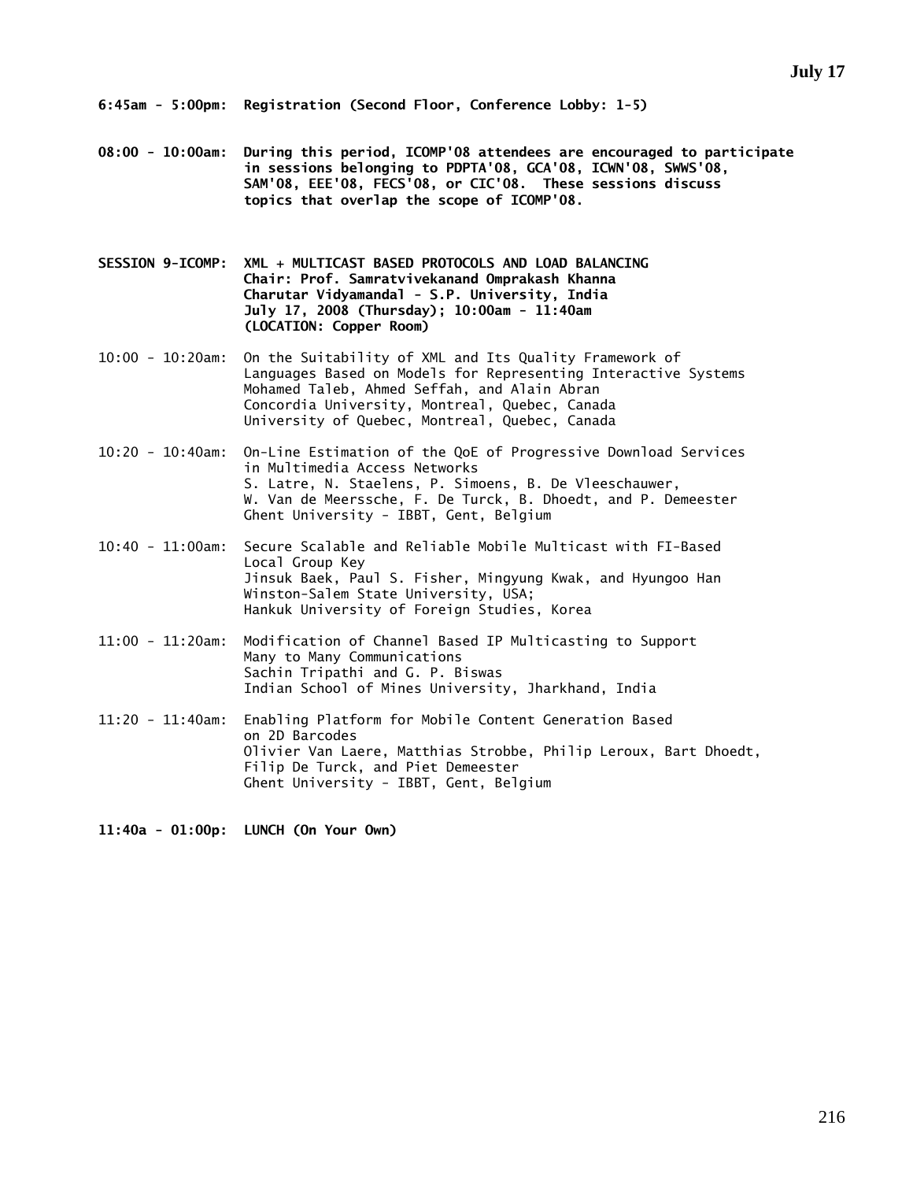**08:00 - 10:00am: During this period, ICOMP'08 attendees are encouraged to participate in sessions belonging to PDPTA'08, GCA'08, ICWN'08, SWWS'08, SAM'08, EEE'08, FECS'08, or CIC'08. These sessions discuss topics that overlap the scope of ICOMP'08.** 

**SESSION 9-ICOMP: XML + MULTICAST BASED PROTOCOLS AND LOAD BALANCING Chair: Prof. Samratvivekanand Omprakash Khanna Charutar Vidyamandal - S.P. University, India July 17, 2008 (Thursday); 10:00am - 11:40am (LOCATION: Copper Room)** 

10:00 - 10:20am: On the Suitability of XML and Its Quality Framework of Languages Based on Models for Representing Interactive Systems Mohamed Taleb, Ahmed Seffah, and Alain Abran Concordia University, Montreal, Quebec, Canada University of Quebec, Montreal, Quebec, Canada

10:20 - 10:40am: On-Line Estimation of the QoE of Progressive Download Services in Multimedia Access Networks S. Latre, N. Staelens, P. Simoens, B. De Vleeschauwer, W. Van de Meerssche, F. De Turck, B. Dhoedt, and P. Demeester Ghent University - IBBT, Gent, Belgium

- 10:40 11:00am: Secure Scalable and Reliable Mobile Multicast with FI-Based Local Group Key Jinsuk Baek, Paul S. Fisher, Mingyung Kwak, and Hyungoo Han Winston-Salem State University, USA; Hankuk University of Foreign Studies, Korea
- 11:00 11:20am: Modification of Channel Based IP Multicasting to Support Many to Many Communications Sachin Tripathi and G. P. Biswas Indian School of Mines University, Jharkhand, India
- 11:20 11:40am: Enabling Platform for Mobile Content Generation Based on 2D Barcodes Olivier Van Laere, Matthias Strobbe, Philip Leroux, Bart Dhoedt, Filip De Turck, and Piet Demeester Ghent University - IBBT, Gent, Belgium

**11:40a - 01:00p: LUNCH (On Your Own)**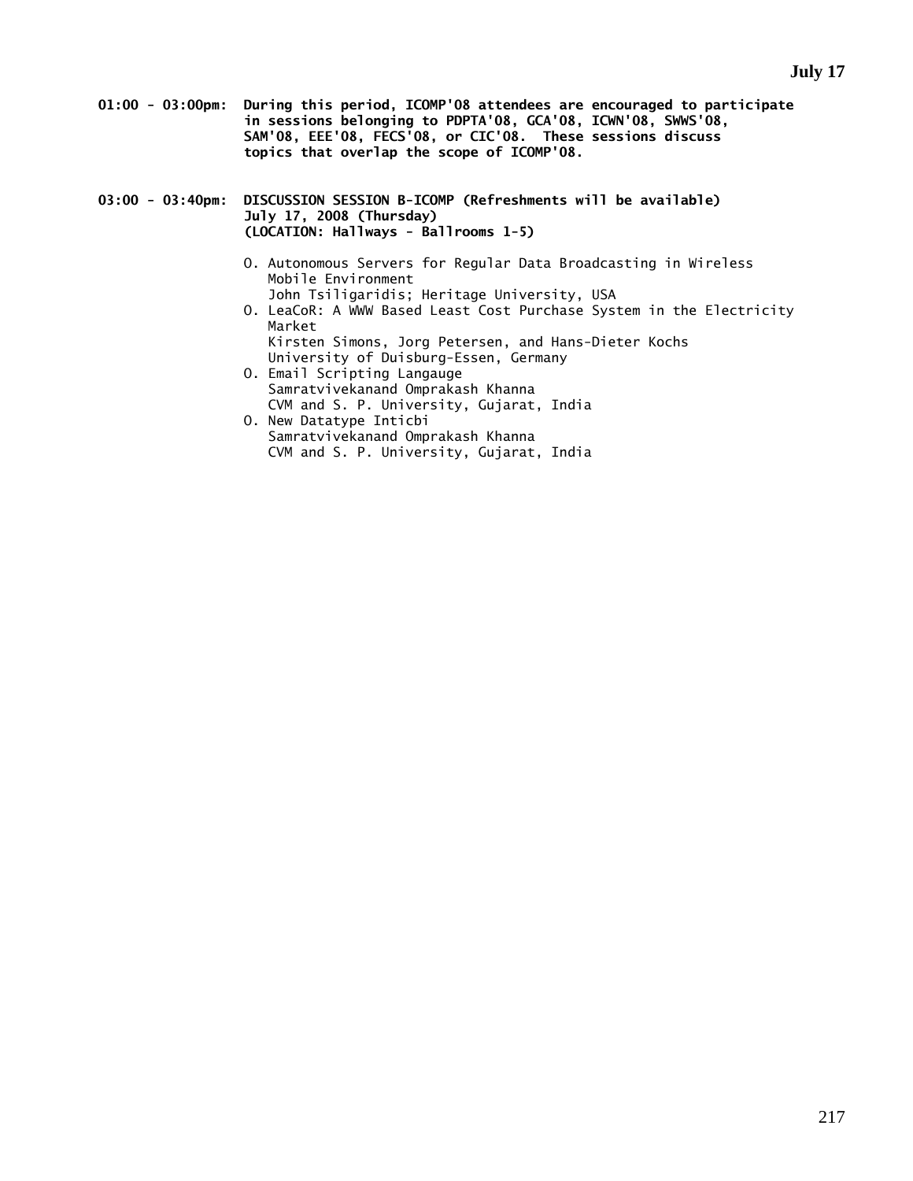- **01:00 03:00pm: During this period, ICOMP'08 attendees are encouraged to participate in sessions belonging to PDPTA'08, GCA'08, ICWN'08, SWWS'08, SAM'08, EEE'08, FECS'08, or CIC'08. These sessions discuss topics that overlap the scope of ICOMP'08.**
- **03:00 03:40pm: DISCUSSION SESSION B-ICOMP (Refreshments will be available) July 17, 2008 (Thursday) (LOCATION: Hallways - Ballrooms 1-5)** 
	- O. Autonomous Servers for Regular Data Broadcasting in Wireless Mobile Environment

John Tsiligaridis; Heritage University, USA

- O. LeaCoR: A WWW Based Least Cost Purchase System in the Electricity Market Kirsten Simons, Jorg Petersen, and Hans-Dieter Kochs
- University of Duisburg-Essen, Germany O. Email Scripting Langauge
- Samratvivekanand Omprakash Khanna CVM and S. P. University, Gujarat, India
- O. New Datatype Inticbi Samratvivekanand Omprakash Khanna CVM and S. P. University, Gujarat, India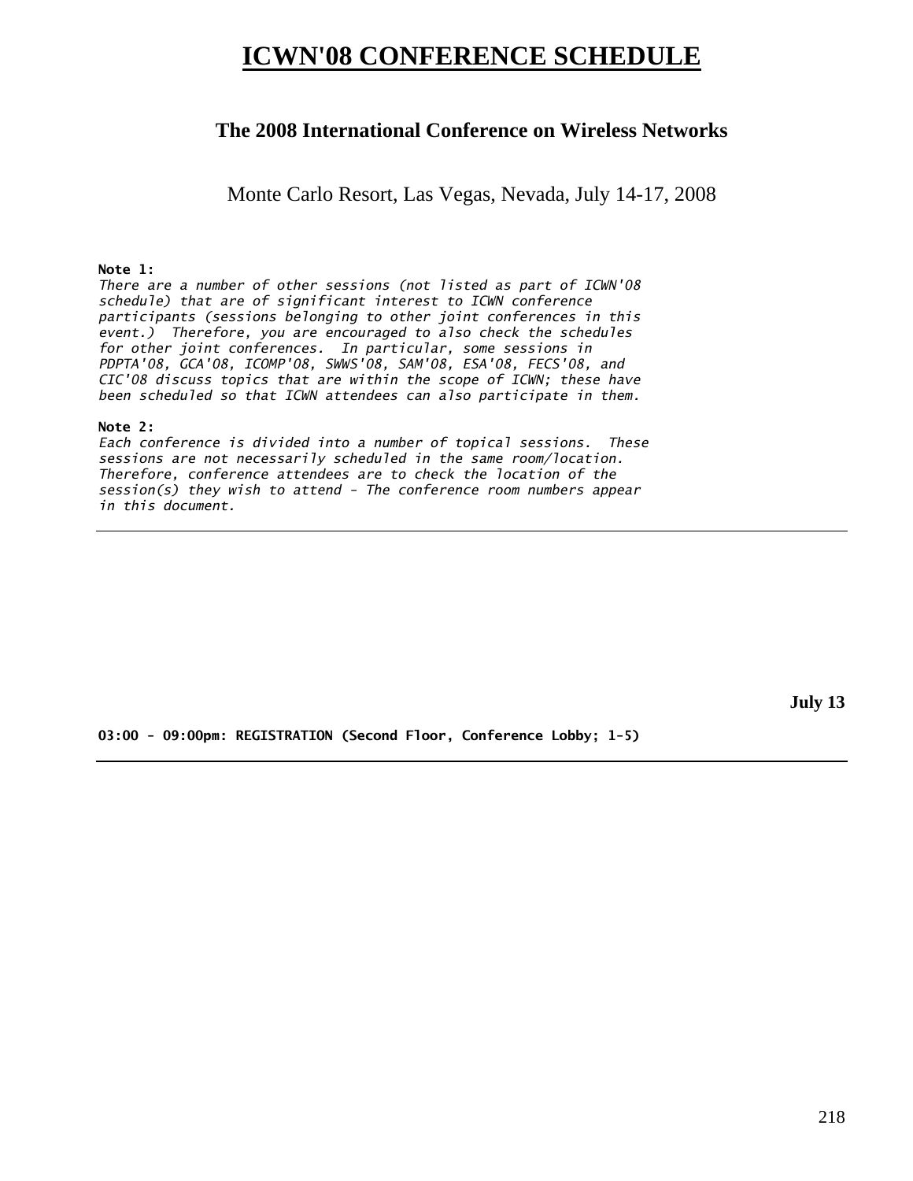# **ICWN'08 CONFERENCE SCHEDULE**

## **The 2008 International Conference on Wireless Networks**

Monte Carlo Resort, Las Vegas, Nevada, July 14-17, 2008

#### **Note 1:**

*There are a number of other sessions (not listed as part of ICWN'08 schedule) that are of significant interest to ICWN conference participants (sessions belonging to other joint conferences in this event.) Therefore, you are encouraged to also check the schedules for other joint conferences. In particular, some sessions in PDPTA'08, GCA'08, ICOMP'08, SWWS'08, SAM'08, ESA'08, FECS'08, and CIC'08 discuss topics that are within the scope of ICWN; these have been scheduled so that ICWN attendees can also participate in them.* 

#### **Note 2:**

*Each conference is divided into a number of topical sessions. These sessions are not necessarily scheduled in the same room/location. Therefore, conference attendees are to check the location of the session(s) they wish to attend - The conference room numbers appear in this document.* 

**July 13** 

**03:00 - 09:00pm: REGISTRATION (Second Floor, Conference Lobby; 1-5)**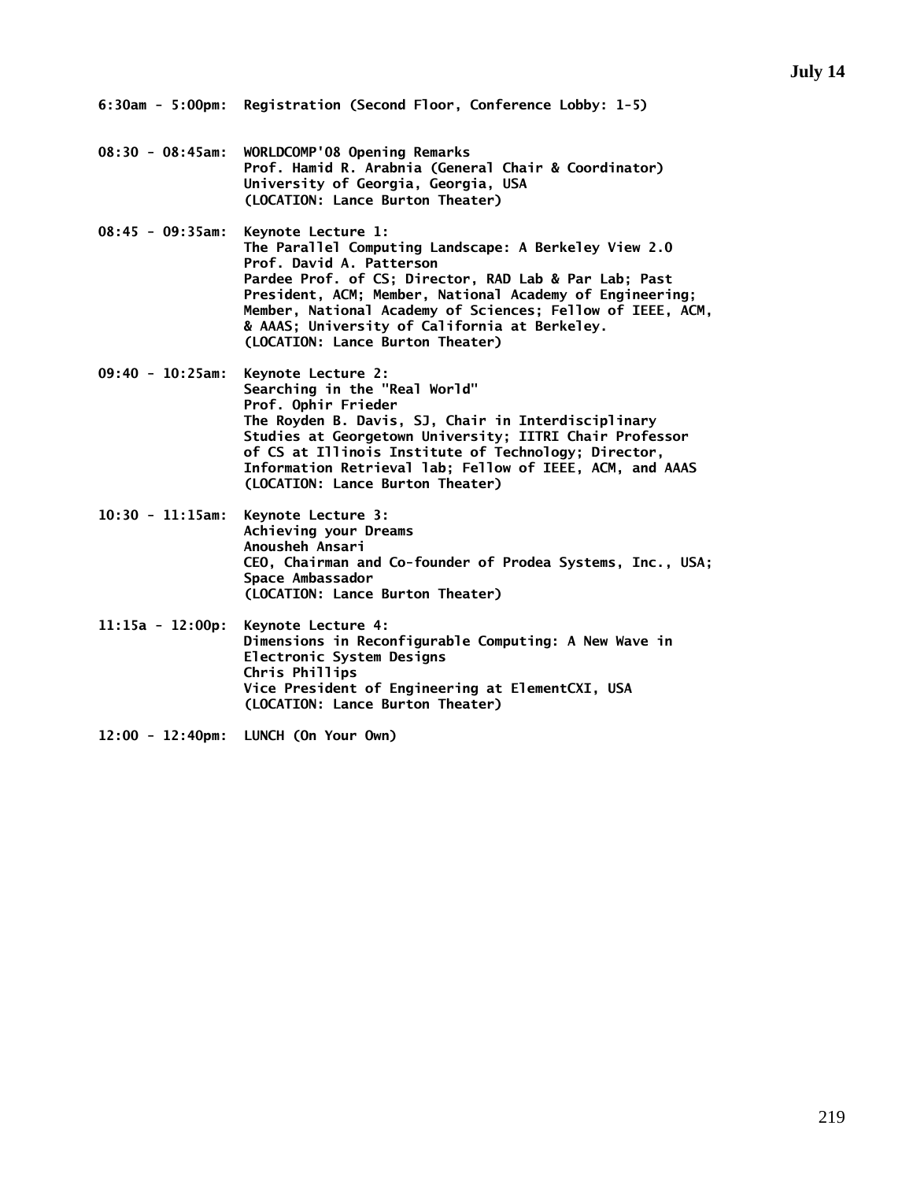- **08:30 08:45am: WORLDCOMP'08 Opening Remarks Prof. Hamid R. Arabnia (General Chair & Coordinator) University of Georgia, Georgia, USA (LOCATION: Lance Burton Theater)**
- **08:45 09:35am: Keynote Lecture 1: The Parallel Computing Landscape: A Berkeley View 2.0 Prof. David A. Patterson Pardee Prof. of CS; Director, RAD Lab & Par Lab; Past President, ACM; Member, National Academy of Engineering; Member, National Academy of Sciences; Fellow of IEEE, ACM, & AAAS; University of California at Berkeley. (LOCATION: Lance Burton Theater)**
- **09:40 10:25am: Keynote Lecture 2: Searching in the "Real World" Prof. Ophir Frieder The Royden B. Davis, SJ, Chair in Interdisciplinary Studies at Georgetown University; IITRI Chair Professor of CS at Illinois Institute of Technology; Director, Information Retrieval lab; Fellow of IEEE, ACM, and AAAS (LOCATION: Lance Burton Theater)**
- **10:30 11:15am: Keynote Lecture 3: Achieving your Dreams Anousheh Ansari CEO, Chairman and Co-founder of Prodea Systems, Inc., USA; Space Ambassador (LOCATION: Lance Burton Theater)**
- **11:15a 12:00p: Keynote Lecture 4: Dimensions in Reconfigurable Computing: A New Wave in Electronic System Designs Chris Phillips Vice President of Engineering at ElementCXI, USA (LOCATION: Lance Burton Theater)**
- **12:00 12:40pm: LUNCH (On Your Own)**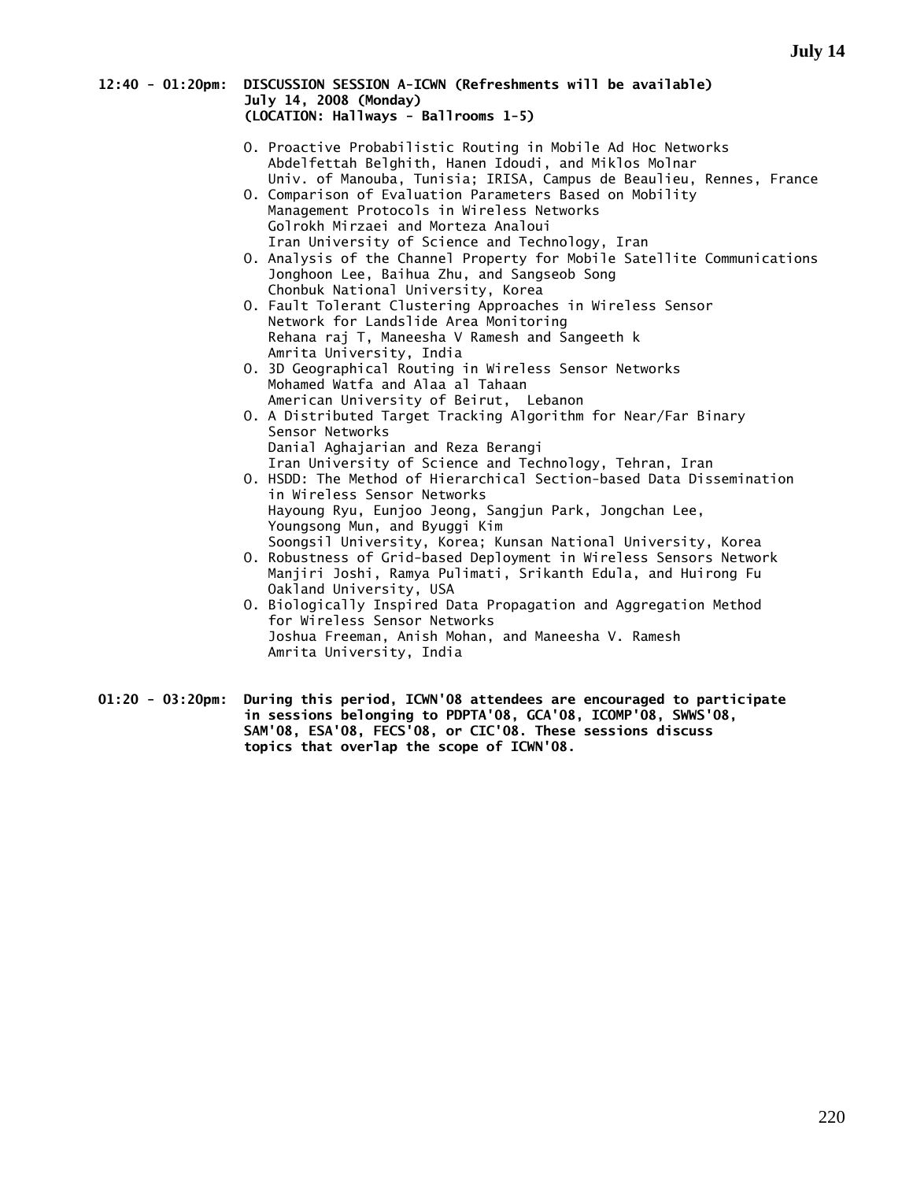# **12:40 - 01:20pm: DISCUSSION SESSION A-ICWN (Refreshments will be available) July 14, 2008 (Monday) (LOCATION: Hallways - Ballrooms 1-5)**

- O. Proactive Probabilistic Routing in Mobile Ad Hoc Networks Abdelfettah Belghith, Hanen Idoudi, and Miklos Molnar Univ. of Manouba, Tunisia; IRISA, Campus de Beaulieu, Rennes, France
- O. Comparison of Evaluation Parameters Based on Mobility Management Protocols in Wireless Networks Golrokh Mirzaei and Morteza Analoui Iran University of Science and Technology, Iran
- O. Analysis of the Channel Property for Mobile Satellite Communications Jonghoon Lee, Baihua Zhu, and Sangseob Song Chonbuk National University, Korea
- O. Fault Tolerant Clustering Approaches in Wireless Sensor Network for Landslide Area Monitoring Rehana raj T, Maneesha V Ramesh and Sangeeth k Amrita University, India
- O. 3D Geographical Routing in Wireless Sensor Networks Mohamed Watfa and Alaa al Tahaan American University of Beirut, Lebanon
- O. A Distributed Target Tracking Algorithm for Near/Far Binary Sensor Networks Danial Aghajarian and Reza Berangi Iran University of Science and Technology, Tehran, Iran
- O. HSDD: The Method of Hierarchical Section-based Data Dissemination in Wireless Sensor Networks Hayoung Ryu, Eunjoo Jeong, Sangjun Park, Jongchan Lee, Youngsong Mun, and Byuggi Kim Soongsil University, Korea; Kunsan National University, Korea
- O. Robustness of Grid-based Deployment in Wireless Sensors Network Manjiri Joshi, Ramya Pulimati, Srikanth Edula, and Huirong Fu Oakland University, USA
- O. Biologically Inspired Data Propagation and Aggregation Method for Wireless Sensor Networks Joshua Freeman, Anish Mohan, and Maneesha V. Ramesh Amrita University, India
- **01:20 03:20pm: During this period, ICWN'08 attendees are encouraged to participate in sessions belonging to PDPTA'08, GCA'08, ICOMP'08, SWWS'08, SAM'08, ESA'08, FECS'08, or CIC'08. These sessions discuss topics that overlap the scope of ICWN'08.**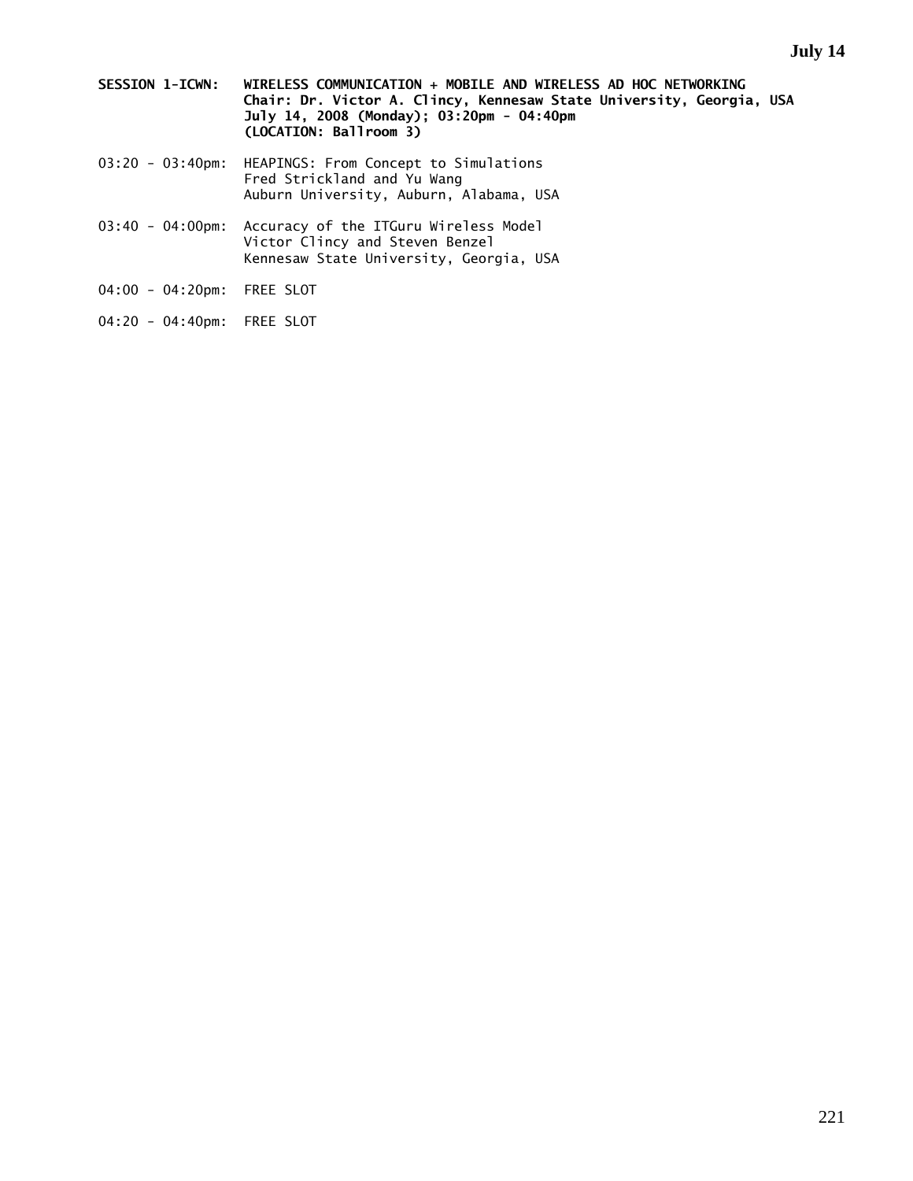- **SESSION 1-ICWN: WIRELESS COMMUNICATION + MOBILE AND WIRELESS AD HOC NETWORKING Chair: Dr. Victor A. Clincy, Kennesaw State University, Georgia, USA July 14, 2008 (Monday); 03:20pm - 04:40pm (LOCATION: Ballroom 3)**
- 03:20 03:40pm: HEAPINGS: From Concept to Simulations Fred Strickland and Yu Wang Auburn University, Auburn, Alabama, USA
- 03:40 04:00pm: Accuracy of the ITGuru Wireless Model Victor Clincy and Steven Benzel Kennesaw State University, Georgia, USA
- 04:00 04:20pm: FREE SLOT
- 04:20 04:40pm: FREE SLOT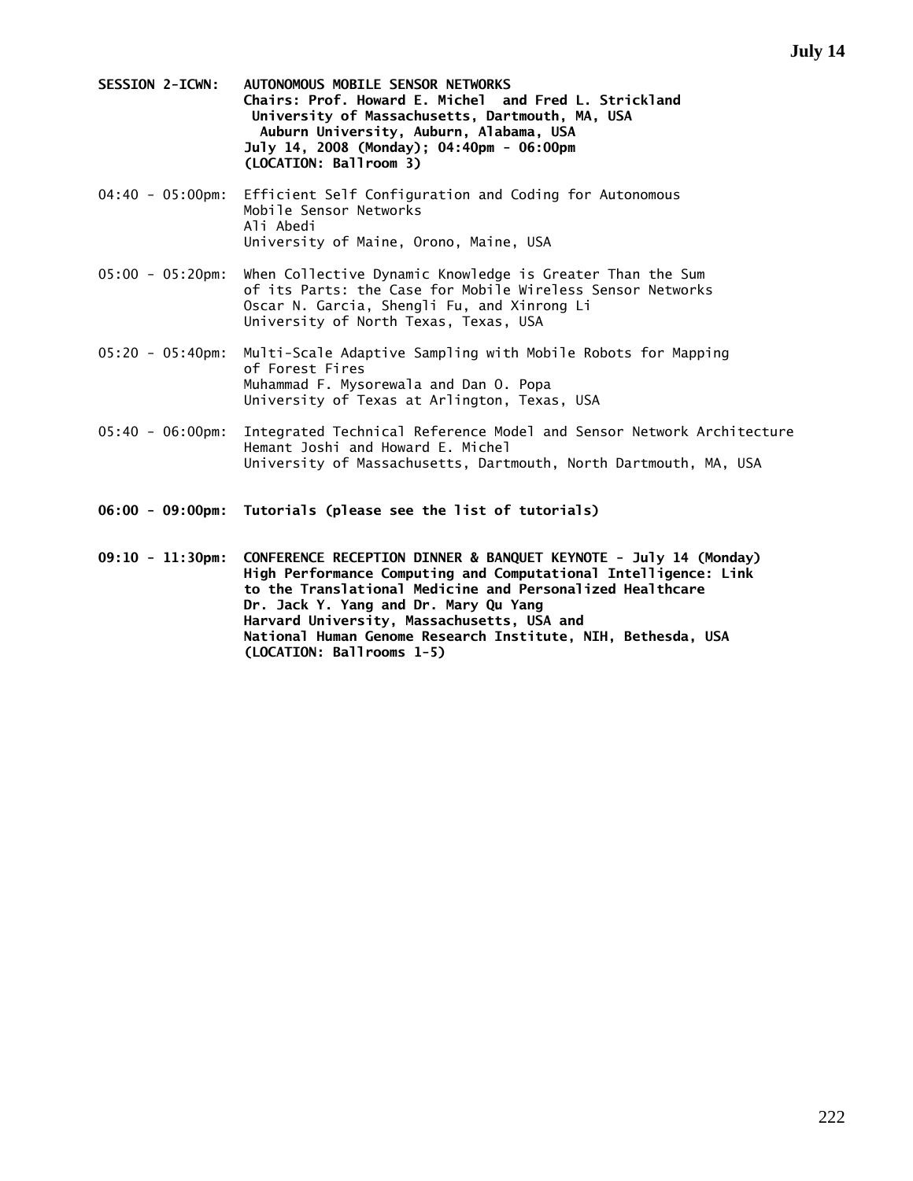- **SESSION 2-ICWN: AUTONOMOUS MOBILE SENSOR NETWORKS Chairs: Prof. Howard E. Michel and Fred L. Strickland University of Massachusetts, Dartmouth, MA, USA Auburn University, Auburn, Alabama, USA July 14, 2008 (Monday); 04:40pm - 06:00pm (LOCATION: Ballroom 3)**
- 04:40 05:00pm: Efficient Self Configuration and Coding for Autonomous Mobile Sensor Networks Ali Abedi University of Maine, Orono, Maine, USA
- 05:00 05:20pm: When Collective Dynamic Knowledge is Greater Than the Sum of its Parts: the Case for Mobile Wireless Sensor Networks Oscar N. Garcia, Shengli Fu, and Xinrong Li University of North Texas, Texas, USA
- 05:20 05:40pm: Multi-Scale Adaptive Sampling with Mobile Robots for Mapping of Forest Fires Muhammad F. Mysorewala and Dan O. Popa University of Texas at Arlington, Texas, USA
- 05:40 06:00pm: Integrated Technical Reference Model and Sensor Network Architecture Hemant Joshi and Howard E. Michel University of Massachusetts, Dartmouth, North Dartmouth, MA, USA
- **06:00 09:00pm: Tutorials (please see the list of tutorials)**

**09:10 - 11:30pm: CONFERENCE RECEPTION DINNER & BANQUET KEYNOTE - July 14 (Monday) High Performance Computing and Computational Intelligence: Link to the Translational Medicine and Personalized Healthcare Dr. Jack Y. Yang and Dr. Mary Qu Yang Harvard University, Massachusetts, USA and National Human Genome Research Institute, NIH, Bethesda, USA (LOCATION: Ballrooms 1-5)**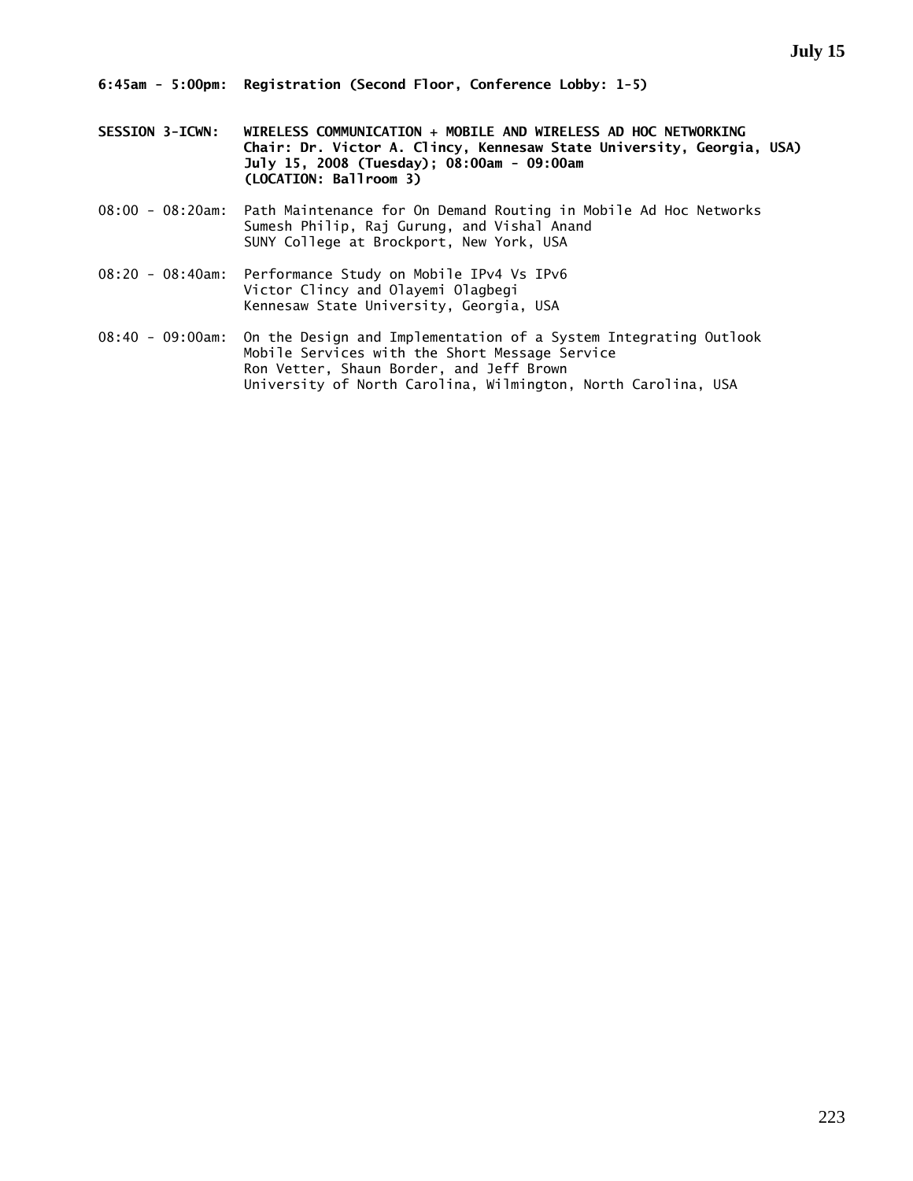- **SESSION 3-ICWN: WIRELESS COMMUNICATION + MOBILE AND WIRELESS AD HOC NETWORKING Chair: Dr. Victor A. Clincy, Kennesaw State University, Georgia, USA) July 15, 2008 (Tuesday); 08:00am - 09:00am (LOCATION: Ballroom 3)**
- 08:00 08:20am: Path Maintenance for On Demand Routing in Mobile Ad Hoc Networks Sumesh Philip, Raj Gurung, and Vishal Anand SUNY College at Brockport, New York, USA
- 08:20 08:40am: Performance Study on Mobile IPv4 Vs IPv6 Victor Clincy and Olayemi Olagbegi Kennesaw State University, Georgia, USA
- 08:40 09:00am: On the Design and Implementation of a System Integrating Outlook Mobile Services with the Short Message Service Ron Vetter, Shaun Border, and Jeff Brown University of North Carolina, Wilmington, North Carolina, USA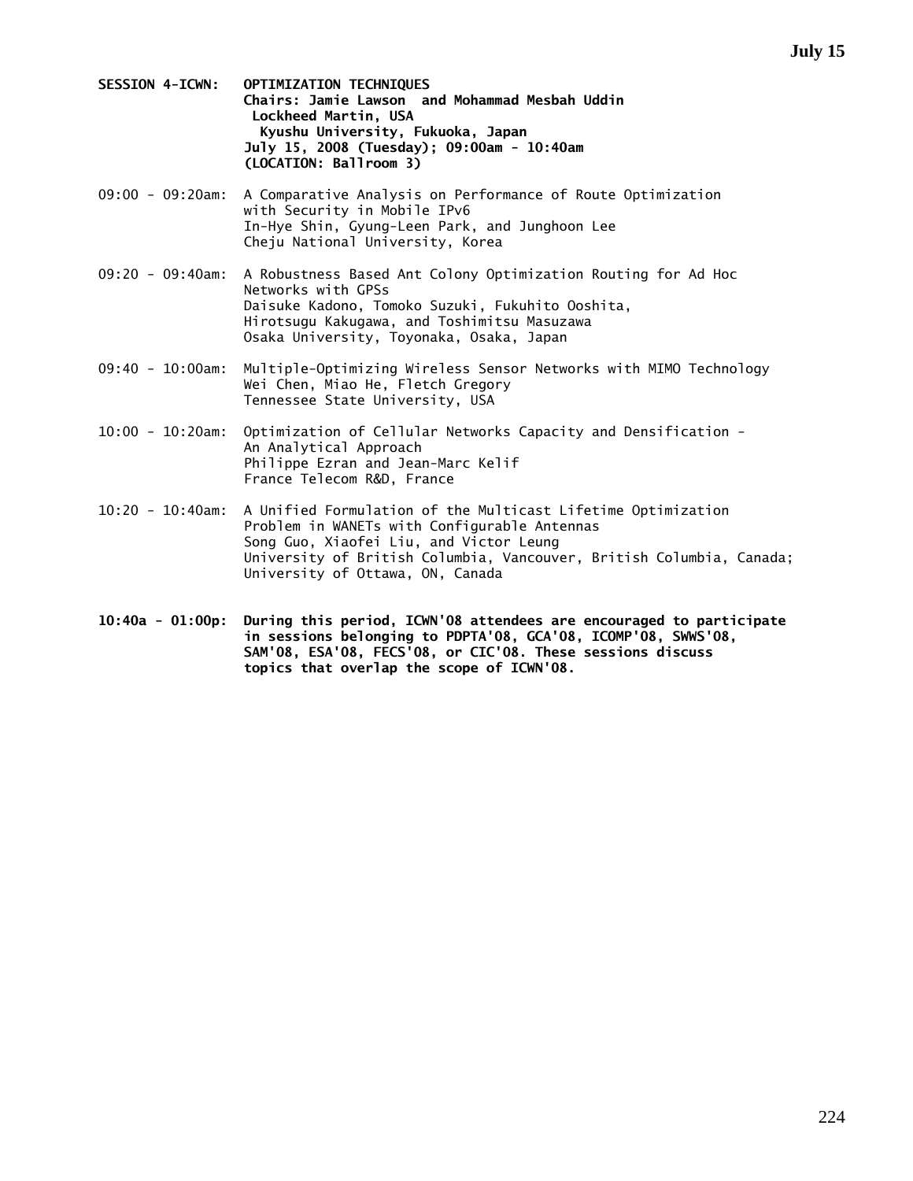- **SESSION 4-ICWN: OPTIMIZATION TECHNIQUES Chairs: Jamie Lawson and Mohammad Mesbah Uddin Lockheed Martin, USA Kyushu University, Fukuoka, Japan July 15, 2008 (Tuesday); 09:00am - 10:40am (LOCATION: Ballroom 3)**
- 09:00 09:20am: A Comparative Analysis on Performance of Route Optimization with Security in Mobile IPv6 In-Hye Shin, Gyung-Leen Park, and Junghoon Lee Cheju National University, Korea
- 09:20 09:40am: A Robustness Based Ant Colony Optimization Routing for Ad Hoc Networks with GPSs Daisuke Kadono, Tomoko Suzuki, Fukuhito Ooshita, Hirotsugu Kakugawa, and Toshimitsu Masuzawa Osaka University, Toyonaka, Osaka, Japan
- 09:40 10:00am: Multiple-Optimizing Wireless Sensor Networks with MIMO Technology Wei Chen, Miao He, Fletch Gregory Tennessee State University, USA
- 10:00 10:20am: Optimization of Cellular Networks Capacity and Densification An Analytical Approach Philippe Ezran and Jean-Marc Kelif France Telecom R&D, France
- 10:20 10:40am: A Unified Formulation of the Multicast Lifetime Optimization Problem in WANETs with Configurable Antennas Song Guo, Xiaofei Liu, and Victor Leung University of British Columbia, Vancouver, British Columbia, Canada; University of Ottawa, ON, Canada
- **10:40a 01:00p: During this period, ICWN'08 attendees are encouraged to participate in sessions belonging to PDPTA'08, GCA'08, ICOMP'08, SWWS'08, SAM'08, ESA'08, FECS'08, or CIC'08. These sessions discuss topics that overlap the scope of ICWN'08.**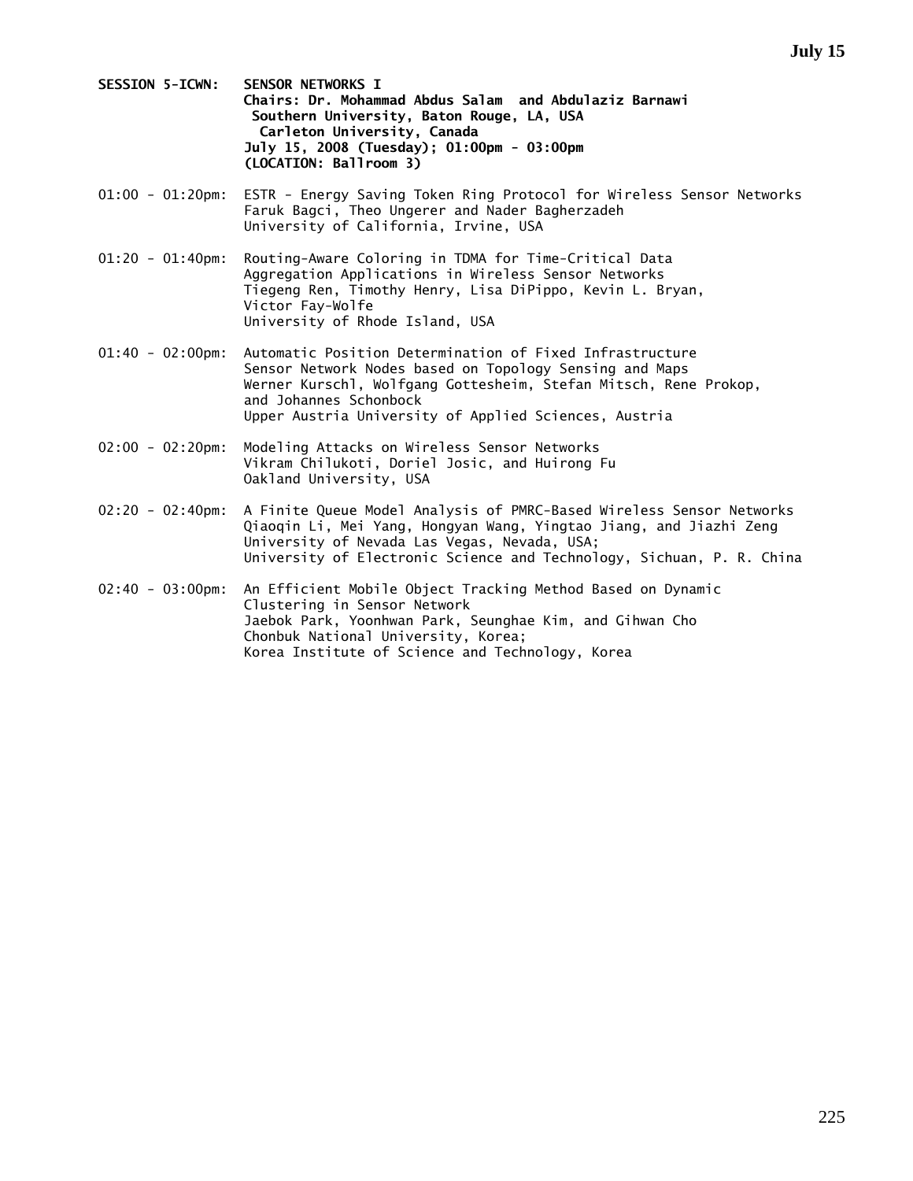- **SESSION 5-ICWN: SENSOR NETWORKS I Chairs: Dr. Mohammad Abdus Salam and Abdulaziz Barnawi Southern University, Baton Rouge, LA, USA Carleton University, Canada July 15, 2008 (Tuesday); 01:00pm - 03:00pm (LOCATION: Ballroom 3)**
- 01:00 01:20pm: ESTR Energy Saving Token Ring Protocol for Wireless Sensor Networks Faruk Bagci, Theo Ungerer and Nader Bagherzadeh University of California, Irvine, USA
- 01:20 01:40pm: Routing-Aware Coloring in TDMA for Time-Critical Data Aggregation Applications in Wireless Sensor Networks Tiegeng Ren, Timothy Henry, Lisa DiPippo, Kevin L. Bryan, Victor Fay-Wolfe University of Rhode Island, USA
- 01:40 02:00pm: Automatic Position Determination of Fixed Infrastructure Sensor Network Nodes based on Topology Sensing and Maps Werner Kurschl, Wolfgang Gottesheim, Stefan Mitsch, Rene Prokop, and Johannes Schonbock Upper Austria University of Applied Sciences, Austria
- 02:00 02:20pm: Modeling Attacks on Wireless Sensor Networks Vikram Chilukoti, Doriel Josic, and Huirong Fu Oakland University, USA
- 02:20 02:40pm: A Finite Queue Model Analysis of PMRC-Based Wireless Sensor Networks Qiaoqin Li, Mei Yang, Hongyan Wang, Yingtao Jiang, and Jiazhi Zeng University of Nevada Las Vegas, Nevada, USA; University of Electronic Science and Technology, Sichuan, P. R. China
- 02:40 03:00pm: An Efficient Mobile Object Tracking Method Based on Dynamic Clustering in Sensor Network Jaebok Park, Yoonhwan Park, Seunghae Kim, and Gihwan Cho Chonbuk National University, Korea; Korea Institute of Science and Technology, Korea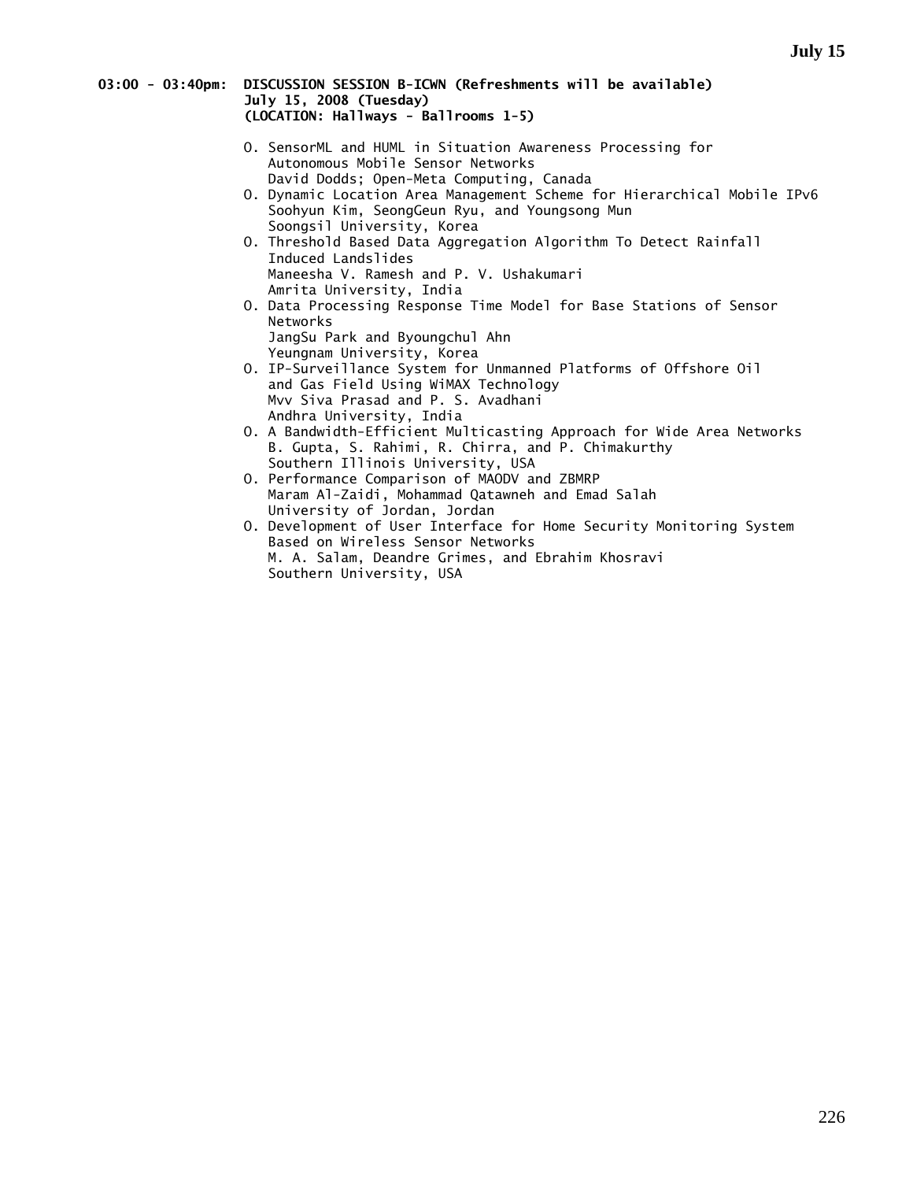# **03:00 - 03:40pm: DISCUSSION SESSION B-ICWN (Refreshments will be available) July 15, 2008 (Tuesday) (LOCATION: Hallways - Ballrooms 1-5)**

- O. SensorML and HUML in Situation Awareness Processing for Autonomous Mobile Sensor Networks David Dodds; Open-Meta Computing, Canada
- O. Dynamic Location Area Management Scheme for Hierarchical Mobile IPv6 Soohyun Kim, SeongGeun Ryu, and Youngsong Mun Soongsil University, Korea
- O. Threshold Based Data Aggregation Algorithm To Detect Rainfall Induced Landslides Maneesha V. Ramesh and P. V. Ushakumari Amrita University, India
- O. Data Processing Response Time Model for Base Stations of Sensor Networks JangSu Park and Byoungchul Ahn
- Yeungnam University, Korea O. IP-Surveillance System for Unmanned Platforms of Offshore Oil and Gas Field Using WiMAX Technology Mvv Siva Prasad and P. S. Avadhani Andhra University, India
- O. A Bandwidth-Efficient Multicasting Approach for Wide Area Networks B. Gupta, S. Rahimi, R. Chirra, and P. Chimakurthy Southern Illinois University, USA
- O. Performance Comparison of MAODV and ZBMRP Maram Al-Zaidi, Mohammad Qatawneh and Emad Salah University of Jordan, Jordan
- O. Development of User Interface for Home Security Monitoring System Based on Wireless Sensor Networks M. A. Salam, Deandre Grimes, and Ebrahim Khosravi Southern University, USA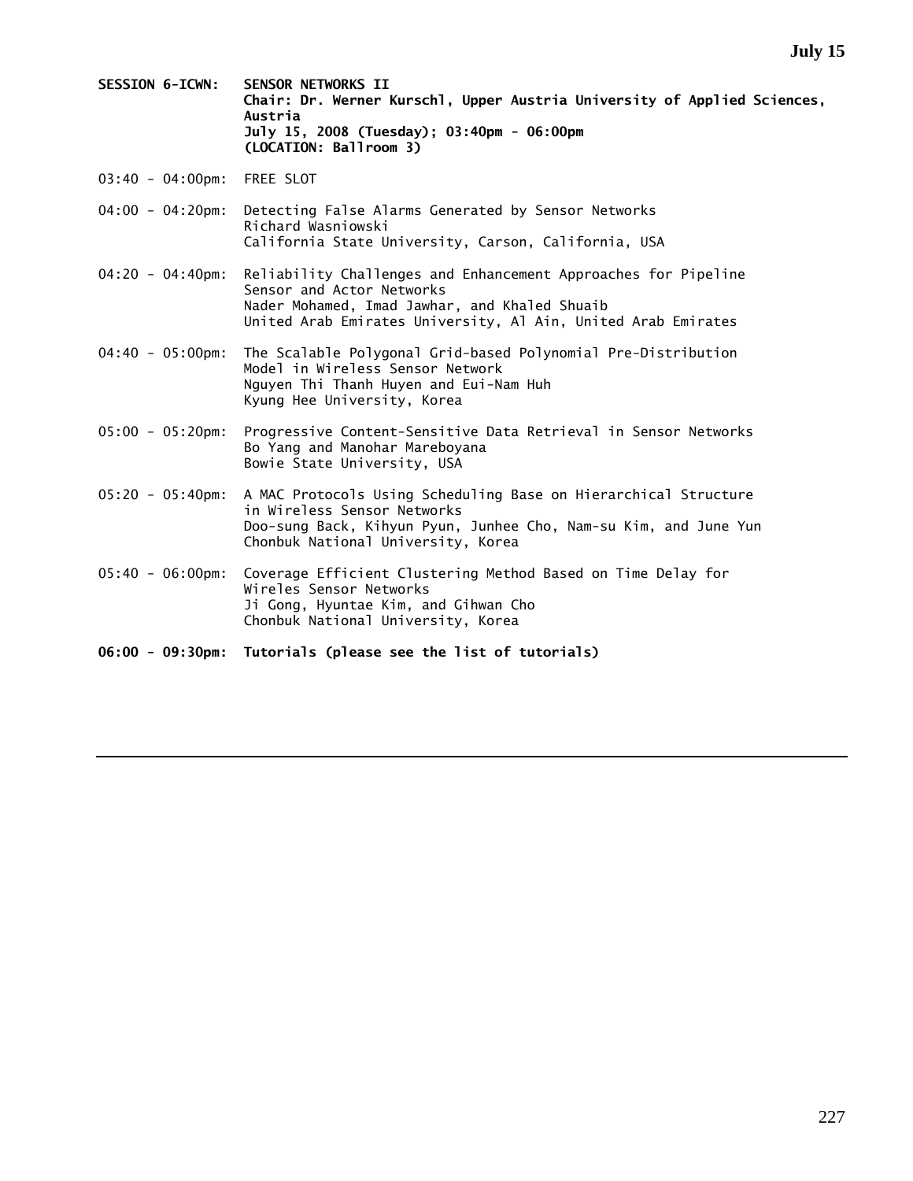- **SESSION 6-ICWN: SENSOR NETWORKS II Chair: Dr. Werner Kurschl, Upper Austria University of Applied Sciences, Austria July 15, 2008 (Tuesday); 03:40pm - 06:00pm (LOCATION: Ballroom 3)**
- 03:40 04:00pm: FREE SLOT
- 04:00 04:20pm: Detecting False Alarms Generated by Sensor Networks Richard Wasniowski California State University, Carson, California, USA
- 04:20 04:40pm: Reliability Challenges and Enhancement Approaches for Pipeline Sensor and Actor Networks Nader Mohamed, Imad Jawhar, and Khaled Shuaib United Arab Emirates University, Al Ain, United Arab Emirates
- 04:40 05:00pm: The Scalable Polygonal Grid-based Polynomial Pre-Distribution Model in Wireless Sensor Network Nguyen Thi Thanh Huyen and Eui-Nam Huh Kyung Hee University, Korea
- 05:00 05:20pm: Progressive Content-Sensitive Data Retrieval in Sensor Networks Bo Yang and Manohar Mareboyana Bowie State University, USA
- 05:20 05:40pm: A MAC Protocols Using Scheduling Base on Hierarchical Structure in Wireless Sensor Networks Doo-sung Back, Kihyun Pyun, Junhee Cho, Nam-su Kim, and June Yun Chonbuk National University, Korea
- 05:40 06:00pm: Coverage Efficient Clustering Method Based on Time Delay for Wireles Sensor Networks Ji Gong, Hyuntae Kim, and Gihwan Cho Chonbuk National University, Korea
- **06:00 09:30pm: Tutorials (please see the list of tutorials)**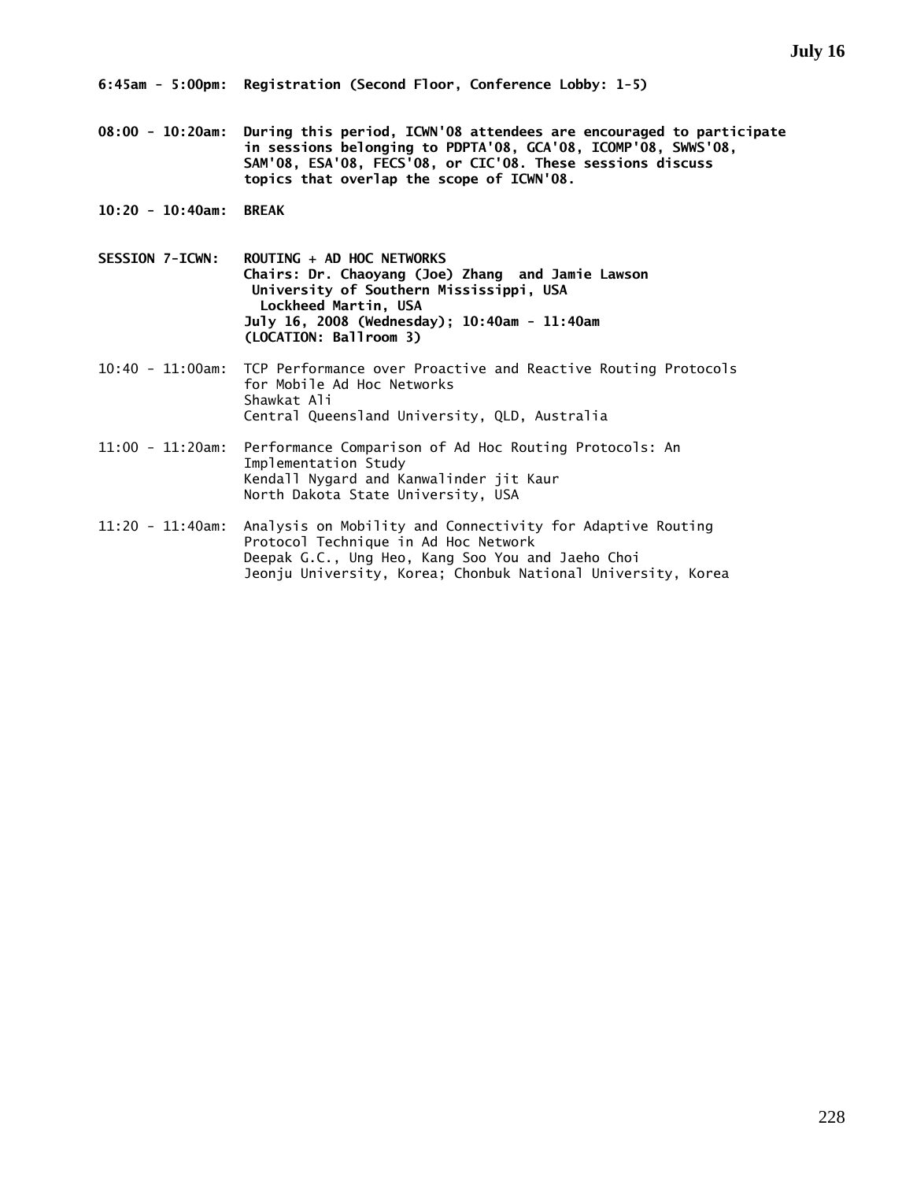**08:00 - 10:20am: During this period, ICWN'08 attendees are encouraged to participate in sessions belonging to PDPTA'08, GCA'08, ICOMP'08, SWWS'08, SAM'08, ESA'08, FECS'08, or CIC'08. These sessions discuss topics that overlap the scope of ICWN'08.** 

**10:20 - 10:40am: BREAK** 

- **SESSION 7-ICWN: ROUTING + AD HOC NETWORKS Chairs: Dr. Chaoyang (Joe) Zhang and Jamie Lawson University of Southern Mississippi, USA Lockheed Martin, USA July 16, 2008 (Wednesday); 10:40am - 11:40am (LOCATION: Ballroom 3)**
- 10:40 11:00am: TCP Performance over Proactive and Reactive Routing Protocols for Mobile Ad Hoc Networks Shawkat Ali Central Queensland University, QLD, Australia
- 11:00 11:20am: Performance Comparison of Ad Hoc Routing Protocols: An Implementation Study Kendall Nygard and Kanwalinder jit Kaur North Dakota State University, USA
- 11:20 11:40am: Analysis on Mobility and Connectivity for Adaptive Routing Protocol Technique in Ad Hoc Network Deepak G.C., Ung Heo, Kang Soo You and Jaeho Choi Jeonju University, Korea; Chonbuk National University, Korea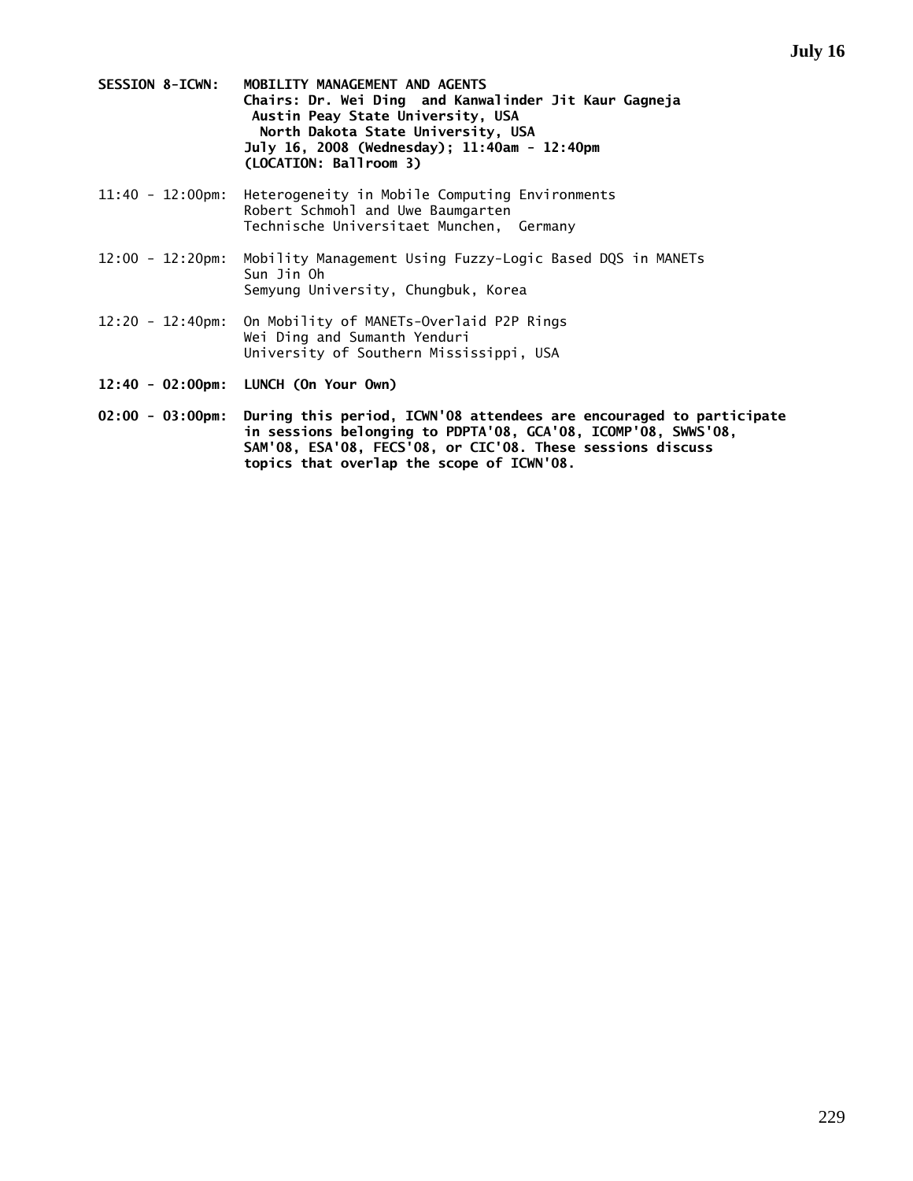- **SESSION 8-ICWN: MOBILITY MANAGEMENT AND AGENTS Chairs: Dr. Wei Ding and Kanwalinder Jit Kaur Gagneja Austin Peay State University, USA North Dakota State University, USA July 16, 2008 (Wednesday); 11:40am - 12:40pm (LOCATION: Ballroom 3)**
- 11:40 12:00pm: Heterogeneity in Mobile Computing Environments Robert Schmohl and Uwe Baumgarten Technische Universitaet Munchen, Germany
- 12:00 12:20pm: Mobility Management Using Fuzzy-Logic Based DQS in MANETs Sun Jin Oh Semyung University, Chungbuk, Korea
- 12:20 12:40pm: On Mobility of MANETs-Overlaid P2P Rings Wei Ding and Sumanth Yenduri University of Southern Mississippi, USA
- **12:40 02:00pm: LUNCH (On Your Own)**
- **02:00 03:00pm: During this period, ICWN'08 attendees are encouraged to participate in sessions belonging to PDPTA'08, GCA'08, ICOMP'08, SWWS'08, SAM'08, ESA'08, FECS'08, or CIC'08. These sessions discuss topics that overlap the scope of ICWN'08.**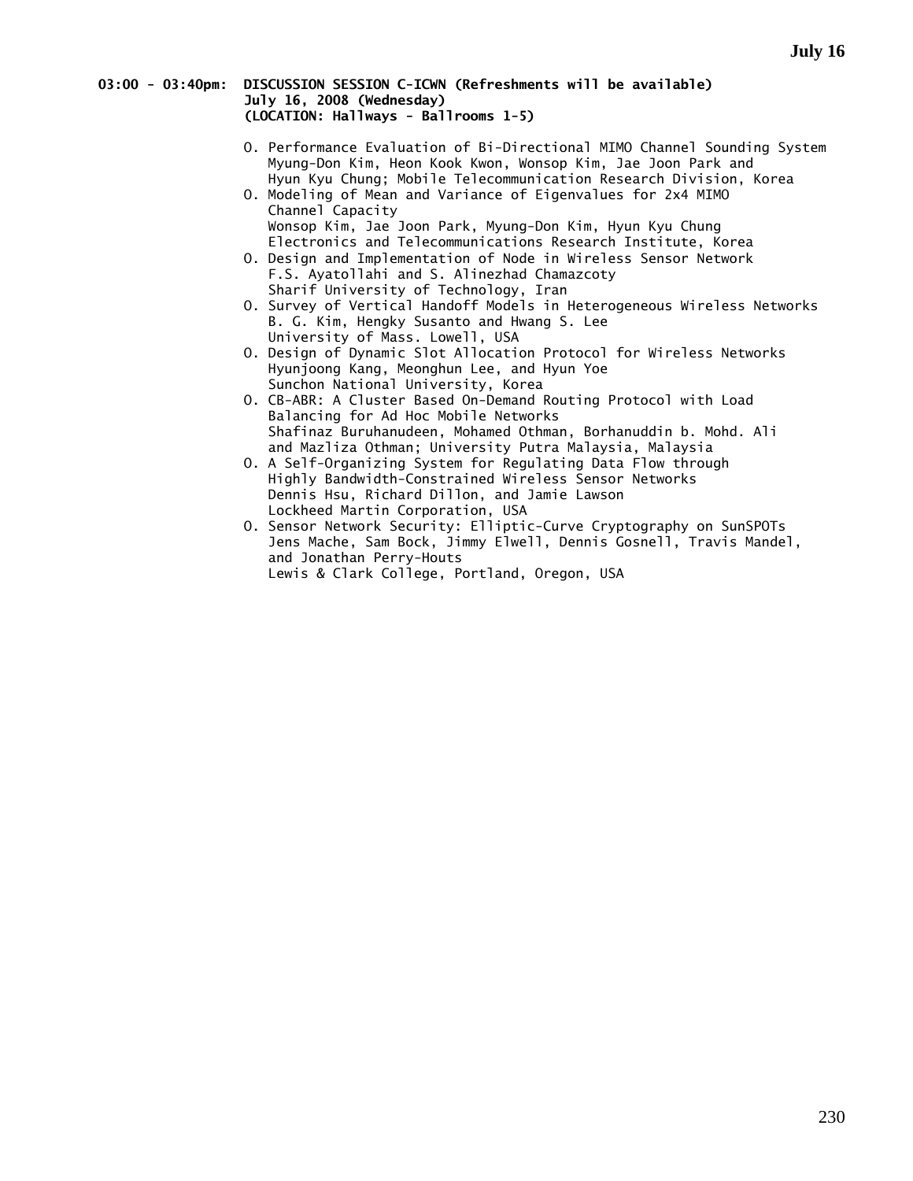# **03:00 - 03:40pm: DISCUSSION SESSION C-ICWN (Refreshments will be available) July 16, 2008 (Wednesday) (LOCATION: Hallways - Ballrooms 1-5)**

- O. Performance Evaluation of Bi-Directional MIMO Channel Sounding System Myung-Don Kim, Heon Kook Kwon, Wonsop Kim, Jae Joon Park and Hyun Kyu Chung; Mobile Telecommunication Research Division, Korea
- O. Modeling of Mean and Variance of Eigenvalues for 2x4 MIMO Channel Capacity Wonsop Kim, Jae Joon Park, Myung-Don Kim, Hyun Kyu Chung Electronics and Telecommunications Research Institute, Korea
- O. Design and Implementation of Node in Wireless Sensor Network F.S. Ayatollahi and S. Alinezhad Chamazcoty Sharif University of Technology, Iran
- O. Survey of Vertical Handoff Models in Heterogeneous Wireless Networks B. G. Kim, Hengky Susanto and Hwang S. Lee University of Mass. Lowell, USA
- O. Design of Dynamic Slot Allocation Protocol for Wireless Networks Hyunjoong Kang, Meonghun Lee, and Hyun Yoe Sunchon National University, Korea
- O. CB-ABR: A Cluster Based On-Demand Routing Protocol with Load Balancing for Ad Hoc Mobile Networks Shafinaz Buruhanudeen, Mohamed Othman, Borhanuddin b. Mohd. Ali and Mazliza Othman; University Putra Malaysia, Malaysia
- O. A Self-Organizing System for Regulating Data Flow through Highly Bandwidth-Constrained Wireless Sensor Networks Dennis Hsu, Richard Dillon, and Jamie Lawson Lockheed Martin Corporation, USA
- O. Sensor Network Security: Elliptic-Curve Cryptography on SunSPOTs Jens Mache, Sam Bock, Jimmy Elwell, Dennis Gosnell, Travis Mandel, and Jonathan Perry-Houts Lewis & Clark College, Portland, Oregon, USA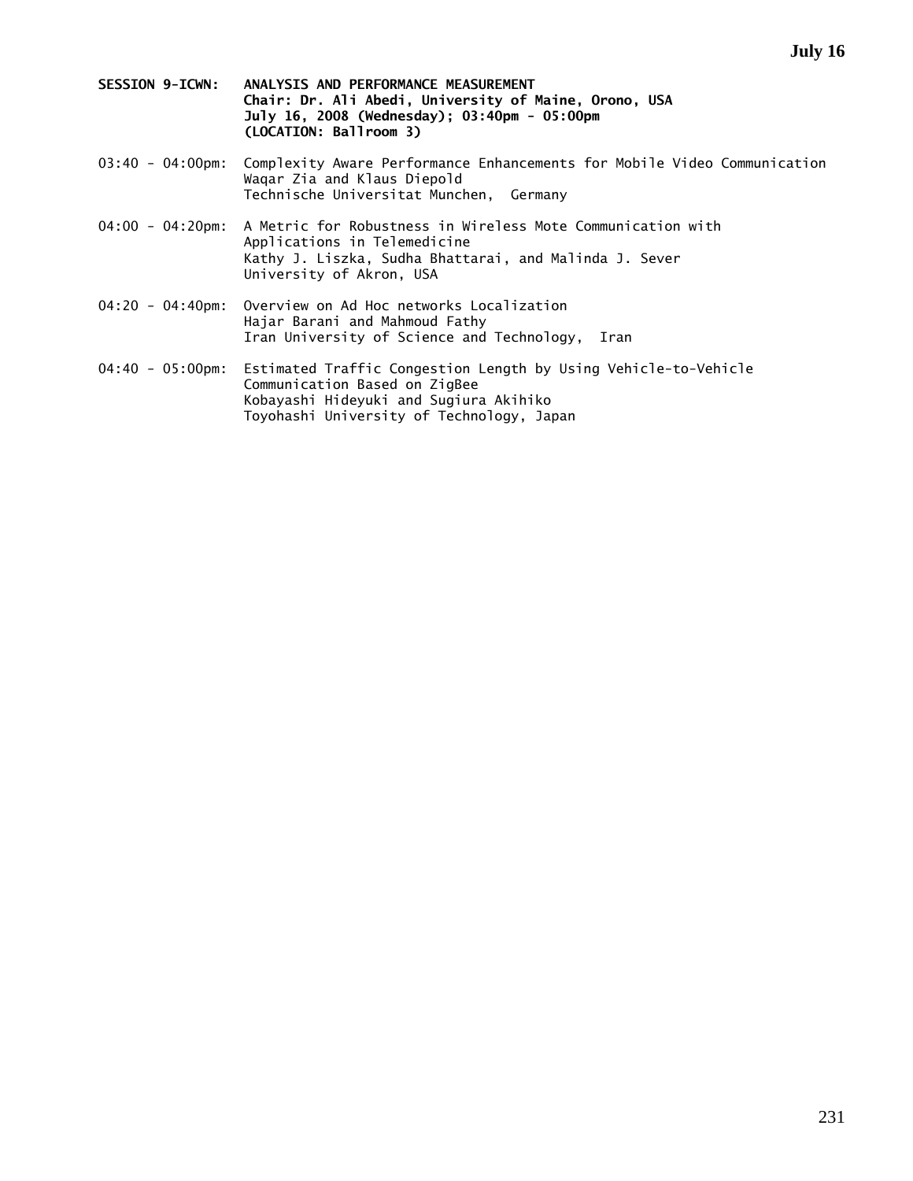- **SESSION 9-ICWN: ANALYSIS AND PERFORMANCE MEASUREMENT Chair: Dr. Ali Abedi, University of Maine, Orono, USA July 16, 2008 (Wednesday); 03:40pm - 05:00pm (LOCATION: Ballroom 3)**
- 03:40 04:00pm: Complexity Aware Performance Enhancements for Mobile Video Communication Waqar Zia and Klaus Diepold Technische Universitat Munchen, Germany
- 04:00 04:20pm: A Metric for Robustness in Wireless Mote Communication with Applications in Telemedicine Kathy J. Liszka, Sudha Bhattarai, and Malinda J. Sever University of Akron, USA
- 04:20 04:40pm: Overview on Ad Hoc networks Localization Hajar Barani and Mahmoud Fathy Iran University of Science and Technology, Iran
- 04:40 05:00pm: Estimated Traffic Congestion Length by Using Vehicle-to-Vehicle Communication Based on ZigBee Kobayashi Hideyuki and Sugiura Akihiko Toyohashi University of Technology, Japan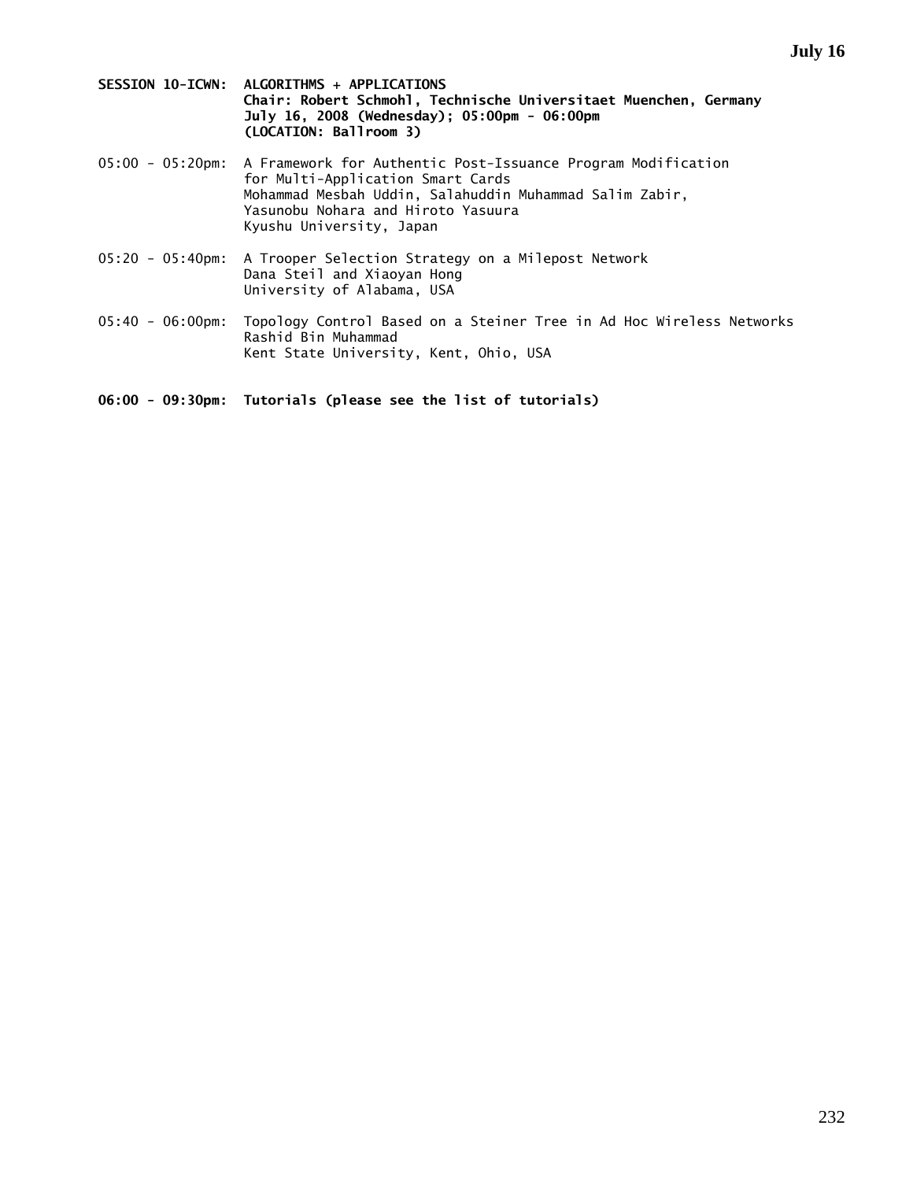- **SESSION 10-ICWN: ALGORITHMS + APPLICATIONS Chair: Robert Schmohl, Technische Universitaet Muenchen, Germany July 16, 2008 (Wednesday); 05:00pm - 06:00pm (LOCATION: Ballroom 3)**
- 05:00 05:20pm: A Framework for Authentic Post-Issuance Program Modification for Multi-Application Smart Cards Mohammad Mesbah Uddin, Salahuddin Muhammad Salim Zabir, Yasunobu Nohara and Hiroto Yasuura Kyushu University, Japan
- 05:20 05:40pm: A Trooper Selection Strategy on a Milepost Network Dana Steil and Xiaoyan Hong University of Alabama, USA
- 05:40 06:00pm: Topology Control Based on a Steiner Tree in Ad Hoc Wireless Networks Rashid Bin Muhammad Kent State University, Kent, Ohio, USA

**06:00 - 09:30pm: Tutorials (please see the list of tutorials)**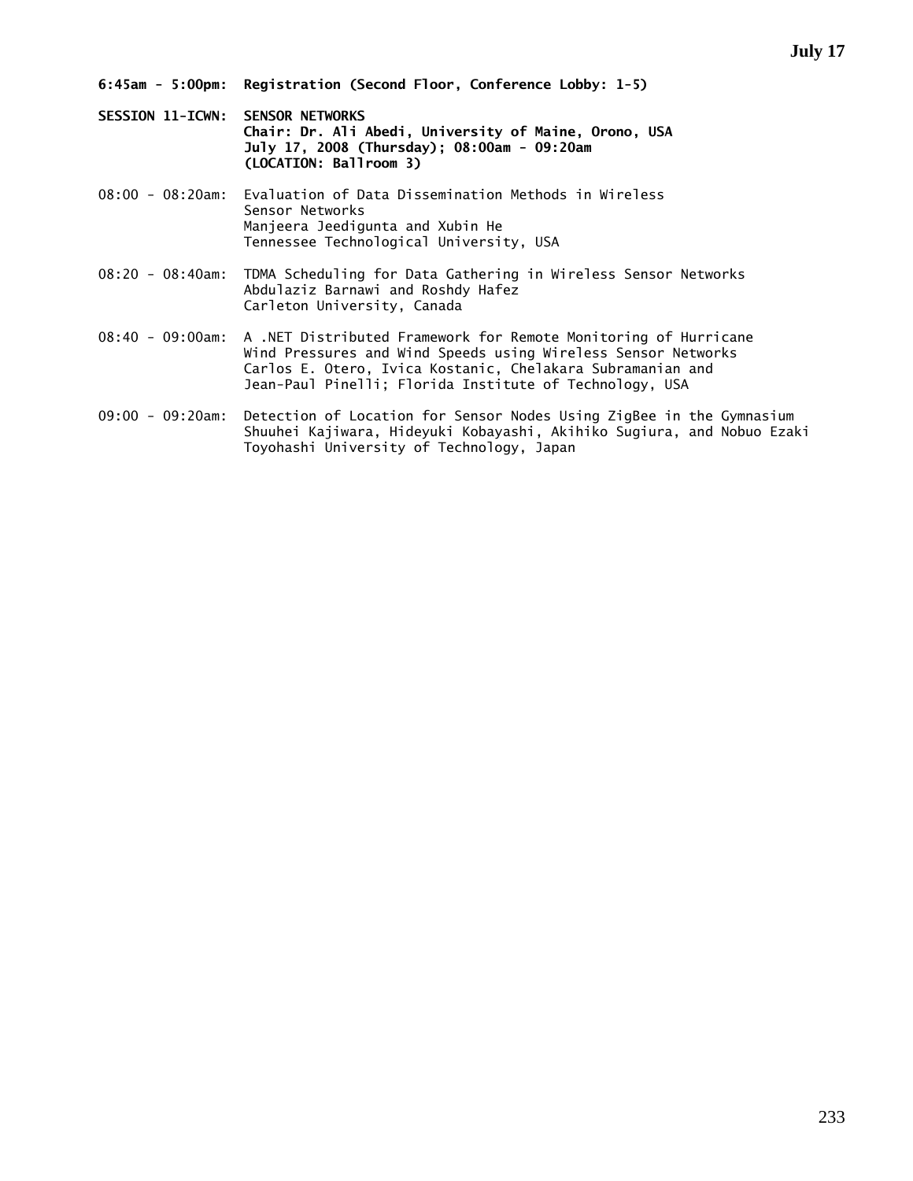- **SESSION 11-ICWN: SENSOR NETWORKS Chair: Dr. Ali Abedi, University of Maine, Orono, USA July 17, 2008 (Thursday); 08:00am - 09:20am (LOCATION: Ballroom 3)**
- 08:00 08:20am: Evaluation of Data Dissemination Methods in Wireless Sensor Networks Manjeera Jeedigunta and Xubin He Tennessee Technological University, USA
- 08:20 08:40am: TDMA Scheduling for Data Gathering in Wireless Sensor Networks Abdulaziz Barnawi and Roshdy Hafez Carleton University, Canada
- 08:40 09:00am: A .NET Distributed Framework for Remote Monitoring of Hurricane Wind Pressures and Wind Speeds using Wireless Sensor Networks Carlos E. Otero, Ivica Kostanic, Chelakara Subramanian and Jean-Paul Pinelli; Florida Institute of Technology, USA
- 09:00 09:20am: Detection of Location for Sensor Nodes Using ZigBee in the Gymnasium Shuuhei Kajiwara, Hideyuki Kobayashi, Akihiko Sugiura, and Nobuo Ezaki Toyohashi University of Technology, Japan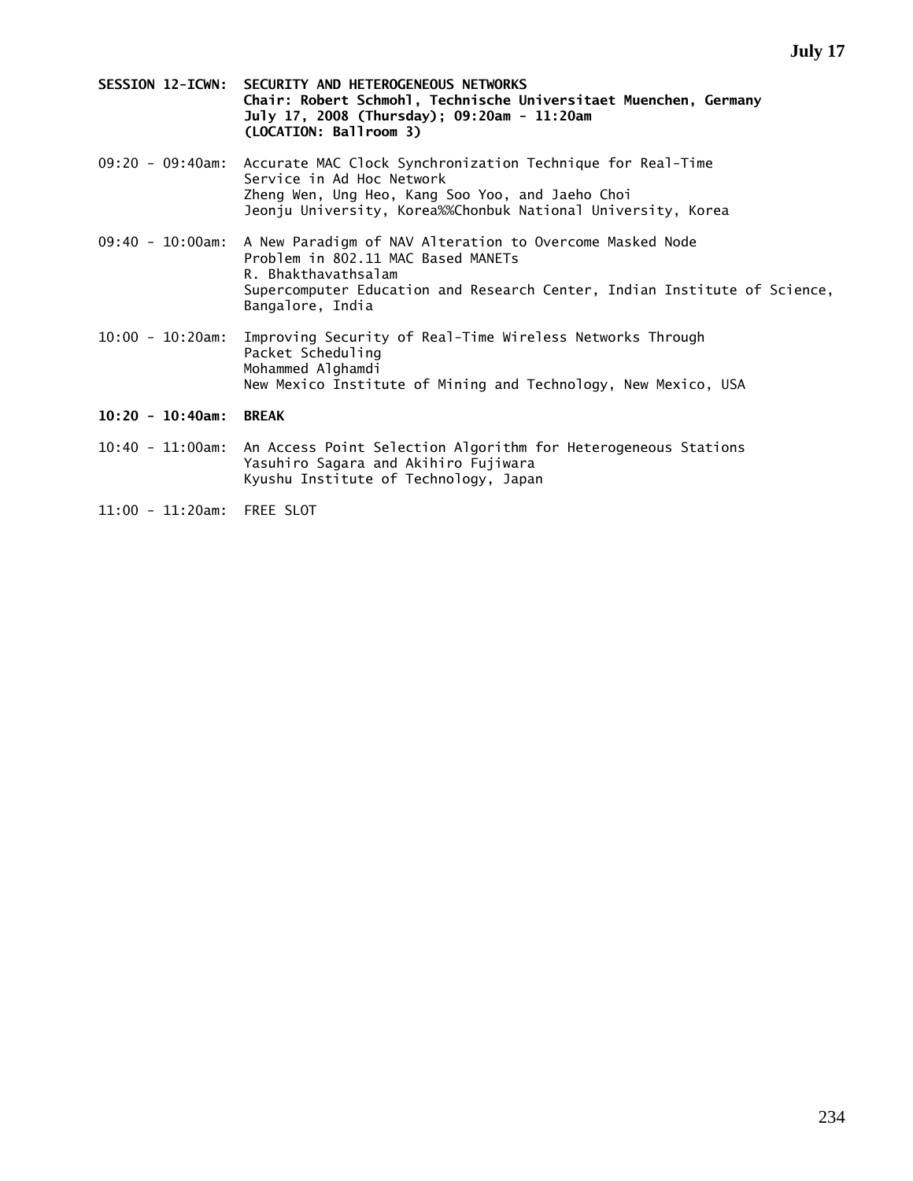- **SESSION 12-ICWN: SECURITY AND HETEROGENEOUS NETWORKS Chair: Robert Schmohl, Technische Universitaet Muenchen, Germany July 17, 2008 (Thursday); 09:20am - 11:20am (LOCATION: Ballroom 3)**
- 09:20 09:40am: Accurate MAC Clock Synchronization Technique for Real-Time Service in Ad Hoc Network Zheng Wen, Ung Heo, Kang Soo Yoo, and Jaeho Choi Jeonju University, Korea%%Chonbuk National University, Korea
- 09:40 10:00am: A New Paradigm of NAV Alteration to Overcome Masked Node Problem in 802.11 MAC Based MANETs R. Bhakthavathsalam Supercomputer Education and Research Center, Indian Institute of Science, Bangalore, India
- 10:00 10:20am: Improving Security of Real-Time Wireless Networks Through Packet Scheduling Mohammed Alghamdi New Mexico Institute of Mining and Technology, New Mexico, USA
- **10:20 10:40am: BREAK**
- 10:40 11:00am: An Access Point Selection Algorithm for Heterogeneous Stations Yasuhiro Sagara and Akihiro Fujiwara Kyushu Institute of Technology, Japan
- 11:00 11:20am: FREE SLOT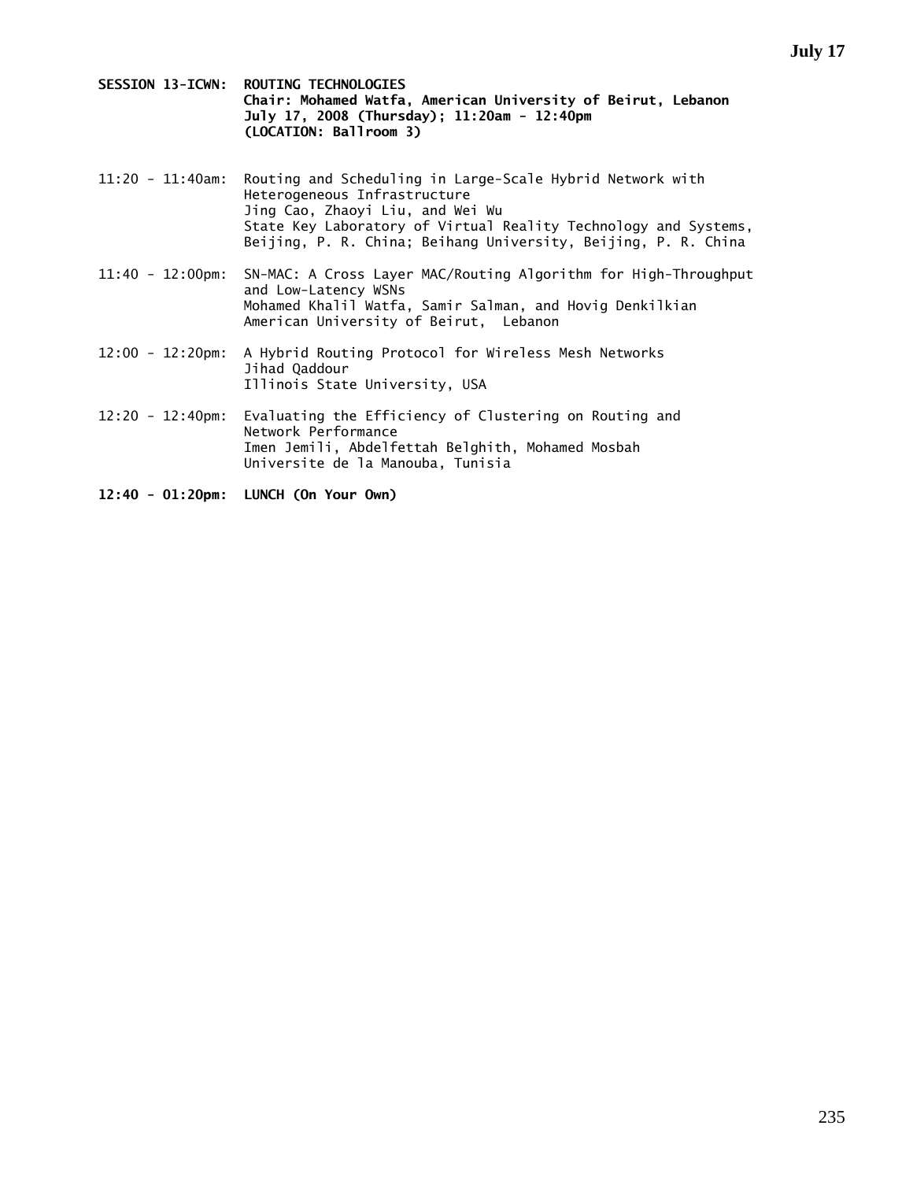**SESSION 13-ICWN: ROUTING TECHNOLOGIES Chair: Mohamed Watfa, American University of Beirut, Lebanon July 17, 2008 (Thursday); 11:20am - 12:40pm (LOCATION: Ballroom 3)** 

- 11:20 11:40am: Routing and Scheduling in Large-Scale Hybrid Network with Heterogeneous Infrastructure Jing Cao, Zhaoyi Liu, and Wei Wu State Key Laboratory of Virtual Reality Technology and Systems, Beijing, P. R. China; Beihang University, Beijing, P. R. China
- 11:40 12:00pm: SN-MAC: A Cross Layer MAC/Routing Algorithm for High-Throughput and Low-Latency WSNs Mohamed Khalil Watfa, Samir Salman, and Hovig Denkilkian American University of Beirut, Lebanon
- 12:00 12:20pm: A Hybrid Routing Protocol for Wireless Mesh Networks Jihad Qaddour Illinois State University, USA
- 12:20 12:40pm: Evaluating the Efficiency of Clustering on Routing and Network Performance Imen Jemili, Abdelfettah Belghith, Mohamed Mosbah Universite de la Manouba, Tunisia
- **12:40 01:20pm: LUNCH (On Your Own)**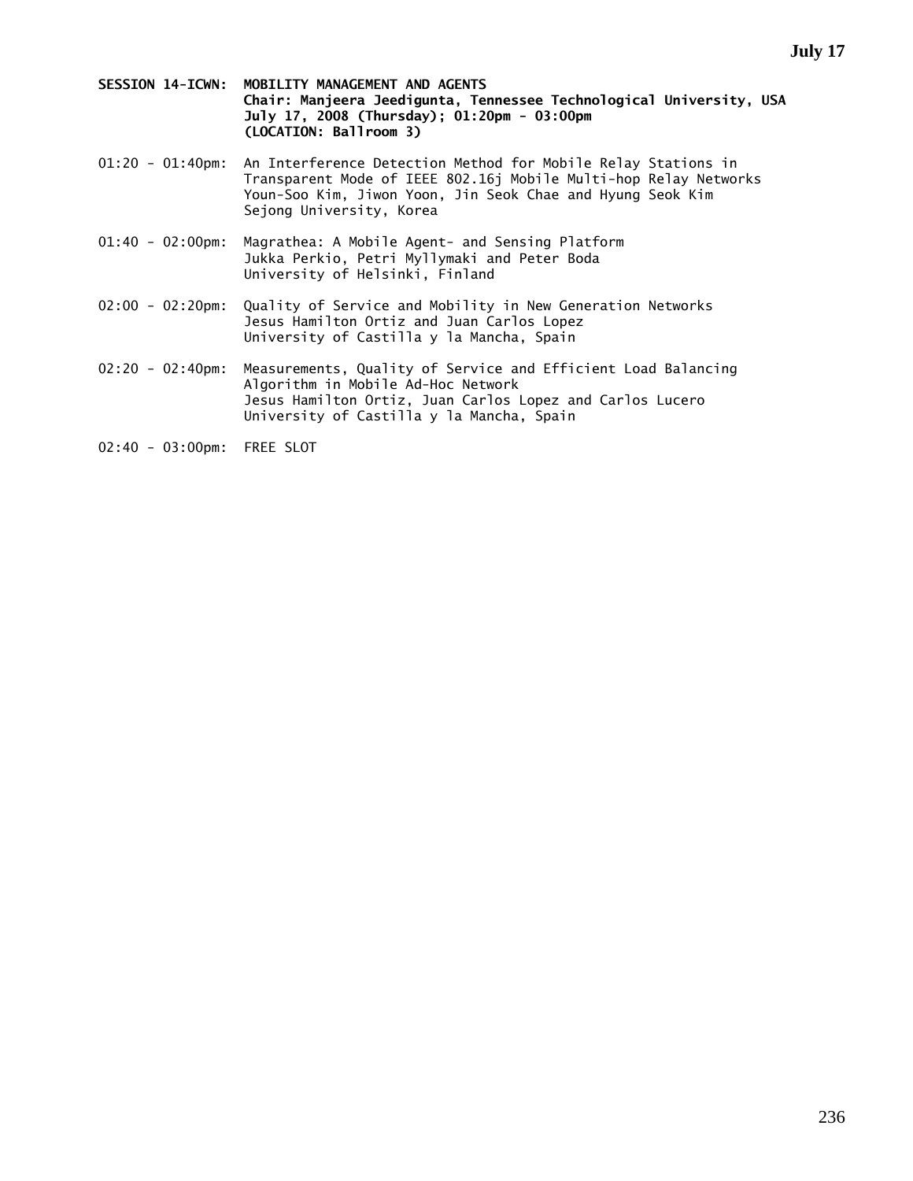- **SESSION 14-ICWN: MOBILITY MANAGEMENT AND AGENTS Chair: Manjeera Jeedigunta, Tennessee Technological University, USA July 17, 2008 (Thursday); 01:20pm - 03:00pm (LOCATION: Ballroom 3)**
- 01:20 01:40pm: An Interference Detection Method for Mobile Relay Stations in Transparent Mode of IEEE 802.16j Mobile Multi-hop Relay Networks Youn-Soo Kim, Jiwon Yoon, Jin Seok Chae and Hyung Seok Kim Sejong University, Korea
- 01:40 02:00pm: Magrathea: A Mobile Agent- and Sensing Platform Jukka Perkio, Petri Myllymaki and Peter Boda University of Helsinki, Finland
- 02:00 02:20pm: Quality of Service and Mobility in New Generation Networks Jesus Hamilton Ortiz and Juan Carlos Lopez University of Castilla y la Mancha, Spain
- 02:20 02:40pm: Measurements, Quality of Service and Efficient Load Balancing Algorithm in Mobile Ad-Hoc Network Jesus Hamilton Ortiz, Juan Carlos Lopez and Carlos Lucero University of Castilla y la Mancha, Spain
- 02:40 03:00pm: FREE SLOT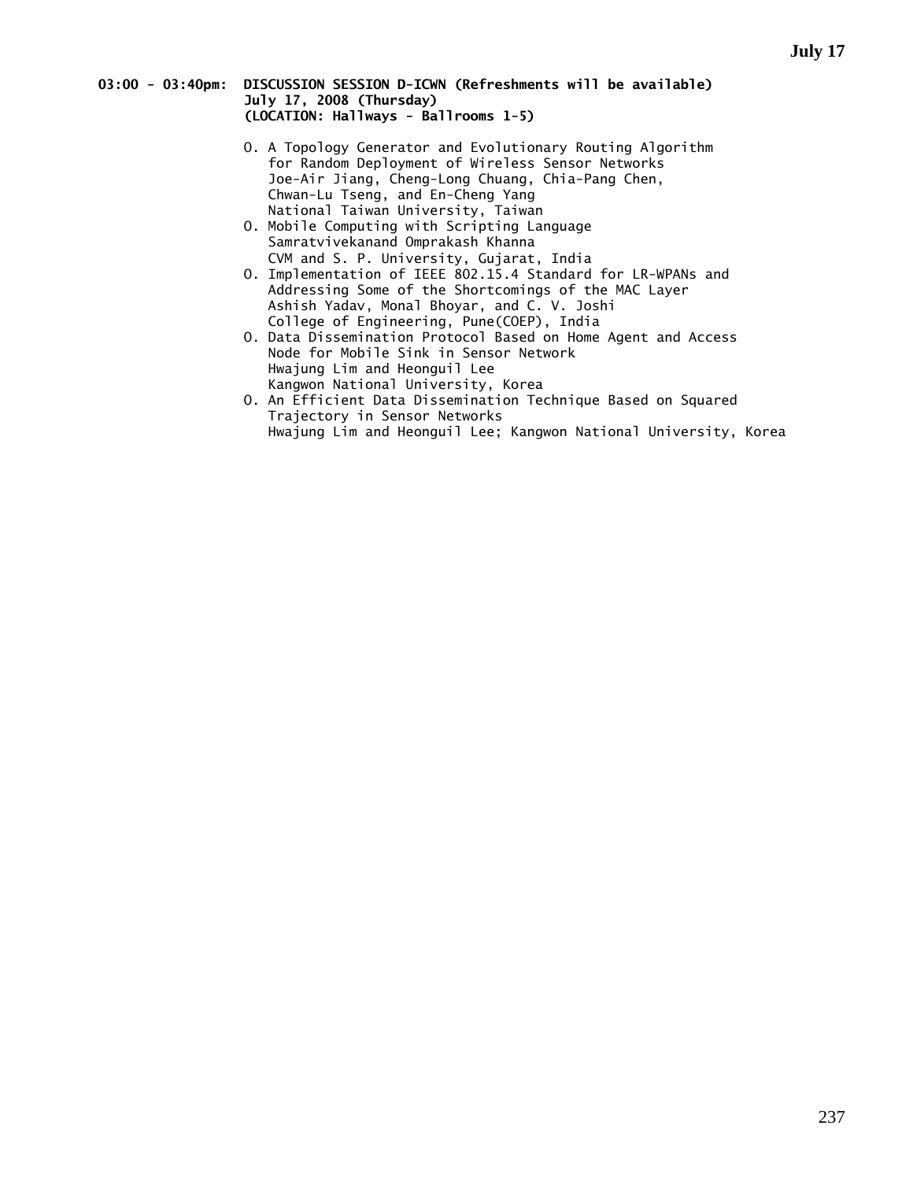# **03:00 - 03:40pm: DISCUSSION SESSION D-ICWN (Refreshments will be available) July 17, 2008 (Thursday) (LOCATION: Hallways - Ballrooms 1-5)**

- O. A Topology Generator and Evolutionary Routing Algorithm for Random Deployment of Wireless Sensor Networks Joe-Air Jiang, Cheng-Long Chuang, Chia-Pang Chen, Chwan-Lu Tseng, and En-Cheng Yang National Taiwan University, Taiwan
- O. Mobile Computing with Scripting Language Samratvivekanand Omprakash Khanna CVM and S. P. University, Gujarat, India
- O. Implementation of IEEE 802.15.4 Standard for LR-WPANs and Addressing Some of the Shortcomings of the MAC Layer Ashish Yadav, Monal Bhoyar, and C. V. Joshi College of Engineering, Pune(COEP), India
- O. Data Dissemination Protocol Based on Home Agent and Access Node for Mobile Sink in Sensor Network Hwajung Lim and Heonguil Lee Kangwon National University, Korea
- O. An Efficient Data Dissemination Technique Based on Squared Trajectory in Sensor Networks Hwajung Lim and Heonguil Lee; Kangwon National University, Korea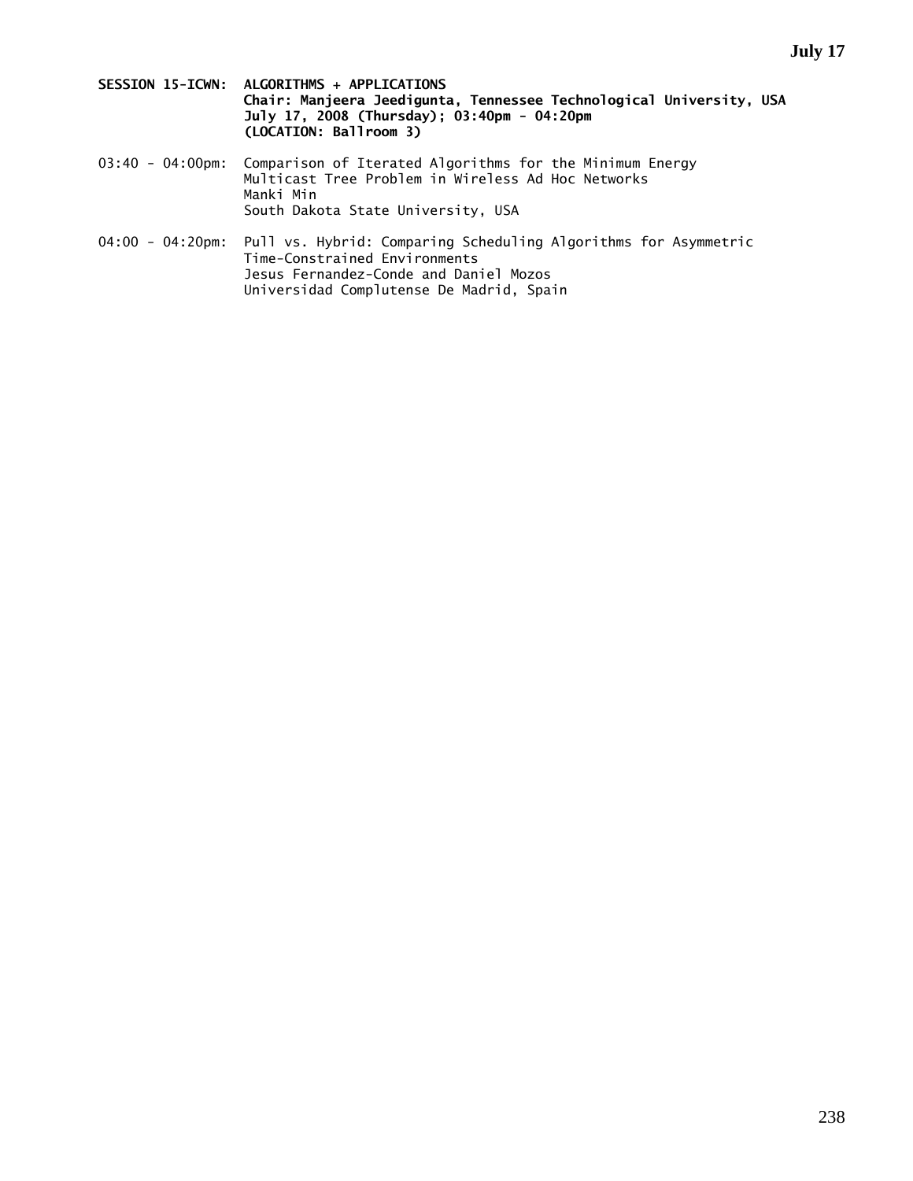- **SESSION 15-ICWN: ALGORITHMS + APPLICATIONS Chair: Manjeera Jeedigunta, Tennessee Technological University, USA July 17, 2008 (Thursday); 03:40pm - 04:20pm (LOCATION: Ballroom 3)**
- 03:40 04:00pm: Comparison of Iterated Algorithms for the Minimum Energy Multicast Tree Problem in Wireless Ad Hoc Networks Manki Min South Dakota State University, USA
- 04:00 04:20pm: Pull vs. Hybrid: Comparing Scheduling Algorithms for Asymmetric Time-Constrained Environments Jesus Fernandez-Conde and Daniel Mozos Universidad Complutense De Madrid, Spain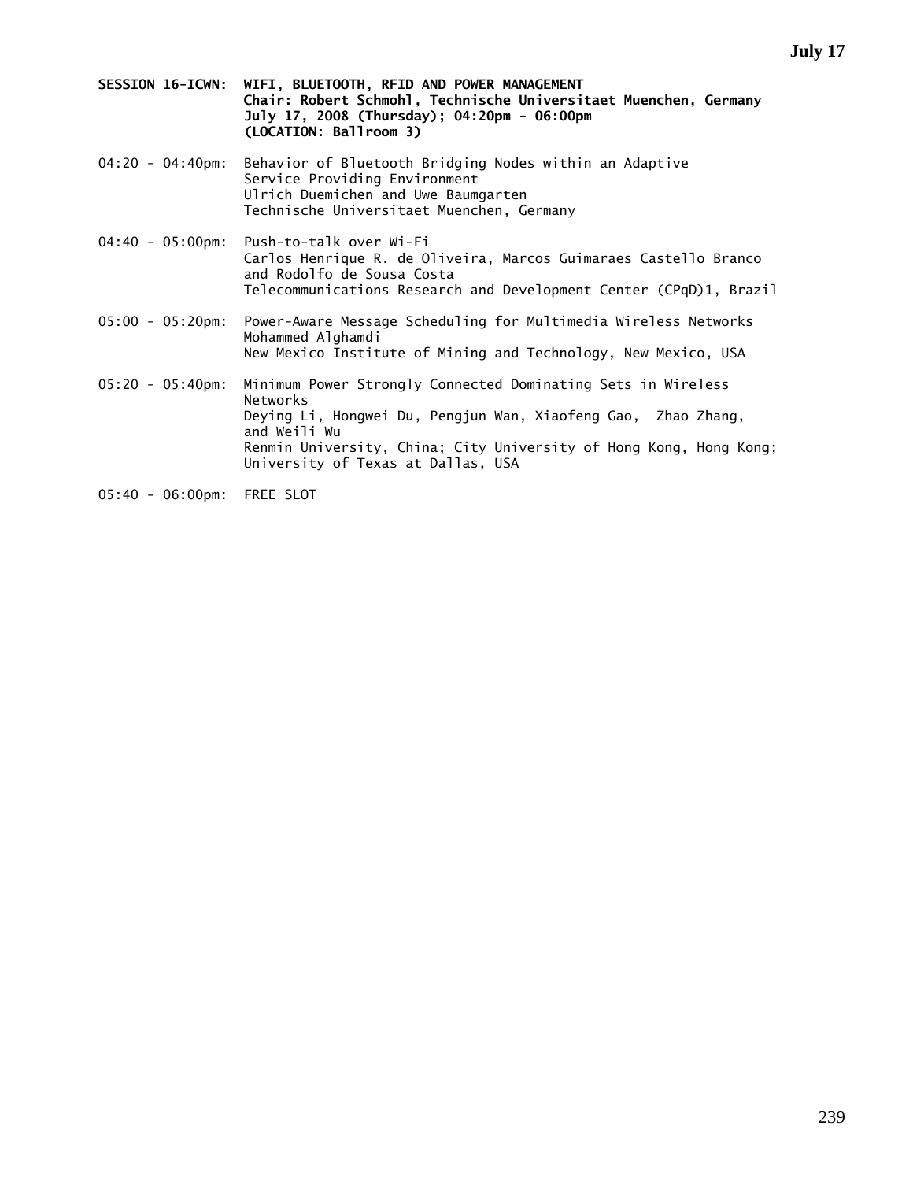- **SESSION 16-ICWN: WIFI, BLUETOOTH, RFID AND POWER MANAGEMENT Chair: Robert Schmohl, Technische Universitaet Muenchen, Germany July 17, 2008 (Thursday); 04:20pm - 06:00pm (LOCATION: Ballroom 3)**
- 04:20 04:40pm: Behavior of Bluetooth Bridging Nodes within an Adaptive Service Providing Environment Ulrich Duemichen and Uwe Baumgarten Technische Universitaet Muenchen, Germany
- 04:40 05:00pm: Push-to-talk over Wi-Fi Carlos Henrique R. de Oliveira, Marcos Guimaraes Castello Branco and Rodolfo de Sousa Costa Telecommunications Research and Development Center (CPqD)1, Brazil
- 05:00 05:20pm: Power-Aware Message Scheduling for Multimedia Wireless Networks Mohammed Alghamdi New Mexico Institute of Mining and Technology, New Mexico, USA
- 05:20 05:40pm: Minimum Power Strongly Connected Dominating Sets in Wireless Networks Deying Li, Hongwei Du, Pengjun Wan, Xiaofeng Gao, Zhao Zhang, and Weili Wu Renmin University, China; City University of Hong Kong, Hong Kong; University of Texas at Dallas, USA
- 05:40 06:00pm: FREE SLOT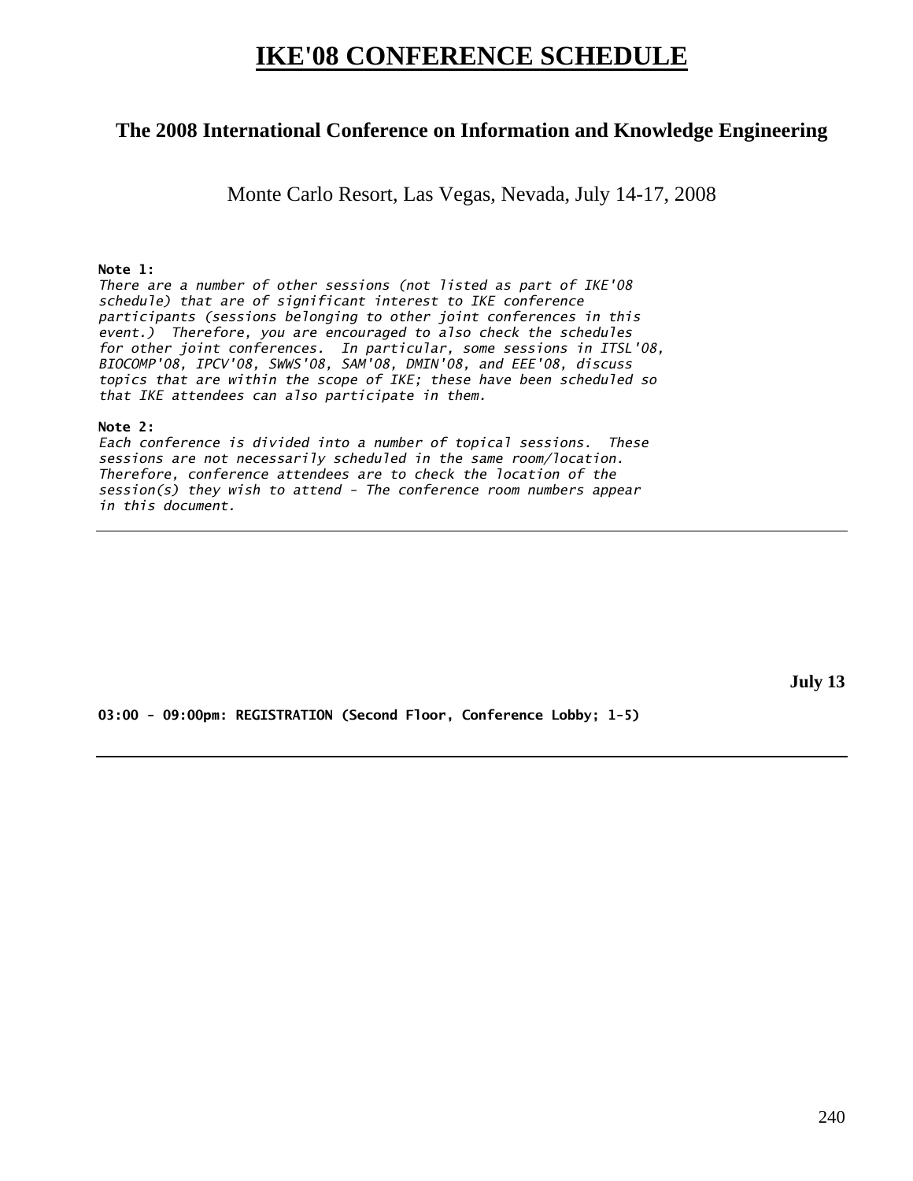# **IKE'08 CONFERENCE SCHEDULE**

# **The 2008 International Conference on Information and Knowledge Engineering**

Monte Carlo Resort, Las Vegas, Nevada, July 14-17, 2008

# **Note 1:**

*There are a number of other sessions (not listed as part of IKE'08 schedule) that are of significant interest to IKE conference participants (sessions belonging to other joint conferences in this event.) Therefore, you are encouraged to also check the schedules for other joint conferences. In particular, some sessions in ITSL'08, BIOCOMP'08, IPCV'08, SWWS'08, SAM'08, DMIN'08, and EEE'08, discuss topics that are within the scope of IKE; these have been scheduled so that IKE attendees can also participate in them.* 

# **Note 2:**

*Each conference is divided into a number of topical sessions. These sessions are not necessarily scheduled in the same room/location. Therefore, conference attendees are to check the location of the session(s) they wish to attend - The conference room numbers appear in this document.* 

**July 13** 

**03:00 - 09:00pm: REGISTRATION (Second Floor, Conference Lobby; 1-5)**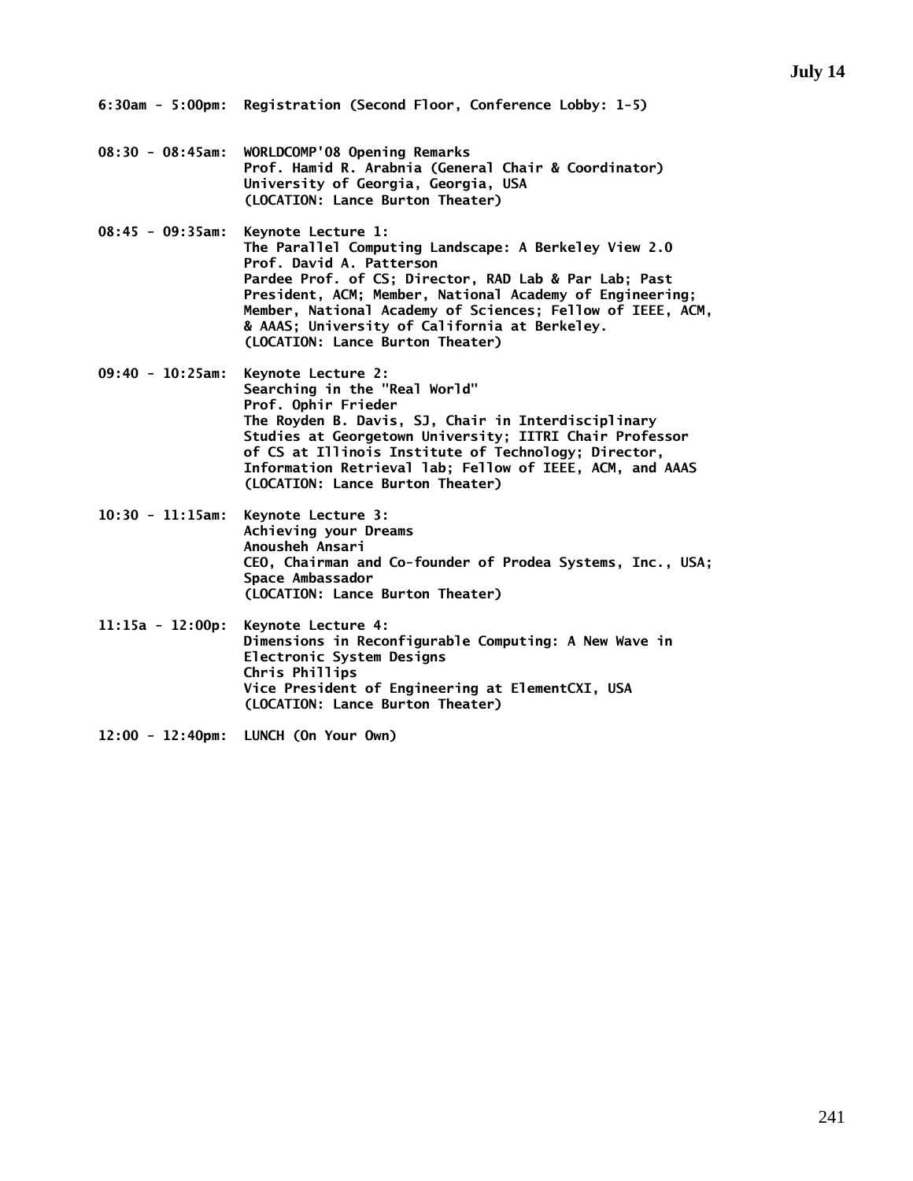- **08:30 08:45am: WORLDCOMP'08 Opening Remarks Prof. Hamid R. Arabnia (General Chair & Coordinator) University of Georgia, Georgia, USA (LOCATION: Lance Burton Theater)**
- **08:45 09:35am: Keynote Lecture 1: The Parallel Computing Landscape: A Berkeley View 2.0 Prof. David A. Patterson Pardee Prof. of CS; Director, RAD Lab & Par Lab; Past President, ACM; Member, National Academy of Engineering; Member, National Academy of Sciences; Fellow of IEEE, ACM, & AAAS; University of California at Berkeley. (LOCATION: Lance Burton Theater)**
- **09:40 10:25am: Keynote Lecture 2: Searching in the "Real World" Prof. Ophir Frieder The Royden B. Davis, SJ, Chair in Interdisciplinary Studies at Georgetown University; IITRI Chair Professor of CS at Illinois Institute of Technology; Director, Information Retrieval lab; Fellow of IEEE, ACM, and AAAS (LOCATION: Lance Burton Theater)**
- **10:30 11:15am: Keynote Lecture 3: Achieving your Dreams Anousheh Ansari CEO, Chairman and Co-founder of Prodea Systems, Inc., USA; Space Ambassador (LOCATION: Lance Burton Theater)**
- **11:15a 12:00p: Keynote Lecture 4: Dimensions in Reconfigurable Computing: A New Wave in Electronic System Designs Chris Phillips Vice President of Engineering at ElementCXI, USA (LOCATION: Lance Burton Theater)**
- **12:00 12:40pm: LUNCH (On Your Own)**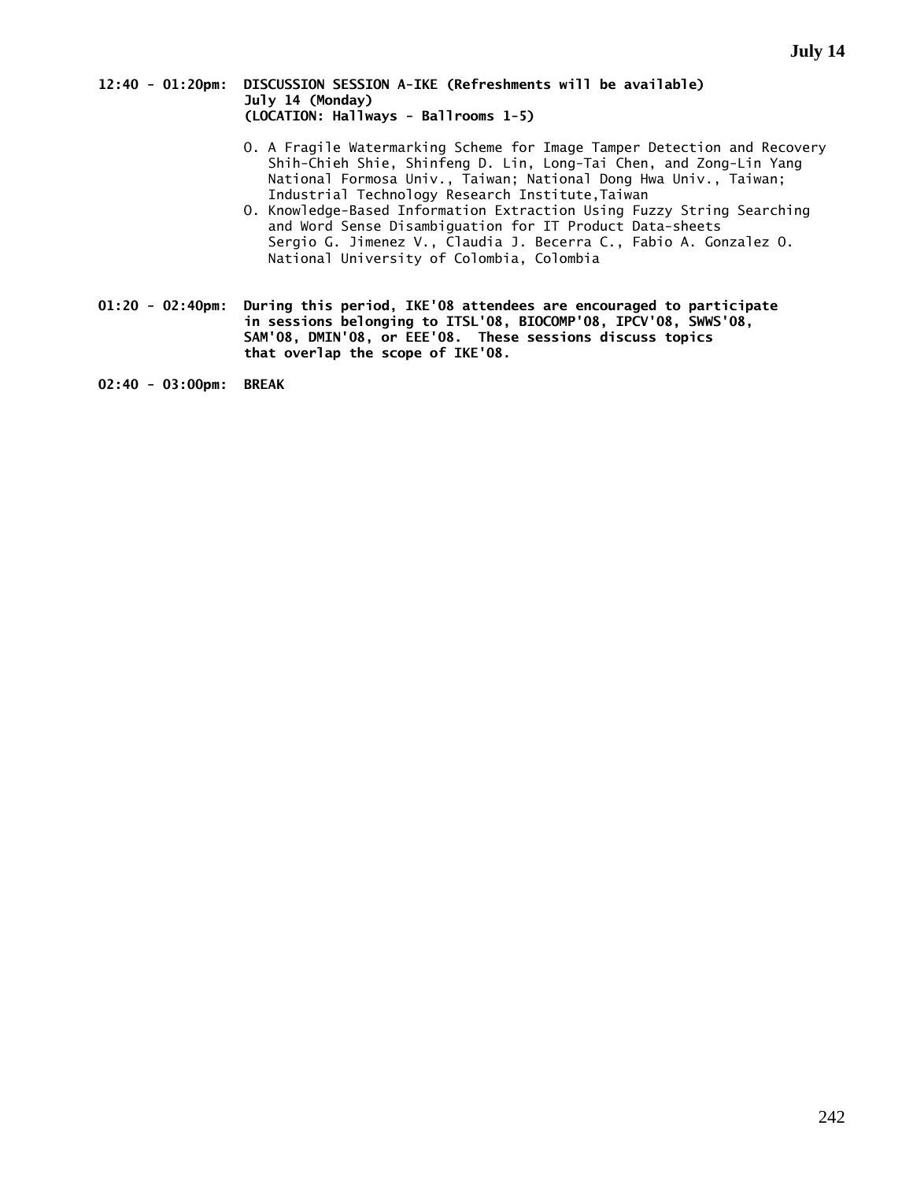# **12:40 - 01:20pm: DISCUSSION SESSION A-IKE (Refreshments will be available) July 14 (Monday) (LOCATION: Hallways - Ballrooms 1-5)**

- O. A Fragile Watermarking Scheme for Image Tamper Detection and Recovery Shih-Chieh Shie, Shinfeng D. Lin, Long-Tai Chen, and Zong-Lin Yang National Formosa Univ., Taiwan; National Dong Hwa Univ., Taiwan; Industrial Technology Research Institute,Taiwan
- O. Knowledge-Based Information Extraction Using Fuzzy String Searching and Word Sense Disambiguation for IT Product Data-sheets Sergio G. Jimenez V., Claudia J. Becerra C., Fabio A. Gonzalez O. National University of Colombia, Colombia
- **01:20 02:40pm: During this period, IKE'08 attendees are encouraged to participate in sessions belonging to ITSL'08, BIOCOMP'08, IPCV'08, SWWS'08, SAM'08, DMIN'08, or EEE'08. These sessions discuss topics that overlap the scope of IKE'08.**

**02:40 - 03:00pm: BREAK**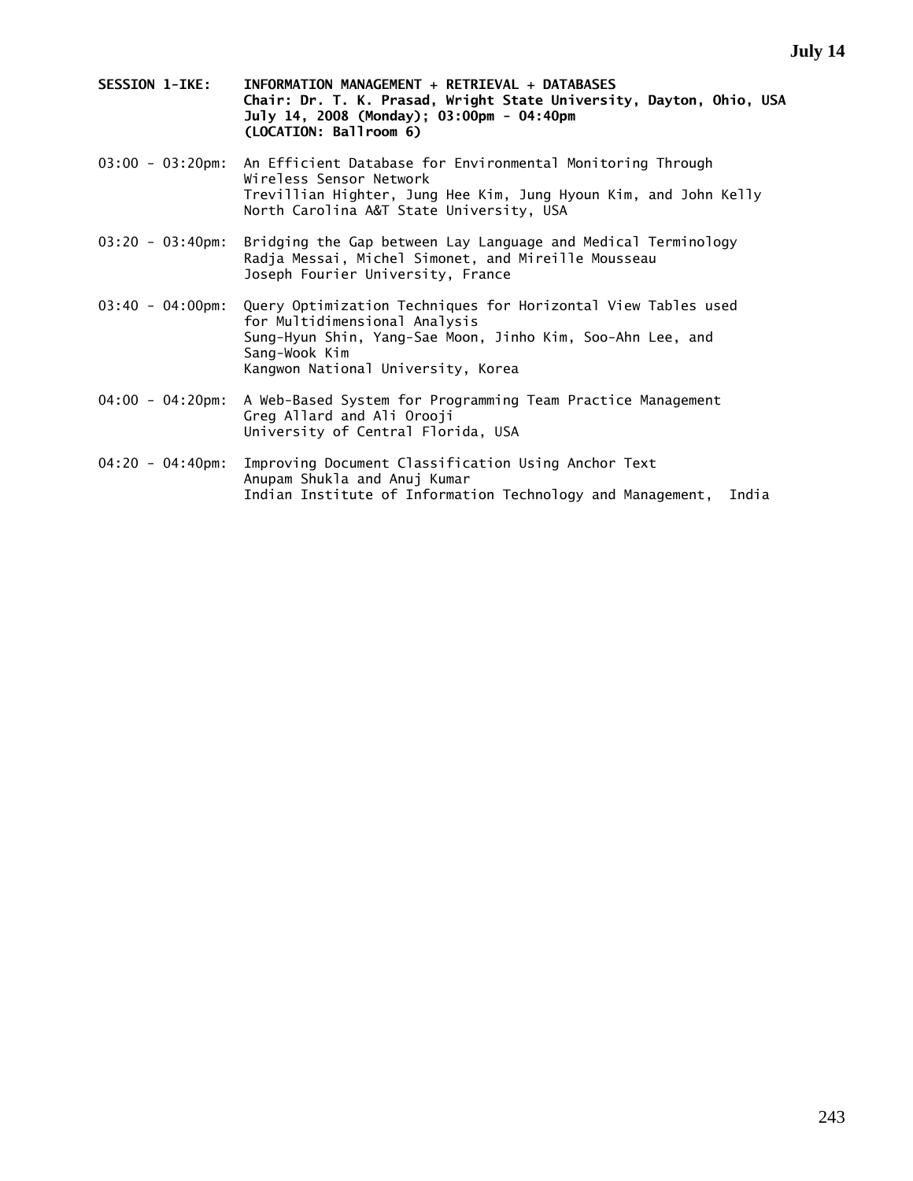- **SESSION 1-IKE: INFORMATION MANAGEMENT + RETRIEVAL + DATABASES Chair: Dr. T. K. Prasad, Wright State University, Dayton, Ohio, USA July 14, 2008 (Monday); 03:00pm - 04:40pm (LOCATION: Ballroom 6)**
- 03:00 03:20pm: An Efficient Database for Environmental Monitoring Through Wireless Sensor Network Trevillian Highter, Jung Hee Kim, Jung Hyoun Kim, and John Kelly North Carolina A&T State University, USA
- 03:20 03:40pm: Bridging the Gap between Lay Language and Medical Terminology Radja Messai, Michel Simonet, and Mireille Mousseau Joseph Fourier University, France
- 03:40 04:00pm: Query Optimization Techniques for Horizontal View Tables used for Multidimensional Analysis Sung-Hyun Shin, Yang-Sae Moon, Jinho Kim, Soo-Ahn Lee, and Sang-Wook Kim Kangwon National University, Korea
- 04:00 04:20pm: A Web-Based System for Programming Team Practice Management Greg Allard and Ali Orooji University of Central Florida, USA
- 04:20 04:40pm: Improving Document Classification Using Anchor Text Anupam Shukla and Anuj Kumar Indian Institute of Information Technology and Management, India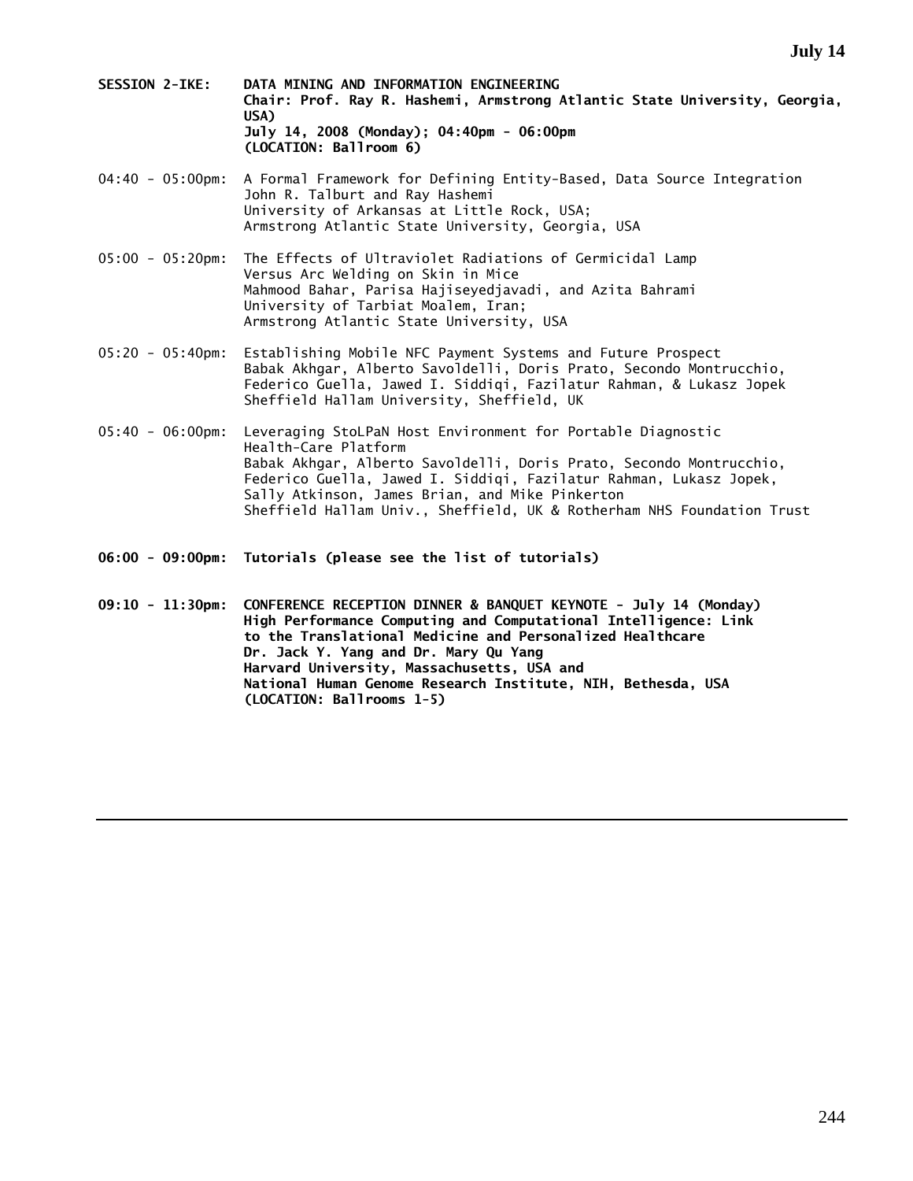- **SESSION 2-IKE: DATA MINING AND INFORMATION ENGINEERING Chair: Prof. Ray R. Hashemi, Armstrong Atlantic State University, Georgia, USA) July 14, 2008 (Monday); 04:40pm - 06:00pm (LOCATION: Ballroom 6)**
- 04:40 05:00pm: A Formal Framework for Defining Entity-Based, Data Source Integration John R. Talburt and Ray Hashemi University of Arkansas at Little Rock, USA; Armstrong Atlantic State University, Georgia, USA
- 05:00 05:20pm: The Effects of Ultraviolet Radiations of Germicidal Lamp Versus Arc Welding on Skin in Mice Mahmood Bahar, Parisa Hajiseyedjavadi, and Azita Bahrami University of Tarbiat Moalem, Iran; Armstrong Atlantic State University, USA
- 05:20 05:40pm: Establishing Mobile NFC Payment Systems and Future Prospect Babak Akhgar, Alberto Savoldelli, Doris Prato, Secondo Montrucchio, Federico Guella, Jawed I. Siddiqi, Fazilatur Rahman, & Lukasz Jopek Sheffield Hallam University, Sheffield, UK
- 05:40 06:00pm: Leveraging StoLPaN Host Environment for Portable Diagnostic Health-Care Platform Babak Akhgar, Alberto Savoldelli, Doris Prato, Secondo Montrucchio, Federico Guella, Jawed I. Siddiqi, Fazilatur Rahman, Lukasz Jopek, Sally Atkinson, James Brian, and Mike Pinkerton Sheffield Hallam Univ., Sheffield, UK & Rotherham NHS Foundation Trust
- **06:00 09:00pm: Tutorials (please see the list of tutorials)**
- **09:10 11:30pm: CONFERENCE RECEPTION DINNER & BANQUET KEYNOTE July 14 (Monday) High Performance Computing and Computational Intelligence: Link to the Translational Medicine and Personalized Healthcare Dr. Jack Y. Yang and Dr. Mary Qu Yang Harvard University, Massachusetts, USA and National Human Genome Research Institute, NIH, Bethesda, USA (LOCATION: Ballrooms 1-5)**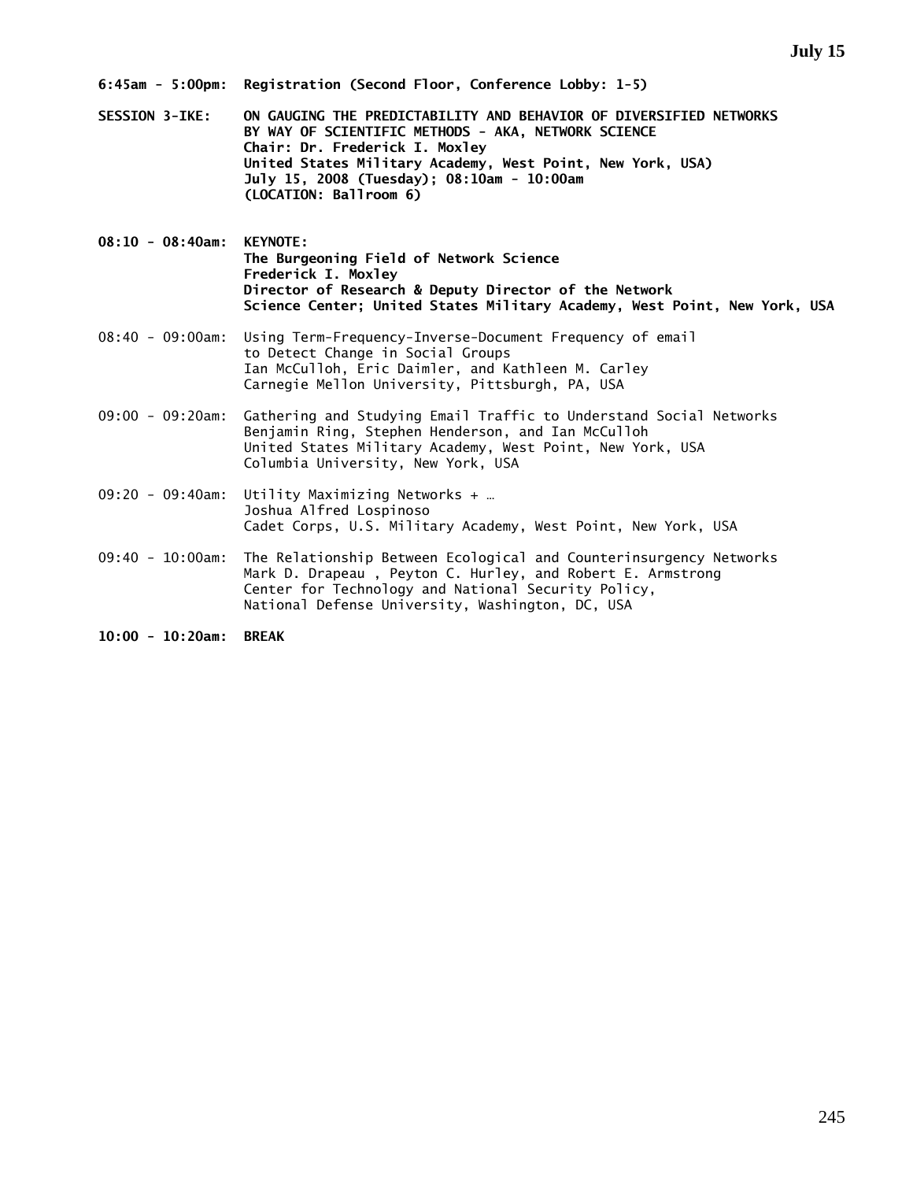- **SESSION 3-IKE: ON GAUGING THE PREDICTABILITY AND BEHAVIOR OF DIVERSIFIED NETWORKS BY WAY OF SCIENTIFIC METHODS - AKA, NETWORK SCIENCE Chair: Dr. Frederick I. Moxley United States Military Academy, West Point, New York, USA) July 15, 2008 (Tuesday); 08:10am - 10:00am (LOCATION: Ballroom 6)**
- **08:10 08:40am: KEYNOTE: The Burgeoning Field of Network Science Frederick I. Moxley Director of Research & Deputy Director of the Network Science Center; United States Military Academy, West Point, New York, USA**
- 08:40 09:00am: Using Term-Frequency-Inverse-Document Frequency of email to Detect Change in Social Groups Ian McCulloh, Eric Daimler, and Kathleen M. Carley Carnegie Mellon University, Pittsburgh, PA, USA
- 09:00 09:20am: Gathering and Studying Email Traffic to Understand Social Networks Benjamin Ring, Stephen Henderson, and Ian McCulloh United States Military Academy, West Point, New York, USA Columbia University, New York, USA
- 09:20 09:40am: Utility Maximizing Networks + … Joshua Alfred Lospinoso Cadet Corps, U.S. Military Academy, West Point, New York, USA
- 09:40 10:00am: The Relationship Between Ecological and Counterinsurgency Networks Mark D. Drapeau , Peyton C. Hurley, and Robert E. Armstrong Center for Technology and National Security Policy, National Defense University, Washington, DC, USA

**10:00 - 10:20am: BREAK**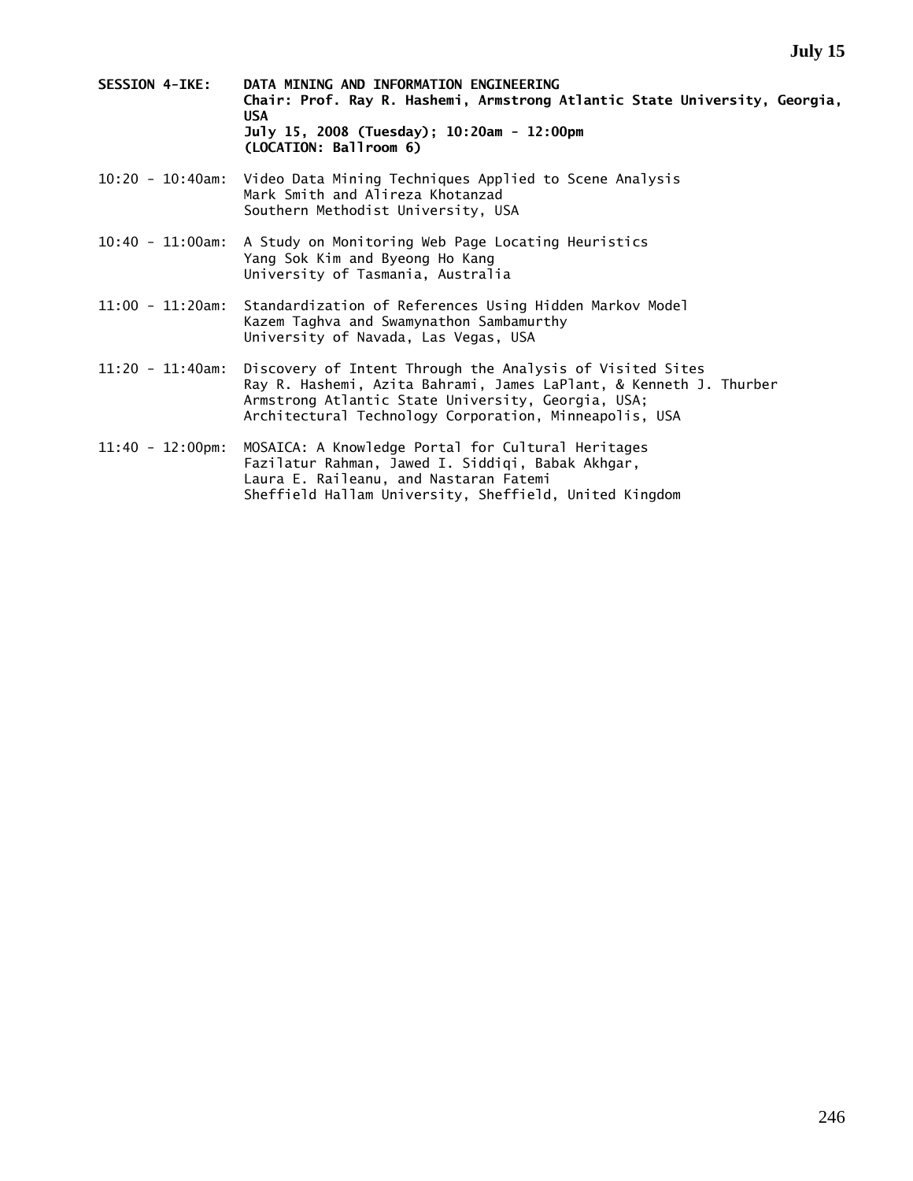- **SESSION 4-IKE: DATA MINING AND INFORMATION ENGINEERING Chair: Prof. Ray R. Hashemi, Armstrong Atlantic State University, Georgia, USA July 15, 2008 (Tuesday); 10:20am - 12:00pm (LOCATION: Ballroom 6)**
- 10:20 10:40am: Video Data Mining Techniques Applied to Scene Analysis Mark Smith and Alireza Khotanzad Southern Methodist University, USA
- 10:40 11:00am: A Study on Monitoring Web Page Locating Heuristics Yang Sok Kim and Byeong Ho Kang University of Tasmania, Australia
- 11:00 11:20am: Standardization of References Using Hidden Markov Model Kazem Taghva and Swamynathon Sambamurthy University of Navada, Las Vegas, USA
- 11:20 11:40am: Discovery of Intent Through the Analysis of Visited Sites Ray R. Hashemi, Azita Bahrami, James LaPlant, & Kenneth J. Thurber Armstrong Atlantic State University, Georgia, USA; Architectural Technology Corporation, Minneapolis, USA
- 11:40 12:00pm: MOSAICA: A Knowledge Portal for Cultural Heritages Fazilatur Rahman, Jawed I. Siddiqi, Babak Akhgar, Laura E. Raileanu, and Nastaran Fatemi Sheffield Hallam University, Sheffield, United Kingdom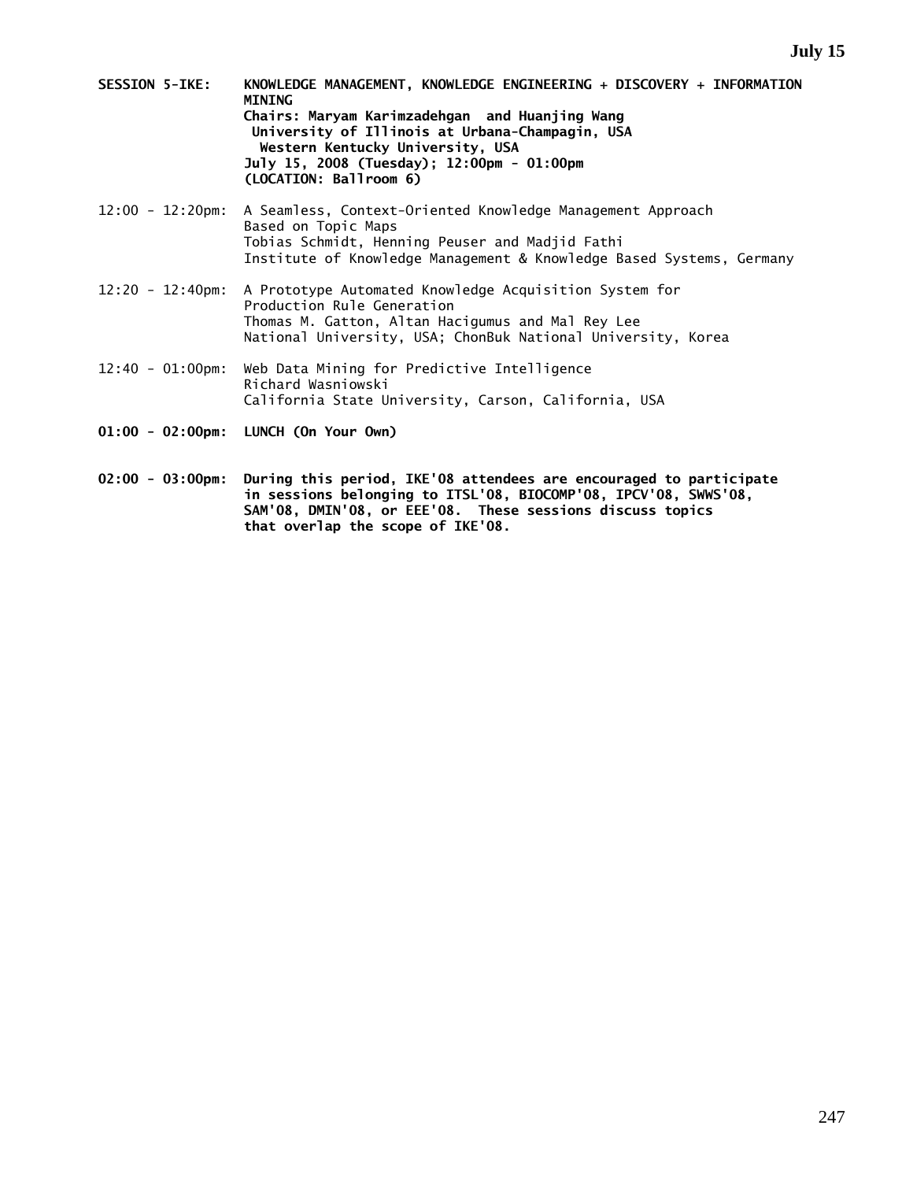- **SESSION 5-IKE: KNOWLEDGE MANAGEMENT, KNOWLEDGE ENGINEERING + DISCOVERY + INFORMATION MINING Chairs: Maryam Karimzadehgan and Huanjing Wang University of Illinois at Urbana-Champagin, USA Western Kentucky University, USA July 15, 2008 (Tuesday); 12:00pm - 01:00pm (LOCATION: Ballroom 6)**
- 12:00 12:20pm: A Seamless, Context-Oriented Knowledge Management Approach Based on Topic Maps Tobias Schmidt, Henning Peuser and Madjid Fathi Institute of Knowledge Management & Knowledge Based Systems, Germany
- 12:20 12:40pm: A Prototype Automated Knowledge Acquisition System for Production Rule Generation Thomas M. Gatton, Altan Hacigumus and Mal Rey Lee National University, USA; ChonBuk National University, Korea
- 12:40 01:00pm: Web Data Mining for Predictive Intelligence Richard Wasniowski California State University, Carson, California, USA
- **01:00 02:00pm: LUNCH (On Your Own)**
- **02:00 03:00pm: During this period, IKE'08 attendees are encouraged to participate in sessions belonging to ITSL'08, BIOCOMP'08, IPCV'08, SWWS'08, SAM'08, DMIN'08, or EEE'08. These sessions discuss topics that overlap the scope of IKE'08.**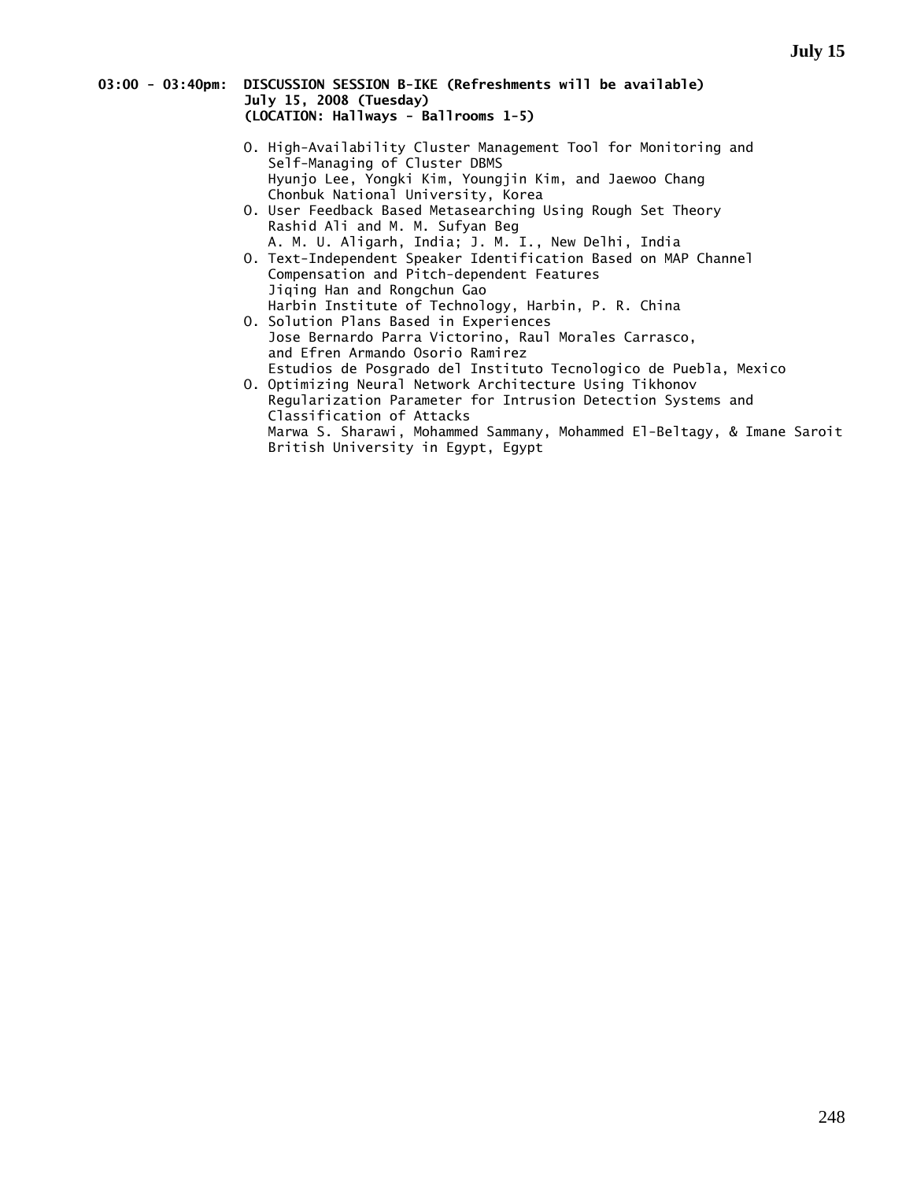# **03:00 - 03:40pm: DISCUSSION SESSION B-IKE (Refreshments will be available) July 15, 2008 (Tuesday) (LOCATION: Hallways - Ballrooms 1-5)**

- O. High-Availability Cluster Management Tool for Monitoring and Self-Managing of Cluster DBMS Hyunjo Lee, Yongki Kim, Youngjin Kim, and Jaewoo Chang Chonbuk National University, Korea
- O. User Feedback Based Metasearching Using Rough Set Theory Rashid Ali and M. M. Sufyan Beg
- A. M. U. Aligarh, India; J. M. I., New Delhi, India O. Text-Independent Speaker Identification Based on MAP Channel Compensation and Pitch-dependent Features Jiqing Han and Rongchun Gao Harbin Institute of Technology, Harbin, P. R. China
	- O. Solution Plans Based in Experiences Jose Bernardo Parra Victorino, Raul Morales Carrasco, and Efren Armando Osorio Ramirez
	- Estudios de Posgrado del Instituto Tecnologico de Puebla, Mexico O. Optimizing Neural Network Architecture Using Tikhonov Regularization Parameter for Intrusion Detection Systems and Classification of Attacks Marwa S. Sharawi, Mohammed Sammany, Mohammed El-Beltagy, & Imane Saroit British University in Egypt, Egypt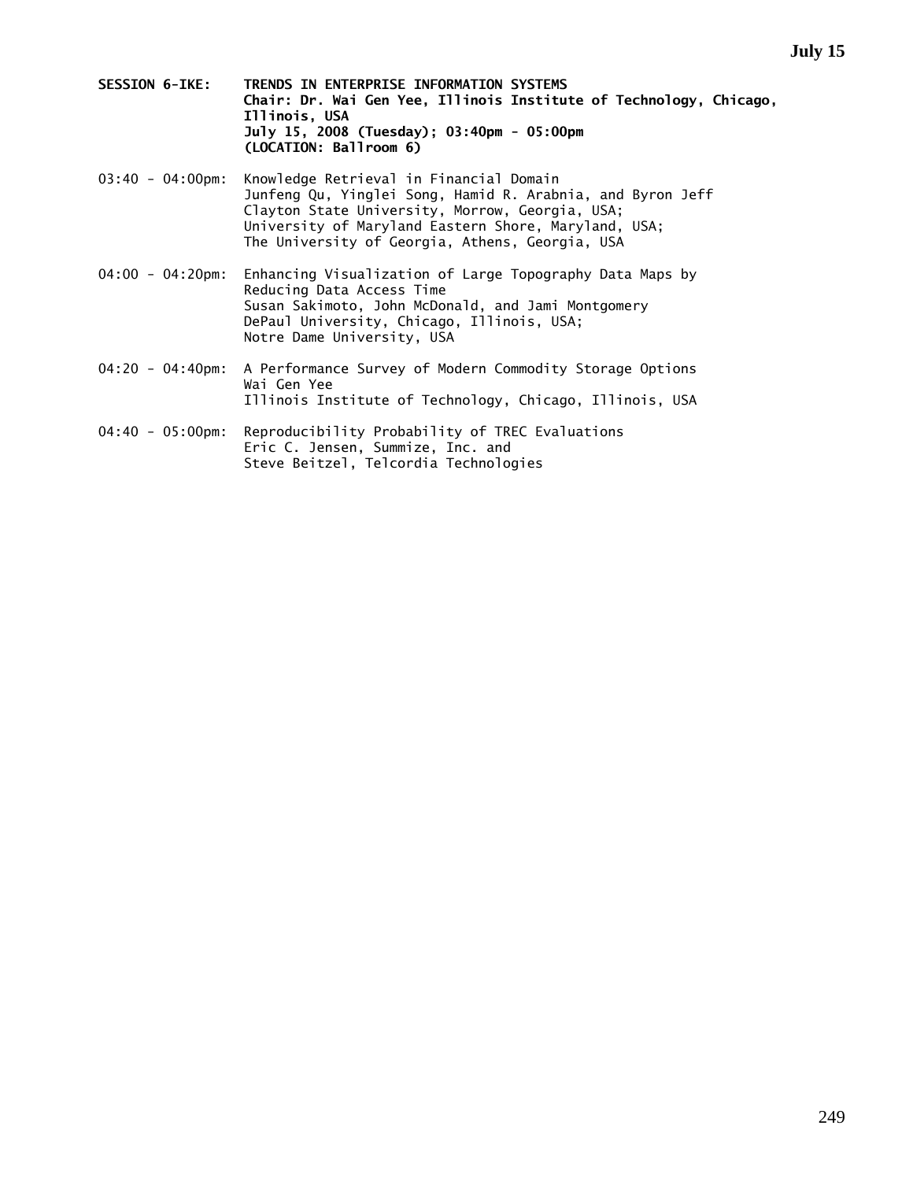- **SESSION 6-IKE: TRENDS IN ENTERPRISE INFORMATION SYSTEMS Chair: Dr. Wai Gen Yee, Illinois Institute of Technology, Chicago, Illinois, USA July 15, 2008 (Tuesday); 03:40pm - 05:00pm (LOCATION: Ballroom 6)**
- 03:40 04:00pm: Knowledge Retrieval in Financial Domain Junfeng Qu, Yinglei Song, Hamid R. Arabnia, and Byron Jeff Clayton State University, Morrow, Georgia, USA; University of Maryland Eastern Shore, Maryland, USA; The University of Georgia, Athens, Georgia, USA
- 04:00 04:20pm: Enhancing Visualization of Large Topography Data Maps by Reducing Data Access Time Susan Sakimoto, John McDonald, and Jami Montgomery DePaul University, Chicago, Illinois, USA; Notre Dame University, USA
- 04:20 04:40pm: A Performance Survey of Modern Commodity Storage Options Wai Gen Yee Illinois Institute of Technology, Chicago, Illinois, USA
- 04:40 05:00pm: Reproducibility Probability of TREC Evaluations Eric C. Jensen, Summize, Inc. and Steve Beitzel, Telcordia Technologies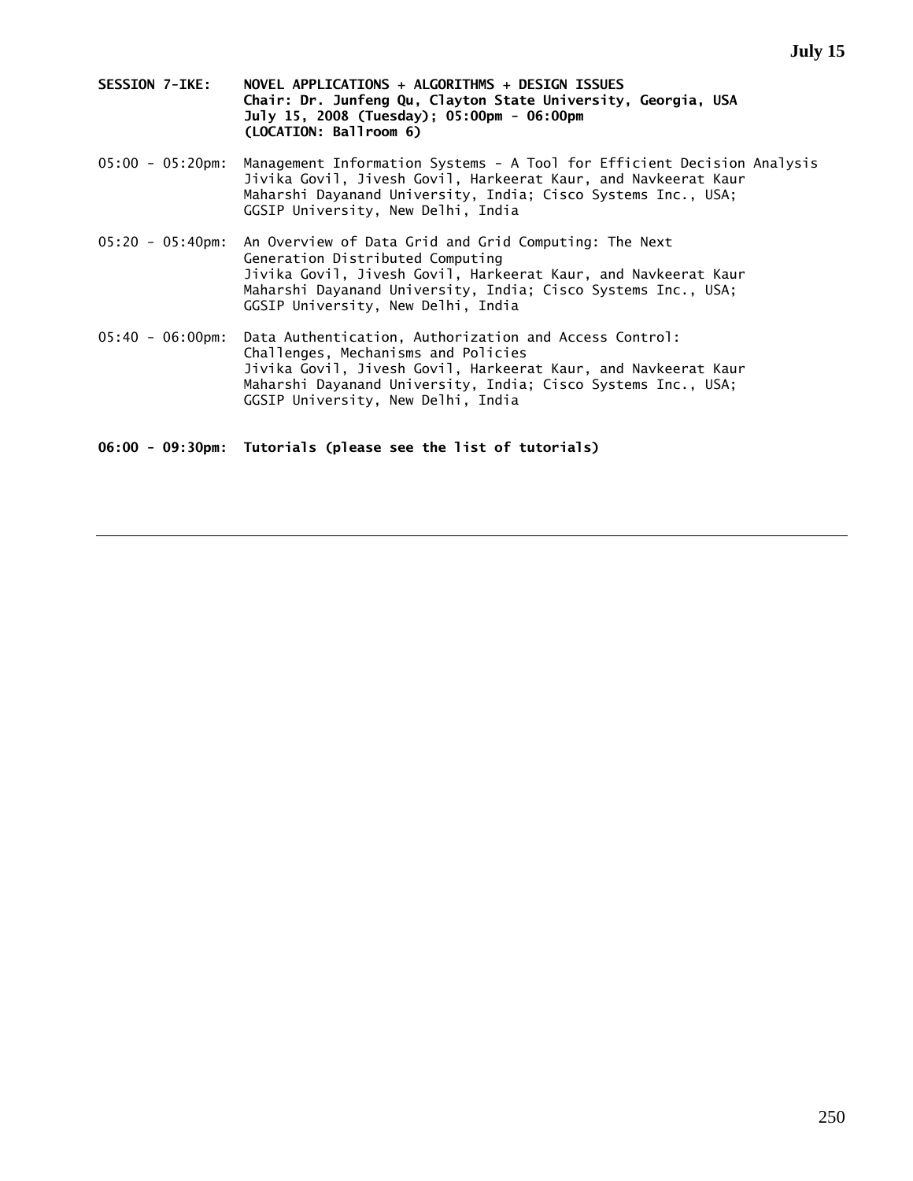- **SESSION 7-IKE: NOVEL APPLICATIONS + ALGORITHMS + DESIGN ISSUES Chair: Dr. Junfeng Qu, Clayton State University, Georgia, USA July 15, 2008 (Tuesday); 05:00pm - 06:00pm (LOCATION: Ballroom 6)**
- 05:00 05:20pm: Management Information Systems A Tool for Efficient Decision Analysis Jivika Govil, Jivesh Govil, Harkeerat Kaur, and Navkeerat Kaur Maharshi Dayanand University, India; Cisco Systems Inc., USA; GGSIP University, New Delhi, India
- 05:20 05:40pm: An Overview of Data Grid and Grid Computing: The Next Generation Distributed Computing Jivika Govil, Jivesh Govil, Harkeerat Kaur, and Navkeerat Kaur Maharshi Dayanand University, India; Cisco Systems Inc., USA; GGSIP University, New Delhi, India
- 05:40 06:00pm: Data Authentication, Authorization and Access Control: Challenges, Mechanisms and Policies Jivika Govil, Jivesh Govil, Harkeerat Kaur, and Navkeerat Kaur Maharshi Dayanand University, India; Cisco Systems Inc., USA; GGSIP University, New Delhi, India

**06:00 - 09:30pm: Tutorials (please see the list of tutorials)**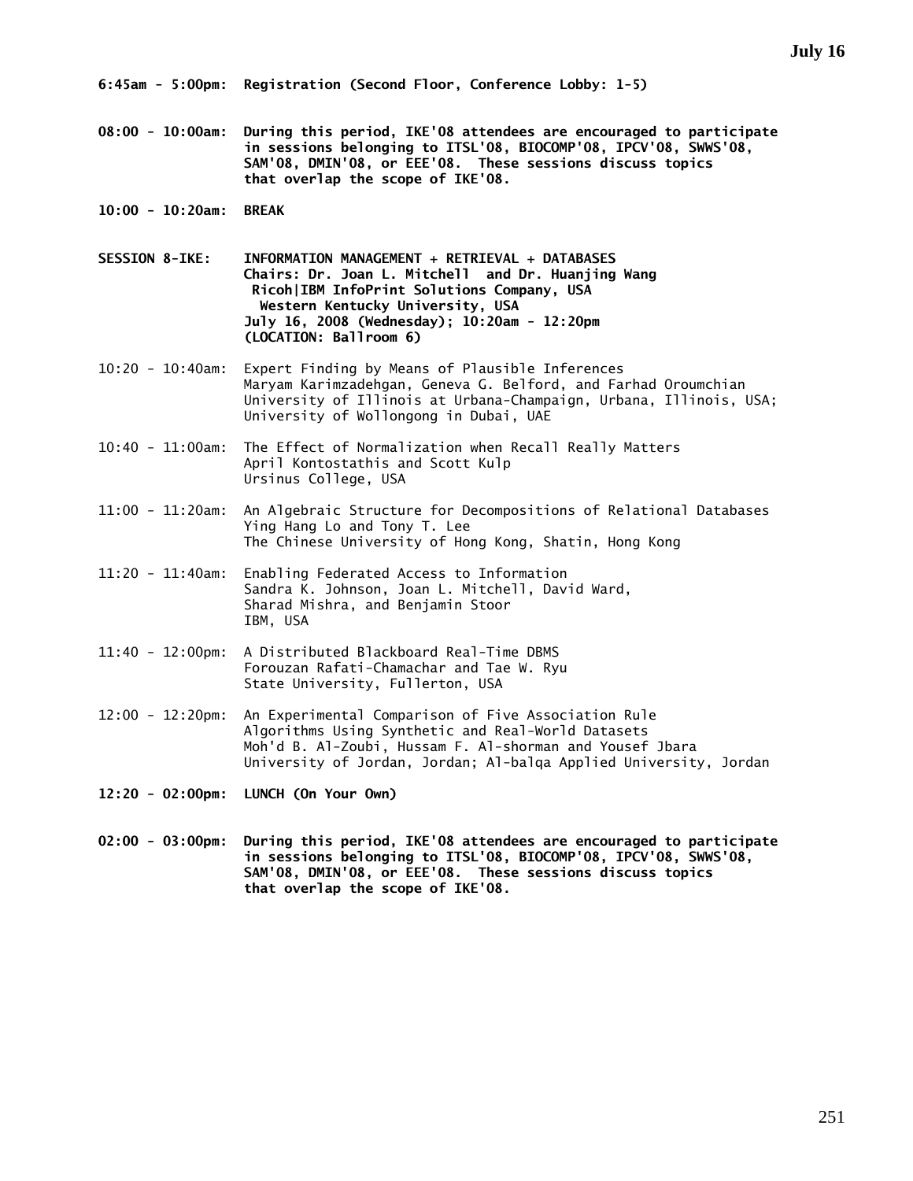**08:00 - 10:00am: During this period, IKE'08 attendees are encouraged to participate in sessions belonging to ITSL'08, BIOCOMP'08, IPCV'08, SWWS'08, SAM'08, DMIN'08, or EEE'08. These sessions discuss topics that overlap the scope of IKE'08.** 

- **10:00 10:20am: BREAK**
- **SESSION 8-IKE: INFORMATION MANAGEMENT + RETRIEVAL + DATABASES Chairs: Dr. Joan L. Mitchell and Dr. Huanjing Wang Ricoh|IBM InfoPrint Solutions Company, USA Western Kentucky University, USA July 16, 2008 (Wednesday); 10:20am - 12:20pm (LOCATION: Ballroom 6)**
- 10:20 10:40am: Expert Finding by Means of Plausible Inferences Maryam Karimzadehgan, Geneva G. Belford, and Farhad Oroumchian University of Illinois at Urbana-Champaign, Urbana, Illinois, USA; University of Wollongong in Dubai, UAE
- 10:40 11:00am: The Effect of Normalization when Recall Really Matters April Kontostathis and Scott Kulp Ursinus College, USA
- 11:00 11:20am: An Algebraic Structure for Decompositions of Relational Databases Ying Hang Lo and Tony T. Lee The Chinese University of Hong Kong, Shatin, Hong Kong
- 11:20 11:40am: Enabling Federated Access to Information Sandra K. Johnson, Joan L. Mitchell, David Ward, Sharad Mishra, and Benjamin Stoor IBM, USA
- 11:40 12:00pm: A Distributed Blackboard Real-Time DBMS Forouzan Rafati-Chamachar and Tae W. Ryu State University, Fullerton, USA
- 12:00 12:20pm: An Experimental Comparison of Five Association Rule Algorithms Using Synthetic and Real-World Datasets Moh'd B. Al-Zoubi, Hussam F. Al-shorman and Yousef Jbara University of Jordan, Jordan; Al-balqa Applied University, Jordan
- **12:20 02:00pm: LUNCH (On Your Own)**
- **02:00 03:00pm: During this period, IKE'08 attendees are encouraged to participate in sessions belonging to ITSL'08, BIOCOMP'08, IPCV'08, SWWS'08, SAM'08, DMIN'08, or EEE'08. These sessions discuss topics that overlap the scope of IKE'08.**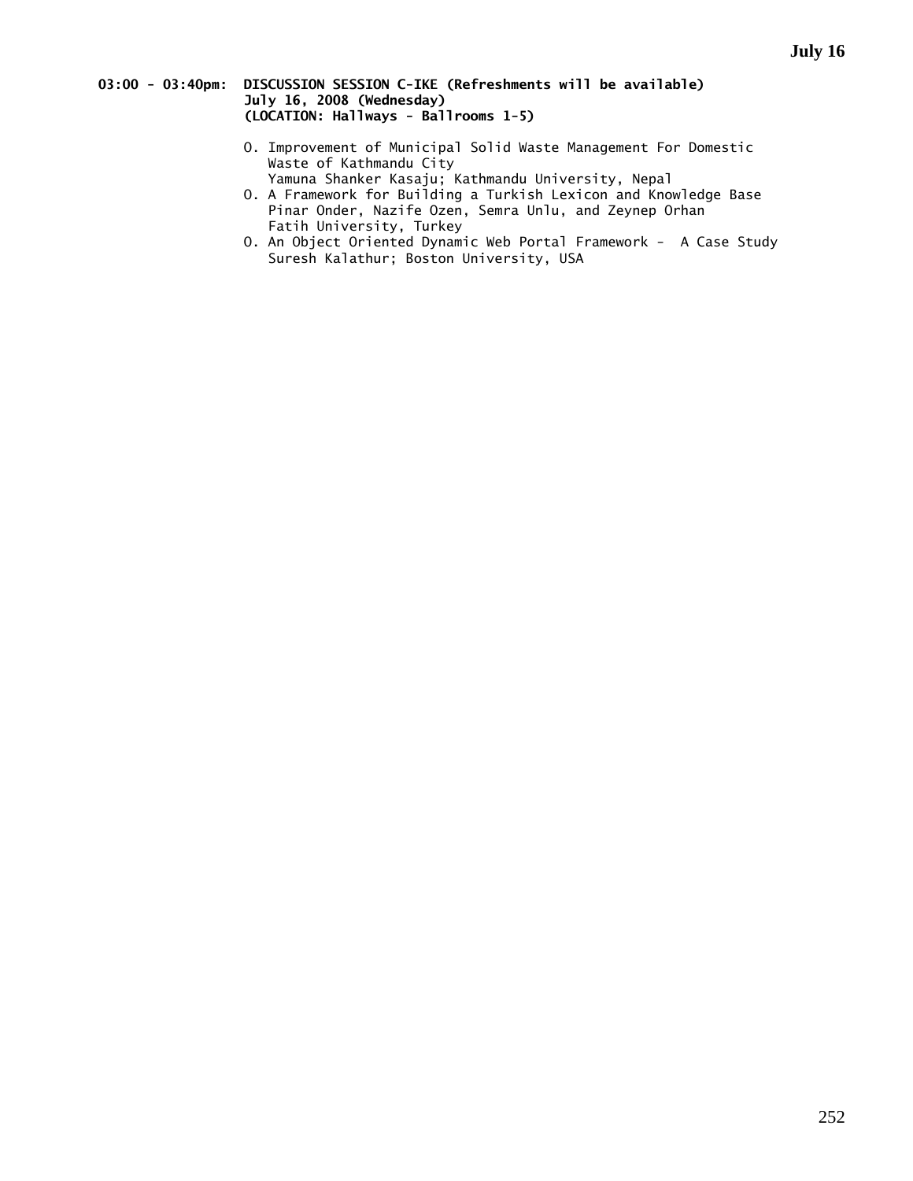# **03:00 - 03:40pm: DISCUSSION SESSION C-IKE (Refreshments will be available) July 16, 2008 (Wednesday) (LOCATION: Hallways - Ballrooms 1-5)**

- O. Improvement of Municipal Solid Waste Management For Domestic Waste of Kathmandu City Yamuna Shanker Kasaju; Kathmandu University, Nepal
- O. A Framework for Building a Turkish Lexicon and Knowledge Base Pinar Onder, Nazife Ozen, Semra Unlu, and Zeynep Orhan Fatih University, Turkey
- O. An Object Oriented Dynamic Web Portal Framework A Case Study Suresh Kalathur; Boston University, USA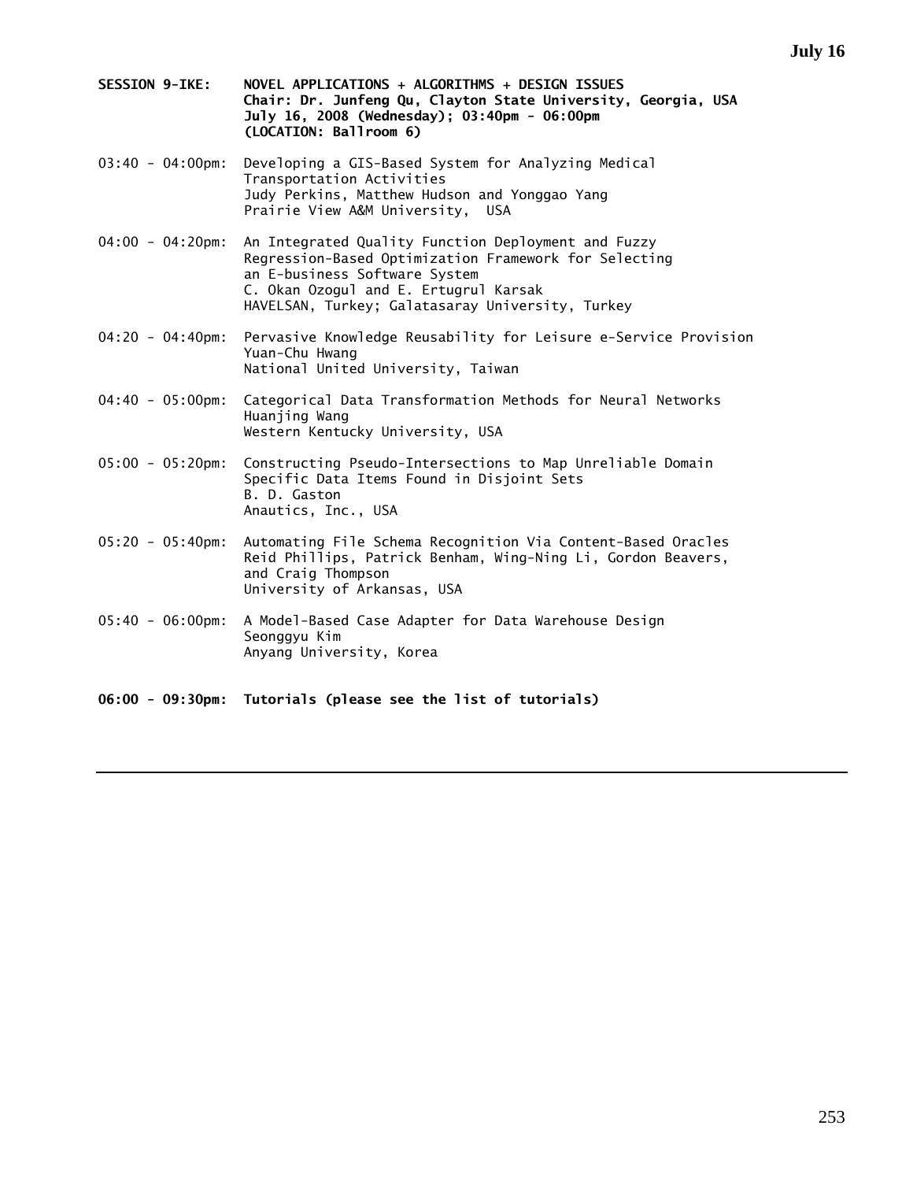- **SESSION 9-IKE: NOVEL APPLICATIONS + ALGORITHMS + DESIGN ISSUES Chair: Dr. Junfeng Qu, Clayton State University, Georgia, USA July 16, 2008 (Wednesday); 03:40pm - 06:00pm (LOCATION: Ballroom 6)**
- 03:40 04:00pm: Developing a GIS-Based System for Analyzing Medical Transportation Activities Judy Perkins, Matthew Hudson and Yonggao Yang Prairie View A&M University, USA
- 04:00 04:20pm: An Integrated Quality Function Deployment and Fuzzy Regression-Based Optimization Framework for Selecting an E-business Software System C. Okan Ozogul and E. Ertugrul Karsak HAVELSAN, Turkey; Galatasaray University, Turkey
- 04:20 04:40pm: Pervasive Knowledge Reusability for Leisure e-Service Provision Yuan-Chu Hwang National United University, Taiwan
- 04:40 05:00pm: Categorical Data Transformation Methods for Neural Networks Huanjing Wang Western Kentucky University, USA
- 05:00 05:20pm: Constructing Pseudo-Intersections to Map Unreliable Domain Specific Data Items Found in Disjoint Sets B. D. Gaston Anautics, Inc., USA
- 05:20 05:40pm: Automating File Schema Recognition Via Content-Based Oracles Reid Phillips, Patrick Benham, Wing-Ning Li, Gordon Beavers, and Craig Thompson University of Arkansas, USA
- 05:40 06:00pm: A Model-Based Case Adapter for Data Warehouse Design Seonggyu Kim Anyang University, Korea
- **06:00 09:30pm: Tutorials (please see the list of tutorials)**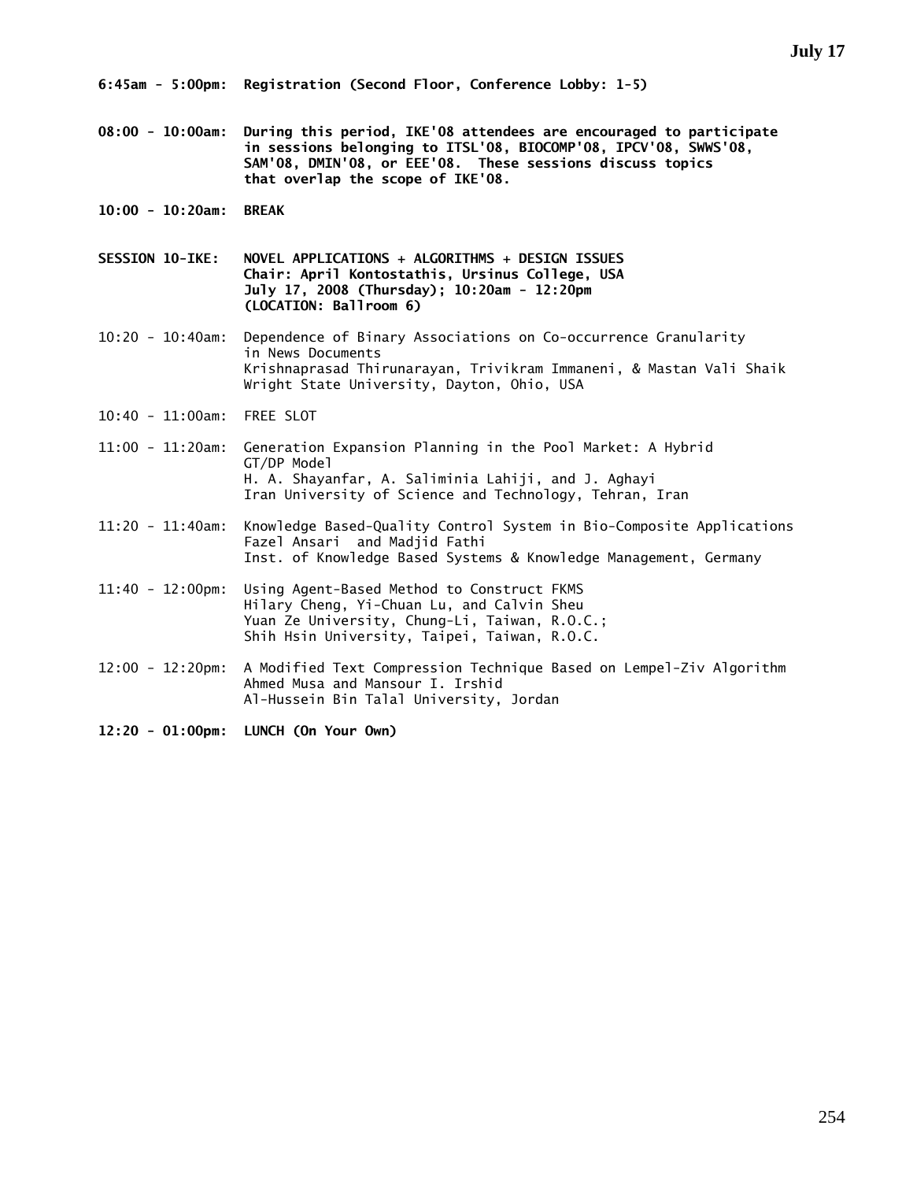- **08:00 10:00am: During this period, IKE'08 attendees are encouraged to participate in sessions belonging to ITSL'08, BIOCOMP'08, IPCV'08, SWWS'08, SAM'08, DMIN'08, or EEE'08. These sessions discuss topics that overlap the scope of IKE'08.**
- **10:00 10:20am: BREAK**
- **SESSION 10-IKE: NOVEL APPLICATIONS + ALGORITHMS + DESIGN ISSUES Chair: April Kontostathis, Ursinus College, USA July 17, 2008 (Thursday); 10:20am - 12:20pm (LOCATION: Ballroom 6)**
- 10:20 10:40am: Dependence of Binary Associations on Co-occurrence Granularity in News Documents Krishnaprasad Thirunarayan, Trivikram Immaneni, & Mastan Vali Shaik Wright State University, Dayton, Ohio, USA
- 10:40 11:00am: FREE SLOT
- 11:00 11:20am: Generation Expansion Planning in the Pool Market: A Hybrid GT/DP Model H. A. Shayanfar, A. Saliminia Lahiji, and J. Aghayi Iran University of Science and Technology, Tehran, Iran
- 11:20 11:40am: Knowledge Based-Quality Control System in Bio-Composite Applications Fazel Ansari and Madjid Fathi Inst. of Knowledge Based Systems & Knowledge Management, Germany
- 11:40 12:00pm: Using Agent-Based Method to Construct FKMS Hilary Cheng, Yi-Chuan Lu, and Calvin Sheu Yuan Ze University, Chung-Li, Taiwan, R.O.C.; Shih Hsin University, Taipei, Taiwan, R.O.C.
- 12:00 12:20pm: A Modified Text Compression Technique Based on Lempel-Ziv Algorithm Ahmed Musa and Mansour I. Irshid Al-Hussein Bin Talal University, Jordan
- **12:20 01:00pm: LUNCH (On Your Own)**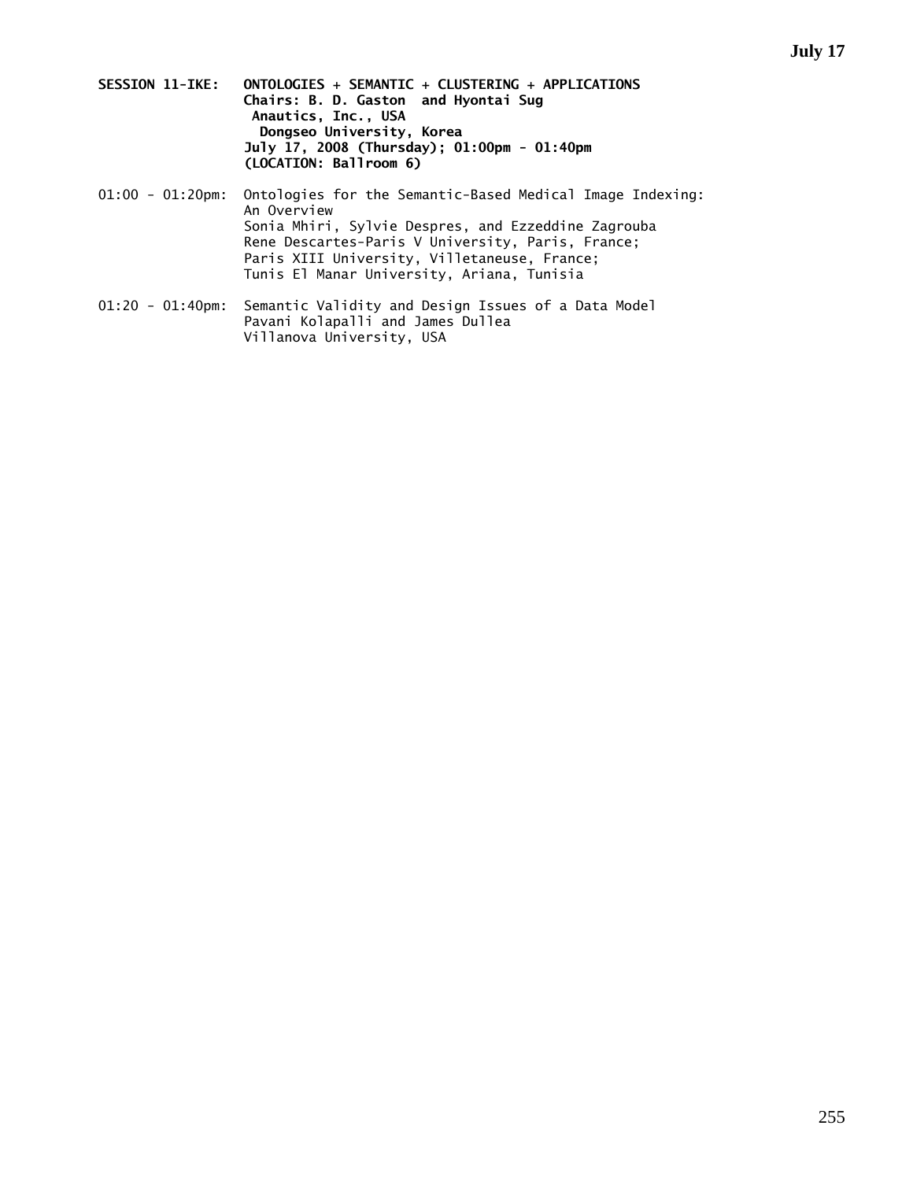- **SESSION 11-IKE: ONTOLOGIES + SEMANTIC + CLUSTERING + APPLICATIONS Chairs: B. D. Gaston and Hyontai Sug Anautics, Inc., USA Dongseo University, Korea July 17, 2008 (Thursday); 01:00pm - 01:40pm (LOCATION: Ballroom 6)**
- 01:00 01:20pm: Ontologies for the Semantic-Based Medical Image Indexing: An Overview Sonia Mhiri, Sylvie Despres, and Ezzeddine Zagrouba Rene Descartes-Paris V University, Paris, France; Paris XIII University, Villetaneuse, France; Tunis El Manar University, Ariana, Tunisia
- 01:20 01:40pm: Semantic Validity and Design Issues of a Data Model Pavani Kolapalli and James Dullea Villanova University, USA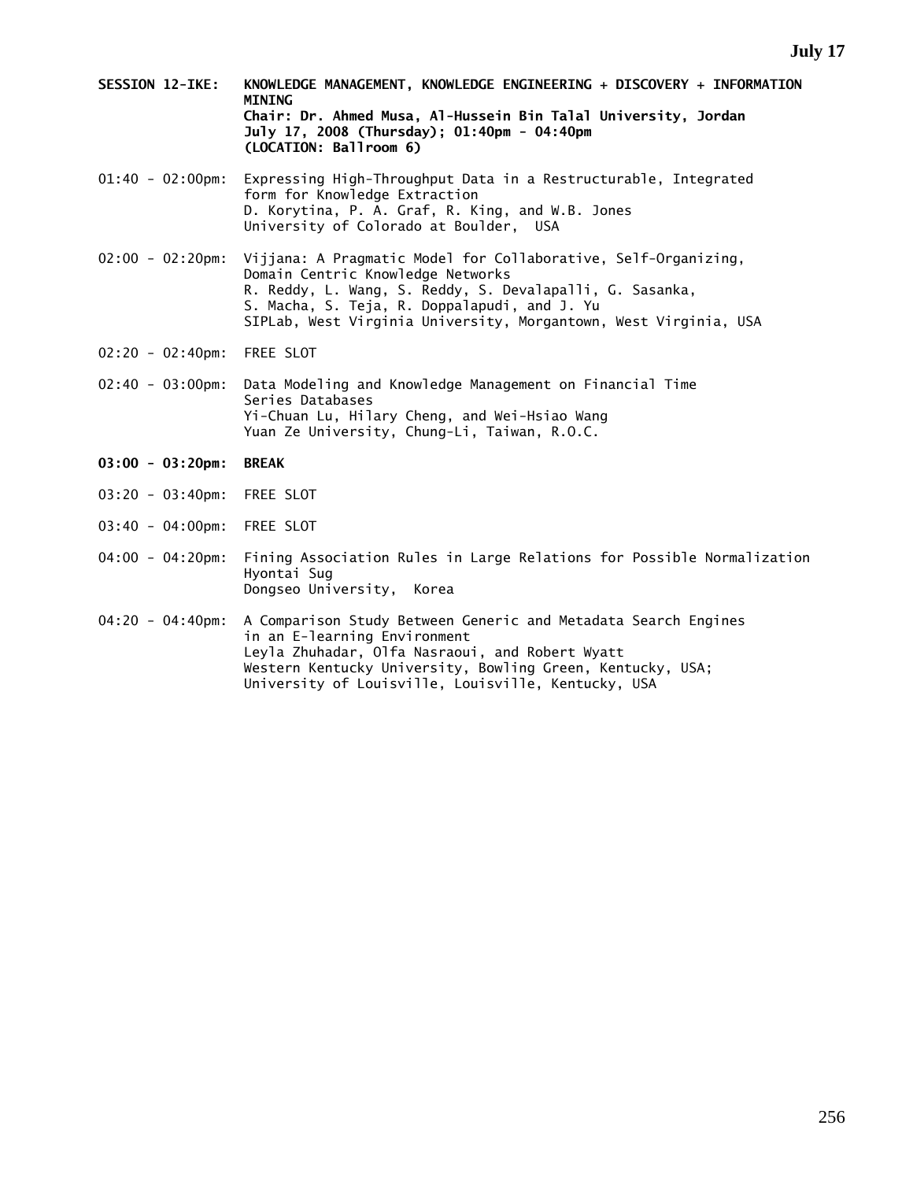- **SESSION 12-IKE: KNOWLEDGE MANAGEMENT, KNOWLEDGE ENGINEERING + DISCOVERY + INFORMATION MINING Chair: Dr. Ahmed Musa, Al-Hussein Bin Talal University, Jordan July 17, 2008 (Thursday); 01:40pm - 04:40pm (LOCATION: Ballroom 6)**
- 01:40 02:00pm: Expressing High-Throughput Data in a Restructurable, Integrated form for Knowledge Extraction D. Korytina, P. A. Graf, R. King, and W.B. Jones University of Colorado at Boulder, USA
- 02:00 02:20pm: Vijjana: A Pragmatic Model for Collaborative, Self-Organizing, Domain Centric Knowledge Networks R. Reddy, L. Wang, S. Reddy, S. Devalapalli, G. Sasanka, S. Macha, S. Teja, R. Doppalapudi, and J. Yu SIPLab, West Virginia University, Morgantown, West Virginia, USA
- 02:20 02:40pm: FREE SLOT
- 02:40 03:00pm: Data Modeling and Knowledge Management on Financial Time Series Databases Yi-Chuan Lu, Hilary Cheng, and Wei-Hsiao Wang Yuan Ze University, Chung-Li, Taiwan, R.O.C.
- **03:00 03:20pm: BREAK**
- 03:20 03:40pm: FREE SLOT
- 03:40 04:00pm: FREE SLOT
- 04:00 04:20pm: Fining Association Rules in Large Relations for Possible Normalization Hyontai Sug Dongseo University, Korea
- 04:20 04:40pm: A Comparison Study Between Generic and Metadata Search Engines in an E-learning Environment Leyla Zhuhadar, Olfa Nasraoui, and Robert Wyatt Western Kentucky University, Bowling Green, Kentucky, USA; University of Louisville, Louisville, Kentucky, USA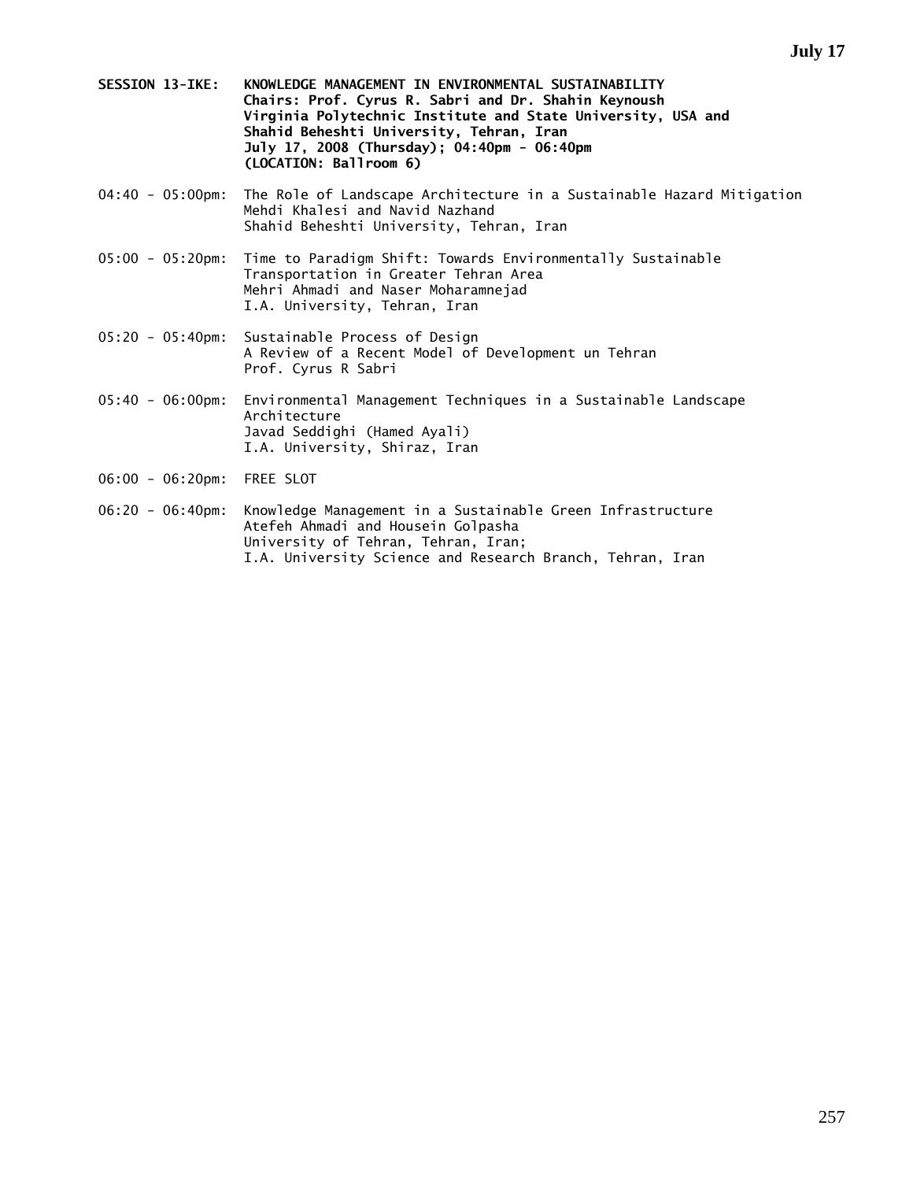- **SESSION 13-IKE: KNOWLEDGE MANAGEMENT IN ENVIRONMENTAL SUSTAINABILITY Chairs: Prof. Cyrus R. Sabri and Dr. Shahin Keynoush Virginia Polytechnic Institute and State University, USA and Shahid Beheshti University, Tehran, Iran July 17, 2008 (Thursday); 04:40pm - 06:40pm (LOCATION: Ballroom 6)**
- 04:40 05:00pm: The Role of Landscape Architecture in a Sustainable Hazard Mitigation Mehdi Khalesi and Navid Nazhand Shahid Beheshti University, Tehran, Iran
- 05:00 05:20pm: Time to Paradigm Shift: Towards Environmentally Sustainable Transportation in Greater Tehran Area Mehri Ahmadi and Naser Moharamnejad I.A. University, Tehran, Iran
- 05:20 05:40pm: Sustainable Process of Design A Review of a Recent Model of Development un Tehran Prof. Cyrus R Sabri
- 05:40 06:00pm: Environmental Management Techniques in a Sustainable Landscape Architecture Javad Seddighi (Hamed Ayali) I.A. University, Shiraz, Iran
- 06:00 06:20pm: FREE SLOT
- 06:20 06:40pm: Knowledge Management in a Sustainable Green Infrastructure Atefeh Ahmadi and Housein Golpasha University of Tehran, Tehran, Iran; I.A. University Science and Research Branch, Tehran, Iran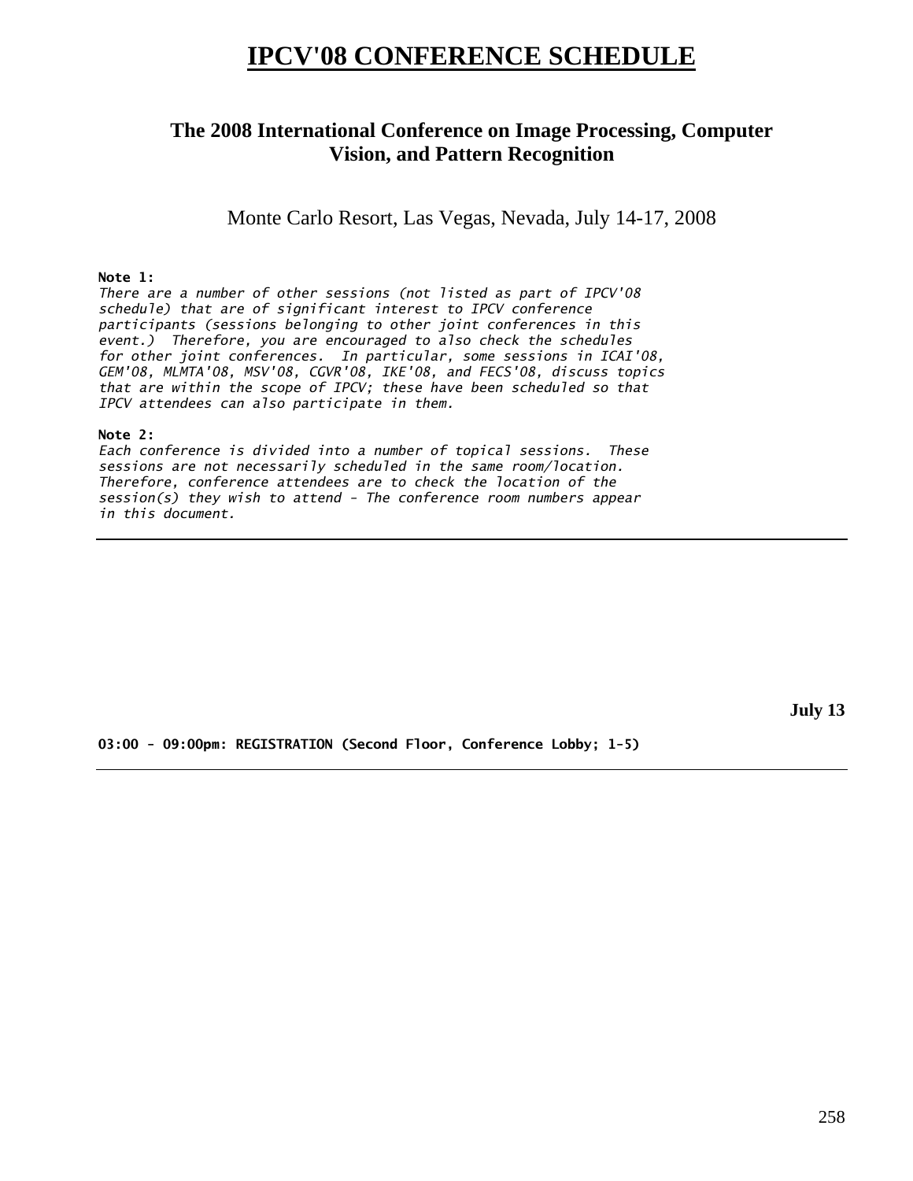# **IPCV'08 CONFERENCE SCHEDULE**

# **The 2008 International Conference on Image Processing, Computer Vision, and Pattern Recognition**

Monte Carlo Resort, Las Vegas, Nevada, July 14-17, 2008

## **Note 1:**

*There are a number of other sessions (not listed as part of IPCV'08 schedule) that are of significant interest to IPCV conference participants (sessions belonging to other joint conferences in this event.) Therefore, you are encouraged to also check the schedules for other joint conferences. In particular, some sessions in ICAI'08, GEM'08, MLMTA'08, MSV'08, CGVR'08, IKE'08, and FECS'08, discuss topics that are within the scope of IPCV; these have been scheduled so that IPCV attendees can also participate in them.* 

## **Note 2:**

*Each conference is divided into a number of topical sessions. These sessions are not necessarily scheduled in the same room/location. Therefore, conference attendees are to check the location of the session(s) they wish to attend - The conference room numbers appear in this document.* 

**July 13** 

**03:00 - 09:00pm: REGISTRATION (Second Floor, Conference Lobby; 1-5)**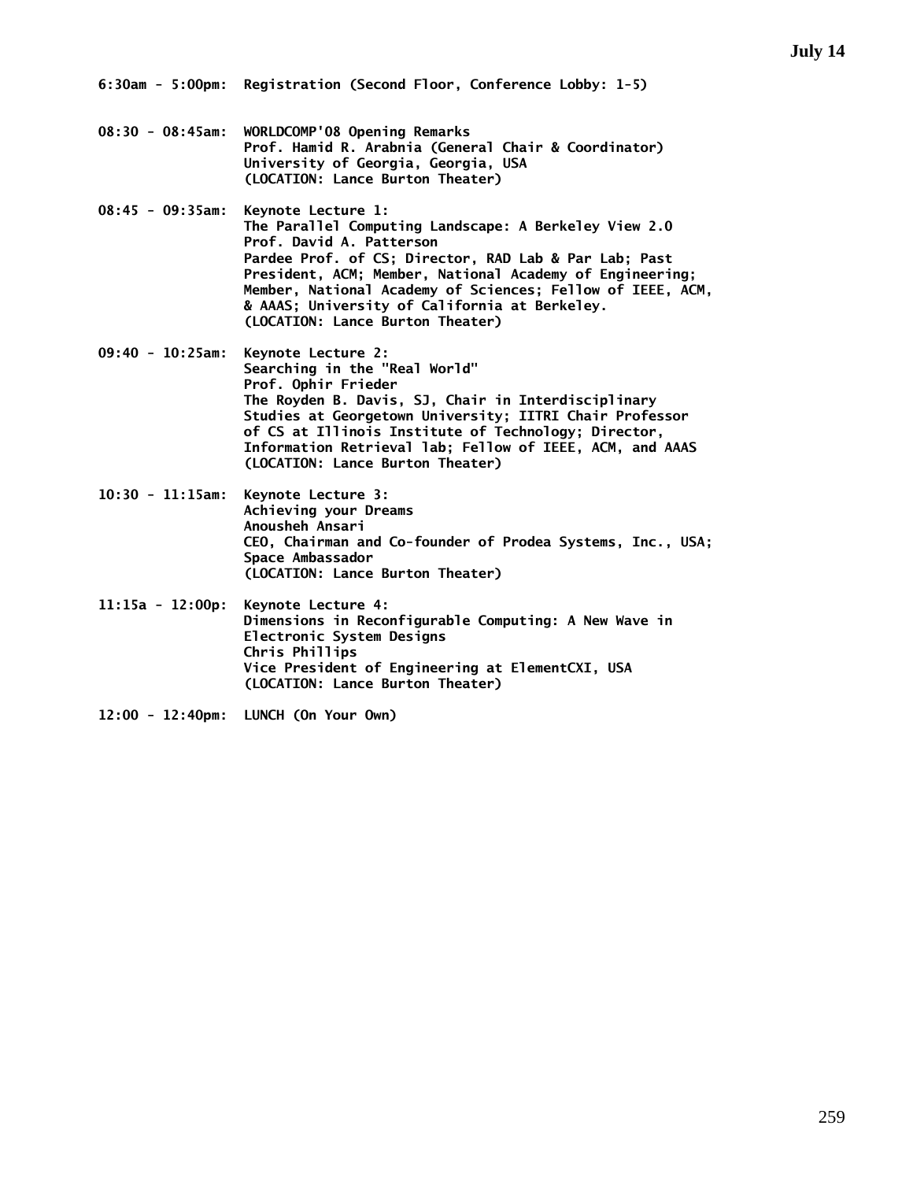- **08:30 08:45am: WORLDCOMP'08 Opening Remarks Prof. Hamid R. Arabnia (General Chair & Coordinator) University of Georgia, Georgia, USA (LOCATION: Lance Burton Theater)**
- **08:45 09:35am: Keynote Lecture 1: The Parallel Computing Landscape: A Berkeley View 2.0 Prof. David A. Patterson Pardee Prof. of CS; Director, RAD Lab & Par Lab; Past President, ACM; Member, National Academy of Engineering; Member, National Academy of Sciences; Fellow of IEEE, ACM, & AAAS; University of California at Berkeley. (LOCATION: Lance Burton Theater)**
- **09:40 10:25am: Keynote Lecture 2: Searching in the "Real World" Prof. Ophir Frieder The Royden B. Davis, SJ, Chair in Interdisciplinary Studies at Georgetown University; IITRI Chair Professor of CS at Illinois Institute of Technology; Director, Information Retrieval lab; Fellow of IEEE, ACM, and AAAS (LOCATION: Lance Burton Theater)**
- **10:30 11:15am: Keynote Lecture 3: Achieving your Dreams Anousheh Ansari CEO, Chairman and Co-founder of Prodea Systems, Inc., USA; Space Ambassador (LOCATION: Lance Burton Theater)**
- **11:15a 12:00p: Keynote Lecture 4: Dimensions in Reconfigurable Computing: A New Wave in Electronic System Designs Chris Phillips Vice President of Engineering at ElementCXI, USA (LOCATION: Lance Burton Theater)**
- **12:00 12:40pm: LUNCH (On Your Own)**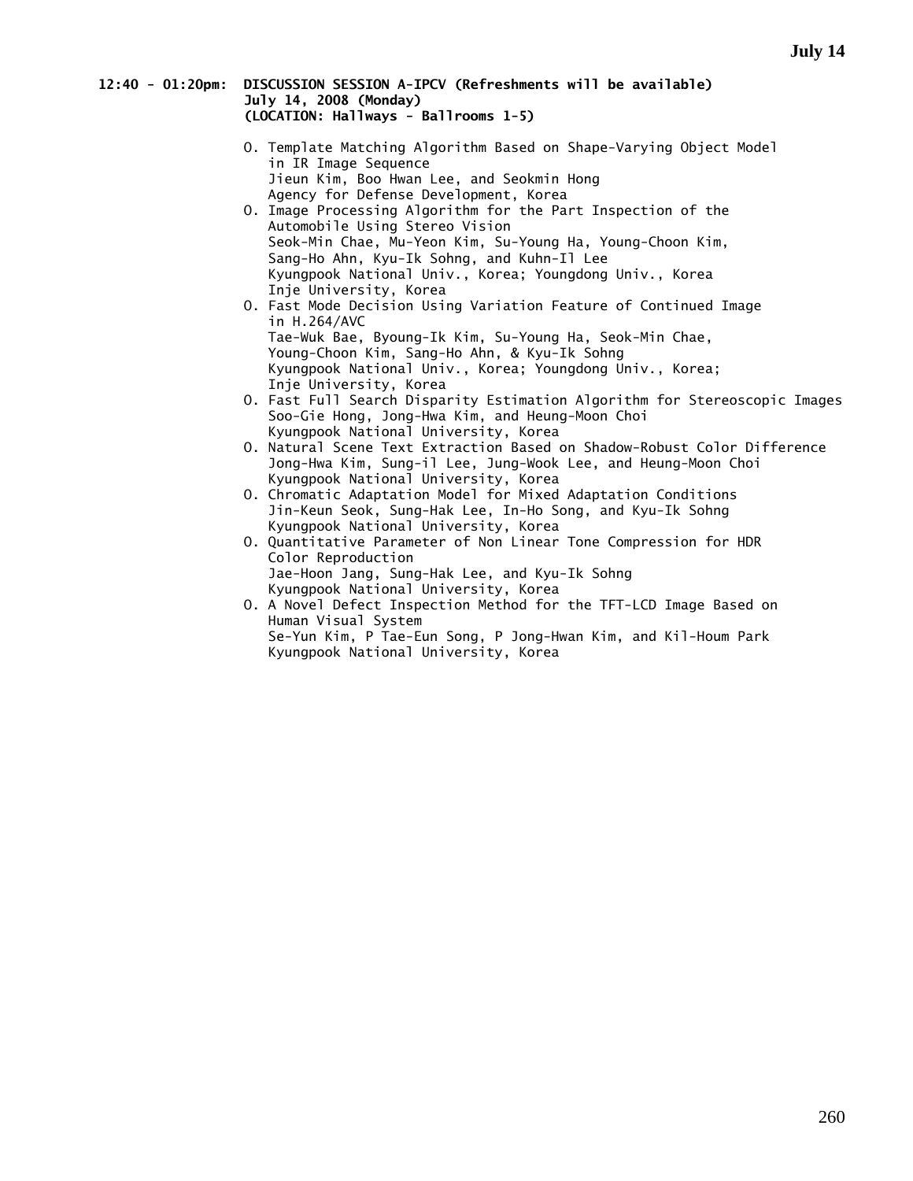### **12:40 - 01:20pm: DISCUSSION SESSION A-IPCV (Refreshments will be available) July 14, 2008 (Monday) (LOCATION: Hallways - Ballrooms 1-5)**

- O. Template Matching Algorithm Based on Shape-Varying Object Model in IR Image Sequence Jieun Kim, Boo Hwan Lee, and Seokmin Hong Agency for Defense Development, Korea O. Image Processing Algorithm for the Part Inspection of the Automobile Using Stereo Vision Seok-Min Chae, Mu-Yeon Kim, Su-Young Ha, Young-Choon Kim,
- Sang-Ho Ahn, Kyu-Ik Sohng, and Kuhn-Il Lee Kyungpook National Univ., Korea; Youngdong Univ., Korea Inje University, Korea
- O. Fast Mode Decision Using Variation Feature of Continued Image in H.264/AVC Tae-Wuk Bae, Byoung-Ik Kim, Su-Young Ha, Seok-Min Chae, Young-Choon Kim, Sang-Ho Ahn, & Kyu-Ik Sohng Kyungpook National Univ., Korea; Youngdong Univ., Korea; Inje University, Korea
- O. Fast Full Search Disparity Estimation Algorithm for Stereoscopic Images Soo-Gie Hong, Jong-Hwa Kim, and Heung-Moon Choi Kyungpook National University, Korea
- O. Natural Scene Text Extraction Based on Shadow-Robust Color Difference Jong-Hwa Kim, Sung-il Lee, Jung-Wook Lee, and Heung-Moon Choi Kyungpook National University, Korea
- O. Chromatic Adaptation Model for Mixed Adaptation Conditions Jin-Keun Seok, Sung-Hak Lee, In-Ho Song, and Kyu-Ik Sohng Kyungpook National University, Korea
- O. Quantitative Parameter of Non Linear Tone Compression for HDR Color Reproduction Jae-Hoon Jang, Sung-Hak Lee, and Kyu-Ik Sohng Kyungpook National University, Korea
- O. A Novel Defect Inspection Method for the TFT-LCD Image Based on Human Visual System Se-Yun Kim, P Tae-Eun Song, P Jong-Hwan Kim, and Kil-Houm Park Kyungpook National University, Korea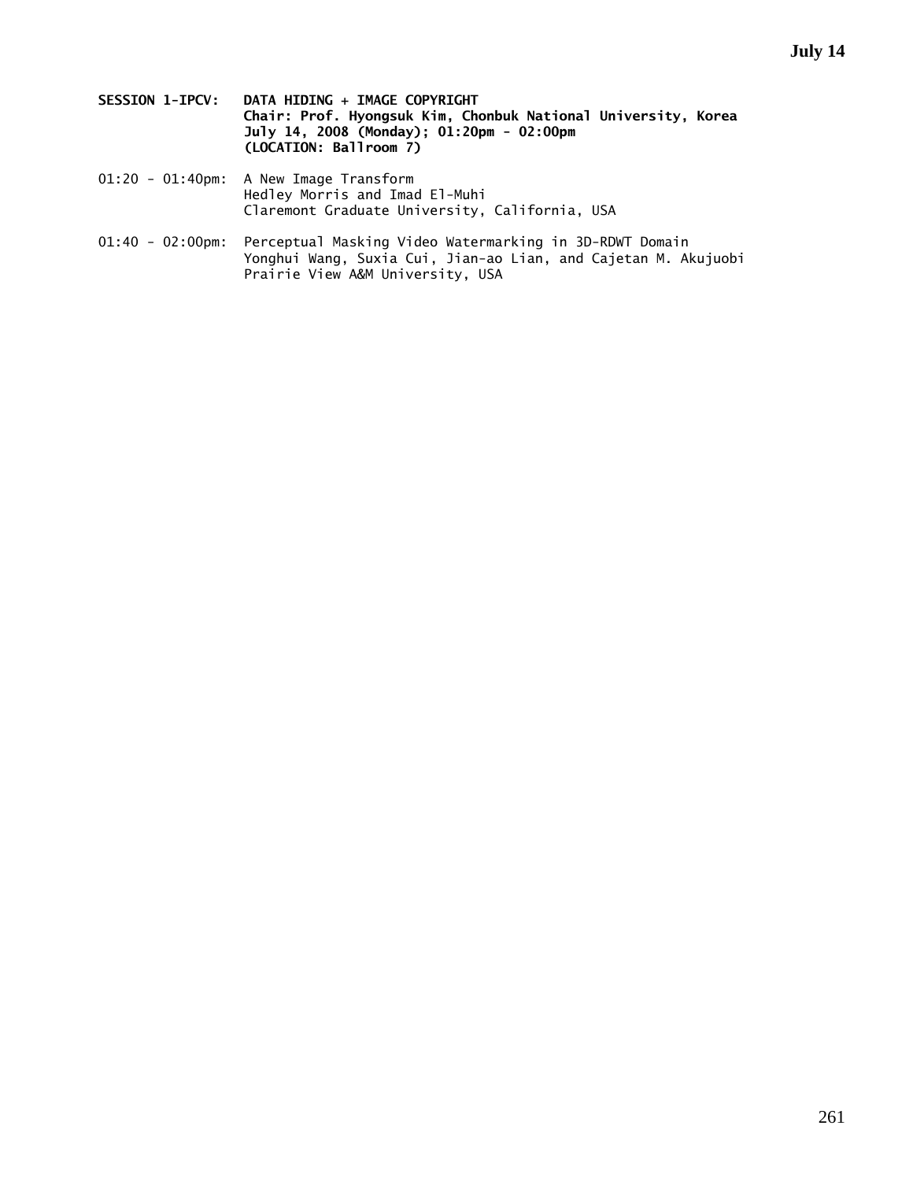- **SESSION 1-IPCV: DATA HIDING + IMAGE COPYRIGHT Chair: Prof. Hyongsuk Kim, Chonbuk National University, Korea July 14, 2008 (Monday); 01:20pm - 02:00pm (LOCATION: Ballroom 7)**
- 01:20 01:40pm: A New Image Transform Hedley Morris and Imad El-Muhi Claremont Graduate University, California, USA
- 01:40 02:00pm: Perceptual Masking Video Watermarking in 3D-RDWT Domain Yonghui Wang, Suxia Cui, Jian-ao Lian, and Cajetan M. Akujuobi Prairie View A&M University, USA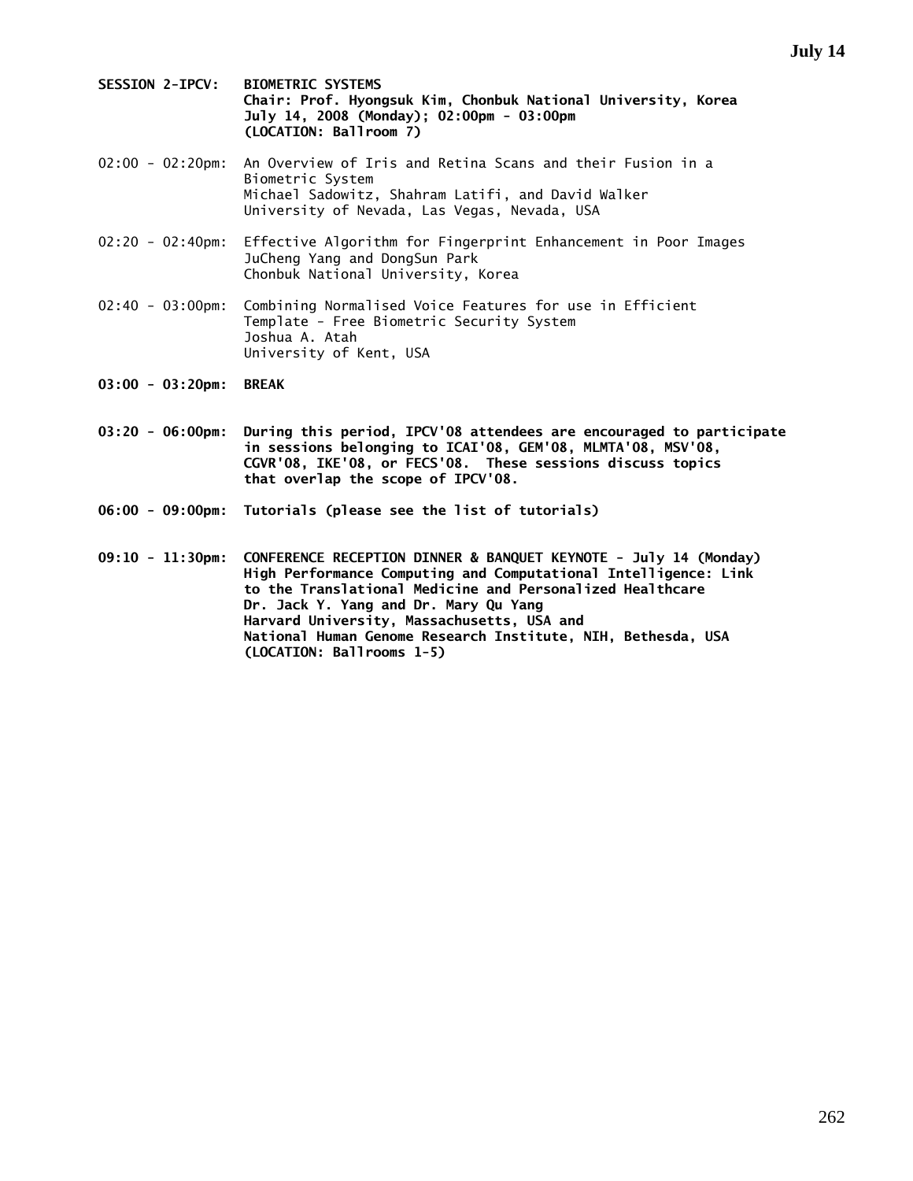- **SESSION 2-IPCV: BIOMETRIC SYSTEMS Chair: Prof. Hyongsuk Kim, Chonbuk National University, Korea July 14, 2008 (Monday); 02:00pm - 03:00pm (LOCATION: Ballroom 7)**
- 02:00 02:20pm: An Overview of Iris and Retina Scans and their Fusion in a Biometric System Michael Sadowitz, Shahram Latifi, and David Walker University of Nevada, Las Vegas, Nevada, USA
- 02:20 02:40pm: Effective Algorithm for Fingerprint Enhancement in Poor Images JuCheng Yang and DongSun Park Chonbuk National University, Korea
- 02:40 03:00pm: Combining Normalised Voice Features for use in Efficient Template - Free Biometric Security System Joshua A. Atah University of Kent, USA
- **03:00 03:20pm: BREAK**
- **03:20 06:00pm: During this period, IPCV'08 attendees are encouraged to participate in sessions belonging to ICAI'08, GEM'08, MLMTA'08, MSV'08, CGVR'08, IKE'08, or FECS'08. These sessions discuss topics that overlap the scope of IPCV'08.**
- **06:00 09:00pm: Tutorials (please see the list of tutorials)**

**09:10 - 11:30pm: CONFERENCE RECEPTION DINNER & BANQUET KEYNOTE - July 14 (Monday) High Performance Computing and Computational Intelligence: Link to the Translational Medicine and Personalized Healthcare Dr. Jack Y. Yang and Dr. Mary Qu Yang Harvard University, Massachusetts, USA and National Human Genome Research Institute, NIH, Bethesda, USA (LOCATION: Ballrooms 1-5)**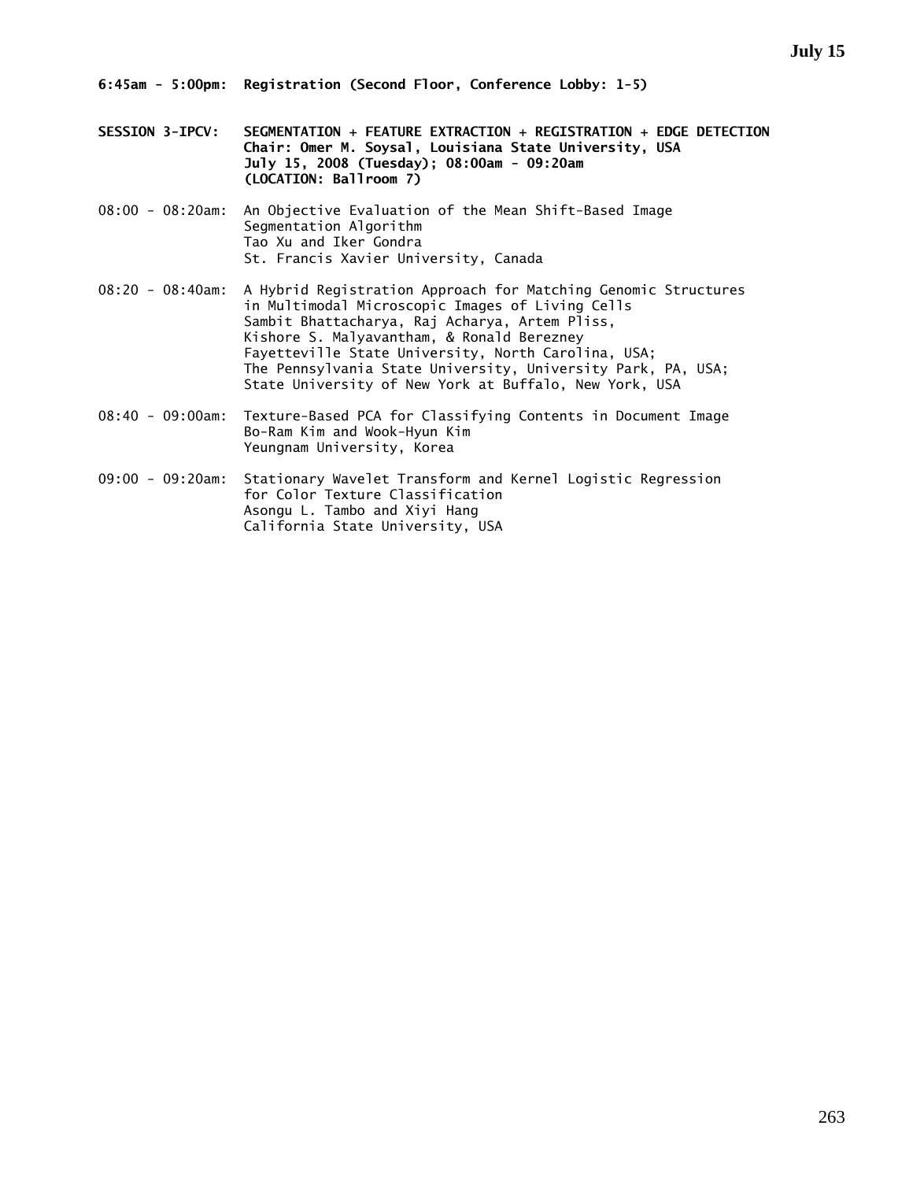- **SESSION 3-IPCV: SEGMENTATION + FEATURE EXTRACTION + REGISTRATION + EDGE DETECTION Chair: Omer M. Soysal, Louisiana State University, USA July 15, 2008 (Tuesday); 08:00am - 09:20am (LOCATION: Ballroom 7)**
- 08:00 08:20am: An Objective Evaluation of the Mean Shift-Based Image Segmentation Algorithm Tao Xu and Iker Gondra St. Francis Xavier University, Canada
- 08:20 08:40am: A Hybrid Registration Approach for Matching Genomic Structures in Multimodal Microscopic Images of Living Cells Sambit Bhattacharya, Raj Acharya, Artem Pliss, Kishore S. Malyavantham, & Ronald Berezney Fayetteville State University, North Carolina, USA; The Pennsylvania State University, University Park, PA, USA; State University of New York at Buffalo, New York, USA
- 08:40 09:00am: Texture-Based PCA for Classifying Contents in Document Image Bo-Ram Kim and Wook-Hyun Kim Yeungnam University, Korea
- 09:00 09:20am: Stationary Wavelet Transform and Kernel Logistic Regression for Color Texture Classification Asongu L. Tambo and Xiyi Hang California State University, USA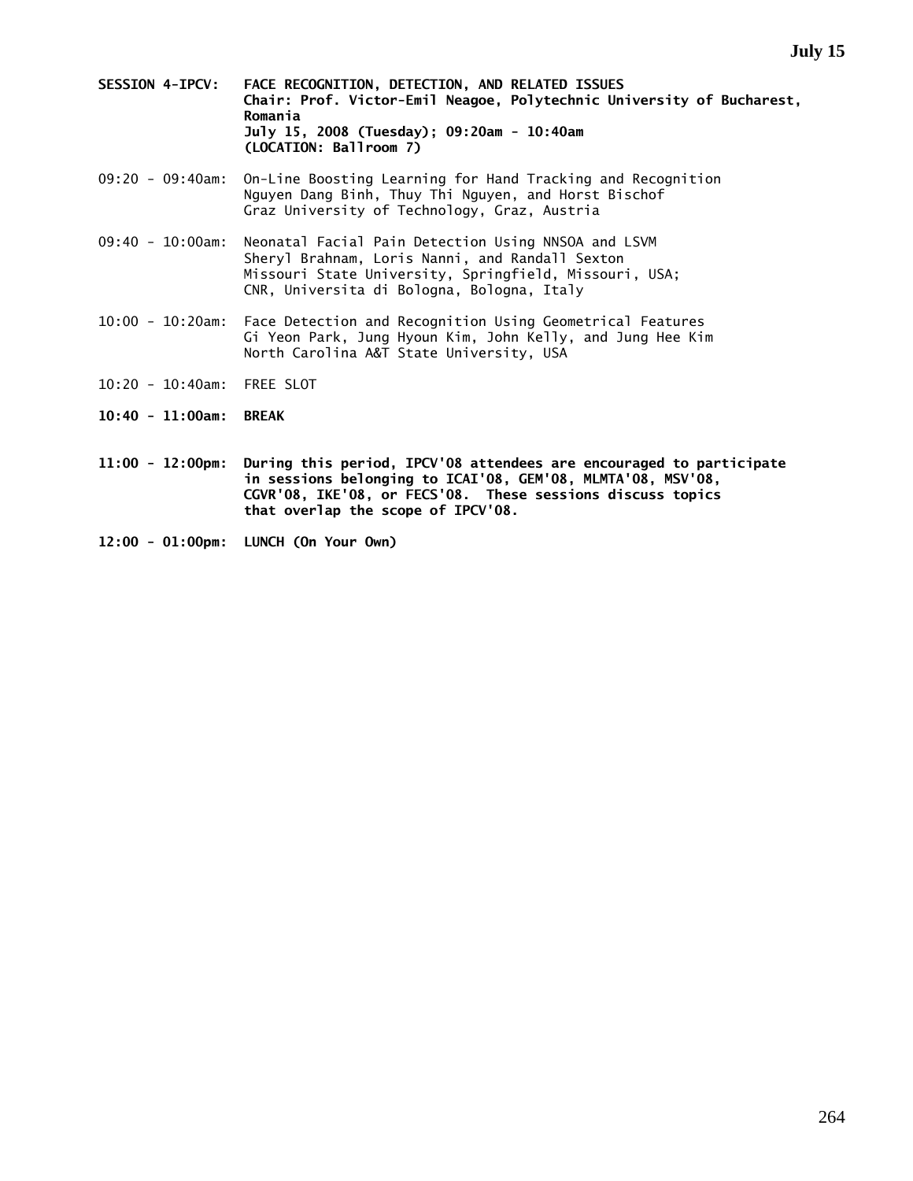- **SESSION 4-IPCV: FACE RECOGNITION, DETECTION, AND RELATED ISSUES Chair: Prof. Victor-Emil Neagoe, Polytechnic University of Bucharest, Romania July 15, 2008 (Tuesday); 09:20am - 10:40am (LOCATION: Ballroom 7)**
- 09:20 09:40am: On-Line Boosting Learning for Hand Tracking and Recognition Nguyen Dang Binh, Thuy Thi Nguyen, and Horst Bischof Graz University of Technology, Graz, Austria
- 09:40 10:00am: Neonatal Facial Pain Detection Using NNSOA and LSVM Sheryl Brahnam, Loris Nanni, and Randall Sexton Missouri State University, Springfield, Missouri, USA; CNR, Universita di Bologna, Bologna, Italy
- 10:00 10:20am: Face Detection and Recognition Using Geometrical Features Gi Yeon Park, Jung Hyoun Kim, John Kelly, and Jung Hee Kim North Carolina A&T State University, USA
- 10:20 10:40am: FREE SLOT
- **10:40 11:00am: BREAK**
- **11:00 12:00pm: During this period, IPCV'08 attendees are encouraged to participate in sessions belonging to ICAI'08, GEM'08, MLMTA'08, MSV'08, CGVR'08, IKE'08, or FECS'08. These sessions discuss topics that overlap the scope of IPCV'08.**
- **12:00 01:00pm: LUNCH (On Your Own)**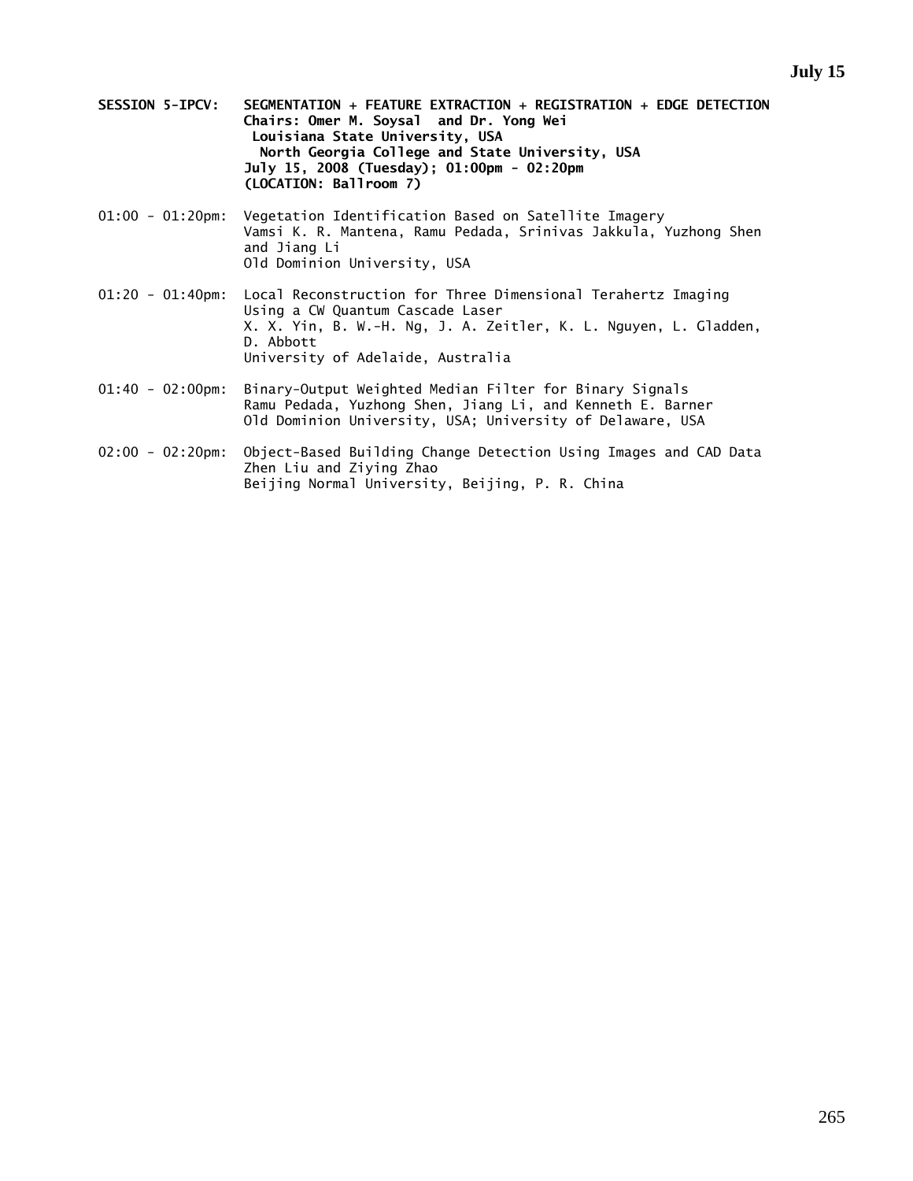- **SESSION 5-IPCV: SEGMENTATION + FEATURE EXTRACTION + REGISTRATION + EDGE DETECTION Chairs: Omer M. Soysal and Dr. Yong Wei Louisiana State University, USA North Georgia College and State University, USA July 15, 2008 (Tuesday); 01:00pm - 02:20pm (LOCATION: Ballroom 7)**
- 01:00 01:20pm: Vegetation Identification Based on Satellite Imagery Vamsi K. R. Mantena, Ramu Pedada, Srinivas Jakkula, Yuzhong Shen and Jiang Li Old Dominion University, USA
- 01:20 01:40pm: Local Reconstruction for Three Dimensional Terahertz Imaging Using a CW Quantum Cascade Laser X. X. Yin, B. W.-H. Ng, J. A. Zeitler, K. L. Nguyen, L. Gladden, D. Abbott University of Adelaide, Australia
- 01:40 02:00pm: Binary-Output Weighted Median Filter for Binary Signals Ramu Pedada, Yuzhong Shen, Jiang Li, and Kenneth E. Barner Old Dominion University, USA; University of Delaware, USA
- 02:00 02:20pm: Object-Based Building Change Detection Using Images and CAD Data Zhen Liu and Ziying Zhao Beijing Normal University, Beijing, P. R. China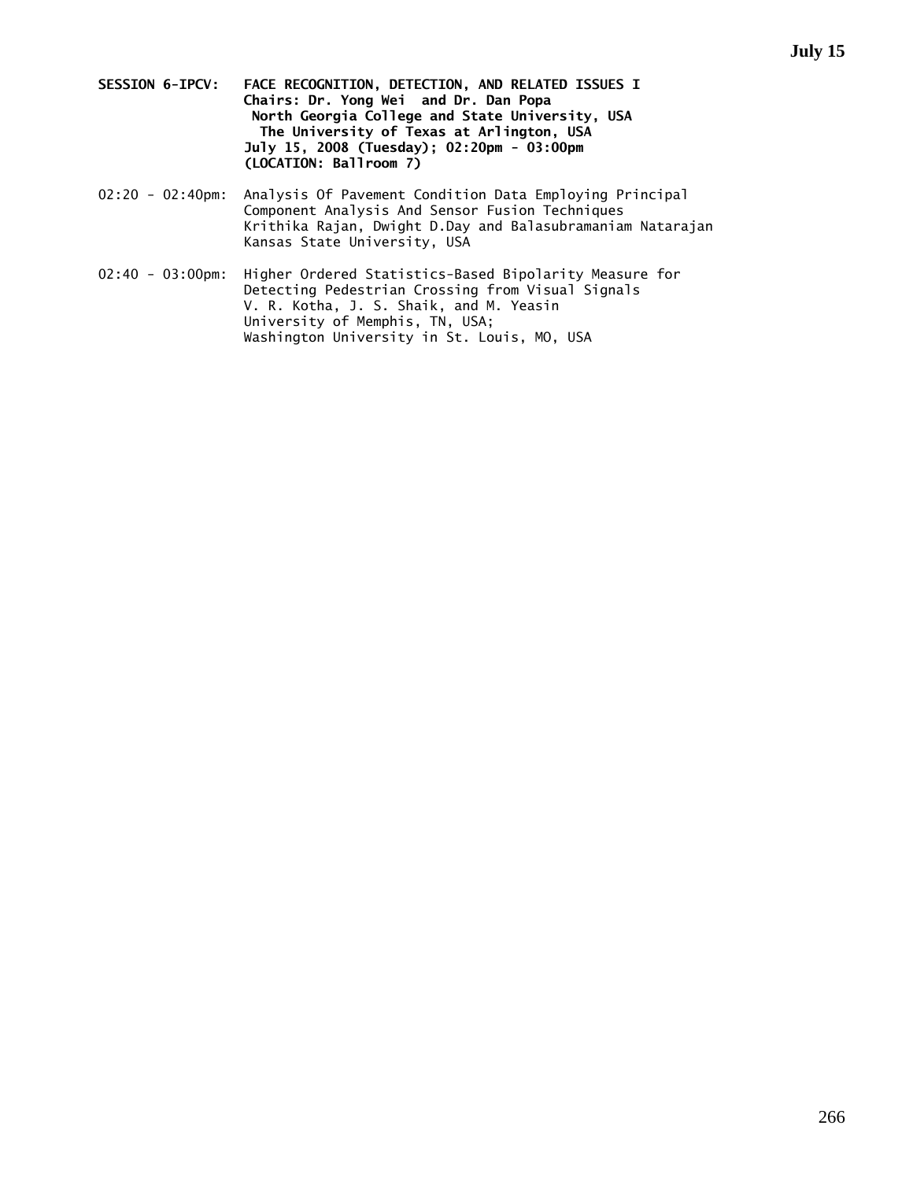- **SESSION 6-IPCV: FACE RECOGNITION, DETECTION, AND RELATED ISSUES I Chairs: Dr. Yong Wei and Dr. Dan Popa North Georgia College and State University, USA The University of Texas at Arlington, USA July 15, 2008 (Tuesday); 02:20pm - 03:00pm (LOCATION: Ballroom 7)**
- 02:20 02:40pm: Analysis Of Pavement Condition Data Employing Principal Component Analysis And Sensor Fusion Techniques Krithika Rajan, Dwight D.Day and Balasubramaniam Natarajan Kansas State University, USA
- 02:40 03:00pm: Higher Ordered Statistics-Based Bipolarity Measure for Detecting Pedestrian Crossing from Visual Signals V. R. Kotha, J. S. Shaik, and M. Yeasin University of Memphis, TN, USA; Washington University in St. Louis, MO, USA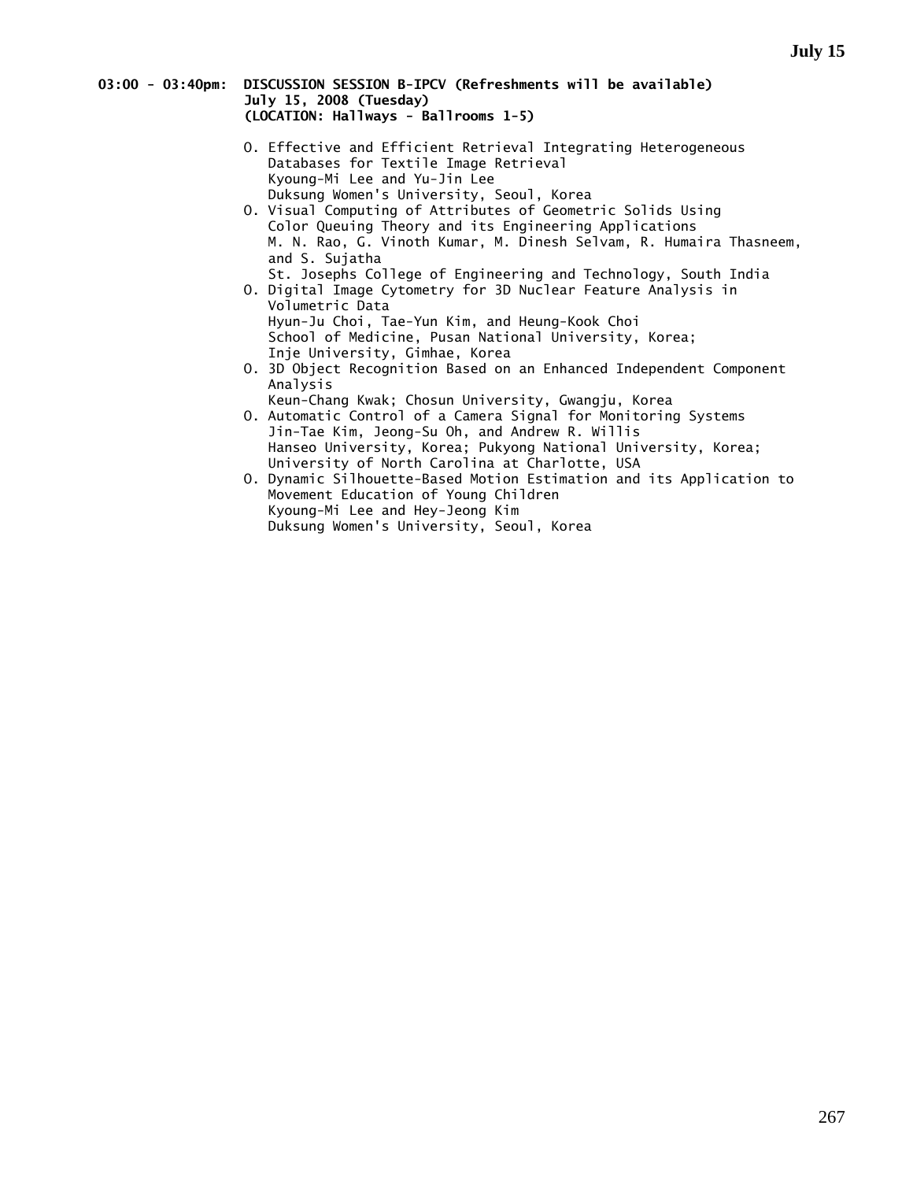### **03:00 - 03:40pm: DISCUSSION SESSION B-IPCV (Refreshments will be available) July 15, 2008 (Tuesday) (LOCATION: Hallways - Ballrooms 1-5)**

- O. Effective and Efficient Retrieval Integrating Heterogeneous Databases for Textile Image Retrieval Kyoung-Mi Lee and Yu-Jin Lee Duksung Women's University, Seoul, Korea
- O. Visual Computing of Attributes of Geometric Solids Using Color Queuing Theory and its Engineering Applications M. N. Rao, G. Vinoth Kumar, M. Dinesh Selvam, R. Humaira Thasneem, and S. Sujatha
- St. Josephs College of Engineering and Technology, South India O. Digital Image Cytometry for 3D Nuclear Feature Analysis in Volumetric Data Hyun-Ju Choi, Tae-Yun Kim, and Heung-Kook Choi

 School of Medicine, Pusan National University, Korea; Inje University, Gimhae, Korea

- O. 3D Object Recognition Based on an Enhanced Independent Component Analysis
- Keun-Chang Kwak; Chosun University, Gwangju, Korea O. Automatic Control of a Camera Signal for Monitoring Systems Jin-Tae Kim, Jeong-Su Oh, and Andrew R. Willis Hanseo University, Korea; Pukyong National University, Korea;
- University of North Carolina at Charlotte, USA O. Dynamic Silhouette-Based Motion Estimation and its Application to Movement Education of Young Children Kyoung-Mi Lee and Hey-Jeong Kim Duksung Women's University, Seoul, Korea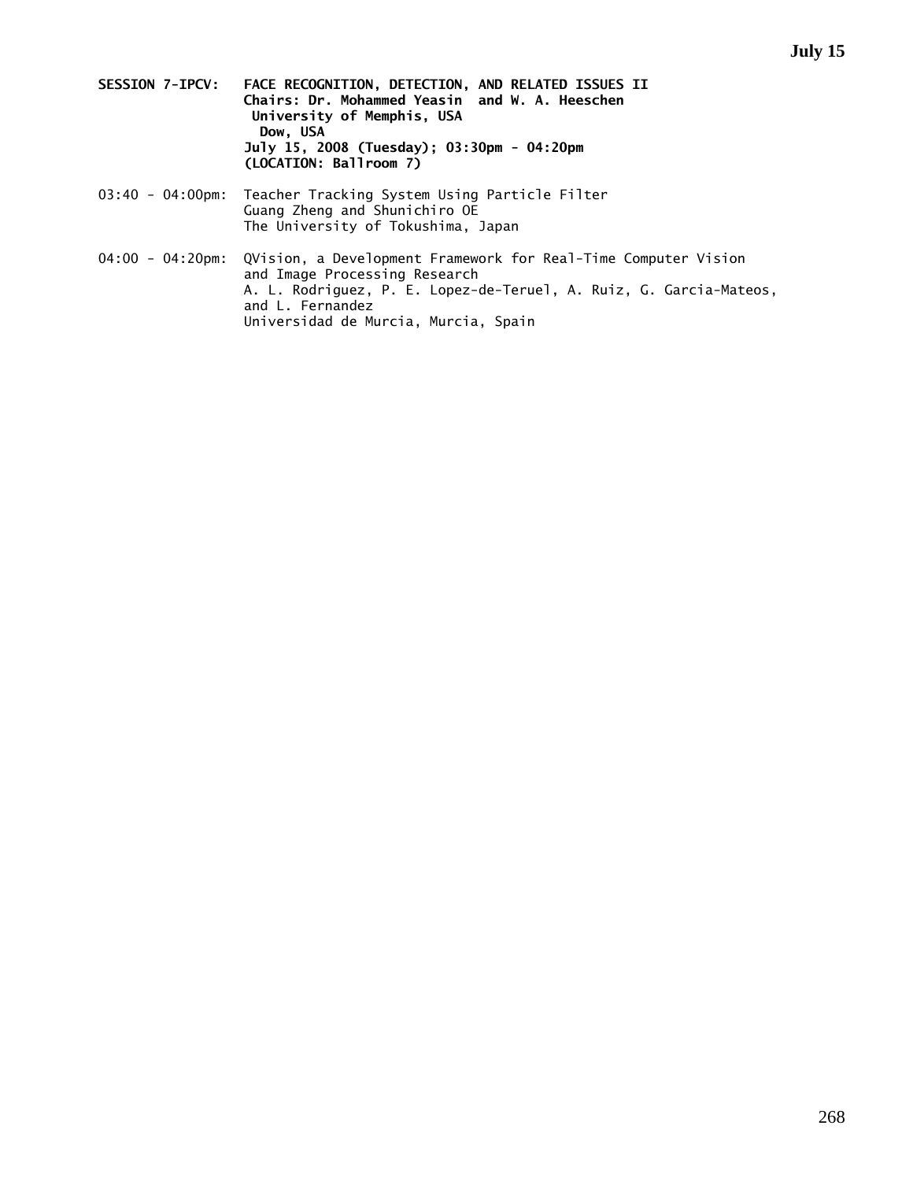- **SESSION 7-IPCV: FACE RECOGNITION, DETECTION, AND RELATED ISSUES II Chairs: Dr. Mohammed Yeasin and W. A. Heeschen University of Memphis, USA**  Dow, USA  **July 15, 2008 (Tuesday); 03:30pm - 04:20pm (LOCATION: Ballroom 7)**
- 03:40 04:00pm: Teacher Tracking System Using Particle Filter Guang Zheng and Shunichiro OE The University of Tokushima, Japan
- 04:00 04:20pm: QVision, a Development Framework for Real-Time Computer Vision and Image Processing Research A. L. Rodriguez, P. E. Lopez-de-Teruel, A. Ruiz, G. Garcia-Mateos, and L. Fernandez Universidad de Murcia, Murcia, Spain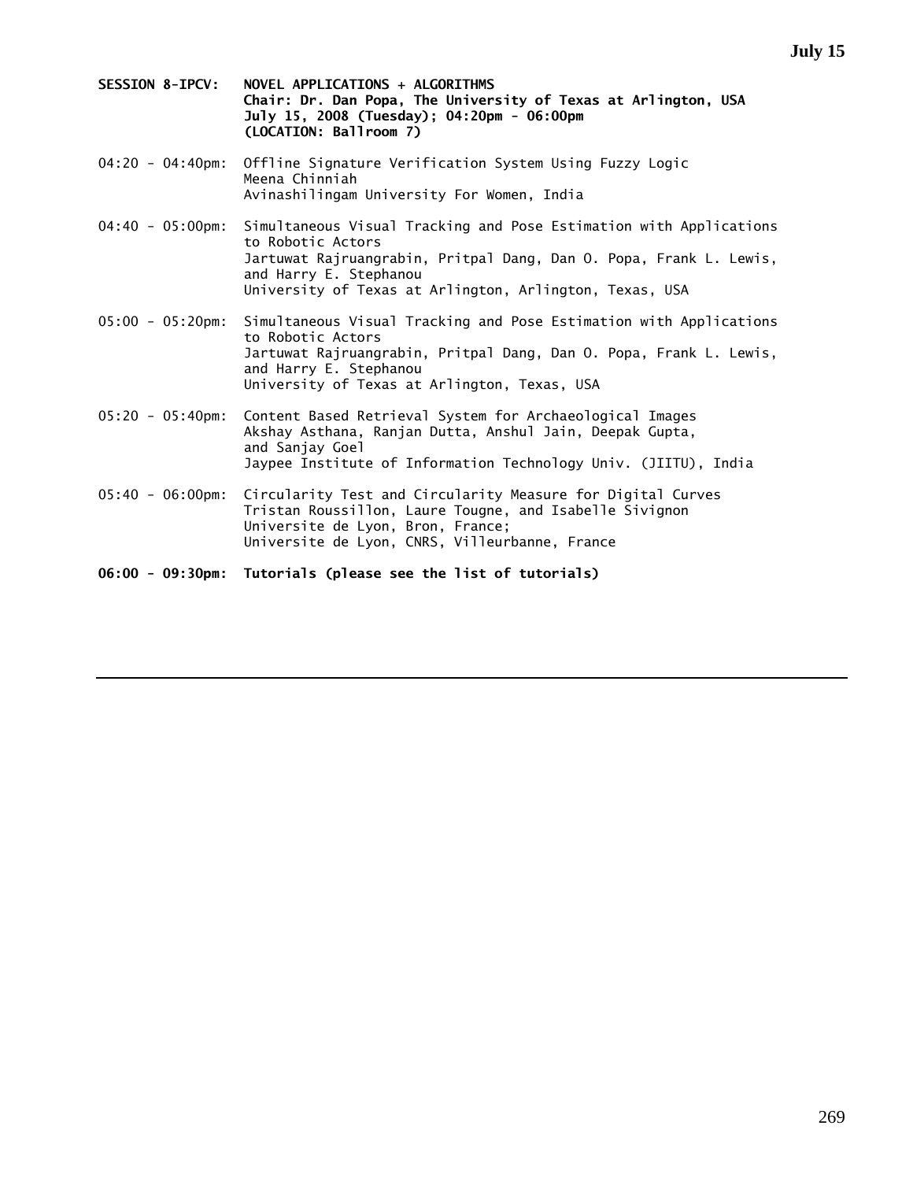**July 15** 

- **SESSION 8-IPCV: NOVEL APPLICATIONS + ALGORITHMS Chair: Dr. Dan Popa, The University of Texas at Arlington, USA July 15, 2008 (Tuesday); 04:20pm - 06:00pm (LOCATION: Ballroom 7)**
- 04:20 04:40pm: Offline Signature Verification System Using Fuzzy Logic Meena Chinniah Avinashilingam University For Women, India
- 04:40 05:00pm: Simultaneous Visual Tracking and Pose Estimation with Applications to Robotic Actors Jartuwat Rajruangrabin, Pritpal Dang, Dan O. Popa, Frank L. Lewis, and Harry E. Stephanou University of Texas at Arlington, Arlington, Texas, USA
- 05:00 05:20pm: Simultaneous Visual Tracking and Pose Estimation with Applications to Robotic Actors Jartuwat Rajruangrabin, Pritpal Dang, Dan O. Popa, Frank L. Lewis, and Harry E. Stephanou University of Texas at Arlington, Texas, USA
- 05:20 05:40pm: Content Based Retrieval System for Archaeological Images Akshay Asthana, Ranjan Dutta, Anshul Jain, Deepak Gupta, and Sanjay Goel Jaypee Institute of Information Technology Univ. (JIITU), India
- 05:40 06:00pm: Circularity Test and Circularity Measure for Digital Curves Tristan Roussillon, Laure Tougne, and Isabelle Sivignon Universite de Lyon, Bron, France; Universite de Lyon, CNRS, Villeurbanne, France

**06:00 - 09:30pm: Tutorials (please see the list of tutorials)**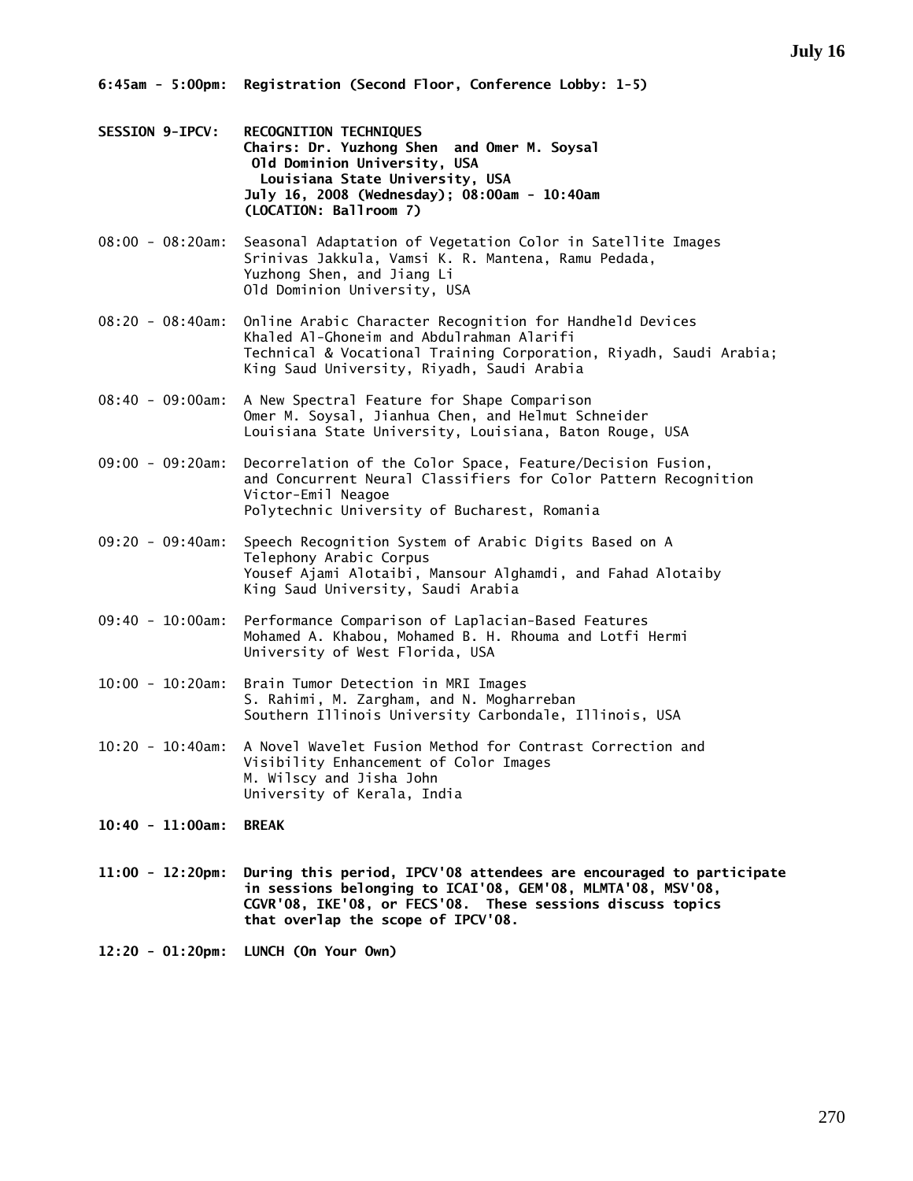- **SESSION 9-IPCV: RECOGNITION TECHNIQUES Chairs: Dr. Yuzhong Shen and Omer M. Soysal Old Dominion University, USA Louisiana State University, USA July 16, 2008 (Wednesday); 08:00am - 10:40am (LOCATION: Ballroom 7)**
- 08:00 08:20am: Seasonal Adaptation of Vegetation Color in Satellite Images Srinivas Jakkula, Vamsi K. R. Mantena, Ramu Pedada, Yuzhong Shen, and Jiang Li Old Dominion University, USA
- 08:20 08:40am: Online Arabic Character Recognition for Handheld Devices Khaled Al-Ghoneim and Abdulrahman Alarifi Technical & Vocational Training Corporation, Riyadh, Saudi Arabia; King Saud University, Riyadh, Saudi Arabia
- 08:40 09:00am: A New Spectral Feature for Shape Comparison Omer M. Soysal, Jianhua Chen, and Helmut Schneider Louisiana State University, Louisiana, Baton Rouge, USA
- 09:00 09:20am: Decorrelation of the Color Space, Feature/Decision Fusion, and Concurrent Neural Classifiers for Color Pattern Recognition Victor-Emil Neagoe Polytechnic University of Bucharest, Romania
- 09:20 09:40am: Speech Recognition System of Arabic Digits Based on A Telephony Arabic Corpus Yousef Ajami Alotaibi, Mansour Alghamdi, and Fahad Alotaiby King Saud University, Saudi Arabia
- 09:40 10:00am: Performance Comparison of Laplacian-Based Features Mohamed A. Khabou, Mohamed B. H. Rhouma and Lotfi Hermi University of West Florida, USA
- 10:00 10:20am: Brain Tumor Detection in MRI Images S. Rahimi, M. Zargham, and N. Mogharreban Southern Illinois University Carbondale, Illinois, USA
- 10:20 10:40am: A Novel Wavelet Fusion Method for Contrast Correction and Visibility Enhancement of Color Images M. Wilscy and Jisha John University of Kerala, India
- **10:40 11:00am: BREAK**
- **11:00 12:20pm: During this period, IPCV'08 attendees are encouraged to participate in sessions belonging to ICAI'08, GEM'08, MLMTA'08, MSV'08, CGVR'08, IKE'08, or FECS'08. These sessions discuss topics that overlap the scope of IPCV'08.**

**12:20 - 01:20pm: LUNCH (On Your Own)**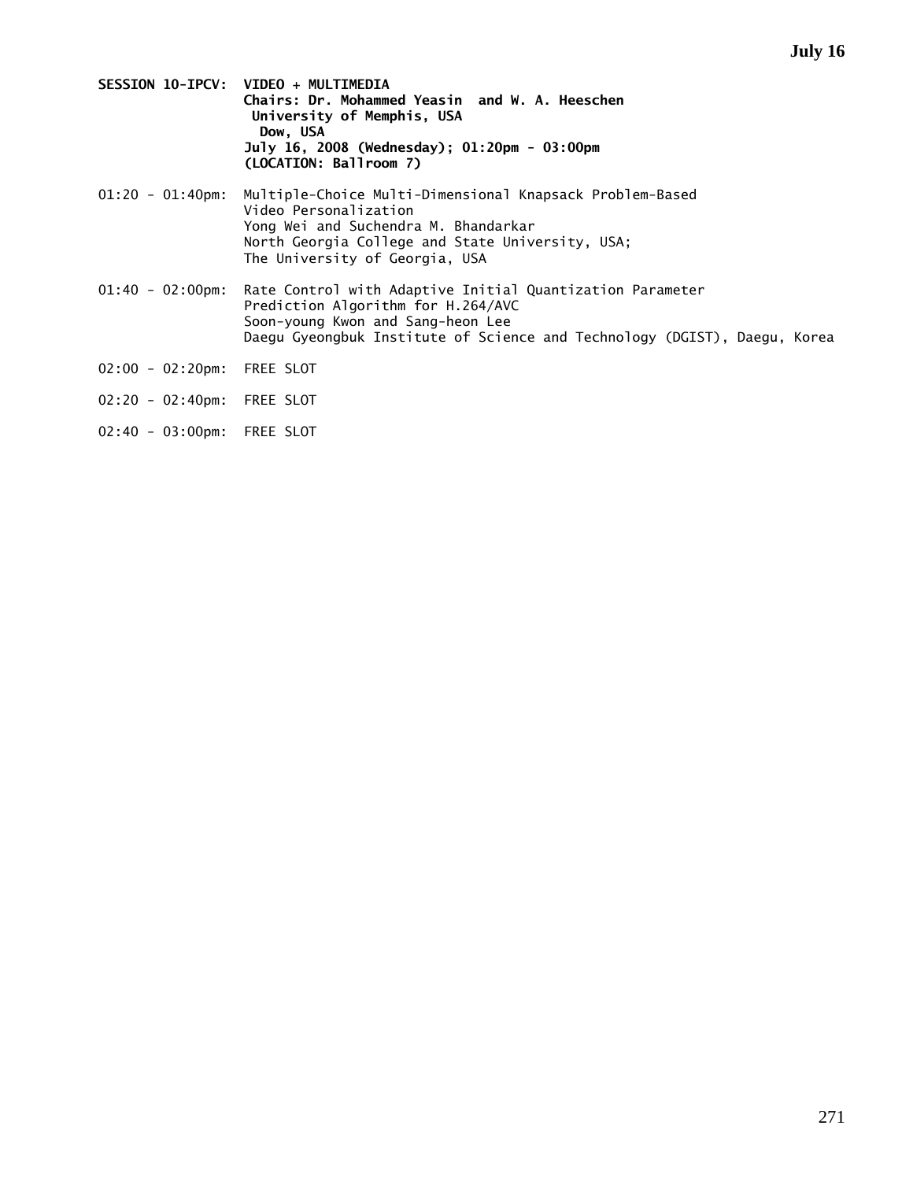- **SESSION 10-IPCV: VIDEO + MULTIMEDIA Chairs: Dr. Mohammed Yeasin and W. A. Heeschen University of Memphis, USA**  Dow, USA  **July 16, 2008 (Wednesday); 01:20pm - 03:00pm (LOCATION: Ballroom 7)**
- 01:20 01:40pm: Multiple-Choice Multi-Dimensional Knapsack Problem-Based Video Personalization Yong Wei and Suchendra M. Bhandarkar North Georgia College and State University, USA; The University of Georgia, USA
- 01:40 02:00pm: Rate Control with Adaptive Initial Quantization Parameter Prediction Algorithm for H.264/AVC Soon-young Kwon and Sang-heon Lee Daegu Gyeongbuk Institute of Science and Technology (DGIST), Daegu, Korea
- 02:00 02:20pm: FREE SLOT
- 02:20 02:40pm: FREE SLOT
- 02:40 03:00pm: FREE SLOT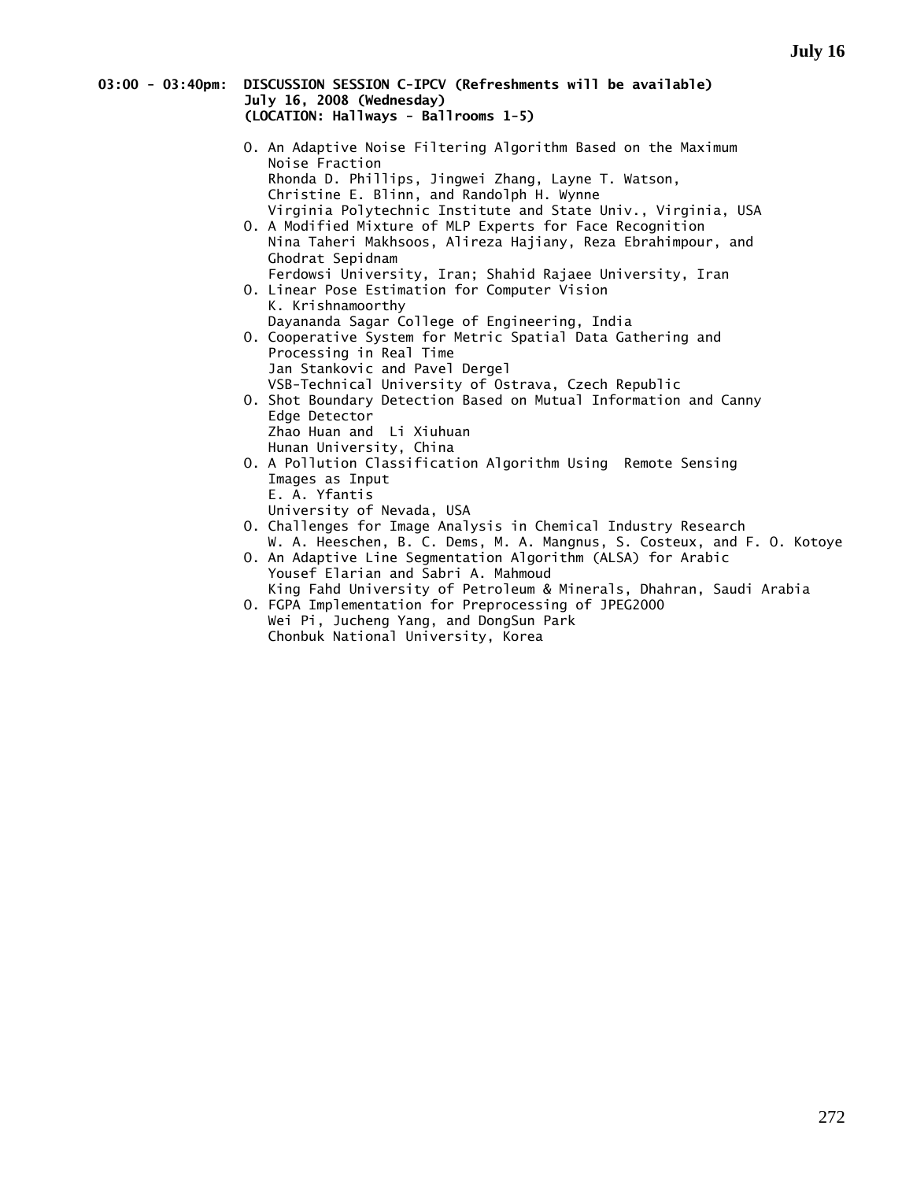### **03:00 - 03:40pm: DISCUSSION SESSION C-IPCV (Refreshments will be available) July 16, 2008 (Wednesday) (LOCATION: Hallways - Ballrooms 1-5)**

- O. An Adaptive Noise Filtering Algorithm Based on the Maximum Noise Fraction Rhonda D. Phillips, Jingwei Zhang, Layne T. Watson, Christine E. Blinn, and Randolph H. Wynne Virginia Polytechnic Institute and State Univ., Virginia, USA
- O. A Modified Mixture of MLP Experts for Face Recognition Nina Taheri Makhsoos, Alireza Hajiany, Reza Ebrahimpour, and Ghodrat Sepidnam
- Ferdowsi University, Iran; Shahid Rajaee University, Iran O. Linear Pose Estimation for Computer Vision
- K. Krishnamoorthy Dayananda Sagar College of Engineering, India
- O. Cooperative System for Metric Spatial Data Gathering and Processing in Real Time Jan Stankovic and Pavel Dergel
	- VSB-Technical University of Ostrava, Czech Republic
- O. Shot Boundary Detection Based on Mutual Information and Canny Edge Detector Zhao Huan and Li Xiuhuan
	- Hunan University, China
- O. A Pollution Classification Algorithm Using Remote Sensing Images as Input E. A. Yfantis University of Nevada, USA
- O. Challenges for Image Analysis in Chemical Industry Research W. A. Heeschen, B. C. Dems, M. A. Mangnus, S. Costeux, and F. O. Kotoye
- O. An Adaptive Line Segmentation Algorithm (ALSA) for Arabic Yousef Elarian and Sabri A. Mahmoud King Fahd University of Petroleum & Minerals, Dhahran, Saudi Arabia
- O. FGPA Implementation for Preprocessing of JPEG2000 Wei Pi, Jucheng Yang, and DongSun Park Chonbuk National University, Korea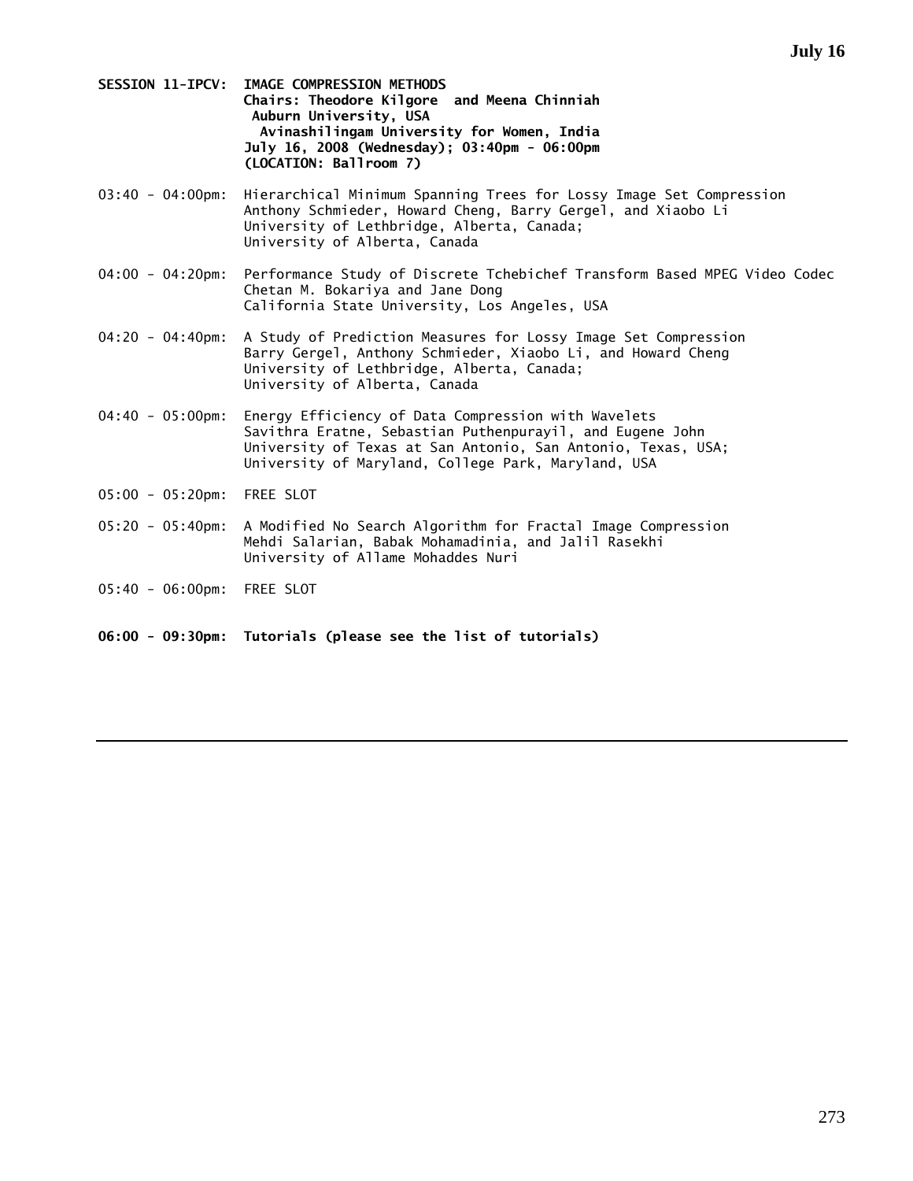- **SESSION 11-IPCV: IMAGE COMPRESSION METHODS Chairs: Theodore Kilgore and Meena Chinniah Auburn University, USA Avinashilingam University for Women, India July 16, 2008 (Wednesday); 03:40pm - 06:00pm (LOCATION: Ballroom 7)**
- 03:40 04:00pm: Hierarchical Minimum Spanning Trees for Lossy Image Set Compression Anthony Schmieder, Howard Cheng, Barry Gergel, and Xiaobo Li University of Lethbridge, Alberta, Canada; University of Alberta, Canada
- 04:00 04:20pm: Performance Study of Discrete Tchebichef Transform Based MPEG Video Codec Chetan M. Bokariya and Jane Dong California State University, Los Angeles, USA
- 04:20 04:40pm: A Study of Prediction Measures for Lossy Image Set Compression Barry Gergel, Anthony Schmieder, Xiaobo Li, and Howard Cheng University of Lethbridge, Alberta, Canada; University of Alberta, Canada
- 04:40 05:00pm: Energy Efficiency of Data Compression with Wavelets Savithra Eratne, Sebastian Puthenpurayil, and Eugene John University of Texas at San Antonio, San Antonio, Texas, USA; University of Maryland, College Park, Maryland, USA
- 05:00 05:20pm: FREE SLOT
- 05:20 05:40pm: A Modified No Search Algorithm for Fractal Image Compression Mehdi Salarian, Babak Mohamadinia, and Jalil Rasekhi University of Allame Mohaddes Nuri
- 05:40 06:00pm: FREE SLOT
- **06:00 09:30pm: Tutorials (please see the list of tutorials)**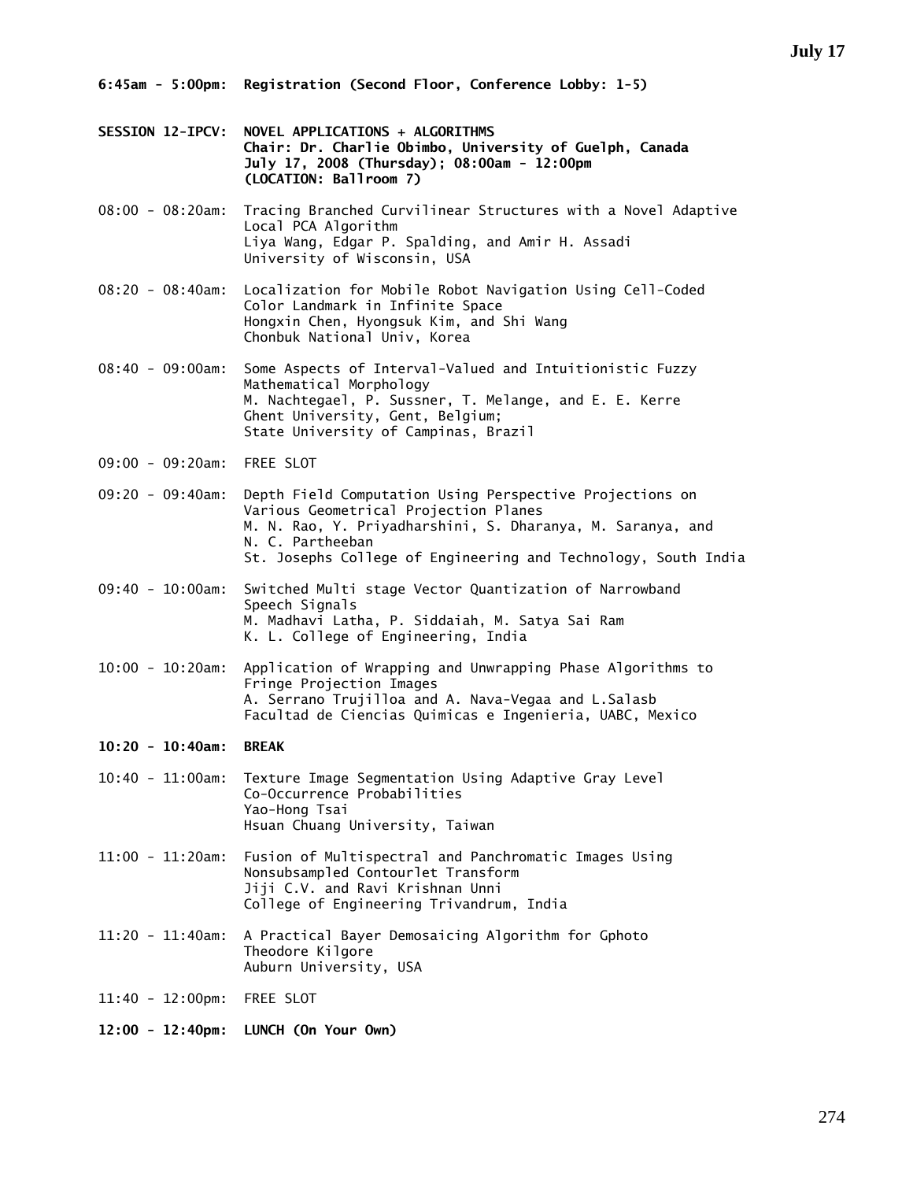- **SESSION 12-IPCV: NOVEL APPLICATIONS + ALGORITHMS Chair: Dr. Charlie Obimbo, University of Guelph, Canada July 17, 2008 (Thursday); 08:00am - 12:00pm (LOCATION: Ballroom 7)**
- 08:00 08:20am: Tracing Branched Curvilinear Structures with a Novel Adaptive Local PCA Algorithm Liya Wang, Edgar P. Spalding, and Amir H. Assadi University of Wisconsin, USA
- 08:20 08:40am: Localization for Mobile Robot Navigation Using Cell-Coded Color Landmark in Infinite Space Hongxin Chen, Hyongsuk Kim, and Shi Wang Chonbuk National Univ, Korea
- 08:40 09:00am: Some Aspects of Interval-Valued and Intuitionistic Fuzzy Mathematical Morphology M. Nachtegael, P. Sussner, T. Melange, and E. E. Kerre Ghent University, Gent, Belgium; State University of Campinas, Brazil
- 09:00 09:20am: FREE SLOT
- 09:20 09:40am: Depth Field Computation Using Perspective Projections on Various Geometrical Projection Planes M. N. Rao, Y. Priyadharshini, S. Dharanya, M. Saranya, and N. C. Partheeban St. Josephs College of Engineering and Technology, South India
- 09:40 10:00am: Switched Multi stage Vector Quantization of Narrowband Speech Signals M. Madhavi Latha, P. Siddaiah, M. Satya Sai Ram K. L. College of Engineering, India
- 10:00 10:20am: Application of Wrapping and Unwrapping Phase Algorithms to Fringe Projection Images A. Serrano Trujilloa and A. Nava-Vegaa and L.Salasb Facultad de Ciencias Quimicas e Ingenieria, UABC, Mexico
- **10:20 10:40am: BREAK**
- 10:40 11:00am: Texture Image Segmentation Using Adaptive Gray Level Co-Occurrence Probabilities Yao-Hong Tsai Hsuan Chuang University, Taiwan
- 11:00 11:20am: Fusion of Multispectral and Panchromatic Images Using Nonsubsampled Contourlet Transform Jiji C.V. and Ravi Krishnan Unni College of Engineering Trivandrum, India
- 11:20 11:40am: A Practical Bayer Demosaicing Algorithm for Gphoto Theodore Kilgore Auburn University, USA
- 11:40 12:00pm: FREE SLOT
- **12:00 12:40pm: LUNCH (On Your Own)**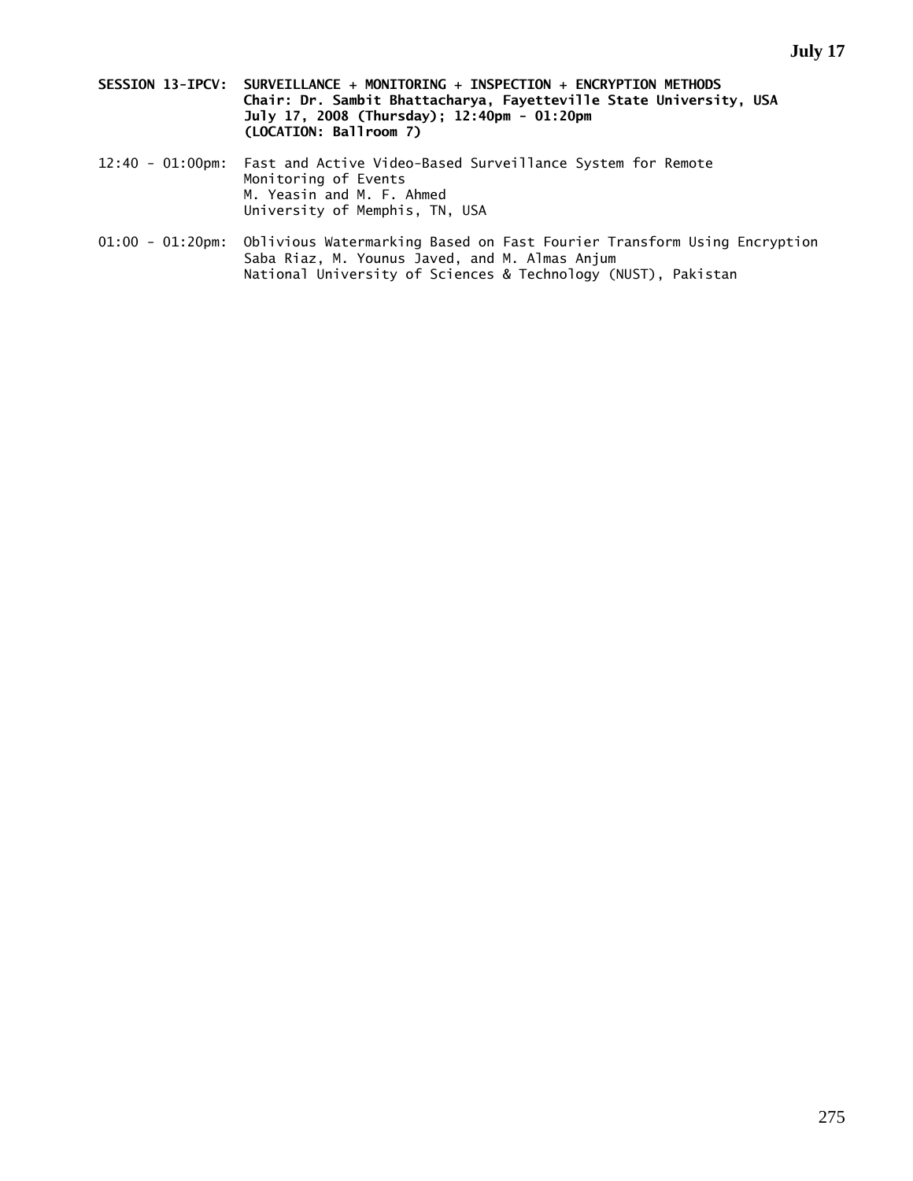- **SESSION 13-IPCV: SURVEILLANCE + MONITORING + INSPECTION + ENCRYPTION METHODS Chair: Dr. Sambit Bhattacharya, Fayetteville State University, USA July 17, 2008 (Thursday); 12:40pm - 01:20pm (LOCATION: Ballroom 7)**
- 12:40 01:00pm: Fast and Active Video-Based Surveillance System for Remote Monitoring of Events M. Yeasin and M. F. Ahmed University of Memphis, TN, USA
- 01:00 01:20pm: Oblivious Watermarking Based on Fast Fourier Transform Using Encryption Saba Riaz, M. Younus Javed, and M. Almas Anjum National University of Sciences & Technology (NUST), Pakistan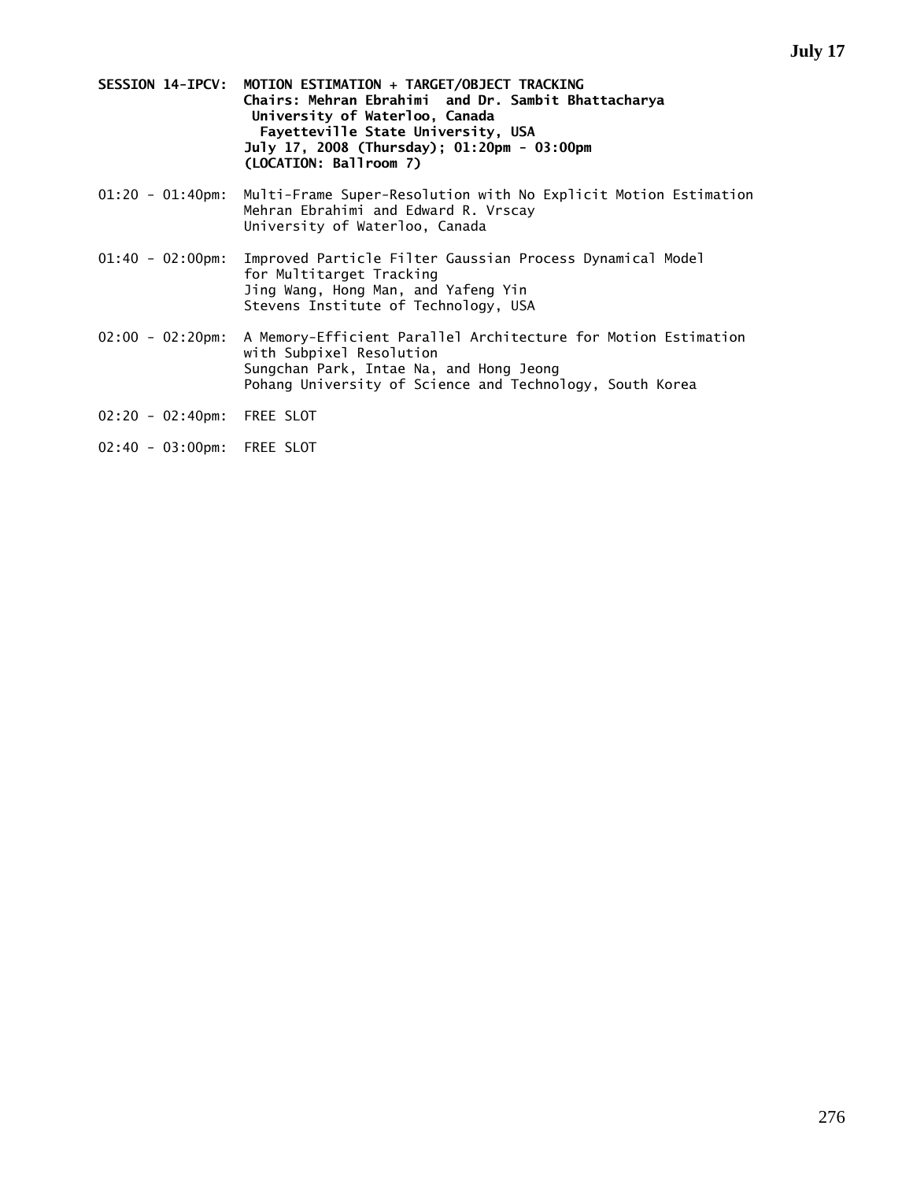- **SESSION 14-IPCV: MOTION ESTIMATION + TARGET/OBJECT TRACKING Chairs: Mehran Ebrahimi and Dr. Sambit Bhattacharya University of Waterloo, Canada Fayetteville State University, USA July 17, 2008 (Thursday); 01:20pm - 03:00pm (LOCATION: Ballroom 7)**
- 01:20 01:40pm: Multi-Frame Super-Resolution with No Explicit Motion Estimation Mehran Ebrahimi and Edward R. Vrscay University of Waterloo, Canada
- 01:40 02:00pm: Improved Particle Filter Gaussian Process Dynamical Model for Multitarget Tracking Jing Wang, Hong Man, and Yafeng Yin Stevens Institute of Technology, USA
- 02:00 02:20pm: A Memory-Efficient Parallel Architecture for Motion Estimation with Subpixel Resolution Sungchan Park, Intae Na, and Hong Jeong Pohang University of Science and Technology, South Korea
- 02:20 02:40pm: FREE SLOT
- 02:40 03:00pm: FREE SLOT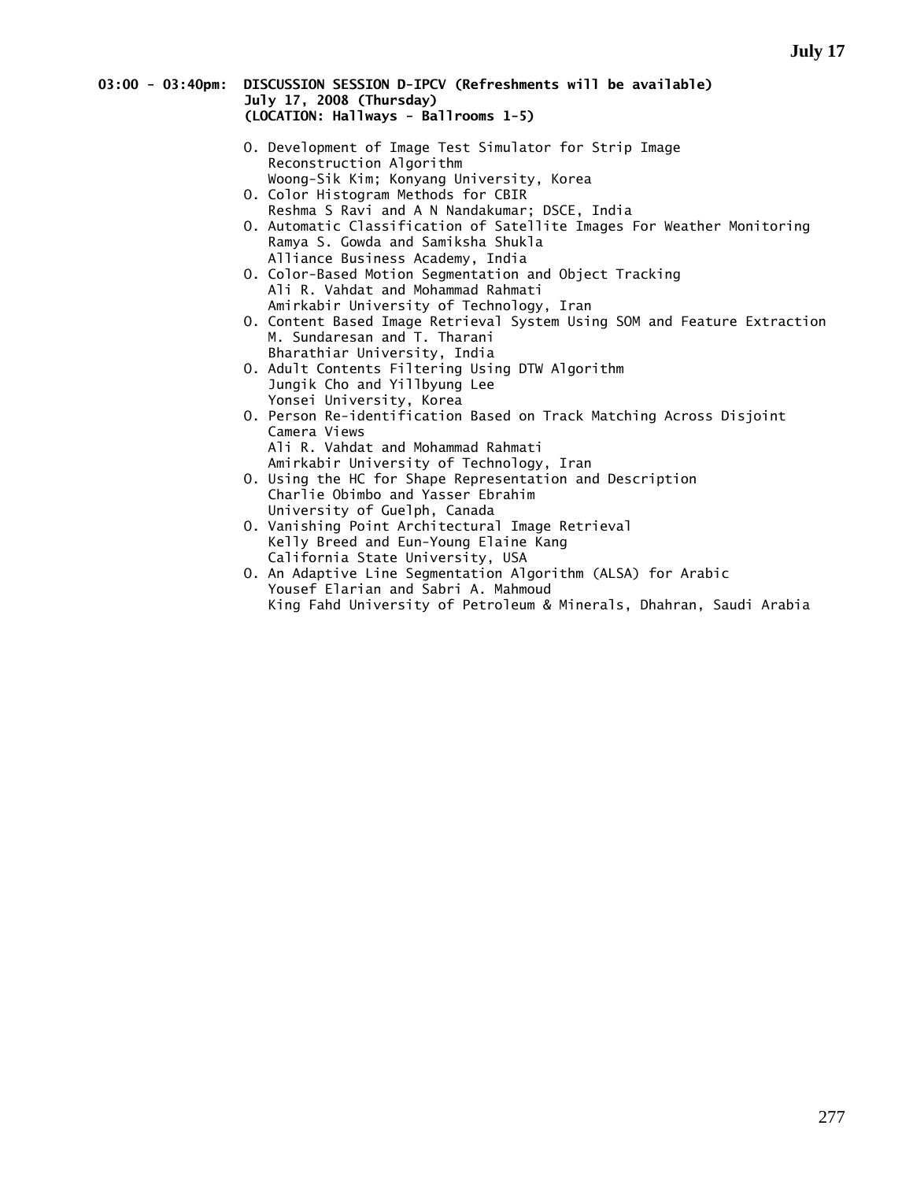### **03:00 - 03:40pm: DISCUSSION SESSION D-IPCV (Refreshments will be available) July 17, 2008 (Thursday) (LOCATION: Hallways - Ballrooms 1-5)**

- O. Development of Image Test Simulator for Strip Image Reconstruction Algorithm Woong-Sik Kim; Konyang University, Korea
- O. Color Histogram Methods for CBIR Reshma S Ravi and A N Nandakumar; DSCE, India
- O. Automatic Classification of Satellite Images For Weather Monitoring Ramya S. Gowda and Samiksha Shukla Alliance Business Academy, India
- O. Color-Based Motion Segmentation and Object Tracking Ali R. Vahdat and Mohammad Rahmati Amirkabir University of Technology, Iran
- O. Content Based Image Retrieval System Using SOM and Feature Extraction M. Sundaresan and T. Tharani Bharathiar University, India
- O. Adult Contents Filtering Using DTW Algorithm Jungik Cho and Yillbyung Lee Yonsei University, Korea
- O. Person Re-identification Based on Track Matching Across Disjoint Camera Views Ali R. Vahdat and Mohammad Rahmati Amirkabir University of Technology, Iran
- O. Using the HC for Shape Representation and Description Charlie Obimbo and Yasser Ebrahim University of Guelph, Canada
- O. Vanishing Point Architectural Image Retrieval Kelly Breed and Eun-Young Elaine Kang California State University, USA
- O. An Adaptive Line Segmentation Algorithm (ALSA) for Arabic Yousef Elarian and Sabri A. Mahmoud King Fahd University of Petroleum & Minerals, Dhahran, Saudi Arabia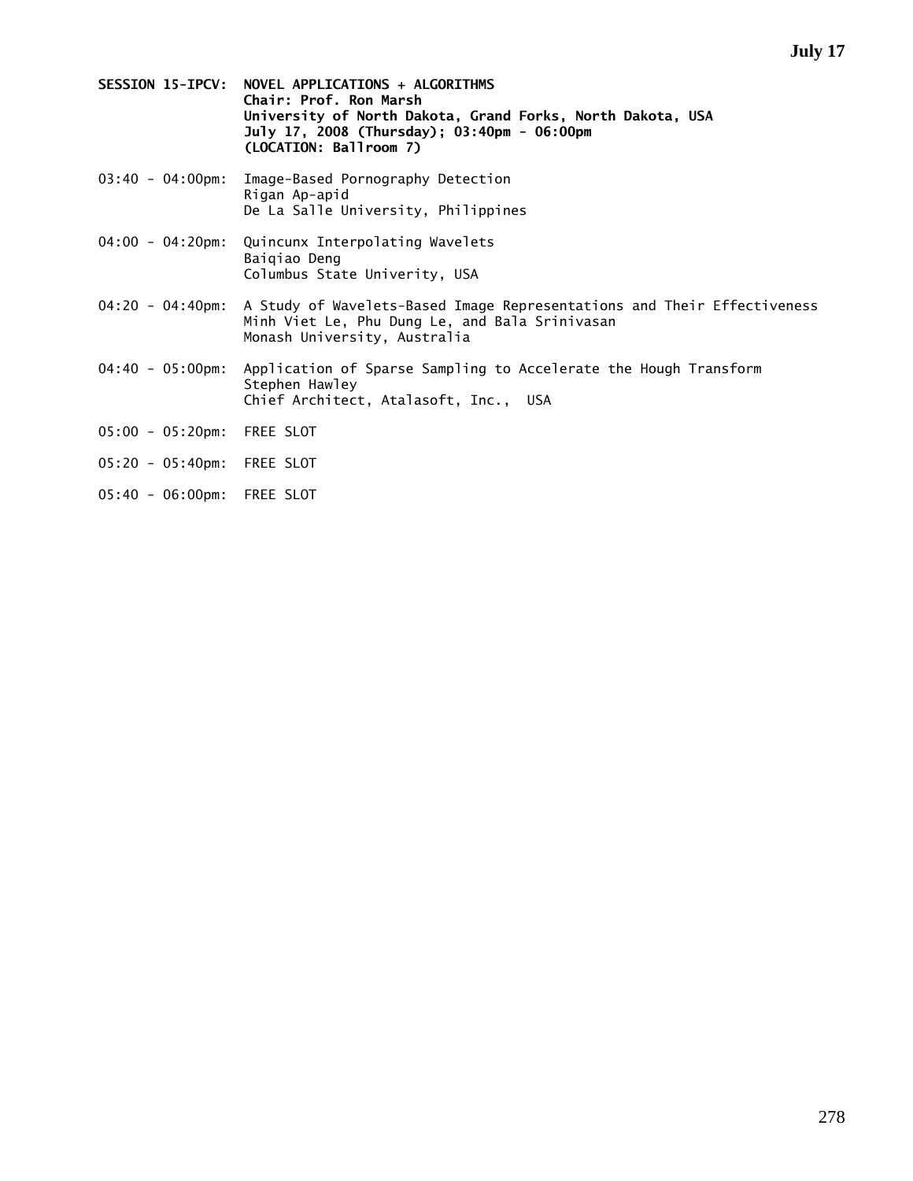- **SESSION 15-IPCV: NOVEL APPLICATIONS + ALGORITHMS Chair: Prof. Ron Marsh University of North Dakota, Grand Forks, North Dakota, USA July 17, 2008 (Thursday); 03:40pm - 06:00pm (LOCATION: Ballroom 7)**
- 03:40 04:00pm: Image-Based Pornography Detection Rigan Ap-apid De La Salle University, Philippines
- 04:00 04:20pm: Quincunx Interpolating Wavelets Baiqiao Deng Columbus State Univerity, USA
- 04:20 04:40pm: A Study of Wavelets-Based Image Representations and Their Effectiveness Minh Viet Le, Phu Dung Le, and Bala Srinivasan Monash University, Australia
- 04:40 05:00pm: Application of Sparse Sampling to Accelerate the Hough Transform Stephen Hawley Chief Architect, Atalasoft, Inc., USA
- 05:00 05:20pm: FREE SLOT
- 05:20 05:40pm: FREE SLOT
- 05:40 06:00pm: FREE SLOT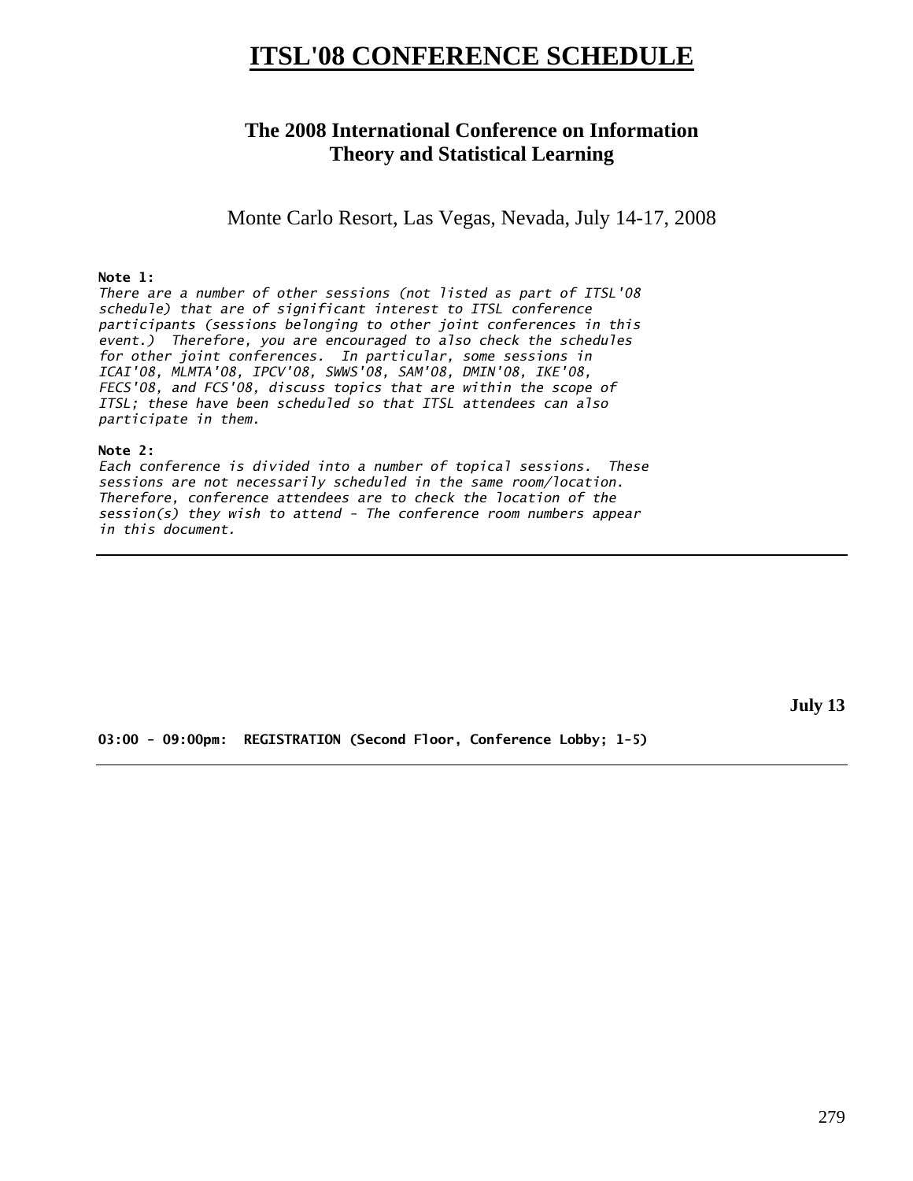# **ITSL'08 CONFERENCE SCHEDULE**

# **The 2008 International Conference on Information Theory and Statistical Learning**

Monte Carlo Resort, Las Vegas, Nevada, July 14-17, 2008

## **Note 1:**

*There are a number of other sessions (not listed as part of ITSL'08 schedule) that are of significant interest to ITSL conference participants (sessions belonging to other joint conferences in this event.) Therefore, you are encouraged to also check the schedules for other joint conferences. In particular, some sessions in ICAI'08, MLMTA'08, IPCV'08, SWWS'08, SAM'08, DMIN'08, IKE'08, FECS'08, and FCS'08, discuss topics that are within the scope of ITSL; these have been scheduled so that ITSL attendees can also participate in them.* 

## **Note 2:**

*Each conference is divided into a number of topical sessions. These sessions are not necessarily scheduled in the same room/location. Therefore, conference attendees are to check the location of the session(s) they wish to attend - The conference room numbers appear in this document.* 

**July 13** 

**03:00 - 09:00pm: REGISTRATION (Second Floor, Conference Lobby; 1-5)**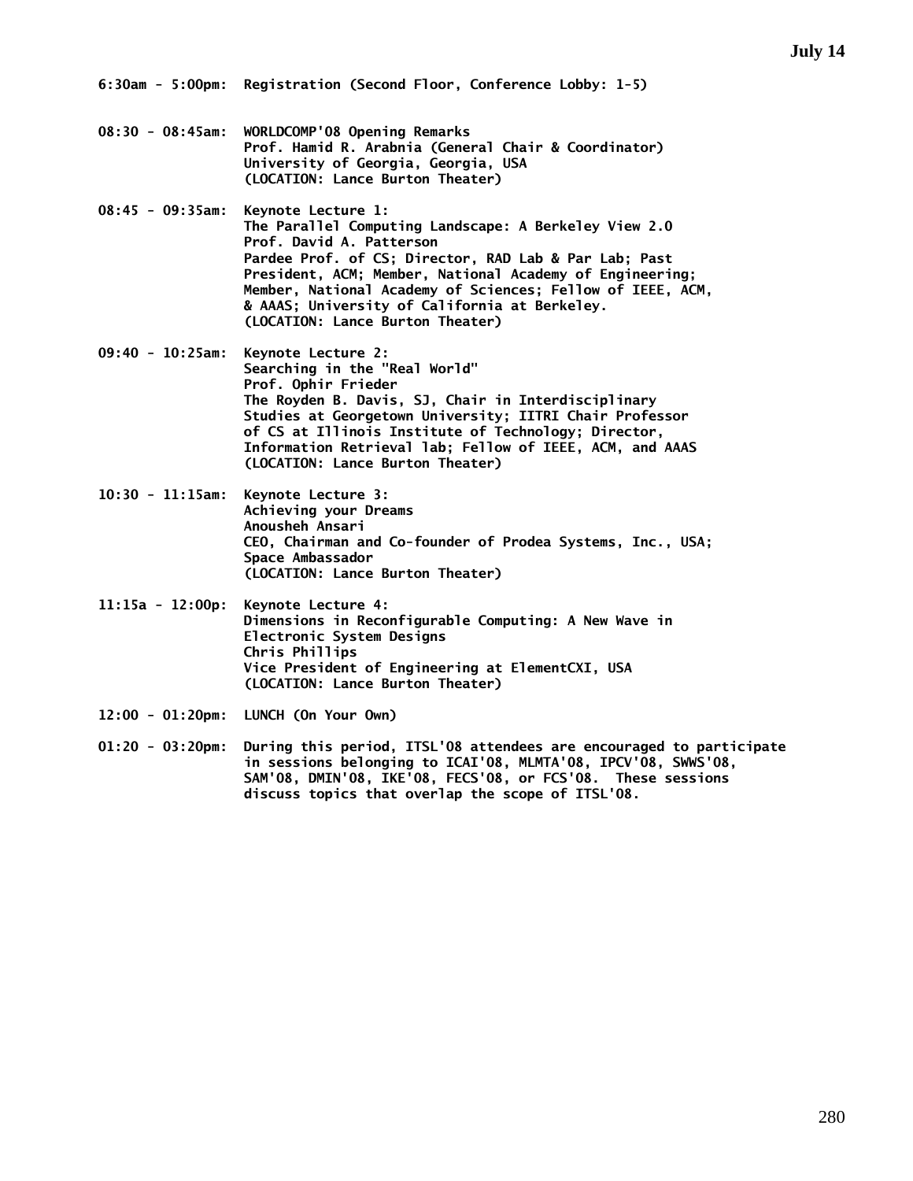- **08:30 08:45am: WORLDCOMP'08 Opening Remarks Prof. Hamid R. Arabnia (General Chair & Coordinator) University of Georgia, Georgia, USA (LOCATION: Lance Burton Theater)**
- **08:45 09:35am: Keynote Lecture 1: The Parallel Computing Landscape: A Berkeley View 2.0 Prof. David A. Patterson Pardee Prof. of CS; Director, RAD Lab & Par Lab; Past President, ACM; Member, National Academy of Engineering; Member, National Academy of Sciences; Fellow of IEEE, ACM, & AAAS; University of California at Berkeley. (LOCATION: Lance Burton Theater)**
- **09:40 10:25am: Keynote Lecture 2: Searching in the "Real World" Prof. Ophir Frieder The Royden B. Davis, SJ, Chair in Interdisciplinary Studies at Georgetown University; IITRI Chair Professor of CS at Illinois Institute of Technology; Director, Information Retrieval lab; Fellow of IEEE, ACM, and AAAS (LOCATION: Lance Burton Theater)**
- **10:30 11:15am: Keynote Lecture 3: Achieving your Dreams Anousheh Ansari CEO, Chairman and Co-founder of Prodea Systems, Inc., USA; Space Ambassador (LOCATION: Lance Burton Theater)**
- **11:15a 12:00p: Keynote Lecture 4: Dimensions in Reconfigurable Computing: A New Wave in Electronic System Designs Chris Phillips Vice President of Engineering at ElementCXI, USA (LOCATION: Lance Burton Theater)**
- **12:00 01:20pm: LUNCH (On Your Own)**
- **01:20 03:20pm: During this period, ITSL'08 attendees are encouraged to participate in sessions belonging to ICAI'08, MLMTA'08, IPCV'08, SWWS'08, SAM'08, DMIN'08, IKE'08, FECS'08, or FCS'08. These sessions discuss topics that overlap the scope of ITSL'08.**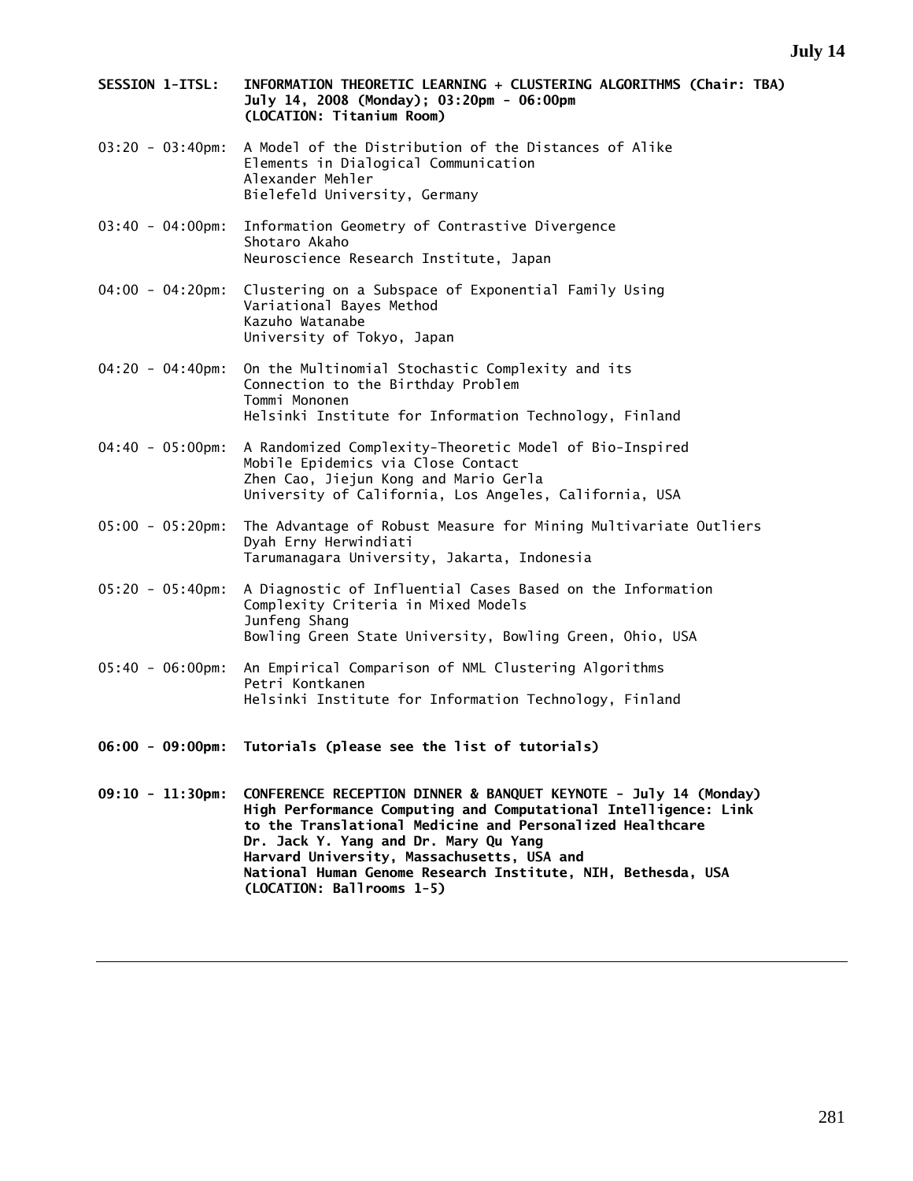- **SESSION 1-ITSL: INFORMATION THEORETIC LEARNING + CLUSTERING ALGORITHMS (Chair: TBA) July 14, 2008 (Monday); 03:20pm - 06:00pm (LOCATION: Titanium Room)**
- 03:20 03:40pm: A Model of the Distribution of the Distances of Alike Elements in Dialogical Communication Alexander Mehler Bielefeld University, Germany
- 03:40 04:00pm: Information Geometry of Contrastive Divergence Shotaro Akaho Neuroscience Research Institute, Japan
- 04:00 04:20pm: Clustering on a Subspace of Exponential Family Using Variational Bayes Method Kazuho Watanabe University of Tokyo, Japan
- 04:20 04:40pm: On the Multinomial Stochastic Complexity and its Connection to the Birthday Problem Tommi Mononen Helsinki Institute for Information Technology, Finland
- 04:40 05:00pm: A Randomized Complexity-Theoretic Model of Bio-Inspired Mobile Epidemics via Close Contact Zhen Cao, Jiejun Kong and Mario Gerla University of California, Los Angeles, California, USA
- 05:00 05:20pm: The Advantage of Robust Measure for Mining Multivariate Outliers Dyah Erny Herwindiati Tarumanagara University, Jakarta, Indonesia
- 05:20 05:40pm: A Diagnostic of Influential Cases Based on the Information Complexity Criteria in Mixed Models Junfeng Shang Bowling Green State University, Bowling Green, Ohio, USA
- 05:40 06:00pm: An Empirical Comparison of NML Clustering Algorithms Petri Kontkanen Helsinki Institute for Information Technology, Finland
- **06:00 09:00pm: Tutorials (please see the list of tutorials)**
- **09:10 11:30pm: CONFERENCE RECEPTION DINNER & BANQUET KEYNOTE July 14 (Monday) High Performance Computing and Computational Intelligence: Link to the Translational Medicine and Personalized Healthcare Dr. Jack Y. Yang and Dr. Mary Qu Yang Harvard University, Massachusetts, USA and National Human Genome Research Institute, NIH, Bethesda, USA (LOCATION: Ballrooms 1-5)**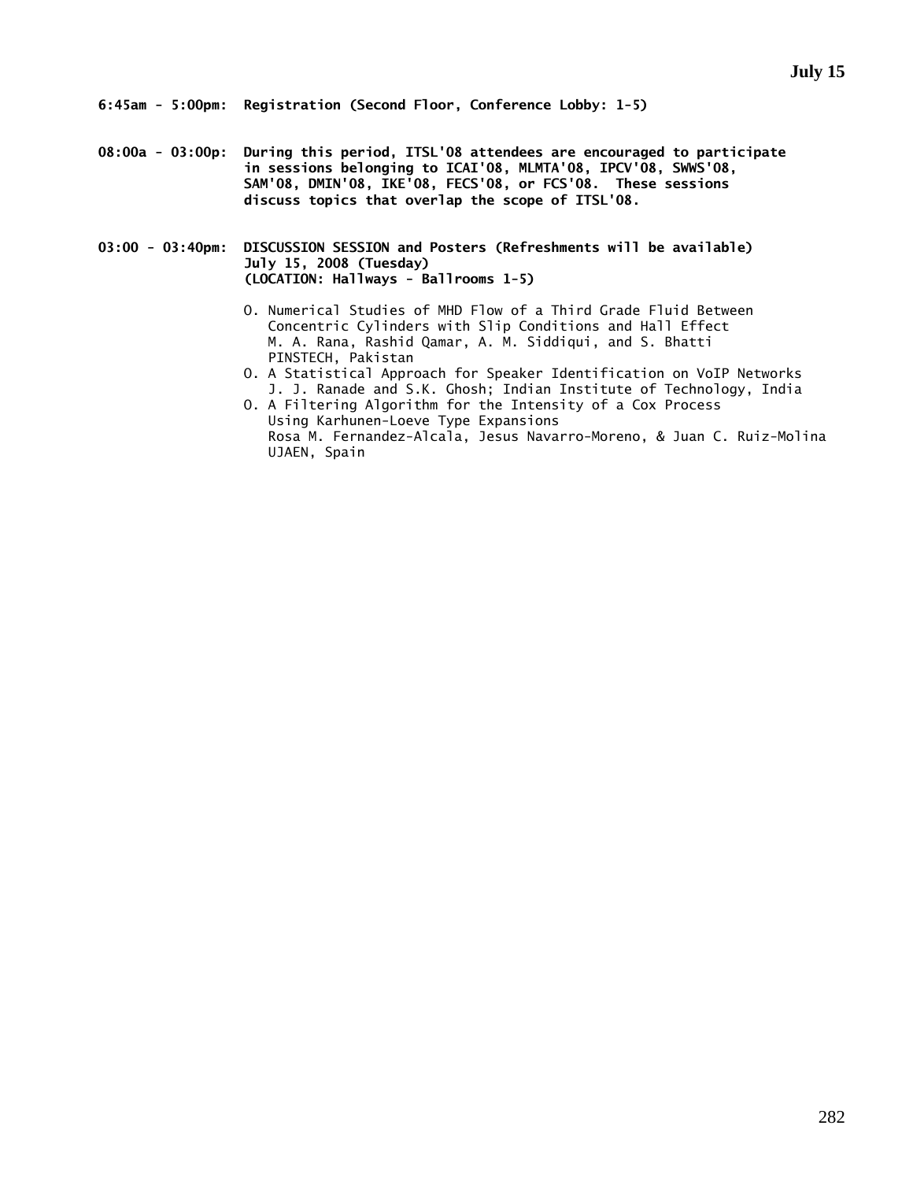**08:00a - 03:00p: During this period, ITSL'08 attendees are encouraged to participate in sessions belonging to ICAI'08, MLMTA'08, IPCV'08, SWWS'08, SAM'08, DMIN'08, IKE'08, FECS'08, or FCS'08. These sessions discuss topics that overlap the scope of ITSL'08.** 

**03:00 - 03:40pm: DISCUSSION SESSION and Posters (Refreshments will be available) July 15, 2008 (Tuesday) (LOCATION: Hallways - Ballrooms 1-5)** 

- O. Numerical Studies of MHD Flow of a Third Grade Fluid Between Concentric Cylinders with Slip Conditions and Hall Effect M. A. Rana, Rashid Qamar, A. M. Siddiqui, and S. Bhatti PINSTECH, Pakistan
- O. A Statistical Approach for Speaker Identification on VoIP Networks J. J. Ranade and S.K. Ghosh; Indian Institute of Technology, India
- O. A Filtering Algorithm for the Intensity of a Cox Process Using Karhunen-Loeve Type Expansions Rosa M. Fernandez-Alcala, Jesus Navarro-Moreno, & Juan C. Ruiz-Molina UJAEN, Spain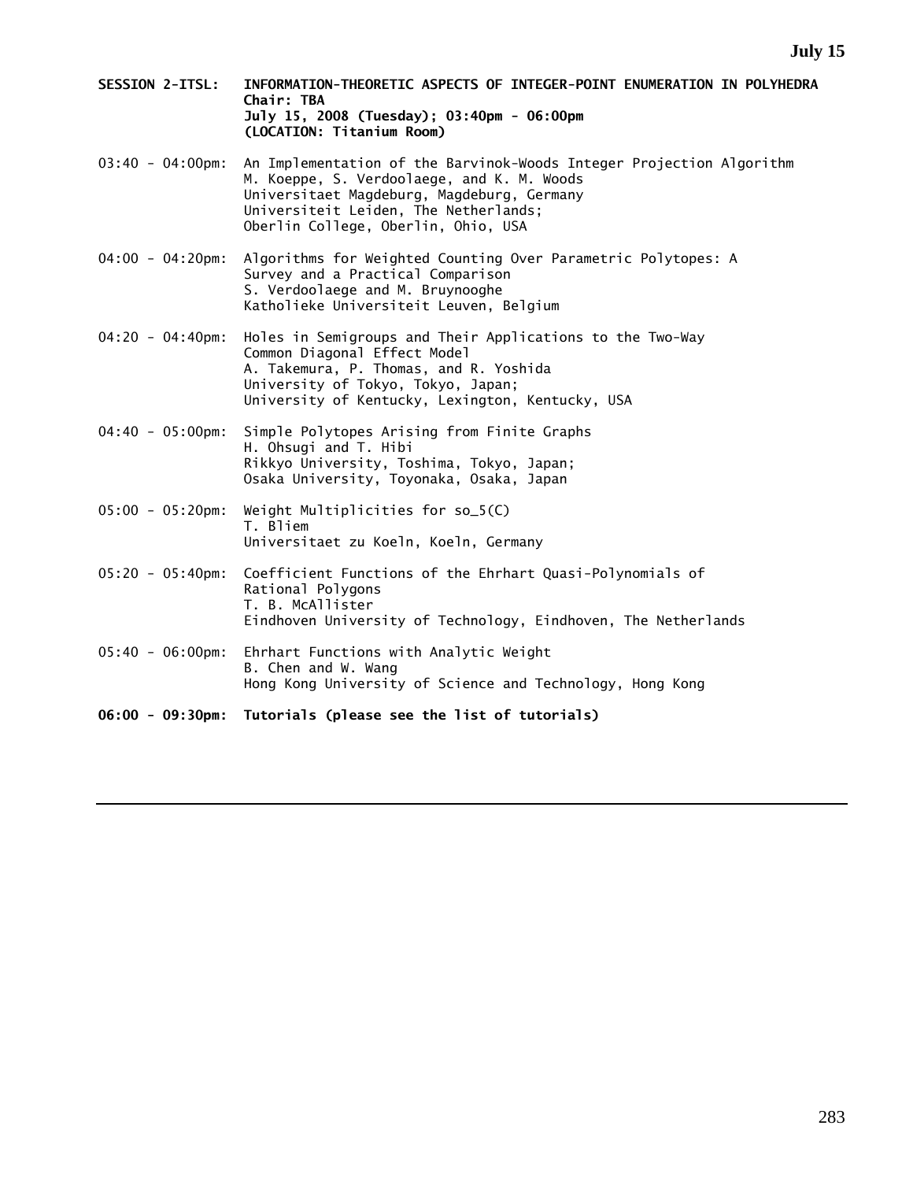- **SESSION 2-ITSL: INFORMATION-THEORETIC ASPECTS OF INTEGER-POINT ENUMERATION IN POLYHEDRA Chair: TBA July 15, 2008 (Tuesday); 03:40pm - 06:00pm (LOCATION: Titanium Room)**
- 03:40 04:00pm: An Implementation of the Barvinok-Woods Integer Projection Algorithm M. Koeppe, S. Verdoolaege, and K. M. Woods Universitaet Magdeburg, Magdeburg, Germany Universiteit Leiden, The Netherlands; Oberlin College, Oberlin, Ohio, USA
- 04:00 04:20pm: Algorithms for Weighted Counting Over Parametric Polytopes: A Survey and a Practical Comparison S. Verdoolaege and M. Bruynooghe Katholieke Universiteit Leuven, Belgium
- 04:20 04:40pm: Holes in Semigroups and Their Applications to the Two-Way Common Diagonal Effect Model A. Takemura, P. Thomas, and R. Yoshida University of Tokyo, Tokyo, Japan; University of Kentucky, Lexington, Kentucky, USA
- 04:40 05:00pm: Simple Polytopes Arising from Finite Graphs H. Ohsugi and T. Hibi Rikkyo University, Toshima, Tokyo, Japan; Osaka University, Toyonaka, Osaka, Japan
- 05:00 05:20pm: Weight Multiplicities for so\_5(C) T. Bliem Universitaet zu Koeln, Koeln, Germany
- 05:20 05:40pm: Coefficient Functions of the Ehrhart Quasi-Polynomials of Rational Polygons T. B. McAllister Eindhoven University of Technology, Eindhoven, The Netherlands
- 05:40 06:00pm: Ehrhart Functions with Analytic Weight B. Chen and W. Wang Hong Kong University of Science and Technology, Hong Kong
- **06:00 09:30pm: Tutorials (please see the list of tutorials)**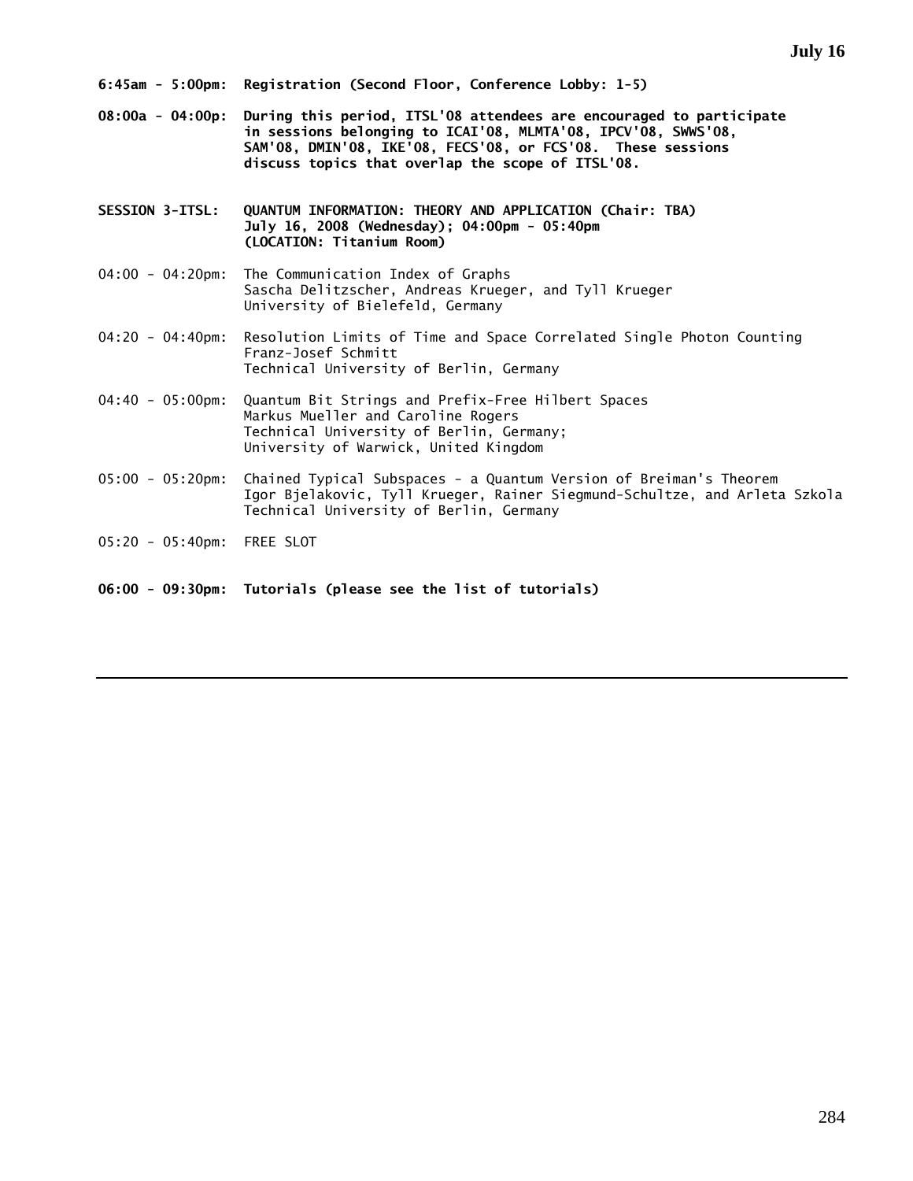**08:00a - 04:00p: During this period, ITSL'08 attendees are encouraged to participate in sessions belonging to ICAI'08, MLMTA'08, IPCV'08, SWWS'08, SAM'08, DMIN'08, IKE'08, FECS'08, or FCS'08. These sessions discuss topics that overlap the scope of ITSL'08.** 

**SESSION 3-ITSL: QUANTUM INFORMATION: THEORY AND APPLICATION (Chair: TBA) July 16, 2008 (Wednesday); 04:00pm - 05:40pm (LOCATION: Titanium Room)** 

- 04:00 04:20pm: The Communication Index of Graphs Sascha Delitzscher, Andreas Krueger, and Tyll Krueger University of Bielefeld, Germany
- 04:20 04:40pm: Resolution Limits of Time and Space Correlated Single Photon Counting Franz-Josef Schmitt Technical University of Berlin, Germany
- 04:40 05:00pm: Quantum Bit Strings and Prefix-Free Hilbert Spaces Markus Mueller and Caroline Rogers Technical University of Berlin, Germany; University of Warwick, United Kingdom
- 05:00 05:20pm: Chained Typical Subspaces a Quantum Version of Breiman's Theorem Igor Bjelakovic, Tyll Krueger, Rainer Siegmund-Schultze, and Arleta Szkola Technical University of Berlin, Germany
- 05:20 05:40pm: FREE SLOT
- **06:00 09:30pm: Tutorials (please see the list of tutorials)**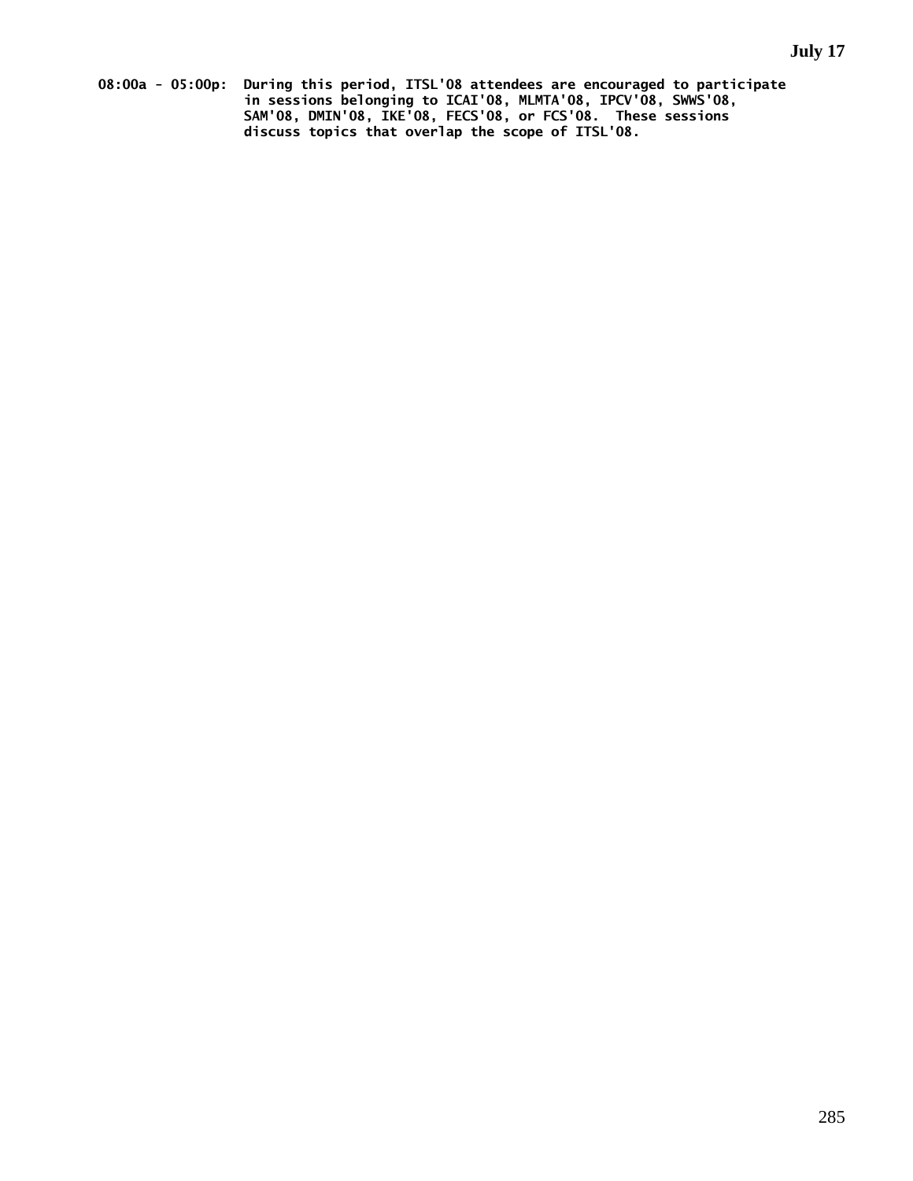**08:00a - 05:00p: During this period, ITSL'08 attendees are encouraged to participate in sessions belonging to ICAI'08, MLMTA'08, IPCV'08, SWWS'08, SAM'08, DMIN'08, IKE'08, FECS'08, or FCS'08. These sessions discuss topics that overlap the scope of ITSL'08.**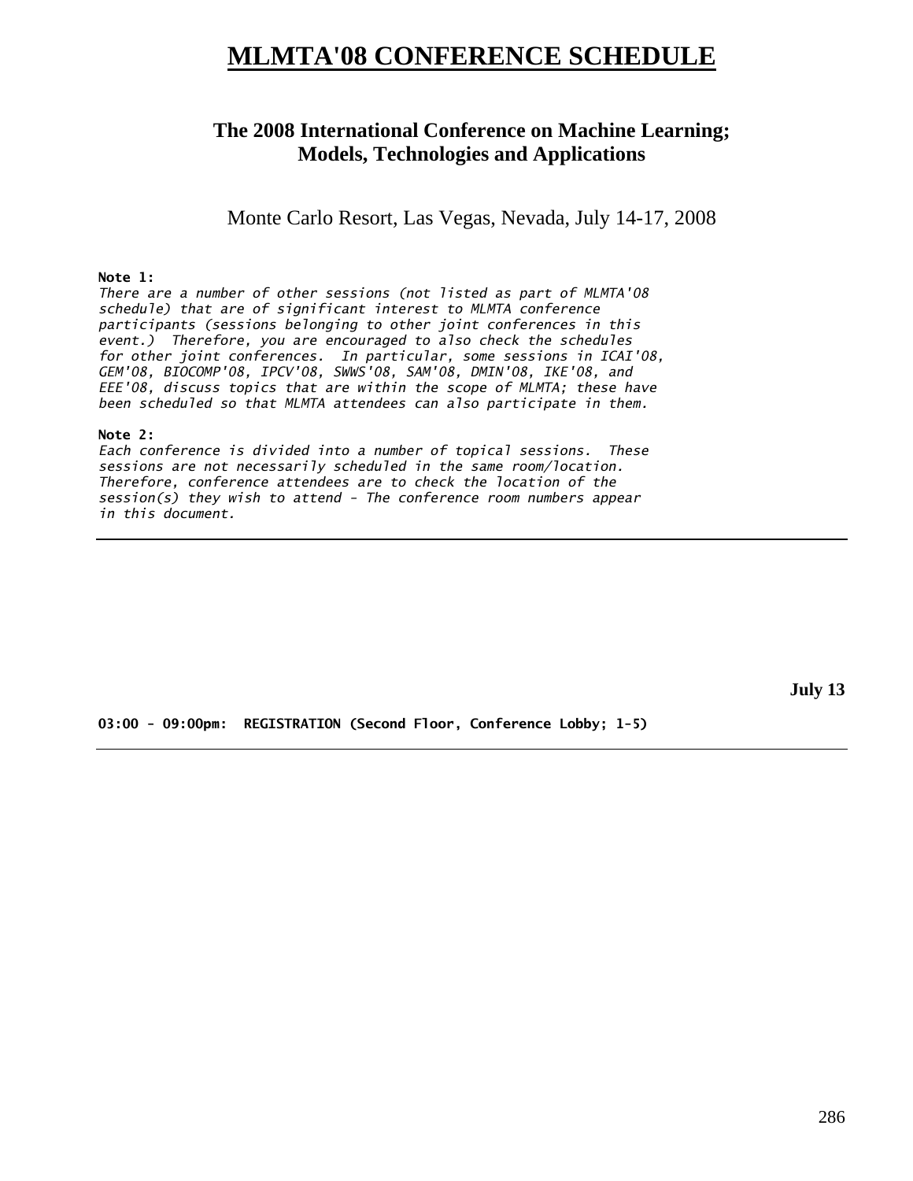# **MLMTA'08 CONFERENCE SCHEDULE**

# **The 2008 International Conference on Machine Learning; Models, Technologies and Applications**

Monte Carlo Resort, Las Vegas, Nevada, July 14-17, 2008

## **Note 1:**

*There are a number of other sessions (not listed as part of MLMTA'08 schedule) that are of significant interest to MLMTA conference participants (sessions belonging to other joint conferences in this event.) Therefore, you are encouraged to also check the schedules for other joint conferences. In particular, some sessions in ICAI'08, GEM'08, BIOCOMP'08, IPCV'08, SWWS'08, SAM'08, DMIN'08, IKE'08, and EEE'08, discuss topics that are within the scope of MLMTA; these have been scheduled so that MLMTA attendees can also participate in them.* 

#### **Note 2:**

*Each conference is divided into a number of topical sessions. These sessions are not necessarily scheduled in the same room/location. Therefore, conference attendees are to check the location of the session(s) they wish to attend - The conference room numbers appear in this document.* 

**July 13** 

**03:00 - 09:00pm: REGISTRATION (Second Floor, Conference Lobby; 1-5)**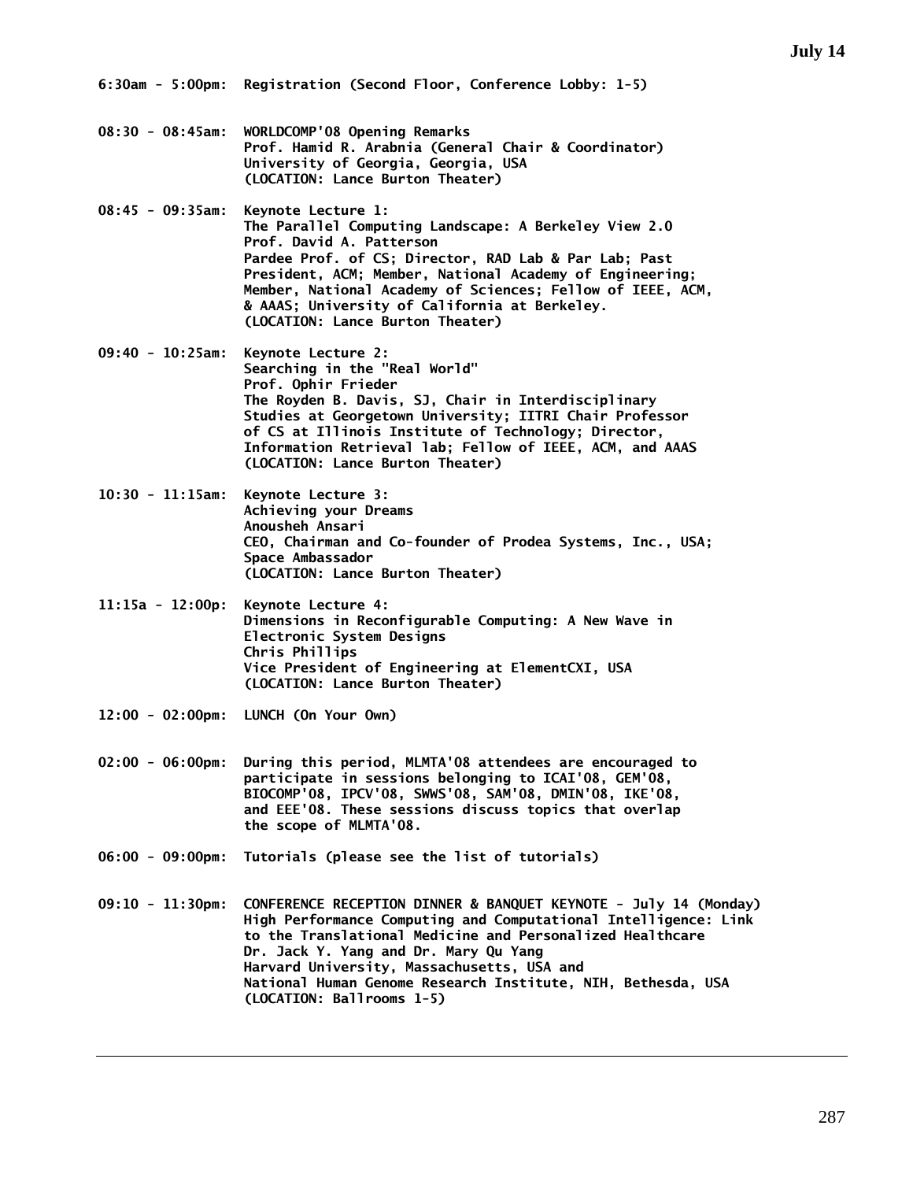- **08:30 08:45am: WORLDCOMP'08 Opening Remarks Prof. Hamid R. Arabnia (General Chair & Coordinator) University of Georgia, Georgia, USA (LOCATION: Lance Burton Theater)**
- **08:45 09:35am: Keynote Lecture 1: The Parallel Computing Landscape: A Berkeley View 2.0 Prof. David A. Patterson Pardee Prof. of CS; Director, RAD Lab & Par Lab; Past President, ACM; Member, National Academy of Engineering; Member, National Academy of Sciences; Fellow of IEEE, ACM, & AAAS; University of California at Berkeley. (LOCATION: Lance Burton Theater)**
- **09:40 10:25am: Keynote Lecture 2: Searching in the "Real World" Prof. Ophir Frieder The Royden B. Davis, SJ, Chair in Interdisciplinary Studies at Georgetown University; IITRI Chair Professor of CS at Illinois Institute of Technology; Director, Information Retrieval lab; Fellow of IEEE, ACM, and AAAS (LOCATION: Lance Burton Theater)**
- **10:30 11:15am: Keynote Lecture 3: Achieving your Dreams Anousheh Ansari CEO, Chairman and Co-founder of Prodea Systems, Inc., USA; Space Ambassador (LOCATION: Lance Burton Theater)**
- **11:15a 12:00p: Keynote Lecture 4: Dimensions in Reconfigurable Computing: A New Wave in Electronic System Designs Chris Phillips Vice President of Engineering at ElementCXI, USA (LOCATION: Lance Burton Theater)**
- **12:00 02:00pm: LUNCH (On Your Own)**
- **02:00 06:00pm: During this period, MLMTA'08 attendees are encouraged to participate in sessions belonging to ICAI'08, GEM'08, BIOCOMP'08, IPCV'08, SWWS'08, SAM'08, DMIN'08, IKE'08, and EEE'08. These sessions discuss topics that overlap the scope of MLMTA'08.**
- **06:00 09:00pm: Tutorials (please see the list of tutorials)**
- **09:10 11:30pm: CONFERENCE RECEPTION DINNER & BANQUET KEYNOTE July 14 (Monday) High Performance Computing and Computational Intelligence: Link to the Translational Medicine and Personalized Healthcare Dr. Jack Y. Yang and Dr. Mary Qu Yang Harvard University, Massachusetts, USA and National Human Genome Research Institute, NIH, Bethesda, USA (LOCATION: Ballrooms 1-5)**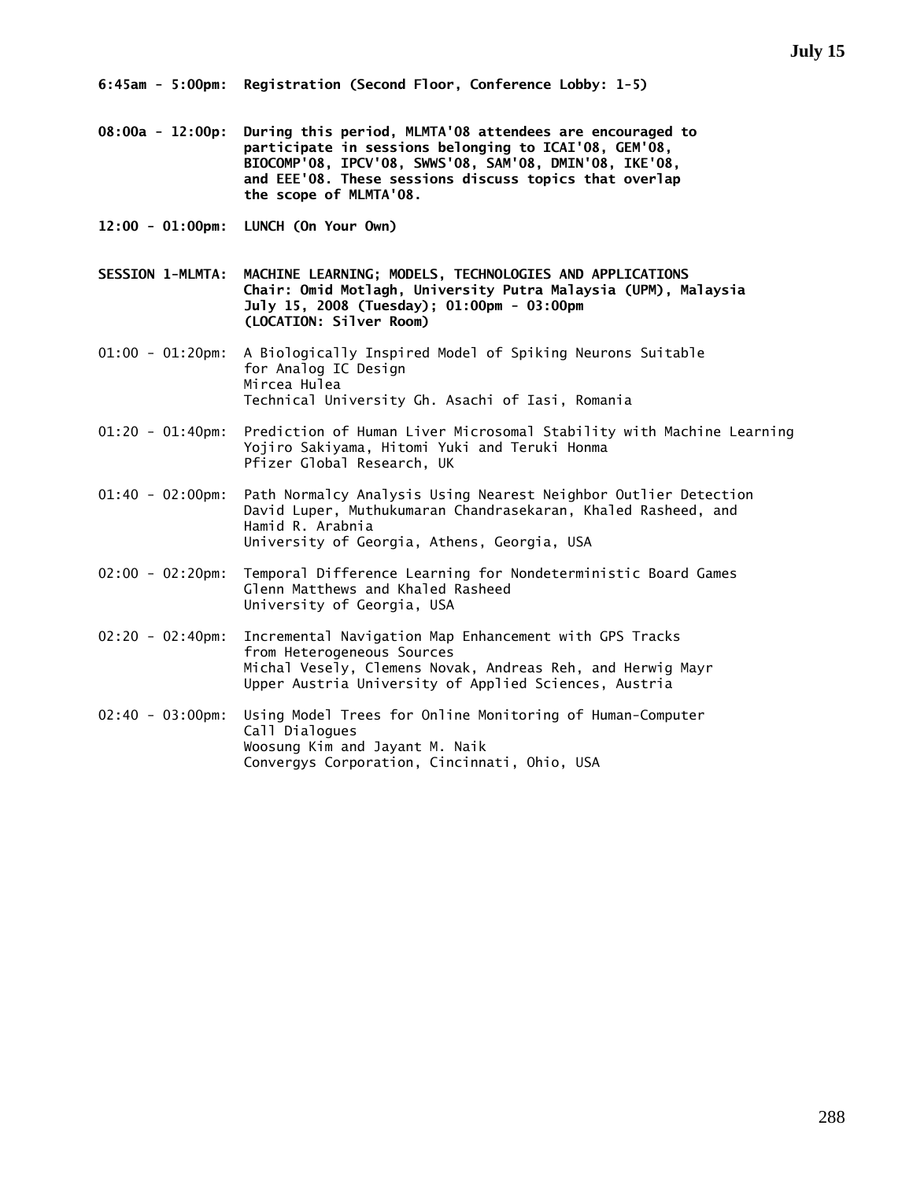- **08:00a 12:00p: During this period, MLMTA'08 attendees are encouraged to participate in sessions belonging to ICAI'08, GEM'08, BIOCOMP'08, IPCV'08, SWWS'08, SAM'08, DMIN'08, IKE'08, and EEE'08. These sessions discuss topics that overlap the scope of MLMTA'08.**
- **12:00 01:00pm: LUNCH (On Your Own)**
- **SESSION 1-MLMTA: MACHINE LEARNING; MODELS, TECHNOLOGIES AND APPLICATIONS Chair: Omid Motlagh, University Putra Malaysia (UPM), Malaysia July 15, 2008 (Tuesday); 01:00pm - 03:00pm (LOCATION: Silver Room)**
- 01:00 01:20pm: A Biologically Inspired Model of Spiking Neurons Suitable for Analog IC Design Mircea Hulea Technical University Gh. Asachi of Iasi, Romania
- 01:20 01:40pm: Prediction of Human Liver Microsomal Stability with Machine Learning Yojiro Sakiyama, Hitomi Yuki and Teruki Honma Pfizer Global Research, UK
- 01:40 02:00pm: Path Normalcy Analysis Using Nearest Neighbor Outlier Detection David Luper, Muthukumaran Chandrasekaran, Khaled Rasheed, and Hamid R. Arabnia University of Georgia, Athens, Georgia, USA
- 02:00 02:20pm: Temporal Difference Learning for Nondeterministic Board Games Glenn Matthews and Khaled Rasheed University of Georgia, USA
- 02:20 02:40pm: Incremental Navigation Map Enhancement with GPS Tracks from Heterogeneous Sources Michal Vesely, Clemens Novak, Andreas Reh, and Herwig Mayr Upper Austria University of Applied Sciences, Austria
- 02:40 03:00pm: Using Model Trees for Online Monitoring of Human-Computer Call Dialogues Woosung Kim and Jayant M. Naik Convergys Corporation, Cincinnati, Ohio, USA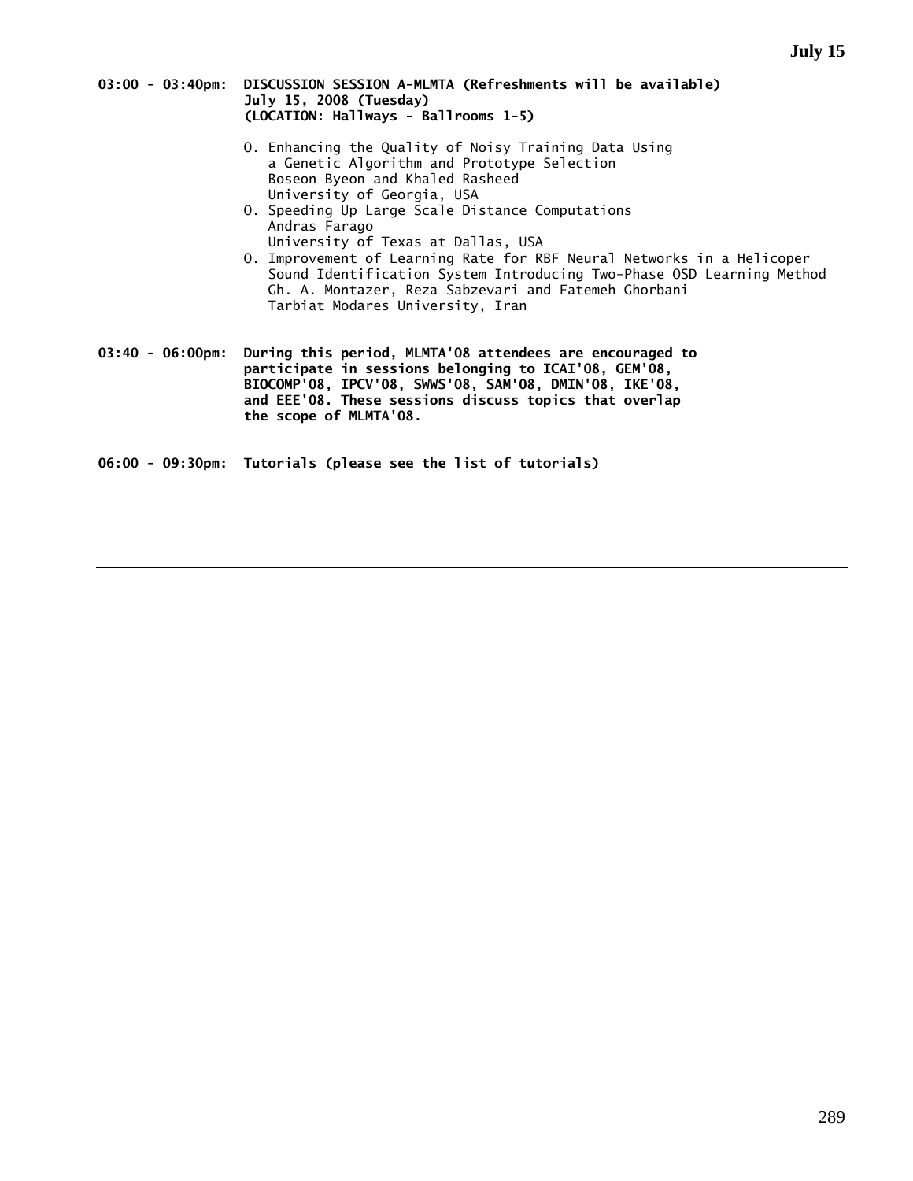### **03:00 - 03:40pm: DISCUSSION SESSION A-MLMTA (Refreshments will be available) July 15, 2008 (Tuesday) (LOCATION: Hallways - Ballrooms 1-5)**

- O. Enhancing the Quality of Noisy Training Data Using a Genetic Algorithm and Prototype Selection Boseon Byeon and Khaled Rasheed University of Georgia, USA
- O. Speeding Up Large Scale Distance Computations Andras Farago University of Texas at Dallas, USA
- O. Improvement of Learning Rate for RBF Neural Networks in a Helicoper Sound Identification System Introducing Two-Phase OSD Learning Method Gh. A. Montazer, Reza Sabzevari and Fatemeh Ghorbani Tarbiat Modares University, Iran

**03:40 - 06:00pm: During this period, MLMTA'08 attendees are encouraged to participate in sessions belonging to ICAI'08, GEM'08, BIOCOMP'08, IPCV'08, SWWS'08, SAM'08, DMIN'08, IKE'08, and EEE'08. These sessions discuss topics that overlap the scope of MLMTA'08.** 

**06:00 - 09:30pm: Tutorials (please see the list of tutorials)**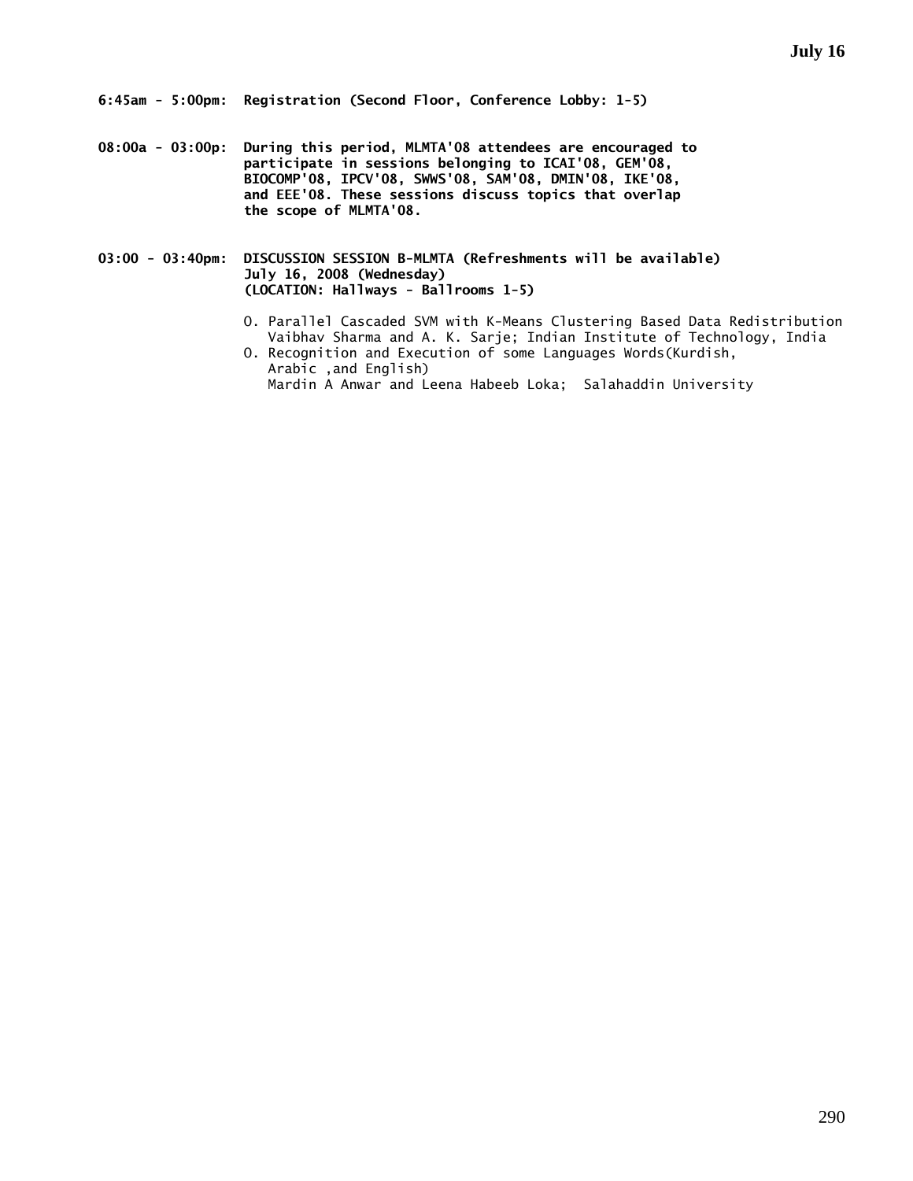**08:00a - 03:00p: During this period, MLMTA'08 attendees are encouraged to participate in sessions belonging to ICAI'08, GEM'08, BIOCOMP'08, IPCV'08, SWWS'08, SAM'08, DMIN'08, IKE'08, and EEE'08. These sessions discuss topics that overlap the scope of MLMTA'08.** 

**03:00 - 03:40pm: DISCUSSION SESSION B-MLMTA (Refreshments will be available) July 16, 2008 (Wednesday) (LOCATION: Hallways - Ballrooms 1-5)** 

- O. Parallel Cascaded SVM with K-Means Clustering Based Data Redistribution Vaibhav Sharma and A. K. Sarje; Indian Institute of Technology, India
- O. Recognition and Execution of some Languages Words(Kurdish, Arabic ,and English) Mardin A Anwar and Leena Habeeb Loka; Salahaddin University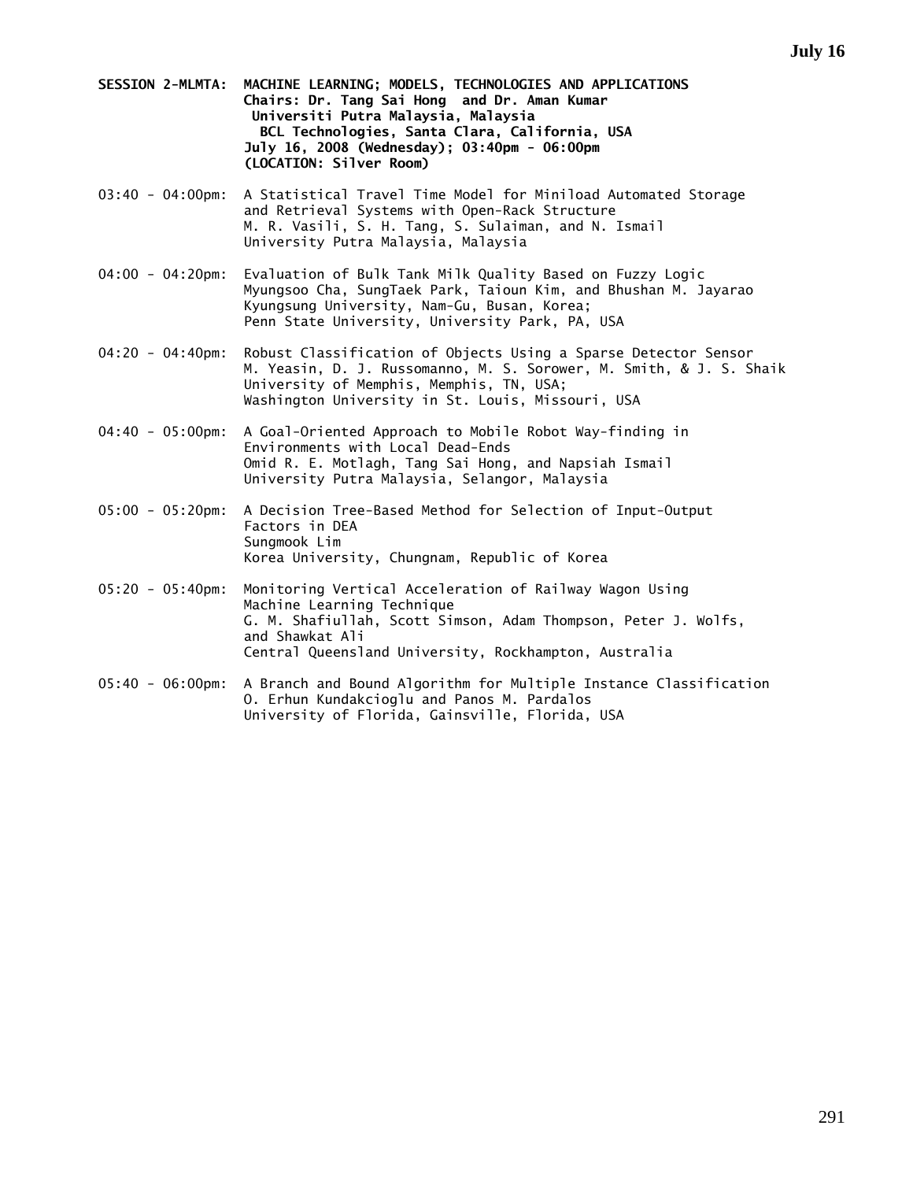- **SESSION 2-MLMTA: MACHINE LEARNING; MODELS, TECHNOLOGIES AND APPLICATIONS Chairs: Dr. Tang Sai Hong and Dr. Aman Kumar Universiti Putra Malaysia, Malaysia BCL Technologies, Santa Clara, California, USA July 16, 2008 (Wednesday); 03:40pm - 06:00pm (LOCATION: Silver Room)**
- 03:40 04:00pm: A Statistical Travel Time Model for Miniload Automated Storage and Retrieval Systems with Open-Rack Structure M. R. Vasili, S. H. Tang, S. Sulaiman, and N. Ismail University Putra Malaysia, Malaysia
- 04:00 04:20pm: Evaluation of Bulk Tank Milk Quality Based on Fuzzy Logic Myungsoo Cha, SungTaek Park, Taioun Kim, and Bhushan M. Jayarao Kyungsung University, Nam-Gu, Busan, Korea; Penn State University, University Park, PA, USA
- 04:20 04:40pm: Robust Classification of Objects Using a Sparse Detector Sensor M. Yeasin, D. J. Russomanno, M. S. Sorower, M. Smith, & J. S. Shaik University of Memphis, Memphis, TN, USA; Washington University in St. Louis, Missouri, USA
- 04:40 05:00pm: A Goal-Oriented Approach to Mobile Robot Way-finding in Environments with Local Dead-Ends Omid R. E. Motlagh, Tang Sai Hong, and Napsiah Ismail University Putra Malaysia, Selangor, Malaysia
- 05:00 05:20pm: A Decision Tree-Based Method for Selection of Input-Output Factors in DEA Sungmook Lim Korea University, Chungnam, Republic of Korea
- 05:20 05:40pm: Monitoring Vertical Acceleration of Railway Wagon Using Machine Learning Technique G. M. Shafiullah, Scott Simson, Adam Thompson, Peter J. Wolfs, and Shawkat Ali Central Queensland University, Rockhampton, Australia
- 05:40 06:00pm: A Branch and Bound Algorithm for Multiple Instance Classification O. Erhun Kundakcioglu and Panos M. Pardalos University of Florida, Gainsville, Florida, USA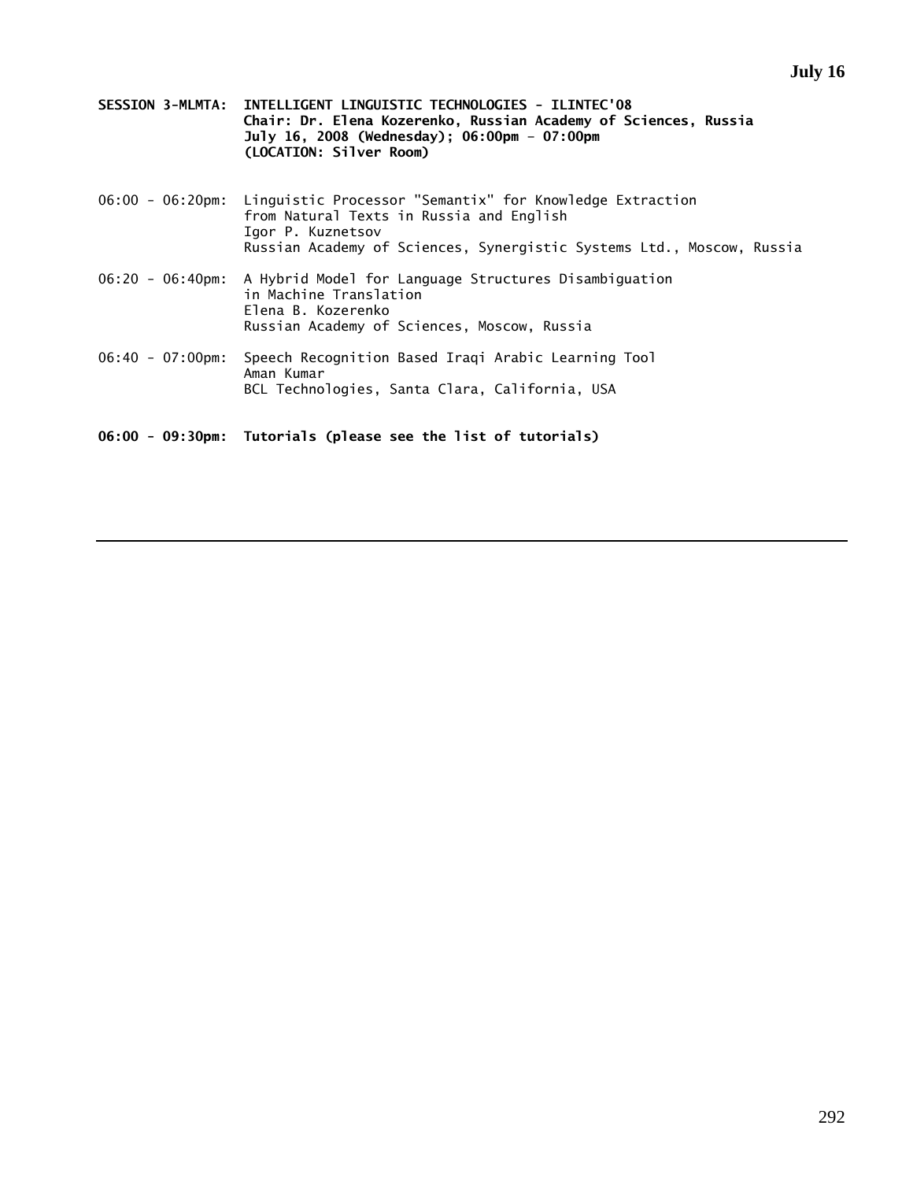- **SESSION 3-MLMTA: INTELLIGENT LINGUISTIC TECHNOLOGIES ILINTEC'08 Chair: Dr. Elena Kozerenko, Russian Academy of Sciences, Russia July 16, 2008 (Wednesday); 06:00pm – 07:00pm (LOCATION: Silver Room)**
- 06:00 06:20pm: Linguistic Processor "Semantix" for Knowledge Extraction from Natural Texts in Russia and English Igor P. Kuznetsov Russian Academy of Sciences, Synergistic Systems Ltd., Moscow, Russia
- 06:20 06:40pm: A Hybrid Model for Language Structures Disambiguation in Machine Translation Elena B. Kozerenko Russian Academy of Sciences, Moscow, Russia
- 06:40 07:00pm: Speech Recognition Based Iraqi Arabic Learning Tool Aman Kumar BCL Technologies, Santa Clara, California, USA

**06:00 - 09:30pm: Tutorials (please see the list of tutorials)**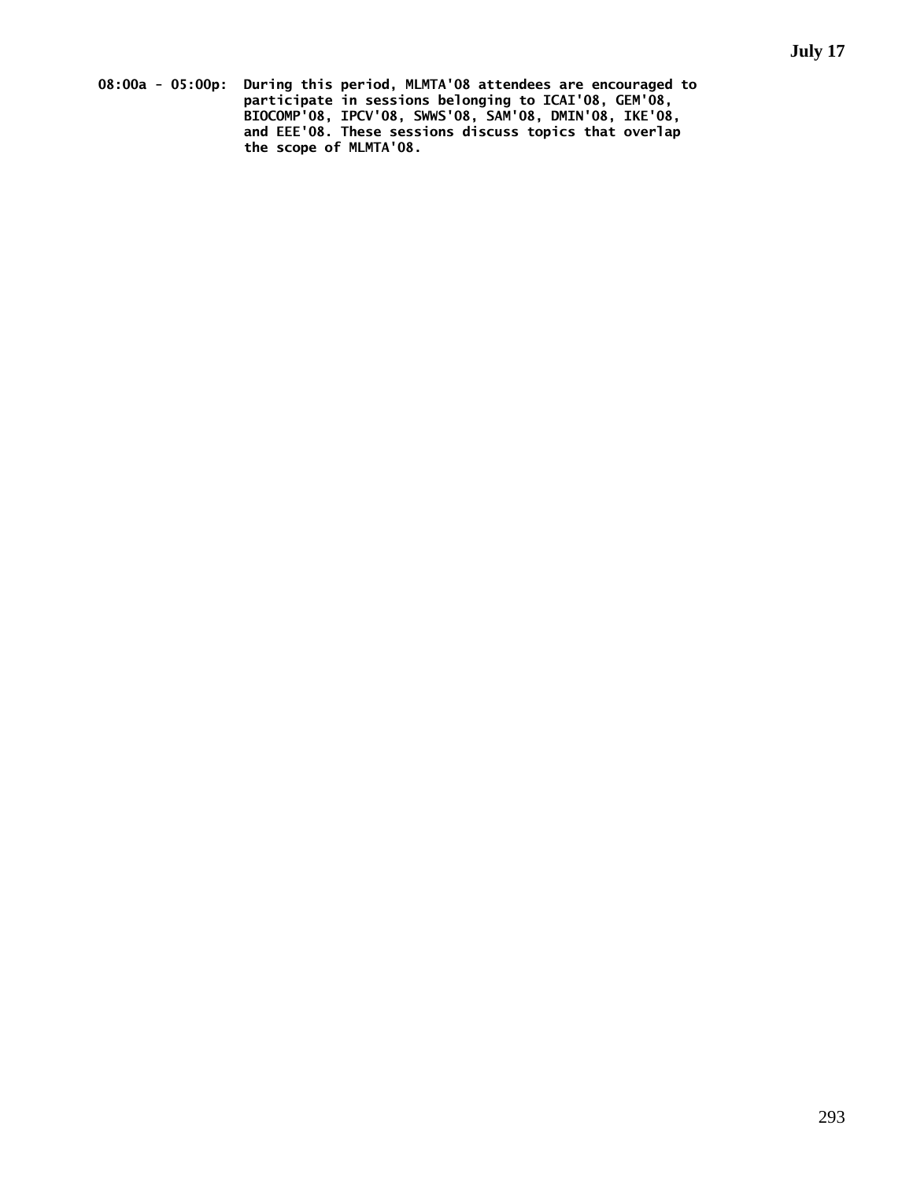**08:00a - 05:00p: During this period, MLMTA'08 attendees are encouraged to participate in sessions belonging to ICAI'08, GEM'08, BIOCOMP'08, IPCV'08, SWWS'08, SAM'08, DMIN'08, IKE'08, and EEE'08. These sessions discuss topics that overlap the scope of MLMTA'08.**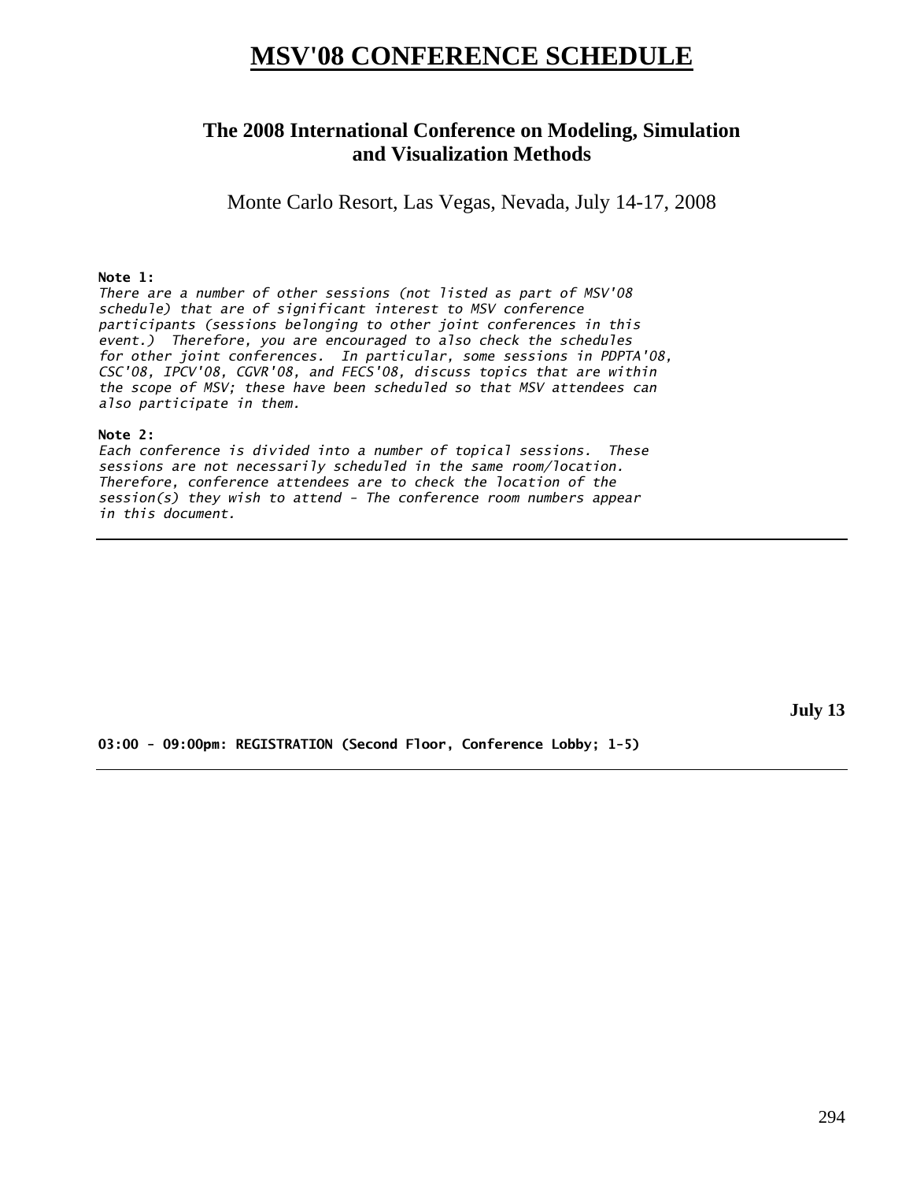# **MSV'08 CONFERENCE SCHEDULE**

## **The 2008 International Conference on Modeling, Simulation and Visualization Methods**

Monte Carlo Resort, Las Vegas, Nevada, July 14-17, 2008

### **Note 1:**

*There are a number of other sessions (not listed as part of MSV'08 schedule) that are of significant interest to MSV conference participants (sessions belonging to other joint conferences in this event.) Therefore, you are encouraged to also check the schedules for other joint conferences. In particular, some sessions in PDPTA'08, CSC'08, IPCV'08, CGVR'08, and FECS'08, discuss topics that are within the scope of MSV; these have been scheduled so that MSV attendees can also participate in them.* 

### **Note 2:**

*Each conference is divided into a number of topical sessions. These sessions are not necessarily scheduled in the same room/location. Therefore, conference attendees are to check the location of the session(s) they wish to attend - The conference room numbers appear in this document.* 

**July 13** 

**03:00 - 09:00pm: REGISTRATION (Second Floor, Conference Lobby; 1-5)**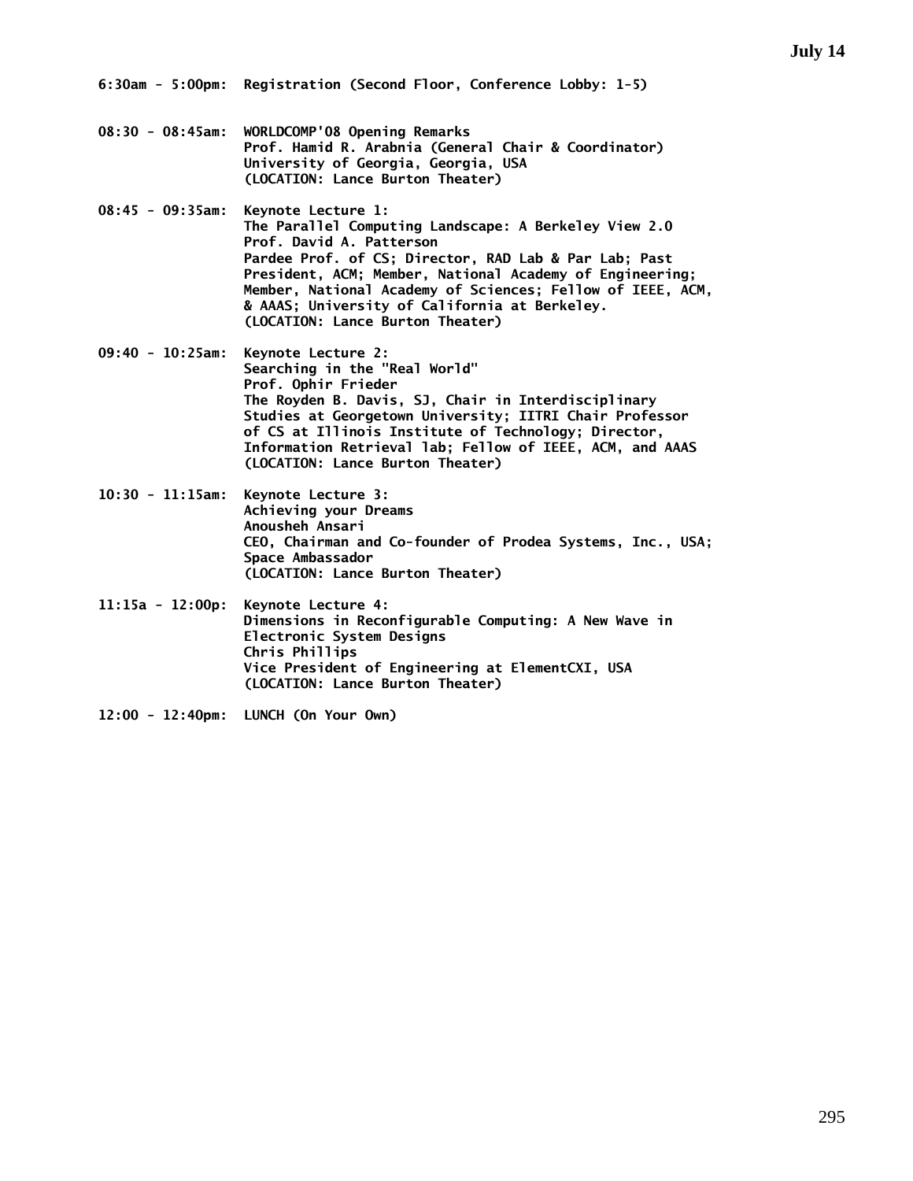**6:30am - 5:00pm: Registration (Second Floor, Conference Lobby: 1-5)** 

- **08:30 08:45am: WORLDCOMP'08 Opening Remarks Prof. Hamid R. Arabnia (General Chair & Coordinator) University of Georgia, Georgia, USA (LOCATION: Lance Burton Theater)**
- **08:45 09:35am: Keynote Lecture 1: The Parallel Computing Landscape: A Berkeley View 2.0 Prof. David A. Patterson Pardee Prof. of CS; Director, RAD Lab & Par Lab; Past President, ACM; Member, National Academy of Engineering; Member, National Academy of Sciences; Fellow of IEEE, ACM, & AAAS; University of California at Berkeley. (LOCATION: Lance Burton Theater)**
- **09:40 10:25am: Keynote Lecture 2: Searching in the "Real World" Prof. Ophir Frieder The Royden B. Davis, SJ, Chair in Interdisciplinary Studies at Georgetown University; IITRI Chair Professor of CS at Illinois Institute of Technology; Director, Information Retrieval lab; Fellow of IEEE, ACM, and AAAS (LOCATION: Lance Burton Theater)**
- **10:30 11:15am: Keynote Lecture 3: Achieving your Dreams Anousheh Ansari CEO, Chairman and Co-founder of Prodea Systems, Inc., USA; Space Ambassador (LOCATION: Lance Burton Theater)**
- **11:15a 12:00p: Keynote Lecture 4: Dimensions in Reconfigurable Computing: A New Wave in Electronic System Designs Chris Phillips Vice President of Engineering at ElementCXI, USA (LOCATION: Lance Burton Theater)**
- **12:00 12:40pm: LUNCH (On Your Own)**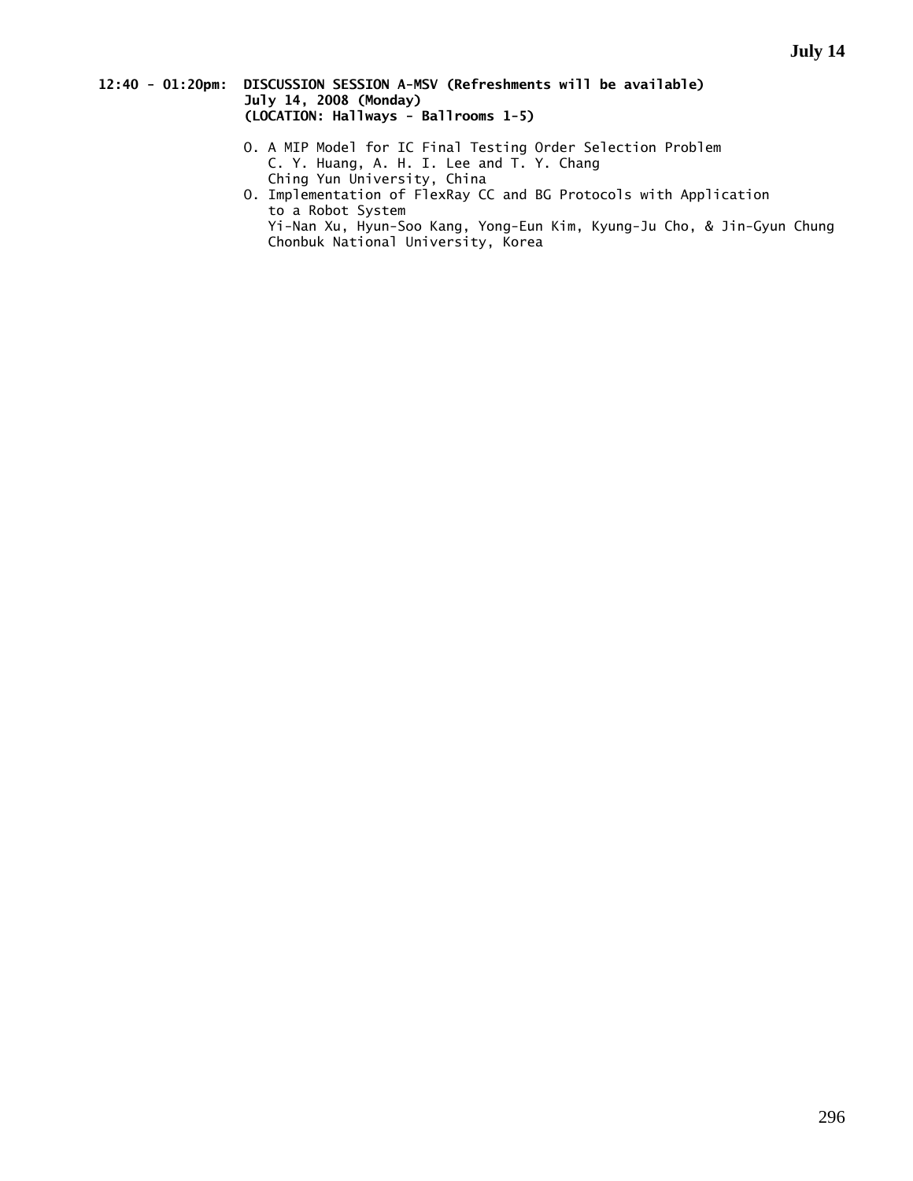### **12:40 - 01:20pm: DISCUSSION SESSION A-MSV (Refreshments will be available) July 14, 2008 (Monday) (LOCATION: Hallways - Ballrooms 1-5)**

- O. A MIP Model for IC Final Testing Order Selection Problem C. Y. Huang, A. H. I. Lee and T. Y. Chang Ching Yun University, China
- O. Implementation of FlexRay CC and BG Protocols with Application to a Robot System Yi-Nan Xu, Hyun-Soo Kang, Yong-Eun Kim, Kyung-Ju Cho, & Jin-Gyun Chung Chonbuk National University, Korea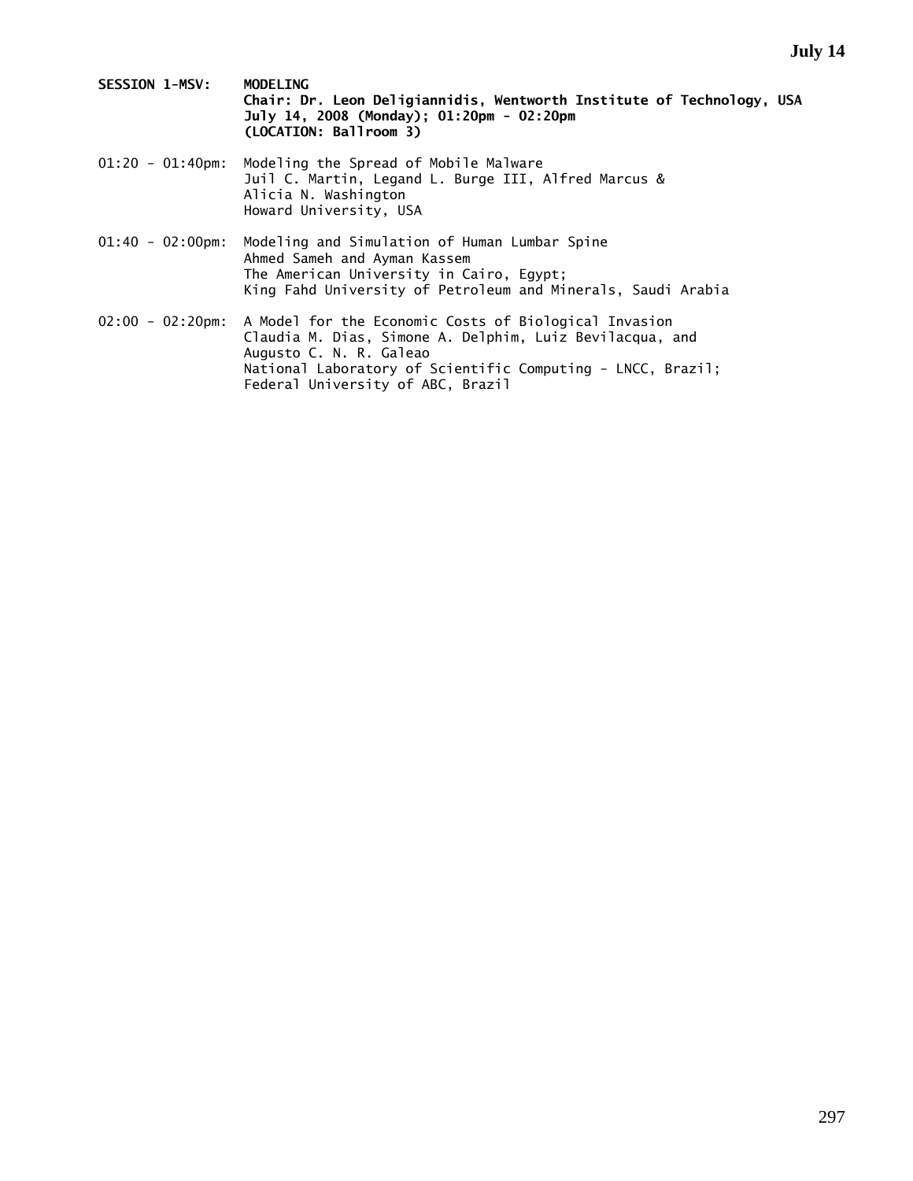- **SESSION 1-MSV: MODELING Chair: Dr. Leon Deligiannidis, Wentworth Institute of Technology, USA July 14, 2008 (Monday); 01:20pm - 02:20pm (LOCATION: Ballroom 3)**
- 01:20 01:40pm: Modeling the Spread of Mobile Malware Juil C. Martin, Legand L. Burge III, Alfred Marcus & Alicia N. Washington Howard University, USA
- 01:40 02:00pm: Modeling and Simulation of Human Lumbar Spine Ahmed Sameh and Ayman Kassem The American University in Cairo, Egypt; King Fahd University of Petroleum and Minerals, Saudi Arabia
- 02:00 02:20pm: A Model for the Economic Costs of Biological Invasion Claudia M. Dias, Simone A. Delphim, Luiz Bevilacqua, and Augusto C. N. R. Galeao National Laboratory of Scientific Computing - LNCC, Brazil; Federal University of ABC, Brazil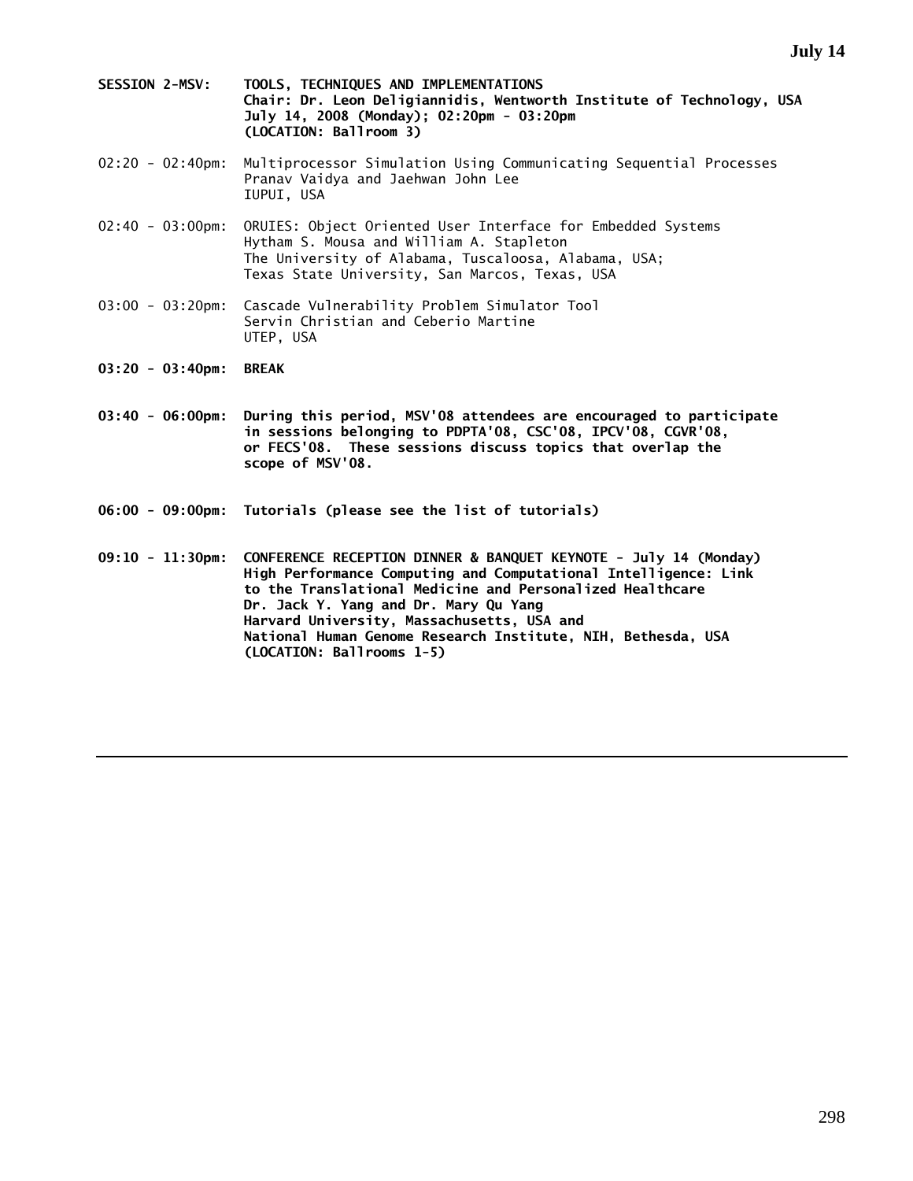- **SESSION 2-MSV: TOOLS, TECHNIQUES AND IMPLEMENTATIONS Chair: Dr. Leon Deligiannidis, Wentworth Institute of Technology, USA July 14, 2008 (Monday); 02:20pm - 03:20pm (LOCATION: Ballroom 3)**
- 02:20 02:40pm: Multiprocessor Simulation Using Communicating Sequential Processes Pranav Vaidya and Jaehwan John Lee IUPUI, USA
- 02:40 03:00pm: ORUIES: Object Oriented User Interface for Embedded Systems Hytham S. Mousa and William A. Stapleton The University of Alabama, Tuscaloosa, Alabama, USA; Texas State University, San Marcos, Texas, USA
- 03:00 03:20pm: Cascade Vulnerability Problem Simulator Tool Servin Christian and Ceberio Martine UTEP, USA
- **03:20 03:40pm: BREAK**
- **03:40 06:00pm: During this period, MSV'08 attendees are encouraged to participate in sessions belonging to PDPTA'08, CSC'08, IPCV'08, CGVR'08, or FECS'08. These sessions discuss topics that overlap the scope of MSV'08.**
- **06:00 09:00pm: Tutorials (please see the list of tutorials)**

**09:10 - 11:30pm: CONFERENCE RECEPTION DINNER & BANQUET KEYNOTE - July 14 (Monday) High Performance Computing and Computational Intelligence: Link to the Translational Medicine and Personalized Healthcare Dr. Jack Y. Yang and Dr. Mary Qu Yang Harvard University, Massachusetts, USA and National Human Genome Research Institute, NIH, Bethesda, USA (LOCATION: Ballrooms 1-5)**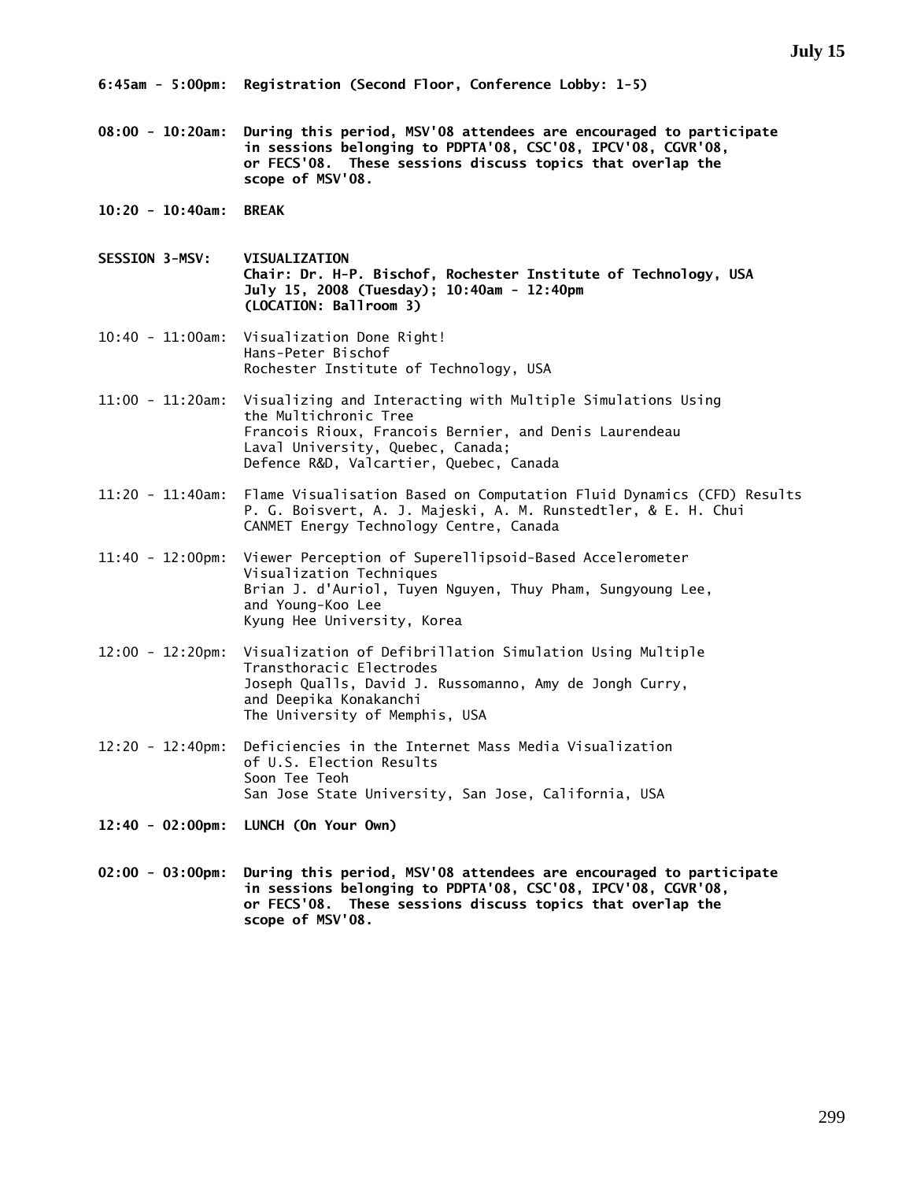**6:45am - 5:00pm: Registration (Second Floor, Conference Lobby: 1-5)** 

**08:00 - 10:20am: During this period, MSV'08 attendees are encouraged to participate in sessions belonging to PDPTA'08, CSC'08, IPCV'08, CGVR'08, or FECS'08. These sessions discuss topics that overlap the scope of MSV'08.** 

**10:20 - 10:40am: BREAK** 

**SESSION 3-MSV: VISUALIZATION Chair: Dr. H-P. Bischof, Rochester Institute of Technology, USA July 15, 2008 (Tuesday); 10:40am - 12:40pm (LOCATION: Ballroom 3)** 

- 10:40 11:00am: Visualization Done Right! Hans-Peter Bischof Rochester Institute of Technology, USA
- 11:00 11:20am: Visualizing and Interacting with Multiple Simulations Using the Multichronic Tree Francois Rioux, Francois Bernier, and Denis Laurendeau Laval University, Quebec, Canada; Defence R&D, Valcartier, Quebec, Canada
- 11:20 11:40am: Flame Visualisation Based on Computation Fluid Dynamics (CFD) Results P. G. Boisvert, A. J. Majeski, A. M. Runstedtler, & E. H. Chui CANMET Energy Technology Centre, Canada
- 11:40 12:00pm: Viewer Perception of Superellipsoid-Based Accelerometer Visualization Techniques Brian J. d'Auriol, Tuyen Nguyen, Thuy Pham, Sungyoung Lee, and Young-Koo Lee Kyung Hee University, Korea
- 12:00 12:20pm: Visualization of Defibrillation Simulation Using Multiple Transthoracic Electrodes Joseph Qualls, David J. Russomanno, Amy de Jongh Curry, and Deepika Konakanchi The University of Memphis, USA
- 12:20 12:40pm: Deficiencies in the Internet Mass Media Visualization of U.S. Election Results Soon Tee Teoh San Jose State University, San Jose, California, USA
- **12:40 02:00pm: LUNCH (On Your Own)**
- **02:00 03:00pm: During this period, MSV'08 attendees are encouraged to participate in sessions belonging to PDPTA'08, CSC'08, IPCV'08, CGVR'08, or FECS'08. These sessions discuss topics that overlap the scope of MSV'08.**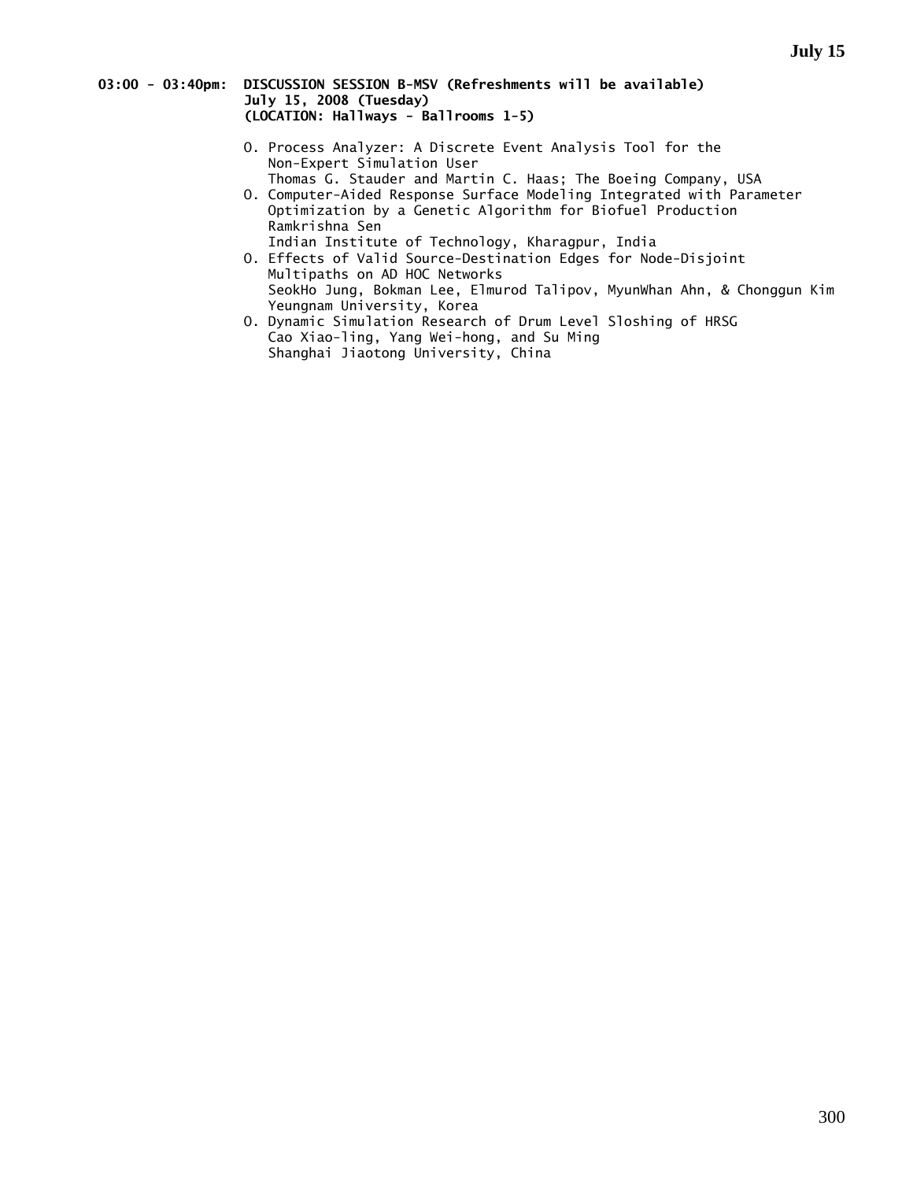### **03:00 - 03:40pm: DISCUSSION SESSION B-MSV (Refreshments will be available) July 15, 2008 (Tuesday) (LOCATION: Hallways - Ballrooms 1-5)**

- O. Process Analyzer: A Discrete Event Analysis Tool for the Non-Expert Simulation User Thomas G. Stauder and Martin C. Haas; The Boeing Company, USA
- O. Computer-Aided Response Surface Modeling Integrated with Parameter Optimization by a Genetic Algorithm for Biofuel Production Ramkrishna Sen
- Indian Institute of Technology, Kharagpur, India O. Effects of Valid Source-Destination Edges for Node-Disjoint Multipaths on AD HOC Networks SeokHo Jung, Bokman Lee, Elmurod Talipov, MyunWhan Ahn, & Chonggun Kim Yeungnam University, Korea
- O. Dynamic Simulation Research of Drum Level Sloshing of HRSG Cao Xiao-ling, Yang Wei-hong, and Su Ming Shanghai Jiaotong University, China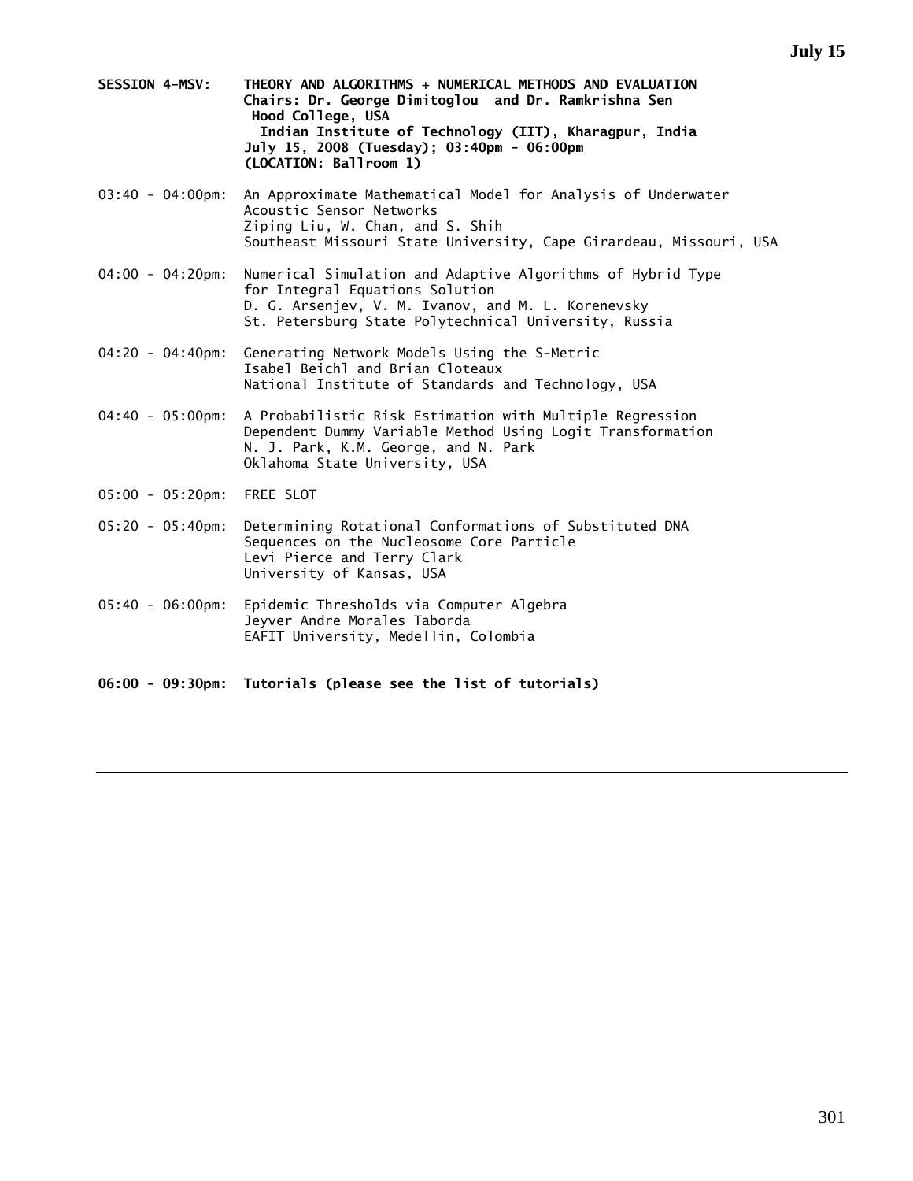- **SESSION 4-MSV: THEORY AND ALGORITHMS + NUMERICAL METHODS AND EVALUATION Chairs: Dr. George Dimitoglou and Dr. Ramkrishna Sen Hood College, USA Indian Institute of Technology (IIT), Kharagpur, India July 15, 2008 (Tuesday); 03:40pm - 06:00pm (LOCATION: Ballroom 1)**
- 03:40 04:00pm: An Approximate Mathematical Model for Analysis of Underwater Acoustic Sensor Networks Ziping Liu, W. Chan, and S. Shih Southeast Missouri State University, Cape Girardeau, Missouri, USA
- 04:00 04:20pm: Numerical Simulation and Adaptive Algorithms of Hybrid Type for Integral Equations Solution D. G. Arsenjev, V. M. Ivanov, and M. L. Korenevsky St. Petersburg State Polytechnical University, Russia
- 04:20 04:40pm: Generating Network Models Using the S-Metric Isabel Beichl and Brian Cloteaux National Institute of Standards and Technology, USA
- 04:40 05:00pm: A Probabilistic Risk Estimation with Multiple Regression Dependent Dummy Variable Method Using Logit Transformation N. J. Park, K.M. George, and N. Park Oklahoma State University, USA
- 05:00 05:20pm: FREE SLOT
- 05:20 05:40pm: Determining Rotational Conformations of Substituted DNA Sequences on the Nucleosome Core Particle Levi Pierce and Terry Clark University of Kansas, USA
- 05:40 06:00pm: Epidemic Thresholds via Computer Algebra Jeyver Andre Morales Taborda EAFIT University, Medellin, Colombia
- **06:00 09:30pm: Tutorials (please see the list of tutorials)**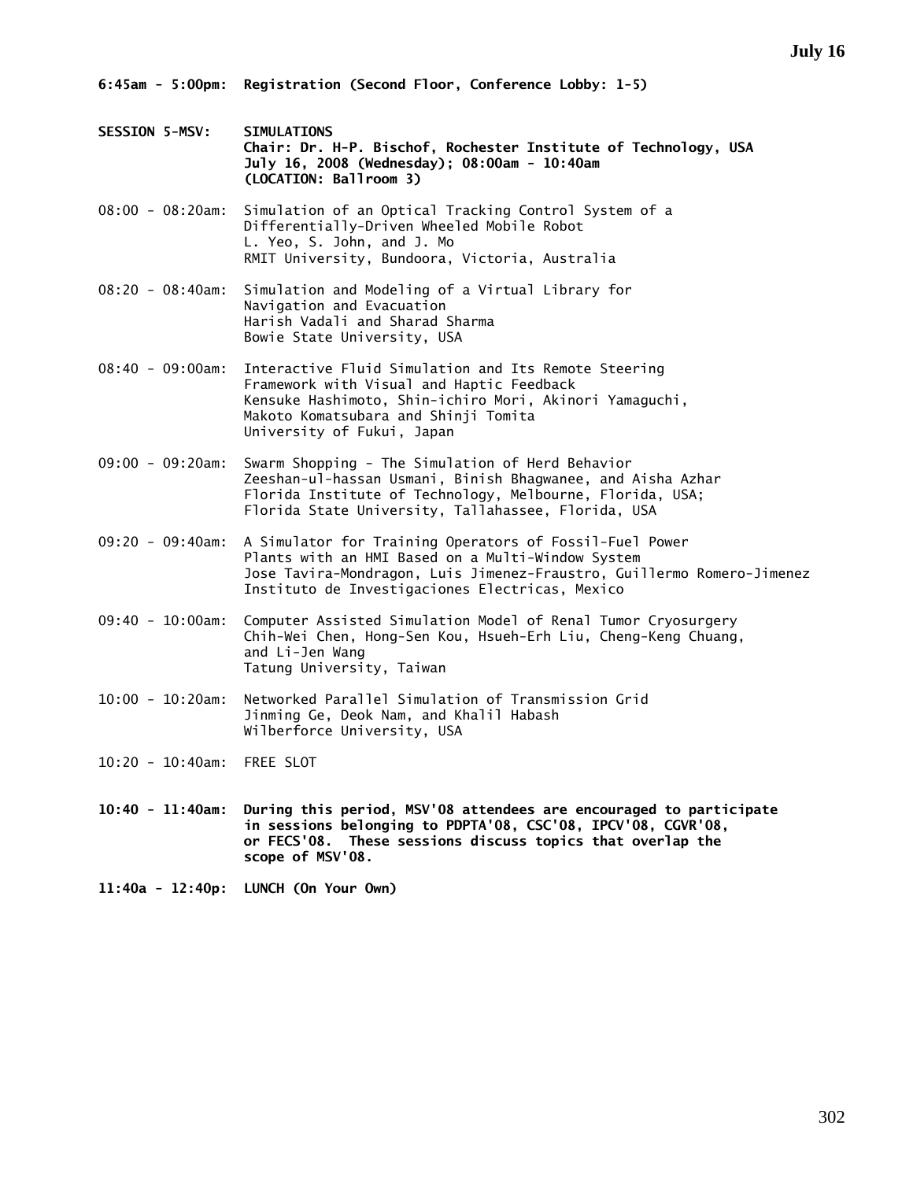**6:45am - 5:00pm: Registration (Second Floor, Conference Lobby: 1-5)** 

- **SESSION 5-MSV: SIMULATIONS Chair: Dr. H-P. Bischof, Rochester Institute of Technology, USA July 16, 2008 (Wednesday); 08:00am - 10:40am (LOCATION: Ballroom 3)**
- 08:00 08:20am: Simulation of an Optical Tracking Control System of a Differentially-Driven Wheeled Mobile Robot L. Yeo, S. John, and J. Mo RMIT University, Bundoora, Victoria, Australia
- 08:20 08:40am: Simulation and Modeling of a Virtual Library for Navigation and Evacuation Harish Vadali and Sharad Sharma Bowie State University, USA
- 08:40 09:00am: Interactive Fluid Simulation and Its Remote Steering Framework with Visual and Haptic Feedback Kensuke Hashimoto, Shin-ichiro Mori, Akinori Yamaguchi, Makoto Komatsubara and Shinji Tomita University of Fukui, Japan
- 09:00 09:20am: Swarm Shopping The Simulation of Herd Behavior Zeeshan-ul-hassan Usmani, Binish Bhagwanee, and Aisha Azhar Florida Institute of Technology, Melbourne, Florida, USA; Florida State University, Tallahassee, Florida, USA
- 09:20 09:40am: A Simulator for Training Operators of Fossil-Fuel Power Plants with an HMI Based on a Multi-Window System Jose Tavira-Mondragon, Luis Jimenez-Fraustro, Guillermo Romero-Jimenez Instituto de Investigaciones Electricas, Mexico
- 09:40 10:00am: Computer Assisted Simulation Model of Renal Tumor Cryosurgery Chih-Wei Chen, Hong-Sen Kou, Hsueh-Erh Liu, Cheng-Keng Chuang, and Li-Jen Wang Tatung University, Taiwan
- 10:00 10:20am: Networked Parallel Simulation of Transmission Grid Jinming Ge, Deok Nam, and Khalil Habash Wilberforce University, USA
- 10:20 10:40am: FREE SLOT
- **10:40 11:40am: During this period, MSV'08 attendees are encouraged to participate in sessions belonging to PDPTA'08, CSC'08, IPCV'08, CGVR'08, or FECS'08. These sessions discuss topics that overlap the scope of MSV'08.**
- **11:40a 12:40p: LUNCH (On Your Own)**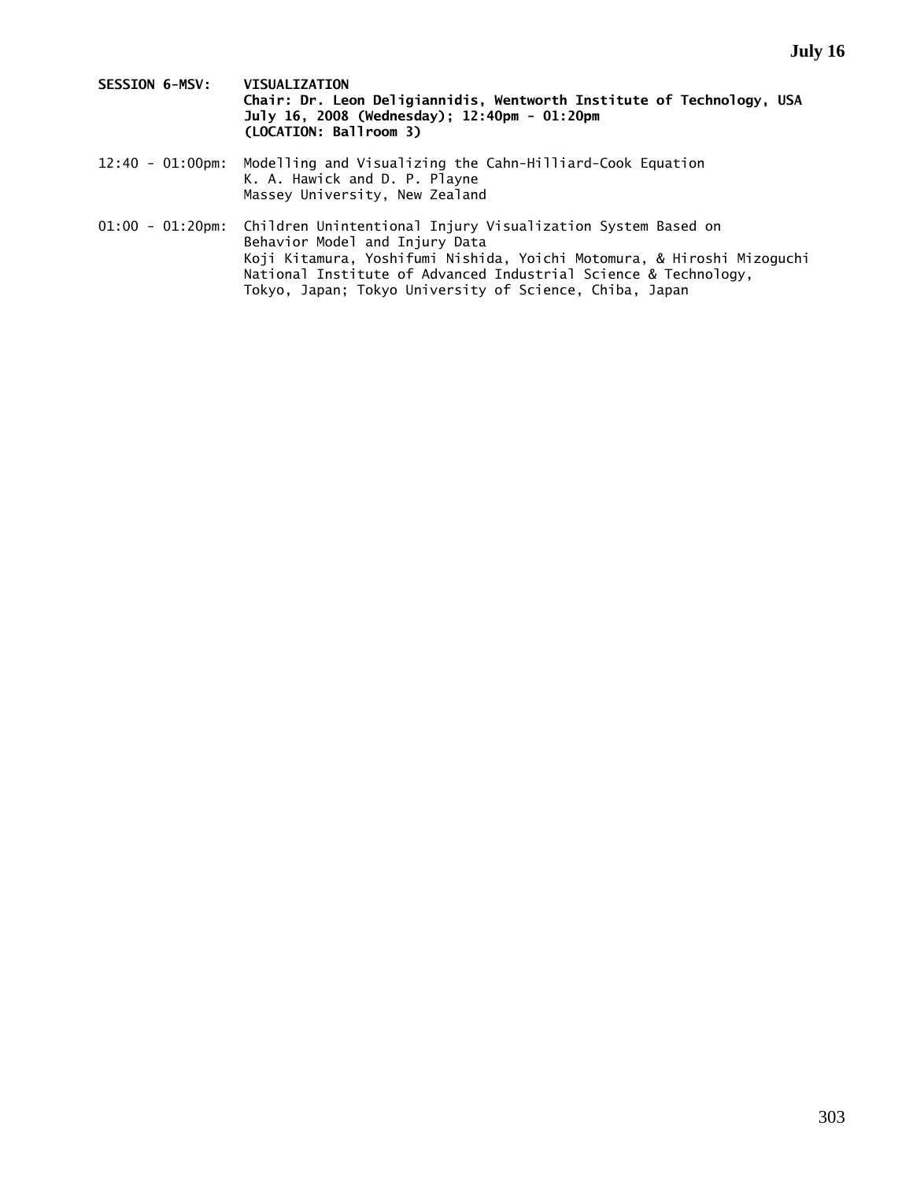- **SESSION 6-MSV: VISUALIZATION Chair: Dr. Leon Deligiannidis, Wentworth Institute of Technology, USA July 16, 2008 (Wednesday); 12:40pm - 01:20pm (LOCATION: Ballroom 3)**
- 12:40 01:00pm: Modelling and Visualizing the Cahn-Hilliard-Cook Equation K. A. Hawick and D. P. Playne Massey University, New Zealand
- 01:00 01:20pm: Children Unintentional Injury Visualization System Based on Behavior Model and Injury Data Koji Kitamura, Yoshifumi Nishida, Yoichi Motomura, & Hiroshi Mizoguchi National Institute of Advanced Industrial Science & Technology, Tokyo, Japan; Tokyo University of Science, Chiba, Japan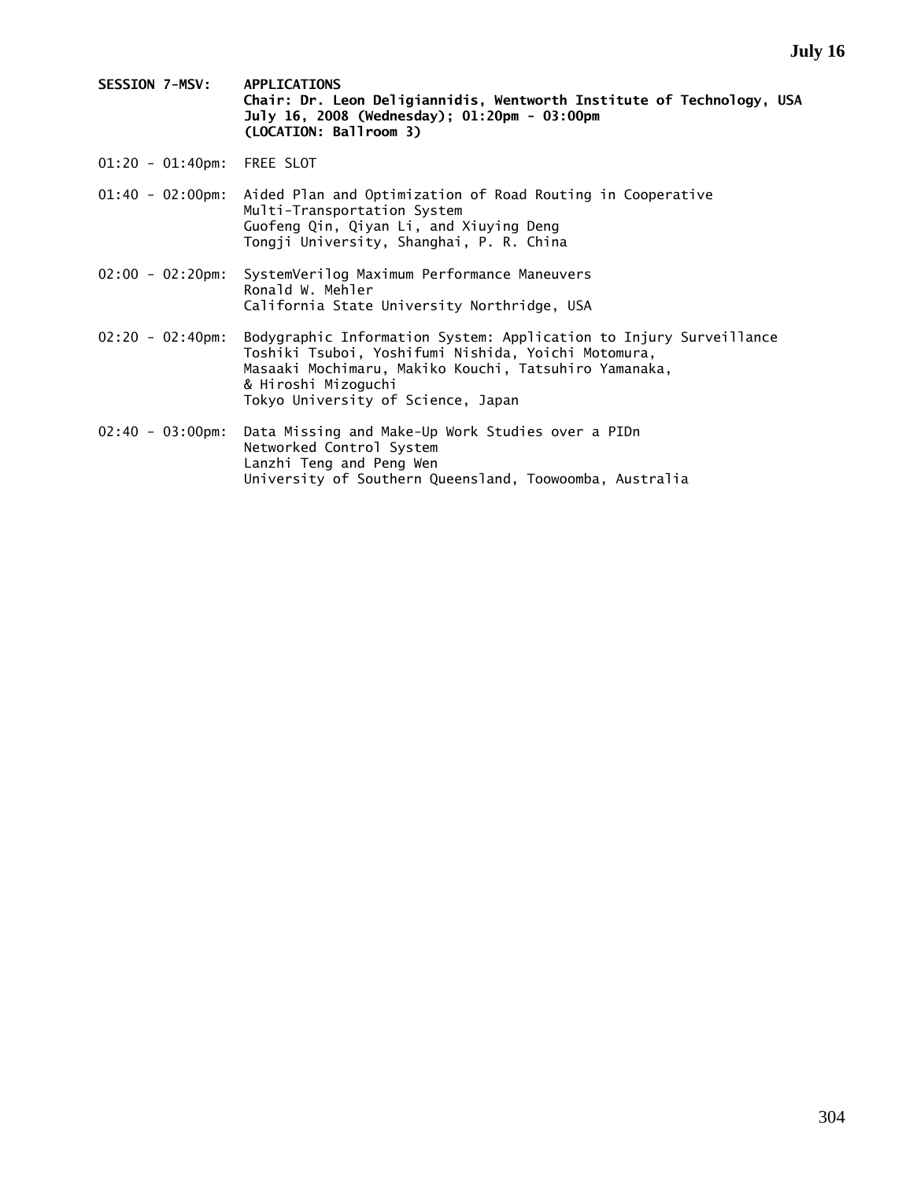**SESSION 7-MSV: APPLICATIONS Chair: Dr. Leon Deligiannidis, Wentworth Institute of Technology, USA July 16, 2008 (Wednesday); 01:20pm - 03:00pm (LOCATION: Ballroom 3)** 

01:20 - 01:40pm: FREE SLOT

| 01:40 - 02:00pm: Aided Plan and Optimization of Road Routing in Cooperative |
|-----------------------------------------------------------------------------|
| Multi-Transportation System                                                 |
| Guofeng Qin, Qiyan Li, and Xiuying Deng                                     |
| Tongji University, Shanghai, P. R. China                                    |

02:00 - 02:20pm: SystemVerilog Maximum Performance Maneuvers Ronald W. Mehler California State University Northridge, USA

- 02:20 02:40pm: Bodygraphic Information System: Application to Injury Surveillance Toshiki Tsuboi, Yoshifumi Nishida, Yoichi Motomura, Masaaki Mochimaru, Makiko Kouchi, Tatsuhiro Yamanaka, & Hiroshi Mizoguchi Tokyo University of Science, Japan
- 02:40 03:00pm: Data Missing and Make-Up Work Studies over a PIDn Networked Control System Lanzhi Teng and Peng Wen University of Southern Queensland, Toowoomba, Australia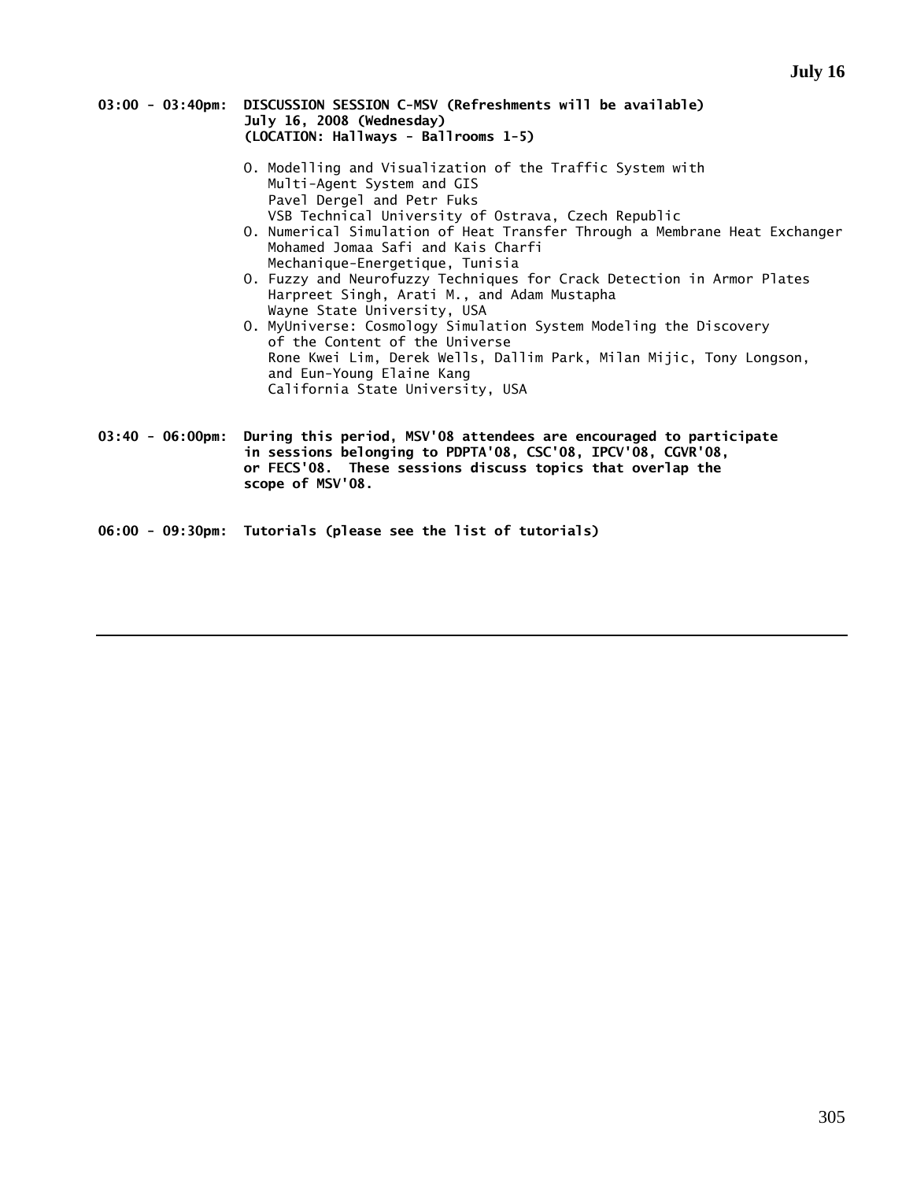- **03:00 03:40pm: DISCUSSION SESSION C-MSV (Refreshments will be available) July 16, 2008 (Wednesday) (LOCATION: Hallways - Ballrooms 1-5)** 
	- O. Modelling and Visualization of the Traffic System with Multi-Agent System and GIS Pavel Dergel and Petr Fuks VSB Technical University of Ostrava, Czech Republic
	- O. Numerical Simulation of Heat Transfer Through a Membrane Heat Exchanger Mohamed Jomaa Safi and Kais Charfi Mechanique-Energetique, Tunisia
	- O. Fuzzy and Neurofuzzy Techniques for Crack Detection in Armor Plates Harpreet Singh, Arati M., and Adam Mustapha Wayne State University, USA
	- O. MyUniverse: Cosmology Simulation System Modeling the Discovery of the Content of the Universe Rone Kwei Lim, Derek Wells, Dallim Park, Milan Mijic, Tony Longson, and Eun-Young Elaine Kang California State University, USA
- **03:40 06:00pm: During this period, MSV'08 attendees are encouraged to participate in sessions belonging to PDPTA'08, CSC'08, IPCV'08, CGVR'08, or FECS'08. These sessions discuss topics that overlap the scope of MSV'08.**

**06:00 - 09:30pm: Tutorials (please see the list of tutorials)**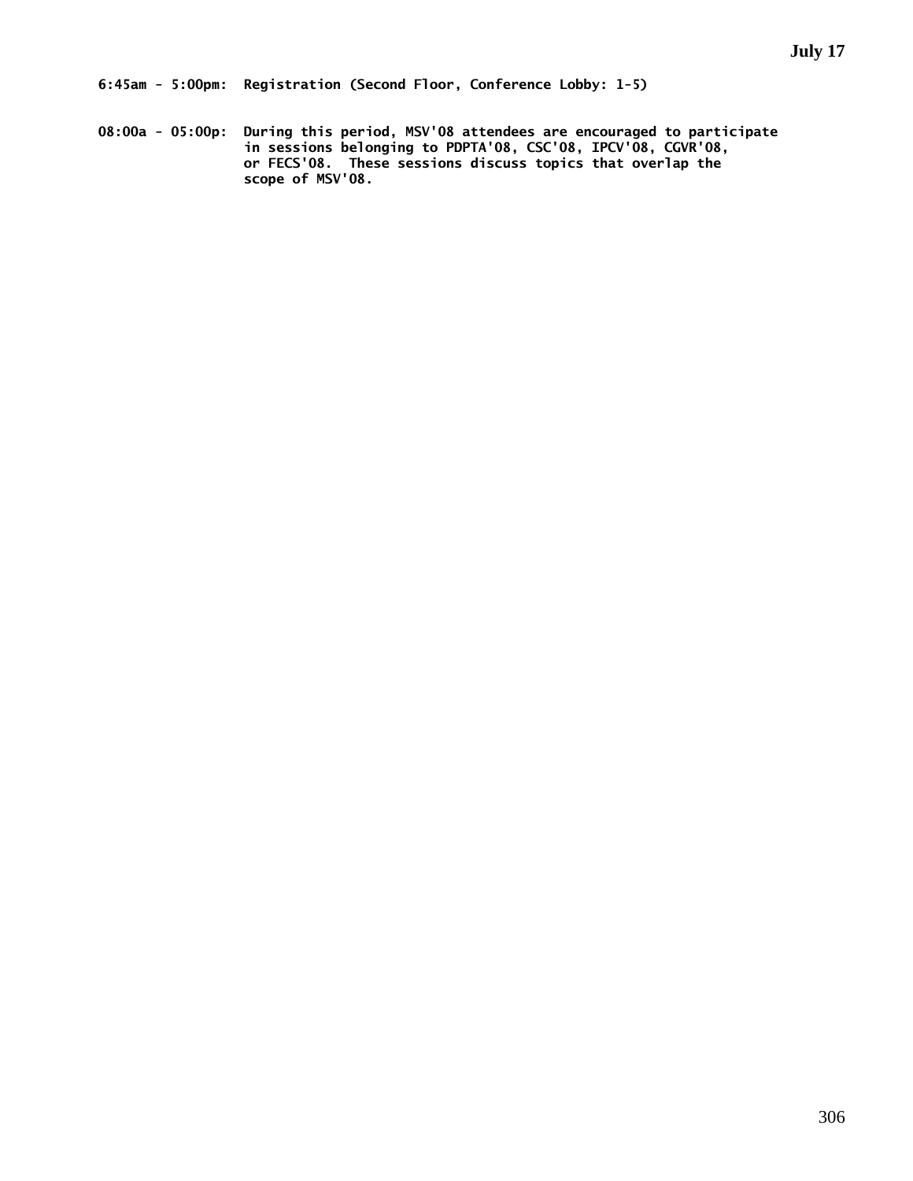**6:45am - 5:00pm: Registration (Second Floor, Conference Lobby: 1-5)** 

**08:00a - 05:00p: During this period, MSV'08 attendees are encouraged to participate in sessions belonging to PDPTA'08, CSC'08, IPCV'08, CGVR'08, or FECS'08. These sessions discuss topics that overlap the scope of MSV'08.**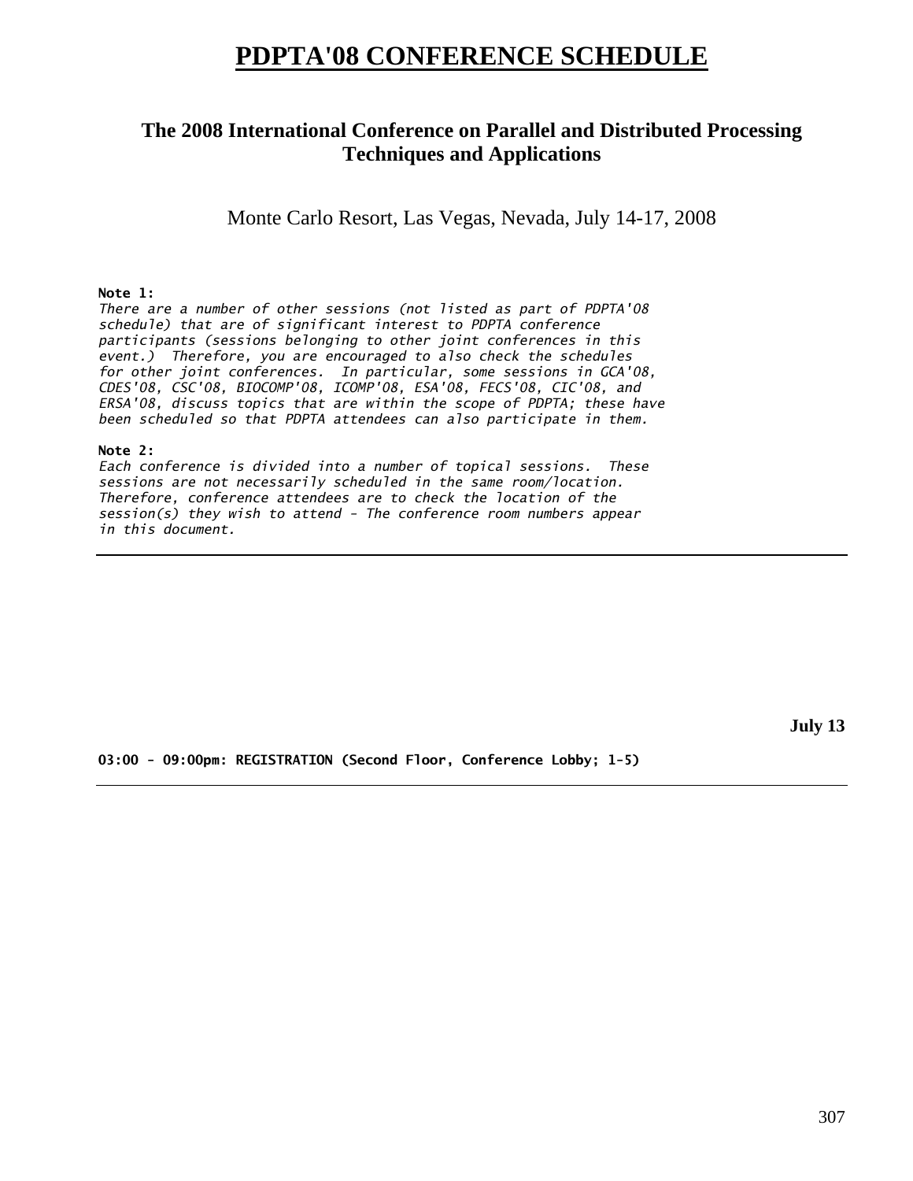# **PDPTA'08 CONFERENCE SCHEDULE**

## **The 2008 International Conference on Parallel and Distributed Processing Techniques and Applications**

Monte Carlo Resort, Las Vegas, Nevada, July 14-17, 2008

### **Note 1:**

*There are a number of other sessions (not listed as part of PDPTA'08 schedule) that are of significant interest to PDPTA conference participants (sessions belonging to other joint conferences in this event.) Therefore, you are encouraged to also check the schedules for other joint conferences. In particular, some sessions in GCA'08, CDES'08, CSC'08, BIOCOMP'08, ICOMP'08, ESA'08, FECS'08, CIC'08, and ERSA'08, discuss topics that are within the scope of PDPTA; these have been scheduled so that PDPTA attendees can also participate in them.* 

### **Note 2:**

*Each conference is divided into a number of topical sessions. These sessions are not necessarily scheduled in the same room/location. Therefore, conference attendees are to check the location of the session(s) they wish to attend - The conference room numbers appear in this document.* 

**July 13** 

**03:00 - 09:00pm: REGISTRATION (Second Floor, Conference Lobby; 1-5)**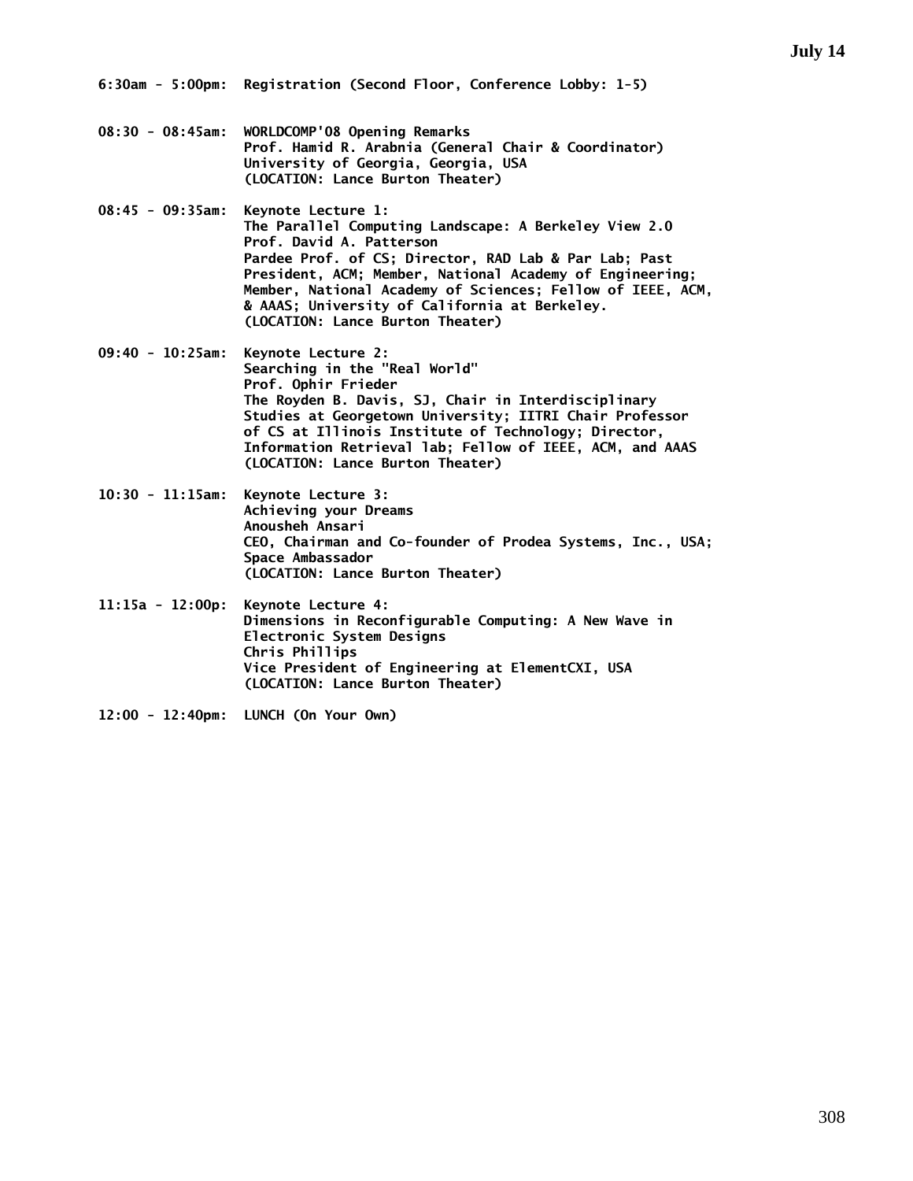**6:30am - 5:00pm: Registration (Second Floor, Conference Lobby: 1-5)** 

- **08:30 08:45am: WORLDCOMP'08 Opening Remarks Prof. Hamid R. Arabnia (General Chair & Coordinator) University of Georgia, Georgia, USA (LOCATION: Lance Burton Theater)**
- **08:45 09:35am: Keynote Lecture 1: The Parallel Computing Landscape: A Berkeley View 2.0 Prof. David A. Patterson Pardee Prof. of CS; Director, RAD Lab & Par Lab; Past President, ACM; Member, National Academy of Engineering; Member, National Academy of Sciences; Fellow of IEEE, ACM, & AAAS; University of California at Berkeley. (LOCATION: Lance Burton Theater)**
- **09:40 10:25am: Keynote Lecture 2: Searching in the "Real World" Prof. Ophir Frieder The Royden B. Davis, SJ, Chair in Interdisciplinary Studies at Georgetown University; IITRI Chair Professor of CS at Illinois Institute of Technology; Director, Information Retrieval lab; Fellow of IEEE, ACM, and AAAS (LOCATION: Lance Burton Theater)**
- **10:30 11:15am: Keynote Lecture 3: Achieving your Dreams Anousheh Ansari CEO, Chairman and Co-founder of Prodea Systems, Inc., USA; Space Ambassador (LOCATION: Lance Burton Theater)**
- **11:15a 12:00p: Keynote Lecture 4: Dimensions in Reconfigurable Computing: A New Wave in Electronic System Designs Chris Phillips Vice President of Engineering at ElementCXI, USA (LOCATION: Lance Burton Theater)**
- **12:00 12:40pm: LUNCH (On Your Own)**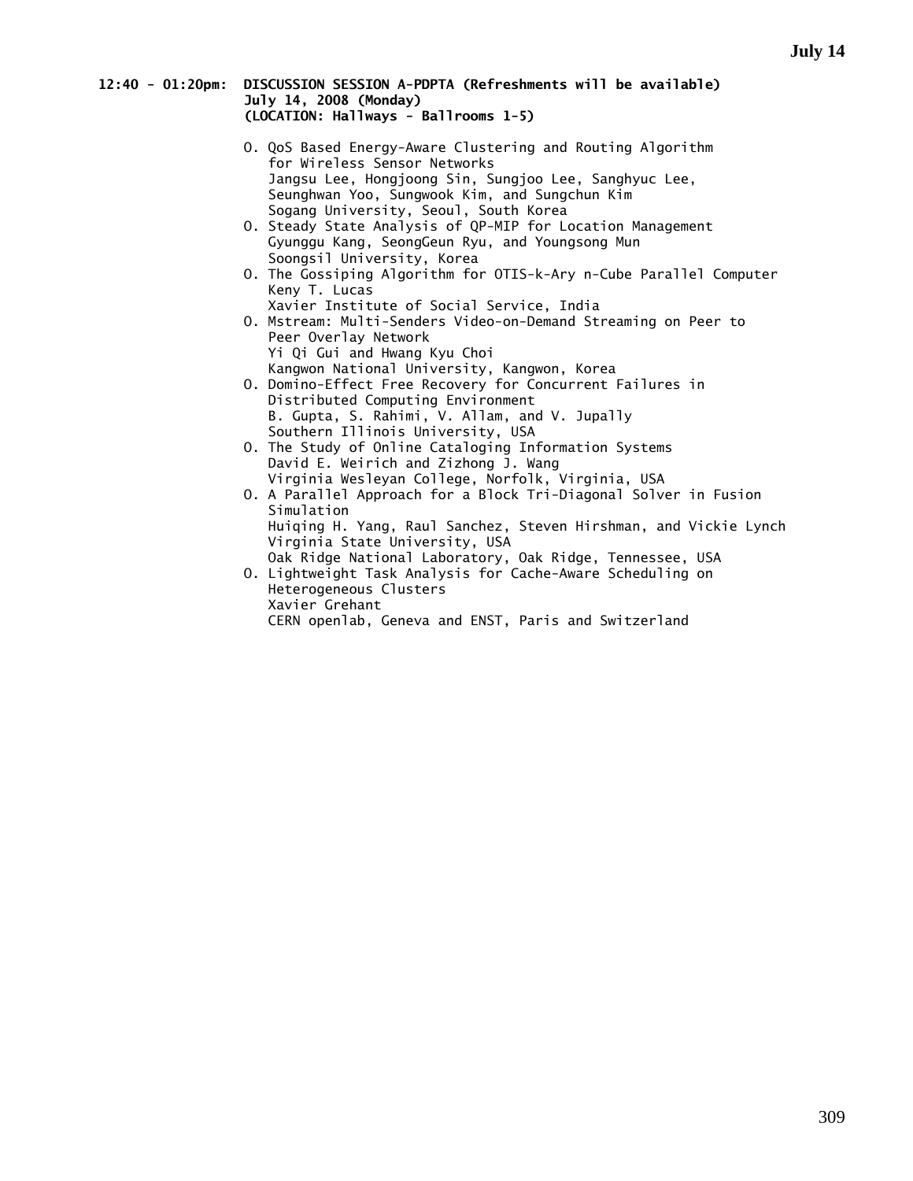### **12:40 - 01:20pm: DISCUSSION SESSION A-PDPTA (Refreshments will be available) July 14, 2008 (Monday) (LOCATION: Hallways - Ballrooms 1-5)**

- O. QoS Based Energy-Aware Clustering and Routing Algorithm for Wireless Sensor Networks Jangsu Lee, Hongjoong Sin, Sungjoo Lee, Sanghyuc Lee, Seunghwan Yoo, Sungwook Kim, and Sungchun Kim Sogang University, Seoul, South Korea
- O. Steady State Analysis of QP-MIP for Location Management Gyunggu Kang, SeongGeun Ryu, and Youngsong Mun Soongsil University, Korea
- O. The Gossiping Algorithm for OTIS-k-Ary n-Cube Parallel Computer Keny T. Lucas
- Xavier Institute of Social Service, India O. Mstream: Multi-Senders Video-on-Demand Streaming on Peer to Peer Overlay Network Yi Qi Gui and Hwang Kyu Choi Kangwon National University, Kangwon, Korea
- O. Domino-Effect Free Recovery for Concurrent Failures in Distributed Computing Environment B. Gupta, S. Rahimi, V. Allam, and V. Jupally Southern Illinois University, USA
- O. The Study of Online Cataloging Information Systems David E. Weirich and Zizhong J. Wang Virginia Wesleyan College, Norfolk, Virginia, USA
- O. A Parallel Approach for a Block Tri-Diagonal Solver in Fusion Simulation Huiqing H. Yang, Raul Sanchez, Steven Hirshman, and Vickie Lynch Virginia State University, USA Oak Ridge National Laboratory, Oak Ridge, Tennessee, USA
- O. Lightweight Task Analysis for Cache-Aware Scheduling on Heterogeneous Clusters Xavier Grehant CERN openlab, Geneva and ENST, Paris and Switzerland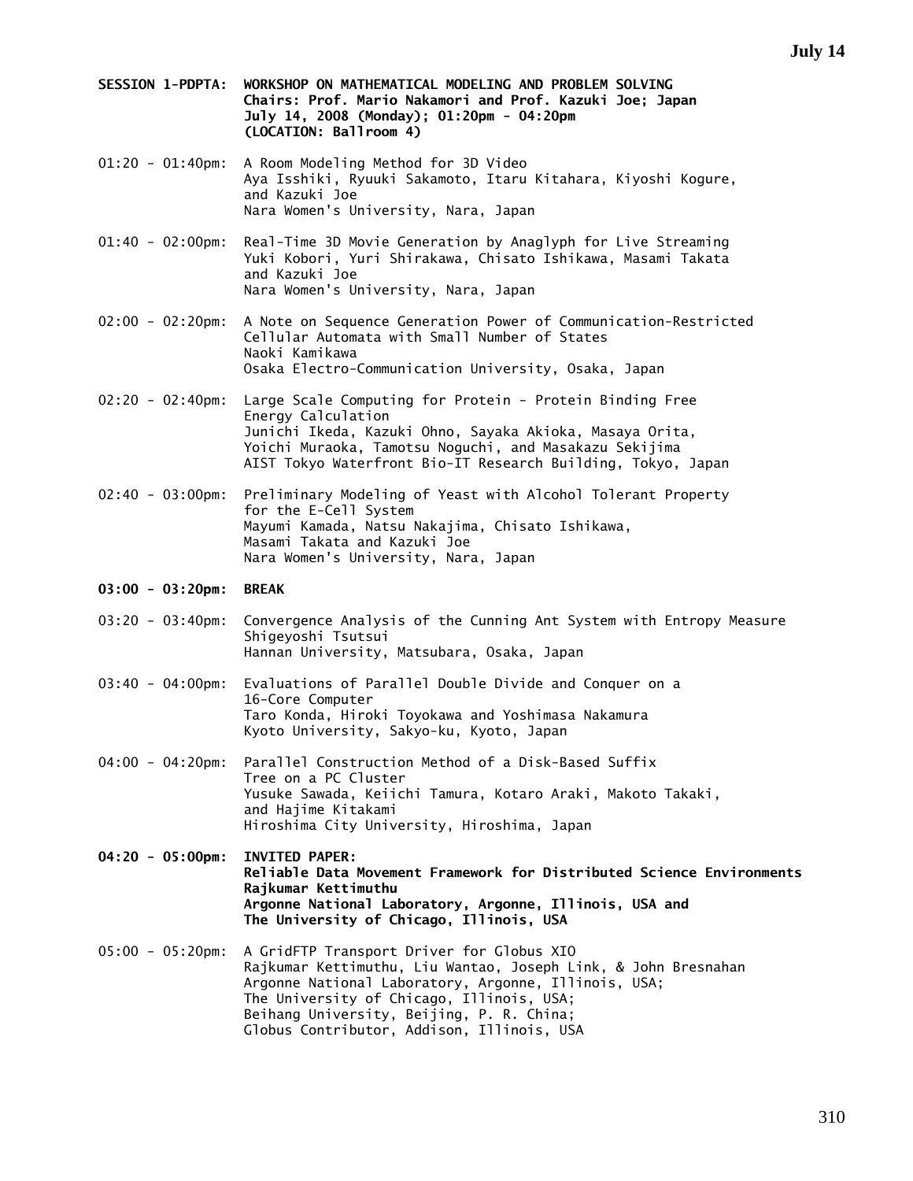- **SESSION 1-PDPTA: WORKSHOP ON MATHEMATICAL MODELING AND PROBLEM SOLVING Chairs: Prof. Mario Nakamori and Prof. Kazuki Joe; Japan July 14, 2008 (Monday); 01:20pm - 04:20pm (LOCATION: Ballroom 4)**
- 01:20 01:40pm: A Room Modeling Method for 3D Video Aya Isshiki, Ryuuki Sakamoto, Itaru Kitahara, Kiyoshi Kogure, and Kazuki Joe Nara Women's University, Nara, Japan
- 01:40 02:00pm: Real-Time 3D Movie Generation by Anaglyph for Live Streaming Yuki Kobori, Yuri Shirakawa, Chisato Ishikawa, Masami Takata and Kazuki Joe Nara Women's University, Nara, Japan
- 02:00 02:20pm: A Note on Sequence Generation Power of Communication-Restricted Cellular Automata with Small Number of States Naoki Kamikawa Osaka Electro-Communication University, Osaka, Japan
- 02:20 02:40pm: Large Scale Computing for Protein Protein Binding Free Energy Calculation Junichi Ikeda, Kazuki Ohno, Sayaka Akioka, Masaya Orita, Yoichi Muraoka, Tamotsu Noguchi, and Masakazu Sekijima AIST Tokyo Waterfront Bio-IT Research Building, Tokyo, Japan
- 02:40 03:00pm: Preliminary Modeling of Yeast with Alcohol Tolerant Property for the E-Cell System Mayumi Kamada, Natsu Nakajima, Chisato Ishikawa, Masami Takata and Kazuki Joe Nara Women's University, Nara, Japan

### **03:00 - 03:20pm: BREAK**

- 03:20 03:40pm: Convergence Analysis of the Cunning Ant System with Entropy Measure Shigeyoshi Tsutsui Hannan University, Matsubara, Osaka, Japan
- 03:40 04:00pm: Evaluations of Parallel Double Divide and Conquer on a 16-Core Computer Taro Konda, Hiroki Toyokawa and Yoshimasa Nakamura Kyoto University, Sakyo-ku, Kyoto, Japan
- 04:00 04:20pm: Parallel Construction Method of a Disk-Based Suffix Tree on a PC Cluster Yusuke Sawada, Keiichi Tamura, Kotaro Araki, Makoto Takaki, and Hajime Kitakami Hiroshima City University, Hiroshima, Japan
- **04:20 05:00pm: INVITED PAPER: Reliable Data Movement Framework for Distributed Science Environments Rajkumar Kettimuthu Argonne National Laboratory, Argonne, Illinois, USA and The University of Chicago, Illinois, USA**
- 05:00 05:20pm: A GridFTP Transport Driver for Globus XIO Rajkumar Kettimuthu, Liu Wantao, Joseph Link, & John Bresnahan Argonne National Laboratory, Argonne, Illinois, USA; The University of Chicago, Illinois, USA; Beihang University, Beijing, P. R. China; Globus Contributor, Addison, Illinois, USA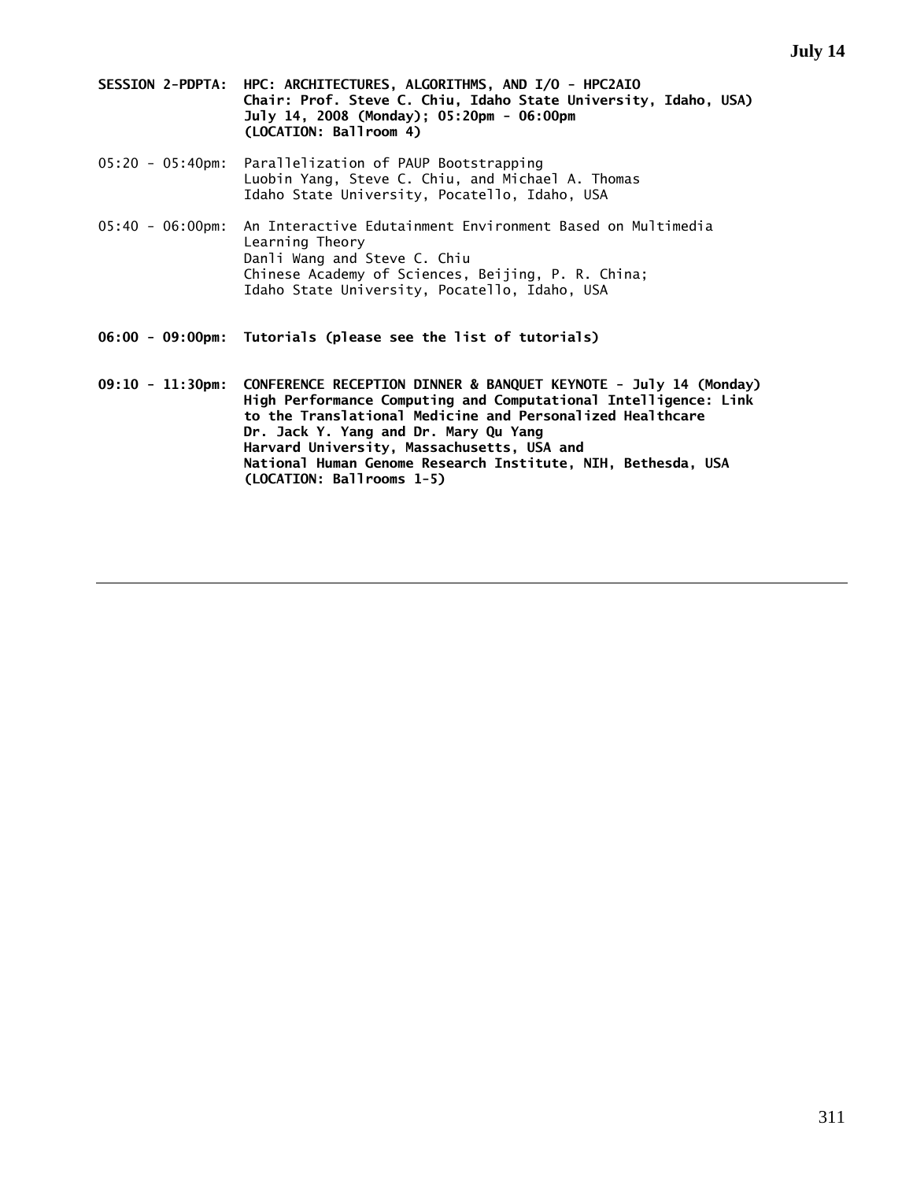- **SESSION 2-PDPTA: HPC: ARCHITECTURES, ALGORITHMS, AND I/O HPC2AIO Chair: Prof. Steve C. Chiu, Idaho State University, Idaho, USA) July 14, 2008 (Monday); 05:20pm - 06:00pm (LOCATION: Ballroom 4)**
- 05:20 05:40pm: Parallelization of PAUP Bootstrapping Luobin Yang, Steve C. Chiu, and Michael A. Thomas Idaho State University, Pocatello, Idaho, USA
- 05:40 06:00pm: An Interactive Edutainment Environment Based on Multimedia Learning Theory Danli Wang and Steve C. Chiu Chinese Academy of Sciences, Beijing, P. R. China; Idaho State University, Pocatello, Idaho, USA
- **06:00 09:00pm: Tutorials (please see the list of tutorials)**
- **09:10 11:30pm: CONFERENCE RECEPTION DINNER & BANQUET KEYNOTE July 14 (Monday) High Performance Computing and Computational Intelligence: Link to the Translational Medicine and Personalized Healthcare Dr. Jack Y. Yang and Dr. Mary Qu Yang Harvard University, Massachusetts, USA and National Human Genome Research Institute, NIH, Bethesda, USA (LOCATION: Ballrooms 1-5)**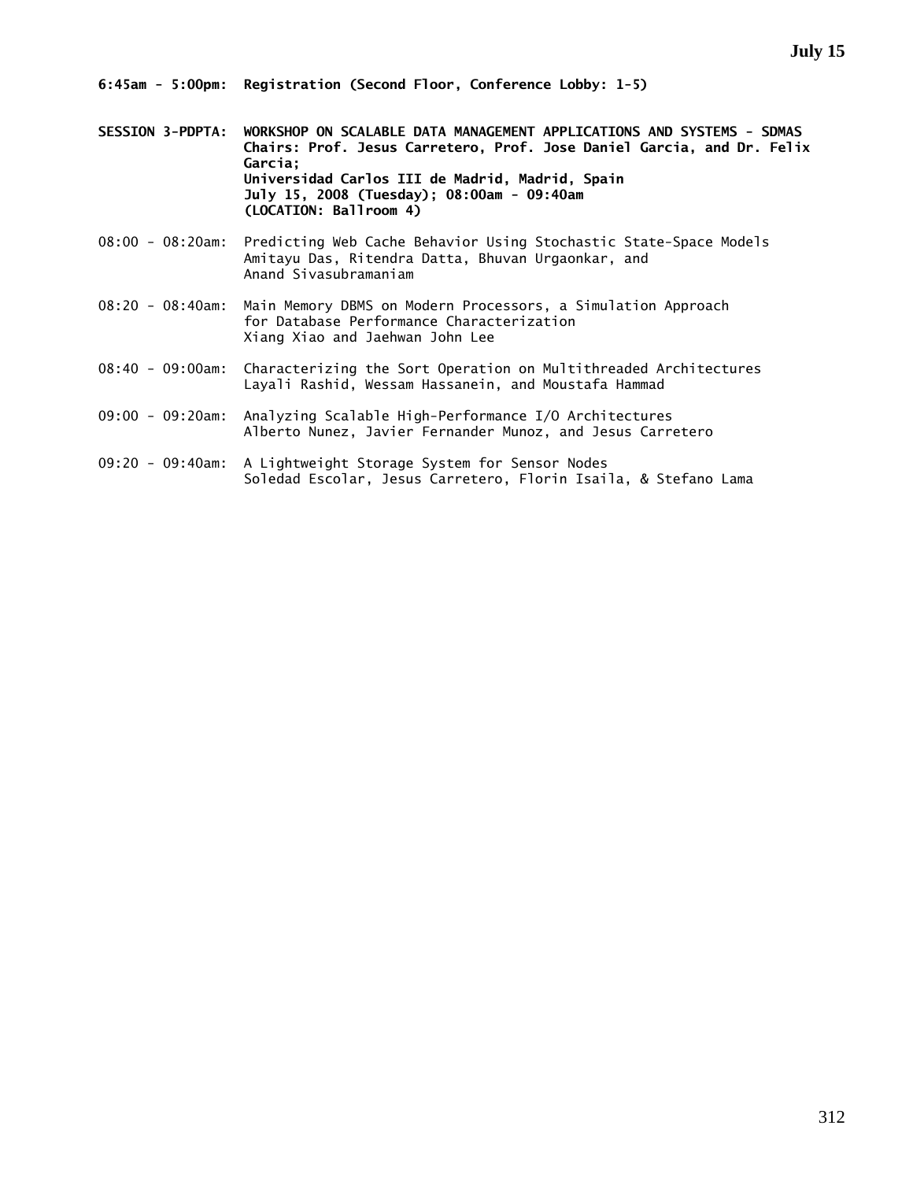**6:45am - 5:00pm: Registration (Second Floor, Conference Lobby: 1-5)** 

- **SESSION 3-PDPTA: WORKSHOP ON SCALABLE DATA MANAGEMENT APPLICATIONS AND SYSTEMS SDMAS Chairs: Prof. Jesus Carretero, Prof. Jose Daniel Garcia, and Dr. Felix Garcia; Universidad Carlos III de Madrid, Madrid, Spain July 15, 2008 (Tuesday); 08:00am - 09:40am (LOCATION: Ballroom 4)**
- 08:00 08:20am: Predicting Web Cache Behavior Using Stochastic State-Space Models Amitayu Das, Ritendra Datta, Bhuvan Urgaonkar, and Anand Sivasubramaniam
- 08:20 08:40am: Main Memory DBMS on Modern Processors, a Simulation Approach for Database Performance Characterization Xiang Xiao and Jaehwan John Lee
- 08:40 09:00am: Characterizing the Sort Operation on Multithreaded Architectures Layali Rashid, Wessam Hassanein, and Moustafa Hammad
- 09:00 09:20am: Analyzing Scalable High-Performance I/O Architectures Alberto Nunez, Javier Fernander Munoz, and Jesus Carretero
- 09:20 09:40am: A Lightweight Storage System for Sensor Nodes Soledad Escolar, Jesus Carretero, Florin Isaila, & Stefano Lama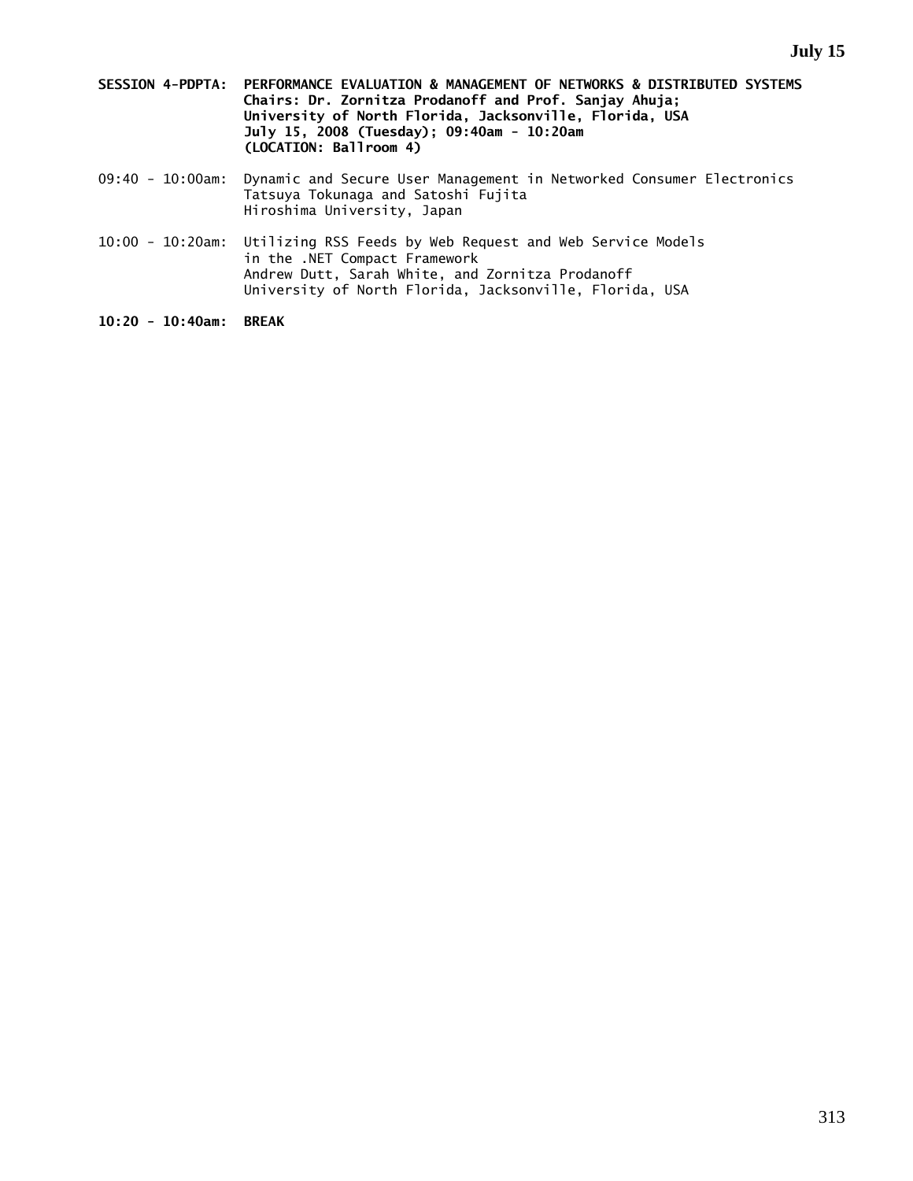- **SESSION 4-PDPTA: PERFORMANCE EVALUATION & MANAGEMENT OF NETWORKS & DISTRIBUTED SYSTEMS Chairs: Dr. Zornitza Prodanoff and Prof. Sanjay Ahuja; University of North Florida, Jacksonville, Florida, USA July 15, 2008 (Tuesday); 09:40am - 10:20am (LOCATION: Ballroom 4)**
- 09:40 10:00am: Dynamic and Secure User Management in Networked Consumer Electronics Tatsuya Tokunaga and Satoshi Fujita Hiroshima University, Japan
- 10:00 10:20am: Utilizing RSS Feeds by Web Request and Web Service Models in the .NET Compact Framework Andrew Dutt, Sarah White, and Zornitza Prodanoff University of North Florida, Jacksonville, Florida, USA

**10:20 - 10:40am: BREAK**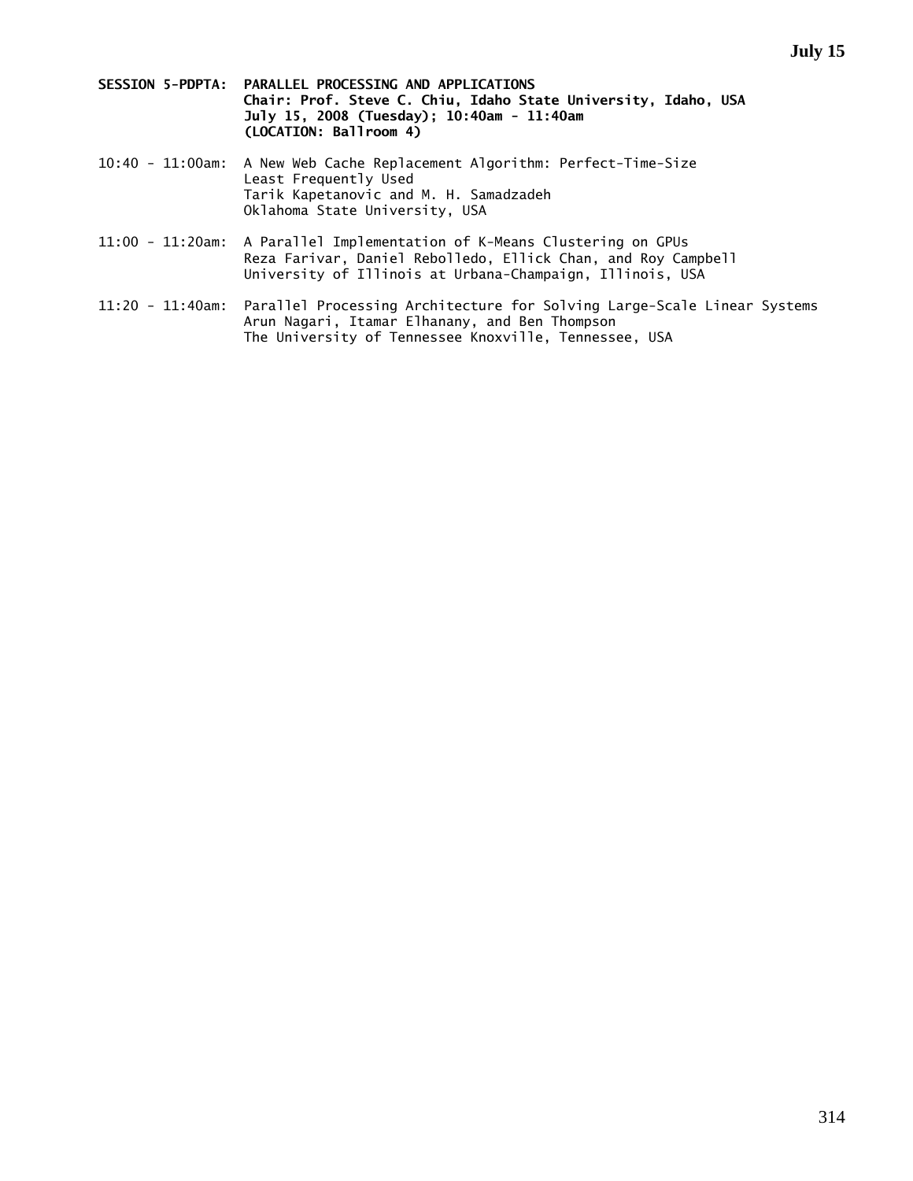- **SESSION 5-PDPTA: PARALLEL PROCESSING AND APPLICATIONS Chair: Prof. Steve C. Chiu, Idaho State University, Idaho, USA July 15, 2008 (Tuesday); 10:40am - 11:40am (LOCATION: Ballroom 4)**
- 10:40 11:00am: A New Web Cache Replacement Algorithm: Perfect-Time-Size Least Frequently Used Tarik Kapetanovic and M. H. Samadzadeh Oklahoma State University, USA
- 11:00 11:20am: A Parallel Implementation of K-Means Clustering on GPUs Reza Farivar, Daniel Rebolledo, Ellick Chan, and Roy Campbell University of Illinois at Urbana-Champaign, Illinois, USA
- 11:20 11:40am: Parallel Processing Architecture for Solving Large-Scale Linear Systems Arun Nagari, Itamar Elhanany, and Ben Thompson The University of Tennessee Knoxville, Tennessee, USA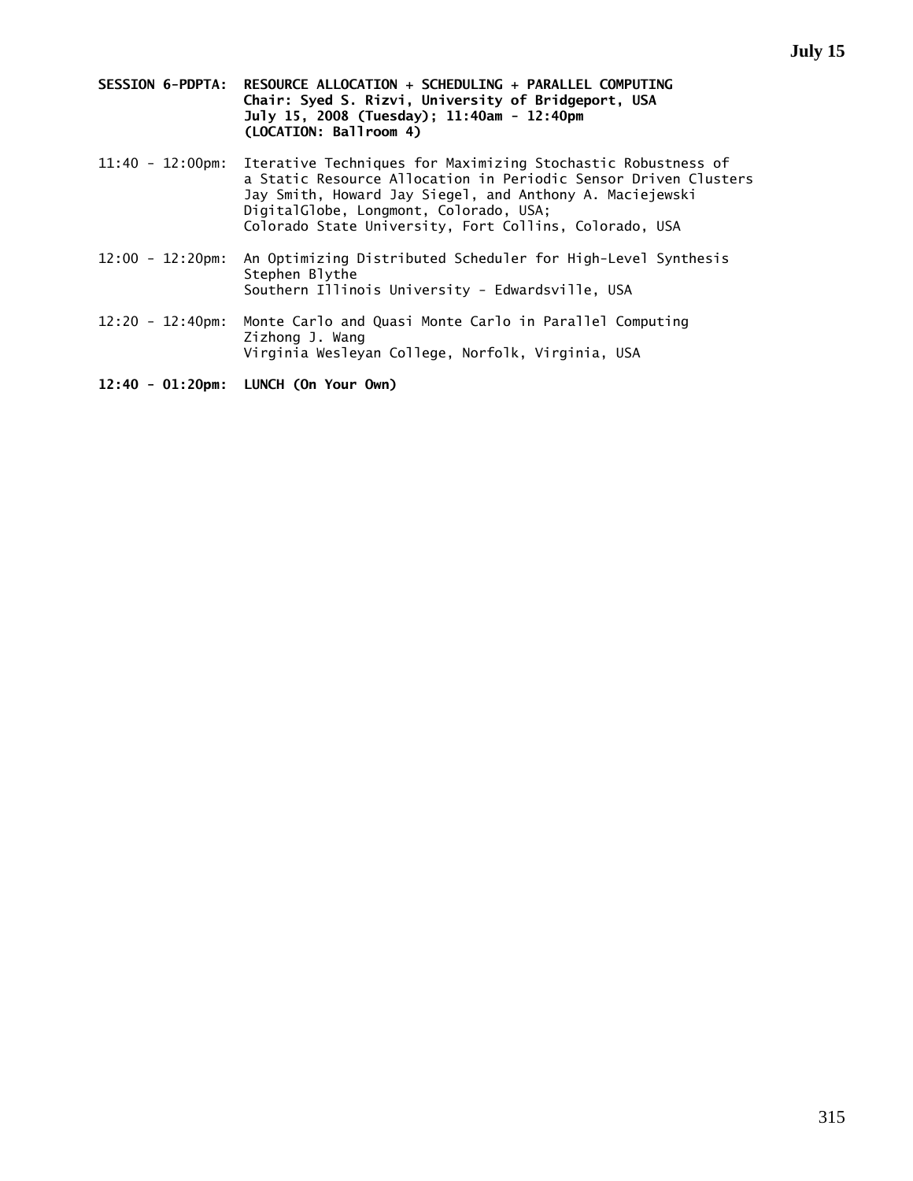- **SESSION 6-PDPTA: RESOURCE ALLOCATION + SCHEDULING + PARALLEL COMPUTING Chair: Syed S. Rizvi, University of Bridgeport, USA July 15, 2008 (Tuesday); 11:40am - 12:40pm (LOCATION: Ballroom 4)**
- 11:40 12:00pm: Iterative Techniques for Maximizing Stochastic Robustness of a Static Resource Allocation in Periodic Sensor Driven Clusters Jay Smith, Howard Jay Siegel, and Anthony A. Maciejewski DigitalGlobe, Longmont, Colorado, USA; Colorado State University, Fort Collins, Colorado, USA
- 12:00 12:20pm: An Optimizing Distributed Scheduler for High-Level Synthesis Stephen Blythe Southern Illinois University - Edwardsville, USA
- 12:20 12:40pm: Monte Carlo and Quasi Monte Carlo in Parallel Computing Zizhong J. Wang Virginia Wesleyan College, Norfolk, Virginia, USA

**12:40 - 01:20pm: LUNCH (On Your Own)**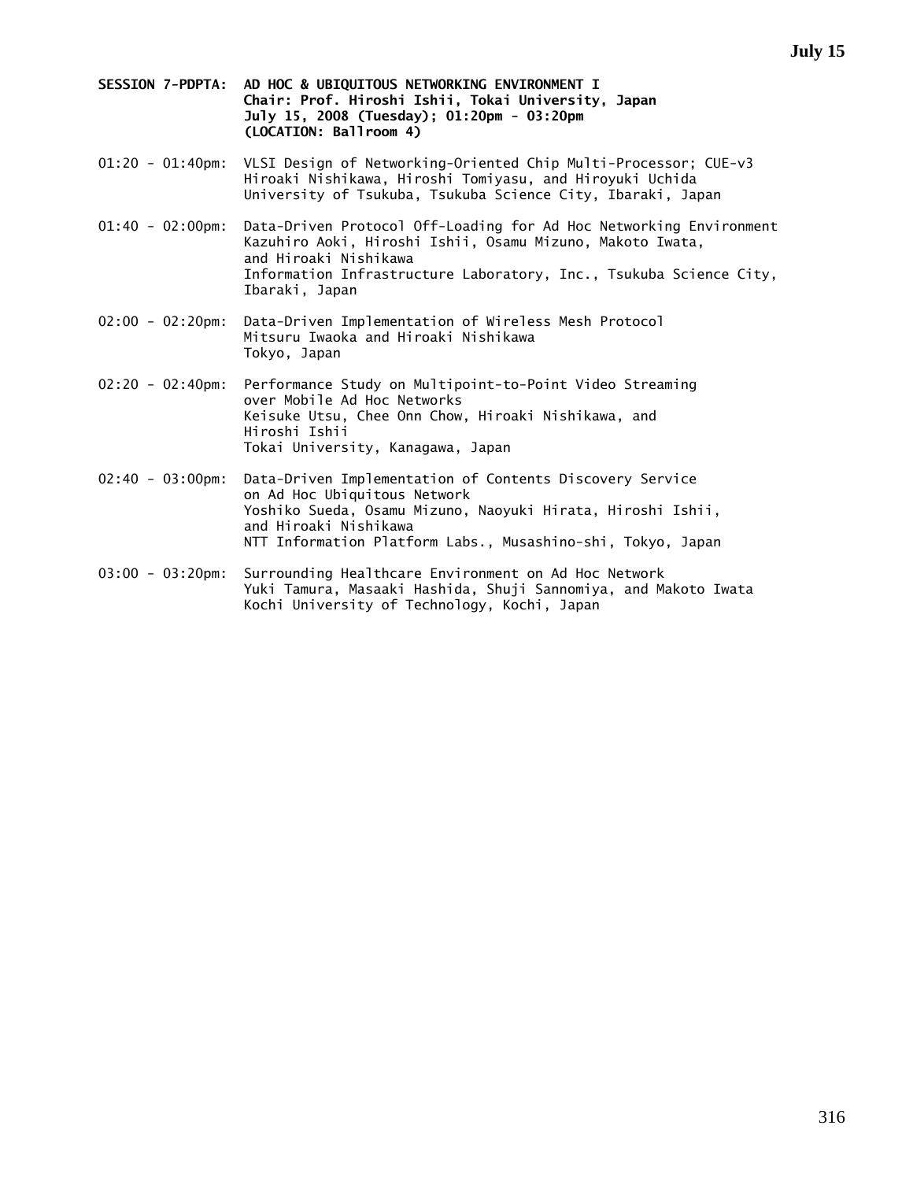- **SESSION 7-PDPTA: AD HOC & UBIQUITOUS NETWORKING ENVIRONMENT I Chair: Prof. Hiroshi Ishii, Tokai University, Japan July 15, 2008 (Tuesday); 01:20pm - 03:20pm (LOCATION: Ballroom 4)**
- 01:20 01:40pm: VLSI Design of Networking-Oriented Chip Multi-Processor; CUE-v3 Hiroaki Nishikawa, Hiroshi Tomiyasu, and Hiroyuki Uchida University of Tsukuba, Tsukuba Science City, Ibaraki, Japan
- 01:40 02:00pm: Data-Driven Protocol Off-Loading for Ad Hoc Networking Environment Kazuhiro Aoki, Hiroshi Ishii, Osamu Mizuno, Makoto Iwata, and Hiroaki Nishikawa Information Infrastructure Laboratory, Inc., Tsukuba Science City, Ibaraki, Japan
- 02:00 02:20pm: Data-Driven Implementation of Wireless Mesh Protocol Mitsuru Iwaoka and Hiroaki Nishikawa Tokyo, Japan
- 02:20 02:40pm: Performance Study on Multipoint-to-Point Video Streaming over Mobile Ad Hoc Networks Keisuke Utsu, Chee Onn Chow, Hiroaki Nishikawa, and Hiroshi Ishii Tokai University, Kanagawa, Japan
- 02:40 03:00pm: Data-Driven Implementation of Contents Discovery Service on Ad Hoc Ubiquitous Network Yoshiko Sueda, Osamu Mizuno, Naoyuki Hirata, Hiroshi Ishii, and Hiroaki Nishikawa NTT Information Platform Labs., Musashino-shi, Tokyo, Japan
- 03:00 03:20pm: Surrounding Healthcare Environment on Ad Hoc Network Yuki Tamura, Masaaki Hashida, Shuji Sannomiya, and Makoto Iwata Kochi University of Technology, Kochi, Japan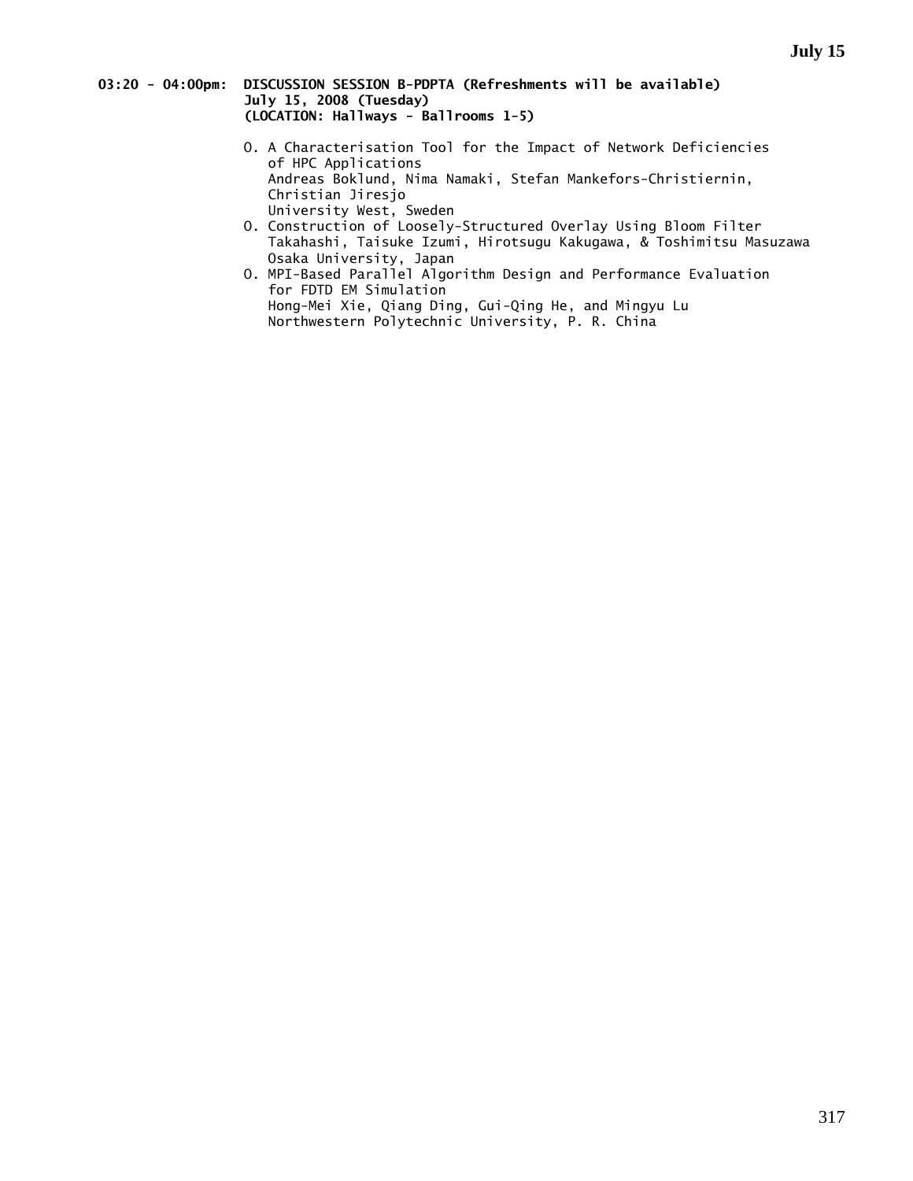### **03:20 - 04:00pm: DISCUSSION SESSION B-PDPTA (Refreshments will be available) July 15, 2008 (Tuesday) (LOCATION: Hallways - Ballrooms 1-5)**

- O. A Characterisation Tool for the Impact of Network Deficiencies of HPC Applications Andreas Boklund, Nima Namaki, Stefan Mankefors-Christiernin, Christian Jiresjo University West, Sweden
- O. Construction of Loosely-Structured Overlay Using Bloom Filter Takahashi, Taisuke Izumi, Hirotsugu Kakugawa, & Toshimitsu Masuzawa Osaka University, Japan
	- O. MPI-Based Parallel Algorithm Design and Performance Evaluation for FDTD EM Simulation Hong-Mei Xie, Qiang Ding, Gui-Qing He, and Mingyu Lu Northwestern Polytechnic University, P. R. China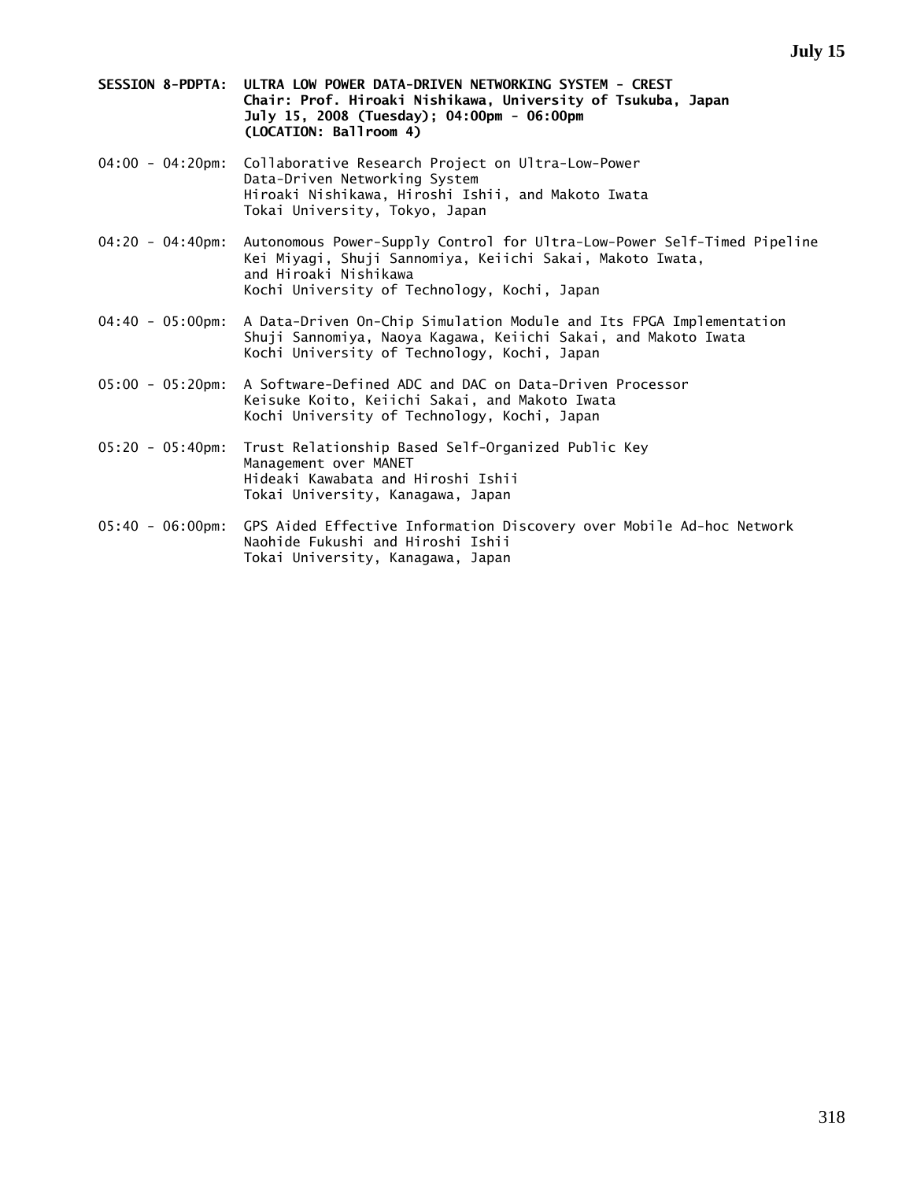- **SESSION 8-PDPTA: ULTRA LOW POWER DATA-DRIVEN NETWORKING SYSTEM CREST Chair: Prof. Hiroaki Nishikawa, University of Tsukuba, Japan July 15, 2008 (Tuesday); 04:00pm - 06:00pm (LOCATION: Ballroom 4)**
- 04:00 04:20pm: Collaborative Research Project on Ultra-Low-Power Data-Driven Networking System Hiroaki Nishikawa, Hiroshi Ishii, and Makoto Iwata Tokai University, Tokyo, Japan
- 04:20 04:40pm: Autonomous Power-Supply Control for Ultra-Low-Power Self-Timed Pipeline Kei Miyagi, Shuji Sannomiya, Keiichi Sakai, Makoto Iwata, and Hiroaki Nishikawa Kochi University of Technology, Kochi, Japan
- 04:40 05:00pm: A Data-Driven On-Chip Simulation Module and Its FPGA Implementation Shuji Sannomiya, Naoya Kagawa, Keiichi Sakai, and Makoto Iwata Kochi University of Technology, Kochi, Japan
- 05:00 05:20pm: A Software-Defined ADC and DAC on Data-Driven Processor Keisuke Koito, Keiichi Sakai, and Makoto Iwata Kochi University of Technology, Kochi, Japan
- 05:20 05:40pm: Trust Relationship Based Self-Organized Public Key Management over MANET Hideaki Kawabata and Hiroshi Ishii Tokai University, Kanagawa, Japan
- 05:40 06:00pm: GPS Aided Effective Information Discovery over Mobile Ad-hoc Network Naohide Fukushi and Hiroshi Ishii Tokai University, Kanagawa, Japan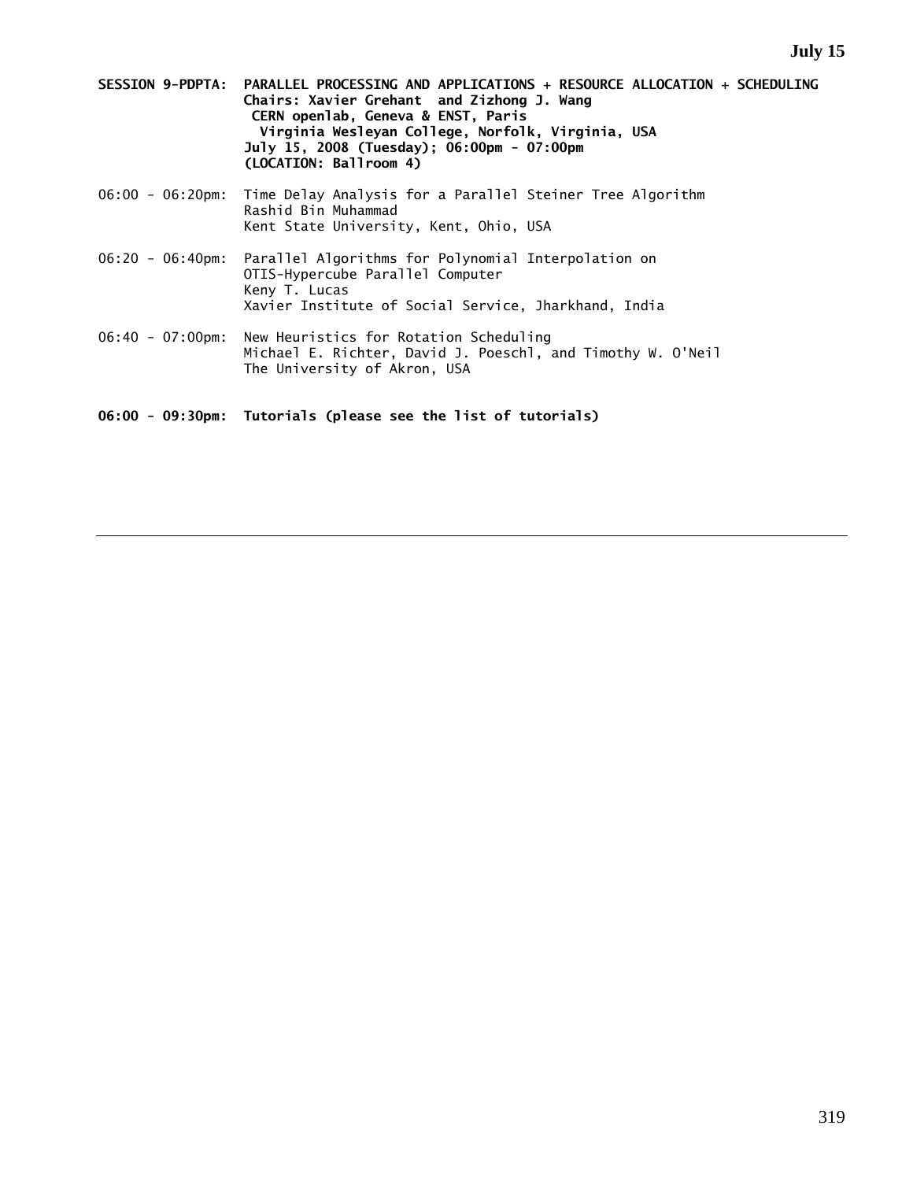- **SESSION 9-PDPTA: PARALLEL PROCESSING AND APPLICATIONS + RESOURCE ALLOCATION + SCHEDULING Chairs: Xavier Grehant and Zizhong J. Wang CERN openlab, Geneva & ENST, Paris Virginia Wesleyan College, Norfolk, Virginia, USA July 15, 2008 (Tuesday); 06:00pm - 07:00pm (LOCATION: Ballroom 4)**
- 06:00 06:20pm: Time Delay Analysis for a Parallel Steiner Tree Algorithm Rashid Bin Muhammad Kent State University, Kent, Ohio, USA
- 06:20 06:40pm: Parallel Algorithms for Polynomial Interpolation on OTIS-Hypercube Parallel Computer Keny T. Lucas Xavier Institute of Social Service, Jharkhand, India
- 06:40 07:00pm: New Heuristics for Rotation Scheduling Michael E. Richter, David J. Poeschl, and Timothy W. O'Neil The University of Akron, USA

**06:00 - 09:30pm: Tutorials (please see the list of tutorials)**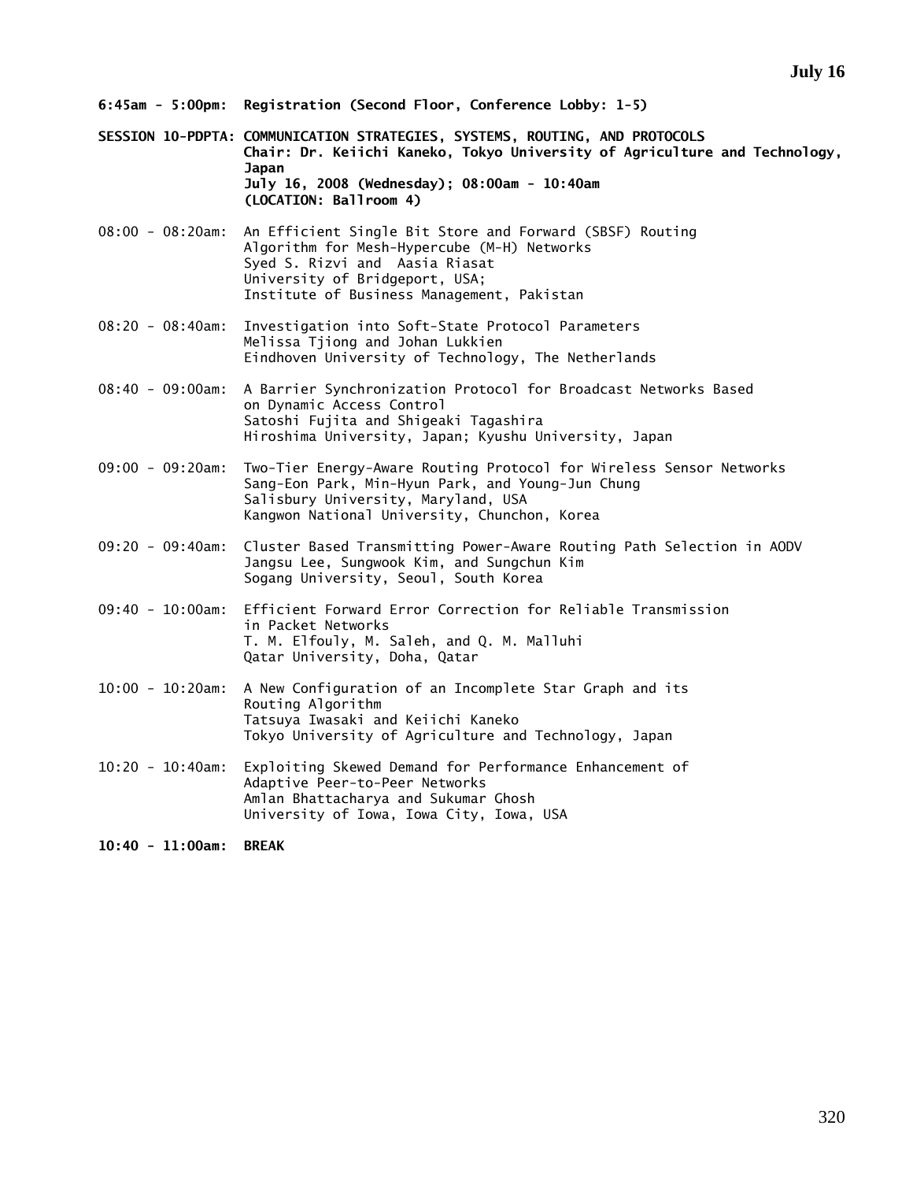- **6:45am 5:00pm: Registration (Second Floor, Conference Lobby: 1-5)**
- **SESSION 10-PDPTA: COMMUNICATION STRATEGIES, SYSTEMS, ROUTING, AND PROTOCOLS Chair: Dr. Keiichi Kaneko, Tokyo University of Agriculture and Technology, Japan July 16, 2008 (Wednesday); 08:00am - 10:40am (LOCATION: Ballroom 4)**
- 08:00 08:20am: An Efficient Single Bit Store and Forward (SBSF) Routing Algorithm for Mesh-Hypercube (M-H) Networks Syed S. Rizvi and Aasia Riasat University of Bridgeport, USA; Institute of Business Management, Pakistan
- 08:20 08:40am: Investigation into Soft-State Protocol Parameters Melissa Tjiong and Johan Lukkien Eindhoven University of Technology, The Netherlands
- 08:40 09:00am: A Barrier Synchronization Protocol for Broadcast Networks Based on Dynamic Access Control Satoshi Fujita and Shigeaki Tagashira Hiroshima University, Japan; Kyushu University, Japan
- 09:00 09:20am: Two-Tier Energy-Aware Routing Protocol for Wireless Sensor Networks Sang-Eon Park, Min-Hyun Park, and Young-Jun Chung Salisbury University, Maryland, USA Kangwon National University, Chunchon, Korea
- 09:20 09:40am: Cluster Based Transmitting Power-Aware Routing Path Selection in AODV Jangsu Lee, Sungwook Kim, and Sungchun Kim Sogang University, Seoul, South Korea
- 09:40 10:00am: Efficient Forward Error Correction for Reliable Transmission in Packet Networks T. M. Elfouly, M. Saleh, and Q. M. Malluhi Qatar University, Doha, Qatar
- 10:00 10:20am: A New Configuration of an Incomplete Star Graph and its Routing Algorithm Tatsuya Iwasaki and Keiichi Kaneko Tokyo University of Agriculture and Technology, Japan
- 10:20 10:40am: Exploiting Skewed Demand for Performance Enhancement of Adaptive Peer-to-Peer Networks Amlan Bhattacharya and Sukumar Ghosh University of Iowa, Iowa City, Iowa, USA

**10:40 - 11:00am: BREAK**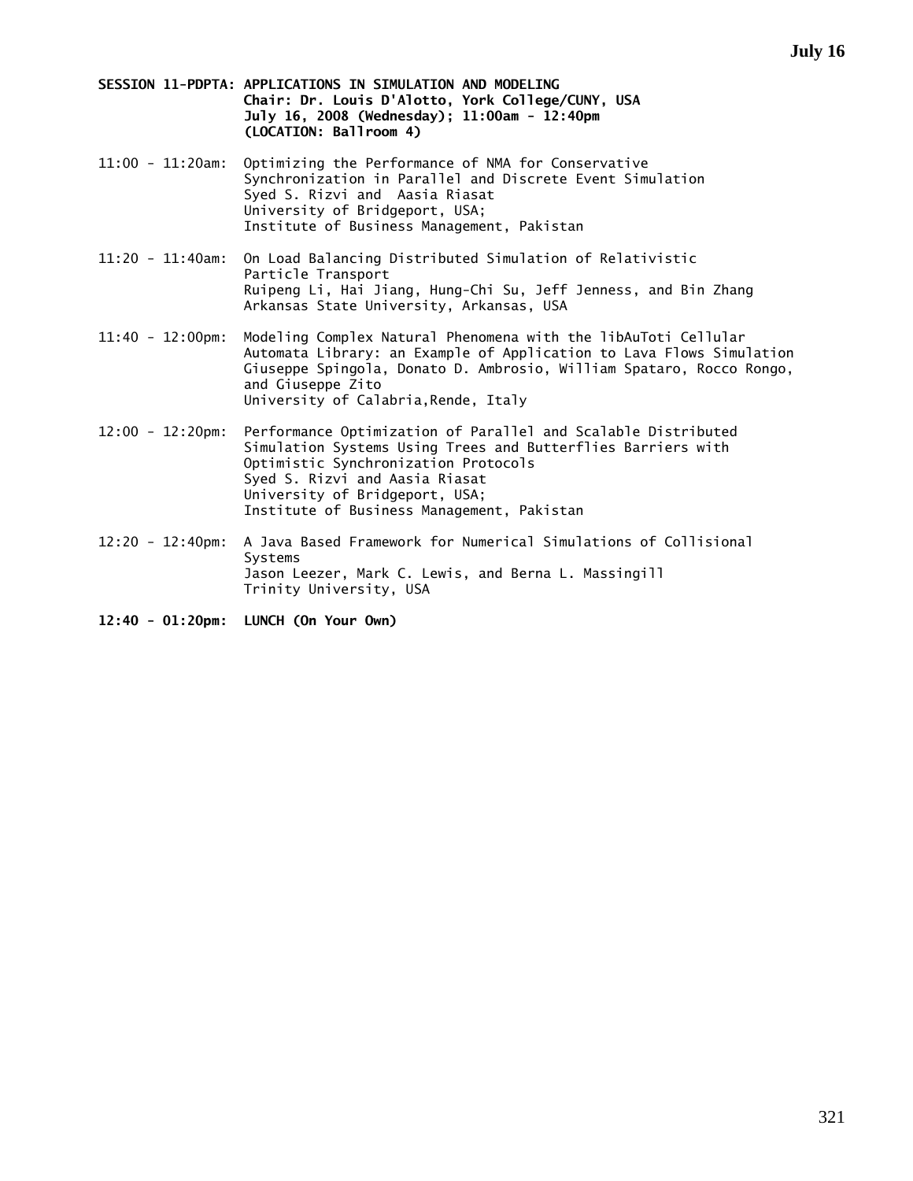- **SESSION 11-PDPTA: APPLICATIONS IN SIMULATION AND MODELING Chair: Dr. Louis D'Alotto, York College/CUNY, USA July 16, 2008 (Wednesday); 11:00am - 12:40pm (LOCATION: Ballroom 4)**
- 11:00 11:20am: Optimizing the Performance of NMA for Conservative Synchronization in Parallel and Discrete Event Simulation Syed S. Rizvi and Aasia Riasat University of Bridgeport, USA; Institute of Business Management, Pakistan
- 11:20 11:40am: On Load Balancing Distributed Simulation of Relativistic Particle Transport Ruipeng Li, Hai Jiang, Hung-Chi Su, Jeff Jenness, and Bin Zhang Arkansas State University, Arkansas, USA
- 11:40 12:00pm: Modeling Complex Natural Phenomena with the libAuToti Cellular Automata Library: an Example of Application to Lava Flows Simulation Giuseppe Spingola, Donato D. Ambrosio, William Spataro, Rocco Rongo, and Giuseppe Zito University of Calabria,Rende, Italy
- 12:00 12:20pm: Performance Optimization of Parallel and Scalable Distributed Simulation Systems Using Trees and Butterflies Barriers with Optimistic Synchronization Protocols Syed S. Rizvi and Aasia Riasat University of Bridgeport, USA; Institute of Business Management, Pakistan
- 12:20 12:40pm: A Java Based Framework for Numerical Simulations of Collisional Systems Jason Leezer, Mark C. Lewis, and Berna L. Massingill Trinity University, USA
- **12:40 01:20pm: LUNCH (On Your Own)**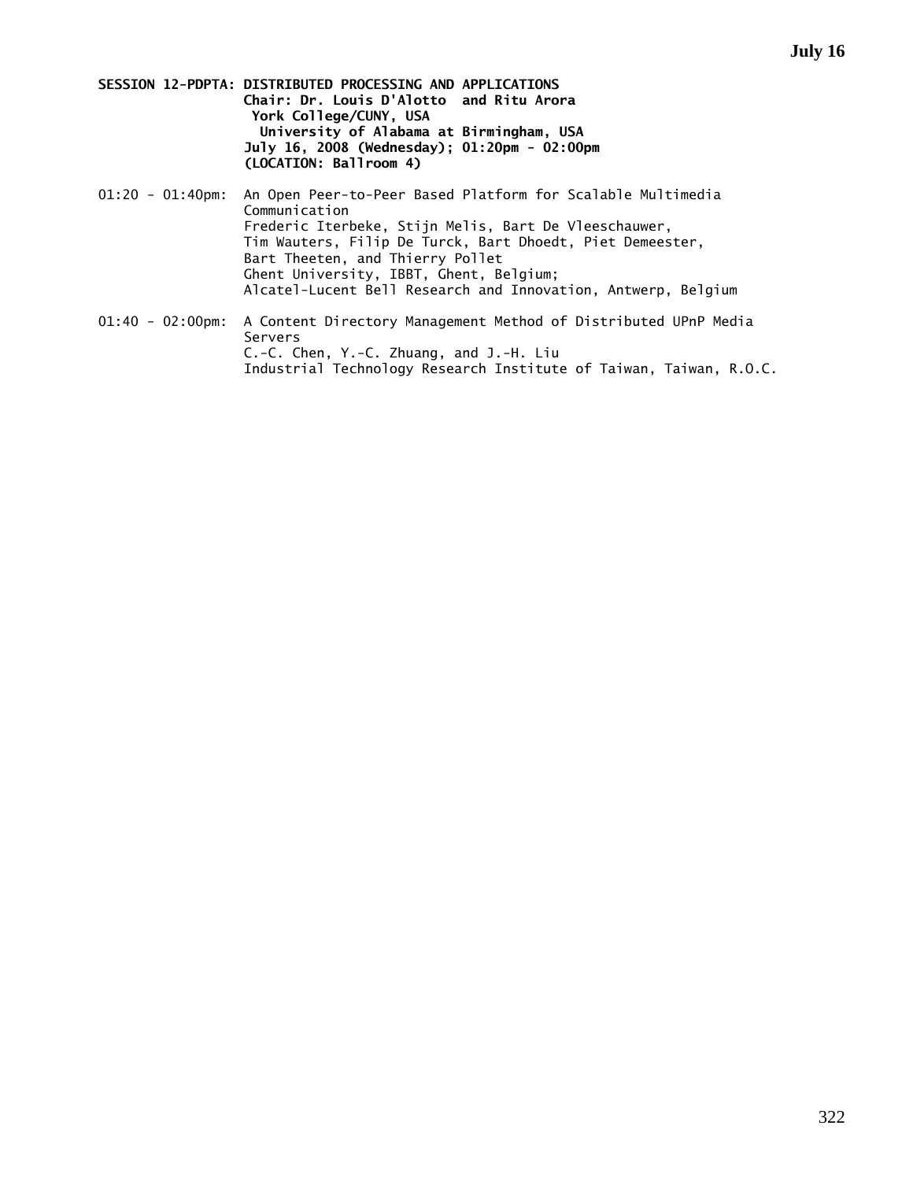**SESSION 12-PDPTA: DISTRIBUTED PROCESSING AND APPLICATIONS Chair: Dr. Louis D'Alotto and Ritu Arora York College/CUNY, USA University of Alabama at Birmingham, USA July 16, 2008 (Wednesday); 01:20pm - 02:00pm (LOCATION: Ballroom 4)** 

01:20 - 01:40pm: An Open Peer-to-Peer Based Platform for Scalable Multimedia Communication Frederic Iterbeke, Stijn Melis, Bart De Vleeschauwer, Tim Wauters, Filip De Turck, Bart Dhoedt, Piet Demeester, Bart Theeten, and Thierry Pollet Ghent University, IBBT, Ghent, Belgium; Alcatel-Lucent Bell Research and Innovation, Antwerp, Belgium

01:40 - 02:00pm: A Content Directory Management Method of Distributed UPnP Media Servers C.-C. Chen, Y.-C. Zhuang, and J.-H. Liu Industrial Technology Research Institute of Taiwan, Taiwan, R.O.C.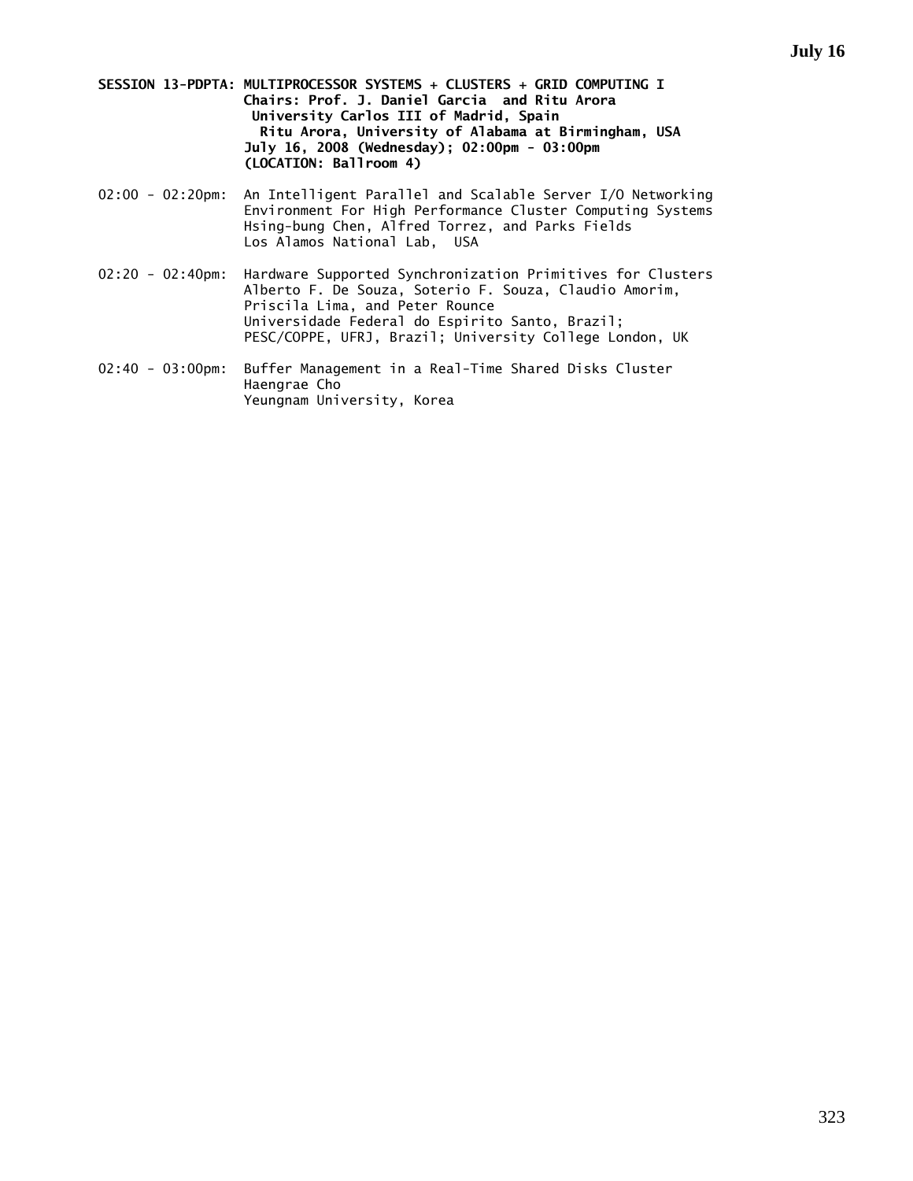**SESSION 13-PDPTA: MULTIPROCESSOR SYSTEMS + CLUSTERS + GRID COMPUTING I Chairs: Prof. J. Daniel Garcia and Ritu Arora University Carlos III of Madrid, Spain Ritu Arora, University of Alabama at Birmingham, USA July 16, 2008 (Wednesday); 02:00pm - 03:00pm (LOCATION: Ballroom 4)** 

- 02:00 02:20pm: An Intelligent Parallel and Scalable Server I/O Networking Environment For High Performance Cluster Computing Systems Hsing-bung Chen, Alfred Torrez, and Parks Fields Los Alamos National Lab, USA
- 02:20 02:40pm: Hardware Supported Synchronization Primitives for Clusters Alberto F. De Souza, Soterio F. Souza, Claudio Amorim, Priscila Lima, and Peter Rounce Universidade Federal do Espirito Santo, Brazil; PESC/COPPE, UFRJ, Brazil; University College London, UK
- 02:40 03:00pm: Buffer Management in a Real-Time Shared Disks Cluster Haengrae Cho Yeungnam University, Korea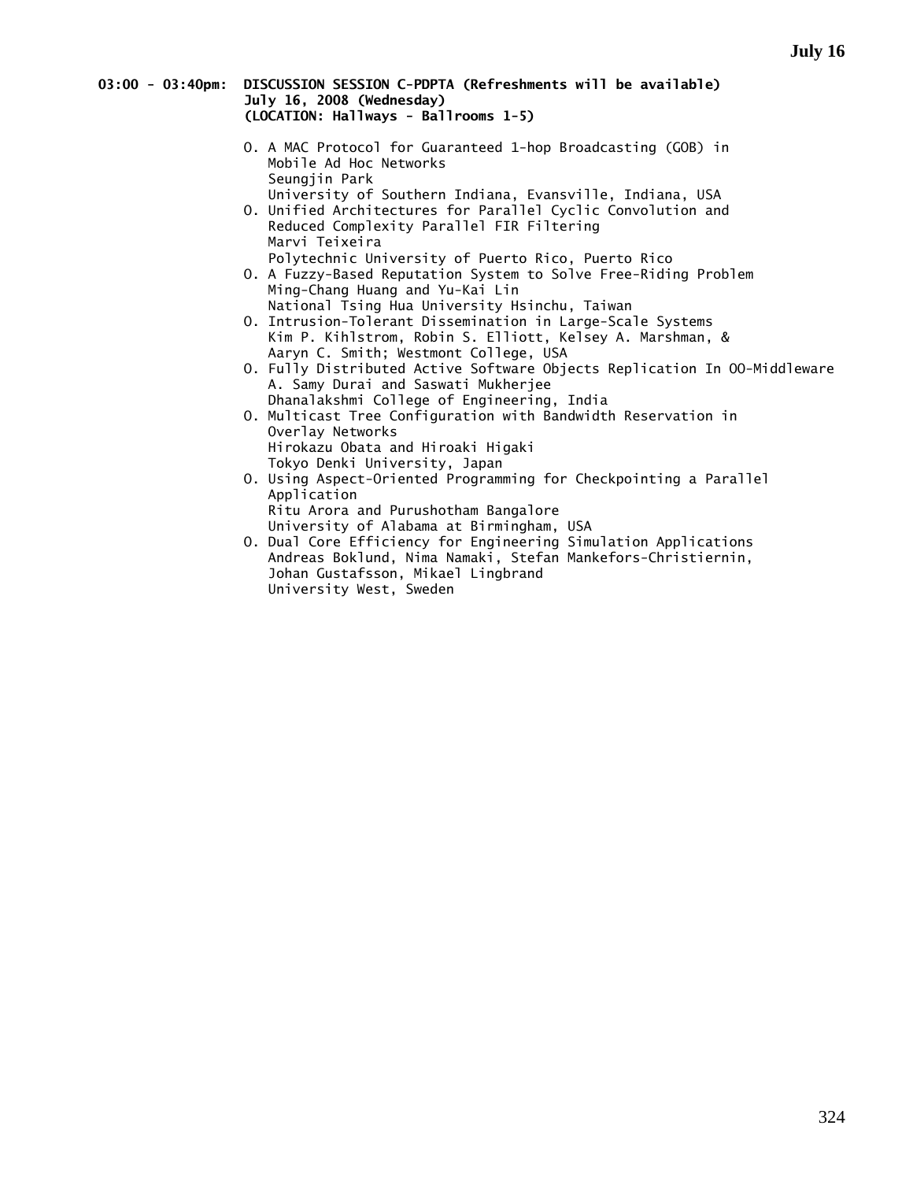### **03:00 - 03:40pm: DISCUSSION SESSION C-PDPTA (Refreshments will be available) July 16, 2008 (Wednesday) (LOCATION: Hallways - Ballrooms 1-5)**

- O. A MAC Protocol for Guaranteed 1-hop Broadcasting (GOB) in Mobile Ad Hoc Networks Seungjin Park
- University of Southern Indiana, Evansville, Indiana, USA O. Unified Architectures for Parallel Cyclic Convolution and Reduced Complexity Parallel FIR Filtering Marvi Teixeira
	- Polytechnic University of Puerto Rico, Puerto Rico
- O. A Fuzzy-Based Reputation System to Solve Free-Riding Problem Ming-Chang Huang and Yu-Kai Lin National Tsing Hua University Hsinchu, Taiwan
- O. Intrusion-Tolerant Dissemination in Large-Scale Systems Kim P. Kihlstrom, Robin S. Elliott, Kelsey A. Marshman, & Aaryn C. Smith; Westmont College, USA
- O. Fully Distributed Active Software Objects Replication In OO-Middleware A. Samy Durai and Saswati Mukherjee Dhanalakshmi College of Engineering, India
- O. Multicast Tree Configuration with Bandwidth Reservation in Overlay Networks Hirokazu Obata and Hiroaki Higaki Tokyo Denki University, Japan
- O. Using Aspect-Oriented Programming for Checkpointing a Parallel Application Ritu Arora and Purushotham Bangalore
- University of Alabama at Birmingham, USA O. Dual Core Efficiency for Engineering Simulation Applications Andreas Boklund, Nima Namaki, Stefan Mankefors-Christiernin, Johan Gustafsson, Mikael Lingbrand University West, Sweden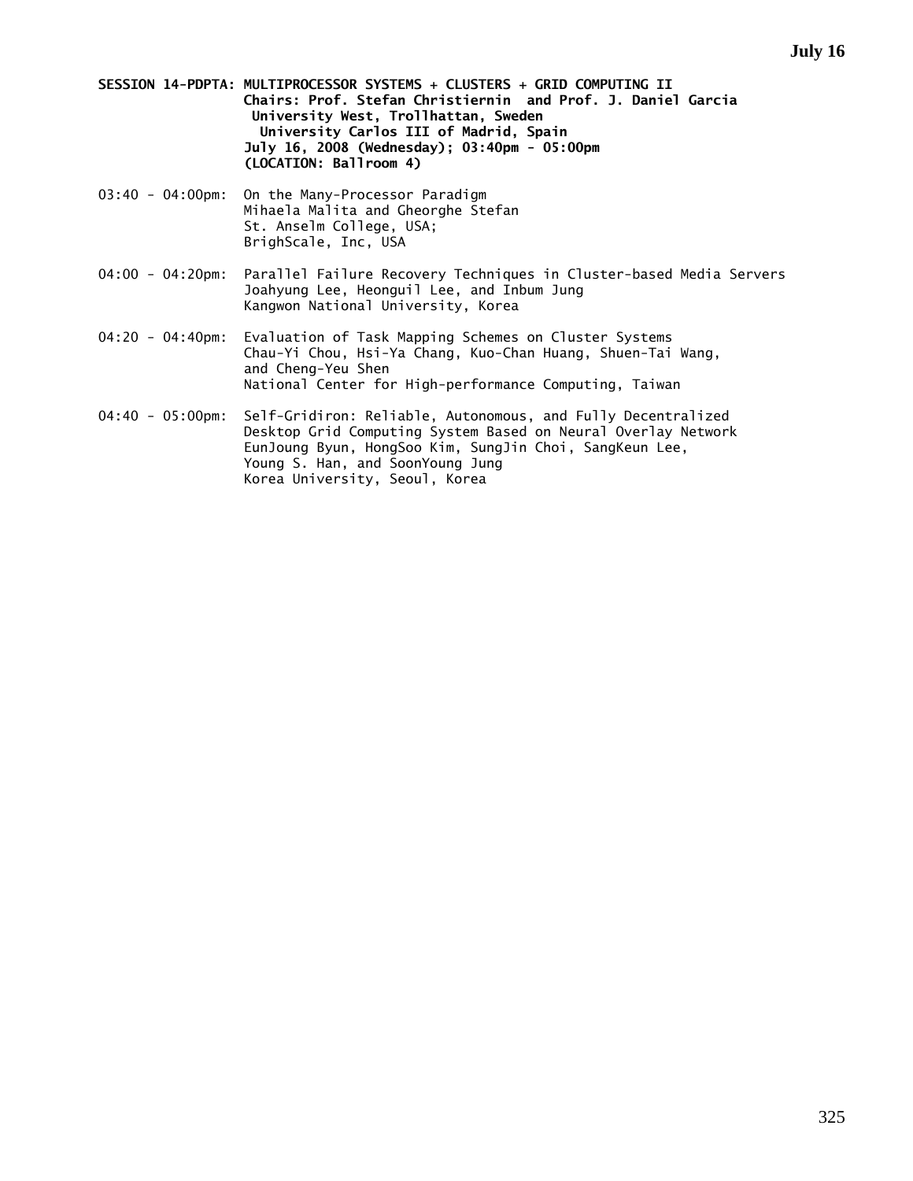**SESSION 14-PDPTA: MULTIPROCESSOR SYSTEMS + CLUSTERS + GRID COMPUTING II Chairs: Prof. Stefan Christiernin and Prof. J. Daniel Garcia University West, Trollhattan, Sweden University Carlos III of Madrid, Spain July 16, 2008 (Wednesday); 03:40pm - 05:00pm (LOCATION: Ballroom 4)** 

- 03:40 04:00pm: On the Many-Processor Paradigm Mihaela Malita and Gheorghe Stefan St. Anselm College, USA; BrighScale, Inc, USA
- 04:00 04:20pm: Parallel Failure Recovery Techniques in Cluster-based Media Servers Joahyung Lee, Heonguil Lee, and Inbum Jung Kangwon National University, Korea
- 04:20 04:40pm: Evaluation of Task Mapping Schemes on Cluster Systems Chau-Yi Chou, Hsi-Ya Chang, Kuo-Chan Huang, Shuen-Tai Wang, and Cheng-Yeu Shen National Center for High-performance Computing, Taiwan
- 04:40 05:00pm: Self-Gridiron: Reliable, Autonomous, and Fully Decentralized Desktop Grid Computing System Based on Neural Overlay Network EunJoung Byun, HongSoo Kim, SungJin Choi, SangKeun Lee, Young S. Han, and SoonYoung Jung Korea University, Seoul, Korea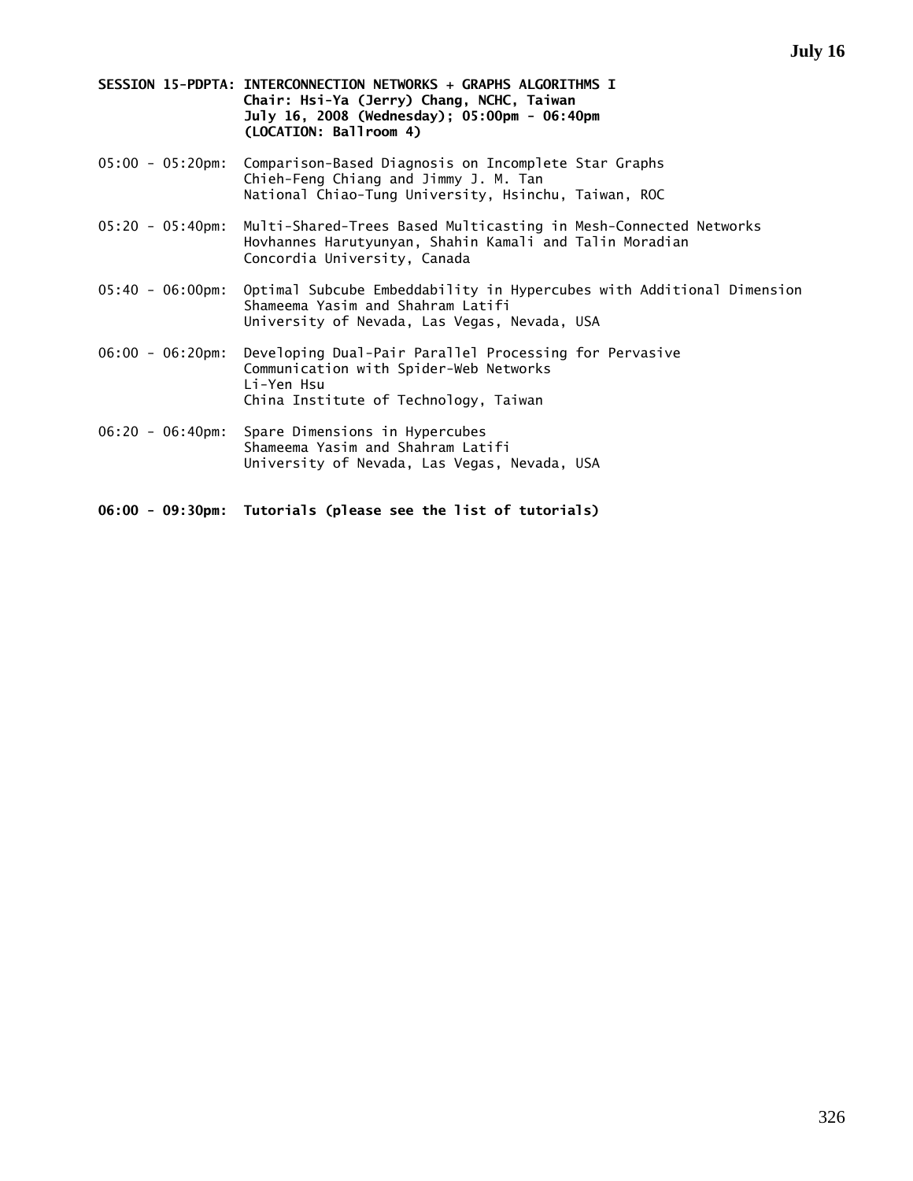|  | SESSION 15-PDPTA: INTERCONNECTION NETWORKS + GRAPHS ALGORITHMS I |
|--|------------------------------------------------------------------|
|  | Chair: Hsi-Ya (Jerry) Chang, NCHC, Taiwan                        |
|  | July 16, 2008 (Wednesday): 05:00pm - 06:40pm                     |
|  | (LOCATION: Ballroom 4)                                           |

- 05:00 05:20pm: Comparison-Based Diagnosis on Incomplete Star Graphs Chieh-Feng Chiang and Jimmy J. M. Tan National Chiao-Tung University, Hsinchu, Taiwan, ROC
- 05:20 05:40pm: Multi-Shared-Trees Based Multicasting in Mesh-Connected Networks Hovhannes Harutyunyan, Shahin Kamali and Talin Moradian Concordia University, Canada
- 05:40 06:00pm: Optimal Subcube Embeddability in Hypercubes with Additional Dimension Shameema Yasim and Shahram Latifi University of Nevada, Las Vegas, Nevada, USA
- 06:00 06:20pm: Developing Dual-Pair Parallel Processing for Pervasive Communication with Spider-Web Networks Li-Yen Hsu China Institute of Technology, Taiwan
- 06:20 06:40pm: Spare Dimensions in Hypercubes Shameema Yasim and Shahram Latifi University of Nevada, Las Vegas, Nevada, USA

**06:00 - 09:30pm: Tutorials (please see the list of tutorials)**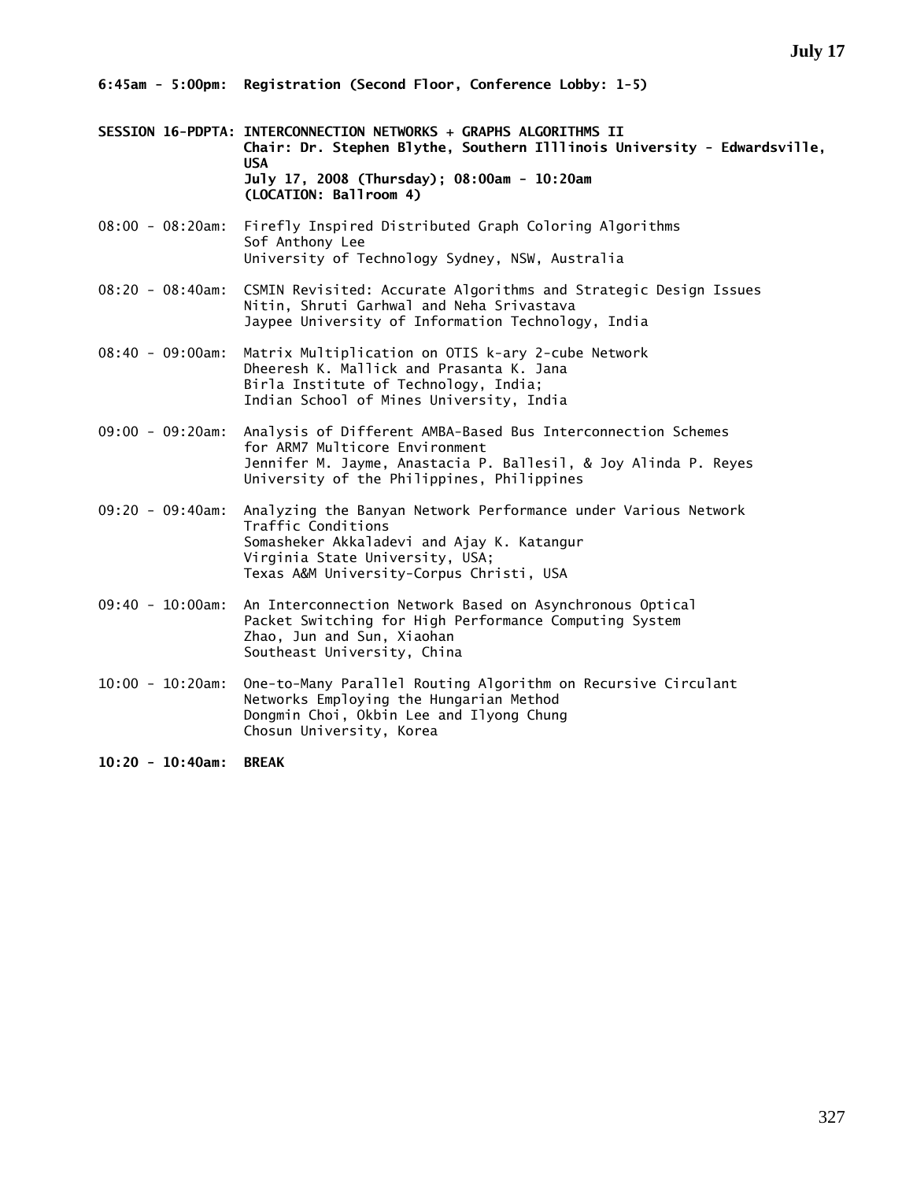**6:45am - 5:00pm: Registration (Second Floor, Conference Lobby: 1-5)** 

- **SESSION 16-PDPTA: INTERCONNECTION NETWORKS + GRAPHS ALGORITHMS II Chair: Dr. Stephen Blythe, Southern Illlinois University - Edwardsville, USA July 17, 2008 (Thursday); 08:00am - 10:20am (LOCATION: Ballroom 4)**
- 08:00 08:20am: Firefly Inspired Distributed Graph Coloring Algorithms Sof Anthony Lee University of Technology Sydney, NSW, Australia
- 08:20 08:40am: CSMIN Revisited: Accurate Algorithms and Strategic Design Issues Nitin, Shruti Garhwal and Neha Srivastava Jaypee University of Information Technology, India
- 08:40 09:00am: Matrix Multiplication on OTIS k-ary 2-cube Network Dheeresh K. Mallick and Prasanta K. Jana Birla Institute of Technology, India; Indian School of Mines University, India
- 09:00 09:20am: Analysis of Different AMBA-Based Bus Interconnection Schemes for ARM7 Multicore Environment Jennifer M. Jayme, Anastacia P. Ballesil, & Joy Alinda P. Reyes University of the Philippines, Philippines
- 09:20 09:40am: Analyzing the Banyan Network Performance under Various Network Traffic Conditions Somasheker Akkaladevi and Ajay K. Katangur Virginia State University, USA; Texas A&M University-Corpus Christi, USA
- 09:40 10:00am: An Interconnection Network Based on Asynchronous Optical Packet Switching for High Performance Computing System Zhao, Jun and Sun, Xiaohan Southeast University, China
- 10:00 10:20am: One-to-Many Parallel Routing Algorithm on Recursive Circulant Networks Employing the Hungarian Method Dongmin Choi, Okbin Lee and Ilyong Chung Chosun University, Korea
- **10:20 10:40am: BREAK**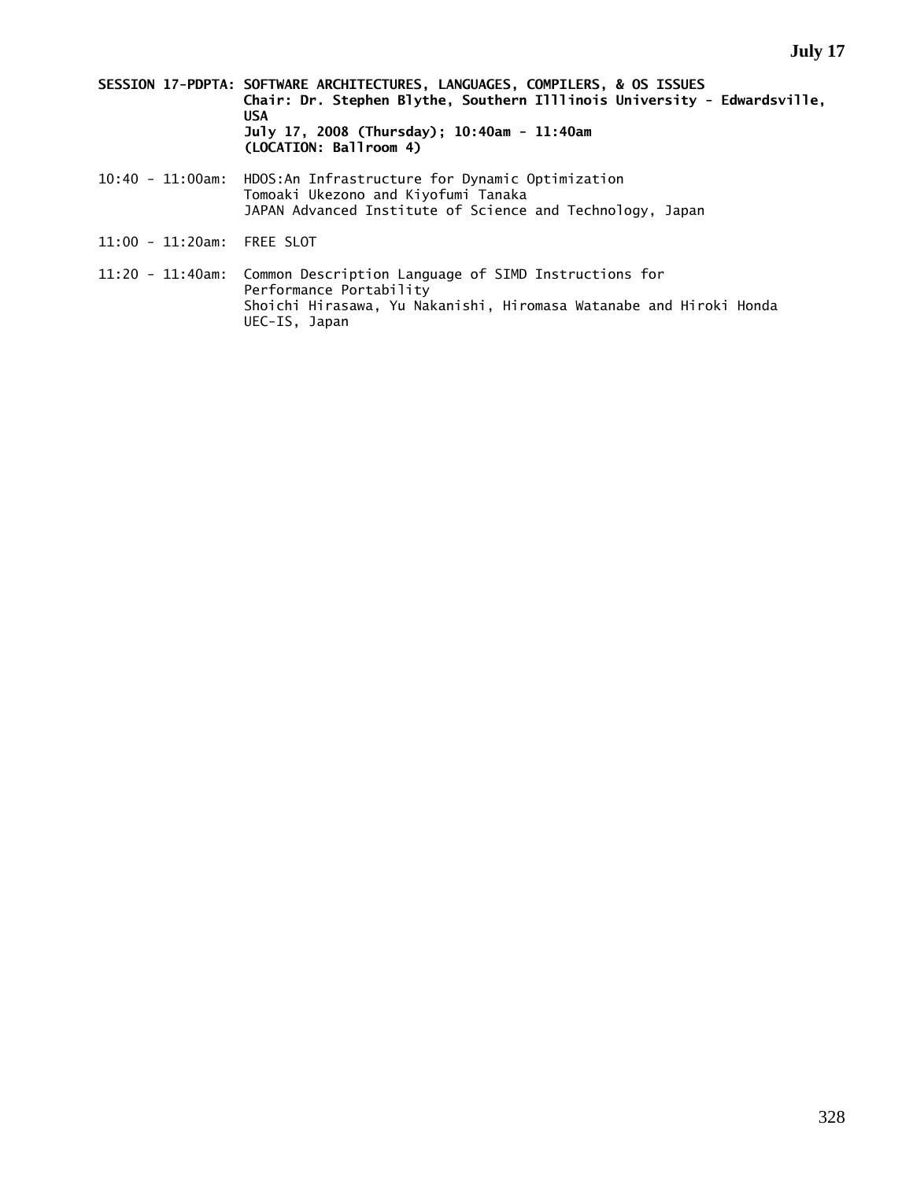- **SESSION 17-PDPTA: SOFTWARE ARCHITECTURES, LANGUAGES, COMPILERS, & OS ISSUES Chair: Dr. Stephen Blythe, Southern Illlinois University - Edwardsville, USA July 17, 2008 (Thursday); 10:40am - 11:40am (LOCATION: Ballroom 4)**
- 10:40 11:00am: HDOS:An Infrastructure for Dynamic Optimization Tomoaki Ukezono and Kiyofumi Tanaka JAPAN Advanced Institute of Science and Technology, Japan
- 11:00 11:20am: FREE SLOT
- 11:20 11:40am: Common Description Language of SIMD Instructions for Performance Portability Shoichi Hirasawa, Yu Nakanishi, Hiromasa Watanabe and Hiroki Honda UEC-IS, Japan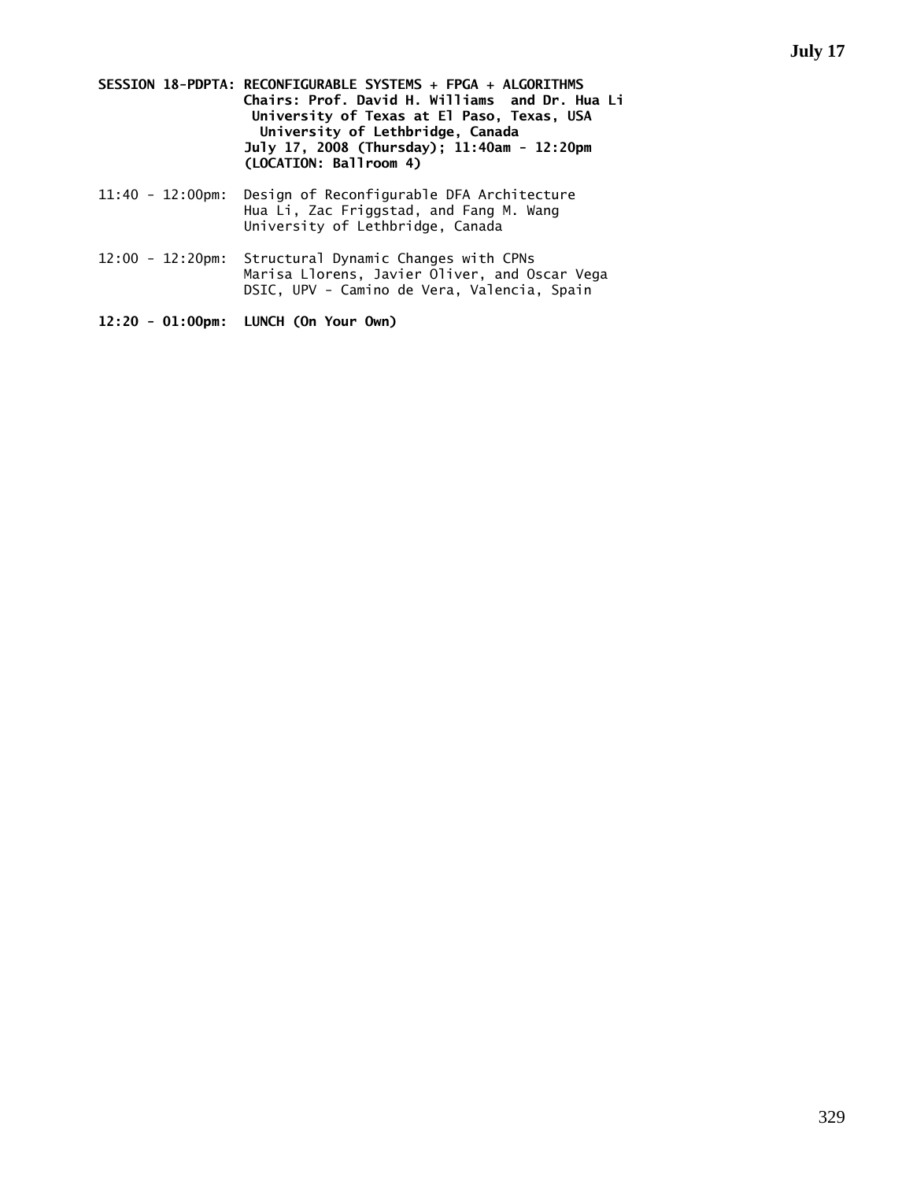**SESSION 18-PDPTA: RECONFIGURABLE SYSTEMS + FPGA + ALGORITHMS Chairs: Prof. David H. Williams and Dr. Hua Li University of Texas at El Paso, Texas, USA University of Lethbridge, Canada July 17, 2008 (Thursday); 11:40am - 12:20pm (LOCATION: Ballroom 4)** 

- 11:40 12:00pm: Design of Reconfigurable DFA Architecture Hua Li, Zac Friggstad, and Fang M. Wang University of Lethbridge, Canada
- 12:00 12:20pm: Structural Dynamic Changes with CPNs Marisa Llorens, Javier Oliver, and Oscar Vega DSIC, UPV - Camino de Vera, Valencia, Spain

```
12:20 - 01:00pm: LUNCH (On Your Own)
```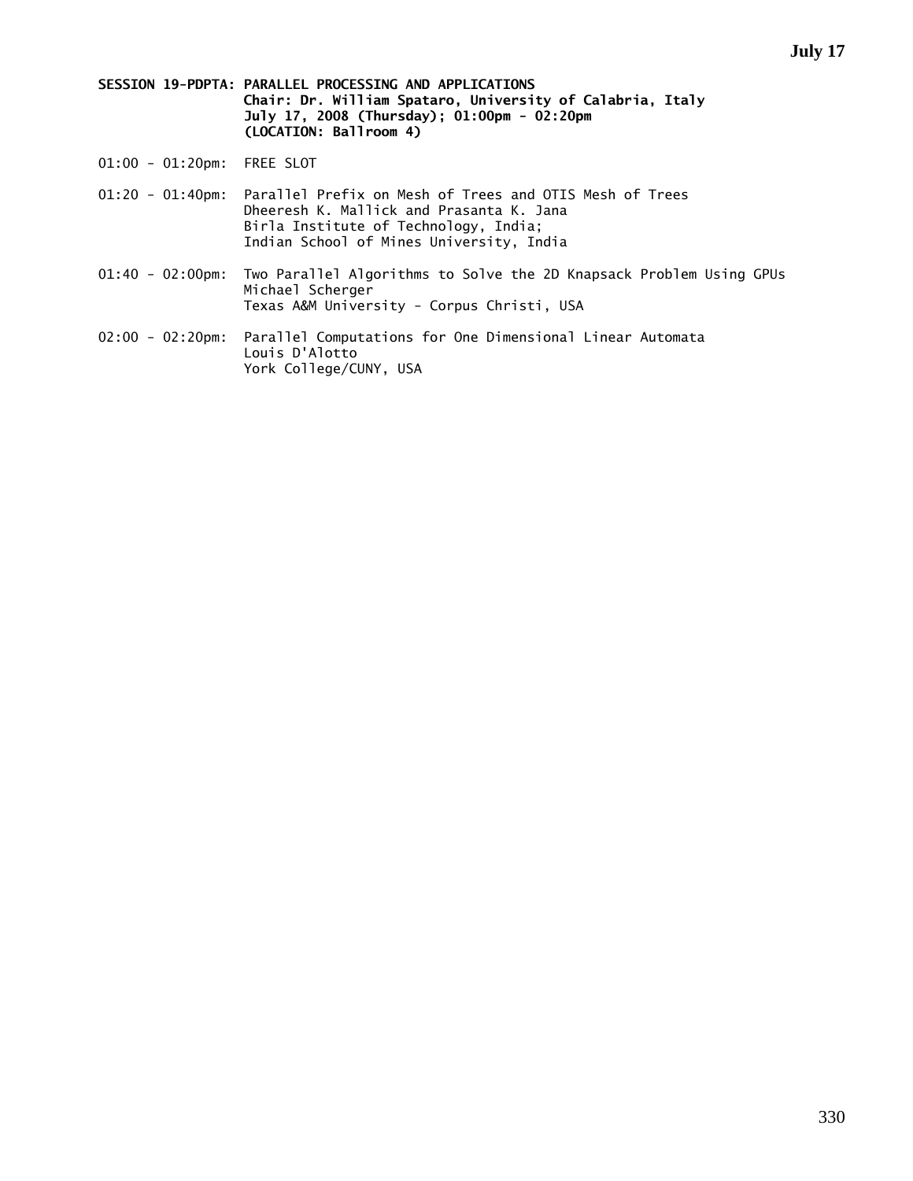**SESSION 19-PDPTA: PARALLEL PROCESSING AND APPLICATIONS Chair: Dr. William Spataro, University of Calabria, Italy July 17, 2008 (Thursday); 01:00pm - 02:20pm (LOCATION: Ballroom 4)** 

- 01:00 01:20pm: FREE SLOT
- 01:20 01:40pm: Parallel Prefix on Mesh of Trees and OTIS Mesh of Trees Dheeresh K. Mallick and Prasanta K. Jana Birla Institute of Technology, India; Indian School of Mines University, India
- 01:40 02:00pm: Two Parallel Algorithms to Solve the 2D Knapsack Problem Using GPUs Michael Scherger Texas A&M University - Corpus Christi, USA
- 02:00 02:20pm: Parallel Computations for One Dimensional Linear Automata Louis D'Alotto York College/CUNY, USA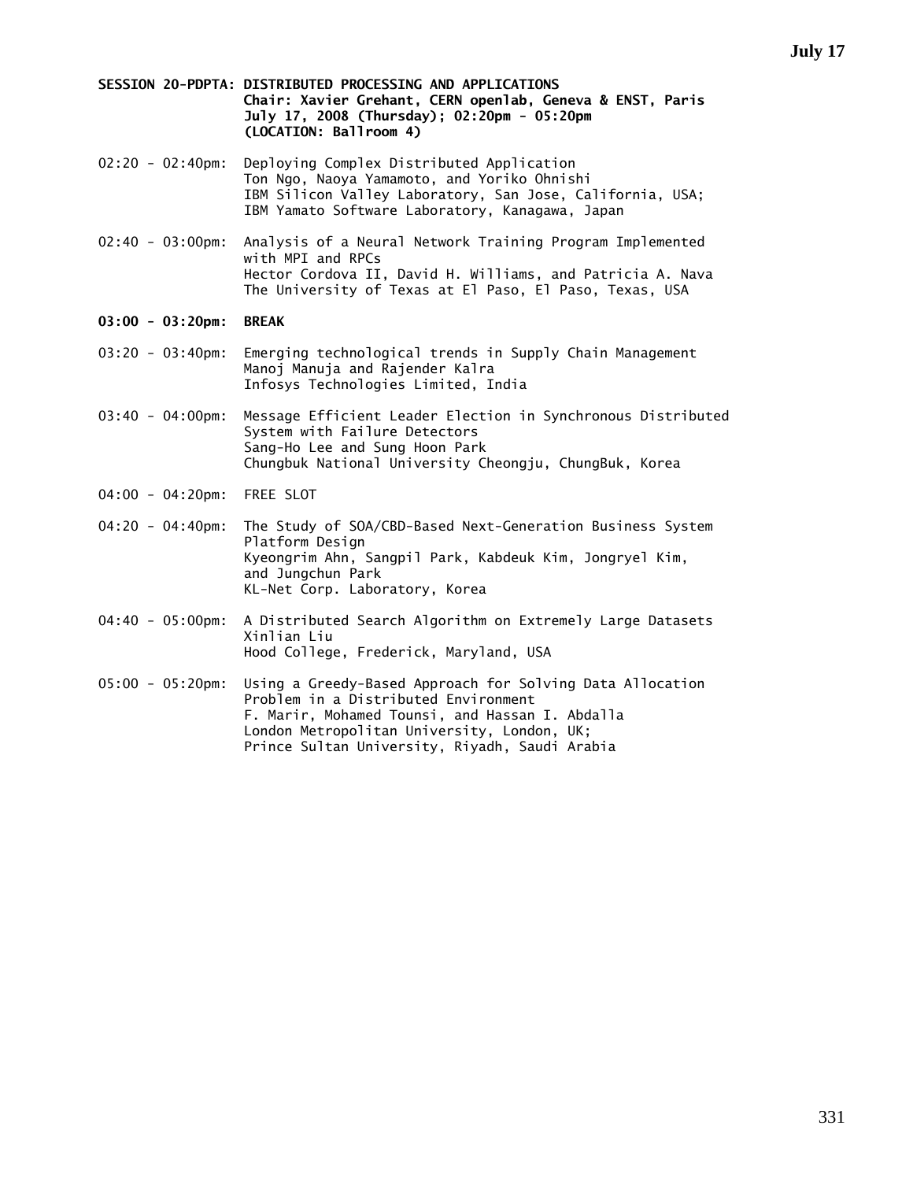### **SESSION 20-PDPTA: DISTRIBUTED PROCESSING AND APPLICATIONS Chair: Xavier Grehant, CERN openlab, Geneva & ENST, Paris July 17, 2008 (Thursday); 02:20pm - 05:20pm (LOCATION: Ballroom 4)**

- 02:20 02:40pm: Deploying Complex Distributed Application Ton Ngo, Naoya Yamamoto, and Yoriko Ohnishi IBM Silicon Valley Laboratory, San Jose, California, USA; IBM Yamato Software Laboratory, Kanagawa, Japan
- 02:40 03:00pm: Analysis of a Neural Network Training Program Implemented with MPI and RPCs Hector Cordova II, David H. Williams, and Patricia A. Nava The University of Texas at El Paso, El Paso, Texas, USA
- **03:00 03:20pm: BREAK**
- 03:20 03:40pm: Emerging technological trends in Supply Chain Management Manoj Manuja and Rajender Kalra Infosys Technologies Limited, India
- 03:40 04:00pm: Message Efficient Leader Election in Synchronous Distributed System with Failure Detectors Sang-Ho Lee and Sung Hoon Park Chungbuk National University Cheongju, ChungBuk, Korea
- 04:00 04:20pm: FREE SLOT
- 04:20 04:40pm: The Study of SOA/CBD-Based Next-Generation Business System Platform Design Kyeongrim Ahn, Sangpil Park, Kabdeuk Kim, Jongryel Kim, and Jungchun Park KL-Net Corp. Laboratory, Korea
- 04:40 05:00pm: A Distributed Search Algorithm on Extremely Large Datasets Xinlian Liu Hood College, Frederick, Maryland, USA
- 05:00 05:20pm: Using a Greedy-Based Approach for Solving Data Allocation Problem in a Distributed Environment F. Marir, Mohamed Tounsi, and Hassan I. Abdalla London Metropolitan University, London, UK; Prince Sultan University, Riyadh, Saudi Arabia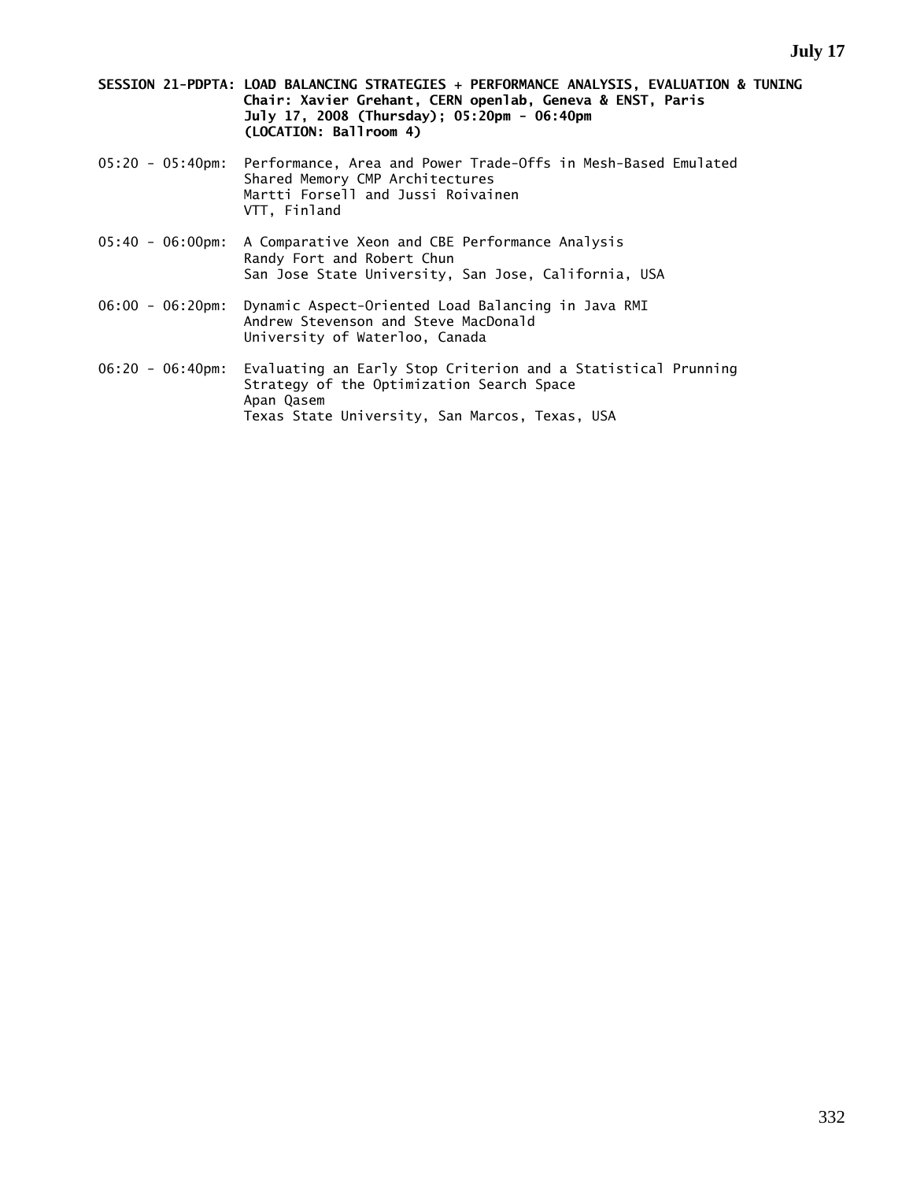- **SESSION 21-PDPTA: LOAD BALANCING STRATEGIES + PERFORMANCE ANALYSIS, EVALUATION & TUNING Chair: Xavier Grehant, CERN openlab, Geneva & ENST, Paris July 17, 2008 (Thursday); 05:20pm - 06:40pm (LOCATION: Ballroom 4)**
- 05:20 05:40pm: Performance, Area and Power Trade-Offs in Mesh-Based Emulated Shared Memory CMP Architectures Martti Forsell and Jussi Roivainen VTT, Finland
- 05:40 06:00pm: A Comparative Xeon and CBE Performance Analysis Randy Fort and Robert Chun San Jose State University, San Jose, California, USA
- 06:00 06:20pm: Dynamic Aspect-Oriented Load Balancing in Java RMI Andrew Stevenson and Steve MacDonald University of Waterloo, Canada
- 06:20 06:40pm: Evaluating an Early Stop Criterion and a Statistical Prunning Strategy of the Optimization Search Space Apan Qasem Texas State University, San Marcos, Texas, USA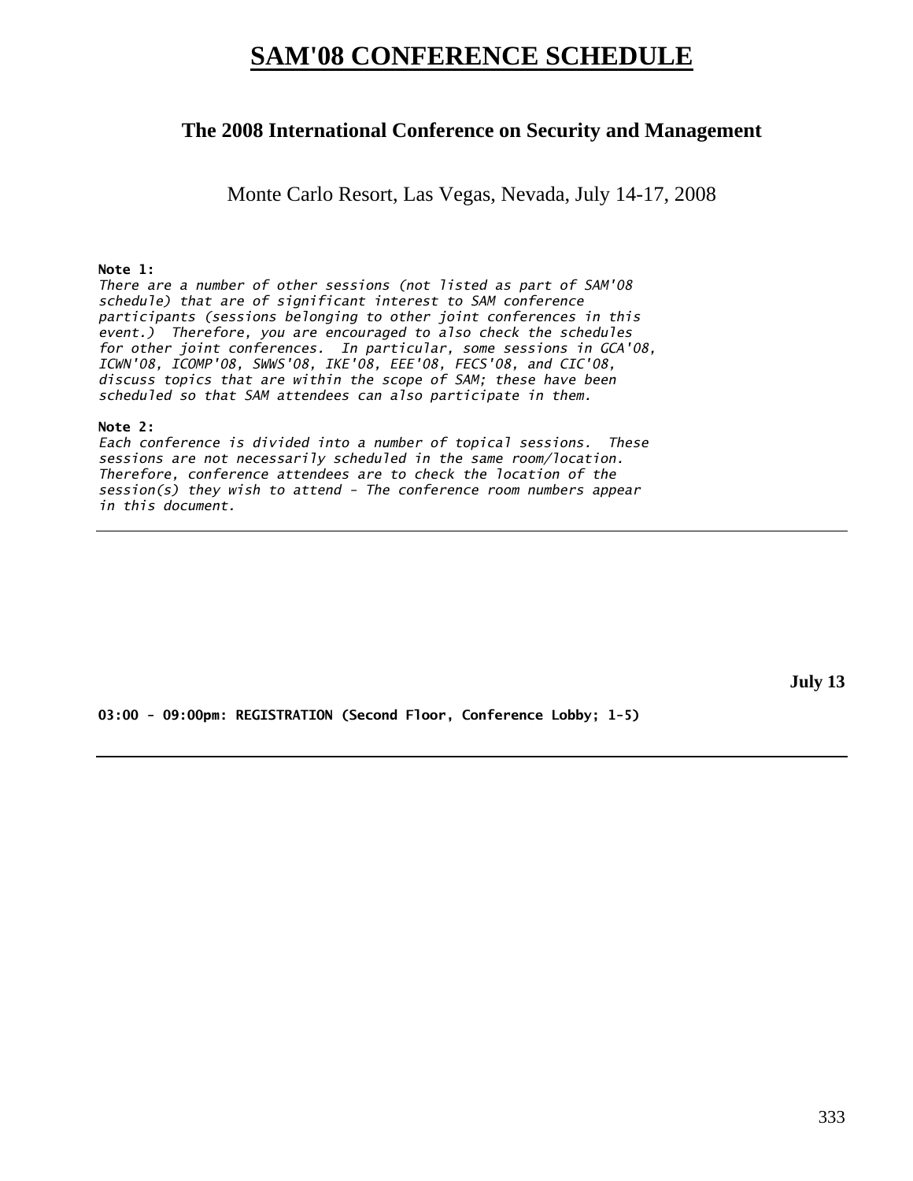# **SAM'08 CONFERENCE SCHEDULE**

## **The 2008 International Conference on Security and Management**

Monte Carlo Resort, Las Vegas, Nevada, July 14-17, 2008

### **Note 1:**

*There are a number of other sessions (not listed as part of SAM'08 schedule) that are of significant interest to SAM conference participants (sessions belonging to other joint conferences in this event.) Therefore, you are encouraged to also check the schedules for other joint conferences. In particular, some sessions in GCA'08, ICWN'08, ICOMP'08, SWWS'08, IKE'08, EEE'08, FECS'08, and CIC'08, discuss topics that are within the scope of SAM; these have been scheduled so that SAM attendees can also participate in them.* 

### **Note 2:**

*Each conference is divided into a number of topical sessions. These sessions are not necessarily scheduled in the same room/location. Therefore, conference attendees are to check the location of the session(s) they wish to attend - The conference room numbers appear in this document.* 

**July 13** 

**03:00 - 09:00pm: REGISTRATION (Second Floor, Conference Lobby; 1-5)**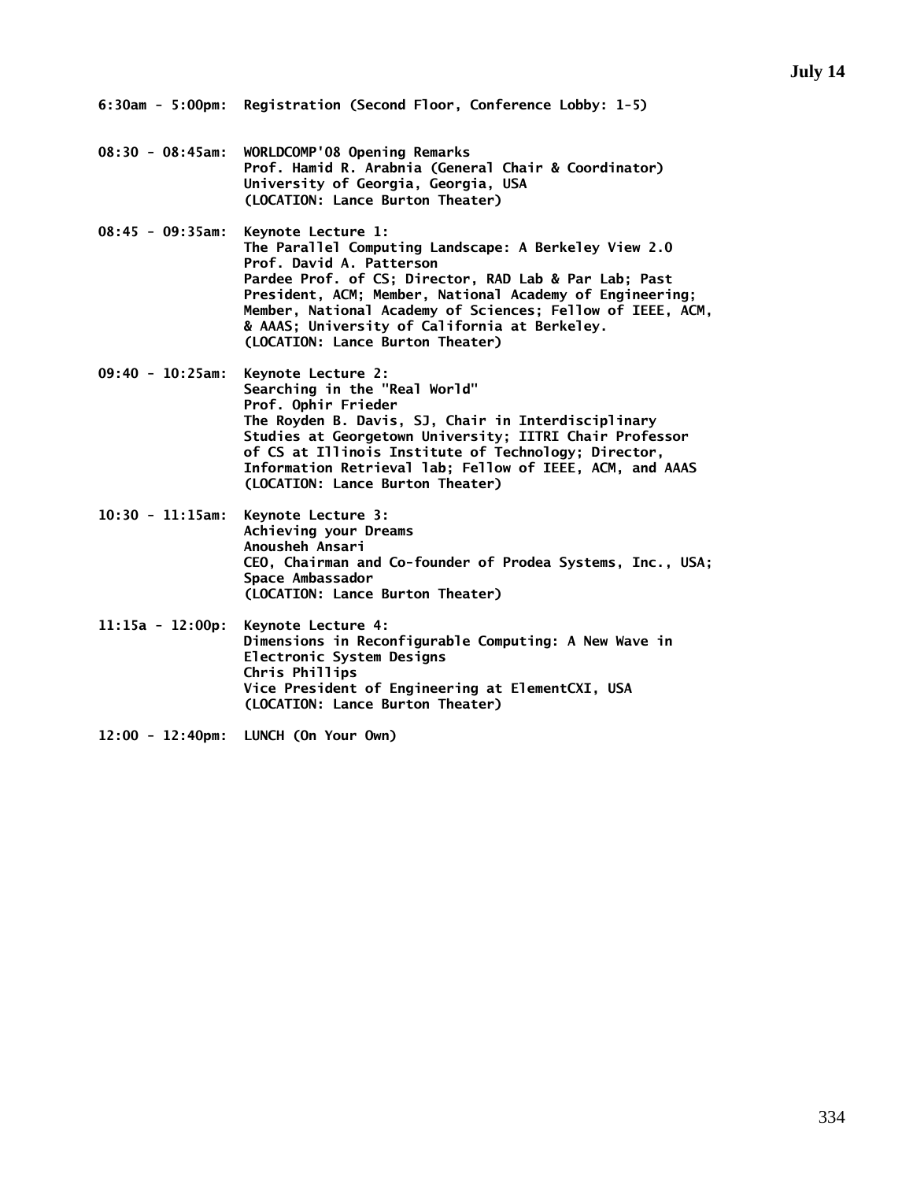- **08:30 08:45am: WORLDCOMP'08 Opening Remarks Prof. Hamid R. Arabnia (General Chair & Coordinator) University of Georgia, Georgia, USA (LOCATION: Lance Burton Theater)**
- **08:45 09:35am: Keynote Lecture 1: The Parallel Computing Landscape: A Berkeley View 2.0 Prof. David A. Patterson Pardee Prof. of CS; Director, RAD Lab & Par Lab; Past President, ACM; Member, National Academy of Engineering; Member, National Academy of Sciences; Fellow of IEEE, ACM, & AAAS; University of California at Berkeley. (LOCATION: Lance Burton Theater)**
- **09:40 10:25am: Keynote Lecture 2: Searching in the "Real World" Prof. Ophir Frieder The Royden B. Davis, SJ, Chair in Interdisciplinary Studies at Georgetown University; IITRI Chair Professor of CS at Illinois Institute of Technology; Director, Information Retrieval lab; Fellow of IEEE, ACM, and AAAS (LOCATION: Lance Burton Theater)**
- **10:30 11:15am: Keynote Lecture 3: Achieving your Dreams Anousheh Ansari CEO, Chairman and Co-founder of Prodea Systems, Inc., USA; Space Ambassador (LOCATION: Lance Burton Theater)**
- **11:15a 12:00p: Keynote Lecture 4: Dimensions in Reconfigurable Computing: A New Wave in Electronic System Designs Chris Phillips Vice President of Engineering at ElementCXI, USA (LOCATION: Lance Burton Theater)**
- **12:00 12:40pm: LUNCH (On Your Own)**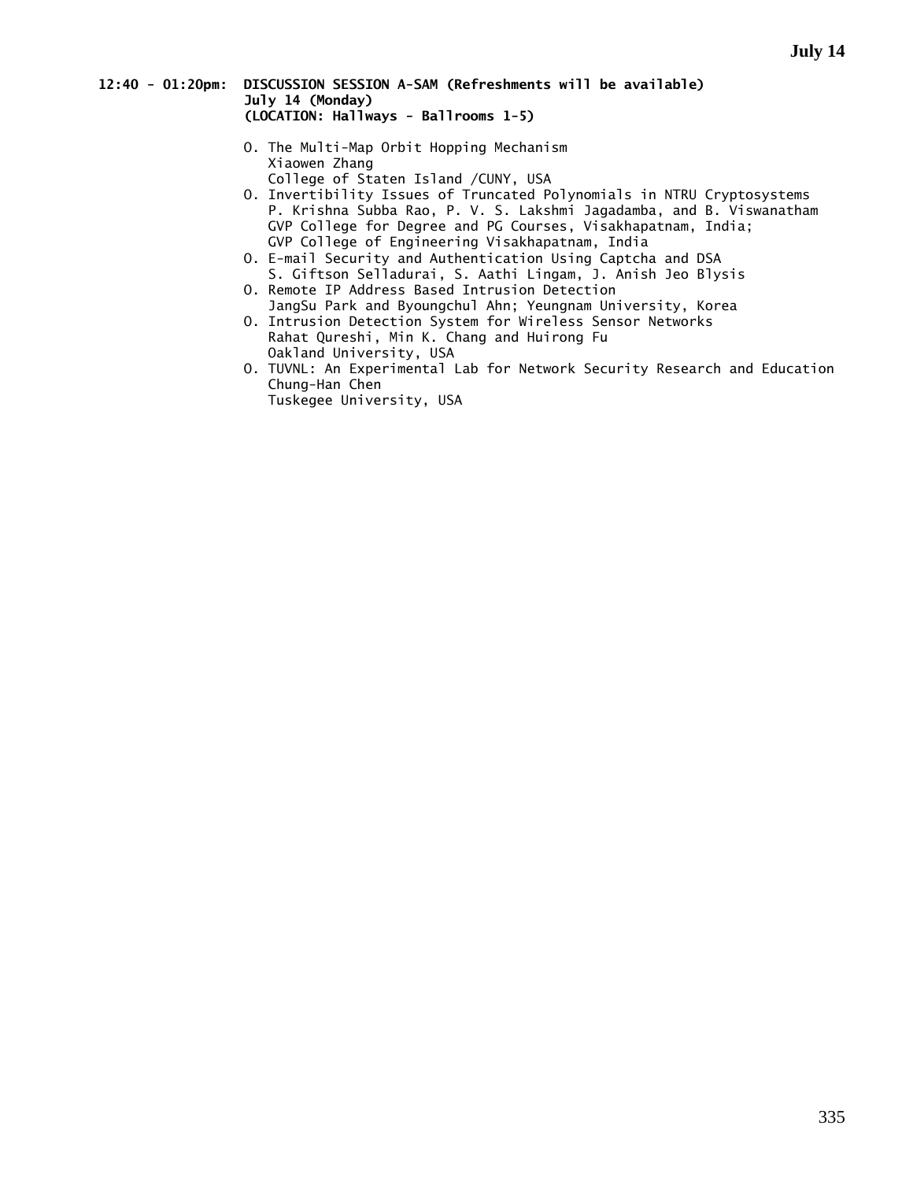### **12:40 - 01:20pm: DISCUSSION SESSION A-SAM (Refreshments will be available) July 14 (Monday) (LOCATION: Hallways - Ballrooms 1-5)**

- O. The Multi-Map Orbit Hopping Mechanism Xiaowen Zhang College of Staten Island /CUNY, USA
- O. Invertibility Issues of Truncated Polynomials in NTRU Cryptosystems P. Krishna Subba Rao, P. V. S. Lakshmi Jagadamba, and B. Viswanatham GVP College for Degree and PG Courses, Visakhapatnam, India; GVP College of Engineering Visakhapatnam, India
- O. E-mail Security and Authentication Using Captcha and DSA S. Giftson Selladurai, S. Aathi Lingam, J. Anish Jeo Blysis
- O. Remote IP Address Based Intrusion Detection JangSu Park and Byoungchul Ahn; Yeungnam University, Korea
- O. Intrusion Detection System for Wireless Sensor Networks Rahat Qureshi, Min K. Chang and Huirong Fu Oakland University, USA
- O. TUVNL: An Experimental Lab for Network Security Research and Education Chung-Han Chen

Tuskegee University, USA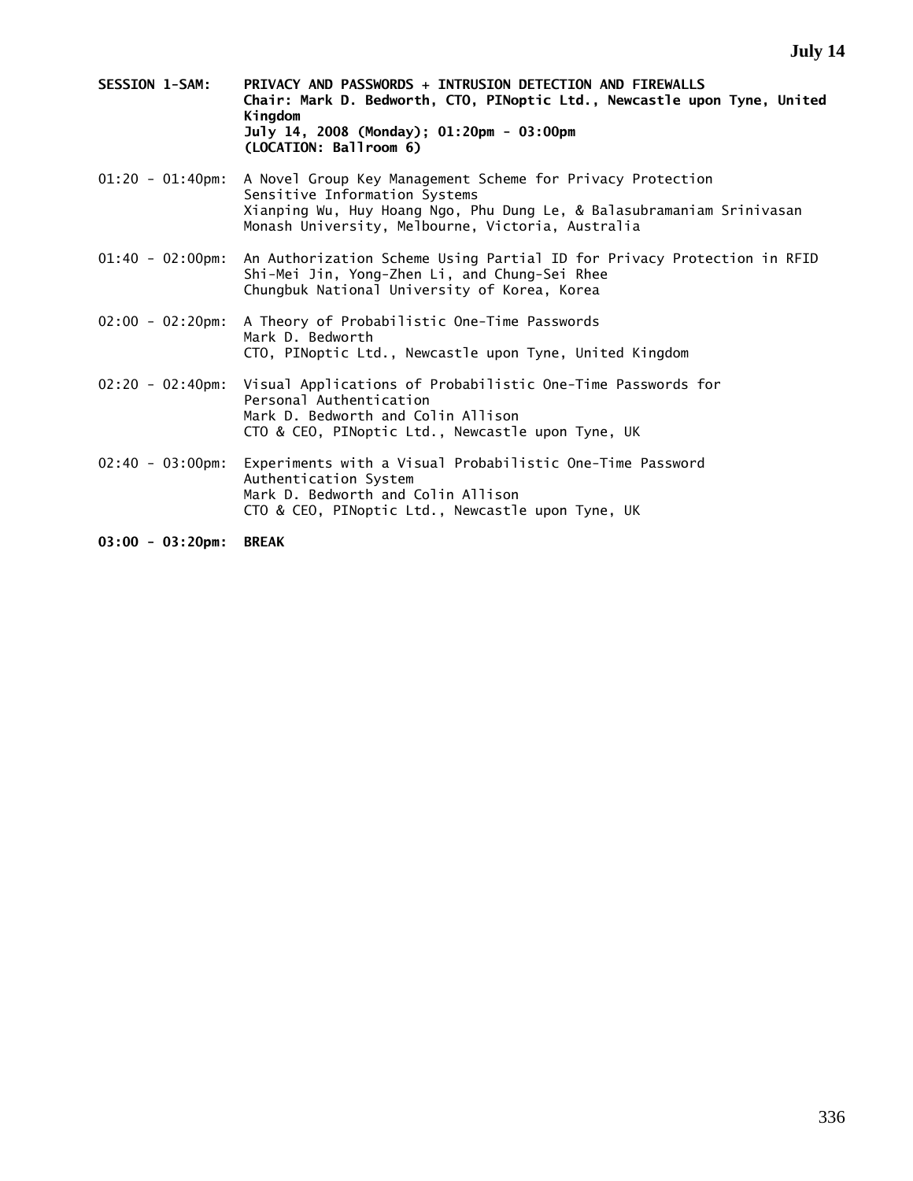- **SESSION 1-SAM: PRIVACY AND PASSWORDS + INTRUSION DETECTION AND FIREWALLS Chair: Mark D. Bedworth, CTO, PINoptic Ltd., Newcastle upon Tyne, United Kingdom July 14, 2008 (Monday); 01:20pm - 03:00pm (LOCATION: Ballroom 6)**
- 01:20 01:40pm: A Novel Group Key Management Scheme for Privacy Protection Sensitive Information Systems Xianping Wu, Huy Hoang Ngo, Phu Dung Le, & Balasubramaniam Srinivasan Monash University, Melbourne, Victoria, Australia
- 01:40 02:00pm: An Authorization Scheme Using Partial ID for Privacy Protection in RFID Shi-Mei Jin, Yong-Zhen Li, and Chung-Sei Rhee Chungbuk National University of Korea, Korea
- 02:00 02:20pm: A Theory of Probabilistic One-Time Passwords Mark D. Bedworth CTO, PINoptic Ltd., Newcastle upon Tyne, United Kingdom
- 02:20 02:40pm: Visual Applications of Probabilistic One-Time Passwords for Personal Authentication Mark D. Bedworth and Colin Allison CTO & CEO, PINoptic Ltd., Newcastle upon Tyne, UK
- 02:40 03:00pm: Experiments with a Visual Probabilistic One-Time Password Authentication System Mark D. Bedworth and Colin Allison CTO & CEO, PINoptic Ltd., Newcastle upon Tyne, UK
- **03:00 03:20pm: BREAK**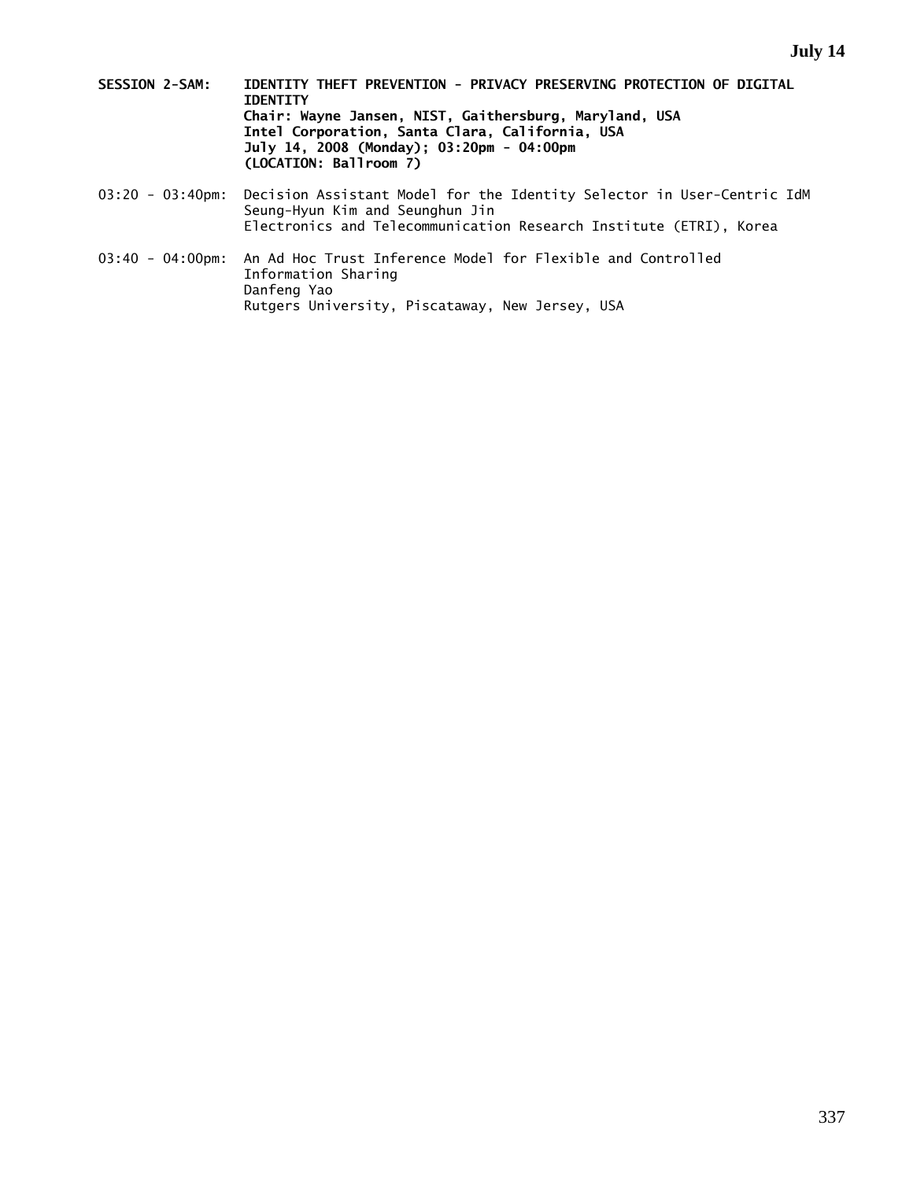- **SESSION 2-SAM: IDENTITY THEFT PREVENTION PRIVACY PRESERVING PROTECTION OF DIGITAL IDENTITY Chair: Wayne Jansen, NIST, Gaithersburg, Maryland, USA Intel Corporation, Santa Clara, California, USA July 14, 2008 (Monday); 03:20pm - 04:00pm (LOCATION: Ballroom 7)**
- 03:20 03:40pm: Decision Assistant Model for the Identity Selector in User-Centric IdM Seung-Hyun Kim and Seunghun Jin Electronics and Telecommunication Research Institute (ETRI), Korea
- 03:40 04:00pm: An Ad Hoc Trust Inference Model for Flexible and Controlled Information Sharing Danfeng Yao Rutgers University, Piscataway, New Jersey, USA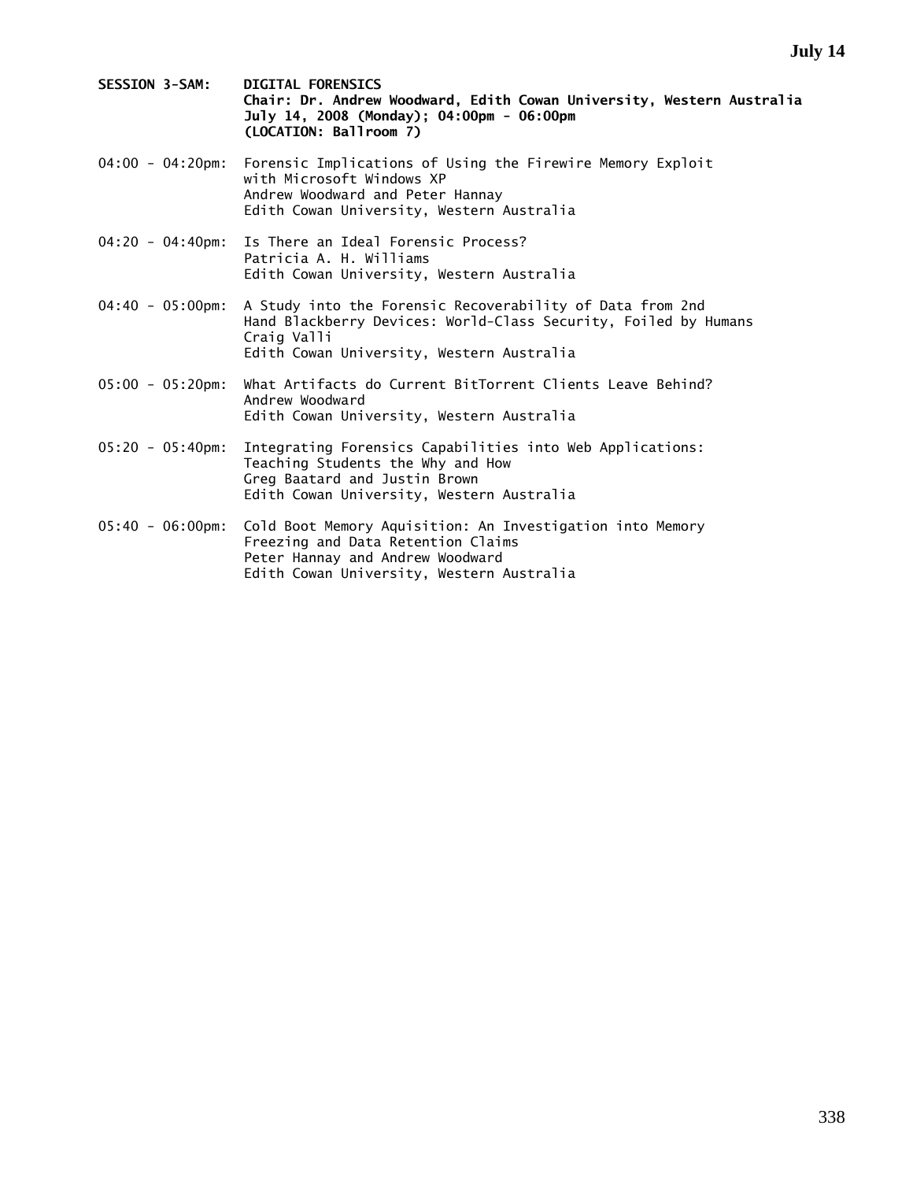- **SESSION 3-SAM: DIGITAL FORENSICS Chair: Dr. Andrew Woodward, Edith Cowan University, Western Australia July 14, 2008 (Monday); 04:00pm - 06:00pm (LOCATION: Ballroom 7)**
- 04:00 04:20pm: Forensic Implications of Using the Firewire Memory Exploit with Microsoft Windows XP Andrew Woodward and Peter Hannay Edith Cowan University, Western Australia
- 04:20 04:40pm: Is There an Ideal Forensic Process? Patricia A. H. Williams Edith Cowan University, Western Australia
- 04:40 05:00pm: A Study into the Forensic Recoverability of Data from 2nd Hand Blackberry Devices: World-Class Security, Foiled by Humans Craig Valli Edith Cowan University, Western Australia
- 05:00 05:20pm: What Artifacts do Current BitTorrent Clients Leave Behind? Andrew Woodward Edith Cowan University, Western Australia
- 05:20 05:40pm: Integrating Forensics Capabilities into Web Applications: Teaching Students the Why and How Greg Baatard and Justin Brown Edith Cowan University, Western Australia
- 05:40 06:00pm: Cold Boot Memory Aquisition: An Investigation into Memory Freezing and Data Retention Claims Peter Hannay and Andrew Woodward Edith Cowan University, Western Australia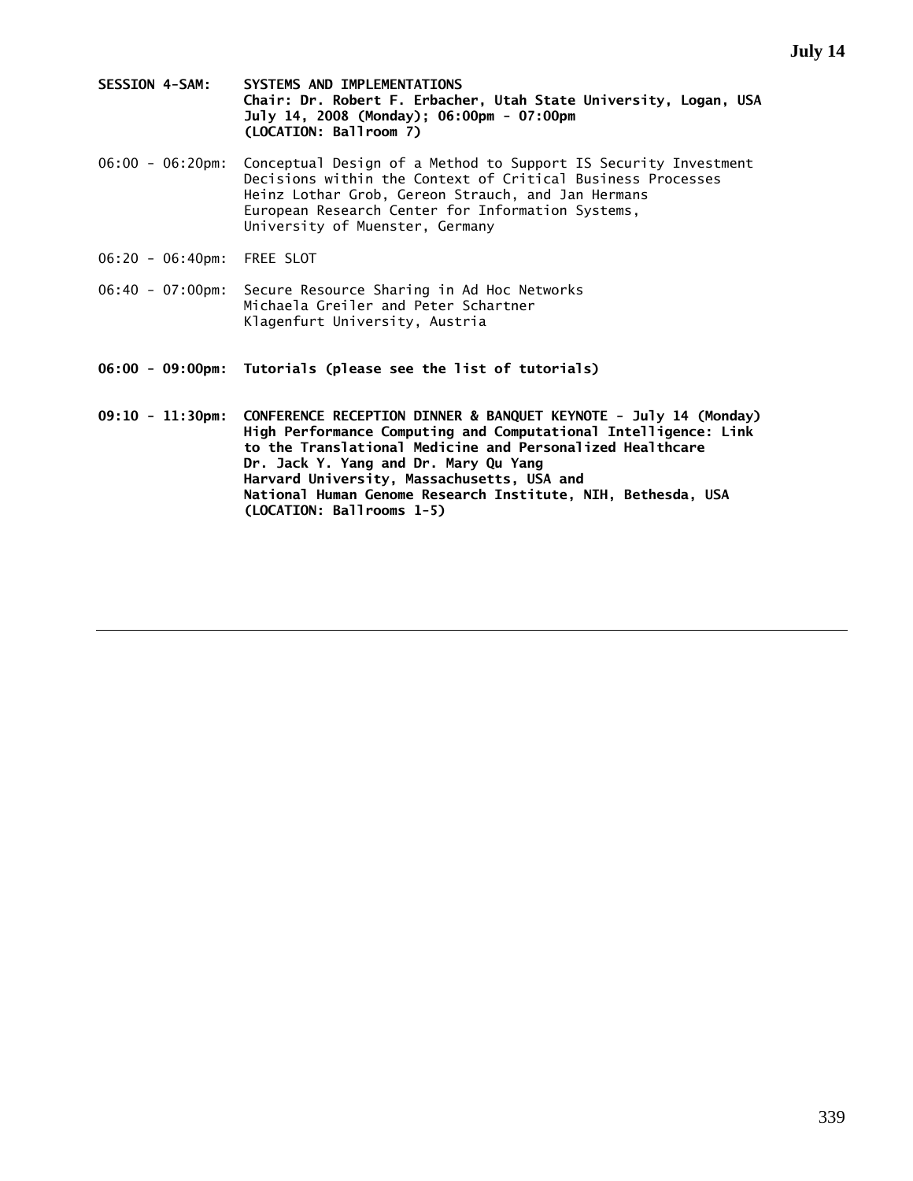- **SESSION 4-SAM: SYSTEMS AND IMPLEMENTATIONS Chair: Dr. Robert F. Erbacher, Utah State University, Logan, USA July 14, 2008 (Monday); 06:00pm - 07:00pm (LOCATION: Ballroom 7)**
- 06:00 06:20pm: Conceptual Design of a Method to Support IS Security Investment Decisions within the Context of Critical Business Processes Heinz Lothar Grob, Gereon Strauch, and Jan Hermans European Research Center for Information Systems, University of Muenster, Germany
- 06:20 06:40pm: FREE SLOT
- 06:40 07:00pm: Secure Resource Sharing in Ad Hoc Networks Michaela Greiler and Peter Schartner Klagenfurt University, Austria
- **06:00 09:00pm: Tutorials (please see the list of tutorials)**
- **09:10 11:30pm: CONFERENCE RECEPTION DINNER & BANQUET KEYNOTE July 14 (Monday) High Performance Computing and Computational Intelligence: Link to the Translational Medicine and Personalized Healthcare Dr. Jack Y. Yang and Dr. Mary Qu Yang Harvard University, Massachusetts, USA and National Human Genome Research Institute, NIH, Bethesda, USA (LOCATION: Ballrooms 1-5)**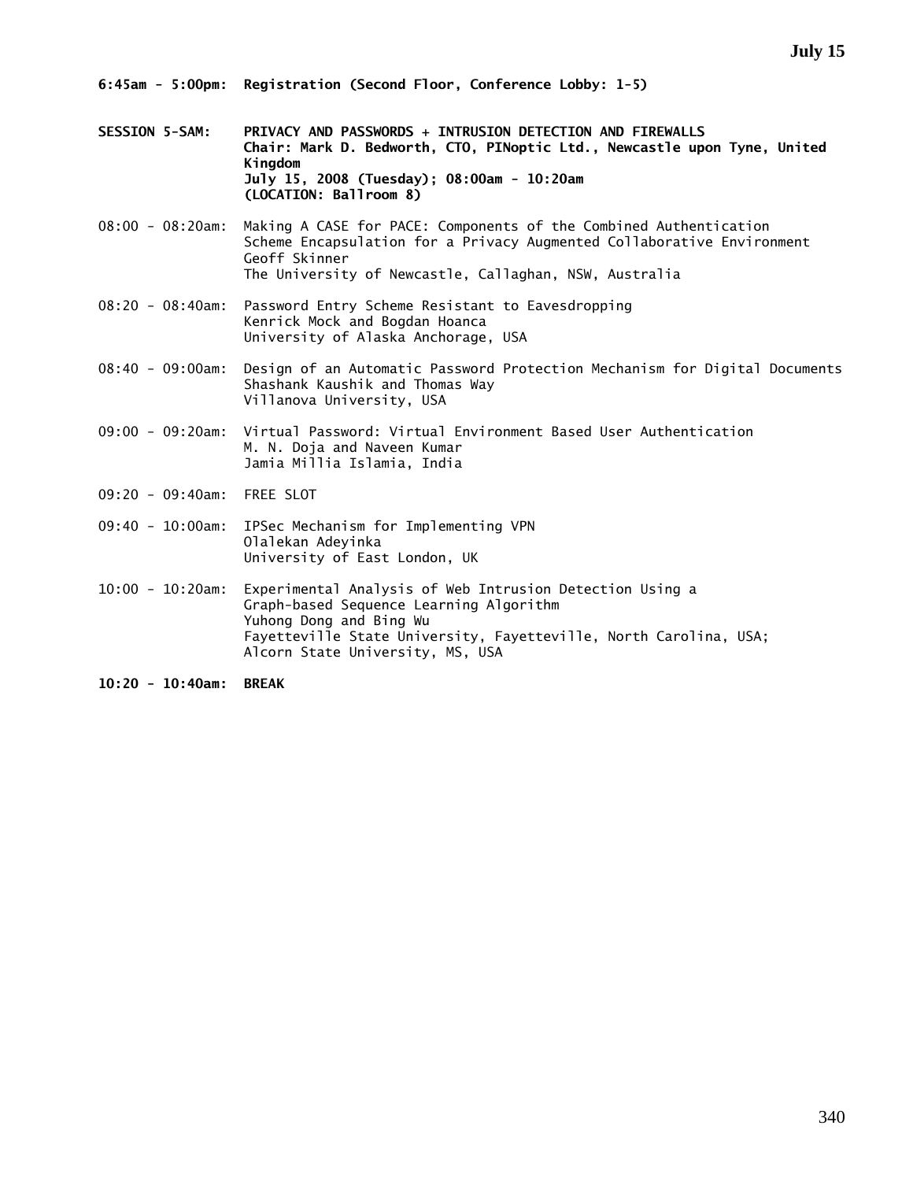- **SESSION 5-SAM: PRIVACY AND PASSWORDS + INTRUSION DETECTION AND FIREWALLS Chair: Mark D. Bedworth, CTO, PINoptic Ltd., Newcastle upon Tyne, United Kingdom July 15, 2008 (Tuesday); 08:00am - 10:20am (LOCATION: Ballroom 8)**
- 08:00 08:20am: Making A CASE for PACE: Components of the Combined Authentication Scheme Encapsulation for a Privacy Augmented Collaborative Environment Geoff Skinner The University of Newcastle, Callaghan, NSW, Australia
- 08:20 08:40am: Password Entry Scheme Resistant to Eavesdropping Kenrick Mock and Bogdan Hoanca University of Alaska Anchorage, USA
- 08:40 09:00am: Design of an Automatic Password Protection Mechanism for Digital Documents Shashank Kaushik and Thomas Way Villanova University, USA
- 09:00 09:20am: Virtual Password: Virtual Environment Based User Authentication M. N. Doja and Naveen Kumar Jamia Millia Islamia, India
- 09:20 09:40am: FREE SLOT
- 09:40 10:00am: IPSec Mechanism for Implementing VPN Olalekan Adeyinka University of East London, UK
- 10:00 10:20am: Experimental Analysis of Web Intrusion Detection Using a Graph-based Sequence Learning Algorithm Yuhong Dong and Bing Wu Fayetteville State University, Fayetteville, North Carolina, USA; Alcorn State University, MS, USA
- **10:20 10:40am: BREAK**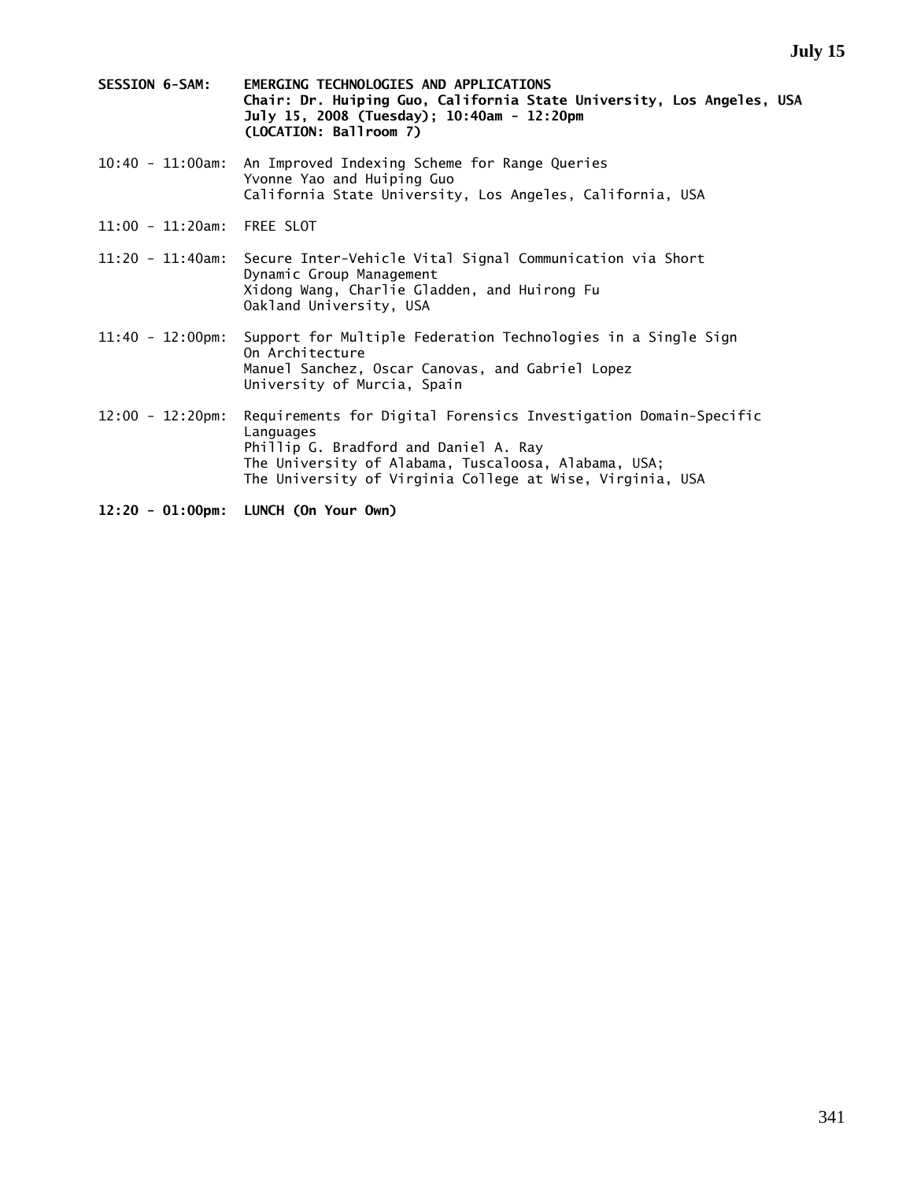- **SESSION 6-SAM: EMERGING TECHNOLOGIES AND APPLICATIONS Chair: Dr. Huiping Guo, California State University, Los Angeles, USA July 15, 2008 (Tuesday); 10:40am - 12:20pm (LOCATION: Ballroom 7)**
- 10:40 11:00am: An Improved Indexing Scheme for Range Queries Yvonne Yao and Huiping Guo California State University, Los Angeles, California, USA
- 11:00 11:20am: FREE SLOT
- 11:20 11:40am: Secure Inter-Vehicle Vital Signal Communication via Short Dynamic Group Management Xidong Wang, Charlie Gladden, and Huirong Fu Oakland University, USA
- 11:40 12:00pm: Support for Multiple Federation Technologies in a Single Sign On Architecture Manuel Sanchez, Oscar Canovas, and Gabriel Lopez University of Murcia, Spain
- 12:00 12:20pm: Requirements for Digital Forensics Investigation Domain-Specific Languages Phillip G. Bradford and Daniel A. Ray The University of Alabama, Tuscaloosa, Alabama, USA; The University of Virginia College at Wise, Virginia, USA
- **12:20 01:00pm: LUNCH (On Your Own)**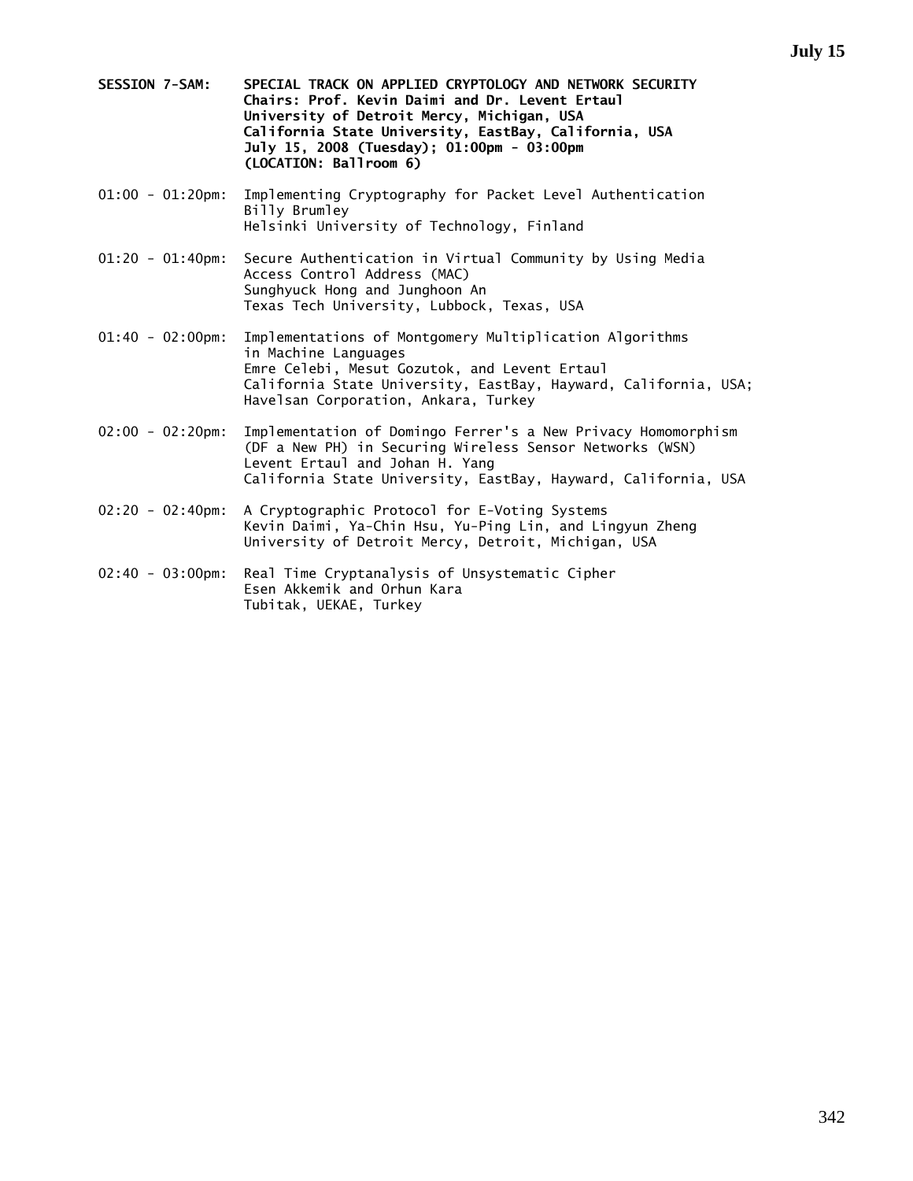- **SESSION 7-SAM: SPECIAL TRACK ON APPLIED CRYPTOLOGY AND NETWORK SECURITY Chairs: Prof. Kevin Daimi and Dr. Levent Ertaul University of Detroit Mercy, Michigan, USA California State University, EastBay, California, USA July 15, 2008 (Tuesday); 01:00pm - 03:00pm (LOCATION: Ballroom 6)**
- 01:00 01:20pm: Implementing Cryptography for Packet Level Authentication Billy Brumley Helsinki University of Technology, Finland
- 01:20 01:40pm: Secure Authentication in Virtual Community by Using Media Access Control Address (MAC) Sunghyuck Hong and Junghoon An Texas Tech University, Lubbock, Texas, USA
- 01:40 02:00pm: Implementations of Montgomery Multiplication Algorithms in Machine Languages Emre Celebi, Mesut Gozutok, and Levent Ertaul California State University, EastBay, Hayward, California, USA; Havelsan Corporation, Ankara, Turkey
- 02:00 02:20pm: Implementation of Domingo Ferrer's a New Privacy Homomorphism (DF a New PH) in Securing Wireless Sensor Networks (WSN) Levent Ertaul and Johan H. Yang California State University, EastBay, Hayward, California, USA
- 02:20 02:40pm: A Cryptographic Protocol for E-Voting Systems Kevin Daimi, Ya-Chin Hsu, Yu-Ping Lin, and Lingyun Zheng University of Detroit Mercy, Detroit, Michigan, USA
- 02:40 03:00pm: Real Time Cryptanalysis of Unsystematic Cipher Esen Akkemik and Orhun Kara Tubitak, UEKAE, Turkey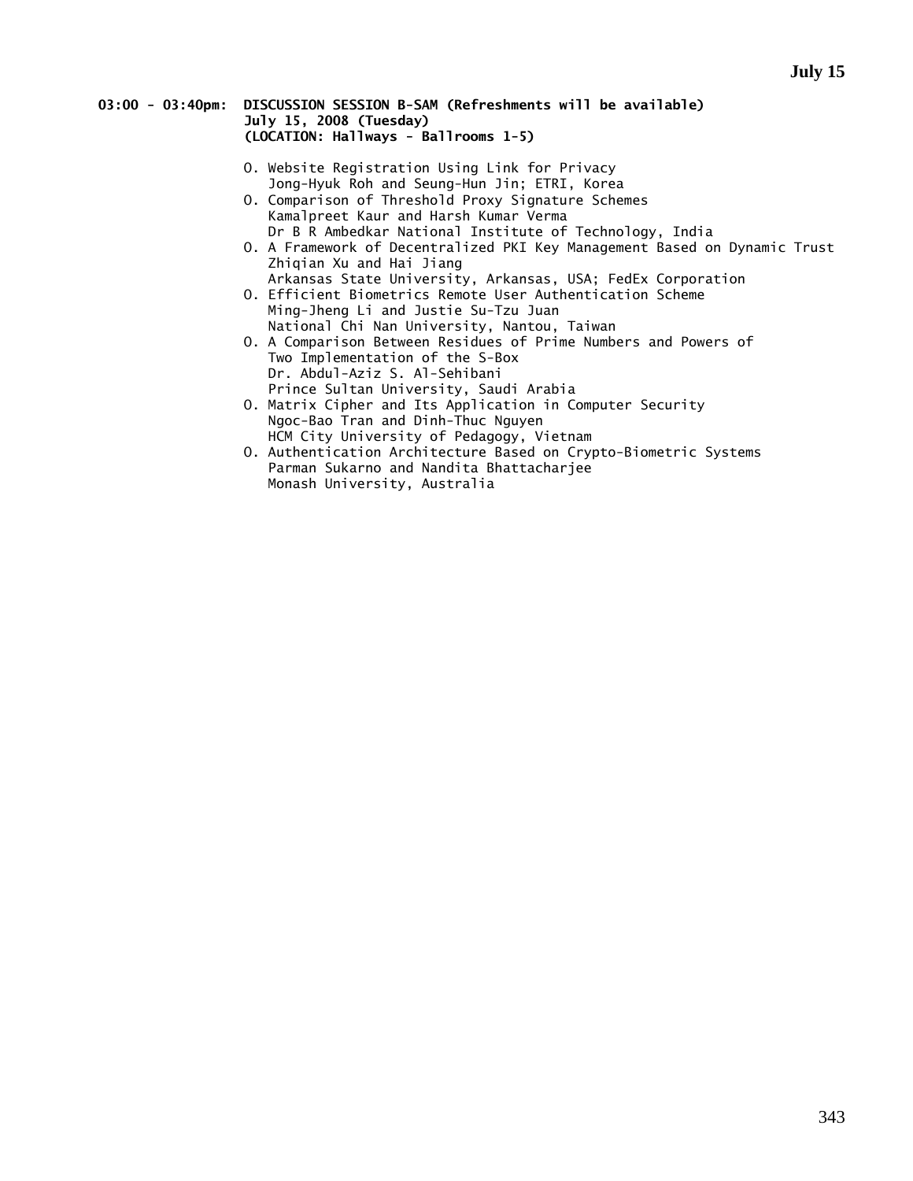### **03:00 - 03:40pm: DISCUSSION SESSION B-SAM (Refreshments will be available) July 15, 2008 (Tuesday) (LOCATION: Hallways - Ballrooms 1-5)**

- O. Website Registration Using Link for Privacy Jong-Hyuk Roh and Seung-Hun Jin; ETRI, Korea
- O. Comparison of Threshold Proxy Signature Schemes Kamalpreet Kaur and Harsh Kumar Verma Dr B R Ambedkar National Institute of Technology, India
- O. A Framework of Decentralized PKI Key Management Based on Dynamic Trust Zhiqian Xu and Hai Jiang
- Arkansas State University, Arkansas, USA; FedEx Corporation O. Efficient Biometrics Remote User Authentication Scheme Ming-Jheng Li and Justie Su-Tzu Juan
	- National Chi Nan University, Nantou, Taiwan
- O. A Comparison Between Residues of Prime Numbers and Powers of Two Implementation of the S-Box Dr. Abdul-Aziz S. Al-Sehibani Prince Sultan University, Saudi Arabia
- O. Matrix Cipher and Its Application in Computer Security Ngoc-Bao Tran and Dinh-Thuc Nguyen HCM City University of Pedagogy, Vietnam
- O. Authentication Architecture Based on Crypto-Biometric Systems Parman Sukarno and Nandita Bhattacharjee Monash University, Australia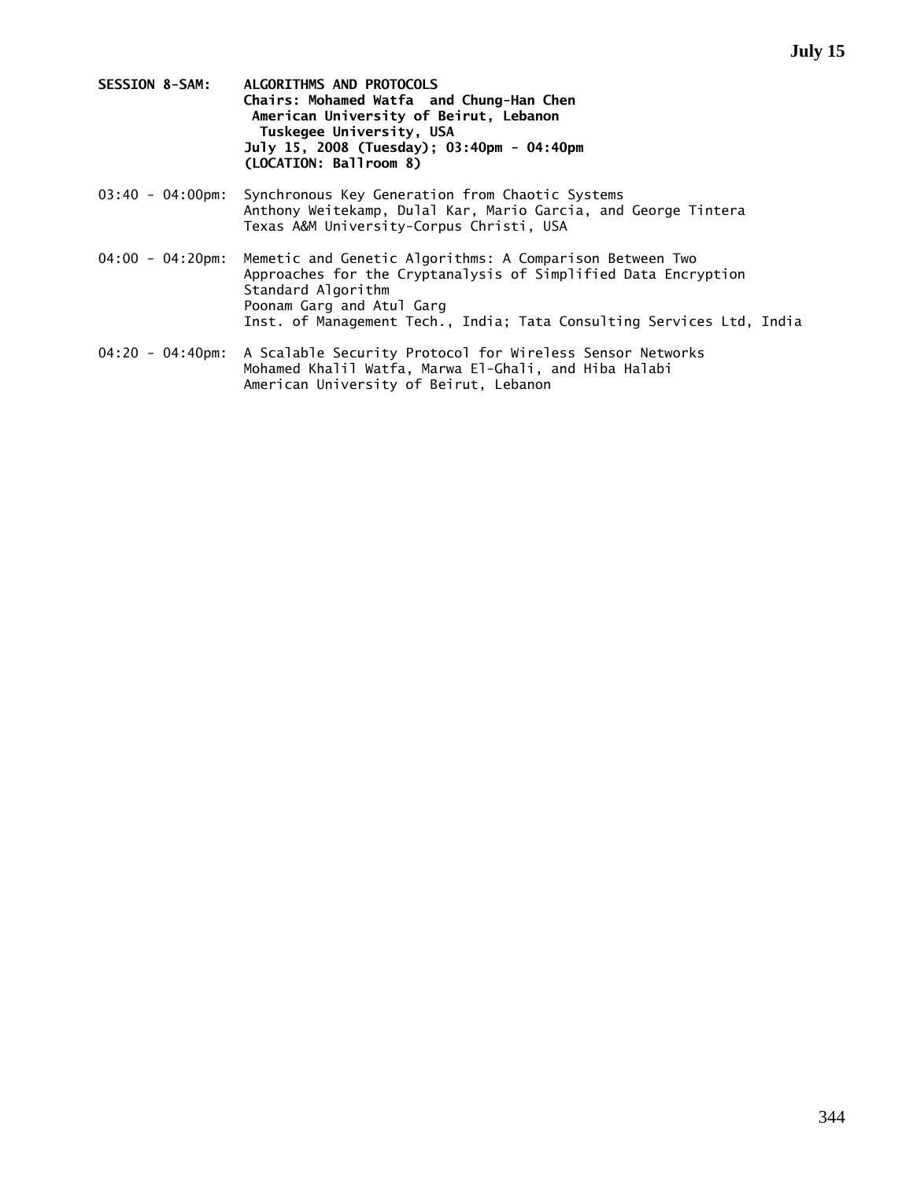- **SESSION 8-SAM: ALGORITHMS AND PROTOCOLS Chairs: Mohamed Watfa and Chung-Han Chen American University of Beirut, Lebanon Tuskegee University, USA July 15, 2008 (Tuesday); 03:40pm - 04:40pm (LOCATION: Ballroom 8)**
- 03:40 04:00pm: Synchronous Key Generation from Chaotic Systems Anthony Weitekamp, Dulal Kar, Mario Garcia, and George Tintera Texas A&M University-Corpus Christi, USA
- 04:00 04:20pm: Memetic and Genetic Algorithms: A Comparison Between Two Approaches for the Cryptanalysis of Simplified Data Encryption Standard Algorithm Poonam Garg and Atul Garg Inst. of Management Tech., India; Tata Consulting Services Ltd, India
- 04:20 04:40pm: A Scalable Security Protocol for Wireless Sensor Networks Mohamed Khalil Watfa, Marwa El-Ghali, and Hiba Halabi American University of Beirut, Lebanon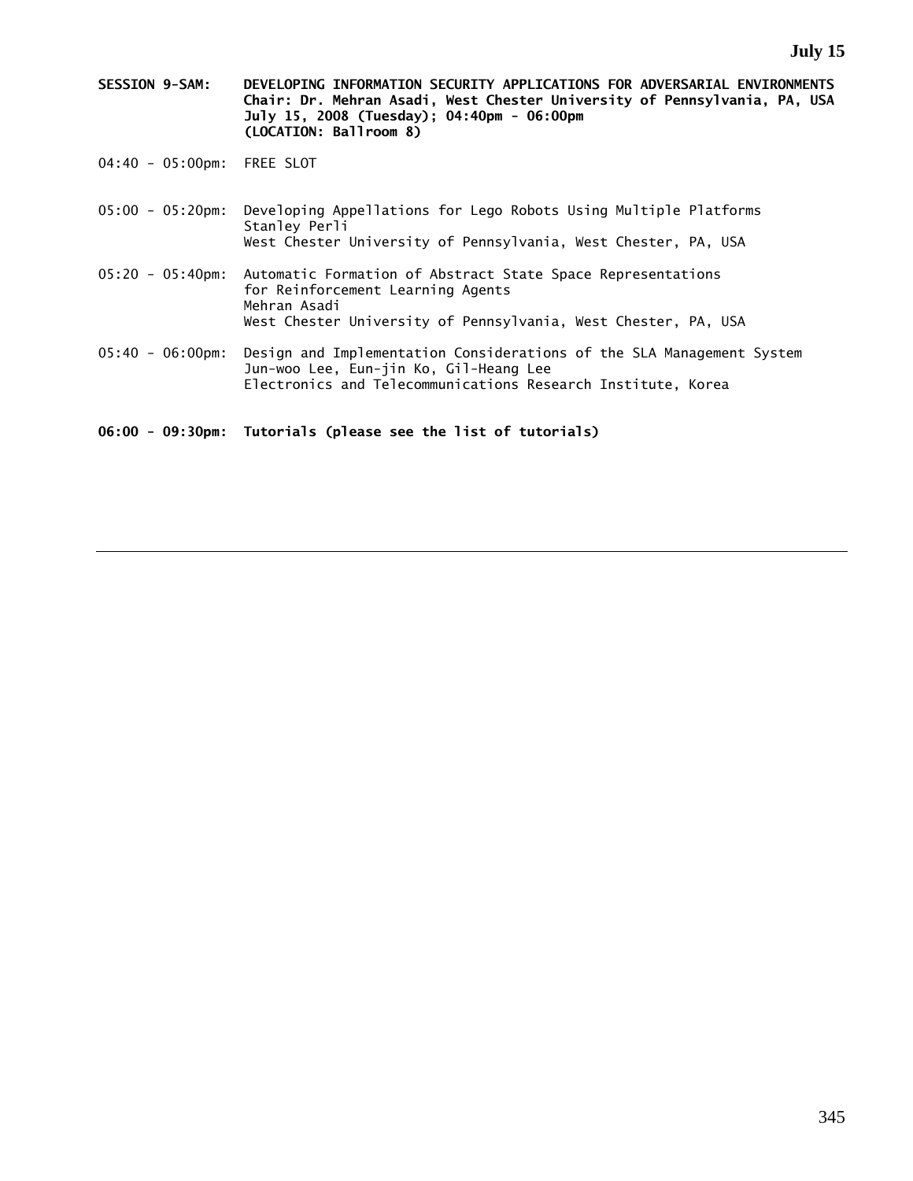- **SESSION 9-SAM: DEVELOPING INFORMATION SECURITY APPLICATIONS FOR ADVERSARIAL ENVIRONMENTS Chair: Dr. Mehran Asadi, West Chester University of Pennsylvania, PA, USA July 15, 2008 (Tuesday); 04:40pm - 06:00pm (LOCATION: Ballroom 8)**
- 04:40 05:00pm: FREE SLOT
- 05:00 05:20pm: Developing Appellations for Lego Robots Using Multiple Platforms Stanley Perli West Chester University of Pennsylvania, West Chester, PA, USA
- 05:20 05:40pm: Automatic Formation of Abstract State Space Representations for Reinforcement Learning Agents Mehran Asadi West Chester University of Pennsylvania, West Chester, PA, USA
- 05:40 06:00pm: Design and Implementation Considerations of the SLA Management System Jun-woo Lee, Eun-jin Ko, Gil-Heang Lee Electronics and Telecommunications Research Institute, Korea

**06:00 - 09:30pm: Tutorials (please see the list of tutorials)**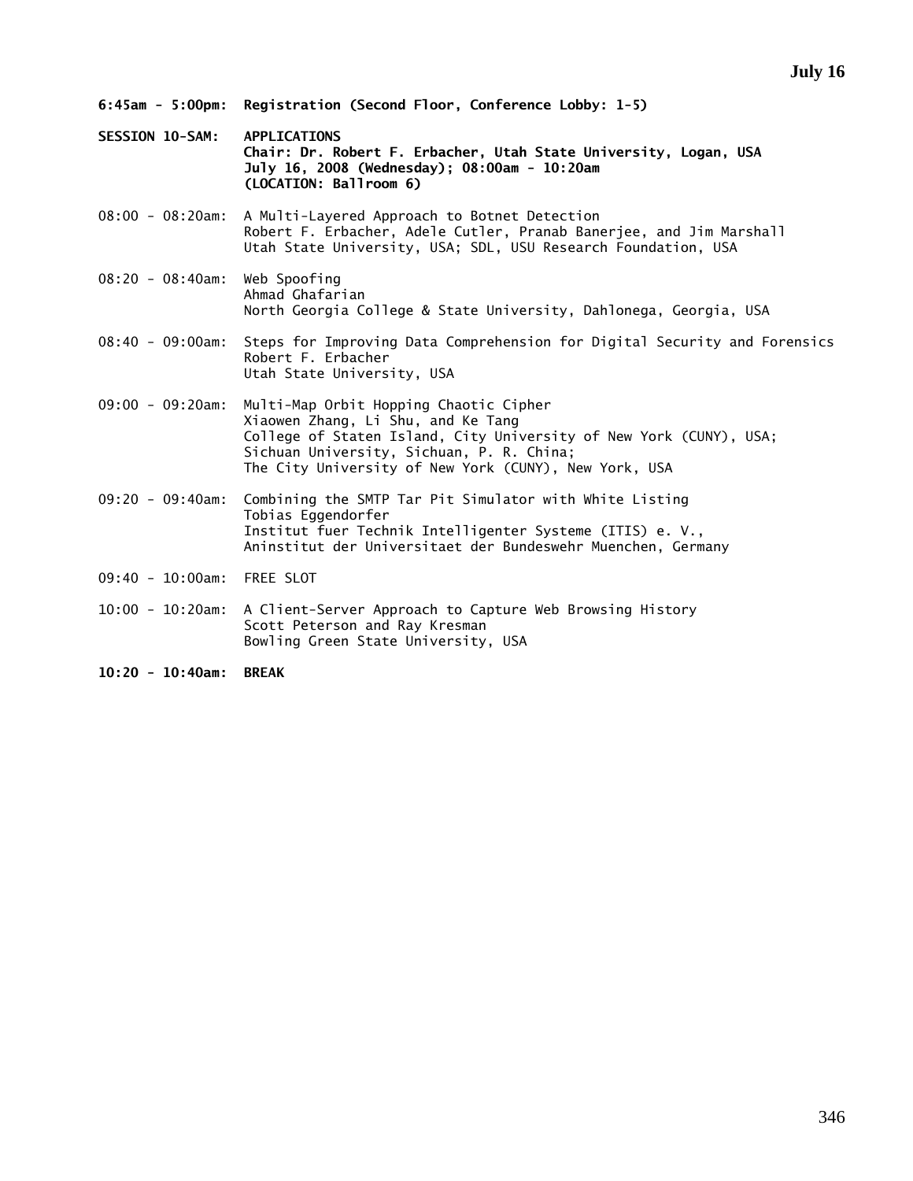- **6:45am 5:00pm: Registration (Second Floor, Conference Lobby: 1-5)**
- **SESSION 10-SAM: APPLICATIONS Chair: Dr. Robert F. Erbacher, Utah State University, Logan, USA July 16, 2008 (Wednesday); 08:00am - 10:20am (LOCATION: Ballroom 6)**
- 08:00 08:20am: A Multi-Layered Approach to Botnet Detection Robert F. Erbacher, Adele Cutler, Pranab Banerjee, and Jim Marshall Utah State University, USA; SDL, USU Research Foundation, USA
- 08:20 08:40am: Web Spoofing Ahmad Ghafarian North Georgia College & State University, Dahlonega, Georgia, USA
- 08:40 09:00am: Steps for Improving Data Comprehension for Digital Security and Forensics Robert F. Erbacher Utah State University, USA
- 09:00 09:20am: Multi-Map Orbit Hopping Chaotic Cipher Xiaowen Zhang, Li Shu, and Ke Tang College of Staten Island, City University of New York (CUNY), USA; Sichuan University, Sichuan, P. R. China; The City University of New York (CUNY), New York, USA
- 09:20 09:40am: Combining the SMTP Tar Pit Simulator with White Listing Tobias Eggendorfer Institut fuer Technik Intelligenter Systeme (ITIS) e. V., Aninstitut der Universitaet der Bundeswehr Muenchen, Germany
- 09:40 10:00am: FREE SLOT
- 10:00 10:20am: A Client-Server Approach to Capture Web Browsing History Scott Peterson and Ray Kresman Bowling Green State University, USA
- **10:20 10:40am: BREAK**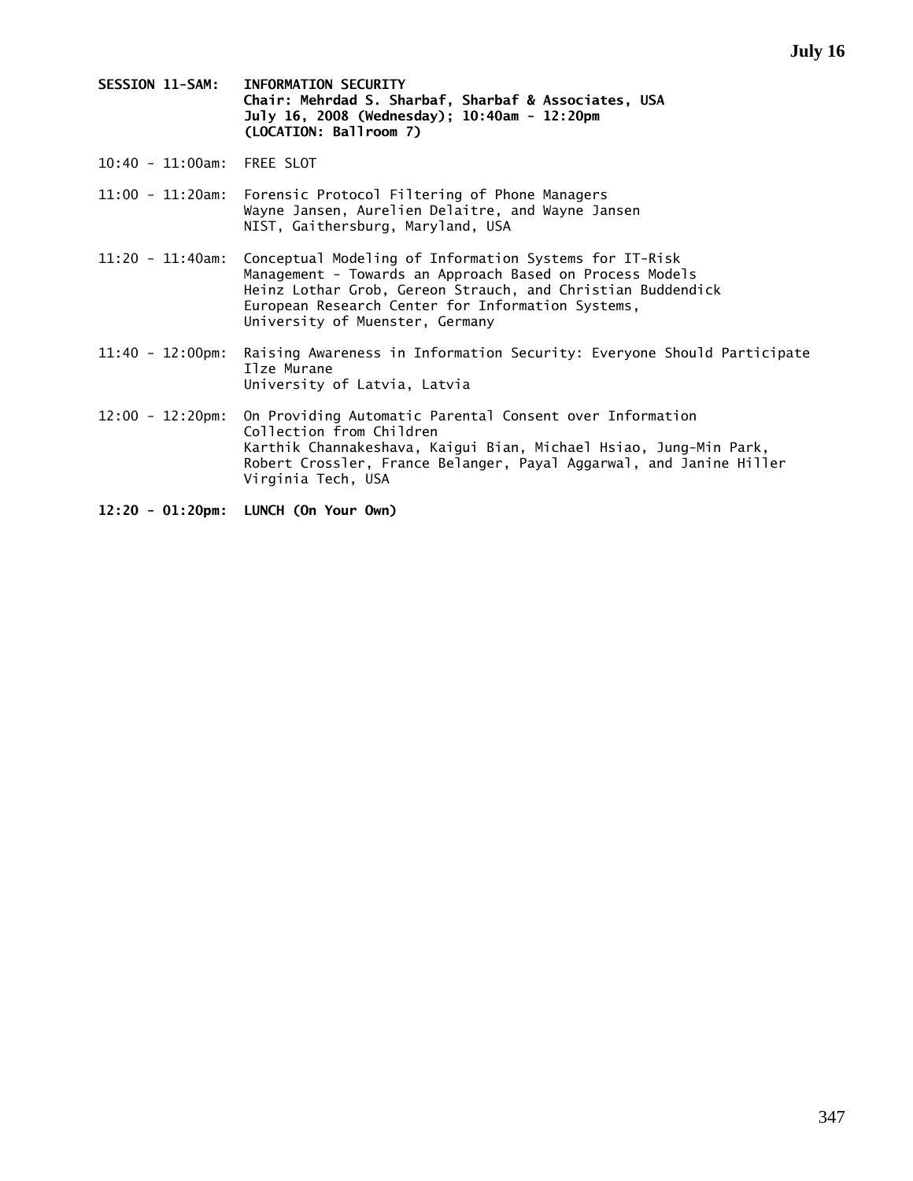- **SESSION 11-SAM: INFORMATION SECURITY Chair: Mehrdad S. Sharbaf, Sharbaf & Associates, USA July 16, 2008 (Wednesday); 10:40am - 12:20pm (LOCATION: Ballroom 7)**
- 10:40 11:00am: FREE SLOT
- 11:00 11:20am: Forensic Protocol Filtering of Phone Managers Wayne Jansen, Aurelien Delaitre, and Wayne Jansen NIST, Gaithersburg, Maryland, USA
- 11:20 11:40am: Conceptual Modeling of Information Systems for IT-Risk Management - Towards an Approach Based on Process Models Heinz Lothar Grob, Gereon Strauch, and Christian Buddendick European Research Center for Information Systems, University of Muenster, Germany
- 11:40 12:00pm: Raising Awareness in Information Security: Everyone Should Participate Ilze Murane University of Latvia, Latvia
- 12:00 12:20pm: On Providing Automatic Parental Consent over Information Collection from Children Karthik Channakeshava, Kaigui Bian, Michael Hsiao, Jung-Min Park, Robert Crossler, France Belanger, Payal Aggarwal, and Janine Hiller Virginia Tech, USA
- **12:20 01:20pm: LUNCH (On Your Own)**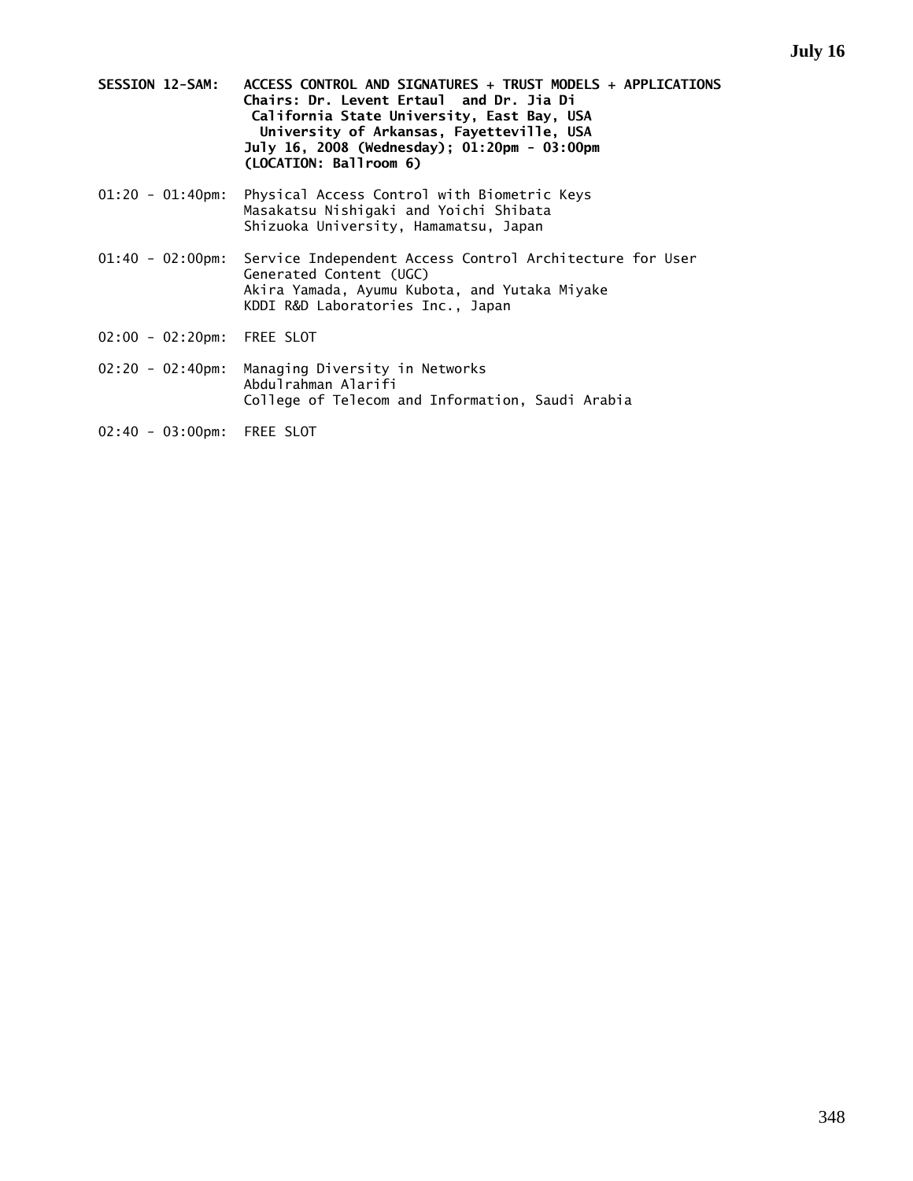- **SESSION 12-SAM: ACCESS CONTROL AND SIGNATURES + TRUST MODELS + APPLICATIONS Chairs: Dr. Levent Ertaul and Dr. Jia Di California State University, East Bay, USA University of Arkansas, Fayetteville, USA July 16, 2008 (Wednesday); 01:20pm - 03:00pm (LOCATION: Ballroom 6)**
- 01:20 01:40pm: Physical Access Control with Biometric Keys Masakatsu Nishigaki and Yoichi Shibata Shizuoka University, Hamamatsu, Japan
- 01:40 02:00pm: Service Independent Access Control Architecture for User Generated Content (UGC) Akira Yamada, Ayumu Kubota, and Yutaka Miyake KDDI R&D Laboratories Inc., Japan
- 02:00 02:20pm: FREE SLOT
- 02:20 02:40pm: Managing Diversity in Networks Abdulrahman Alarifi College of Telecom and Information, Saudi Arabia
- 02:40 03:00pm: FREE SLOT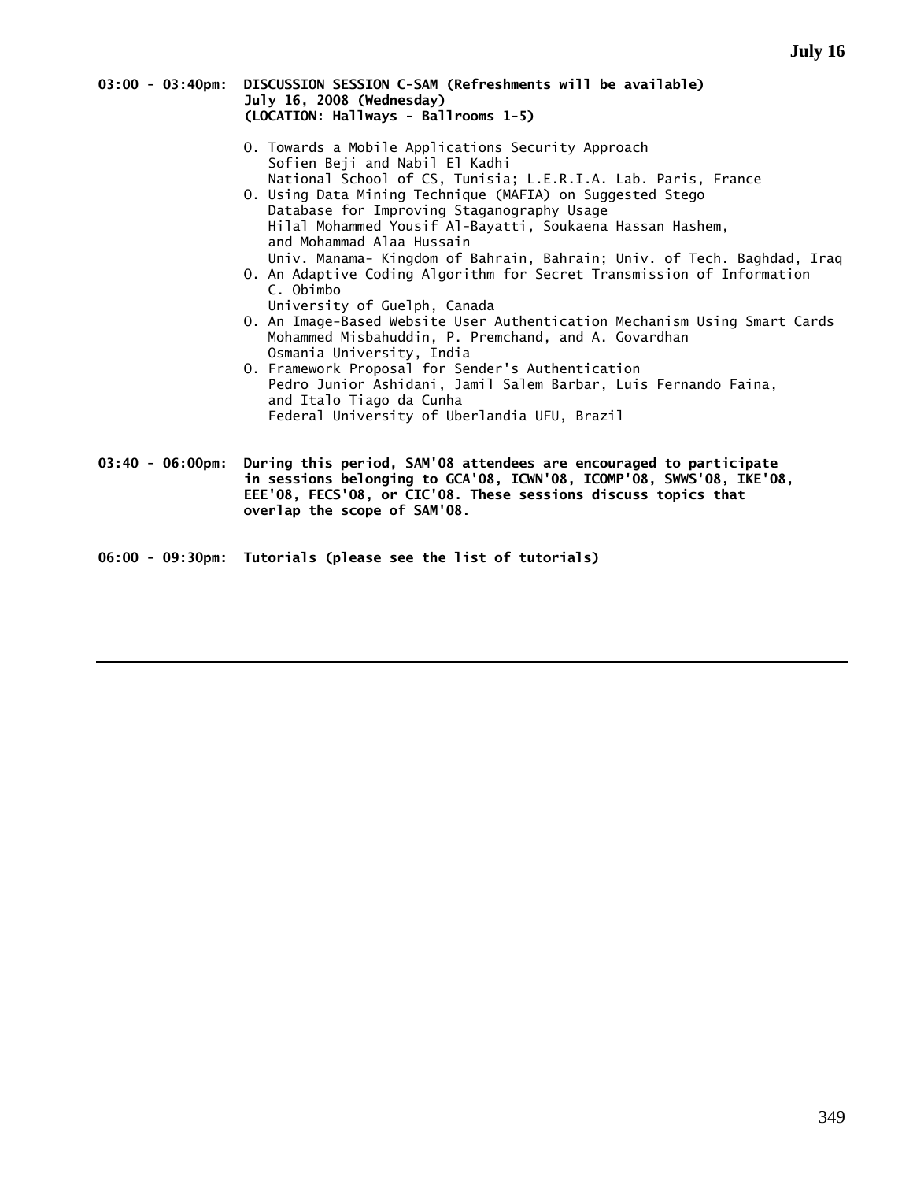| 03:00 - 03:40pm: DISCUSSION SESSION C-SAM (Refreshments will be available) |
|----------------------------------------------------------------------------|
| July 16, 2008 (Wednesday)                                                  |
| (LOCATION: Hallways - Ballrooms 1-5)                                       |

- O. Towards a Mobile Applications Security Approach Sofien Beji and Nabil El Kadhi National School of CS, Tunisia; L.E.R.I.A. Lab. Paris, France
- O. Using Data Mining Technique (MAFIA) on Suggested Stego Database for Improving Staganography Usage Hilal Mohammed Yousif Al-Bayatti, Soukaena Hassan Hashem, and Mohammad Alaa Hussain Univ. Manama- Kingdom of Bahrain, Bahrain; Univ. of Tech. Baghdad, Iraq
- O. An Adaptive Coding Algorithm for Secret Transmission of Information C. Obimbo
- University of Guelph, Canada O. An Image-Based Website User Authentication Mechanism Using Smart Cards Mohammed Misbahuddin, P. Premchand, and A. Govardhan Osmania University, India
- O. Framework Proposal for Sender's Authentication Pedro Junior Ashidani, Jamil Salem Barbar, Luis Fernando Faina, and Italo Tiago da Cunha Federal University of Uberlandia UFU, Brazil
- **03:40 06:00pm: During this period, SAM'08 attendees are encouraged to participate in sessions belonging to GCA'08, ICWN'08, ICOMP'08, SWWS'08, IKE'08, EEE'08, FECS'08, or CIC'08. These sessions discuss topics that overlap the scope of SAM'08.**

**06:00 - 09:30pm: Tutorials (please see the list of tutorials)**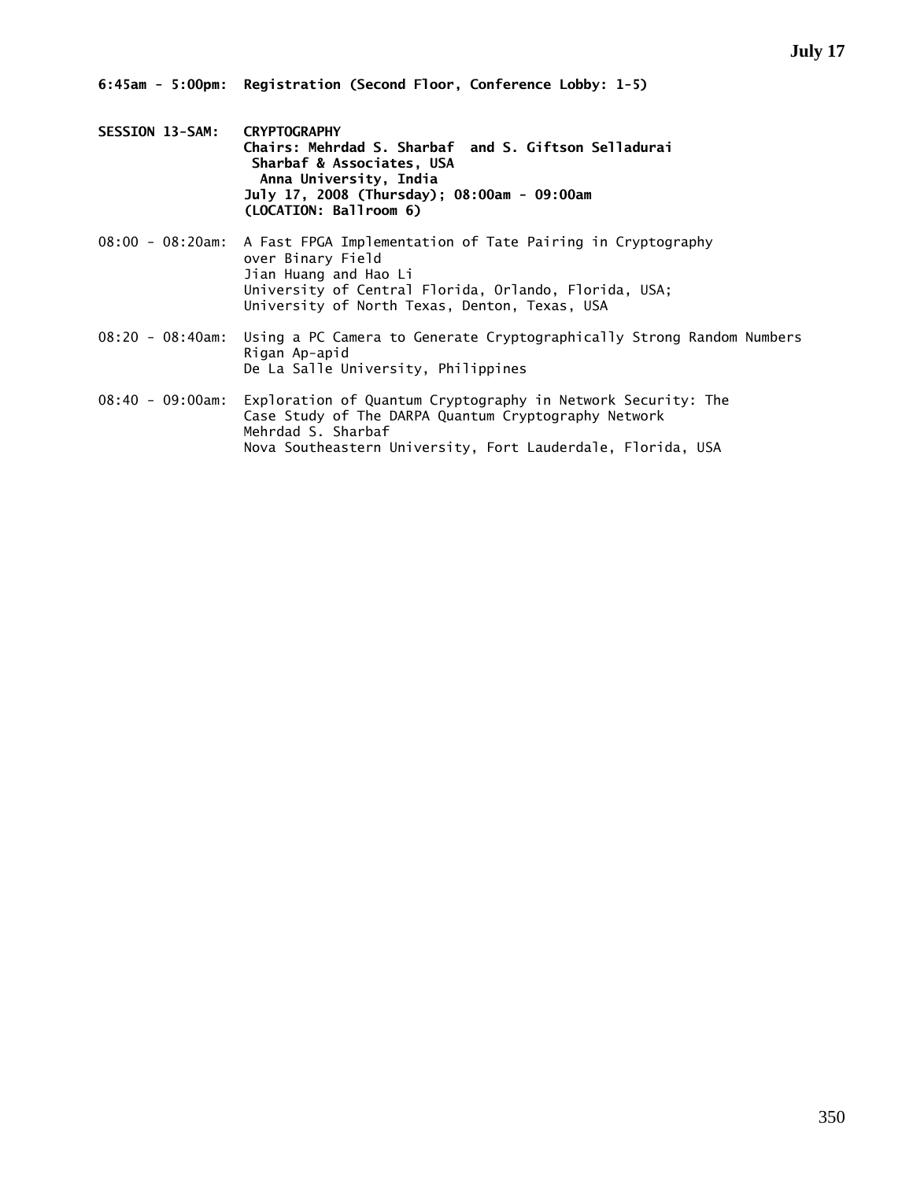- **SESSION 13-SAM: CRYPTOGRAPHY Chairs: Mehrdad S. Sharbaf and S. Giftson Selladurai Sharbaf & Associates, USA Anna University, India July 17, 2008 (Thursday); 08:00am - 09:00am (LOCATION: Ballroom 6)**
- 08:00 08:20am: A Fast FPGA Implementation of Tate Pairing in Cryptography over Binary Field Jian Huang and Hao Li University of Central Florida, Orlando, Florida, USA; University of North Texas, Denton, Texas, USA
- 08:20 08:40am: Using a PC Camera to Generate Cryptographically Strong Random Numbers Rigan Ap-apid De La Salle University, Philippines
- 08:40 09:00am: Exploration of Quantum Cryptography in Network Security: The Case Study of The DARPA Quantum Cryptography Network Mehrdad S. Sharbaf Nova Southeastern University, Fort Lauderdale, Florida, USA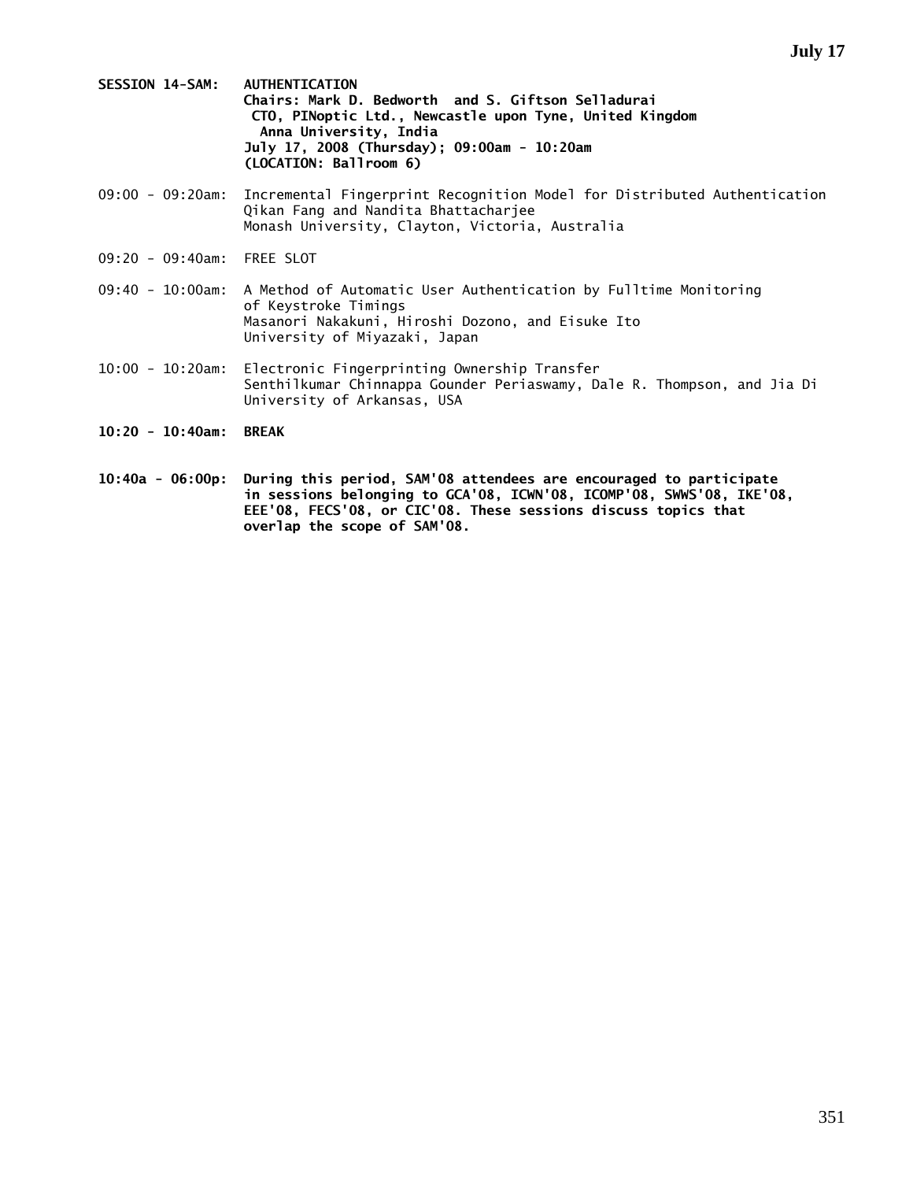- **SESSION 14-SAM: AUTHENTICATION Chairs: Mark D. Bedworth and S. Giftson Selladurai CTO, PINoptic Ltd., Newcastle upon Tyne, United Kingdom Anna University, India July 17, 2008 (Thursday); 09:00am - 10:20am (LOCATION: Ballroom 6)**
- 09:00 09:20am: Incremental Fingerprint Recognition Model for Distributed Authentication Qikan Fang and Nandita Bhattacharjee Monash University, Clayton, Victoria, Australia
- 09:20 09:40am: FREE SLOT
- 09:40 10:00am: A Method of Automatic User Authentication by Fulltime Monitoring of Keystroke Timings Masanori Nakakuni, Hiroshi Dozono, and Eisuke Ito University of Miyazaki, Japan
- 10:00 10:20am: Electronic Fingerprinting Ownership Transfer Senthilkumar Chinnappa Gounder Periaswamy, Dale R. Thompson, and Jia Di University of Arkansas, USA
- **10:20 10:40am: BREAK**
- **10:40a 06:00p: During this period, SAM'08 attendees are encouraged to participate in sessions belonging to GCA'08, ICWN'08, ICOMP'08, SWWS'08, IKE'08, EEE'08, FECS'08, or CIC'08. These sessions discuss topics that overlap the scope of SAM'08.**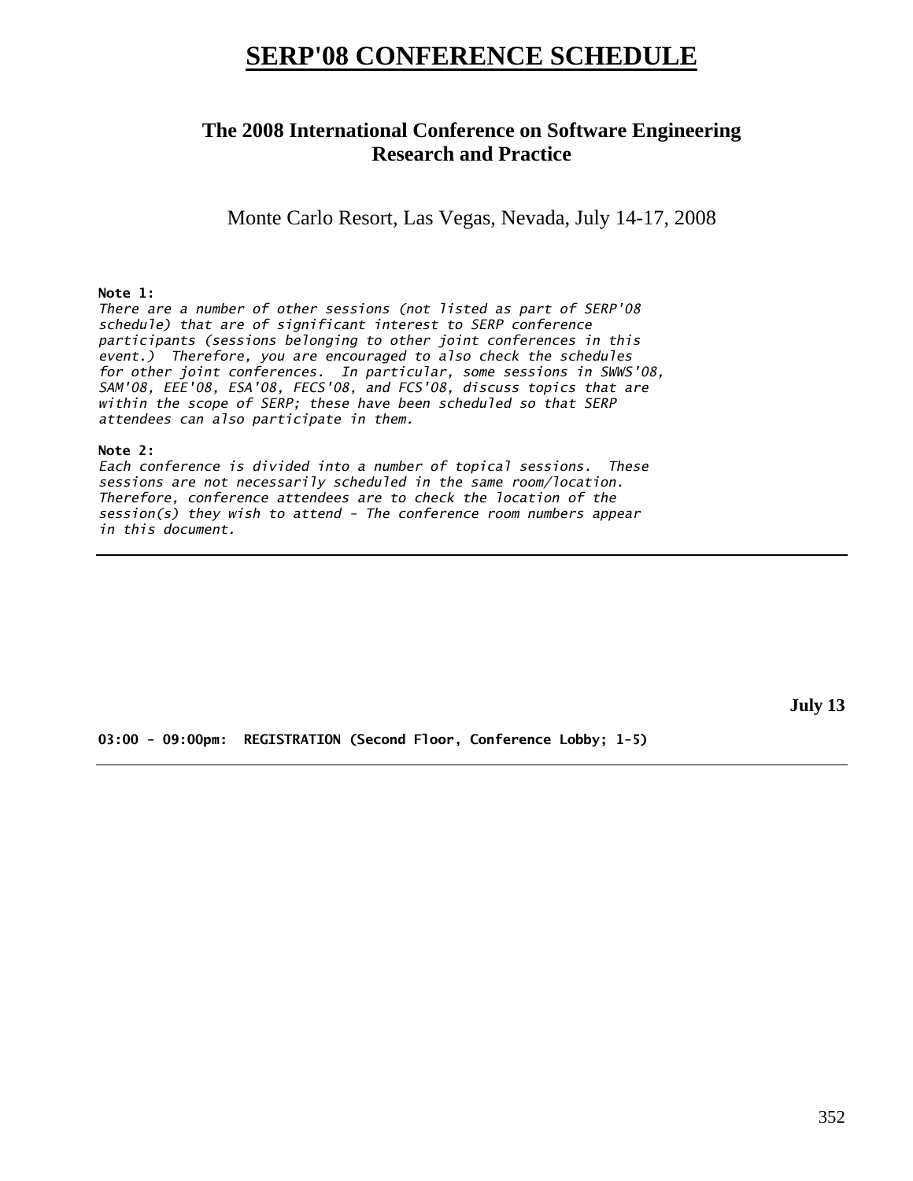# **SERP'08 CONFERENCE SCHEDULE**

## **The 2008 International Conference on Software Engineering Research and Practice**

Monte Carlo Resort, Las Vegas, Nevada, July 14-17, 2008

### **Note 1:**

*There are a number of other sessions (not listed as part of SERP'08 schedule) that are of significant interest to SERP conference participants (sessions belonging to other joint conferences in this event.) Therefore, you are encouraged to also check the schedules for other joint conferences. In particular, some sessions in SWWS'08, SAM'08, EEE'08, ESA'08, FECS'08, and FCS'08, discuss topics that are within the scope of SERP; these have been scheduled so that SERP attendees can also participate in them.* 

### **Note 2:**

*Each conference is divided into a number of topical sessions. These sessions are not necessarily scheduled in the same room/location. Therefore, conference attendees are to check the location of the session(s) they wish to attend - The conference room numbers appear in this document.* 

**July 13** 

**03:00 - 09:00pm: REGISTRATION (Second Floor, Conference Lobby; 1-5)**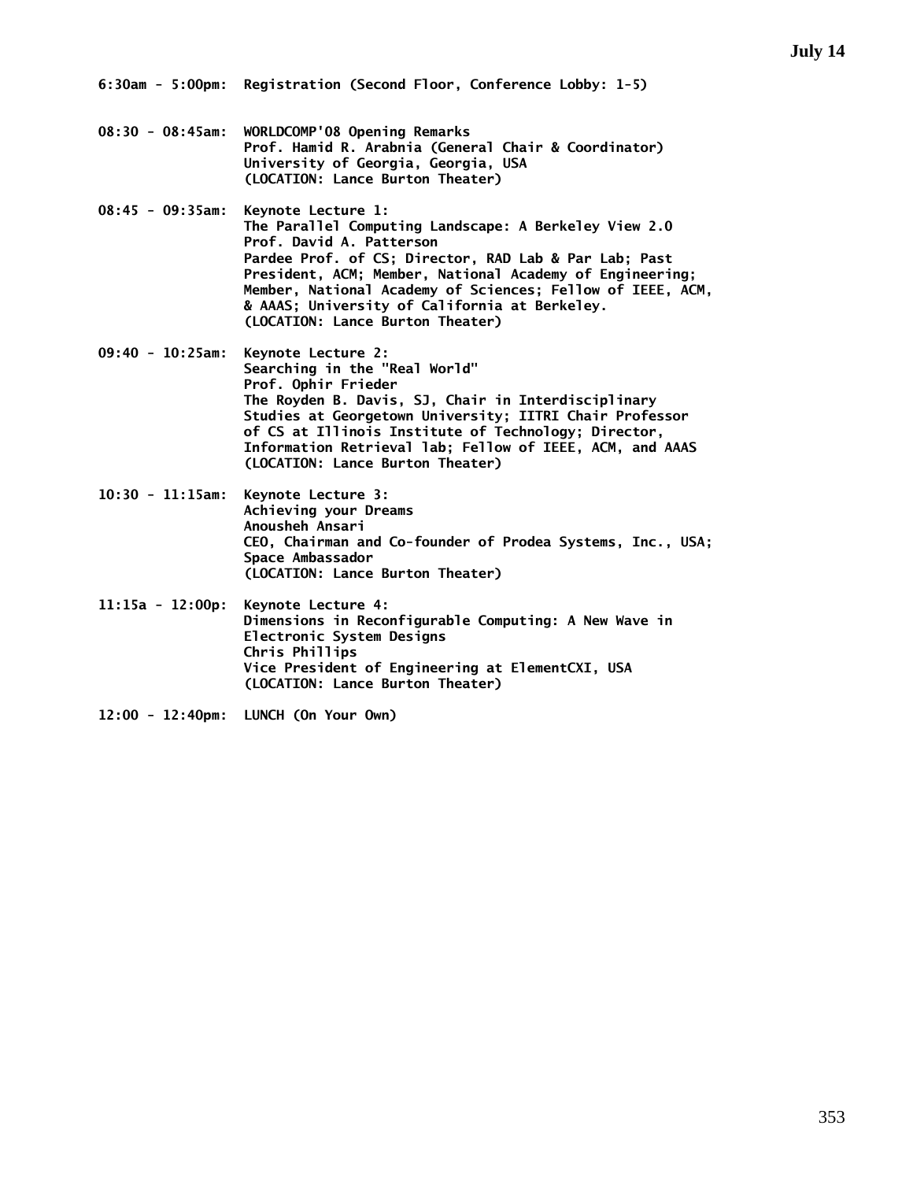- **08:30 08:45am: WORLDCOMP'08 Opening Remarks Prof. Hamid R. Arabnia (General Chair & Coordinator) University of Georgia, Georgia, USA (LOCATION: Lance Burton Theater)**
- **08:45 09:35am: Keynote Lecture 1: The Parallel Computing Landscape: A Berkeley View 2.0 Prof. David A. Patterson Pardee Prof. of CS; Director, RAD Lab & Par Lab; Past President, ACM; Member, National Academy of Engineering; Member, National Academy of Sciences; Fellow of IEEE, ACM, & AAAS; University of California at Berkeley. (LOCATION: Lance Burton Theater)**
- **09:40 10:25am: Keynote Lecture 2: Searching in the "Real World" Prof. Ophir Frieder The Royden B. Davis, SJ, Chair in Interdisciplinary Studies at Georgetown University; IITRI Chair Professor of CS at Illinois Institute of Technology; Director, Information Retrieval lab; Fellow of IEEE, ACM, and AAAS (LOCATION: Lance Burton Theater)**
- **10:30 11:15am: Keynote Lecture 3: Achieving your Dreams Anousheh Ansari CEO, Chairman and Co-founder of Prodea Systems, Inc., USA; Space Ambassador (LOCATION: Lance Burton Theater)**
- **11:15a 12:00p: Keynote Lecture 4: Dimensions in Reconfigurable Computing: A New Wave in Electronic System Designs Chris Phillips Vice President of Engineering at ElementCXI, USA (LOCATION: Lance Burton Theater)**
- **12:00 12:40pm: LUNCH (On Your Own)**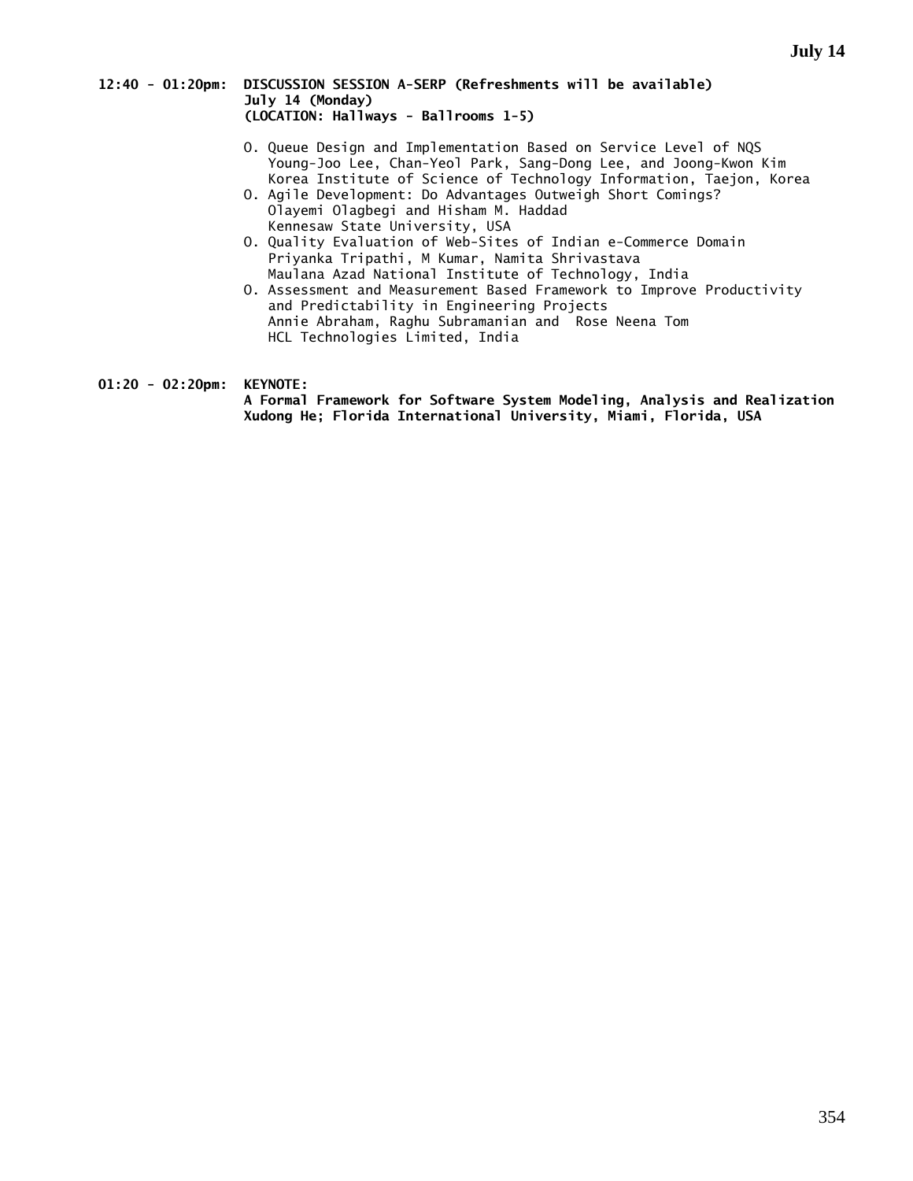### **12:40 - 01:20pm: DISCUSSION SESSION A-SERP (Refreshments will be available) July 14 (Monday) (LOCATION: Hallways - Ballrooms 1-5)**

- O. Queue Design and Implementation Based on Service Level of NQS Young-Joo Lee, Chan-Yeol Park, Sang-Dong Lee, and Joong-Kwon Kim Korea Institute of Science of Technology Information, Taejon, Korea
	- O. Agile Development: Do Advantages Outweigh Short Comings? Olayemi Olagbegi and Hisham M. Haddad Kennesaw State University, USA
	- O. Quality Evaluation of Web-Sites of Indian e-Commerce Domain Priyanka Tripathi, M Kumar, Namita Shrivastava Maulana Azad National Institute of Technology, India
	- O. Assessment and Measurement Based Framework to Improve Productivity and Predictability in Engineering Projects Annie Abraham, Raghu Subramanian and Rose Neena Tom HCL Technologies Limited, India

**01:20 - 02:20pm: KEYNOTE:** 

 **A Formal Framework for Software System Modeling, Analysis and Realization Xudong He; Florida International University, Miami, Florida, USA**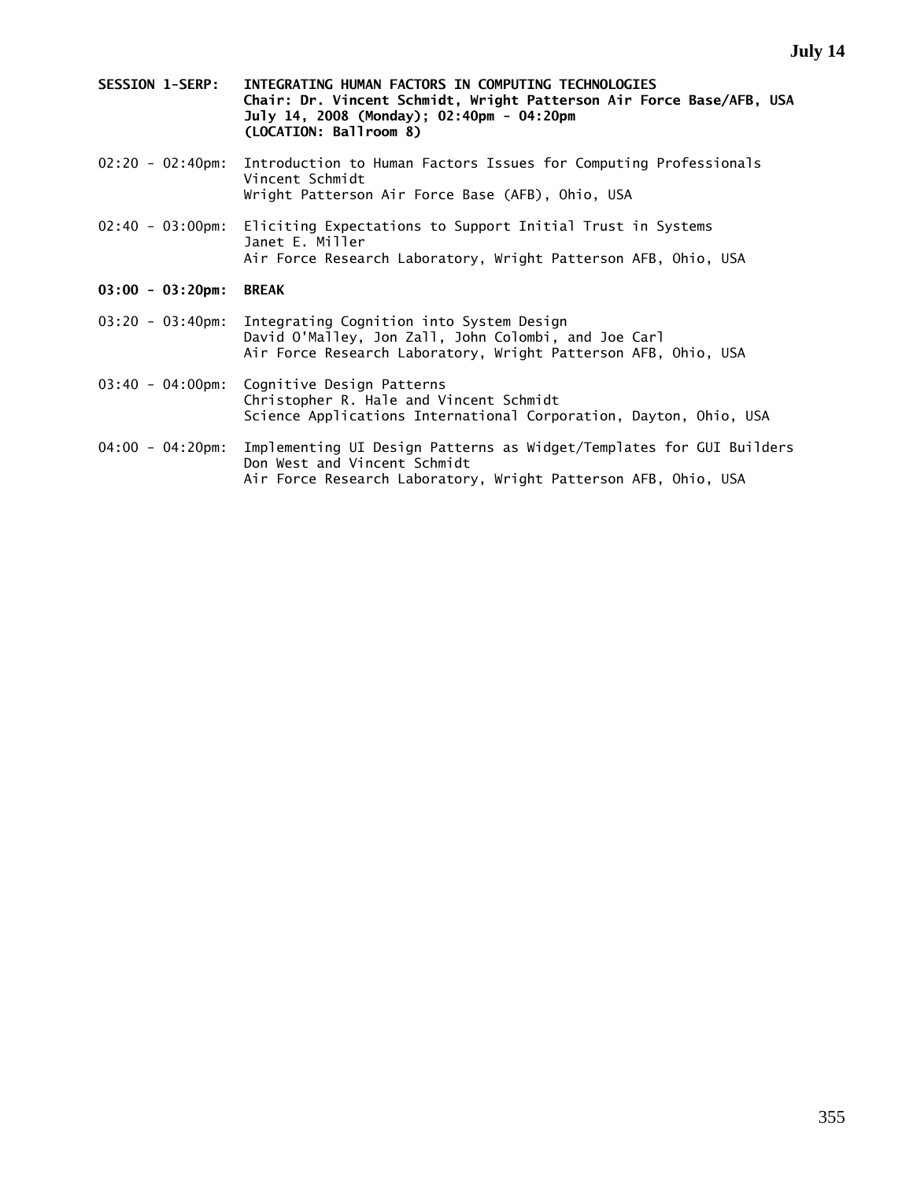- **SESSION 1-SERP: INTEGRATING HUMAN FACTORS IN COMPUTING TECHNOLOGIES Chair: Dr. Vincent Schmidt, Wright Patterson Air Force Base/AFB, USA July 14, 2008 (Monday); 02:40pm - 04:20pm (LOCATION: Ballroom 8)**
- 02:20 02:40pm: Introduction to Human Factors Issues for Computing Professionals Vincent Schmidt Wright Patterson Air Force Base (AFB), Ohio, USA
- 02:40 03:00pm: Eliciting Expectations to Support Initial Trust in Systems Janet E. Miller Air Force Research Laboratory, Wright Patterson AFB, Ohio, USA
- **03:00 03:20pm: BREAK**
- 03:20 03:40pm: Integrating Cognition into System Design David O'Malley, Jon Zall, John Colombi, and Joe Carl Air Force Research Laboratory, Wright Patterson AFB, Ohio, USA
- 03:40 04:00pm: Cognitive Design Patterns Christopher R. Hale and Vincent Schmidt Science Applications International Corporation, Dayton, Ohio, USA
- 04:00 04:20pm: Implementing UI Design Patterns as Widget/Templates for GUI Builders Don West and Vincent Schmidt Air Force Research Laboratory, Wright Patterson AFB, Ohio, USA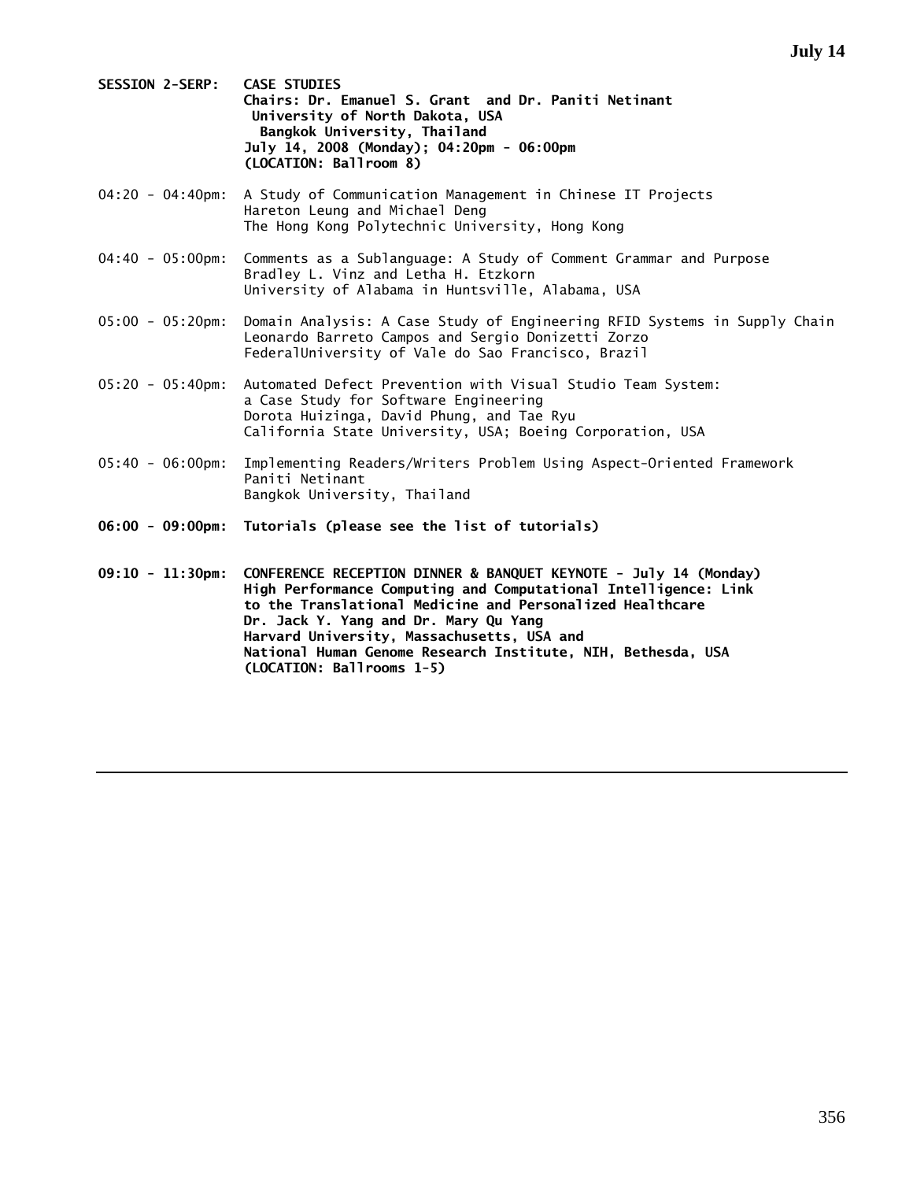- **SESSION 2-SERP: CASE STUDIES Chairs: Dr. Emanuel S. Grant and Dr. Paniti Netinant University of North Dakota, USA Bangkok University, Thailand July 14, 2008 (Monday); 04:20pm - 06:00pm (LOCATION: Ballroom 8)**
- 04:20 04:40pm: A Study of Communication Management in Chinese IT Projects Hareton Leung and Michael Deng The Hong Kong Polytechnic University, Hong Kong
- 04:40 05:00pm: Comments as a Sublanguage: A Study of Comment Grammar and Purpose Bradley L. Vinz and Letha H. Etzkorn University of Alabama in Huntsville, Alabama, USA
- 05:00 05:20pm: Domain Analysis: A Case Study of Engineering RFID Systems in Supply Chain Leonardo Barreto Campos and Sergio Donizetti Zorzo FederalUniversity of Vale do Sao Francisco, Brazil
- 05:20 05:40pm: Automated Defect Prevention with Visual Studio Team System: a Case Study for Software Engineering Dorota Huizinga, David Phung, and Tae Ryu California State University, USA; Boeing Corporation, USA
- 05:40 06:00pm: Implementing Readers/Writers Problem Using Aspect-Oriented Framework Paniti Netinant Bangkok University, Thailand
- **06:00 09:00pm: Tutorials (please see the list of tutorials)**
- **09:10 11:30pm: CONFERENCE RECEPTION DINNER & BANQUET KEYNOTE July 14 (Monday) High Performance Computing and Computational Intelligence: Link to the Translational Medicine and Personalized Healthcare Dr. Jack Y. Yang and Dr. Mary Qu Yang Harvard University, Massachusetts, USA and National Human Genome Research Institute, NIH, Bethesda, USA (LOCATION: Ballrooms 1-5)**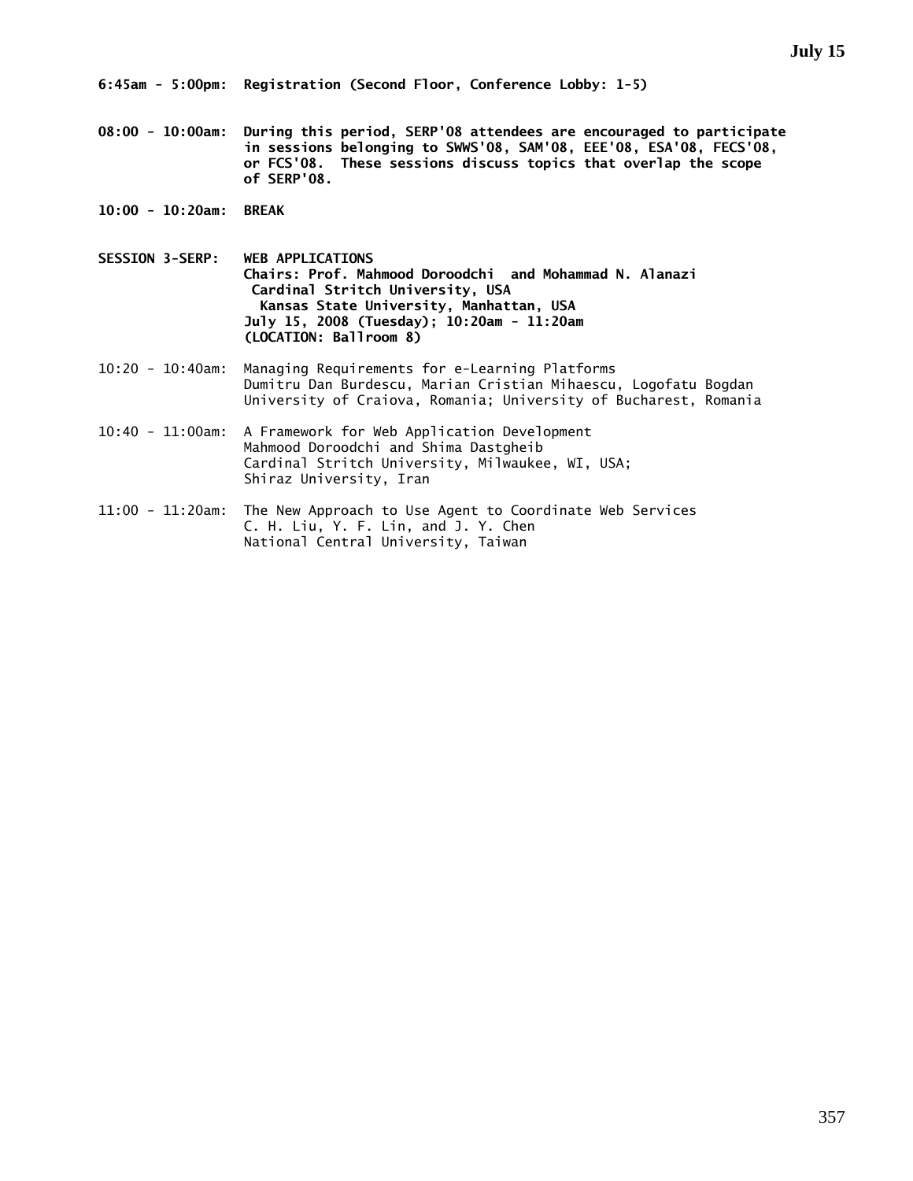**08:00 - 10:00am: During this period, SERP'08 attendees are encouraged to participate in sessions belonging to SWWS'08, SAM'08, EEE'08, ESA'08, FECS'08, or FCS'08. These sessions discuss topics that overlap the scope of SERP'08.** 

- **10:00 10:20am: BREAK**
- **SESSION 3-SERP: WEB APPLICATIONS Chairs: Prof. Mahmood Doroodchi and Mohammad N. Alanazi Cardinal Stritch University, USA Kansas State University, Manhattan, USA July 15, 2008 (Tuesday); 10:20am - 11:20am (LOCATION: Ballroom 8)**
- 10:20 10:40am: Managing Requirements for e-Learning Platforms Dumitru Dan Burdescu, Marian Cristian Mihaescu, Logofatu Bogdan University of Craiova, Romania; University of Bucharest, Romania
- 10:40 11:00am: A Framework for Web Application Development Mahmood Doroodchi and Shima Dastgheib Cardinal Stritch University, Milwaukee, WI, USA; Shiraz University, Iran
- 11:00 11:20am: The New Approach to Use Agent to Coordinate Web Services C. H. Liu, Y. F. Lin, and J. Y. Chen National Central University, Taiwan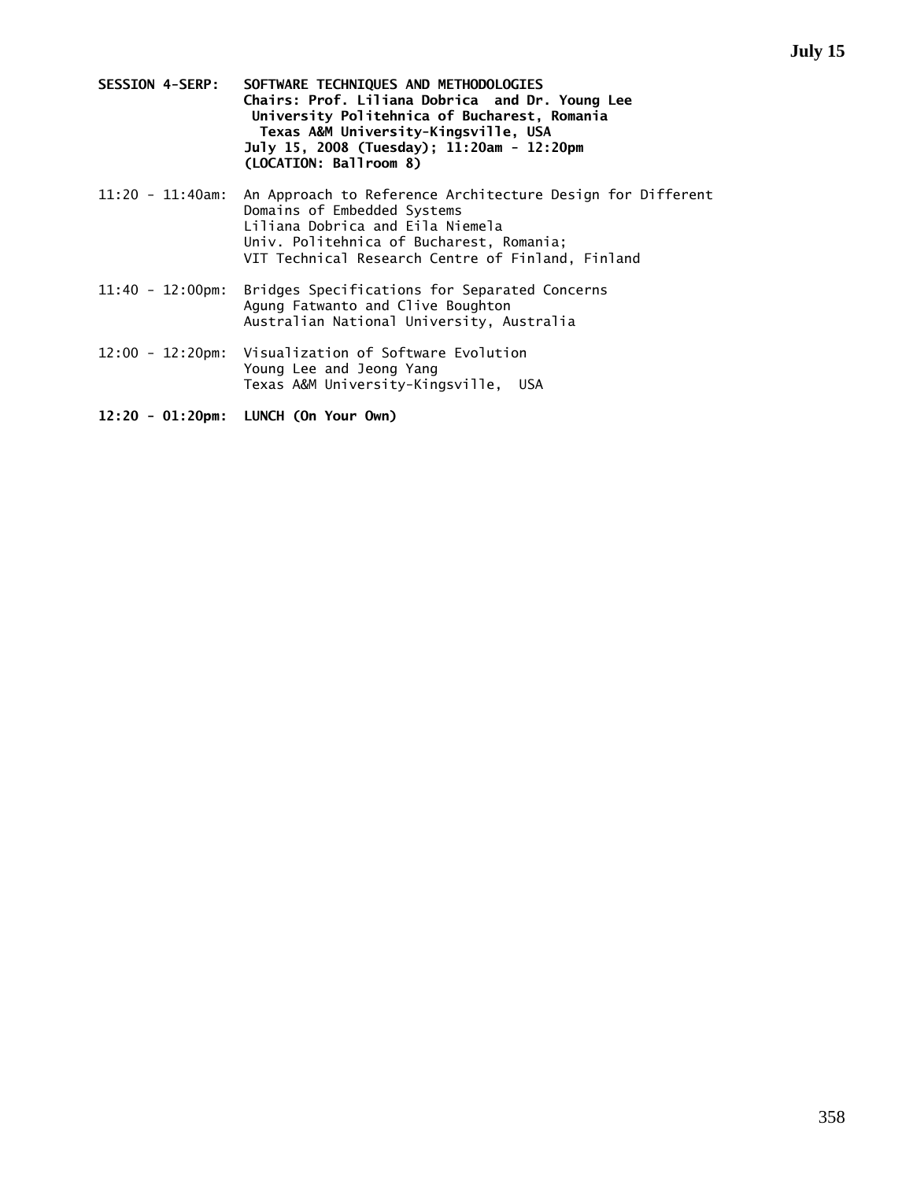- **SESSION 4-SERP: SOFTWARE TECHNIQUES AND METHODOLOGIES Chairs: Prof. Liliana Dobrica and Dr. Young Lee University Politehnica of Bucharest, Romania Texas A&M University-Kingsville, USA July 15, 2008 (Tuesday); 11:20am - 12:20pm (LOCATION: Ballroom 8)**
- 11:20 11:40am: An Approach to Reference Architecture Design for Different Domains of Embedded Systems Liliana Dobrica and Eila Niemela Univ. Politehnica of Bucharest, Romania; VIT Technical Research Centre of Finland, Finland
- 11:40 12:00pm: Bridges Specifications for Separated Concerns Agung Fatwanto and Clive Boughton Australian National University, Australia
- 12:00 12:20pm: Visualization of Software Evolution Young Lee and Jeong Yang Texas A&M University-Kingsville, USA
- **12:20 01:20pm: LUNCH (On Your Own)**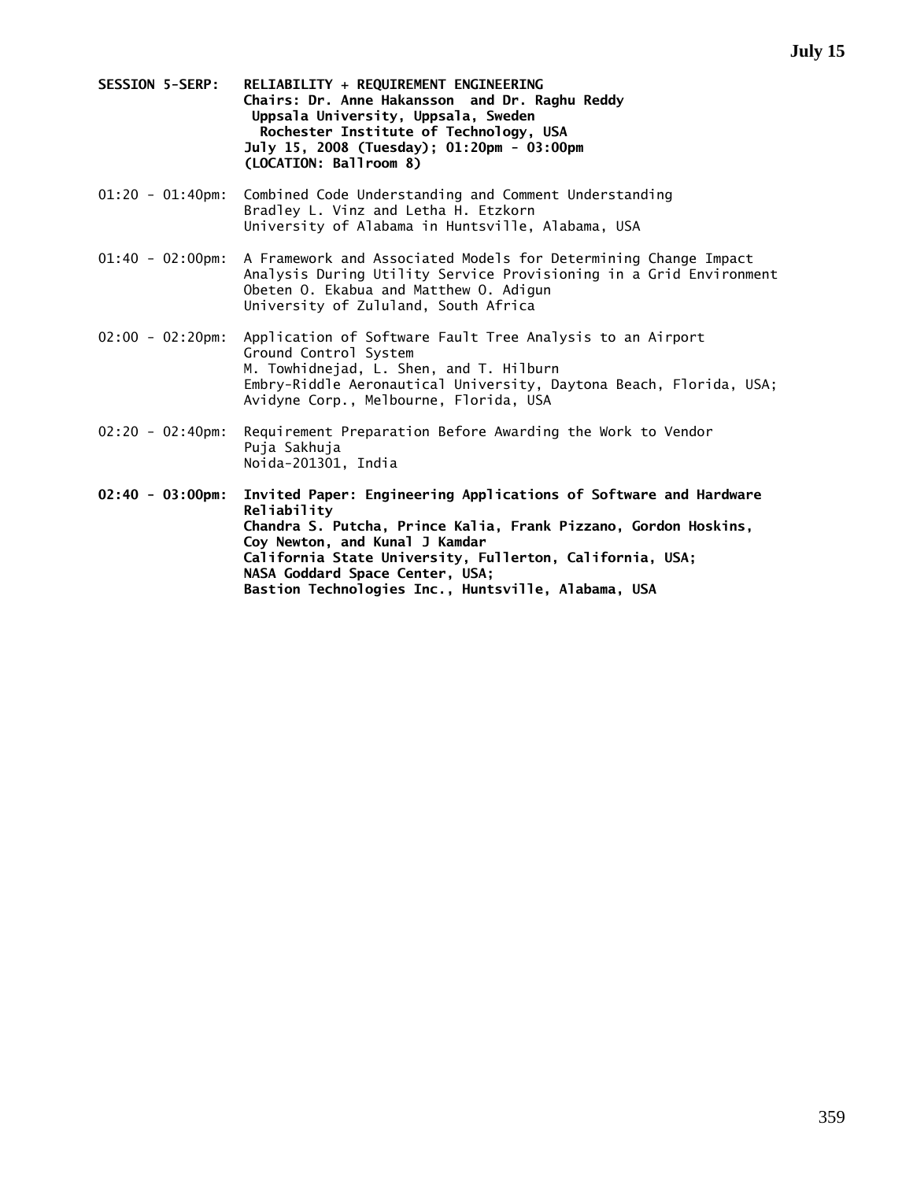- **SESSION 5-SERP: RELIABILITY + REQUIREMENT ENGINEERING Chairs: Dr. Anne Hakansson and Dr. Raghu Reddy Uppsala University, Uppsala, Sweden Rochester Institute of Technology, USA July 15, 2008 (Tuesday); 01:20pm - 03:00pm (LOCATION: Ballroom 8)**
- 01:20 01:40pm: Combined Code Understanding and Comment Understanding Bradley L. Vinz and Letha H. Etzkorn University of Alabama in Huntsville, Alabama, USA
- 01:40 02:00pm: A Framework and Associated Models for Determining Change Impact Analysis During Utility Service Provisioning in a Grid Environment Obeten O. Ekabua and Matthew O. Adigun University of Zululand, South Africa
- 02:00 02:20pm: Application of Software Fault Tree Analysis to an Airport Ground Control System M. Towhidnejad, L. Shen, and T. Hilburn Embry-Riddle Aeronautical University, Daytona Beach, Florida, USA; Avidyne Corp., Melbourne, Florida, USA
- 02:20 02:40pm: Requirement Preparation Before Awarding the Work to Vendor Puja Sakhuja Noida-201301, India

**02:40 - 03:00pm: Invited Paper: Engineering Applications of Software and Hardware Reliability Chandra S. Putcha, Prince Kalia, Frank Pizzano, Gordon Hoskins, Coy Newton, and Kunal J Kamdar California State University, Fullerton, California, USA; NASA Goddard Space Center, USA; Bastion Technologies Inc., Huntsville, Alabama, USA**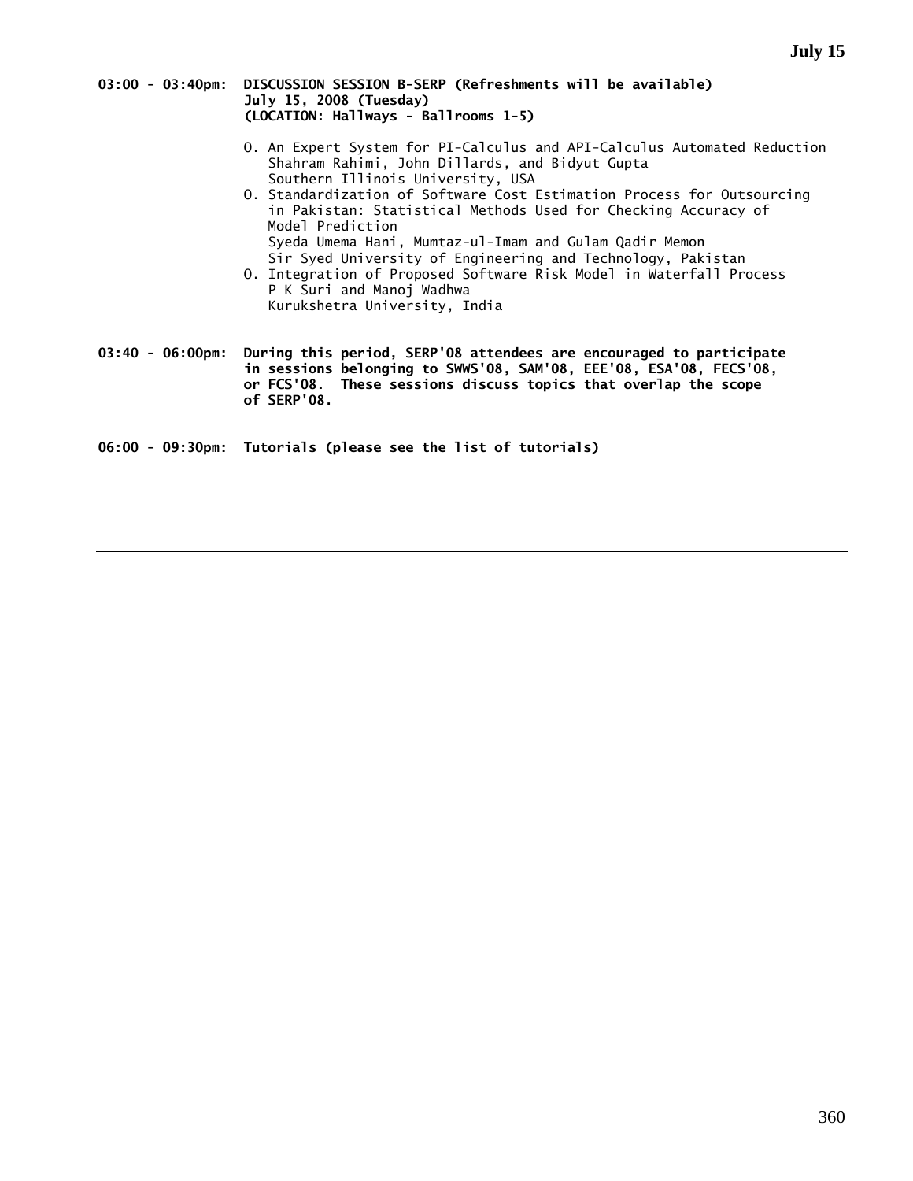### **03:00 - 03:40pm: DISCUSSION SESSION B-SERP (Refreshments will be available) July 15, 2008 (Tuesday) (LOCATION: Hallways - Ballrooms 1-5)**

- O. An Expert System for PI-Calculus and API-Calculus Automated Reduction Shahram Rahimi, John Dillards, and Bidyut Gupta Southern Illinois University, USA
- O. Standardization of Software Cost Estimation Process for Outsourcing in Pakistan: Statistical Methods Used for Checking Accuracy of Model Prediction Syeda Umema Hani, Mumtaz-ul-Imam and Gulam Qadir Memon Sir Syed University of Engineering and Technology, Pakistan
- O. Integration of Proposed Software Risk Model in Waterfall Process P K Suri and Manoj Wadhwa Kurukshetra University, India

**03:40 - 06:00pm: During this period, SERP'08 attendees are encouraged to participate in sessions belonging to SWWS'08, SAM'08, EEE'08, ESA'08, FECS'08, or FCS'08. These sessions discuss topics that overlap the scope of SERP'08.** 

**06:00 - 09:30pm: Tutorials (please see the list of tutorials)**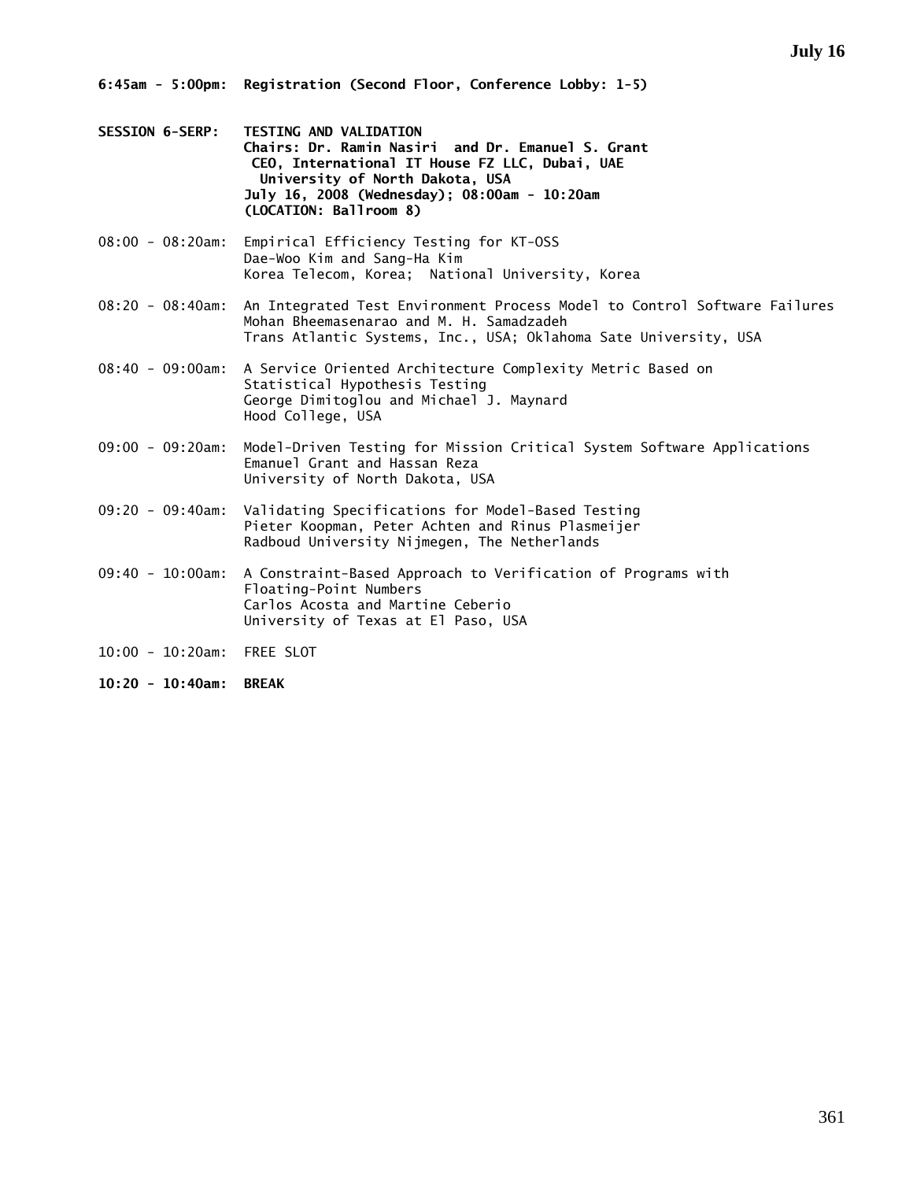- **SESSION 6-SERP: TESTING AND VALIDATION Chairs: Dr. Ramin Nasiri and Dr. Emanuel S. Grant CEO, International IT House FZ LLC, Dubai, UAE University of North Dakota, USA July 16, 2008 (Wednesday); 08:00am - 10:20am (LOCATION: Ballroom 8)**
- 08:00 08:20am: Empirical Efficiency Testing for KT-OSS Dae-Woo Kim and Sang-Ha Kim Korea Telecom, Korea; National University, Korea
- 08:20 08:40am: An Integrated Test Environment Process Model to Control Software Failures Mohan Bheemasenarao and M. H. Samadzadeh Trans Atlantic Systems, Inc., USA; Oklahoma Sate University, USA
- 08:40 09:00am: A Service Oriented Architecture Complexity Metric Based on Statistical Hypothesis Testing George Dimitoglou and Michael J. Maynard Hood College, USA
- 09:00 09:20am: Model-Driven Testing for Mission Critical System Software Applications Emanuel Grant and Hassan Reza University of North Dakota, USA
- 09:20 09:40am: Validating Specifications for Model-Based Testing Pieter Koopman, Peter Achten and Rinus Plasmeijer Radboud University Nijmegen, The Netherlands
- 09:40 10:00am: A Constraint-Based Approach to Verification of Programs with Floating-Point Numbers Carlos Acosta and Martine Ceberio University of Texas at El Paso, USA
- 10:00 10:20am: FREE SLOT
- **10:20 10:40am: BREAK**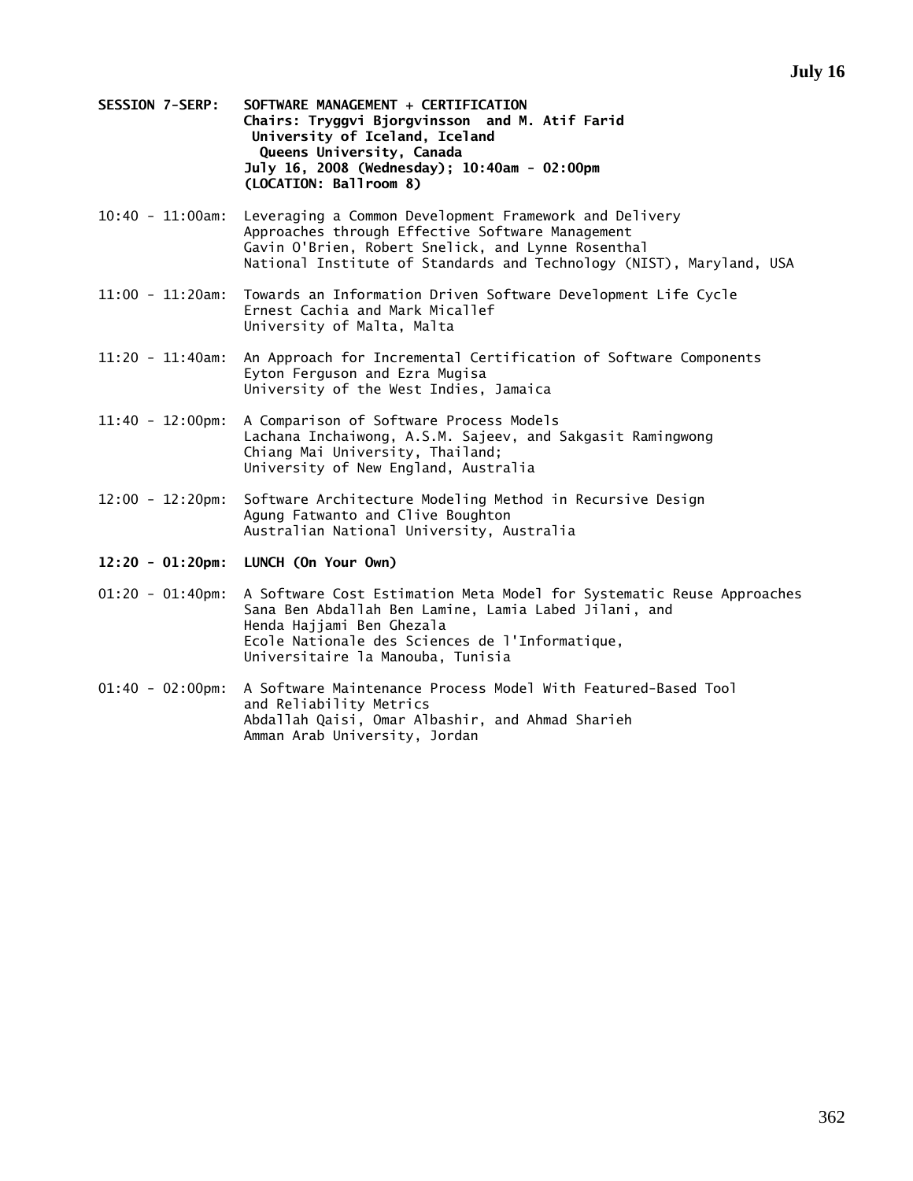- **SESSION 7-SERP: SOFTWARE MANAGEMENT + CERTIFICATION Chairs: Tryggvi Bjorgvinsson and M. Atif Farid University of Iceland, Iceland Queens University, Canada July 16, 2008 (Wednesday); 10:40am - 02:00pm (LOCATION: Ballroom 8)**
- 10:40 11:00am: Leveraging a Common Development Framework and Delivery Approaches through Effective Software Management Gavin O'Brien, Robert Snelick, and Lynne Rosenthal National Institute of Standards and Technology (NIST), Maryland, USA
- 11:00 11:20am: Towards an Information Driven Software Development Life Cycle Ernest Cachia and Mark Micallef University of Malta, Malta
- 11:20 11:40am: An Approach for Incremental Certification of Software Components Eyton Ferguson and Ezra Mugisa University of the West Indies, Jamaica
- 11:40 12:00pm: A Comparison of Software Process Models Lachana Inchaiwong, A.S.M. Sajeev, and Sakgasit Ramingwong Chiang Mai University, Thailand; University of New England, Australia
- 12:00 12:20pm: Software Architecture Modeling Method in Recursive Design Agung Fatwanto and Clive Boughton Australian National University, Australia
- **12:20 01:20pm: LUNCH (On Your Own)**
- 01:20 01:40pm: A Software Cost Estimation Meta Model for Systematic Reuse Approaches Sana Ben Abdallah Ben Lamine, Lamia Labed Jilani, and Henda Hajjami Ben Ghezala Ecole Nationale des Sciences de l'Informatique, Universitaire la Manouba, Tunisia
- 01:40 02:00pm: A Software Maintenance Process Model With Featured-Based Tool and Reliability Metrics Abdallah Qaisi, Omar Albashir, and Ahmad Sharieh Amman Arab University, Jordan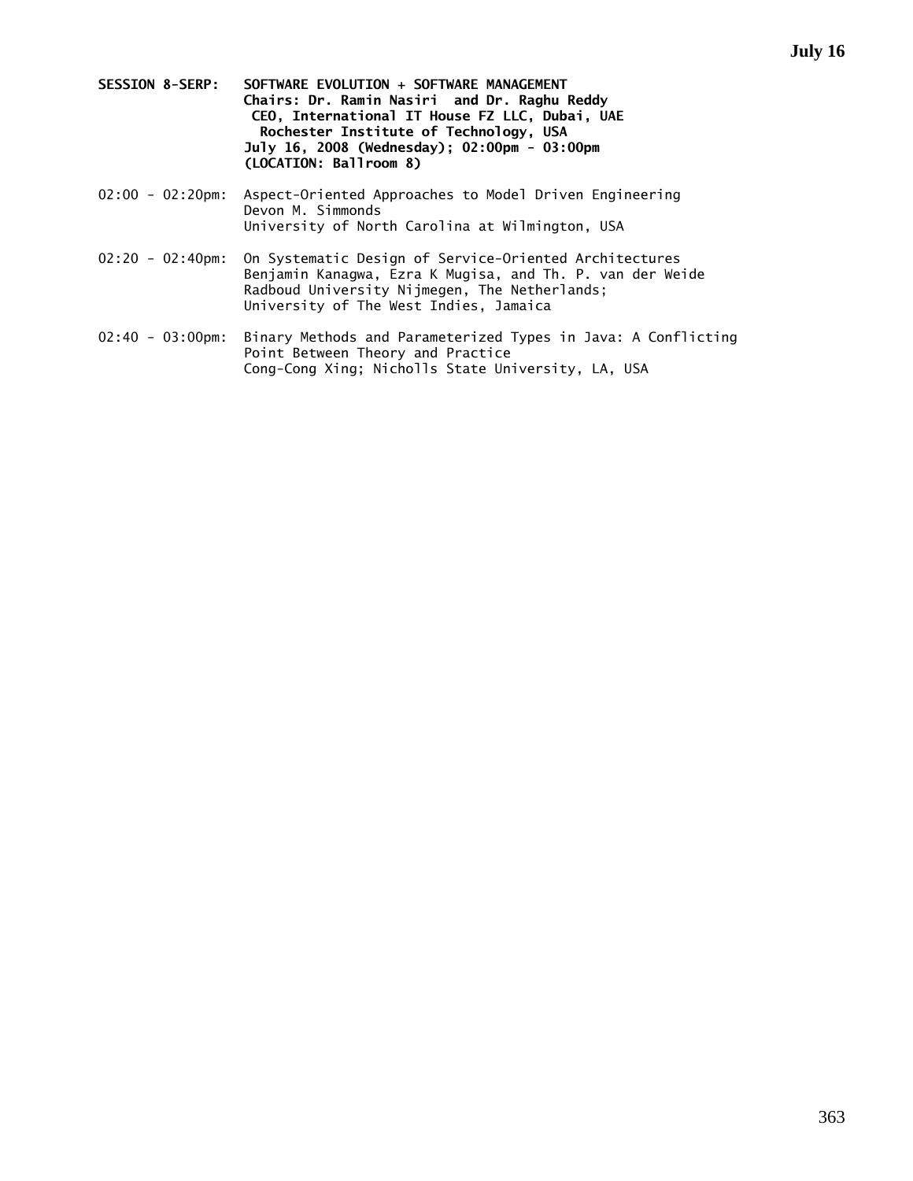- **SESSION 8-SERP: SOFTWARE EVOLUTION + SOFTWARE MANAGEMENT Chairs: Dr. Ramin Nasiri and Dr. Raghu Reddy CEO, International IT House FZ LLC, Dubai, UAE Rochester Institute of Technology, USA July 16, 2008 (Wednesday); 02:00pm - 03:00pm (LOCATION: Ballroom 8)**
- 02:00 02:20pm: Aspect-Oriented Approaches to Model Driven Engineering Devon M. Simmonds University of North Carolina at Wilmington, USA
- 02:20 02:40pm: On Systematic Design of Service-Oriented Architectures Benjamin Kanagwa, Ezra K Mugisa, and Th. P. van der Weide Radboud University Nijmegen, The Netherlands; University of The West Indies, Jamaica
- 02:40 03:00pm: Binary Methods and Parameterized Types in Java: A Conflicting Point Between Theory and Practice Cong-Cong Xing; Nicholls State University, LA, USA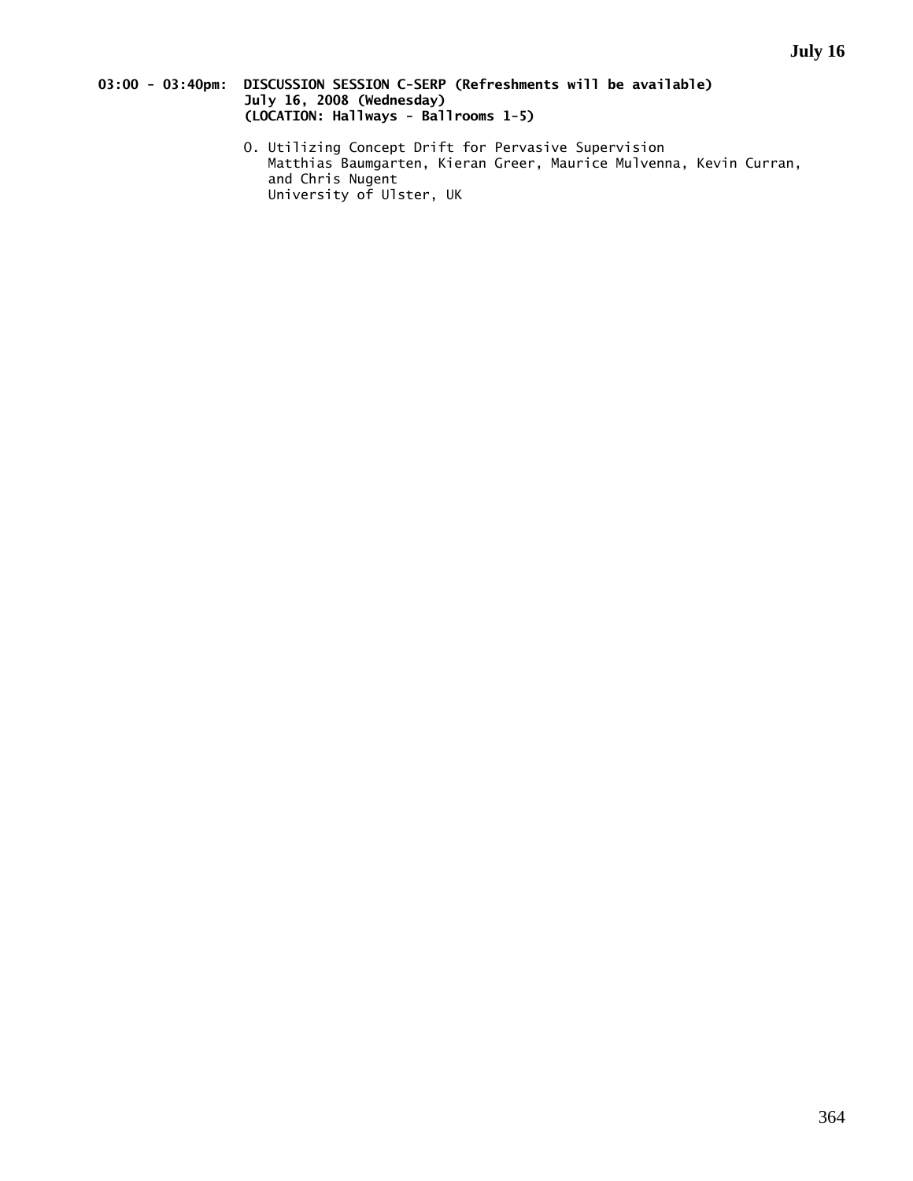# **03:00 - 03:40pm: DISCUSSION SESSION C-SERP (Refreshments will be available) July 16, 2008 (Wednesday) (LOCATION: Hallways - Ballrooms 1-5)**

 O. Utilizing Concept Drift for Pervasive Supervision Matthias Baumgarten, Kieran Greer, Maurice Mulvenna, Kevin Curran, and Chris Nugent University of Ulster, UK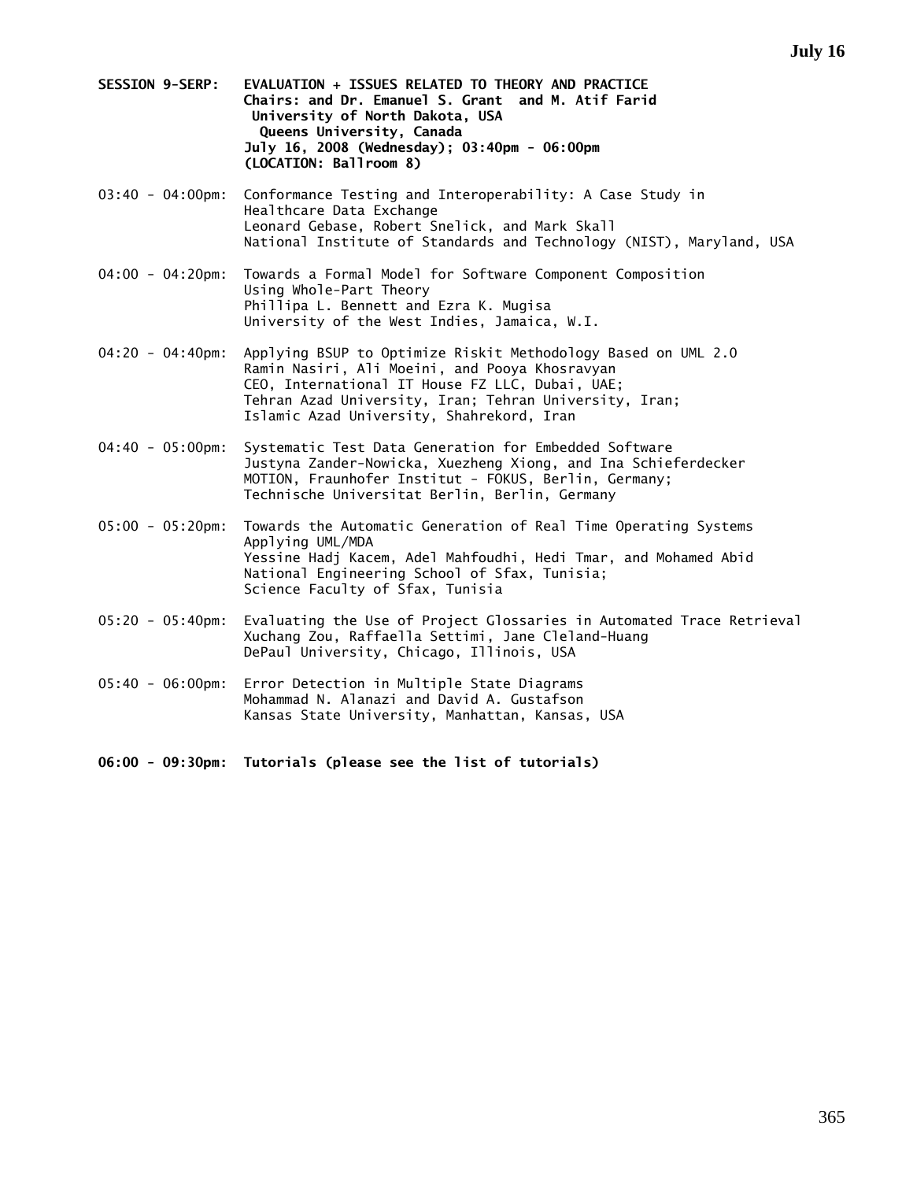- **SESSION 9-SERP: EVALUATION + ISSUES RELATED TO THEORY AND PRACTICE Chairs: and Dr. Emanuel S. Grant and M. Atif Farid University of North Dakota, USA Queens University, Canada July 16, 2008 (Wednesday); 03:40pm - 06:00pm (LOCATION: Ballroom 8)**
- 03:40 04:00pm: Conformance Testing and Interoperability: A Case Study in Healthcare Data Exchange Leonard Gebase, Robert Snelick, and Mark Skall National Institute of Standards and Technology (NIST), Maryland, USA
- 04:00 04:20pm: Towards a Formal Model for Software Component Composition Using Whole-Part Theory Phillipa L. Bennett and Ezra K. Mugisa University of the West Indies, Jamaica, W.I.
- 04:20 04:40pm: Applying BSUP to Optimize Riskit Methodology Based on UML 2.0 Ramin Nasiri, Ali Moeini, and Pooya Khosravyan CEO, International IT House FZ LLC, Dubai, UAE; Tehran Azad University, Iran; Tehran University, Iran; Islamic Azad University, Shahrekord, Iran
- 04:40 05:00pm: Systematic Test Data Generation for Embedded Software Justyna Zander-Nowicka, Xuezheng Xiong, and Ina Schieferdecker MOTION, Fraunhofer Institut - FOKUS, Berlin, Germany; Technische Universitat Berlin, Berlin, Germany
- 05:00 05:20pm: Towards the Automatic Generation of Real Time Operating Systems Applying UML/MDA Yessine Hadj Kacem, Adel Mahfoudhi, Hedi Tmar, and Mohamed Abid National Engineering School of Sfax, Tunisia; Science Faculty of Sfax, Tunisia
- 05:20 05:40pm: Evaluating the Use of Project Glossaries in Automated Trace Retrieval Xuchang Zou, Raffaella Settimi, Jane Cleland-Huang DePaul University, Chicago, Illinois, USA
- 05:40 06:00pm: Error Detection in Multiple State Diagrams Mohammad N. Alanazi and David A. Gustafson Kansas State University, Manhattan, Kansas, USA

**06:00 - 09:30pm: Tutorials (please see the list of tutorials)**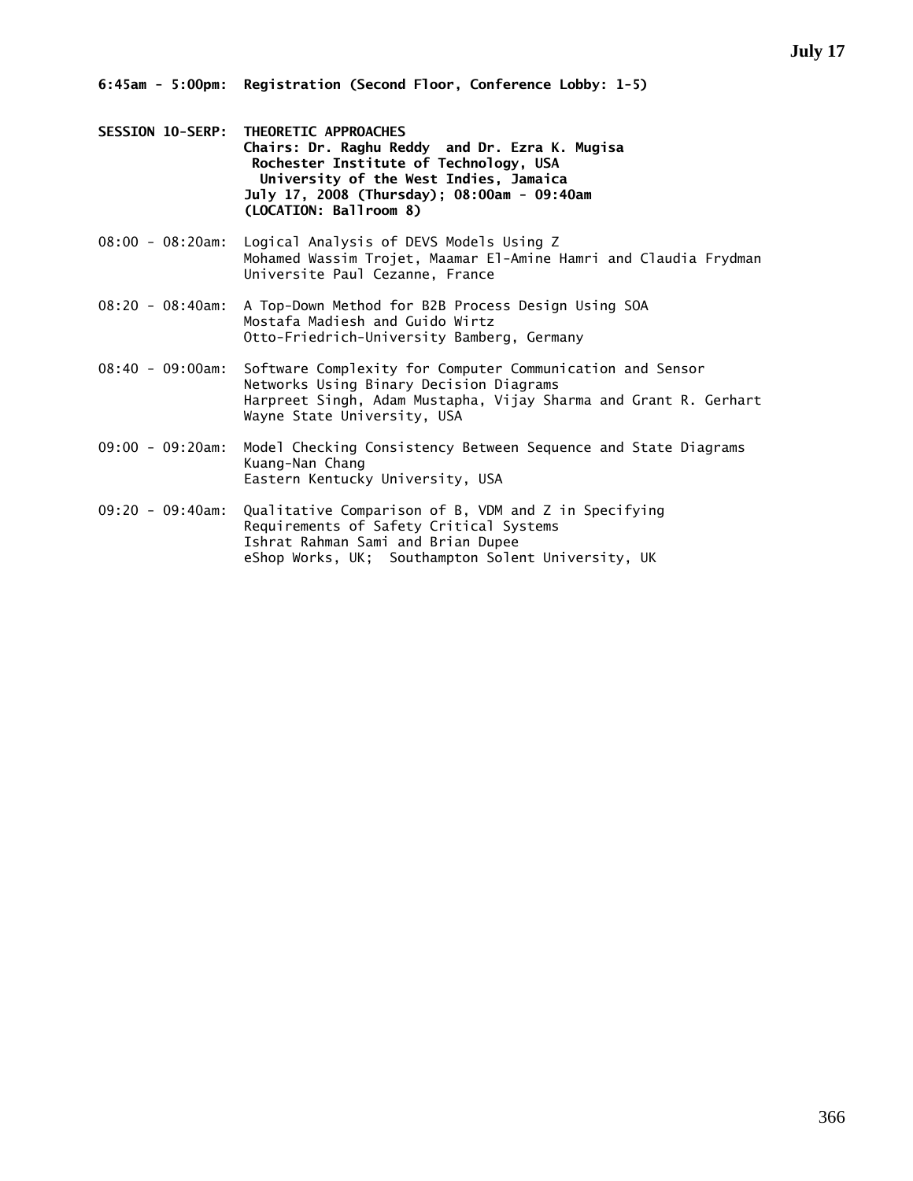- **SESSION 10-SERP: THEORETIC APPROACHES Chairs: Dr. Raghu Reddy and Dr. Ezra K. Mugisa Rochester Institute of Technology, USA University of the West Indies, Jamaica July 17, 2008 (Thursday); 08:00am - 09:40am (LOCATION: Ballroom 8)**
- 08:00 08:20am: Logical Analysis of DEVS Models Using Z Mohamed Wassim Trojet, Maamar El-Amine Hamri and Claudia Frydman Universite Paul Cezanne, France
- 08:20 08:40am: A Top-Down Method for B2B Process Design Using SOA Mostafa Madiesh and Guido Wirtz Otto-Friedrich-University Bamberg, Germany
- 08:40 09:00am: Software Complexity for Computer Communication and Sensor Networks Using Binary Decision Diagrams Harpreet Singh, Adam Mustapha, Vijay Sharma and Grant R. Gerhart Wayne State University, USA
- 09:00 09:20am: Model Checking Consistency Between Sequence and State Diagrams Kuang-Nan Chang Eastern Kentucky University, USA
- 09:20 09:40am: Qualitative Comparison of B, VDM and Z in Specifying Requirements of Safety Critical Systems Ishrat Rahman Sami and Brian Dupee eShop Works, UK; Southampton Solent University, UK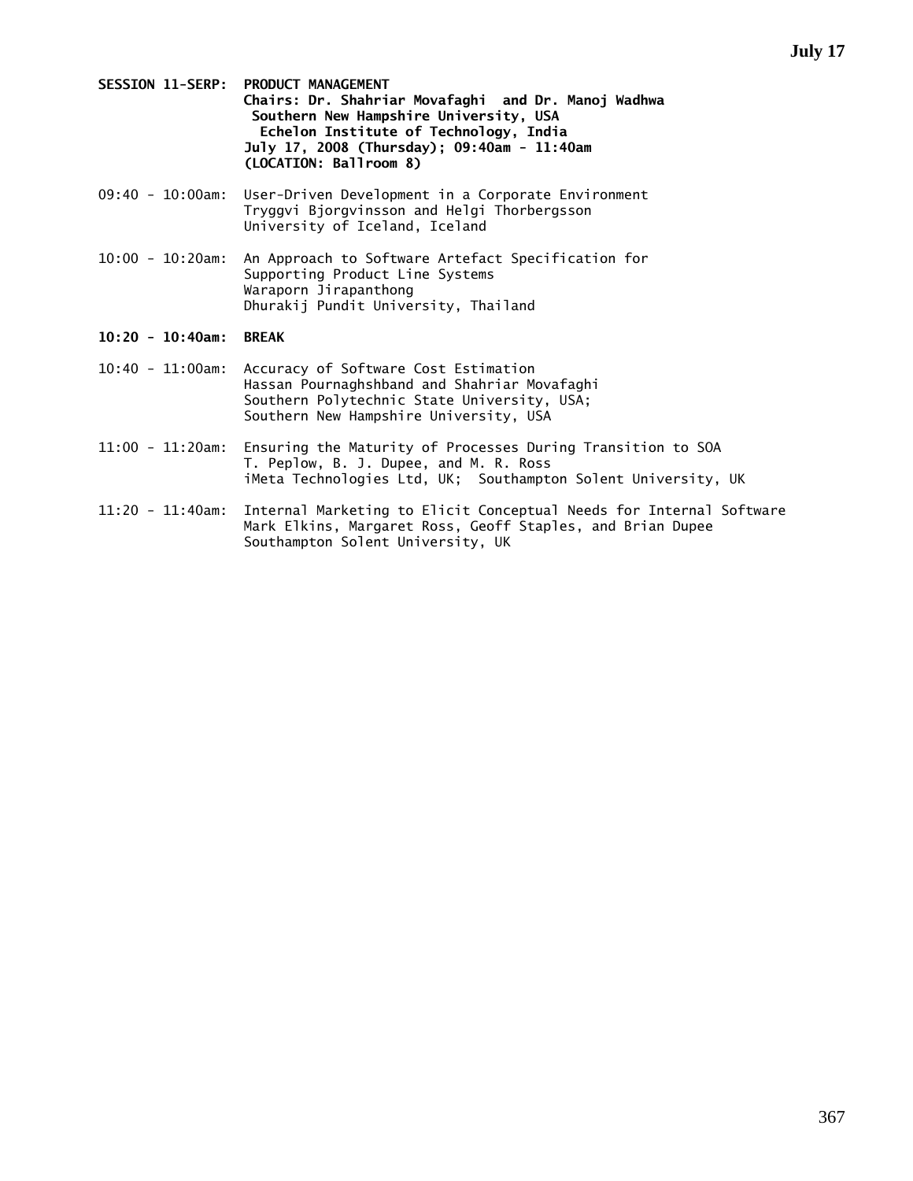- **SESSION 11-SERP: PRODUCT MANAGEMENT Chairs: Dr. Shahriar Movafaghi and Dr. Manoj Wadhwa Southern New Hampshire University, USA Echelon Institute of Technology, India July 17, 2008 (Thursday); 09:40am - 11:40am (LOCATION: Ballroom 8)**
- 09:40 10:00am: User-Driven Development in a Corporate Environment Tryggvi Bjorgvinsson and Helgi Thorbergsson University of Iceland, Iceland
- 10:00 10:20am: An Approach to Software Artefact Specification for Supporting Product Line Systems Waraporn Jirapanthong Dhurakij Pundit University, Thailand

# **10:20 - 10:40am: BREAK**

- 10:40 11:00am: Accuracy of Software Cost Estimation Hassan Pournaghshband and Shahriar Movafaghi Southern Polytechnic State University, USA; Southern New Hampshire University, USA
- 11:00 11:20am: Ensuring the Maturity of Processes During Transition to SOA T. Peplow, B. J. Dupee, and M. R. Ross iMeta Technologies Ltd, UK; Southampton Solent University, UK
- 11:20 11:40am: Internal Marketing to Elicit Conceptual Needs for Internal Software Mark Elkins, Margaret Ross, Geoff Staples, and Brian Dupee Southampton Solent University, UK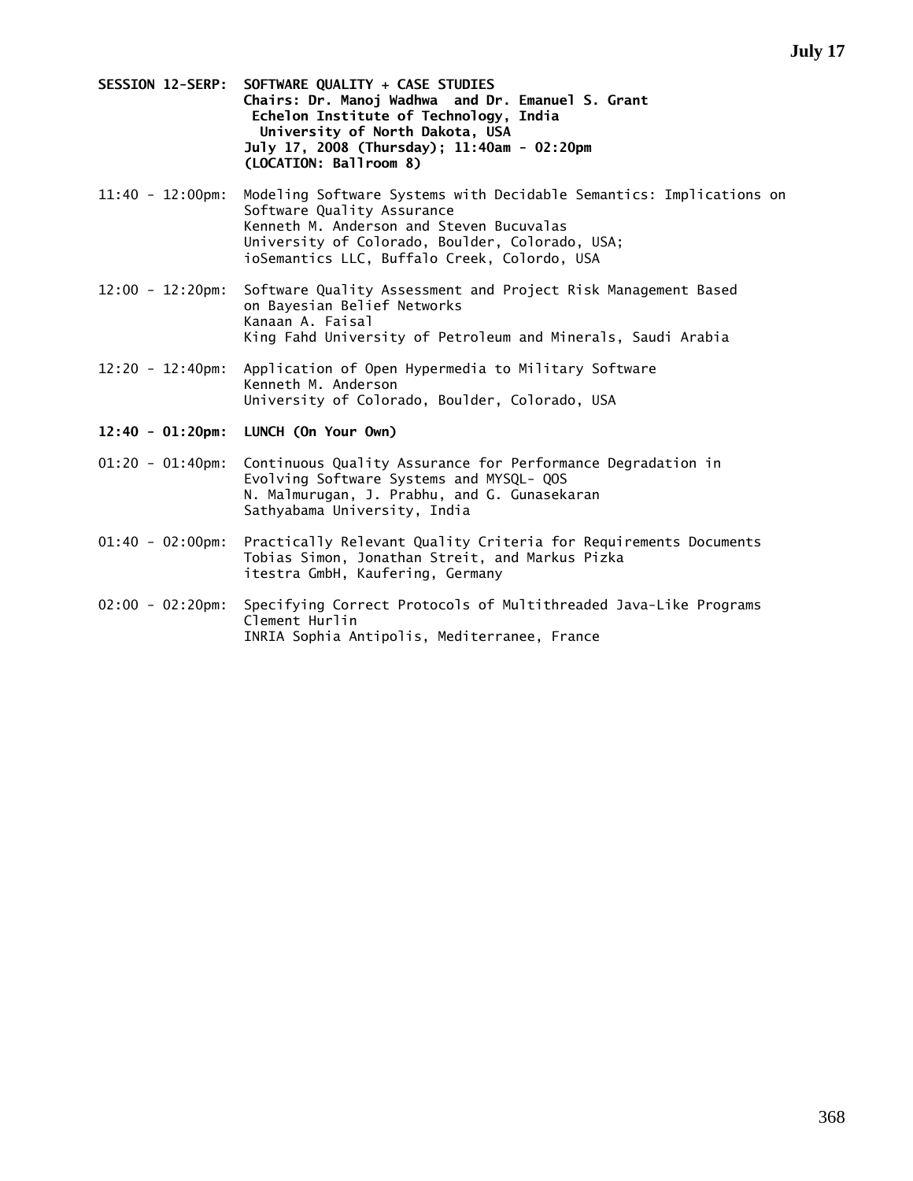- **SESSION 12-SERP: SOFTWARE QUALITY + CASE STUDIES Chairs: Dr. Manoj Wadhwa and Dr. Emanuel S. Grant Echelon Institute of Technology, India University of North Dakota, USA July 17, 2008 (Thursday); 11:40am - 02:20pm (LOCATION: Ballroom 8)**
- 11:40 12:00pm: Modeling Software Systems with Decidable Semantics: Implications on Software Quality Assurance Kenneth M. Anderson and Steven Bucuvalas University of Colorado, Boulder, Colorado, USA; ioSemantics LLC, Buffalo Creek, Colordo, USA
- 12:00 12:20pm: Software Quality Assessment and Project Risk Management Based on Bayesian Belief Networks Kanaan A. Faisal King Fahd University of Petroleum and Minerals, Saudi Arabia
- 12:20 12:40pm: Application of Open Hypermedia to Military Software Kenneth M. Anderson University of Colorado, Boulder, Colorado, USA
- **12:40 01:20pm: LUNCH (On Your Own)**
- 01:20 01:40pm: Continuous Quality Assurance for Performance Degradation in Evolving Software Systems and MYSQL- QOS N. Malmurugan, J. Prabhu, and G. Gunasekaran Sathyabama University, India
- 01:40 02:00pm: Practically Relevant Quality Criteria for Requirements Documents Tobias Simon, Jonathan Streit, and Markus Pizka itestra GmbH, Kaufering, Germany
- 02:00 02:20pm: Specifying Correct Protocols of Multithreaded Java-Like Programs Clement Hurlin INRIA Sophia Antipolis, Mediterranee, France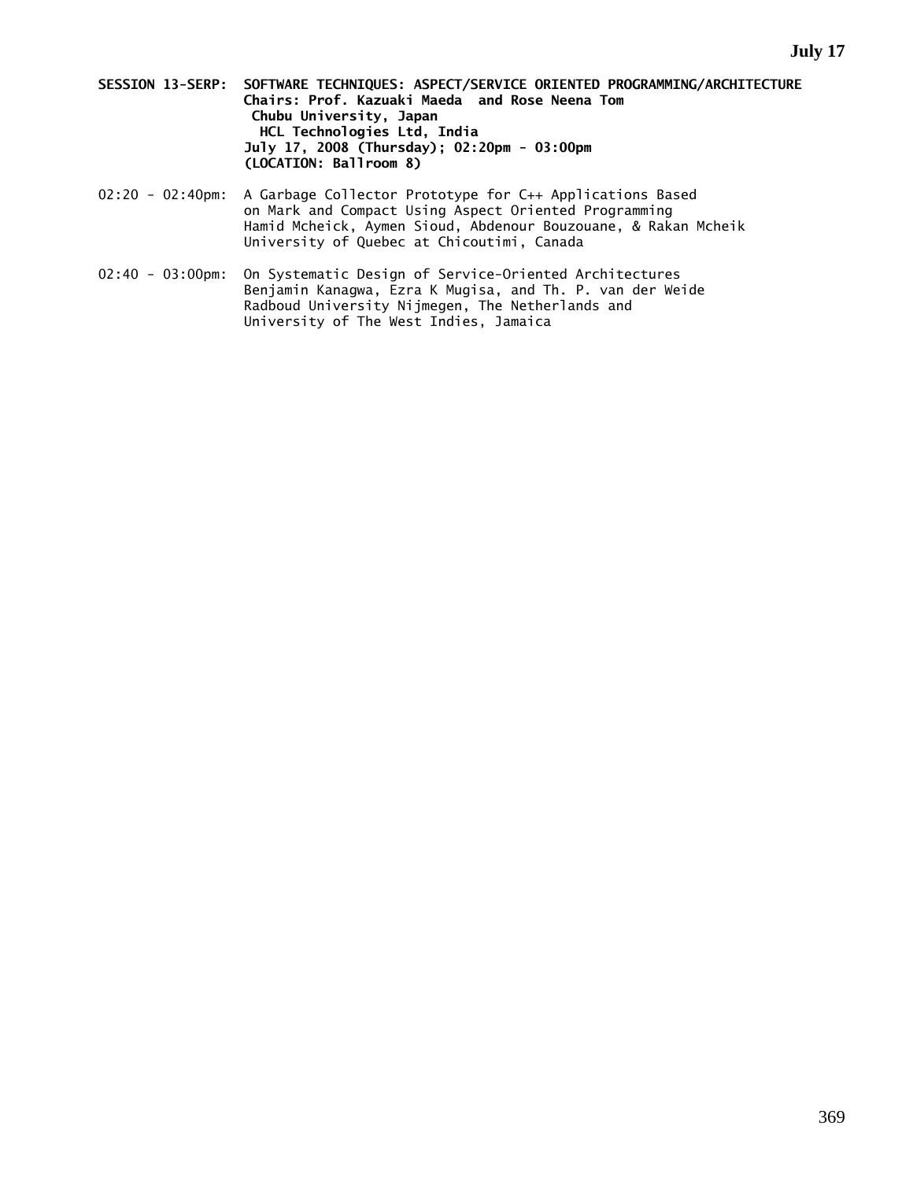- **SESSION 13-SERP: SOFTWARE TECHNIQUES: ASPECT/SERVICE ORIENTED PROGRAMMING/ARCHITECTURE Chairs: Prof. Kazuaki Maeda and Rose Neena Tom Chubu University, Japan HCL Technologies Ltd, India July 17, 2008 (Thursday); 02:20pm - 03:00pm (LOCATION: Ballroom 8)**
- 02:20 02:40pm: A Garbage Collector Prototype for C++ Applications Based on Mark and Compact Using Aspect Oriented Programming Hamid Mcheick, Aymen Sioud, Abdenour Bouzouane, & Rakan Mcheik University of Quebec at Chicoutimi, Canada
- 02:40 03:00pm: On Systematic Design of Service-Oriented Architectures Benjamin Kanagwa, Ezra K Mugisa, and Th. P. van der Weide Radboud University Nijmegen, The Netherlands and University of The West Indies, Jamaica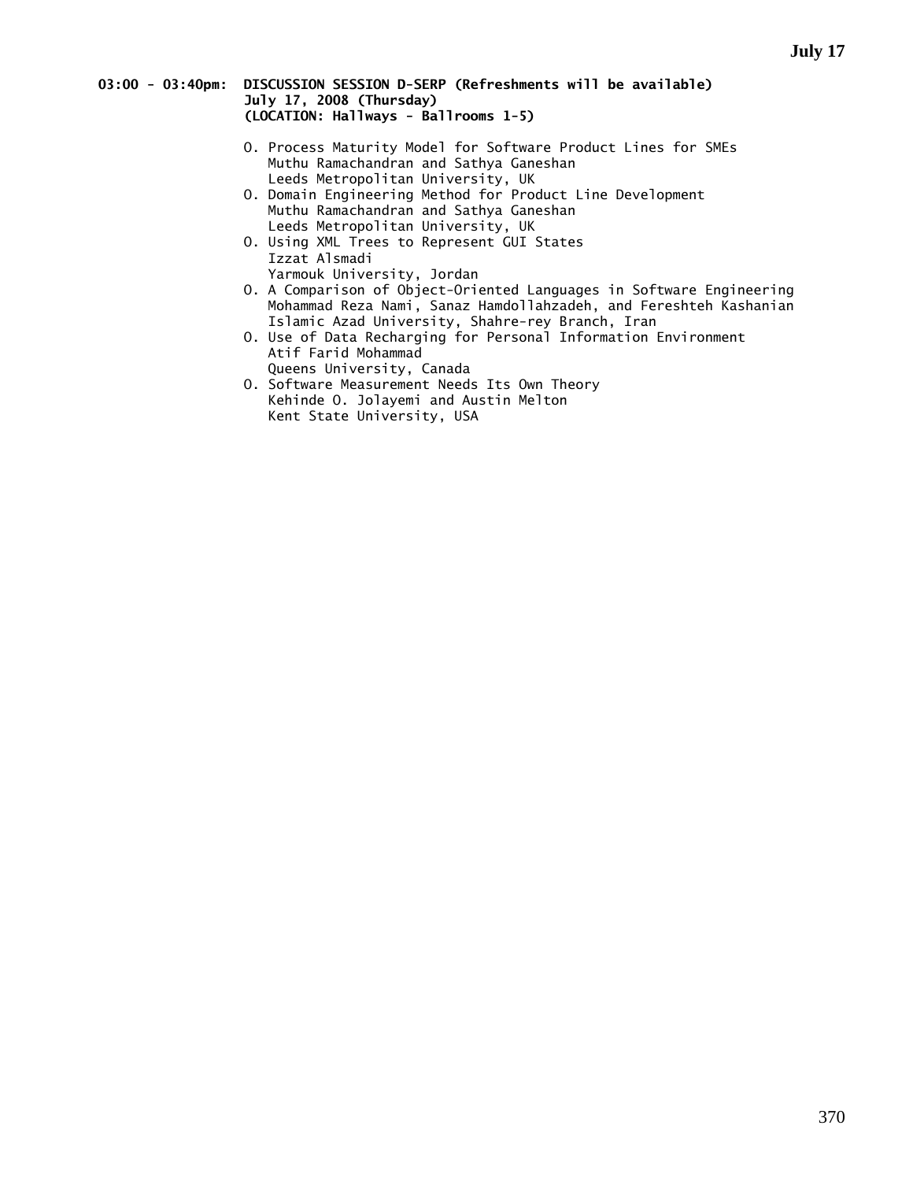### **03:00 - 03:40pm: DISCUSSION SESSION D-SERP (Refreshments will be available) July 17, 2008 (Thursday) (LOCATION: Hallways - Ballrooms 1-5)**

- O. Process Maturity Model for Software Product Lines for SMEs Muthu Ramachandran and Sathya Ganeshan Leeds Metropolitan University, UK
- O. Domain Engineering Method for Product Line Development Muthu Ramachandran and Sathya Ganeshan Leeds Metropolitan University, UK
- O. Using XML Trees to Represent GUI States Izzat Alsmadi
	- Yarmouk University, Jordan
- O. A Comparison of Object-Oriented Languages in Software Engineering Mohammad Reza Nami, Sanaz Hamdollahzadeh, and Fereshteh Kashanian Islamic Azad University, Shahre-rey Branch, Iran
- O. Use of Data Recharging for Personal Information Environment Atif Farid Mohammad
- Queens University, Canada O. Software Measurement Needs Its Own Theory Kehinde O. Jolayemi and Austin Melton Kent State University, USA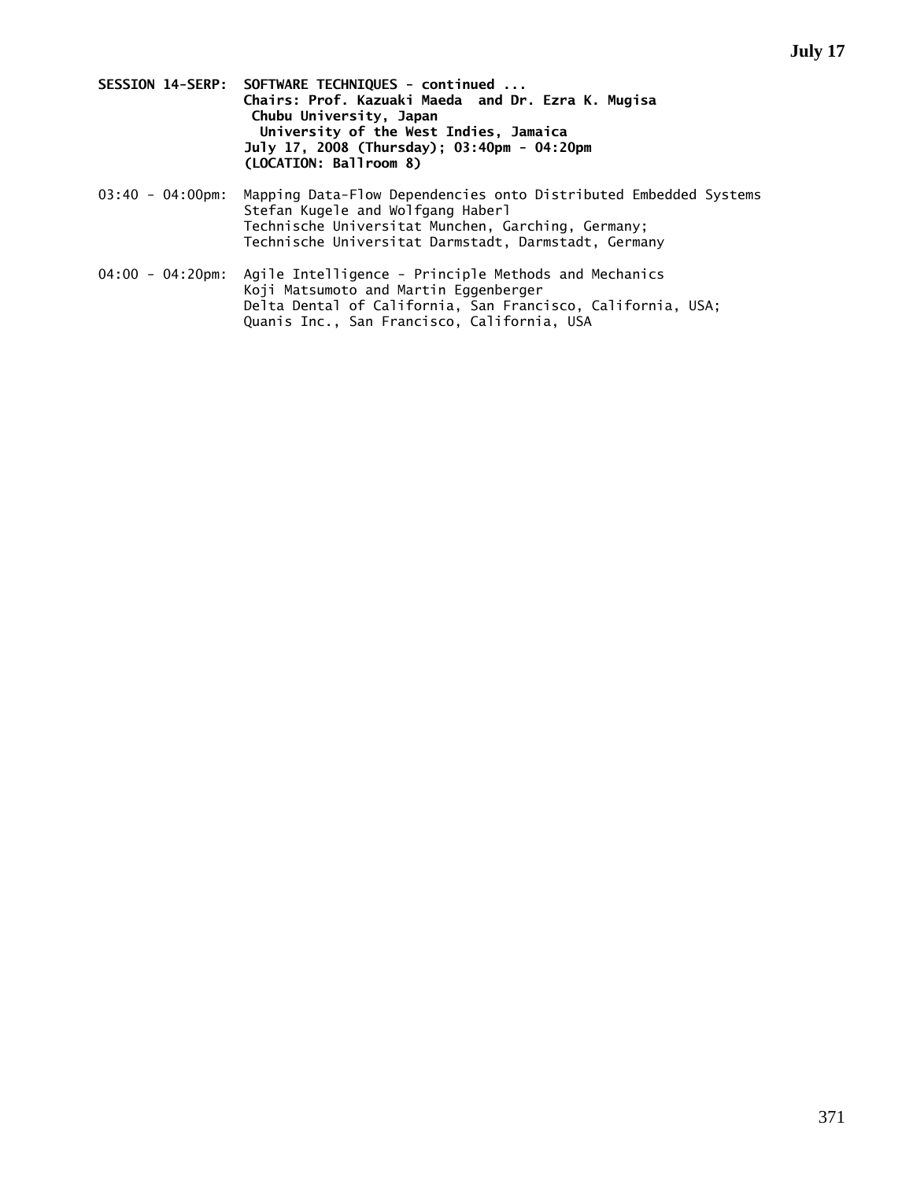- **SESSION 14-SERP: SOFTWARE TECHNIQUES continued ... Chairs: Prof. Kazuaki Maeda and Dr. Ezra K. Mugisa Chubu University, Japan University of the West Indies, Jamaica July 17, 2008 (Thursday); 03:40pm - 04:20pm (LOCATION: Ballroom 8)**
- 03:40 04:00pm: Mapping Data-Flow Dependencies onto Distributed Embedded Systems Stefan Kugele and Wolfgang Haberl Technische Universitat Munchen, Garching, Germany; Technische Universitat Darmstadt, Darmstadt, Germany
- 04:00 04:20pm: Agile Intelligence Principle Methods and Mechanics Koji Matsumoto and Martin Eggenberger Delta Dental of California, San Francisco, California, USA; Quanis Inc., San Francisco, California, USA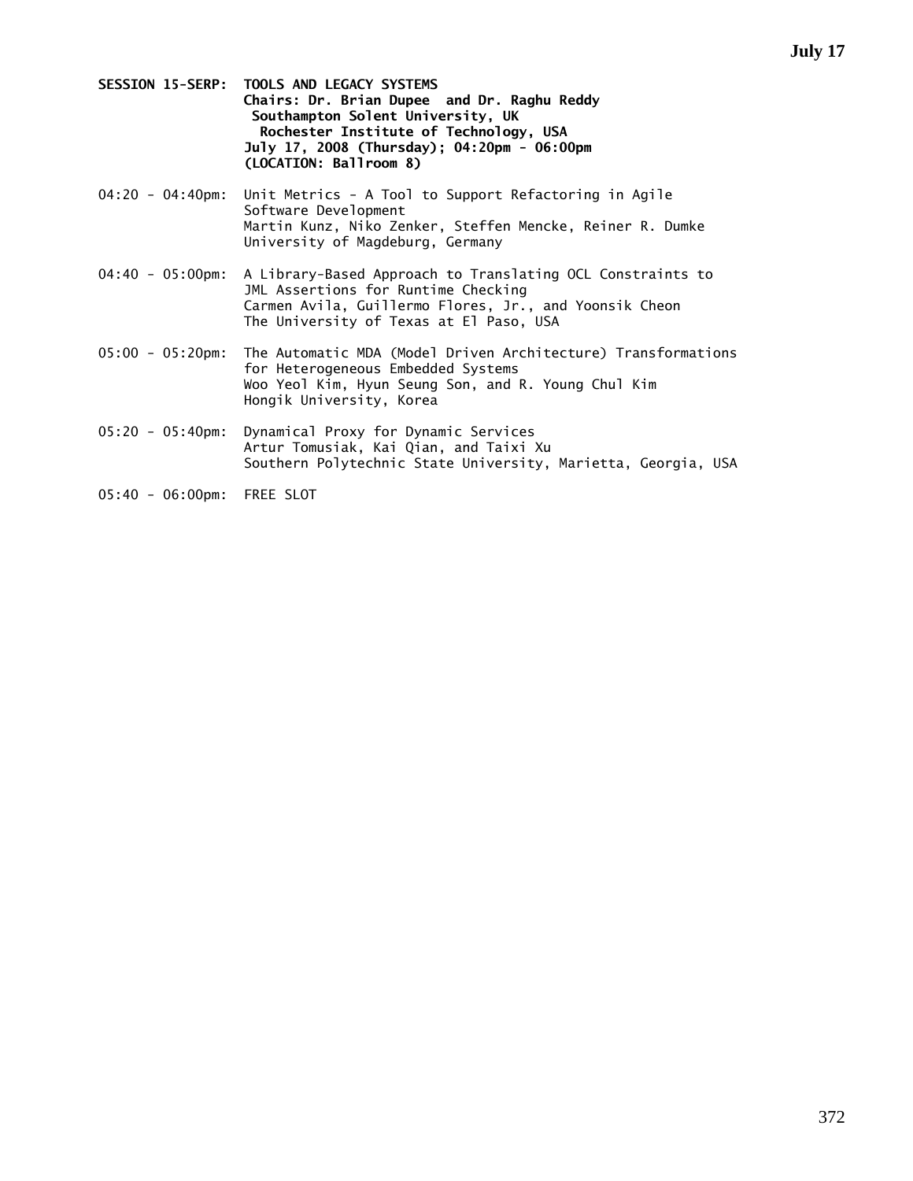- **SESSION 15-SERP: TOOLS AND LEGACY SYSTEMS Chairs: Dr. Brian Dupee and Dr. Raghu Reddy Southampton Solent University, UK Rochester Institute of Technology, USA July 17, 2008 (Thursday); 04:20pm - 06:00pm (LOCATION: Ballroom 8)**
- 04:20 04:40pm: Unit Metrics A Tool to Support Refactoring in Agile Software Development Martin Kunz, Niko Zenker, Steffen Mencke, Reiner R. Dumke University of Magdeburg, Germany
- 04:40 05:00pm: A Library-Based Approach to Translating OCL Constraints to JML Assertions for Runtime Checking Carmen Avila, Guillermo Flores, Jr., and Yoonsik Cheon The University of Texas at El Paso, USA
- 05:00 05:20pm: The Automatic MDA (Model Driven Architecture) Transformations for Heterogeneous Embedded Systems Woo Yeol Kim, Hyun Seung Son, and R. Young Chul Kim Hongik University, Korea
- 05:20 05:40pm: Dynamical Proxy for Dynamic Services Artur Tomusiak, Kai Qian, and Taixi Xu Southern Polytechnic State University, Marietta, Georgia, USA
- 05:40 06:00pm: FREE SLOT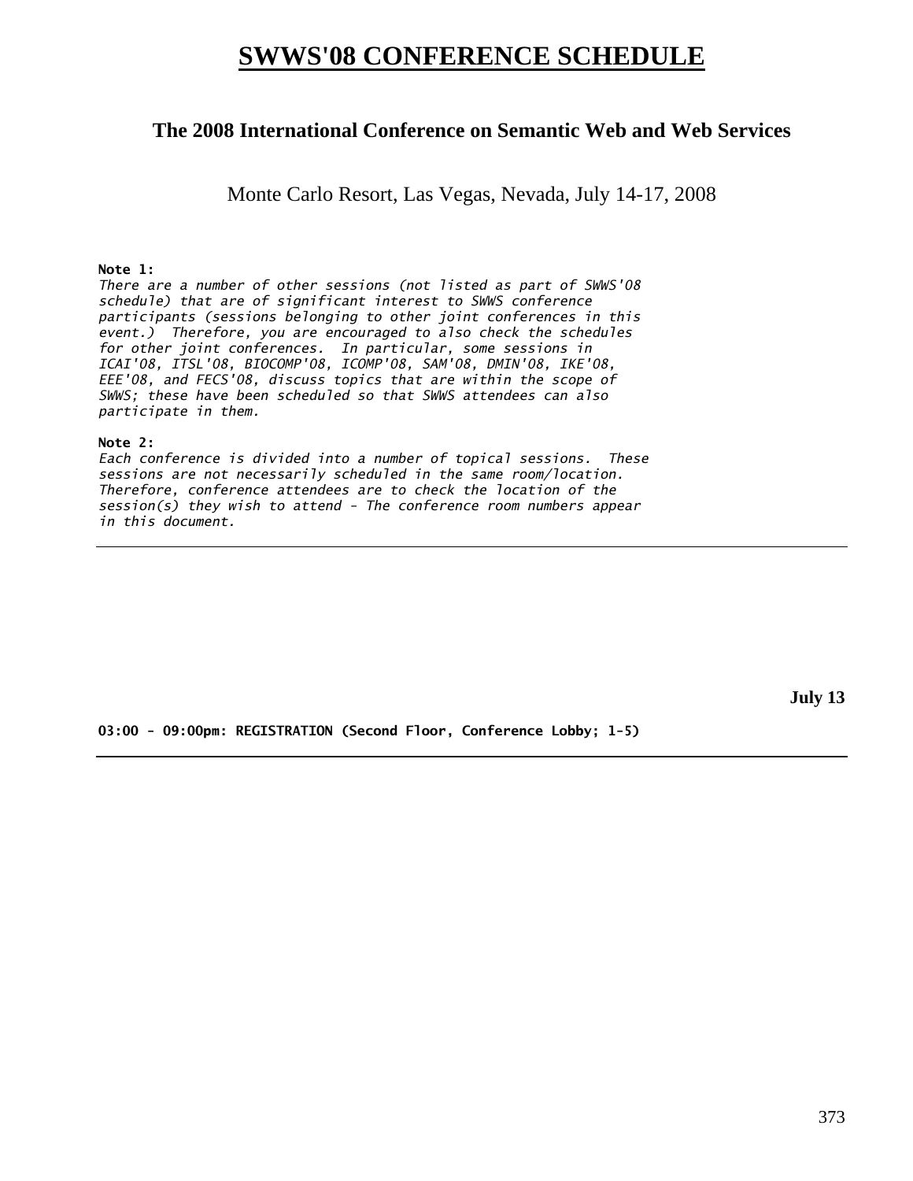# **SWWS'08 CONFERENCE SCHEDULE**

# **The 2008 International Conference on Semantic Web and Web Services**

Monte Carlo Resort, Las Vegas, Nevada, July 14-17, 2008

# **Note 1:**

*There are a number of other sessions (not listed as part of SWWS'08 schedule) that are of significant interest to SWWS conference participants (sessions belonging to other joint conferences in this event.) Therefore, you are encouraged to also check the schedules for other joint conferences. In particular, some sessions in ICAI'08, ITSL'08, BIOCOMP'08, ICOMP'08, SAM'08, DMIN'08, IKE'08, EEE'08, and FECS'08, discuss topics that are within the scope of SWWS; these have been scheduled so that SWWS attendees can also participate in them.* 

# **Note 2:**

*Each conference is divided into a number of topical sessions. These sessions are not necessarily scheduled in the same room/location. Therefore, conference attendees are to check the location of the session(s) they wish to attend - The conference room numbers appear in this document.* 

**July 13** 

**03:00 - 09:00pm: REGISTRATION (Second Floor, Conference Lobby; 1-5)**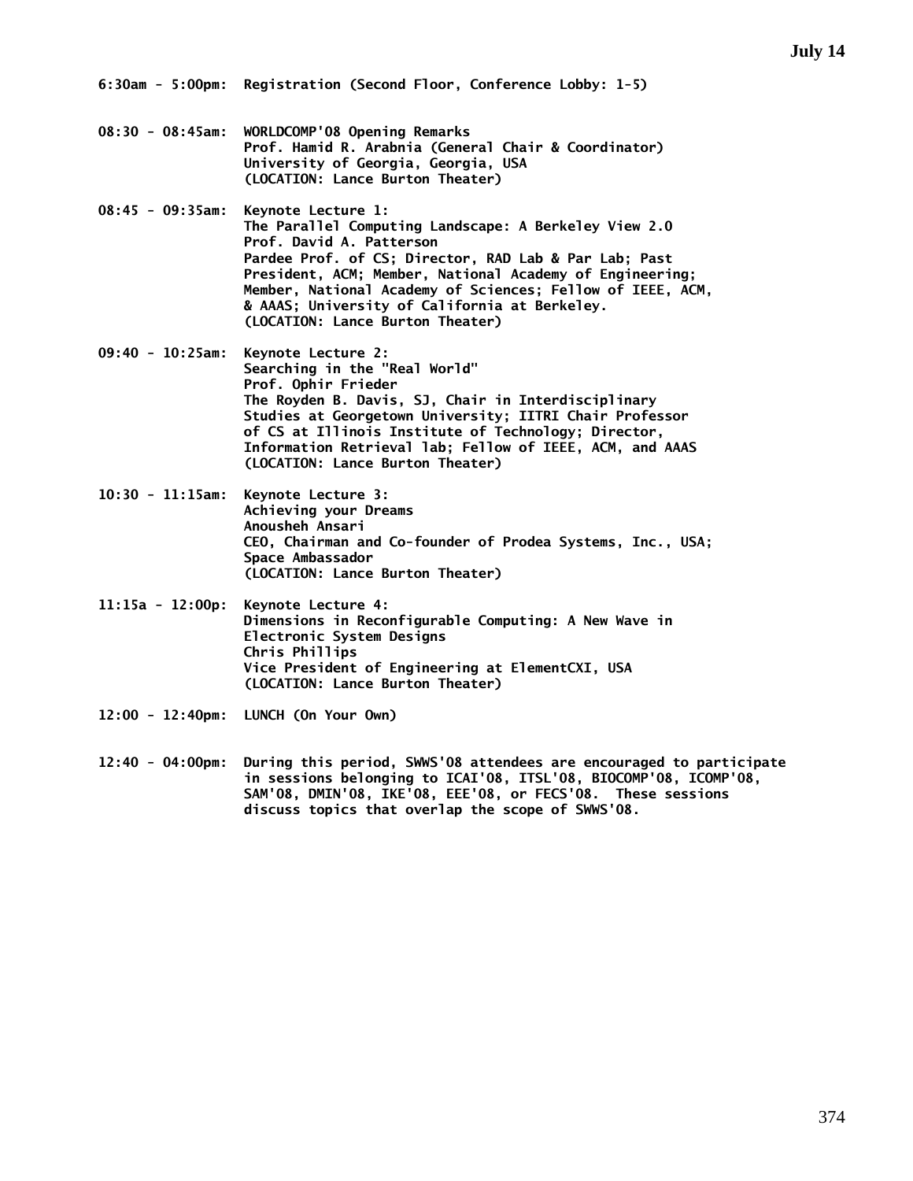- **08:30 08:45am: WORLDCOMP'08 Opening Remarks Prof. Hamid R. Arabnia (General Chair & Coordinator) University of Georgia, Georgia, USA (LOCATION: Lance Burton Theater)**
- **08:45 09:35am: Keynote Lecture 1: The Parallel Computing Landscape: A Berkeley View 2.0 Prof. David A. Patterson Pardee Prof. of CS; Director, RAD Lab & Par Lab; Past President, ACM; Member, National Academy of Engineering; Member, National Academy of Sciences; Fellow of IEEE, ACM, & AAAS; University of California at Berkeley. (LOCATION: Lance Burton Theater)**
- **09:40 10:25am: Keynote Lecture 2: Searching in the "Real World" Prof. Ophir Frieder The Royden B. Davis, SJ, Chair in Interdisciplinary Studies at Georgetown University; IITRI Chair Professor of CS at Illinois Institute of Technology; Director, Information Retrieval lab; Fellow of IEEE, ACM, and AAAS (LOCATION: Lance Burton Theater)**
- **10:30 11:15am: Keynote Lecture 3: Achieving your Dreams Anousheh Ansari CEO, Chairman and Co-founder of Prodea Systems, Inc., USA; Space Ambassador (LOCATION: Lance Burton Theater)**
- **11:15a 12:00p: Keynote Lecture 4: Dimensions in Reconfigurable Computing: A New Wave in Electronic System Designs Chris Phillips Vice President of Engineering at ElementCXI, USA (LOCATION: Lance Burton Theater)**
- **12:00 12:40pm: LUNCH (On Your Own)**
- **12:40 04:00pm: During this period, SWWS'08 attendees are encouraged to participate in sessions belonging to ICAI'08, ITSL'08, BIOCOMP'08, ICOMP'08, SAM'08, DMIN'08, IKE'08, EEE'08, or FECS'08. These sessions discuss topics that overlap the scope of SWWS'08.**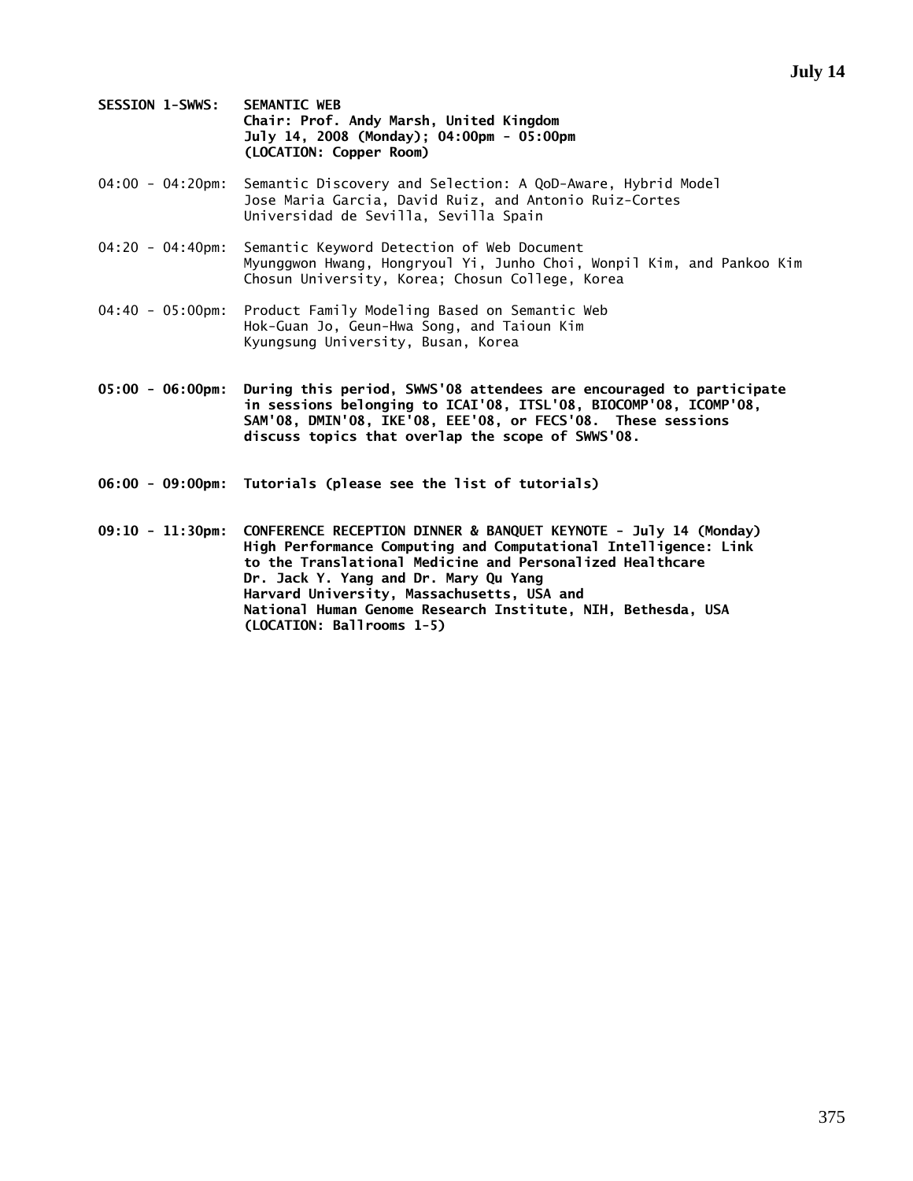**SESSION 1-SWWS: SEMANTIC WEB Chair: Prof. Andy Marsh, United Kingdom July 14, 2008 (Monday); 04:00pm - 05:00pm (LOCATION: Copper Room)** 

- 04:00 04:20pm: Semantic Discovery and Selection: A QoD-Aware, Hybrid Model Jose Maria Garcia, David Ruiz, and Antonio Ruiz-Cortes Universidad de Sevilla, Sevilla Spain
- 04:20 04:40pm: Semantic Keyword Detection of Web Document Myunggwon Hwang, Hongryoul Yi, Junho Choi, Wonpil Kim, and Pankoo Kim Chosun University, Korea; Chosun College, Korea
- 04:40 05:00pm: Product Family Modeling Based on Semantic Web Hok-Guan Jo, Geun-Hwa Song, and Taioun Kim Kyungsung University, Busan, Korea
- **05:00 06:00pm: During this period, SWWS'08 attendees are encouraged to participate in sessions belonging to ICAI'08, ITSL'08, BIOCOMP'08, ICOMP'08, SAM'08, DMIN'08, IKE'08, EEE'08, or FECS'08. These sessions discuss topics that overlap the scope of SWWS'08.**
- **06:00 09:00pm: Tutorials (please see the list of tutorials)**
- **09:10 11:30pm: CONFERENCE RECEPTION DINNER & BANQUET KEYNOTE July 14 (Monday) High Performance Computing and Computational Intelligence: Link to the Translational Medicine and Personalized Healthcare Dr. Jack Y. Yang and Dr. Mary Qu Yang Harvard University, Massachusetts, USA and National Human Genome Research Institute, NIH, Bethesda, USA (LOCATION: Ballrooms 1-5)**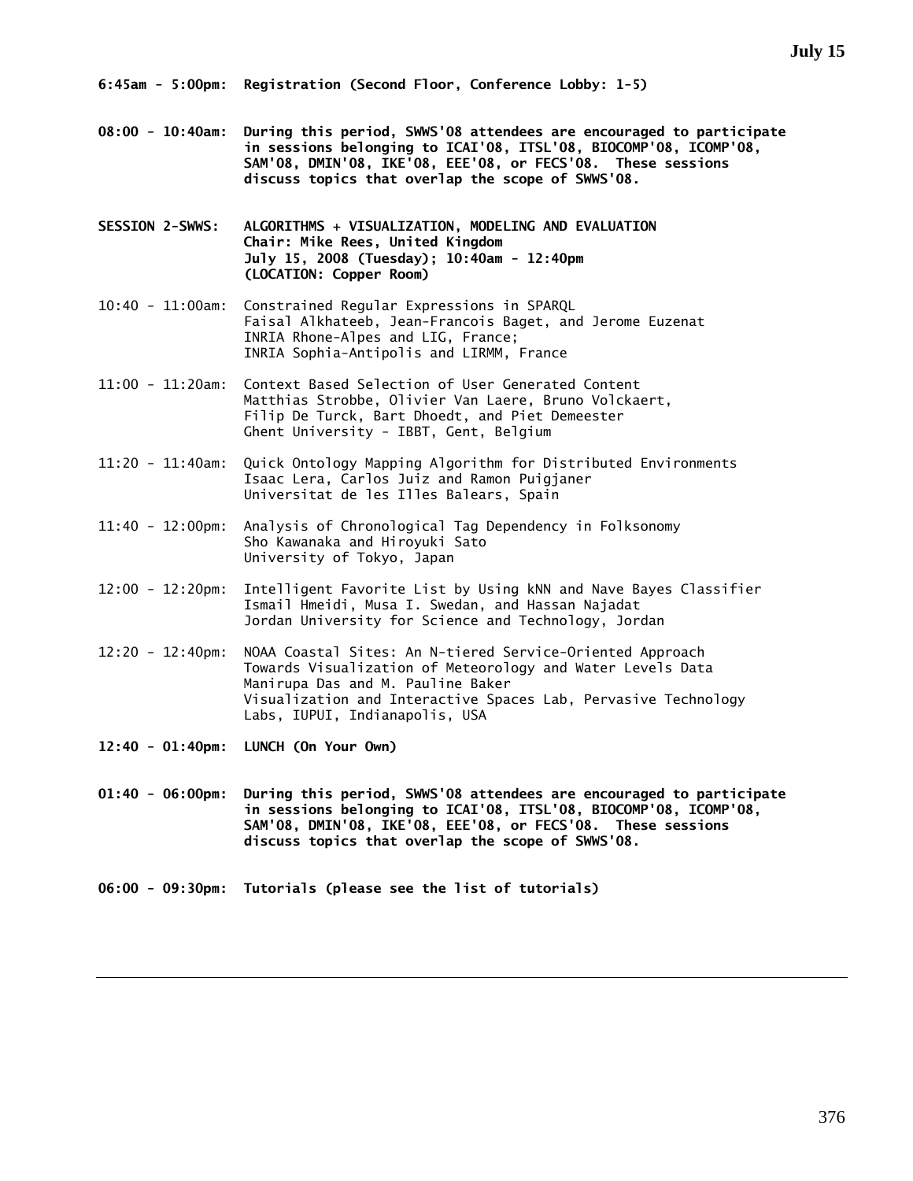- **08:00 10:40am: During this period, SWWS'08 attendees are encouraged to participate in sessions belonging to ICAI'08, ITSL'08, BIOCOMP'08, ICOMP'08, SAM'08, DMIN'08, IKE'08, EEE'08, or FECS'08. These sessions discuss topics that overlap the scope of SWWS'08.**
- **SESSION 2-SWWS: ALGORITHMS + VISUALIZATION, MODELING AND EVALUATION Chair: Mike Rees, United Kingdom July 15, 2008 (Tuesday); 10:40am - 12:40pm (LOCATION: Copper Room)**
- 10:40 11:00am: Constrained Regular Expressions in SPARQL Faisal Alkhateeb, Jean-Francois Baget, and Jerome Euzenat INRIA Rhone-Alpes and LIG, France; INRIA Sophia-Antipolis and LIRMM, France
- 11:00 11:20am: Context Based Selection of User Generated Content Matthias Strobbe, Olivier Van Laere, Bruno Volckaert, Filip De Turck, Bart Dhoedt, and Piet Demeester Ghent University - IBBT, Gent, Belgium
- 11:20 11:40am: Quick Ontology Mapping Algorithm for Distributed Environments Isaac Lera, Carlos Juiz and Ramon Puigjaner Universitat de les Illes Balears, Spain
- 11:40 12:00pm: Analysis of Chronological Tag Dependency in Folksonomy Sho Kawanaka and Hiroyuki Sato University of Tokyo, Japan
- 12:00 12:20pm: Intelligent Favorite List by Using kNN and Nave Bayes Classifier Ismail Hmeidi, Musa I. Swedan, and Hassan Najadat Jordan University for Science and Technology, Jordan
- 12:20 12:40pm: NOAA Coastal Sites: An N-tiered Service-Oriented Approach Towards Visualization of Meteorology and Water Levels Data Manirupa Das and M. Pauline Baker Visualization and Interactive Spaces Lab, Pervasive Technology Labs, IUPUI, Indianapolis, USA
- **12:40 01:40pm: LUNCH (On Your Own)**
- **01:40 06:00pm: During this period, SWWS'08 attendees are encouraged to participate in sessions belonging to ICAI'08, ITSL'08, BIOCOMP'08, ICOMP'08, SAM'08, DMIN'08, IKE'08, EEE'08, or FECS'08. These sessions discuss topics that overlap the scope of SWWS'08.**
- **06:00 09:30pm: Tutorials (please see the list of tutorials)**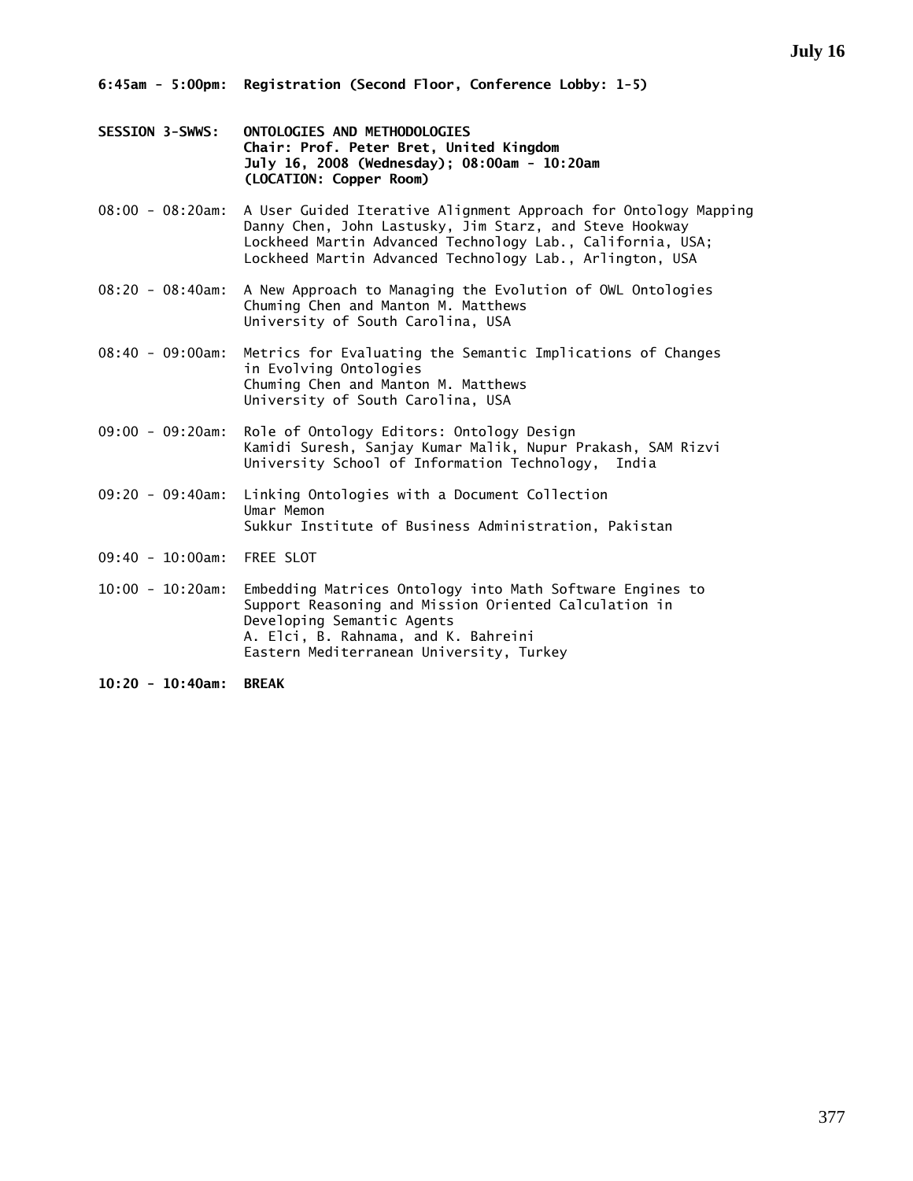- **SESSION 3-SWWS: ONTOLOGIES AND METHODOLOGIES Chair: Prof. Peter Bret, United Kingdom July 16, 2008 (Wednesday); 08:00am - 10:20am (LOCATION: Copper Room)**
- 08:00 08:20am: A User Guided Iterative Alignment Approach for Ontology Mapping Danny Chen, John Lastusky, Jim Starz, and Steve Hookway Lockheed Martin Advanced Technology Lab., California, USA; Lockheed Martin Advanced Technology Lab., Arlington, USA
- 08:20 08:40am: A New Approach to Managing the Evolution of OWL Ontologies Chuming Chen and Manton M. Matthews University of South Carolina, USA
- 08:40 09:00am: Metrics for Evaluating the Semantic Implications of Changes in Evolving Ontologies Chuming Chen and Manton M. Matthews University of South Carolina, USA
- 09:00 09:20am: Role of Ontology Editors: Ontology Design Kamidi Suresh, Sanjay Kumar Malik, Nupur Prakash, SAM Rizvi University School of Information Technology, India
- 09:20 09:40am: Linking Ontologies with a Document Collection Umar Memon Sukkur Institute of Business Administration, Pakistan
- 09:40 10:00am: FREE SLOT
- 10:00 10:20am: Embedding Matrices Ontology into Math Software Engines to Support Reasoning and Mission Oriented Calculation in Developing Semantic Agents A. Elci, B. Rahnama, and K. Bahreini Eastern Mediterranean University, Turkey
- **10:20 10:40am: BREAK**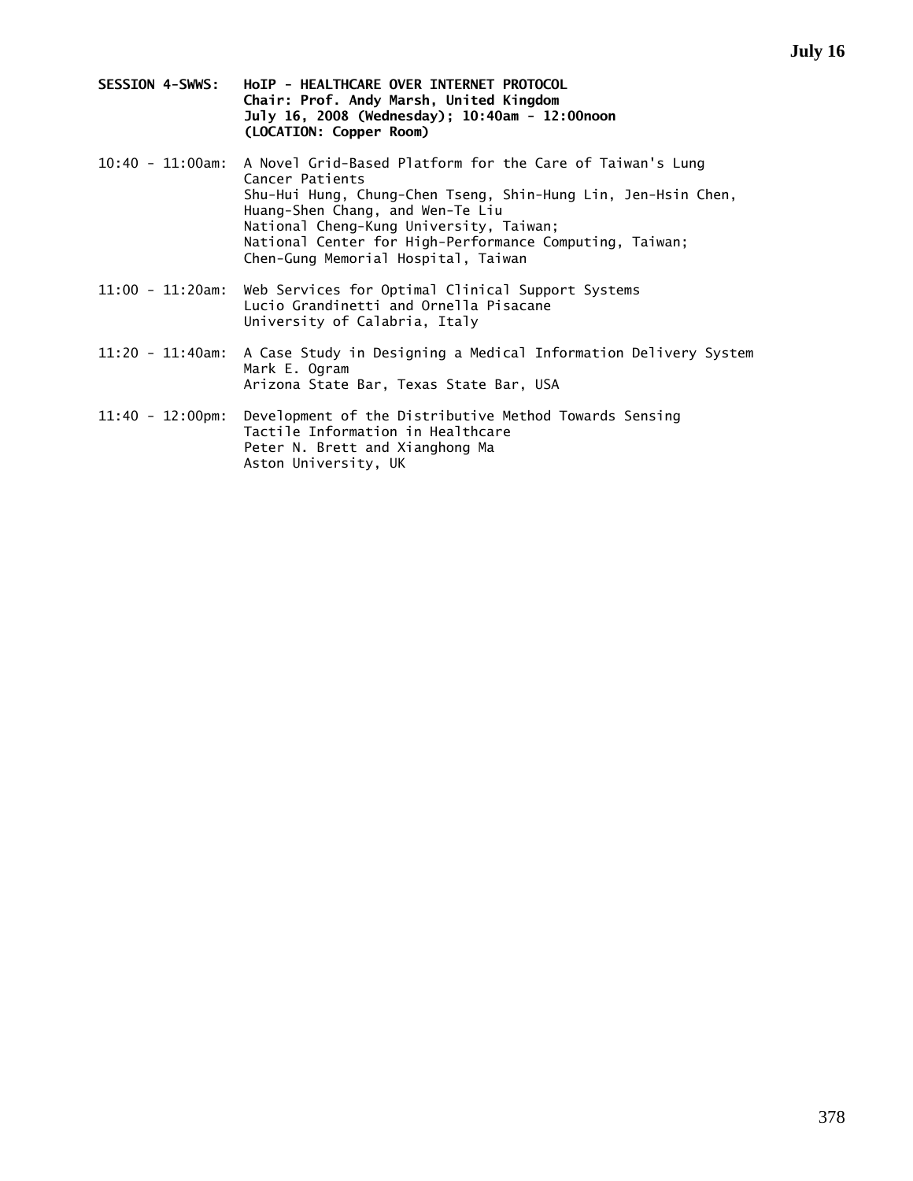- **SESSION 4-SWWS: HoIP HEALTHCARE OVER INTERNET PROTOCOL Chair: Prof. Andy Marsh, United Kingdom July 16, 2008 (Wednesday); 10:40am - 12:00noon (LOCATION: Copper Room)**
- 10:40 11:00am: A Novel Grid-Based Platform for the Care of Taiwan's Lung Cancer Patients Shu-Hui Hung, Chung-Chen Tseng, Shin-Hung Lin, Jen-Hsin Chen, Huang-Shen Chang, and Wen-Te Liu National Cheng-Kung University, Taiwan; National Center for High-Performance Computing, Taiwan; Chen-Gung Memorial Hospital, Taiwan
- 11:00 11:20am: Web Services for Optimal Clinical Support Systems Lucio Grandinetti and Ornella Pisacane University of Calabria, Italy
- 11:20 11:40am: A Case Study in Designing a Medical Information Delivery System Mark E. Ogram Arizona State Bar, Texas State Bar, USA
- 11:40 12:00pm: Development of the Distributive Method Towards Sensing Tactile Information in Healthcare Peter N. Brett and Xianghong Ma Aston University, UK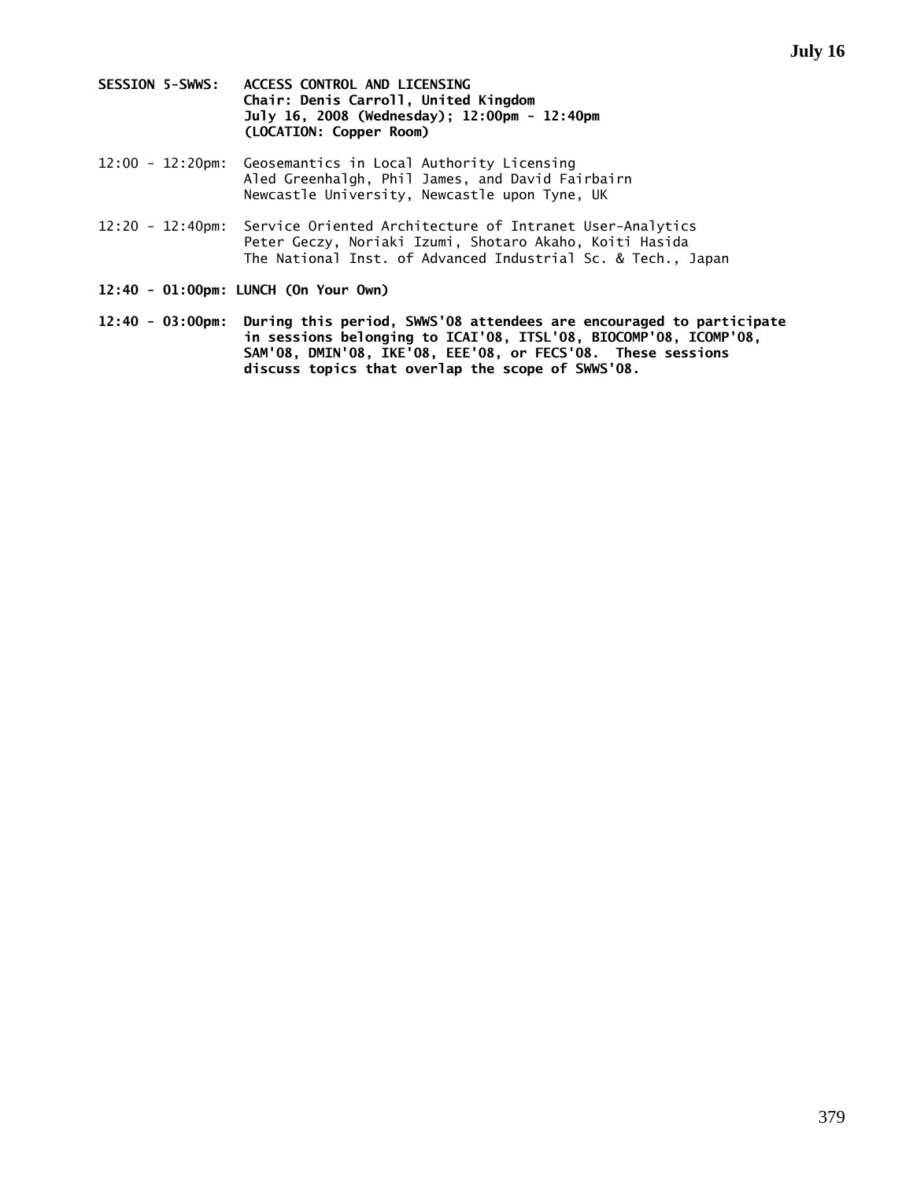- **SESSION 5-SWWS: ACCESS CONTROL AND LICENSING Chair: Denis Carroll, United Kingdom July 16, 2008 (Wednesday); 12:00pm - 12:40pm (LOCATION: Copper Room)**
- 12:00 12:20pm: Geosemantics in Local Authority Licensing Aled Greenhalgh, Phil James, and David Fairbairn Newcastle University, Newcastle upon Tyne, UK
- 12:20 12:40pm: Service Oriented Architecture of Intranet User-Analytics Peter Geczy, Noriaki Izumi, Shotaro Akaho, Koiti Hasida The National Inst. of Advanced Industrial Sc. & Tech., Japan
- **12:40 01:00pm: LUNCH (On Your Own)**
- **12:40 03:00pm: During this period, SWWS'08 attendees are encouraged to participate in sessions belonging to ICAI'08, ITSL'08, BIOCOMP'08, ICOMP'08, SAM'08, DMIN'08, IKE'08, EEE'08, or FECS'08. These sessions discuss topics that overlap the scope of SWWS'08.**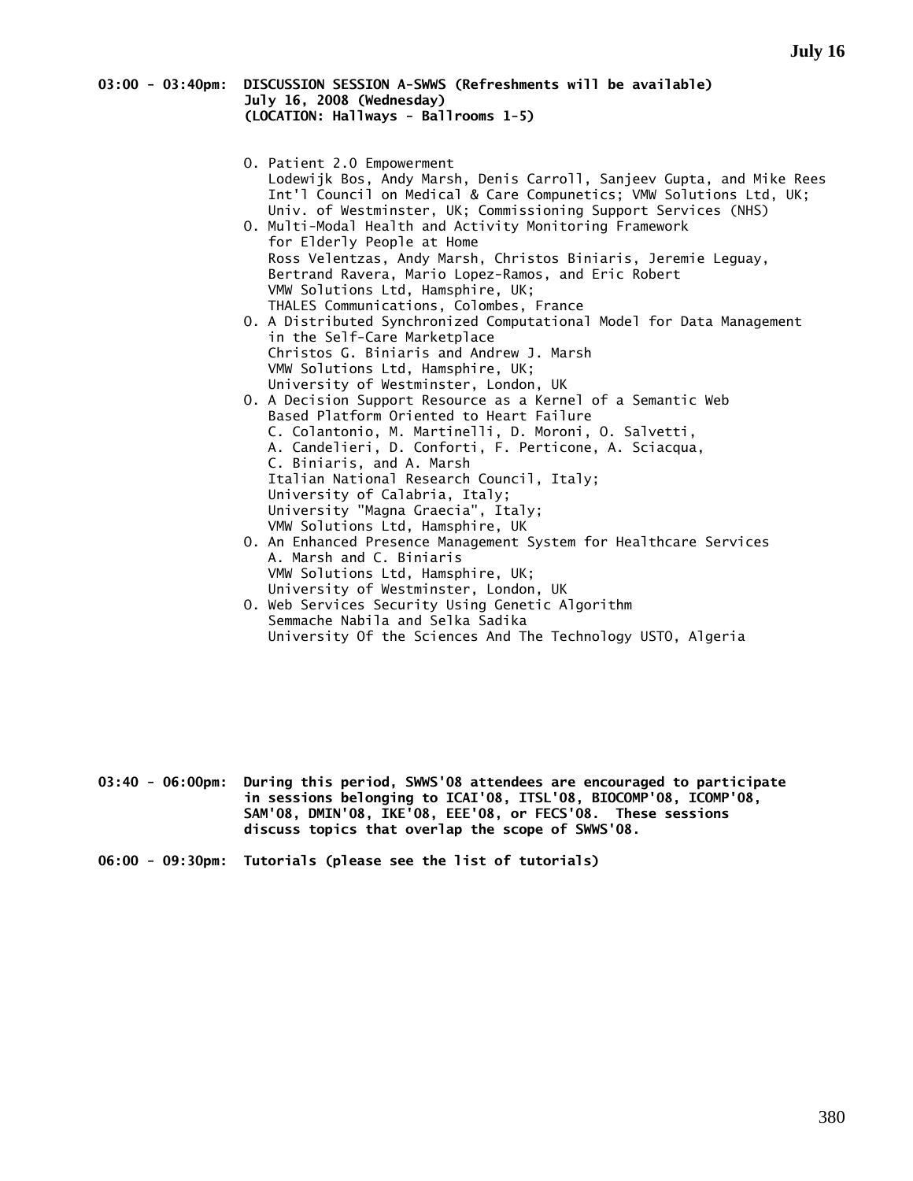### **03:00 - 03:40pm: DISCUSSION SESSION A-SWWS (Refreshments will be available) July 16, 2008 (Wednesday) (LOCATION: Hallways - Ballrooms 1-5)**

- O. Patient 2.0 Empowerment Lodewijk Bos, Andy Marsh, Denis Carroll, Sanjeev Gupta, and Mike Rees Int'l Council on Medical & Care Compunetics; VMW Solutions Ltd, UK; Univ. of Westminster, UK; Commissioning Support Services (NHS) O. Multi-Modal Health and Activity Monitoring Framework for Elderly People at Home Ross Velentzas, Andy Marsh, Christos Biniaris, Jeremie Leguay,
- Bertrand Ravera, Mario Lopez-Ramos, and Eric Robert VMW Solutions Ltd, Hamsphire, UK; THALES Communications, Colombes, France O. A Distributed Synchronized Computational Model for Data Management in the Self-Care Marketplace
- Christos G. Biniaris and Andrew J. Marsh VMW Solutions Ltd, Hamsphire, UK; University of Westminster, London, UK O. A Decision Support Resource as a Kernel of a Semantic Web
- Based Platform Oriented to Heart Failure C. Colantonio, M. Martinelli, D. Moroni, O. Salvetti, A. Candelieri, D. Conforti, F. Perticone, A. Sciacqua, C. Biniaris, and A. Marsh Italian National Research Council, Italy; University of Calabria, Italy; University "Magna Graecia", Italy; VMW Solutions Ltd, Hamsphire, UK
- O. An Enhanced Presence Management System for Healthcare Services A. Marsh and C. Biniaris VMW Solutions Ltd, Hamsphire, UK; University of Westminster, London, UK
- O. Web Services Security Using Genetic Algorithm Semmache Nabila and Selka Sadika University Of the Sciences And The Technology USTO, Algeria

- **03:40 06:00pm: During this period, SWWS'08 attendees are encouraged to participate in sessions belonging to ICAI'08, ITSL'08, BIOCOMP'08, ICOMP'08, SAM'08, DMIN'08, IKE'08, EEE'08, or FECS'08. These sessions discuss topics that overlap the scope of SWWS'08.**
- **06:00 09:30pm: Tutorials (please see the list of tutorials)**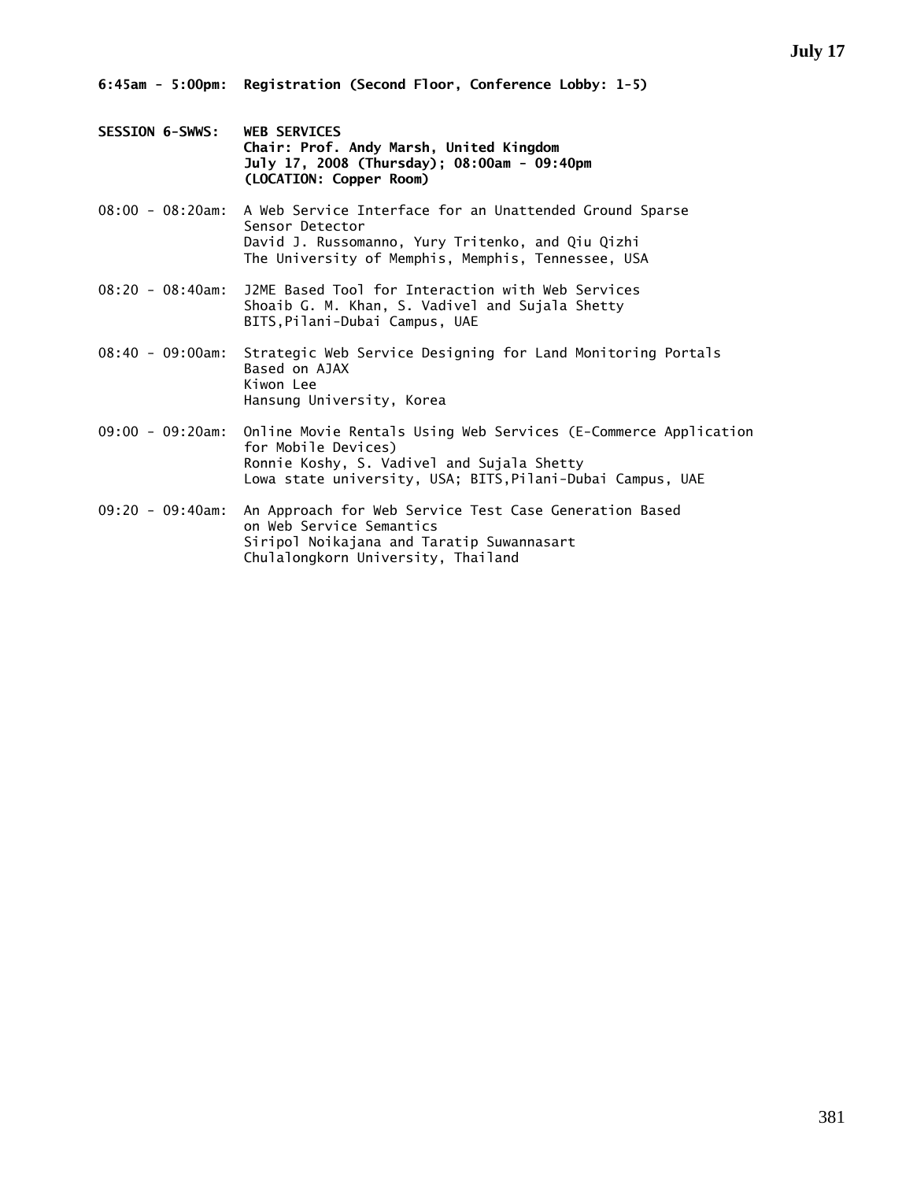- **SESSION 6-SWWS: WEB SERVICES Chair: Prof. Andy Marsh, United Kingdom July 17, 2008 (Thursday); 08:00am - 09:40pm (LOCATION: Copper Room)**
- 08:00 08:20am: A Web Service Interface for an Unattended Ground Sparse Sensor Detector David J. Russomanno, Yury Tritenko, and Qiu Qizhi The University of Memphis, Memphis, Tennessee, USA
- 08:20 08:40am: J2ME Based Tool for Interaction with Web Services Shoaib G. M. Khan, S. Vadivel and Sujala Shetty BITS,Pilani-Dubai Campus, UAE
- 08:40 09:00am: Strategic Web Service Designing for Land Monitoring Portals Based on AJAX Kiwon Lee Hansung University, Korea
- 09:00 09:20am: Online Movie Rentals Using Web Services (E-Commerce Application for Mobile Devices) Ronnie Koshy, S. Vadivel and Sujala Shetty Lowa state university, USA; BITS,Pilani-Dubai Campus, UAE
- 09:20 09:40am: An Approach for Web Service Test Case Generation Based on Web Service Semantics Siripol Noikajana and Taratip Suwannasart Chulalongkorn University, Thailand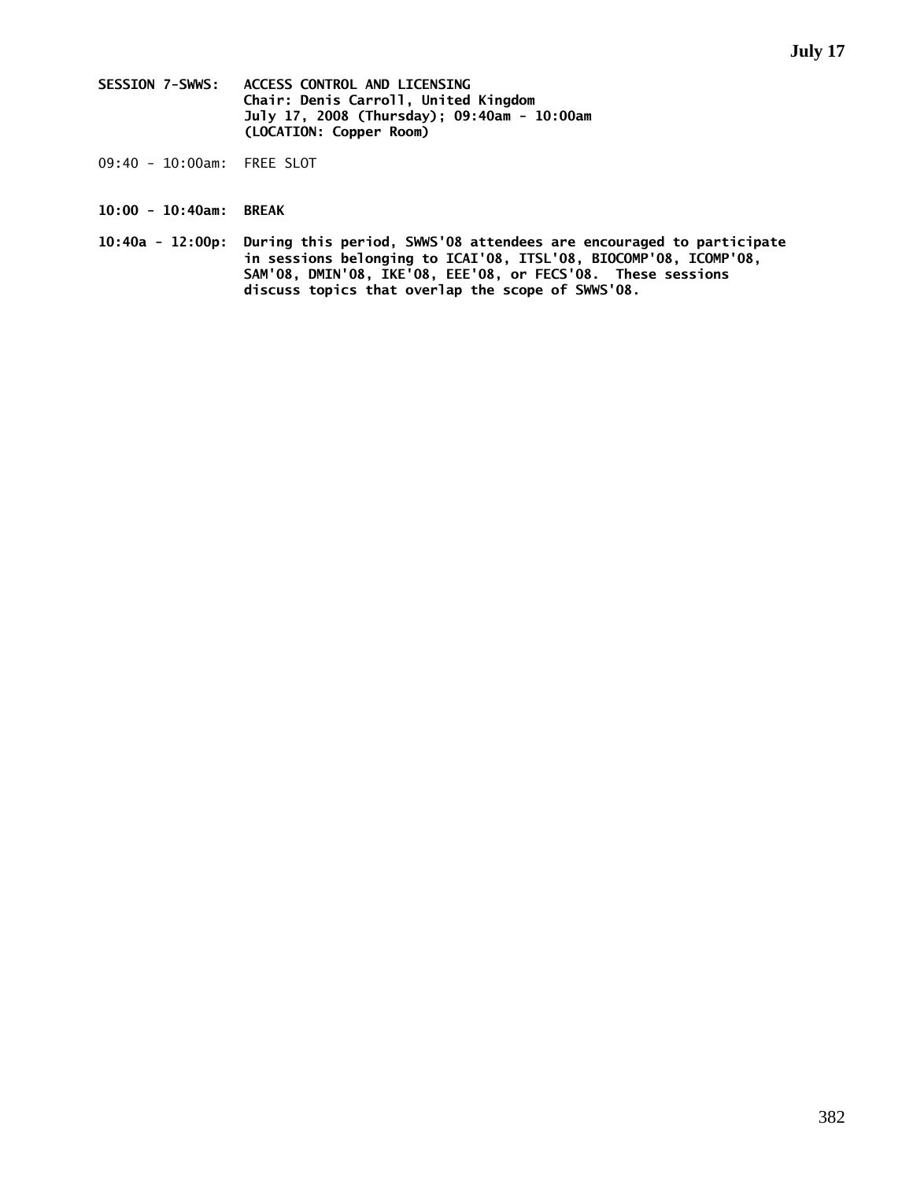- **SESSION 7-SWWS: ACCESS CONTROL AND LICENSING Chair: Denis Carroll, United Kingdom July 17, 2008 (Thursday); 09:40am - 10:00am (LOCATION: Copper Room)**
- 09:40 10:00am: FREE SLOT
- **10:00 10:40am: BREAK**
- **10:40a 12:00p: During this period, SWWS'08 attendees are encouraged to participate in sessions belonging to ICAI'08, ITSL'08, BIOCOMP'08, ICOMP'08, SAM'08, DMIN'08, IKE'08, EEE'08, or FECS'08. These sessions discuss topics that overlap the scope of SWWS'08.**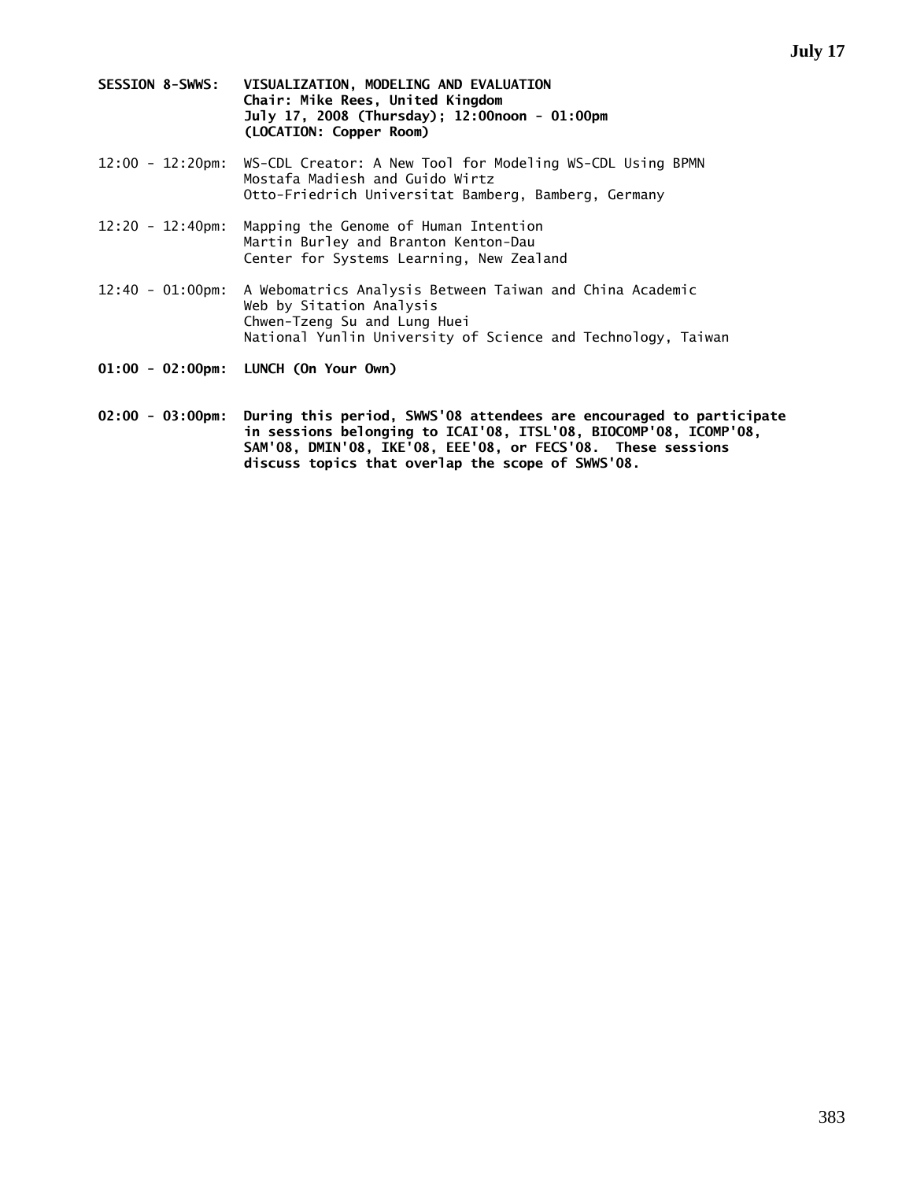- **SESSION 8-SWWS: VISUALIZATION, MODELING AND EVALUATION Chair: Mike Rees, United Kingdom July 17, 2008 (Thursday); 12:00noon - 01:00pm (LOCATION: Copper Room)**
- 12:00 12:20pm: WS-CDL Creator: A New Tool for Modeling WS-CDL Using BPMN Mostafa Madiesh and Guido Wirtz Otto-Friedrich Universitat Bamberg, Bamberg, Germany
- 12:20 12:40pm: Mapping the Genome of Human Intention Martin Burley and Branton Kenton-Dau Center for Systems Learning, New Zealand
- 12:40 01:00pm: A Webomatrics Analysis Between Taiwan and China Academic Web by Sitation Analysis Chwen-Tzeng Su and Lung Huei National Yunlin University of Science and Technology, Taiwan
- **01:00 02:00pm: LUNCH (On Your Own)**
- **02:00 03:00pm: During this period, SWWS'08 attendees are encouraged to participate in sessions belonging to ICAI'08, ITSL'08, BIOCOMP'08, ICOMP'08, SAM'08, DMIN'08, IKE'08, EEE'08, or FECS'08. These sessions discuss topics that overlap the scope of SWWS'08.**